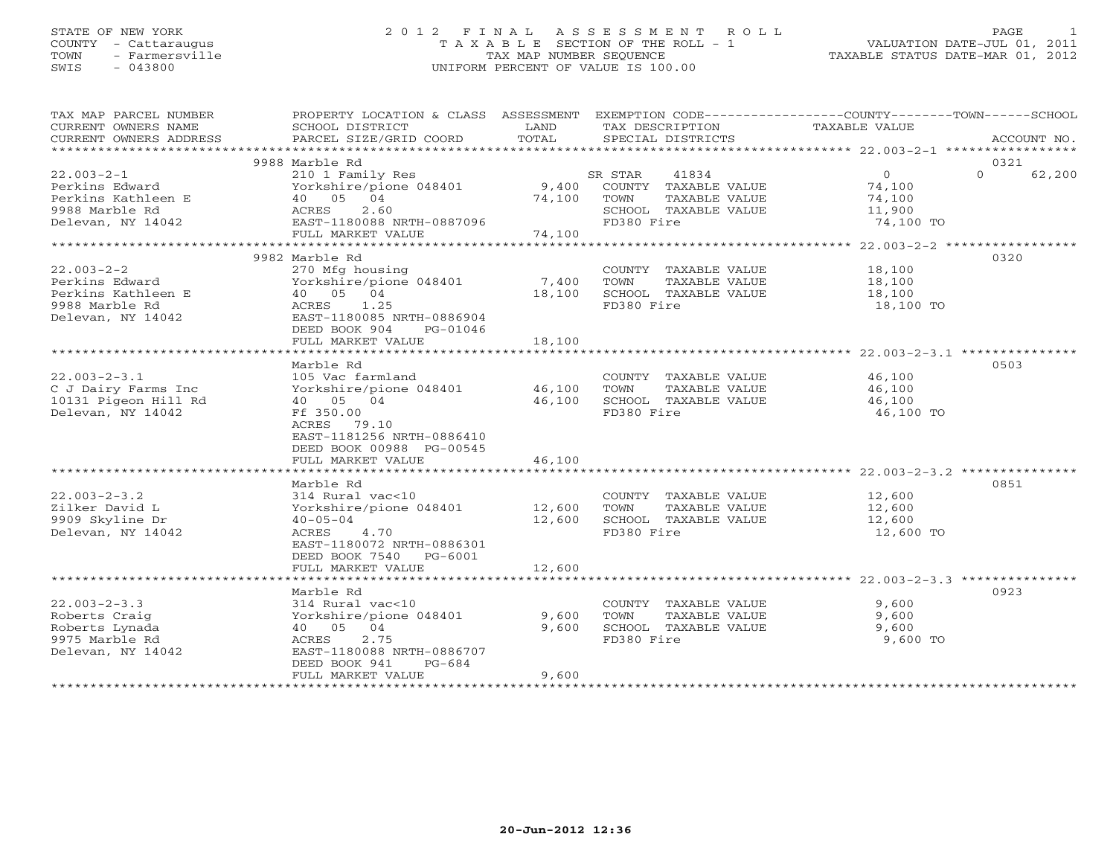# STATE OF NEW YORK 2 0 1 2 F I N A L A S S E S S M E N T R O L L PAGE 1 COUNTY - Cattaraugus T A X A B L E SECTION OF THE ROLL - 1 VALUATION DATE-JUL 01, 2011 TOWN - Farmersville TAX MAP NUMBER SEQUENCE TAXABLE STATUS DATE-MAR 01, 2012 SWIS - 043800 UNIFORM PERCENT OF VALUE IS 100.00UNIFORM PERCENT OF VALUE IS 100.00

| TAX MAP PARCEL NUMBER                | PROPERTY LOCATION & CLASS ASSESSMENT EXEMPTION CODE---------------COUNTY-------TOWN------SCHOOL |               |            |                                       |                     |          |             |
|--------------------------------------|-------------------------------------------------------------------------------------------------|---------------|------------|---------------------------------------|---------------------|----------|-------------|
| CURRENT OWNERS NAME                  | SCHOOL DISTRICT                                                                                 | LAND<br>TOTAL |            | TAX DESCRIPTION                       | TAXABLE VALUE       |          | ACCOUNT NO. |
| CURRENT OWNERS ADDRESS               | PARCEL SIZE/GRID COORD                                                                          |               |            | SPECIAL DISTRICTS                     |                     |          |             |
|                                      | 9988 Marble Rd                                                                                  |               |            |                                       |                     | 0321     |             |
| $22.003 - 2 - 1$                     | 210 1 Family Res                                                                                |               | SR STAR    | 41834                                 | $\overline{0}$      | $\Omega$ | 62,200      |
| Perkins Edward                       | Yorkshire/pione 048401 9,400 COUNTY TAXABLE VALUE                                               |               |            |                                       | 74,100              |          |             |
| Perkins Kathleen E                   |                                                                                                 | 74,100        | TOWN       | TAXABLE VALUE                         | 74,100              |          |             |
| 9988 Marble Rd                       |                                                                                                 |               |            | SCHOOL TAXABLE VALUE                  | 11,900              |          |             |
| Delevan, NY 14042                    |                                                                                                 |               | FD380 Fire |                                       | 74,100 TO           |          |             |
|                                      |                                                                                                 | 74,100        |            |                                       |                     |          |             |
|                                      | E<br>E<br>40 05 04<br>ACRES 2.60<br>EAST-1180088 NRTH-0887096<br>THE MARKET VALUE               |               |            |                                       |                     |          |             |
|                                      | 9982 Marble Rd                                                                                  |               |            |                                       |                     | 0320     |             |
| $22.003 - 2 - 2$                     | 270 Mfg housing                                                                                 |               |            | COUNTY TAXABLE VALUE                  | 18,100              |          |             |
| Perkins Edward                       | Yorkshire/pione 048401 7,400                                                                    |               | TOWN       | TAXABLE VALUE                         | 18,100              |          |             |
| Perkins Kathleen E<br>2000 Marblo Pd | 40 05 04                                                                                        | 18,100        |            | SCHOOL TAXABLE VALUE                  | 18,100              |          |             |
| 9988 Marble Rd                       | ACRES 1.25                                                                                      |               | FD380 Fire |                                       | 18,100 TO           |          |             |
| Delevan, NY 14042                    | EAST-1180085 NRTH-0886904                                                                       |               |            |                                       |                     |          |             |
|                                      | DEED BOOK 904<br>PG-01046                                                                       |               |            |                                       |                     |          |             |
|                                      | FULL MARKET VALUE                                                                               | 18,100        |            |                                       |                     |          |             |
|                                      |                                                                                                 |               |            |                                       |                     |          |             |
|                                      | Marble Rd                                                                                       |               |            |                                       |                     | 0503     |             |
| $22.003 - 2 - 3.1$                   | 105 Vac farmland                                                                                |               |            | COUNTY TAXABLE VALUE                  | 46,100              |          |             |
| C J Dairy Farms Inc                  | Yorkshire/pione 048401 46,100                                                                   |               | TOWN       | TAXABLE VALUE                         | 46,100              |          |             |
| 10131 Pigeon Hill Rd                 | 40 05 04                                                                                        | 46,100        |            | SCHOOL TAXABLE VALUE                  | 46,100              |          |             |
| Delevan, NY 14042                    | Ff 350.00                                                                                       |               | FD380 Fire |                                       | 46,100 TO           |          |             |
|                                      | ACRES 79.10                                                                                     |               |            |                                       |                     |          |             |
|                                      | EAST-1181256 NRTH-0886410                                                                       |               |            |                                       |                     |          |             |
|                                      | DEED BOOK 00988 PG-00545                                                                        |               |            |                                       |                     |          |             |
|                                      | FULL MARKET VALUE                                                                               | 46,100        |            |                                       |                     |          |             |
|                                      |                                                                                                 |               |            |                                       |                     |          |             |
|                                      | Marble Rd                                                                                       |               |            |                                       |                     | 0851     |             |
| $22.003 - 2 - 3.2$                   | 314 Rural vac<10                                                                                | 12,600        |            | COUNTY TAXABLE VALUE                  | 12,600              |          |             |
| Zilker David L<br>9909 Skyline Dr    | Yorkshire/pione 048401<br>$40 - 05 - 04$                                                        | 12,600        | TOWN       | TAXABLE VALUE<br>SCHOOL TAXABLE VALUE | 12,600              |          |             |
| Delevan, NY 14042                    | ACRES 4.70                                                                                      |               | FD380 Fire |                                       | 12,600<br>12,600 TO |          |             |
|                                      | EAST-1180072 NRTH-0886301                                                                       |               |            |                                       |                     |          |             |
|                                      | DEED BOOK 7540 PG-6001                                                                          |               |            |                                       |                     |          |             |
|                                      | FULL MARKET VALUE                                                                               | 12,600        |            |                                       |                     |          |             |
|                                      |                                                                                                 |               |            |                                       |                     |          |             |
|                                      | Marble Rd                                                                                       |               |            |                                       |                     | 0923     |             |
| $22.003 - 2 - 3.3$                   | 314 Rural vac<10                                                                                |               |            | COUNTY TAXABLE VALUE                  | 9,600               |          |             |
| Roberts Craig                        | Yorkshire/pione 048401                                                                          | 9,600         | TOWN       | TAXABLE VALUE                         | 9,600               |          |             |
| Roberts Lynada                       | 40 05 04                                                                                        | 9,600         |            | SCHOOL TAXABLE VALUE                  | 9,600               |          |             |
| 9975 Marble Rd                       | ACRES<br>2.75                                                                                   |               | FD380 Fire |                                       | 9,600 TO            |          |             |
| Delevan, NY 14042                    | EAST-1180088 NRTH-0886707                                                                       |               |            |                                       |                     |          |             |
|                                      | DEED BOOK 941<br>$PG-684$                                                                       |               |            |                                       |                     |          |             |
|                                      | FULL MARKET VALUE                                                                               | 9,600         |            |                                       |                     |          |             |
|                                      |                                                                                                 |               |            |                                       |                     |          |             |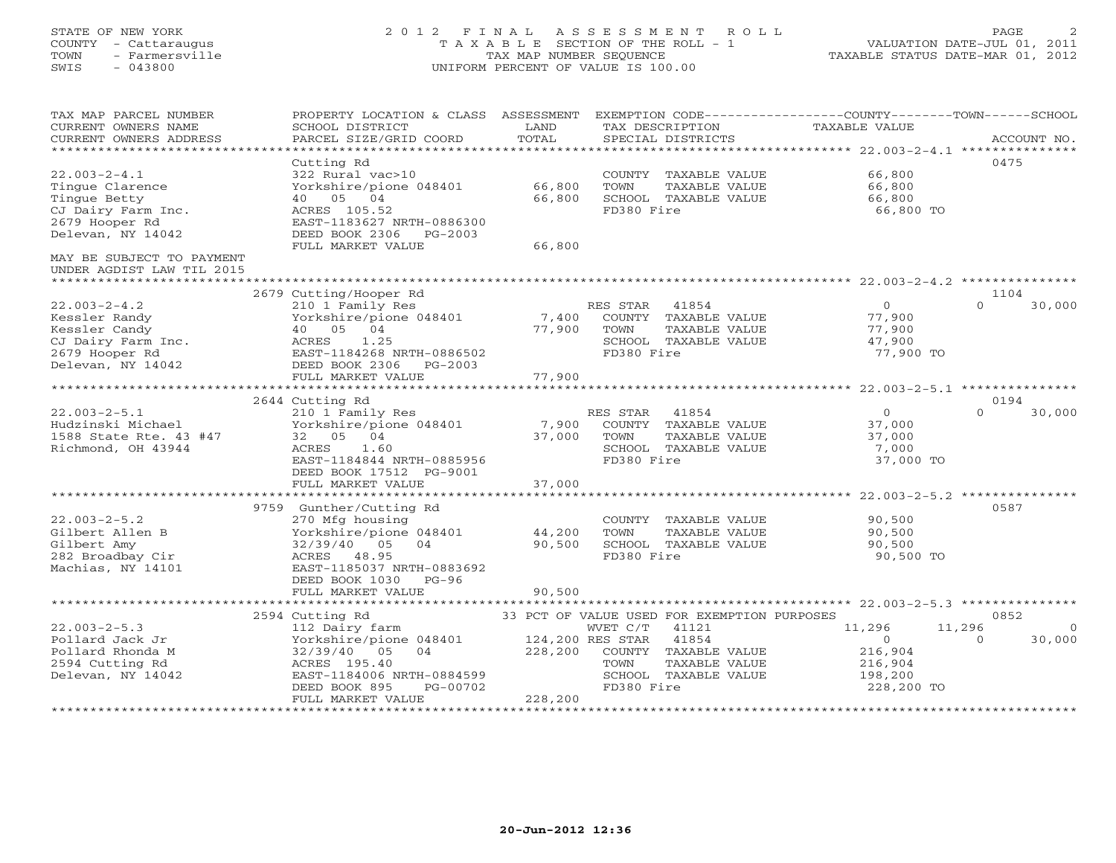# STATE OF NEW YORK 2 0 1 2 F I N A L A S S E S S M E N T R O L L PAGE 2 COUNTY - Cattaraugus T A X A B L E SECTION OF THE ROLL - 1 VALUATION DATE-JUL 01, 2011 TOWN - Farmersville TAX MAP NUMBER SEQUENCE TAXABLE STATUS DATE-MAR 01, 2012 SWIS - 043800 UNIFORM PERCENT OF VALUE IS 100.00UNIFORM PERCENT OF VALUE IS 100.00

| TAX MAP PARCEL NUMBER<br>CURRENT OWNERS NAME<br>CURRENT OWNERS ADDRESS | PROPERTY LOCATION & CLASS ASSESSMENT<br>SCHOOL DISTRICT<br>PARCEL SIZE/GRID COORD | LAND<br>TOTAL                | EXEMPTION CODE-----------------COUNTY-------TOWN-----SCHOOL<br>TAX DESCRIPTION TAXABLE VALUE<br>SPECIAL DISTRICTS |                                                              | ACCOUNT NO.        |
|------------------------------------------------------------------------|-----------------------------------------------------------------------------------|------------------------------|-------------------------------------------------------------------------------------------------------------------|--------------------------------------------------------------|--------------------|
|                                                                        |                                                                                   |                              |                                                                                                                   |                                                              |                    |
|                                                                        | Cutting Rd                                                                        |                              |                                                                                                                   |                                                              | 0475               |
| $22.003 - 2 - 4.1$                                                     | 322 Rural vac>10                                                                  |                              | COUNTY TAXABLE VALUE                                                                                              | 66,800                                                       |                    |
| Tingue Clarence<br>Tingue Betty                                        | Yorkshire/pione 048401<br>40 05 04                                                | 66,800<br>66,800             | TOWN<br>TAXABLE VALUE<br>SCHOOL TAXABLE VALUE                                                                     | 66,800<br>66,800                                             |                    |
| CJ Dairy Farm Inc.                                                     | ACRES 105.52                                                                      |                              | FD380 Fire                                                                                                        | 66,800 TO                                                    |                    |
| 2679 Hooper Rd                                                         | EAST-1183627 NRTH-0886300                                                         |                              |                                                                                                                   |                                                              |                    |
| Delevan, NY 14042                                                      | DEED BOOK 2306 PG-2003                                                            |                              |                                                                                                                   |                                                              |                    |
|                                                                        | FULL MARKET VALUE                                                                 | 66,800                       |                                                                                                                   |                                                              |                    |
| MAY BE SUBJECT TO PAYMENT                                              |                                                                                   |                              |                                                                                                                   |                                                              |                    |
| UNDER AGDIST LAW TIL 2015                                              |                                                                                   |                              |                                                                                                                   |                                                              |                    |
|                                                                        | 2679 Cutting/Hooper Rd                                                            |                              |                                                                                                                   |                                                              | 1104               |
| $22.003 - 2 - 4.2$                                                     | 210 1 Family Res                                                                  |                              | RES STAR 41854                                                                                                    | $\overline{0}$                                               | $\Omega$<br>30,000 |
| Kessler Randy                                                          | Yorkshire/pione 048401 7,400                                                      |                              | COUNTY TAXABLE VALUE                                                                                              | 77,900                                                       |                    |
| Kessler Candy                                                          | 40 05 04                                                                          | 77,900                       | TOWN<br>TAXABLE VALUE                                                                                             | 77,900                                                       |                    |
| CJ Dairy Farm Inc.<br>2679 Hooper Rd                                   | ACRES<br>1.25                                                                     |                              | SCHOOL TAXABLE VALUE                                                                                              | 47,900                                                       |                    |
| 2679 Hooper Rd                                                         | EAST-1184268 NRTH-0886502                                                         |                              | FD380 Fire                                                                                                        | 77,900 TO                                                    |                    |
| Delevan, NY 14042                                                      | DEED BOOK 2306 PG-2003                                                            |                              |                                                                                                                   |                                                              |                    |
|                                                                        | FULL MARKET VALUE                                                                 | 77,900                       |                                                                                                                   |                                                              |                    |
|                                                                        | 2644 Cutting Rd                                                                   |                              |                                                                                                                   |                                                              | 0194               |
| $22.003 - 2 - 5.1$                                                     | 210 1 Family Res                                                                  |                              | RES STAR<br>41854                                                                                                 | $\overline{0}$                                               | $\Omega$<br>30,000 |
| Hudzinski Michael                                                      | Yorkshire/pione 048401                                                            | 7,900                        | COUNTY TAXABLE VALUE                                                                                              | 37,000                                                       |                    |
| 1588 State Rte. 43 #47                                                 | 32 05 04                                                                          | 37,000                       | TOWN<br>TAXABLE VALUE                                                                                             | 37,000                                                       |                    |
| Richmond, OH 43944                                                     | ACRES<br>1.60                                                                     |                              | SCHOOL TAXABLE VALUE                                                                                              | 7,000                                                        |                    |
|                                                                        | EAST-1184844 NRTH-0885956                                                         |                              | FD380 Fire                                                                                                        | 37,000 TO                                                    |                    |
|                                                                        | DEED BOOK 17512 PG-9001                                                           |                              |                                                                                                                   |                                                              |                    |
|                                                                        | FULL MARKET VALUE                                                                 | 37,000                       |                                                                                                                   |                                                              |                    |
|                                                                        | 9759 Gunther/Cutting Rd                                                           |                              |                                                                                                                   |                                                              | 0587               |
| $22.003 - 2 - 5.2$                                                     | 270 Mfg housing                                                                   |                              | COUNTY TAXABLE VALUE                                                                                              | 90,500                                                       |                    |
| Gilbert Allen B                                                        | Yorkshire/pione 048401                                                            | 44,200                       | TOWN<br>TAXABLE VALUE                                                                                             | 90,500                                                       |                    |
| Gilbert Amy                                                            | 32/39/40 05 04                                                                    | 90,500                       | SCHOOL TAXABLE VALUE                                                                                              | 90,500                                                       |                    |
| 282 Broadbay Cir                                                       | ACRES 48.95                                                                       |                              | FD380 Fire                                                                                                        | 90,500 TO                                                    |                    |
| Machias, NY 14101                                                      | EAST-1185037 NRTH-0883692                                                         |                              |                                                                                                                   |                                                              |                    |
|                                                                        | DEED BOOK 1030 PG-96                                                              |                              |                                                                                                                   |                                                              |                    |
|                                                                        | FULL MARKET VALUE<br>****************************                                 | 90,500                       |                                                                                                                   |                                                              |                    |
|                                                                        | 2594 Cutting Rd                                                                   |                              | 33 PCT OF VALUE USED FOR EXEMPTION PURPOSES                                                                       | ******************************* 22.003-2-5.3 *************** | 0852               |
| $22.003 - 2 - 5.3$                                                     | 112 Dairy farm                                                                    |                              | 41121                                                                                                             | 11,296<br>11,296                                             | $\Omega$           |
| Pollard Jack Jr                                                        | Yorkshire/pione 048401                                                            | WVET C/T<br>124,200 RES STAR | 41854                                                                                                             | $\sim$ 0                                                     | $\Omega$<br>30,000 |
| Pollard Rhonda M                                                       | 32/39/40<br>05<br>04                                                              | 228,200                      | COUNTY TAXABLE VALUE                                                                                              | 216,904                                                      |                    |
| 2594 Cutting Rd                                                        | ACRES 195.40                                                                      |                              | TAXABLE VALUE<br>TOWN                                                                                             | 216,904                                                      |                    |
| Delevan, NY 14042                                                      | EAST-1184006 NRTH-0884599                                                         |                              | SCHOOL TAXABLE VALUE                                                                                              | 198,200                                                      |                    |
|                                                                        | DEED BOOK 895<br>PG-00702                                                         |                              | FD380 Fire                                                                                                        | 228,200 TO                                                   |                    |
|                                                                        | FULL MARKET VALUE                                                                 | 228,200                      |                                                                                                                   |                                                              |                    |
|                                                                        |                                                                                   |                              |                                                                                                                   |                                                              |                    |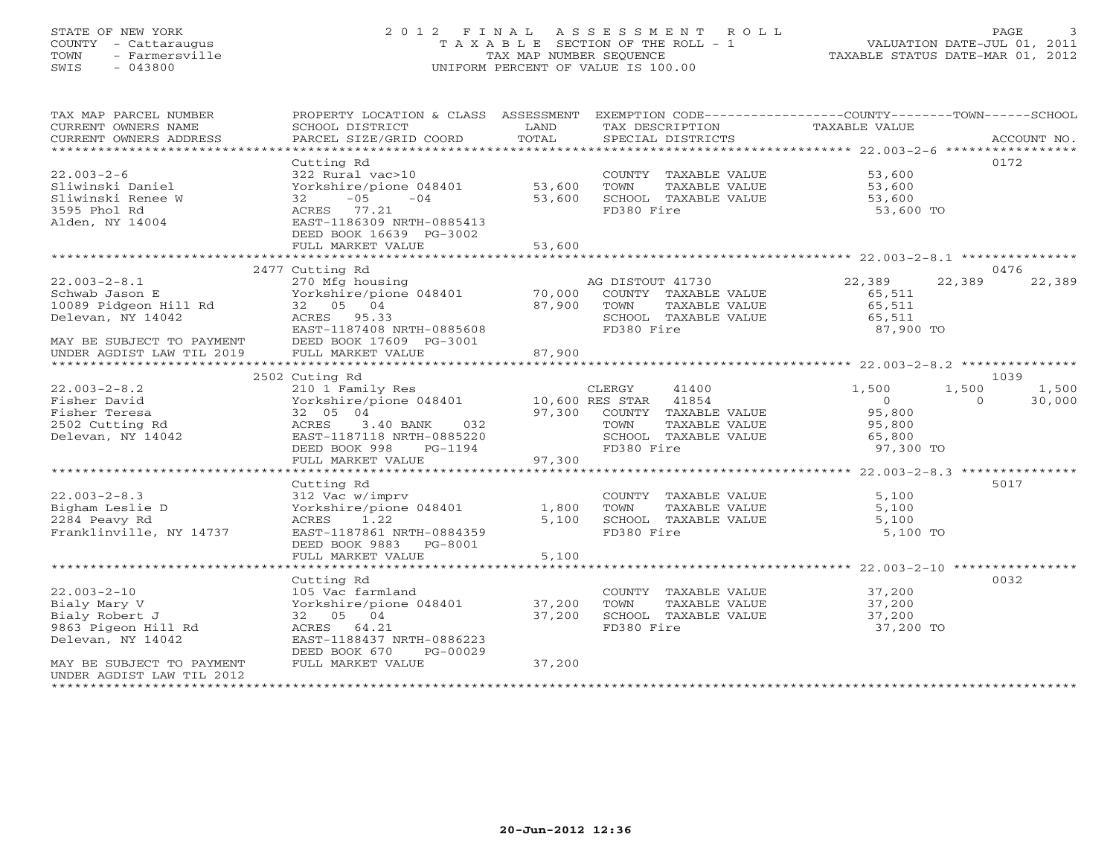# STATE OF NEW YORK 2 0 1 2 F I N A L A S S E S S M E N T R O L L PAGE 3 COUNTY - Cattaraugus T A X A B L E SECTION OF THE ROLL - 1 VALUATION DATE-JUL 01, 2011 TOWN - Farmersville TAX MAP NUMBER SEQUENCE TAXABLE STATUS DATE-MAR 01, 2012 SWIS - 043800 UNIFORM PERCENT OF VALUE IS 100.00UNIFORM PERCENT OF VALUE IS 100.00

| TAX MAP PARCEL NUMBER<br>CURRENT OWNERS NAME              | PROPERTY LOCATION & CLASS ASSESSMENT<br>SCHOOL DISTRICT<br>PARCEL SIZE/GRID COORD        | LAND<br>TOTAL | EXEMPTION CODE-----------------COUNTY-------TOWN------SCHOOL<br>TAX DESCRIPTION | TAXABLE VALUE              |                          |
|-----------------------------------------------------------|------------------------------------------------------------------------------------------|---------------|---------------------------------------------------------------------------------|----------------------------|--------------------------|
| CURRENT OWNERS ADDRESS                                    |                                                                                          |               | SPECIAL DISTRICTS                                                               |                            | ACCOUNT NO.              |
|                                                           | Cutting Rd                                                                               |               |                                                                                 |                            | 0172                     |
| $22.003 - 2 - 6$<br>Sliwinski Daniel<br>Sliwinski Renee W | 322 Rural vac>10<br>Yorkshire/pione 048401 53,600<br>$32 -05 -04$                        | 53,600        | COUNTY TAXABLE VALUE<br>TOWN<br>TAXABLE VALUE<br>SCHOOL TAXABLE VALUE           | 53,600<br>53,600<br>53,600 |                          |
| 3595 Phol Rd<br>Alden, NY 14004                           | ACRES 77.21<br>EAST-1186309 NRTH-0885413<br>DEED BOOK 16639 PG-3002<br>FULL MARKET VALUE | 53,600        | FD380 Fire                                                                      | 53,600 TO                  |                          |
|                                                           |                                                                                          |               |                                                                                 |                            |                          |
|                                                           | 2477 Cutting Rd                                                                          |               |                                                                                 |                            | 0476                     |
| $22.003 - 2 - 8.1$                                        | 270 Mfg housing                                                                          |               | AG DISTOUT 41730                                                                | 22,389                     | 22,389<br>22,389         |
| Schwab Jason E                                            | Yorkshire/pione 048401 70,000 COUNTY TAXABLE VALUE<br>32 05 04 87,900 TOWN TAXABLE VALUE |               |                                                                                 | 65.511                     |                          |
| 10089 Pidgeon Hill Rd<br>Delever November 100             |                                                                                          | 87,900        | TAXABLE VALUE                                                                   | 65,511                     |                          |
| Delevan, NY 14042                                         | ACRES 95.33                                                                              |               | SCHOOL TAXABLE VALUE                                                            | 65,511                     |                          |
|                                                           | EAST-1187408 NRTH-0885608                                                                |               | FD380 Fire                                                                      | 87,900 TO                  |                          |
| MAY BE SUBJECT TO PAYMENT<br>UNDER AGDIST LAW TIL 2019    | DEED BOOK 17609 PG-3001                                                                  |               |                                                                                 |                            |                          |
|                                                           | FULL MARKET VALUE                                                                        | 87,900        |                                                                                 |                            |                          |
|                                                           |                                                                                          |               |                                                                                 |                            |                          |
|                                                           | 2502 Cuting Rd                                                                           |               |                                                                                 |                            | 1039                     |
| $22.003 - 2 - 8.2$                                        |                                                                                          |               |                                                                                 | 1,500                      | 1,500<br>1,500           |
| Fisher David                                              |                                                                                          |               |                                                                                 | $\overline{0}$             | $\overline{0}$<br>30,000 |
| Fisher Teresa                                             | 32 05 04                                                                                 |               | 97,300 COUNTY TAXABLE VALUE                                                     | 95,800                     |                          |
| 2502 Cutting Rd                                           | ACRES 3.40 BANK 032                                                                      |               | TOWN<br>TAXABLE VALUE                                                           | 95,800                     |                          |
| Delevan, NY 14042                                         | EAST-1187118 NRTH-0885220                                                                |               | SCHOOL TAXABLE VALUE                                                            | 65,800                     |                          |
|                                                           | DEED BOOK 998<br>PG-1194                                                                 |               | FD380 Fire                                                                      | 97,300 TO                  |                          |
|                                                           | FULL MARKET VALUE                                                                        | 97,300        |                                                                                 |                            |                          |
|                                                           |                                                                                          |               |                                                                                 |                            |                          |
|                                                           | Cutting Rd                                                                               |               |                                                                                 |                            | 5017                     |
| $22.003 - 2 - 8.3$                                        | 312 Vac w/imprv                                                                          |               | COUNTY TAXABLE VALUE                                                            | 5,100                      |                          |
| Bigham Leslie D                                           | Yorkshire/pione 048401                                                                   | 1,800         | TAXABLE VALUE<br>TOWN                                                           | 5,100                      |                          |
| 2284 Peavy Rd                                             | ACRES 1.22                                                                               | 5,100         | SCHOOL TAXABLE VALUE                                                            | 5,100                      |                          |
| Franklinville, NY 14737                                   | EAST-1187861 NRTH-0884359<br>DEED BOOK 9883 PG-8001                                      |               | FD380 Fire                                                                      | 5,100 TO                   |                          |
|                                                           | FULL MARKET VALUE                                                                        | 5,100         |                                                                                 |                            |                          |
|                                                           |                                                                                          |               |                                                                                 |                            |                          |
|                                                           | Cutting Rd                                                                               |               |                                                                                 |                            | 0032                     |
| $22.003 - 2 - 10$                                         |                                                                                          |               | COUNTY TAXABLE VALUE                                                            | 37,200                     |                          |
| Bialy Mary V                                              | 105 Vac farmland<br>Yorkshire/pione 048401 37,200                                        |               | TOWN<br>TAXABLE VALUE                                                           | 37,200                     |                          |
| Bialy Robert J                                            | 32 05 04                                                                                 | 37,200        | SCHOOL TAXABLE VALUE                                                            | 37,200                     |                          |
| 9863 Pigeon Hill Rd                                       | ACRES 64.21                                                                              |               | FD380 Fire                                                                      | 37,200 TO                  |                          |
| Delevan, NY 14042                                         | EAST-1188437 NRTH-0886223<br>DEED BOOK 670<br>PG-00029                                   |               |                                                                                 |                            |                          |
| MAY BE SUBJECT TO PAYMENT<br>UNDER AGDIST LAW TIL 2012    | FULL MARKET VALUE                                                                        | 37,200        |                                                                                 |                            |                          |
|                                                           |                                                                                          |               |                                                                                 |                            |                          |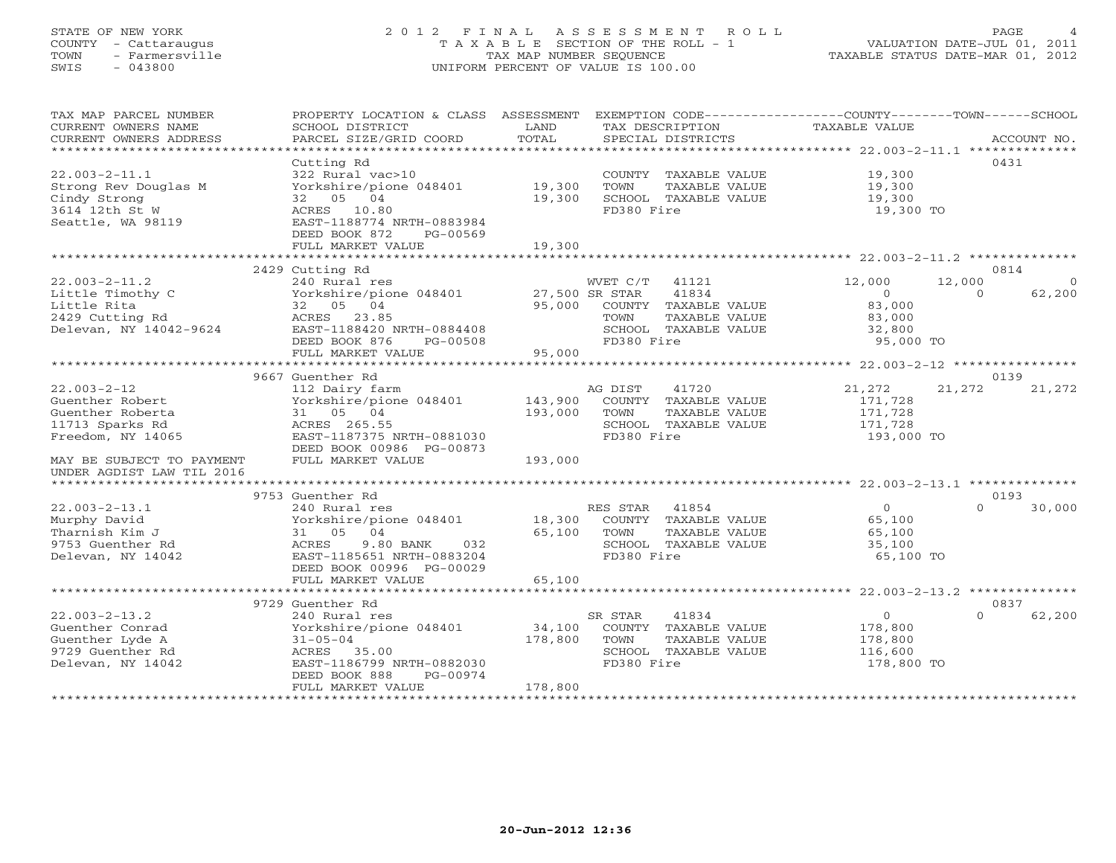# STATE OF NEW YORK 2 0 1 2 F I N A L A S S E S S M E N T R O L L PAGE 4 COUNTY - Cattaraugus T A X A B L E SECTION OF THE ROLL - 1 VALUATION DATE-JUL 01, 2011 TOWN - Farmersville TAX MAP NUMBER SEQUENCE TAXABLE STATUS DATE-MAR 01, 2012 SWIS - 043800 UNIFORM PERCENT OF VALUE IS 100.00UNIFORM PERCENT OF VALUE IS 100.00

| TAX MAP PARCEL NUMBER<br>CURRENT OWNERS NAME<br>CURRENT OWNERS ADDRESS | PROPERTY LOCATION & CLASS ASSESSMENT EXEMPTION CODE----------------COUNTY-------TOWN------SCHOOL<br>SCHOOL DISTRICT<br>PARCEL SIZE/GRID COORD | LAND<br>TOTAL | TAX DESCRIPTION<br>SPECIAL DISTRICTS | TAXABLE VALUE  | ACCOUNT NO.        |
|------------------------------------------------------------------------|-----------------------------------------------------------------------------------------------------------------------------------------------|---------------|--------------------------------------|----------------|--------------------|
|                                                                        |                                                                                                                                               |               |                                      |                |                    |
|                                                                        | Cutting Rd                                                                                                                                    |               |                                      |                | 0431               |
| $22.003 - 2 - 11.1$                                                    | 322 Rural vac>10                                                                                                                              |               | COUNTY TAXABLE VALUE                 | 19,300         |                    |
| Strong Rev Douglas M                                                   | Yorkshire/pione 048401                                                                                                                        | 19,300        | TOWN<br>TAXABLE VALUE                | 19,300         |                    |
| Cindy Strong                                                           | 32 05 04                                                                                                                                      | 19,300        | SCHOOL TAXABLE VALUE                 | 19,300         |                    |
| 3614 12th St W                                                         | ACRES 10.80                                                                                                                                   |               | FD380 Fire                           | 19,300 TO      |                    |
| Seattle, WA 98119                                                      | EAST-1188774 NRTH-0883984                                                                                                                     |               |                                      |                |                    |
|                                                                        | DEED BOOK 872<br>PG-00569                                                                                                                     |               |                                      |                |                    |
|                                                                        | FULL MARKET VALUE                                                                                                                             | 19,300        |                                      |                |                    |
|                                                                        |                                                                                                                                               |               |                                      |                |                    |
|                                                                        | 2429 Cutting Rd                                                                                                                               |               |                                      |                | 0814               |
| $22.003 - 2 - 11.2$                                                    | 240 Rural res                                                                                                                                 |               | WVET $C/T$<br>41121                  | 12,000         | 12,000<br>$\Omega$ |
| Little Timothy C                                                       | Yorkshire/pione 048401 27,500 SR STAR                                                                                                         |               | 41834                                | $\Omega$       | $\Omega$<br>62,200 |
| Little Rita                                                            | 32 05 04                                                                                                                                      | 95,000        | COUNTY TAXABLE VALUE                 | 83,000         |                    |
| 2429 Cutting Rd                                                        | ACRES 23.85                                                                                                                                   |               | TAXABLE VALUE<br>TOWN                | 83,000         |                    |
| Delevan, NY 14042-9624                                                 | EAST-1188420 NRTH-0884408                                                                                                                     |               | SCHOOL TAXABLE VALUE                 | 32,800         |                    |
|                                                                        | DEED BOOK 876<br>PG-00508                                                                                                                     |               | FD380 Fire                           | 95,000 TO      |                    |
|                                                                        | FULL MARKET VALUE                                                                                                                             | 95,000        |                                      |                |                    |
|                                                                        |                                                                                                                                               |               |                                      |                |                    |
|                                                                        | 9667 Guenther Rd                                                                                                                              |               |                                      |                | 0139               |
| $22.003 - 2 - 12$                                                      | 112 Dairy farm                                                                                                                                |               | AG DIST<br>41720                     | 21,272         | 21,272<br>21,272   |
|                                                                        |                                                                                                                                               | 143,900       |                                      |                |                    |
| Guenther Robert                                                        | Yorkshire/pione 048401<br>31 05 04                                                                                                            |               | COUNTY TAXABLE VALUE                 | 171,728        |                    |
| Guenther Roberta                                                       |                                                                                                                                               | 193,000       | TOWN<br>TAXABLE VALUE                | 171,728        |                    |
| 11713 Sparks Rd                                                        | ACRES 265.55                                                                                                                                  |               | SCHOOL TAXABLE VALUE                 | 171,728        |                    |
| Freedom, NY 14065                                                      | EAST-1187375 NRTH-0881030                                                                                                                     |               | FD380 Fire                           | 193,000 TO     |                    |
|                                                                        | DEED BOOK 00986 PG-00873                                                                                                                      |               |                                      |                |                    |
| MAY BE SUBJECT TO PAYMENT                                              | FULL MARKET VALUE                                                                                                                             | 193,000       |                                      |                |                    |
| UNDER AGDIST LAW TIL 2016                                              |                                                                                                                                               |               |                                      |                |                    |
|                                                                        |                                                                                                                                               |               |                                      |                |                    |
|                                                                        | 9753 Guenther Rd                                                                                                                              |               |                                      |                | 0193               |
| $22.003 - 2 - 13.1$                                                    | 240 Rural res                                                                                                                                 |               | RES STAR 41854                       | $\overline{0}$ | $\Omega$<br>30,000 |
| Murphy David                                                           | Yorkshire/pione 048401                                                                                                                        | 18,300        | COUNTY TAXABLE VALUE                 | 65,100         |                    |
| Tharnish Kim J                                                         | 31 05 04                                                                                                                                      | 65,100        | TOWN<br>TAXABLE VALUE                | 65,100         |                    |
| 9753 Guenther Rd                                                       | ACRES<br>9.80 BANK<br>032                                                                                                                     |               | SCHOOL TAXABLE VALUE                 | 35,100         |                    |
| Delevan, NY 14042                                                      | EAST-1185651 NRTH-0883204                                                                                                                     |               | FD380 Fire                           | 65,100 TO      |                    |
|                                                                        | DEED BOOK 00996 PG-00029                                                                                                                      |               |                                      |                |                    |
|                                                                        | FULL MARKET VALUE                                                                                                                             | 65,100        |                                      |                |                    |
|                                                                        | ***************************                                                                                                                   |               |                                      |                |                    |
|                                                                        | 9729 Guenther Rd                                                                                                                              |               |                                      |                | 0837               |
| $22.003 - 2 - 13.2$                                                    | 240 Rural res                                                                                                                                 |               | SR STAR<br>41834                     | $\circ$        | 62,200<br>$\Omega$ |
| Guenther Conrad                                                        | Yorkshire/pione 048401                                                                                                                        | 34,100        | COUNTY TAXABLE VALUE                 | 178,800        |                    |
| Guenther Lyde A                                                        | $31 - 05 - 04$                                                                                                                                | 178,800       | TOWN<br>TAXABLE VALUE                | 178,800        |                    |
| 9729 Guenther Rd                                                       | ACRES 35.00                                                                                                                                   |               | SCHOOL TAXABLE VALUE                 | 116,600        |                    |
| Delevan, NY 14042                                                      | EAST-1186799 NRTH-0882030                                                                                                                     |               | FD380 Fire                           | 178,800 TO     |                    |
|                                                                        | DEED BOOK 888<br>PG-00974                                                                                                                     |               |                                      |                |                    |
|                                                                        | FULL MARKET VALUE                                                                                                                             | 178,800       |                                      |                |                    |
|                                                                        |                                                                                                                                               |               |                                      |                |                    |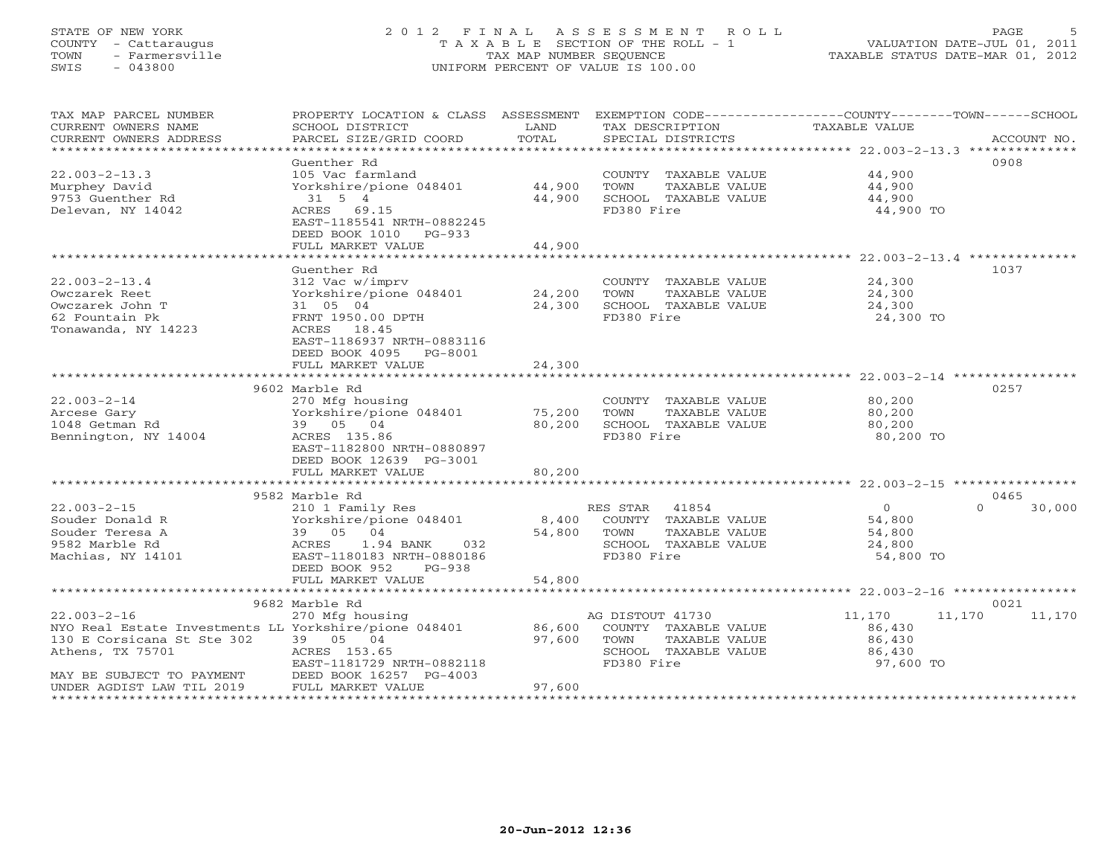# STATE OF NEW YORK 2 0 1 2 F I N A L A S S E S S M E N T R O L L PAGE 5 COUNTY - Cattaraugus T A X A B L E SECTION OF THE ROLL - 1 VALUATION DATE-JUL 01, 2011 TOWN - Farmersville TAX MAP NUMBER SEQUENCE TAXABLE STATUS DATE-MAR 01, 2012 SWIS - 043800 UNIFORM PERCENT OF VALUE IS 100.00UNIFORM PERCENT OF VALUE IS 100.00

| TAX MAP PARCEL NUMBER<br>CURRENT OWNERS NAME<br>CURRENT OWNERS ADDRESS | PROPERTY LOCATION & CLASS ASSESSMENT<br>SCHOOL DISTRICT<br>PARCEL SIZE/GRID COORD | LAND<br>TOTAL | EXEMPTION CODE-----------------COUNTY-------TOWN------SCHOOL<br>TAX DESCRIPTION<br>SPECIAL DISTRICTS | TAXABLE VALUE       | ACCOUNT NO.        |
|------------------------------------------------------------------------|-----------------------------------------------------------------------------------|---------------|------------------------------------------------------------------------------------------------------|---------------------|--------------------|
|                                                                        |                                                                                   |               |                                                                                                      |                     |                    |
|                                                                        | Guenther Rd                                                                       |               |                                                                                                      |                     | 0908               |
| $22.003 - 2 - 13.3$                                                    | 105 Vac farmland                                                                  |               | COUNTY TAXABLE VALUE                                                                                 | 44,900              |                    |
| Murphey David                                                          | Yorkshire/pione 048401                                                            | 44,900        | TOWN<br>TAXABLE VALUE                                                                                | 44,900              |                    |
| 9753 Guenther Rd                                                       | 31 5 4                                                                            | 44,900        | SCHOOL TAXABLE VALUE                                                                                 | 44,900              |                    |
| Delevan, NY 14042                                                      | ACRES 69.15<br>EAST-1185541 NRTH-0882245                                          |               | FD380 Fire                                                                                           | 44,900 TO           |                    |
|                                                                        | DEED BOOK 1010 PG-933                                                             |               |                                                                                                      |                     |                    |
|                                                                        | FULL MARKET VALUE                                                                 | 44,900        |                                                                                                      |                     |                    |
|                                                                        | *******************************                                                   |               |                                                                                                      |                     |                    |
|                                                                        | Guenther Rd                                                                       |               |                                                                                                      |                     | 1037               |
| $22.003 - 2 - 13.4$                                                    | 312 Vac w/imprv                                                                   |               | COUNTY TAXABLE VALUE                                                                                 | 24,300              |                    |
| Owczarek Reet                                                          | Yorkshire/pione 048401                                                            | 24,200        | TAXABLE VALUE<br>TOWN                                                                                | 24,300              |                    |
| Owczarek John T                                                        | 31 05 04                                                                          | 24,300        | SCHOOL TAXABLE VALUE                                                                                 | 24,300              |                    |
| 62 Fountain Pk                                                         | FRNT 1950.00 DPTH                                                                 |               | FD380 Fire                                                                                           | 24,300 TO           |                    |
| Tonawanda, NY 14223                                                    | ACRES 18.45                                                                       |               |                                                                                                      |                     |                    |
|                                                                        | EAST-1186937 NRTH-0883116                                                         |               |                                                                                                      |                     |                    |
|                                                                        | DEED BOOK 4095 PG-8001                                                            |               |                                                                                                      |                     |                    |
|                                                                        | FULL MARKET VALUE                                                                 | 24,300        |                                                                                                      |                     |                    |
|                                                                        | 9602 Marble Rd                                                                    |               |                                                                                                      |                     | 0257               |
| $22.003 - 2 - 14$                                                      | 270 Mfg housing                                                                   |               | COUNTY TAXABLE VALUE                                                                                 | 80,200              |                    |
| Arcese Gary                                                            | Yorkshire/pione 048401                                                            | 75,200        | TAXABLE VALUE<br>TOWN                                                                                | 80,200              |                    |
| 1048 Getman Rd                                                         | 39 05 04                                                                          | 80,200        | SCHOOL TAXABLE VALUE                                                                                 | 80,200              |                    |
| Bennington, NY 14004                                                   | ACRES 135.86                                                                      |               | FD380 Fire                                                                                           | 80,200 TO           |                    |
|                                                                        | EAST-1182800 NRTH-0880897                                                         |               |                                                                                                      |                     |                    |
|                                                                        | DEED BOOK 12639 PG-3001                                                           |               |                                                                                                      |                     |                    |
|                                                                        | FULL MARKET VALUE                                                                 | 80,200        |                                                                                                      |                     |                    |
|                                                                        |                                                                                   |               |                                                                                                      |                     |                    |
|                                                                        | 9582 Marble Rd                                                                    |               |                                                                                                      |                     | 0465               |
| $22.003 - 2 - 15$                                                      | 210 1 Family Res                                                                  |               | 41854<br>RES STAR                                                                                    | $\overline{O}$      | $\Omega$<br>30,000 |
| Souder Donald R                                                        | Yorkshire/pione 048401                                                            | 8,400         | COUNTY TAXABLE VALUE                                                                                 | 54,800              |                    |
| Souder Teresa A                                                        | 39 05 04                                                                          | 54,800        | TAXABLE VALUE<br>TOWN                                                                                | 54,800              |                    |
| 9582 Marble Rd<br>Machias, NY 14101                                    | ACRES<br>1.94 BANK<br>032<br>EAST-1180183 NRTH-0880186                            |               | SCHOOL TAXABLE VALUE<br>FD380 Fire                                                                   | 24,800<br>54,800 TO |                    |
|                                                                        | DEED BOOK 952<br>$PG-938$                                                         |               |                                                                                                      |                     |                    |
|                                                                        | FULL MARKET VALUE                                                                 | 54,800        |                                                                                                      |                     |                    |
|                                                                        |                                                                                   |               |                                                                                                      |                     |                    |
|                                                                        | 9682 Marble Rd                                                                    |               |                                                                                                      |                     | 0021               |
| $22.003 - 2 - 16$                                                      | 270 Mfg housing                                                                   |               | AG DISTOUT 41730                                                                                     | 11,170              | 11,170<br>11,170   |
| NYO Real Estate Investments LL Yorkshire/pione 048401                  |                                                                                   | 86,600        | COUNTY TAXABLE VALUE                                                                                 | 86,430              |                    |
| 130 E Corsicana St Ste 302                                             | 39 05 04                                                                          | 97,600        | TAXABLE VALUE<br>TOWN                                                                                | 86,430              |                    |
| Athens, TX 75701                                                       | ACRES 153.65                                                                      |               | SCHOOL TAXABLE VALUE                                                                                 | 86,430              |                    |
|                                                                        | EAST-1181729 NRTH-0882118                                                         |               | FD380 Fire                                                                                           | 97,600 TO           |                    |
| MAY BE SUBJECT TO PAYMENT                                              | DEED BOOK 16257 PG-4003                                                           |               |                                                                                                      |                     |                    |
| UNDER AGDIST LAW TIL 2019                                              | FULL MARKET VALUE                                                                 | 97,600        |                                                                                                      |                     |                    |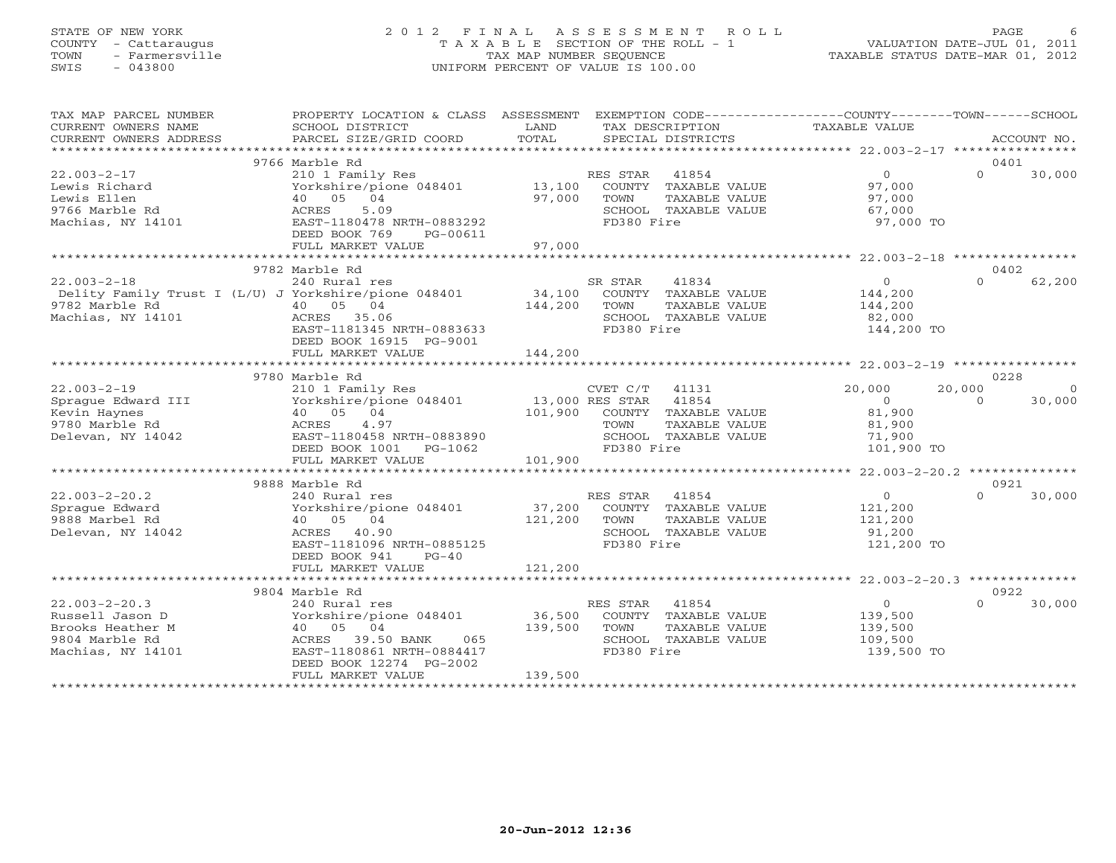# STATE OF NEW YORK 2 0 1 2 F I N A L A S S E S S M E N T R O L L PAGE 6 COUNTY - Cattaraugus T A X A B L E SECTION OF THE ROLL - 1 VALUATION DATE-JUL 01, 2011 TOWN - Farmersville TAX MAP NUMBER SEQUENCE TAXABLE STATUS DATE-MAR 01, 2012 SWIS - 043800 UNIFORM PERCENT OF VALUE IS 100.00UNIFORM PERCENT OF VALUE IS 100.00

| TAX MAP PARCEL NUMBER<br>CURRENT OWNERS NAME<br>CURRENT OWNERS ADDRESS                                                                       | PROPERTY LOCATION & CLASS ASSESSMENT<br>SCHOOL DISTRICT<br>PARCEL SIZE/GRID COORD                                                                                               | LAND<br>TOTAL                |                                      | TAX DESCRIPTION<br>SPECIAL DISTRICTS                                   | EXEMPTION CODE-----------------COUNTY-------TOWN------SCHOOL<br>TAXABLE VALUE |          | ACCOUNT NO.    |
|----------------------------------------------------------------------------------------------------------------------------------------------|---------------------------------------------------------------------------------------------------------------------------------------------------------------------------------|------------------------------|--------------------------------------|------------------------------------------------------------------------|-------------------------------------------------------------------------------|----------|----------------|
|                                                                                                                                              |                                                                                                                                                                                 |                              |                                      |                                                                        |                                                                               |          |                |
| $22.003 - 2 - 17$<br>Lewis Richard<br>Lewis Ellen<br>9766 Marble Rd<br>Machias, NY 14101                                                     | 9766 Marble Rd<br>210 1 Family Res<br>Yorkshire/pione 048401 13,100<br>40 05 04<br>5.09<br>ACRES<br>EAST-1180478 NRTH-0883292<br>DEED BOOK 769<br>PG-00611<br>FULL MARKET VALUE | 97,000<br>97,000             | RES STAR<br>TOWN<br>FD380 Fire       | 41854<br>COUNTY TAXABLE VALUE<br>TAXABLE VALUE<br>SCHOOL TAXABLE VALUE | $\Omega$<br>97,000<br>97,000<br>67,000<br>97,000 TO                           | $\Omega$ | 0401<br>30,000 |
|                                                                                                                                              |                                                                                                                                                                                 |                              |                                      |                                                                        |                                                                               |          |                |
| $22.003 - 2 - 18$<br>Delity Family Trust I (L/U) J Yorkshire/pione 048401 34,100 COUNTY TAXABLE VALUE<br>9782 Marble Rd<br>Machias, NY 14101 | 9782 Marble Rd<br>240 Rural res<br>40 05 04<br>ACRES 35.06<br>EAST-1181345 NRTH-0883633<br>DEED BOOK 16915 PG-9001<br>FULL MARKET VALUE                                         | 144,200<br>144,200           | SR STAR<br>TOWN<br>FD380 Fire        | 41834<br>TAXABLE VALUE<br>SCHOOL TAXABLE VALUE                         | $\overline{0}$<br>144,200<br>144,200<br>82,000<br>144,200 TO                  | $\Omega$ | 0402<br>62,200 |
|                                                                                                                                              |                                                                                                                                                                                 |                              |                                      |                                                                        |                                                                               |          |                |
|                                                                                                                                              | 9780 Marble Rd                                                                                                                                                                  |                              |                                      |                                                                        |                                                                               | 0228     |                |
| $22.003 - 2 - 19$                                                                                                                            |                                                                                                                                                                                 |                              |                                      |                                                                        | 20,000                                                                        | 20,000   | $\Omega$       |
| Sprague Edward III<br>Kevin Haynes<br>9780 Marble Rd<br>Delevan, NY 14042                                                                    | 210 1 Family Res<br>Yorkshire/pione 048401 13,000 RES STAR 41854<br>40 05 04<br>4.97<br>ACRES<br>EAST-1180458 NRTH-0883890<br>DEED BOOK 1001    PG-1062                         |                              | TOWN<br>FD380 Fire                   | 101,900 COUNTY TAXABLE VALUE<br>TAXABLE VALUE<br>SCHOOL TAXABLE VALUE  | $\Omega$<br>81,900<br>81,900<br>71,900<br>101,900 TO                          | $\Omega$ | 30,000         |
|                                                                                                                                              | FULL MARKET VALUE                                                                                                                                                               | 101,900                      |                                      |                                                                        |                                                                               |          |                |
|                                                                                                                                              |                                                                                                                                                                                 |                              |                                      |                                                                        |                                                                               |          |                |
|                                                                                                                                              | 9888 Marble Rd                                                                                                                                                                  |                              |                                      |                                                                        |                                                                               |          | 0921           |
| $22.003 - 2 - 20.2$<br>Sprague Edward<br>9888 Marbel Rd<br>Delevan, NY 14042                                                                 | 240 Rural res<br>Yorkshire/pione 048401<br>40 05 04<br>ACRES 40.90<br>EAST-1181096 NRTH-0885125<br>DEED BOOK 941<br>$PG-40$                                                     | 37,200<br>121,200            | RES STAR 41854<br>TOWN<br>FD380 Fire | COUNTY TAXABLE VALUE<br>TAXABLE VALUE<br>SCHOOL TAXABLE VALUE          | $\overline{O}$<br>121,200<br>121,200<br>91,200<br>121,200 TO                  | $\Omega$ | 30,000         |
|                                                                                                                                              | FULL MARKET VALUE                                                                                                                                                               | 121,200                      |                                      |                                                                        |                                                                               |          |                |
|                                                                                                                                              |                                                                                                                                                                                 |                              |                                      |                                                                        |                                                                               |          |                |
|                                                                                                                                              | 9804 Marble Rd                                                                                                                                                                  |                              |                                      |                                                                        |                                                                               | 0922     |                |
| $22.003 - 2 - 20.3$<br>Russell Jason D<br>Brooks Heather M<br>9804 Marble Rd<br>Machias, NY 14101                                            | 240 Rural res<br>Yorkshire/pione 048401<br>40 05 04<br>ACRES 39.50 BANK<br>065<br>EAST-1180861 NRTH-0884417<br>DEED BOOK 12274 PG-2002<br>FULL MARKET VALUE                     | 36,500<br>139,500<br>139,500 | RES STAR 41854<br>TOWN<br>FD380 Fire | COUNTY TAXABLE VALUE<br>TAXABLE VALUE<br>SCHOOL TAXABLE VALUE          | $\overline{0}$<br>139,500<br>139,500<br>109,500<br>139,500 TO                 | $\cap$   | 30,000         |
|                                                                                                                                              |                                                                                                                                                                                 |                              |                                      |                                                                        |                                                                               |          |                |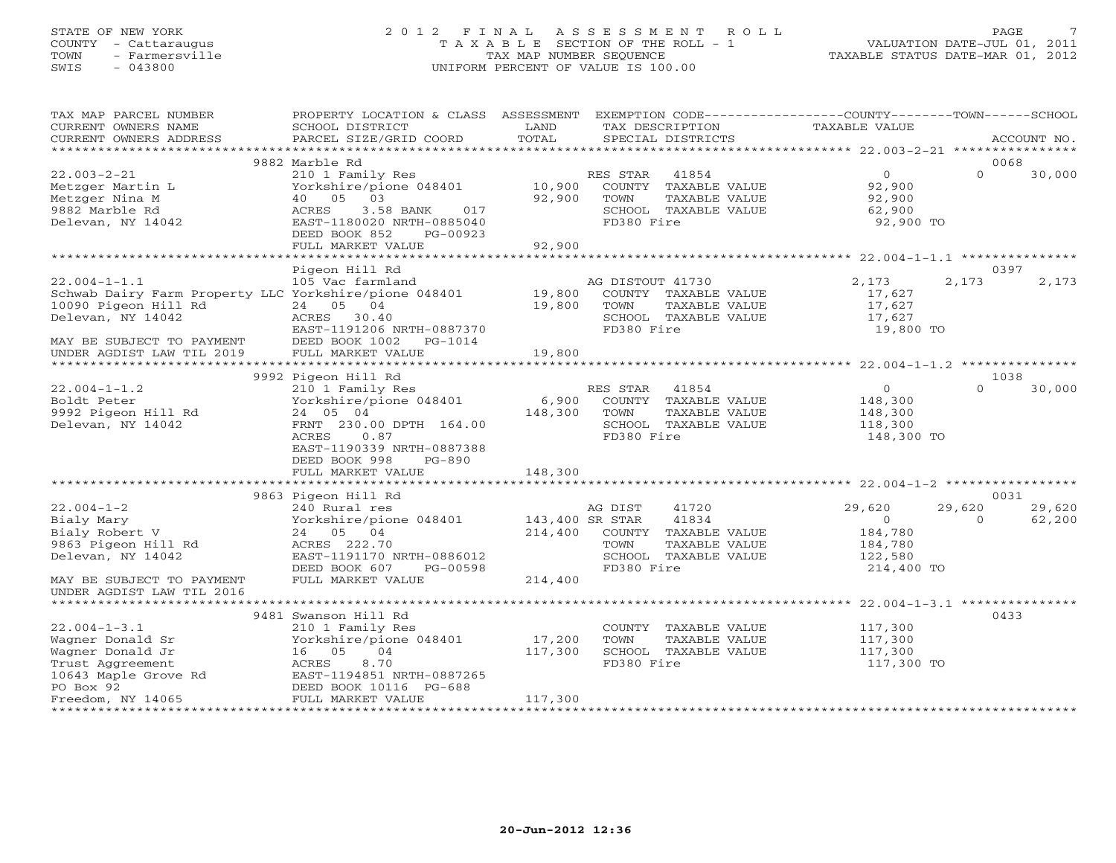# STATE OF NEW YORK 2 0 1 2 F I N A L A S S E S S M E N T R O L L PAGE 7 COUNTY - Cattaraugus T A X A B L E SECTION OF THE ROLL - 1 VALUATION DATE-JUL 01, 2011 TOWN - Farmersville TAX MAP NUMBER SEQUENCE TAXABLE STATUS DATE-MAR 01, 2012 SWIS - 043800 UNIFORM PERCENT OF VALUE IS 100.00UNIFORM PERCENT OF VALUE IS 100.00

| TAX MAP PARCEL NUMBER                                                                                                                                                                                                  | PROPERTY LOCATION & CLASS ASSESSMENT EXEMPTION CODE---------------COUNTY-------TOWN------SCHOOL                                                                      |         |                                |                                                                                                                                                                                                                                                                |          |             |
|------------------------------------------------------------------------------------------------------------------------------------------------------------------------------------------------------------------------|----------------------------------------------------------------------------------------------------------------------------------------------------------------------|---------|--------------------------------|----------------------------------------------------------------------------------------------------------------------------------------------------------------------------------------------------------------------------------------------------------------|----------|-------------|
| CURRENT OWNERS NAME                                                                                                                                                                                                    | SCHOOL DISTRICT                                                                                                                                                      | LAND    | TAX DESCRIPTION                | TAXABLE VALUE                                                                                                                                                                                                                                                  |          |             |
| CURRENT OWNERS ADDRESS                                                                                                                                                                                                 | PARCEL SIZE/GRID COORD                                                                                                                                               | TOTAL   | SPECIAL DISTRICTS              |                                                                                                                                                                                                                                                                |          | ACCOUNT NO. |
|                                                                                                                                                                                                                        |                                                                                                                                                                      |         |                                |                                                                                                                                                                                                                                                                |          |             |
|                                                                                                                                                                                                                        | 9882 Marble Rd                                                                                                                                                       |         |                                |                                                                                                                                                                                                                                                                | 0068     |             |
| $22.003 - 2 - 21$                                                                                                                                                                                                      | $210$ I Family Res<br>Yorkshire/pione 048401 10,900 COUNTY TAXABLE<br>40 05 02                                                                                       |         |                                | $\Omega$                                                                                                                                                                                                                                                       | $\Omega$ | 30,000      |
| Metzger Martin L                                                                                                                                                                                                       |                                                                                                                                                                      |         | COUNTY TAXABLE VALUE 92,900    |                                                                                                                                                                                                                                                                |          |             |
| Metzger Nina M                                                                                                                                                                                                         | $40$ 05 03 92,900<br>$ACRES$ 3.58 BANK 017 92,900<br>$EAST-1180020$ NRTH-0885040                                                                                     |         | TAXABLE VALUE<br>TOWN          | 92,900                                                                                                                                                                                                                                                         |          |             |
| 9882 Marble Rd                                                                                                                                                                                                         |                                                                                                                                                                      |         | SCHOOL TAXABLE VALUE           | 62,900                                                                                                                                                                                                                                                         |          |             |
| Delevan, NY 14042                                                                                                                                                                                                      |                                                                                                                                                                      |         | FD380 Fire                     | 92,900 TO                                                                                                                                                                                                                                                      |          |             |
|                                                                                                                                                                                                                        | DEED BOOK 852<br>PG-00923                                                                                                                                            |         |                                |                                                                                                                                                                                                                                                                |          |             |
|                                                                                                                                                                                                                        |                                                                                                                                                                      |         |                                |                                                                                                                                                                                                                                                                |          |             |
|                                                                                                                                                                                                                        |                                                                                                                                                                      |         |                                |                                                                                                                                                                                                                                                                |          |             |
|                                                                                                                                                                                                                        | Pigeon Hill Rd                                                                                                                                                       |         |                                |                                                                                                                                                                                                                                                                | 0397     |             |
| 22.004-1-1.1<br>105 Vac farmland<br>105 Vac farmland<br>105 Vac farmland<br>19,800 COUNTY<br>19,800 COUNTY<br>19,800 TOWN<br>Delevan, NY 14042<br>24 05 04 19,800 TOWN<br>24 05 04 19,800 TOWN<br>24 05 04 19,800 NORD |                                                                                                                                                                      |         | AG DISTOUT 41730               | 2,173                                                                                                                                                                                                                                                          | 2,173    | 2,173       |
|                                                                                                                                                                                                                        |                                                                                                                                                                      |         | COUNTY TAXABLE VALUE           | 17,627                                                                                                                                                                                                                                                         |          |             |
|                                                                                                                                                                                                                        |                                                                                                                                                                      |         | TAXABLE VALUE                  | 17,627<br>17,627                                                                                                                                                                                                                                               |          |             |
|                                                                                                                                                                                                                        |                                                                                                                                                                      |         | SCHOOL TAXABLE VALUE           |                                                                                                                                                                                                                                                                |          |             |
|                                                                                                                                                                                                                        | EAST-1191206 NRTH-0887370                                                                                                                                            |         | FD380 Fire                     | 19,800 TO                                                                                                                                                                                                                                                      |          |             |
| MAY BE SUBJECT TO PAYMENT<br>UNDER AGDIST LAW TIL 2019 FULL MARKET VALUE                                                                                                                                               |                                                                                                                                                                      |         |                                |                                                                                                                                                                                                                                                                |          |             |
|                                                                                                                                                                                                                        |                                                                                                                                                                      | 19,800  |                                |                                                                                                                                                                                                                                                                |          |             |
|                                                                                                                                                                                                                        |                                                                                                                                                                      |         |                                |                                                                                                                                                                                                                                                                |          |             |
|                                                                                                                                                                                                                        | 9992 Pigeon Hill Rd<br>Pigeon Hill Rd<br>210 1 Family Res<br>Yorkshire/pione 048401 6,900 COUNTY TAXABLE VALUE<br>148,300 TOWN TAXABLE VALUE<br>COUNTY TAXABLE VALUE |         |                                |                                                                                                                                                                                                                                                                | 1038     |             |
| $22.004 - 1 - 1.2$                                                                                                                                                                                                     |                                                                                                                                                                      |         |                                | $\begin{tabular}{cc} \multicolumn{2}{c} \textbf{VALUE} & \multicolumn{2}{c} \textbf{0} \\ \multicolumn{2}{c} \textbf{VALUE} & \multicolumn{2}{c} \textbf{148,300} \\ \multicolumn{2}{c} \textbf{VALUE} & \multicolumn{2}{c} \textbf{148,300} \\ \end{tabular}$ | $\Omega$ | 30,000      |
| Boldt Peter<br>9992 Pigeon Hill Rd                                                                                                                                                                                     |                                                                                                                                                                      |         |                                |                                                                                                                                                                                                                                                                |          |             |
|                                                                                                                                                                                                                        |                                                                                                                                                                      |         |                                |                                                                                                                                                                                                                                                                |          |             |
| Delevan, NY 14042                                                                                                                                                                                                      |                                                                                                                                                                      |         | FD380 Fire                     | 118,300<br>148,300 TO                                                                                                                                                                                                                                          |          |             |
|                                                                                                                                                                                                                        | ACRES<br>0.87                                                                                                                                                        |         |                                |                                                                                                                                                                                                                                                                |          |             |
|                                                                                                                                                                                                                        | EAST-1190339 NRTH-0887388                                                                                                                                            |         |                                |                                                                                                                                                                                                                                                                |          |             |
|                                                                                                                                                                                                                        | DEED BOOK 998<br>PG-890                                                                                                                                              |         |                                |                                                                                                                                                                                                                                                                |          |             |
|                                                                                                                                                                                                                        |                                                                                                                                                                      |         |                                |                                                                                                                                                                                                                                                                |          |             |
|                                                                                                                                                                                                                        | 9863 Pigeon Hill Rd                                                                                                                                                  |         |                                |                                                                                                                                                                                                                                                                | 0031     |             |
| $22.004 - 1 - 2$                                                                                                                                                                                                       | 240 Rural res                                                                                                                                                        |         | 41720<br>AG DIST               | 29,620                                                                                                                                                                                                                                                         | 29,620   | 29,620      |
|                                                                                                                                                                                                                        | Equitariles<br>Yorkshire/pione 048401 143,400 SR STAR                                                                                                                |         | 41834                          | $\overline{0}$                                                                                                                                                                                                                                                 | $\Omega$ | 62,200      |
|                                                                                                                                                                                                                        | 24 05 04                                                                                                                                                             |         | $214,400$ COUNTY TAXABLE VALUE |                                                                                                                                                                                                                                                                |          |             |
|                                                                                                                                                                                                                        | ACRES 222.70                                                                                                                                                         |         | TOWN<br>TAXABLE VALUE          | 184,780<br>184,780                                                                                                                                                                                                                                             |          |             |
| Bialy Mary<br>Bialy Robert V<br>9863 Pigeon Hill Rd<br>Delevan, NY 14042<br>Delevan, NY 14042<br>EAST-1191170 NRTH-0886012                                                                                             |                                                                                                                                                                      |         | SCHOOL TAXABLE VALUE 122,580   |                                                                                                                                                                                                                                                                |          |             |
|                                                                                                                                                                                                                        | DEED BOOK 607 PG-00598                                                                                                                                               |         | FD380 Fire                     | 214,400 TO                                                                                                                                                                                                                                                     |          |             |
| MAY BE SUBJECT TO PAYMENT                                                                                                                                                                                              | FULL MARKET VALUE                                                                                                                                                    | 214,400 |                                |                                                                                                                                                                                                                                                                |          |             |
| UNDER AGDIST LAW TIL 2016                                                                                                                                                                                              |                                                                                                                                                                      |         |                                |                                                                                                                                                                                                                                                                |          |             |
|                                                                                                                                                                                                                        |                                                                                                                                                                      |         |                                |                                                                                                                                                                                                                                                                |          |             |
|                                                                                                                                                                                                                        | 9481 Swanson Hill Rd                                                                                                                                                 |         |                                |                                                                                                                                                                                                                                                                | 0433     |             |
| $22.004 - 1 - 3.1$                                                                                                                                                                                                     | 210 1 Family Res<br>Yorkshire/pione 048401 17,200                                                                                                                    |         | COUNTY TAXABLE VALUE           |                                                                                                                                                                                                                                                                |          |             |
| Wagner Donald Sr                                                                                                                                                                                                       |                                                                                                                                                                      |         | TAXABLE VALUE<br>TOWN          | 117,300<br>117,300                                                                                                                                                                                                                                             |          |             |
|                                                                                                                                                                                                                        |                                                                                                                                                                      | 117,300 | SCHOOL TAXABLE VALUE           | 117,300                                                                                                                                                                                                                                                        |          |             |
|                                                                                                                                                                                                                        |                                                                                                                                                                      |         | FD380 Fire                     | 117,300 TO                                                                                                                                                                                                                                                     |          |             |
|                                                                                                                                                                                                                        |                                                                                                                                                                      |         |                                |                                                                                                                                                                                                                                                                |          |             |
|                                                                                                                                                                                                                        |                                                                                                                                                                      |         |                                |                                                                                                                                                                                                                                                                |          |             |
|                                                                                                                                                                                                                        |                                                                                                                                                                      | 117,300 |                                |                                                                                                                                                                                                                                                                |          |             |
|                                                                                                                                                                                                                        |                                                                                                                                                                      |         |                                |                                                                                                                                                                                                                                                                |          |             |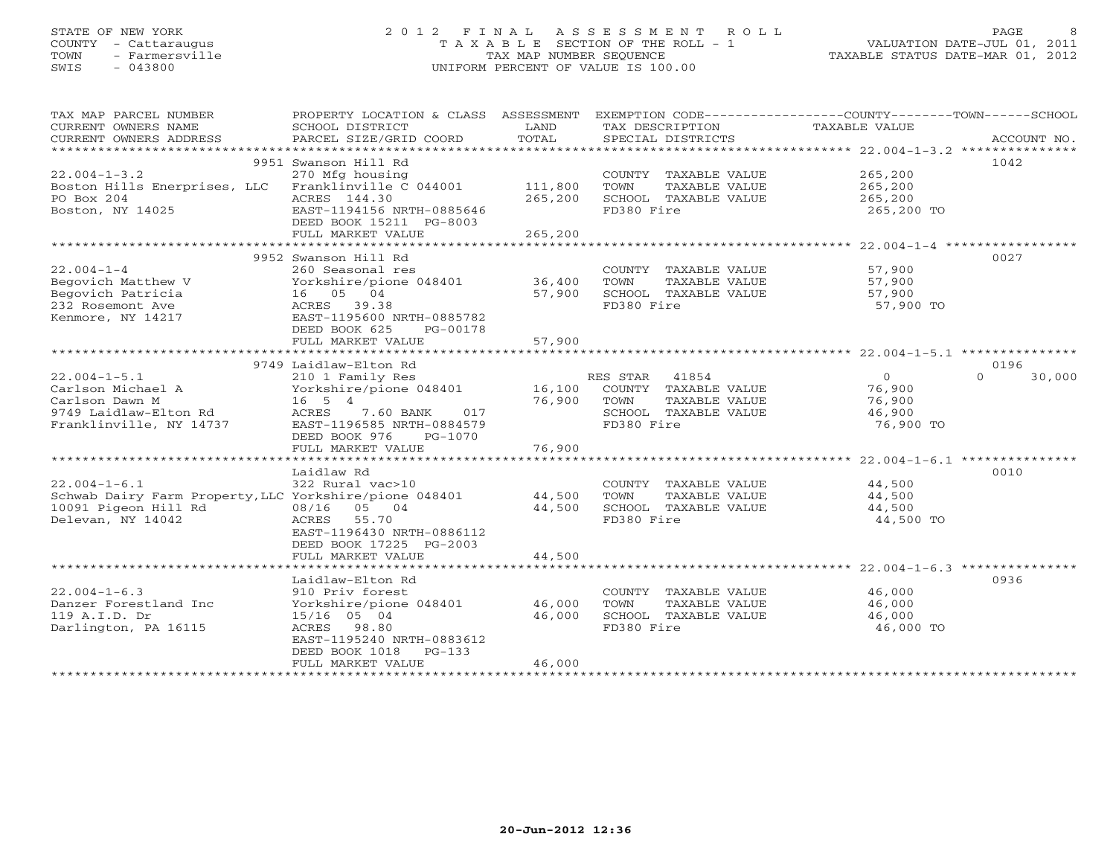# STATE OF NEW YORK 2 0 1 2 F I N A L A S S E S S M E N T R O L L PAGE 8 COUNTY - Cattaraugus T A X A B L E SECTION OF THE ROLL - 1 VALUATION DATE-JUL 01, 2011 TOWN - Farmersville TAX MAP NUMBER SEQUENCE TAXABLE STATUS DATE-MAR 01, 2012 SWIS - 043800 UNIFORM PERCENT OF VALUE IS 100.00UNIFORM PERCENT OF VALUE IS 100.00

| TAX MAP PARCEL NUMBER<br>CURRENT OWNERS NAME<br>CURRENT OWNERS ADDRESS | PROPERTY LOCATION & CLASS ASSESSMENT<br>SCHOOL DISTRICT<br>PARCEL SIZE/GRID COORD | LAND<br>TOTAL | TAX DESCRIPTION<br>SPECIAL DISTRICTS | EXEMPTION CODE-----------------COUNTY-------TOWN------SCHOOL<br>TAXABLE VALUE | ACCOUNT NO.        |
|------------------------------------------------------------------------|-----------------------------------------------------------------------------------|---------------|--------------------------------------|-------------------------------------------------------------------------------|--------------------|
| *************************                                              |                                                                                   |               |                                      |                                                                               |                    |
|                                                                        | 9951 Swanson Hill Rd                                                              |               |                                      |                                                                               | 1042               |
| $22.004 - 1 - 3.2$                                                     | 270 Mfg housing                                                                   |               | COUNTY TAXABLE VALUE                 | 265,200                                                                       |                    |
| Boston Hills Enerprises, LLC Franklinville C 044001                    |                                                                                   | 111,800       | TOWN<br>TAXABLE VALUE                | 265,200                                                                       |                    |
| PO Box 204                                                             | ACRES 144.30                                                                      | 265,200       | SCHOOL TAXABLE VALUE                 | 265,200                                                                       |                    |
| Boston, NY 14025                                                       | EAST-1194156 NRTH-0885646                                                         |               | FD380 Fire                           | 265,200 TO                                                                    |                    |
|                                                                        | DEED BOOK 15211 PG-8003                                                           |               |                                      |                                                                               |                    |
|                                                                        | FULL MARKET VALUE                                                                 | 265,200       |                                      |                                                                               |                    |
|                                                                        |                                                                                   |               |                                      |                                                                               |                    |
|                                                                        | 9952 Swanson Hill Rd                                                              |               |                                      |                                                                               | 0027               |
| $22.004 - 1 - 4$                                                       | 260 Seasonal res                                                                  |               | COUNTY TAXABLE VALUE                 | 57,900                                                                        |                    |
| Begovich Matthew V                                                     | Yorkshire/pione 048401                                                            | 36,400        | TOWN<br>TAXABLE VALUE                | 57,900                                                                        |                    |
| Begovich Patricia                                                      | 16 05 04                                                                          | 57,900        | SCHOOL TAXABLE VALUE                 | 57,900                                                                        |                    |
|                                                                        |                                                                                   |               |                                      |                                                                               |                    |
| 232 Rosemont Ave                                                       | ACRES 39.38                                                                       |               | FD380 Fire                           | 57,900 TO                                                                     |                    |
| Kenmore, NY 14217                                                      | EAST-1195600 NRTH-0885782                                                         |               |                                      |                                                                               |                    |
|                                                                        | DEED BOOK 625<br>PG-00178                                                         |               |                                      |                                                                               |                    |
|                                                                        | FULL MARKET VALUE                                                                 | 57,900        |                                      |                                                                               |                    |
|                                                                        |                                                                                   |               |                                      |                                                                               |                    |
|                                                                        | 9749 Laidlaw-Elton Rd                                                             |               |                                      |                                                                               | 0196               |
| $22.004 - 1 - 5.1$                                                     | 210 1 Family Res                                                                  |               | RES STAR<br>41854                    | $\overline{0}$                                                                | 30,000<br>$\Omega$ |
| Carlson Michael A                                                      | Yorkshire/pione 048401                                                            | 16,100        | COUNTY TAXABLE VALUE                 | 76,900                                                                        |                    |
| Carlson Dawn M                                                         | $16 \quad 5 \quad 4$                                                              | 76,900        | TOWN<br>TAXABLE VALUE                | 76,900                                                                        |                    |
| 9749 Laidlaw-Elton Rd                                                  | ACRES<br>7.60 BANK<br>017                                                         |               | SCHOOL TAXABLE VALUE                 | 46,900                                                                        |                    |
| Franklinville, NY 14737                                                | EAST-1196585 NRTH-0884579                                                         |               | FD380 Fire                           | 76,900 TO                                                                     |                    |
|                                                                        | DEED BOOK 976<br>PG-1070                                                          |               |                                      |                                                                               |                    |
|                                                                        | FULL MARKET VALUE                                                                 | 76,900        |                                      |                                                                               |                    |
|                                                                        |                                                                                   |               |                                      |                                                                               |                    |
|                                                                        | Laidlaw Rd                                                                        |               |                                      |                                                                               | 0010               |
| $22.004 - 1 - 6.1$                                                     | 322 Rural vac>10                                                                  |               | COUNTY TAXABLE VALUE                 | 44,500                                                                        |                    |
| Schwab Dairy Farm Property, LLC Yorkshire/pione 048401                 |                                                                                   | 44,500        | TOWN<br>TAXABLE VALUE                | 44,500                                                                        |                    |
| 10091 Pigeon Hill Rd                                                   | 08/16 05 04                                                                       | 44,500        | SCHOOL TAXABLE VALUE                 | 44,500                                                                        |                    |
| Delevan, NY 14042                                                      | ACRES<br>55.70                                                                    |               | FD380 Fire                           | 44,500 TO                                                                     |                    |
|                                                                        | EAST-1196430 NRTH-0886112                                                         |               |                                      |                                                                               |                    |
|                                                                        | DEED BOOK 17225 PG-2003                                                           |               |                                      |                                                                               |                    |
|                                                                        | FULL MARKET VALUE                                                                 | 44,500        |                                      |                                                                               |                    |
|                                                                        |                                                                                   |               |                                      |                                                                               |                    |
|                                                                        | Laidlaw-Elton Rd                                                                  |               |                                      |                                                                               | 0936               |
| $22.004 - 1 - 6.3$                                                     | 910 Priv forest                                                                   |               | COUNTY TAXABLE VALUE                 | 46,000                                                                        |                    |
| Danzer Forestland Inc                                                  | Yorkshire/pione 048401                                                            | 46,000        | TOWN<br>TAXABLE VALUE                | 46,000                                                                        |                    |
| 119 A.I.D. Dr                                                          | 15/16 05 04                                                                       | 46,000        | SCHOOL TAXABLE VALUE                 | 46,000                                                                        |                    |
|                                                                        |                                                                                   |               |                                      |                                                                               |                    |
| Darlington, PA 16115                                                   | ACRES 98.80                                                                       |               | FD380 Fire                           | 46,000 TO                                                                     |                    |
|                                                                        | EAST-1195240 NRTH-0883612                                                         |               |                                      |                                                                               |                    |
|                                                                        | DEED BOOK 1018<br>$PG-133$                                                        |               |                                      |                                                                               |                    |
|                                                                        | FULL MARKET VALUE                                                                 | 46,000        |                                      |                                                                               |                    |
|                                                                        |                                                                                   |               |                                      |                                                                               |                    |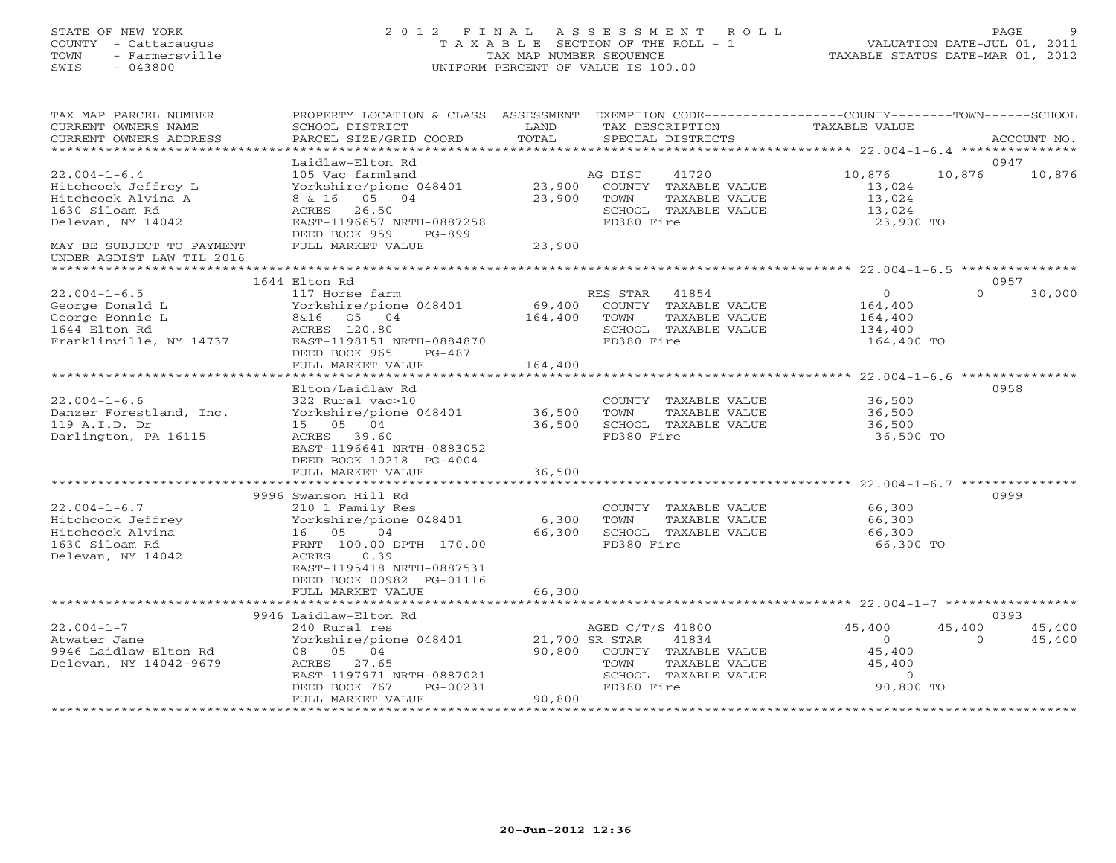## STATE OF NEW YORK 2 0 1 2 F I N A L A S S E S S M E N T R O L L PAGE 9 COUNTY - Cattaraugus T A X A B L E SECTION OF THE ROLL - 1 VALUATION DATE-JUL 01, 2011 TOWN - Farmersville TAX MAP NUMBER SEQUENCE TAXABLE STATUS DATE-MAR 01, 2012 SWIS - 043800 UNIFORM PERCENT OF VALUE IS 100.00UNIFORM PERCENT OF VALUE IS 100.00

| TAX MAP PARCEL NUMBER<br>CURRENT OWNERS NAME<br>CURRENT OWNERS ADDRESS                                     | PROPERTY LOCATION & CLASS ASSESSMENT<br>SCHOOL DISTRICT<br>PARCEL SIZE/GRID COORD                                                                                                                           | LAND<br>TOTAL             | TAX DESCRIPTION<br>SPECIAL DISTRICTS                                                                                               | EXEMPTION CODE-----------------COUNTY-------TOWN------SCHOOL<br><b>TAXABLE VALUE</b> | ACCOUNT NO.                            |
|------------------------------------------------------------------------------------------------------------|-------------------------------------------------------------------------------------------------------------------------------------------------------------------------------------------------------------|---------------------------|------------------------------------------------------------------------------------------------------------------------------------|--------------------------------------------------------------------------------------|----------------------------------------|
| **********************                                                                                     |                                                                                                                                                                                                             |                           |                                                                                                                                    |                                                                                      |                                        |
| $22.004 - 1 - 6.4$<br>Hitchcock Jeffrey L<br>Hitchcock Alvina A<br>1630 Siloam Rd<br>Delevan, NY 14042     | Laidlaw-Elton Rd<br>105 Vac farmland<br>Yorkshire/pione 048401<br>8 & 16 05 04<br>ACRES<br>26.50<br>EAST-1196657 NRTH-0887258<br>DEED BOOK 959<br>PG-899                                                    | 23,900<br>23,900          | 41720<br>AG DIST<br>COUNTY TAXABLE VALUE<br>TOWN<br>TAXABLE VALUE<br>SCHOOL TAXABLE VALUE<br>FD380 Fire                            | 10,876<br>13,024<br>13,024<br>13,024<br>23,900 TO                                    | 0947<br>10,876<br>10,876               |
| MAY BE SUBJECT TO PAYMENT<br>UNDER AGDIST LAW TIL 2016                                                     | FULL MARKET VALUE                                                                                                                                                                                           | 23,900                    |                                                                                                                                    |                                                                                      |                                        |
|                                                                                                            |                                                                                                                                                                                                             |                           |                                                                                                                                    |                                                                                      |                                        |
|                                                                                                            | 1644 Elton Rd                                                                                                                                                                                               |                           |                                                                                                                                    |                                                                                      | 0957                                   |
| $22.004 - 1 - 6.5$<br>George Donald L<br>George Bonnie L<br>1644 Elton Rd<br>Franklinville, NY 14737       | 117 Horse farm<br>Yorkshire/pione 048401<br>8&16 05 04<br>ACRES 120.80<br>EAST-1198151 NRTH-0884870<br>DEED BOOK 965<br>$PG-487$                                                                            | 69,400<br>164,400         | 41854<br>RES STAR<br>COUNTY TAXABLE VALUE<br>TOWN<br>TAXABLE VALUE<br>SCHOOL TAXABLE VALUE<br>FD380 Fire                           | $\Omega$<br>164,400<br>164,400<br>134,400<br>164,400 TO                              | $\Omega$<br>30,000                     |
|                                                                                                            | FULL MARKET VALUE                                                                                                                                                                                           | 164,400                   |                                                                                                                                    |                                                                                      |                                        |
|                                                                                                            | ***************************                                                                                                                                                                                 |                           |                                                                                                                                    |                                                                                      |                                        |
| $22.004 - 1 - 6.6$<br>Danzer Forestland, Inc.<br>119 A.I.D. Dr<br>Darlington, PA 16115                     | Elton/Laidlaw Rd<br>322 Rural vac>10<br>Yorkshire/pione 048401<br>15 05 04<br>ACRES<br>39.60<br>EAST-1196641 NRTH-0883052<br>DEED BOOK 10218 PG-4004                                                        | 36,500<br>36,500          | COUNTY TAXABLE VALUE<br>TOWN<br>TAXABLE VALUE<br>SCHOOL TAXABLE VALUE<br>FD380 Fire                                                | 36,500<br>36,500<br>36,500<br>36,500 TO                                              | 0958                                   |
|                                                                                                            | FULL MARKET VALUE                                                                                                                                                                                           | 36,500                    |                                                                                                                                    |                                                                                      |                                        |
|                                                                                                            |                                                                                                                                                                                                             |                           |                                                                                                                                    |                                                                                      |                                        |
| $22.004 - 1 - 6.7$<br>Hitchcock Jeffrey<br>Hitchcock Alvina<br>1630 Siloam Rd<br>Delevan, NY 14042         | 9996 Swanson Hill Rd<br>210 1 Family Res<br>Yorkshire/pione 048401<br>16 05<br>04<br>FRNT 100.00 DPTH 170.00<br>0.39<br>ACRES<br>EAST-1195418 NRTH-0887531<br>DEED BOOK 00982 PG-01116<br>FULL MARKET VALUE | 6,300<br>66,300<br>66,300 | COUNTY TAXABLE VALUE<br>TOWN<br>TAXABLE VALUE<br>SCHOOL TAXABLE VALUE<br>FD380 Fire                                                | 66,300<br>66,300<br>66,300<br>66,300 TO                                              | 0999                                   |
|                                                                                                            |                                                                                                                                                                                                             |                           |                                                                                                                                    |                                                                                      | 0393                                   |
| $22.004 - 1 - 7$<br>Atwater Jane<br>9946 Laidlaw-Elton Rd<br>Delevan, NY 14042-9679<br>******************* | 9946 Laidlaw-Elton Rd<br>240 Rural res<br>Yorkshire/pione 048401<br>08 05 04<br>ACRES 27.65<br>EAST-1197971 NRTH-0887021<br>DEED BOOK 767<br>PG-00231<br>FULL MARKET VALUE                                  | 90,800<br>90,800          | AGED C/T/S 41800<br>21,700 SR STAR<br>41834<br>COUNTY TAXABLE VALUE<br>TAXABLE VALUE<br>TOWN<br>SCHOOL TAXABLE VALUE<br>FD380 Fire | 45,400<br>$\mathbf{O}$<br>45,400<br>45,400<br>$\circ$<br>90,800 TO                   | 45,400<br>45,400<br>45,400<br>$\Omega$ |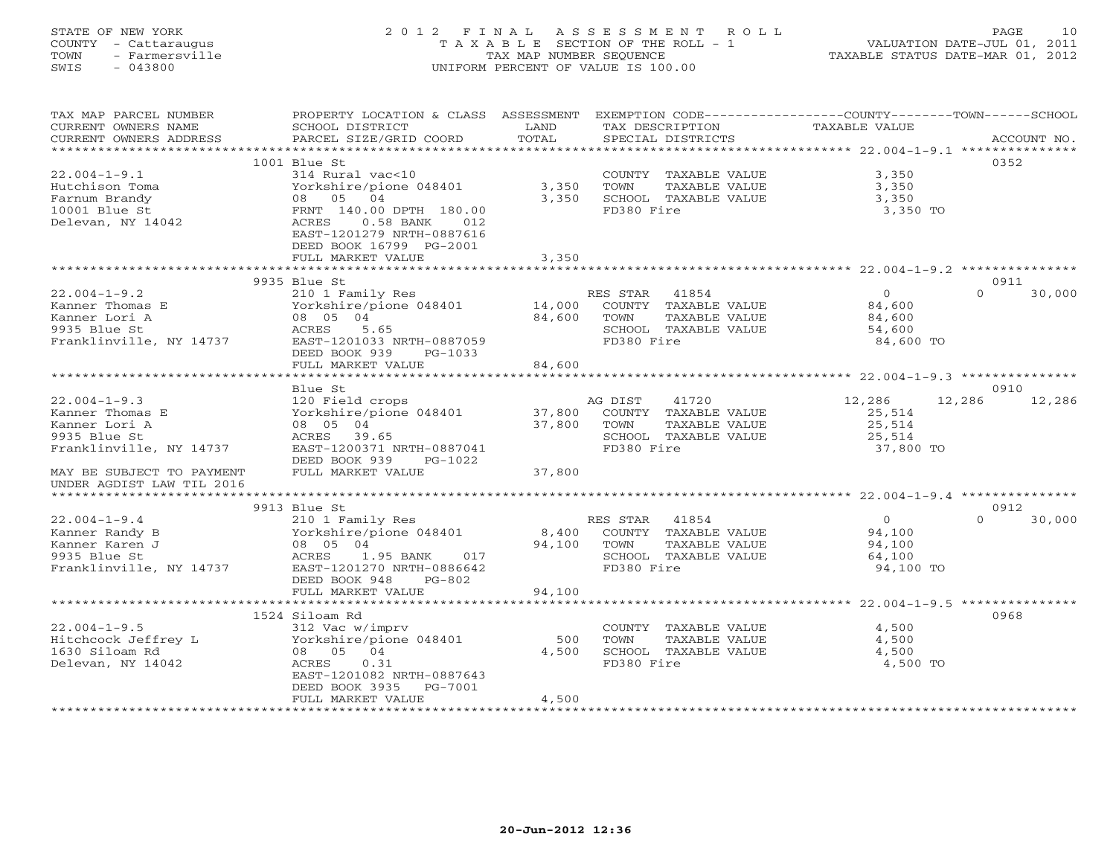# STATE OF NEW YORK 2 0 1 2 F I N A L A S S E S S M E N T R O L L PAGE 10 COUNTY - Cattaraugus T A X A B L E SECTION OF THE ROLL - 1 VALUATION DATE-JUL 01, 2011 TOWN - Farmersville TAX MAP NUMBER SEQUENCE TAXABLE STATUS DATE-MAR 01, 2012 SWIS - 043800 UNIFORM PERCENT OF VALUE IS 100.00UNIFORM PERCENT OF VALUE IS 100.00

| TAX MAP PARCEL NUMBER<br>CURRENT OWNERS NAME<br>CURRENT OWNERS ADDRESS | PROPERTY LOCATION & CLASS ASSESSMENT<br>SCHOOL DISTRICT<br>PARCEL SIZE/GRID COORD | LAND<br>TOTAL   | TAX DESCRIPTION<br>SPECIAL DISTRICTS          | EXEMPTION CODE----------------COUNTY-------TOWN-----SCHOOL<br>TAXABLE VALUE | ACCOUNT NO.        |
|------------------------------------------------------------------------|-----------------------------------------------------------------------------------|-----------------|-----------------------------------------------|-----------------------------------------------------------------------------|--------------------|
| *************************                                              |                                                                                   |                 |                                               |                                                                             |                    |
|                                                                        | $1001$ Blue St                                                                    |                 |                                               |                                                                             | 0352               |
| $22.004 - 1 - 9.1$                                                     | 314 Rural vac<10                                                                  |                 | COUNTY TAXABLE VALUE                          | 3,350                                                                       |                    |
| Hutchison Toma                                                         | Yorkshire/pione 048401                                                            | 3,350           | TOWN<br>TAXABLE VALUE                         | 3,350                                                                       |                    |
| Farnum Brandy                                                          | 05 04<br>08                                                                       | 3,350           | SCHOOL TAXABLE VALUE                          | 3,350                                                                       |                    |
| 10001 Blue St                                                          | FRNT 140.00 DPTH 180.00                                                           |                 | FD380 Fire                                    | 3,350 TO                                                                    |                    |
| Delevan, NY 14042                                                      | $0.58$ BANK<br>ACRES<br>012                                                       |                 |                                               |                                                                             |                    |
|                                                                        | EAST-1201279 NRTH-0887616                                                         |                 |                                               |                                                                             |                    |
|                                                                        | DEED BOOK 16799 PG-2001                                                           |                 |                                               |                                                                             |                    |
|                                                                        | FULL MARKET VALUE<br>********************                                         | 3,350           |                                               | ************************************ 22.004-1-9.2 *****                     |                    |
|                                                                        | 9935 Blue St                                                                      |                 |                                               |                                                                             | 0911               |
| $22.004 - 1 - 9.2$                                                     | 210 1 Family Res                                                                  |                 | RES STAR<br>41854                             | $\circ$                                                                     | $\Omega$<br>30,000 |
| Kanner Thomas E                                                        | Yorkshire/pione 048401                                                            | 14,000          | COUNTY TAXABLE VALUE                          | 84,600                                                                      |                    |
| Kanner Lori A                                                          | 08 05 04                                                                          | 84,600          | TOWN<br>TAXABLE VALUE                         | 84,600                                                                      |                    |
| 9935 Blue St                                                           | ACRES<br>5.65                                                                     |                 | SCHOOL TAXABLE VALUE                          | 54,600                                                                      |                    |
| Franklinville, NY 14737                                                | EAST-1201033 NRTH-0887059                                                         |                 | FD380 Fire                                    | 84,600 TO                                                                   |                    |
|                                                                        | DEED BOOK 939<br>PG-1033                                                          |                 |                                               |                                                                             |                    |
|                                                                        | FULL MARKET VALUE                                                                 | 84,600          |                                               |                                                                             |                    |
|                                                                        | **************************                                                        |                 |                                               |                                                                             |                    |
|                                                                        | Blue St                                                                           |                 |                                               |                                                                             | 0910               |
| $22.004 - 1 - 9.3$                                                     | 120 Field crops                                                                   |                 | AG DIST<br>41720                              | 12,286<br>12,286                                                            | 12,286             |
| Kanner Thomas E                                                        | Yorkshire/pione 048401                                                            | 37,800          | COUNTY TAXABLE VALUE                          | 25,514                                                                      |                    |
| Kanner Lori A                                                          | 08 05 04                                                                          | 37,800          | TAXABLE VALUE<br>TOWN                         | 25,514                                                                      |                    |
| 9935 Blue St                                                           | ACRES 39.65                                                                       |                 | SCHOOL TAXABLE VALUE                          | 25,514                                                                      |                    |
| Franklinville, NY 14737                                                | EAST-1200371 NRTH-0887041                                                         |                 | FD380 Fire                                    | 37,800 TO                                                                   |                    |
|                                                                        | DEED BOOK 939<br>PG-1022                                                          |                 |                                               |                                                                             |                    |
| MAY BE SUBJECT TO PAYMENT                                              | FULL MARKET VALUE                                                                 | 37,800          |                                               |                                                                             |                    |
| UNDER AGDIST LAW TIL 2016                                              |                                                                                   |                 |                                               |                                                                             |                    |
| *************************                                              |                                                                                   |                 |                                               |                                                                             |                    |
|                                                                        | 9913 Blue St                                                                      |                 |                                               | $\Omega$                                                                    | 0912<br>$\Omega$   |
| $22.004 - 1 - 9.4$                                                     | 210 1 Family Res                                                                  |                 | RES STAR 41854                                |                                                                             | 30,000             |
| Kanner Randy B<br>Kanner Karen J                                       | Yorkshire/pione 048401<br>08 05 04                                                | 8,400<br>94,100 | COUNTY TAXABLE VALUE<br>TOWN<br>TAXABLE VALUE | 94,100<br>94,100                                                            |                    |
| 9935 Blue St                                                           | ACRES<br>1.95 BANK<br>017                                                         |                 | SCHOOL TAXABLE VALUE                          | 64,100                                                                      |                    |
| Franklinville, NY 14737                                                | EAST-1201270 NRTH-0886642                                                         |                 | FD380 Fire                                    | 94,100 TO                                                                   |                    |
|                                                                        | DEED BOOK 948<br>$PG-802$                                                         |                 |                                               |                                                                             |                    |
|                                                                        | FULL MARKET VALUE                                                                 | 94,100          |                                               |                                                                             |                    |
|                                                                        |                                                                                   |                 |                                               |                                                                             |                    |
|                                                                        | 1524 Siloam Rd                                                                    |                 |                                               |                                                                             | 0968               |
| $22.004 - 1 - 9.5$                                                     | 312 Vac w/imprv                                                                   |                 | COUNTY TAXABLE VALUE                          | 4,500                                                                       |                    |
| Hitchcock Jeffrey L                                                    | Yorkshire/pione 048401                                                            | 500             | TOWN<br>TAXABLE VALUE                         | 4,500                                                                       |                    |
| 1630 Siloam Rd                                                         | 08 05 04                                                                          | 4,500           | SCHOOL TAXABLE VALUE                          | 4,500                                                                       |                    |
| Delevan, NY 14042                                                      | 0.31<br>ACRES                                                                     |                 | FD380 Fire                                    | 4,500 TO                                                                    |                    |
|                                                                        | EAST-1201082 NRTH-0887643                                                         |                 |                                               |                                                                             |                    |
|                                                                        | DEED BOOK 3935<br>PG-7001                                                         |                 |                                               |                                                                             |                    |
|                                                                        | FULL MARKET VALUE                                                                 | 4,500           |                                               |                                                                             |                    |
|                                                                        |                                                                                   |                 |                                               |                                                                             |                    |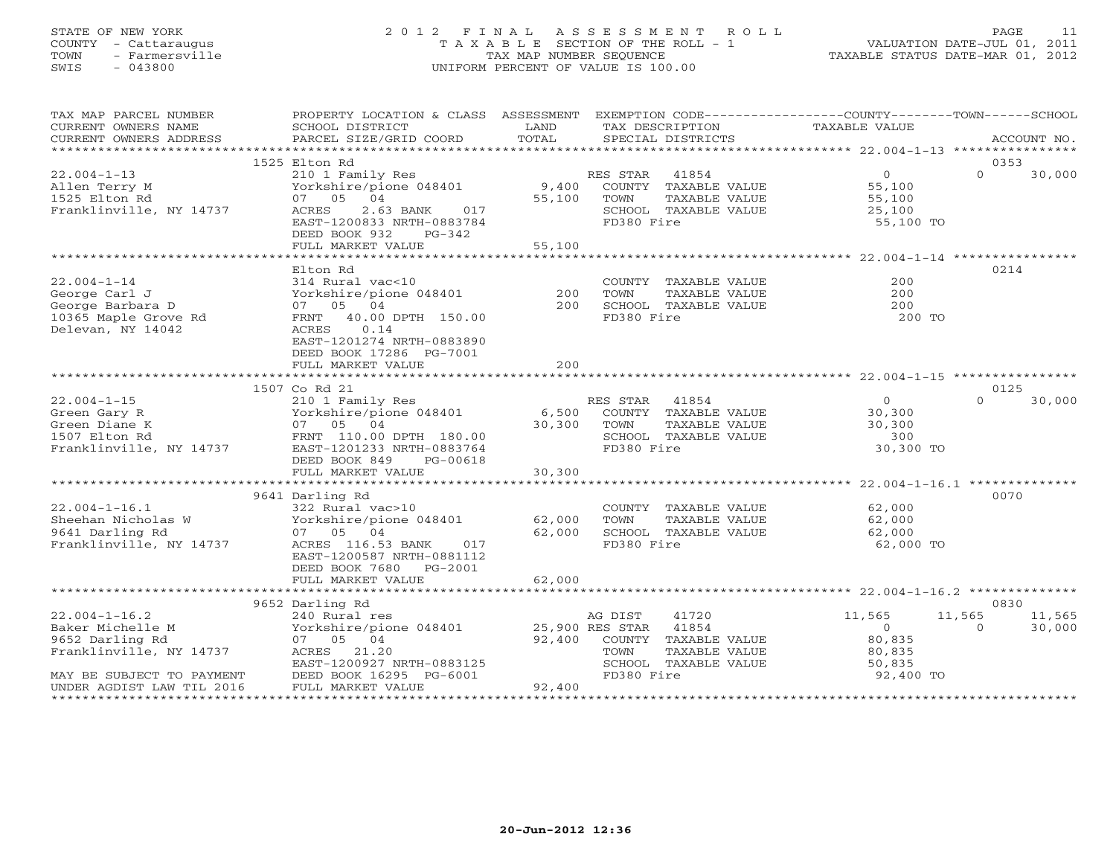# STATE OF NEW YORK 2 0 1 2 F I N A L A S S E S S M E N T R O L L PAGE 11 COUNTY - Cattaraugus T A X A B L E SECTION OF THE ROLL - 1 VALUATION DATE-JUL 01, 2011 TOWN - Farmersville TAX MAP NUMBER SEQUENCE TAXABLE STATUS DATE-MAR 01, 2012 SWIS - 043800 UNIFORM PERCENT OF VALUE IS 100.00UNIFORM PERCENT OF VALUE IS 100.00

| TAX MAP PARCEL NUMBER   | PROPERTY LOCATION & CLASS ASSESSMENT EXEMPTION CODE----------------COUNTY-------TOWN------SCHOOL                                                                                                                                                                                                                                                                                             |                      |                                                       |                     |                    |
|-------------------------|----------------------------------------------------------------------------------------------------------------------------------------------------------------------------------------------------------------------------------------------------------------------------------------------------------------------------------------------------------------------------------------------|----------------------|-------------------------------------------------------|---------------------|--------------------|
| CURRENT OWNERS NAME     | SCHOOL DISTRICT                                                                                                                                                                                                                                                                                                                                                                              | LAND                 | TAX DESCRIPTION                                       | TAXABLE VALUE       |                    |
|                         |                                                                                                                                                                                                                                                                                                                                                                                              |                      |                                                       |                     |                    |
|                         |                                                                                                                                                                                                                                                                                                                                                                                              |                      |                                                       |                     |                    |
|                         | 1525 Elton Rd                                                                                                                                                                                                                                                                                                                                                                                |                      |                                                       |                     | 0353               |
|                         |                                                                                                                                                                                                                                                                                                                                                                                              |                      |                                                       | $\overline{0}$      | $\Omega$<br>30,000 |
|                         |                                                                                                                                                                                                                                                                                                                                                                                              |                      |                                                       | 55,100              |                    |
|                         |                                                                                                                                                                                                                                                                                                                                                                                              |                      |                                                       |                     |                    |
|                         |                                                                                                                                                                                                                                                                                                                                                                                              |                      |                                                       | 55,100<br>25,100    |                    |
|                         | EAST-1200833 NRTH-0883784                                                                                                                                                                                                                                                                                                                                                                    |                      | FD380 Fire                                            | 55,100 TO           |                    |
|                         | DEED BOOK 932<br>PG-342                                                                                                                                                                                                                                                                                                                                                                      |                      |                                                       |                     |                    |
|                         | FULL MARKET VALUE                                                                                                                                                                                                                                                                                                                                                                            | 55,100               |                                                       |                     |                    |
|                         |                                                                                                                                                                                                                                                                                                                                                                                              |                      |                                                       |                     |                    |
|                         | Elton Rd                                                                                                                                                                                                                                                                                                                                                                                     |                      |                                                       |                     | 0214               |
|                         |                                                                                                                                                                                                                                                                                                                                                                                              |                      |                                                       |                     |                    |
| $22.004 - 1 - 14$       | 314 Rural vac<10<br>Yorkshire/pione 048401 200<br>200                                                                                                                                                                                                                                                                                                                                        |                      | COUNTY TAXABLE VALUE                                  | 200                 |                    |
|                         |                                                                                                                                                                                                                                                                                                                                                                                              |                      | TOWN<br>TAXABLE VALUE                                 | 200                 |                    |
|                         |                                                                                                                                                                                                                                                                                                                                                                                              |                      | SCHOOL TAXABLE VALUE                                  | 200                 |                    |
|                         | George Carl J<br>George Barbara D<br>10365 Maple Grove Rd<br>Northern 10.00 DPTH 150.00                                                                                                                                                                                                                                                                                                      |                      | FD380 Fire                                            | 200 TO              |                    |
| Delevan, NY 14042       | ACRES 0.14                                                                                                                                                                                                                                                                                                                                                                                   |                      |                                                       |                     |                    |
|                         | EAST-1201274 NRTH-0883890                                                                                                                                                                                                                                                                                                                                                                    |                      |                                                       |                     |                    |
|                         | DEED BOOK 17286 PG-7001                                                                                                                                                                                                                                                                                                                                                                      |                      |                                                       |                     |                    |
|                         | FULL MARKET VALUE                                                                                                                                                                                                                                                                                                                                                                            | 200                  |                                                       |                     |                    |
|                         |                                                                                                                                                                                                                                                                                                                                                                                              |                      |                                                       |                     |                    |
|                         | 1507 Co Rd 21                                                                                                                                                                                                                                                                                                                                                                                |                      |                                                       |                     | 0125               |
|                         | $\begin{tabular}{lllllllllllll} \multicolumn{3}{c}{\textbf{22.004--1-15}} & \multicolumn{3}{c}{\textbf{21.004--1-15}} & \multicolumn{3}{c}{\textbf{22.004--1-15}} & \multicolumn{3}{c}{\textbf{21.004--1-15}} & \multicolumn{3}{c}{\textbf{22.004--1-15}} & \multicolumn{3}{c}{\textbf{21.004--1-15}} & \multicolumn{3}{c}{\textbf{22.004--1-15}} & \multicolumn{3}{c}{\textbf{23.004--1-15$ |                      | RES STAR 41854                                        | $\overline{0}$      | $\Omega$<br>30,000 |
|                         | 210 and 19 and 19 and 19 and 19 and 19 and 19 and 19 and 19 and 19 and 19 and 19 and 19 and 19 and 19 and 19 a<br>19 and 19 and 19 and 19 and 19 and 19 and 19 and 19 and 19 and 19 and 19 and 19 and 19 and 19 and 19 and 19 an                                                                                                                                                             |                      |                                                       | 30,300              |                    |
|                         |                                                                                                                                                                                                                                                                                                                                                                                              | 30,300 TOWN<br>SCHOO | TOWN       TAXABLE  VALUE<br>SCHOOL    TAXABLE  VALUE | 30,300              |                    |
|                         |                                                                                                                                                                                                                                                                                                                                                                                              |                      |                                                       | 300                 |                    |
|                         |                                                                                                                                                                                                                                                                                                                                                                                              |                      | FD380 Fire                                            | 30,300 TO           |                    |
|                         |                                                                                                                                                                                                                                                                                                                                                                                              |                      |                                                       |                     |                    |
|                         |                                                                                                                                                                                                                                                                                                                                                                                              | 30,300               |                                                       |                     |                    |
|                         |                                                                                                                                                                                                                                                                                                                                                                                              |                      |                                                       |                     |                    |
|                         | 9641 Darling Rd                                                                                                                                                                                                                                                                                                                                                                              |                      |                                                       |                     | 0070               |
| $22.004 - 1 - 16.1$     | $322$ Rural vac > 10                                                                                                                                                                                                                                                                                                                                                                         |                      | COUNTY TAXABLE VALUE 62,000                           |                     |                    |
|                         |                                                                                                                                                                                                                                                                                                                                                                                              |                      | TOWN                                                  |                     |                    |
|                         |                                                                                                                                                                                                                                                                                                                                                                                              |                      |                                                       |                     |                    |
| Franklinville, NY 14737 | ACRES 116.53 BANK 017                                                                                                                                                                                                                                                                                                                                                                        |                      | FD380 Fire                                            | 62,000 TO           |                    |
|                         | EAST-1200587 NRTH-0881112                                                                                                                                                                                                                                                                                                                                                                    |                      |                                                       |                     |                    |
|                         | DEED BOOK 7680 PG-2001                                                                                                                                                                                                                                                                                                                                                                       |                      |                                                       |                     |                    |
|                         | FULL MARKET VALUE                                                                                                                                                                                                                                                                                                                                                                            | 62,000               |                                                       |                     |                    |
|                         |                                                                                                                                                                                                                                                                                                                                                                                              |                      |                                                       |                     |                    |
|                         |                                                                                                                                                                                                                                                                                                                                                                                              |                      |                                                       |                     | 0830               |
|                         | 9652 Darling Rd                                                                                                                                                                                                                                                                                                                                                                              |                      |                                                       |                     |                    |
| $22.004 - 1 - 16.2$     | 240 Rural res                                                                                                                                                                                                                                                                                                                                                                                |                      | 41720<br>AG DIST                                      | 11,565              | 11,565<br>11,565   |
| Baker Michelle M        |                                                                                                                                                                                                                                                                                                                                                                                              |                      |                                                       | $\overline{0}$      | $\Omega$<br>30,000 |
| 9652 Darling Rd         |                                                                                                                                                                                                                                                                                                                                                                                              |                      | 92,400 COUNTY TAXABLE VALUE                           | 80,835<br>80,835    |                    |
| Franklinville, NY 14737 |                                                                                                                                                                                                                                                                                                                                                                                              |                      | TOWN<br>TAXABLE VALUE                                 |                     |                    |
|                         |                                                                                                                                                                                                                                                                                                                                                                                              |                      | SCHOOL TAXABLE VALUE                                  | 50,835<br>92,400 TO |                    |
|                         | MAY BE SUBJECT TO PAYMENT<br>EAST-1200927 NRTH-0883125<br>UNDER AGDIST LAW TIL 2016 FULL MARKET VALUE                                                                                                                                                                                                                                                                                        |                      | FD380 Fire                                            |                     |                    |
|                         |                                                                                                                                                                                                                                                                                                                                                                                              | 92,400               |                                                       |                     |                    |
|                         |                                                                                                                                                                                                                                                                                                                                                                                              |                      |                                                       |                     |                    |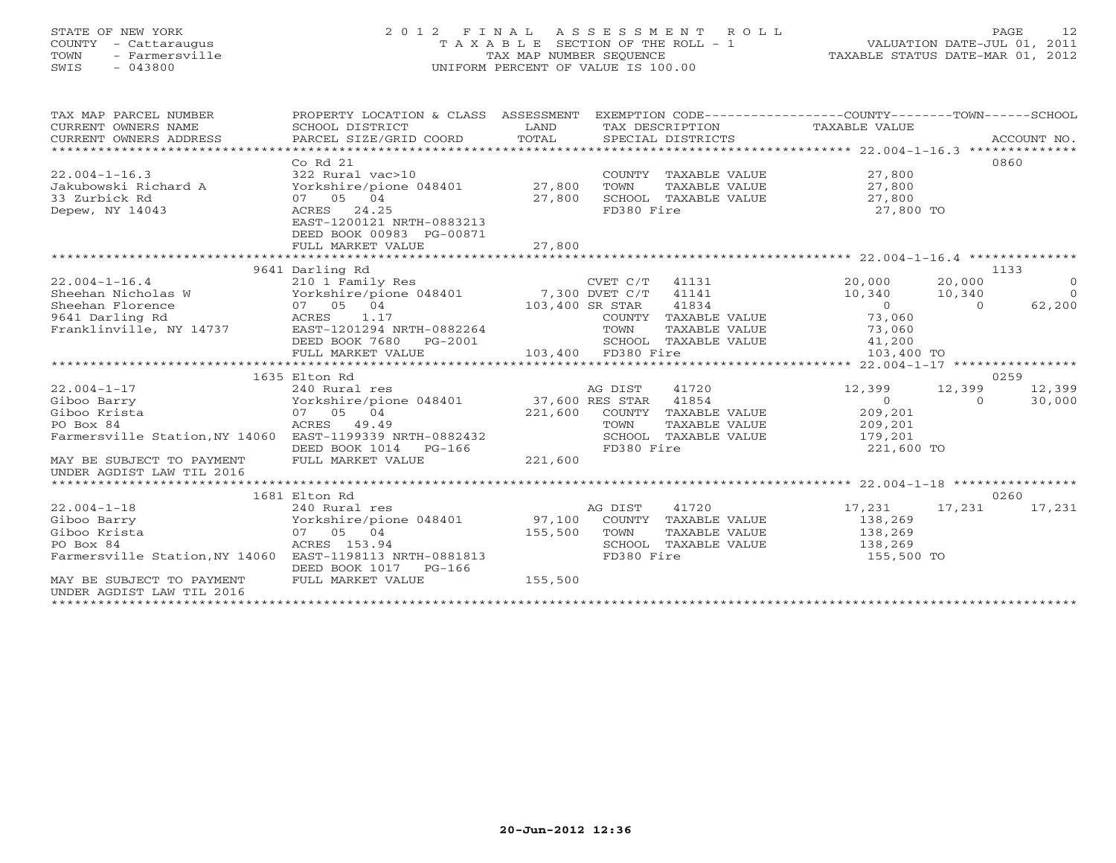# STATE OF NEW YORK 2 0 1 2 F I N A L A S S E S S M E N T R O L L PAGE 12 COUNTY - Cattaraugus T A X A B L E SECTION OF THE ROLL - 1 VALUATION DATE-JUL 01, 2011 TOWN - Farmersville TAX MAP NUMBER SEQUENCE TAXABLE STATUS DATE-MAR 01, 2012 SWIS - 043800 UNIFORM PERCENT OF VALUE IS 100.00UNIFORM PERCENT OF VALUE IS 100.00

| TAX MAP PARCEL NUMBER<br>CURRENT OWNERS NAME<br>CURRENT OWNERS ADDRESS                                                                                         | PROPERTY LOCATION & CLASS ASSESSMENT<br>SCHOOL DISTRICT<br>PARCEL SIZE/GRID COORD                                                                      | LAND<br>TOTAL                | SPECIAL DISTRICTS                                 |                                                                                                   | EXEMPTION CODE-----------------COUNTY-------TOWN------SCHOOL<br>TAX DESCRIPTION TAXABLE VALUE |                            | ACCOUNT NO.                                      |
|----------------------------------------------------------------------------------------------------------------------------------------------------------------|--------------------------------------------------------------------------------------------------------------------------------------------------------|------------------------------|---------------------------------------------------|---------------------------------------------------------------------------------------------------|-----------------------------------------------------------------------------------------------|----------------------------|--------------------------------------------------|
| $22.004 - 1 - 16.3$<br>Jakubowski Richard A<br>33 Zurbick Rd<br>Depew, NY 14043                                                                                | Co Rd 21<br>322 Rural vac>10<br>Yorkshire/pione 048401 27,800<br>07 05 04<br>ACRES 24.25<br>EAST-1200121 NRTH-0883213<br>DEED BOOK 00983 PG-00871      | 27,800                       | TOWN<br>FD380 Fire                                | COUNTY TAXABLE VALUE<br>TAXABLE VALUE<br>SCHOOL TAXABLE VALUE                                     | 27,800<br>27,800<br>27,800<br>27,800 TO                                                       |                            | 0860                                             |
|                                                                                                                                                                | FULL MARKET VALUE                                                                                                                                      | 27,800                       |                                                   |                                                                                                   |                                                                                               |                            |                                                  |
|                                                                                                                                                                | 9641 Darling Rd                                                                                                                                        |                              |                                                   |                                                                                                   |                                                                                               |                            | 1133                                             |
| $22.004 - 1 - 16.4$<br>Sheehan Nicholas W<br>$22.004 - 1 - 17$                                                                                                 | 210 1 Family Res<br>Yorkshire/pione 048401 7,300 DVET C/T<br>07 05 04<br>DEED BOOK 7680 PG-2001<br>FULL MARKET VALUE<br>1635 Elton Rd<br>240 Rural res | 103,400 SR STAR              | CVET C/T<br>TOWN<br>103,400 FD380 Fire<br>AG DIST | 41131<br>41141<br>41834<br>COUNTY TAXABLE VALUE<br>TAXABLE VALUE<br>SCHOOL TAXABLE VALUE<br>41720 | 20,000<br>10,340<br>$\overline{0}$<br>73,060<br>73,060<br>41,200<br>103,400 TO<br>12,399      | 20,000<br>10,340<br>$\cap$ | $\bigcirc$<br>$\cap$<br>62,200<br>0259<br>12,399 |
| Giboo Barry<br>Giboo Krista<br>PO Box 84<br>Farmersville Station, NY 14060 EAST-1199339 NRTH-0882432<br>MAY BE SUBJECT TO PAYMENT<br>UNDER AGDIST LAW TIL 2016 | Yorkshire/pione 048401 37,600 RES STAR<br>07 05 04<br>ACRES 49.49<br>DEED BOOK 1014<br>$PG-166$<br>FULL MARKET VALUE                                   | 221,600<br>221,600           | TOWN<br>FD380 Fire                                | 41854<br>COUNTY TAXABLE VALUE<br>TAXABLE VALUE<br>SCHOOL TAXABLE VALUE                            | $\overline{O}$<br>209,201<br>209,201<br>179,201<br>221,600 TO                                 | 12,399<br>$\Omega$         | 30,000                                           |
|                                                                                                                                                                |                                                                                                                                                        |                              |                                                   |                                                                                                   |                                                                                               |                            |                                                  |
| $22.004 - 1 - 18$<br>Giboo Barry<br>Giboo Krista<br>PO Box 84<br>Farmersville Station, NY 14060 EAST-1198113 NRTH-0881813<br>MAY BE SUBJECT TO PAYMENT         | 1681 Elton Rd<br>240 Rural res<br>Yorkshire/pione 048401<br>07 05 04<br>ACRES 153.94<br>DEED BOOK 1017 PG-166<br>FULL MARKET VALUE                     | 97,100<br>155,500<br>155,500 | AG DIST<br>TOWN<br>FD380 Fire                     | 41720<br>COUNTY TAXABLE VALUE<br>TAXABLE VALUE<br>SCHOOL TAXABLE VALUE                            | 17,231<br>138,269<br>138,269<br>138,269<br>155,500 TO                                         | 17,231                     | 0260<br>17,231                                   |
| UNDER AGDIST LAW TIL 2016<br>*********************                                                                                                             |                                                                                                                                                        |                              |                                                   |                                                                                                   |                                                                                               |                            |                                                  |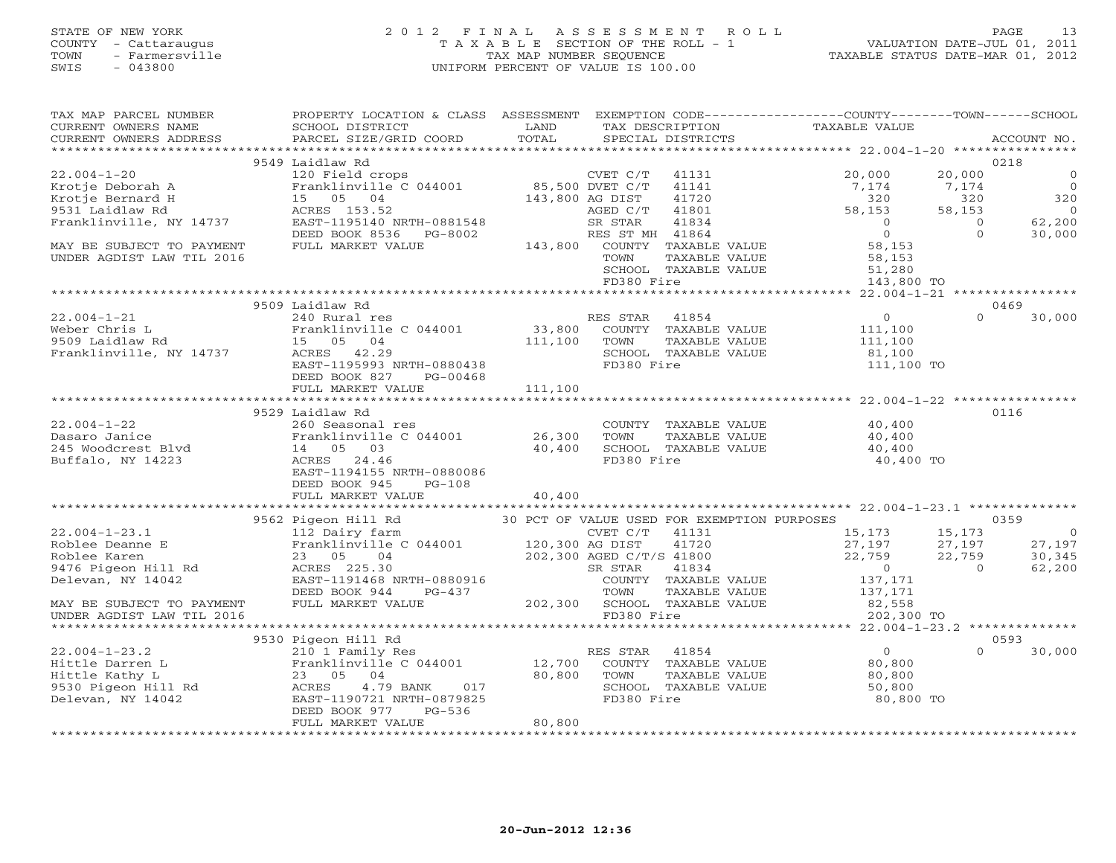#### STATE OF NEW YORK 2 0 1 2 F I N A L A S S E S S M E N T R O L L PAGE 13 COUNTY - Cattaraugus T A X A B L E SECTION OF THE ROLL - 1 VALUATION DATE-JUL 01, 2011 TOWN - Farmersville TAX MAP NUMBER SEQUENCE TAXABLE STATUS DATE-MAR 01, 2012 SWIS - 043800 UNIFORM PERCENT OF VALUE IS 100.00UNIFORM PERCENT OF VALUE IS 100.00

| TAX MAP PARCEL NUMBER<br>CURRENT OWNERS NAME                                              | PROPERTY LOCATION & CLASS ASSESSMENT<br>SCHOOL DISTRICT                                                                                    | LAND            |                 | TAX DESCRIPTION                             | EXEMPTION CODE-----------------COUNTY-------TOWN------SCHOOL<br>TAXABLE VALUE                                                                                                                                                                   |                            |                       |
|-------------------------------------------------------------------------------------------|--------------------------------------------------------------------------------------------------------------------------------------------|-----------------|-----------------|---------------------------------------------|-------------------------------------------------------------------------------------------------------------------------------------------------------------------------------------------------------------------------------------------------|----------------------------|-----------------------|
| CURRENT OWNERS ADDRESS                                                                    | PARCEL SIZE/GRID COORD                                                                                                                     | TOTAL           |                 | SPECIAL DISTRICTS                           |                                                                                                                                                                                                                                                 |                            | ACCOUNT NO.           |
|                                                                                           | 9549 Laidlaw Rd                                                                                                                            |                 |                 |                                             |                                                                                                                                                                                                                                                 |                            | 0218                  |
| $22.004 - 1 - 20$                                                                         |                                                                                                                                            |                 |                 |                                             |                                                                                                                                                                                                                                                 |                            | $\circ$               |
|                                                                                           | 120 Field crops<br>Franklinville C 044001 85,500 DVET C/T                                                                                  |                 | CVET C/T        | 41131                                       | 20,000                                                                                                                                                                                                                                          | 20,000                     | $\overline{0}$        |
| Krotje Deborah A                                                                          |                                                                                                                                            |                 |                 | 41141                                       | 7,174                                                                                                                                                                                                                                           | 7,174                      |                       |
| Krotje Bernard H                                                                          | 15 05 04                                                                                                                                   | 143,800 AG DIST |                 | 41720<br>41801                              | 320                                                                                                                                                                                                                                             | 320                        | 320<br>$\overline{0}$ |
| 9531 Laidlaw Rd                                                                           | ACRES 153.52                                                                                                                               |                 | AGED C/T        |                                             | 58,153<br>$\bigcirc$                                                                                                                                                                                                                            | 58,153                     | 62,200                |
| Franklinville, NY 14737                                                                   | EAST-1195140 NRTH-0881548                                                                                                                  |                 | SR STAR         | 41834                                       | $\overline{0}$                                                                                                                                                                                                                                  | $\overline{0}$<br>$\Omega$ |                       |
|                                                                                           | DEED BOOK 8536 PG-8002                                                                                                                     |                 | RES ST MH 41864 |                                             |                                                                                                                                                                                                                                                 |                            | 30,000                |
| MAY BE SUBJECT TO PAYMENT                                                                 | FULL MARKET VALUE                                                                                                                          |                 |                 | 143,800 COUNTY TAXABLE VALUE                | 58,153                                                                                                                                                                                                                                          |                            |                       |
| UNDER AGDIST LAW TIL 2016                                                                 |                                                                                                                                            |                 | TOWN            | TAXABLE VALUE                               | 58,153<br>51,280                                                                                                                                                                                                                                |                            |                       |
|                                                                                           |                                                                                                                                            |                 | FD380 Fire      | SCHOOL TAXABLE VALUE                        |                                                                                                                                                                                                                                                 |                            |                       |
|                                                                                           |                                                                                                                                            |                 |                 |                                             | 143,800 TO                                                                                                                                                                                                                                      |                            |                       |
|                                                                                           | 9509 Laidlaw Rd                                                                                                                            |                 |                 |                                             |                                                                                                                                                                                                                                                 |                            | 0469                  |
| $22.004 - 1 - 21$                                                                         | 240 Rural res                                                                                                                              |                 | RES STAR        | 41854                                       | $\overline{0}$                                                                                                                                                                                                                                  | $\Omega$                   | 30,000                |
| 22.004-1-21<br>Weber Chris L<br>9509 Laidlaw Rd<br>Franklinville, NY 14737<br>ACRES 42.29 | Franklinville C 044001 33,800 COUNTY TAXABLE VALUE                                                                                         |                 |                 |                                             |                                                                                                                                                                                                                                                 |                            |                       |
|                                                                                           |                                                                                                                                            |                 |                 |                                             | 111,100                                                                                                                                                                                                                                         |                            |                       |
|                                                                                           |                                                                                                                                            | 111,100         | TOWN            | TAXABLE VALUE                               | 111,100                                                                                                                                                                                                                                         |                            |                       |
|                                                                                           |                                                                                                                                            |                 |                 | SCHOOL TAXABLE VALUE                        | 81,100                                                                                                                                                                                                                                          |                            |                       |
|                                                                                           | EAST-1195993 NRTH-0880438<br>PG-00468                                                                                                      |                 | FD380 Fire      |                                             | 111,100 TO                                                                                                                                                                                                                                      |                            |                       |
|                                                                                           | DEED BOOK 827<br>FULL MARKET VALUE                                                                                                         | 111,100         |                 |                                             |                                                                                                                                                                                                                                                 |                            |                       |
|                                                                                           |                                                                                                                                            |                 |                 |                                             |                                                                                                                                                                                                                                                 |                            |                       |
|                                                                                           | 9529 Laidlaw Rd                                                                                                                            |                 |                 |                                             |                                                                                                                                                                                                                                                 |                            | 0116                  |
| $22.004 - 1 - 22$                                                                         |                                                                                                                                            |                 |                 |                                             |                                                                                                                                                                                                                                                 |                            |                       |
|                                                                                           | 260 Seasonal res                                                                                                                           |                 | TOWN            | COUNTY TAXABLE VALUE<br>TAXABLE VALUE       | 40,400                                                                                                                                                                                                                                          |                            |                       |
| Dasaro Janice<br>245 Woodcrest Blvd                                                       | Franklinville C $044001$ 26,300                                                                                                            | 40,400          |                 | SCHOOL TAXABLE VALUE                        | 40,400                                                                                                                                                                                                                                          |                            |                       |
|                                                                                           | ACRES 24.46                                                                                                                                |                 | FD380 Fire      |                                             | 40,400<br>40,400 TO                                                                                                                                                                                                                             |                            |                       |
| Buffalo, NY 14223                                                                         | Franklin<br>14 05 03<br>ACRES 24.4<br>10415!<br>EAST-1194155 NRTH-0880086                                                                  |                 |                 |                                             |                                                                                                                                                                                                                                                 |                            |                       |
|                                                                                           | DEED BOOK 945<br>$PG-108$                                                                                                                  |                 |                 |                                             |                                                                                                                                                                                                                                                 |                            |                       |
|                                                                                           | FULL MARKET VALUE                                                                                                                          | 40,400          |                 |                                             |                                                                                                                                                                                                                                                 |                            |                       |
|                                                                                           |                                                                                                                                            |                 |                 |                                             |                                                                                                                                                                                                                                                 |                            |                       |
|                                                                                           | 9562 Pigeon Hill Rd                                                                                                                        |                 |                 | 30 PCT OF VALUE USED FOR EXEMPTION PURPOSES |                                                                                                                                                                                                                                                 |                            | 0359                  |
| $22.004 - 1 - 23.1$                                                                       |                                                                                                                                            |                 |                 |                                             | 15, 173                                                                                                                                                                                                                                         | 15,173                     | $\overline{0}$        |
| Roblee Deanne E                                                                           |                                                                                                                                            |                 |                 |                                             | 27,197                                                                                                                                                                                                                                          | 27,197                     | 27,197                |
| Roblee Karen                                                                              |                                                                                                                                            |                 |                 | $41720$<br>$41800$                          | 22,759                                                                                                                                                                                                                                          | 22,759                     | 30,345                |
| 9476 Pigeon Hill Rd                                                                       | 112 Dairy farm<br>Franklinville C 044001 (VET C/T 41131<br>23 05 04 202,300 AGED C/T/S 41800<br>ACRES 225.30 SR STAR 41834<br>ACRES 225.30 |                 | SR STAR         | 41834                                       | $\sim$ 0                                                                                                                                                                                                                                        | $\Omega$                   | 62,200                |
| Delevan, NY 14042                                                                         | EAST-1191468 NRTH-0880916                                                                                                                  |                 |                 | COUNTY TAXABLE VALUE                        |                                                                                                                                                                                                                                                 |                            |                       |
|                                                                                           | DEED BOOK 944<br>PG-437                                                                                                                    |                 | TOWN            | TAXABLE VALUE                               | 137,171<br>137,171                                                                                                                                                                                                                              |                            |                       |
| MAY BE SUBJECT TO PAYMENT                                                                 | FULL MARKET VALUE                                                                                                                          |                 |                 | 202,300 SCHOOL TAXABLE VALUE                | 82,558                                                                                                                                                                                                                                          |                            |                       |
| UNDER AGDIST LAW TIL 2016                                                                 |                                                                                                                                            |                 | FD380 Fire      |                                             | and value and value of the same state of the same of the same state of the same state of the same state of the same state $\sim$ 100 $\mu$ s and the same state of the same state of the same state of the same state of the same<br>202,300 TO |                            |                       |
|                                                                                           |                                                                                                                                            |                 |                 |                                             |                                                                                                                                                                                                                                                 |                            |                       |
|                                                                                           | 9530 Pigeon Hill Rd                                                                                                                        |                 |                 |                                             |                                                                                                                                                                                                                                                 |                            | 0593                  |
| $22.004 - 1 - 23.2$                                                                       | 210 1 Family Res                                                                                                                           |                 | RES STAR 41854  |                                             | $\overline{0}$                                                                                                                                                                                                                                  | $\Omega$                   | 30,000                |
| Hittle Darren L                                                                           | Franklinville C 044001 12,700                                                                                                              |                 |                 | COUNTY TAXABLE VALUE                        | 80,800                                                                                                                                                                                                                                          |                            |                       |
| Hittle Kathy L                                                                            | 23 05 04                                                                                                                                   | 80,800          | TOWN            | TAXABLE VALUE                               | 80,800                                                                                                                                                                                                                                          |                            |                       |
|                                                                                           | 4.79 BANK 017<br>ACRES                                                                                                                     |                 |                 | SCHOOL TAXABLE VALUE                        | 50,800                                                                                                                                                                                                                                          |                            |                       |
| Hittle Kathy L<br>9530 Pigeon Hill Rd<br>Delevan, NY 14042<br>Delevan, NY 14042           | EAST-1190721 NRTH-0879825                                                                                                                  |                 | FD380 Fire      |                                             | 80,800 TO                                                                                                                                                                                                                                       |                            |                       |
|                                                                                           | DEED BOOK 977<br>PG-536                                                                                                                    |                 |                 |                                             |                                                                                                                                                                                                                                                 |                            |                       |
|                                                                                           | FULL MARKET VALUE                                                                                                                          | 80,800          |                 |                                             |                                                                                                                                                                                                                                                 |                            |                       |
|                                                                                           |                                                                                                                                            |                 |                 |                                             |                                                                                                                                                                                                                                                 |                            |                       |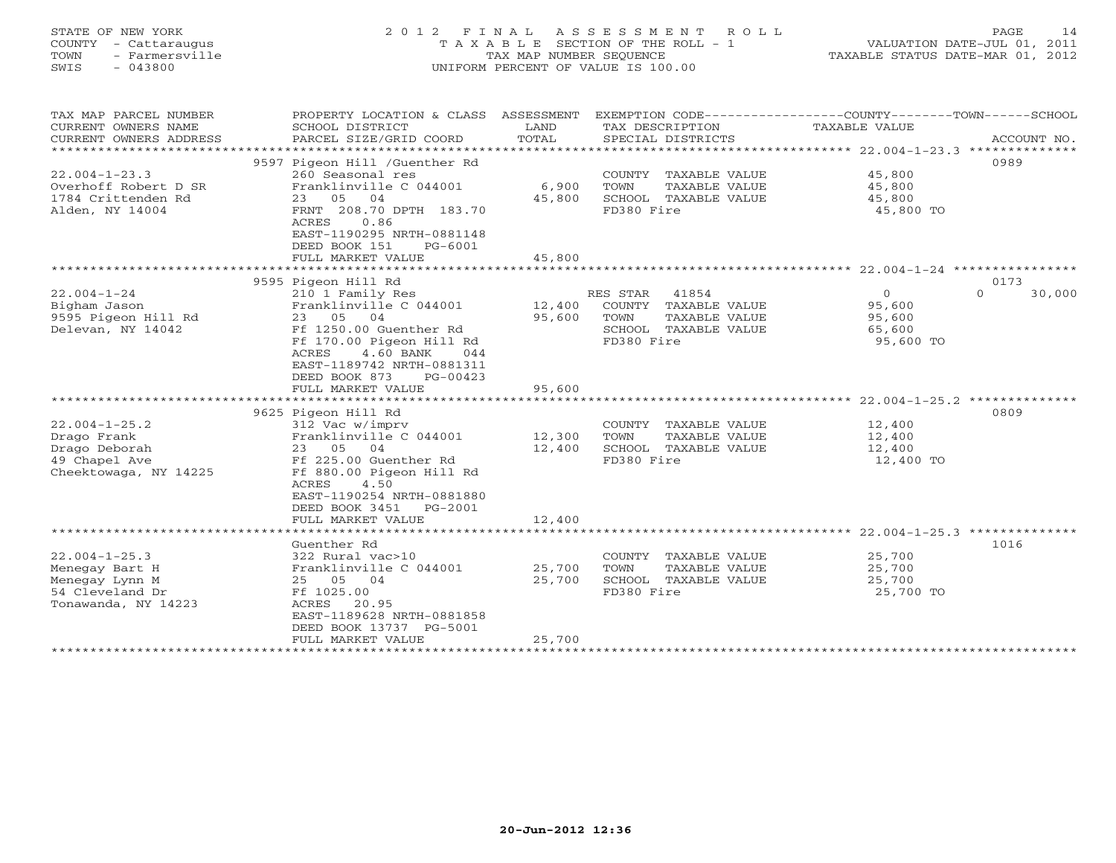# STATE OF NEW YORK 2 0 1 2 F I N A L A S S E S S M E N T R O L L PAGE 14 COUNTY - Cattaraugus T A X A B L E SECTION OF THE ROLL - 1 VALUATION DATE-JUL 01, 2011 TOWN - Farmersville TAX MAP NUMBER SEQUENCE TAXABLE STATUS DATE-MAR 01, 2012 SWIS - 043800 UNIFORM PERCENT OF VALUE IS 100.00UNIFORM PERCENT OF VALUE IS 100.00

| TAX MAP PARCEL NUMBER<br>CURRENT OWNERS NAME<br>CURRENT OWNERS ADDRESS<br>************************ | PROPERTY LOCATION & CLASS ASSESSMENT<br>SCHOOL DISTRICT<br>PARCEL SIZE/GRID COORD                                                                                                                                                                 | LAND<br>TOTAL              | EXEMPTION CODE-----------------COUNTY-------TOWN------SCHOOL<br>TAX DESCRIPTION<br>SPECIAL DISTRICTS  | TAXABLE VALUE                                       | ACCOUNT NO.                |
|----------------------------------------------------------------------------------------------------|---------------------------------------------------------------------------------------------------------------------------------------------------------------------------------------------------------------------------------------------------|----------------------------|-------------------------------------------------------------------------------------------------------|-----------------------------------------------------|----------------------------|
| $22.004 - 1 - 23.3$<br>Overhoff Robert D SR<br>1784 Crittenden Rd<br>Alden, NY 14004               | 9597 Pigeon Hill /Guenther Rd<br>260 Seasonal res<br>Franklinville C 044001<br>23 05 04<br>FRNT 208.70 DPTH 183.70<br>0.86<br>ACRES<br>EAST-1190295 NRTH-0881148<br>DEED BOOK 151<br>PG-6001<br>FULL MARKET VALUE                                 | 6,900<br>45,800<br>45,800  | COUNTY TAXABLE VALUE<br>TOWN<br>TAXABLE VALUE<br>SCHOOL TAXABLE VALUE<br>FD380 Fire                   | 45,800<br>45,800<br>45,800<br>45,800 TO             | 0989                       |
|                                                                                                    |                                                                                                                                                                                                                                                   |                            |                                                                                                       |                                                     |                            |
| $22.004 - 1 - 24$<br>Bigham Jason<br>9595 Pigeon Hill Rd<br>Delevan, NY 14042                      | 9595 Pigeon Hill Rd<br>210 1 Family Res<br>Franklinville C 044001<br>23 05 04<br>Ff 1250.00 Guenther Rd<br>Ff 170.00 Pigeon Hill Rd<br>4.60 BANK<br>ACRES<br>044<br>EAST-1189742 NRTH-0881311<br>DEED BOOK 873<br>$PG-00423$<br>FULL MARKET VALUE | 12,400<br>95,600<br>95,600 | RES STAR 41854<br>COUNTY TAXABLE VALUE<br>TOWN<br>TAXABLE VALUE<br>SCHOOL TAXABLE VALUE<br>FD380 Fire | $\Omega$<br>95,600<br>95,600<br>65,600<br>95,600 TO | 0173<br>$\Omega$<br>30,000 |
|                                                                                                    |                                                                                                                                                                                                                                                   |                            |                                                                                                       |                                                     |                            |
| $22.004 - 1 - 25.2$<br>Drago Frank<br>Drago Deborah<br>49 Chapel Ave<br>Cheektowaga, NY 14225      | 9625 Pigeon Hill Rd<br>312 Vac w/imprv<br>Franklinville C 044001<br>23 05 04<br>Ff 225.00 Guenther Rd<br>Ff 880.00 Pigeon Hill Rd<br>ACRES<br>4.50<br>EAST-1190254 NRTH-0881880<br>DEED BOOK 3451<br>PG-2001                                      | 12,300<br>12,400           | COUNTY TAXABLE VALUE<br>TOWN<br>TAXABLE VALUE<br>SCHOOL TAXABLE VALUE<br>FD380 Fire                   | 12,400<br>12,400<br>12,400<br>12,400 TO             | 0809                       |
|                                                                                                    | FULL MARKET VALUE                                                                                                                                                                                                                                 | 12,400                     |                                                                                                       |                                                     |                            |
|                                                                                                    | Guenther Rd                                                                                                                                                                                                                                       |                            |                                                                                                       |                                                     | 1016                       |
| $22.004 - 1 - 25.3$<br>Menegay Bart H<br>Menegay Lynn M<br>54 Cleveland Dr<br>Tonawanda, NY 14223  | 322 Rural vac>10<br>Franklinville C 044001<br>25 05 04<br>Ff 1025.00<br>ACRES 20.95<br>EAST-1189628 NRTH-0881858<br>DEED BOOK 13737 PG-5001<br>FULL MARKET VALUE                                                                                  | 25,700<br>25,700<br>25,700 | COUNTY TAXABLE VALUE<br>TOWN<br>TAXABLE VALUE<br>SCHOOL TAXABLE VALUE<br>FD380 Fire                   | 25,700<br>25,700<br>25,700<br>25,700 TO             |                            |
|                                                                                                    |                                                                                                                                                                                                                                                   |                            |                                                                                                       |                                                     |                            |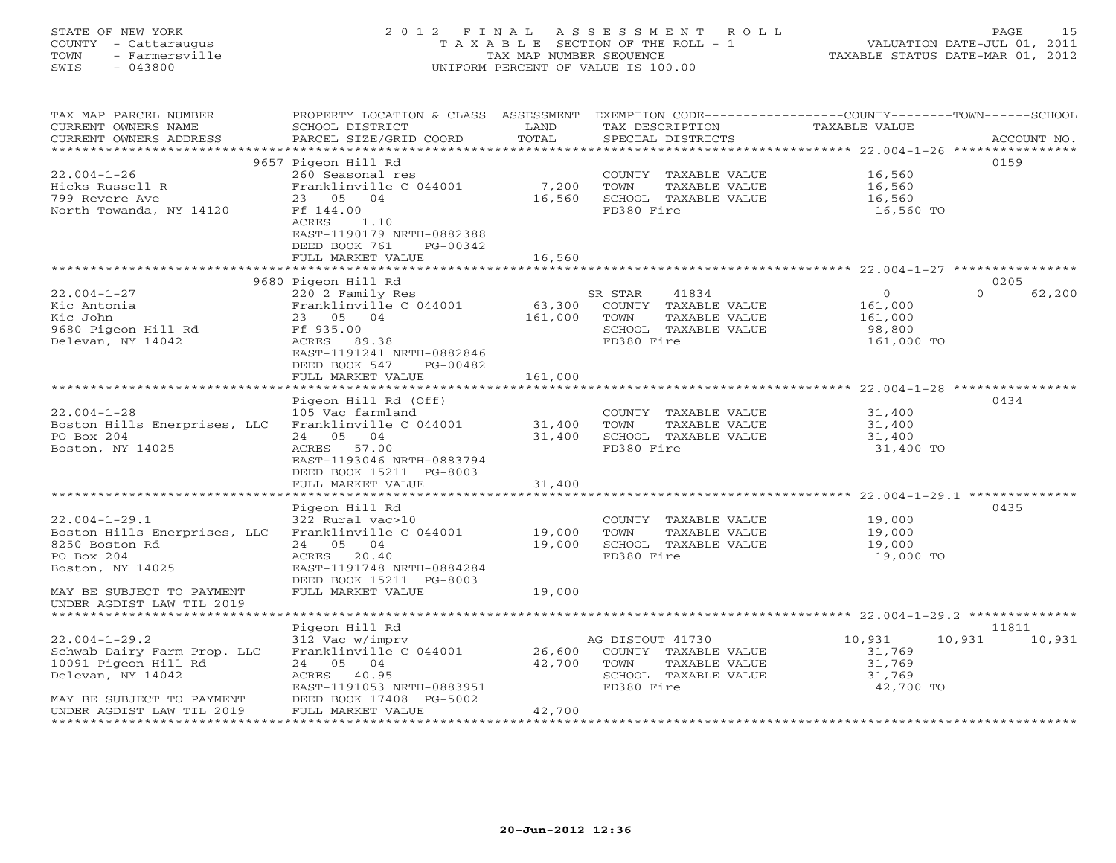#### STATE OF NEW YORK 2 0 1 2 F I N A L A S S E S S M E N T R O L L PAGE 15COUNTY - Cattaraugus T A X A B L E SECTION OF THE ROLL - 1 VALUATION DATE-JUL 01, 2011 TOWN - Farmersville TAX MAP NUMBER SEQUENCE TAXABLE STATUS DATE-MAR 01, 2012<br>SWIS - 043800 - 043800 SWIS - 043800 UNIFORM PERCENT OF VALUE IS 100.00

| TAX MAP PARCEL NUMBER<br>CURRENT OWNERS NAME<br>CURRENT OWNERS ADDRESS                                                                                                             | PROPERTY LOCATION & CLASS ASSESSMENT<br>SCHOOL DISTRICT<br>PARCEL SIZE/GRID COORD                                                                                      | LAND<br>TOTAL              | TAX DESCRIPTION<br>SPECIAL DISTRICTS                                                                    | EXEMPTION CODE-----------------COUNTY-------TOWN------SCHOOL<br>TAXABLE VALUE | ACCOUNT NO.                |
|------------------------------------------------------------------------------------------------------------------------------------------------------------------------------------|------------------------------------------------------------------------------------------------------------------------------------------------------------------------|----------------------------|---------------------------------------------------------------------------------------------------------|-------------------------------------------------------------------------------|----------------------------|
|                                                                                                                                                                                    |                                                                                                                                                                        |                            |                                                                                                         |                                                                               |                            |
| $22.004 - 1 - 26$<br>Hicks Russell R<br>799 Revere Ave<br>North Towanda, NY 14120                                                                                                  | 9657 Pigeon Hill Rd<br>260 Seasonal res<br>Franklinville C 044001<br>23 05 04<br>Ff 144.00<br>ACRES<br>1.10                                                            | 7,200<br>16,560            | COUNTY TAXABLE VALUE<br>TOWN<br>TAXABLE VALUE<br>SCHOOL TAXABLE VALUE<br>FD380 Fire                     | 16,560<br>16,560<br>16,560<br>16,560 TO                                       | 0159                       |
|                                                                                                                                                                                    | EAST-1190179 NRTH-0882388<br>DEED BOOK 761<br>PG-00342<br>FULL MARKET VALUE                                                                                            | 16,560                     |                                                                                                         |                                                                               |                            |
|                                                                                                                                                                                    |                                                                                                                                                                        |                            |                                                                                                         |                                                                               |                            |
| $22.004 - 1 - 27$<br>Kic Antonia<br>Kic John<br>9680 Pigeon Hill Rd<br>Delevan, NY 14042                                                                                           | 9680 Pigeon Hill Rd<br>220 2 Family Res<br>Franklinville C 044001<br>23 05 04<br>Ff 935.00<br>ACRES<br>89.38<br>EAST-1191241 NRTH-0882846<br>DEED BOOK 547<br>PG-00482 | 63,300<br>161,000          | SR STAR<br>41834<br>COUNTY TAXABLE VALUE<br>TOWN<br>TAXABLE VALUE<br>SCHOOL TAXABLE VALUE<br>FD380 Fire | $\circ$<br>161,000<br>161,000<br>98,800<br>161,000 TO                         | 0205<br>$\Omega$<br>62,200 |
|                                                                                                                                                                                    | FULL MARKET VALUE                                                                                                                                                      | 161,000                    |                                                                                                         |                                                                               |                            |
| $22.004 - 1 - 28$                                                                                                                                                                  | Pigeon Hill Rd (Off)<br>105 Vac farmland                                                                                                                               | **********                 | COUNTY TAXABLE VALUE                                                                                    | 31,400                                                                        | 0434                       |
| Boston Hills Enerprises, LLC<br>PO Box 204<br>Boston, NY 14025                                                                                                                     | Franklinville C 044001<br>04<br>24 05<br>ACRES<br>57.00<br>EAST-1193046 NRTH-0883794                                                                                   | 31,400<br>31,400           | TOWN<br>TAXABLE VALUE<br>SCHOOL TAXABLE VALUE<br>FD380 Fire                                             | 31,400<br>31,400<br>31,400 TO                                                 |                            |
|                                                                                                                                                                                    | DEED BOOK 15211 PG-8003<br>FULL MARKET VALUE<br>*************************                                                                                              | 31,400<br>***************  |                                                                                                         |                                                                               |                            |
|                                                                                                                                                                                    | Pigeon Hill Rd                                                                                                                                                         |                            |                                                                                                         |                                                                               | 0435                       |
| $22.004 - 1 - 29.1$<br>Boston Hills Enerprises, LLC<br>8250 Boston Rd<br>PO Box 204<br>Boston, NY 14025                                                                            | 322 Rural vac>10<br>Franklinville C 044001<br>05 04<br>24<br><b>ACRES</b><br>20.40<br>EAST-1191748 NRTH-0884284<br>DEED BOOK 15211 PG-8003                             | 19,000<br>19,000           | COUNTY TAXABLE VALUE<br>TAXABLE VALUE<br>TOWN<br>SCHOOL TAXABLE VALUE<br>FD380 Fire                     | 19,000<br>19,000<br>19,000<br>19,000 TO                                       |                            |
| MAY BE SUBJECT TO PAYMENT<br>UNDER AGDIST LAW TIL 2019                                                                                                                             | FULL MARKET VALUE                                                                                                                                                      | 19,000                     |                                                                                                         |                                                                               |                            |
|                                                                                                                                                                                    | Pigeon Hill Rd                                                                                                                                                         |                            |                                                                                                         |                                                                               | 11811                      |
| $22.004 - 1 - 29.2$<br>Schwab Dairy Farm Prop. LLC<br>10091 Pigeon Hill Rd<br>Delevan, NY 14042<br>MAY BE SUBJECT TO PAYMENT<br>UNDER AGDIST LAW TIL 2019<br>********************* | 312 Vac w/imprv<br>Franklinville C 044001<br>24 05 04<br>ACRES 40.95<br>EAST-1191053 NRTH-0883951<br>DEED BOOK 17408 PG-5002<br>FULL MARKET VALUE                      | 26,600<br>42,700<br>42,700 | AG DISTOUT 41730<br>COUNTY TAXABLE VALUE<br>TOWN<br>TAXABLE VALUE<br>SCHOOL TAXABLE VALUE<br>FD380 Fire | 10,931<br>10,931<br>31,769<br>31,769<br>31,769<br>42,700 TO                   | 10,931                     |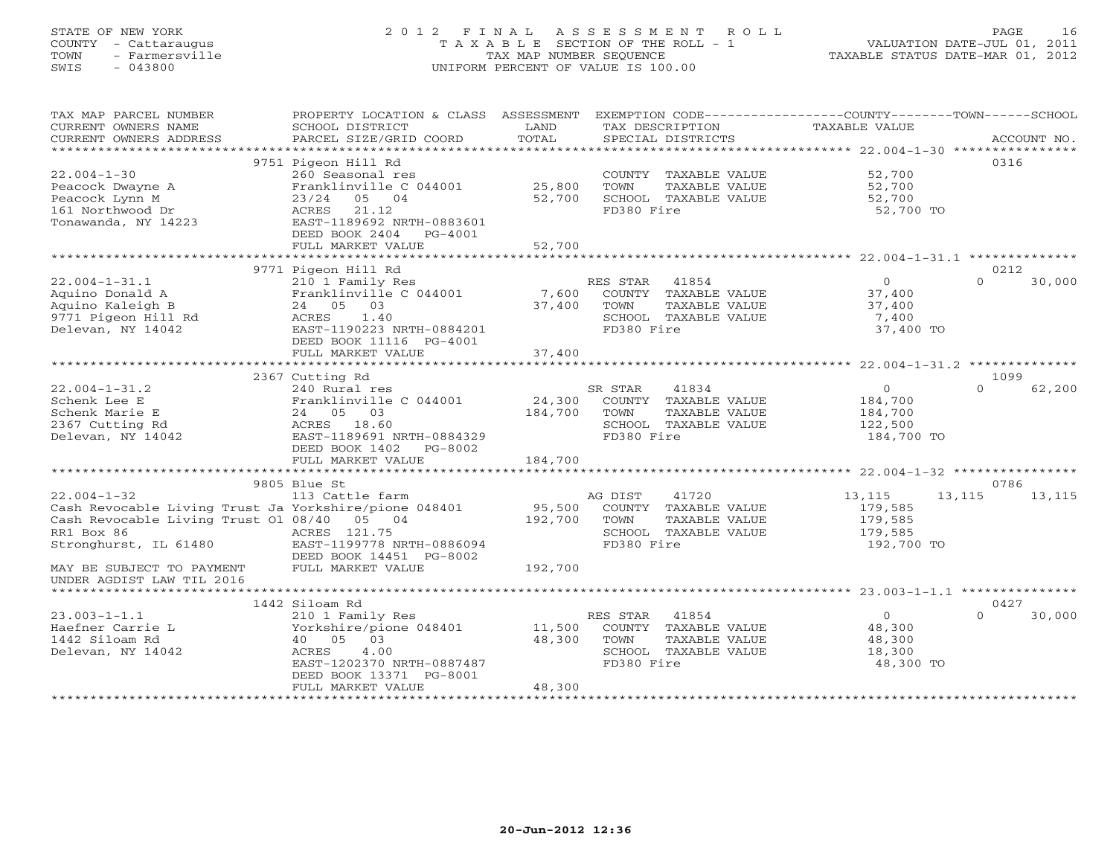# STATE OF NEW YORK 2 0 1 2 F I N A L A S S E S S M E N T R O L L PAGE 16 COUNTY - Cattaraugus T A X A B L E SECTION OF THE ROLL - 1 VALUATION DATE-JUL 01, 2011 TOWN - Farmersville TAX MAP NUMBER SEQUENCE TAXABLE STATUS DATE-MAR 01, 2012 SWIS - 043800 UNIFORM PERCENT OF VALUE IS 100.00UNIFORM PERCENT OF VALUE IS 100.00

| TAX MAP PARCEL NUMBER<br>CURRENT OWNERS NAME<br>CURRENT OWNERS ADDRESS                              | PROPERTY LOCATION & CLASS ASSESSMENT<br>SCHOOL DISTRICT<br>PARCEL SIZE/GRID COORD | LAND<br>TOTAL          | EXEMPTION CODE-----------------COUNTY-------TOWN------SCHOOL<br>TAX DESCRIPTION<br>SPECIAL DISTRICTS | TAXABLE VALUE         | ACCOUNT NO.        |
|-----------------------------------------------------------------------------------------------------|-----------------------------------------------------------------------------------|------------------------|------------------------------------------------------------------------------------------------------|-----------------------|--------------------|
|                                                                                                     |                                                                                   |                        |                                                                                                      |                       |                    |
|                                                                                                     | 9751 Pigeon Hill Rd                                                               |                        |                                                                                                      |                       | 0316               |
| $22.004 - 1 - 30$                                                                                   | 260 Seasonal res                                                                  |                        | COUNTY TAXABLE VALUE                                                                                 | 52,700                |                    |
| Peacock Dwayne A                                                                                    | Franklinville C 044001                                                            | 25,800                 | TOWN<br>TAXABLE VALUE                                                                                | 52,700                |                    |
| Peacock Lynn M                                                                                      | $23/24$ 05 04                                                                     | 52,700                 | SCHOOL TAXABLE VALUE                                                                                 | 52,700                |                    |
| 161 Northwood Dr                                                                                    | ACRES<br>21.12                                                                    |                        | FD380 Fire                                                                                           | 52,700 TO             |                    |
| Tonawanda, NY 14223                                                                                 | EAST-1189692 NRTH-0883601                                                         |                        |                                                                                                      |                       |                    |
|                                                                                                     | DEED BOOK 2404<br>PG-4001                                                         |                        |                                                                                                      |                       |                    |
|                                                                                                     | FULL MARKET VALUE<br>*************************                                    | 52,700<br>************ |                                                                                                      |                       |                    |
|                                                                                                     |                                                                                   |                        |                                                                                                      |                       |                    |
|                                                                                                     | 9771 Pigeon Hill Rd                                                               |                        |                                                                                                      |                       | 0212<br>$\Omega$   |
| $22.004 - 1 - 31.1$                                                                                 | 210 1 Family Res                                                                  |                        | RES STAR<br>41854                                                                                    | $\circ$               | 30,000             |
| Aquino Donald A                                                                                     | Franklinville C 044001                                                            | 7,600                  | COUNTY TAXABLE VALUE                                                                                 | 37,400                |                    |
| Aquino Kaleigh B                                                                                    | 24 05 03                                                                          | 37,400                 | TOWN<br>TAXABLE VALUE                                                                                | 37,400                |                    |
| 9771 Pigeon Hill Rd                                                                                 | ACRES<br>1.40                                                                     |                        | SCHOOL TAXABLE VALUE                                                                                 | 7,400                 |                    |
| Delevan, NY 14042                                                                                   | EAST-1190223 NRTH-0884201                                                         |                        | FD380 Fire                                                                                           | 37,400 TO             |                    |
|                                                                                                     | DEED BOOK 11116 PG-4001                                                           |                        |                                                                                                      |                       |                    |
|                                                                                                     | FULL MARKET VALUE                                                                 | 37,400                 |                                                                                                      |                       |                    |
|                                                                                                     |                                                                                   |                        |                                                                                                      |                       |                    |
|                                                                                                     | 2367 Cutting Rd                                                                   |                        |                                                                                                      |                       | 1099<br>$\Omega$   |
| $22.004 - 1 - 31.2$                                                                                 | 240 Rural res                                                                     |                        | 41834<br>SR STAR                                                                                     | $\circ$               | 62,200             |
| Schenk Lee E                                                                                        | Franklinville C 044001                                                            | 24,300                 | COUNTY TAXABLE VALUE                                                                                 | 184,700               |                    |
| Schenk Marie E                                                                                      | 24 05 03                                                                          | 184,700                | TOWN<br>TAXABLE VALUE                                                                                | 184,700               |                    |
| 2367 Cutting Rd                                                                                     | ACRES 18.60                                                                       |                        | SCHOOL TAXABLE VALUE                                                                                 | 122,500               |                    |
| Delevan, NY 14042                                                                                   | EAST-1189691 NRTH-0884329                                                         |                        | FD380 Fire                                                                                           | 184,700 TO            |                    |
|                                                                                                     | DEED BOOK 1402<br>PG-8002                                                         |                        |                                                                                                      |                       |                    |
|                                                                                                     | FULL MARKET VALUE                                                                 | 184,700                |                                                                                                      |                       |                    |
|                                                                                                     |                                                                                   |                        |                                                                                                      |                       | 0786               |
|                                                                                                     | 9805 Blue St                                                                      |                        |                                                                                                      |                       |                    |
| $22.004 - 1 - 32$                                                                                   | 113 Cattle farm                                                                   |                        | AG DIST<br>41720                                                                                     | 13,115                | 13,115<br>13,115   |
| Cash Revocable Living Trust Ja Yorkshire/pione 048401<br>Cash Revocable Living Trust 01 08/40 05 04 |                                                                                   | 95,500<br>192,700      | COUNTY TAXABLE VALUE                                                                                 | 179,585               |                    |
|                                                                                                     |                                                                                   |                        | TOWN<br>TAXABLE VALUE                                                                                | 179,585               |                    |
| RR1 Box 86<br>Stronghurst, IL 61480                                                                 | ACRES 121.75<br>EAST-1199778 NRTH-0886094                                         |                        | SCHOOL TAXABLE VALUE<br>FD380 Fire                                                                   | 179,585<br>192,700 TO |                    |
|                                                                                                     |                                                                                   |                        |                                                                                                      |                       |                    |
| MAY BE SUBJECT TO PAYMENT                                                                           | DEED BOOK 14451 PG-8002<br>FULL MARKET VALUE                                      | 192,700                |                                                                                                      |                       |                    |
| UNDER AGDIST LAW TIL 2016                                                                           |                                                                                   |                        |                                                                                                      |                       |                    |
|                                                                                                     |                                                                                   |                        |                                                                                                      |                       |                    |
|                                                                                                     | 1442 Siloam Rd                                                                    |                        |                                                                                                      |                       | 0427               |
| $23.003 - 1 - 1.1$                                                                                  | 210 1 Family Res                                                                  |                        | RES STAR<br>41854                                                                                    | $\overline{0}$        | $\Omega$<br>30,000 |
| Haefner Carrie L                                                                                    | Yorkshire/pione 048401                                                            | 11,500                 | COUNTY TAXABLE VALUE                                                                                 | 48,300                |                    |
| 1442 Siloam Rd                                                                                      | 40 05 03                                                                          | 48,300                 | TAXABLE VALUE<br>TOWN                                                                                | 48,300                |                    |
| Delevan, NY 14042                                                                                   | 4.00<br>ACRES                                                                     |                        | SCHOOL TAXABLE VALUE                                                                                 | 18,300                |                    |
|                                                                                                     | EAST-1202370 NRTH-0887487                                                         |                        | FD380 Fire                                                                                           | 48,300 TO             |                    |
|                                                                                                     | DEED BOOK 13371 PG-8001                                                           |                        |                                                                                                      |                       |                    |
|                                                                                                     | FULL MARKET VALUE                                                                 | 48,300                 |                                                                                                      |                       |                    |
|                                                                                                     |                                                                                   |                        |                                                                                                      |                       |                    |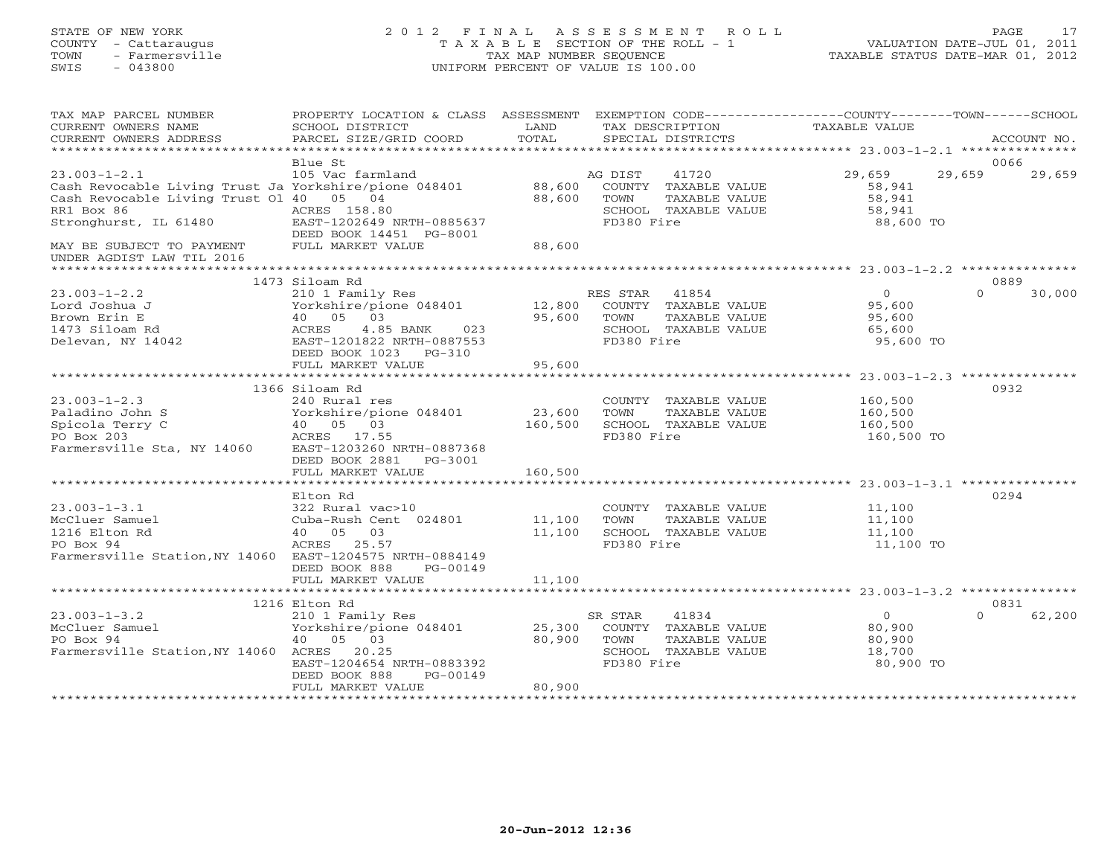# STATE OF NEW YORK 2 0 1 2 F I N A L A S S E S S M E N T R O L L PAGE 17 COUNTY - Cattaraugus T A X A B L E SECTION OF THE ROLL - 1 VALUATION DATE-JUL 01, 2011 TOWN - Farmersville TAX MAP NUMBER SEQUENCE TAXABLE STATUS DATE-MAR 01, 2012 SWIS - 043800 UNIFORM PERCENT OF VALUE IS 100.00

| TAX MAP PARCEL NUMBER<br>CURRENT OWNERS NAME<br>CURRENT OWNERS ADDRESS                                                                                        | PROPERTY LOCATION & CLASS ASSESSMENT<br>SCHOOL DISTRICT<br>PARCEL SIZE/GRID COORD                                                                                   | LAND<br>TOTAL                | TAX DESCRIPTION                | SPECIAL DISTRICTS                                                      | EXEMPTION CODE-----------------COUNTY-------TOWN------SCHOOL<br>TAXABLE VALUE | ACCOUNT NO. |        |
|---------------------------------------------------------------------------------------------------------------------------------------------------------------|---------------------------------------------------------------------------------------------------------------------------------------------------------------------|------------------------------|--------------------------------|------------------------------------------------------------------------|-------------------------------------------------------------------------------|-------------|--------|
|                                                                                                                                                               | Blue St                                                                                                                                                             |                              |                                |                                                                        |                                                                               | 0066        |        |
| $23.003 - 1 - 2.1$<br>Cash Revocable Living Trust Ja Yorkshire/pione 048401<br>Cash Revocable Living Trust 01 40 05 04<br>RR1 Box 86<br>Stronghurst, IL 61480 | 105 Vac farmland<br>ACRES 158.80<br>EAST-1202649 NRTH-0885637<br>DEED BOOK 14451 PG-8001                                                                            | 88,600<br>88,600             | AG DIST<br>TOWN<br>FD380 Fire  | 41720<br>COUNTY TAXABLE VALUE<br>TAXABLE VALUE<br>SCHOOL TAXABLE VALUE | 29,659<br>58,941<br>58,941<br>58,941<br>88,600 TO                             | 29,659      | 29,659 |
| MAY BE SUBJECT TO PAYMENT<br>UNDER AGDIST LAW TIL 2016<br>********************                                                                                | FULL MARKET VALUE                                                                                                                                                   | 88,600                       |                                |                                                                        |                                                                               |             |        |
|                                                                                                                                                               | 1473 Siloam Rd                                                                                                                                                      |                              |                                |                                                                        |                                                                               | 0889        |        |
| $23.003 - 1 - 2.2$<br>Lord Joshua J<br>Brown Erin E<br>1473 Siloam Rd<br>Delevan, NY 14042                                                                    | 210 1 Family Res<br>Yorkshire/pione 048401<br>40 05 03<br>4.85 BANK<br>ACRES<br>023<br>EAST-1201822 NRTH-0887553<br>DEED BOOK 1023<br>$PG-310$                      | 12,800<br>95,600             | RES STAR<br>TOWN<br>FD380 Fire | 41854<br>COUNTY TAXABLE VALUE<br>TAXABLE VALUE<br>SCHOOL TAXABLE VALUE | $\circ$<br>95,600<br>95,600<br>65,600<br>95,600 TO                            | $\Omega$    | 30,000 |
|                                                                                                                                                               | FULL MARKET VALUE                                                                                                                                                   | 95,600                       |                                |                                                                        |                                                                               |             |        |
| $23.003 - 1 - 2.3$<br>Paladino John S<br>Spicola Terry C<br>PO Box 203<br>Farmersville Sta, NY 14060                                                          | 1366 Siloam Rd<br>240 Rural res<br>Yorkshire/pione 048401<br>40 05 03<br>ACRES 17.55<br>EAST-1203260 NRTH-0887368<br>DEED BOOK 2881<br>PG-3001<br>FULL MARKET VALUE | 23,600<br>160,500<br>160,500 | TOWN<br>FD380 Fire             | COUNTY TAXABLE VALUE<br>TAXABLE VALUE<br>SCHOOL TAXABLE VALUE          | 160,500<br>160,500<br>160,500<br>160,500 TO                                   | 0932        |        |
|                                                                                                                                                               |                                                                                                                                                                     |                              |                                |                                                                        |                                                                               |             |        |
| $23.003 - 1 - 3.1$<br>McCluer Samuel<br>1216 Elton Rd<br>PO Box 94<br>Farmersville Station, NY 14060 EAST-1204575 NRTH-0884149                                | Elton Rd<br>322 Rural vac>10<br>Cuba-Rush Cent 024801<br>40 05 03<br>ACRES 25.57<br>DEED BOOK 888<br>PG-00149                                                       | 11,100<br>11,100             | TOWN<br>FD380 Fire             | COUNTY TAXABLE VALUE<br>TAXABLE VALUE<br>SCHOOL TAXABLE VALUE          | 11,100<br>11,100<br>11,100<br>11,100 TO                                       | 0294        |        |
|                                                                                                                                                               | FULL MARKET VALUE                                                                                                                                                   | 11,100                       |                                |                                                                        |                                                                               |             |        |
|                                                                                                                                                               | 1216 Elton Rd                                                                                                                                                       |                              |                                |                                                                        |                                                                               | 0831        |        |
| $23.003 - 1 - 3.2$<br>McCluer Samuel<br>PO Box 94<br>Farmersville Station, NY 14060 ACRES 20.25                                                               | 210 1 Family Res<br>Yorkshire/pione 048401<br>40 05 03<br>EAST-1204654 NRTH-0883392<br>DEED BOOK 888<br>PG-00149<br>FULL MARKET VALUE                               | 25,300<br>80,900<br>80,900   | SR STAR<br>TOWN<br>FD380 Fire  | 41834<br>COUNTY TAXABLE VALUE<br>TAXABLE VALUE<br>SCHOOL TAXABLE VALUE | $\Omega$<br>80,900<br>80,900<br>18,700<br>80,900 TO                           | $\Omega$    | 62,200 |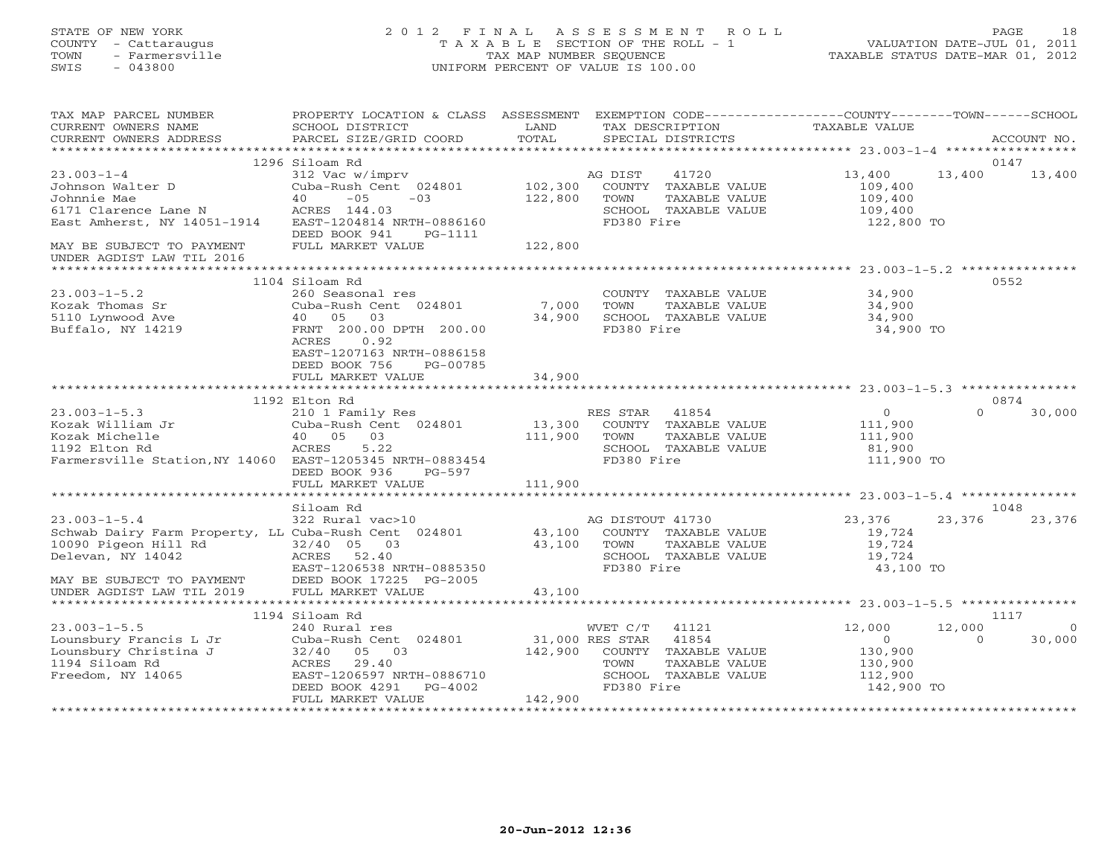| STATE OF NEW YORK<br>COUNTY - Cattaraugus<br>TOWN<br>- Farmersville<br>$-043800$<br>SWIS                                              | 2012 FINAL                                                                                                                                                                       | TAX MAP NUMBER SEQUENCE            | ASSESSMENT<br>ROLL<br>T A X A B L E SECTION OF THE ROLL - 1<br>UNIFORM PERCENT OF VALUE IS 100.00                                       |                                                                                | 18<br>PAGE<br>VALUATION DATE-JUL 01, 2011<br>TAXABLE STATUS DATE-MAR 01, 2012 |
|---------------------------------------------------------------------------------------------------------------------------------------|----------------------------------------------------------------------------------------------------------------------------------------------------------------------------------|------------------------------------|-----------------------------------------------------------------------------------------------------------------------------------------|--------------------------------------------------------------------------------|-------------------------------------------------------------------------------|
| TAX MAP PARCEL NUMBER<br>CURRENT OWNERS NAME<br>CURRENT OWNERS ADDRESS                                                                | PROPERTY LOCATION & CLASS ASSESSMENT EXEMPTION CODE----------------COUNTY-------TOWN------SCHOOL<br>SCHOOL DISTRICT<br>PARCEL SIZE/GRID COORD                                    | LAND<br>TOTAL                      | TAX DESCRIPTION<br>SPECIAL DISTRICTS                                                                                                    | TAXABLE VALUE                                                                  | ACCOUNT NO.                                                                   |
|                                                                                                                                       | 1296 Siloam Rd                                                                                                                                                                   |                                    |                                                                                                                                         |                                                                                | 0147                                                                          |
| $23.003 - 1 - 4$<br>Johnson Walter D<br>Johnnie Mae<br>6171 Clarence Lane N<br>East Amherst, NY 14051-1914                            | 312 Vac w/imprv<br>Cuba-Rush Cent 024801<br>$-05$<br>40<br>$-03$<br>ACRES 144.03<br>EAST-1204814 NRTH-0886160<br>DEED BOOK 941                                                   | 102,300<br>122,800                 | AG DIST<br>41720<br>COUNTY TAXABLE VALUE<br>TOWN<br>TAXABLE VALUE<br>SCHOOL TAXABLE VALUE<br>FD380 Fire                                 | 13,400<br>109,400<br>109,400<br>109,400<br>122,800 TO                          | 13,400<br>13,400                                                              |
| MAY BE SUBJECT TO PAYMENT<br>UNDER AGDIST LAW TIL 2016                                                                                | PG-1111<br>FULL MARKET VALUE                                                                                                                                                     | 122,800                            |                                                                                                                                         |                                                                                |                                                                               |
| $23.003 - 1 - 5.2$<br>Kozak Thomas Sr<br>5110 Lynwood Ave<br>Buffalo, NY 14219                                                        | 1104 Siloam Rd<br>260 Seasonal res<br>Cuba-Rush Cent 024801<br>40 05<br>03<br>FRNT 200.00 DPTH 200.00<br>ACRES<br>0.92<br>EAST-1207163 NRTH-0886158<br>DEED BOOK 756<br>PG-00785 | 7,000<br>34,900                    | COUNTY TAXABLE VALUE<br>TAXABLE VALUE<br>TOWN<br>SCHOOL TAXABLE VALUE<br>FD380 Fire                                                     | ************ 23.003-1-5.2 *********<br>34,900<br>34,900<br>34,900<br>34,900 TO | 0552                                                                          |
|                                                                                                                                       | FULL MARKET VALUE                                                                                                                                                                | 34,900                             |                                                                                                                                         | ************************************* 23.003-1-5.3 **************              |                                                                               |
| $23.003 - 1 - 5.3$<br>Kozak William Jr<br>Kozak Michelle<br>1192 Elton Rd<br>Farmersville Station, NY 14060 EAST-1205345 NRTH-0883454 | 1192 Elton Rd<br>210 1 Family Res<br>Cuba-Rush Cent 024801<br>05<br>03<br>40<br><b>ACRES</b><br>5.22<br>DEED BOOK 936<br>PG-597<br>FULL MARKET VALUE                             | 13,300<br>111,900<br>111,900       | RES STAR<br>41854<br>COUNTY TAXABLE VALUE<br><b>TAXABLE VALUE</b><br>TOWN<br>SCHOOL TAXABLE VALUE<br>FD380 Fire                         | $\circ$<br>111,900<br>111,900<br>81,900<br>111,900 TO                          | 0874<br>$\Omega$<br>30,000                                                    |
|                                                                                                                                       | *****************                                                                                                                                                                | ************                       |                                                                                                                                         | ********************* 23.003-1-5.4                                             | ***************                                                               |
| $23.003 - 1 - 5.4$<br>Schwab Dairy Farm Property, LL Cuba-Rush Cent 024801<br>10090 Pigeon Hill Rd<br>Delevan, NY 14042               | Siloam Rd<br>322 Rural vac>10<br>$32/40$ 05<br>03<br>ACRES<br>52.40<br>EAST-1206538 NRTH-0885350                                                                                 | 43,100<br>43,100                   | AG DISTOUT 41730<br>COUNTY TAXABLE VALUE<br>TOWN<br>TAXABLE VALUE<br>SCHOOL TAXABLE VALUE<br>FD380 Fire                                 | 23,376<br>19,724<br>19,724<br>19,724<br>43,100 TO                              | 1048<br>23,376<br>23,376                                                      |
| MAY BE SUBJECT TO PAYMENT<br>UNDER AGDIST LAW TIL 2019                                                                                | DEED BOOK 17225 PG-2005<br>FULL MARKET VALUE                                                                                                                                     | 43,100                             |                                                                                                                                         |                                                                                |                                                                               |
| $23.003 - 1 - 5.5$<br>Lounsbury Francis L Jr<br>Lounsbury Christina J<br>1194 Siloam Rd<br>Freedom, NY 14065                          | 1194 Siloam Rd<br>240 Rural res<br>Cuba-Rush Cent 024801<br>32/40<br>05 03<br>ACRES<br>29.40<br>EAST-1206597 NRTH-0886710<br>DEED BOOK 4291<br>PG-4002                           | 142,900                            | WVET C/T<br>41121<br>31,000 RES STAR<br>41854<br>COUNTY<br>TAXABLE VALUE<br>TOWN<br>TAXABLE VALUE<br>SCHOOL TAXABLE VALUE<br>FD380 Fire | 12,000<br>$\circ$<br>130,900<br>130,900<br>112,900<br>142,900 TO               | 1117<br>12,000<br>$\overline{0}$<br>30,000<br>$\Omega$                        |
|                                                                                                                                       | FULL MARKET VALUE                                                                                                                                                                | 142,900<br>* * * * * * * * * * * * |                                                                                                                                         |                                                                                |                                                                               |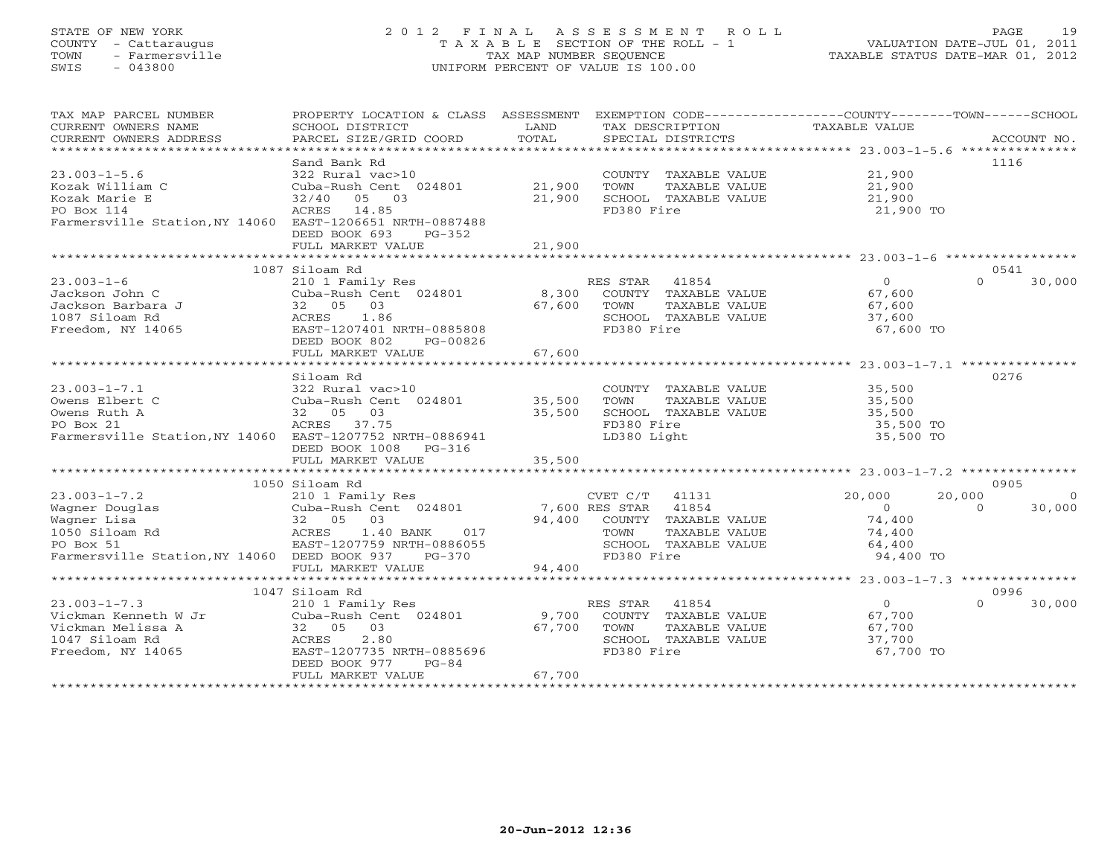# STATE OF NEW YORK 2 0 1 2 F I N A L A S S E S S M E N T R O L L PAGE 19 COUNTY - Cattaraugus T A X A B L E SECTION OF THE ROLL - 1 VALUATION DATE-JUL 01, 2011 TOWN - Farmersville TAX MAP NUMBER SEQUENCE TAXABLE STATUS DATE-MAR 01, 2012 SWIS - 043800 UNIFORM PERCENT OF VALUE IS 100.00UNIFORM PERCENT OF VALUE IS 100.00

| TAX MAP PARCEL NUMBER                                                                                                                                                                                                                                                                                                                                                                                                                                                                                                  | PROPERTY LOCATION & CLASS ASSESSMENT EXEMPTION CODE---------------COUNTY-------TOWN------SCHOOL                                                       |        |                             |                        |                          |
|------------------------------------------------------------------------------------------------------------------------------------------------------------------------------------------------------------------------------------------------------------------------------------------------------------------------------------------------------------------------------------------------------------------------------------------------------------------------------------------------------------------------|-------------------------------------------------------------------------------------------------------------------------------------------------------|--------|-----------------------------|------------------------|--------------------------|
| CURRENT OWNERS NAME                                                                                                                                                                                                                                                                                                                                                                                                                                                                                                    | SCHOOL DISTRICT                                                                                                                                       | LAND   | TAX DESCRIPTION             | TAXABLE VALUE          |                          |
| $\begin{minipage}{.45\textwidth} \begin{minipage}{.45\textwidth} \begin{minipage}{.45\textwidth} \begin{minipage}{.45\textwidth} \begin{minipage}{.45\textwidth} \begin{minipage}{.45\textwidth} \begin{minipage}{.45\textwidth} \begin{minipage}{.45\textwidth} \begin{minipage}{.45\textwidth} \begin{minipage}{.45\textwidth} \begin{minipage}{.45\textwidth} \begin{minipage}{.45\textwidth} \begin{minipage}{.45\textwidth} \begin{minipage}{.45\textwidth} \begin{minipage}{.45\textwidth} \begin{minipage}{.45$ |                                                                                                                                                       |        |                             |                        |                          |
|                                                                                                                                                                                                                                                                                                                                                                                                                                                                                                                        |                                                                                                                                                       |        |                             |                        |                          |
|                                                                                                                                                                                                                                                                                                                                                                                                                                                                                                                        | Sand Bank Rd                                                                                                                                          |        |                             |                        | 1116                     |
| $23.003 - 1 - 5.6$                                                                                                                                                                                                                                                                                                                                                                                                                                                                                                     | 322 Rural vac>10                                                                                                                                      |        | COUNTY TAXABLE VALUE 21,900 |                        |                          |
| Kozak William C                                                                                                                                                                                                                                                                                                                                                                                                                                                                                                        | Cuba-Rush Cent 024801 21,900                                                                                                                          |        | TOWN<br>TAXABLE VALUE       | 21,900                 |                          |
| Kozak Marie E                                                                                                                                                                                                                                                                                                                                                                                                                                                                                                          | 32/40 05 03                                                                                                                                           | 21,900 | SCHOOL TAXABLE VALUE        | 21,900                 |                          |
| PO Box 114                                                                                                                                                                                                                                                                                                                                                                                                                                                                                                             | ACRES 14.85                                                                                                                                           |        | FD380 Fire                  | 21,900 TO              |                          |
| Farmersville Station, NY 14060 EAST-1206651 NRTH-0887488                                                                                                                                                                                                                                                                                                                                                                                                                                                               |                                                                                                                                                       |        |                             |                        |                          |
|                                                                                                                                                                                                                                                                                                                                                                                                                                                                                                                        | DEED BOOK 693<br>$PG-352$                                                                                                                             |        |                             |                        |                          |
|                                                                                                                                                                                                                                                                                                                                                                                                                                                                                                                        | FULL MARKET VALUE                                                                                                                                     | 21,900 |                             |                        |                          |
|                                                                                                                                                                                                                                                                                                                                                                                                                                                                                                                        |                                                                                                                                                       |        |                             |                        |                          |
|                                                                                                                                                                                                                                                                                                                                                                                                                                                                                                                        | 1087 Siloam Rd                                                                                                                                        |        |                             |                        | 0541                     |
| $23.003 - 1 - 6$                                                                                                                                                                                                                                                                                                                                                                                                                                                                                                       | 210 1 Family Res                                                                                                                                      |        | RES STAR 41854              | $\overline{0}$         | 30,000<br>$\cap$         |
| Jackson John C                                                                                                                                                                                                                                                                                                                                                                                                                                                                                                         | Cuba-Rush Cent 024801                                                                                                                                 |        | 8,300 COUNTY TAXABLE VALUE  | $67, 600$<br>$67, 600$ |                          |
| Jackson Barbara J                                                                                                                                                                                                                                                                                                                                                                                                                                                                                                      | 32 05 03                                                                                                                                              | 67,600 | TOWN<br>TAXABLE VALUE       |                        |                          |
| 1087 Siloam Rd                                                                                                                                                                                                                                                                                                                                                                                                                                                                                                         | ACRES 1.86                                                                                                                                            |        | SCHOOL TAXABLE VALUE        | 37,600                 |                          |
| Freedom, NY 14065                                                                                                                                                                                                                                                                                                                                                                                                                                                                                                      | EAST-1207401 NRTH-0885808                                                                                                                             |        | FD380 Fire                  | 67,600 TO              |                          |
|                                                                                                                                                                                                                                                                                                                                                                                                                                                                                                                        | DEED BOOK 802<br>PG-00826                                                                                                                             |        |                             |                        |                          |
|                                                                                                                                                                                                                                                                                                                                                                                                                                                                                                                        | FULL MARKET VALUE                                                                                                                                     | 67,600 |                             |                        |                          |
|                                                                                                                                                                                                                                                                                                                                                                                                                                                                                                                        |                                                                                                                                                       |        |                             |                        |                          |
|                                                                                                                                                                                                                                                                                                                                                                                                                                                                                                                        | Siloam Rd                                                                                                                                             |        |                             |                        | 0276                     |
| $23.003 - 1 - 7.1$                                                                                                                                                                                                                                                                                                                                                                                                                                                                                                     | 322 Rural vac>10                                                                                                                                      |        | COUNTY TAXABLE VALUE        | 35,500                 |                          |
| Owens Elbert C                                                                                                                                                                                                                                                                                                                                                                                                                                                                                                         | Cuba-Rush Cent 024801 35,500                                                                                                                          |        | TOWN<br>TAXABLE VALUE       | 35,500                 |                          |
| Owens Ruth A                                                                                                                                                                                                                                                                                                                                                                                                                                                                                                           | 32 05 03                                                                                                                                              | 35,500 | SCHOOL TAXABLE VALUE        | 35,500                 |                          |
| PO Box 21                                                                                                                                                                                                                                                                                                                                                                                                                                                                                                              | ACRES 37.75                                                                                                                                           |        | FD380 Fire                  | 35,500 TO              |                          |
| Farmersville Station, NY 14060 EAST-1207752 NRTH-0886941                                                                                                                                                                                                                                                                                                                                                                                                                                                               |                                                                                                                                                       |        | LD380 Light                 | 35,500 TO              |                          |
|                                                                                                                                                                                                                                                                                                                                                                                                                                                                                                                        | DEED BOOK 1008 PG-316                                                                                                                                 |        |                             |                        |                          |
|                                                                                                                                                                                                                                                                                                                                                                                                                                                                                                                        | FULL MARKET VALUE                                                                                                                                     | 35,500 |                             |                        |                          |
|                                                                                                                                                                                                                                                                                                                                                                                                                                                                                                                        |                                                                                                                                                       |        |                             |                        |                          |
|                                                                                                                                                                                                                                                                                                                                                                                                                                                                                                                        | 1050 Siloam Rd<br>210 1 Family Res<br>210 1 Family Res<br>Cuba-Rush Cent 024801<br>32 05 03<br>Rd<br>ACRES 1.40 BANK 017<br>EAST-1207759 NRTH-0886055 |        |                             |                        | 0905                     |
| $23.003 - 1 - 7.2$                                                                                                                                                                                                                                                                                                                                                                                                                                                                                                     |                                                                                                                                                       |        |                             | 20,000                 | 20,000<br>$\overline{0}$ |
| Wagner Douglas                                                                                                                                                                                                                                                                                                                                                                                                                                                                                                         |                                                                                                                                                       |        |                             | $\overline{0}$         | $\overline{0}$<br>30,000 |
| Wagner Lisa                                                                                                                                                                                                                                                                                                                                                                                                                                                                                                            |                                                                                                                                                       |        |                             | 74,400                 |                          |
| 1050 Siloam Rd                                                                                                                                                                                                                                                                                                                                                                                                                                                                                                         |                                                                                                                                                       |        |                             | 74,400                 |                          |
| PO Box 51                                                                                                                                                                                                                                                                                                                                                                                                                                                                                                              | EAST-1207759 NRTH-0886055<br>DEED BOOK 937 PG-370                                                                                                     |        |                             | 64,400                 |                          |
| Farmersville Station, NY 14060 DEED BOOK 937 PG-370                                                                                                                                                                                                                                                                                                                                                                                                                                                                    |                                                                                                                                                       |        | FD380 Fire                  | 94,400 TO              |                          |
|                                                                                                                                                                                                                                                                                                                                                                                                                                                                                                                        | FULL MARKET VALUE                                                                                                                                     | 94,400 |                             |                        |                          |
|                                                                                                                                                                                                                                                                                                                                                                                                                                                                                                                        |                                                                                                                                                       |        |                             |                        |                          |
|                                                                                                                                                                                                                                                                                                                                                                                                                                                                                                                        | 1047 Siloam Rd                                                                                                                                        |        |                             |                        | 0996                     |
| $23.003 - 1 - 7.3$                                                                                                                                                                                                                                                                                                                                                                                                                                                                                                     | 210 1 Family Res                                                                                                                                      |        | RES STAR 41854              | $\overline{0}$         | 30,000<br>$\cap$         |
| Vickman Kenneth W Jr                                                                                                                                                                                                                                                                                                                                                                                                                                                                                                   | Cuba-Rush Cent 024801 9,700                                                                                                                           |        | COUNTY TAXABLE VALUE        | 67,700                 |                          |
| Vickman Melissa A                                                                                                                                                                                                                                                                                                                                                                                                                                                                                                      | 32 05 03                                                                                                                                              | 67,700 | TOWN<br>TAXABLE VALUE       | 67,700                 |                          |
| 1047 Siloam Rd                                                                                                                                                                                                                                                                                                                                                                                                                                                                                                         | 2.80<br>ACRES                                                                                                                                         |        | SCHOOL TAXABLE VALUE        | 37,700                 |                          |
| Freedom, NY 14065                                                                                                                                                                                                                                                                                                                                                                                                                                                                                                      | EAST-1207735 NRTH-0885696                                                                                                                             |        | FD380 Fire                  | 67,700 TO              |                          |
|                                                                                                                                                                                                                                                                                                                                                                                                                                                                                                                        | DEED BOOK 977<br>$PG-84$                                                                                                                              |        |                             |                        |                          |
|                                                                                                                                                                                                                                                                                                                                                                                                                                                                                                                        | FULL MARKET VALUE                                                                                                                                     | 67,700 |                             |                        |                          |
|                                                                                                                                                                                                                                                                                                                                                                                                                                                                                                                        |                                                                                                                                                       |        |                             |                        |                          |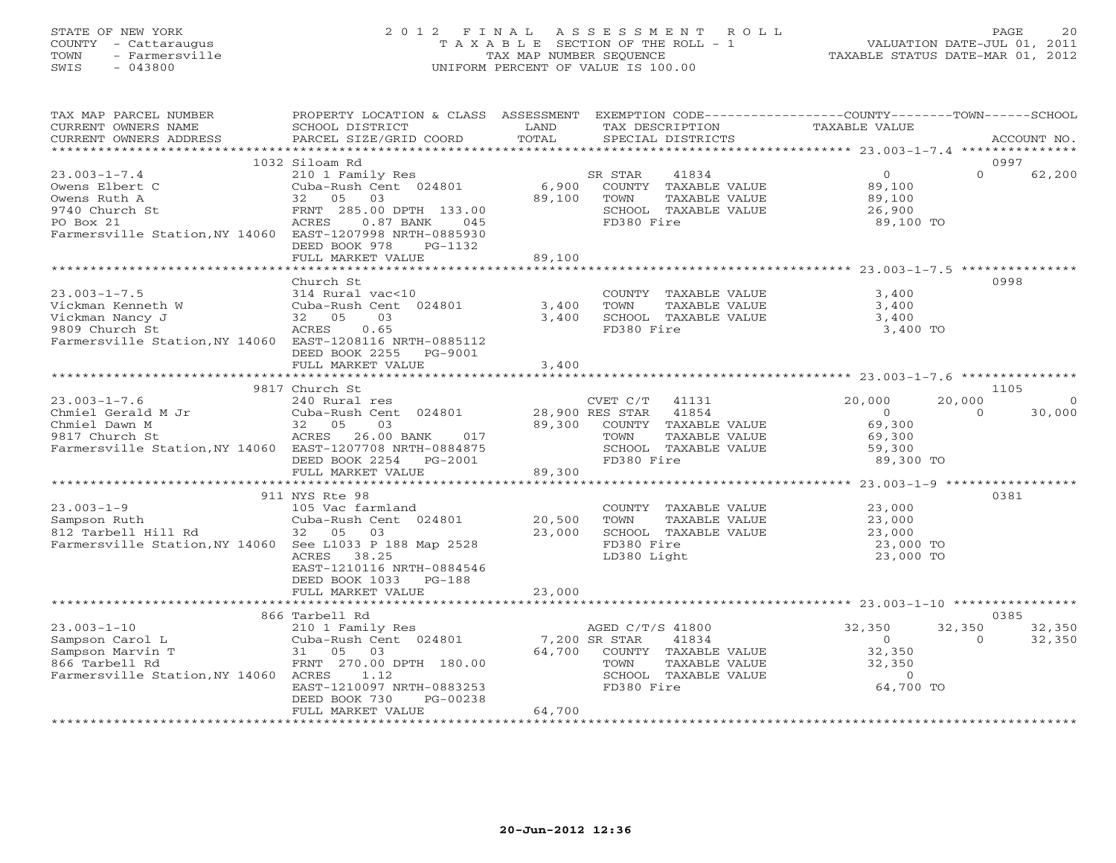# STATE OF NEW YORK 2 0 1 2 F I N A L A S S E S S M E N T R O L L PAGE 20 COUNTY - Cattaraugus T A X A B L E SECTION OF THE ROLL - 1 VALUATION DATE-JUL 01, 2011 TOWN - Farmersville TAX MAP NUMBER SEQUENCE TAXABLE STATUS DATE-MAR 01, 2012 SWIS - 043800 UNIFORM PERCENT OF VALUE IS 100.00UNIFORM PERCENT OF VALUE IS 100.00

| TAX MAP PARCEL NUMBER<br>CURRENT OWNERS NAME<br>CURRENT OWNERS ADDRESS                                                                                     | PROPERTY LOCATION & CLASS ASSESSMENT<br>SCHOOL DISTRICT<br>PARCEL SIZE/GRID COORD                                                                                       | LAND<br>TOTAL                       | EXEMPTION CODE-----------------COUNTY-------TOWN------SCHOOL<br>TAX DESCRIPTION<br>SPECIAL DISTRICTS              | TAXABLE VALUE                                                         |                    | ACCOUNT NO.       |
|------------------------------------------------------------------------------------------------------------------------------------------------------------|-------------------------------------------------------------------------------------------------------------------------------------------------------------------------|-------------------------------------|-------------------------------------------------------------------------------------------------------------------|-----------------------------------------------------------------------|--------------------|-------------------|
|                                                                                                                                                            |                                                                                                                                                                         |                                     |                                                                                                                   |                                                                       |                    |                   |
|                                                                                                                                                            | 1032 Siloam Rd                                                                                                                                                          |                                     |                                                                                                                   |                                                                       | 0997               |                   |
| $23.003 - 1 - 7.4$<br>Owens Elbert C<br>Owens Ruth A<br>9740 Church St<br>PO Box 21<br>Farmersville Station, NY 14060 EAST-1207998 NRTH-0885930            | 210 1 Family Res<br>210 1 Family Res<br>Cuba-Rush Cent 024801<br>32 05<br>03<br>FRNT 285.00 DPTH 133.00<br>ACRES<br>$0.87$ BANK<br>045<br>DEED BOOK 978<br>PG-1132      | 6,900<br>89,100                     | SR STAR<br>41834<br>COUNTY TAXABLE VALUE<br>TOWN<br>TAXABLE VALUE<br>SCHOOL TAXABLE VALUE<br>FD380 Fire           | $\overline{0}$<br>89,100<br>89,100<br>$89,100$<br>26,900<br>89,100 TO | $\Omega$           | 62,200            |
|                                                                                                                                                            | FULL MARKET VALUE                                                                                                                                                       | 89,100                              |                                                                                                                   |                                                                       |                    |                   |
|                                                                                                                                                            |                                                                                                                                                                         |                                     |                                                                                                                   |                                                                       |                    |                   |
| $23.003 - 1 - 7.5$<br>Vickman Kenneth W<br>Vickman Nancy J<br>9809 Church St<br>9809 Church St<br>Farmersville Station, NY 14060 EAST-1208116 NRTH-0885112 | Church St<br>314 Rural vac<10<br>Cuba-Rush Cent 024801<br>03<br>32 05<br>0.65<br>ACRES<br>DEED BOOK 2255 PG-9001                                                        | 3,400<br>3,400                      | COUNTY TAXABLE VALUE<br>TOWN<br>TAXABLE VALUE<br>SCHOOL TAXABLE VALUE<br>FD380 Fire                               | 3,400<br>3,400<br>3,400<br>3,400 TO                                   | 0998               |                   |
|                                                                                                                                                            | FULL MARKET VALUE                                                                                                                                                       | 3,400                               |                                                                                                                   |                                                                       |                    |                   |
|                                                                                                                                                            |                                                                                                                                                                         |                                     |                                                                                                                   |                                                                       |                    |                   |
|                                                                                                                                                            | 9817 Church St                                                                                                                                                          |                                     |                                                                                                                   |                                                                       | 1105               |                   |
| $23.003 - 1 - 7.6$<br>Chmiel Gerald M Jr<br>Chmiel Dawn M<br>9817 Church St<br>Farmersville Station, NY 14060 EAST-1207708 NRTH-0884875                    | 240 Rural res<br>Cuba-Rush Cent 024801<br>32 05<br>03<br>ACRES<br>26.00 BANK<br>017<br>DEED BOOK 2254 PG-2001<br>FULL MARKET VALUE                                      | 28,900 RES STAR<br>89,300<br>89,300 | CVET C/T<br>41131<br>41854<br>COUNTY TAXABLE VALUE<br>TOWN<br>TAXABLE VALUE<br>SCHOOL TAXABLE VALUE<br>FD380 Fire | 20,000<br>$\overline{0}$<br>69,300<br>69,300<br>59,300<br>89,300 TO   | 20,000<br>$\Omega$ | $\circ$<br>30,000 |
|                                                                                                                                                            |                                                                                                                                                                         |                                     |                                                                                                                   |                                                                       |                    |                   |
| $23.003 - 1 - 9$<br>Sampson Ruth<br>812 Tarbell Hill Rd<br>Farmersville Station, NY 14060 See L1033 P 188 Map 2528                                         | 911 NYS Rte 98<br>105 Vac farmland<br>Cuba-Rush Cent 024801<br>32 05<br>03<br>ACRES<br>38.25<br>EAST-1210116 NRTH-0884546<br>DEED BOOK 1033 PG-188                      | 20,500<br>23,000                    | COUNTY TAXABLE VALUE 23,000<br>TOWN<br>TAXABLE VALUE<br>SCHOOL TAXABLE VALUE<br>FD380 Fire<br>LD380 Light         | 23,000<br>$23,000$<br>23,000<br>23,000 TO<br>23,000 TO                | 0381               |                   |
|                                                                                                                                                            | FULL MARKET VALUE                                                                                                                                                       | 23,000                              |                                                                                                                   |                                                                       |                    |                   |
|                                                                                                                                                            |                                                                                                                                                                         |                                     |                                                                                                                   |                                                                       |                    |                   |
|                                                                                                                                                            | 866 Tarbell Rd                                                                                                                                                          |                                     |                                                                                                                   |                                                                       | 0385               |                   |
| $23.003 - 1 - 10$<br>Sampson Carol L<br>Sampson Marvin T<br>866 Tarbell Rd<br>Farmersville Station, NY 14060 ACRES                                         | 210 1 Family Res<br>Cuba-Rush Cent 024801<br>31 05 03<br>FRNT 270.00 DPTH 180.00<br>1.12<br>EAST-1210097 NRTH-0883253<br>DEED BOOK 730<br>PG-00238<br>FULL MARKET VALUE | 7,200 SR STAR<br>64,700<br>64,700   | AGED C/T/S 41800<br>41834<br>COUNTY TAXABLE VALUE<br>TOWN<br>TAXABLE VALUE<br>SCHOOL TAXABLE VALUE<br>FD380 Fire  | 32,350<br>$\overline{0}$<br>32,350<br>32,350<br>$\Omega$<br>64,700 TO | 32,350<br>$\Omega$ | 32,350<br>32,350  |
|                                                                                                                                                            |                                                                                                                                                                         |                                     |                                                                                                                   |                                                                       |                    |                   |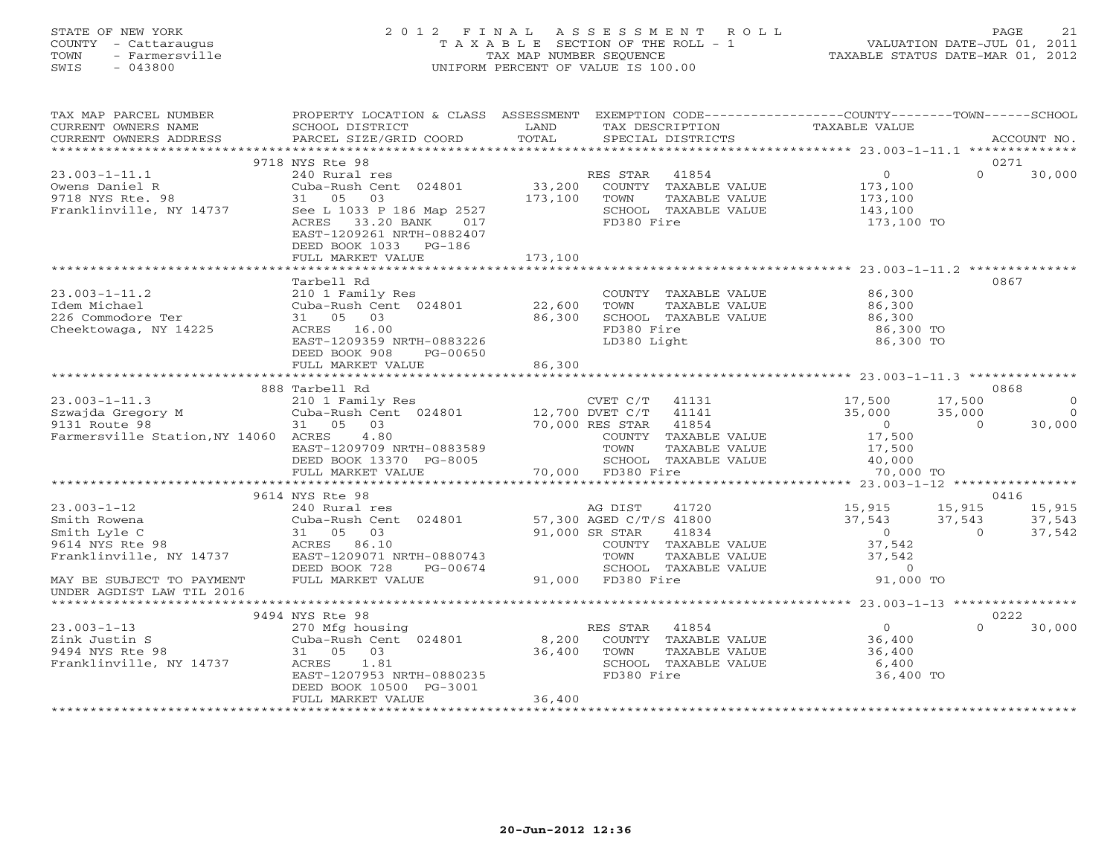## STATE OF NEW YORK 2 0 1 2 F I N A L A S S E S S M E N T R O L L PAGE 21 COUNTY - Cattaraugus T A X A B L E SECTION OF THE ROLL - 1 VALUATION DATE-JUL 01, 2011 TOWN - Farmersville TAX MAP NUMBER SEQUENCE TAXABLE STATUS DATE-MAR 01, 2012 SWIS - 043800 UNIFORM PERCENT OF VALUE IS 100.00UNIFORM PERCENT OF VALUE IS 100.00

| TAX MAP PARCEL NUMBER<br>CURRENT OWNERS NAME<br>CURRENT OWNERS ADDRESS                                  | PROPERTY LOCATION & CLASS ASSESSMENT<br>SCHOOL DISTRICT<br>PARCEL SIZE/GRID COORD                                                                   | LAND<br>TOTAL     | EXEMPTION CODE-----------------COUNTY-------TOWN-----SCHOOL<br>TAX DESCRIPTION<br>SPECIAL DISTRICTS      | TAXABLE VALUE                                                    | ACCOUNT NO.        |
|---------------------------------------------------------------------------------------------------------|-----------------------------------------------------------------------------------------------------------------------------------------------------|-------------------|----------------------------------------------------------------------------------------------------------|------------------------------------------------------------------|--------------------|
|                                                                                                         |                                                                                                                                                     |                   |                                                                                                          |                                                                  |                    |
|                                                                                                         | 9718 NYS Rte 98                                                                                                                                     |                   |                                                                                                          |                                                                  | 0271               |
| $23.003 - 1 - 11.1$<br>Owens Daniel R<br>9718 NYS Rte. 98<br>Franklinville, NY 14737                    | 240 Rural res<br>Cuba-Rush Cent 024801<br>03<br>31 05<br>See L 1033 P 186 Map 2527<br>ACRES 33.20 BANK<br>017                                       | 33,200<br>173,100 | 41854<br>RES STAR<br>COUNTY TAXABLE VALUE<br>TOWN<br>TAXABLE VALUE<br>SCHOOL TAXABLE VALUE<br>FD380 Fire | $\overline{0}$<br>173,100<br>173,100<br>143,100<br>173,100 TO    | $\Omega$<br>30,000 |
|                                                                                                         | EAST-1209261 NRTH-0882407<br>DEED BOOK 1033 PG-186<br>FULL MARKET VALUE                                                                             | 173,100           |                                                                                                          |                                                                  |                    |
|                                                                                                         |                                                                                                                                                     |                   |                                                                                                          |                                                                  |                    |
| $23.003 - 1 - 11.2$<br>Idem Michael<br>226 Commodore Ter<br>Cheektowaga, NY 14225                       | Tarbell Rd<br>210 1 Family Res<br>Cuba-Rush Cent 024801 22,600<br>31 05 03<br>ACRES 16.00<br>EAST-1209359 NRTH-0883226<br>DEED BOOK 908<br>PG-00650 | 86,300            | COUNTY TAXABLE VALUE<br>TOWN<br>TAXABLE VALUE<br>SCHOOL TAXABLE VALUE<br>FD380 Fire<br>LD380 Light       | $86,300$<br>86.300<br>86,300<br>86,300<br>86,300 TO<br>86,300 TO | 0867               |
|                                                                                                         | FULL MARKET VALUE                                                                                                                                   | 86,300            |                                                                                                          |                                                                  |                    |
|                                                                                                         | 888 Tarbell Rd                                                                                                                                      |                   |                                                                                                          |                                                                  | 0868               |
| $23.003 - 1 - 11.3$                                                                                     |                                                                                                                                                     |                   | CVET C/T 41131                                                                                           |                                                                  | 17,500<br>$\Omega$ |
| Szwajda Gregory M                                                                                       | 210 1 Family Res<br>Cuba-Rush Cent 024801 12,700 DVET C/T                                                                                           |                   | 41141                                                                                                    | $17,500$<br>$35,000$                                             | $\Omega$<br>35,000 |
| 9131 Route 98                                                                                           | 31 05 03                                                                                                                                            | 70,000 RES STAR   | 41854                                                                                                    | $\overline{0}$                                                   | $\Omega$<br>30,000 |
| Farmersville Station, NY 14060 ACRES                                                                    | 4.80                                                                                                                                                |                   | COUNTY TAXABLE VALUE                                                                                     | 17,500                                                           |                    |
|                                                                                                         | EAST-1209709 NRTH-0883589                                                                                                                           |                   | TOWN<br>TAXABLE VALUE                                                                                    | 17,500                                                           |                    |
|                                                                                                         | DEED BOOK 13370 PG-8005                                                                                                                             |                   | SCHOOL TAXABLE VALUE                                                                                     | $\frac{1}{40}$ , 000                                             |                    |
|                                                                                                         | FULL MARKET VALUE<br>******************************                                                                                                 |                   | 70,000 FD380 Fire                                                                                        | 70,000 TO                                                        |                    |
|                                                                                                         | 9614 NYS Rte 98                                                                                                                                     |                   |                                                                                                          |                                                                  | 0416               |
| $23.003 - 1 - 12$                                                                                       | 240 Rural res                                                                                                                                       |                   | AG DIST<br>41720                                                                                         | 15,915                                                           | 15,915<br>15,915   |
| Smith Rowena                                                                                            | Cuba-Rush Cent 024801                                                                                                                               |                   | 57,300 AGED C/T/S 41800                                                                                  | 37,543                                                           | 37,543<br>37,543   |
| Smith Rowena<br>Smith Lyle C<br>9614 NYS Rte 98<br>Franklinville, NY 14737<br>EAST-1209071 NRTH-0880743 |                                                                                                                                                     | 91,000 SR STAR    | 41834                                                                                                    | $\overline{0}$                                                   | $\Omega$<br>37,542 |
|                                                                                                         |                                                                                                                                                     |                   | COUNTY TAXABLE VALUE                                                                                     | 37,542                                                           |                    |
|                                                                                                         |                                                                                                                                                     |                   | TAXABLE VALUE<br>TOWN                                                                                    | 37,542                                                           |                    |
|                                                                                                         | DEED BOOK 728<br>PG-00674                                                                                                                           |                   | SCHOOL TAXABLE VALUE                                                                                     | $\circ$                                                          |                    |
| MAY BE SUBJECT TO PAYMENT<br>UNDER AGDIST LAW TIL 2016                                                  | FULL MARKET VALUE                                                                                                                                   |                   | 91,000 FD380 Fire                                                                                        | 91,000 TO                                                        |                    |
|                                                                                                         |                                                                                                                                                     |                   |                                                                                                          |                                                                  |                    |
|                                                                                                         | 9494 NYS Rte 98                                                                                                                                     |                   |                                                                                                          |                                                                  | 0222               |
| $23.003 - 1 - 13$                                                                                       |                                                                                                                                                     |                   | RES STAR<br>41854                                                                                        | $\Omega$                                                         | 30,000<br>$\cap$   |
| Zink Justin S                                                                                           | 270 Mfg housing<br>Cuba-Rush Cent 024801                                                                                                            | 8,200             | COUNTY TAXABLE VALUE                                                                                     | 36,400                                                           |                    |
| 9494 NYS Rte 98                                                                                         | 31 05 03                                                                                                                                            | 36,400            | TOWN<br>TAXABLE VALUE                                                                                    | 36,400                                                           |                    |
| Franklinville, NY 14737                                                                                 | ACRES<br>1.81<br>EAST-1207953 NRTH-0880235                                                                                                          |                   | SCHOOL TAXABLE VALUE<br>FD380 Fire                                                                       | 6,400<br>36,400 TO                                               |                    |
|                                                                                                         | DEED BOOK 10500 PG-3001                                                                                                                             |                   |                                                                                                          |                                                                  |                    |
|                                                                                                         | FULL MARKET VALUE                                                                                                                                   | 36,400            |                                                                                                          |                                                                  |                    |
|                                                                                                         | ***********************                                                                                                                             |                   |                                                                                                          |                                                                  |                    |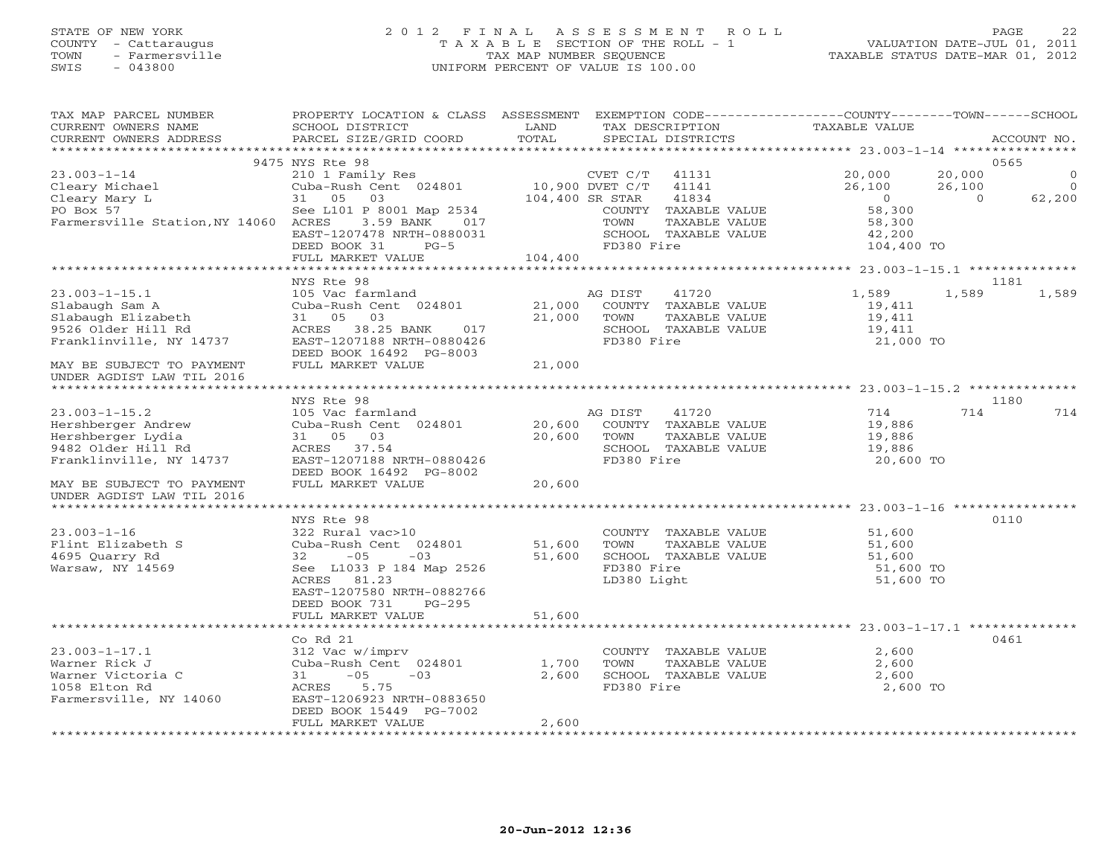# STATE OF NEW YORK 2 0 1 2 F I N A L A S S E S S M E N T R O L L PAGE 22 COUNTY - Cattaraugus T A X A B L E SECTION OF THE ROLL - 1 VALUATION DATE-JUL 01, 2011 TOWN - Farmersville TAX MAP NUMBER SEQUENCE TAXABLE STATUS DATE-MAR 01, 2012 SWIS - 043800 UNIFORM PERCENT OF VALUE IS 100.00UNIFORM PERCENT OF VALUE IS 100.00

| TAX MAP PARCEL NUMBER<br>CURRENT OWNERS NAME<br>CURRENT OWNERS ADDRESS                                          | PROPERTY LOCATION & CLASS ASSESSMENT<br>SCHOOL DISTRICT<br>PARCEL SIZE/GRID COORD                                                                                                                            | LAND<br>TOTAL              | EXEMPTION CODE-----------------COUNTY-------TOWN------SCHOOL<br>TAX DESCRIPTION<br>SPECIAL DISTRICTS                                          | TAXABLE VALUE                                                                  |                               | ACCOUNT NO.                           |
|-----------------------------------------------------------------------------------------------------------------|--------------------------------------------------------------------------------------------------------------------------------------------------------------------------------------------------------------|----------------------------|-----------------------------------------------------------------------------------------------------------------------------------------------|--------------------------------------------------------------------------------|-------------------------------|---------------------------------------|
| *************************                                                                                       |                                                                                                                                                                                                              |                            |                                                                                                                                               |                                                                                |                               |                                       |
| $23.003 - 1 - 14$<br>Cleary Michael<br>Cleary Mary L<br>PO Box 57<br>Farmersville Station, NY 14060 ACRES       | 9475 NYS Rte 98<br>210 1 Family Res<br>Cuba-Rush Cent 024801<br>31 05<br>03<br>See L101 P 8001 Map 2534<br>3.59 BANK<br>017<br>EAST-1207478 NRTH-0880031<br>DEED BOOK 31<br>$PG-5$<br>FULL MARKET VALUE      | 104,400 SR STAR<br>104,400 | CVET C/T<br>41131<br>10,900 DVET C/T<br>41141<br>41834<br>COUNTY TAXABLE VALUE<br>TOWN<br>TAXABLE VALUE<br>SCHOOL TAXABLE VALUE<br>FD380 Fire | 20,000<br>26,100<br>$\overline{O}$<br>58,300<br>58,300<br>42,200<br>104,400 TO | 20,000<br>26,100<br>$\bigcap$ | 0565<br>$\circ$<br>$\Omega$<br>62,200 |
|                                                                                                                 |                                                                                                                                                                                                              |                            |                                                                                                                                               |                                                                                |                               |                                       |
| $23.003 - 1 - 15.1$<br>Slabaugh Sam A<br>Slabaugh Elizabeth<br>9526 Older Hill Rd<br>Franklinville, NY 14737    | NYS Rte 98<br>105 Vac farmland<br>Cuba-Rush Cent 024801<br>03<br>31 05<br>38.25 BANK<br>ACRES<br>017<br>EAST-1207188 NRTH-0880426<br>DEED BOOK 16492 PG-8003                                                 | 21,000<br>21,000           | AG DIST<br>41720<br>COUNTY TAXABLE VALUE<br>TOWN<br>TAXABLE VALUE<br>SCHOOL TAXABLE VALUE<br>FD380 Fire                                       | 1,589<br>19,411<br>19,411<br>19,411<br>21,000 TO                               | 1,589                         | 1181<br>1,589                         |
| MAY BE SUBJECT TO PAYMENT<br>UNDER AGDIST LAW TIL 2016                                                          | FULL MARKET VALUE                                                                                                                                                                                            | 21,000                     |                                                                                                                                               |                                                                                |                               |                                       |
|                                                                                                                 | NYS Rte 98                                                                                                                                                                                                   |                            |                                                                                                                                               |                                                                                |                               | 1180                                  |
| $23.003 - 1 - 15.2$<br>Hershberger Andrew<br>Hershberger Lydia<br>9482 Older Hill Rd<br>Franklinville, NY 14737 | 105 Vac farmland<br>Cuba-Rush Cent 024801<br>31 05 03<br>ACRES 37.54<br>EAST-1207188 NRTH-0880426<br>DEED BOOK 16492 PG-8002                                                                                 | 20,600<br>20,600           | 41720<br>AG DIST<br>COUNTY TAXABLE VALUE<br>TOWN<br>TAXABLE VALUE<br>SCHOOL TAXABLE VALUE<br>FD380 Fire                                       | 714<br>19,886<br>19,886<br>19,886<br>20,600 TO                                 | 714                           | 714                                   |
| MAY BE SUBJECT TO PAYMENT<br>UNDER AGDIST LAW TIL 2016                                                          | FULL MARKET VALUE                                                                                                                                                                                            | 20,600                     |                                                                                                                                               |                                                                                |                               |                                       |
|                                                                                                                 |                                                                                                                                                                                                              |                            |                                                                                                                                               |                                                                                |                               |                                       |
| $23.003 - 1 - 16$<br>Flint Elizabeth S<br>4695 Quarry Rd<br>Warsaw, NY 14569                                    | NYS Rte 98<br>322 Rural vac>10<br>Cuba-Rush Cent 024801<br>$-05$<br>32<br>$-03$<br>See L1033 P 184 Map 2526<br>ACRES<br>81.23<br>EAST-1207580 NRTH-0882766<br>DEED BOOK 731<br>$PG-295$<br>FULL MARKET VALUE | 51,600<br>51,600<br>51,600 | COUNTY TAXABLE VALUE<br>TOWN<br>TAXABLE VALUE<br>SCHOOL TAXABLE VALUE<br>FD380 Fire<br>LD380 Light                                            | 51,600<br>51,600<br>51,600<br>51,600 TO<br>51,600 TO                           |                               | 0110                                  |
|                                                                                                                 |                                                                                                                                                                                                              |                            |                                                                                                                                               |                                                                                |                               |                                       |
| $23.003 - 1 - 17.1$<br>Warner Rick J<br>Warner Victoria C<br>1058 Elton Rd<br>Farmersville, NY 14060            | Co Rd 21<br>312 Vac w/imprv<br>Cuba-Rush Cent 024801<br>$-05$<br>$-03$<br>31<br>5.75<br>ACRES<br>EAST-1206923 NRTH-0883650<br>DEED BOOK 15449 PG-7002<br>FULL MARKET VALUE                                   | 1,700<br>2,600<br>2,600    | COUNTY TAXABLE VALUE<br>TOWN<br>TAXABLE VALUE<br>SCHOOL TAXABLE VALUE<br>FD380 Fire                                                           | 2,600<br>2,600<br>2,600<br>2,600 TO                                            |                               | 0461                                  |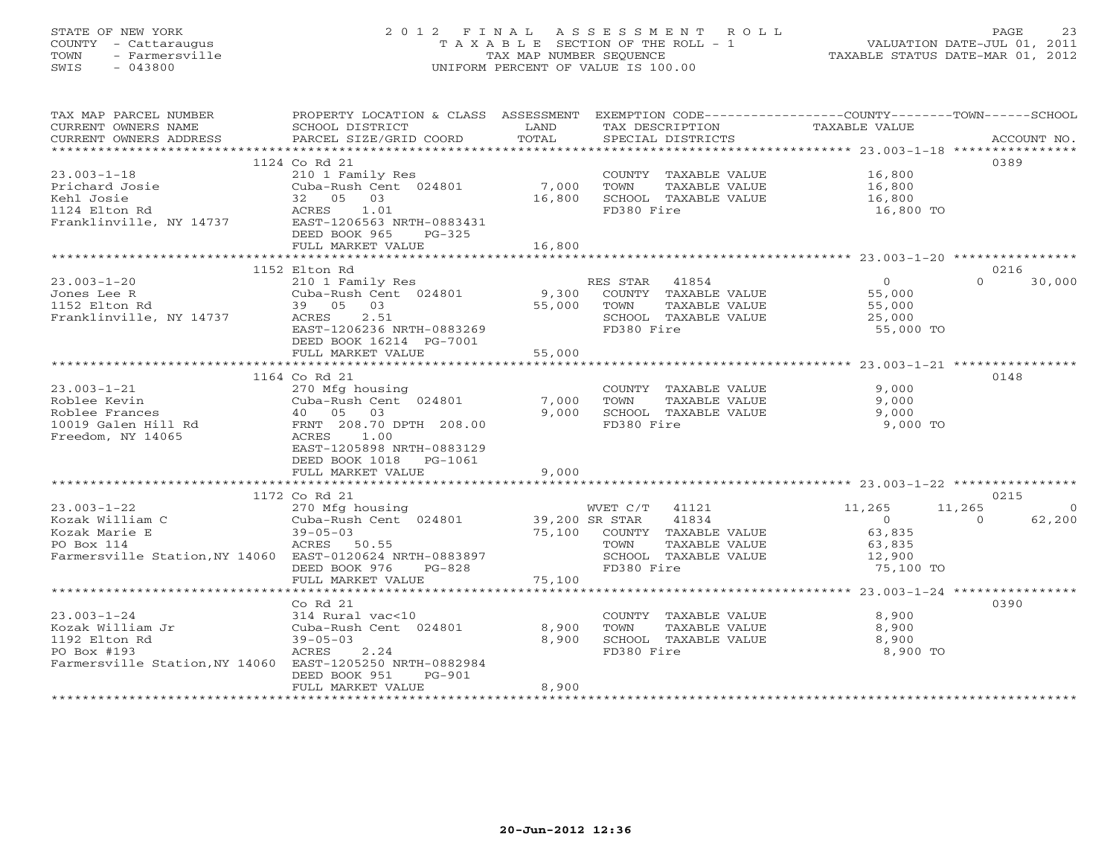# STATE OF NEW YORK 2 0 1 2 F I N A L A S S E S S M E N T R O L L PAGE 23 COUNTY - Cattaraugus T A X A B L E SECTION OF THE ROLL - 1 VALUATION DATE-JUL 01, 2011 TOWN - Farmersville TAX MAP NUMBER SEQUENCE TAXABLE STATUS DATE-MAR 01, 2012 SWIS - 043800 UNIFORM PERCENT OF VALUE IS 100.00UNIFORM PERCENT OF VALUE IS 100.00

| TAX MAP PARCEL NUMBER                                    | PROPERTY LOCATION & CLASS ASSESSMENT         |                | EXEMPTION CODE-----------------COUNTY-------TOWN------SCHOOL |                |                            |
|----------------------------------------------------------|----------------------------------------------|----------------|--------------------------------------------------------------|----------------|----------------------------|
| CURRENT OWNERS NAME                                      | SCHOOL DISTRICT                              | LAND           | TAX DESCRIPTION                                              | TAXABLE VALUE  |                            |
| CURRENT OWNERS ADDRESS                                   | PARCEL SIZE/GRID COORD                       | TOTAL          | SPECIAL DISTRICTS                                            |                | ACCOUNT NO.                |
|                                                          |                                              |                |                                                              |                |                            |
|                                                          | 1124 Co Rd 21                                |                |                                                              |                | 0389                       |
| $23.003 - 1 - 18$                                        | 210 1 Family Res                             |                | COUNTY TAXABLE VALUE 16,800                                  |                |                            |
| Prichard Josie                                           | Cuba-Rush Cent 024801                        | 7,000          | TOWN<br>TAXABLE VALUE                                        | 16,800         |                            |
| Kehl Josie                                               | 32 05 03                                     | 16,800         | SCHOOL TAXABLE VALUE                                         | 16,800         |                            |
| 1124 Elton Rd                                            | 1.01<br>ACRES                                |                | FD380 Fire                                                   | 16,800 TO      |                            |
| Franklinville, NY 14737                                  | EAST-1206563 NRTH-0883431                    |                |                                                              |                |                            |
|                                                          | DEED BOOK 965<br>$PG-325$                    |                |                                                              |                |                            |
|                                                          | FULL MARKET VALUE                            | 16,800         |                                                              |                |                            |
|                                                          |                                              |                |                                                              |                |                            |
|                                                          | 1152 Elton Rd                                |                |                                                              | $\overline{0}$ | 0216<br>$\Omega$<br>30,000 |
| $23.003 - 1 - 20$                                        | 210 1 Family Res                             |                | RES STAR 41854                                               |                |                            |
| Jones Lee R                                              | Cuba-Rush Cent 024801                        | 9,300          | COUNTY TAXABLE VALUE                                         | 55,000         |                            |
| 1152 Elton Rd                                            | 39 05 03                                     | 55,000         | TAXABLE VALUE<br>TOWN                                        | 55,000         |                            |
| Franklinville, NY 14737                                  | 2.51<br>ACRES<br>EAST-1206236 NRTH-0883269   |                | SCHOOL TAXABLE VALUE                                         | 25,000         |                            |
|                                                          |                                              |                | FD380 Fire                                                   | 55,000 TO      |                            |
|                                                          | DEED BOOK 16214 PG-7001<br>FULL MARKET VALUE | 55,000         |                                                              |                |                            |
|                                                          |                                              |                |                                                              |                |                            |
|                                                          | 1164 Co Rd 21                                |                |                                                              |                | 0148                       |
| $23.003 - 1 - 21$                                        | 270 Mfg housing                              |                | COUNTY TAXABLE VALUE                                         | 9,000          |                            |
| Roblee Kevin                                             | Cuba-Rush Cent 024801                        | 7,000          | TAXABLE VALUE<br>TOWN                                        | 9,000          |                            |
| Roblee Frances                                           | 40 05 03                                     | 9,000          | SCHOOL TAXABLE VALUE                                         | 9,000          |                            |
| 10019 Galen Hill Rd                                      | FRNT 208.70 DPTH 208.00                      |                | FD380 Fire                                                   | 9,000 TO       |                            |
| Freedom, NY 14065                                        | 1.00<br>ACRES                                |                |                                                              |                |                            |
|                                                          | EAST-1205898 NRTH-0883129                    |                |                                                              |                |                            |
|                                                          | DEED BOOK 1018<br>PG-1061                    |                |                                                              |                |                            |
|                                                          | FULL MARKET VALUE                            | 9,000          |                                                              |                |                            |
|                                                          |                                              |                |                                                              |                |                            |
|                                                          | 1172 Co Rd 21                                |                |                                                              |                | 0215                       |
| $23.003 - 1 - 22$                                        | 270 Mfg housing                              |                | WVET C/T 41121                                               | 11,265         | 11,265<br>$\Omega$         |
| Kozak William C                                          | Cuba-Rush Cent 024801                        | 39,200 SR STAR | 41834                                                        | $\overline{0}$ | 62,200<br>$\Omega$         |
| Kozak Marie E                                            | $39 - 05 - 03$                               |                | 75,100 COUNTY TAXABLE VALUE                                  | 63,835         |                            |
| PO Box 114                                               | ACRES 50.55                                  |                | TAXABLE VALUE<br>TOWN                                        | 63,835         |                            |
| Farmersville Station, NY 14060 EAST-0120624 NRTH-0883897 |                                              |                | SCHOOL TAXABLE VALUE                                         | 12,900         |                            |
|                                                          | DEED BOOK 976<br>PG-828                      |                | FD380 Fire                                                   | 75,100 TO      |                            |
|                                                          | FULL MARKET VALUE                            | 75,100         |                                                              |                |                            |
|                                                          |                                              |                |                                                              |                |                            |
|                                                          | $Co$ Rd $21$                                 |                |                                                              |                | 0390                       |
| $23.003 - 1 - 24$                                        | 314 Rural vac<10                             |                | COUNTY TAXABLE VALUE                                         | 8,900          |                            |
| Kozak William Jr                                         | Cuba-Rush Cent 024801                        | 8,900          | TAXABLE VALUE<br>TOWN                                        | 8,900          |                            |
| 1192 Elton Rd                                            | $39 - 05 - 03$                               | 8,900          | SCHOOL TAXABLE VALUE                                         | 8,900          |                            |
| PO Box #193                                              | ACRES<br>2.24                                |                | FD380 Fire                                                   | 8,900 TO       |                            |
| Farmersville Station, NY 14060 EAST-1205250 NRTH-0882984 |                                              |                |                                                              |                |                            |
|                                                          | DEED BOOK 951<br>$PG-901$                    |                |                                                              |                |                            |
|                                                          | FULL MARKET VALUE                            | 8,900          |                                                              |                |                            |
|                                                          |                                              |                |                                                              |                |                            |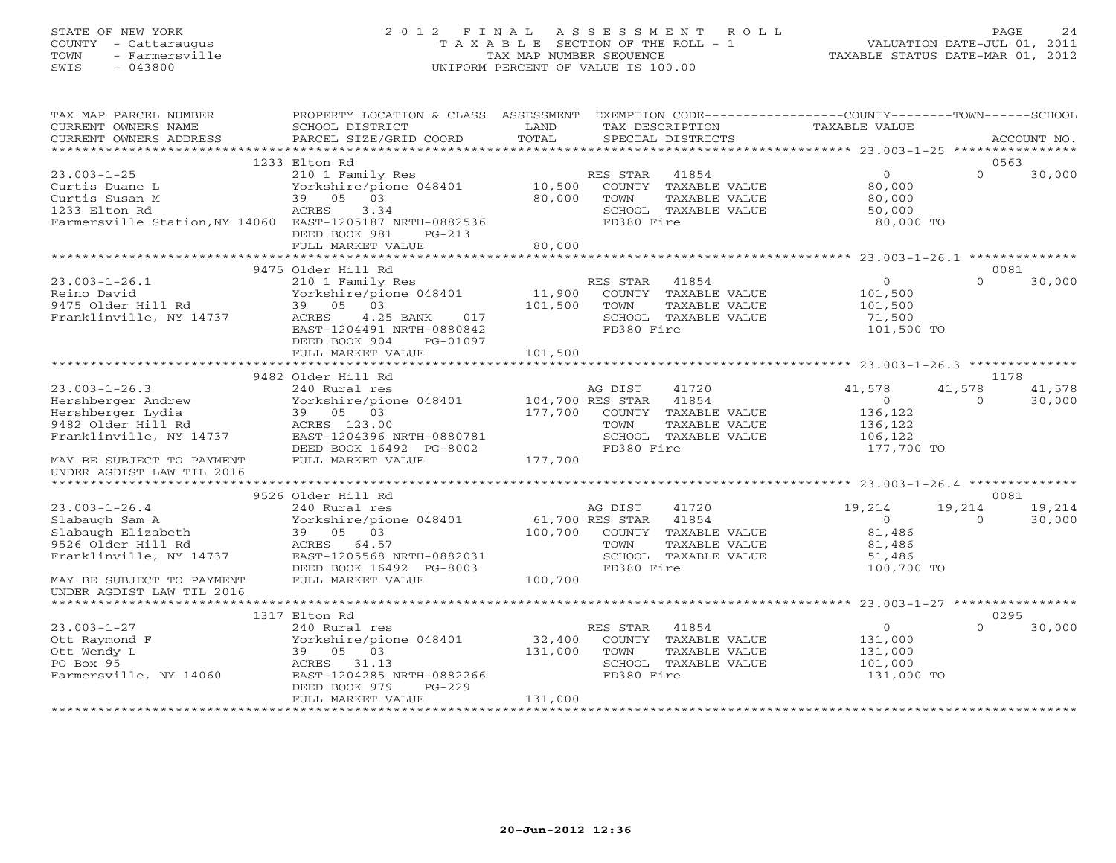# STATE OF NEW YORK 2 0 1 2 F I N A L A S S E S S M E N T R O L L PAGE 24 COUNTY - Cattaraugus T A X A B L E SECTION OF THE ROLL - 1 VALUATION DATE-JUL 01, 2011 TOWN - Farmersville TAX MAP NUMBER SEQUENCE TAXABLE STATUS DATE-MAR 01, 2012 SWIS - 043800 UNIFORM PERCENT OF VALUE IS 100.00UNIFORM PERCENT OF VALUE IS 100.00

| TAX MAP PARCEL NUMBER<br>CURRENT OWNERS NAME<br>CURRENT OWNERS ADDRESS                                                                                                 | PROPERTY LOCATION & CLASS ASSESSMENT<br>SCHOOL DISTRICT<br>PARCEL SIZE/GRID COORD                                                                                                                                               | LAND<br>TOTAL                | TAX DESCRIPTION<br>SPECIAL DISTRICTS                                                                               |               | EXEMPTION CODE----------------COUNTY-------TOWN-----SCHOOL<br>TAXABLE VALUE |                                    | ACCOUNT NO.      |
|------------------------------------------------------------------------------------------------------------------------------------------------------------------------|---------------------------------------------------------------------------------------------------------------------------------------------------------------------------------------------------------------------------------|------------------------------|--------------------------------------------------------------------------------------------------------------------|---------------|-----------------------------------------------------------------------------|------------------------------------|------------------|
| *************************                                                                                                                                              |                                                                                                                                                                                                                                 |                              |                                                                                                                    |               |                                                                             |                                    |                  |
| $23.003 - 1 - 25$<br>Curtis Duane L<br>Curtis Susan M<br>1233 Elton Rd<br>Farmersville Station, NY 14060 EAST-1205187 NRTH-0882536                                     | 1233 Elton Rd<br>210 1 Family Res<br>Yorkshire/pione 048401<br>39 05 03<br>ACRES<br>3.34<br>DEED BOOK 981<br>$PG-213$                                                                                                           | 10,500<br>80,000             | 41854<br>RES STAR<br>COUNTY TAXABLE VALUE<br>TOWN<br>SCHOOL TAXABLE VALUE<br>FD380 Fire                            | TAXABLE VALUE | $\overline{0}$<br>80,000<br>80,000<br>50,000<br>80,000 TO                   | 0563<br>$\Omega$                   | 30,000           |
|                                                                                                                                                                        | FULL MARKET VALUE<br>********************                                                                                                                                                                                       | 80,000                       |                                                                                                                    |               |                                                                             |                                    |                  |
| $23.003 - 1 - 26.1$<br>Reino David<br>9475 Older Hill Rd<br>Franklinville, NY 14737<br>$23.003 - 1 - 26.3$                                                             | 9475 Older Hill Rd<br>210 1 Family Res<br>Yorkshire/pione 048401<br>39 05 03<br>4.25 BANK<br>ACRES<br>017<br>EAST-1204491 NRTH-0880842<br>DEED BOOK 904<br>PG-01097<br>FULL MARKET VALUE<br>9482 Older Hill Rd<br>240 Rural res | 11,900<br>101,500<br>101,500 | RES STAR 41854<br>COUNTY TAXABLE VALUE<br>TOWN<br>SCHOOL TAXABLE VALUE<br>FD380 Fire<br>AG DIST<br>41720           | TAXABLE VALUE | $\circ$<br>101,500<br>101,500<br>71,500<br>101,500 TO<br>41,578             | 0081<br>$\Omega$<br>1178<br>41,578 | 30,000<br>41,578 |
| Hershberger Andrew<br>Hershberger Lydia<br>9482 Older Hill Rd<br>Franklinville, NY 14737<br>MAY BE SUBJECT TO PAYMENT<br>UNDER AGDIST LAW TIL 2016                     | Yorkshire/pione 048401<br>39 05 03<br>ACRES 123.00<br>EAST-1204396 NRTH-0880781<br>DEED BOOK 16492 PG-8002<br>FULL MARKET VALUE                                                                                                 | 177,700<br>177,700           | 104,700 RES STAR<br>41854<br>COUNTY TAXABLE VALUE<br>TOWN<br>SCHOOL TAXABLE VALUE<br>FD380 Fire                    | TAXABLE VALUE | $\overline{0}$<br>136,122<br>136,122<br>106,122<br>177,700 TO               | $\circ$                            | 30,000           |
| *******************                                                                                                                                                    |                                                                                                                                                                                                                                 |                              |                                                                                                                    |               |                                                                             |                                    |                  |
| $23.003 - 1 - 26.4$<br>Slabaugh Sam A<br>Slabaugh Elizabeth<br>9526 Older Hill Rd<br>Franklinville, NY 14737<br>MAY BE SUBJECT TO PAYMENT<br>UNDER AGDIST LAW TIL 2016 | 9526 Older Hill Rd<br>240 Rural res<br>Yorkshire/pione 048401<br>39 05 03<br>ACRES 64.57<br>EAST-1205568 NRTH-0882031<br>DEED BOOK 16492 PG-8003<br>FULL MARKET VALUE                                                           | 100,700<br>100,700           | AG DIST<br>41720<br>61,700 RES STAR<br>41854<br>COUNTY TAXABLE VALUE<br>TOWN<br>SCHOOL TAXABLE VALUE<br>FD380 Fire | TAXABLE VALUE | 19,214<br>$\Omega$<br>81,486<br>81,486<br>51,486<br>100,700 TO              | 0081<br>19,214<br>$\Omega$         | 19,214<br>30,000 |
|                                                                                                                                                                        | 1317 Elton Rd                                                                                                                                                                                                                   |                              |                                                                                                                    |               |                                                                             | 0295                               |                  |
| $23.003 - 1 - 27$<br>Ott Raymond F<br>Ott Wendy L<br>PO Box 95<br>Farmersville, NY 14060                                                                               | 240 Rural res<br>Yorkshire/pione 048401<br>39 05 03<br>ACRES 31.13<br>EAST-1204285 NRTH-0882266<br>DEED BOOK 979<br>$PG-229$<br>FULL MARKET VALUE                                                                               | 32,400<br>131,000<br>131,000 | RES STAR<br>41854<br>COUNTY TAXABLE VALUE<br>TOWN<br>SCHOOL TAXABLE VALUE<br>FD380 Fire                            | TAXABLE VALUE | $\circ$<br>131,000<br>131,000<br>101,000<br>131,000 TO                      | $\Omega$                           | 30,000           |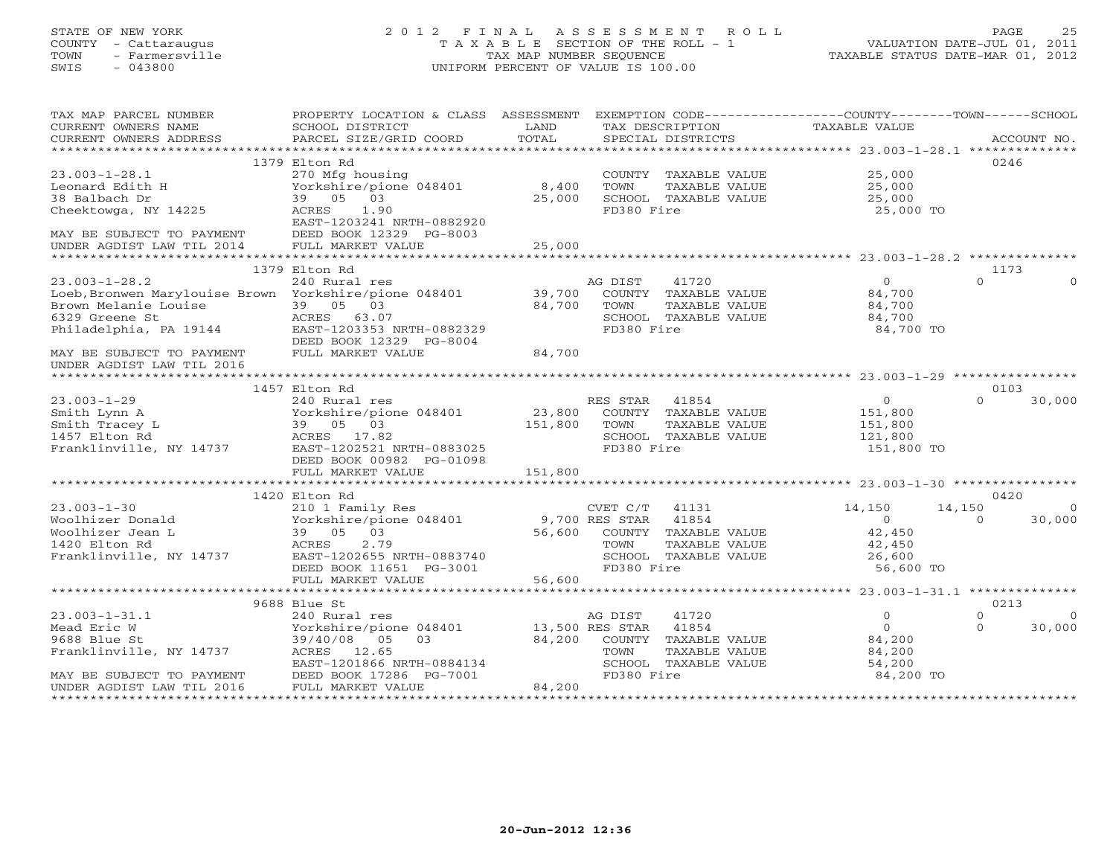# STATE OF NEW YORK 2 0 1 2 F I N A L A S S E S S M E N T R O L L PAGE 25 COUNTY - Cattaraugus T A X A B L E SECTION OF THE ROLL - 1 VALUATION DATE-JUL 01, 2011 TOWN - Farmersville TAX MAP NUMBER SEQUENCE TAXABLE STATUS DATE-MAR 01, 2012 SWIS - 043800 UNIFORM PERCENT OF VALUE IS 100.00UNIFORM PERCENT OF VALUE IS 100.00

| CURRENT OWNERS NAME<br>SCHOOL DISTRICT<br>LAND<br>TAX DESCRIPTION<br>TAXABLE VALUE                                                                                                                                                                                                                                                                             |          |
|----------------------------------------------------------------------------------------------------------------------------------------------------------------------------------------------------------------------------------------------------------------------------------------------------------------------------------------------------------------|----------|
|                                                                                                                                                                                                                                                                                                                                                                |          |
|                                                                                                                                                                                                                                                                                                                                                                |          |
|                                                                                                                                                                                                                                                                                                                                                                |          |
| 0246<br>1379 Elton Rd                                                                                                                                                                                                                                                                                                                                          |          |
| $23.003 - 1 - 28.1$<br>25,000<br>270 Mfg housing<br>COUNTY TAXABLE VALUE                                                                                                                                                                                                                                                                                       |          |
| TOWN<br>TAXABLE VALUE<br>25,000                                                                                                                                                                                                                                                                                                                                |          |
| SCHOOL TAXABLE VALUE<br>25,000                                                                                                                                                                                                                                                                                                                                 |          |
| FD380 Fire<br>25,000 TO                                                                                                                                                                                                                                                                                                                                        |          |
|                                                                                                                                                                                                                                                                                                                                                                |          |
|                                                                                                                                                                                                                                                                                                                                                                |          |
|                                                                                                                                                                                                                                                                                                                                                                |          |
|                                                                                                                                                                                                                                                                                                                                                                |          |
| 1379 Elton Rd<br>1173                                                                                                                                                                                                                                                                                                                                          |          |
| $\cap$<br>$23.003 - 1 - 28.2$<br>240 Rural res<br>41720<br>$\Omega$<br>AG DIST                                                                                                                                                                                                                                                                                 | $\Omega$ |
| Loeb, Bronwen Marylouise Brown Yorkshire/pione 048401 39,700<br>COUNTY TAXABLE VALUE<br>84,700                                                                                                                                                                                                                                                                 |          |
| 84,700<br>TOWN<br>TAXABLE VALUE<br>84,700                                                                                                                                                                                                                                                                                                                      |          |
| SCHOOL TAXABLE VALUE<br>84,700                                                                                                                                                                                                                                                                                                                                 |          |
| FD380 Fire<br>84,700 TO                                                                                                                                                                                                                                                                                                                                        |          |
|                                                                                                                                                                                                                                                                                                                                                                |          |
| Erown Melanie Louise<br>Frown Melanie Louise<br>6329 Greene St<br>Philadelphia, PA 19144<br>MAY BE SUBJECT TO PAYMENT<br>MAY BE SUBJECT TO PAYMENT<br>FULL MARKET VALUE<br>UNDER AGDIST LAW TIL 2016<br>84,700                                                                                                                                                 |          |
|                                                                                                                                                                                                                                                                                                                                                                |          |
|                                                                                                                                                                                                                                                                                                                                                                |          |
| 0103<br>1457 Elton Rd                                                                                                                                                                                                                                                                                                                                          |          |
| $\Omega$<br>RES STAR 41854<br>$\overline{0}$                                                                                                                                                                                                                                                                                                                   | 30,000   |
|                                                                                                                                                                                                                                                                                                                                                                |          |
| Provided at the country of the country of the country of the country of the country of the country of the country of the country of the country of the country of the country of the country of the country of the country of<br>151,800<br>151,800                                                                                                            |          |
| SCHOOL TAXABLE VALUE<br>121,800                                                                                                                                                                                                                                                                                                                                |          |
| FD380 Fire<br>151,800 TO                                                                                                                                                                                                                                                                                                                                       |          |
|                                                                                                                                                                                                                                                                                                                                                                |          |
| $\begin{tabular}{lllllllllll} 23.003-1-29 & & & & & & & & & & \\ 23.003-1-29 & & & & & & & & & & \\ 23.003-1-29 & & & & & & & & & & \\ 23.003-1-29 & & & & & & & & & \\ 23.003-1-29 & & & & & & & & & \\ 23.003-1 & & & & & & & & & \\ 23.003-1 & & & & & & & & & \\ 23.003-1202 & & & & & & & & \\ 23.003-1202 & & & & & & & & \\ 23.003-1202 & &$<br>151,800 |          |
|                                                                                                                                                                                                                                                                                                                                                                |          |
| 1420 Elton Rd<br>0420                                                                                                                                                                                                                                                                                                                                          |          |
| 210 1 Family Res<br>Yorkshire/pione 048401 9,700 RES STAR 41854<br>39 05 03 56,600 COUNTY TAXABLE VALUE<br>ACRES 2.79 TOWN TAXABLE VALUE<br>$23.003 - 1 - 30$<br>14,150<br>14,150                                                                                                                                                                              | $\Omega$ |
| Woolhizer Donald<br>$\overline{0}$<br>$\Omega$                                                                                                                                                                                                                                                                                                                 | 30,000   |
| 42,450<br>Woolhizer Jean L                                                                                                                                                                                                                                                                                                                                     |          |
| 1420 Elton Rd<br>42,450                                                                                                                                                                                                                                                                                                                                        |          |
| SCHOOL TAXABLE VALUE 26,600                                                                                                                                                                                                                                                                                                                                    |          |
| Franklinville, NY 14737 EAST-1202655 NRTH-0883740<br>DEED BOOK 11651 PG-3001<br>FD380 Fire<br>56,600 TO                                                                                                                                                                                                                                                        |          |
| 56,600<br>FULL MARKET VALUE                                                                                                                                                                                                                                                                                                                                    |          |
|                                                                                                                                                                                                                                                                                                                                                                |          |
| 0213<br>9688 Blue St                                                                                                                                                                                                                                                                                                                                           |          |
| $23.003 - 1 - 31.1$<br>$\Omega$<br>240 Rural res<br>AG DIST<br>41720<br>$\Omega$                                                                                                                                                                                                                                                                               | $\Omega$ |
| $\overline{O}$<br>$\Omega$<br>Mead Eric W                                                                                                                                                                                                                                                                                                                      | 30,000   |
| 9688 Blue St<br>84,200                                                                                                                                                                                                                                                                                                                                         |          |
| 240 Rural res<br>Yorkshire/pione 048401 13,500 RES STAR 41854<br>39/40/08 05 03 84,200 COUNTY TAXABLE<br>TAXABLE 1<br>03 84,200 COUNTY TAXABLE VALUE<br>TOWN TAXABLE VALUE<br>Franklinville, NY 14737 ACRES 12.65<br>84,200                                                                                                                                    |          |
| 54,200                                                                                                                                                                                                                                                                                                                                                         |          |
| EAST-1201866 NRTH-0884134<br>TOWN TAARDED<br>SCHOOL TAXABLE VALUE<br>84,200 TO                                                                                                                                                                                                                                                                                 |          |
| MAY BE SUBJECT TO PAYMENT<br>UNDER AGDIST LAW TIL 2016 FULL MARKET VALUE 64,200<br>84,200                                                                                                                                                                                                                                                                      |          |
|                                                                                                                                                                                                                                                                                                                                                                |          |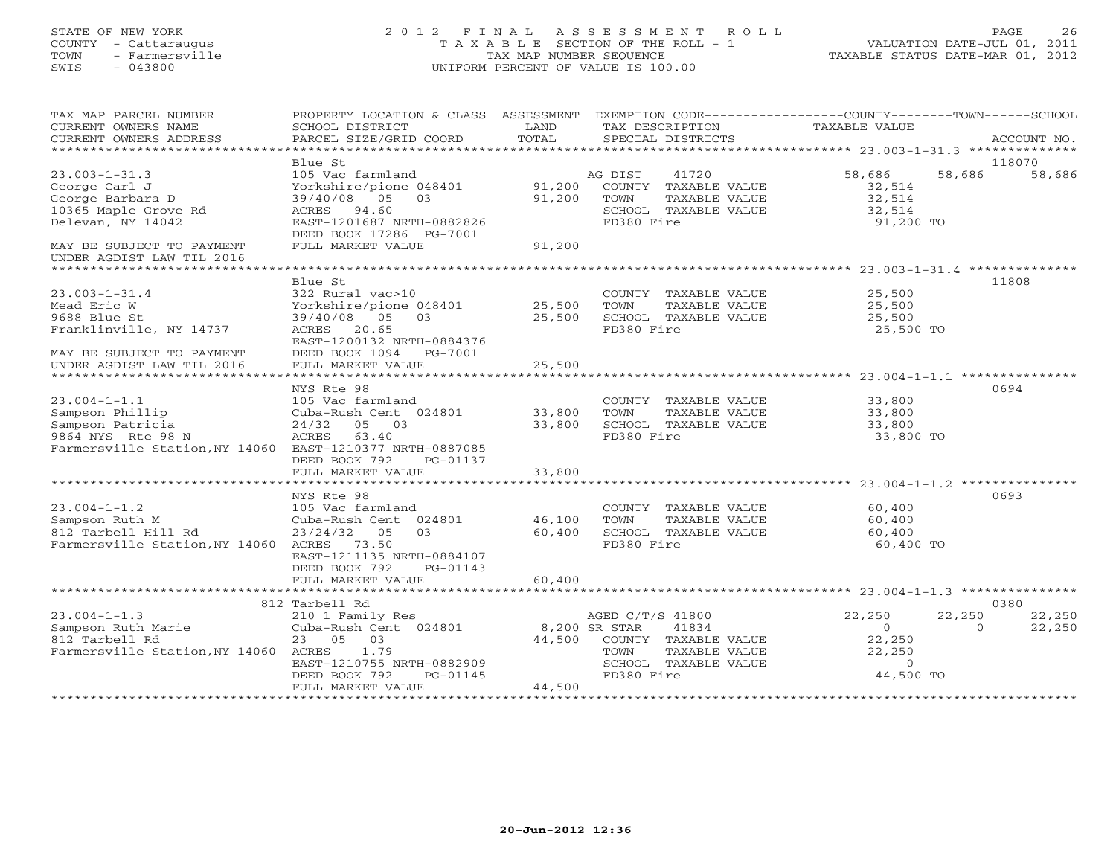#### STATE OF NEW YORK 2 0 1 2 F I N A L A S S E S S M E N T R O L L PAGE 26 COUNTY - Cattaraugus T A X A B L E SECTION OF THE ROLL - 1 VALUATION DATE-JUL 01, 2011 TOWN - Farmersville TAX MAP NUMBER SEQUENCE TAXABLE STATUS DATE-MAR 01, 2012 SWIS - 043800 UNIFORM PERCENT OF VALUE IS 100.00UNIFORM PERCENT OF VALUE IS 100.00

| TAX MAP PARCEL NUMBER<br>CURRENT OWNERS NAME                                                                                               | PROPERTY LOCATION & CLASS ASSESSMENT EXEMPTION CODE---------------COUNTY-------TOWN------SCHOOL<br>SCHOOL DISTRICT                                                | LAND                | TAX DESCRIPTION                                                                                     | TAXABLE VALUE                                                                  |                       |
|--------------------------------------------------------------------------------------------------------------------------------------------|-------------------------------------------------------------------------------------------------------------------------------------------------------------------|---------------------|-----------------------------------------------------------------------------------------------------|--------------------------------------------------------------------------------|-----------------------|
| CURRENT OWNERS ADDRESS                                                                                                                     | PARCEL SIZE/GRID COORD                                                                                                                                            | TOTAL               | SPECIAL DISTRICTS                                                                                   |                                                                                | ACCOUNT NO.           |
|                                                                                                                                            | Blue St                                                                                                                                                           |                     |                                                                                                     |                                                                                | 118070                |
| $23.003 - 1 - 31.3$<br>George Carl J<br>George Barbara D<br>10365 Maple Grove Rd<br>Delevan, NY 14042                                      | 105 Vac farmland<br>Yorkshire/pione 048401 91,200 COUNTY TAXABLE VALUE<br>$39/40/08$ 05 03<br>ACRES 94.60<br>EAST-1201687 NRTH-0882826<br>DEED BOOK 17286 PG-7001 | 91,200              | AG DIST<br>41720<br>TOWN<br>TAXABLE VALUE<br>SCHOOL TAXABLE VALUE<br>FD380 Fire                     | 58,686<br>58,686<br>32,514<br>32,514<br>32,514<br>$91,200$ TO                  | 58,686                |
| MAY BE SUBJECT TO PAYMENT<br>UNDER AGDIST LAW TIL 2016                                                                                     | FULL MARKET VALUE                                                                                                                                                 | 91,200              |                                                                                                     |                                                                                |                       |
|                                                                                                                                            | Blue St                                                                                                                                                           |                     |                                                                                                     |                                                                                | 11808                 |
| $23.003 - 1 - 31.4$<br>Mead Eric W<br>9688 Blue St<br>Franklinville, NY 14737<br>MAY BE SUBJECT TO PAYMENT                                 | 322 Rural vac>10<br>Yorkshire/pione 048401 25,500<br>03<br>39/40/08 05<br>ACRES 20.65<br>EAST-1200132 NRTH-0884376<br>DEED BOOK 1094 PG-7001                      | 25,500              | COUNTY TAXABLE VALUE 25,500<br>TOWN<br>TAXABLE VALUE<br>SCHOOL TAXABLE VALUE<br>FD380 Fire          | 25,500<br>25,500<br>25,500 TO                                                  |                       |
| UNDER AGDIST LAW TIL 2016                                                                                                                  | FULL MARKET VALUE                                                                                                                                                 | 25,500              |                                                                                                     |                                                                                |                       |
|                                                                                                                                            |                                                                                                                                                                   |                     |                                                                                                     |                                                                                |                       |
| $23.004 - 1 - 1.1$<br>Sampson Phillip<br>Sampson Patricia<br>9864 NYS Rte 98 N<br>Farmersville Station, NY 14060 EAST-1210377 NRTH-0887085 | NYS Rte 98<br>105 Vac farmland<br>Cuba-Rush Cent 024801 33,800<br>24/32 05 03<br>ACRES 63.40<br>DEED BOOK 792<br>PG-01137                                         | 33,800              | COUNTY TAXABLE VALUE<br>TOWN<br>TAXABLE VALUE<br>SCHOOL TAXABLE VALUE<br>FD380 Fire                 | 33,800<br>33,800<br>33,800<br>33,800 TO                                        | 0694                  |
|                                                                                                                                            | FULL MARKET VALUE                                                                                                                                                 | 33,800              |                                                                                                     |                                                                                |                       |
|                                                                                                                                            | NYS Rte 98                                                                                                                                                        |                     |                                                                                                     |                                                                                | 0693                  |
| $23.004 - 1 - 1.2$<br>Sampson Ruth M<br>812 Tarbell Hill Rd<br>Farmersville Station, NY 14060 ACRES 73.50                                  | 105 Vac farmland<br>Cuba-Rush Cent 024801 46,100<br>23/24/32<br>05<br>EAST-1211135 NRTH-0884107<br>DEED BOOK 792<br>PG-01143<br>FULL MARKET VALUE                 | 03 60,400<br>60,400 | COUNTY TAXABLE VALUE 60,400<br>TOWN<br>TAXABLE VALUE<br>SCHOOL TAXABLE VALUE<br>FD380 Fire          | 60,400<br>60,400<br>60,400 TO                                                  |                       |
|                                                                                                                                            |                                                                                                                                                                   |                     |                                                                                                     |                                                                                |                       |
|                                                                                                                                            | 812 Tarbell Rd                                                                                                                                                    |                     | AGED C/T/S 41800                                                                                    | 22,250                                                                         | 0380<br>22,250 22,250 |
| Farmersville Station, NY 14060 ACRES                                                                                                       | 1.79<br>EAST-1210755 NRTH-0882909<br>DEED BOOK 792<br>PG-01145<br>FULL MARKET VALUE                                                                               | 44,500              | 41834<br>44,500 COUNTY TAXABLE VALUE<br>TAXABLE VALUE<br>TOWN<br>SCHOOL TAXABLE VALUE<br>FD380 Fire | $\overline{0}$<br>$\overline{0}$<br>22,250<br>22,250<br>VALUE $0$<br>44,500 TO | 22,250                |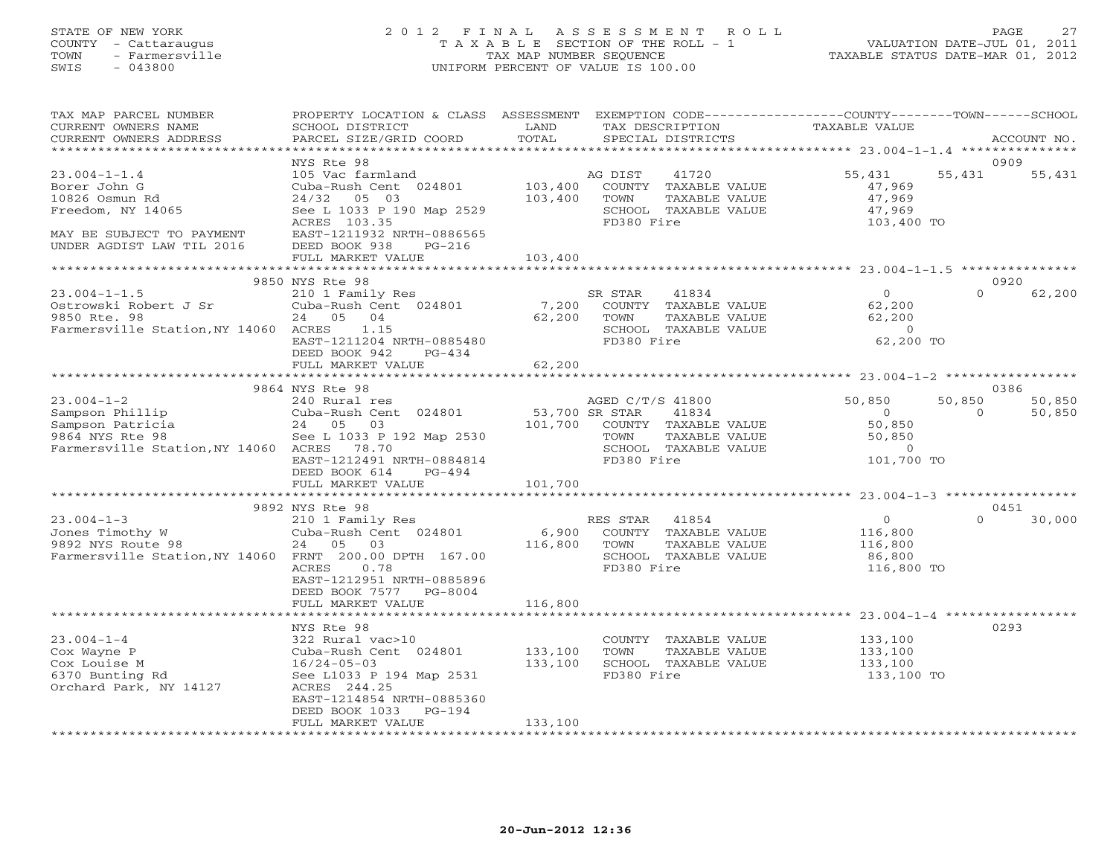#### STATE OF NEW YORK 2 0 1 2 F I N A L A S S E S S M E N T R O L L PAGE 27 COUNTY - Cattaraugus T A X A B L E SECTION OF THE ROLL - 1 VALUATION DATE-JUL 01, 2011 TOWN - Farmersville TAX MAP NUMBER SEQUENCE TAXABLE STATUS DATE-MAR 01, 2012 SWIS - 043800 UNIFORM PERCENT OF VALUE IS 100.00UNIFORM PERCENT OF VALUE IS 100.00

| TAX MAP PARCEL NUMBER<br>CURRENT OWNERS NAME<br>CURRENT OWNERS ADDRESS                                                                                                   | PROPERTY LOCATION & CLASS ASSESSMENT EXEMPTION CODE---------------COUNTY-------TOWN------SCHOOL<br><b>EXAMPLE SERVICE SERVICE SERVICE SERVICE SERVICE SERVICE SERVICE SERVICE SERVICE SERVICE SERVICE SERVICE SERVICE</b><br>SCHOOL DISTRICT<br>PARCEL SIZE/GRID COORD | TOTAL        | TAX DESCRIPTION<br>SPECIAL DISTRICTS                                                                                                                           | TAXABLE VALUE                                                                 |                    | ACCOUNT NO.      |
|--------------------------------------------------------------------------------------------------------------------------------------------------------------------------|------------------------------------------------------------------------------------------------------------------------------------------------------------------------------------------------------------------------------------------------------------------------|--------------|----------------------------------------------------------------------------------------------------------------------------------------------------------------|-------------------------------------------------------------------------------|--------------------|------------------|
|                                                                                                                                                                          |                                                                                                                                                                                                                                                                        |              |                                                                                                                                                                |                                                                               |                    |                  |
| $23.004 - 1 - 1.4$<br>Borer John G<br>10826 Osmun Rd<br>Freedom, NY 14065<br>MAY BE SUBJECT TO PAYMENT<br>UNDER AGDIST LAW TIL 2016                                      | NYS Rte 98<br>105 Vac farmland<br>Cuba-Rush Cent 024801<br>24/32<br>05 03<br>See L 1033 P 190 Map 2529<br>ACRES 103.35<br>EAST-1211932 NRTH-0886565<br>DEED BOOK 938<br>PG-216                                                                                         | 103,400      | AG DIST 41720<br>103,400 COUNTY TAXABLE VALUE<br>TOWN<br>TAXABLE VALUE<br>SCHOOL TAXABLE VALUE<br>FD380 Fire                                                   | 55,431<br>47,969<br>47,969<br>47,969<br>103,400 TO                            | 0909<br>55,431     | 55,431           |
|                                                                                                                                                                          | FULL MARKET VALUE                                                                                                                                                                                                                                                      | 103,400      |                                                                                                                                                                |                                                                               |                    |                  |
|                                                                                                                                                                          | 9850 NYS Rte 98                                                                                                                                                                                                                                                        |              |                                                                                                                                                                |                                                                               | 0920               |                  |
| $23.004 - 1 - 1.5$<br>Ostrowski Robert J Sr<br>9850 Rte. 98<br>9850 Rte. 98<br>Farmersville Station, NY 14060 ACRES                                                      | 210 1 Family Res<br>Cuba-Rush Cent 024801 7,200 COUNTY TAXABLE VALUE<br>24 05 04<br>$62,200$ TOWN<br>ACRES 1.15<br>EAST-1211204 NRTH-0885480<br>DEED BOOK 942<br>$PG-434$                                                                                              |              | TAXABLE VALUE<br>SCHOOL TAXABLE VALUE<br>FD380 Fire                                                                                                            | $\begin{array}{c} 0 \\ 62,200 \end{array}$<br>62,200<br>$\sim$ 0<br>62,200 TO | $\Omega$           | 62,200           |
|                                                                                                                                                                          | FULL MARKET VALUE                                                                                                                                                                                                                                                      | 62,200       |                                                                                                                                                                |                                                                               |                    |                  |
|                                                                                                                                                                          | 9864 NYS Rte 98                                                                                                                                                                                                                                                        |              |                                                                                                                                                                |                                                                               |                    | 0386             |
| 23.004-1-2<br>Sampson Phillip<br>Sampson Patricia<br>9864 NYS Rte 98<br>24 05 03<br>9864 NYS Rte 98<br>2005 2005 2007 2008<br>Farmersville Station, NY 14060 ACRES 78.70 | 240 Rural res<br>Cuba-Rush Cent 024801 53,700 SR STAR<br>See L 1033 P 192 Map 2530<br>EAST-1212491 NRTH-0884814<br>DEED BOOK 614 PG-494                                                                                                                                |              | AGED C/T/S 41800<br>41834<br>101,700 COUNTY TAXABLE VALUE<br>TOWN TAXABLE VALUE<br>COUCOL TAXABLE VALUE<br>TAXABLE VALUE<br>SCHOOL TAXABLE VALUE<br>FD380 Fire | 50,850<br>$\overline{0}$<br>50,850<br>50,850<br>$\overline{0}$<br>101,700 TO  | 50,850<br>$\Omega$ | 50,850<br>50,850 |
|                                                                                                                                                                          | FULL MARKET VALUE                                                                                                                                                                                                                                                      | 101,700      |                                                                                                                                                                |                                                                               |                    |                  |
|                                                                                                                                                                          | 9892 NYS Rte 98                                                                                                                                                                                                                                                        |              |                                                                                                                                                                |                                                                               |                    | 0451             |
| $23.004 - 1 - 3$<br>23.004-1-3<br>Jones Timothy W<br>9892 NYS Route 98<br>Farmersville Station, NY 14060 FRNT 200.00 DPTH 167.00                                         | 210 1 Family Res<br>Cuba-Rush Cent 024801<br>24 05 03<br>ACRES<br>0.78<br>EAST-1212951 NRTH-0885896<br>DEED BOOK 7577 PG-8004                                                                                                                                          | 116,800 TOWN | RES STAR 41854<br>6,900 COUNTY TAXABLE VALUE<br>TAXABLE VALUE<br>SCHOOL TAXABLE VALUE<br>FD380 Fire                                                            | 0<br>116,800<br>116,800<br>86,800<br>116,800 TO                               | $\Omega$           | 30,000           |
|                                                                                                                                                                          | FULL MARKET VALUE                                                                                                                                                                                                                                                      | 116,800      |                                                                                                                                                                |                                                                               |                    |                  |
| $23.004 - 1 - 4$<br>Cox Wayne P<br>Cox Louise M<br>6370 Bunting Rd<br>Orchard Park, NY 14127                                                                             | NYS Rte 98<br>322 Rural vac>10<br>Cuba-Rush Cent 024801<br>$16/24 - 05 - 03$<br>See L1033 P 194 Map 2531<br>ACRES 244.25<br>EAST-1214854 NRTH-0885360<br>DEED BOOK 1033 PG-194                                                                                         | 133,100      | COUNTY TAXABLE VALUE 133,100<br>TOWN TAXABLE VALUE 133,100<br>$133,100$ SCHOOL TAXABLE VALUE<br>FD380 Fire                                                     | 133,100<br>133,100 TO                                                         | 0293               |                  |
|                                                                                                                                                                          | FULL MARKET VALUE                                                                                                                                                                                                                                                      | 133,100      |                                                                                                                                                                |                                                                               |                    |                  |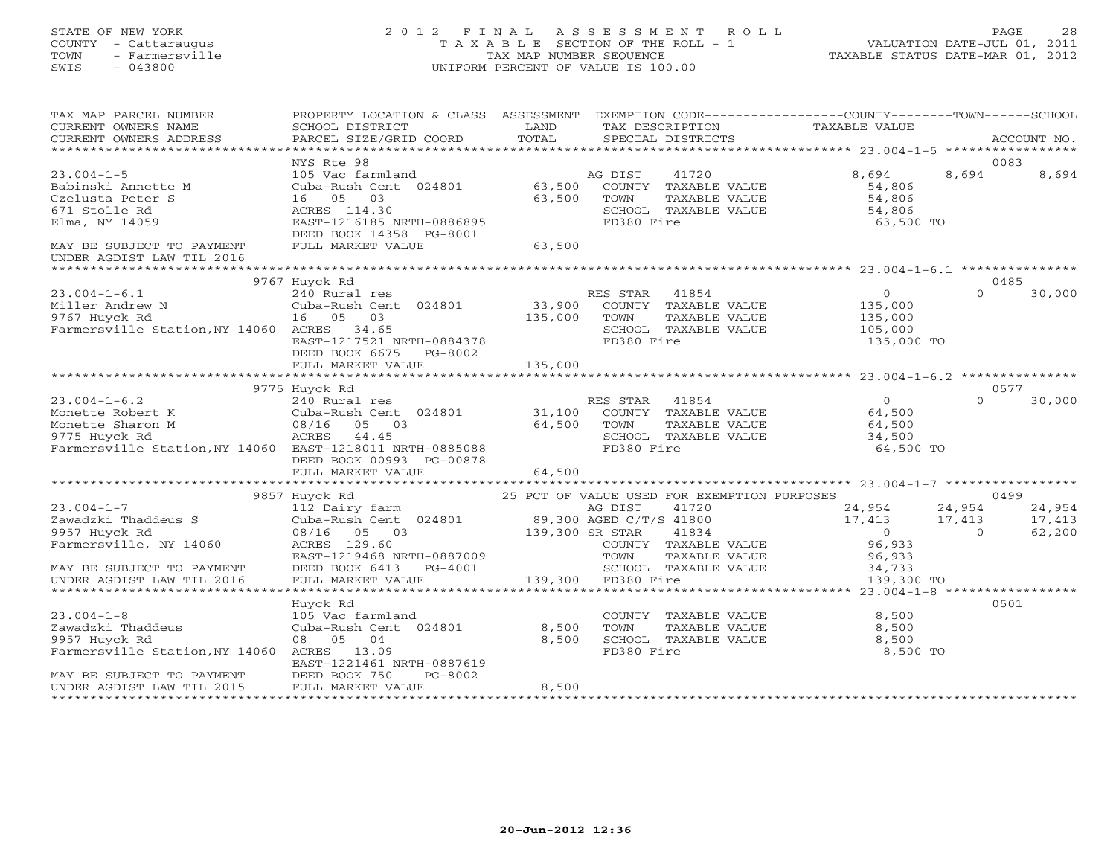### STATE OF NEW YORK 2 0 1 2 F I N A L A S S E S S M E N T R O L L PAGE 28 COUNTY - Cattaraugus T A X A B L E SECTION OF THE ROLL - 1 VALUATION DATE-JUL 01, 2011 TOWN - Farmersville TAX MAP NUMBER SEQUENCE TAXABLE STATUS DATE-MAR 01, 2012 SWIS - 043800 UNIFORM PERCENT OF VALUE IS 100.00UNIFORM PERCENT OF VALUE IS 100.00

| NYS Rte 98<br>0083<br>$23.004 - 1 - 5$<br>41720<br>8,694<br>8,694<br>8,694<br>105 Vac farmland<br>AG DIST<br>63,500<br>Babinski Annette M<br>Cuba-Rush Cent 024801<br>COUNTY TAXABLE VALUE<br>54,806<br>16 05<br>03<br>63,500<br>TAXABLE VALUE<br>54,806<br>Czelusta Peter S<br>TOWN<br>671 Stolle Rd<br>ACRES 114.30<br>SCHOOL TAXABLE VALUE<br>54,806<br>Elma, NY 14059<br>EAST-1216185 NRTH-0886895<br>FD380 Fire<br>63,500 TO<br>DEED BOOK 14358 PG-8001<br>63,500<br>MAY BE SUBJECT TO PAYMENT<br>FULL MARKET VALUE<br>UNDER AGDIST LAW TIL 2016<br>9767 Huyck Rd<br>0485<br>$\circ$<br>$23.004 - 1 - 6.1$<br>240 Rural res<br>RES STAR<br>41854<br>$\Omega$<br>30,000<br>33,900<br>COUNTY TAXABLE VALUE<br>Miller Andrew N<br>Cuba-Rush Cent 024801<br>135,000<br>9767 Huyck Rd<br>TAXABLE VALUE<br>16 05<br>03<br>135,000<br>TOWN<br>135,000<br>Farmersville Station, NY 14060 ACRES 34.65<br>SCHOOL TAXABLE VALUE<br>105,000<br>EAST-1217521 NRTH-0884378<br>FD380 Fire<br>135,000 TO<br>DEED BOOK 6675<br>PG-8002<br>135,000<br>FULL MARKET VALUE<br>0577<br>9775 Huyck Rd<br>$23.004 - 1 - 6.2$<br>RES STAR<br>41854<br>$\Omega$<br>$\Omega$<br>30,000<br>240 Rural res<br>31,100<br>COUNTY TAXABLE VALUE<br>64,500<br>Cuba-Rush Cent 024801<br>08/16 05 03<br>64,500<br>TOWN<br>TAXABLE VALUE<br>64,500<br>44.45<br>9775 Huyck Rd<br>ACRES<br>SCHOOL TAXABLE VALUE<br>34,500<br>FD380 Fire<br>Farmersville Station, NY 14060 EAST-1218011 NRTH-0885088<br>64,500 TO<br>DEED BOOK 00993 PG-00878<br>FULL MARKET VALUE<br>64,500<br>9857 Huyck Rd<br>25 PCT OF VALUE USED FOR EXEMPTION PURPOSES<br>0499<br>41720<br>24,954<br>24,954<br>24,954<br>AG DIST<br>112 Dairy farm<br>Zawadzki Thaddeus S<br>Cuba-Rush Cent 024801<br>89,300 AGED C/T/S 41800<br>17,413<br>17,413<br>17,413<br>08/16 05 03<br>139,300 SR STAR<br>41834<br>$\bigcirc$<br>62,200<br>$\Omega$<br>ACRES 129.60<br>96,933<br>COUNTY TAXABLE VALUE<br>EAST-1219468 NRTH-0887009<br>TOWN<br>TAXABLE VALUE<br>96,933<br>DEED BOOK 6413<br>SCHOOL TAXABLE VALUE<br>PG-4001<br>34,733<br>139,300 FD380 Fire<br>139,300 TO<br>UNDER AGDIST LAW TIL 2016<br>FULL MARKET VALUE<br>0501<br>Huyck Rd<br>$23.004 - 1 - 8$<br>105 Vac farmland<br>COUNTY TAXABLE VALUE<br>8,500<br>Zawadzki Thaddeus<br>Cuba-Rush Cent 024801<br>8,500<br>TOWN<br>TAXABLE VALUE<br>8,500<br>9957 Huyck Rd<br>08 05<br>04<br>8,500<br>SCHOOL TAXABLE VALUE<br>8,500<br>FD380 Fire<br>Farmersville Station, NY 14060<br>ACRES<br>13.09<br>8,500 TO<br>EAST-1221461 NRTH-0887619<br>DEED BOOK 750<br>MAY BE SUBJECT TO PAYMENT<br>PG-8002<br>FULL MARKET VALUE<br>8,500<br>UNDER AGDIST LAW TIL 2015 | TAX MAP PARCEL NUMBER<br>CURRENT OWNERS NAME<br>CURRENT OWNERS ADDRESS | PROPERTY LOCATION & CLASS ASSESSMENT<br>SCHOOL DISTRICT<br>PARCEL SIZE/GRID COORD | LAND<br>TOTAL | TAX DESCRIPTION<br>SPECIAL DISTRICTS | EXEMPTION CODE-----------------COUNTY-------TOWN------SCHOOL<br>TAXABLE VALUE | ACCOUNT NO. |
|-----------------------------------------------------------------------------------------------------------------------------------------------------------------------------------------------------------------------------------------------------------------------------------------------------------------------------------------------------------------------------------------------------------------------------------------------------------------------------------------------------------------------------------------------------------------------------------------------------------------------------------------------------------------------------------------------------------------------------------------------------------------------------------------------------------------------------------------------------------------------------------------------------------------------------------------------------------------------------------------------------------------------------------------------------------------------------------------------------------------------------------------------------------------------------------------------------------------------------------------------------------------------------------------------------------------------------------------------------------------------------------------------------------------------------------------------------------------------------------------------------------------------------------------------------------------------------------------------------------------------------------------------------------------------------------------------------------------------------------------------------------------------------------------------------------------------------------------------------------------------------------------------------------------------------------------------------------------------------------------------------------------------------------------------------------------------------------------------------------------------------------------------------------------------------------------------------------------------------------------------------------------------------------------------------------------------------------------------------------------------------------------------------------------------------------------------------------------------------------------------------------------------------------------------------------------------------------------------------------------------------------------------------|------------------------------------------------------------------------|-----------------------------------------------------------------------------------|---------------|--------------------------------------|-------------------------------------------------------------------------------|-------------|
|                                                                                                                                                                                                                                                                                                                                                                                                                                                                                                                                                                                                                                                                                                                                                                                                                                                                                                                                                                                                                                                                                                                                                                                                                                                                                                                                                                                                                                                                                                                                                                                                                                                                                                                                                                                                                                                                                                                                                                                                                                                                                                                                                                                                                                                                                                                                                                                                                                                                                                                                                                                                                                                     |                                                                        |                                                                                   |               |                                      |                                                                               |             |
|                                                                                                                                                                                                                                                                                                                                                                                                                                                                                                                                                                                                                                                                                                                                                                                                                                                                                                                                                                                                                                                                                                                                                                                                                                                                                                                                                                                                                                                                                                                                                                                                                                                                                                                                                                                                                                                                                                                                                                                                                                                                                                                                                                                                                                                                                                                                                                                                                                                                                                                                                                                                                                                     |                                                                        |                                                                                   |               |                                      |                                                                               |             |
|                                                                                                                                                                                                                                                                                                                                                                                                                                                                                                                                                                                                                                                                                                                                                                                                                                                                                                                                                                                                                                                                                                                                                                                                                                                                                                                                                                                                                                                                                                                                                                                                                                                                                                                                                                                                                                                                                                                                                                                                                                                                                                                                                                                                                                                                                                                                                                                                                                                                                                                                                                                                                                                     |                                                                        |                                                                                   |               |                                      |                                                                               |             |
|                                                                                                                                                                                                                                                                                                                                                                                                                                                                                                                                                                                                                                                                                                                                                                                                                                                                                                                                                                                                                                                                                                                                                                                                                                                                                                                                                                                                                                                                                                                                                                                                                                                                                                                                                                                                                                                                                                                                                                                                                                                                                                                                                                                                                                                                                                                                                                                                                                                                                                                                                                                                                                                     |                                                                        |                                                                                   |               |                                      |                                                                               |             |
|                                                                                                                                                                                                                                                                                                                                                                                                                                                                                                                                                                                                                                                                                                                                                                                                                                                                                                                                                                                                                                                                                                                                                                                                                                                                                                                                                                                                                                                                                                                                                                                                                                                                                                                                                                                                                                                                                                                                                                                                                                                                                                                                                                                                                                                                                                                                                                                                                                                                                                                                                                                                                                                     |                                                                        |                                                                                   |               |                                      |                                                                               |             |
|                                                                                                                                                                                                                                                                                                                                                                                                                                                                                                                                                                                                                                                                                                                                                                                                                                                                                                                                                                                                                                                                                                                                                                                                                                                                                                                                                                                                                                                                                                                                                                                                                                                                                                                                                                                                                                                                                                                                                                                                                                                                                                                                                                                                                                                                                                                                                                                                                                                                                                                                                                                                                                                     |                                                                        |                                                                                   |               |                                      |                                                                               |             |
|                                                                                                                                                                                                                                                                                                                                                                                                                                                                                                                                                                                                                                                                                                                                                                                                                                                                                                                                                                                                                                                                                                                                                                                                                                                                                                                                                                                                                                                                                                                                                                                                                                                                                                                                                                                                                                                                                                                                                                                                                                                                                                                                                                                                                                                                                                                                                                                                                                                                                                                                                                                                                                                     |                                                                        |                                                                                   |               |                                      |                                                                               |             |
|                                                                                                                                                                                                                                                                                                                                                                                                                                                                                                                                                                                                                                                                                                                                                                                                                                                                                                                                                                                                                                                                                                                                                                                                                                                                                                                                                                                                                                                                                                                                                                                                                                                                                                                                                                                                                                                                                                                                                                                                                                                                                                                                                                                                                                                                                                                                                                                                                                                                                                                                                                                                                                                     |                                                                        |                                                                                   |               |                                      |                                                                               |             |
|                                                                                                                                                                                                                                                                                                                                                                                                                                                                                                                                                                                                                                                                                                                                                                                                                                                                                                                                                                                                                                                                                                                                                                                                                                                                                                                                                                                                                                                                                                                                                                                                                                                                                                                                                                                                                                                                                                                                                                                                                                                                                                                                                                                                                                                                                                                                                                                                                                                                                                                                                                                                                                                     |                                                                        |                                                                                   |               |                                      |                                                                               |             |
|                                                                                                                                                                                                                                                                                                                                                                                                                                                                                                                                                                                                                                                                                                                                                                                                                                                                                                                                                                                                                                                                                                                                                                                                                                                                                                                                                                                                                                                                                                                                                                                                                                                                                                                                                                                                                                                                                                                                                                                                                                                                                                                                                                                                                                                                                                                                                                                                                                                                                                                                                                                                                                                     |                                                                        |                                                                                   |               |                                      |                                                                               |             |
|                                                                                                                                                                                                                                                                                                                                                                                                                                                                                                                                                                                                                                                                                                                                                                                                                                                                                                                                                                                                                                                                                                                                                                                                                                                                                                                                                                                                                                                                                                                                                                                                                                                                                                                                                                                                                                                                                                                                                                                                                                                                                                                                                                                                                                                                                                                                                                                                                                                                                                                                                                                                                                                     |                                                                        |                                                                                   |               |                                      |                                                                               |             |
|                                                                                                                                                                                                                                                                                                                                                                                                                                                                                                                                                                                                                                                                                                                                                                                                                                                                                                                                                                                                                                                                                                                                                                                                                                                                                                                                                                                                                                                                                                                                                                                                                                                                                                                                                                                                                                                                                                                                                                                                                                                                                                                                                                                                                                                                                                                                                                                                                                                                                                                                                                                                                                                     |                                                                        |                                                                                   |               |                                      |                                                                               |             |
|                                                                                                                                                                                                                                                                                                                                                                                                                                                                                                                                                                                                                                                                                                                                                                                                                                                                                                                                                                                                                                                                                                                                                                                                                                                                                                                                                                                                                                                                                                                                                                                                                                                                                                                                                                                                                                                                                                                                                                                                                                                                                                                                                                                                                                                                                                                                                                                                                                                                                                                                                                                                                                                     |                                                                        |                                                                                   |               |                                      |                                                                               |             |
|                                                                                                                                                                                                                                                                                                                                                                                                                                                                                                                                                                                                                                                                                                                                                                                                                                                                                                                                                                                                                                                                                                                                                                                                                                                                                                                                                                                                                                                                                                                                                                                                                                                                                                                                                                                                                                                                                                                                                                                                                                                                                                                                                                                                                                                                                                                                                                                                                                                                                                                                                                                                                                                     |                                                                        |                                                                                   |               |                                      |                                                                               |             |
|                                                                                                                                                                                                                                                                                                                                                                                                                                                                                                                                                                                                                                                                                                                                                                                                                                                                                                                                                                                                                                                                                                                                                                                                                                                                                                                                                                                                                                                                                                                                                                                                                                                                                                                                                                                                                                                                                                                                                                                                                                                                                                                                                                                                                                                                                                                                                                                                                                                                                                                                                                                                                                                     |                                                                        |                                                                                   |               |                                      |                                                                               |             |
|                                                                                                                                                                                                                                                                                                                                                                                                                                                                                                                                                                                                                                                                                                                                                                                                                                                                                                                                                                                                                                                                                                                                                                                                                                                                                                                                                                                                                                                                                                                                                                                                                                                                                                                                                                                                                                                                                                                                                                                                                                                                                                                                                                                                                                                                                                                                                                                                                                                                                                                                                                                                                                                     |                                                                        |                                                                                   |               |                                      |                                                                               |             |
|                                                                                                                                                                                                                                                                                                                                                                                                                                                                                                                                                                                                                                                                                                                                                                                                                                                                                                                                                                                                                                                                                                                                                                                                                                                                                                                                                                                                                                                                                                                                                                                                                                                                                                                                                                                                                                                                                                                                                                                                                                                                                                                                                                                                                                                                                                                                                                                                                                                                                                                                                                                                                                                     |                                                                        |                                                                                   |               |                                      |                                                                               |             |
|                                                                                                                                                                                                                                                                                                                                                                                                                                                                                                                                                                                                                                                                                                                                                                                                                                                                                                                                                                                                                                                                                                                                                                                                                                                                                                                                                                                                                                                                                                                                                                                                                                                                                                                                                                                                                                                                                                                                                                                                                                                                                                                                                                                                                                                                                                                                                                                                                                                                                                                                                                                                                                                     |                                                                        |                                                                                   |               |                                      |                                                                               |             |
|                                                                                                                                                                                                                                                                                                                                                                                                                                                                                                                                                                                                                                                                                                                                                                                                                                                                                                                                                                                                                                                                                                                                                                                                                                                                                                                                                                                                                                                                                                                                                                                                                                                                                                                                                                                                                                                                                                                                                                                                                                                                                                                                                                                                                                                                                                                                                                                                                                                                                                                                                                                                                                                     |                                                                        |                                                                                   |               |                                      |                                                                               |             |
|                                                                                                                                                                                                                                                                                                                                                                                                                                                                                                                                                                                                                                                                                                                                                                                                                                                                                                                                                                                                                                                                                                                                                                                                                                                                                                                                                                                                                                                                                                                                                                                                                                                                                                                                                                                                                                                                                                                                                                                                                                                                                                                                                                                                                                                                                                                                                                                                                                                                                                                                                                                                                                                     |                                                                        |                                                                                   |               |                                      |                                                                               |             |
|                                                                                                                                                                                                                                                                                                                                                                                                                                                                                                                                                                                                                                                                                                                                                                                                                                                                                                                                                                                                                                                                                                                                                                                                                                                                                                                                                                                                                                                                                                                                                                                                                                                                                                                                                                                                                                                                                                                                                                                                                                                                                                                                                                                                                                                                                                                                                                                                                                                                                                                                                                                                                                                     |                                                                        |                                                                                   |               |                                      |                                                                               |             |
|                                                                                                                                                                                                                                                                                                                                                                                                                                                                                                                                                                                                                                                                                                                                                                                                                                                                                                                                                                                                                                                                                                                                                                                                                                                                                                                                                                                                                                                                                                                                                                                                                                                                                                                                                                                                                                                                                                                                                                                                                                                                                                                                                                                                                                                                                                                                                                                                                                                                                                                                                                                                                                                     | Monette Robert K                                                       |                                                                                   |               |                                      |                                                                               |             |
|                                                                                                                                                                                                                                                                                                                                                                                                                                                                                                                                                                                                                                                                                                                                                                                                                                                                                                                                                                                                                                                                                                                                                                                                                                                                                                                                                                                                                                                                                                                                                                                                                                                                                                                                                                                                                                                                                                                                                                                                                                                                                                                                                                                                                                                                                                                                                                                                                                                                                                                                                                                                                                                     | Monette Sharon M                                                       |                                                                                   |               |                                      |                                                                               |             |
|                                                                                                                                                                                                                                                                                                                                                                                                                                                                                                                                                                                                                                                                                                                                                                                                                                                                                                                                                                                                                                                                                                                                                                                                                                                                                                                                                                                                                                                                                                                                                                                                                                                                                                                                                                                                                                                                                                                                                                                                                                                                                                                                                                                                                                                                                                                                                                                                                                                                                                                                                                                                                                                     |                                                                        |                                                                                   |               |                                      |                                                                               |             |
|                                                                                                                                                                                                                                                                                                                                                                                                                                                                                                                                                                                                                                                                                                                                                                                                                                                                                                                                                                                                                                                                                                                                                                                                                                                                                                                                                                                                                                                                                                                                                                                                                                                                                                                                                                                                                                                                                                                                                                                                                                                                                                                                                                                                                                                                                                                                                                                                                                                                                                                                                                                                                                                     |                                                                        |                                                                                   |               |                                      |                                                                               |             |
|                                                                                                                                                                                                                                                                                                                                                                                                                                                                                                                                                                                                                                                                                                                                                                                                                                                                                                                                                                                                                                                                                                                                                                                                                                                                                                                                                                                                                                                                                                                                                                                                                                                                                                                                                                                                                                                                                                                                                                                                                                                                                                                                                                                                                                                                                                                                                                                                                                                                                                                                                                                                                                                     |                                                                        |                                                                                   |               |                                      |                                                                               |             |
|                                                                                                                                                                                                                                                                                                                                                                                                                                                                                                                                                                                                                                                                                                                                                                                                                                                                                                                                                                                                                                                                                                                                                                                                                                                                                                                                                                                                                                                                                                                                                                                                                                                                                                                                                                                                                                                                                                                                                                                                                                                                                                                                                                                                                                                                                                                                                                                                                                                                                                                                                                                                                                                     |                                                                        |                                                                                   |               |                                      |                                                                               |             |
|                                                                                                                                                                                                                                                                                                                                                                                                                                                                                                                                                                                                                                                                                                                                                                                                                                                                                                                                                                                                                                                                                                                                                                                                                                                                                                                                                                                                                                                                                                                                                                                                                                                                                                                                                                                                                                                                                                                                                                                                                                                                                                                                                                                                                                                                                                                                                                                                                                                                                                                                                                                                                                                     |                                                                        |                                                                                   |               |                                      |                                                                               |             |
|                                                                                                                                                                                                                                                                                                                                                                                                                                                                                                                                                                                                                                                                                                                                                                                                                                                                                                                                                                                                                                                                                                                                                                                                                                                                                                                                                                                                                                                                                                                                                                                                                                                                                                                                                                                                                                                                                                                                                                                                                                                                                                                                                                                                                                                                                                                                                                                                                                                                                                                                                                                                                                                     |                                                                        |                                                                                   |               |                                      |                                                                               |             |
|                                                                                                                                                                                                                                                                                                                                                                                                                                                                                                                                                                                                                                                                                                                                                                                                                                                                                                                                                                                                                                                                                                                                                                                                                                                                                                                                                                                                                                                                                                                                                                                                                                                                                                                                                                                                                                                                                                                                                                                                                                                                                                                                                                                                                                                                                                                                                                                                                                                                                                                                                                                                                                                     | $23.004 - 1 - 7$                                                       |                                                                                   |               |                                      |                                                                               |             |
|                                                                                                                                                                                                                                                                                                                                                                                                                                                                                                                                                                                                                                                                                                                                                                                                                                                                                                                                                                                                                                                                                                                                                                                                                                                                                                                                                                                                                                                                                                                                                                                                                                                                                                                                                                                                                                                                                                                                                                                                                                                                                                                                                                                                                                                                                                                                                                                                                                                                                                                                                                                                                                                     |                                                                        |                                                                                   |               |                                      |                                                                               |             |
|                                                                                                                                                                                                                                                                                                                                                                                                                                                                                                                                                                                                                                                                                                                                                                                                                                                                                                                                                                                                                                                                                                                                                                                                                                                                                                                                                                                                                                                                                                                                                                                                                                                                                                                                                                                                                                                                                                                                                                                                                                                                                                                                                                                                                                                                                                                                                                                                                                                                                                                                                                                                                                                     | 9957 Huyck Rd                                                          |                                                                                   |               |                                      |                                                                               |             |
|                                                                                                                                                                                                                                                                                                                                                                                                                                                                                                                                                                                                                                                                                                                                                                                                                                                                                                                                                                                                                                                                                                                                                                                                                                                                                                                                                                                                                                                                                                                                                                                                                                                                                                                                                                                                                                                                                                                                                                                                                                                                                                                                                                                                                                                                                                                                                                                                                                                                                                                                                                                                                                                     | Farmersville, NY 14060                                                 |                                                                                   |               |                                      |                                                                               |             |
|                                                                                                                                                                                                                                                                                                                                                                                                                                                                                                                                                                                                                                                                                                                                                                                                                                                                                                                                                                                                                                                                                                                                                                                                                                                                                                                                                                                                                                                                                                                                                                                                                                                                                                                                                                                                                                                                                                                                                                                                                                                                                                                                                                                                                                                                                                                                                                                                                                                                                                                                                                                                                                                     |                                                                        |                                                                                   |               |                                      |                                                                               |             |
|                                                                                                                                                                                                                                                                                                                                                                                                                                                                                                                                                                                                                                                                                                                                                                                                                                                                                                                                                                                                                                                                                                                                                                                                                                                                                                                                                                                                                                                                                                                                                                                                                                                                                                                                                                                                                                                                                                                                                                                                                                                                                                                                                                                                                                                                                                                                                                                                                                                                                                                                                                                                                                                     | MAY BE SUBJECT TO PAYMENT                                              |                                                                                   |               |                                      |                                                                               |             |
|                                                                                                                                                                                                                                                                                                                                                                                                                                                                                                                                                                                                                                                                                                                                                                                                                                                                                                                                                                                                                                                                                                                                                                                                                                                                                                                                                                                                                                                                                                                                                                                                                                                                                                                                                                                                                                                                                                                                                                                                                                                                                                                                                                                                                                                                                                                                                                                                                                                                                                                                                                                                                                                     |                                                                        |                                                                                   |               |                                      |                                                                               |             |
|                                                                                                                                                                                                                                                                                                                                                                                                                                                                                                                                                                                                                                                                                                                                                                                                                                                                                                                                                                                                                                                                                                                                                                                                                                                                                                                                                                                                                                                                                                                                                                                                                                                                                                                                                                                                                                                                                                                                                                                                                                                                                                                                                                                                                                                                                                                                                                                                                                                                                                                                                                                                                                                     |                                                                        |                                                                                   |               |                                      |                                                                               |             |
|                                                                                                                                                                                                                                                                                                                                                                                                                                                                                                                                                                                                                                                                                                                                                                                                                                                                                                                                                                                                                                                                                                                                                                                                                                                                                                                                                                                                                                                                                                                                                                                                                                                                                                                                                                                                                                                                                                                                                                                                                                                                                                                                                                                                                                                                                                                                                                                                                                                                                                                                                                                                                                                     |                                                                        |                                                                                   |               |                                      |                                                                               |             |
|                                                                                                                                                                                                                                                                                                                                                                                                                                                                                                                                                                                                                                                                                                                                                                                                                                                                                                                                                                                                                                                                                                                                                                                                                                                                                                                                                                                                                                                                                                                                                                                                                                                                                                                                                                                                                                                                                                                                                                                                                                                                                                                                                                                                                                                                                                                                                                                                                                                                                                                                                                                                                                                     |                                                                        |                                                                                   |               |                                      |                                                                               |             |
|                                                                                                                                                                                                                                                                                                                                                                                                                                                                                                                                                                                                                                                                                                                                                                                                                                                                                                                                                                                                                                                                                                                                                                                                                                                                                                                                                                                                                                                                                                                                                                                                                                                                                                                                                                                                                                                                                                                                                                                                                                                                                                                                                                                                                                                                                                                                                                                                                                                                                                                                                                                                                                                     |                                                                        |                                                                                   |               |                                      |                                                                               |             |
|                                                                                                                                                                                                                                                                                                                                                                                                                                                                                                                                                                                                                                                                                                                                                                                                                                                                                                                                                                                                                                                                                                                                                                                                                                                                                                                                                                                                                                                                                                                                                                                                                                                                                                                                                                                                                                                                                                                                                                                                                                                                                                                                                                                                                                                                                                                                                                                                                                                                                                                                                                                                                                                     |                                                                        |                                                                                   |               |                                      |                                                                               |             |
|                                                                                                                                                                                                                                                                                                                                                                                                                                                                                                                                                                                                                                                                                                                                                                                                                                                                                                                                                                                                                                                                                                                                                                                                                                                                                                                                                                                                                                                                                                                                                                                                                                                                                                                                                                                                                                                                                                                                                                                                                                                                                                                                                                                                                                                                                                                                                                                                                                                                                                                                                                                                                                                     |                                                                        |                                                                                   |               |                                      |                                                                               |             |
|                                                                                                                                                                                                                                                                                                                                                                                                                                                                                                                                                                                                                                                                                                                                                                                                                                                                                                                                                                                                                                                                                                                                                                                                                                                                                                                                                                                                                                                                                                                                                                                                                                                                                                                                                                                                                                                                                                                                                                                                                                                                                                                                                                                                                                                                                                                                                                                                                                                                                                                                                                                                                                                     |                                                                        |                                                                                   |               |                                      |                                                                               |             |
|                                                                                                                                                                                                                                                                                                                                                                                                                                                                                                                                                                                                                                                                                                                                                                                                                                                                                                                                                                                                                                                                                                                                                                                                                                                                                                                                                                                                                                                                                                                                                                                                                                                                                                                                                                                                                                                                                                                                                                                                                                                                                                                                                                                                                                                                                                                                                                                                                                                                                                                                                                                                                                                     |                                                                        |                                                                                   |               |                                      |                                                                               |             |
|                                                                                                                                                                                                                                                                                                                                                                                                                                                                                                                                                                                                                                                                                                                                                                                                                                                                                                                                                                                                                                                                                                                                                                                                                                                                                                                                                                                                                                                                                                                                                                                                                                                                                                                                                                                                                                                                                                                                                                                                                                                                                                                                                                                                                                                                                                                                                                                                                                                                                                                                                                                                                                                     |                                                                        |                                                                                   |               |                                      |                                                                               |             |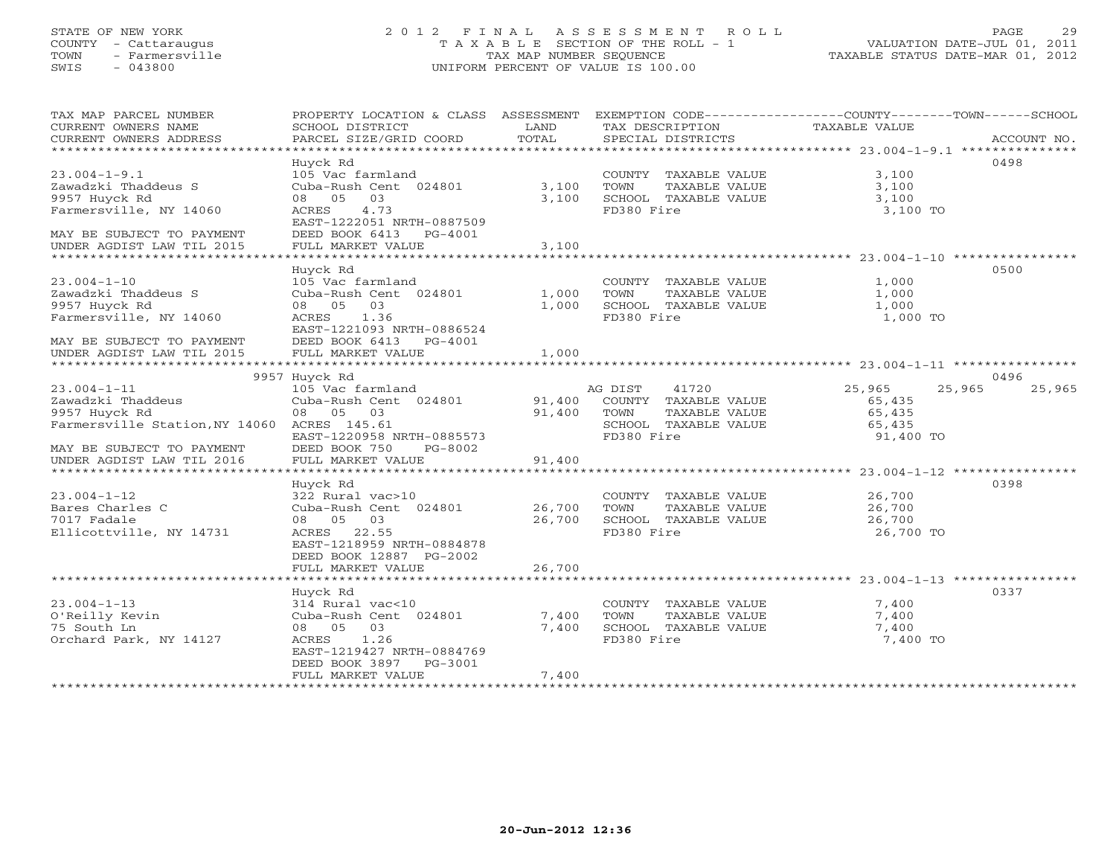# STATE OF NEW YORK 2 0 1 2 F I N A L A S S E S S M E N T R O L L PAGE 29 COUNTY - Cattaraugus T A X A B L E SECTION OF THE ROLL - 1 VALUATION DATE-JUL 01, 2011 TOWN - Farmersville TAX MAP NUMBER SEQUENCE TAXABLE STATUS DATE-MAR 01, 2012 SWIS - 043800 UNIFORM PERCENT OF VALUE IS 100.00UNIFORM PERCENT OF VALUE IS 100.00

| TAX MAP PARCEL NUMBER<br>CURRENT OWNERS NAME<br>CURRENT OWNERS ADDRESS<br>******************************                                       | PROPERTY LOCATION & CLASS ASSESSMENT<br>SCHOOL DISTRICT<br>PARCEL SIZE/GRID COORD                                                                                    | LAND<br>TOTAL              | EXEMPTION CODE-----------------COUNTY-------TOWN------SCHOOL<br>TAX DESCRIPTION<br>SPECIAL DISTRICTS    | TAXABLE VALUE                                     | ACCOUNT NO.      |
|------------------------------------------------------------------------------------------------------------------------------------------------|----------------------------------------------------------------------------------------------------------------------------------------------------------------------|----------------------------|---------------------------------------------------------------------------------------------------------|---------------------------------------------------|------------------|
| $23.004 - 1 - 9.1$<br>Zawadzki Thaddeus S<br>9957 Huyck Rd<br>Farmersville, NY 14060<br>MAY BE SUBJECT TO PAYMENT<br>UNDER AGDIST LAW TIL 2015 | Huyck Rd<br>105 Vac farmland<br>Cuba-Rush Cent 024801<br>08 05 03<br>4.73<br>ACRES<br>EAST-1222051 NRTH-0887509<br>DEED BOOK 6413 PG-4001<br>FULL MARKET VALUE       | 3,100<br>3,100<br>3,100    | COUNTY TAXABLE VALUE<br>TAXABLE VALUE<br>TOWN<br>SCHOOL TAXABLE VALUE<br>FD380 Fire                     | 3,100<br>3,100<br>3,100<br>3,100 TO               | 0498             |
| $23.004 - 1 - 10$<br>Zawadzki Thaddeus S<br>9957 Huyck Rd                                                                                      | Huyck Rd<br>105 Vac farmland<br>Cuba-Rush Cent 024801<br>08 05 03                                                                                                    | 1,000<br>1,000             | COUNTY TAXABLE VALUE<br>TOWN<br>TAXABLE VALUE<br>SCHOOL TAXABLE VALUE                                   | 1,000<br>1,000<br>1,000                           | 0500             |
| Farmersville, NY 14060<br>MAY BE SUBJECT TO PAYMENT<br>UNDER AGDIST LAW TIL 2015                                                               | ACRES 1.36<br>EAST-1221093 NRTH-0886524<br>DEED BOOK 6413 PG-4001<br>FULL MARKET VALUE                                                                               | 1,000                      | FD380 Fire                                                                                              | 1,000 TO                                          |                  |
|                                                                                                                                                | 9957 Huyck Rd                                                                                                                                                        |                            |                                                                                                         |                                                   | 0496             |
| $23.004 - 1 - 11$<br>Zawadzki Thaddeus<br>9957 Huyck Rd<br>Farmersville Station, NY 14060 ACRES 145.61<br>MAY BE SUBJECT TO PAYMENT            | 105 Vac farmland<br>Cuba-Rush Cent 024801<br>08 05 03<br>EAST-1220958 NRTH-0885573<br>DEED BOOK 750<br>PG-8002                                                       | 91,400<br>91,400           | AG DIST<br>41720<br>COUNTY TAXABLE VALUE<br>TOWN<br>TAXABLE VALUE<br>SCHOOL TAXABLE VALUE<br>FD380 Fire | 25,965<br>65,435<br>65,435<br>65,435<br>91,400 TO | 25,965<br>25,965 |
| UNDER AGDIST LAW TIL 2016                                                                                                                      | FULL MARKET VALUE                                                                                                                                                    | 91,400                     |                                                                                                         |                                                   |                  |
| $23.004 - 1 - 12$<br>Bares Charles C<br>7017 Fadale<br>Ellicottville, NY 14731                                                                 | Huyck Rd<br>322 Rural vac>10<br>Cuba-Rush Cent 024801<br>08 05 03<br>ACRES 22.55<br>EAST-1218959 NRTH-0884878<br>DEED BOOK 12887 PG-2002<br>FULL MARKET VALUE        | 26,700<br>26,700<br>26,700 | COUNTY TAXABLE VALUE<br>TOWN<br>TAXABLE VALUE<br>SCHOOL TAXABLE VALUE<br>FD380 Fire                     | 26,700<br>26,700<br>26,700<br>26,700 TO           | 0398             |
| ******************************                                                                                                                 |                                                                                                                                                                      |                            |                                                                                                         |                                                   |                  |
| $23.004 - 1 - 13$<br>O'Reilly Kevin<br>75 South Ln<br>Orchard Park, NY 14127                                                                   | Huyck Rd<br>314 Rural vac<10<br>Cuba-Rush Cent 024801<br>08 05<br>03<br>ACRES<br>1.26<br>EAST-1219427 NRTH-0884769<br>DEED BOOK 3897<br>PG-3001<br>FULL MARKET VALUE | 7,400<br>7,400<br>7,400    | COUNTY TAXABLE VALUE<br>TOWN<br>TAXABLE VALUE<br>SCHOOL TAXABLE VALUE<br>FD380 Fire                     | 7,400<br>7,400<br>7,400<br>7,400 TO               | 0337             |
|                                                                                                                                                |                                                                                                                                                                      |                            |                                                                                                         |                                                   |                  |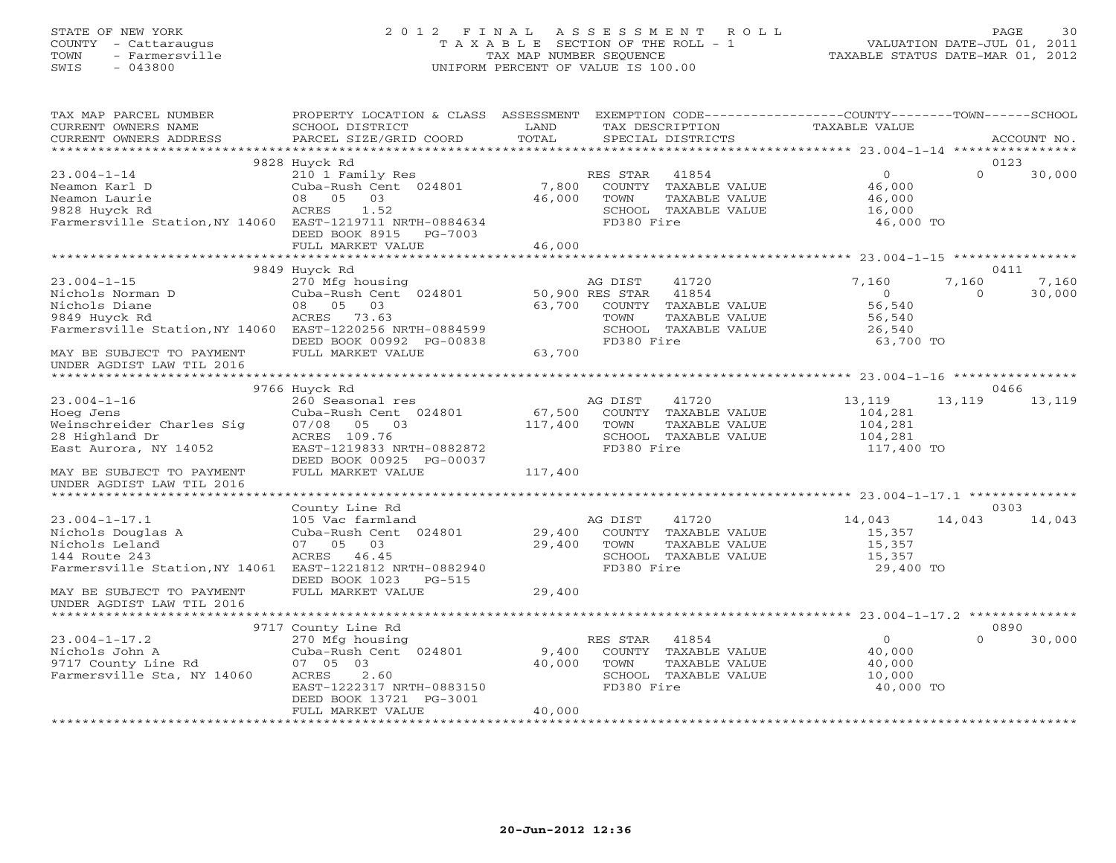## STATE OF NEW YORK 2 0 1 2 F I N A L A S S E S S M E N T R O L L PAGE 30 COUNTY - Cattaraugus T A X A B L E SECTION OF THE ROLL - 1 VALUATION DATE-JUL 01, 2011 TOWN - Farmersville TAX MAP NUMBER SEQUENCE TAXABLE STATUS DATE-MAR 01, 2012 SWIS - 043800 UNIFORM PERCENT OF VALUE IS 100.00UNIFORM PERCENT OF VALUE IS 100.00

| TAX MAP PARCEL NUMBER<br>CURRENT OWNERS NAME<br>CURRENT OWNERS ADDRESS                                                              | PROPERTY LOCATION & CLASS ASSESSMENT EXEMPTION CODE---------------COUNTY-------TOWN------SCHOOL<br>SCHOOL DISTRICT<br>PARCEL SIZE/GRID COORD       | LAND<br>TOTAL             | TAX DESCRIPTION<br>SPECIAL DISTRICTS |                                                                                 | TAXABLE VALUE                                                |                   | ACCOUNT NO.     |
|-------------------------------------------------------------------------------------------------------------------------------------|----------------------------------------------------------------------------------------------------------------------------------------------------|---------------------------|--------------------------------------|---------------------------------------------------------------------------------|--------------------------------------------------------------|-------------------|-----------------|
|                                                                                                                                     |                                                                                                                                                    |                           |                                      |                                                                                 |                                                              |                   |                 |
| $23.004 - 1 - 14$<br>Neamon Karl D<br>Neamon Laurie<br>9828 Huyck Rd<br>Farmersville Station, NY 14060 EAST-1219711 NRTH-0884634    | 9828 Huyck Rd<br>210 1 Family Res<br>Cuba-Rush Cent 024801<br>05<br>03<br>08<br>ACRES<br>1.52<br>DEED BOOK 8915<br>PG-7003<br>FULL MARKET VALUE    | 7,800<br>46,000<br>46,000 | RES STAR<br>TOWN<br>FD380 Fire       | 41854<br>COUNTY TAXABLE VALUE<br>TAXABLE VALUE<br>SCHOOL TAXABLE VALUE          | $\circ$<br>46,000<br>46,000<br>16,000<br>46,000 TO           | $\Omega$          | 0123<br>30,000  |
|                                                                                                                                     |                                                                                                                                                    |                           |                                      |                                                                                 |                                                              |                   |                 |
|                                                                                                                                     | 9849 Huyck Rd                                                                                                                                      |                           |                                      |                                                                                 |                                                              |                   | 0411            |
| $23.004 - 1 - 15$<br>Nichols Norman D<br>Nichols Diane<br>9849 Huyck Rd<br>Farmersville Station, NY 14060 EAST-1220256 NRTH-0884599 | 270 Mfg housing<br>Cuba-Rush Cent 024801<br>08 05<br>03<br>ACRES 73.63<br>DEED BOOK 00992 PG-00838                                                 | 50,900 RES STAR<br>63,700 | AG DIST<br>TOWN<br>FD380 Fire        | 41720<br>41854<br>COUNTY TAXABLE VALUE<br>TAXABLE VALUE<br>SCHOOL TAXABLE VALUE | 7,160<br>$\Omega$<br>56,540<br>56,540<br>26,540<br>63,700 TO | 7,160<br>$\Omega$ | 7,160<br>30,000 |
| MAY BE SUBJECT TO PAYMENT<br>UNDER AGDIST LAW TIL 2016                                                                              | FULL MARKET VALUE                                                                                                                                  | 63,700                    |                                      |                                                                                 |                                                              |                   |                 |
|                                                                                                                                     |                                                                                                                                                    |                           |                                      |                                                                                 |                                                              |                   |                 |
|                                                                                                                                     | 9766 Huyck Rd                                                                                                                                      |                           |                                      |                                                                                 |                                                              |                   | 0466            |
| $23.004 - 1 - 16$<br>Hoeg Jens<br>Weinschreider Charles Sig<br>28 Highland Dr<br>East Aurora, NY 14052                              | 260 Seasonal res<br>Cuba-Rush Cent 024801<br>07/08 05 03<br>ACRES 109.76<br>EAST-1219833 NRTH-0882872<br>DEED BOOK 00925 PG-00037                  | 67,500<br>117,400         | AG DIST<br>TOWN<br>FD380 Fire        | 41720<br>COUNTY TAXABLE VALUE<br>TAXABLE VALUE<br>SCHOOL TAXABLE VALUE          | 13,119<br>104,281<br>104,281<br>104,281<br>117,400 TO        | 13,119            | 13,119          |
| MAY BE SUBJECT TO PAYMENT<br>UNDER AGDIST LAW TIL 2016                                                                              | FULL MARKET VALUE                                                                                                                                  | 117,400                   |                                      |                                                                                 |                                                              |                   |                 |
|                                                                                                                                     |                                                                                                                                                    |                           |                                      |                                                                                 |                                                              |                   |                 |
| $23.004 - 1 - 17.1$<br>Nichols Douglas A<br>Nichols Leland<br>144 Route 243<br>Farmersville Station, NY 14061                       | County Line Rd<br>105 Vac farmland<br>Cuba-Rush Cent 024801<br>07 05 03<br>ACRES 46.45<br>EAST-1221812 NRTH-0882940<br>DEED BOOK 1023<br>$PG-515$  | 29,400<br>29,400          | AG DIST<br>TOWN<br>FD380 Fire        | 41720<br>COUNTY TAXABLE VALUE<br>TAXABLE VALUE<br>SCHOOL TAXABLE VALUE          | 14,043<br>15,357<br>15,357<br>15,357<br>29,400 TO            | 14,043            | 0303<br>14,043  |
| MAY BE SUBJECT TO PAYMENT<br>UNDER AGDIST LAW TIL 2016                                                                              | FULL MARKET VALUE                                                                                                                                  | 29,400                    |                                      |                                                                                 |                                                              |                   |                 |
|                                                                                                                                     |                                                                                                                                                    |                           |                                      |                                                                                 |                                                              |                   |                 |
|                                                                                                                                     | 9717 County Line Rd                                                                                                                                |                           |                                      |                                                                                 |                                                              |                   | 0890            |
| $23.004 - 1 - 17.2$<br>Nichols John A<br>9717 County Line Rd<br>Farmersville Sta, NY 14060                                          | 270 Mfg housing<br>Cuba-Rush Cent 024801<br>07 05 03<br>2.60<br>ACRES<br>EAST-1222317 NRTH-0883150<br>DEED BOOK 13721 PG-3001<br>FULL MARKET VALUE | 9,400<br>40,000<br>40,000 | RES STAR<br>TOWN<br>FD380 Fire       | 41854<br>COUNTY TAXABLE VALUE<br>TAXABLE VALUE<br>SCHOOL TAXABLE VALUE          | $\overline{O}$<br>40,000<br>40,000<br>10,000<br>40,000 TO    | $\cap$            | 30,000          |
|                                                                                                                                     |                                                                                                                                                    |                           |                                      |                                                                                 |                                                              |                   |                 |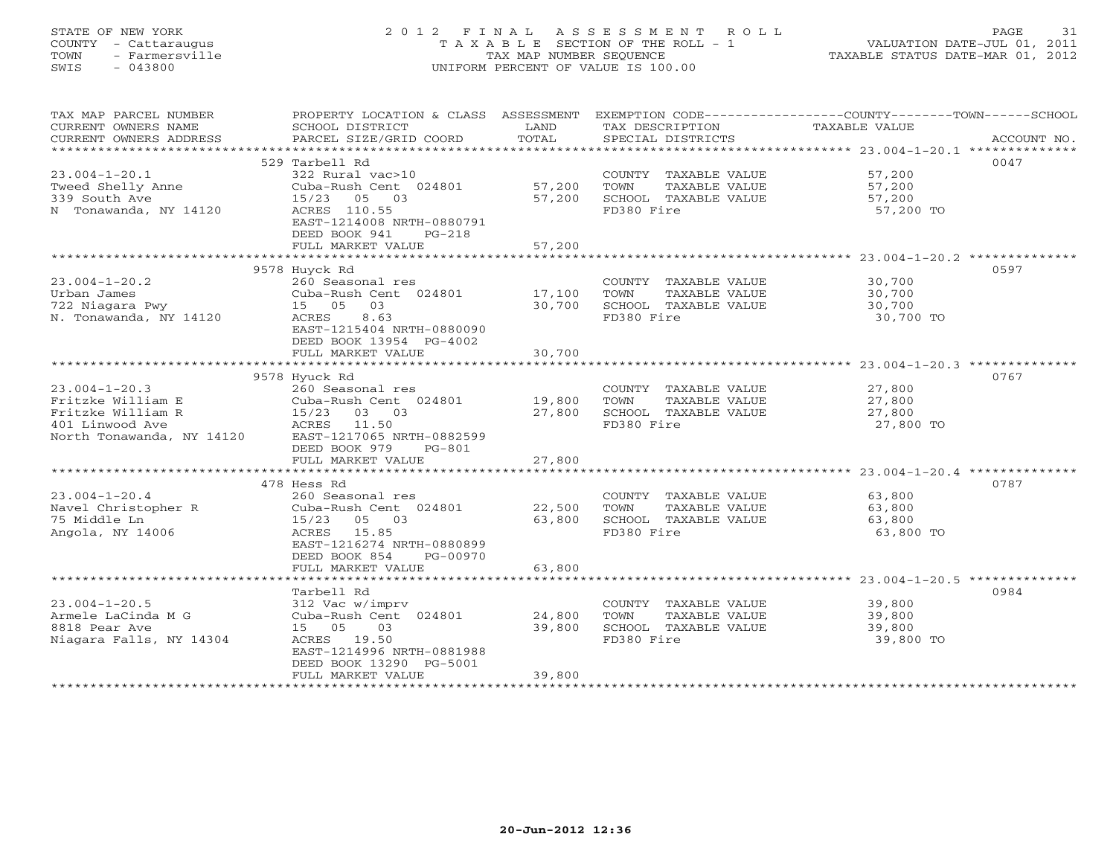# STATE OF NEW YORK 2 0 1 2 F I N A L A S S E S S M E N T R O L L PAGE 31 COUNTY - Cattaraugus T A X A B L E SECTION OF THE ROLL - 1 VALUATION DATE-JUL 01, 2011 TOWN - Farmersville TAX MAP NUMBER SEQUENCE TAXABLE STATUS DATE-MAR 01, 2012 SWIS - 043800 UNIFORM PERCENT OF VALUE IS 100.00UNIFORM PERCENT OF VALUE IS 100.00

| TAX MAP PARCEL NUMBER                         | PROPERTY LOCATION & CLASS ASSESSMENT      |                  |                                               | EXEMPTION CODE-----------------COUNTY-------TOWN------SCHOOL |
|-----------------------------------------------|-------------------------------------------|------------------|-----------------------------------------------|--------------------------------------------------------------|
| CURRENT OWNERS NAME<br>CURRENT OWNERS ADDRESS | SCHOOL DISTRICT<br>PARCEL SIZE/GRID COORD | LAND<br>TOTAL    | TAX DESCRIPTION<br>SPECIAL DISTRICTS          | TAXABLE VALUE<br>ACCOUNT NO.                                 |
| ***********************                       |                                           |                  |                                               |                                                              |
|                                               | 529 Tarbell Rd                            |                  |                                               | 0047                                                         |
| $23.004 - 1 - 20.1$                           | 322 Rural vac>10                          |                  | COUNTY TAXABLE VALUE                          | 57,200                                                       |
| Tweed Shelly Anne                             | Cuba-Rush Cent 024801                     | 57,200           | TOWN<br>TAXABLE VALUE                         | 57,200                                                       |
| 339 South Ave                                 | 05 03<br>15/23                            | 57,200           | SCHOOL TAXABLE VALUE                          | 57,200                                                       |
| N Tonawanda, NY 14120                         | ACRES 110.55                              |                  | FD380 Fire                                    | 57,200 TO                                                    |
|                                               | EAST-1214008 NRTH-0880791                 |                  |                                               |                                                              |
|                                               | DEED BOOK 941<br>$PG-218$                 |                  |                                               |                                                              |
|                                               | FULL MARKET VALUE                         | 57,200           |                                               |                                                              |
|                                               |                                           |                  |                                               |                                                              |
|                                               | 9578 Huyck Rd                             |                  |                                               | 0597                                                         |
| $23.004 - 1 - 20.2$                           | 260 Seasonal res                          |                  | COUNTY TAXABLE VALUE<br>TOWN                  | 30,700                                                       |
| Urban James                                   | Cuba-Rush Cent 024801<br>15 05<br>03      | 17,100           | TAXABLE VALUE                                 | 30,700                                                       |
| 722 Niagara Pwy<br>N. Tonawanda, NY 14120     | ACRES<br>8.63                             | 30,700           | SCHOOL TAXABLE VALUE<br>FD380 Fire            | 30,700<br>30,700 TO                                          |
|                                               | EAST-1215404 NRTH-0880090                 |                  |                                               |                                                              |
|                                               | DEED BOOK 13954 PG-4002                   |                  |                                               |                                                              |
|                                               | FULL MARKET VALUE                         | 30,700           |                                               |                                                              |
|                                               |                                           |                  |                                               |                                                              |
|                                               | 9578 Hyuck Rd                             |                  |                                               | 0767                                                         |
| $23.004 - 1 - 20.3$                           | 260 Seasonal res                          |                  | COUNTY TAXABLE VALUE                          | 27,800                                                       |
| Fritzke William E                             | Cuba-Rush Cent 024801                     | 19,800           | TAXABLE VALUE<br>TOWN                         | 27,800                                                       |
| Fritzke William R                             | 03 03<br>15/23                            | 27,800           | SCHOOL TAXABLE VALUE                          | 27,800                                                       |
| 401 Linwood Ave                               | ACRES<br>11.50                            |                  | FD380 Fire                                    | 27,800 TO                                                    |
| North Tonawanda, NY 14120                     | EAST-1217065 NRTH-0882599                 |                  |                                               |                                                              |
|                                               | DEED BOOK 979<br>$PG-801$                 |                  |                                               |                                                              |
|                                               | FULL MARKET VALUE                         | 27,800           |                                               |                                                              |
|                                               |                                           |                  |                                               |                                                              |
|                                               | 478 Hess Rd                               |                  |                                               | 0787                                                         |
| $23.004 - 1 - 20.4$                           | 260 Seasonal res                          |                  | COUNTY TAXABLE VALUE                          | 63,800                                                       |
| Navel Christopher R<br>75 Middle Ln           | Cuba-Rush Cent 024801<br>15/23 05 03      | 22,500<br>63,800 | TOWN<br>TAXABLE VALUE<br>SCHOOL TAXABLE VALUE | 63,800<br>63,800                                             |
| Angola, NY 14006                              | 15.85<br>ACRES                            |                  | FD380 Fire                                    | 63,800 TO                                                    |
|                                               | EAST-1216274 NRTH-0880899                 |                  |                                               |                                                              |
|                                               | DEED BOOK 854<br>PG-00970                 |                  |                                               |                                                              |
|                                               | FULL MARKET VALUE                         | 63,800           |                                               |                                                              |
|                                               |                                           |                  |                                               |                                                              |
|                                               | Tarbell Rd                                |                  |                                               | 0984                                                         |
| $23.004 - 1 - 20.5$                           | 312 Vac w/imprv                           |                  | COUNTY TAXABLE VALUE                          | 39,800                                                       |
| Armele LaCinda M G                            | Cuba-Rush Cent 024801                     | 24,800           | TOWN<br>TAXABLE VALUE                         | 39,800                                                       |
| 8818 Pear Ave                                 | 15 05<br>03                               | 39,800           | SCHOOL TAXABLE VALUE                          | 39,800                                                       |
| Niagara Falls, NY 14304                       | ACRES 19.50                               |                  | FD380 Fire                                    | 39,800 TO                                                    |
|                                               | EAST-1214996 NRTH-0881988                 |                  |                                               |                                                              |
|                                               | DEED BOOK 13290 PG-5001                   |                  |                                               |                                                              |
|                                               | FULL MARKET VALUE                         | 39,800           |                                               |                                                              |
|                                               |                                           |                  |                                               |                                                              |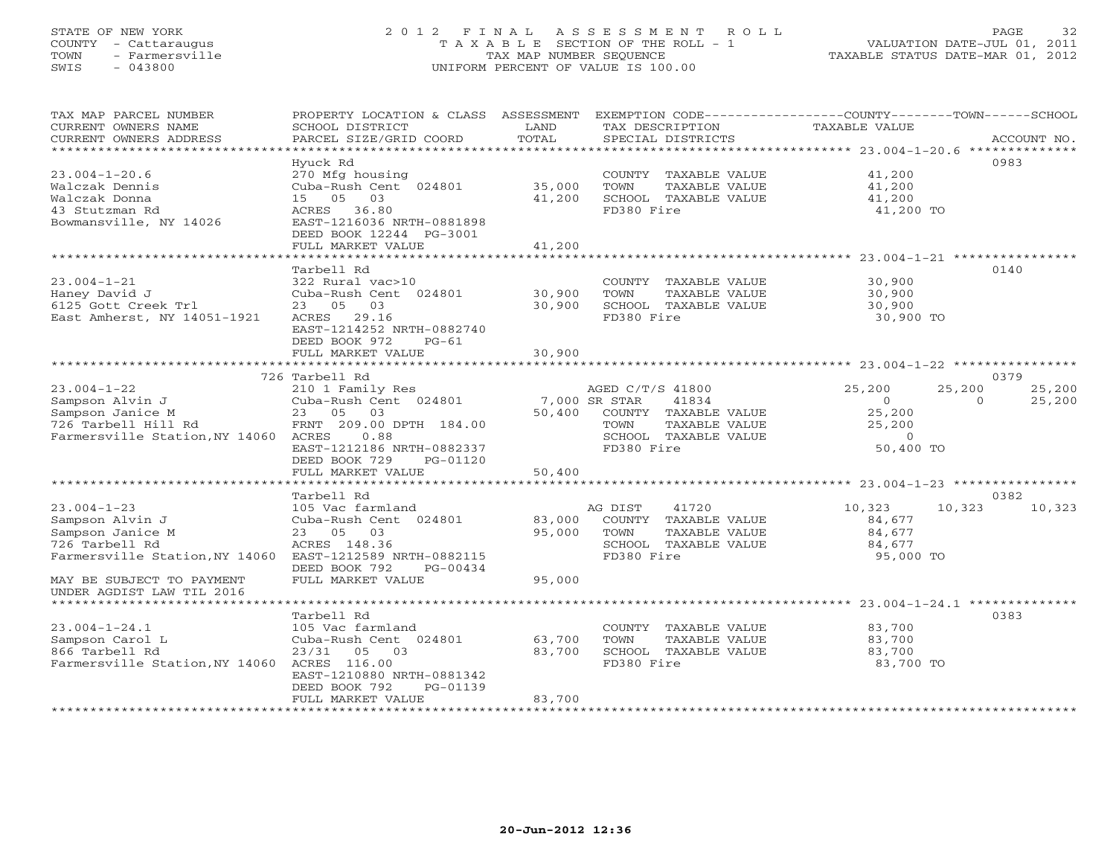## STATE OF NEW YORK 2 0 1 2 F I N A L A S S E S S M E N T R O L L PAGE 32 COUNTY - Cattaraugus T A X A B L E SECTION OF THE ROLL - 1 VALUATION DATE-JUL 01, 2011 TOWN - Farmersville TAX MAP NUMBER SEQUENCE TAXABLE STATUS DATE-MAR 01, 2012 SWIS - 043800 UNIFORM PERCENT OF VALUE IS 100.00UNIFORM PERCENT OF VALUE IS 100.00

| TAX MAP PARCEL NUMBER<br>CURRENT OWNERS NAME<br>CURRENT OWNERS ADDRESS<br>***********************                       | PROPERTY LOCATION & CLASS ASSESSMENT<br>SCHOOL DISTRICT<br>PARCEL SIZE/GRID COORD                                                                                        | LAND<br>TOTAL              | EXEMPTION CODE-----------------COUNTY-------TOWN------SCHOOL<br>TAX DESCRIPTION<br>SPECIAL DISTRICTS                              | TAXABLE VALUE                                                 |                    | ACCOUNT NO.      |
|-------------------------------------------------------------------------------------------------------------------------|--------------------------------------------------------------------------------------------------------------------------------------------------------------------------|----------------------------|-----------------------------------------------------------------------------------------------------------------------------------|---------------------------------------------------------------|--------------------|------------------|
| $23.004 - 1 - 20.6$<br>Walczak Dennis<br>Walczak Donna<br>43 Stutzman Rd<br>Bowmansville, NY 14026                      | Hyuck Rd<br>270 Mfg housing<br>Cuba-Rush Cent 024801<br>05 03<br>15<br>ACRES 36.80<br>EAST-1216036 NRTH-0881898<br>DEED BOOK 12244 PG-3001<br>FULL MARKET VALUE          | 35,000<br>41,200<br>41,200 | COUNTY TAXABLE VALUE<br>TOWN<br>TAXABLE VALUE<br>SCHOOL TAXABLE VALUE<br>FD380 Fire                                               | 41,200<br>41,200<br>41,200<br>41,200 TO                       |                    | 0983             |
|                                                                                                                         | ***********************                                                                                                                                                  |                            |                                                                                                                                   |                                                               |                    |                  |
| $23.004 - 1 - 21$<br>Haney David J<br>6125 Gott Creek Trl<br>East Amherst, NY 14051-1921                                | Tarbell Rd<br>322 Rural vac>10<br>Cuba-Rush Cent 024801<br>23 05 03<br>ACRES<br>29.16<br>EAST-1214252 NRTH-0882740<br>DEED BOOK 972<br>$PG-61$<br>FULL MARKET VALUE      | 30,900<br>30,900<br>30,900 | COUNTY TAXABLE VALUE<br>TAXABLE VALUE<br>TOWN<br>SCHOOL TAXABLE VALUE<br>FD380 Fire                                               | 30,900<br>30,900<br>30,900<br>30,900 TO                       |                    | 0140             |
|                                                                                                                         | *************************                                                                                                                                                |                            |                                                                                                                                   |                                                               |                    |                  |
|                                                                                                                         | 726 Tarbell Rd                                                                                                                                                           |                            |                                                                                                                                   |                                                               |                    | 0379             |
| $23.004 - 1 - 22$<br>Sampson Alvin J<br>Sampson Janice M<br>726 Tarbell Hill Rd<br>Farmersville Station, NY 14060 ACRES | 210 1 Family Res<br>Cuba-Rush Cent 024801<br>23 05 03<br>FRNT 209.00 DPTH 184.00<br>0.88<br>EAST-1212186 NRTH-0882337<br>DEED BOOK 729<br>PG-01120<br>FULL MARKET VALUE  | 50,400<br>50,400           | AGED C/T/S 41800<br>41834<br>7,000 SR STAR<br>COUNTY TAXABLE VALUE<br>TAXABLE VALUE<br>TOWN<br>SCHOOL TAXABLE VALUE<br>FD380 Fire | 25,200<br>$\circ$<br>25,200<br>25,200<br>$\circ$<br>50,400 TO | 25,200<br>$\Omega$ | 25,200<br>25,200 |
|                                                                                                                         |                                                                                                                                                                          |                            |                                                                                                                                   |                                                               |                    |                  |
| $23.004 - 1 - 23$<br>Sampson Alvin J<br>Sampson Janice M<br>726 Tarbell Rd<br>Farmersville Station, NY 14060            | Tarbell Rd<br>105 Vac farmland<br>Cuba-Rush Cent 024801<br>23 05 03<br>ACRES 148.36<br>EAST-1212589 NRTH-0882115<br>DEED BOOK 792<br>PG-00434                            | 83,000<br>95,000           | 41720<br>AG DIST<br>COUNTY TAXABLE VALUE<br>TOWN<br>TAXABLE VALUE<br>SCHOOL TAXABLE VALUE<br>FD380 Fire                           | 10,323<br>84,677<br>84,677<br>84,677<br>95,000 TO             | 10,323             | 0382<br>10,323   |
| MAY BE SUBJECT TO PAYMENT<br>UNDER AGDIST LAW TIL 2016<br>*************************                                     | FULL MARKET VALUE                                                                                                                                                        | 95,000                     |                                                                                                                                   | ***************** 23.004-1-24.1 **************                |                    |                  |
| $23.004 - 1 - 24.1$<br>Sampson Carol L<br>866 Tarbell Rd<br>Farmersville Station, NY 14060                              | Tarbell Rd<br>105 Vac farmland<br>Cuba-Rush Cent 024801<br>23/31<br>05 03<br>ACRES 116.00<br>EAST-1210880 NRTH-0881342<br>DEED BOOK 792<br>PG-01139<br>FULL MARKET VALUE | 63,700<br>83,700<br>83,700 | COUNTY TAXABLE VALUE<br>TOWN<br>TAXABLE VALUE<br>SCHOOL TAXABLE VALUE<br>FD380 Fire                                               | 83,700<br>83,700<br>83,700<br>83,700 TO                       |                    | 0383             |
|                                                                                                                         |                                                                                                                                                                          |                            |                                                                                                                                   |                                                               |                    |                  |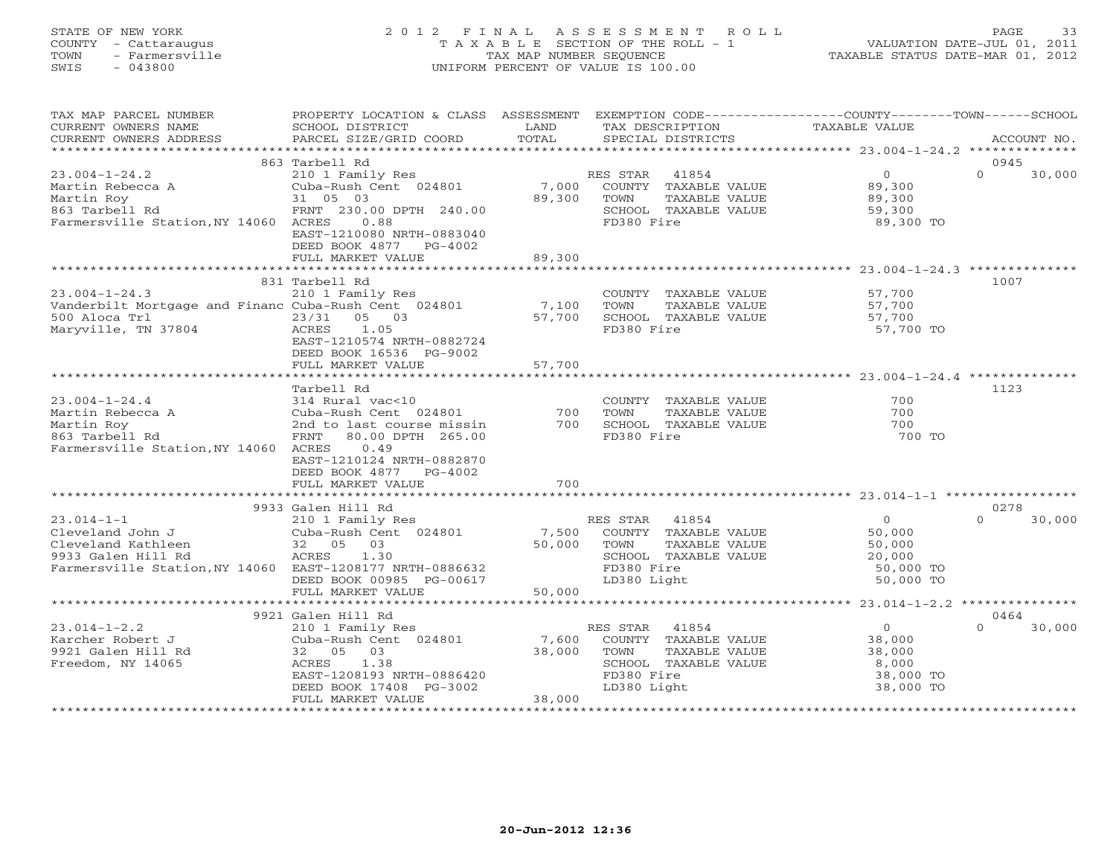# STATE OF NEW YORK 2 0 1 2 F I N A L A S S E S S M E N T R O L L PAGE 33 COUNTY - Cattaraugus T A X A B L E SECTION OF THE ROLL - 1 VALUATION DATE-JUL 01, 2011 TOWN - Farmersville TAX MAP NUMBER SEQUENCE TAXABLE STATUS DATE-MAR 01, 2012 SWIS - 043800 UNIFORM PERCENT OF VALUE IS 100.00UNIFORM PERCENT OF VALUE IS 100.00

| TAX MAP PARCEL NUMBER<br>CURRENT OWNERS NAME<br>CURRENT OWNERS ADDRESS                                                                       | PROPERTY LOCATION & CLASS ASSESSMENT<br>SCHOOL DISTRICT<br>PARCEL SIZE/GRID COORD                                                                                                   | LAND<br>TOTAL             | TAX DESCRIPTION<br>SPECIAL DISTRICTS                                                                                    | EXEMPTION CODE-----------------COUNTY-------TOWN------SCHOOL<br>TAXABLE VALUE | ACCOUNT NO.                |
|----------------------------------------------------------------------------------------------------------------------------------------------|-------------------------------------------------------------------------------------------------------------------------------------------------------------------------------------|---------------------------|-------------------------------------------------------------------------------------------------------------------------|-------------------------------------------------------------------------------|----------------------------|
| **********************                                                                                                                       |                                                                                                                                                                                     |                           |                                                                                                                         |                                                                               |                            |
|                                                                                                                                              | 863 Tarbell Rd                                                                                                                                                                      |                           |                                                                                                                         |                                                                               | 0945                       |
| $23.004 - 1 - 24.2$<br>Martin Rebecca A<br>Martin Roy<br>863 Tarbell Rd<br>Farmersville Station, NY 14060 ACRES                              | 210 1 Family Res<br>Cuba-Rush Cent 024801<br>31 05 03<br>FRNT 230.00 DPTH 240.00<br>0.88<br>EAST-1210080 NRTH-0883040<br>DEED BOOK 4877<br>PG-4002<br>FULL MARKET VALUE             | 7,000<br>89,300<br>89,300 | RES STAR<br>41854<br>COUNTY TAXABLE VALUE<br>TAXABLE VALUE<br>TOWN<br>SCHOOL TAXABLE VALUE<br>FD380 Fire                | $\overline{O}$<br>89,300<br>89,300<br>59,300<br>89,300 TO                     | $\Omega$<br>30,000         |
|                                                                                                                                              |                                                                                                                                                                                     |                           |                                                                                                                         |                                                                               |                            |
| $23.004 - 1 - 24.3$<br>Vanderbilt Mortgage and Financ Cuba-Rush Cent 024801<br>500 Aloca Trl<br>Maryville, TN 37804                          | 831 Tarbell Rd<br>210 1 Family Res<br>23/31<br>05 03<br>1.05<br>ACRES<br>EAST-1210574 NRTH-0882724<br>DEED BOOK 16536 PG-9002                                                       | 7,100<br>57,700           | COUNTY TAXABLE VALUE<br>TAXABLE VALUE<br>TOWN<br>SCHOOL TAXABLE VALUE<br>FD380 Fire                                     | 57,700<br>57,700<br>57,700<br>57,700 TO                                       | 1007                       |
|                                                                                                                                              | FULL MARKET VALUE                                                                                                                                                                   | 57,700                    |                                                                                                                         |                                                                               |                            |
|                                                                                                                                              |                                                                                                                                                                                     |                           |                                                                                                                         |                                                                               |                            |
| $23.004 - 1 - 24.4$<br>Martin Rebecca A<br>Martin Roy<br>863 Tarbell Rd<br>Farmersville Station, NY 14060 ACRES                              | Tarbell Rd<br>314 Rural vac<10<br>Cuba-Rush Cent 024801<br>2nd to last course missin<br>80.00 DPTH 265.00<br>FRNT<br>0.49<br>EAST-1210124 NRTH-0882870<br>DEED BOOK 4877<br>PG-4002 | 700<br>700                | COUNTY TAXABLE VALUE<br>TOWN<br>TAXABLE VALUE<br>SCHOOL TAXABLE VALUE<br>FD380 Fire                                     | 700<br>700<br>700<br>700 TO                                                   | 1123                       |
|                                                                                                                                              | FULL MARKET VALUE                                                                                                                                                                   | 700                       |                                                                                                                         |                                                                               |                            |
|                                                                                                                                              |                                                                                                                                                                                     |                           |                                                                                                                         |                                                                               |                            |
| $23.014 - 1 - 1$<br>Cleveland John J<br>Cleveland Kathleen<br>9933 Galen Hill Rd<br>Farmersville Station, NY 14060 EAST-1208177 NRTH-0886632 | 9933 Galen Hill Rd<br>210 1 Family Res<br>Cuba-Rush Cent 024801<br>32 05 03<br>ACRES<br>1.30<br>DEED BOOK 00985 PG-00617<br>FULL MARKET VALUE                                       | 7,500<br>50,000<br>50,000 | RES STAR<br>41854<br>COUNTY TAXABLE VALUE<br>TOWN<br>TAXABLE VALUE<br>SCHOOL TAXABLE VALUE<br>FD380 Fire<br>LD380 Light | $\circ$<br>50,000<br>50,000<br>20,000<br>50,000 TO<br>50,000 TO               | 0278<br>$\Omega$<br>30,000 |
|                                                                                                                                              | **************************                                                                                                                                                          | *********************     |                                                                                                                         | ******************** 23.014-1-2.2 ***************                             |                            |
| $23.014 - 1 - 2.2$<br>Karcher Robert J<br>9921 Galen Hill Rd<br>Freedom, NY 14065                                                            | 9921 Galen Hill Rd<br>210 1 Family Res<br>Cuba-Rush Cent 024801<br>32 05 03<br>ACRES<br>1.38<br>EAST-1208193 NRTH-0886420<br>DEED BOOK 17408 PG-3002<br>FULL MARKET VALUE           | 7,600<br>38,000<br>38,000 | RES STAR<br>41854<br>COUNTY TAXABLE VALUE<br>TOWN<br>TAXABLE VALUE<br>SCHOOL TAXABLE VALUE<br>FD380 Fire<br>LD380 Light | $\overline{0}$<br>38,000<br>38,000<br>8,000<br>38,000 TO<br>38,000 TO         | 0464<br>$\Omega$<br>30,000 |
|                                                                                                                                              |                                                                                                                                                                                     |                           |                                                                                                                         |                                                                               |                            |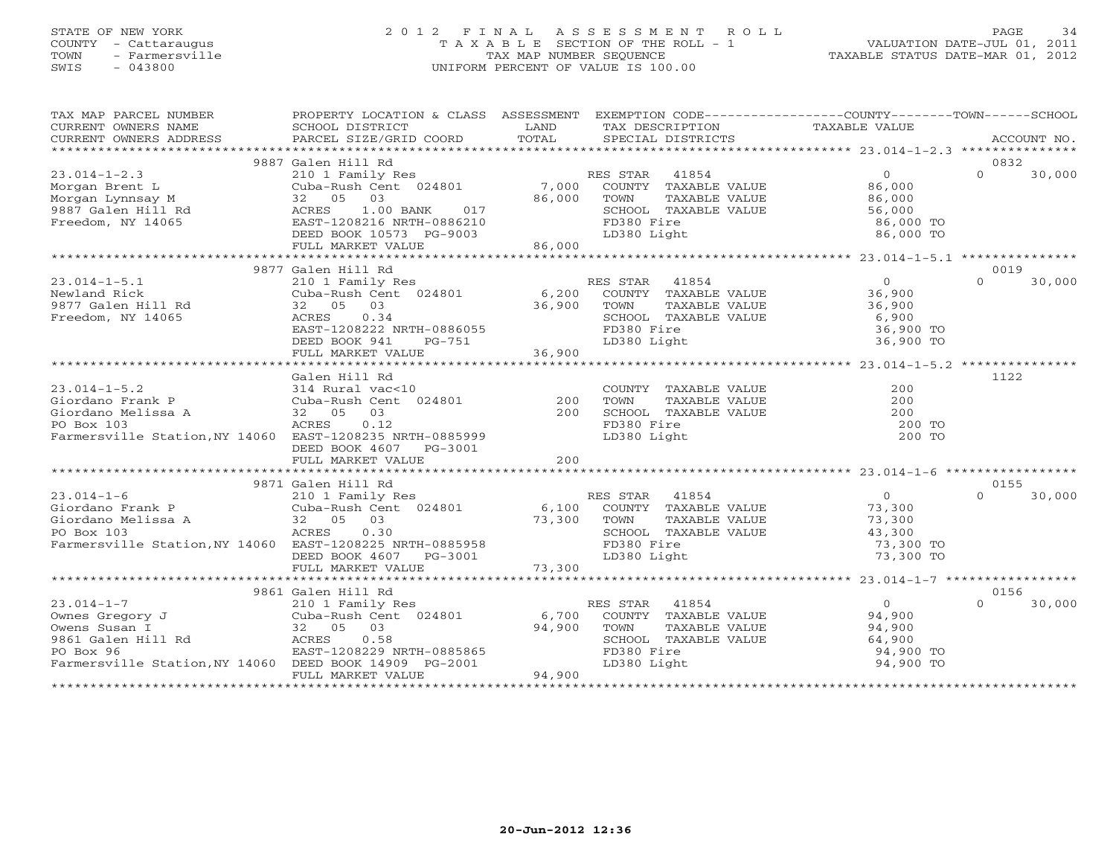# STATE OF NEW YORK 2 0 1 2 F I N A L A S S E S S M E N T R O L L PAGE 34 COUNTY - Cattaraugus T A X A B L E SECTION OF THE ROLL - 1 VALUATION DATE-JUL 01, 2011 TOWN - Farmersville TAX MAP NUMBER SEQUENCE TAXABLE STATUS DATE-MAR 01, 2012 SWIS - 043800 UNIFORM PERCENT OF VALUE IS 100.00UNIFORM PERCENT OF VALUE IS 100.00

| TAX MAP PARCEL NUMBER                                                                                                                                                                                                                     | PROPERTY LOCATION & CLASS ASSESSMENT EXEMPTION CODE---------------COUNTY-------TOWN------SCHOOL |                   |                                                   |               |                                                                                                                                         |          |             |
|-------------------------------------------------------------------------------------------------------------------------------------------------------------------------------------------------------------------------------------------|-------------------------------------------------------------------------------------------------|-------------------|---------------------------------------------------|---------------|-----------------------------------------------------------------------------------------------------------------------------------------|----------|-------------|
| CURRENT OWNERS NAME                                                                                                                                                                                                                       | SCHOOL DISTRICT                                                                                 | LAND              | TAX DESCRIPTION                                   |               | TAXABLE VALUE                                                                                                                           |          |             |
| CURRENT OWNERS ADDRESS                                                                                                                                                                                                                    | PARCEL SIZE/GRID COORD                                                                          | TOTAL             | SPECIAL DISTRICTS                                 |               |                                                                                                                                         |          | ACCOUNT NO. |
|                                                                                                                                                                                                                                           | 9887 Galen Hill Rd                                                                              |                   |                                                   |               |                                                                                                                                         |          | 0832        |
| $23.014 - 1 - 2.3$                                                                                                                                                                                                                        |                                                                                                 |                   |                                                   |               |                                                                                                                                         | $\Omega$ | 30,000      |
|                                                                                                                                                                                                                                           | 210 1 Family Res<br>210 1 Family Res<br>Cuba-Rush Cent 024801 7,000 COUNTY TAXABLE VALUE 86,000 |                   |                                                   |               |                                                                                                                                         |          |             |
|                                                                                                                                                                                                                                           |                                                                                                 | 86,000            | TOWN                                              | TAXABLE VALUE | 86,000                                                                                                                                  |          |             |
|                                                                                                                                                                                                                                           |                                                                                                 |                   | SCHOOL TAXABLE VALUE                              |               | 56,000                                                                                                                                  |          |             |
|                                                                                                                                                                                                                                           |                                                                                                 |                   | FD380 Fire                                        |               | 86,000 TO                                                                                                                               |          |             |
|                                                                                                                                                                                                                                           |                                                                                                 |                   | LD380 Light                                       |               | 86,000 TO                                                                                                                               |          |             |
|                                                                                                                                                                                                                                           |                                                                                                 | 86,000            |                                                   |               |                                                                                                                                         |          |             |
| Norgan Brent L<br>Morgan Lynnsay M<br>9887 Galen Hill Rd<br>Freedom, NY 14065<br>Freedom, NY 14065<br>FULL MARKET VALUE<br>FULL MARKET VALUE                                                                                              |                                                                                                 |                   |                                                   |               |                                                                                                                                         |          |             |
|                                                                                                                                                                                                                                           | 9877 Galen Hill Rd                                                                              |                   |                                                   |               |                                                                                                                                         |          | 0019        |
| $23.014 - 1 - 5.1$                                                                                                                                                                                                                        | 210 1 Family Res                                                                                |                   | RES STAR 41854                                    |               | $\begin{tabular}{cc} \texttt{VALUE} & \texttt{0} \\ \texttt{VALUE} & \texttt{36,900} \\ \texttt{VALUE} & \texttt{36,900} \end{tabular}$ | $\Omega$ | 30,000      |
| Newland Rick                                                                                                                                                                                                                              |                                                                                                 |                   |                                                   |               |                                                                                                                                         |          |             |
| 1201110 NICK<br>9877 Galen Hill Rd                                                                                                                                                                                                        | -<br>Cuba-Rush Cent 024801 6,200 COUNTY TAXABLE VALUE<br>32 05 03 36,900 TOWN TAXABLE VALUE     | 36,900            |                                                   |               |                                                                                                                                         |          |             |
| Freedom, NY 14065                                                                                                                                                                                                                         | ACRES<br>0.34                                                                                   |                   | SCHOOL TAXABLE VALUE                              |               |                                                                                                                                         |          |             |
|                                                                                                                                                                                                                                           | EAST-1208222 NRTH-0886055                                                                       |                   | FD380 Fire                                        |               | 6,900<br>36,900 TO                                                                                                                      |          |             |
|                                                                                                                                                                                                                                           | DEED BOOK 941<br>PG-751                                                                         |                   | LD380 Light                                       |               | 36,900 TO                                                                                                                               |          |             |
|                                                                                                                                                                                                                                           | FULL MARKET VALUE                                                                               | 36,900            |                                                   |               |                                                                                                                                         |          |             |
|                                                                                                                                                                                                                                           |                                                                                                 |                   |                                                   |               |                                                                                                                                         |          |             |
|                                                                                                                                                                                                                                           | Galen Hill Rd                                                                                   |                   |                                                   |               |                                                                                                                                         |          | 1122        |
| $23.014 - 1 - 5.2$                                                                                                                                                                                                                        | 314 Rural vac<10<br>Cuba-Rush Cent 024801<br>32 05 03                                           | $\frac{200}{200}$ | COUNTY TAXABLE VALUE                              |               | 200                                                                                                                                     |          |             |
| Giordano Frank P                                                                                                                                                                                                                          |                                                                                                 |                   | TOWN                                              | TAXABLE VALUE | 200                                                                                                                                     |          |             |
| Giordano Melissa A<br>PO Box 103                                                                                                                                                                                                          |                                                                                                 |                   | SCHOOL TAXABLE VALUE                              |               | $200$                                                                                                                                   |          |             |
| PO Box 103                                                                                                                                                                                                                                | ACRES<br>0.12                                                                                   |                   | FD380 Fire                                        |               | 200 TO                                                                                                                                  |          |             |
| Farmersville Station, NY 14060 EAST-1208235 NRTH-0885999                                                                                                                                                                                  |                                                                                                 |                   | LD380 Light                                       |               | 200 TO                                                                                                                                  |          |             |
|                                                                                                                                                                                                                                           | DEED BOOK 4607 PG-3001                                                                          |                   |                                                   |               |                                                                                                                                         |          |             |
|                                                                                                                                                                                                                                           | FULL MARKET VALUE                                                                               | 200               |                                                   |               |                                                                                                                                         |          |             |
|                                                                                                                                                                                                                                           |                                                                                                 |                   |                                                   |               |                                                                                                                                         |          |             |
|                                                                                                                                                                                                                                           | 9871 Galen Hill Rd                                                                              |                   |                                                   |               |                                                                                                                                         |          | 0155        |
|                                                                                                                                                                                                                                           |                                                                                                 |                   | RES STAR<br>ES STAR 41854<br>COUNTY TAXABLE VALUE |               | $\overline{O}$                                                                                                                          | $\cap$   | 30,000      |
|                                                                                                                                                                                                                                           |                                                                                                 |                   |                                                   |               | 73,300                                                                                                                                  |          |             |
| Giordano Melissa A anno 2020 - 2020 - 2020 - 2030 - 2030 - 2030 - 2030 - 2030 - 2030 - 2030 - 2030 - 2030 - 20<br>PO Box 103                                                                                                              |                                                                                                 | 73,300            | TOWN                                              | TAXABLE VALUE | 73,300                                                                                                                                  |          |             |
| PO Box 103                                                                                                                                                                                                                                | ACRES<br>0.30                                                                                   |                   | SCHOOL TAXABLE VALUE                              |               | 43,300                                                                                                                                  |          |             |
| Farmersville Station, NY 14060 EAST-1208225 NRTH-0885958                                                                                                                                                                                  |                                                                                                 |                   | FD380 Fire                                        |               | 73,300 TO                                                                                                                               |          |             |
|                                                                                                                                                                                                                                           | DEED BOOK 4607 PG-3001                                                                          |                   | LD380 Light                                       |               | 73,300 TO                                                                                                                               |          |             |
|                                                                                                                                                                                                                                           | FULL MARKET VALUE                                                                               | 73,300            |                                                   |               |                                                                                                                                         |          |             |
|                                                                                                                                                                                                                                           |                                                                                                 |                   |                                                   |               |                                                                                                                                         |          |             |
|                                                                                                                                                                                                                                           | 9861 Galen Hill Rd                                                                              |                   |                                                   |               |                                                                                                                                         | $\cap$   | 0156        |
| CONTROLL IN THE SERVICE OF SUBARUST OWN ARE SUBARUSH OWNER SUBARUSH ON SUBARUSH ON THE SUBARUSH ON THE SUBARUS<br>19861 Galen Hill Rd<br>19861 Galen Hill Rd<br>19861 Galen Hill Rd<br>19861 Galen Hill Rd<br>19861 Galen Hill Rd<br>1986 |                                                                                                 |                   | RES STAR 41854                                    |               | $\overline{O}$<br>COUNTY TAXABLE VALUE 94,900                                                                                           |          | 30,000      |
|                                                                                                                                                                                                                                           |                                                                                                 | 6,700             |                                                   |               |                                                                                                                                         |          |             |
|                                                                                                                                                                                                                                           |                                                                                                 | 94,900            | TOWN                                              | TAXABLE VALUE | 94,900<br>64,900                                                                                                                        |          |             |
|                                                                                                                                                                                                                                           | EAST-1208229 NRTH-0885865                                                                       |                   |                                                   |               | 94,900 TO                                                                                                                               |          |             |
| Farmersville Station, NY 14060 DEED BOOK 14909 PG-2001                                                                                                                                                                                    |                                                                                                 |                   | SCHOOL TAXABLE VALUE<br>FD380 Fire<br>LD380 Light |               | 94,900 TO                                                                                                                               |          |             |
|                                                                                                                                                                                                                                           | FULL MARKET VALUE                                                                               | 94,900            |                                                   |               |                                                                                                                                         |          |             |
|                                                                                                                                                                                                                                           |                                                                                                 |                   |                                                   |               |                                                                                                                                         |          |             |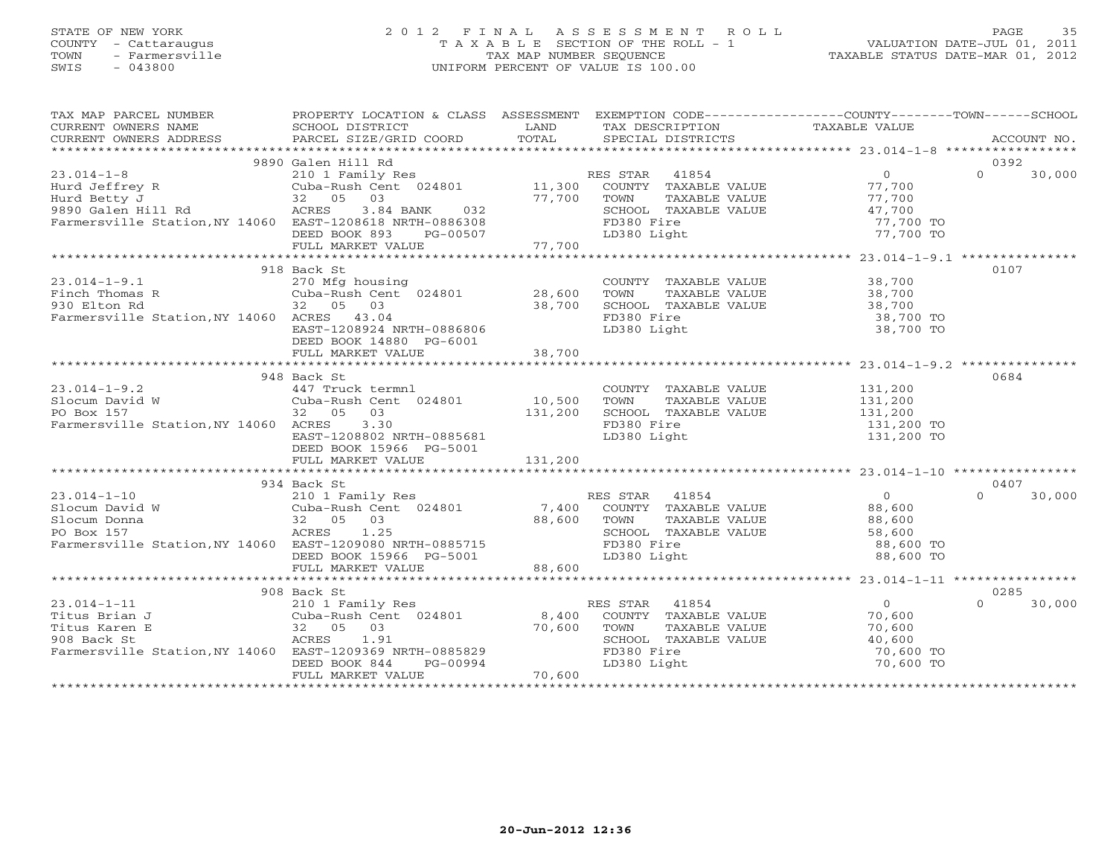# STATE OF NEW YORK 2 0 1 2 F I N A L A S S E S S M E N T R O L L PAGE 35 COUNTY - Cattaraugus T A X A B L E SECTION OF THE ROLL - 1 VALUATION DATE-JUL 01, 2011 TOWN - Farmersville TAX MAP NUMBER SEQUENCE TAXABLE STATUS DATE-MAR 01, 2012 SWIS - 043800 UNIFORM PERCENT OF VALUE IS 100.00UNIFORM PERCENT OF VALUE IS 100.00

| TAX MAP PARCEL NUMBER                                                                                                                                                                   | PROPERTY LOCATION & CLASS ASSESSMENT EXEMPTION CODE----------------COUNTY-------TOWN------SCHOOL |         |                                                                                                               |                |                    |
|-----------------------------------------------------------------------------------------------------------------------------------------------------------------------------------------|--------------------------------------------------------------------------------------------------|---------|---------------------------------------------------------------------------------------------------------------|----------------|--------------------|
|                                                                                                                                                                                         |                                                                                                  |         | LAND TAX DESCRIPTION TAXABLE VALUE COORD TOTAL SPECIAL DISTRICTS                                              |                |                    |
| CURRENT OWNERS ADDRESS                                                                                                                                                                  |                                                                                                  |         |                                                                                                               |                |                    |
|                                                                                                                                                                                         |                                                                                                  |         |                                                                                                               |                |                    |
|                                                                                                                                                                                         | 9890 Galen Hill Rd                                                                               |         |                                                                                                               |                | 0392               |
| $23.014 - 1 - 8$                                                                                                                                                                        |                                                                                                  |         |                                                                                                               |                | $\Omega$<br>30,000 |
|                                                                                                                                                                                         |                                                                                                  |         |                                                                                                               |                |                    |
|                                                                                                                                                                                         |                                                                                                  |         |                                                                                                               |                |                    |
|                                                                                                                                                                                         |                                                                                                  |         |                                                                                                               | 47,700         |                    |
| Farmersville Station, NY 14060 EAST-1208618 NRTH-0886308                                                                                                                                |                                                                                                  |         | FD380 Fire                                                                                                    | 77,700 TO      |                    |
|                                                                                                                                                                                         |                                                                                                  |         |                                                                                                               |                |                    |
|                                                                                                                                                                                         |                                                                                                  |         |                                                                                                               |                |                    |
|                                                                                                                                                                                         |                                                                                                  |         |                                                                                                               |                |                    |
|                                                                                                                                                                                         | 918 Back St                                                                                      |         |                                                                                                               |                | 0107               |
| $23.014 - 1 - 9.1$                                                                                                                                                                      | 270 Mfg housing<br>Cuba-Rush Cent  024801             28,600                                     |         | COUNTY TAXABLE VALUE 38,700                                                                                   |                |                    |
| Finch Thomas R<br>930 Elton Rd<br>Farmous 11                                                                                                                                            |                                                                                                  |         |                                                                                                               |                |                    |
|                                                                                                                                                                                         | 32 05 03                                                                                         | 38,700  |                                                                                                               |                |                    |
| Farmersville Station, NY 14060 ACRES 43.04                                                                                                                                              |                                                                                                  |         | FD380 Fire                                                                                                    | $38,700$ TO    |                    |
|                                                                                                                                                                                         | EAST-1208924 NRTH-0886806                                                                        |         | LD380 Light                                                                                                   | 38,700 TO      |                    |
|                                                                                                                                                                                         | DEED BOOK 14880 PG-6001                                                                          |         |                                                                                                               |                |                    |
|                                                                                                                                                                                         | FULL MARKET VALUE                                                                                | 38,700  |                                                                                                               |                |                    |
|                                                                                                                                                                                         |                                                                                                  |         |                                                                                                               |                |                    |
|                                                                                                                                                                                         | 948 Back St                                                                                      |         |                                                                                                               |                | 0684               |
|                                                                                                                                                                                         |                                                                                                  |         |                                                                                                               |                |                    |
|                                                                                                                                                                                         |                                                                                                  |         |                                                                                                               |                |                    |
| PO Box 157                                                                                                                                                                              | 32 05 03                                                                                         | 131,200 | COUNTY TAXABLE VALUE $131,200$<br>TOWN TAXABLE VALUE $131,200$<br>SCHOOL TAXABLE VALUE $131,200$<br>$131,200$ |                |                    |
| Farmersville Station, NY 14060 ACRES 3.30                                                                                                                                               |                                                                                                  |         | FD380 Fire                                                                                                    | 131,200 TO     |                    |
|                                                                                                                                                                                         | EAST-1208802 NRTH-0885681                                                                        |         | LD380 Light                                                                                                   | 131,200 TO     |                    |
|                                                                                                                                                                                         | DEED BOOK 15966 PG-5001                                                                          |         |                                                                                                               |                |                    |
|                                                                                                                                                                                         |                                                                                                  |         |                                                                                                               |                |                    |
|                                                                                                                                                                                         |                                                                                                  |         |                                                                                                               |                |                    |
|                                                                                                                                                                                         |                                                                                                  |         |                                                                                                               |                | 0407               |
|                                                                                                                                                                                         |                                                                                                  |         |                                                                                                               |                | $\Omega$<br>30,000 |
|                                                                                                                                                                                         |                                                                                                  |         |                                                                                                               |                |                    |
|                                                                                                                                                                                         |                                                                                                  |         |                                                                                                               |                |                    |
|                                                                                                                                                                                         |                                                                                                  |         |                                                                                                               |                |                    |
|                                                                                                                                                                                         |                                                                                                  |         |                                                                                                               | 88,600 TO      |                    |
| Farmersville Station, NY 14060 EAST-1209080 NRTH-0885715<br>DEED BOOK 15966 PG-5001                                                                                                     |                                                                                                  |         | TOWN TAXABLE VALUE<br>SCHOOL TAXABLE VALUE<br>FD380 Fire<br>LD380 Light                                       | 88,600 TO      |                    |
|                                                                                                                                                                                         |                                                                                                  |         |                                                                                                               |                |                    |
|                                                                                                                                                                                         |                                                                                                  |         |                                                                                                               |                |                    |
|                                                                                                                                                                                         |                                                                                                  |         |                                                                                                               |                | 0285               |
| $23.014 - 1 - 11$                                                                                                                                                                       |                                                                                                  |         | RES STAR 41854                                                                                                | $\overline{0}$ | $\Omega$<br>30,000 |
| Titus Brian J                                                                                                                                                                           | 210 1 Family Res<br>Cuba-Rush Cent 024801 8,400<br>32 05 03<br>ACRES 203                         |         | COUNTY TAXABLE VALUE 70,600                                                                                   |                |                    |
|                                                                                                                                                                                         |                                                                                                  |         |                                                                                                               |                |                    |
|                                                                                                                                                                                         |                                                                                                  |         |                                                                                                               |                |                    |
|                                                                                                                                                                                         |                                                                                                  |         |                                                                                                               | 70,600 TO      |                    |
|                                                                                                                                                                                         |                                                                                                  |         | VU, 600<br>SCHOOL TAXABLE VALUE 70,600<br>FD380 Fire 70,600<br>LD380 Light 70,600<br>70,600<br>70,600         | 70,600 TO      |                    |
| Titus Karen E<br>Published and the CRES<br>22 05 03<br>908 Back St<br>Farmersville Station, NY 14060 EAST-1209369 NRTH-0885829<br>DEED BOOK 844 PG-00994<br>FULL MARKET VALUE<br>70,600 |                                                                                                  |         |                                                                                                               |                |                    |
|                                                                                                                                                                                         |                                                                                                  |         |                                                                                                               |                |                    |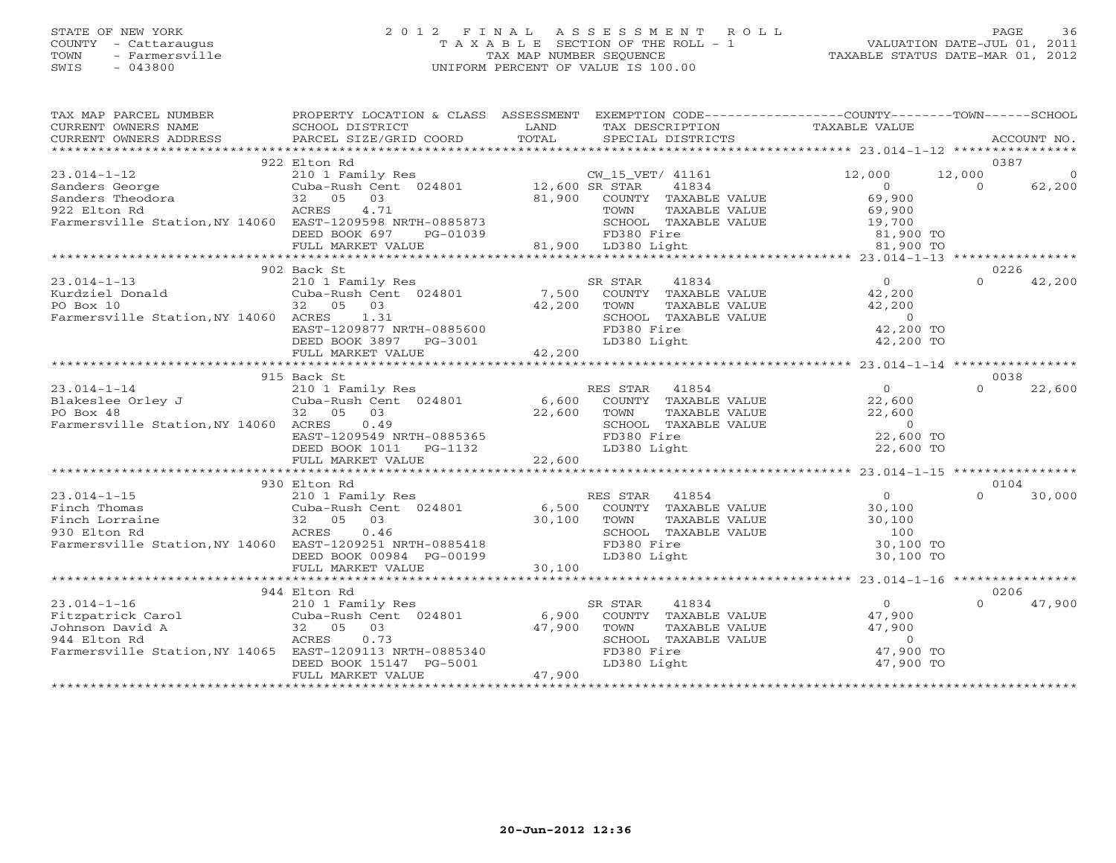# STATE OF NEW YORK 2 0 1 2 F I N A L A S S E S S M E N T R O L L PAGE 36 COUNTY - Cattaraugus T A X A B L E SECTION OF THE ROLL - 1 VALUATION DATE-JUL 01, 2011 TOWN - Farmersville TAX MAP NUMBER SEQUENCE TAXABLE STATUS DATE-MAR 01, 2012 SWIS - 043800 UNIFORM PERCENT OF VALUE IS 100.00UNIFORM PERCENT OF VALUE IS 100.00

| TAX MAP PARCEL NUMBER                                    | PROPERTY LOCATION & CLASS ASSESSMENT |        | EXEMPTION CODE-----------------COUNTY-------TOWN------SCHOOL |                                                        |          |             |
|----------------------------------------------------------|--------------------------------------|--------|--------------------------------------------------------------|--------------------------------------------------------|----------|-------------|
| CURRENT OWNERS NAME                                      | SCHOOL DISTRICT                      | LAND   | TAX DESCRIPTION                                              | TAXABLE VALUE                                          |          |             |
| CURRENT OWNERS ADDRESS                                   | PARCEL SIZE/GRID COORD               | TOTAL  | SPECIAL DISTRICTS                                            |                                                        |          | ACCOUNT NO. |
|                                                          |                                      |        |                                                              |                                                        |          |             |
|                                                          | 922 Elton Rd                         |        |                                                              |                                                        |          | 0387        |
| $23.014 - 1 - 12$                                        | 210 1 Family Res                     |        | CW_15_VET/ 41161                                             | 12,000                                                 | 12,000   |             |
| Sanders George                                           | Cuba-Rush Cent 024801 12,600 SR STAR |        | 41834                                                        | $\overline{0}$                                         | $\Omega$ | 62,200      |
| Sanders Theodora                                         | 32 05<br>03                          | 81,900 | COUNTY TAXABLE VALUE                                         | 69,900                                                 |          |             |
| 922 Elton Rd                                             | ACRES<br>4.71                        |        | TAXABLE VALUE<br>TOWN                                        | 69,900                                                 |          |             |
| Farmersville Station, NY 14060 EAST-1209598 NRTH-0885873 |                                      |        | SCHOOL TAXABLE VALUE                                         |                                                        |          |             |
|                                                          | DEED BOOK 697<br>PG-01039            |        | FD380 Fire<br>81,900 LD380 Light                             |                                                        |          |             |
|                                                          | FULL MARKET VALUE                    |        |                                                              | JUE<br>31,900 TO<br>81,900 TO<br>81,900 TO<br>114-1-13 |          |             |
|                                                          | ******************************       |        |                                                              |                                                        |          |             |
|                                                          | 902 Back St                          |        |                                                              |                                                        | 0226     |             |
| $23.014 - 1 - 13$                                        | 210 1 Family Res                     |        | SR STAR<br>41834                                             | $\Omega$                                               | $\Omega$ | 42,200      |
| Kurdziel Donald                                          | Cuba-Rush Cent 024801                |        | 7,500 COUNTY TAXABLE VALUE                                   | 42,200                                                 |          |             |
| PO Box 10                                                | 32 05<br>03                          | 42,200 | TOWN<br>TAXABLE VALUE                                        | 42,200                                                 |          |             |
| Farmersville Station, NY 14060 ACRES                     | 1.31                                 |        | SCHOOL TAXABLE VALUE                                         | $\overline{0}$                                         |          |             |
|                                                          | EAST-1209877 NRTH-0885600            |        | FD380 Fire                                                   | 42,200 TO                                              |          |             |
|                                                          | DEED BOOK 3897 PG-3001               |        | LD380 Light                                                  | 42,200 TO                                              |          |             |
|                                                          | FULL MARKET VALUE                    | 42,200 |                                                              |                                                        |          |             |
|                                                          |                                      |        |                                                              |                                                        |          |             |
|                                                          | 915 Back St                          |        |                                                              |                                                        | 0038     |             |
| $23.014 - 1 - 14$                                        | 210 1 Family Res                     |        | RES STAR<br>41854                                            | $\overline{0}$                                         | $\cap$   | 22,600      |
| Blakeslee Orley J                                        | Cuba-Rush Cent 024801                | 6,600  | COUNTY TAXABLE VALUE                                         | 22,600                                                 |          |             |
| PO Box 48                                                | 32 05 03                             | 22,600 | TAXABLE VALUE<br>TOWN                                        | 22,600                                                 |          |             |
| Farmersville Station, NY 14060 ACRES                     | 0.49                                 |        | SCHOOL TAXABLE VALUE                                         | $\overline{0}$                                         |          |             |
|                                                          | EAST-1209549 NRTH-0885365            |        | FD380 Fire                                                   | 22,600 TO                                              |          |             |
|                                                          | DEED BOOK 1011    PG-1132            |        | LD380 Light                                                  | 22,600 TO                                              |          |             |
|                                                          | FULL MARKET VALUE                    | 22,600 |                                                              |                                                        |          |             |
|                                                          |                                      |        |                                                              |                                                        |          |             |
|                                                          | 930 Elton Rd                         |        |                                                              |                                                        |          | 0104        |
| $23.014 - 1 - 15$                                        | 210 1 Family Res                     |        | RES STAR 41854                                               | $\overline{0}$                                         | $\Omega$ | 30,000      |
| Finch Thomas                                             | Cuba-Rush Cent 024801                | 6,500  | COUNTY TAXABLE VALUE                                         | 30,100                                                 |          |             |
| Finch Lorraine                                           | 32 05 03                             | 30,100 | TAXABLE VALUE<br>TOWN                                        | 30,100                                                 |          |             |
| 930 Elton Rd                                             | ACRES<br>0.46                        |        | SCHOOL TAXABLE VALUE                                         | 100                                                    |          |             |
| Farmersville Station, NY 14060 EAST-1209251 NRTH-0885418 |                                      |        | FD380 Fire                                                   | 30,100 TO                                              |          |             |
|                                                          | DEED BOOK 00984 PG-00199             |        | LD380 Light                                                  | 30,100 TO                                              |          |             |
|                                                          | FULL MARKET VALUE                    | 30,100 |                                                              |                                                        |          |             |
|                                                          |                                      |        |                                                              |                                                        |          |             |
|                                                          | 944 Elton Rd                         |        |                                                              |                                                        |          | 0206        |
| $23.014 - 1 - 16$                                        | 210 1 Family Res                     |        | SR STAR<br>41834                                             | $\overline{O}$                                         | $\cap$   | 47,900      |
|                                                          | Cuba-Rush Cent 024801                | 6,900  | COUNTY TAXABLE VALUE                                         | 47,900                                                 |          |             |
| Fitzpatrick Carol<br>Johnson David A<br>944 Elton Rd     | 32 05<br>03                          | 47,900 | TOWN<br>TAXABLE VALUE                                        | 47,900                                                 |          |             |
| 944 Elton Rd                                             | 0.73<br>ACRES                        |        | SCHOOL TAXABLE VALUE                                         | $\Omega$                                               |          |             |
| Farmersville Station, NY 14065 EAST-1209113 NRTH-0885340 |                                      |        | FD380 Fire                                                   | 47,900 TO                                              |          |             |
|                                                          | DEED BOOK 15147 PG-5001              |        | LD380 Light                                                  | 47,900 TO                                              |          |             |
|                                                          | FULL MARKET VALUE                    | 47,900 |                                                              |                                                        |          |             |
|                                                          |                                      |        |                                                              |                                                        |          |             |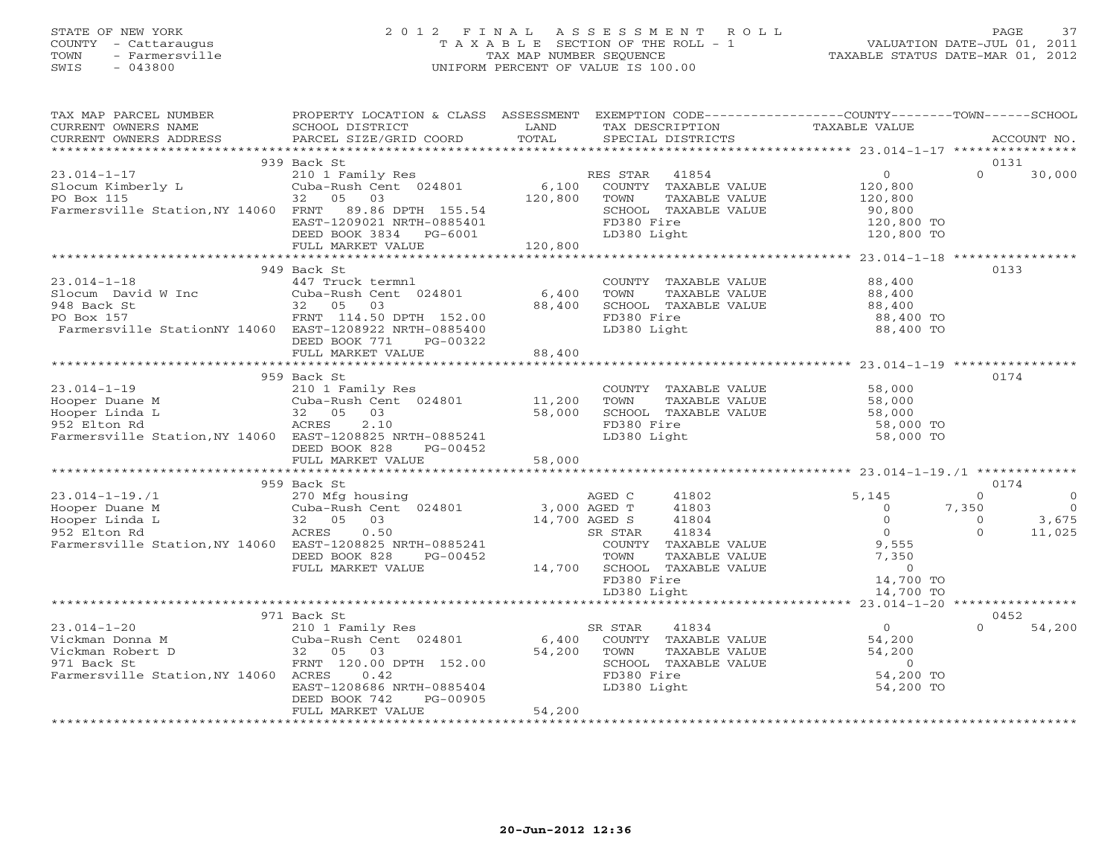# STATE OF NEW YORK 2 0 1 2 F I N A L A S S E S S M E N T R O L L PAGE 37 COUNTY - Cattaraugus T A X A B L E SECTION OF THE ROLL - 1 VALUATION DATE-JUL 01, 2011 TOWN - Farmersville TAX MAP NUMBER SEQUENCE TAXABLE STATUS DATE-MAR 01, 2012 SWIS - 043800 UNIFORM PERCENT OF VALUE IS 100.00

| TAX MAP PARCEL NUMBER<br>CURRENT OWNERS NAME                                                                                                                                                                                                                                                                                                                                                                                                                              | PROPERTY LOCATION & CLASS ASSESSMENT<br>SCHOOL DISTRICT                                                                                                                                                                                     | <b>LAND</b>               | EXEMPTION CODE-----------------COUNTY-------TOWN------SCHOOL<br>TAX DESCRIPTION                                            | TAXABLE VALUE          |                    |
|---------------------------------------------------------------------------------------------------------------------------------------------------------------------------------------------------------------------------------------------------------------------------------------------------------------------------------------------------------------------------------------------------------------------------------------------------------------------------|---------------------------------------------------------------------------------------------------------------------------------------------------------------------------------------------------------------------------------------------|---------------------------|----------------------------------------------------------------------------------------------------------------------------|------------------------|--------------------|
|                                                                                                                                                                                                                                                                                                                                                                                                                                                                           |                                                                                                                                                                                                                                             |                           |                                                                                                                            |                        |                    |
|                                                                                                                                                                                                                                                                                                                                                                                                                                                                           | 939 Back St                                                                                                                                                                                                                                 |                           |                                                                                                                            |                        | 0131               |
| $\begin{tabular}{lllllllllllll} \multicolumn{3}{c}{\begin{tabular}{l}c@{}} \multicolumn{3}{c}{\begin{tabular}{l}c@{}} \multicolumn{3}{c}{\begin{tabular}{l}c@{}} \multicolumn{3}{c}{\begin{tabular}{l}c@{}} \multicolumn{3}{c}{\begin{tabular}{l}c@{}} \multicolumn{3}{c}{\begin{tabular}{l}c@{}} \multicolumn{3}{c}{\begin{tabular}{l}c@{}} \multicolumn{3}{c}{\begin{tabular}{l}c@{}} \multicolumn{3}{c}{\begin{tabular}{l}c@{}} \multicolumn{3}{c}{\begin{tabular}{l}$ |                                                                                                                                                                                                                                             |                           |                                                                                                                            |                        | $\Omega$<br>30,000 |
|                                                                                                                                                                                                                                                                                                                                                                                                                                                                           |                                                                                                                                                                                                                                             |                           |                                                                                                                            |                        |                    |
|                                                                                                                                                                                                                                                                                                                                                                                                                                                                           | 949 Back St                                                                                                                                                                                                                                 |                           |                                                                                                                            |                        | 0133               |
| $23.014 - 1 - 18$<br>Slocum David W Inc<br>948 Back St (1994 Back of 2018)<br>948 Back St (1994 Back of 2018)<br>96,400<br>97 Box 157<br>Farmersville Station W 14060 Back of 200000 Back of 200000 Back of 200000 Back of 200000 Back of 200000 Back of 2000<br>Farmersville StationNY 14060 EAST-1208922 NRTH-0885400                                                                                                                                                   | 447 Truck termnl<br>DEED BOOK 771<br>PG-00322                                                                                                                                                                                               |                           | COUNTY TAXABLE VALUE $88,400$<br>TOWN TAXABLE VALUE $88,400$<br>SCHOOL TAXABLE VALUE $88,400$<br>FD380 Fire<br>LD380 Light | 88,400 TO<br>88,400 TO |                    |
|                                                                                                                                                                                                                                                                                                                                                                                                                                                                           | FULL MARKET VALUE                                                                                                                                                                                                                           | 88,400                    |                                                                                                                            |                        |                    |
|                                                                                                                                                                                                                                                                                                                                                                                                                                                                           | **************************                                                                                                                                                                                                                  | * * * * * * * * * * * * * |                                                                                                                            |                        |                    |
|                                                                                                                                                                                                                                                                                                                                                                                                                                                                           | 959 Back St                                                                                                                                                                                                                                 |                           |                                                                                                                            |                        | 0174               |
|                                                                                                                                                                                                                                                                                                                                                                                                                                                                           |                                                                                                                                                                                                                                             |                           | COUNTY TAXABLE VALUE 58,000<br>TOWN TAXABLE VALUE 58,000<br>SCHOOL TAXABLE VALUE 58,000<br>FD380 Fire 58,000 TO            |                        |                    |
|                                                                                                                                                                                                                                                                                                                                                                                                                                                                           |                                                                                                                                                                                                                                             |                           |                                                                                                                            |                        |                    |
|                                                                                                                                                                                                                                                                                                                                                                                                                                                                           |                                                                                                                                                                                                                                             |                           |                                                                                                                            |                        |                    |
|                                                                                                                                                                                                                                                                                                                                                                                                                                                                           |                                                                                                                                                                                                                                             |                           |                                                                                                                            |                        |                    |
| 23.014-1-19<br>Hooper Duane M<br>Hooper Linda L<br>32 05 03 58,000<br>952 Elton Rd<br>Farmersville Station, NY 14060 EAST-1208825 NRTH-0885241                                                                                                                                                                                                                                                                                                                            | DEED BOOK 828<br>PG-00452<br>FULL MARKET VALUE                                                                                                                                                                                              | 58,000                    | LD380 Light                                                                                                                | 58,000 TO              |                    |
|                                                                                                                                                                                                                                                                                                                                                                                                                                                                           |                                                                                                                                                                                                                                             |                           |                                                                                                                            |                        |                    |
|                                                                                                                                                                                                                                                                                                                                                                                                                                                                           |                                                                                                                                                                                                                                             |                           |                                                                                                                            |                        | 0174               |
|                                                                                                                                                                                                                                                                                                                                                                                                                                                                           |                                                                                                                                                                                                                                             |                           | GED C 41802 5,145 0<br>GED T 41803 0 7,350<br>GED S 41804 0 0 0<br>R STAR 41834 0 0 0<br>COUNTY TAXABLE VALUE 9,555        |                        | $\circ$            |
|                                                                                                                                                                                                                                                                                                                                                                                                                                                                           |                                                                                                                                                                                                                                             |                           |                                                                                                                            |                        | $\overline{0}$     |
|                                                                                                                                                                                                                                                                                                                                                                                                                                                                           |                                                                                                                                                                                                                                             |                           |                                                                                                                            |                        | 3,675              |
|                                                                                                                                                                                                                                                                                                                                                                                                                                                                           |                                                                                                                                                                                                                                             |                           |                                                                                                                            |                        | 11,025             |
|                                                                                                                                                                                                                                                                                                                                                                                                                                                                           |                                                                                                                                                                                                                                             |                           |                                                                                                                            |                        |                    |
|                                                                                                                                                                                                                                                                                                                                                                                                                                                                           |                                                                                                                                                                                                                                             |                           |                                                                                                                            |                        |                    |
|                                                                                                                                                                                                                                                                                                                                                                                                                                                                           |                                                                                                                                                                                                                                             |                           |                                                                                                                            |                        |                    |
|                                                                                                                                                                                                                                                                                                                                                                                                                                                                           |                                                                                                                                                                                                                                             |                           |                                                                                                                            |                        |                    |
|                                                                                                                                                                                                                                                                                                                                                                                                                                                                           |                                                                                                                                                                                                                                             |                           |                                                                                                                            |                        |                    |
|                                                                                                                                                                                                                                                                                                                                                                                                                                                                           |                                                                                                                                                                                                                                             |                           |                                                                                                                            |                        |                    |
|                                                                                                                                                                                                                                                                                                                                                                                                                                                                           |                                                                                                                                                                                                                                             |                           |                                                                                                                            |                        | 0452               |
| $23.014 - 1 - 20$                                                                                                                                                                                                                                                                                                                                                                                                                                                         |                                                                                                                                                                                                                                             |                           |                                                                                                                            |                        | $\Omega$<br>54,200 |
| Vickman Donna M                                                                                                                                                                                                                                                                                                                                                                                                                                                           |                                                                                                                                                                                                                                             |                           |                                                                                                                            |                        |                    |
| Vickman Robert D<br>971 Back St                                                                                                                                                                                                                                                                                                                                                                                                                                           | 971 Back St<br>210 1 Family Res<br>Cuba-Rush Cent 024801 6,400 COUNTY TAXABLE VALUE<br>32 05 03 54,200 TOWN TAXABLE VALUE<br>FRNT 120.00 DPTH 152.00 54,200 SCHOOL TAXABLE VALUE<br>FRNT 120.00 DPTH 152.00 FD380 Fire<br>FD380 Fire<br>54, |                           |                                                                                                                            |                        |                    |
| Farmersville Station, NY 14060 ACRES                                                                                                                                                                                                                                                                                                                                                                                                                                      |                                                                                                                                                                                                                                             |                           |                                                                                                                            |                        |                    |
|                                                                                                                                                                                                                                                                                                                                                                                                                                                                           | EAST-1208686 NRTH-0885404                                                                                                                                                                                                                   |                           | LD380 Light                                                                                                                | 54,200 TO              |                    |
|                                                                                                                                                                                                                                                                                                                                                                                                                                                                           | DEED BOOK 742<br>PG-00905                                                                                                                                                                                                                   |                           |                                                                                                                            |                        |                    |
|                                                                                                                                                                                                                                                                                                                                                                                                                                                                           | FULL MARKET VALUE                                                                                                                                                                                                                           | 54,200                    |                                                                                                                            |                        |                    |
|                                                                                                                                                                                                                                                                                                                                                                                                                                                                           |                                                                                                                                                                                                                                             |                           |                                                                                                                            |                        |                    |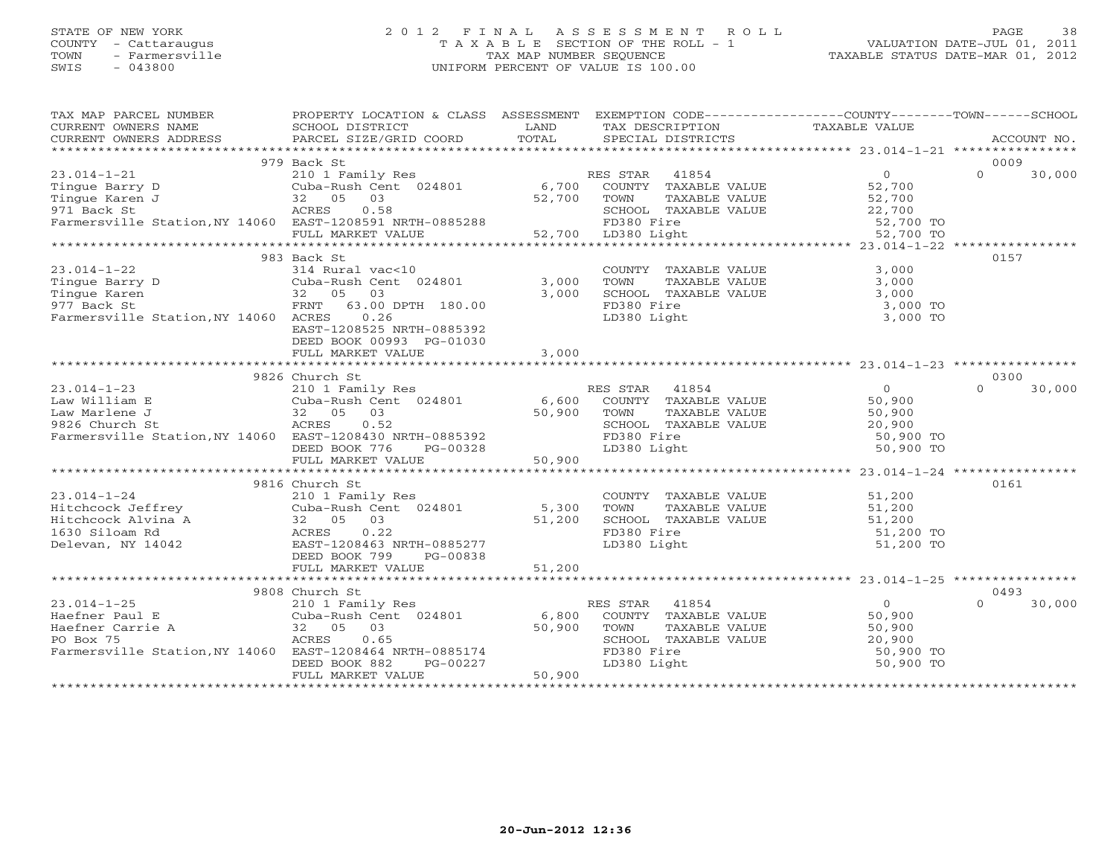#### STATE OF NEW YORK 2 0 1 2 F I N A L A S S E S S M E N T R O L L PAGE 38 COUNTY - Cattaraugus T A X A B L E SECTION OF THE ROLL - 1 VALUATION DATE-JUL 01, 2011 TOWN - Farmersville TAX MAP NUMBER SEQUENCE TAXABLE STATUS DATE-MAR 01, 2012 SWIS - 043800 UNIFORM PERCENT OF VALUE IS 100.00UNIFORM PERCENT OF VALUE IS 100.00

| 979 Back St<br>0009<br>$\begin{array}{lllllllllllllllllll} \text{23.014-1-21} & \text{979 Back St} & \text{210 1 Family Res} & \text{RES STAR} & 41854 & 0 & 30,000 \\ \text{Tingue Barry D} & \text{Cuba-Rush Cent} & 024801 & 6,700 & \text{COUNTY TAXABLE VALUE} & 52,700 & 0 & 30,000 \\ \text{Tingue Karen J} & 32 & 05 & 03 & 52,700 & \text{TOMN} & \text{TAXABLE VALUE} & 52,700 \\ \text{ATARSE VALUE} & \text{ACEES} & 0.58 &$<br>30,000<br>0157<br>983 Back St<br>COUNTY TAXABLE VALUE 3,000<br>$23.014 - 1 - 22$<br>314 Rural vac<10<br>Cuba-Rush Cent 024801 3,000<br>TAXABLE VALUE 3,000<br>TOWN<br>TOWN TAXABLE VALUE 3,000<br>SCHOOL TAXABLE VALUE 3,000 TO<br>3,000<br>0.26<br>Farmersville Station, NY 14060 ACRES<br>LD380 Light<br>3,000 TO<br>EAST-1208525 NRTH-0885392<br>DEED BOOK 00993 PG-01030<br>0300<br>9826 Church St<br>30,000<br>0161<br>9816 Church St<br>33.014-1-24<br>33.014-1-24<br>Hitchcock Jeffrey<br>Hitchcock Alvina A<br>32 05 03<br>1630 Siloam Rd<br>Delevan, NY 14042<br>200 EAST-12084801<br>200 51,200<br>200 51,200<br>200 51,200<br>200 51,200<br>200 51,200<br>200 51,200<br>200 FD380 Eire<br>2010<br>9808 Church St<br>0493<br>ES STAR 41854<br>COUNTY TAXABLE VALUE 50,900<br>23.014-1-25<br>Haefner Paul E 210 1 Family Res<br>Haefner Carrie A 32 05 03 50,900<br>PO Box 75 ACRES 0.65<br>RES STAR 41854<br>$\Omega$<br>30,000<br>$\begin{tabular}{l l l l} \texttt{Haefner Paul E} & \texttt{Cuba-Rush Cent} & \texttt{U24801} & \texttt{U}, \texttt{0000} & \texttt{00001} \\ \texttt{Haefner Carrie A} & 32 & 05 & 03 & 50,900 & T0WN \\ \texttt{PO Box 75} & \texttt{ACRES} & 0.65 & \texttt{SCHOC} \\ \texttt{Farmersville Station, NY 14060} & \texttt{EAST-1208464 NRTH-0885174} & \texttt{FD380} \\ & \texttt{DEED B00K 882} & \texttt{PG$<br>TOWN TAXABLE VALUE<br>TOWN TAXABLE VALUE<br>SO, 900<br>SCHOOL TAXABLE VALUE<br>20, 900<br>FD380 Light<br>50, 900<br>50, 900<br>50, 900<br>50,900 TO<br>50,900 TO | TAX MAP PARCEL NUMBER | PROPERTY LOCATION & CLASS ASSESSMENT EXEMPTION CODE----------------COUNTY-------TOWN------SCHOOL |  |  |
|-------------------------------------------------------------------------------------------------------------------------------------------------------------------------------------------------------------------------------------------------------------------------------------------------------------------------------------------------------------------------------------------------------------------------------------------------------------------------------------------------------------------------------------------------------------------------------------------------------------------------------------------------------------------------------------------------------------------------------------------------------------------------------------------------------------------------------------------------------------------------------------------------------------------------------------------------------------------------------------------------------------------------------------------------------------------------------------------------------------------------------------------------------------------------------------------------------------------------------------------------------------------------------------------------------------------------------------------------------------------------------------------------------------------------------------------------------------------------------------------------------------------------------------------------------------------------------------------------------------------------------------------------------------------------------------------------------------------------------------------------------------------------------------------------------------------------------------------------------------------------------------------------------------------------------------------------------------------------------|-----------------------|--------------------------------------------------------------------------------------------------|--|--|
|                                                                                                                                                                                                                                                                                                                                                                                                                                                                                                                                                                                                                                                                                                                                                                                                                                                                                                                                                                                                                                                                                                                                                                                                                                                                                                                                                                                                                                                                                                                                                                                                                                                                                                                                                                                                                                                                                                                                                                               |                       |                                                                                                  |  |  |
|                                                                                                                                                                                                                                                                                                                                                                                                                                                                                                                                                                                                                                                                                                                                                                                                                                                                                                                                                                                                                                                                                                                                                                                                                                                                                                                                                                                                                                                                                                                                                                                                                                                                                                                                                                                                                                                                                                                                                                               |                       |                                                                                                  |  |  |
|                                                                                                                                                                                                                                                                                                                                                                                                                                                                                                                                                                                                                                                                                                                                                                                                                                                                                                                                                                                                                                                                                                                                                                                                                                                                                                                                                                                                                                                                                                                                                                                                                                                                                                                                                                                                                                                                                                                                                                               |                       |                                                                                                  |  |  |
|                                                                                                                                                                                                                                                                                                                                                                                                                                                                                                                                                                                                                                                                                                                                                                                                                                                                                                                                                                                                                                                                                                                                                                                                                                                                                                                                                                                                                                                                                                                                                                                                                                                                                                                                                                                                                                                                                                                                                                               |                       |                                                                                                  |  |  |
|                                                                                                                                                                                                                                                                                                                                                                                                                                                                                                                                                                                                                                                                                                                                                                                                                                                                                                                                                                                                                                                                                                                                                                                                                                                                                                                                                                                                                                                                                                                                                                                                                                                                                                                                                                                                                                                                                                                                                                               |                       |                                                                                                  |  |  |
|                                                                                                                                                                                                                                                                                                                                                                                                                                                                                                                                                                                                                                                                                                                                                                                                                                                                                                                                                                                                                                                                                                                                                                                                                                                                                                                                                                                                                                                                                                                                                                                                                                                                                                                                                                                                                                                                                                                                                                               |                       |                                                                                                  |  |  |
|                                                                                                                                                                                                                                                                                                                                                                                                                                                                                                                                                                                                                                                                                                                                                                                                                                                                                                                                                                                                                                                                                                                                                                                                                                                                                                                                                                                                                                                                                                                                                                                                                                                                                                                                                                                                                                                                                                                                                                               |                       |                                                                                                  |  |  |
|                                                                                                                                                                                                                                                                                                                                                                                                                                                                                                                                                                                                                                                                                                                                                                                                                                                                                                                                                                                                                                                                                                                                                                                                                                                                                                                                                                                                                                                                                                                                                                                                                                                                                                                                                                                                                                                                                                                                                                               |                       |                                                                                                  |  |  |
|                                                                                                                                                                                                                                                                                                                                                                                                                                                                                                                                                                                                                                                                                                                                                                                                                                                                                                                                                                                                                                                                                                                                                                                                                                                                                                                                                                                                                                                                                                                                                                                                                                                                                                                                                                                                                                                                                                                                                                               |                       |                                                                                                  |  |  |
|                                                                                                                                                                                                                                                                                                                                                                                                                                                                                                                                                                                                                                                                                                                                                                                                                                                                                                                                                                                                                                                                                                                                                                                                                                                                                                                                                                                                                                                                                                                                                                                                                                                                                                                                                                                                                                                                                                                                                                               |                       |                                                                                                  |  |  |
|                                                                                                                                                                                                                                                                                                                                                                                                                                                                                                                                                                                                                                                                                                                                                                                                                                                                                                                                                                                                                                                                                                                                                                                                                                                                                                                                                                                                                                                                                                                                                                                                                                                                                                                                                                                                                                                                                                                                                                               |                       |                                                                                                  |  |  |
|                                                                                                                                                                                                                                                                                                                                                                                                                                                                                                                                                                                                                                                                                                                                                                                                                                                                                                                                                                                                                                                                                                                                                                                                                                                                                                                                                                                                                                                                                                                                                                                                                                                                                                                                                                                                                                                                                                                                                                               |                       |                                                                                                  |  |  |
|                                                                                                                                                                                                                                                                                                                                                                                                                                                                                                                                                                                                                                                                                                                                                                                                                                                                                                                                                                                                                                                                                                                                                                                                                                                                                                                                                                                                                                                                                                                                                                                                                                                                                                                                                                                                                                                                                                                                                                               |                       |                                                                                                  |  |  |
|                                                                                                                                                                                                                                                                                                                                                                                                                                                                                                                                                                                                                                                                                                                                                                                                                                                                                                                                                                                                                                                                                                                                                                                                                                                                                                                                                                                                                                                                                                                                                                                                                                                                                                                                                                                                                                                                                                                                                                               |                       |                                                                                                  |  |  |
|                                                                                                                                                                                                                                                                                                                                                                                                                                                                                                                                                                                                                                                                                                                                                                                                                                                                                                                                                                                                                                                                                                                                                                                                                                                                                                                                                                                                                                                                                                                                                                                                                                                                                                                                                                                                                                                                                                                                                                               |                       |                                                                                                  |  |  |
|                                                                                                                                                                                                                                                                                                                                                                                                                                                                                                                                                                                                                                                                                                                                                                                                                                                                                                                                                                                                                                                                                                                                                                                                                                                                                                                                                                                                                                                                                                                                                                                                                                                                                                                                                                                                                                                                                                                                                                               |                       |                                                                                                  |  |  |
|                                                                                                                                                                                                                                                                                                                                                                                                                                                                                                                                                                                                                                                                                                                                                                                                                                                                                                                                                                                                                                                                                                                                                                                                                                                                                                                                                                                                                                                                                                                                                                                                                                                                                                                                                                                                                                                                                                                                                                               |                       |                                                                                                  |  |  |
|                                                                                                                                                                                                                                                                                                                                                                                                                                                                                                                                                                                                                                                                                                                                                                                                                                                                                                                                                                                                                                                                                                                                                                                                                                                                                                                                                                                                                                                                                                                                                                                                                                                                                                                                                                                                                                                                                                                                                                               |                       |                                                                                                  |  |  |
|                                                                                                                                                                                                                                                                                                                                                                                                                                                                                                                                                                                                                                                                                                                                                                                                                                                                                                                                                                                                                                                                                                                                                                                                                                                                                                                                                                                                                                                                                                                                                                                                                                                                                                                                                                                                                                                                                                                                                                               |                       |                                                                                                  |  |  |
|                                                                                                                                                                                                                                                                                                                                                                                                                                                                                                                                                                                                                                                                                                                                                                                                                                                                                                                                                                                                                                                                                                                                                                                                                                                                                                                                                                                                                                                                                                                                                                                                                                                                                                                                                                                                                                                                                                                                                                               |                       |                                                                                                  |  |  |
|                                                                                                                                                                                                                                                                                                                                                                                                                                                                                                                                                                                                                                                                                                                                                                                                                                                                                                                                                                                                                                                                                                                                                                                                                                                                                                                                                                                                                                                                                                                                                                                                                                                                                                                                                                                                                                                                                                                                                                               |                       |                                                                                                  |  |  |
|                                                                                                                                                                                                                                                                                                                                                                                                                                                                                                                                                                                                                                                                                                                                                                                                                                                                                                                                                                                                                                                                                                                                                                                                                                                                                                                                                                                                                                                                                                                                                                                                                                                                                                                                                                                                                                                                                                                                                                               |                       |                                                                                                  |  |  |
|                                                                                                                                                                                                                                                                                                                                                                                                                                                                                                                                                                                                                                                                                                                                                                                                                                                                                                                                                                                                                                                                                                                                                                                                                                                                                                                                                                                                                                                                                                                                                                                                                                                                                                                                                                                                                                                                                                                                                                               |                       |                                                                                                  |  |  |
|                                                                                                                                                                                                                                                                                                                                                                                                                                                                                                                                                                                                                                                                                                                                                                                                                                                                                                                                                                                                                                                                                                                                                                                                                                                                                                                                                                                                                                                                                                                                                                                                                                                                                                                                                                                                                                                                                                                                                                               |                       |                                                                                                  |  |  |
|                                                                                                                                                                                                                                                                                                                                                                                                                                                                                                                                                                                                                                                                                                                                                                                                                                                                                                                                                                                                                                                                                                                                                                                                                                                                                                                                                                                                                                                                                                                                                                                                                                                                                                                                                                                                                                                                                                                                                                               |                       |                                                                                                  |  |  |
|                                                                                                                                                                                                                                                                                                                                                                                                                                                                                                                                                                                                                                                                                                                                                                                                                                                                                                                                                                                                                                                                                                                                                                                                                                                                                                                                                                                                                                                                                                                                                                                                                                                                                                                                                                                                                                                                                                                                                                               |                       |                                                                                                  |  |  |
|                                                                                                                                                                                                                                                                                                                                                                                                                                                                                                                                                                                                                                                                                                                                                                                                                                                                                                                                                                                                                                                                                                                                                                                                                                                                                                                                                                                                                                                                                                                                                                                                                                                                                                                                                                                                                                                                                                                                                                               |                       |                                                                                                  |  |  |
|                                                                                                                                                                                                                                                                                                                                                                                                                                                                                                                                                                                                                                                                                                                                                                                                                                                                                                                                                                                                                                                                                                                                                                                                                                                                                                                                                                                                                                                                                                                                                                                                                                                                                                                                                                                                                                                                                                                                                                               |                       |                                                                                                  |  |  |
|                                                                                                                                                                                                                                                                                                                                                                                                                                                                                                                                                                                                                                                                                                                                                                                                                                                                                                                                                                                                                                                                                                                                                                                                                                                                                                                                                                                                                                                                                                                                                                                                                                                                                                                                                                                                                                                                                                                                                                               |                       |                                                                                                  |  |  |
|                                                                                                                                                                                                                                                                                                                                                                                                                                                                                                                                                                                                                                                                                                                                                                                                                                                                                                                                                                                                                                                                                                                                                                                                                                                                                                                                                                                                                                                                                                                                                                                                                                                                                                                                                                                                                                                                                                                                                                               |                       |                                                                                                  |  |  |
|                                                                                                                                                                                                                                                                                                                                                                                                                                                                                                                                                                                                                                                                                                                                                                                                                                                                                                                                                                                                                                                                                                                                                                                                                                                                                                                                                                                                                                                                                                                                                                                                                                                                                                                                                                                                                                                                                                                                                                               |                       |                                                                                                  |  |  |
|                                                                                                                                                                                                                                                                                                                                                                                                                                                                                                                                                                                                                                                                                                                                                                                                                                                                                                                                                                                                                                                                                                                                                                                                                                                                                                                                                                                                                                                                                                                                                                                                                                                                                                                                                                                                                                                                                                                                                                               |                       |                                                                                                  |  |  |
|                                                                                                                                                                                                                                                                                                                                                                                                                                                                                                                                                                                                                                                                                                                                                                                                                                                                                                                                                                                                                                                                                                                                                                                                                                                                                                                                                                                                                                                                                                                                                                                                                                                                                                                                                                                                                                                                                                                                                                               |                       |                                                                                                  |  |  |
|                                                                                                                                                                                                                                                                                                                                                                                                                                                                                                                                                                                                                                                                                                                                                                                                                                                                                                                                                                                                                                                                                                                                                                                                                                                                                                                                                                                                                                                                                                                                                                                                                                                                                                                                                                                                                                                                                                                                                                               |                       |                                                                                                  |  |  |
|                                                                                                                                                                                                                                                                                                                                                                                                                                                                                                                                                                                                                                                                                                                                                                                                                                                                                                                                                                                                                                                                                                                                                                                                                                                                                                                                                                                                                                                                                                                                                                                                                                                                                                                                                                                                                                                                                                                                                                               |                       |                                                                                                  |  |  |
|                                                                                                                                                                                                                                                                                                                                                                                                                                                                                                                                                                                                                                                                                                                                                                                                                                                                                                                                                                                                                                                                                                                                                                                                                                                                                                                                                                                                                                                                                                                                                                                                                                                                                                                                                                                                                                                                                                                                                                               |                       |                                                                                                  |  |  |
|                                                                                                                                                                                                                                                                                                                                                                                                                                                                                                                                                                                                                                                                                                                                                                                                                                                                                                                                                                                                                                                                                                                                                                                                                                                                                                                                                                                                                                                                                                                                                                                                                                                                                                                                                                                                                                                                                                                                                                               |                       |                                                                                                  |  |  |
|                                                                                                                                                                                                                                                                                                                                                                                                                                                                                                                                                                                                                                                                                                                                                                                                                                                                                                                                                                                                                                                                                                                                                                                                                                                                                                                                                                                                                                                                                                                                                                                                                                                                                                                                                                                                                                                                                                                                                                               |                       |                                                                                                  |  |  |
|                                                                                                                                                                                                                                                                                                                                                                                                                                                                                                                                                                                                                                                                                                                                                                                                                                                                                                                                                                                                                                                                                                                                                                                                                                                                                                                                                                                                                                                                                                                                                                                                                                                                                                                                                                                                                                                                                                                                                                               |                       |                                                                                                  |  |  |
|                                                                                                                                                                                                                                                                                                                                                                                                                                                                                                                                                                                                                                                                                                                                                                                                                                                                                                                                                                                                                                                                                                                                                                                                                                                                                                                                                                                                                                                                                                                                                                                                                                                                                                                                                                                                                                                                                                                                                                               |                       |                                                                                                  |  |  |
|                                                                                                                                                                                                                                                                                                                                                                                                                                                                                                                                                                                                                                                                                                                                                                                                                                                                                                                                                                                                                                                                                                                                                                                                                                                                                                                                                                                                                                                                                                                                                                                                                                                                                                                                                                                                                                                                                                                                                                               |                       |                                                                                                  |  |  |
|                                                                                                                                                                                                                                                                                                                                                                                                                                                                                                                                                                                                                                                                                                                                                                                                                                                                                                                                                                                                                                                                                                                                                                                                                                                                                                                                                                                                                                                                                                                                                                                                                                                                                                                                                                                                                                                                                                                                                                               |                       |                                                                                                  |  |  |
|                                                                                                                                                                                                                                                                                                                                                                                                                                                                                                                                                                                                                                                                                                                                                                                                                                                                                                                                                                                                                                                                                                                                                                                                                                                                                                                                                                                                                                                                                                                                                                                                                                                                                                                                                                                                                                                                                                                                                                               |                       |                                                                                                  |  |  |
|                                                                                                                                                                                                                                                                                                                                                                                                                                                                                                                                                                                                                                                                                                                                                                                                                                                                                                                                                                                                                                                                                                                                                                                                                                                                                                                                                                                                                                                                                                                                                                                                                                                                                                                                                                                                                                                                                                                                                                               |                       |                                                                                                  |  |  |
|                                                                                                                                                                                                                                                                                                                                                                                                                                                                                                                                                                                                                                                                                                                                                                                                                                                                                                                                                                                                                                                                                                                                                                                                                                                                                                                                                                                                                                                                                                                                                                                                                                                                                                                                                                                                                                                                                                                                                                               |                       |                                                                                                  |  |  |
|                                                                                                                                                                                                                                                                                                                                                                                                                                                                                                                                                                                                                                                                                                                                                                                                                                                                                                                                                                                                                                                                                                                                                                                                                                                                                                                                                                                                                                                                                                                                                                                                                                                                                                                                                                                                                                                                                                                                                                               |                       |                                                                                                  |  |  |
|                                                                                                                                                                                                                                                                                                                                                                                                                                                                                                                                                                                                                                                                                                                                                                                                                                                                                                                                                                                                                                                                                                                                                                                                                                                                                                                                                                                                                                                                                                                                                                                                                                                                                                                                                                                                                                                                                                                                                                               |                       |                                                                                                  |  |  |
|                                                                                                                                                                                                                                                                                                                                                                                                                                                                                                                                                                                                                                                                                                                                                                                                                                                                                                                                                                                                                                                                                                                                                                                                                                                                                                                                                                                                                                                                                                                                                                                                                                                                                                                                                                                                                                                                                                                                                                               |                       |                                                                                                  |  |  |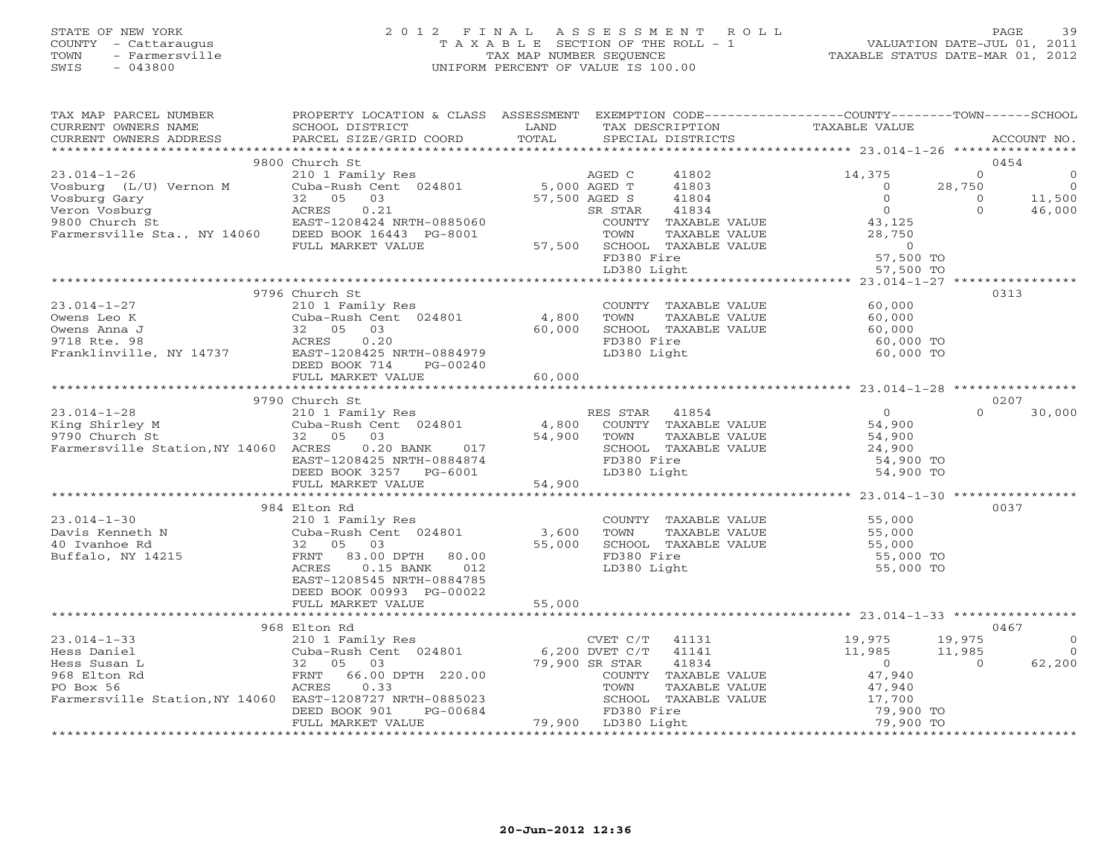#### STATE OF NEW YORK 2 0 1 2 F I N A L A S S E S S M E N T R O L L PAGE 39 COUNTY - Cattaraugus T A X A B L E SECTION OF THE ROLL - 1 VALUATION DATE-JUL 01, 2011 TOWN - Farmersville TAX MAP NUMBER SEQUENCE TAXABLE STATUS DATE-MAR 01, 2012 SWIS - 043800 UNIFORM PERCENT OF VALUE IS 100.00

| TAX MAP PARCEL NUMBER                                                                                                                                     | PROPERTY LOCATION & CLASS ASSESSMENT EXEMPTION CODE----------------COUNTY-------TOWN------SCHOOL                                                                                                                           |               |             |                                                   |                                                                                                                         |                                        |                      |                    |
|-----------------------------------------------------------------------------------------------------------------------------------------------------------|----------------------------------------------------------------------------------------------------------------------------------------------------------------------------------------------------------------------------|---------------|-------------|---------------------------------------------------|-------------------------------------------------------------------------------------------------------------------------|----------------------------------------|----------------------|--------------------|
|                                                                                                                                                           |                                                                                                                                                                                                                            |               |             |                                                   |                                                                                                                         |                                        |                      |                    |
|                                                                                                                                                           |                                                                                                                                                                                                                            |               |             |                                                   |                                                                                                                         |                                        |                      |                    |
|                                                                                                                                                           |                                                                                                                                                                                                                            |               |             |                                                   |                                                                                                                         |                                        |                      |                    |
|                                                                                                                                                           | 9800 Church St                                                                                                                                                                                                             |               |             |                                                   |                                                                                                                         |                                        | 0454                 |                    |
| $23.014-1-26$<br>$210 1 Family ResVoshurg (L/U) Vernon MCuba-Rush Cent 024801 5,000 AGED TVeshus (L/U) Vernon MCuba-Rush Cent 024801 5,000 AGED T$        |                                                                                                                                                                                                                            |               |             | 41802                                             |                                                                                                                         | 14,375                                 | $\Omega$             | $\overline{0}$     |
|                                                                                                                                                           |                                                                                                                                                                                                                            |               |             | 41803                                             |                                                                                                                         | $\bigcirc$                             | 28,750               | $\frac{0}{11,500}$ |
| Vosburg Gary                                                                                                                                              |                                                                                                                                                                                                                            | 57,500 AGED S |             | 41804                                             |                                                                                                                         | $\circ$                                | $\Omega$<br>$\Omega$ |                    |
| Veron Vosburg                                                                                                                                             |                                                                                                                                                                                                                            |               | SR STAR     |                                                   | 322 J 31004<br>R STAR 41834 (OUNTY TAXABLE VALUE 43,125                                                                 |                                        |                      | 46,000             |
| 9800 Church St<br>Farmersville Sta., NY 14060 DEED BOOK 16443 PG-8001                                                                                     |                                                                                                                                                                                                                            |               |             |                                                   |                                                                                                                         |                                        |                      |                    |
|                                                                                                                                                           | FULL MARKET VALUE                                                                                                                                                                                                          |               |             |                                                   |                                                                                                                         |                                        |                      |                    |
|                                                                                                                                                           |                                                                                                                                                                                                                            |               |             |                                                   |                                                                                                                         |                                        |                      |                    |
|                                                                                                                                                           |                                                                                                                                                                                                                            |               |             |                                                   | 3-8001 TOWN TAXABLE VALUE 28,750<br>57,500 SCHOOL TAXABLE VALUE 28,750<br>FD380 Fire 57,500 TO<br>LD380 Light 57,500 TO |                                        |                      |                    |
|                                                                                                                                                           |                                                                                                                                                                                                                            |               |             |                                                   |                                                                                                                         |                                        |                      |                    |
|                                                                                                                                                           | 9796 Church St                                                                                                                                                                                                             |               |             |                                                   |                                                                                                                         |                                        | 0313                 |                    |
| $23.014 - 1 - 27$                                                                                                                                         | 210 1 Family Res                                                                                                                                                                                                           |               |             |                                                   | COUNTY TAXABLE VALUE 60,000                                                                                             |                                        |                      |                    |
|                                                                                                                                                           |                                                                                                                                                                                                                            |               |             |                                                   |                                                                                                                         | 60,000                                 |                      |                    |
|                                                                                                                                                           |                                                                                                                                                                                                                            |               |             | TOWN      TAXABLE VALUE<br>SCHOOL   TAXABLE VALUE |                                                                                                                         | 60,000                                 |                      |                    |
|                                                                                                                                                           | Cuba-Rush Cent 024801 4,800<br>32 05 03 60,000<br>ACRES 0.20                                                                                                                                                               |               | FD380 Fire  |                                                   |                                                                                                                         | 60,000 TO                              |                      |                    |
| 0 Wens Leo K Cuba-Rush Cent 024801 4,800<br>0 Wens Anna J 32 05 03 60,000<br>9718 Rte. 98 ACRES 0.20<br>Franklinville, NY 14737 EAST-1208425 NRTH-0884979 |                                                                                                                                                                                                                            |               | LD380 Light |                                                   |                                                                                                                         | 60,000 TO                              |                      |                    |
|                                                                                                                                                           | DEED BOOK 714 PG-00240                                                                                                                                                                                                     |               |             |                                                   |                                                                                                                         |                                        |                      |                    |
|                                                                                                                                                           | FULL MARKET VALUE 60,000                                                                                                                                                                                                   |               |             |                                                   |                                                                                                                         |                                        |                      |                    |
|                                                                                                                                                           |                                                                                                                                                                                                                            |               |             |                                                   |                                                                                                                         |                                        |                      |                    |
|                                                                                                                                                           | 9790 Church St                                                                                                                                                                                                             |               |             |                                                   |                                                                                                                         |                                        | 0207                 |                    |
|                                                                                                                                                           |                                                                                                                                                                                                                            |               |             |                                                   |                                                                                                                         |                                        |                      |                    |
|                                                                                                                                                           |                                                                                                                                                                                                                            |               |             |                                                   |                                                                                                                         |                                        |                      |                    |
|                                                                                                                                                           |                                                                                                                                                                                                                            |               |             |                                                   |                                                                                                                         |                                        |                      |                    |
|                                                                                                                                                           |                                                                                                                                                                                                                            |               |             |                                                   |                                                                                                                         |                                        |                      |                    |
|                                                                                                                                                           |                                                                                                                                                                                                                            |               |             |                                                   |                                                                                                                         |                                        |                      |                    |
|                                                                                                                                                           |                                                                                                                                                                                                                            |               |             |                                                   |                                                                                                                         |                                        |                      |                    |
|                                                                                                                                                           |                                                                                                                                                                                                                            |               |             |                                                   |                                                                                                                         |                                        |                      |                    |
|                                                                                                                                                           |                                                                                                                                                                                                                            |               |             |                                                   |                                                                                                                         |                                        |                      |                    |
|                                                                                                                                                           | 984 Elton Rd                                                                                                                                                                                                               |               |             |                                                   |                                                                                                                         |                                        | 0037                 |                    |
|                                                                                                                                                           |                                                                                                                                                                                                                            |               |             |                                                   | COUNTY TAXABLE VALUE 55,000<br>TOWN TAXABLE VALUE 55,000<br>SCHOOL TAXABLE VALUE 55,000<br>FD380 Fire 55,000            |                                        |                      |                    |
|                                                                                                                                                           |                                                                                                                                                                                                                            |               |             |                                                   |                                                                                                                         |                                        |                      |                    |
|                                                                                                                                                           |                                                                                                                                                                                                                            |               |             |                                                   |                                                                                                                         |                                        |                      |                    |
|                                                                                                                                                           |                                                                                                                                                                                                                            |               | FD380 Fire  |                                                   |                                                                                                                         | 55,000 TO                              |                      |                    |
|                                                                                                                                                           | ACRES<br>$0.15$ BANK<br>012                                                                                                                                                                                                |               | LD380 Light |                                                   |                                                                                                                         | 55,000 TO                              |                      |                    |
|                                                                                                                                                           | EAST-1208545 NRTH-0884785                                                                                                                                                                                                  |               |             |                                                   |                                                                                                                         |                                        |                      |                    |
|                                                                                                                                                           | DEED BOOK 00993 PG-00022                                                                                                                                                                                                   |               |             |                                                   |                                                                                                                         |                                        |                      |                    |
|                                                                                                                                                           | FULL MARKET VALUE                                                                                                                                                                                                          | 55,000        |             |                                                   |                                                                                                                         |                                        |                      |                    |
|                                                                                                                                                           |                                                                                                                                                                                                                            |               |             |                                                   |                                                                                                                         |                                        |                      |                    |
|                                                                                                                                                           | 968 Elton Rd                                                                                                                                                                                                               |               |             |                                                   |                                                                                                                         |                                        | 0467                 |                    |
| $23.014 - 1 - 33$                                                                                                                                         |                                                                                                                                                                                                                            |               |             |                                                   | 19,975<br>11,985                                                                                                        |                                        | 19,975               | $\overline{0}$     |
| Hess Daniel                                                                                                                                               |                                                                                                                                                                                                                            |               |             |                                                   |                                                                                                                         |                                        | 11,985               | $\overline{0}$     |
| Hess Susan L                                                                                                                                              | Elton ka<br>210 1 Family Res<br>Cuba-Rush Cent 024801 6,200 DVET C/T 41141<br>32 05 03 79,900 SR STAR 41834<br>FRNT 66.00 DPTH 220.00 79,900 SR STAR 41834<br>TOWN TAXABLE<br>TOWN TAXABLE<br>TOWN TAXABLE<br>TOWN TAXABLE |               |             |                                                   |                                                                                                                         | $\begin{array}{c}0\\47,940\end{array}$ | $\overline{0}$       | 62,200             |
| 968 Elton Rd                                                                                                                                              |                                                                                                                                                                                                                            |               |             | COUNTY TAXABLE VALUE                              |                                                                                                                         |                                        |                      |                    |
| PO Box 56                                                                                                                                                 |                                                                                                                                                                                                                            |               |             |                                                   |                                                                                                                         |                                        |                      |                    |
|                                                                                                                                                           |                                                                                                                                                                                                                            |               |             |                                                   |                                                                                                                         |                                        |                      |                    |
| Farmersville Station, NY 14060 EAST-1208727 NRTH-0885023 SCHOOL TAXE<br>DEED BOOK 901 PG-00684 PD380 Fire<br>FULL MARKET VALUE 79,900 LD380 Light         |                                                                                                                                                                                                                            |               |             |                                                   | TOWN TAXABLE VALUE 47,940<br>SCHOOL TAXABLE VALUE 17,700<br>FD380 Fire 79,900 TO<br>LD380 Light 79,900 TO               |                                        |                      |                    |
|                                                                                                                                                           |                                                                                                                                                                                                                            |               |             |                                                   |                                                                                                                         |                                        |                      |                    |
|                                                                                                                                                           |                                                                                                                                                                                                                            |               |             |                                                   |                                                                                                                         |                                        |                      |                    |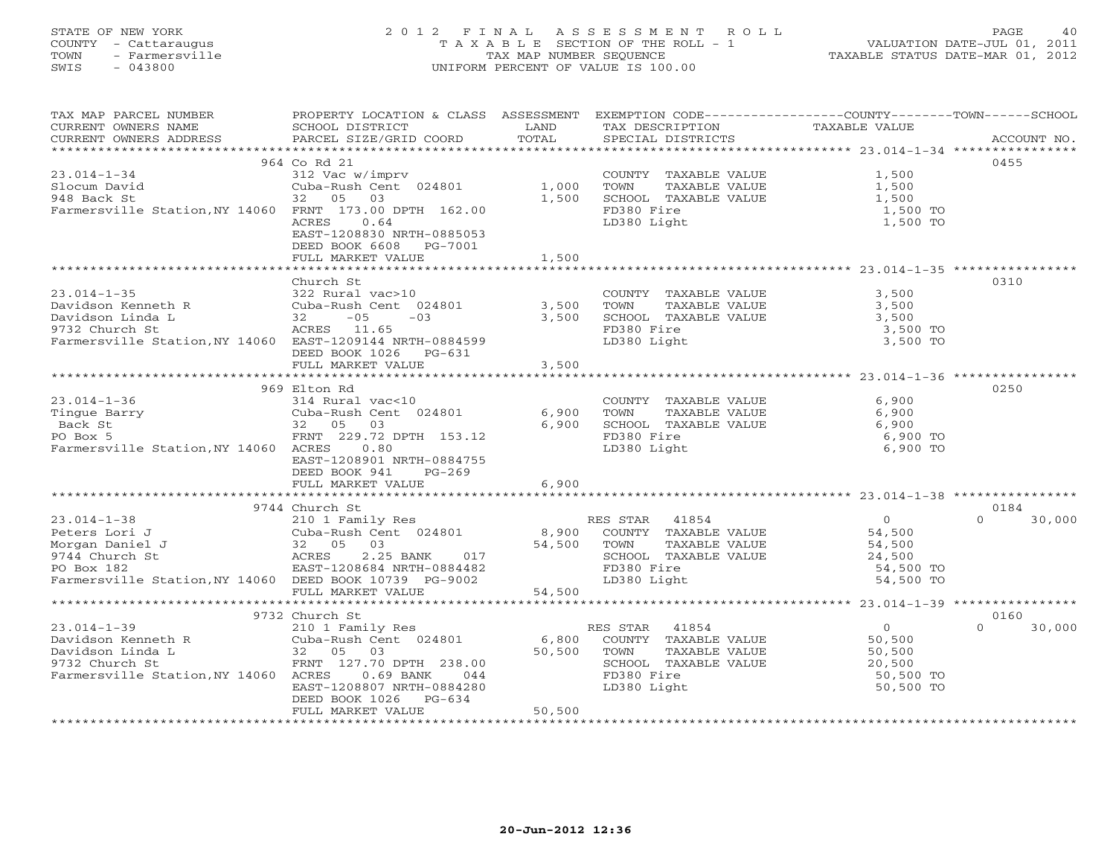# STATE OF NEW YORK 2 0 1 2 F I N A L A S S E S S M E N T R O L L PAGE 40 COUNTY - Cattaraugus T A X A B L E SECTION OF THE ROLL - 1 VALUATION DATE-JUL 01, 2011 TOWN - Farmersville TAX MAP NUMBER SEQUENCE TAXABLE STATUS DATE-MAR 01, 2012 SWIS - 043800 UNIFORM PERCENT OF VALUE IS 100.00UNIFORM PERCENT OF VALUE IS 100.00

| TAX MAP PARCEL NUMBER                                                                     | PROPERTY LOCATION & CLASS ASSESSMENT EXEMPTION CODE---------------COUNTY-------TOWN------SCHOOL |                         |                       |                |                    |
|-------------------------------------------------------------------------------------------|-------------------------------------------------------------------------------------------------|-------------------------|-----------------------|----------------|--------------------|
| CURRENT OWNERS NAME                                                                       | SCHOOL DISTRICT                                                                                 | LAND                    | TAX DESCRIPTION       | TAXABLE VALUE  |                    |
| CURRENT OWNERS ADDRESS                                                                    | PARCEL SIZE/GRID COORD                                                                          | TOTAL                   | SPECIAL DISTRICTS     |                | ACCOUNT NO.        |
|                                                                                           |                                                                                                 |                         |                       |                |                    |
|                                                                                           | 964 Co Rd 21                                                                                    |                         |                       |                | 0455               |
| $23.014 - 1 - 34$                                                                         | 312 Vac w/imprv                                                                                 |                         | COUNTY TAXABLE VALUE  | 1,500          |                    |
| Slocum David                                                                              | Cuba-Rush Cent 024801 1,000                                                                     |                         | TOWN<br>TAXABLE VALUE | 1,500          |                    |
| 948 Back St                                                                               | 32 05<br>03                                                                                     | 1,500                   | SCHOOL TAXABLE VALUE  | 1,500          |                    |
| Farmersville Station, NY 14060 FRNT 173.00 DPTH 162.00                                    |                                                                                                 |                         | FD380 Fire            | 1,500 TO       |                    |
|                                                                                           | 0.64<br>ACRES                                                                                   |                         | LD380 Light           | 1,500 TO       |                    |
|                                                                                           | EAST-1208830 NRTH-0885053                                                                       |                         |                       |                |                    |
|                                                                                           | DEED BOOK 6608<br>PG-7001                                                                       |                         |                       |                |                    |
|                                                                                           | FULL MARKET VALUE                                                                               | 1,500                   |                       |                |                    |
|                                                                                           |                                                                                                 |                         |                       |                |                    |
|                                                                                           | Church St                                                                                       |                         |                       |                | 0310               |
| $23.014 - 1 - 35$                                                                         | 322 Rural vac>10                                                                                |                         | COUNTY TAXABLE VALUE  | 3,500          |                    |
| Davidson Kenneth R                                                                        | Cuba-Rush Cent 024801                                                                           | 3,500                   | TOWN<br>TAXABLE VALUE | 3,500          |                    |
| Davidson Linda L                                                                          | $-03$                                                                                           | 3,500                   | SCHOOL TAXABLE VALUE  | 3,500          |                    |
| 9732 Church St                                                                            | - --<br>,<br>32 - 05<br>ACRES 11.65                                                             |                         | FD380 Fire            | 3,500 TO       |                    |
| Farmersville Station, NY 14060 EAST-1209144 NRTH-0884599                                  |                                                                                                 |                         | LD380 Light           | 3,500 TO       |                    |
|                                                                                           | DEED BOOK 1026 PG-631                                                                           |                         |                       |                |                    |
|                                                                                           |                                                                                                 |                         |                       |                |                    |
|                                                                                           | FULL MARKET VALUE<br>*************************                                                  | 3,500<br>************** |                       |                |                    |
|                                                                                           |                                                                                                 |                         |                       |                |                    |
|                                                                                           | 969 Elton Rd                                                                                    |                         |                       |                | 0250               |
| $23.014 - 1 - 36$                                                                         | 314 Rural vac<10                                                                                |                         | COUNTY TAXABLE VALUE  | 6,900          |                    |
|                                                                                           | Cuba-Rush Cent 024801                                                                           | 6,900                   | TAXABLE VALUE<br>TOWN | 6,900          |                    |
| Tingue Barry<br>Back St 32 05 03<br>No Boy 5 12 129.72                                    |                                                                                                 | 6,900                   | SCHOOL TAXABLE VALUE  | 6,900          |                    |
|                                                                                           | FRNT 229.72 DPTH 153.12                                                                         |                         | FD380 Fire            | 6,900 TO       |                    |
| Farmersville Station, NY 14060 ACRES                                                      | 0.80                                                                                            |                         | LD380 Light           | 6,900 TO       |                    |
|                                                                                           | EAST-1208901 NRTH-0884755                                                                       |                         |                       |                |                    |
|                                                                                           | DEED BOOK 941<br>$PG-269$                                                                       |                         |                       |                |                    |
|                                                                                           | FULL MARKET VALUE                                                                               | 6,900                   |                       |                |                    |
|                                                                                           |                                                                                                 |                         |                       |                |                    |
| -urch<br>210 1 F,<br>210 1 F,<br>Cuba-Rus.<br>32 65<br>ACRE.com<br>32 ACRE.com            | 9744 Church St                                                                                  |                         |                       |                | 0184               |
| $23.014 - 1 - 38$                                                                         | 210 1 Family Res                                                                                |                         | 41854<br>RES STAR     | $\overline{0}$ | 30,000<br>$\Omega$ |
| Peters Lori J                                                                             | Cuba-Rush Cent 024801                                                                           | 8,900                   | COUNTY TAXABLE VALUE  | 54,500         |                    |
| Morgan Daniel J                                                                           | 03                                                                                              | 54,500 TOWN             | TAXABLE VALUE         | 54,500         |                    |
| 9744 Church St                                                                            | 2.25 BANK<br>017                                                                                |                         | SCHOOL TAXABLE VALUE  | 24,500         |                    |
| PO Box 182                                                                                | EAST-1208684 NRTH-0884482                                                                       |                         | FD380 Fire            | 54,500 TO      |                    |
| Farmersville Station, NY 14060 DEED BOOK 10739 PG-9002                                    |                                                                                                 |                         | LD380 Light           | 54,500 TO      |                    |
|                                                                                           | FULL MARKET VALUE                                                                               | 54,500                  |                       |                |                    |
|                                                                                           |                                                                                                 |                         |                       |                |                    |
|                                                                                           | 9732 Church St                                                                                  |                         |                       |                | 0160               |
| $23.014 - 1 - 39$                                                                         | 210 1 Family Res                                                                                |                         | 41854<br>RES STAR     | $\overline{0}$ | $\cap$<br>30,000   |
| Davidson Kenneth R<br>Davidson Linda L<br>9732 Church St<br>9732 Church St<br>FRNT 127.70 | Cuba-Rush Cent 024801                                                                           | 6,800                   | COUNTY TAXABLE VALUE  | 50,500         |                    |
|                                                                                           |                                                                                                 | 50,500 TOWN             | TAXABLE VALUE         | 50,500         |                    |
|                                                                                           | FRNT 127.70 DPTH 238.00                                                                         |                         | SCHOOL TAXABLE VALUE  | 20,500         |                    |
| Farmersville Station, NY 14060 ACRES                                                      | $0.69$ BANK<br>044                                                                              |                         | FD380 Fire            | 50,500 TO      |                    |
|                                                                                           | EAST-1208807 NRTH-0884280                                                                       |                         | LD380 Light           | 50,500 TO      |                    |
|                                                                                           | DEED BOOK 1026<br>$PG-634$                                                                      |                         |                       |                |                    |
|                                                                                           | FULL MARKET VALUE                                                                               | 50,500                  |                       |                |                    |
|                                                                                           |                                                                                                 |                         |                       |                |                    |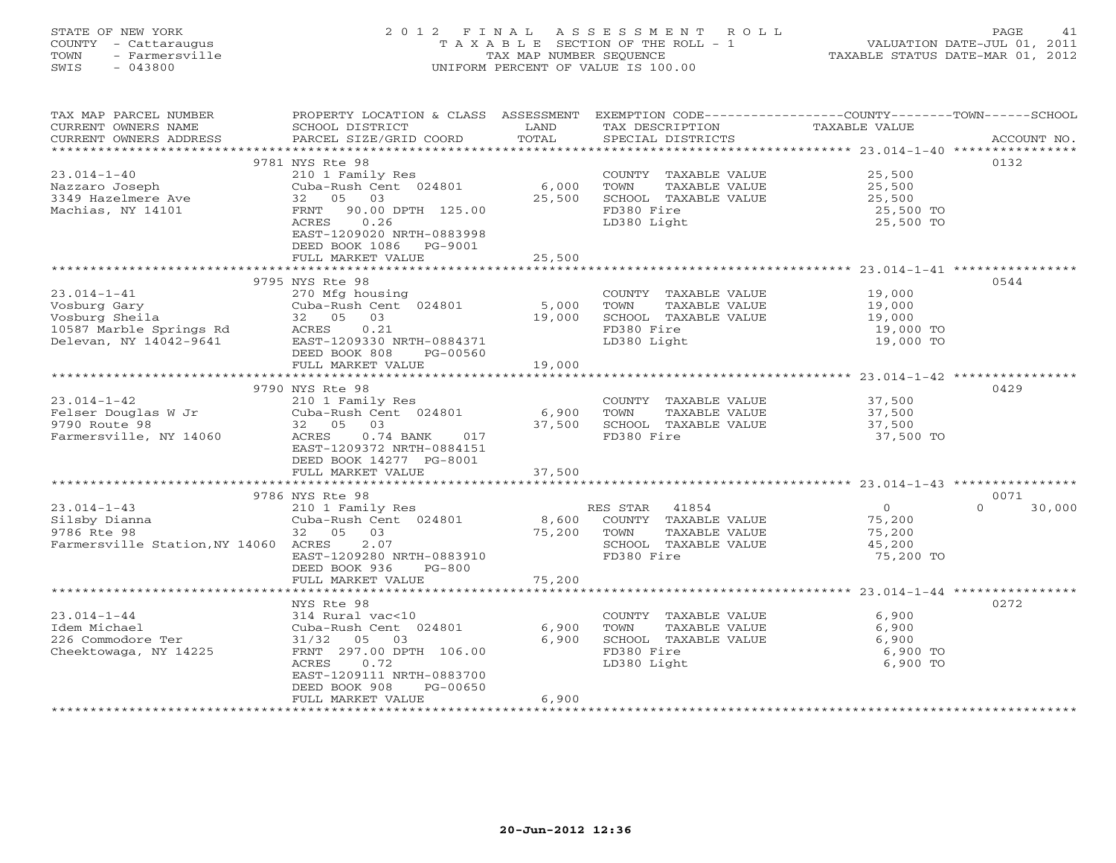# STATE OF NEW YORK 2 0 1 2 F I N A L A S S E S S M E N T R O L L PAGE 41 COUNTY - Cattaraugus T A X A B L E SECTION OF THE ROLL - 1 VALUATION DATE-JUL 01, 2011 TOWN - Farmersville TAX MAP NUMBER SEQUENCE TAXABLE STATUS DATE-MAR 01, 2012 SWIS - 043800 UNIFORM PERCENT OF VALUE IS 100.00UNIFORM PERCENT OF VALUE IS 100.00

| TAX MAP PARCEL NUMBER                | PROPERTY LOCATION & CLASS ASSESSMENT                     |        | EXEMPTION CODE----------------COUNTY-------TOWN------SCHOOL |                        |                    |
|--------------------------------------|----------------------------------------------------------|--------|-------------------------------------------------------------|------------------------|--------------------|
| CURRENT OWNERS NAME                  | SCHOOL DISTRICT                                          | LAND   | TAX DESCRIPTION                                             | <b>TAXABLE VALUE</b>   |                    |
| CURRENT OWNERS ADDRESS               | PARCEL SIZE/GRID COORD                                   | TOTAL  | SPECIAL DISTRICTS                                           |                        | ACCOUNT NO.        |
| *********************                | ******************************                           |        |                                                             |                        |                    |
|                                      | 9781 NYS Rte 98                                          |        |                                                             |                        | 0132               |
| $23.014 - 1 - 40$                    | 210 1 Family Res                                         |        | COUNTY TAXABLE VALUE                                        | 25,500                 |                    |
| Nazzaro Joseph                       | Cuba-Rush Cent 024801                                    | 6,000  | TOWN<br>TAXABLE VALUE                                       | 25,500                 |                    |
| 3349 Hazelmere Ave                   | 32 05<br>03                                              | 25,500 | SCHOOL TAXABLE VALUE                                        | 25,500                 |                    |
| Machias, NY 14101                    | 90.00 DPTH 125.00<br>FRNT<br>ACRES<br>0.26               |        | FD380 Fire<br>LD380 Light                                   | 25,500 TO<br>25,500 TO |                    |
|                                      | EAST-1209020 NRTH-0883998                                |        |                                                             |                        |                    |
|                                      | DEED BOOK 1086<br>PG-9001                                |        |                                                             |                        |                    |
|                                      | FULL MARKET VALUE                                        | 25,500 |                                                             |                        |                    |
|                                      |                                                          |        |                                                             |                        |                    |
|                                      | 9795 NYS Rte 98                                          |        |                                                             |                        | 0544               |
| $23.014 - 1 - 41$                    | 270 Mfg housing                                          |        | COUNTY TAXABLE VALUE                                        | 19,000                 |                    |
| Vosburg Gary                         | Cuba-Rush Cent 024801 5,000                              |        | TOWN<br>TAXABLE VALUE                                       | 19,000                 |                    |
| Vosburg Sheila                       | 32 05 03                                                 | 19,000 | SCHOOL TAXABLE VALUE                                        | 19,000                 |                    |
| 10587 Marble Springs Rd              | 0.21                                                     |        | FD380 Fire                                                  | 19,000 TO              |                    |
| Delevan, NY 14042-9641               | ACRES<br>EAST-1<br>EAST-1209330 NRTH-0884371             |        | LD380 Light                                                 | 19,000 TO              |                    |
|                                      | DEED BOOK 808<br>PG-00560                                |        |                                                             |                        |                    |
|                                      | FULL MARKET VALUE                                        | 19,000 |                                                             |                        |                    |
|                                      |                                                          |        |                                                             |                        |                    |
|                                      | 9790 NYS Rte 98                                          |        |                                                             |                        | 0429               |
| $23.014 - 1 - 42$                    | 210 1 Family Res                                         |        | COUNTY TAXABLE VALUE                                        | 37,500                 |                    |
| Felser Douglas W Jr                  | Cuba-Rush Cent $024801$ 6,900                            |        | TOWN<br>TAXABLE VALUE                                       | 37,500                 |                    |
| 9790 Route 98                        | 32 05 03                                                 | 37,500 | SCHOOL TAXABLE VALUE                                        | 37,500                 |                    |
| Farmersville, NY 14060               | $0.74$ BANK<br>ACRES<br>017<br>EAST-1209372 NRTH-0884151 |        | FD380 Fire                                                  | 37,500 TO              |                    |
|                                      | DEED BOOK 14277 PG-8001                                  |        |                                                             |                        |                    |
|                                      | FULL MARKET VALUE                                        | 37,500 |                                                             |                        |                    |
|                                      |                                                          |        |                                                             |                        |                    |
|                                      | 9786 NYS Rte 98                                          |        |                                                             |                        | 0071               |
| $23.014 - 1 - 43$                    | 210 1 Family Res                                         |        | RES STAR<br>41854                                           | $\overline{0}$         | 30,000<br>$\Omega$ |
| Silsby Dianna                        | Cuba-Rush Cent 024801                                    | 8,600  | COUNTY TAXABLE VALUE                                        | 75,200                 |                    |
| 9786 Rte 98                          | 32 05<br>03                                              | 75,200 | TOWN<br>TAXABLE VALUE                                       | 75,200                 |                    |
| Farmersville Station, NY 14060 ACRES | 2.07                                                     |        | SCHOOL TAXABLE VALUE                                        | 45,200                 |                    |
|                                      | EAST-1209280 NRTH-0883910                                |        | FD380 Fire                                                  | 75,200 TO              |                    |
|                                      | DEED BOOK 936<br>PG-800                                  |        |                                                             |                        |                    |
|                                      | FULL MARKET VALUE                                        | 75,200 |                                                             |                        |                    |
|                                      |                                                          |        |                                                             |                        |                    |
|                                      | NYS Rte 98                                               |        |                                                             |                        | 0272               |
| $23.014 - 1 - 44$                    | 314 Rural vac<10                                         |        | COUNTY TAXABLE VALUE                                        | 6,900                  |                    |
| Idem Michael                         | Cuba-Rush Cent 024801                                    | 6,900  | TOWN<br>TAXABLE VALUE                                       | 6,900                  |                    |
| 226 Commodore Ter                    | 31/32<br>05<br>03                                        | 6,900  | SCHOOL TAXABLE VALUE                                        | 6,900                  |                    |
| Cheektowaga, NY 14225                | FRNT 297.00 DPTH 106.00                                  |        | FD380 Fire                                                  | 6,900 TO               |                    |
|                                      | 0.72<br>ACRES<br>EAST-1209111 NRTH-0883700               |        | LD380 Light                                                 | 6,900 TO               |                    |
|                                      | DEED BOOK 908<br>PG-00650                                |        |                                                             |                        |                    |
|                                      | FULL MARKET VALUE                                        | 6,900  |                                                             |                        |                    |
|                                      |                                                          |        |                                                             |                        |                    |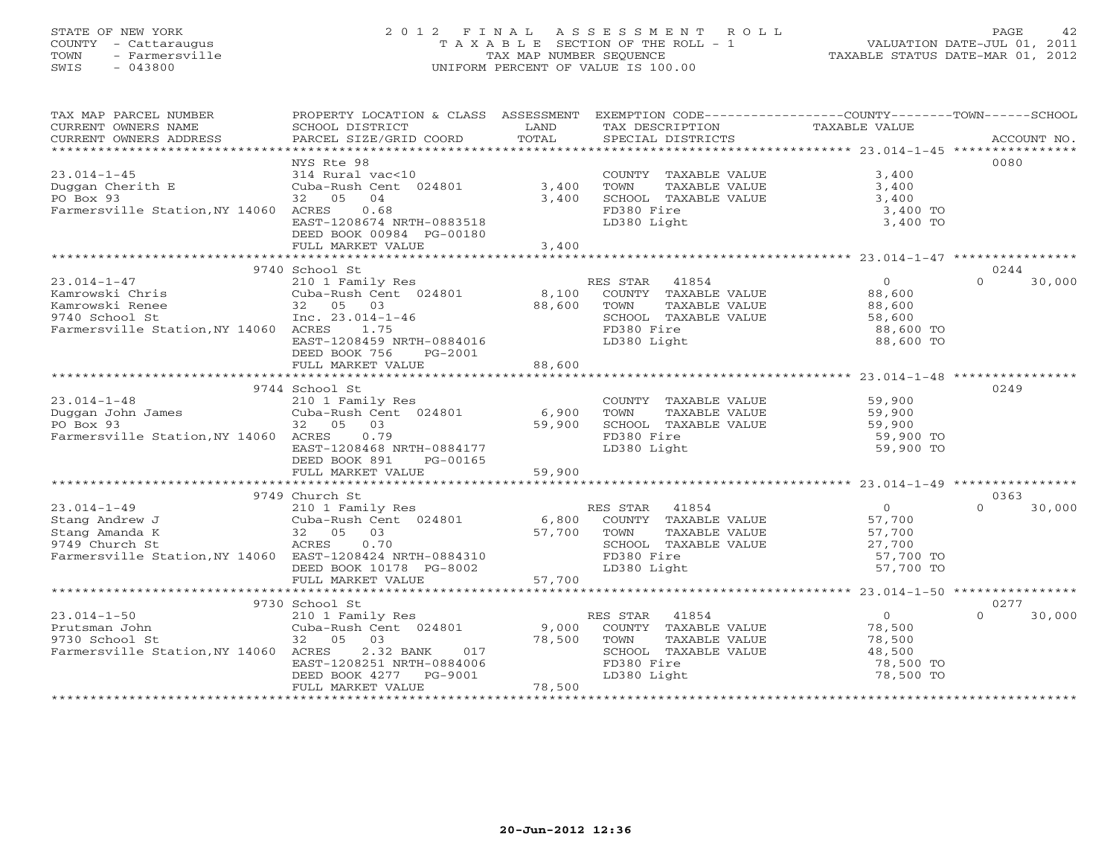# STATE OF NEW YORK 2 0 1 2 F I N A L A S S E S S M E N T R O L L PAGE 42 COUNTY - Cattaraugus T A X A B L E SECTION OF THE ROLL - 1 VALUATION DATE-JUL 01, 2011 TOWN - Farmersville TAX MAP NUMBER SEQUENCE TAXABLE STATUS DATE-MAR 01, 2012 SWIS - 043800 UNIFORM PERCENT OF VALUE IS 100.00UNIFORM PERCENT OF VALUE IS 100.00

| TAXABLE VALUE<br>SCHOOL DISTRICT<br>LAND<br>TAX DESCRIPTION<br>NYS Rte 98<br>0080<br>314 Rural vac<10<br>COUNTY TAXABLE VALUE<br>3,400<br>3,400<br>Cuba-Rush Cent 024801<br>TOWN<br>TAXABLE VALUE<br>3,400<br>32 05<br>04<br>3,400<br>SCHOOL TAXABLE VALUE<br>3,400<br>Farmersville Station, NY 14060 ACRES<br>0.68<br>FD380 Fire<br>3,400 TO<br>EAST-1208674 NRTH-0883518<br>LD380 Light<br>3,400 TO<br>DEED BOOK 00984 PG-00180<br>FULL MARKET VALUE<br>3,400<br>9740 School St<br>0244<br>$23.014 - 1 - 47$<br>$\overline{O}$<br>$\Omega$<br>210 1 Family Res<br>RES STAR 41854<br>30,000<br>8,100<br>Kamrowski Chris<br>Cuba-Rush Cent 024801<br>COUNTY TAXABLE VALUE<br>88,600<br>Kamrowski Renee<br>32 05 03<br>88,600<br>TOWN<br>TAXABLE VALUE<br>88,600<br>$\mathcal{L}^{\text{max}}_{\text{max}}$<br>Inc. $23.014 - 1 - 46$<br>SCHOOL TAXABLE VALUE<br>58,600<br>9740 School St<br>Farmersville Station, NY 14060 ACRES<br>1.75<br>FD380 Fire<br>88,600 TO<br>LD380 Light<br>EAST-1208459 NRTH-0884016<br>88,600 TO<br>DEED BOOK 756<br>PG-2001<br>FULL MARKET VALUE<br>88,600<br>9744 School St<br>0249<br>59,900<br>$23.014 - 1 - 48$<br>210 1 Family Res<br>COUNTY TAXABLE VALUE<br>Cuba-Rush Cent 024801 6,900<br>59,900<br>Duggan John James<br>PO Box 93<br>TOWN<br>TAXABLE VALUE<br>59,900<br>PO Box 93<br>32 05<br>0.3<br>59,900<br>SCHOOL TAXABLE VALUE<br>Farmersville Station, NY 14060 ACRES<br>0.79<br>FD380 Fire<br>59,900 TO<br>EAST-1208468 NRTH-0884177<br>LD380 Light<br>59,900 TO<br>DEED BOOK 891<br>PG-00165<br>59,900<br>FULL MARKET VALUE<br>9749 Church St<br>0363<br>210 1 Family Res<br>Cuba-Rush Cent 024801 6,800<br>$23.014 - 1 - 49$<br>RES STAR<br>41854<br>$\overline{0}$<br>$\Omega$<br>30,000<br>Stang Andrew J<br>COUNTY TAXABLE VALUE<br>57,700<br>57,700<br>57,700<br>Stang Amanda K<br>32 05<br>03<br>TAXABLE VALUE<br>TOWN<br>ACRES<br>0.70<br>SCHOOL TAXABLE VALUE<br>27,700<br>9749 Church St<br>Farmersville Station, NY 14060 EAST-1208424 NRTH-0884310<br>FD380 Fire<br>57,700 TO<br>LD380 Light<br>57,700 TO<br>DEED BOOK 10178 PG-8002<br>57,700<br>FULL MARKET VALUE<br>0277<br>9730 School St<br>$\overline{0}$<br>$23.014 - 1 - 50$<br>$\Omega$<br>30,000<br>210 1 Family Res<br>RES STAR<br>41854<br>78,500<br>Cuba-Rush Cent 024801<br>Prutsman John<br>9,000<br>COUNTY TAXABLE VALUE<br>9730 School St<br>32 05 03<br>78,500<br>TOWN<br>TAXABLE VALUE<br>78,500<br>Farmersville Station, NY 14060 ACRES<br>2.32 BANK<br>017<br>SCHOOL TAXABLE VALUE<br>48,500<br>EAST-1208251 NRTH-0884006<br>FD380 Fire<br>78,500 TO<br>78,500 TO<br>DEED BOOK 4277 PG-9001<br>LD380 Light<br>78,500<br>FULL MARKET VALUE | TAX MAP PARCEL NUMBER  | PROPERTY LOCATION & CLASS ASSESSMENT | EXEMPTION CODE-----------------COUNTY-------TOWN------SCHOOL |  |
|-------------------------------------------------------------------------------------------------------------------------------------------------------------------------------------------------------------------------------------------------------------------------------------------------------------------------------------------------------------------------------------------------------------------------------------------------------------------------------------------------------------------------------------------------------------------------------------------------------------------------------------------------------------------------------------------------------------------------------------------------------------------------------------------------------------------------------------------------------------------------------------------------------------------------------------------------------------------------------------------------------------------------------------------------------------------------------------------------------------------------------------------------------------------------------------------------------------------------------------------------------------------------------------------------------------------------------------------------------------------------------------------------------------------------------------------------------------------------------------------------------------------------------------------------------------------------------------------------------------------------------------------------------------------------------------------------------------------------------------------------------------------------------------------------------------------------------------------------------------------------------------------------------------------------------------------------------------------------------------------------------------------------------------------------------------------------------------------------------------------------------------------------------------------------------------------------------------------------------------------------------------------------------------------------------------------------------------------------------------------------------------------------------------------------------------------------------------------------------------------------------------------------------------------------------------------------------------------------------------------------------------------------------------------------|------------------------|--------------------------------------|--------------------------------------------------------------|--|
|                                                                                                                                                                                                                                                                                                                                                                                                                                                                                                                                                                                                                                                                                                                                                                                                                                                                                                                                                                                                                                                                                                                                                                                                                                                                                                                                                                                                                                                                                                                                                                                                                                                                                                                                                                                                                                                                                                                                                                                                                                                                                                                                                                                                                                                                                                                                                                                                                                                                                                                                                                                                                                                                         | CURRENT OWNERS NAME    |                                      |                                                              |  |
|                                                                                                                                                                                                                                                                                                                                                                                                                                                                                                                                                                                                                                                                                                                                                                                                                                                                                                                                                                                                                                                                                                                                                                                                                                                                                                                                                                                                                                                                                                                                                                                                                                                                                                                                                                                                                                                                                                                                                                                                                                                                                                                                                                                                                                                                                                                                                                                                                                                                                                                                                                                                                                                                         | CURRENT OWNERS ADDRESS |                                      |                                                              |  |
|                                                                                                                                                                                                                                                                                                                                                                                                                                                                                                                                                                                                                                                                                                                                                                                                                                                                                                                                                                                                                                                                                                                                                                                                                                                                                                                                                                                                                                                                                                                                                                                                                                                                                                                                                                                                                                                                                                                                                                                                                                                                                                                                                                                                                                                                                                                                                                                                                                                                                                                                                                                                                                                                         |                        |                                      |                                                              |  |
|                                                                                                                                                                                                                                                                                                                                                                                                                                                                                                                                                                                                                                                                                                                                                                                                                                                                                                                                                                                                                                                                                                                                                                                                                                                                                                                                                                                                                                                                                                                                                                                                                                                                                                                                                                                                                                                                                                                                                                                                                                                                                                                                                                                                                                                                                                                                                                                                                                                                                                                                                                                                                                                                         |                        |                                      |                                                              |  |
|                                                                                                                                                                                                                                                                                                                                                                                                                                                                                                                                                                                                                                                                                                                                                                                                                                                                                                                                                                                                                                                                                                                                                                                                                                                                                                                                                                                                                                                                                                                                                                                                                                                                                                                                                                                                                                                                                                                                                                                                                                                                                                                                                                                                                                                                                                                                                                                                                                                                                                                                                                                                                                                                         | $23.014 - 1 - 45$      |                                      |                                                              |  |
|                                                                                                                                                                                                                                                                                                                                                                                                                                                                                                                                                                                                                                                                                                                                                                                                                                                                                                                                                                                                                                                                                                                                                                                                                                                                                                                                                                                                                                                                                                                                                                                                                                                                                                                                                                                                                                                                                                                                                                                                                                                                                                                                                                                                                                                                                                                                                                                                                                                                                                                                                                                                                                                                         | Duggan Cherith E       |                                      |                                                              |  |
|                                                                                                                                                                                                                                                                                                                                                                                                                                                                                                                                                                                                                                                                                                                                                                                                                                                                                                                                                                                                                                                                                                                                                                                                                                                                                                                                                                                                                                                                                                                                                                                                                                                                                                                                                                                                                                                                                                                                                                                                                                                                                                                                                                                                                                                                                                                                                                                                                                                                                                                                                                                                                                                                         | PO Box 93              |                                      |                                                              |  |
|                                                                                                                                                                                                                                                                                                                                                                                                                                                                                                                                                                                                                                                                                                                                                                                                                                                                                                                                                                                                                                                                                                                                                                                                                                                                                                                                                                                                                                                                                                                                                                                                                                                                                                                                                                                                                                                                                                                                                                                                                                                                                                                                                                                                                                                                                                                                                                                                                                                                                                                                                                                                                                                                         |                        |                                      |                                                              |  |
|                                                                                                                                                                                                                                                                                                                                                                                                                                                                                                                                                                                                                                                                                                                                                                                                                                                                                                                                                                                                                                                                                                                                                                                                                                                                                                                                                                                                                                                                                                                                                                                                                                                                                                                                                                                                                                                                                                                                                                                                                                                                                                                                                                                                                                                                                                                                                                                                                                                                                                                                                                                                                                                                         |                        |                                      |                                                              |  |
|                                                                                                                                                                                                                                                                                                                                                                                                                                                                                                                                                                                                                                                                                                                                                                                                                                                                                                                                                                                                                                                                                                                                                                                                                                                                                                                                                                                                                                                                                                                                                                                                                                                                                                                                                                                                                                                                                                                                                                                                                                                                                                                                                                                                                                                                                                                                                                                                                                                                                                                                                                                                                                                                         |                        |                                      |                                                              |  |
|                                                                                                                                                                                                                                                                                                                                                                                                                                                                                                                                                                                                                                                                                                                                                                                                                                                                                                                                                                                                                                                                                                                                                                                                                                                                                                                                                                                                                                                                                                                                                                                                                                                                                                                                                                                                                                                                                                                                                                                                                                                                                                                                                                                                                                                                                                                                                                                                                                                                                                                                                                                                                                                                         |                        |                                      |                                                              |  |
|                                                                                                                                                                                                                                                                                                                                                                                                                                                                                                                                                                                                                                                                                                                                                                                                                                                                                                                                                                                                                                                                                                                                                                                                                                                                                                                                                                                                                                                                                                                                                                                                                                                                                                                                                                                                                                                                                                                                                                                                                                                                                                                                                                                                                                                                                                                                                                                                                                                                                                                                                                                                                                                                         |                        |                                      |                                                              |  |
|                                                                                                                                                                                                                                                                                                                                                                                                                                                                                                                                                                                                                                                                                                                                                                                                                                                                                                                                                                                                                                                                                                                                                                                                                                                                                                                                                                                                                                                                                                                                                                                                                                                                                                                                                                                                                                                                                                                                                                                                                                                                                                                                                                                                                                                                                                                                                                                                                                                                                                                                                                                                                                                                         |                        |                                      |                                                              |  |
|                                                                                                                                                                                                                                                                                                                                                                                                                                                                                                                                                                                                                                                                                                                                                                                                                                                                                                                                                                                                                                                                                                                                                                                                                                                                                                                                                                                                                                                                                                                                                                                                                                                                                                                                                                                                                                                                                                                                                                                                                                                                                                                                                                                                                                                                                                                                                                                                                                                                                                                                                                                                                                                                         |                        |                                      |                                                              |  |
|                                                                                                                                                                                                                                                                                                                                                                                                                                                                                                                                                                                                                                                                                                                                                                                                                                                                                                                                                                                                                                                                                                                                                                                                                                                                                                                                                                                                                                                                                                                                                                                                                                                                                                                                                                                                                                                                                                                                                                                                                                                                                                                                                                                                                                                                                                                                                                                                                                                                                                                                                                                                                                                                         |                        |                                      |                                                              |  |
|                                                                                                                                                                                                                                                                                                                                                                                                                                                                                                                                                                                                                                                                                                                                                                                                                                                                                                                                                                                                                                                                                                                                                                                                                                                                                                                                                                                                                                                                                                                                                                                                                                                                                                                                                                                                                                                                                                                                                                                                                                                                                                                                                                                                                                                                                                                                                                                                                                                                                                                                                                                                                                                                         |                        |                                      |                                                              |  |
|                                                                                                                                                                                                                                                                                                                                                                                                                                                                                                                                                                                                                                                                                                                                                                                                                                                                                                                                                                                                                                                                                                                                                                                                                                                                                                                                                                                                                                                                                                                                                                                                                                                                                                                                                                                                                                                                                                                                                                                                                                                                                                                                                                                                                                                                                                                                                                                                                                                                                                                                                                                                                                                                         |                        |                                      |                                                              |  |
|                                                                                                                                                                                                                                                                                                                                                                                                                                                                                                                                                                                                                                                                                                                                                                                                                                                                                                                                                                                                                                                                                                                                                                                                                                                                                                                                                                                                                                                                                                                                                                                                                                                                                                                                                                                                                                                                                                                                                                                                                                                                                                                                                                                                                                                                                                                                                                                                                                                                                                                                                                                                                                                                         |                        |                                      |                                                              |  |
|                                                                                                                                                                                                                                                                                                                                                                                                                                                                                                                                                                                                                                                                                                                                                                                                                                                                                                                                                                                                                                                                                                                                                                                                                                                                                                                                                                                                                                                                                                                                                                                                                                                                                                                                                                                                                                                                                                                                                                                                                                                                                                                                                                                                                                                                                                                                                                                                                                                                                                                                                                                                                                                                         |                        |                                      |                                                              |  |
|                                                                                                                                                                                                                                                                                                                                                                                                                                                                                                                                                                                                                                                                                                                                                                                                                                                                                                                                                                                                                                                                                                                                                                                                                                                                                                                                                                                                                                                                                                                                                                                                                                                                                                                                                                                                                                                                                                                                                                                                                                                                                                                                                                                                                                                                                                                                                                                                                                                                                                                                                                                                                                                                         |                        |                                      |                                                              |  |
|                                                                                                                                                                                                                                                                                                                                                                                                                                                                                                                                                                                                                                                                                                                                                                                                                                                                                                                                                                                                                                                                                                                                                                                                                                                                                                                                                                                                                                                                                                                                                                                                                                                                                                                                                                                                                                                                                                                                                                                                                                                                                                                                                                                                                                                                                                                                                                                                                                                                                                                                                                                                                                                                         |                        |                                      |                                                              |  |
|                                                                                                                                                                                                                                                                                                                                                                                                                                                                                                                                                                                                                                                                                                                                                                                                                                                                                                                                                                                                                                                                                                                                                                                                                                                                                                                                                                                                                                                                                                                                                                                                                                                                                                                                                                                                                                                                                                                                                                                                                                                                                                                                                                                                                                                                                                                                                                                                                                                                                                                                                                                                                                                                         |                        |                                      |                                                              |  |
|                                                                                                                                                                                                                                                                                                                                                                                                                                                                                                                                                                                                                                                                                                                                                                                                                                                                                                                                                                                                                                                                                                                                                                                                                                                                                                                                                                                                                                                                                                                                                                                                                                                                                                                                                                                                                                                                                                                                                                                                                                                                                                                                                                                                                                                                                                                                                                                                                                                                                                                                                                                                                                                                         |                        |                                      |                                                              |  |
|                                                                                                                                                                                                                                                                                                                                                                                                                                                                                                                                                                                                                                                                                                                                                                                                                                                                                                                                                                                                                                                                                                                                                                                                                                                                                                                                                                                                                                                                                                                                                                                                                                                                                                                                                                                                                                                                                                                                                                                                                                                                                                                                                                                                                                                                                                                                                                                                                                                                                                                                                                                                                                                                         |                        |                                      |                                                              |  |
|                                                                                                                                                                                                                                                                                                                                                                                                                                                                                                                                                                                                                                                                                                                                                                                                                                                                                                                                                                                                                                                                                                                                                                                                                                                                                                                                                                                                                                                                                                                                                                                                                                                                                                                                                                                                                                                                                                                                                                                                                                                                                                                                                                                                                                                                                                                                                                                                                                                                                                                                                                                                                                                                         |                        |                                      |                                                              |  |
|                                                                                                                                                                                                                                                                                                                                                                                                                                                                                                                                                                                                                                                                                                                                                                                                                                                                                                                                                                                                                                                                                                                                                                                                                                                                                                                                                                                                                                                                                                                                                                                                                                                                                                                                                                                                                                                                                                                                                                                                                                                                                                                                                                                                                                                                                                                                                                                                                                                                                                                                                                                                                                                                         |                        |                                      |                                                              |  |
|                                                                                                                                                                                                                                                                                                                                                                                                                                                                                                                                                                                                                                                                                                                                                                                                                                                                                                                                                                                                                                                                                                                                                                                                                                                                                                                                                                                                                                                                                                                                                                                                                                                                                                                                                                                                                                                                                                                                                                                                                                                                                                                                                                                                                                                                                                                                                                                                                                                                                                                                                                                                                                                                         |                        |                                      |                                                              |  |
|                                                                                                                                                                                                                                                                                                                                                                                                                                                                                                                                                                                                                                                                                                                                                                                                                                                                                                                                                                                                                                                                                                                                                                                                                                                                                                                                                                                                                                                                                                                                                                                                                                                                                                                                                                                                                                                                                                                                                                                                                                                                                                                                                                                                                                                                                                                                                                                                                                                                                                                                                                                                                                                                         |                        |                                      |                                                              |  |
|                                                                                                                                                                                                                                                                                                                                                                                                                                                                                                                                                                                                                                                                                                                                                                                                                                                                                                                                                                                                                                                                                                                                                                                                                                                                                                                                                                                                                                                                                                                                                                                                                                                                                                                                                                                                                                                                                                                                                                                                                                                                                                                                                                                                                                                                                                                                                                                                                                                                                                                                                                                                                                                                         |                        |                                      |                                                              |  |
|                                                                                                                                                                                                                                                                                                                                                                                                                                                                                                                                                                                                                                                                                                                                                                                                                                                                                                                                                                                                                                                                                                                                                                                                                                                                                                                                                                                                                                                                                                                                                                                                                                                                                                                                                                                                                                                                                                                                                                                                                                                                                                                                                                                                                                                                                                                                                                                                                                                                                                                                                                                                                                                                         |                        |                                      |                                                              |  |
|                                                                                                                                                                                                                                                                                                                                                                                                                                                                                                                                                                                                                                                                                                                                                                                                                                                                                                                                                                                                                                                                                                                                                                                                                                                                                                                                                                                                                                                                                                                                                                                                                                                                                                                                                                                                                                                                                                                                                                                                                                                                                                                                                                                                                                                                                                                                                                                                                                                                                                                                                                                                                                                                         |                        |                                      |                                                              |  |
|                                                                                                                                                                                                                                                                                                                                                                                                                                                                                                                                                                                                                                                                                                                                                                                                                                                                                                                                                                                                                                                                                                                                                                                                                                                                                                                                                                                                                                                                                                                                                                                                                                                                                                                                                                                                                                                                                                                                                                                                                                                                                                                                                                                                                                                                                                                                                                                                                                                                                                                                                                                                                                                                         |                        |                                      |                                                              |  |
|                                                                                                                                                                                                                                                                                                                                                                                                                                                                                                                                                                                                                                                                                                                                                                                                                                                                                                                                                                                                                                                                                                                                                                                                                                                                                                                                                                                                                                                                                                                                                                                                                                                                                                                                                                                                                                                                                                                                                                                                                                                                                                                                                                                                                                                                                                                                                                                                                                                                                                                                                                                                                                                                         |                        |                                      |                                                              |  |
|                                                                                                                                                                                                                                                                                                                                                                                                                                                                                                                                                                                                                                                                                                                                                                                                                                                                                                                                                                                                                                                                                                                                                                                                                                                                                                                                                                                                                                                                                                                                                                                                                                                                                                                                                                                                                                                                                                                                                                                                                                                                                                                                                                                                                                                                                                                                                                                                                                                                                                                                                                                                                                                                         |                        |                                      |                                                              |  |
|                                                                                                                                                                                                                                                                                                                                                                                                                                                                                                                                                                                                                                                                                                                                                                                                                                                                                                                                                                                                                                                                                                                                                                                                                                                                                                                                                                                                                                                                                                                                                                                                                                                                                                                                                                                                                                                                                                                                                                                                                                                                                                                                                                                                                                                                                                                                                                                                                                                                                                                                                                                                                                                                         |                        |                                      |                                                              |  |
|                                                                                                                                                                                                                                                                                                                                                                                                                                                                                                                                                                                                                                                                                                                                                                                                                                                                                                                                                                                                                                                                                                                                                                                                                                                                                                                                                                                                                                                                                                                                                                                                                                                                                                                                                                                                                                                                                                                                                                                                                                                                                                                                                                                                                                                                                                                                                                                                                                                                                                                                                                                                                                                                         |                        |                                      |                                                              |  |
|                                                                                                                                                                                                                                                                                                                                                                                                                                                                                                                                                                                                                                                                                                                                                                                                                                                                                                                                                                                                                                                                                                                                                                                                                                                                                                                                                                                                                                                                                                                                                                                                                                                                                                                                                                                                                                                                                                                                                                                                                                                                                                                                                                                                                                                                                                                                                                                                                                                                                                                                                                                                                                                                         |                        |                                      |                                                              |  |
|                                                                                                                                                                                                                                                                                                                                                                                                                                                                                                                                                                                                                                                                                                                                                                                                                                                                                                                                                                                                                                                                                                                                                                                                                                                                                                                                                                                                                                                                                                                                                                                                                                                                                                                                                                                                                                                                                                                                                                                                                                                                                                                                                                                                                                                                                                                                                                                                                                                                                                                                                                                                                                                                         |                        |                                      |                                                              |  |
|                                                                                                                                                                                                                                                                                                                                                                                                                                                                                                                                                                                                                                                                                                                                                                                                                                                                                                                                                                                                                                                                                                                                                                                                                                                                                                                                                                                                                                                                                                                                                                                                                                                                                                                                                                                                                                                                                                                                                                                                                                                                                                                                                                                                                                                                                                                                                                                                                                                                                                                                                                                                                                                                         |                        |                                      |                                                              |  |
|                                                                                                                                                                                                                                                                                                                                                                                                                                                                                                                                                                                                                                                                                                                                                                                                                                                                                                                                                                                                                                                                                                                                                                                                                                                                                                                                                                                                                                                                                                                                                                                                                                                                                                                                                                                                                                                                                                                                                                                                                                                                                                                                                                                                                                                                                                                                                                                                                                                                                                                                                                                                                                                                         |                        |                                      |                                                              |  |
|                                                                                                                                                                                                                                                                                                                                                                                                                                                                                                                                                                                                                                                                                                                                                                                                                                                                                                                                                                                                                                                                                                                                                                                                                                                                                                                                                                                                                                                                                                                                                                                                                                                                                                                                                                                                                                                                                                                                                                                                                                                                                                                                                                                                                                                                                                                                                                                                                                                                                                                                                                                                                                                                         |                        |                                      |                                                              |  |
|                                                                                                                                                                                                                                                                                                                                                                                                                                                                                                                                                                                                                                                                                                                                                                                                                                                                                                                                                                                                                                                                                                                                                                                                                                                                                                                                                                                                                                                                                                                                                                                                                                                                                                                                                                                                                                                                                                                                                                                                                                                                                                                                                                                                                                                                                                                                                                                                                                                                                                                                                                                                                                                                         |                        |                                      |                                                              |  |
|                                                                                                                                                                                                                                                                                                                                                                                                                                                                                                                                                                                                                                                                                                                                                                                                                                                                                                                                                                                                                                                                                                                                                                                                                                                                                                                                                                                                                                                                                                                                                                                                                                                                                                                                                                                                                                                                                                                                                                                                                                                                                                                                                                                                                                                                                                                                                                                                                                                                                                                                                                                                                                                                         |                        |                                      |                                                              |  |
|                                                                                                                                                                                                                                                                                                                                                                                                                                                                                                                                                                                                                                                                                                                                                                                                                                                                                                                                                                                                                                                                                                                                                                                                                                                                                                                                                                                                                                                                                                                                                                                                                                                                                                                                                                                                                                                                                                                                                                                                                                                                                                                                                                                                                                                                                                                                                                                                                                                                                                                                                                                                                                                                         |                        |                                      |                                                              |  |
|                                                                                                                                                                                                                                                                                                                                                                                                                                                                                                                                                                                                                                                                                                                                                                                                                                                                                                                                                                                                                                                                                                                                                                                                                                                                                                                                                                                                                                                                                                                                                                                                                                                                                                                                                                                                                                                                                                                                                                                                                                                                                                                                                                                                                                                                                                                                                                                                                                                                                                                                                                                                                                                                         |                        |                                      |                                                              |  |
|                                                                                                                                                                                                                                                                                                                                                                                                                                                                                                                                                                                                                                                                                                                                                                                                                                                                                                                                                                                                                                                                                                                                                                                                                                                                                                                                                                                                                                                                                                                                                                                                                                                                                                                                                                                                                                                                                                                                                                                                                                                                                                                                                                                                                                                                                                                                                                                                                                                                                                                                                                                                                                                                         |                        |                                      |                                                              |  |
|                                                                                                                                                                                                                                                                                                                                                                                                                                                                                                                                                                                                                                                                                                                                                                                                                                                                                                                                                                                                                                                                                                                                                                                                                                                                                                                                                                                                                                                                                                                                                                                                                                                                                                                                                                                                                                                                                                                                                                                                                                                                                                                                                                                                                                                                                                                                                                                                                                                                                                                                                                                                                                                                         |                        |                                      |                                                              |  |
|                                                                                                                                                                                                                                                                                                                                                                                                                                                                                                                                                                                                                                                                                                                                                                                                                                                                                                                                                                                                                                                                                                                                                                                                                                                                                                                                                                                                                                                                                                                                                                                                                                                                                                                                                                                                                                                                                                                                                                                                                                                                                                                                                                                                                                                                                                                                                                                                                                                                                                                                                                                                                                                                         |                        |                                      |                                                              |  |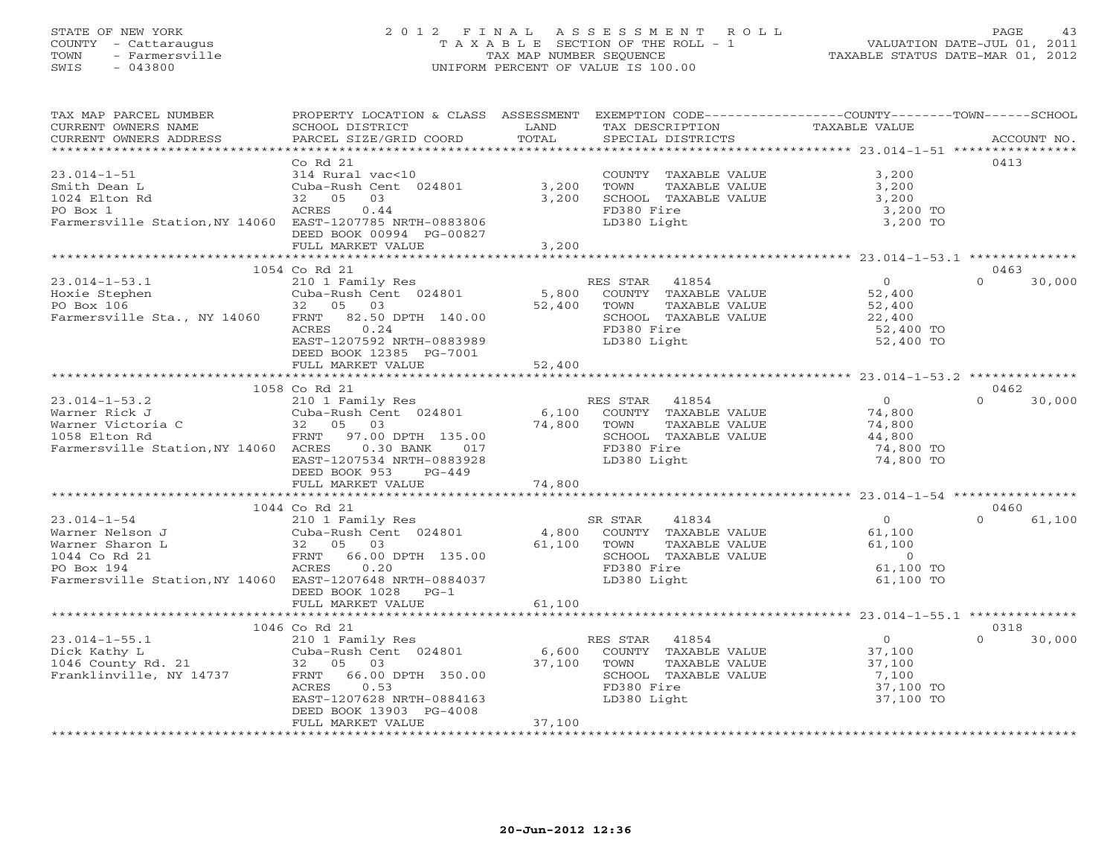#### STATE OF NEW YORK 2 0 1 2 F I N A L A S S E S S M E N T R O L L PAGE 43COUNTY - Cattaraugus T A X A B L E SECTION OF THE ROLL - 1 VALUATION DATE-JUL 01, 2011 TOWN - Farmersville TAX MAP NUMBER SEQUENCE TAXABLE STATUS DATE-MAR 01, 2012<br>SWIS - 043800 - 043800 SWIS - 043800 UNIFORM PERCENT OF VALUE IS 100.00

| TAX MAP PARCEL NUMBER<br>CURRENT OWNERS NAME<br>CURRENT OWNERS ADDRESS                                                                             | PROPERTY LOCATION & CLASS ASSESSMENT<br>SCHOOL DISTRICT<br>PARCEL SIZE/GRID COORD                                                                                                             | LAND<br>TOTAL             | EXEMPTION CODE----------------COUNTY-------TOWN------SCHOOL<br>TAX DESCRIPTION<br>SPECIAL DISTRICTS                     | TAXABLE VALUE                                                          | ACCOUNT NO.        |
|----------------------------------------------------------------------------------------------------------------------------------------------------|-----------------------------------------------------------------------------------------------------------------------------------------------------------------------------------------------|---------------------------|-------------------------------------------------------------------------------------------------------------------------|------------------------------------------------------------------------|--------------------|
| *****************                                                                                                                                  |                                                                                                                                                                                               | ************              |                                                                                                                         |                                                                        |                    |
|                                                                                                                                                    | Co <sub>Rd</sub> 21                                                                                                                                                                           |                           |                                                                                                                         |                                                                        | 0413               |
| $23.014 - 1 - 51$<br>Smith Dean L<br>1024 Elton Rd<br>PO Box 1                                                                                     | 314 Rural vac<10<br>Cuba-Rush Cent 024801<br>05<br>03<br>32<br>0.44<br>ACRES                                                                                                                  | 3,200<br>3,200            | COUNTY TAXABLE VALUE<br>TOWN<br>TAXABLE VALUE<br>SCHOOL TAXABLE VALUE<br>FD380 Fire                                     | 3,200<br>3,200<br>3,200<br>3,200 TO                                    |                    |
| Farmersville Station, NY 14060 EAST-1207785 NRTH-0883806                                                                                           | DEED BOOK 00994 PG-00827<br>FULL MARKET VALUE                                                                                                                                                 | 3,200                     | LD380 Light                                                                                                             | 3,200 TO                                                               |                    |
|                                                                                                                                                    |                                                                                                                                                                                               |                           |                                                                                                                         |                                                                        |                    |
|                                                                                                                                                    | 1054 Co Rd 21                                                                                                                                                                                 |                           |                                                                                                                         |                                                                        | 0463               |
| $23.014 - 1 - 53.1$<br>Hoxie Stephen<br>PO Box 106<br>Farmersville Sta., NY 14060                                                                  | 210 1 Family Res<br>Cuba-Rush Cent 024801<br>32<br>05<br>03<br>82.50 DPTH 140.00<br>FRNT<br>ACRES<br>0.24<br>EAST-1207592 NRTH-0883989<br>DEED BOOK 12385 PG-7001                             | 5,800<br>52,400           | RES STAR<br>41854<br>COUNTY TAXABLE VALUE<br>TAXABLE VALUE<br>TOWN<br>SCHOOL TAXABLE VALUE<br>FD380 Fire<br>LD380 Light | $\overline{0}$<br>52,400<br>52,400<br>22,400<br>52,400 TO<br>52,400 TO | $\Omega$<br>30,000 |
|                                                                                                                                                    | FULL MARKET VALUE                                                                                                                                                                             | 52,400                    |                                                                                                                         |                                                                        |                    |
|                                                                                                                                                    |                                                                                                                                                                                               |                           |                                                                                                                         |                                                                        |                    |
|                                                                                                                                                    | 1058 Co Rd 21                                                                                                                                                                                 |                           |                                                                                                                         |                                                                        | 0462               |
| $23.014 - 1 - 53.2$<br>Warner Rick J<br>Warner Victoria C<br>1058 Elton Rd<br>Farmersville Station, NY 14060 ACRES                                 | 210 1 Family Res<br>Cuba-Rush Cent 024801<br>05<br>03<br>32<br>FRNT<br>97.00 DPTH 135.00<br>$0.30$ BANK<br>017<br>EAST-1207534 NRTH-0883928<br>DEED BOOK 953<br>$PG-449$<br>FULL MARKET VALUE | 6,100<br>74,800<br>74,800 | RES STAR<br>41854<br>COUNTY TAXABLE VALUE<br>TOWN<br>TAXABLE VALUE<br>SCHOOL TAXABLE VALUE<br>FD380 Fire<br>LD380 Light | $\overline{O}$<br>74,800<br>74,800<br>44,800<br>74,800 TO<br>74,800 TO | $\Omega$<br>30,000 |
|                                                                                                                                                    |                                                                                                                                                                                               |                           |                                                                                                                         |                                                                        |                    |
|                                                                                                                                                    | 1044 Co Rd 21                                                                                                                                                                                 |                           |                                                                                                                         |                                                                        | 0460               |
| $23.014 - 1 - 54$<br>Warner Nelson J<br>Warner Sharon L<br>1044 Co Rd 21<br>PO Box 194<br>Farmersville Station, NY 14060 EAST-1207648 NRTH-0884037 | 210 1 Family Res<br>Cuba-Rush Cent 024801<br>32<br>05 03<br>FRNT<br>66.00 DPTH 135.00<br>ACRES<br>0.20<br>DEED BOOK 1028<br>$PG-1$                                                            | 4,800<br>61,100           | 41834<br>SR STAR<br>COUNTY TAXABLE VALUE<br>TOWN<br>TAXABLE VALUE<br>SCHOOL TAXABLE VALUE<br>FD380 Fire<br>LD380 Light  | $\circ$<br>61,100<br>61,100<br>$\circ$<br>61,100 TO<br>61,100 TO       | $\Omega$<br>61,100 |
|                                                                                                                                                    | FULL MARKET VALUE                                                                                                                                                                             | 61,100                    |                                                                                                                         |                                                                        |                    |
|                                                                                                                                                    |                                                                                                                                                                                               |                           |                                                                                                                         |                                                                        |                    |
|                                                                                                                                                    | 1046 Co Rd 21                                                                                                                                                                                 |                           |                                                                                                                         |                                                                        | 0318               |
| $23.014 - 1 - 55.1$<br>Dick Kathy L<br>1046 County Rd. 21<br>Franklinville, NY 14737                                                               | 210 1 Family Res<br>Cuba-Rush Cent 024801<br>05<br>03<br>32<br>FRNT<br>66.00 DPTH 350.00<br>ACRES<br>0.53<br>EAST-1207628 NRTH-0884163<br>DEED BOOK 13903 PG-4008                             | 6,600<br>37,100           | 41854<br>RES STAR<br>COUNTY TAXABLE VALUE<br>TOWN<br>TAXABLE VALUE<br>SCHOOL TAXABLE VALUE<br>FD380 Fire<br>LD380 Light | $\overline{0}$<br>37,100<br>37,100<br>7,100<br>37,100 TO<br>37,100 TO  | $\Omega$<br>30,000 |
|                                                                                                                                                    | FULL MARKET VALUE                                                                                                                                                                             | 37,100                    |                                                                                                                         |                                                                        |                    |
|                                                                                                                                                    |                                                                                                                                                                                               |                           |                                                                                                                         |                                                                        |                    |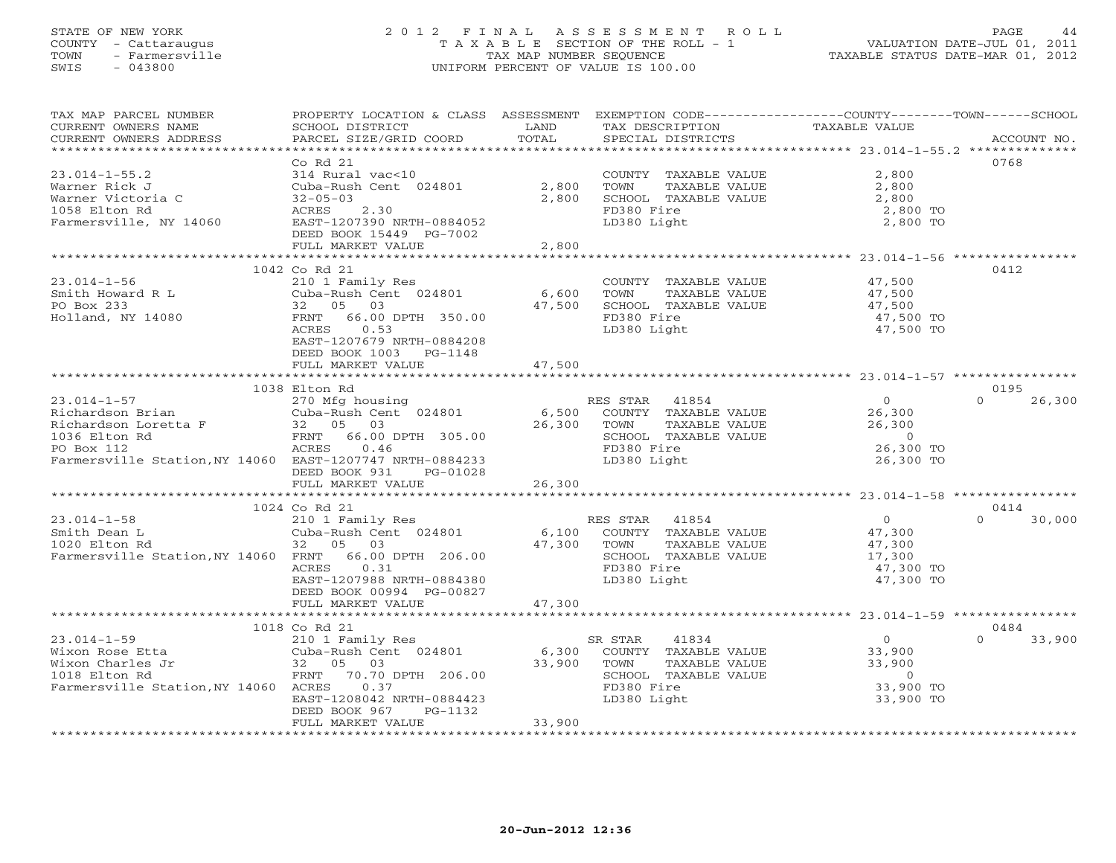#### STATE OF NEW YORK 2 0 1 2 F I N A L A S S E S S M E N T R O L L PAGE 44 COUNTY - Cattaraugus T A X A B L E SECTION OF THE ROLL - 1 VALUATION DATE-JUL 01, 2011 TOWN - Farmersville TAX MAP NUMBER SEQUENCE TAXABLE STATUS DATE-MAR 01, 2012 SWIS - 043800 UNIFORM PERCENT OF VALUE IS 100.00UNIFORM PERCENT OF VALUE IS 100.00

| TAX MAP PARCEL NUMBER<br>CURRENT OWNERS NAME<br>CURRENT OWNERS ADDRESS                                                                                                                                                                                                                                                 | PROPERTY LOCATION & CLASS ASSESSMENT<br>SCHOOL DISTRICT<br>PARCEL SIZE/GRID COORD                                                                                                                 | LAND<br>TOTAL             | TAX DESCRIPTION<br>SPECIAL DISTRICTS                                                                                          | EXEMPTION CODE-----------------COUNTY-------TOWN------SCHOOL<br>TAXABLE VALUE  | ACCOUNT NO.                |
|------------------------------------------------------------------------------------------------------------------------------------------------------------------------------------------------------------------------------------------------------------------------------------------------------------------------|---------------------------------------------------------------------------------------------------------------------------------------------------------------------------------------------------|---------------------------|-------------------------------------------------------------------------------------------------------------------------------|--------------------------------------------------------------------------------|----------------------------|
| **********************<br>$23.014 - 1 - 55.2$<br>Warner Rick J<br>Warner Victoria C<br>1058 Elton Rd<br>Farmersville, NY 14060                                                                                                                                                                                         | ************************<br>Co Rd 21<br>314 Rural vac<10<br>Cuba-Rush Cent 024801<br>$32 - 05 - 03$<br>2.30<br>ACRES<br>EAST-1207390 NRTH-0884052<br>DEED BOOK 15449 PG-7002<br>FULL MARKET VALUE | 2,800<br>2,800<br>2,800   | COUNTY TAXABLE VALUE<br>TOWN<br>TAXABLE VALUE<br>SCHOOL TAXABLE VALUE<br>FD380 Fire<br>LD380 Light                            | 2,800<br>2,800<br>2,800<br>2,800 TO<br>2,800 TO                                | 0768                       |
|                                                                                                                                                                                                                                                                                                                        |                                                                                                                                                                                                   |                           |                                                                                                                               |                                                                                |                            |
| $23.014 - 1 - 56$<br>Smith Howard R L<br>PO Box 233<br>Holland, NY 14080                                                                                                                                                                                                                                               | 1042 Co Rd 21<br>210 1 Family Res<br>Cuba-Rush Cent $024801$ 6,600<br>32 05 03<br>FRNT 66.00 DPTH 350.00<br>ACRES<br>0.53<br>EAST-1207679 NRTH-0884208<br>DEED BOOK 1003<br>PG-1148               | 47,500                    | COUNTY TAXABLE VALUE<br>TOWN<br>TAXABLE VALUE<br>SCHOOL TAXABLE VALUE<br>FD380 Fire<br>LD380 Light                            | 47,500<br>47,500<br>47,500<br>47,500 TO<br>47,500 TO                           | 0412                       |
|                                                                                                                                                                                                                                                                                                                        | FULL MARKET VALUE                                                                                                                                                                                 | 47,500                    |                                                                                                                               |                                                                                |                            |
|                                                                                                                                                                                                                                                                                                                        | 1038 Elton Rd                                                                                                                                                                                     |                           |                                                                                                                               |                                                                                | 0195                       |
| $23.014 - 1 - 57$<br>Exercise of the cubal cubality<br>Richardson Brian Cuba-Rush Cent 024801 6,500 COUNTY TAXABLE VALUE<br>Richardson Loretta F 32 05 03 26,300 TOWN TAXABLE VALUE<br>1036 Elton Rd FRNT 66.00 DPTH 305.00 SCHOOL TAXABLE VALUE<br>PO Box<br>Farmersville Station, NY 14060 EAST-1207747 NRTH-0884233 | 270 Mfg housing<br>DEED BOOK 931<br>PG-01028<br>FULL MARKET VALUE                                                                                                                                 | 26,300                    | RES STAR 41854<br>LD380 Light                                                                                                 | $\overline{0}$<br>26,300<br>26,300<br>$\circ$<br>26,300 TO<br>26,300 TO        | $\Omega$<br>26,300         |
|                                                                                                                                                                                                                                                                                                                        |                                                                                                                                                                                                   |                           |                                                                                                                               |                                                                                |                            |
| $23.014 - 1 - 58$<br>Smith Dean L<br>1020 Elton Rd<br>Farmersville Station, NY 14060 FRNT 66.00 DPTH 206.00                                                                                                                                                                                                            | 1024 Co Rd 21<br>210 1 Family Res<br>Cuba-Rush Cent 024801<br>32 05 03<br>ACRES<br>0.31<br>EAST-1207988 NRTH-0884380<br>DEED BOOK 00994 PG-00827                                                  | 47,300                    | RES STAR<br>41854<br>6,100 COUNTY TAXABLE VALUE<br>TOWN<br>TAXABLE VALUE<br>SCHOOL TAXABLE VALUE<br>FD380 Fire<br>LD380 Light | $\Omega$<br>47,300<br>47,300<br>17,300<br>47,300 TO<br>47,300 TO               | 0414<br>$\Omega$<br>30,000 |
|                                                                                                                                                                                                                                                                                                                        | FULL MARKET VALUE                                                                                                                                                                                 | 47,300                    |                                                                                                                               |                                                                                |                            |
|                                                                                                                                                                                                                                                                                                                        | 1018 Co Rd 21                                                                                                                                                                                     |                           |                                                                                                                               |                                                                                | 0484                       |
| Wixon Rose Etta<br>Wixon Charles Jr<br>Wixon Charles Jr<br>1018 Elcom Rd<br>FRNT 70.70 Practice Carpenter Control Communication Rd<br>FRNT 70.70 Practice Carpenter Control Control Control Control Control Control Control Control Cont<br>Farmersville Station, NY 14060 ACRES                                       | 0.37<br>EAST-1208042 NRTH-0884423<br>DEED BOOK 967<br>PG-1132<br>FULL MARKET VALUE                                                                                                                | 6,300<br>33,900<br>33,900 | SR STAR<br>41834<br>COUNTY TAXABLE VALUE<br>TOWN<br>TAXABLE VALUE<br>SCHOOL TAXABLE VALUE<br>FD380 Fire<br>LD380 Light        | $\overline{0}$<br>33,900<br>33,900<br>$\overline{0}$<br>33,900 TO<br>33,900 TO | 33,900<br>$\Omega$         |
|                                                                                                                                                                                                                                                                                                                        |                                                                                                                                                                                                   |                           |                                                                                                                               |                                                                                |                            |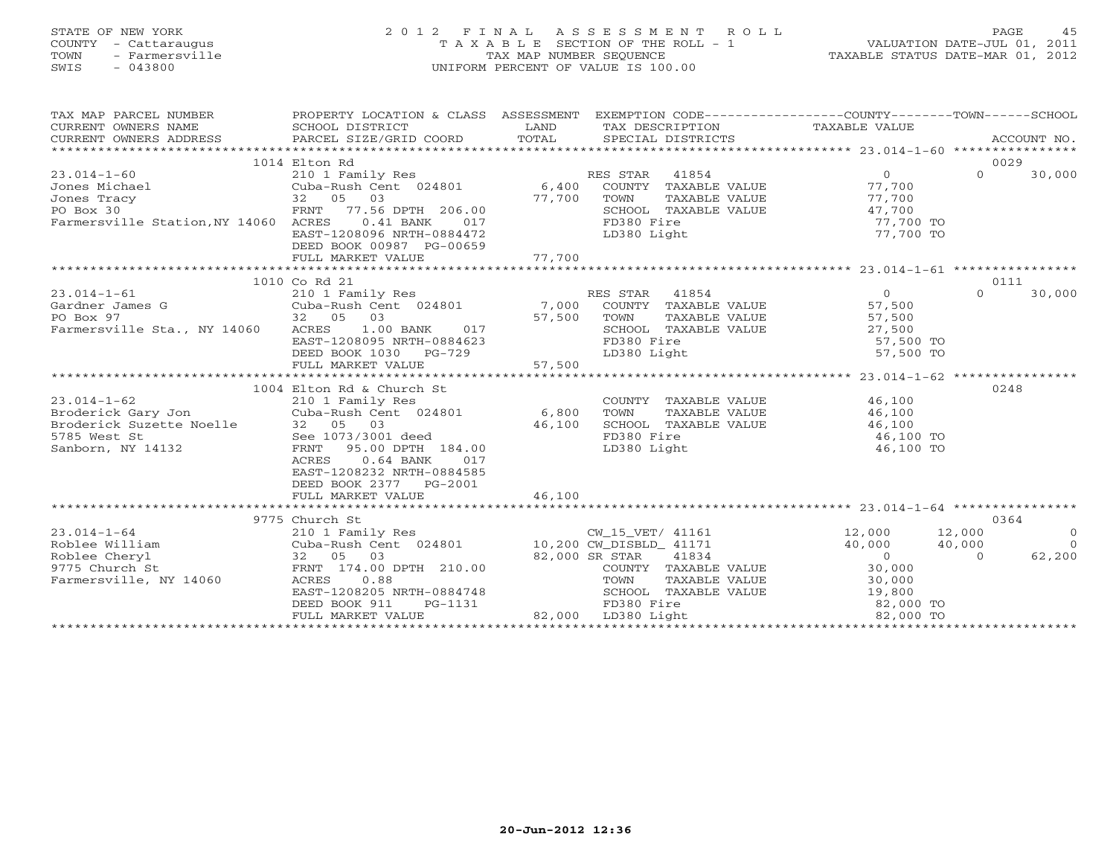# STATE OF NEW YORK 2 0 1 2 F I N A L A S S E S S M E N T R O L L PAGE 45 COUNTY - Cattaraugus T A X A B L E SECTION OF THE ROLL - 1 VALUATION DATE-JUL 01, 2011 TOWN - Farmersville TAX MAP NUMBER SEQUENCE TAXABLE STATUS DATE-MAR 01, 2012 SWIS - 043800 UNIFORM PERCENT OF VALUE IS 100.00UNIFORM PERCENT OF VALUE IS 100.00

| TAX MAP PARCEL NUMBER                                                                                                                                                                                                                                    | PROPERTY LOCATION & CLASS ASSESSMENT EXEMPTION CODE----------------COUNTY-------TOWN------SCHOOL                            |                           |                                                                                                                                                                                                                                                                                                                                                                                                                                                                                                     |                                                                                                                                  |                                            |
|----------------------------------------------------------------------------------------------------------------------------------------------------------------------------------------------------------------------------------------------------------|-----------------------------------------------------------------------------------------------------------------------------|---------------------------|-----------------------------------------------------------------------------------------------------------------------------------------------------------------------------------------------------------------------------------------------------------------------------------------------------------------------------------------------------------------------------------------------------------------------------------------------------------------------------------------------------|----------------------------------------------------------------------------------------------------------------------------------|--------------------------------------------|
| TA PIE TAND TRINITY AND TRINITY IN THE TAXING TRINITY OF THE TAXING THE TAXING CURRENT OWNERS NAME SCHOOL DISTRICT TO LAND TAXING TAXING TRINITY TAXABLE VALUE<br>CURRENT OWNERS ADDRESS PARCEL SIZE/GRID COORD TOTAL SPECIAL DIS<br>CURRENT OWNERS NAME |                                                                                                                             |                           |                                                                                                                                                                                                                                                                                                                                                                                                                                                                                                     |                                                                                                                                  |                                            |
| CURRENT OWNERS ADDRESS                                                                                                                                                                                                                                   |                                                                                                                             |                           |                                                                                                                                                                                                                                                                                                                                                                                                                                                                                                     |                                                                                                                                  |                                            |
|                                                                                                                                                                                                                                                          |                                                                                                                             |                           |                                                                                                                                                                                                                                                                                                                                                                                                                                                                                                     |                                                                                                                                  |                                            |
|                                                                                                                                                                                                                                                          | 1014 Elton Rd                                                                                                               |                           |                                                                                                                                                                                                                                                                                                                                                                                                                                                                                                     |                                                                                                                                  | 0029                                       |
| $23.014 - 1 - 60$                                                                                                                                                                                                                                        | 210 1 Family Res                                                                                                            |                           | RES STAR 41854                                                                                                                                                                                                                                                                                                                                                                                                                                                                                      | $\overline{O}$                                                                                                                   | $\Omega$<br>30,000                         |
|                                                                                                                                                                                                                                                          |                                                                                                                             |                           |                                                                                                                                                                                                                                                                                                                                                                                                                                                                                                     |                                                                                                                                  |                                            |
|                                                                                                                                                                                                                                                          |                                                                                                                             |                           |                                                                                                                                                                                                                                                                                                                                                                                                                                                                                                     |                                                                                                                                  |                                            |
| Jones Michael Cuba-Rush Cent 024801 6,400<br>1932 05 03 77,700<br>20 Box 30 FRNT 77.56 DPTH 206.00                                                                                                                                                       |                                                                                                                             | $77,700$<br>206.00<br>017 | ES STAR 41854<br>COUNTY TAXABLE VALUE 77,700<br>TOWN TAXABLE VALUE 77,700<br>COUNTI TAXABLE VALUE 47,700<br>CONTROL TAXABLE VALUE (17,700<br>SCHOOL TAXABLE VALUE 47,700<br>FD380 Fight                                                                                                                                                                                                                                                                                                             |                                                                                                                                  |                                            |
| Farmersville Station, NY 14060 ACRES                                                                                                                                                                                                                     | $0.41$ BANK                                                                                                                 |                           |                                                                                                                                                                                                                                                                                                                                                                                                                                                                                                     |                                                                                                                                  |                                            |
|                                                                                                                                                                                                                                                          | EAST-1208096 NRTH-0884472                                                                                                   |                           | LD380 Light                                                                                                                                                                                                                                                                                                                                                                                                                                                                                         | 77,700 TO                                                                                                                        |                                            |
|                                                                                                                                                                                                                                                          | DEED BOOK 00987 PG-00659                                                                                                    |                           |                                                                                                                                                                                                                                                                                                                                                                                                                                                                                                     |                                                                                                                                  |                                            |
|                                                                                                                                                                                                                                                          | FULL MARKET VALUE                                                                                                           | 77,700                    |                                                                                                                                                                                                                                                                                                                                                                                                                                                                                                     |                                                                                                                                  |                                            |
|                                                                                                                                                                                                                                                          |                                                                                                                             |                           |                                                                                                                                                                                                                                                                                                                                                                                                                                                                                                     |                                                                                                                                  |                                            |
|                                                                                                                                                                                                                                                          | 1010 Co Rd 21                                                                                                               |                           |                                                                                                                                                                                                                                                                                                                                                                                                                                                                                                     |                                                                                                                                  | 0111                                       |
| $23.014 - 1 - 61$                                                                                                                                                                                                                                        | 210 1 Family Res                                                                                                            |                           | RES STAR 41854                                                                                                                                                                                                                                                                                                                                                                                                                                                                                      | $\overline{0}$                                                                                                                   | 30,000<br>$\Omega$                         |
| Gardner James G                                                                                                                                                                                                                                          |                                                                                                                             |                           |                                                                                                                                                                                                                                                                                                                                                                                                                                                                                                     |                                                                                                                                  |                                            |
| PO Box 97 32 05 03<br>Farmersville Sta., NY 14060 ACRES 1.00 BANK 017 57,500 TOWN<br>EAST-1208095 NRTH-0884623 FD380                                                                                                                                     |                                                                                                                             |                           | TOWN TAXABLE VALUE 57,500<br>SCHOOL TAXABLE VALUE 27,500<br>FD380 Fire 57,500 TO                                                                                                                                                                                                                                                                                                                                                                                                                    |                                                                                                                                  |                                            |
|                                                                                                                                                                                                                                                          |                                                                                                                             |                           |                                                                                                                                                                                                                                                                                                                                                                                                                                                                                                     |                                                                                                                                  |                                            |
|                                                                                                                                                                                                                                                          |                                                                                                                             |                           |                                                                                                                                                                                                                                                                                                                                                                                                                                                                                                     | 57,500 TO<br>57,500 TO                                                                                                           |                                            |
|                                                                                                                                                                                                                                                          |                                                                                                                             |                           |                                                                                                                                                                                                                                                                                                                                                                                                                                                                                                     |                                                                                                                                  |                                            |
|                                                                                                                                                                                                                                                          |                                                                                                                             |                           |                                                                                                                                                                                                                                                                                                                                                                                                                                                                                                     |                                                                                                                                  |                                            |
|                                                                                                                                                                                                                                                          | 1004 Elton Rd & Church St                                                                                                   |                           |                                                                                                                                                                                                                                                                                                                                                                                                                                                                                                     |                                                                                                                                  |                                            |
| $23.014 - 1 - 62$                                                                                                                                                                                                                                        |                                                                                                                             |                           |                                                                                                                                                                                                                                                                                                                                                                                                                                                                                                     |                                                                                                                                  | 0248                                       |
| Broderick Gary Jon                                                                                                                                                                                                                                       | 210 1 Family Res<br>Cuba-Rush Cent 024801 6,800                                                                             |                           | $\begin{tabular}{llllll} \multicolumn{2}{l}{{\small\texttt{COUNTY}}} & \multicolumn{2}{l}{\small\texttt{TAXABLE} } & \multicolumn{2}{l}{\small\texttt{VALUE}} & \multicolumn{2}{l}{\small\texttt{46,100}} \\ \multicolumn{2}{l}{\small\texttt{TOWN}} & \multicolumn{2}{l}{\small\texttt{TAXABLE} } & \multicolumn{2}{l}{\small\texttt{VALUE}} & \multicolumn{2}{l}{\small\texttt{46,100}} \\ \multicolumn{2}{l}{\small\texttt{TOWN}} & \multicolumn{2}{l}{\small\texttt{TAXABLE} } & \multicolumn{$ |                                                                                                                                  |                                            |
| Broderick Gary Jon<br>Broderick Suzette Noelle<br>5785 West St<br>32 05 03<br>5785 West St<br>32 05 03<br>See 1073/3001 deed<br>FRNT 95.00 DPTH                                                                                                          |                                                                                                                             | 46,100                    | SCHOOL TAXABLE VALUE                                                                                                                                                                                                                                                                                                                                                                                                                                                                                | 46,100                                                                                                                           |                                            |
|                                                                                                                                                                                                                                                          |                                                                                                                             |                           | FD380 Fire                                                                                                                                                                                                                                                                                                                                                                                                                                                                                          | 46,100 TO                                                                                                                        |                                            |
|                                                                                                                                                                                                                                                          | FRNT 95.00 DPTH 184.00                                                                                                      |                           | LD380 Light                                                                                                                                                                                                                                                                                                                                                                                                                                                                                         | 46,100 TO                                                                                                                        |                                            |
|                                                                                                                                                                                                                                                          | ACRES 0.64 BANK<br>017                                                                                                      |                           |                                                                                                                                                                                                                                                                                                                                                                                                                                                                                                     |                                                                                                                                  |                                            |
|                                                                                                                                                                                                                                                          | EAST-1208232 NRTH-0884585                                                                                                   |                           |                                                                                                                                                                                                                                                                                                                                                                                                                                                                                                     |                                                                                                                                  |                                            |
|                                                                                                                                                                                                                                                          | DEED BOOK 2377 PG-2001                                                                                                      |                           |                                                                                                                                                                                                                                                                                                                                                                                                                                                                                                     |                                                                                                                                  |                                            |
|                                                                                                                                                                                                                                                          | FULL MARKET VALUE                                                                                                           | 46,100                    |                                                                                                                                                                                                                                                                                                                                                                                                                                                                                                     |                                                                                                                                  |                                            |
|                                                                                                                                                                                                                                                          |                                                                                                                             |                           |                                                                                                                                                                                                                                                                                                                                                                                                                                                                                                     |                                                                                                                                  |                                            |
|                                                                                                                                                                                                                                                          | 9775 Church St                                                                                                              |                           |                                                                                                                                                                                                                                                                                                                                                                                                                                                                                                     |                                                                                                                                  | 0364                                       |
| $23.014 - 1 - 64$                                                                                                                                                                                                                                        | 210 1 Family Res                                                                                                            |                           |                                                                                                                                                                                                                                                                                                                                                                                                                                                                                                     |                                                                                                                                  | 12,000                                     |
| Roblee William                                                                                                                                                                                                                                           | Cuba-Rush Cent 024801 10,200 CW_DISBLD_41171                                                                                |                           | CW_15_VET/ 41161 12,000<br>CW_DISBLD_ 41171 40,000                                                                                                                                                                                                                                                                                                                                                                                                                                                  |                                                                                                                                  | $\begin{matrix}0\\0\end{matrix}$<br>40,000 |
| Roblee Cheryl                                                                                                                                                                                                                                            |                                                                                                                             |                           | 82,000 SR STAR 41834                                                                                                                                                                                                                                                                                                                                                                                                                                                                                |                                                                                                                                  | 62,200<br>$\sim$ 0                         |
| 9775 Church St                                                                                                                                                                                                                                           |                                                                                                                             |                           |                                                                                                                                                                                                                                                                                                                                                                                                                                                                                                     |                                                                                                                                  |                                            |
| Farmersville, NY 14060                                                                                                                                                                                                                                   | $\begin{array}{cccc} 32 & 05 & 03 \\ \text{FRNT} & 174.00 \text{ DPTH} & 210.00 \\ 14060 & \text{ACRES} & 0.88 \end{array}$ |                           | COUNTY TAXABLE VALUE<br>TOWN     TAXABLE VALUE                                                                                                                                                                                                                                                                                                                                                                                                                                                      | $\begin{array}{ccc}\n & 40,000 \\ \hline\n\text{LE} & 0 \\  & 30,000 \\  & \text{S0,000} \\  & 30,000 \\  & 30,000\n\end{array}$ |                                            |
|                                                                                                                                                                                                                                                          | EAST-1208205 NRTH-0884748                                                                                                   |                           | SCHOOL TAXABLE VALUE                                                                                                                                                                                                                                                                                                                                                                                                                                                                                | 19,800                                                                                                                           |                                            |
|                                                                                                                                                                                                                                                          | DEED BOOK 911<br>PG-1131                                                                                                    |                           |                                                                                                                                                                                                                                                                                                                                                                                                                                                                                                     |                                                                                                                                  |                                            |
|                                                                                                                                                                                                                                                          | FULL MARKET VALUE                                                                                                           |                           | 131 FD380 Fire<br>82,000 LD380 Light                                                                                                                                                                                                                                                                                                                                                                                                                                                                | $\frac{2}{82}$ , 000 TO                                                                                                          |                                            |
|                                                                                                                                                                                                                                                          |                                                                                                                             |                           |                                                                                                                                                                                                                                                                                                                                                                                                                                                                                                     |                                                                                                                                  |                                            |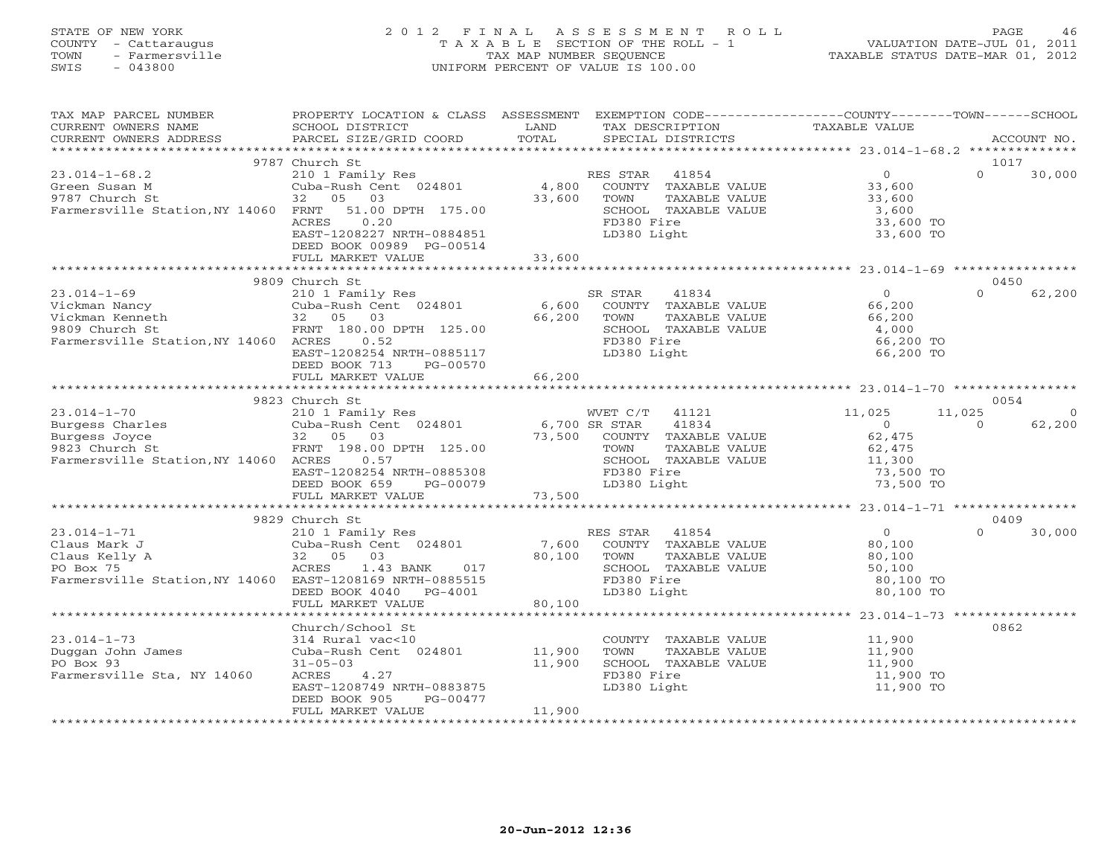# STATE OF NEW YORK 2 0 1 2 F I N A L A S S E S S M E N T R O L L PAGE 46 COUNTY - Cattaraugus T A X A B L E SECTION OF THE ROLL - 1 VALUATION DATE-JUL 01, 2011 TOWN - Farmersville TAX MAP NUMBER SEQUENCE TAXABLE STATUS DATE-MAR 01, 2012 SWIS - 043800 UNIFORM PERCENT OF VALUE IS 100.00UNIFORM PERCENT OF VALUE IS 100.00

| TAX MAP PARCEL NUMBER<br>CURRENT OWNERS NAME<br>$\begin{minipage}{.45\textwidth} \begin{minipage}{.45\textwidth} \begin{minipage}{.45\textwidth} \begin{minipage}{.45\textwidth} \begin{minipage}{.45\textwidth} \begin{minipage}{.45\textwidth} \begin{minipage}{.45\textwidth} \begin{minipage}{.45\textwidth} \begin{minipage}{.45\textwidth} \begin{minipage}{.45\textwidth} \begin{minipage}{.45\textwidth} \begin{minipage}{.45\textwidth} \begin{minipage}{.45\textwidth} \begin{minipage}{.45\textwidth} \begin{minipage}{.45\textwidth} \begin{minipage}{.45$ | PROPERTY LOCATION & CLASS ASSESSMENT EXEMPTION CODE---------------COUNTY-------TOWN------SCHOOL<br>SCHOOL DISTRICT                                                                                                                                                                                  | LAND             | TAX DESCRIPTION                                                                                                      | TAXABLE VALUE                                                                              |                                 |
|------------------------------------------------------------------------------------------------------------------------------------------------------------------------------------------------------------------------------------------------------------------------------------------------------------------------------------------------------------------------------------------------------------------------------------------------------------------------------------------------------------------------------------------------------------------------|-----------------------------------------------------------------------------------------------------------------------------------------------------------------------------------------------------------------------------------------------------------------------------------------------------|------------------|----------------------------------------------------------------------------------------------------------------------|--------------------------------------------------------------------------------------------|---------------------------------|
|                                                                                                                                                                                                                                                                                                                                                                                                                                                                                                                                                                        |                                                                                                                                                                                                                                                                                                     |                  |                                                                                                                      |                                                                                            |                                 |
| $23.014 - 1 - 68.2$<br>Green Susan M<br>9787 Church St<br>Farmersville Station, NY 14060 FRNT 51.00 DPTH 175.00                                                                                                                                                                                                                                                                                                                                                                                                                                                        | 9787 Church St<br>210 1 Family Res<br>Cuba-Rush Cent 024801 (a) 4,800 COUNTY TAXABLE VALUE<br>32 05 03 33,600 TOWN TAXABLE VALUE 33,600<br>FRNT 51.00 DPTH 175.00 (SCHOOL TAXABLE VALUE 3,600 33,600<br>ACRES<br>0.20<br>EAST-1208227 NRTH-0884851<br>DEED BOOK 00989 PG-00514<br>FULL MARKET VALUE | 33,600           | FD380 Fire<br>LD380 Light                                                                                            | 33,600 TO<br>33,600 TO                                                                     | 1017<br>$\Omega$<br>30,000      |
|                                                                                                                                                                                                                                                                                                                                                                                                                                                                                                                                                                        |                                                                                                                                                                                                                                                                                                     |                  |                                                                                                                      |                                                                                            |                                 |
| $23.014 - 1 - 69$<br>Vickman Nancy<br>Vickman Kenneth<br>9809 Church St<br>9809 Church St<br>FRNT 180.00<br>Farmersville Station, NY 14060 ACRES                                                                                                                                                                                                                                                                                                                                                                                                                       | 9809 Church St<br>FRNT 180.00 DPTH 125.00<br>0.52<br>EAST-1208254 NRTH-0885117<br>DEED BOOK 713<br>PG-00570                                                                                                                                                                                         | 66,200           | SCHOOL TAXABLE VALUE<br>FD380 Fire<br>LD380 Light                                                                    | 4,000<br>66,200 TO<br>66,200 TO                                                            | 0450<br>$\Omega$<br>62,200      |
|                                                                                                                                                                                                                                                                                                                                                                                                                                                                                                                                                                        |                                                                                                                                                                                                                                                                                                     |                  |                                                                                                                      |                                                                                            |                                 |
|                                                                                                                                                                                                                                                                                                                                                                                                                                                                                                                                                                        |                                                                                                                                                                                                                                                                                                     |                  |                                                                                                                      |                                                                                            |                                 |
| 3.014-1-70<br>210 1 Family Res<br>210 1 Family Res<br>210 1 Family Res<br>210 1 Family Res<br>210 1 Family Res<br>210 1 Family Res<br>210 1 Family Res<br>210 1 Family Res<br>210 6,700 SR STAR<br>41834<br>6,700 SR STAR<br>41834<br>205 03<br>205 03<br>20                                                                                                                                                                                                                                                                                                           | EAST-1208254 NRTH-0885308<br>DEED BOOK 659 PG-00079                                                                                                                                                                                                                                                 |                  | TAXABLE VALUE<br>SCHOOL TAXABLE VALUE<br>FD380 Fire<br>LD380 Light                                                   | 11,025<br>11,025<br>$\overline{0}$<br>62,475<br>62,475<br>11,300<br>73,500 TO<br>73,500 TO | 0054<br>റ<br>62,200<br>$\Omega$ |
|                                                                                                                                                                                                                                                                                                                                                                                                                                                                                                                                                                        | 9829 Church St                                                                                                                                                                                                                                                                                      |                  |                                                                                                                      |                                                                                            | 0409                            |
| $23.014 - 1 - 71$<br>Claus Mark J<br>Claus Kelly A<br>PO Box 75<br>Farmersville Station, NY 14060 EAST-1208169 NRTH-0885515                                                                                                                                                                                                                                                                                                                                                                                                                                            | Church St<br>210 1 Family Res<br>Cuba-Rush Cent 024801<br>32 05 03<br>ACRES 1.43 BANK 017<br>EAST-1208169 NRTH-0885515<br>FD380 Fire<br>LD380 Light<br>CHOOL TAXABLE VALUE<br>EAST-1208169 NRTH-0885515<br>FD380 Fire<br>LD380 Light<br>FULL MARKET VALUE                                           | 80,100           | SCHOOL TAXABLE VALUE                                                                                                 | $\overline{0}$<br>80,100<br>80,100<br>50,100<br>80,100 TO<br>80,100 TO                     | 30,000<br>$\Omega$              |
|                                                                                                                                                                                                                                                                                                                                                                                                                                                                                                                                                                        |                                                                                                                                                                                                                                                                                                     |                  |                                                                                                                      |                                                                                            |                                 |
| $23.014 - 1 - 73$<br>Duggan John James<br>PO Box 93<br>Farmersville Sta, NY 14060                                                                                                                                                                                                                                                                                                                                                                                                                                                                                      | Church/School St<br>314 Rural vac<10<br>Cuba-Rush Cent 024801 11,900<br>$31 - 05 - 03$<br>ACRES 4.27<br>EAST-1208749 NRTH-0883875<br>DEED BOOK 905<br>PG-00477<br>FULL MARKET VALUE                                                                                                                 | 11,900<br>11,900 | COUNTY TAXABLE VALUE 11,900<br>TOWN TAXABLE VALUE 11,900<br>SCHOOL TAXABLE VALUE 11,900<br>FD380 Fire<br>LD380 Light | 11,900 TO<br>11,900 TO                                                                     | 0862                            |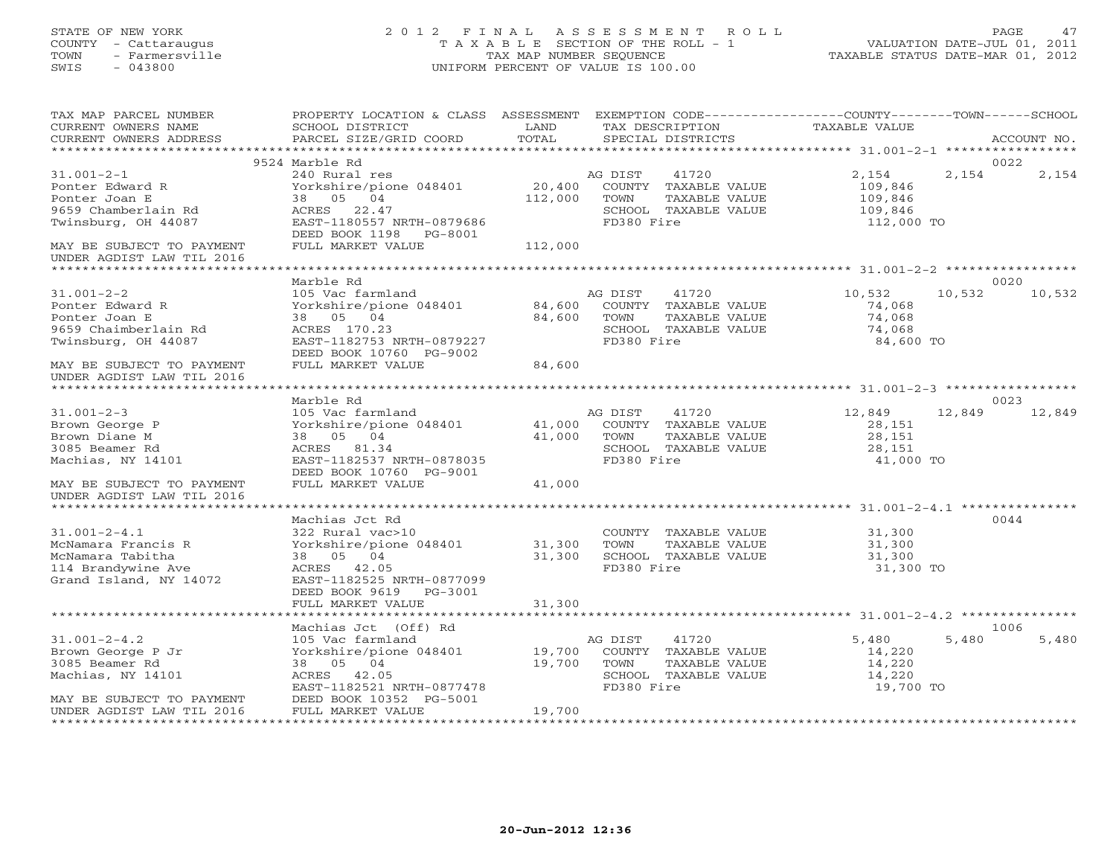## STATE OF NEW YORK 2 0 1 2 F I N A L A S S E S S M E N T R O L L PAGE 47 COUNTY - Cattaraugus T A X A B L E SECTION OF THE ROLL - 1 VALUATION DATE-JUL 01, 2011 TOWN - Farmersville TAX MAP NUMBER SEQUENCE TAXABLE STATUS DATE-MAR 01, 2012 SWIS - 043800 UNIFORM PERCENT OF VALUE IS 100.00UNIFORM PERCENT OF VALUE IS 100.00

| TAX MAP PARCEL NUMBER<br>CURRENT OWNERS NAME<br>CURRENT OWNERS ADDRESS                                       | PROPERTY LOCATION & CLASS ASSESSMENT EXEMPTION CODE---------------COUNTY-------TOWN------SCHOOL<br>SCHOOL DISTRICT<br>PARCEL SIZE/GRID COORD                        | LAND<br>TOTAL              |                               | TAX DESCRIPTION<br>SPECIAL DISTRICTS                                          | TAXABLE VALUE                                     |        | ACCOUNT NO. |
|--------------------------------------------------------------------------------------------------------------|---------------------------------------------------------------------------------------------------------------------------------------------------------------------|----------------------------|-------------------------------|-------------------------------------------------------------------------------|---------------------------------------------------|--------|-------------|
|                                                                                                              |                                                                                                                                                                     |                            |                               |                                                                               |                                                   |        |             |
|                                                                                                              | 9524 Marble Rd                                                                                                                                                      |                            |                               |                                                                               |                                                   |        | 0022        |
| $31.001 - 2 - 1$<br>Ponter Edward R<br>Ponter Joan E<br>9659 Chamberlain Rd                                  | 240 Rural res<br>Yorkshire/pione 048401<br>38 05 04<br>ACRES 22.47                                                                                                  | 112,000                    | AG DIST<br>TOWN               | 41720<br>20,400 COUNTY TAXABLE VALUE<br>TAXABLE VALUE<br>SCHOOL TAXABLE VALUE | 2,154<br>109,846<br>109,846<br>109,846            | 2,154  | 2,154       |
| Twinsburg, OH 44087<br>MAY BE SUBJECT TO PAYMENT                                                             | EAST-1180557 NRTH-0879686<br>DEED BOOK 1198 PG-8001<br>FULL MARKET VALUE                                                                                            | 112,000                    | FD380 Fire                    |                                                                               | 112,000 TO                                        |        |             |
| UNDER AGDIST LAW TIL 2016                                                                                    |                                                                                                                                                                     |                            |                               |                                                                               |                                                   |        |             |
|                                                                                                              | Marble Rd                                                                                                                                                           |                            |                               |                                                                               |                                                   |        | 0020        |
| $31.001 - 2 - 2$<br>Ponter Edward R<br>Ponter Joan E<br>9659 Chaimberlain Rd<br>Twinsburg, OH 44087          | 105 Vac farmland<br>Yorkshire/pione 048401 84,600<br>38 05 04<br>ACRES 170.23<br>EAST-1182753 NRTH-0879227<br>DEED BOOK 10760 PG-9002                               | 84,600                     | AG DIST<br>TOWN<br>FD380 Fire | 41720<br>COUNTY TAXABLE VALUE<br>TAXABLE VALUE<br>SCHOOL TAXABLE VALUE        | 10,532<br>74,068<br>74,068<br>74,068<br>84,600 TO | 10,532 | 10,532      |
| MAY BE SUBJECT TO PAYMENT                                                                                    | FULL MARKET VALUE                                                                                                                                                   | 84,600                     |                               |                                                                               |                                                   |        |             |
| UNDER AGDIST LAW TIL 2016                                                                                    |                                                                                                                                                                     |                            |                               |                                                                               |                                                   |        |             |
|                                                                                                              | Marble Rd                                                                                                                                                           |                            |                               |                                                                               |                                                   |        | 0023        |
| $31.001 - 2 - 3$<br>Brown George P<br>Brown Diane M<br>3085 Beamer Rd<br>Machias, NY 14101                   | 105 Vac farmland<br>Yorkshire/pione 048401<br>38 05 04<br>ACRES 81.34<br>EAST-1182537 NRTH-0878035<br>DEED BOOK 10760 PG-9001                                       | 41,000<br>41,000           | AG DIST<br>TOWN<br>FD380 Fire | 41720<br>COUNTY TAXABLE VALUE<br>TAXABLE VALUE<br>SCHOOL TAXABLE VALUE        | 12,849<br>28,151<br>28,151<br>28,151<br>41,000 TO | 12,849 | 12,849      |
| MAY BE SUBJECT TO PAYMENT<br>UNDER AGDIST LAW TIL 2016                                                       | FULL MARKET VALUE                                                                                                                                                   | 41,000                     |                               |                                                                               |                                                   |        |             |
|                                                                                                              |                                                                                                                                                                     |                            |                               |                                                                               |                                                   |        |             |
| $31.001 - 2 - 4.1$<br>McNamara Francis R<br>McNamara Tabitha<br>114 Brandywine Ave<br>Grand Island, NY 14072 | Machias Jct Rd<br>322 Rural vac>10<br>Yorkshire/pione 048401<br>38 05 04<br>ACRES 42.05<br>EAST-1182525 NRTH-0877099<br>DEED BOOK 9619 PG-3001<br>FULL MARKET VALUE | 31,300<br>31,300<br>31,300 | TOWN<br>FD380 Fire            | COUNTY TAXABLE VALUE<br>TAXABLE VALUE<br>SCHOOL TAXABLE VALUE                 | 31,300<br>31,300<br>31,300<br>31,300 TO           |        | 0044        |
|                                                                                                              |                                                                                                                                                                     |                            |                               |                                                                               |                                                   |        |             |
|                                                                                                              | Machias Jct (Off) Rd                                                                                                                                                |                            |                               |                                                                               |                                                   |        | 1006        |
| $31.001 - 2 - 4.2$<br>Brown George P Jr<br>3085 Beamer Rd<br>Machias, NY 14101<br>MAY BE SUBJECT TO PAYMENT  | 105 Vac farmland<br>Yorkshire/pione 048401 19,700<br>38 05 04<br>ACRES 42.05<br>EAST-1182521 NRTH-0877478<br>DEED BOOK 10352 PG-5001                                | 19,700                     | AG DIST<br>TOWN<br>FD380 Fire | 41720<br>COUNTY TAXABLE VALUE<br>TAXABLE VALUE<br>SCHOOL TAXABLE VALUE        | 5,480<br>14,220<br>14,220<br>14,220<br>19,700 TO  | 5,480  | 5,480       |
| UNDER AGDIST LAW TIL 2016                                                                                    | FULL MARKET VALUE                                                                                                                                                   | 19,700                     |                               |                                                                               |                                                   |        |             |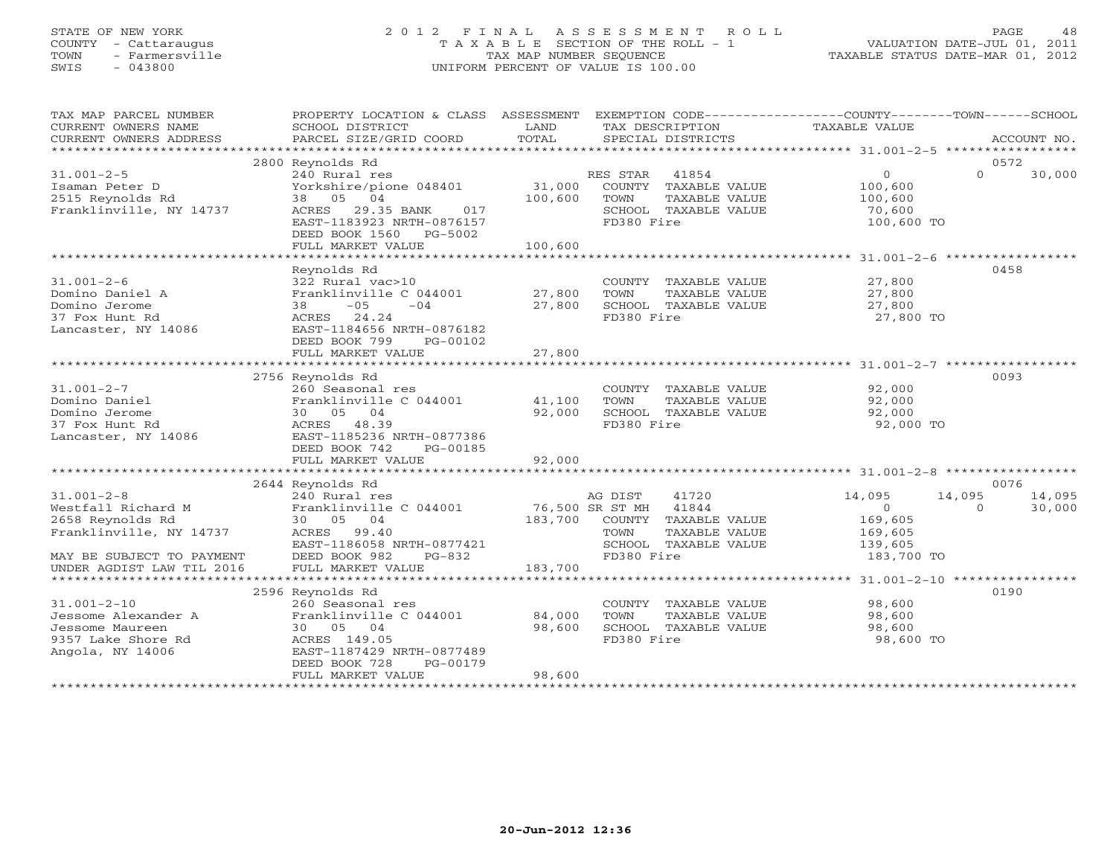#### STATE OF NEW YORK 2 0 1 2 F I N A L A S S E S S M E N T R O L L PAGE 48 COUNTY - Cattaraugus T A X A B L E SECTION OF THE ROLL - 1 VALUATION DATE-JUL 01, 2011 TOWN - Farmersville TAX MAP NUMBER SEQUENCE TAXABLE STATUS DATE-MAR 01, 2012 SWIS - 043800 UNIFORM PERCENT OF VALUE IS 100.00UNIFORM PERCENT OF VALUE IS 100.00

| 2800 Reynolds Rd<br>0572<br>$\circ$<br>$\Omega$<br>$31.001 - 2 - 5$<br>240 Rural res<br>RES STAR 41854<br>30,000<br>Yorkshire/pione 048401 31,000<br>COUNTY TAXABLE VALUE<br>100,600<br>Isaman Peter D<br>38 05 04<br>2515 Reynolds Rd<br>100,600 TOWN<br>TAXABLE VALUE<br>100,600<br>Franklinville, NY 14737<br>ACRES 29.35 BANK<br>017<br>SCHOOL TAXABLE VALUE<br>70,600<br>FD380 Fire<br>EAST-1183923 NRTH-0876157<br>100,600 TO<br>DEED BOOK 1560 PG-5002<br>FULL MARKET VALUE<br>100,600<br>0458<br>Reynolds Rd<br>322 Rural vac>10<br>COUNTY TAXABLE VALUE 27,800<br>$31.001 - 2 - 6$<br>Franklinville C $0.44001$ 27,800<br>Domino Daniel A<br>TOWN<br>Domino Jerome<br>$38 - 05$<br>$-04$<br>27,800<br>SCHOOL TAXABLE VALUE<br>37 Fox Hunt Rd<br>FD380 Fire<br>27,800 TO<br>ACRES 24.24<br>Lancaster, NY 14086<br>EAST-1184656 NRTH-0876182<br>DEED BOOK 799<br>PG-00102<br>FULL MARKET VALUE<br>27,800<br>0093<br>2756 Reynolds Rd<br>260 Seasonal res<br>COUNTY TAXABLE VALUE 92,000<br>$31.001 - 2 - 7$<br>Franklinville C 044001 41,100<br>TAXABLE VALUE<br>92,000<br>Domino Daniel<br>TOWN<br>92,000<br>Domino Jerome<br>30 05 04<br>92,000<br>SCHOOL TAXABLE VALUE<br>37 Fox Hunt Rd<br>ACRES 48.39<br>FD380 Fire<br>92,000 TO<br>Lancaster, NY 14086<br>EAST-1185236 NRTH-0877386<br>DEED BOOK 742<br>PG-00185<br>FULL MARKET VALUE<br>92,000<br>0076<br>2644 Reynolds Rd<br>$31.001 - 2 - 8$<br>14,095<br>240 Rural res<br>AG DIST<br>41720<br>14,095<br>14,095<br>Westfall Richard M Franklinville C 044001 76,500 SR ST MH 41844<br>$\overline{0}$<br>$\Omega$<br>30,000<br>2658 Reynolds Rd<br>30 05 04<br>183,700 COUNTY TAXABLE VALUE<br>169,605<br>Franklinville, NY 14737<br>ACRES 99.40<br>TOWN<br>TAXABLE VALUE<br>169,605<br>EAST-1186058 NRTH-0877421<br>SCHOOL TAXABLE VALUE<br>139,605<br>MAY BE SUBJECT TO PAYMENT<br>FD380 Fire<br>DEED BOOK 982<br>PG-832<br>183,700 TO<br>UNDER AGDIST LAW TIL 2016<br>FULL MARKET VALUE<br>183,700<br>0190<br>2596 Reynolds Rd<br>$31.001 - 2 - 10$<br>260 Seasonal res<br>98,600<br>COUNTY TAXABLE VALUE<br>Franklinville C 044001 84,000<br>Jessome Alexander A<br>TAXABLE VALUE<br>98,600<br>TOWN<br>Jessome Maureen<br>30 05 04<br>98,600<br>SCHOOL TAXABLE VALUE<br>98,600<br>FD380 Fire<br>98,600 TO<br>9357 Lake Shore Rd<br>ACRES 149.05<br>Angola, NY 14006<br>EAST-1187429 NRTH-0877489<br>DEED BOOK 728<br>PG-00179<br>FULL MARKET VALUE<br>98,600 | TAX MAP PARCEL NUMBER<br>CURRENT OWNERS NAME<br>CURRENT OWNERS ADDRESS | PROPERTY LOCATION & CLASS ASSESSMENT EXEMPTION CODE---------------COUNTY-------TOWN------SCHOOL<br>SCHOOL DISTRICT<br>PARCEL SIZE/GRID COORD | <b>EXAMPLE DESCRIPTION OF A LAND</b><br>TOTAL | TAX DESCRIPTION<br>SPECIAL DISTRICTS | TAXABLE VALUE | ACCOUNT NO. |
|---------------------------------------------------------------------------------------------------------------------------------------------------------------------------------------------------------------------------------------------------------------------------------------------------------------------------------------------------------------------------------------------------------------------------------------------------------------------------------------------------------------------------------------------------------------------------------------------------------------------------------------------------------------------------------------------------------------------------------------------------------------------------------------------------------------------------------------------------------------------------------------------------------------------------------------------------------------------------------------------------------------------------------------------------------------------------------------------------------------------------------------------------------------------------------------------------------------------------------------------------------------------------------------------------------------------------------------------------------------------------------------------------------------------------------------------------------------------------------------------------------------------------------------------------------------------------------------------------------------------------------------------------------------------------------------------------------------------------------------------------------------------------------------------------------------------------------------------------------------------------------------------------------------------------------------------------------------------------------------------------------------------------------------------------------------------------------------------------------------------------------------------------------------------------------------------------------------------------------------------------------------------------------------------------------------------------------------------------------------------------------------------------------------------------------|------------------------------------------------------------------------|----------------------------------------------------------------------------------------------------------------------------------------------|-----------------------------------------------|--------------------------------------|---------------|-------------|
|                                                                                                                                                                                                                                                                                                                                                                                                                                                                                                                                                                                                                                                                                                                                                                                                                                                                                                                                                                                                                                                                                                                                                                                                                                                                                                                                                                                                                                                                                                                                                                                                                                                                                                                                                                                                                                                                                                                                                                                                                                                                                                                                                                                                                                                                                                                                                                                                                                 |                                                                        |                                                                                                                                              |                                               |                                      |               |             |
|                                                                                                                                                                                                                                                                                                                                                                                                                                                                                                                                                                                                                                                                                                                                                                                                                                                                                                                                                                                                                                                                                                                                                                                                                                                                                                                                                                                                                                                                                                                                                                                                                                                                                                                                                                                                                                                                                                                                                                                                                                                                                                                                                                                                                                                                                                                                                                                                                                 |                                                                        |                                                                                                                                              |                                               |                                      |               |             |
|                                                                                                                                                                                                                                                                                                                                                                                                                                                                                                                                                                                                                                                                                                                                                                                                                                                                                                                                                                                                                                                                                                                                                                                                                                                                                                                                                                                                                                                                                                                                                                                                                                                                                                                                                                                                                                                                                                                                                                                                                                                                                                                                                                                                                                                                                                                                                                                                                                 |                                                                        |                                                                                                                                              |                                               |                                      |               |             |
|                                                                                                                                                                                                                                                                                                                                                                                                                                                                                                                                                                                                                                                                                                                                                                                                                                                                                                                                                                                                                                                                                                                                                                                                                                                                                                                                                                                                                                                                                                                                                                                                                                                                                                                                                                                                                                                                                                                                                                                                                                                                                                                                                                                                                                                                                                                                                                                                                                 |                                                                        |                                                                                                                                              |                                               |                                      |               |             |
|                                                                                                                                                                                                                                                                                                                                                                                                                                                                                                                                                                                                                                                                                                                                                                                                                                                                                                                                                                                                                                                                                                                                                                                                                                                                                                                                                                                                                                                                                                                                                                                                                                                                                                                                                                                                                                                                                                                                                                                                                                                                                                                                                                                                                                                                                                                                                                                                                                 |                                                                        |                                                                                                                                              |                                               |                                      |               |             |
|                                                                                                                                                                                                                                                                                                                                                                                                                                                                                                                                                                                                                                                                                                                                                                                                                                                                                                                                                                                                                                                                                                                                                                                                                                                                                                                                                                                                                                                                                                                                                                                                                                                                                                                                                                                                                                                                                                                                                                                                                                                                                                                                                                                                                                                                                                                                                                                                                                 |                                                                        |                                                                                                                                              |                                               |                                      |               |             |
|                                                                                                                                                                                                                                                                                                                                                                                                                                                                                                                                                                                                                                                                                                                                                                                                                                                                                                                                                                                                                                                                                                                                                                                                                                                                                                                                                                                                                                                                                                                                                                                                                                                                                                                                                                                                                                                                                                                                                                                                                                                                                                                                                                                                                                                                                                                                                                                                                                 |                                                                        |                                                                                                                                              |                                               |                                      |               |             |
|                                                                                                                                                                                                                                                                                                                                                                                                                                                                                                                                                                                                                                                                                                                                                                                                                                                                                                                                                                                                                                                                                                                                                                                                                                                                                                                                                                                                                                                                                                                                                                                                                                                                                                                                                                                                                                                                                                                                                                                                                                                                                                                                                                                                                                                                                                                                                                                                                                 |                                                                        |                                                                                                                                              |                                               |                                      |               |             |
|                                                                                                                                                                                                                                                                                                                                                                                                                                                                                                                                                                                                                                                                                                                                                                                                                                                                                                                                                                                                                                                                                                                                                                                                                                                                                                                                                                                                                                                                                                                                                                                                                                                                                                                                                                                                                                                                                                                                                                                                                                                                                                                                                                                                                                                                                                                                                                                                                                 |                                                                        |                                                                                                                                              |                                               |                                      |               |             |
|                                                                                                                                                                                                                                                                                                                                                                                                                                                                                                                                                                                                                                                                                                                                                                                                                                                                                                                                                                                                                                                                                                                                                                                                                                                                                                                                                                                                                                                                                                                                                                                                                                                                                                                                                                                                                                                                                                                                                                                                                                                                                                                                                                                                                                                                                                                                                                                                                                 |                                                                        |                                                                                                                                              |                                               |                                      |               |             |
|                                                                                                                                                                                                                                                                                                                                                                                                                                                                                                                                                                                                                                                                                                                                                                                                                                                                                                                                                                                                                                                                                                                                                                                                                                                                                                                                                                                                                                                                                                                                                                                                                                                                                                                                                                                                                                                                                                                                                                                                                                                                                                                                                                                                                                                                                                                                                                                                                                 |                                                                        |                                                                                                                                              |                                               |                                      |               |             |
|                                                                                                                                                                                                                                                                                                                                                                                                                                                                                                                                                                                                                                                                                                                                                                                                                                                                                                                                                                                                                                                                                                                                                                                                                                                                                                                                                                                                                                                                                                                                                                                                                                                                                                                                                                                                                                                                                                                                                                                                                                                                                                                                                                                                                                                                                                                                                                                                                                 |                                                                        |                                                                                                                                              |                                               |                                      |               |             |
|                                                                                                                                                                                                                                                                                                                                                                                                                                                                                                                                                                                                                                                                                                                                                                                                                                                                                                                                                                                                                                                                                                                                                                                                                                                                                                                                                                                                                                                                                                                                                                                                                                                                                                                                                                                                                                                                                                                                                                                                                                                                                                                                                                                                                                                                                                                                                                                                                                 |                                                                        |                                                                                                                                              |                                               |                                      |               |             |
|                                                                                                                                                                                                                                                                                                                                                                                                                                                                                                                                                                                                                                                                                                                                                                                                                                                                                                                                                                                                                                                                                                                                                                                                                                                                                                                                                                                                                                                                                                                                                                                                                                                                                                                                                                                                                                                                                                                                                                                                                                                                                                                                                                                                                                                                                                                                                                                                                                 |                                                                        |                                                                                                                                              |                                               |                                      |               |             |
|                                                                                                                                                                                                                                                                                                                                                                                                                                                                                                                                                                                                                                                                                                                                                                                                                                                                                                                                                                                                                                                                                                                                                                                                                                                                                                                                                                                                                                                                                                                                                                                                                                                                                                                                                                                                                                                                                                                                                                                                                                                                                                                                                                                                                                                                                                                                                                                                                                 |                                                                        |                                                                                                                                              |                                               |                                      |               |             |
|                                                                                                                                                                                                                                                                                                                                                                                                                                                                                                                                                                                                                                                                                                                                                                                                                                                                                                                                                                                                                                                                                                                                                                                                                                                                                                                                                                                                                                                                                                                                                                                                                                                                                                                                                                                                                                                                                                                                                                                                                                                                                                                                                                                                                                                                                                                                                                                                                                 |                                                                        |                                                                                                                                              |                                               |                                      |               |             |
|                                                                                                                                                                                                                                                                                                                                                                                                                                                                                                                                                                                                                                                                                                                                                                                                                                                                                                                                                                                                                                                                                                                                                                                                                                                                                                                                                                                                                                                                                                                                                                                                                                                                                                                                                                                                                                                                                                                                                                                                                                                                                                                                                                                                                                                                                                                                                                                                                                 |                                                                        |                                                                                                                                              |                                               |                                      |               |             |
|                                                                                                                                                                                                                                                                                                                                                                                                                                                                                                                                                                                                                                                                                                                                                                                                                                                                                                                                                                                                                                                                                                                                                                                                                                                                                                                                                                                                                                                                                                                                                                                                                                                                                                                                                                                                                                                                                                                                                                                                                                                                                                                                                                                                                                                                                                                                                                                                                                 |                                                                        |                                                                                                                                              |                                               |                                      |               |             |
|                                                                                                                                                                                                                                                                                                                                                                                                                                                                                                                                                                                                                                                                                                                                                                                                                                                                                                                                                                                                                                                                                                                                                                                                                                                                                                                                                                                                                                                                                                                                                                                                                                                                                                                                                                                                                                                                                                                                                                                                                                                                                                                                                                                                                                                                                                                                                                                                                                 |                                                                        |                                                                                                                                              |                                               |                                      |               |             |
|                                                                                                                                                                                                                                                                                                                                                                                                                                                                                                                                                                                                                                                                                                                                                                                                                                                                                                                                                                                                                                                                                                                                                                                                                                                                                                                                                                                                                                                                                                                                                                                                                                                                                                                                                                                                                                                                                                                                                                                                                                                                                                                                                                                                                                                                                                                                                                                                                                 |                                                                        |                                                                                                                                              |                                               |                                      |               |             |
|                                                                                                                                                                                                                                                                                                                                                                                                                                                                                                                                                                                                                                                                                                                                                                                                                                                                                                                                                                                                                                                                                                                                                                                                                                                                                                                                                                                                                                                                                                                                                                                                                                                                                                                                                                                                                                                                                                                                                                                                                                                                                                                                                                                                                                                                                                                                                                                                                                 |                                                                        |                                                                                                                                              |                                               |                                      |               |             |
|                                                                                                                                                                                                                                                                                                                                                                                                                                                                                                                                                                                                                                                                                                                                                                                                                                                                                                                                                                                                                                                                                                                                                                                                                                                                                                                                                                                                                                                                                                                                                                                                                                                                                                                                                                                                                                                                                                                                                                                                                                                                                                                                                                                                                                                                                                                                                                                                                                 |                                                                        |                                                                                                                                              |                                               |                                      |               |             |
|                                                                                                                                                                                                                                                                                                                                                                                                                                                                                                                                                                                                                                                                                                                                                                                                                                                                                                                                                                                                                                                                                                                                                                                                                                                                                                                                                                                                                                                                                                                                                                                                                                                                                                                                                                                                                                                                                                                                                                                                                                                                                                                                                                                                                                                                                                                                                                                                                                 |                                                                        |                                                                                                                                              |                                               |                                      |               |             |
|                                                                                                                                                                                                                                                                                                                                                                                                                                                                                                                                                                                                                                                                                                                                                                                                                                                                                                                                                                                                                                                                                                                                                                                                                                                                                                                                                                                                                                                                                                                                                                                                                                                                                                                                                                                                                                                                                                                                                                                                                                                                                                                                                                                                                                                                                                                                                                                                                                 |                                                                        |                                                                                                                                              |                                               |                                      |               |             |
|                                                                                                                                                                                                                                                                                                                                                                                                                                                                                                                                                                                                                                                                                                                                                                                                                                                                                                                                                                                                                                                                                                                                                                                                                                                                                                                                                                                                                                                                                                                                                                                                                                                                                                                                                                                                                                                                                                                                                                                                                                                                                                                                                                                                                                                                                                                                                                                                                                 |                                                                        |                                                                                                                                              |                                               |                                      |               |             |
|                                                                                                                                                                                                                                                                                                                                                                                                                                                                                                                                                                                                                                                                                                                                                                                                                                                                                                                                                                                                                                                                                                                                                                                                                                                                                                                                                                                                                                                                                                                                                                                                                                                                                                                                                                                                                                                                                                                                                                                                                                                                                                                                                                                                                                                                                                                                                                                                                                 |                                                                        |                                                                                                                                              |                                               |                                      |               |             |
|                                                                                                                                                                                                                                                                                                                                                                                                                                                                                                                                                                                                                                                                                                                                                                                                                                                                                                                                                                                                                                                                                                                                                                                                                                                                                                                                                                                                                                                                                                                                                                                                                                                                                                                                                                                                                                                                                                                                                                                                                                                                                                                                                                                                                                                                                                                                                                                                                                 |                                                                        |                                                                                                                                              |                                               |                                      |               |             |
|                                                                                                                                                                                                                                                                                                                                                                                                                                                                                                                                                                                                                                                                                                                                                                                                                                                                                                                                                                                                                                                                                                                                                                                                                                                                                                                                                                                                                                                                                                                                                                                                                                                                                                                                                                                                                                                                                                                                                                                                                                                                                                                                                                                                                                                                                                                                                                                                                                 |                                                                        |                                                                                                                                              |                                               |                                      |               |             |
|                                                                                                                                                                                                                                                                                                                                                                                                                                                                                                                                                                                                                                                                                                                                                                                                                                                                                                                                                                                                                                                                                                                                                                                                                                                                                                                                                                                                                                                                                                                                                                                                                                                                                                                                                                                                                                                                                                                                                                                                                                                                                                                                                                                                                                                                                                                                                                                                                                 |                                                                        |                                                                                                                                              |                                               |                                      |               |             |
|                                                                                                                                                                                                                                                                                                                                                                                                                                                                                                                                                                                                                                                                                                                                                                                                                                                                                                                                                                                                                                                                                                                                                                                                                                                                                                                                                                                                                                                                                                                                                                                                                                                                                                                                                                                                                                                                                                                                                                                                                                                                                                                                                                                                                                                                                                                                                                                                                                 |                                                                        |                                                                                                                                              |                                               |                                      |               |             |
|                                                                                                                                                                                                                                                                                                                                                                                                                                                                                                                                                                                                                                                                                                                                                                                                                                                                                                                                                                                                                                                                                                                                                                                                                                                                                                                                                                                                                                                                                                                                                                                                                                                                                                                                                                                                                                                                                                                                                                                                                                                                                                                                                                                                                                                                                                                                                                                                                                 |                                                                        |                                                                                                                                              |                                               |                                      |               |             |
|                                                                                                                                                                                                                                                                                                                                                                                                                                                                                                                                                                                                                                                                                                                                                                                                                                                                                                                                                                                                                                                                                                                                                                                                                                                                                                                                                                                                                                                                                                                                                                                                                                                                                                                                                                                                                                                                                                                                                                                                                                                                                                                                                                                                                                                                                                                                                                                                                                 |                                                                        |                                                                                                                                              |                                               |                                      |               |             |
|                                                                                                                                                                                                                                                                                                                                                                                                                                                                                                                                                                                                                                                                                                                                                                                                                                                                                                                                                                                                                                                                                                                                                                                                                                                                                                                                                                                                                                                                                                                                                                                                                                                                                                                                                                                                                                                                                                                                                                                                                                                                                                                                                                                                                                                                                                                                                                                                                                 |                                                                        |                                                                                                                                              |                                               |                                      |               |             |
|                                                                                                                                                                                                                                                                                                                                                                                                                                                                                                                                                                                                                                                                                                                                                                                                                                                                                                                                                                                                                                                                                                                                                                                                                                                                                                                                                                                                                                                                                                                                                                                                                                                                                                                                                                                                                                                                                                                                                                                                                                                                                                                                                                                                                                                                                                                                                                                                                                 |                                                                        |                                                                                                                                              |                                               |                                      |               |             |
|                                                                                                                                                                                                                                                                                                                                                                                                                                                                                                                                                                                                                                                                                                                                                                                                                                                                                                                                                                                                                                                                                                                                                                                                                                                                                                                                                                                                                                                                                                                                                                                                                                                                                                                                                                                                                                                                                                                                                                                                                                                                                                                                                                                                                                                                                                                                                                                                                                 |                                                                        |                                                                                                                                              |                                               |                                      |               |             |
|                                                                                                                                                                                                                                                                                                                                                                                                                                                                                                                                                                                                                                                                                                                                                                                                                                                                                                                                                                                                                                                                                                                                                                                                                                                                                                                                                                                                                                                                                                                                                                                                                                                                                                                                                                                                                                                                                                                                                                                                                                                                                                                                                                                                                                                                                                                                                                                                                                 |                                                                        |                                                                                                                                              |                                               |                                      |               |             |
|                                                                                                                                                                                                                                                                                                                                                                                                                                                                                                                                                                                                                                                                                                                                                                                                                                                                                                                                                                                                                                                                                                                                                                                                                                                                                                                                                                                                                                                                                                                                                                                                                                                                                                                                                                                                                                                                                                                                                                                                                                                                                                                                                                                                                                                                                                                                                                                                                                 |                                                                        |                                                                                                                                              |                                               |                                      |               |             |
|                                                                                                                                                                                                                                                                                                                                                                                                                                                                                                                                                                                                                                                                                                                                                                                                                                                                                                                                                                                                                                                                                                                                                                                                                                                                                                                                                                                                                                                                                                                                                                                                                                                                                                                                                                                                                                                                                                                                                                                                                                                                                                                                                                                                                                                                                                                                                                                                                                 |                                                                        |                                                                                                                                              |                                               |                                      |               |             |
|                                                                                                                                                                                                                                                                                                                                                                                                                                                                                                                                                                                                                                                                                                                                                                                                                                                                                                                                                                                                                                                                                                                                                                                                                                                                                                                                                                                                                                                                                                                                                                                                                                                                                                                                                                                                                                                                                                                                                                                                                                                                                                                                                                                                                                                                                                                                                                                                                                 |                                                                        |                                                                                                                                              |                                               |                                      |               |             |
|                                                                                                                                                                                                                                                                                                                                                                                                                                                                                                                                                                                                                                                                                                                                                                                                                                                                                                                                                                                                                                                                                                                                                                                                                                                                                                                                                                                                                                                                                                                                                                                                                                                                                                                                                                                                                                                                                                                                                                                                                                                                                                                                                                                                                                                                                                                                                                                                                                 |                                                                        |                                                                                                                                              |                                               |                                      |               |             |
|                                                                                                                                                                                                                                                                                                                                                                                                                                                                                                                                                                                                                                                                                                                                                                                                                                                                                                                                                                                                                                                                                                                                                                                                                                                                                                                                                                                                                                                                                                                                                                                                                                                                                                                                                                                                                                                                                                                                                                                                                                                                                                                                                                                                                                                                                                                                                                                                                                 |                                                                        |                                                                                                                                              |                                               |                                      |               |             |
|                                                                                                                                                                                                                                                                                                                                                                                                                                                                                                                                                                                                                                                                                                                                                                                                                                                                                                                                                                                                                                                                                                                                                                                                                                                                                                                                                                                                                                                                                                                                                                                                                                                                                                                                                                                                                                                                                                                                                                                                                                                                                                                                                                                                                                                                                                                                                                                                                                 |                                                                        |                                                                                                                                              |                                               |                                      |               |             |
|                                                                                                                                                                                                                                                                                                                                                                                                                                                                                                                                                                                                                                                                                                                                                                                                                                                                                                                                                                                                                                                                                                                                                                                                                                                                                                                                                                                                                                                                                                                                                                                                                                                                                                                                                                                                                                                                                                                                                                                                                                                                                                                                                                                                                                                                                                                                                                                                                                 |                                                                        |                                                                                                                                              |                                               |                                      |               |             |
|                                                                                                                                                                                                                                                                                                                                                                                                                                                                                                                                                                                                                                                                                                                                                                                                                                                                                                                                                                                                                                                                                                                                                                                                                                                                                                                                                                                                                                                                                                                                                                                                                                                                                                                                                                                                                                                                                                                                                                                                                                                                                                                                                                                                                                                                                                                                                                                                                                 |                                                                        |                                                                                                                                              |                                               |                                      |               |             |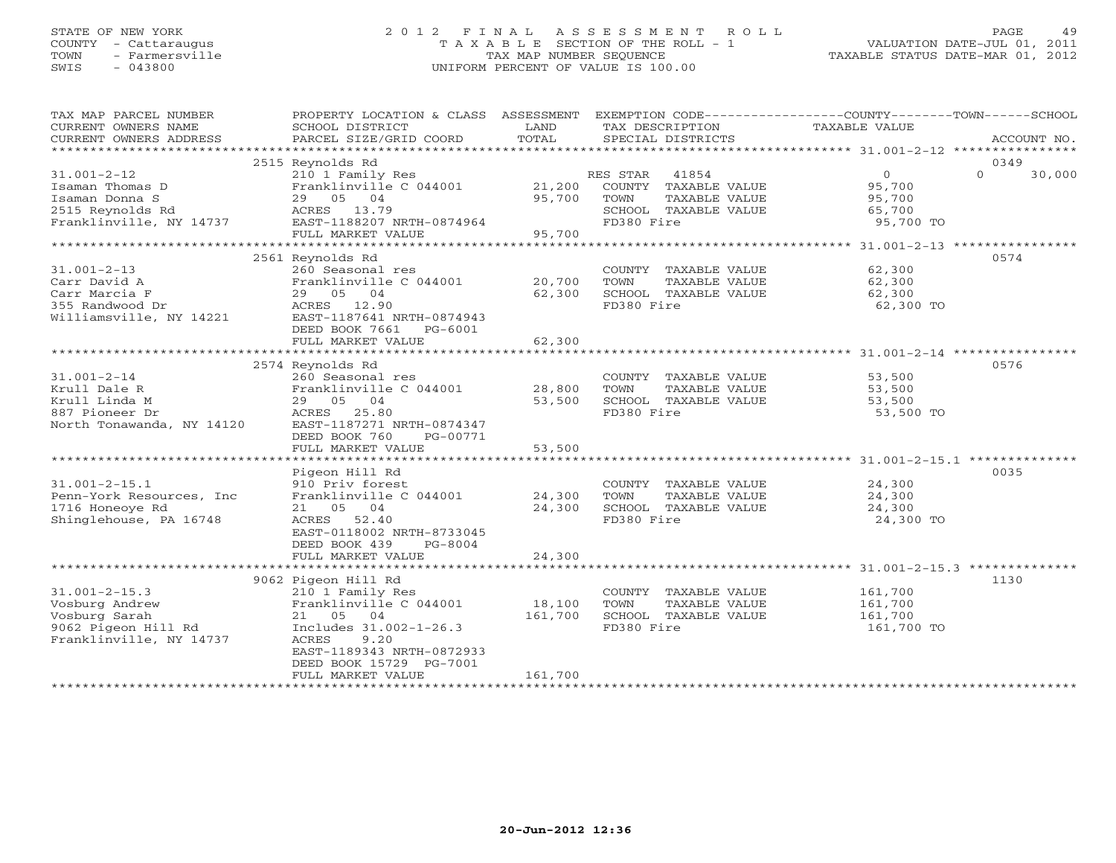# STATE OF NEW YORK 2 0 1 2 F I N A L A S S E S S M E N T R O L L PAGE 49 COUNTY - Cattaraugus T A X A B L E SECTION OF THE ROLL - 1 VALUATION DATE-JUL 01, 2011 TOWN - Farmersville TAX MAP NUMBER SEQUENCE TAXABLE STATUS DATE-MAR 01, 2012 SWIS - 043800 UNIFORM PERCENT OF VALUE IS 100.00UNIFORM PERCENT OF VALUE IS 100.00

| TAX MAP PARCEL NUMBER<br>CURRENT OWNERS NAME<br>CURRENT OWNERS ADDRESS<br>*************************      | PROPERTY LOCATION & CLASS ASSESSMENT<br>SCHOOL DISTRICT<br>PARCEL SIZE/GRID COORD                                                                                                   | LAND<br>TOTAL              | EXEMPTION CODE----------------COUNTY-------TOWN------SCHOOL<br>TAX DESCRIPTION<br>SPECIAL DISTRICTS   | TAXABLE VALUE                                             | ACCOUNT NO.        |
|----------------------------------------------------------------------------------------------------------|-------------------------------------------------------------------------------------------------------------------------------------------------------------------------------------|----------------------------|-------------------------------------------------------------------------------------------------------|-----------------------------------------------------------|--------------------|
|                                                                                                          | 2515 Reynolds Rd                                                                                                                                                                    |                            |                                                                                                       |                                                           | 0349               |
| $31.001 - 2 - 12$<br>Isaman Thomas D<br>Isaman Donna S<br>2515 Reynolds Rd<br>Franklinville, NY 14737    | 210 1 Family Res<br>Franklinville C 044001<br>29 05 04<br>ACRES 13.79<br>EAST-1188207 NRTH-0874964                                                                                  | 21,200<br>95,700           | RES STAR 41854<br>COUNTY TAXABLE VALUE<br>TOWN<br>TAXABLE VALUE<br>SCHOOL TAXABLE VALUE<br>FD380 Fire | $\overline{0}$<br>95,700<br>95,700<br>65,700<br>95,700 TO | $\Omega$<br>30,000 |
|                                                                                                          | FULL MARKET VALUE                                                                                                                                                                   | 95,700                     |                                                                                                       |                                                           |                    |
|                                                                                                          |                                                                                                                                                                                     |                            |                                                                                                       |                                                           |                    |
| $31.001 - 2 - 13$<br>Carr David A<br>Carr Marcia F<br>355 Randwood Dr<br>Williamsville, NY 14221         | 2561 Reynolds Rd<br>260 Seasonal res<br>Franklinville C 044001<br>29 05 04<br>ACRES 12.90<br>EAST-1187641 NRTH-0874943<br>DEED BOOK 7661<br>PG-6001                                 | 20,700<br>62,300           | COUNTY TAXABLE VALUE<br>TOWN<br>TAXABLE VALUE<br>SCHOOL TAXABLE VALUE<br>FD380 Fire                   | 62,300<br>62,300<br>62,300<br>62,300 TO                   | 0574               |
|                                                                                                          | FULL MARKET VALUE                                                                                                                                                                   | 62,300                     |                                                                                                       |                                                           |                    |
| $31.001 - 2 - 14$<br>Krull Dale R<br>Krull Linda M<br>887 Pioneer Dr<br>North Tonawanda, NY 14120        | 2574 Reynolds Rd<br>260 Seasonal res<br>Franklinville C 044001<br>29 05 04<br>ACRES 25.80<br>EAST-1187271 NRTH-0874347                                                              | 28,800<br>53,500           | COUNTY TAXABLE VALUE<br>TOWN<br>TAXABLE VALUE<br>SCHOOL TAXABLE VALUE<br>FD380 Fire                   | 53,500<br>53,500<br>53,500<br>53,500 TO                   | 0576               |
|                                                                                                          | DEED BOOK 760<br>PG-00771<br>FULL MARKET VALUE<br>***********************                                                                                                           | 53,500<br>**************   |                                                                                                       |                                                           |                    |
|                                                                                                          | Pigeon Hill Rd                                                                                                                                                                      |                            |                                                                                                       |                                                           | 0035               |
| $31.001 - 2 - 15.1$<br>Penn-York Resources, Inc<br>1716 Honeoye Rd<br>Shinglehouse, PA 16748             | 910 Priv forest<br>Franklinville C 044001<br>21 05 04<br>ACRES<br>52.40<br>EAST-0118002 NRTH-8733045<br>DEED BOOK 439<br>PG-8004<br>FULL MARKET VALUE                               | 24,300<br>24,300<br>24,300 | COUNTY TAXABLE VALUE<br>TOWN<br>TAXABLE VALUE<br>SCHOOL TAXABLE VALUE<br>FD380 Fire                   | 24,300<br>24,300<br>24,300<br>24,300 TO                   |                    |
|                                                                                                          |                                                                                                                                                                                     |                            |                                                                                                       |                                                           |                    |
| $31.001 - 2 - 15.3$<br>Vosburg Andrew<br>Vosburg Sarah<br>9062 Pigeon Hill Rd<br>Franklinville, NY 14737 | 9062 Pigeon Hill Rd<br>210 1 Family Res<br>Franklinville C 044001<br>21 05<br>04<br>Includes 31.002-1-26.3<br>ACRES<br>9.20<br>EAST-1189343 NRTH-0872933<br>DEED BOOK 15729 PG-7001 | 18,100<br>161,700          | COUNTY TAXABLE VALUE<br>TOWN<br>TAXABLE VALUE<br>SCHOOL TAXABLE VALUE<br>FD380 Fire                   | 161,700<br>161,700<br>161,700<br>161,700 TO               | 1130               |
|                                                                                                          | FULL MARKET VALUE                                                                                                                                                                   | 161,700                    |                                                                                                       |                                                           |                    |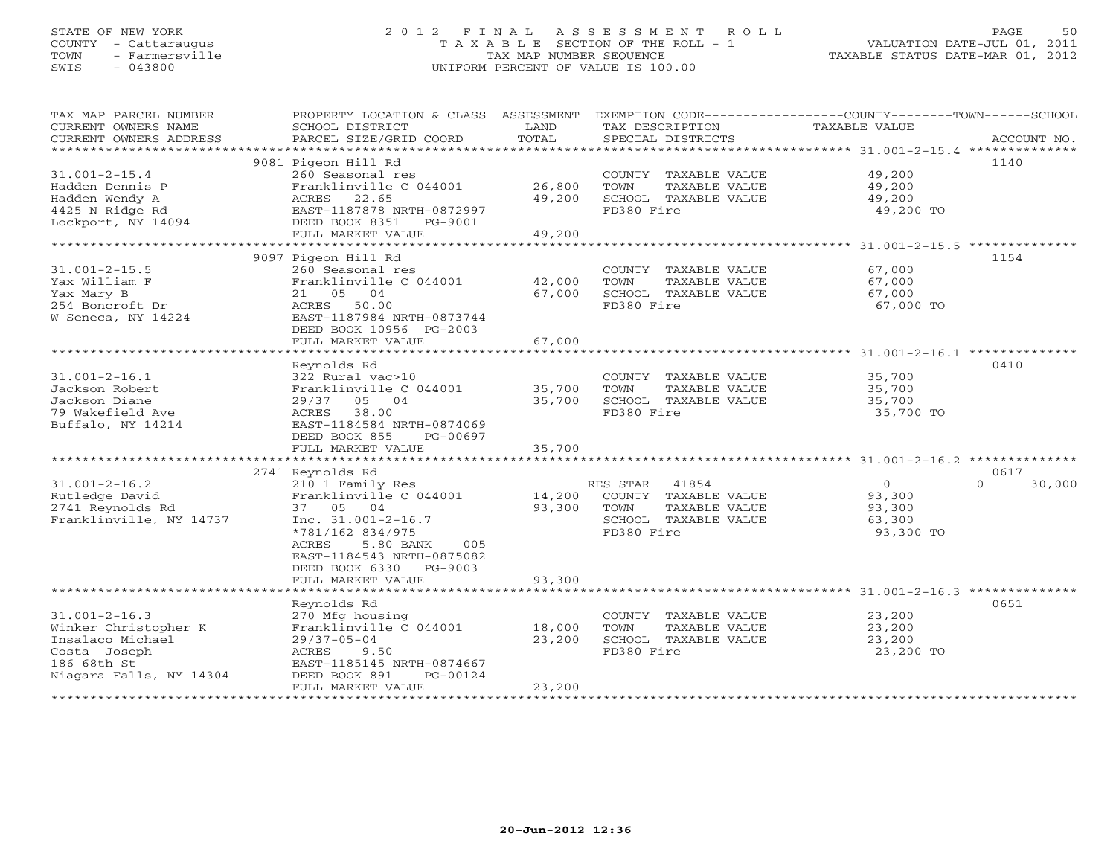# STATE OF NEW YORK 2 0 1 2 F I N A L A S S E S S M E N T R O L L PAGE 50 COUNTY - Cattaraugus T A X A B L E SECTION OF THE ROLL - 1 VALUATION DATE-JUL 01, 2011 TOWN - Farmersville TAX MAP NUMBER SEQUENCE TAXABLE STATUS DATE-MAR 01, 2012 SWIS - 043800 UNIFORM PERCENT OF VALUE IS 100.00UNIFORM PERCENT OF VALUE IS 100.00

| TAX MAP PARCEL NUMBER<br>CURRENT OWNERS NAME<br>CURRENT OWNERS ADDRESS                      | PROPERTY LOCATION & CLASS ASSESSMENT<br>SCHOOL DISTRICT<br>PARCEL SIZE/GRID COORD                           | LAND<br>TOTAL           | TAX DESCRIPTION<br>SPECIAL DISTRICTS                                                   | EXEMPTION CODE----------------COUNTY-------TOWN-----SCHOOL<br><b>TAXABLE VALUE</b> | ACCOUNT NO.        |
|---------------------------------------------------------------------------------------------|-------------------------------------------------------------------------------------------------------------|-------------------------|----------------------------------------------------------------------------------------|------------------------------------------------------------------------------------|--------------------|
| ************************                                                                    |                                                                                                             |                         |                                                                                        |                                                                                    |                    |
| $31.001 - 2 - 15.4$<br>Hadden Dennis P                                                      | 9081 Pigeon Hill Rd<br>260 Seasonal res<br>Franklinville C 044001                                           | 26,800                  | COUNTY TAXABLE VALUE<br>TOWN<br>TAXABLE VALUE                                          | 49,200<br>49,200                                                                   | 1140               |
| Hadden Wendy A<br>4425 N Ridge Rd<br>Lockport, NY 14094                                     | 22.65<br>ACRES<br>EAST-1187878 NRTH-0872997<br>DEED BOOK 8351<br>PG-9001                                    | 49,200                  | SCHOOL TAXABLE VALUE<br>FD380 Fire                                                     | 49,200<br>49,200 TO                                                                |                    |
|                                                                                             | FULL MARKET VALUE<br>**************************                                                             | 49,200<br>************* |                                                                                        |                                                                                    |                    |
|                                                                                             | 9097 Pigeon Hill Rd                                                                                         |                         |                                                                                        | ********************** 31.001-2-15.5 **************                                | 1154               |
| $31.001 - 2 - 15.5$<br>Yax William F<br>Yax Mary B<br>254 Boncroft Dr<br>W Seneca, NY 14224 | 260 Seasonal res<br>Franklinville C 044001<br>05<br>04<br>21<br>ACRES<br>50.00<br>EAST-1187984 NRTH-0873744 | 42,000<br>67,000        | COUNTY<br>TAXABLE VALUE<br>TOWN<br>TAXABLE VALUE<br>SCHOOL TAXABLE VALUE<br>FD380 Fire | 67,000<br>67,000<br>67,000<br>67,000 TO                                            |                    |
|                                                                                             | DEED BOOK 10956 PG-2003                                                                                     |                         |                                                                                        |                                                                                    |                    |
|                                                                                             | FULL MARKET VALUE<br>******************                                                                     | 67,000<br>************  |                                                                                        |                                                                                    |                    |
|                                                                                             | Reynolds Rd                                                                                                 |                         |                                                                                        |                                                                                    | 0410               |
| $31.001 - 2 - 16.1$                                                                         | 322 Rural vac>10                                                                                            |                         | COUNTY TAXABLE VALUE                                                                   | 35,700                                                                             |                    |
| Jackson Robert                                                                              | Franklinville C 044001                                                                                      | 35,700                  | TOWN<br>TAXABLE VALUE                                                                  | 35,700                                                                             |                    |
| Jackson Diane                                                                               | 05 04<br>29/37                                                                                              | 35,700                  | SCHOOL TAXABLE VALUE                                                                   | 35,700                                                                             |                    |
| 79 Wakefield Ave                                                                            | 38.00<br>ACRES                                                                                              |                         | FD380 Fire                                                                             | 35,700 TO                                                                          |                    |
| Buffalo, NY 14214                                                                           | EAST-1184584 NRTH-0874069                                                                                   |                         |                                                                                        |                                                                                    |                    |
|                                                                                             | DEED BOOK 855<br>PG-00697                                                                                   |                         |                                                                                        |                                                                                    |                    |
|                                                                                             | FULL MARKET VALUE                                                                                           | 35,700                  |                                                                                        |                                                                                    |                    |
|                                                                                             | 2741 Reynolds Rd                                                                                            |                         |                                                                                        |                                                                                    | 0617               |
| $31.001 - 2 - 16.2$                                                                         | 210 1 Family Res                                                                                            |                         | RES STAR<br>41854                                                                      | $\circ$                                                                            | $\Omega$<br>30,000 |
| Rutledge David                                                                              | Franklinville C 044001                                                                                      | 14,200                  | COUNTY TAXABLE VALUE                                                                   | 93,300                                                                             |                    |
| 2741 Reynolds Rd                                                                            | 37 05<br>04                                                                                                 | 93,300                  | TOWN<br>TAXABLE VALUE                                                                  | 93,300                                                                             |                    |
| Franklinville, NY 14737                                                                     | Inc. $31.001 - 2 - 16.7$                                                                                    |                         | SCHOOL TAXABLE VALUE                                                                   | 63,300                                                                             |                    |
|                                                                                             | *781/162 834/975<br>5.80 BANK<br>ACRES<br>005<br>EAST-1184543 NRTH-0875082<br>DEED BOOK 6330<br>PG-9003     |                         | FD380 Fire                                                                             | 93,300 TO                                                                          |                    |
|                                                                                             | FULL MARKET VALUE<br>******************                                                                     | 93,300                  |                                                                                        |                                                                                    |                    |
|                                                                                             | Reynolds Rd                                                                                                 |                         |                                                                                        |                                                                                    | 0651               |
| $31.001 - 2 - 16.3$                                                                         | 270 Mfg housing                                                                                             |                         | COUNTY TAXABLE VALUE                                                                   | 23,200                                                                             |                    |
| Winker Christopher K                                                                        | Franklinville C 044001                                                                                      | 18,000                  | TOWN<br>TAXABLE VALUE                                                                  | 23,200                                                                             |                    |
| Insalaco Michael                                                                            | $29/37 - 05 - 04$                                                                                           | 23,200                  | SCHOOL TAXABLE VALUE                                                                   | 23,200                                                                             |                    |
| Costa Joseph                                                                                | 9.50<br>ACRES                                                                                               |                         | FD380 Fire                                                                             | 23,200 TO                                                                          |                    |
| 186 68th St                                                                                 | EAST-1185145 NRTH-0874667                                                                                   |                         |                                                                                        |                                                                                    |                    |
| Niagara Falls, NY 14304                                                                     | DEED BOOK 891<br>PG-00124                                                                                   |                         |                                                                                        |                                                                                    |                    |
|                                                                                             | FULL MARKET VALUE                                                                                           | 23,200                  |                                                                                        |                                                                                    |                    |
|                                                                                             | ********************                                                                                        |                         |                                                                                        |                                                                                    |                    |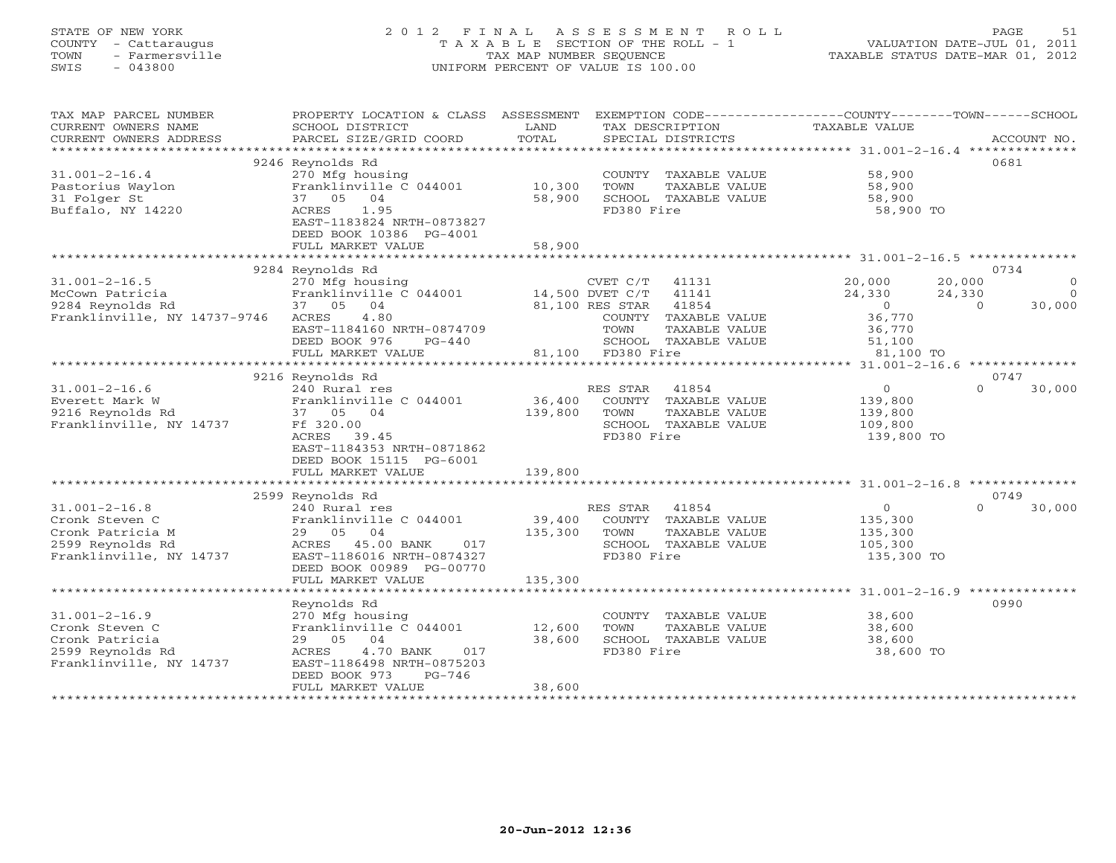#### STATE OF NEW YORK 2 0 1 2 F I N A L A S S E S S M E N T R O L L PAGE 51 COUNTY - Cattaraugus T A X A B L E SECTION OF THE ROLL - 1 VALUATION DATE-JUL 01, 2011 TOWN - Farmersville TAX MAP NUMBER SEQUENCE TAXABLE STATUS DATE-MAR 01, 2012 SWIS - 043800 UNIFORM PERCENT OF VALUE IS 100.00UNIFORM PERCENT OF VALUE IS 100.00

| TAX MAP PARCEL NUMBER<br>CURRENT OWNERS NAME<br>CURRENT OWNERS ADDRESS | PROPERTY LOCATION & CLASS ASSESSMENT<br>SCHOOL DISTRICT<br>PARCEL SIZE/GRID COORD | LAND<br>TOTAL | TAX DESCRIPTION<br>SPECIAL DISTRICTS          | EXEMPTION CODE----------------COUNTY-------TOWN------SCHOOL<br>TAXABLE VALUE | ACCOUNT NO.              |
|------------------------------------------------------------------------|-----------------------------------------------------------------------------------|---------------|-----------------------------------------------|------------------------------------------------------------------------------|--------------------------|
| *************************                                              |                                                                                   |               |                                               |                                                                              |                          |
|                                                                        | 9246 Reynolds Rd                                                                  |               |                                               |                                                                              | 0681                     |
| $31.001 - 2 - 16.4$                                                    | 270 Mfg housing                                                                   |               | COUNTY TAXABLE VALUE                          | 58,900                                                                       |                          |
| Pastorius Waylon                                                       | Franklinville C 044001                                                            | 10,300        | TOWN<br>TAXABLE VALUE                         | 58,900                                                                       |                          |
| 31 Folger St                                                           | 37 05<br>04                                                                       | 58,900        | SCHOOL TAXABLE VALUE                          | 58,900                                                                       |                          |
| Buffalo, NY 14220                                                      | ACRES<br>1.95<br>EAST-1183824 NRTH-0873827                                        |               | FD380 Fire                                    | 58,900 TO                                                                    |                          |
|                                                                        | DEED BOOK 10386 PG-4001                                                           |               |                                               |                                                                              |                          |
|                                                                        | FULL MARKET VALUE                                                                 | 58,900        |                                               |                                                                              |                          |
|                                                                        |                                                                                   |               |                                               |                                                                              |                          |
|                                                                        | 9284 Reynolds Rd                                                                  |               |                                               |                                                                              | 0734                     |
| $31.001 - 2 - 16.5$                                                    | 270 Mfg housing                                                                   |               | CVET C/T<br>41131                             | 20,000                                                                       | 20,000<br>$\circ$        |
| McCown Patricia                                                        | Franklinville C 044001                                                            |               | 41141<br>14,500 DVET C/T                      | 24,330                                                                       | 24,330<br>$\overline{0}$ |
| 9284 Reynolds Rd                                                       | 37 05 04                                                                          |               | 81,100 RES STAR<br>41854                      | $\bigcirc$                                                                   | 30,000<br>$\Omega$       |
| Franklinville, NY 14737-9746                                           | 4.80<br>ACRES<br>EAST-1184160 NRTH-0874709                                        |               | COUNTY TAXABLE VALUE<br>TOWN<br>TAXABLE VALUE | 36,770<br>36,770                                                             |                          |
|                                                                        | DEED BOOK 976<br>$PG-440$                                                         |               | SCHOOL TAXABLE VALUE                          | 51,100                                                                       |                          |
|                                                                        | FULL MARKET VALUE                                                                 |               | 81,100 FD380 Fire                             | 81,100 TO                                                                    |                          |
|                                                                        |                                                                                   |               |                                               |                                                                              |                          |
|                                                                        | 9216 Reynolds Rd                                                                  |               |                                               |                                                                              | 0747                     |
| $31.001 - 2 - 16.6$                                                    | 240 Rural res                                                                     |               | RES STAR<br>41854                             | $\circ$                                                                      | $\Omega$<br>30,000       |
| Everett Mark W                                                         | Franklinville C 044001                                                            | 36,400        | COUNTY TAXABLE VALUE                          | 139,800                                                                      |                          |
| 9216 Reynolds Rd                                                       | 37 05 04                                                                          | 139,800       | TOWN<br>TAXABLE VALUE                         | 139,800                                                                      |                          |
| Franklinville, NY 14737                                                | Ff 320.00                                                                         |               | SCHOOL TAXABLE VALUE<br>FD380 Fire            | 109,800                                                                      |                          |
|                                                                        | ACRES 39.45<br>EAST-1184353 NRTH-0871862                                          |               |                                               | 139,800 TO                                                                   |                          |
|                                                                        | DEED BOOK 15115 PG-6001                                                           |               |                                               |                                                                              |                          |
|                                                                        | FULL MARKET VALUE                                                                 | 139,800       |                                               |                                                                              |                          |
|                                                                        |                                                                                   |               |                                               |                                                                              |                          |
|                                                                        | 2599 Reynolds Rd                                                                  |               |                                               |                                                                              | 0749                     |
| $31.001 - 2 - 16.8$                                                    | 240 Rural res                                                                     |               | RES STAR<br>41854                             | $\Omega$                                                                     | 30,000<br>$\Omega$       |
| Cronk Steven C                                                         | Franklinville C 044001                                                            | 39,400        | COUNTY TAXABLE VALUE                          | 135,300                                                                      |                          |
| Cronk Patricia M                                                       | 29 05 04                                                                          | 135,300       | TOWN<br>TAXABLE VALUE                         | 135,300                                                                      |                          |
| 2599 Reynolds Rd<br>Franklinville, NY 14737                            | ACRES 45.00 BANK<br>017<br>EAST-1186016 NRTH-0874327                              |               | SCHOOL TAXABLE VALUE<br>FD380 Fire            | 105,300<br>135,300 TO                                                        |                          |
|                                                                        | DEED BOOK 00989 PG-00770                                                          |               |                                               |                                                                              |                          |
|                                                                        | FULL MARKET VALUE                                                                 | 135,300       |                                               |                                                                              |                          |
|                                                                        |                                                                                   |               |                                               |                                                                              |                          |
|                                                                        | Reynolds Rd                                                                       |               |                                               |                                                                              | 0990                     |
| $31.001 - 2 - 16.9$                                                    | 270 Mfg housing                                                                   |               | COUNTY TAXABLE VALUE                          | 38,600                                                                       |                          |
| Cronk Steven C                                                         | Franklinville C 044001                                                            | 12,600        | TOWN<br>TAXABLE VALUE                         | 38,600                                                                       |                          |
| Cronk Patricia                                                         | 29 05 04                                                                          | 38,600        | SCHOOL TAXABLE VALUE                          | 38,600                                                                       |                          |
| 2599 Reynolds Rd<br>Franklinville, NY 14737                            | ACRES<br>4.70 BANK<br>017<br>EAST-1186498 NRTH-0875203                            |               | FD380 Fire                                    | 38,600 TO                                                                    |                          |
|                                                                        | DEED BOOK 973<br>$PG-746$                                                         |               |                                               |                                                                              |                          |
|                                                                        | FULL MARKET VALUE                                                                 | 38,600        |                                               |                                                                              |                          |
|                                                                        |                                                                                   |               |                                               |                                                                              |                          |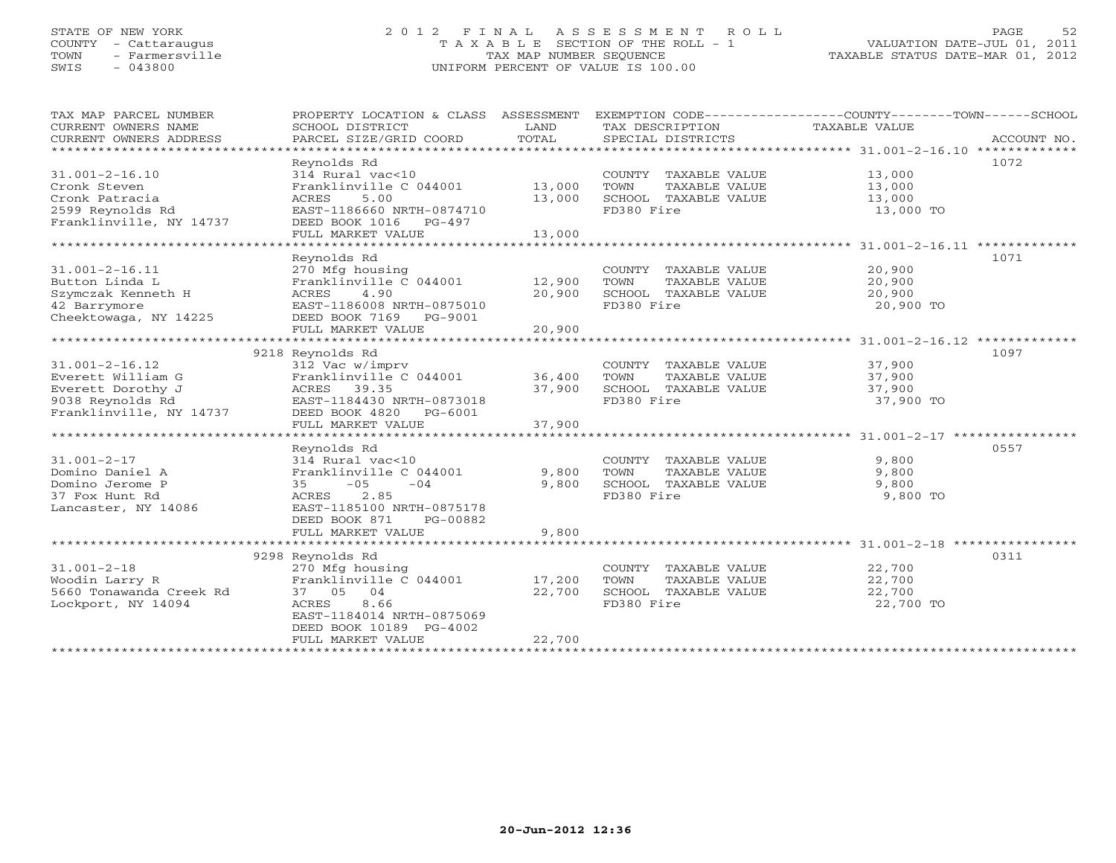# STATE OF NEW YORK 2 0 1 2 F I N A L A S S E S S M E N T R O L L PAGE 52 COUNTY - Cattaraugus T A X A B L E SECTION OF THE ROLL - 1 VALUATION DATE-JUL 01, 2011 TOWN - Farmersville TAX MAP NUMBER SEQUENCE TAXABLE STATUS DATE-MAR 01, 2012 SWIS - 043800 UNIFORM PERCENT OF VALUE IS 100.00UNIFORM PERCENT OF VALUE IS 100.00

| TAX MAP PARCEL NUMBER<br>CURRENT OWNERS NAME<br>CURRENT OWNERS ADDRESS | PROPERTY LOCATION & CLASS ASSESSMENT<br>SCHOOL DISTRICT<br>PARCEL SIZE/GRID COORD | LAND<br>TOTAL | TAX DESCRIPTION<br>SPECIAL DISTRICTS | EXEMPTION CODE-----------------COUNTY-------TOWN------SCHOOL<br>TAXABLE VALUE<br>ACCOUNT NO. |
|------------------------------------------------------------------------|-----------------------------------------------------------------------------------|---------------|--------------------------------------|----------------------------------------------------------------------------------------------|
|                                                                        |                                                                                   |               |                                      |                                                                                              |
|                                                                        | Reynolds Rd                                                                       |               |                                      | 1072                                                                                         |
| $31.001 - 2 - 16.10$                                                   | $314$ Rural vac<10                                                                |               | COUNTY TAXABLE VALUE                 | 13,000                                                                                       |
| Cronk Steven                                                           | Franklinville C 044001                                                            | 13,000        | TOWN<br>TAXABLE VALUE                | 13,000                                                                                       |
| Cronk Patracia                                                         | 5.00<br>ACRES                                                                     | 13,000        | SCHOOL TAXABLE VALUE                 | 13,000                                                                                       |
| 2599 Reynolds Rd                                                       | EAST-1186660 NRTH-0874710                                                         |               | FD380 Fire                           | 13,000 TO                                                                                    |
| Franklinville, NY 14737                                                | DEED BOOK 1016 PG-497                                                             |               |                                      |                                                                                              |
|                                                                        | FULL MARKET VALUE                                                                 | 13,000        |                                      |                                                                                              |
|                                                                        | **************************                                                        | ************  |                                      | ******************** 31.001-2-16.11 *************                                            |
|                                                                        | Reynolds Rd                                                                       |               |                                      | 1071                                                                                         |
| $31.001 - 2 - 16.11$                                                   | 270 Mfg housing                                                                   |               | COUNTY TAXABLE VALUE                 | 20,900                                                                                       |
| Button Linda L                                                         | Franklinville C 044001                                                            | 12,900        | TOWN<br>TAXABLE VALUE                | 20,900                                                                                       |
| Szymczak Kenneth H                                                     | 4.90<br>ACRES                                                                     | 20,900        | SCHOOL TAXABLE VALUE                 | 20,900                                                                                       |
| 42 Barrymore                                                           | EAST-1186008 NRTH-0875010                                                         |               | FD380 Fire                           | 20,900 TO                                                                                    |
| Cheektowaga, NY 14225                                                  | DEED BOOK 7169 PG-9001                                                            |               |                                      |                                                                                              |
|                                                                        | FULL MARKET VALUE                                                                 | 20,900        |                                      |                                                                                              |
| **********************                                                 |                                                                                   |               |                                      |                                                                                              |
|                                                                        | 9218 Reynolds Rd                                                                  |               |                                      | 1097                                                                                         |
| $31.001 - 2 - 16.12$                                                   | 312 Vac w/imprv                                                                   |               | COUNTY TAXABLE VALUE                 | 37,900                                                                                       |
| Everett William G                                                      | Franklinville C 044001                                                            | 36,400        | TOWN<br>TAXABLE VALUE                | 37,900                                                                                       |
| Everett Dorothy J                                                      | ACRES 39.35                                                                       | 37,900        | SCHOOL TAXABLE VALUE                 | 37,900                                                                                       |
| 9038 Reynolds Rd                                                       | EAST-1184430 NRTH-0873018                                                         |               | FD380 Fire                           | 37,900 TO                                                                                    |
| Franklinville, NY 14737                                                | DEED BOOK 4820 PG-6001                                                            |               |                                      |                                                                                              |
|                                                                        | FULL MARKET VALUE                                                                 | 37,900        |                                      |                                                                                              |
|                                                                        |                                                                                   |               |                                      |                                                                                              |
|                                                                        | Reynolds Rd                                                                       |               |                                      | 0557                                                                                         |
| $31.001 - 2 - 17$                                                      | 314 Rural vac<10                                                                  |               | COUNTY TAXABLE VALUE                 | 9,800                                                                                        |
| Domino Daniel A                                                        | Franklinville C 044001                                                            | 9,800         | TOWN<br>TAXABLE VALUE                | 9,800                                                                                        |
| Domino Jerome P                                                        | $-05$<br>$-04$<br>35                                                              | 9,800         | SCHOOL TAXABLE VALUE                 | 9,800                                                                                        |
| 37 Fox Hunt Rd                                                         | 2.85<br>ACRES                                                                     |               | FD380 Fire                           | 9,800 TO                                                                                     |
| Lancaster, NY 14086                                                    | EAST-1185100 NRTH-0875178                                                         |               |                                      |                                                                                              |
|                                                                        | DEED BOOK 871<br>PG-00882                                                         |               |                                      |                                                                                              |
|                                                                        | FULL MARKET VALUE                                                                 | 9,800         |                                      |                                                                                              |
|                                                                        |                                                                                   |               |                                      |                                                                                              |
|                                                                        | 9298 Reynolds Rd                                                                  |               |                                      | 0311                                                                                         |
| $31.001 - 2 - 18$                                                      | 270 Mfg housing                                                                   |               | COUNTY TAXABLE VALUE                 | 22,700                                                                                       |
| Woodin Larry R                                                         | Franklinville C 044001                                                            | 17,200        | TOWN<br>TAXABLE VALUE                | 22,700                                                                                       |
| 5660 Tonawanda Creek Rd                                                | 37 05 04                                                                          | 22,700        | SCHOOL TAXABLE VALUE                 | 22,700                                                                                       |
| Lockport, NY 14094                                                     | ACRES<br>8.66                                                                     |               | FD380 Fire                           | 22,700 TO                                                                                    |
|                                                                        | EAST-1184014 NRTH-0875069                                                         |               |                                      |                                                                                              |
|                                                                        | DEED BOOK 10189 PG-4002                                                           |               |                                      |                                                                                              |
|                                                                        | FULL MARKET VALUE                                                                 | 22,700        |                                      |                                                                                              |
|                                                                        |                                                                                   |               |                                      |                                                                                              |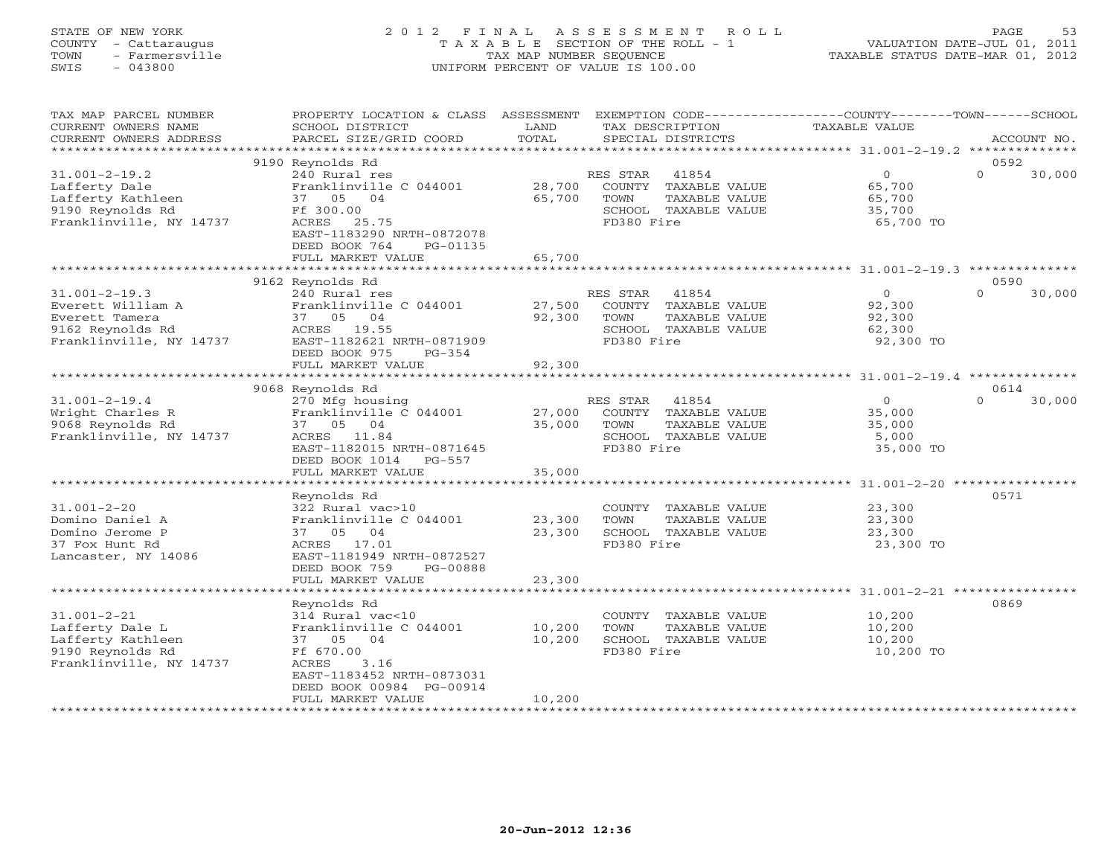# STATE OF NEW YORK 2 0 1 2 F I N A L A S S E S S M E N T R O L L PAGE 53 COUNTY - Cattaraugus T A X A B L E SECTION OF THE ROLL - 1 VALUATION DATE-JUL 01, 2011 TOWN - Farmersville TAX MAP NUMBER SEQUENCE TAXABLE STATUS DATE-MAR 01, 2012 SWIS - 043800 UNIFORM PERCENT OF VALUE IS 100.00UNIFORM PERCENT OF VALUE IS 100.00

| TAX MAP PARCEL NUMBER<br>CURRENT OWNERS NAME<br>CURRENT OWNERS ADDRESS                                    | PROPERTY LOCATION & CLASS ASSESSMENT<br>SCHOOL DISTRICT<br>PARCEL SIZE/GRID COORD                                                         | LAND<br>TOTAL    | TAX DESCRIPTION                | EXEMPTION CODE-----------------COUNTY-------TOWN------SCHOOL<br>SPECIAL DISTRICTS | <b>TAXABLE VALUE</b> |                                                    |          | ACCOUNT NO.    |
|-----------------------------------------------------------------------------------------------------------|-------------------------------------------------------------------------------------------------------------------------------------------|------------------|--------------------------------|-----------------------------------------------------------------------------------|----------------------|----------------------------------------------------|----------|----------------|
| *******************                                                                                       |                                                                                                                                           |                  |                                |                                                                                   |                      |                                                    |          |                |
|                                                                                                           | 9190 Reynolds Rd                                                                                                                          |                  |                                |                                                                                   |                      |                                                    | 0592     |                |
| $31.001 - 2 - 19.2$<br>Lafferty Dale<br>Lafferty Kathleen<br>9190 Reynolds Rd<br>Franklinville, NY 14737  | 240 Rural res<br>Franklinville C 044001<br>37 05 04<br>Ff 300.00<br>ACRES 25.75<br>EAST-1183290 NRTH-0872078<br>DEED BOOK 764<br>PG-01135 | 28,700<br>65,700 | RES STAR<br>TOWN<br>FD380 Fire | 41854<br>COUNTY TAXABLE VALUE<br>TAXABLE VALUE<br>SCHOOL TAXABLE VALUE            |                      | $\circ$<br>65,700<br>65,700<br>35,700<br>65,700 TO | $\Omega$ | 30,000         |
|                                                                                                           | FULL MARKET VALUE                                                                                                                         | 65,700           |                                |                                                                                   |                      |                                                    |          |                |
|                                                                                                           | 9162 Reynolds Rd                                                                                                                          |                  |                                |                                                                                   |                      |                                                    | 0590     |                |
| $31.001 - 2 - 19.3$<br>Everett William A<br>Everett Tamera<br>9162 Reynolds Rd<br>Franklinville, NY 14737 | 240 Rural res<br>Franklinville C 044001<br>37 05 04<br>ACRES 19.55<br>EAST-1182621 NRTH-0871909<br>DEED BOOK 975<br>$PG-354$              | 27,500<br>92,300 | RES STAR<br>TOWN<br>FD380 Fire | 41854<br>COUNTY TAXABLE VALUE<br>TAXABLE VALUE<br>SCHOOL TAXABLE VALUE            |                      | $\circ$<br>92,300<br>92,300<br>62,300<br>92,300 TO | $\Omega$ | 30,000         |
|                                                                                                           | FULL MARKET VALUE                                                                                                                         | 92,300           |                                |                                                                                   |                      |                                                    |          |                |
|                                                                                                           | ******************************                                                                                                            |                  |                                |                                                                                   |                      |                                                    |          | ************** |
|                                                                                                           | 9068 Reynolds Rd                                                                                                                          |                  |                                |                                                                                   |                      |                                                    | 0614     |                |
| $31.001 - 2 - 19.4$<br>Wright Charles R<br>9068 Reynolds Rd<br>Franklinville, NY 14737                    | 270 Mfg housing<br>Franklinville C 044001<br>37 05 04<br>ACRES 11.84<br>EAST-1182015 NRTH-0871645<br>DEED BOOK 1014 PG-557                | 27,000<br>35,000 | RES STAR<br>TOWN<br>FD380 Fire | 41854<br>COUNTY TAXABLE VALUE<br>TAXABLE VALUE<br>SCHOOL TAXABLE VALUE            |                      | $\circ$<br>35,000<br>35,000<br>5,000<br>35,000 TO  | $\Omega$ | 30,000         |
|                                                                                                           | FULL MARKET VALUE                                                                                                                         | 35,000           |                                |                                                                                   |                      |                                                    |          |                |
|                                                                                                           |                                                                                                                                           |                  |                                |                                                                                   |                      |                                                    |          |                |
|                                                                                                           | Reynolds Rd                                                                                                                               |                  |                                |                                                                                   |                      |                                                    | 0571     |                |
| $31.001 - 2 - 20$<br>Domino Daniel A<br>Domino Jerome P<br>37 Fox Hunt Rd<br>Lancaster, NY 14086          | 322 Rural vac>10<br>Franklinville C 044001<br>37 05 04<br>ACRES 17.01<br>EAST-1181949 NRTH-0872527<br>DEED BOOK 759<br>PG-00888           | 23,300<br>23,300 | TOWN<br>FD380 Fire             | COUNTY TAXABLE VALUE<br>TAXABLE VALUE<br>SCHOOL TAXABLE VALUE                     |                      | 23,300<br>23,300<br>23,300<br>23,300 TO            |          |                |
|                                                                                                           | FULL MARKET VALUE                                                                                                                         | 23,300           |                                |                                                                                   |                      |                                                    |          |                |
|                                                                                                           | ************************                                                                                                                  |                  |                                |                                                                                   |                      |                                                    |          |                |
| $31.001 - 2 - 21$<br>Lafferty Dale L<br>Lafferty Kathleen<br>9190 Reynolds Rd<br>Franklinville, NY 14737  | Reynolds Rd<br>314 Rural vac<10<br>Franklinville C 044001<br>37 05 04<br>Ff 670.00<br>ACRES<br>3.16<br>EAST-1183452 NRTH-0873031          | 10,200<br>10,200 | TOWN<br>FD380 Fire             | COUNTY TAXABLE VALUE<br>TAXABLE VALUE<br>SCHOOL TAXABLE VALUE                     |                      | 10,200<br>10,200<br>10,200<br>10,200 TO            | 0869     |                |
|                                                                                                           | DEED BOOK 00984 PG-00914<br>FULL MARKET VALUE                                                                                             | 10,200           |                                |                                                                                   |                      |                                                    |          |                |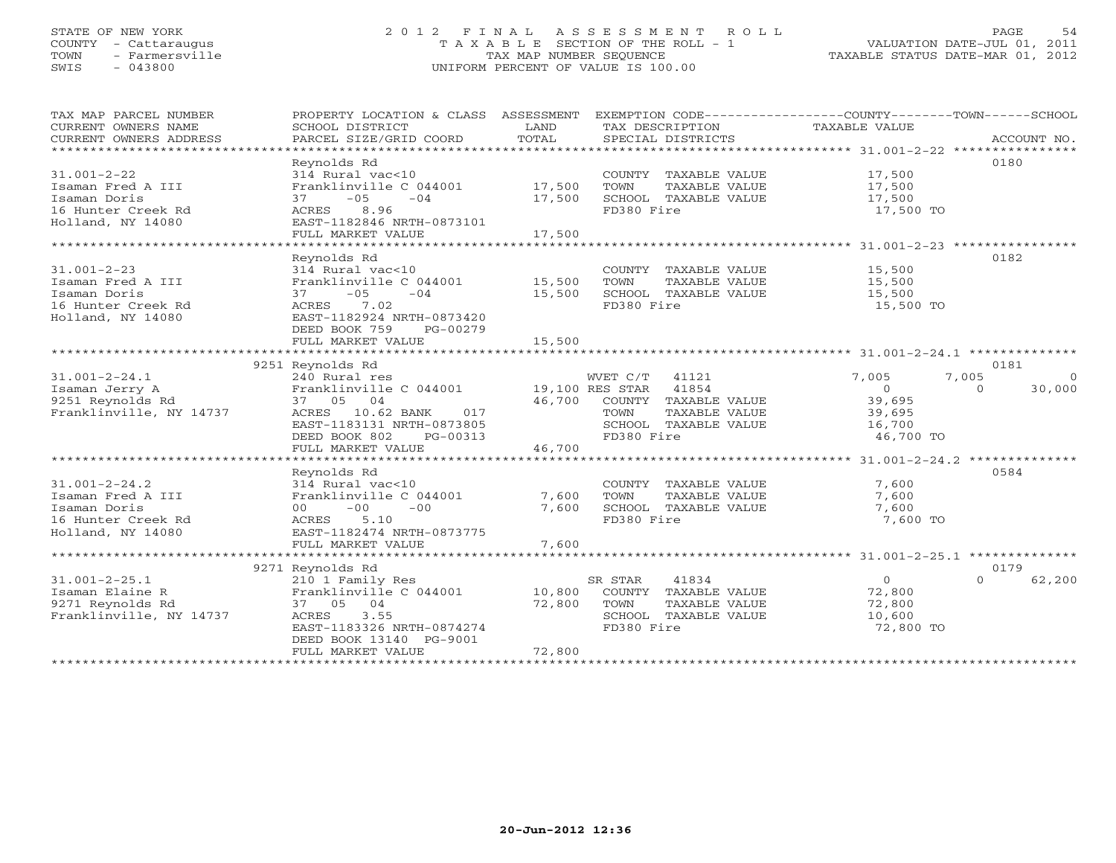# STATE OF NEW YORK 2 0 1 2 F I N A L A S S E S S M E N T R O L L PAGE 54 COUNTY - Cattaraugus T A X A B L E SECTION OF THE ROLL - 1 VALUATION DATE-JUL 01, 2011 TOWN - Farmersville TAX MAP NUMBER SEQUENCE TAXABLE STATUS DATE-MAR 01, 2012 SWIS - 043800 UNIFORM PERCENT OF VALUE IS 100.00UNIFORM PERCENT OF VALUE IS 100.00

| TAX MAP PARCEL NUMBER<br>CURRENT OWNERS NAME | PROPERTY LOCATION & CLASS ASSESSMENT<br>SCHOOL DISTRICT | LAND                   | EXEMPTION CODE----------------COUNTY-------TOWN------SCHOOL<br>TAX DESCRIPTION | TAXABLE VALUE  |                    |
|----------------------------------------------|---------------------------------------------------------|------------------------|--------------------------------------------------------------------------------|----------------|--------------------|
| CURRENT OWNERS ADDRESS                       | PARCEL SIZE/GRID COORD                                  | TOTAL                  | SPECIAL DISTRICTS                                                              |                | ACCOUNT NO.        |
|                                              | Reynolds Rd                                             |                        |                                                                                |                | 0180               |
| $31.001 - 2 - 22$                            | 314 Rural vac<10                                        |                        | COUNTY TAXABLE VALUE                                                           | 17,500         |                    |
| Isaman Fred A III                            | Franklinville C 044001                                  | 17,500                 | TOWN<br>TAXABLE VALUE                                                          | 17,500         |                    |
| Isaman Doris                                 | $37 - 05$<br>$-04$                                      | 17,500                 | SCHOOL TAXABLE VALUE                                                           | 17,500         |                    |
| 16 Hunter Creek Rd                           | ACRES 8.96                                              |                        | FD380 Fire                                                                     | 17,500 TO      |                    |
| Holland, NY 14080                            | EAST-1182846 NRTH-0873101                               |                        |                                                                                |                |                    |
|                                              | FULL MARKET VALUE                                       | 17,500                 |                                                                                |                |                    |
|                                              |                                                         |                        |                                                                                |                |                    |
|                                              | Reynolds Rd                                             |                        |                                                                                |                | 0182               |
| $31.001 - 2 - 23$                            | 314 Rural vac<10                                        |                        | COUNTY TAXABLE VALUE                                                           | 15,500         |                    |
| Isaman Fred A III                            | Franklinville C 044001 15,500                           |                        | TAXABLE VALUE<br>TOWN                                                          | 15,500         |                    |
| Isaman Doris                                 | $-05$<br>$-04$<br>37                                    | 15,500                 | SCHOOL TAXABLE VALUE                                                           | 15,500         |                    |
| 16 Hunter Creek Rd                           | ACRES 7.02                                              |                        | FD380 Fire                                                                     | 15,500 TO      |                    |
| Holland, NY 14080                            | EAST-1182924 NRTH-0873420                               |                        |                                                                                |                |                    |
|                                              | DEED BOOK 759<br>PG-00279                               |                        |                                                                                |                |                    |
|                                              | FULL MARKET VALUE                                       | 15,500                 |                                                                                |                |                    |
|                                              |                                                         |                        |                                                                                |                |                    |
|                                              | 9251 Reynolds Rd                                        |                        |                                                                                |                | 0181               |
| $31.001 - 2 - 24.1$                          | 240 Rural res                                           |                        | WVET C/T 41121                                                                 | 7,005          | 7,005<br>$\circ$   |
| Isaman Jerry A                               | Franklinville C 044001 19,100 RES STAR 41854            |                        |                                                                                | $\circ$        | $\Omega$<br>30,000 |
| 9251 Reynolds Rd                             | 37 05 04                                                | 46,700                 | COUNTY TAXABLE VALUE                                                           | 39,695         |                    |
| Franklinville, NY 14737                      | ACRES 10.62 BANK<br>017                                 |                        | TAXABLE VALUE<br>TOWN                                                          | 39,695         |                    |
|                                              | EAST-1183131 NRTH-0873805                               |                        | SCHOOL TAXABLE VALUE                                                           | 16,700         |                    |
|                                              | DEED BOOK 802<br>PG-00313                               |                        | FD380 Fire                                                                     | 46,700 TO      |                    |
|                                              | FULL MARKET VALUE<br>*************************          | 46,700<br>************ |                                                                                |                |                    |
|                                              |                                                         |                        |                                                                                |                | 0584               |
|                                              | Reynolds Rd                                             |                        |                                                                                |                |                    |
| $31.001 - 2 - 24.2$<br>Isaman Fred A III     | 314 Rural vac<10<br>Franklinville C 044001              | 7,600                  | COUNTY TAXABLE VALUE<br>TOWN<br>TAXABLE VALUE                                  | 7,600<br>7,600 |                    |
| Isaman Doris                                 | $-00$<br>$-00$<br>00                                    | 7,600                  | SCHOOL TAXABLE VALUE                                                           | 7,600          |                    |
| 16 Hunter Creek Rd                           | ACRES<br>5.10                                           |                        | FD380 Fire                                                                     | 7,600 TO       |                    |
| Holland, NY 14080                            | EAST-1182474 NRTH-0873775                               |                        |                                                                                |                |                    |
|                                              | FULL MARKET VALUE                                       | 7,600                  |                                                                                |                |                    |
|                                              |                                                         |                        |                                                                                |                |                    |
|                                              | 9271 Reynolds Rd                                        |                        |                                                                                |                | 0179               |
| $31.001 - 2 - 25.1$                          | 210 1 Family Res                                        |                        | 41834<br>SR STAR                                                               | $\Omega$       | $\Omega$<br>62,200 |
| Isaman Elaine R                              | Franklinville C 044001                                  | 10,800                 | COUNTY TAXABLE VALUE                                                           | 72,800         |                    |
| 9271 Reynolds Rd                             | 37 05 04                                                | 72,800                 | TOWN<br>TAXABLE VALUE                                                          | 72,800         |                    |
| Franklinville, NY 14737                      | ACRES<br>3.55                                           |                        | SCHOOL TAXABLE VALUE                                                           | 10,600         |                    |
|                                              | EAST-1183326 NRTH-0874274                               |                        | FD380 Fire                                                                     | 72,800 TO      |                    |
|                                              | DEED BOOK 13140 PG-9001                                 |                        |                                                                                |                |                    |
|                                              | FULL MARKET VALUE                                       | 72,800                 |                                                                                |                |                    |
|                                              | ************************                                |                        |                                                                                |                |                    |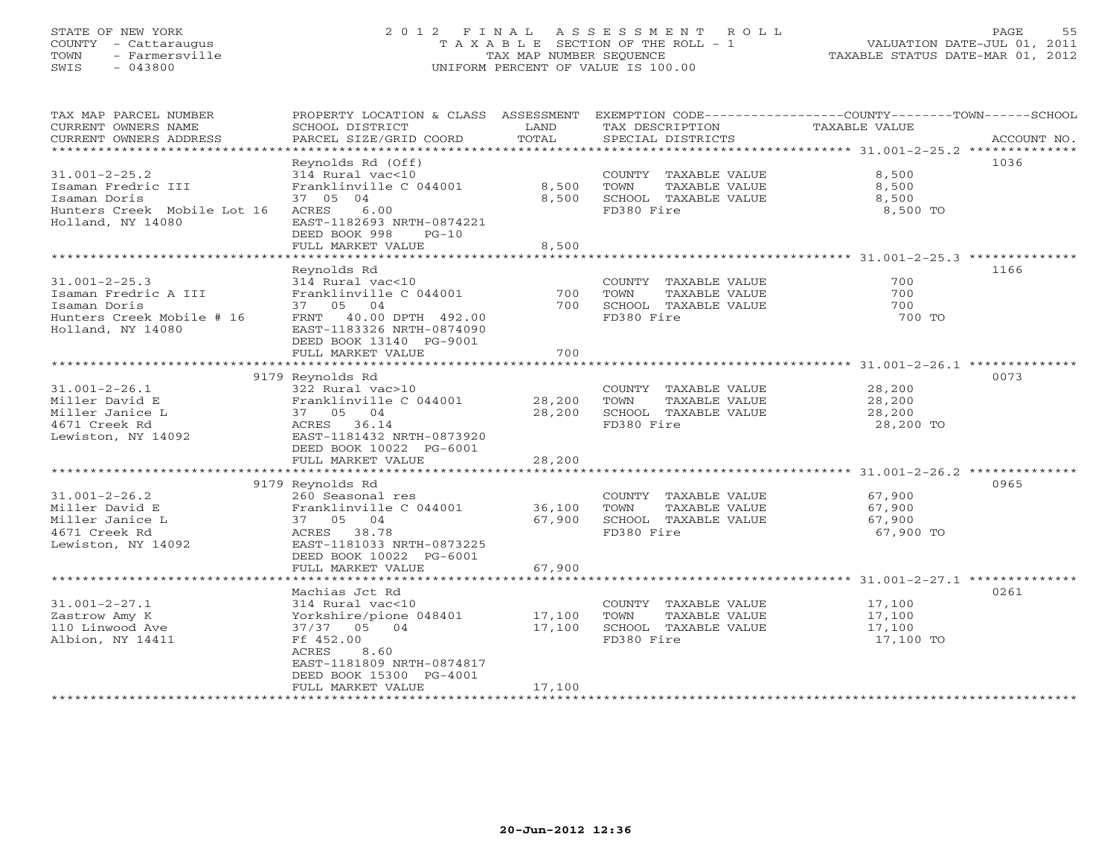# STATE OF NEW YORK 2 0 1 2 F I N A L A S S E S S M E N T R O L L PAGE 55 COUNTY - Cattaraugus T A X A B L E SECTION OF THE ROLL - 1 VALUATION DATE-JUL 01, 2011 TOWN - Farmersville TAX MAP NUMBER SEQUENCE TAXABLE STATUS DATE-MAR 01, 2012 SWIS - 043800 UNIFORM PERCENT OF VALUE IS 100.00UNIFORM PERCENT OF VALUE IS 100.00

| TAX MAP PARCEL NUMBER<br>CURRENT OWNERS NAME<br>CURRENT OWNERS ADDRESS<br>************************            | PROPERTY LOCATION & CLASS ASSESSMENT<br>SCHOOL DISTRICT<br>PARCEL SIZE/GRID COORD                                                                                                             | LAND<br>TOTAL              | TAX DESCRIPTION<br>SPECIAL DISTRICTS                                                | EXEMPTION CODE-----------------COUNTY-------TOWN-----SCHOOL<br>TAXABLE VALUE<br>ACCOUNT NO. |
|---------------------------------------------------------------------------------------------------------------|-----------------------------------------------------------------------------------------------------------------------------------------------------------------------------------------------|----------------------------|-------------------------------------------------------------------------------------|---------------------------------------------------------------------------------------------|
| $31.001 - 2 - 25.2$<br>Isaman Fredric III<br>Isaman Doris<br>Hunters Creek Mobile Lot 16<br>Holland, NY 14080 | Reynolds Rd (Off)<br>314 Rural vac<10<br>Franklinville C 044001<br>37 05 04<br>6.00<br>ACRES<br>EAST-1182693 NRTH-0874221<br>DEED BOOK 998<br>$PG-10$<br>FULL MARKET VALUE                    | 8,500<br>8,500<br>8,500    | COUNTY TAXABLE VALUE<br>TOWN<br>TAXABLE VALUE<br>SCHOOL TAXABLE VALUE<br>FD380 Fire | 1036<br>8,500<br>8,500<br>8,500<br>8,500 TO                                                 |
|                                                                                                               |                                                                                                                                                                                               |                            |                                                                                     |                                                                                             |
| $31.001 - 2 - 25.3$<br>Isaman Fredric A III<br>Isaman Doris<br>Hunters Creek Mobile # 16<br>Holland, NY 14080 | Reynolds Rd<br>314 Rural vac<10<br>Franklinville C 044001<br>37 05 04<br>FRNT<br>40.00 DPTH 492.00<br>EAST-1183326 NRTH-0874090<br>DEED BOOK 13140 PG-9001<br>FULL MARKET VALUE               | 700<br>700<br>700          | COUNTY TAXABLE VALUE<br>TOWN<br>TAXABLE VALUE<br>SCHOOL TAXABLE VALUE<br>FD380 Fire | 1166<br>700<br>700<br>700<br>700 TO                                                         |
|                                                                                                               | ************************************                                                                                                                                                          | ***************            |                                                                                     | ********** 31.001-2-26.1 ********                                                           |
|                                                                                                               | 9179 Reynolds Rd                                                                                                                                                                              |                            |                                                                                     | 0073                                                                                        |
| $31.001 - 2 - 26.1$<br>Miller David E<br>Miller Janice L<br>4671 Creek Rd<br>Lewiston, NY 14092               | 322 Rural vac>10<br>Franklinville C 044001<br>37 05 04<br>ACRES 36.14<br>EAST-1181432 NRTH-0873920<br>DEED BOOK 10022 PG-6001<br>FULL MARKET VALUE                                            | 28,200<br>28,200<br>28,200 | COUNTY TAXABLE VALUE<br>TOWN<br>TAXABLE VALUE<br>SCHOOL TAXABLE VALUE<br>FD380 Fire | 28,200<br>28,200<br>28,200<br>28,200 TO                                                     |
|                                                                                                               |                                                                                                                                                                                               |                            |                                                                                     |                                                                                             |
| $31.001 - 2 - 26.2$<br>Miller David E<br>Miller Janice L<br>4671 Creek Rd<br>Lewiston, NY 14092               | 9179 Reynolds Rd<br>260 Seasonal res<br>Franklinville C 044001<br>37 05 04<br>ACRES 38.78<br>EAST-1181033 NRTH-0873225<br>DEED BOOK 10022 PG-6001                                             | 36,100<br>67,900           | COUNTY TAXABLE VALUE<br>TOWN<br>TAXABLE VALUE<br>SCHOOL TAXABLE VALUE<br>FD380 Fire | 0965<br>67,900<br>67,900<br>67,900<br>67,900 TO                                             |
|                                                                                                               | FULL MARKET VALUE                                                                                                                                                                             | 67,900                     |                                                                                     |                                                                                             |
|                                                                                                               |                                                                                                                                                                                               |                            |                                                                                     |                                                                                             |
| $31.001 - 2 - 27.1$<br>Zastrow Amy K<br>110 Linwood Ave<br>Albion, NY 14411                                   | Machias Jct Rd<br>314 Rural vac<10<br>Yorkshire/pione 048401<br>37/37 05 04<br>Ff 452.00<br><b>ACRES</b><br>8.60<br>EAST-1181809 NRTH-0874817<br>DEED BOOK 15300 PG-4001<br>FULL MARKET VALUE | 17,100<br>17,100<br>17,100 | COUNTY TAXABLE VALUE<br>TOWN<br>TAXABLE VALUE<br>SCHOOL TAXABLE VALUE<br>FD380 Fire | 0261<br>17,100<br>17,100<br>17,100<br>17,100 TO                                             |
|                                                                                                               |                                                                                                                                                                                               |                            |                                                                                     |                                                                                             |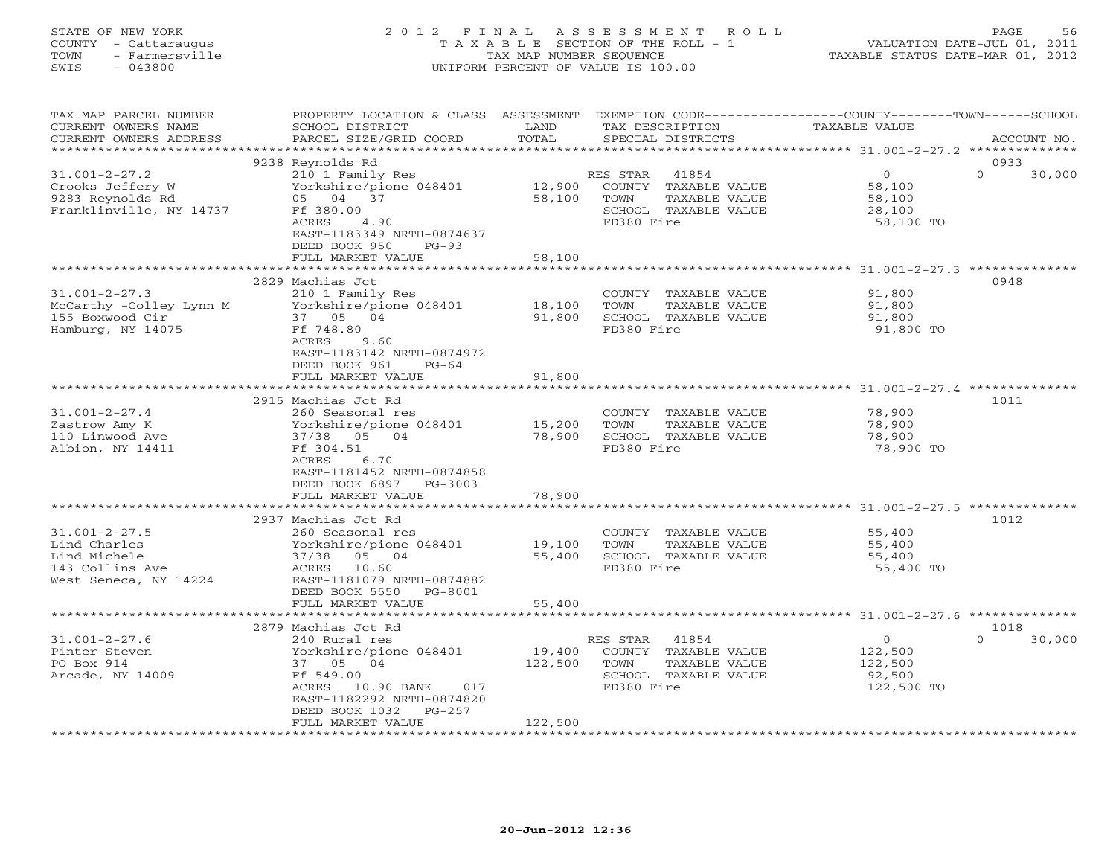| STATE OF NEW YORK<br>- Cattaraugus<br>COUNTY<br>- Farmersville<br>TOWN<br>SWIS<br>- 043800 |                                                                        |                             | 2012 FINAL ASSESSMENT ROLL<br>T A X A B L E SECTION OF THE ROLL - 1<br>TAX MAP NUMBER SEQUENCE<br>UNIFORM PERCENT OF VALUE IS 100.00 | 56<br>PAGE<br>VALUATION DATE-JUL 01, 2011<br>TAXABLE STATUS DATE-MAR 01, 2012                        |
|--------------------------------------------------------------------------------------------|------------------------------------------------------------------------|-----------------------------|--------------------------------------------------------------------------------------------------------------------------------------|------------------------------------------------------------------------------------------------------|
| TAX MAP PARCEL NUMBER<br>CURRENT OWNERS NAME<br>CURRENT OWNERS ADDRESS                     | PROPERTY LOCATION & CLASS<br>SCHOOL DISTRICT<br>PARCEL SIZE/GRID COORD | ASSESSMENT<br>LAND<br>TOTAL | TAX DESCRIPTION<br>SPECIAL DISTRICTS                                                                                                 | EXEMPTION $CODE--------------COUNTY------$<br>$--TOWN---$<br>-SCHOOL<br>TAXABLE VALUE<br>ACCOUNT NO. |

31.001-2-27.2 210 1 Family Res RES STAR 41854 0 0 30,000

\*\*\*\*\*\*\*\*\*\*\*\*\*\*\*\*\*\*\*\*\*\*\*\*\*\*\*\*\*\*\*\*\*\*\*\*\*\*\*\*\*\*\*\*\*\*\*\*\*\*\*\*\*\*\*\*\*\*\*\*\*\*\*\*\*\*\*\*\*\*\*\*\*\*\*\*\*\*\*\*\*\*\*\*\*\*\*\*\*\*\*\*\*\*\*\*\*\*\*\*\*\*\* 31.001-2-27.3 \*\*\*\*\*\*\*\*\*\*\*\*\*\*

\*\*\*\*\*\*\*\*\*\*\*\*\*\*\*\*\*\*\*\*\*\*\*\*\*\*\*\*\*\*\*\*\*\*\*\*\*\*\*\*\*\*\*\*\*\*\*\*\*\*\*\*\*\*\*\*\*\*\*\*\*\*\*\*\*\*\*\*\*\*\*\*\*\*\*\*\*\*\*\*\*\*\*\*\*\*\*\*\*\*\*\*\*\*\*\*\*\*\*\*\*\*\* 31.001-2-27.4 \*\*\*\*\*\*\*\*\*\*\*\*\*\*

\*\*\*\*\*\*\*\*\*\*\*\*\*\*\*\*\*\*\*\*\*\*\*\*\*\*\*\*\*\*\*\*\*\*\*\*\*\*\*\*\*\*\*\*\*\*\*\*\*\*\*\*\*\*\*\*\*\*\*\*\*\*\*\*\*\*\*\*\*\*\*\*\*\*\*\*\*\*\*\*\*\*\*\*\*\*\*\*\*\*\*\*\*\*\*\*\*\*\*\*\*\*\* 31.001-2-27.5 \*\*\*\*\*\*\*\*\*\*\*\*\*\*2937 Machias Jct Rd 1012

\*\*\*\*\*\*\*\*\*\*\*\*\*\*\*\*\*\*\*\*\*\*\*\*\*\*\*\*\*\*\*\*\*\*\*\*\*\*\*\*\*\*\*\*\*\*\*\*\*\*\*\*\*\*\*\*\*\*\*\*\*\*\*\*\*\*\*\*\*\*\*\*\*\*\*\*\*\*\*\*\*\*\*\*\*\*\*\*\*\*\*\*\*\*\*\*\*\*\*\*\*\*\* 31.001-2-27.6 \*\*\*\*\*\*\*\*\*\*\*\*\*\*

31.001-2-27.6 240 Rural res RES STAR 41854 0 0 30,000

 $0 \t 30,000$ 

2879 Machias Jct Rd 1018

9238 Reynolds Rd 0933

2829 Machias Jct 0948

2915 Machias Jct Rd 1011

Crooks Jeffery W Yorkshire/pione 048401 12,900 COUNTY TAXABLE VALUE 58,100 9283 Reynolds Rd 05 04 37 58,100 TOWN TAXABLE VALUE 58,100 Franklinville, NY 14737 Ff 380.00 SCHOOL TAXABLE VALUE 28,100 ACRES 4.90 FD380 Fire 58,100 TO EAST-1183349 NRTH-0874637

31.001-2-27.3 210 1 Family Res COUNTY TAXABLE VALUE 91,800 McCarthy -Colley Lynn M Yorkshire/pione 048401 18,100 TOWN TAXABLE VALUE 91,800 155 Boxwood Cir 37 05 04 91,800 SCHOOL TAXABLE VALUE 91,800 Hamburg, NY 14075 Ff 748.80 FD380 Fire 91,800 TO ACRES 9.60 EAST-1183142 NRTH-0874972

31.001-2-27.4 260 Seasonal res COUNTY TAXABLE VALUE 78,900 Zastrow Amy K Yorkshire/pione 048401 15,200 TOWN TAXABLE VALUE 78,900 110 Linwood Ave 37/38 05 04 78,900 SCHOOL TAXABLE VALUE 78,900 Albion, NY 14411 Ff 304.51 FD380 Fire 78,900 TO ACRES 6.70

31.001-2-27.5 260 Seasonal res COUNTY TAXABLE VALUE 55,400 Lind Charles Yorkshire/pione 048401 19,100 TOWN TAXABLE VALUE 55,400 Lind Michele 37/38 05 04 55,400 SCHOOL TAXABLE VALUE 55,400 143 Collins Ave ACRES 10.60 FD380 Fire 55,400 TO

Pinter Steven Yorkshire/pione 048401 19,400 COUNTY TAXABLE VALUE 122,500 PO Box 914 37 05 04 122,500 TOWN TAXABLE VALUE 122,500 Arcade, NY 14009 Ff 549.00 SCHOOL TAXABLE VALUE 92,500 ACRES 10.90 BANK 017 FD380 Fire 122,500 TO EAST-1182292 NRTH-0874820 DEED BOOK 1032 PG-257

EAST-1181452 NRTH-0874858

DEED BOOK 950 PG-93

FULL MARKET VALUE 58,100

DEED BOOK 961 PG-64 FULL MARKET VALUE 91,800

DEED BOOK 6897 PG-3003 FULL MARKET VALUE 78,900

West Seneca, NY 14224 EAST-1181079 NRTH-0874882 DEED BOOK 5550 PG-8001 FULL MARKET VALUE 55,400

FULL MARKET VALUE 122,500

| $20 - Jun - 2012$ 12:36 |  |
|-------------------------|--|

\*\*\*\*\*\*\*\*\*\*\*\*\*\*\*\*\*\*\*\*\*\*\*\*\*\*\*\*\*\*\*\*\*\*\*\*\*\*\*\*\*\*\*\*\*\*\*\*\*\*\*\*\*\*\*\*\*\*\*\*\*\*\*\*\*\*\*\*\*\*\*\*\*\*\*\*\*\*\*\*\*\*\*\*\*\*\*\*\*\*\*\*\*\*\*\*\*\*\*\*\*\*\*\*\*\*\*\*\*\*\*\*\*\*\*\*\*\*\*\*\*\*\*\*\*\*\*\*\*\*\*\*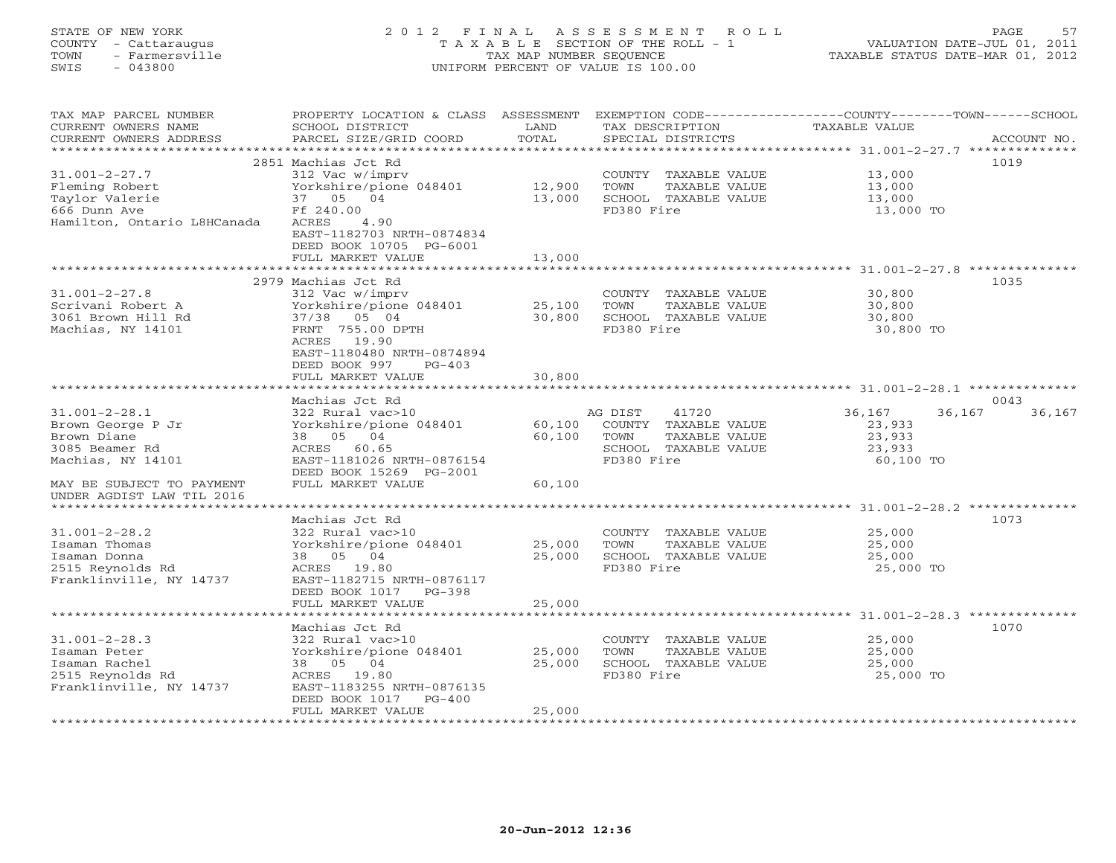# STATE OF NEW YORK 2 0 1 2 F I N A L A S S E S S M E N T R O L L PAGE 57 COUNTY - Cattaraugus T A X A B L E SECTION OF THE ROLL - 1 VALUATION DATE-JUL 01, 2011 TOWN - Farmersville TAX MAP NUMBER SEQUENCE TAXABLE STATUS DATE-MAR 01, 2012 SWIS - 043800 UNIFORM PERCENT OF VALUE IS 100.00UNIFORM PERCENT OF VALUE IS 100.00

| TAX MAP PARCEL NUMBER       |                               |                         |                             | PROPERTY LOCATION & CLASS ASSESSMENT EXEMPTION CODE----------------COUNTY-------TOWN------SCHOOL |
|-----------------------------|-------------------------------|-------------------------|-----------------------------|--------------------------------------------------------------------------------------------------|
| CURRENT OWNERS NAME         | SCHOOL DISTRICT               | LAND                    | TAX DESCRIPTION             | TAXABLE VALUE                                                                                    |
| CURRENT OWNERS ADDRESS      | PARCEL SIZE/GRID COORD        | TOTAL                   | SPECIAL DISTRICTS           | ACCOUNT NO.                                                                                      |
|                             |                               |                         |                             |                                                                                                  |
|                             | 2851 Machias Jct Rd           |                         |                             | 1019                                                                                             |
| $31.001 - 2 - 27.7$         | 312 Vac w/imprv               |                         | COUNTY TAXABLE VALUE        | 13,000                                                                                           |
| Fleming Robert              | Yorkshire/pione 048401        | 12,900                  | TOWN<br>TAXABLE VALUE       | 13,000                                                                                           |
| Taylor Valerie              |                               | 13,000                  | SCHOOL TAXABLE VALUE        |                                                                                                  |
|                             | 37 05 04                      |                         |                             | 13,000                                                                                           |
| 666 Dunn Ave                | Ff 240.00                     |                         | FD380 Fire                  | 13,000 TO                                                                                        |
| Hamilton, Ontario L8HCanada | ACRES<br>4.90                 |                         |                             |                                                                                                  |
|                             | EAST-1182703 NRTH-0874834     |                         |                             |                                                                                                  |
|                             | DEED BOOK 10705 PG-6001       |                         |                             |                                                                                                  |
|                             | FULL MARKET VALUE             | 13,000                  |                             |                                                                                                  |
|                             | *************************     | * * * * * * * * * * * * |                             |                                                                                                  |
|                             | 2979 Machias Jct Rd           |                         |                             | 1035                                                                                             |
| $31.001 - 2 - 27.8$         | 312 Vac w/imprv               |                         | COUNTY TAXABLE VALUE        | 30,800                                                                                           |
| Scrivani Robert A           | Yorkshire/pione 048401        | 25,100                  | TOWN<br>TAXABLE VALUE       | 30,800                                                                                           |
| 3061 Brown Hill Rd          | 37/38 05 04                   | 30,800                  | SCHOOL TAXABLE VALUE        | 30,800                                                                                           |
| Machias, NY 14101           | FRNT 755.00 DPTH              |                         | FD380 Fire                  | 30,800 TO                                                                                        |
|                             | ACRES 19.90                   |                         |                             |                                                                                                  |
|                             |                               |                         |                             |                                                                                                  |
|                             | EAST-1180480 NRTH-0874894     |                         |                             |                                                                                                  |
|                             | DEED BOOK 997<br>$PG-403$     |                         |                             |                                                                                                  |
|                             | FULL MARKET VALUE             | 30,800                  |                             |                                                                                                  |
|                             |                               |                         |                             |                                                                                                  |
|                             | Machias Jct Rd                |                         |                             | 0043                                                                                             |
| $31.001 - 2 - 28.1$         | 322 Rural vac>10              |                         | 41720<br>AG DIST            | 36,167<br>36,167<br>36,167                                                                       |
| Brown George P Jr           | Yorkshire/pione 048401        |                         | 60,100 COUNTY TAXABLE VALUE | 23,933                                                                                           |
| Brown Diane                 | 38 05 04                      | 60,100                  | TOWN<br>TAXABLE VALUE       | 23,933                                                                                           |
| 3085 Beamer Rd              | ACRES 60.65                   |                         | SCHOOL TAXABLE VALUE        | 23,933                                                                                           |
| Machias, NY 14101           | EAST-1181026 NRTH-0876154     |                         | FD380 Fire                  | 60,100 TO                                                                                        |
|                             | DEED BOOK 15269 PG-2001       |                         |                             |                                                                                                  |
| MAY BE SUBJECT TO PAYMENT   | FULL MARKET VALUE             | 60,100                  |                             |                                                                                                  |
| UNDER AGDIST LAW TIL 2016   |                               |                         |                             |                                                                                                  |
| *************************   |                               |                         |                             |                                                                                                  |
|                             |                               |                         |                             |                                                                                                  |
|                             | Machias Jct Rd                |                         |                             | 1073                                                                                             |
| $31.001 - 2 - 28.2$         | 322 Rural vac>10              |                         | COUNTY TAXABLE VALUE        | 25,000<br>25,000<br>25,000                                                                       |
| Isaman Thomas               | Yorkshire/pione 048401 25,000 |                         | TAXABLE VALUE<br>TOWN       |                                                                                                  |
| Isaman Donna                | 38 05 04                      | 25,000                  | SCHOOL TAXABLE VALUE        | 25,000                                                                                           |
| 2515 Reynolds Rd            | ACRES 19.80                   |                         | FD380 Fire                  | 25,000 TO                                                                                        |
| Franklinville, NY 14737     | EAST-1182715 NRTH-0876117     |                         |                             |                                                                                                  |
|                             | DEED BOOK 1017 PG-398         |                         |                             |                                                                                                  |
|                             | FULL MARKET VALUE             | 25,000                  |                             |                                                                                                  |
|                             | ************************      | *************           |                             | ***********************************31.001-2-28.3 ***************                                 |
|                             | Machias Jct Rd                |                         |                             | 1070                                                                                             |
| $31.001 - 2 - 28.3$         | 322 Rural vac>10              |                         | COUNTY TAXABLE VALUE        | 25,000                                                                                           |
| Isaman Peter                | Yorkshire/pione 048401        | 25,000                  | TOWN<br>TAXABLE VALUE       | 25,000                                                                                           |
| Isaman Rachel               | 38 05 04                      | 25,000                  | SCHOOL TAXABLE VALUE        | 25,000                                                                                           |
| 2515 Reynolds Rd            |                               |                         | FD380 Fire                  | 25,000 TO                                                                                        |
|                             | ACRES 19.80                   |                         |                             |                                                                                                  |
| Franklinville, NY 14737     | EAST-1183255 NRTH-0876135     |                         |                             |                                                                                                  |
|                             | DEED BOOK 1017<br>$PG-400$    |                         |                             |                                                                                                  |
|                             | FULL MARKET VALUE             | 25,000                  |                             |                                                                                                  |
|                             |                               |                         |                             |                                                                                                  |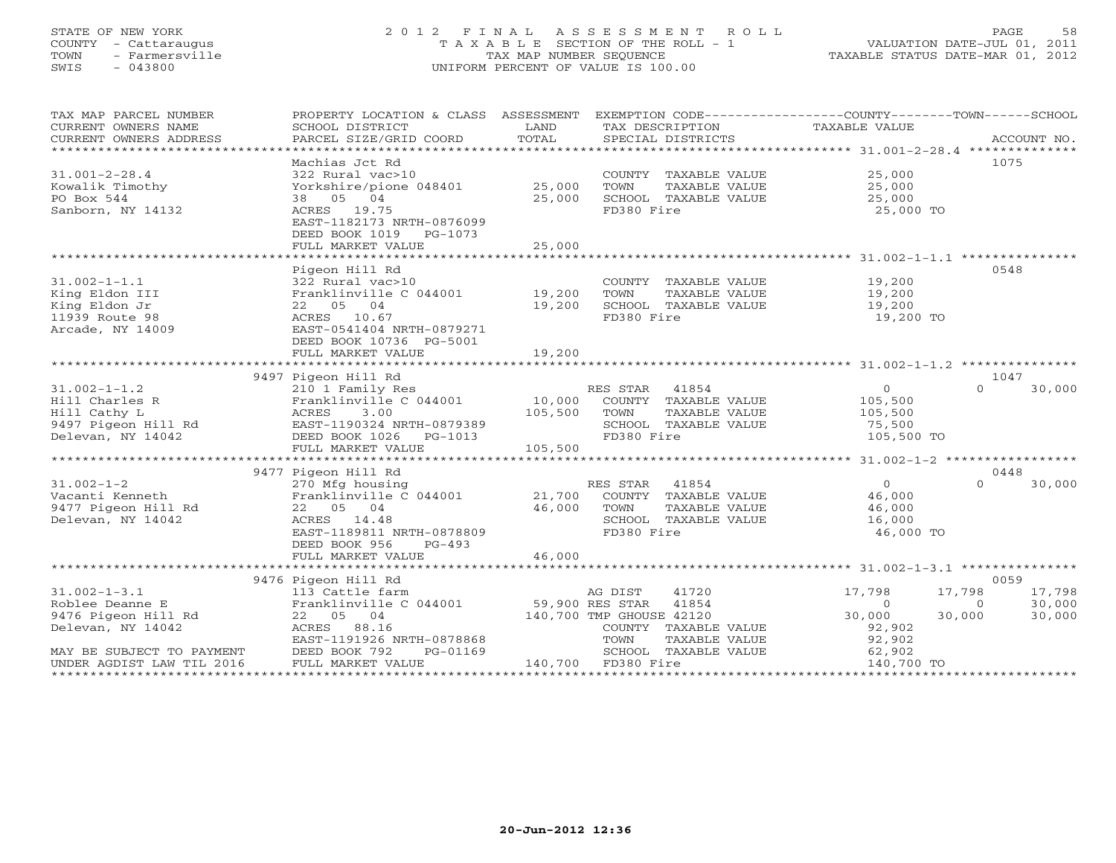#### STATE OF NEW YORK 2 0 1 2 F I N A L A S S E S S M E N T R O L L PAGE 58 COUNTY - Cattaraugus T A X A B L E SECTION OF THE ROLL - 1 VALUATION DATE-JUL 01, 2011 TOWN - Farmersville TAX MAP NUMBER SEQUENCE TAXABLE STATUS DATE-MAR 01, 2012 SWIS - 043800 UNIFORM PERCENT OF VALUE IS 100.00UNIFORM PERCENT OF VALUE IS 100.00

| TAX MAP PARCEL NUMBER                    | PROPERTY LOCATION & CLASS ASSESSMENT                      |         |                               | EXEMPTION CODE-----------------COUNTY-------TOWN------SCHOOL |                    |
|------------------------------------------|-----------------------------------------------------------|---------|-------------------------------|--------------------------------------------------------------|--------------------|
| CURRENT OWNERS NAME                      | SCHOOL DISTRICT                                           | LAND    | TAX DESCRIPTION TAXABLE VALUE |                                                              |                    |
| CURRENT OWNERS ADDRESS                   | PARCEL SIZE/GRID COORD                                    | TOTAL   | SPECIAL DISTRICTS             |                                                              | ACCOUNT NO.        |
| ******************************           |                                                           |         |                               |                                                              |                    |
|                                          | Machias Jct Rd                                            |         |                               |                                                              | 1075               |
| $31.001 - 2 - 28.4$                      | 322 Rural vac>10                                          |         | COUNTY TAXABLE VALUE          | 25,000                                                       |                    |
| Kowalik Timothy                          | Yorkshire/pione 048401                                    | 25,000  | TAXABLE VALUE<br>TOWN         | 25,000                                                       |                    |
|                                          | 38 05 04                                                  |         |                               | 25,000                                                       |                    |
| PO Box 544                               |                                                           | 25,000  | SCHOOL TAXABLE VALUE          |                                                              |                    |
| Sanborn, NY 14132                        | ACRES 19.75                                               |         | FD380 Fire                    | 25,000 TO                                                    |                    |
|                                          | EAST-1182173 NRTH-0876099                                 |         |                               |                                                              |                    |
|                                          | DEED BOOK 1019 PG-1073                                    |         |                               |                                                              |                    |
|                                          | FULL MARKET VALUE                                         | 25,000  |                               |                                                              |                    |
|                                          |                                                           |         |                               |                                                              |                    |
|                                          | Pigeon Hill Rd                                            |         |                               |                                                              | 0548               |
| $31.002 - 1 - 1.1$                       | 322 Rural vac>10                                          |         | COUNTY TAXABLE VALUE          | 19,200                                                       |                    |
| King Eldon III                           | Franklinville C 044001                                    | 19,200  | TAXABLE VALUE<br>TOWN         | 19,200                                                       |                    |
| King Eldon Jr                            | 22 05 04                                                  | 19,200  | SCHOOL TAXABLE VALUE          | 19,200                                                       |                    |
| 11939 Route 98                           | ACRES 10.67                                               |         | FD380 Fire                    | 19,200 TO                                                    |                    |
| Arcade, NY 14009                         | EAST-0541404 NRTH-0879271                                 |         |                               |                                                              |                    |
|                                          | DEED BOOK 10736 PG-5001                                   |         |                               |                                                              |                    |
|                                          | FULL MARKET VALUE                                         | 19,200  |                               |                                                              |                    |
|                                          |                                                           |         |                               |                                                              |                    |
|                                          | 9497 Pigeon Hill Rd                                       |         |                               |                                                              | 1047               |
|                                          |                                                           |         |                               |                                                              | $\Omega$           |
| $31.002 - 1 - 1.2$                       | 210 1 Family Res                                          |         | 41854<br>RES STAR             | $\overline{0}$                                               | 30,000             |
| Hill Charles R                           | Franklinville C 044001 10,000                             |         | COUNTY TAXABLE VALUE          | 105,500                                                      |                    |
| Hill Cathy L                             | ACRES<br>3.00                                             | 105,500 | TAXABLE VALUE<br>TOWN         | 105,500                                                      |                    |
| 9497 Pigeon Hill Rd<br>Delevan, NY 14042 |                                                           |         | SCHOOL TAXABLE VALUE          | 75,500<br>105,500 TO                                         |                    |
|                                          | EAST-1190324 NRTH-0879389<br>DEED BOOK 1026 PG-1013       |         | FD380 Fire                    |                                                              |                    |
|                                          | FULL MARKET VALUE                                         | 105,500 |                               |                                                              |                    |
|                                          |                                                           |         |                               |                                                              |                    |
|                                          | 9477 Pigeon Hill Rd                                       |         |                               |                                                              | 0448               |
| $31.002 - 1 - 2$                         | 270 Mfg housing<br>Franklinville C 044001 21,700          |         | RES STAR<br>41854             | $\overline{0}$                                               | $\Omega$<br>30,000 |
| Vacanti Kenneth                          |                                                           |         | COUNTY TAXABLE VALUE          | 46,000                                                       |                    |
| 9477 Pigeon Hill Rd                      | 22 05 04                                                  | 46,000  | TAXABLE VALUE<br>TOWN         | 46,000                                                       |                    |
| Delevan, NY 14042                        | ACRES 14.48                                               |         | SCHOOL TAXABLE VALUE          | 16,000                                                       |                    |
|                                          | EAST-1189811 NRTH-0878809                                 |         | FD380 Fire                    | 46,000 TO                                                    |                    |
|                                          | DEED BOOK 956<br>PG-493                                   |         |                               |                                                              |                    |
|                                          | FULL MARKET VALUE                                         | 46,000  |                               |                                                              |                    |
|                                          |                                                           |         |                               |                                                              |                    |
|                                          | 9476 Pigeon Hill Rd                                       |         |                               |                                                              | 0059               |
|                                          |                                                           |         |                               |                                                              |                    |
| $31.002 - 1 - 3.1$                       | 113 Cattle farm<br>Franklinville C 044001 59,900 RES STAR |         | AG DIST<br>41720              | 17,798                                                       | 17,798<br>17,798   |
| Roblee Deanne E                          |                                                           |         | 41854                         | $\overline{0}$                                               | 30,000<br>$\circ$  |
| 9476 Pigeon Hill Rd                      | 22 05 04                                                  |         | 140,700 TMP GHOUSE 42120      | 30,000                                                       | 30,000<br>30,000   |
| Delevan, NY 14042                        | ACRES<br>88.16                                            |         | COUNTY TAXABLE VALUE          | 92,902                                                       |                    |
|                                          | EAST-1191926 NRTH-0878868                                 |         | TOWN<br>TAXABLE VALUE         | 92,902<br>92,902<br>62,902                                   |                    |
| MAY BE SUBJECT TO PAYMENT                | DEED BOOK 792<br>PG-01169                                 |         | SCHOOL TAXABLE VALUE          |                                                              |                    |
| UNDER AGDIST LAW TIL 2016                | FULL MARKET VALUE                                         |         | 140,700 FD380 Fire            | 140,700 TO                                                   |                    |
|                                          |                                                           |         |                               |                                                              |                    |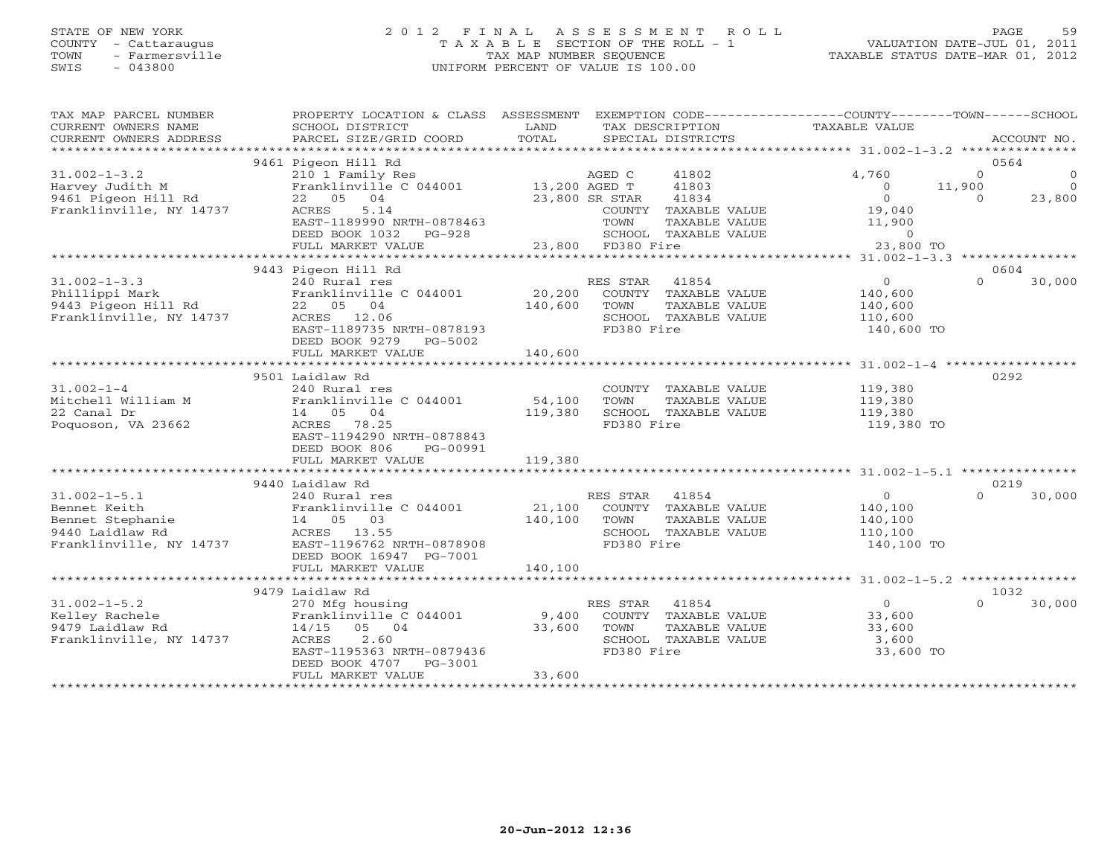# STATE OF NEW YORK 2 0 1 2 F I N A L A S S E S S M E N T R O L L PAGE 59 COUNTY - Cattaraugus T A X A B L E SECTION OF THE ROLL - 1 VALUATION DATE-JUL 01, 2011 TOWN - Farmersville TAX MAP NUMBER SEQUENCE TAXABLE STATUS DATE-MAR 01, 2012 SWIS - 043800 UNIFORM PERCENT OF VALUE IS 100.00

| TAX MAP PARCEL NUMBER<br>CURRENT OWNERS NAME<br>CURRENT OWNERS ADDRESS | PROPERTY LOCATION & CLASS ASSESSMENT<br>SCHOOL DISTRICT<br>PARCEL SIZE/GRID COORD | LAND<br>TOTAL |                   | TAX DESCRIPTION<br>SPECIAL DISTRICTS | EXEMPTION CODE-----------------COUNTY-------TOWN------SCHOOL<br>TAXABLE VALUE |          | ACCOUNT NO.      |
|------------------------------------------------------------------------|-----------------------------------------------------------------------------------|---------------|-------------------|--------------------------------------|-------------------------------------------------------------------------------|----------|------------------|
| ***********************                                                |                                                                                   |               |                   |                                      |                                                                               |          |                  |
| $31.002 - 1 - 3.2$                                                     | 9461 Pigeon Hill Rd<br>210 1 Family Res                                           |               | AGED C            | 41802                                | 4,760                                                                         | $\Omega$ | 0564<br>$\Omega$ |
| Harvey Judith M                                                        | Franklinville C 044001                                                            | 13,200 AGED T |                   | 41803                                | $\Omega$                                                                      | 11,900   | $\Omega$         |
| 9461 Pigeon Hill Rd                                                    | 22 05 04                                                                          |               | 23,800 SR STAR    | 41834                                | $\Omega$                                                                      | $\Omega$ | 23,800           |
| Franklinville, NY 14737                                                | 5.14<br>ACRES                                                                     |               |                   | COUNTY TAXABLE VALUE                 | 19,040                                                                        |          |                  |
|                                                                        | EAST-1189990 NRTH-0878463                                                         |               | TOWN              | TAXABLE VALUE                        | 11,900                                                                        |          |                  |
|                                                                        | DEED BOOK 1032<br>$PG-928$                                                        |               |                   | SCHOOL TAXABLE VALUE                 | $\circ$                                                                       |          |                  |
|                                                                        | FULL MARKET VALUE                                                                 |               | 23,800 FD380 Fire |                                      | 23,800 TO                                                                     |          |                  |
|                                                                        |                                                                                   |               |                   |                                      |                                                                               |          |                  |
| $31.002 - 1 - 3.3$                                                     | 9443 Pigeon Hill Rd<br>240 Rural res                                              |               | RES STAR          | 41854                                | $\circ$                                                                       | $\Omega$ | 0604<br>30,000   |
| Phillippi Mark                                                         | Franklinville C 044001                                                            | 20,200        |                   | COUNTY TAXABLE VALUE                 | 140,600                                                                       |          |                  |
| 9443 Pigeon Hill Rd                                                    | 22 05 04                                                                          | 140,600       | TOWN              | TAXABLE VALUE                        | 140,600                                                                       |          |                  |
| Franklinville, NY 14737                                                | ACRES 12.06                                                                       |               |                   | SCHOOL TAXABLE VALUE                 | 110,600                                                                       |          |                  |
|                                                                        | EAST-1189735 NRTH-0878193                                                         |               | FD380 Fire        |                                      | 140,600 TO                                                                    |          |                  |
|                                                                        | DEED BOOK 9279<br>PG-5002                                                         |               |                   |                                      |                                                                               |          |                  |
|                                                                        | FULL MARKET VALUE                                                                 | 140,600       |                   |                                      |                                                                               |          |                  |
|                                                                        |                                                                                   |               |                   |                                      |                                                                               |          |                  |
|                                                                        | 9501 Laidlaw Rd                                                                   |               |                   |                                      |                                                                               |          | 0292             |
| $31.002 - 1 - 4$                                                       | 240 Rural res                                                                     |               |                   | COUNTY TAXABLE VALUE                 | 119,380                                                                       |          |                  |
| Mitchell William M                                                     | Franklinville C 044001                                                            | 54,100        | TOWN              | TAXABLE VALUE                        | 119,380                                                                       |          |                  |
| 22 Canal Dr<br>Poquoson, VA 23662                                      | 14 05 04<br>ACRES 78.25                                                           | 119,380       | FD380 Fire        | SCHOOL TAXABLE VALUE                 | 119,380<br>119,380 TO                                                         |          |                  |
|                                                                        | EAST-1194290 NRTH-0878843                                                         |               |                   |                                      |                                                                               |          |                  |
|                                                                        | DEED BOOK 806<br>PG-00991                                                         |               |                   |                                      |                                                                               |          |                  |
|                                                                        | FULL MARKET VALUE                                                                 | 119,380       |                   |                                      |                                                                               |          |                  |
|                                                                        |                                                                                   |               |                   |                                      |                                                                               |          |                  |
|                                                                        | 9440 Laidlaw Rd                                                                   |               |                   |                                      |                                                                               |          | 0219             |
| $31.002 - 1 - 5.1$                                                     | 240 Rural res                                                                     |               | RES STAR          | 41854                                | $\circ$                                                                       | $\Omega$ | 30,000           |
| Bennet Keith                                                           | Franklinville C 044001                                                            | 21,100        |                   | COUNTY TAXABLE VALUE                 | 140,100                                                                       |          |                  |
| Bennet Stephanie                                                       | 14 05 03                                                                          | 140,100       | TOWN              | TAXABLE VALUE                        | 140,100                                                                       |          |                  |
| 9440 Laidlaw Rd                                                        | ACRES 13.55                                                                       |               |                   | SCHOOL TAXABLE VALUE                 | 110,100                                                                       |          |                  |
| Franklinville, NY 14737                                                | EAST-1196762 NRTH-0878908<br>DEED BOOK 16947 PG-7001                              |               | FD380 Fire        |                                      | 140,100 TO                                                                    |          |                  |
|                                                                        | FULL MARKET VALUE                                                                 | 140,100       |                   |                                      |                                                                               |          |                  |
|                                                                        |                                                                                   |               |                   |                                      |                                                                               |          |                  |
|                                                                        | 9479 Laidlaw Rd                                                                   |               |                   |                                      |                                                                               |          | 1032             |
| $31.002 - 1 - 5.2$                                                     | 270 Mfg housing                                                                   |               | RES STAR          | 41854                                | $\circ$                                                                       | $\Omega$ | 30,000           |
| Kelley Rachele                                                         | Franklinville C 044001                                                            | 9,400         |                   | COUNTY TAXABLE VALUE                 | 33,600                                                                        |          |                  |
| 9479 Laidlaw Rd                                                        | $14/15$ 05 04                                                                     | 33,600        | TOWN              | TAXABLE VALUE                        | 33,600                                                                        |          |                  |
| Franklinville, NY 14737                                                | 2.60<br>ACRES                                                                     |               |                   | SCHOOL TAXABLE VALUE                 | 3,600                                                                         |          |                  |
|                                                                        | EAST-1195363 NRTH-0879436                                                         |               | FD380 Fire        |                                      | 33,600 TO                                                                     |          |                  |
|                                                                        | DEED BOOK 4707<br>PG-3001                                                         | 33,600        |                   |                                      |                                                                               |          |                  |
|                                                                        | FULL MARKET VALUE                                                                 |               |                   |                                      |                                                                               |          |                  |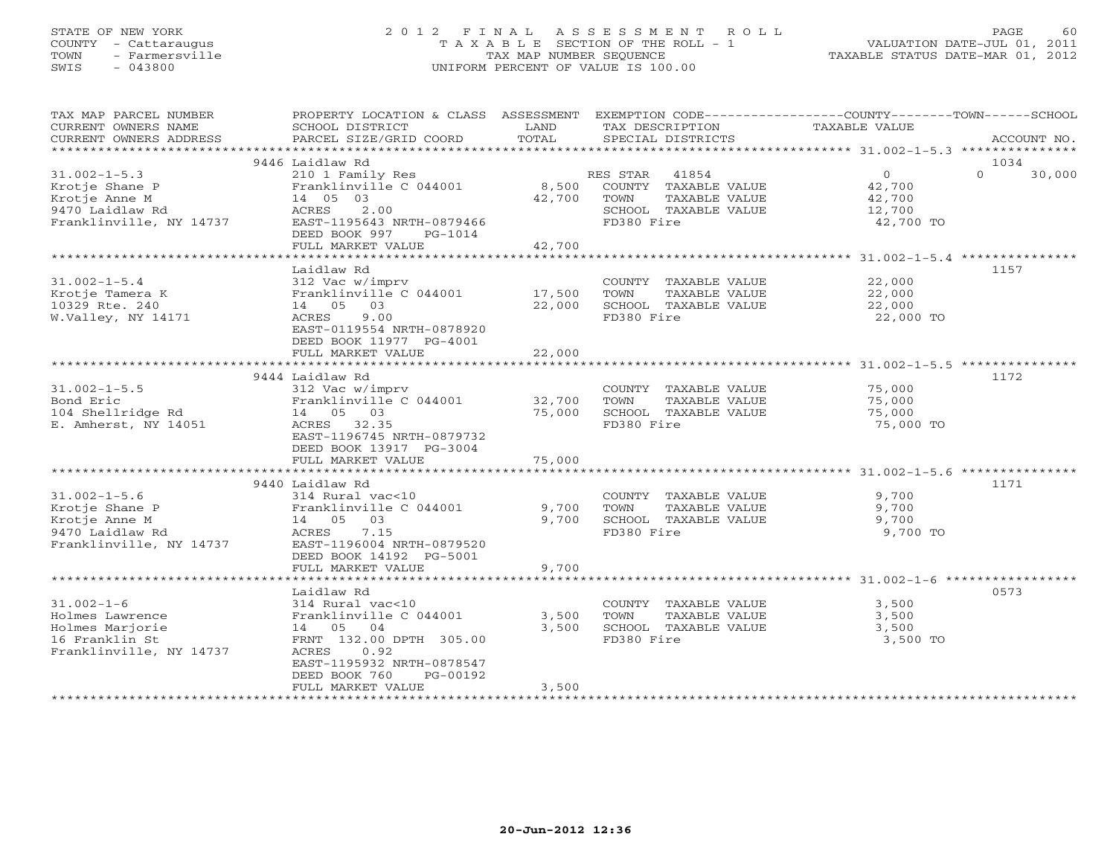# STATE OF NEW YORK 2 0 1 2 F I N A L A S S E S S M E N T R O L L PAGE 60 COUNTY - Cattaraugus T A X A B L E SECTION OF THE ROLL - 1 VALUATION DATE-JUL 01, 2011 TOWN - Farmersville TAX MAP NUMBER SEQUENCE TAXABLE STATUS DATE-MAR 01, 2012 SWIS - 043800 UNIFORM PERCENT OF VALUE IS 100.00UNIFORM PERCENT OF VALUE IS 100.00

| CURRENT OWNERS NAME<br>SCHOOL DISTRICT<br>LAND<br>TAX DESCRIPTION<br>TAXABLE VALUE<br>TOTAL<br>PARCEL SIZE/GRID COORD<br>CURRENT OWNERS ADDRESS<br>SPECIAL DISTRICTS<br>ACCOUNT NO.<br>***********************<br>9446 Laidlaw Rd<br>1034<br>$\overline{O}$<br>$31.002 - 1 - 5.3$<br>$\Omega$<br>210 1 Family Res<br>RES STAR 41854<br>30,000<br>8,500 COUNTY TAXABLE VALUE<br>42,700<br>Krotje Shane P<br>Franklinville C 044001<br>Krotje Anne M<br>14 05 03<br>42,700<br>42,700<br>TOWN<br>TAXABLE VALUE<br>ACRES 2.00<br>9470 Laidlaw Rd<br>SCHOOL TAXABLE VALUE<br>12,700<br>Franklinville, NY 14737<br>EAST-1195643 NRTH-0879466<br>FD380 Fire<br>42,700 TO<br>DEED BOOK 997 PG-1014<br>FULL MARKET VALUE<br>42,700<br>Laidlaw Rd<br>1157<br>$31.002 - 1 - 5.4$<br>312 Vac w/imprv<br>COUNTY TAXABLE VALUE<br>22,000<br>17,500<br>Krotje Tamera K<br>Franklinville C 044001<br>TOWN<br>TAXABLE VALUE<br>22,000<br>10329 Rte. 240<br>14 05 03<br>22,000<br>SCHOOL TAXABLE VALUE<br>22,000<br>W.Valley, NY 14171<br>ACRES<br>9.00<br>FD380 Fire<br>22,000 TO<br>EAST-0119554 NRTH-0878920<br>DEED BOOK 11977 PG-4001<br>22,000<br>FULL MARKET VALUE<br>9444 Laidlaw Rd<br>1172<br>$31.002 - 1 - 5.5$<br>312 Vac w/imprv<br>COUNTY TAXABLE VALUE<br>75,000<br>Bond Eric<br>Franklinville C 044001<br>32,700<br>TOWN<br>TAXABLE VALUE<br>75,000<br>75,000 SCHOOL TAXABLE VALUE<br>104 Shellridge Rd<br>14 05 03<br>75,000<br>E. Amherst, NY 14051<br>ACRES 32.35<br>FD380 Fire<br>75,000 TO<br>EAST-1196745 NRTH-0879732<br>DEED BOOK 13917 PG-3004<br>FULL MARKET VALUE<br>75,000<br>9440 Laidlaw Rd<br>1171<br>314 Rural vac<10<br>9,700<br>$31.002 - 1 - 5.6$<br>COUNTY TAXABLE VALUE<br>Krotje Shane P<br>Franklinville C 044001<br>9,700<br>9,700<br>TOWN<br>TAXABLE VALUE<br>Krotje Anne M<br>9,700<br>SCHOOL TAXABLE VALUE<br>9,700<br>14 05 03<br>9470 Laidlaw Rd<br>ACRES 7.15<br>FD380 Fire<br>9,700 TO<br>EAST-1196004 NRTH-0879520<br>Franklinville, NY 14737<br>DEED BOOK 14192 PG-5001<br>9,700<br>FULL MARKET VALUE<br>0573<br>Laidlaw Rd<br>$31.002 - 1 - 6$<br>3,500<br>314 Rural vac<10<br>COUNTY TAXABLE VALUE<br>3,500<br>3,500<br>Holmes Lawrence<br>Franklinville C 044001<br>TOWN<br>TAXABLE VALUE<br>3,500<br>Holmes Marjorie<br>SCHOOL TAXABLE VALUE<br>3,500<br>14 05 04<br>16 Franklin St<br>FD380 Fire<br>3,500 TO<br>FRNT 132.00 DPTH 305.00<br>Franklinville, NY 14737<br>ACRES<br>0.92<br>EAST-1195932 NRTH-0878547<br>DEED BOOK 760<br>PG-00192<br>3,500<br>FULL MARKET VALUE | TAX MAP PARCEL NUMBER | PROPERTY LOCATION & CLASS ASSESSMENT EXEMPTION CODE---------------COUNTY-------TOWN------SCHOOL |  |  |
|-----------------------------------------------------------------------------------------------------------------------------------------------------------------------------------------------------------------------------------------------------------------------------------------------------------------------------------------------------------------------------------------------------------------------------------------------------------------------------------------------------------------------------------------------------------------------------------------------------------------------------------------------------------------------------------------------------------------------------------------------------------------------------------------------------------------------------------------------------------------------------------------------------------------------------------------------------------------------------------------------------------------------------------------------------------------------------------------------------------------------------------------------------------------------------------------------------------------------------------------------------------------------------------------------------------------------------------------------------------------------------------------------------------------------------------------------------------------------------------------------------------------------------------------------------------------------------------------------------------------------------------------------------------------------------------------------------------------------------------------------------------------------------------------------------------------------------------------------------------------------------------------------------------------------------------------------------------------------------------------------------------------------------------------------------------------------------------------------------------------------------------------------------------------------------------------------------------------------------------------------------------------------------------------------------------------------------------------------------------------------------------------------------------------------------------------------------------------------------------------------------------------|-----------------------|-------------------------------------------------------------------------------------------------|--|--|
|                                                                                                                                                                                                                                                                                                                                                                                                                                                                                                                                                                                                                                                                                                                                                                                                                                                                                                                                                                                                                                                                                                                                                                                                                                                                                                                                                                                                                                                                                                                                                                                                                                                                                                                                                                                                                                                                                                                                                                                                                                                                                                                                                                                                                                                                                                                                                                                                                                                                                                                 |                       |                                                                                                 |  |  |
|                                                                                                                                                                                                                                                                                                                                                                                                                                                                                                                                                                                                                                                                                                                                                                                                                                                                                                                                                                                                                                                                                                                                                                                                                                                                                                                                                                                                                                                                                                                                                                                                                                                                                                                                                                                                                                                                                                                                                                                                                                                                                                                                                                                                                                                                                                                                                                                                                                                                                                                 |                       |                                                                                                 |  |  |
|                                                                                                                                                                                                                                                                                                                                                                                                                                                                                                                                                                                                                                                                                                                                                                                                                                                                                                                                                                                                                                                                                                                                                                                                                                                                                                                                                                                                                                                                                                                                                                                                                                                                                                                                                                                                                                                                                                                                                                                                                                                                                                                                                                                                                                                                                                                                                                                                                                                                                                                 |                       |                                                                                                 |  |  |
|                                                                                                                                                                                                                                                                                                                                                                                                                                                                                                                                                                                                                                                                                                                                                                                                                                                                                                                                                                                                                                                                                                                                                                                                                                                                                                                                                                                                                                                                                                                                                                                                                                                                                                                                                                                                                                                                                                                                                                                                                                                                                                                                                                                                                                                                                                                                                                                                                                                                                                                 |                       |                                                                                                 |  |  |
|                                                                                                                                                                                                                                                                                                                                                                                                                                                                                                                                                                                                                                                                                                                                                                                                                                                                                                                                                                                                                                                                                                                                                                                                                                                                                                                                                                                                                                                                                                                                                                                                                                                                                                                                                                                                                                                                                                                                                                                                                                                                                                                                                                                                                                                                                                                                                                                                                                                                                                                 |                       |                                                                                                 |  |  |
|                                                                                                                                                                                                                                                                                                                                                                                                                                                                                                                                                                                                                                                                                                                                                                                                                                                                                                                                                                                                                                                                                                                                                                                                                                                                                                                                                                                                                                                                                                                                                                                                                                                                                                                                                                                                                                                                                                                                                                                                                                                                                                                                                                                                                                                                                                                                                                                                                                                                                                                 |                       |                                                                                                 |  |  |
|                                                                                                                                                                                                                                                                                                                                                                                                                                                                                                                                                                                                                                                                                                                                                                                                                                                                                                                                                                                                                                                                                                                                                                                                                                                                                                                                                                                                                                                                                                                                                                                                                                                                                                                                                                                                                                                                                                                                                                                                                                                                                                                                                                                                                                                                                                                                                                                                                                                                                                                 |                       |                                                                                                 |  |  |
|                                                                                                                                                                                                                                                                                                                                                                                                                                                                                                                                                                                                                                                                                                                                                                                                                                                                                                                                                                                                                                                                                                                                                                                                                                                                                                                                                                                                                                                                                                                                                                                                                                                                                                                                                                                                                                                                                                                                                                                                                                                                                                                                                                                                                                                                                                                                                                                                                                                                                                                 |                       |                                                                                                 |  |  |
|                                                                                                                                                                                                                                                                                                                                                                                                                                                                                                                                                                                                                                                                                                                                                                                                                                                                                                                                                                                                                                                                                                                                                                                                                                                                                                                                                                                                                                                                                                                                                                                                                                                                                                                                                                                                                                                                                                                                                                                                                                                                                                                                                                                                                                                                                                                                                                                                                                                                                                                 |                       |                                                                                                 |  |  |
|                                                                                                                                                                                                                                                                                                                                                                                                                                                                                                                                                                                                                                                                                                                                                                                                                                                                                                                                                                                                                                                                                                                                                                                                                                                                                                                                                                                                                                                                                                                                                                                                                                                                                                                                                                                                                                                                                                                                                                                                                                                                                                                                                                                                                                                                                                                                                                                                                                                                                                                 |                       |                                                                                                 |  |  |
|                                                                                                                                                                                                                                                                                                                                                                                                                                                                                                                                                                                                                                                                                                                                                                                                                                                                                                                                                                                                                                                                                                                                                                                                                                                                                                                                                                                                                                                                                                                                                                                                                                                                                                                                                                                                                                                                                                                                                                                                                                                                                                                                                                                                                                                                                                                                                                                                                                                                                                                 |                       |                                                                                                 |  |  |
|                                                                                                                                                                                                                                                                                                                                                                                                                                                                                                                                                                                                                                                                                                                                                                                                                                                                                                                                                                                                                                                                                                                                                                                                                                                                                                                                                                                                                                                                                                                                                                                                                                                                                                                                                                                                                                                                                                                                                                                                                                                                                                                                                                                                                                                                                                                                                                                                                                                                                                                 |                       |                                                                                                 |  |  |
|                                                                                                                                                                                                                                                                                                                                                                                                                                                                                                                                                                                                                                                                                                                                                                                                                                                                                                                                                                                                                                                                                                                                                                                                                                                                                                                                                                                                                                                                                                                                                                                                                                                                                                                                                                                                                                                                                                                                                                                                                                                                                                                                                                                                                                                                                                                                                                                                                                                                                                                 |                       |                                                                                                 |  |  |
|                                                                                                                                                                                                                                                                                                                                                                                                                                                                                                                                                                                                                                                                                                                                                                                                                                                                                                                                                                                                                                                                                                                                                                                                                                                                                                                                                                                                                                                                                                                                                                                                                                                                                                                                                                                                                                                                                                                                                                                                                                                                                                                                                                                                                                                                                                                                                                                                                                                                                                                 |                       |                                                                                                 |  |  |
|                                                                                                                                                                                                                                                                                                                                                                                                                                                                                                                                                                                                                                                                                                                                                                                                                                                                                                                                                                                                                                                                                                                                                                                                                                                                                                                                                                                                                                                                                                                                                                                                                                                                                                                                                                                                                                                                                                                                                                                                                                                                                                                                                                                                                                                                                                                                                                                                                                                                                                                 |                       |                                                                                                 |  |  |
|                                                                                                                                                                                                                                                                                                                                                                                                                                                                                                                                                                                                                                                                                                                                                                                                                                                                                                                                                                                                                                                                                                                                                                                                                                                                                                                                                                                                                                                                                                                                                                                                                                                                                                                                                                                                                                                                                                                                                                                                                                                                                                                                                                                                                                                                                                                                                                                                                                                                                                                 |                       |                                                                                                 |  |  |
|                                                                                                                                                                                                                                                                                                                                                                                                                                                                                                                                                                                                                                                                                                                                                                                                                                                                                                                                                                                                                                                                                                                                                                                                                                                                                                                                                                                                                                                                                                                                                                                                                                                                                                                                                                                                                                                                                                                                                                                                                                                                                                                                                                                                                                                                                                                                                                                                                                                                                                                 |                       |                                                                                                 |  |  |
|                                                                                                                                                                                                                                                                                                                                                                                                                                                                                                                                                                                                                                                                                                                                                                                                                                                                                                                                                                                                                                                                                                                                                                                                                                                                                                                                                                                                                                                                                                                                                                                                                                                                                                                                                                                                                                                                                                                                                                                                                                                                                                                                                                                                                                                                                                                                                                                                                                                                                                                 |                       |                                                                                                 |  |  |
|                                                                                                                                                                                                                                                                                                                                                                                                                                                                                                                                                                                                                                                                                                                                                                                                                                                                                                                                                                                                                                                                                                                                                                                                                                                                                                                                                                                                                                                                                                                                                                                                                                                                                                                                                                                                                                                                                                                                                                                                                                                                                                                                                                                                                                                                                                                                                                                                                                                                                                                 |                       |                                                                                                 |  |  |
|                                                                                                                                                                                                                                                                                                                                                                                                                                                                                                                                                                                                                                                                                                                                                                                                                                                                                                                                                                                                                                                                                                                                                                                                                                                                                                                                                                                                                                                                                                                                                                                                                                                                                                                                                                                                                                                                                                                                                                                                                                                                                                                                                                                                                                                                                                                                                                                                                                                                                                                 |                       |                                                                                                 |  |  |
|                                                                                                                                                                                                                                                                                                                                                                                                                                                                                                                                                                                                                                                                                                                                                                                                                                                                                                                                                                                                                                                                                                                                                                                                                                                                                                                                                                                                                                                                                                                                                                                                                                                                                                                                                                                                                                                                                                                                                                                                                                                                                                                                                                                                                                                                                                                                                                                                                                                                                                                 |                       |                                                                                                 |  |  |
|                                                                                                                                                                                                                                                                                                                                                                                                                                                                                                                                                                                                                                                                                                                                                                                                                                                                                                                                                                                                                                                                                                                                                                                                                                                                                                                                                                                                                                                                                                                                                                                                                                                                                                                                                                                                                                                                                                                                                                                                                                                                                                                                                                                                                                                                                                                                                                                                                                                                                                                 |                       |                                                                                                 |  |  |
|                                                                                                                                                                                                                                                                                                                                                                                                                                                                                                                                                                                                                                                                                                                                                                                                                                                                                                                                                                                                                                                                                                                                                                                                                                                                                                                                                                                                                                                                                                                                                                                                                                                                                                                                                                                                                                                                                                                                                                                                                                                                                                                                                                                                                                                                                                                                                                                                                                                                                                                 |                       |                                                                                                 |  |  |
|                                                                                                                                                                                                                                                                                                                                                                                                                                                                                                                                                                                                                                                                                                                                                                                                                                                                                                                                                                                                                                                                                                                                                                                                                                                                                                                                                                                                                                                                                                                                                                                                                                                                                                                                                                                                                                                                                                                                                                                                                                                                                                                                                                                                                                                                                                                                                                                                                                                                                                                 |                       |                                                                                                 |  |  |
|                                                                                                                                                                                                                                                                                                                                                                                                                                                                                                                                                                                                                                                                                                                                                                                                                                                                                                                                                                                                                                                                                                                                                                                                                                                                                                                                                                                                                                                                                                                                                                                                                                                                                                                                                                                                                                                                                                                                                                                                                                                                                                                                                                                                                                                                                                                                                                                                                                                                                                                 |                       |                                                                                                 |  |  |
|                                                                                                                                                                                                                                                                                                                                                                                                                                                                                                                                                                                                                                                                                                                                                                                                                                                                                                                                                                                                                                                                                                                                                                                                                                                                                                                                                                                                                                                                                                                                                                                                                                                                                                                                                                                                                                                                                                                                                                                                                                                                                                                                                                                                                                                                                                                                                                                                                                                                                                                 |                       |                                                                                                 |  |  |
|                                                                                                                                                                                                                                                                                                                                                                                                                                                                                                                                                                                                                                                                                                                                                                                                                                                                                                                                                                                                                                                                                                                                                                                                                                                                                                                                                                                                                                                                                                                                                                                                                                                                                                                                                                                                                                                                                                                                                                                                                                                                                                                                                                                                                                                                                                                                                                                                                                                                                                                 |                       |                                                                                                 |  |  |
|                                                                                                                                                                                                                                                                                                                                                                                                                                                                                                                                                                                                                                                                                                                                                                                                                                                                                                                                                                                                                                                                                                                                                                                                                                                                                                                                                                                                                                                                                                                                                                                                                                                                                                                                                                                                                                                                                                                                                                                                                                                                                                                                                                                                                                                                                                                                                                                                                                                                                                                 |                       |                                                                                                 |  |  |
|                                                                                                                                                                                                                                                                                                                                                                                                                                                                                                                                                                                                                                                                                                                                                                                                                                                                                                                                                                                                                                                                                                                                                                                                                                                                                                                                                                                                                                                                                                                                                                                                                                                                                                                                                                                                                                                                                                                                                                                                                                                                                                                                                                                                                                                                                                                                                                                                                                                                                                                 |                       |                                                                                                 |  |  |
|                                                                                                                                                                                                                                                                                                                                                                                                                                                                                                                                                                                                                                                                                                                                                                                                                                                                                                                                                                                                                                                                                                                                                                                                                                                                                                                                                                                                                                                                                                                                                                                                                                                                                                                                                                                                                                                                                                                                                                                                                                                                                                                                                                                                                                                                                                                                                                                                                                                                                                                 |                       |                                                                                                 |  |  |
|                                                                                                                                                                                                                                                                                                                                                                                                                                                                                                                                                                                                                                                                                                                                                                                                                                                                                                                                                                                                                                                                                                                                                                                                                                                                                                                                                                                                                                                                                                                                                                                                                                                                                                                                                                                                                                                                                                                                                                                                                                                                                                                                                                                                                                                                                                                                                                                                                                                                                                                 |                       |                                                                                                 |  |  |
|                                                                                                                                                                                                                                                                                                                                                                                                                                                                                                                                                                                                                                                                                                                                                                                                                                                                                                                                                                                                                                                                                                                                                                                                                                                                                                                                                                                                                                                                                                                                                                                                                                                                                                                                                                                                                                                                                                                                                                                                                                                                                                                                                                                                                                                                                                                                                                                                                                                                                                                 |                       |                                                                                                 |  |  |
|                                                                                                                                                                                                                                                                                                                                                                                                                                                                                                                                                                                                                                                                                                                                                                                                                                                                                                                                                                                                                                                                                                                                                                                                                                                                                                                                                                                                                                                                                                                                                                                                                                                                                                                                                                                                                                                                                                                                                                                                                                                                                                                                                                                                                                                                                                                                                                                                                                                                                                                 |                       |                                                                                                 |  |  |
|                                                                                                                                                                                                                                                                                                                                                                                                                                                                                                                                                                                                                                                                                                                                                                                                                                                                                                                                                                                                                                                                                                                                                                                                                                                                                                                                                                                                                                                                                                                                                                                                                                                                                                                                                                                                                                                                                                                                                                                                                                                                                                                                                                                                                                                                                                                                                                                                                                                                                                                 |                       |                                                                                                 |  |  |
|                                                                                                                                                                                                                                                                                                                                                                                                                                                                                                                                                                                                                                                                                                                                                                                                                                                                                                                                                                                                                                                                                                                                                                                                                                                                                                                                                                                                                                                                                                                                                                                                                                                                                                                                                                                                                                                                                                                                                                                                                                                                                                                                                                                                                                                                                                                                                                                                                                                                                                                 |                       |                                                                                                 |  |  |
|                                                                                                                                                                                                                                                                                                                                                                                                                                                                                                                                                                                                                                                                                                                                                                                                                                                                                                                                                                                                                                                                                                                                                                                                                                                                                                                                                                                                                                                                                                                                                                                                                                                                                                                                                                                                                                                                                                                                                                                                                                                                                                                                                                                                                                                                                                                                                                                                                                                                                                                 |                       |                                                                                                 |  |  |
|                                                                                                                                                                                                                                                                                                                                                                                                                                                                                                                                                                                                                                                                                                                                                                                                                                                                                                                                                                                                                                                                                                                                                                                                                                                                                                                                                                                                                                                                                                                                                                                                                                                                                                                                                                                                                                                                                                                                                                                                                                                                                                                                                                                                                                                                                                                                                                                                                                                                                                                 |                       |                                                                                                 |  |  |
|                                                                                                                                                                                                                                                                                                                                                                                                                                                                                                                                                                                                                                                                                                                                                                                                                                                                                                                                                                                                                                                                                                                                                                                                                                                                                                                                                                                                                                                                                                                                                                                                                                                                                                                                                                                                                                                                                                                                                                                                                                                                                                                                                                                                                                                                                                                                                                                                                                                                                                                 |                       |                                                                                                 |  |  |
|                                                                                                                                                                                                                                                                                                                                                                                                                                                                                                                                                                                                                                                                                                                                                                                                                                                                                                                                                                                                                                                                                                                                                                                                                                                                                                                                                                                                                                                                                                                                                                                                                                                                                                                                                                                                                                                                                                                                                                                                                                                                                                                                                                                                                                                                                                                                                                                                                                                                                                                 |                       |                                                                                                 |  |  |
|                                                                                                                                                                                                                                                                                                                                                                                                                                                                                                                                                                                                                                                                                                                                                                                                                                                                                                                                                                                                                                                                                                                                                                                                                                                                                                                                                                                                                                                                                                                                                                                                                                                                                                                                                                                                                                                                                                                                                                                                                                                                                                                                                                                                                                                                                                                                                                                                                                                                                                                 |                       |                                                                                                 |  |  |
|                                                                                                                                                                                                                                                                                                                                                                                                                                                                                                                                                                                                                                                                                                                                                                                                                                                                                                                                                                                                                                                                                                                                                                                                                                                                                                                                                                                                                                                                                                                                                                                                                                                                                                                                                                                                                                                                                                                                                                                                                                                                                                                                                                                                                                                                                                                                                                                                                                                                                                                 |                       |                                                                                                 |  |  |
|                                                                                                                                                                                                                                                                                                                                                                                                                                                                                                                                                                                                                                                                                                                                                                                                                                                                                                                                                                                                                                                                                                                                                                                                                                                                                                                                                                                                                                                                                                                                                                                                                                                                                                                                                                                                                                                                                                                                                                                                                                                                                                                                                                                                                                                                                                                                                                                                                                                                                                                 |                       |                                                                                                 |  |  |
|                                                                                                                                                                                                                                                                                                                                                                                                                                                                                                                                                                                                                                                                                                                                                                                                                                                                                                                                                                                                                                                                                                                                                                                                                                                                                                                                                                                                                                                                                                                                                                                                                                                                                                                                                                                                                                                                                                                                                                                                                                                                                                                                                                                                                                                                                                                                                                                                                                                                                                                 |                       |                                                                                                 |  |  |
|                                                                                                                                                                                                                                                                                                                                                                                                                                                                                                                                                                                                                                                                                                                                                                                                                                                                                                                                                                                                                                                                                                                                                                                                                                                                                                                                                                                                                                                                                                                                                                                                                                                                                                                                                                                                                                                                                                                                                                                                                                                                                                                                                                                                                                                                                                                                                                                                                                                                                                                 |                       |                                                                                                 |  |  |
|                                                                                                                                                                                                                                                                                                                                                                                                                                                                                                                                                                                                                                                                                                                                                                                                                                                                                                                                                                                                                                                                                                                                                                                                                                                                                                                                                                                                                                                                                                                                                                                                                                                                                                                                                                                                                                                                                                                                                                                                                                                                                                                                                                                                                                                                                                                                                                                                                                                                                                                 |                       |                                                                                                 |  |  |
|                                                                                                                                                                                                                                                                                                                                                                                                                                                                                                                                                                                                                                                                                                                                                                                                                                                                                                                                                                                                                                                                                                                                                                                                                                                                                                                                                                                                                                                                                                                                                                                                                                                                                                                                                                                                                                                                                                                                                                                                                                                                                                                                                                                                                                                                                                                                                                                                                                                                                                                 |                       |                                                                                                 |  |  |
|                                                                                                                                                                                                                                                                                                                                                                                                                                                                                                                                                                                                                                                                                                                                                                                                                                                                                                                                                                                                                                                                                                                                                                                                                                                                                                                                                                                                                                                                                                                                                                                                                                                                                                                                                                                                                                                                                                                                                                                                                                                                                                                                                                                                                                                                                                                                                                                                                                                                                                                 |                       |                                                                                                 |  |  |
|                                                                                                                                                                                                                                                                                                                                                                                                                                                                                                                                                                                                                                                                                                                                                                                                                                                                                                                                                                                                                                                                                                                                                                                                                                                                                                                                                                                                                                                                                                                                                                                                                                                                                                                                                                                                                                                                                                                                                                                                                                                                                                                                                                                                                                                                                                                                                                                                                                                                                                                 |                       |                                                                                                 |  |  |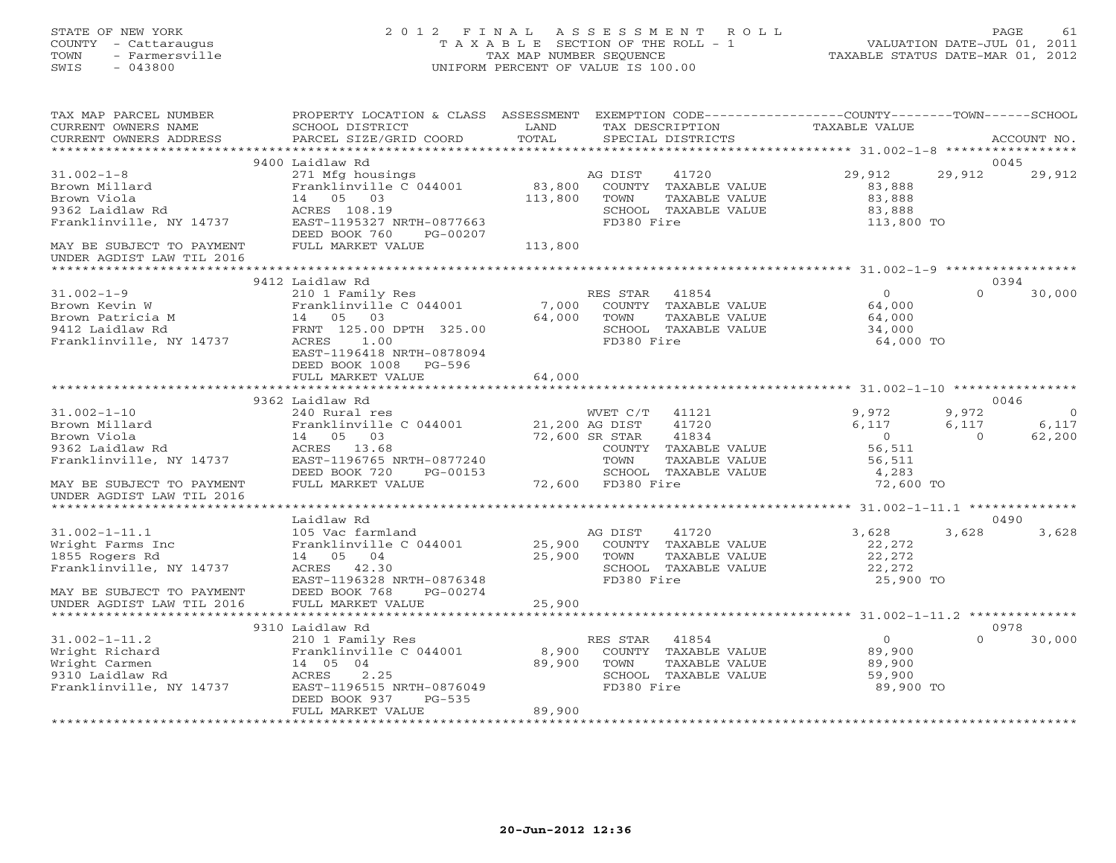STATE OF NEW YORK 2 0 1 2 F I N A L A S S E S S M E N T R O L L PAGE 61 COUNTY - Cattaraugus T A X A B L E SECTION OF THE ROLL - 1 VALUATION DATE-JUL 01, 2011 TOWN - Farmersville TAX MAP NUMBER SEQUENCE TAXABLE STATUS DATE-MAR 01, 2012 SWIS - 043800 UNIFORM PERCENT OF VALUE IS 100.00 TAX MAP PARCEL NUMBER PROPERTY LOCATION & CLASS ASSESSMENT EXEMPTION CODE-----------------COUNTY-------TOWN------SCHOOL CURRENT OWNERS NAME SCHOOL DISTRICT LAND TAX DESCRIPTION TAXABLE VALUE CURRENT OWNERS ADDRESS PARCEL SIZE/GRID COORD TOTAL SPECIAL DISTRICTS ACCOUNT NO. \*\*\*\*\*\*\*\*\*\*\*\*\*\*\*\*\*\*\*\*\*\*\*\*\*\*\*\*\*\*\*\*\*\*\*\*\*\*\*\*\*\*\*\*\*\*\*\*\*\*\*\*\*\*\*\*\*\*\*\*\*\*\*\*\*\*\*\*\*\*\*\*\*\*\*\*\*\*\*\*\*\*\*\*\*\*\*\*\*\*\*\*\*\*\*\*\*\*\*\*\*\*\* 31.002-1-8 \*\*\*\*\*\*\*\*\*\*\*\*\*\*\*\*\* 9400 Laidlaw Rd 004529,912 29,912 31.002-1-8 271 Mfg housings AG DIST 41720 29,912 29,912 29,912 Brown Millard Franklinville C 044001 83,800 COUNTY TAXABLE VALUE 83,888

\*\*\*\*\*\*\*\*\*\*\*\*\*\*\*\*\*\*\*\*\*\*\*\*\*\*\*\*\*\*\*\*\*\*\*\*\*\*\*\*\*\*\*\*\*\*\*\*\*\*\*\*\*\*\*\*\*\*\*\*\*\*\*\*\*\*\*\*\*\*\*\*\*\*\*\*\*\*\*\*\*\*\*\*\*\*\*\*\*\*\*\*\*\*\*\*\*\*\*\*\*\*\* 31.002-1-9 \*\*\*\*\*\*\*\*\*\*\*\*\*\*\*\*\*

31.002-1-9 210 1 Family Res RES STAR 41854 0 0 30,000

 $0 \t30,000$ 

9412 Laidlaw Rd 0394

Brown Patricia M 14 05 03 64,000 TOWN TAXABLE VALUE 64,000 9412 Laidlaw Rd FRNT 125.00 DPTH 325.00 SCHOOL TAXABLE VALUE 34,000 Franklinville, NY 14737 ACRES 1.00 FD380 Fire 64,000 TO EAST-1196418 NRTH-0878094 DEED BOOK 1008 PG-596 FULL MARKET VALUE 64,000 \*\*\*\*\*\*\*\*\*\*\*\*\*\*\*\*\*\*\*\*\*\*\*\*\*\*\*\*\*\*\*\*\*\*\*\*\*\*\*\*\*\*\*\*\*\*\*\*\*\*\*\*\*\*\*\*\*\*\*\*\*\*\*\*\*\*\*\*\*\*\*\*\*\*\*\*\*\*\*\*\*\*\*\*\*\*\*\*\*\*\*\*\*\*\*\*\*\*\*\*\*\*\* 31.002-1-10 \*\*\*\*\*\*\*\*\*\*\*\*\*\*\*\* 9362 Laidlaw Rd 004631.002-1-10 240 Rural res WVET C/T 41121 9,972 9,972 0 Brown Millard Franklinville C 044001 21,200 AG DIST 41720 6,117 6,117 6,117 Brown Viola 14 05 03 72,600 SR STAR 41834 0 0 62,200 9362 Laidlaw Rd ACRES 13.68 COUNTY TAXABLE VALUE 56,511 Franklinville, NY 14737 EAST-1196765 NRTH-0877240 TOWN TAXABLE VALUE 56,511 DEED BOOK 720 PG-00153 SCHOOL TAXABLE VALUE 4,283 MAY BE SUBJECT TO PAYMENT FULL MARKET VALUE 72,600 FD380 Fire 72,600 TO<br>UNDER AGDIST LAW TIL 2016 \*\*\*\*\*\*\*\*\*\*\*\*\*\*\*\*\*\*\*\*\*\*\*\*\*\*\*\*\*\*\*\*\*\*\*\*\*\*\*\*\*\*\*\*\*\*\*\*\*\*\*\*\*\*\*\*\*\*\*\*\*\*\*\*\*\*\*\*\*\*\*\*\*\*\*\*\*\*\*\*\*\*\*\*\*\*\*\*\*\*\*\*\*\*\*\*\*\*\*\*\*\*\* 31.002-1-11.1 \*\*\*\*\*\*\*\*\*\*\*\*\*\* Laidlaw Rd 0490 $0490$ <br>3,628 3,628 31.002-1-11.1 105 Vac farmland AG DIST 41720 3 ,628 3 ,628 3 ,628 Wright Farms Inc Franklinville C 044001 25,900 COUNTY TAXABLE VALUE 22,272 1855 Rogers Rd 14 05 04 25,900 TOWN TAXABLE VALUE 22,272

Brown Viola 14 05 03 113,800 TOWN TAXABLE VALUE 83,888 9362 Laidlaw Rd ACRES 108.19 SCHOOL TAXABLE VALUE 83,888

Brown Kevin W Franklinville C 044001 7,000 COUNTY TAXABLE VALUE 64,000

Franklinville, NY 14737 EAST-1195327 NRTH-0877663 FD380 Fire 113,800 TO DEED BOOK 760 PG-00207 MAY BE SUBJECT TO PAYMENT FULL MARKET VALUE 113,800 UNDER AGDIST LAW TIL 2016

| Franklinville, NY 14737   | 42.30<br>ACRES            |        | SCHOOL     | TAXABLE VALUE | 22, 272   |      |                |
|---------------------------|---------------------------|--------|------------|---------------|-----------|------|----------------|
|                           | EAST-1196328 NRTH-0876348 |        | FD380 Fire |               | 25,900 TO |      |                |
| MAY BE SUBJECT TO PAYMENT | DEED BOOK 768<br>PG-00274 |        |            |               |           |      |                |
| UNDER AGDIST LAW TIL 2016 | FULL MARKET VALUE         | 25,900 |            |               |           |      |                |
|                           |                           |        |            |               |           |      | ************** |
|                           | 9310 Laidlaw Rd           |        |            |               |           | 0978 |                |
| $31.002 - 1 - 11.2$       | 210 1 Family Res          |        | RES STAR   | 41854         |           | 0    | 30,000         |
| Wright Richard            | Franklinville C 044001    | 8,900  | COUNTY     | TAXABLE VALUE | 89,900    |      |                |
| Wright Carmen             | 14 05<br>- 04             | 89,900 | TOWN       | TAXABLE VALUE | 89,900    |      |                |
| 9310 Laidlaw Rd           | 2.25<br>ACRES             |        | SCHOOL     | TAXABLE VALUE | 59,900    |      |                |
| Franklinville, NY 14737   | EAST-1196515 NRTH-0876049 |        | FD380 Fire |               | 89,900 TO |      |                |
|                           | DEED BOOK 937<br>PG-535   |        |            |               |           |      |                |
|                           | FULL MARKET VALUE         | 89,900 |            |               |           |      |                |
|                           |                           |        |            |               |           |      |                |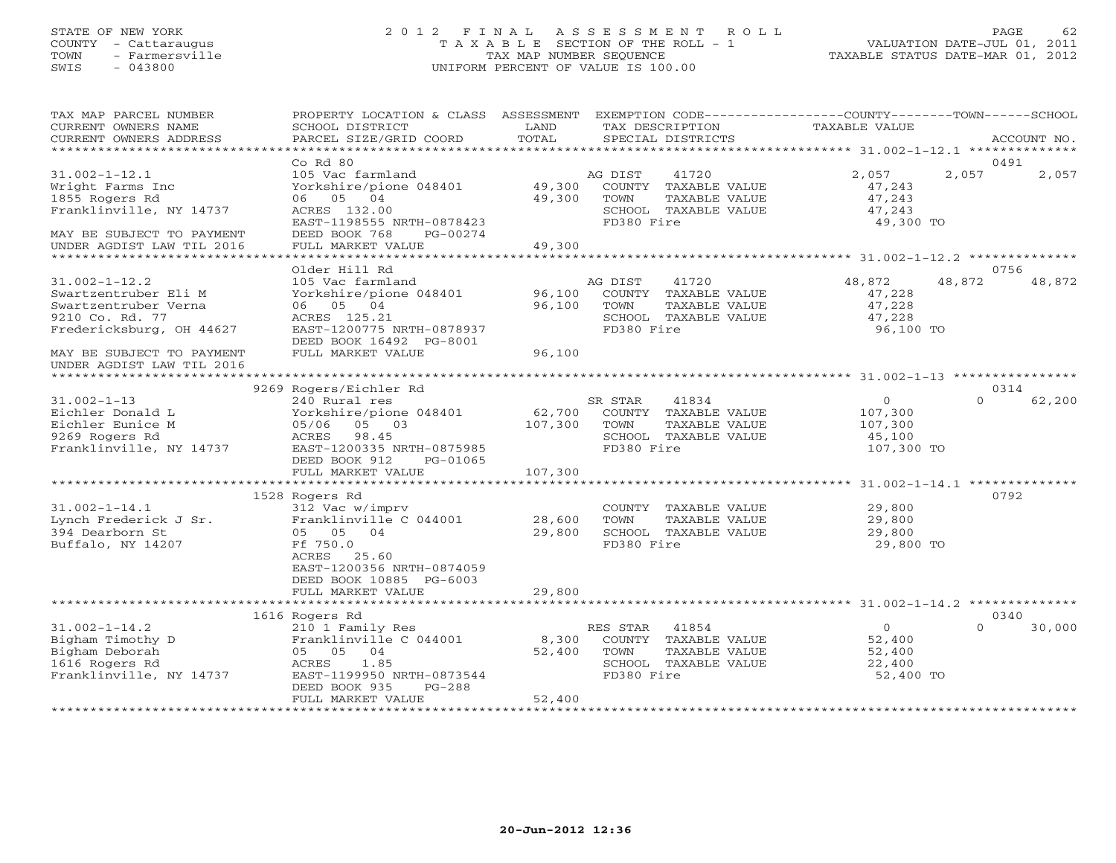#### STATE OF NEW YORK 2 0 1 2 F I N A L A S S E S S M E N T R O L L PAGE 62 COUNTY - Cattaraugus T A X A B L E SECTION OF THE ROLL - 1 VALUATION DATE-JUL 01, 2011 TOWN - Farmersville TAX MAP NUMBER SEQUENCE TAXABLE STATUS DATE-MAR 01, 2012 SWIS - 043800 UNIFORM PERCENT OF VALUE IS 100.00UNIFORM PERCENT OF VALUE IS 100.00

| TAX MAP PARCEL NUMBER<br>CURRENT OWNERS NAME<br>CURRENT OWNERS ADDRESS                                             | PROPERTY LOCATION & CLASS ASSESSMENT<br>SCHOOL DISTRICT<br>PARCEL SIZE/GRID COORD                                                                                        | LAND<br>TOTAL             |                                | TAX DESCRIPTION<br>SPECIAL DISTRICTS                                   | EXEMPTION CODE-----------------COUNTY-------TOWN------SCHOOL<br>TAXABLE VALUE |          | ACCOUNT NO.    |
|--------------------------------------------------------------------------------------------------------------------|--------------------------------------------------------------------------------------------------------------------------------------------------------------------------|---------------------------|--------------------------------|------------------------------------------------------------------------|-------------------------------------------------------------------------------|----------|----------------|
| *************************                                                                                          |                                                                                                                                                                          |                           |                                |                                                                        |                                                                               |          |                |
| $31.002 - 1 - 12.1$<br>Wright Farms Inc<br>1855 Rogers Rd<br>Franklinville, NY 14737<br>MAY BE SUBJECT TO PAYMENT  | $Co$ $Rd$ $80$<br>105 Vac farmland<br>Yorkshire/pione 048401<br>06 05 04<br>ACRES 132.00<br>EAST-1198555 NRTH-0878423<br>DEED BOOK 768<br>PG-00274                       | 49,300<br>49,300          | AG DIST<br>TOWN<br>FD380 Fire  | 41720<br>COUNTY TAXABLE VALUE<br>TAXABLE VALUE<br>SCHOOL TAXABLE VALUE | 2,057<br>47,243<br>47,243<br>47,243<br>49,300 TO                              | 2,057    | 0491<br>2,057  |
| UNDER AGDIST LAW TIL 2016                                                                                          | FULL MARKET VALUE                                                                                                                                                        | 49,300                    |                                |                                                                        |                                                                               |          |                |
| *********************                                                                                              |                                                                                                                                                                          |                           |                                |                                                                        |                                                                               |          |                |
| $31.002 - 1 - 12.2$<br>Swartzentruber Eli M<br>Swartzentruber Verna<br>9210 Co. Rd. 77<br>Fredericksburg, OH 44627 | Older Hill Rd<br>105 Vac farmland<br>Yorkshire/pione 048401<br>06 05 04<br>ACRES 125.21<br>EAST-1200775 NRTH-0878937<br>DEED BOOK 16492 PG-8001                          | 96,100<br>96,100          | AG DIST<br>TOWN<br>FD380 Fire  | 41720<br>COUNTY TAXABLE VALUE<br>TAXABLE VALUE<br>SCHOOL TAXABLE VALUE | 48,872<br>47,228<br>47,228<br>47,228<br>96,100 TO                             | 48,872   | 0756<br>48,872 |
| MAY BE SUBJECT TO PAYMENT<br>UNDER AGDIST LAW TIL 2016<br>*********************                                    | FULL MARKET VALUE                                                                                                                                                        | 96,100                    |                                |                                                                        |                                                                               |          |                |
|                                                                                                                    | 9269 Rogers/Eichler Rd                                                                                                                                                   |                           |                                |                                                                        |                                                                               |          | 0314           |
| $31.002 - 1 - 13$<br>Eichler Donald L<br>Eichler Eunice M<br>9269 Rogers Rd<br>Franklinville, NY 14737             | 240 Rural res<br>Yorkshire/pione 048401<br>05 03<br>05/06<br>98.45<br>ACRES<br>EAST-1200335 NRTH-0875985<br>DEED BOOK 912<br>PG-01065                                    | 62,700<br>107,300         | SR STAR<br>TOWN<br>FD380 Fire  | 41834<br>COUNTY TAXABLE VALUE<br>TAXABLE VALUE<br>SCHOOL TAXABLE VALUE | $\circ$<br>107,300<br>107,300<br>45,100<br>107,300 TO                         | $\Omega$ | 62,200         |
|                                                                                                                    | FULL MARKET VALUE                                                                                                                                                        | 107,300                   |                                |                                                                        |                                                                               |          |                |
|                                                                                                                    | 1528 Rogers Rd                                                                                                                                                           |                           |                                |                                                                        |                                                                               |          | 0792           |
| $31.002 - 1 - 14.1$<br>Lynch Frederick J Sr.<br>394 Dearborn St<br>Buffalo, NY 14207                               | 312 Vac w/imprv<br>Franklinville C 044001<br>05 05 04<br>Ff 750.0<br>25.60<br>ACRES<br>EAST-1200356 NRTH-0874059<br>DEED BOOK 10885 PG-6003                              | 28,600<br>29,800          | TOWN<br>FD380 Fire             | COUNTY TAXABLE VALUE<br>TAXABLE VALUE<br>SCHOOL TAXABLE VALUE          | 29,800<br>29,800<br>29,800<br>29,800 TO                                       |          |                |
|                                                                                                                    | FULL MARKET VALUE                                                                                                                                                        | 29,800                    |                                |                                                                        |                                                                               |          |                |
|                                                                                                                    |                                                                                                                                                                          | *********                 |                                |                                                                        | ***************************** 31.002-1-14.2 **************                    |          |                |
| $31.002 - 1 - 14.2$<br>Bigham Timothy D<br>Bigham Deborah<br>1616 Rogers Rd<br>Franklinville, NY 14737             | 1616 Rogers Rd<br>210 1 Family Res<br>Franklinville C 044001<br>05 05 04<br>1.85<br>ACRES<br>EAST-1199950 NRTH-0873544<br>DEED BOOK 935<br>$PG-288$<br>FULL MARKET VALUE | 8,300<br>52,400<br>52,400 | RES STAR<br>TOWN<br>FD380 Fire | 41854<br>COUNTY TAXABLE VALUE<br>TAXABLE VALUE<br>SCHOOL TAXABLE VALUE | $\circ$<br>52,400<br>52,400<br>22,400<br>52,400 TO                            | $\Omega$ | 0340<br>30,000 |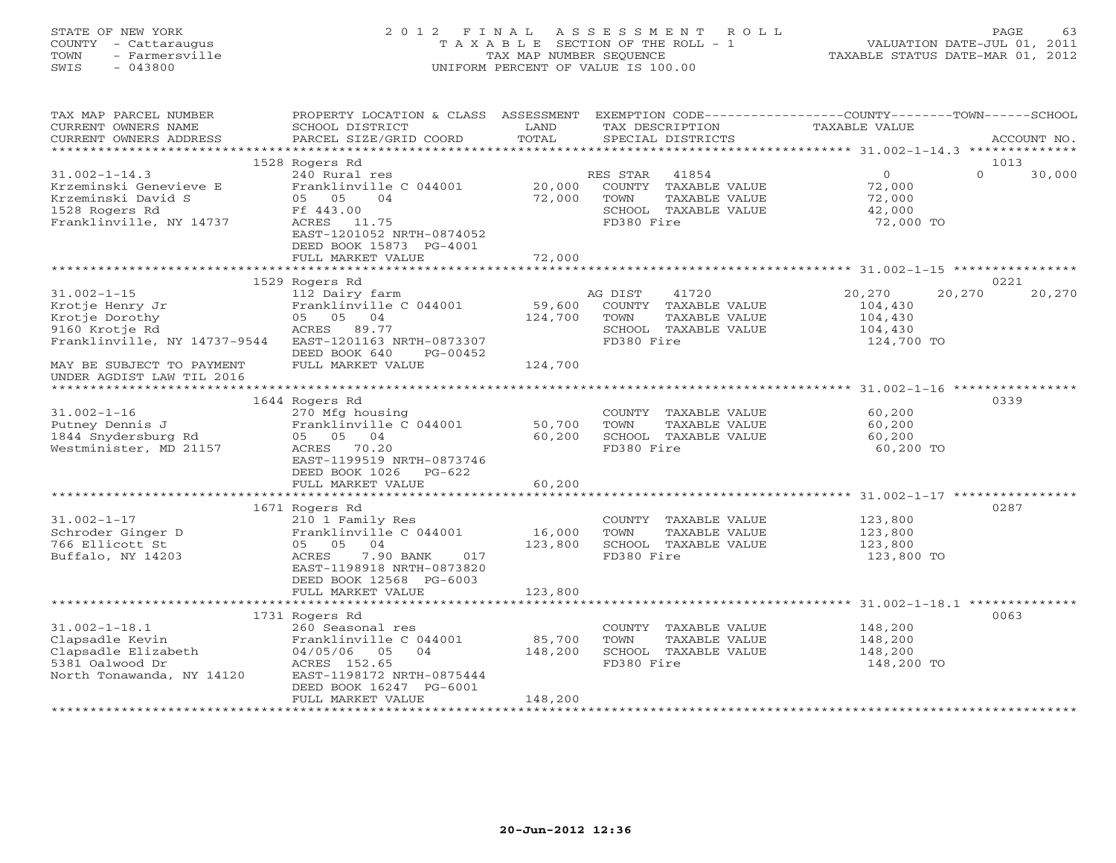# STATE OF NEW YORK 2 0 1 2 F I N A L A S S E S S M E N T R O L L PAGE 63 COUNTY - Cattaraugus T A X A B L E SECTION OF THE ROLL - 1 VALUATION DATE-JUL 01, 2011 TOWN - Farmersville TAX MAP NUMBER SEQUENCE TAXABLE STATUS DATE-MAR 01, 2012 SWIS - 043800 UNIFORM PERCENT OF VALUE IS 100.00UNIFORM PERCENT OF VALUE IS 100.00

| TAX MAP PARCEL NUMBER<br>CURRENT OWNERS NAME<br>CURRENT OWNERS ADDRESS                                           | PROPERTY LOCATION & CLASS ASSESSMENT<br>SCHOOL DISTRICT<br>PARCEL SIZE/GRID COORD                                                                                                  | LAND<br>TOTAL                | TAX DESCRIPTION<br>SPECIAL DISTRICTS                                                                     | EXEMPTION CODE----------------COUNTY-------TOWN-----SCHOOL<br>TAXABLE VALUE | ACCOUNT NO.                |
|------------------------------------------------------------------------------------------------------------------|------------------------------------------------------------------------------------------------------------------------------------------------------------------------------------|------------------------------|----------------------------------------------------------------------------------------------------------|-----------------------------------------------------------------------------|----------------------------|
| ***********************                                                                                          |                                                                                                                                                                                    |                              |                                                                                                          |                                                                             |                            |
| $31.002 - 1 - 14.3$<br>Krzeminski Genevieve E<br>Krzeminski David S<br>1528 Rogers Rd<br>Franklinville, NY 14737 | 1528 Rogers Rd<br>240 Rural res<br>Franklinville C 044001<br>05 05<br>04<br>Ff 443.00<br>ACRES 11.75<br>EAST-1201052 NRTH-0874052<br>DEED BOOK 15873 PG-4001<br>FULL MARKET VALUE  | 20,000<br>72,000<br>72,000   | 41854<br>RES STAR<br>COUNTY TAXABLE VALUE<br>TOWN<br>TAXABLE VALUE<br>SCHOOL TAXABLE VALUE<br>FD380 Fire | $\overline{0}$<br>72,000<br>72,000<br>42,000<br>72,000 TO                   | 1013<br>$\Omega$<br>30,000 |
|                                                                                                                  |                                                                                                                                                                                    |                              |                                                                                                          |                                                                             |                            |
| $31.002 - 1 - 15$<br>Krotje Henry Jr<br>Krotje Dorothy<br>9160 Krotje Rd<br>Franklinville, NY 14737-9544         | 1529 Rogers Rd<br>112 Dairy farm<br>Franklinville C 044001<br>05 05 04<br>ACRES 89.77<br>EAST-1201163 NRTH-0873307<br>DEED BOOK 640<br>PG-00452                                    | 59,600<br>124,700            | AG DIST<br>41720<br>COUNTY TAXABLE VALUE<br>TOWN<br>TAXABLE VALUE<br>SCHOOL TAXABLE VALUE<br>FD380 Fire  | 20,270<br>104,430<br>104,430<br>104,430<br>124,700 TO                       | 0221<br>20,270<br>20,270   |
| MAY BE SUBJECT TO PAYMENT<br>UNDER AGDIST LAW TIL 2016                                                           | FULL MARKET VALUE                                                                                                                                                                  | 124,700                      |                                                                                                          |                                                                             |                            |
| $31.002 - 1 - 16$<br>Putney Dennis J<br>1844 Snydersburg Rd<br>Westminister, MD 21157                            | 1644 Rogers Rd<br>270 Mfg housing<br>Franklinville C 044001<br>05 05 04<br>ACRES<br>70.20<br>EAST-1199519 NRTH-0873746<br>DEED BOOK 1026<br>PG-622<br>FULL MARKET VALUE            | 50,700<br>60,200<br>60,200   | COUNTY TAXABLE VALUE<br>TOWN<br>TAXABLE VALUE<br>SCHOOL TAXABLE VALUE<br>FD380 Fire                      | 60,200<br>60,200<br>60,200<br>60,200 TO                                     | 0339                       |
|                                                                                                                  |                                                                                                                                                                                    |                              |                                                                                                          |                                                                             |                            |
| $31.002 - 1 - 17$<br>Schroder Ginger D<br>766 Ellicott St<br>Buffalo, NY 14203                                   | 1671 Rogers Rd<br>210 1 Family Res<br>Franklinville C 044001<br>05 05 04<br>7.90 BANK<br>ACRES<br>017<br>EAST-1198918 NRTH-0873820<br>DEED BOOK 12568 PG-6003<br>FULL MARKET VALUE | 16,000<br>123,800<br>123,800 | COUNTY TAXABLE VALUE<br>TAXABLE VALUE<br>TOWN<br>SCHOOL TAXABLE VALUE<br>FD380 Fire                      | 123,800<br>123,800<br>123,800<br>123,800 TO                                 | 0287                       |
|                                                                                                                  | **********************                                                                                                                                                             | **********                   |                                                                                                          | ************************** 31.002-1-18.1 ************                       |                            |
| $31.002 - 1 - 18.1$<br>Clapsadle Kevin<br>Clapsadle Elizabeth<br>5381 Oalwood Dr<br>North Tonawanda, NY 14120    | 1731 Rogers Rd<br>260 Seasonal res<br>Franklinville C 044001<br>04/05/06<br>04<br>05<br>ACRES 152.65<br>EAST-1198172 NRTH-0875444<br>DEED BOOK 16247 PG-6001<br>FULL MARKET VALUE  | 85,700<br>148,200<br>148,200 | COUNTY TAXABLE VALUE<br>TOWN<br>TAXABLE VALUE<br>SCHOOL TAXABLE VALUE<br>FD380 Fire                      | 148,200<br>148,200<br>148,200<br>148,200 TO                                 | 0063                       |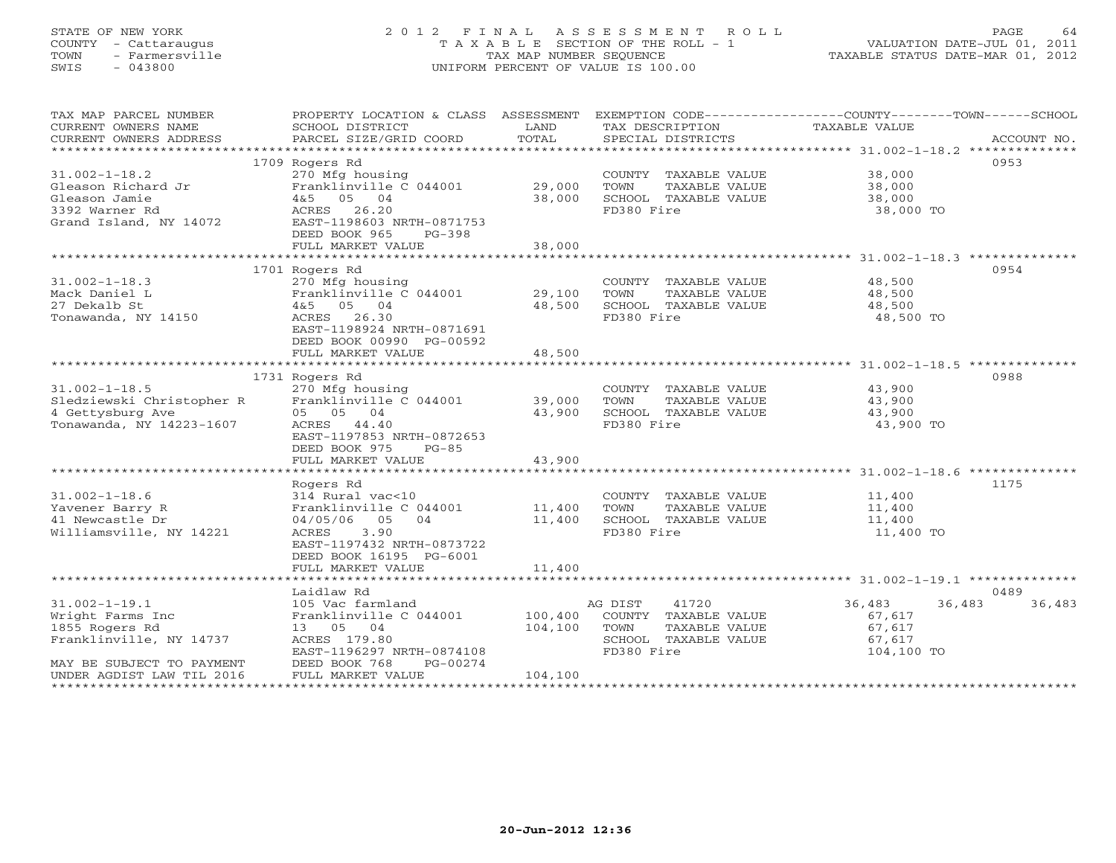# STATE OF NEW YORK 2 0 1 2 F I N A L A S S E S S M E N T R O L L PAGE 64 COUNTY - Cattaraugus T A X A B L E SECTION OF THE ROLL - 1 VALUATION DATE-JUL 01, 2011 TOWN - Farmersville TAX MAP NUMBER SEQUENCE TAXABLE STATUS DATE-MAR 01, 2012 SWIS - 043800 UNIFORM PERCENT OF VALUE IS 100.00UNIFORM PERCENT OF VALUE IS 100.00

| TAX MAP PARCEL NUMBER<br>CURRENT OWNERS NAME<br>CURRENT OWNERS ADDRESS | PROPERTY LOCATION & CLASS ASSESSMENT<br>SCHOOL DISTRICT<br>PARCEL SIZE/GRID COORD | LAND<br>TOTAL    | TAX DESCRIPTION<br>SPECIAL DISTRICTS          | EXEMPTION CODE-----------------COUNTY-------TOWN------SCHOOL<br>TAXABLE VALUE<br>ACCOUNT NO. |
|------------------------------------------------------------------------|-----------------------------------------------------------------------------------|------------------|-----------------------------------------------|----------------------------------------------------------------------------------------------|
|                                                                        |                                                                                   |                  |                                               |                                                                                              |
| $31.002 - 1 - 18.2$                                                    | 1709 Rogers Rd<br>270 Mfg housing                                                 |                  | COUNTY TAXABLE VALUE                          | 0953<br>38,000                                                                               |
| Gleason Richard Jr                                                     | Franklinville C 044001                                                            | 29,000           | TOWN<br>TAXABLE VALUE                         | 38,000                                                                                       |
| Gleason Jamie                                                          | $4&5$ 05 04                                                                       | 38,000           | SCHOOL TAXABLE VALUE                          | 38,000                                                                                       |
| 3392 Warner Rd                                                         | ACRES 26.20                                                                       |                  | FD380 Fire                                    | 38,000 TO                                                                                    |
| Grand Island, NY 14072                                                 | EAST-1198603 NRTH-0871753<br>DEED BOOK 965<br>$PG-398$                            |                  |                                               |                                                                                              |
|                                                                        | FULL MARKET VALUE                                                                 | 38,000           |                                               |                                                                                              |
|                                                                        |                                                                                   |                  |                                               |                                                                                              |
|                                                                        | 1701 Rogers Rd                                                                    |                  |                                               | 0954                                                                                         |
| $31.002 - 1 - 18.3$                                                    | 270 Mfg housing                                                                   |                  | COUNTY TAXABLE VALUE                          | 48,500                                                                                       |
| Mack Daniel L                                                          | Franklinville C 044001                                                            | 29,100           | TOWN<br>TAXABLE VALUE                         | 48,500                                                                                       |
| 27 Dekalb St<br>Tonawanda, NY 14150                                    | 4&5 05 04<br>ACRES 26.30                                                          | 48,500           | SCHOOL TAXABLE VALUE<br>FD380 Fire            | 48,500<br>48,500 TO                                                                          |
|                                                                        | EAST-1198924 NRTH-0871691                                                         |                  |                                               |                                                                                              |
|                                                                        | DEED BOOK 00990 PG-00592                                                          |                  |                                               |                                                                                              |
|                                                                        | FULL MARKET VALUE                                                                 | 48,500           |                                               |                                                                                              |
|                                                                        |                                                                                   |                  |                                               |                                                                                              |
|                                                                        | 1731 Rogers Rd                                                                    |                  |                                               | 0988                                                                                         |
| $31.002 - 1 - 18.5$<br>Sledziewski Christopher R                       | 270 Mfg housing                                                                   |                  | COUNTY TAXABLE VALUE                          | 43,900                                                                                       |
| 4 Gettysburg Ave                                                       | Franklinville C 044001<br>05 05 04                                                | 39,000<br>43,900 | TOWN<br>TAXABLE VALUE<br>SCHOOL TAXABLE VALUE | 43,900<br>43,900                                                                             |
| Tonawanda, NY 14223-1607                                               | ACRES 44.40                                                                       |                  | FD380 Fire                                    | 43,900 TO                                                                                    |
|                                                                        | EAST-1197853 NRTH-0872653                                                         |                  |                                               |                                                                                              |
|                                                                        | DEED BOOK 975<br>$PG-85$                                                          |                  |                                               |                                                                                              |
|                                                                        | FULL MARKET VALUE                                                                 | 43,900           |                                               |                                                                                              |
|                                                                        |                                                                                   |                  |                                               |                                                                                              |
| $31.002 - 1 - 18.6$                                                    | Rogers Rd<br>314 Rural vac<10                                                     |                  | COUNTY TAXABLE VALUE                          | 1175<br>11,400                                                                               |
| Yavener Barry R                                                        | Franklinville C 044001                                                            | 11,400           | TOWN<br>TAXABLE VALUE                         | 11,400                                                                                       |
| 41 Newcastle Dr                                                        | 05<br>04<br>04/05/06                                                              | 11,400           | SCHOOL TAXABLE VALUE                          | 11,400                                                                                       |
| Williamsville, NY 14221                                                | ACRES<br>3.90                                                                     |                  | FD380 Fire                                    | 11,400 TO                                                                                    |
|                                                                        | EAST-1197432 NRTH-0873722                                                         |                  |                                               |                                                                                              |
|                                                                        | DEED BOOK 16195 PG-6001                                                           |                  |                                               |                                                                                              |
|                                                                        | FULL MARKET VALUE                                                                 | 11,400           |                                               |                                                                                              |
|                                                                        | Laidlaw Rd                                                                        |                  |                                               | 0489                                                                                         |
| $31.002 - 1 - 19.1$                                                    | 105 Vac farmland                                                                  |                  | AG DIST<br>41720                              | 36,483<br>36,483<br>36,483                                                                   |
| Wright Farms Inc                                                       | Franklinville C 044001                                                            | 100,400          | COUNTY TAXABLE VALUE                          | 67,617                                                                                       |
| 1855 Rogers Rd                                                         | 13 05 04                                                                          | 104,100          | TOWN<br>TAXABLE VALUE                         | 67,617                                                                                       |
| Franklinville, NY 14737                                                | ACRES 179.80                                                                      |                  | SCHOOL TAXABLE VALUE                          | 67,617                                                                                       |
|                                                                        | EAST-1196297 NRTH-0874108                                                         |                  | FD380 Fire                                    | 104,100 TO                                                                                   |
| MAY BE SUBJECT TO PAYMENT                                              | DEED BOOK 768<br>PG-00274                                                         |                  |                                               |                                                                                              |
| UNDER AGDIST LAW TIL 2016                                              | FULL MARKET VALUE                                                                 | 104,100          |                                               |                                                                                              |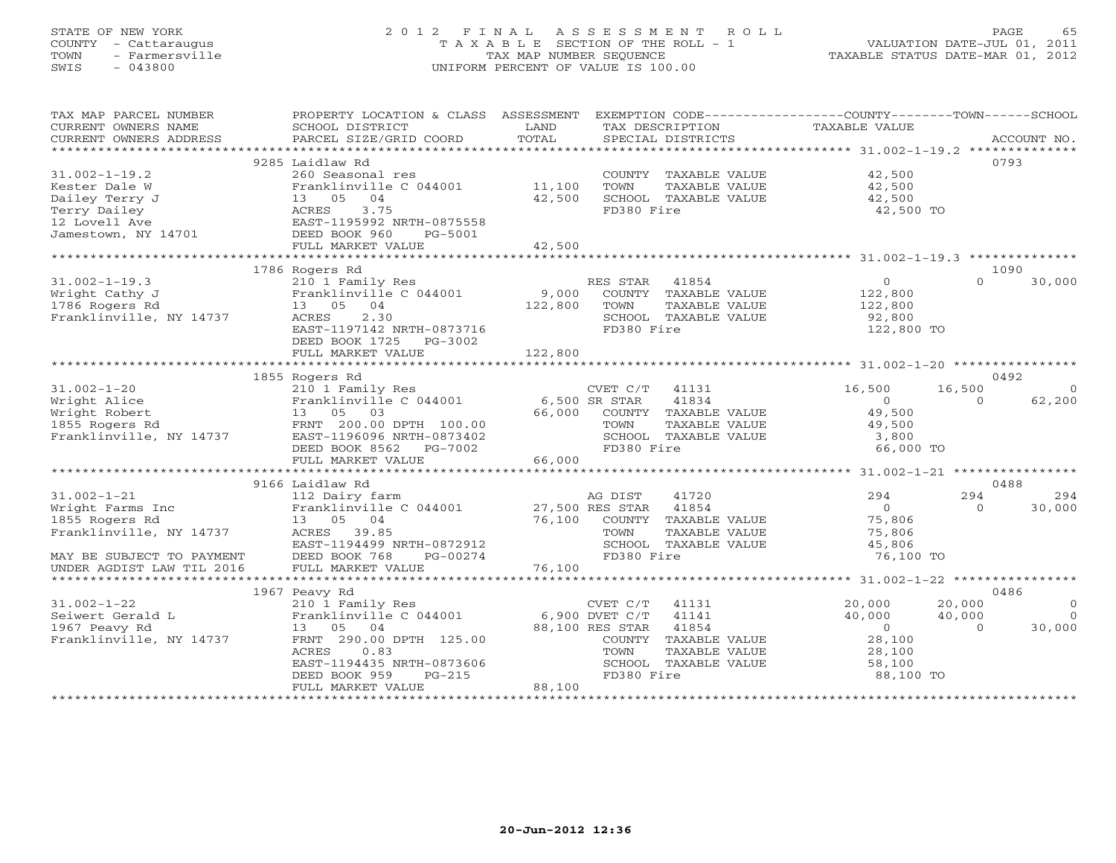# STATE OF NEW YORK 2 0 1 2 F I N A L A S S E S S M E N T R O L L PAGE 65 COUNTY - Cattaraugus T A X A B L E SECTION OF THE ROLL - 1 VALUATION DATE-JUL 01, 2011 TOWN - Farmersville TAX MAP NUMBER SEQUENCE TAXABLE STATUS DATE-MAR 01, 2012 SWIS - 043800 UNIFORM PERCENT OF VALUE IS 100.00UNIFORM PERCENT OF VALUE IS 100.00

| TAX MAP PARCEL NUMBER                     | PROPERTY LOCATION & CLASS ASSESSMENT   |               |                  |                             | EXEMPTION CODE----------------COUNTY-------TOWN------SCHOOL |          |                |
|-------------------------------------------|----------------------------------------|---------------|------------------|-----------------------------|-------------------------------------------------------------|----------|----------------|
| CURRENT OWNERS NAME                       | SCHOOL DISTRICT                        | LAND          |                  | TAX DESCRIPTION             | TAXABLE VALUE                                               |          |                |
| CURRENT OWNERS ADDRESS                    | PARCEL SIZE/GRID COORD                 | TOTAL         |                  | SPECIAL DISTRICTS           |                                                             |          | ACCOUNT NO.    |
|                                           |                                        |               |                  |                             |                                                             |          |                |
|                                           | 9285 Laidlaw Rd                        |               |                  |                             |                                                             |          | 0793           |
| $31.002 - 1 - 19.2$                       | 260 Seasonal res                       |               |                  | COUNTY TAXABLE VALUE        | 42,500                                                      |          |                |
| Kester Dale W                             | Franklinville C 044001                 | 11,100        | TOWN             | TAXABLE VALUE               | 42,500                                                      |          |                |
| Dailey Terry J                            | 13 05 04                               | 42,500        |                  | SCHOOL TAXABLE VALUE        | 42,500                                                      |          |                |
| Terry Dailey                              | ACRES<br>3.75                          |               | FD380 Fire       |                             | 42,500 TO                                                   |          |                |
| 12 Lovell Ave                             | EAST-1195992 NRTH-0875558              |               |                  |                             |                                                             |          |                |
| Jamestown, NY 14701                       | DEED BOOK 960<br>PG-5001               |               |                  |                             |                                                             |          |                |
|                                           | FULL MARKET VALUE                      | 42,500        |                  |                             |                                                             |          |                |
|                                           |                                        |               |                  |                             |                                                             |          |                |
|                                           | 1786 Rogers Rd                         |               |                  |                             |                                                             |          | 1090           |
| $31.002 - 1 - 19.3$                       | 210 1 Family Res                       |               | RES STAR 41854   |                             | $\circ$                                                     | $\cap$   | 30,000         |
| Wright Cathy J                            | Franklinville C 044001                 | 9,000         |                  | COUNTY TAXABLE VALUE        | 122,800                                                     |          |                |
| 1786 Rogers Rd                            | 13 05 04                               | 122,800       | TOWN             | TAXABLE VALUE               | 122,800                                                     |          |                |
| Franklinville, NY 14737                   | 2.30<br>ACRES                          |               |                  | SCHOOL TAXABLE VALUE        | 92,800                                                      |          |                |
|                                           | EAST-1197142 NRTH-0873716              |               | FD380 Fire       |                             | 122,800 TO                                                  |          |                |
|                                           | DEED BOOK 1725 PG-3002                 |               |                  |                             |                                                             |          |                |
|                                           | FULL MARKET VALUE                      | 122,800       |                  |                             |                                                             |          |                |
|                                           |                                        |               |                  |                             |                                                             |          |                |
|                                           | 1855 Rogers Rd                         |               |                  |                             |                                                             |          | 0492           |
|                                           |                                        |               |                  |                             |                                                             |          |                |
| $31.002 - 1 - 20$                         | 210 1 Family Res                       |               | CVET C/T         | 41131                       | 16,500                                                      | 16,500   | $\Omega$       |
| Wright Alice                              | Franklinville C 044001                 | 6,500 SR STAR |                  | 41834                       | $\Omega$                                                    | $\Omega$ | 62,200         |
| Wright Robert                             | 13 05 03                               | 66,000        |                  | COUNTY TAXABLE VALUE        | 49,500                                                      |          |                |
| 1855 Rogers Rd<br>Franklinville, NY 14737 | FRNT 200.00 DPTH 100.00                |               | TOWN             | TAXABLE VALUE               | 49,500                                                      |          |                |
|                                           | EAST-1196096 NRTH-0873402              |               |                  | SCHOOL TAXABLE VALUE        | 3,800                                                       |          |                |
|                                           | DEED BOOK 8562 PG-7002                 |               | FD380 Fire       |                             | 66,000 TO                                                   |          |                |
|                                           | FULL MARKET VALUE                      | 66,000        |                  |                             |                                                             |          |                |
|                                           |                                        |               |                  |                             |                                                             |          |                |
|                                           | 9166 Laidlaw Rd                        |               |                  |                             |                                                             |          | 0488           |
| $31.002 - 1 - 21$                         | 112 Dairy farm                         |               | AG DIST          | 41720                       | 294                                                         | 294      | 294            |
| Wright Farms Inc                          | Franklinville C 044001 27,500 RES STAR |               |                  | 41854                       | $\bigcirc$                                                  | $\Omega$ | 30,000         |
| 1855 Rogers Rd                            | 13 05 04                               |               |                  | 76,100 COUNTY TAXABLE VALUE | 75,806                                                      |          |                |
| Franklinville, NY 14737                   | ACRES 39.85                            |               | TOWN             | TAXABLE VALUE               | 75,806                                                      |          |                |
|                                           | EAST-1194499 NRTH-0872912              |               |                  | SCHOOL TAXABLE VALUE        | 45,806                                                      |          |                |
| MAY BE SUBJECT TO PAYMENT                 | DEED BOOK 768<br>PG-00274              |               | FD380 Fire       |                             | 76,100 TO                                                   |          |                |
| UNDER AGDIST LAW TIL 2016                 | FULL MARKET VALUE                      | 76,100        |                  |                             |                                                             |          |                |
|                                           |                                        |               |                  |                             |                                                             |          |                |
|                                           | 1967 Peavy Rd                          |               |                  |                             |                                                             |          | 0486           |
| $31.002 - 1 - 22$                         | 210 1 Family Res                       |               | $CVET C/T$ 41131 |                             | 20,000                                                      | 20,000   | $\overline{0}$ |
| Seiwert Gerald L                          | Franklinville C 044001                 |               | 6,900 DVET C/T   | 41141                       | 40,000                                                      | 40,000   | $\overline{0}$ |
| 1967 Peavy Rd                             | 13 05 04                               |               | 88,100 RES STAR  | 41854                       | $\overline{0}$                                              | $\Omega$ | 30,000         |
| Franklinville, NY 14737                   | FRNT 290.00 DPTH 125.00                |               |                  | COUNTY TAXABLE VALUE        | 28,100                                                      |          |                |
|                                           | ACRES<br>0.83                          |               | TOWN             | TAXABLE VALUE               | 28,100                                                      |          |                |
|                                           | EAST-1194435 NRTH-0873606              |               |                  | SCHOOL TAXABLE VALUE        | 58,100                                                      |          |                |
|                                           | DEED BOOK 959<br>$PG-215$              |               | FD380 Fire       |                             | 88,100 TO                                                   |          |                |
|                                           | FULL MARKET VALUE                      | 88,100        |                  |                             |                                                             |          |                |
|                                           |                                        |               |                  |                             |                                                             |          |                |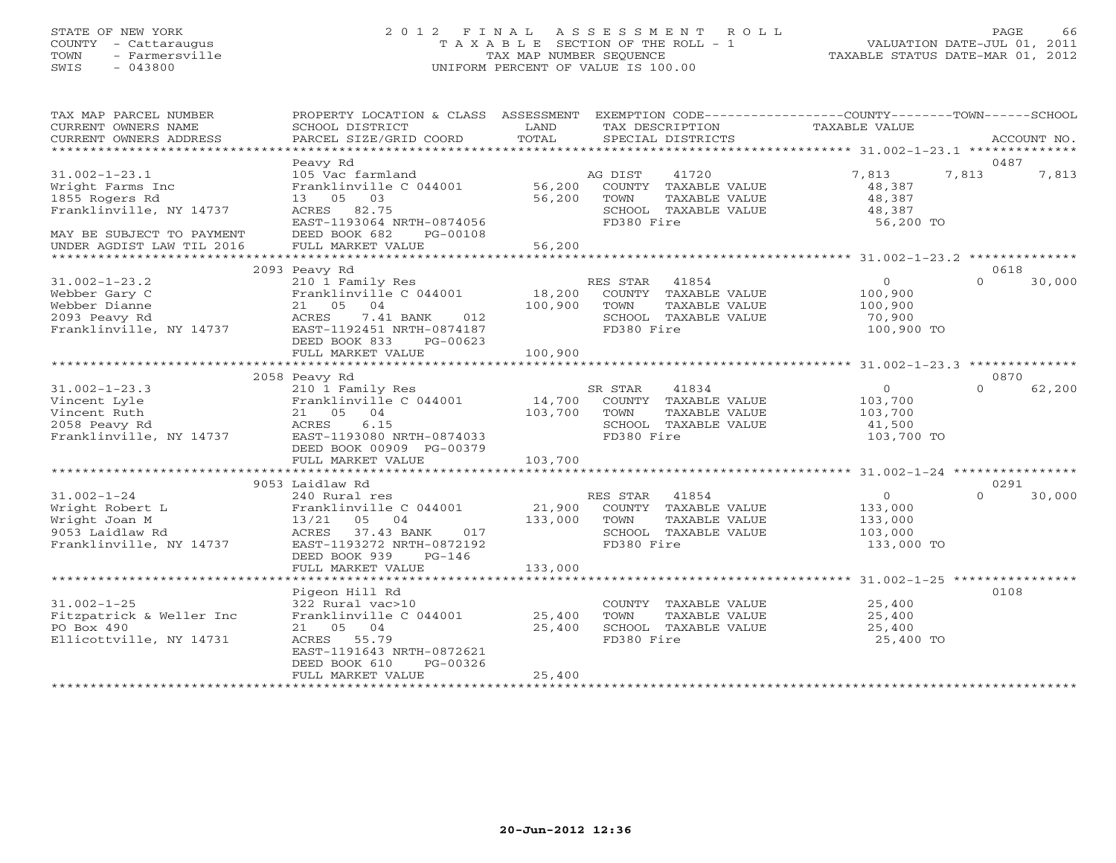# STATE OF NEW YORK 2 0 1 2 F I N A L A S S E S S M E N T R O L L PAGE 66 COUNTY - Cattaraugus T A X A B L E SECTION OF THE ROLL - 1 VALUATION DATE-JUL 01, 2011 TOWN - Farmersville TAX MAP NUMBER SEQUENCE TAXABLE STATUS DATE-MAR 01, 2012 SWIS - 043800 UNIFORM PERCENT OF VALUE IS 100.00UNIFORM PERCENT OF VALUE IS 100.00

| TAX MAP PARCEL NUMBER<br>CURRENT OWNERS NAME<br>CURRENT OWNERS ADDRESS                                                                         | PROPERTY LOCATION & CLASS ASSESSMENT EXEMPTION CODE---------------COUNTY-------TOWN------SCHOOL<br>SCHOOL DISTRICT<br>PARCEL SIZE/GRID COORD                                        | LAND<br>TOTAL                | TAX DESCRIPTION<br>SPECIAL DISTRICTS                                                                        | TAXABLE VALUE                                                | ACCOUNT NO.                |
|------------------------------------------------------------------------------------------------------------------------------------------------|-------------------------------------------------------------------------------------------------------------------------------------------------------------------------------------|------------------------------|-------------------------------------------------------------------------------------------------------------|--------------------------------------------------------------|----------------------------|
|                                                                                                                                                |                                                                                                                                                                                     |                              |                                                                                                             |                                                              |                            |
| $31.002 - 1 - 23.1$<br>Wright Farms Inc<br>1855 Rogers Rd<br>Franklinville, NY 14737<br>MAY BE SUBJECT TO PAYMENT<br>UNDER AGDIST LAW TIL 2016 | Peavy Rd<br>105 Vac farmland<br>Franklinville C 044001 56,200<br>13 05 03<br>ACRES 82.75<br>EAST-1193064 NRTH-0874056<br>DEED BOOK 682<br>PG-00108<br>FULL MARKET VALUE             | 56,200<br>56,200             | 41720<br>AG DIST<br>COUNTY TAXABLE VALUE<br>TOWN<br>TAXABLE VALUE<br>SCHOOL TAXABLE VALUE<br>FD380 Fire     | 7,813<br>48,387<br>48,387<br>48,387<br>56,200 TO             | 0487<br>7,813<br>7,813     |
|                                                                                                                                                |                                                                                                                                                                                     |                              |                                                                                                             |                                                              |                            |
| $31.002 - 1 - 23.2$<br>Webber Gary C<br>Webber Dianne<br>2093 Peavy Rd<br>Franklinville, NY 14737                                              | 2093 Peavy Rd<br>210 1 Family Res<br>Franklinville C 044001<br>21 05<br>04<br>ACRES<br>7.41 BANK 012<br>EAST-1192451 NRTH-0874187<br>DEED BOOK 833<br>PG-00623<br>FULL MARKET VALUE | 18,200<br>100,900<br>100,900 | RES STAR 41854<br>COUNTY TAXABLE VALUE<br>TOWN<br>TAXABLE VALUE<br>SCHOOL TAXABLE VALUE<br>FD380 Fire       | $\overline{0}$<br>100,900<br>100,900<br>70,900<br>100,900 TO | 0618<br>$\Omega$<br>30,000 |
|                                                                                                                                                |                                                                                                                                                                                     |                              |                                                                                                             |                                                              |                            |
|                                                                                                                                                | 2058 Peavy Rd                                                                                                                                                                       |                              |                                                                                                             |                                                              | 0870                       |
| $31.002 - 1 - 23.3$<br>Vincent Lyle<br>Vincent Ruth<br>2058 Peavy Rd<br>Franklinville, NY 14737                                                | 210 1 Family Res<br>Franklinville C 044001<br>21 05 04<br>6.15<br>ACRES<br>EAST-1193080 NRTH-0874033<br>DEED BOOK 00909 PG-00379                                                    | 103,700                      | SR STAR 41834<br>14,700 COUNTY TAXABLE VALUE<br>TOWN<br>TAXABLE VALUE<br>SCHOOL TAXABLE VALUE<br>FD380 Fire | 0<br>103,700<br>103,700<br>41,500<br>103,700 TO              | $\Omega$<br>62,200         |
|                                                                                                                                                | FULL MARKET VALUE                                                                                                                                                                   | 103,700                      |                                                                                                             |                                                              |                            |
|                                                                                                                                                |                                                                                                                                                                                     |                              |                                                                                                             |                                                              |                            |
| $31.002 - 1 - 24$<br>Wright Robert L<br>Wright Joan M<br>9053 Laidlaw Rd<br>Franklinville, NY 14737                                            | 9053 Laidlaw Rd<br>240 Rural res<br>Franklinville C 044001<br>13/21 05 04<br>ACRES 37.43 BANK<br>017<br>EAST-1193272 NRTH-0872192<br>DEED BOOK 939<br>$PG-146$                      | 21,900<br>133,000            | RES STAR 41854<br>COUNTY TAXABLE VALUE<br>TOWN<br>TAXABLE VALUE<br>SCHOOL TAXABLE VALUE<br>FD380 Fire       | $\circ$<br>133,000<br>133,000<br>103,000<br>133,000 TO       | 0291<br>$\Omega$<br>30,000 |
|                                                                                                                                                | FULL MARKET VALUE                                                                                                                                                                   | 133,000                      |                                                                                                             |                                                              |                            |
| $31.002 - 1 - 25$<br>Fitzpatrick & Weller Inc<br>PO Box 490<br>Ellicottville, NY 14731                                                         | Pigeon Hill Rd<br>322 Rural vac>10<br>Franklinville C 044001<br>21 05 04<br>ACRES 55.79<br>EAST-1191643 NRTH-0872621<br>PG-00326<br>DEED BOOK 610<br>FULL MARKET VALUE              | 25,400<br>25,400<br>25,400   | COUNTY TAXABLE VALUE<br>TOWN<br>TAXABLE VALUE<br>SCHOOL TAXABLE VALUE<br>FD380 Fire                         | 25,400<br>25,400<br>25,400<br>25,400 TO                      | 0108                       |
|                                                                                                                                                |                                                                                                                                                                                     |                              |                                                                                                             |                                                              |                            |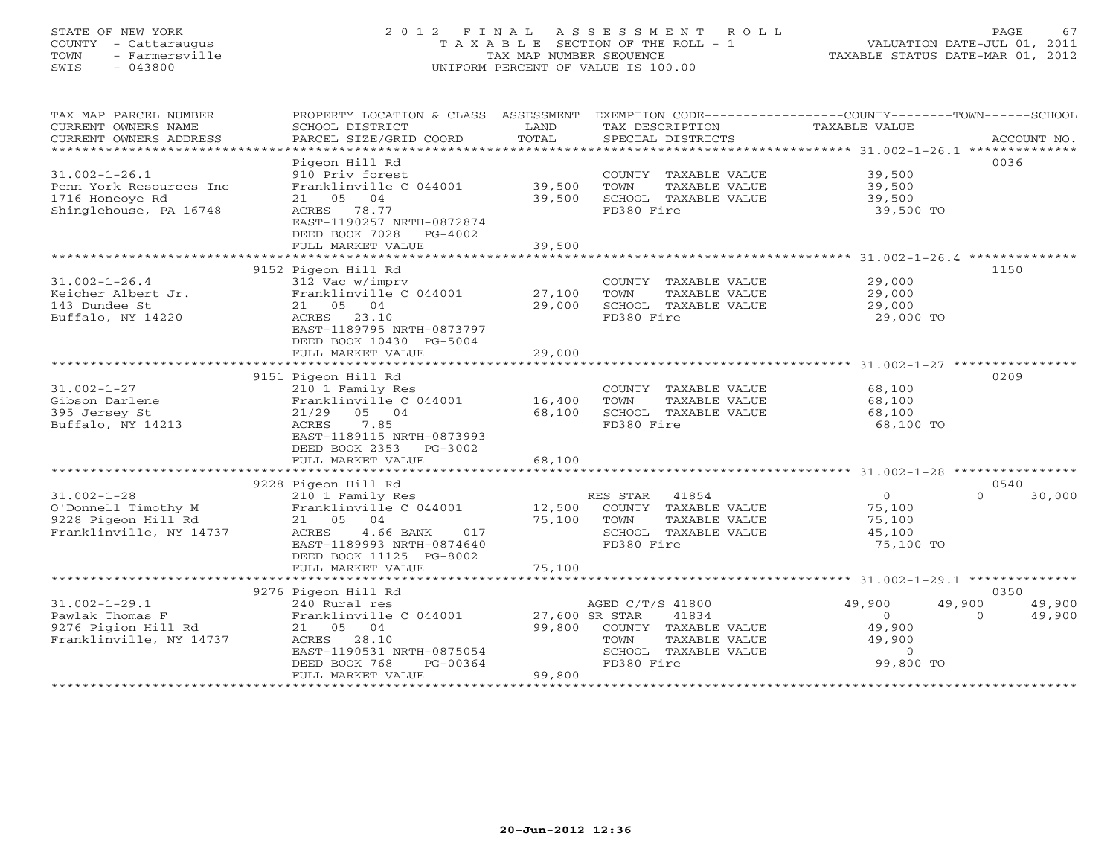#### STATE OF NEW YORK 2 0 1 2 F I N A L A S S E S S M E N T R O L L PAGE 67 COUNTY - Cattaraugus T A X A B L E SECTION OF THE ROLL - 1 VALUATION DATE-JUL 01, 2011 TOWN - Farmersville TAX MAP NUMBER SEQUENCE TAXABLE STATUS DATE-MAR 01, 2012 SWIS - 043800 UNIFORM PERCENT OF VALUE IS 100.00UNIFORM PERCENT OF VALUE IS 100.00

| TAX MAP PARCEL NUMBER<br>CURRENT OWNERS NAME<br>CURRENT OWNERS ADDRESS<br>************************* | PROPERTY LOCATION & CLASS ASSESSMENT<br>SCHOOL DISTRICT<br>PARCEL SIZE/GRID COORD                                                                                           | LAND<br>TOTAL                      | TAX DESCRIPTION<br>SPECIAL DISTRICTS                                                                             | EXEMPTION CODE-----------------COUNTY-------TOWN------SCHOOL<br>TAXABLE VALUE<br>ACCOUNT NO.                     |
|-----------------------------------------------------------------------------------------------------|-----------------------------------------------------------------------------------------------------------------------------------------------------------------------------|------------------------------------|------------------------------------------------------------------------------------------------------------------|------------------------------------------------------------------------------------------------------------------|
|                                                                                                     |                                                                                                                                                                             |                                    |                                                                                                                  | 0036                                                                                                             |
| $31.002 - 1 - 26.1$<br>Penn York Resources Inc<br>1716 Honeove Rd<br>Shinglehouse, PA 16748         | Pigeon Hill Rd<br>910 Priv forest<br>Franklinville C 044001<br>21 05 04<br>78.77<br>ACRES<br>EAST-1190257 NRTH-0872874<br>DEED BOOK 7028<br>$PG-4002$                       | 39,500<br>39,500                   | COUNTY TAXABLE VALUE<br>TOWN<br>TAXABLE VALUE<br>SCHOOL TAXABLE VALUE<br>FD380 Fire                              | 39,500<br>39,500<br>39,500<br>39,500 TO                                                                          |
|                                                                                                     | FULL MARKET VALUE                                                                                                                                                           | 39,500                             |                                                                                                                  |                                                                                                                  |
|                                                                                                     |                                                                                                                                                                             |                                    |                                                                                                                  |                                                                                                                  |
| $31.002 - 1 - 26.4$<br>Keicher Albert Jr.<br>143 Dundee St<br>Buffalo, NY 14220                     | 9152 Pigeon Hill Rd<br>312 Vac w/imprv<br>Franklinville C 044001<br>21 05 04<br>ACRES 23.10<br>EAST-1189795 NRTH-0873797<br>DEED BOOK 10430 PG-5004                         | 27,100<br>29,000                   | COUNTY TAXABLE VALUE<br>TOWN<br>TAXABLE VALUE<br>SCHOOL TAXABLE VALUE<br>FD380 Fire                              | 1150<br>29,000<br>29,000<br>29,000<br>29,000 TO                                                                  |
|                                                                                                     | FULL MARKET VALUE                                                                                                                                                           | 29,000                             |                                                                                                                  |                                                                                                                  |
|                                                                                                     | ************************                                                                                                                                                    | ************                       |                                                                                                                  | ********************* 31.002-1-27 ***********                                                                    |
|                                                                                                     | 9151 Pigeon Hill Rd                                                                                                                                                         |                                    |                                                                                                                  | 0209                                                                                                             |
| $31.002 - 1 - 27$<br>Gibson Darlene<br>395 Jersey St<br>Buffalo, NY 14213                           | 210 1 Family Res<br>Franklinville C 044001<br>05 04<br>21/29<br>7.85<br>ACRES<br>EAST-1189115 NRTH-0873993                                                                  | 16,400<br>68,100                   | COUNTY TAXABLE VALUE<br>TOWN<br>TAXABLE VALUE<br>SCHOOL TAXABLE VALUE<br>FD380 Fire                              | 68,100<br>68,100<br>68,100<br>68,100 TO                                                                          |
|                                                                                                     | DEED BOOK 2353 PG-3002                                                                                                                                                      |                                    |                                                                                                                  |                                                                                                                  |
|                                                                                                     | FULL MARKET VALUE                                                                                                                                                           | 68,100                             |                                                                                                                  |                                                                                                                  |
|                                                                                                     | 9228 Pigeon Hill Rd                                                                                                                                                         |                                    |                                                                                                                  | 0540                                                                                                             |
| $31.002 - 1 - 28$<br>O'Donnell Timothy M<br>9228 Pigeon Hill Rd<br>Franklinville, NY 14737          | 210 1 Family Res<br>Franklinville C 044001<br>21 05 04<br>4.66 BANK<br>ACRES<br>017<br>EAST-1189993 NRTH-0874640<br>DEED BOOK 11125 PG-8002                                 | 12,500<br>75,100                   | RES STAR 41854<br>COUNTY TAXABLE VALUE<br>TOWN<br>TAXABLE VALUE<br>SCHOOL TAXABLE VALUE<br>FD380 Fire            | $\circ$<br>30,000<br>$\Omega$<br>75,100<br>75,100<br>45,100<br>75,100 TO                                         |
|                                                                                                     | FULL MARKET VALUE                                                                                                                                                           | 75,100                             |                                                                                                                  |                                                                                                                  |
|                                                                                                     |                                                                                                                                                                             |                                    |                                                                                                                  |                                                                                                                  |
| $31.002 - 1 - 29.1$<br>Pawlak Thomas F<br>9276 Pigion Hill Rd<br>Franklinville, NY 14737            | 9276 Pigeon Hill Rd<br>240 Rural res<br>Franklinville C 044001<br>21 05 04<br>ACRES<br>28.10<br>EAST-1190531 NRTH-0875054<br>DEED BOOK 768<br>PG-00364<br>FULL MARKET VALUE | 27,600 SR STAR<br>99,800<br>99,800 | AGED C/T/S 41800<br>41834<br>COUNTY TAXABLE VALUE<br>TOWN<br>TAXABLE VALUE<br>SCHOOL TAXABLE VALUE<br>FD380 Fire | 0350<br>49,900<br>49,900<br>49,900<br>49,900<br>$\Omega$<br>$\Omega$<br>49,900<br>49,900<br>$\circ$<br>99,800 TO |
|                                                                                                     | **********************                                                                                                                                                      |                                    |                                                                                                                  |                                                                                                                  |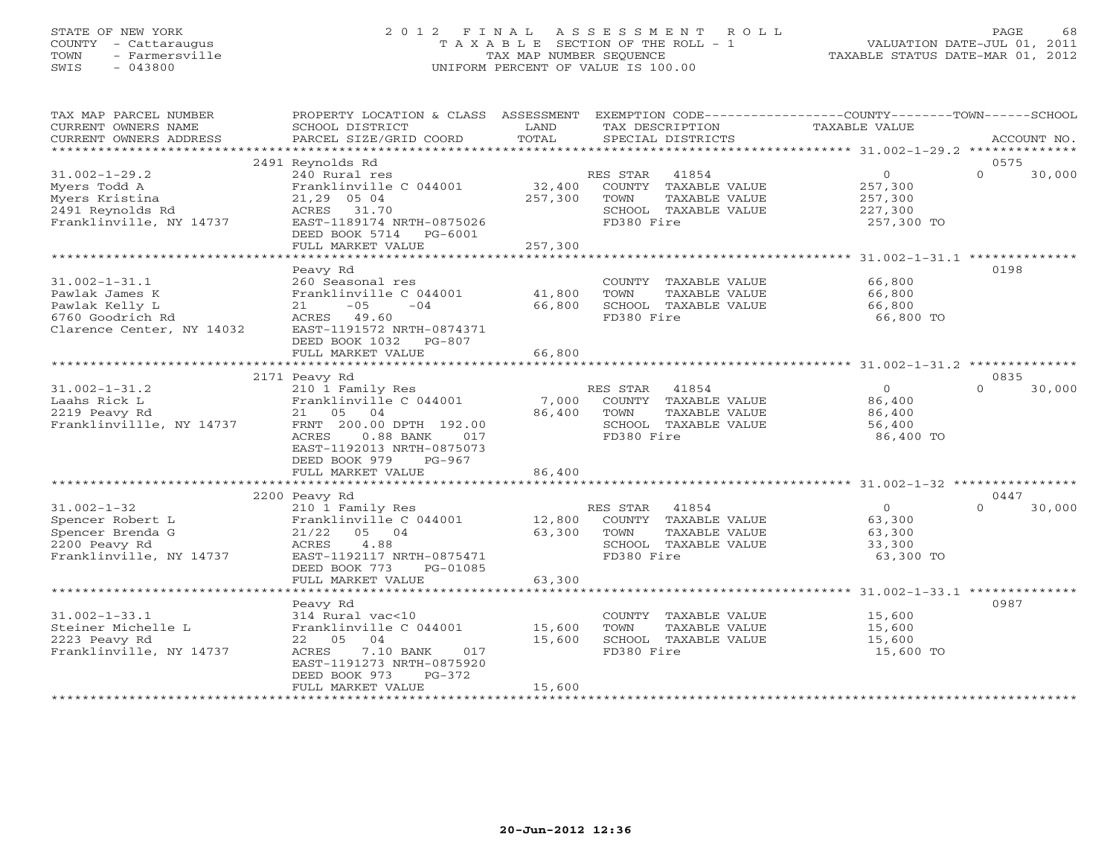# STATE OF NEW YORK 2 0 1 2 F I N A L A S S E S S M E N T R O L L PAGE 68 COUNTY - Cattaraugus T A X A B L E SECTION OF THE ROLL - 1 VALUATION DATE-JUL 01, 2011 TOWN - Farmersville TAX MAP NUMBER SEQUENCE TAXABLE STATUS DATE-MAR 01, 2012 SWIS - 043800 UNIFORM PERCENT OF VALUE IS 100.00UNIFORM PERCENT OF VALUE IS 100.00

| TAX MAP PARCEL NUMBER<br>CURRENT OWNERS NAME<br>CURRENT OWNERS ADDRESS                                | PROPERTY LOCATION & CLASS ASSESSMENT<br>SCHOOL DISTRICT<br>PARCEL SIZE/GRID COORD                                                                                              | LAND<br>TOTAL              | EXEMPTION CODE----------------COUNTY-------TOWN------SCHOOL<br>TAX DESCRIPTION<br>SPECIAL DISTRICTS      | TAXABLE VALUE                                             | ACCOUNT NO.                |
|-------------------------------------------------------------------------------------------------------|--------------------------------------------------------------------------------------------------------------------------------------------------------------------------------|----------------------------|----------------------------------------------------------------------------------------------------------|-----------------------------------------------------------|----------------------------|
|                                                                                                       |                                                                                                                                                                                |                            |                                                                                                          |                                                           |                            |
| $31.002 - 1 - 29.2$<br>Myers Todd A                                                                   | 2491 Reynolds Rd<br>240 Rural res<br>Franklinville C 044001                                                                                                                    | 32,400                     | 41854<br>RES STAR<br>COUNTY TAXABLE VALUE                                                                | $\overline{0}$<br>257,300                                 | 0575<br>$\Omega$<br>30,000 |
| Myers Kristina<br>2491 Reynolds Rd<br>Franklinville, NY 14737                                         | 21,29 05 04<br>ACRES 31.70<br>EAST-1189174 NRTH-0875026                                                                                                                        | 257,300                    | TOWN<br>TAXABLE VALUE<br>SCHOOL TAXABLE VALUE<br>FD380 Fire                                              | 257,300<br>227,300<br>257,300 TO                          |                            |
|                                                                                                       | DEED BOOK 5714 PG-6001<br>FULL MARKET VALUE<br>*******************                                                                                                             | 257,300<br>************    |                                                                                                          |                                                           |                            |
|                                                                                                       | Peavy Rd                                                                                                                                                                       |                            |                                                                                                          | ******************* 31.002-1-31.1 ***************         | 0198                       |
| $31.002 - 1 - 31.1$<br>Pawlak James K                                                                 | 260 Seasonal res<br>Franklinville C 044001                                                                                                                                     | 41,800                     | COUNTY TAXABLE VALUE<br>TOWN<br>TAXABLE VALUE                                                            | 66,800<br>66,800                                          |                            |
| Pawlak Kelly L<br>6760 Goodrich Rd<br>Clarence Center, NY 14032                                       | 21<br>$-05$<br>$-04$<br>ACRES 49.60<br>EAST-1191572 NRTH-0874371<br>DEED BOOK 1032 PG-807                                                                                      | 66,800                     | SCHOOL TAXABLE VALUE<br>FD380 Fire                                                                       | 66,800<br>66,800 TO                                       |                            |
|                                                                                                       | FULL MARKET VALUE                                                                                                                                                              | 66,800                     |                                                                                                          |                                                           |                            |
|                                                                                                       | 2171 Peavy Rd                                                                                                                                                                  |                            |                                                                                                          |                                                           | 0835                       |
| $31.002 - 1 - 31.2$<br>Laahs Rick L<br>2219 Peavy Rd<br>Franklinvillle, NY 14737                      | 210 1 Family Res<br>Franklinville C 044001<br>21 05 04<br>FRNT 200.00 DPTH 192.00<br>ACRES<br>$0.88$ BANK<br>017<br>EAST-1192013 NRTH-0875073<br>DEED BOOK 979<br>$PG-967$     | 7,000<br>86,400            | RES STAR<br>41854<br>COUNTY TAXABLE VALUE<br>TOWN<br>TAXABLE VALUE<br>SCHOOL TAXABLE VALUE<br>FD380 Fire | $\Omega$<br>86,400<br>86,400<br>56,400<br>86,400 TO       | $\Omega$<br>30,000         |
|                                                                                                       | FULL MARKET VALUE                                                                                                                                                              | 86,400                     |                                                                                                          |                                                           |                            |
|                                                                                                       |                                                                                                                                                                                |                            |                                                                                                          |                                                           | 0447                       |
| $31.002 - 1 - 32$<br>Spencer Robert L<br>Spencer Brenda G<br>2200 Peavy Rd<br>Franklinville, NY 14737 | 2200 Peavy Rd<br>210 1 Family Res<br>Franklinville C 044001<br>21/22<br>05 04<br>4.88<br>ACRES<br>EAST-1192117 NRTH-0875471                                                    | 12,800<br>63,300           | RES STAR<br>41854<br>COUNTY TAXABLE VALUE<br>TAXABLE VALUE<br>TOWN<br>SCHOOL TAXABLE VALUE<br>FD380 Fire | $\overline{0}$<br>63,300<br>63,300<br>33,300<br>63,300 TO | 30,000<br>$\Omega$         |
|                                                                                                       | DEED BOOK 773<br>PG-01085<br>FULL MARKET VALUE                                                                                                                                 | 63,300                     |                                                                                                          |                                                           |                            |
|                                                                                                       |                                                                                                                                                                                |                            |                                                                                                          |                                                           | 0987                       |
| $31.002 - 1 - 33.1$<br>Steiner Michelle L<br>2223 Peavy Rd<br>Franklinville, NY 14737                 | Peavy Rd<br>314 Rural vac<10<br>Franklinville C 044001<br>22 05 04<br>ACRES<br>7.10 BANK<br>017<br>EAST-1191273 NRTH-0875920<br>DEED BOOK 973<br>$PG-372$<br>FULL MARKET VALUE | 15,600<br>15,600<br>15,600 | COUNTY TAXABLE VALUE<br>TOWN<br>TAXABLE VALUE<br>SCHOOL TAXABLE VALUE<br>FD380 Fire                      | 15,600<br>15,600<br>15,600<br>15,600 TO                   |                            |
|                                                                                                       |                                                                                                                                                                                |                            |                                                                                                          |                                                           |                            |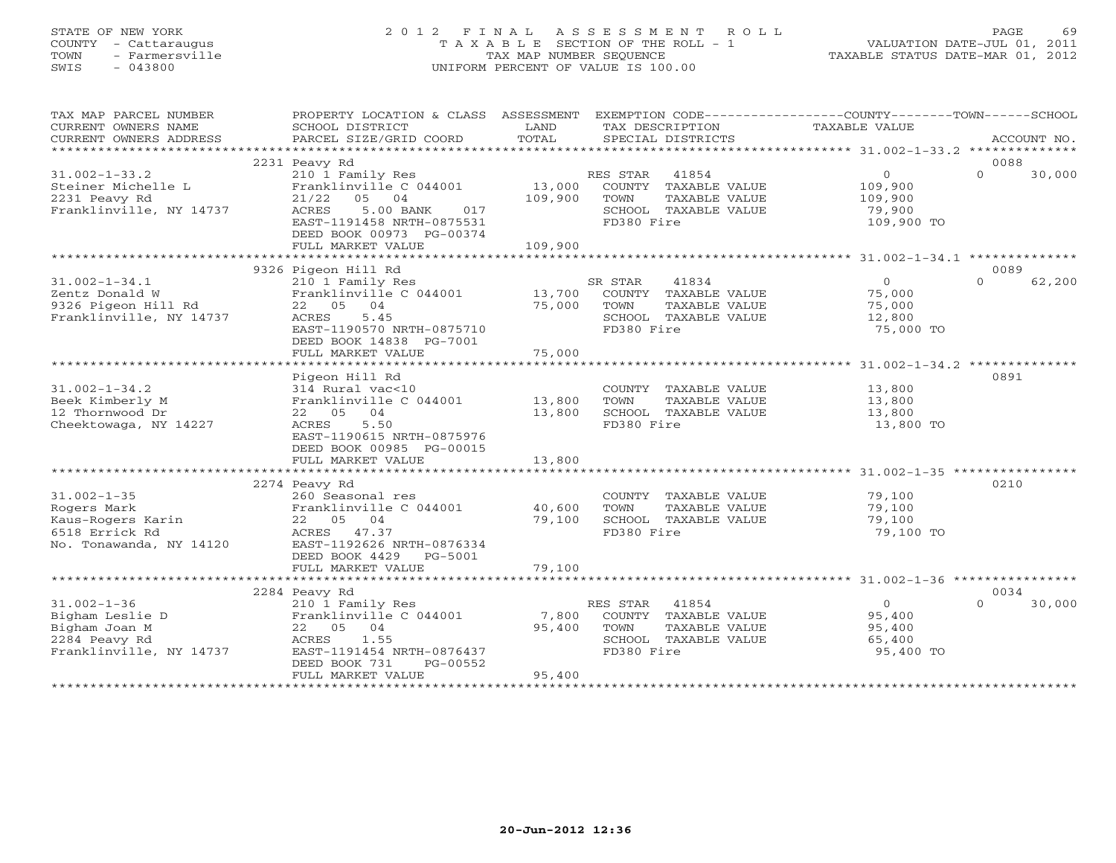# STATE OF NEW YORK 2 0 1 2 F I N A L A S S E S S M E N T R O L L PAGE 69 COUNTY - Cattaraugus T A X A B L E SECTION OF THE ROLL - 1 VALUATION DATE-JUL 01, 2011 TOWN - Farmersville TAX MAP NUMBER SEQUENCE TAXABLE STATUS DATE-MAR 01, 2012 SWIS - 043800 UNIFORM PERCENT OF VALUE IS 100.00UNIFORM PERCENT OF VALUE IS 100.00

| TAX MAP PARCEL NUMBER                                 | PROPERTY LOCATION & CLASS ASSESSMENT EXEMPTION CODE----------------COUNTY-------TOWN------SCHOOL |         |                                       |                  |                    |
|-------------------------------------------------------|--------------------------------------------------------------------------------------------------|---------|---------------------------------------|------------------|--------------------|
| CURRENT OWNERS NAME                                   | SCHOOL DISTRICT                                                                                  | LAND    | TAX DESCRIPTION                       | TAXABLE VALUE    |                    |
| CURRENT OWNERS ADDRESS                                | PARCEL SIZE/GRID COORD                                                                           | TOTAL   | SPECIAL DISTRICTS                     |                  | ACCOUNT NO.        |
|                                                       |                                                                                                  |         |                                       |                  |                    |
|                                                       | 2231 Peavy Rd                                                                                    |         |                                       |                  | 0088               |
| $31.002 - 1 - 33.2$                                   | 210 1 Family Res                                                                                 |         | RES STAR 41854                        | $\overline{0}$   | $\Omega$<br>30,000 |
| Steiner Michelle L                                    | Franklinville C 044001                                                                           |         | 13,000 COUNTY TAXABLE VALUE           | 109,900          |                    |
| 2231 Peavy Rd                                         | 21/22<br>05 04                                                                                   | 109,900 | TOWN<br>TAXABLE VALUE                 | 109,900          |                    |
| Franklinville, NY 14737                               | ACRES<br>5.00 BANK<br>017                                                                        |         | SCHOOL TAXABLE VALUE                  | 79,900           |                    |
|                                                       | EAST-1191458 NRTH-0875531                                                                        |         | FD380 Fire                            | 109,900 TO       |                    |
|                                                       | DEED BOOK 00973 PG-00374                                                                         |         |                                       |                  |                    |
|                                                       | FULL MARKET VALUE                                                                                | 109,900 |                                       |                  |                    |
|                                                       |                                                                                                  |         |                                       |                  |                    |
|                                                       | 9326 Pigeon Hill Rd                                                                              |         |                                       |                  | 0089               |
| $31.002 - 1 - 34.1$                                   | 210 1 Family Res                                                                                 |         | SR STAR<br>41834                      | 0                | 62,200<br>$\Omega$ |
| Zentz Donald W<br>9326 Pigeon Hill Rd                 | Franklinville C 044001 13,700 COUNTY TAXABLE VALUE                                               |         |                                       | 75,000           |                    |
|                                                       | 22 05 04                                                                                         | 75,000  | TOWN<br>TAXABLE VALUE                 | 75,000           |                    |
| Franklinville, NY 14737                               | 5.45<br>ACRES                                                                                    |         | SCHOOL TAXABLE VALUE                  | 12,800           |                    |
|                                                       | EAST-1190570 NRTH-0875710                                                                        |         | FD380 Fire                            | 75,000 TO        |                    |
|                                                       | DEED BOOK 14838 PG-7001                                                                          |         |                                       |                  |                    |
|                                                       | FULL MARKET VALUE                                                                                | 75,000  |                                       |                  |                    |
|                                                       |                                                                                                  |         |                                       |                  |                    |
|                                                       | Pigeon Hill Rd                                                                                   |         |                                       |                  | 0891               |
| $31.002 - 1 - 34.2$                                   | 314 Rural vac<10<br>314 Rural vac<10<br>Franklinville C 044001 13,800                            |         | COUNTY TAXABLE VALUE                  | 13,800           |                    |
| Beek Kimberly M                                       |                                                                                                  |         | TOWN<br>TAXABLE VALUE                 | 13,800           |                    |
| 12 Thornwood Dr                                       | 22 05 04                                                                                         | 13,800  | SCHOOL TAXABLE VALUE                  | 13,800           |                    |
| Cheektowaga, NY 14227                                 | ACRES 5.50                                                                                       |         | FD380 Fire                            | 13,800 TO        |                    |
|                                                       | EAST-1190615 NRTH-0875976                                                                        |         |                                       |                  |                    |
|                                                       | DEED BOOK 00985 PG-00015                                                                         |         |                                       |                  |                    |
|                                                       | FULL MARKET VALUE                                                                                | 13,800  |                                       |                  |                    |
|                                                       |                                                                                                  |         |                                       |                  | 0210               |
|                                                       | 2274 Peavy Rd                                                                                    |         |                                       |                  |                    |
| $31.002 - 1 - 35$                                     | 260 Seasonal res                                                                                 |         | COUNTY TAXABLE VALUE<br>TOWN          | 79,100           |                    |
| Rogers Mark                                           | Franklinville C 044001 40,600<br>22 05 04                                                        | 79,100  | TAXABLE VALUE<br>SCHOOL TAXABLE VALUE | 79,100<br>79,100 |                    |
| Kaus-Rogers Karin<br>6518 Errick Rd<br>6518 Errick Rd | ACRES 47.37                                                                                      |         | FD380 Fire                            | 79,100 TO        |                    |
| No. Tonawanda, NY 14120                               | EAST-1192626 NRTH-0876334                                                                        |         |                                       |                  |                    |
|                                                       | DEED BOOK 4429 PG-5001                                                                           |         |                                       |                  |                    |
|                                                       | FULL MARKET VALUE                                                                                | 79,100  |                                       |                  |                    |
|                                                       |                                                                                                  |         |                                       |                  |                    |
|                                                       | 2284 Peavy Rd                                                                                    |         |                                       |                  | 0034               |
| $31.002 - 1 - 36$                                     | 210 1 Family Res                                                                                 |         | RES STAR 41854                        | $\overline{0}$   | $\Omega$<br>30,000 |
| Bigham Leslie D                                       | Franklinville C 044001                                                                           | 7,800   | COUNTY TAXABLE VALUE                  | 95,400           |                    |
| Bigham Joan M                                         | 22 05 04                                                                                         | 95,400  | TOWN<br>TAXABLE VALUE                 | 95,400           |                    |
| 2284 Peavy Rd                                         | 1.55<br>ACRES                                                                                    |         | SCHOOL TAXABLE VALUE                  | 65,400           |                    |
| Franklinville, NY 14737                               | EAST-1191454 NRTH-0876437                                                                        |         | FD380 Fire                            | 95,400 TO        |                    |
|                                                       | DEED BOOK 731<br>PG-00552                                                                        |         |                                       |                  |                    |
|                                                       | FULL MARKET VALUE                                                                                | 95,400  |                                       |                  |                    |
|                                                       |                                                                                                  |         |                                       |                  |                    |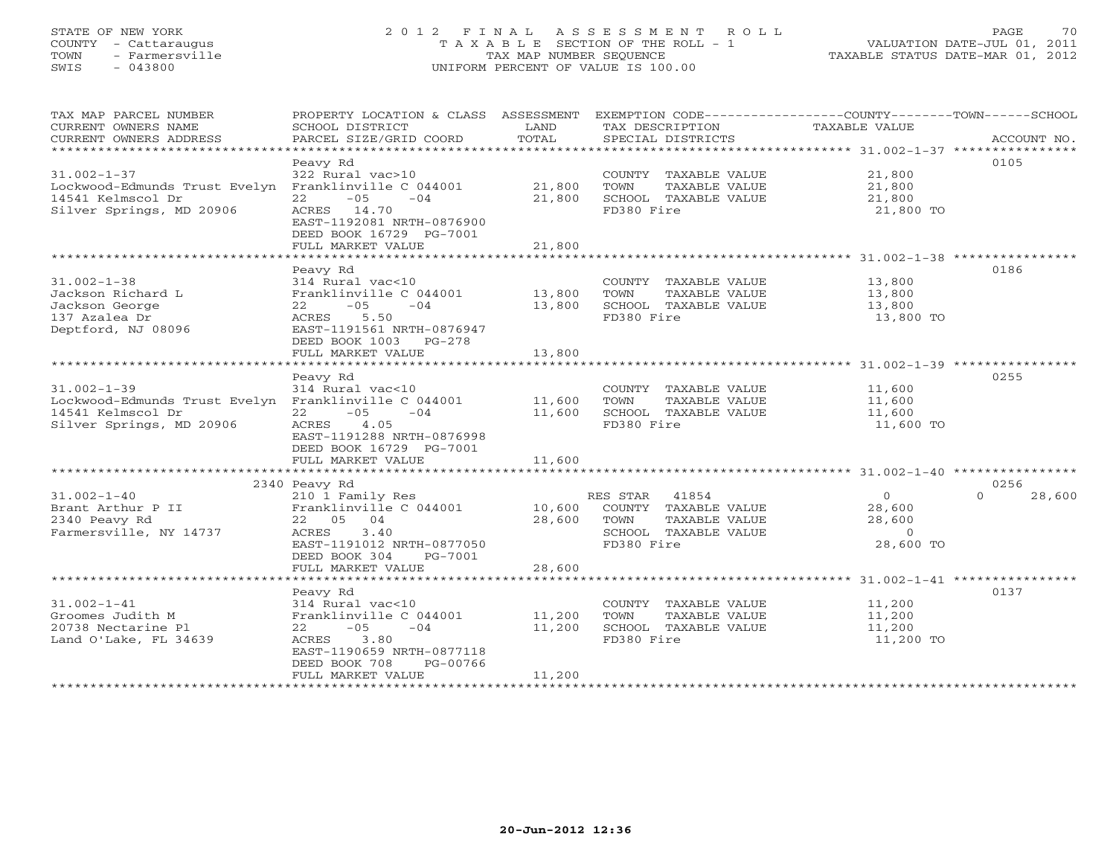# STATE OF NEW YORK 2 0 1 2 F I N A L A S S E S S M E N T R O L L PAGE 70 COUNTY - Cattaraugus T A X A B L E SECTION OF THE ROLL - 1 VALUATION DATE-JUL 01, 2011 TOWN - Farmersville TAX MAP NUMBER SEQUENCE TAXABLE STATUS DATE-MAR 01, 2012 SWIS - 043800 UNIFORM PERCENT OF VALUE IS 100.00

| TAX MAP PARCEL NUMBER<br>CURRENT OWNERS NAME<br>CURRENT OWNERS ADDRESS                                                     | PROPERTY LOCATION & CLASS ASSESSMENT<br>SCHOOL DISTRICT<br>PARCEL SIZE/GRID COORD                                                                                            | LAND<br>TOTAL              | TAX DESCRIPTION<br>SPECIAL DISTRICTS                                                | EXEMPTION CODE-----------------COUNTY-------TOWN------SCHOOL<br>TAXABLE VALUE | ACCOUNT NO.                |
|----------------------------------------------------------------------------------------------------------------------------|------------------------------------------------------------------------------------------------------------------------------------------------------------------------------|----------------------------|-------------------------------------------------------------------------------------|-------------------------------------------------------------------------------|----------------------------|
| $31.002 - 1 - 37$<br>Lockwood-Edmunds Trust Evelyn Franklinville C 044001<br>14541 Kelmscol Dr<br>Silver Springs, MD 20906 | Peavy Rd<br>322 Rural vac>10<br>$-05$<br>22<br>$-04$<br>ACRES 14.70<br>EAST-1192081 NRTH-0876900<br>DEED BOOK 16729 PG-7001                                                  | 21,800<br>21,800           | COUNTY TAXABLE VALUE<br>TOWN<br>TAXABLE VALUE<br>SCHOOL TAXABLE VALUE<br>FD380 Fire | 21,800<br>21,800<br>21,800<br>21,800 TO                                       | 0105                       |
|                                                                                                                            | FULL MARKET VALUE                                                                                                                                                            | 21,800                     |                                                                                     |                                                                               |                            |
| $31.002 - 1 - 38$<br>Jackson Richard L<br>Jackson George<br>137 Azalea Dr<br>Deptford, NJ 08096                            | Peavy Rd<br>314 Rural vac<10<br>Franklinville C 044001<br>22<br>$-05$<br>$-04$<br>ACRES<br>5.50<br>EAST-1191561 NRTH-0876947<br>DEED BOOK 1003 PG-278<br>FULL MARKET VALUE   | 13,800<br>13,800<br>13,800 | COUNTY TAXABLE VALUE<br>TOWN<br>TAXABLE VALUE<br>SCHOOL TAXABLE VALUE<br>FD380 Fire | 13,800<br>13,800<br>13,800<br>13,800 TO                                       | 0186                       |
|                                                                                                                            |                                                                                                                                                                              |                            |                                                                                     |                                                                               |                            |
| $31.002 - 1 - 39$<br>Lockwood-Edmunds Trust Evelyn Franklinville C 044001<br>14541 Kelmscol Dr<br>Silver Springs, MD 20906 | Peavy Rd<br>314 Rural vac<10<br>$22 - 05$<br>$-04$<br>4.05<br>ACRES<br>EAST-1191288 NRTH-0876998<br>DEED BOOK 16729 PG-7001                                                  | 11,600<br>11,600           | COUNTY TAXABLE VALUE<br>TOWN<br>TAXABLE VALUE<br>SCHOOL TAXABLE VALUE<br>FD380 Fire | 11,600<br>11,600<br>11,600<br>11,600 TO                                       | 0255                       |
|                                                                                                                            | FULL MARKET VALUE                                                                                                                                                            | 11,600                     |                                                                                     |                                                                               |                            |
| $31.002 - 1 - 40$<br>Brant Arthur P II                                                                                     | 2340 Peavy Rd<br>210 1 Family Res<br>Franklinville C 044001                                                                                                                  | 10,600                     | RES STAR 41854<br>COUNTY TAXABLE VALUE                                              | $\overline{O}$<br>28,600                                                      | 0256<br>$\Omega$<br>28,600 |
| 2340 Peavy Rd<br>Farmersville, NY 14737                                                                                    | 22 05 04<br>3.40<br>ACRES<br>EAST-1191012 NRTH-0877050<br>DEED BOOK 304<br>PG-7001                                                                                           | 28,600                     | TOWN<br>TAXABLE VALUE<br>SCHOOL TAXABLE VALUE<br>FD380 Fire                         | 28,600<br>$\circ$<br>28,600 TO                                                |                            |
|                                                                                                                            | FULL MARKET VALUE                                                                                                                                                            | 28,600                     |                                                                                     |                                                                               |                            |
| $31.002 - 1 - 41$<br>Groomes Judith M<br>20738 Nectarine Pl<br>Land O'Lake, FL 34639                                       | Peavy Rd<br>314 Rural vac<10<br>Franklinville C 044001<br>$22 - 05$<br>$-04$<br>3.80<br>ACRES<br>EAST-1190659 NRTH-0877118<br>DEED BOOK 708<br>PG-00766<br>FULL MARKET VALUE | 11,200<br>11,200<br>11,200 | COUNTY TAXABLE VALUE<br>TOWN<br>TAXABLE VALUE<br>SCHOOL TAXABLE VALUE<br>FD380 Fire | 11,200<br>11,200<br>11,200<br>11,200 TO                                       | 0137                       |
|                                                                                                                            |                                                                                                                                                                              |                            |                                                                                     |                                                                               |                            |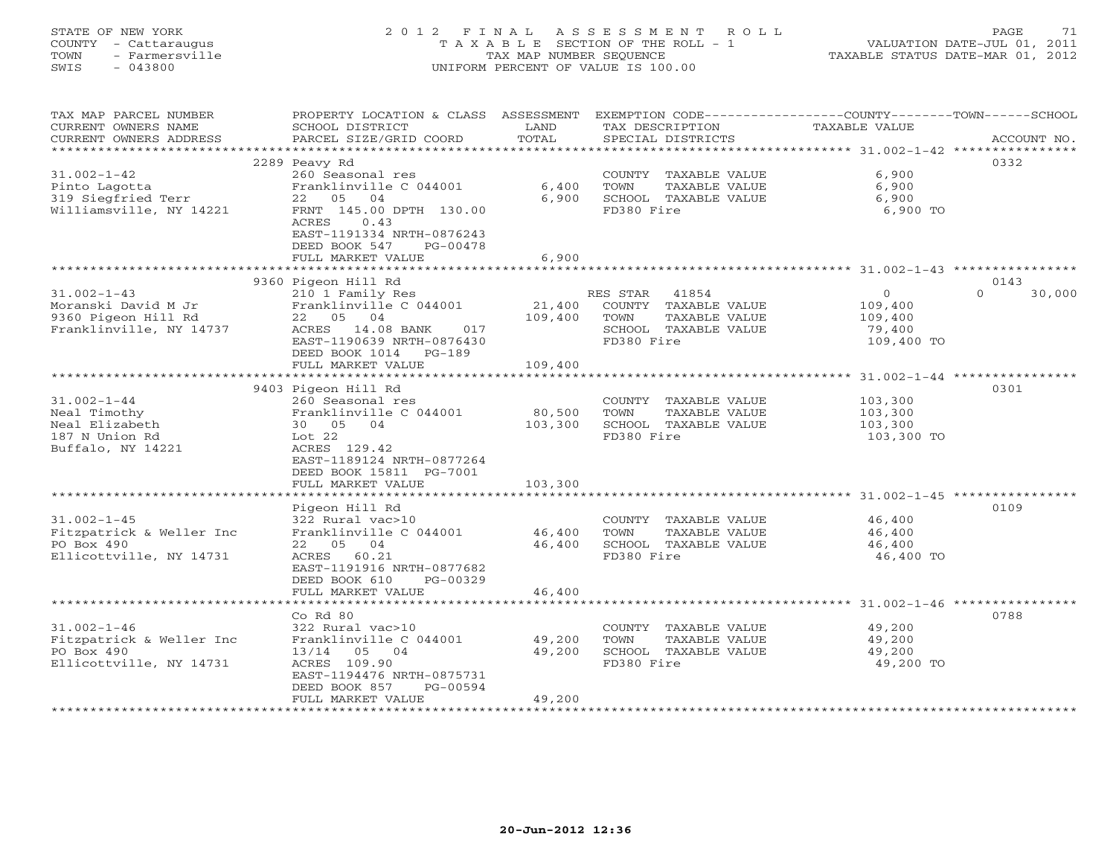# STATE OF NEW YORK 2 0 1 2 F I N A L A S S E S S M E N T R O L L PAGE 71 COUNTY - Cattaraugus T A X A B L E SECTION OF THE ROLL - 1 VALUATION DATE-JUL 01, 2011 TOWN - Farmersville TAX MAP NUMBER SEQUENCE TAXABLE STATUS DATE-MAR 01, 2012 SWIS - 043800 UNIFORM PERCENT OF VALUE IS 100.00

| TAX MAP PARCEL NUMBER<br>CURRENT OWNERS NAME | PROPERTY LOCATION & CLASS ASSESSMENT<br>SCHOOL DISTRICT | LAND                   |            | TAX DESCRIPTION      | EXEMPTION CODE-----------------COUNTY-------TOWN------SCHOOL<br>TAXABLE VALUE |                    |
|----------------------------------------------|---------------------------------------------------------|------------------------|------------|----------------------|-------------------------------------------------------------------------------|--------------------|
| CURRENT OWNERS ADDRESS                       | PARCEL SIZE/GRID COORD                                  | TOTAL                  |            | SPECIAL DISTRICTS    |                                                                               | ACCOUNT NO.        |
| ***********************                      |                                                         |                        |            |                      |                                                                               |                    |
| $31.002 - 1 - 42$                            | 2289 Peavy Rd<br>260 Seasonal res                       |                        |            | COUNTY TAXABLE VALUE | 6,900                                                                         | 0332               |
|                                              | Franklinville C 044001                                  | 6,400                  | TOWN       | TAXABLE VALUE        | 6,900                                                                         |                    |
| Pinto Lagotta<br>319 Siegfried Terr          | 22 05 04                                                | 6,900                  |            | SCHOOL TAXABLE VALUE | 6,900                                                                         |                    |
| Williamsville, NY 14221                      | FRNT 145.00 DPTH 130.00                                 |                        | FD380 Fire |                      | 6,900 TO                                                                      |                    |
|                                              | 0.43<br>ACRES                                           |                        |            |                      |                                                                               |                    |
|                                              | EAST-1191334 NRTH-0876243                               |                        |            |                      |                                                                               |                    |
|                                              | DEED BOOK 547<br>PG-00478                               |                        |            |                      |                                                                               |                    |
|                                              | FULL MARKET VALUE                                       | 6,900                  |            |                      |                                                                               |                    |
|                                              |                                                         |                        |            |                      |                                                                               |                    |
|                                              | 9360 Pigeon Hill Rd                                     |                        |            |                      |                                                                               | 0143               |
| $31.002 - 1 - 43$                            | 210 1 Family Res                                        |                        | RES STAR   | 41854                | $\Omega$                                                                      | $\Omega$<br>30,000 |
| Moranski David M Jr                          | Franklinville C 044001                                  | 21,400                 |            | COUNTY TAXABLE VALUE | 109,400                                                                       |                    |
| 9360 Pigeon Hill Rd                          | 22 05 04                                                | 109,400                | TOWN       | TAXABLE VALUE        | 109,400                                                                       |                    |
| Franklinville, NY 14737                      | 14.08 BANK<br>017<br>ACRES                              |                        |            | SCHOOL TAXABLE VALUE | 79,400                                                                        |                    |
|                                              | EAST-1190639 NRTH-0876430                               |                        | FD380 Fire |                      | 109,400 TO                                                                    |                    |
|                                              | DEED BOOK 1014<br>$PG-189$                              |                        |            |                      |                                                                               |                    |
|                                              | FULL MARKET VALUE<br>***********************            | 109,400<br>*********** |            |                      | **************** 31.002-1-44 *****************                                |                    |
|                                              | 9403 Pigeon Hill Rd                                     |                        |            |                      |                                                                               | 0301               |
| $31.002 - 1 - 44$                            | 260 Seasonal res                                        |                        |            | COUNTY TAXABLE VALUE | 103,300                                                                       |                    |
| Neal Timothy                                 | Franklinville C 044001                                  | 80,500                 | TOWN       | TAXABLE VALUE        | 103,300                                                                       |                    |
| Neal Elizabeth                               | 30 05 04                                                | 103,300                |            | SCHOOL TAXABLE VALUE | 103,300                                                                       |                    |
| 187 N Union Rd                               | Lot 22                                                  |                        | FD380 Fire |                      | 103,300 TO                                                                    |                    |
| Buffalo, NY 14221                            | ACRES 129.42                                            |                        |            |                      |                                                                               |                    |
|                                              | EAST-1189124 NRTH-0877264                               |                        |            |                      |                                                                               |                    |
|                                              | DEED BOOK 15811 PG-7001                                 |                        |            |                      |                                                                               |                    |
|                                              | FULL MARKET VALUE                                       | 103,300                |            |                      |                                                                               |                    |
|                                              |                                                         |                        |            |                      |                                                                               |                    |
|                                              | Pigeon Hill Rd                                          |                        |            |                      |                                                                               | 0109               |
| $31.002 - 1 - 45$                            | 322 Rural vac>10                                        |                        |            | COUNTY TAXABLE VALUE | 46,400                                                                        |                    |
| Fitzpatrick & Weller Inc                     | Franklinville C 044001                                  | 46,400                 | TOWN       | TAXABLE VALUE        | 46,400                                                                        |                    |
| PO Box 490                                   | 22 05 04                                                | 46,400                 |            | SCHOOL TAXABLE VALUE | 46,400                                                                        |                    |
| Ellicottville, NY 14731                      | ACRES 60.21                                             |                        | FD380 Fire |                      | 46,400 TO                                                                     |                    |
|                                              | EAST-1191916 NRTH-0877682                               |                        |            |                      |                                                                               |                    |
|                                              | DEED BOOK 610<br>PG-00329<br>FULL MARKET VALUE          | 46,400                 |            |                      |                                                                               |                    |
|                                              | *************************                               | ***********            |            |                      | **************************************602-1-46 ****************               |                    |
|                                              | Co Rd 80                                                |                        |            |                      |                                                                               | 0788               |
| $31.002 - 1 - 46$                            | 322 Rural vac>10                                        |                        |            | COUNTY TAXABLE VALUE | 49,200                                                                        |                    |
| Fitzpatrick & Weller Inc                     | Franklinville C 044001                                  | 49,200                 | TOWN       | TAXABLE VALUE        | 49,200                                                                        |                    |
| PO Box 490                                   | 13/14 05 04                                             | 49,200                 |            | SCHOOL TAXABLE VALUE | 49,200                                                                        |                    |
| Ellicottville, NY 14731                      | ACRES 109.90                                            |                        | FD380 Fire |                      | 49,200 TO                                                                     |                    |
|                                              | EAST-1194476 NRTH-0875731                               |                        |            |                      |                                                                               |                    |
|                                              | DEED BOOK 857<br>PG-00594                               |                        |            |                      |                                                                               |                    |
|                                              | FULL MARKET VALUE                                       | 49,200                 |            |                      |                                                                               |                    |
|                                              |                                                         |                        |            |                      |                                                                               |                    |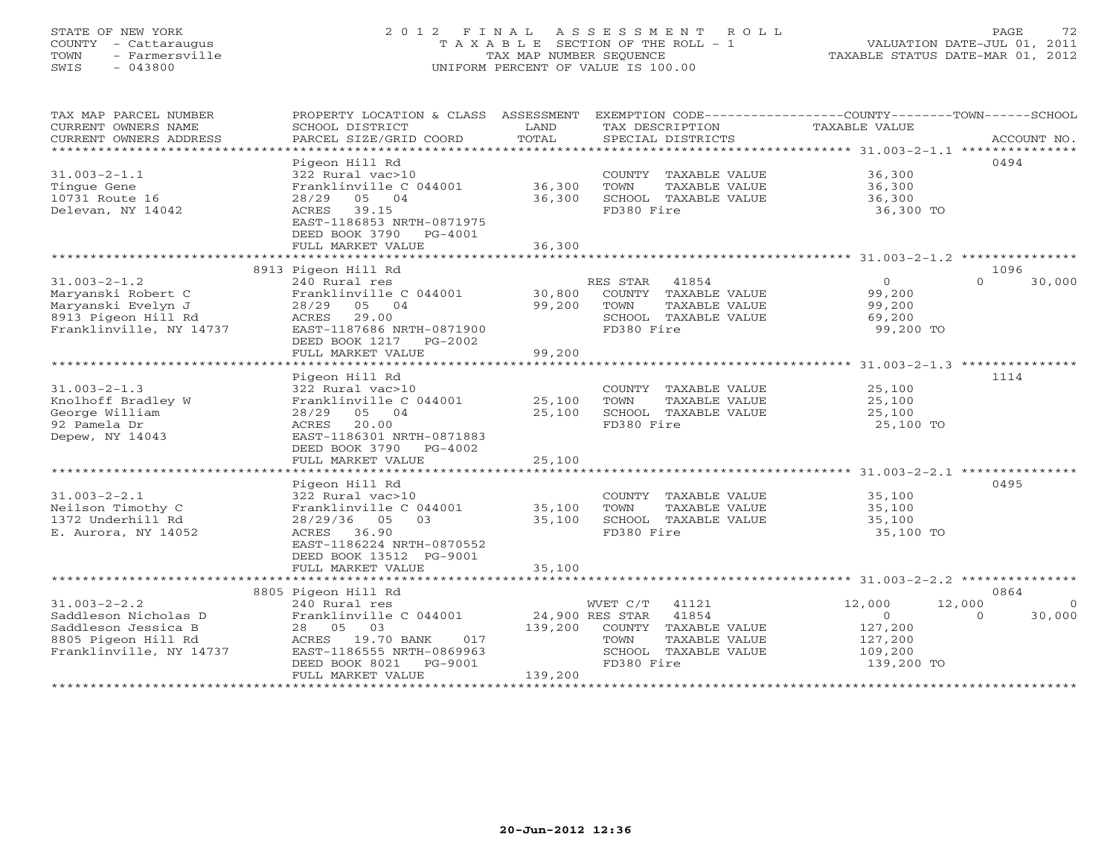# STATE OF NEW YORK 2 0 1 2 F I N A L A S S E S S M E N T R O L L PAGE 72 COUNTY - Cattaraugus T A X A B L E SECTION OF THE ROLL - 1 VALUATION DATE-JUL 01, 2011 TOWN - Farmersville TAX MAP NUMBER SEQUENCE TAXABLE STATUS DATE-MAR 01, 2012 SWIS - 043800 UNIFORM PERCENT OF VALUE IS 100.00

| TAX MAP PARCEL NUMBER<br>CURRENT OWNERS NAME<br>CURRENT OWNERS ADDRESS<br>******************************            | PROPERTY LOCATION & CLASS ASSESSMENT<br>SCHOOL DISTRICT<br>PARCEL SIZE/GRID COORD                                                                                                       | LAND<br>TOTAL              | TAX DESCRIPTION<br>SPECIAL DISTRICTS                                                                                              | EXEMPTION CODE-----------------COUNTY-------TOWN------SCHOOL<br>TAXABLE VALUE | ACCOUNT NO.                                      |
|---------------------------------------------------------------------------------------------------------------------|-----------------------------------------------------------------------------------------------------------------------------------------------------------------------------------------|----------------------------|-----------------------------------------------------------------------------------------------------------------------------------|-------------------------------------------------------------------------------|--------------------------------------------------|
| $31.003 - 2 - 1.1$<br>Tinque Gene<br>10731 Route 16<br>Delevan, NY 14042                                            | Pigeon Hill Rd<br>322 Rural vac>10<br>Franklinville C 044001<br>28/29<br>05 04<br>ACRES 39.15<br>EAST-1186853 NRTH-0871975<br>DEED BOOK 3790 PG-4001                                    | 36,300<br>36,300           | COUNTY TAXABLE VALUE<br>TOWN<br>TAXABLE VALUE<br>SCHOOL TAXABLE VALUE<br>FD380 Fire                                               | 36,300<br>36,300<br>36,300<br>36,300 TO                                       | 0494                                             |
|                                                                                                                     | FULL MARKET VALUE                                                                                                                                                                       | 36,300                     |                                                                                                                                   |                                                                               |                                                  |
| **************************<br>8913 Pigeon Hill Rd<br>1096                                                           |                                                                                                                                                                                         |                            |                                                                                                                                   |                                                                               |                                                  |
| $31.003 - 2 - 1.2$<br>Maryanski Robert C<br>Maryanski Evelyn J<br>8913 Pigeon Hill Rd<br>Franklinville, NY 14737    | 240 Rural res<br>Franklinville C 044001<br>28/29<br>05 04<br>ACRES<br>29.00<br>EAST-1187686 NRTH-0871900<br>DEED BOOK 1217<br>PG-2002<br>FULL MARKET VALUE                              | 30,800<br>99,200<br>99,200 | RES STAR<br>41854<br>COUNTY TAXABLE VALUE<br>TOWN<br>TAXABLE VALUE<br>SCHOOL TAXABLE VALUE<br>FD380 Fire                          | $\Omega$<br>99,200<br>99,200<br>69,200<br>99,200 TO                           | $\Omega$<br>30,000                               |
| *******************************31.003-2-1.3 ****************                                                        |                                                                                                                                                                                         |                            |                                                                                                                                   |                                                                               |                                                  |
| $31.003 - 2 - 1.3$<br>Knolhoff Bradley W<br>George William<br>92 Pamela Dr<br>Depew, NY 14043                       | Pigeon Hill Rd<br>322 Rural vac>10<br>Franklinville C 044001<br>28/29<br>05 04<br>20.00<br>ACRES<br>EAST-1186301 NRTH-0871883<br>DEED BOOK 3790<br>PG-4002                              | 25,100<br>25,100           | COUNTY TAXABLE VALUE<br>TOWN<br>TAXABLE VALUE<br>SCHOOL TAXABLE VALUE<br>FD380 Fire                                               | 25,100<br>25,100<br>25,100<br>25,100 TO                                       | 1114                                             |
|                                                                                                                     | FULL MARKET VALUE                                                                                                                                                                       | 25,100                     |                                                                                                                                   |                                                                               |                                                  |
| $31.003 - 2 - 2.1$<br>Neilson Timothy C<br>1372 Underhill Rd<br>E. Aurora, NY 14052                                 | Pigeon Hill Rd<br>322 Rural vac>10<br>Franklinville C 044001<br>28/29/36<br>05<br>03<br>ACRES 36.90<br>EAST-1186224 NRTH-0870552<br>DEED BOOK 13512 PG-9001                             | 35,100<br>35,100<br>35,100 | COUNTY TAXABLE VALUE<br>TOWN<br>TAXABLE VALUE<br>SCHOOL TAXABLE VALUE<br>FD380 Fire                                               | 35,100<br>35,100<br>35,100<br>35,100 TO                                       | 0495                                             |
| FULL MARKET VALUE                                                                                                   |                                                                                                                                                                                         |                            |                                                                                                                                   |                                                                               |                                                  |
| $31.003 - 2 - 2.2$<br>Saddleson Nicholas D<br>Saddleson Jessica B<br>8805 Pigeon Hill Rd<br>Franklinville, NY 14737 | 8805 Pigeon Hill Rd<br>240 Rural res<br>Franklinville C 044001<br>28 05<br>03<br>ACRES 19.70 BANK<br>017<br>EAST-1186555 NRTH-0869963<br>DEED BOOK 8021<br>PG-9001<br>FULL MARKET VALUE | 139,200<br>139,200         | WVET C/T<br>41121<br>24,900 RES STAR 41854<br>COUNTY TAXABLE VALUE<br>TAXABLE VALUE<br>TOWN<br>SCHOOL TAXABLE VALUE<br>FD380 Fire | 12,000<br>$\Omega$<br>127,200<br>127,200<br>109,200<br>139,200 TO             | 0864<br>12,000<br>$\Omega$<br>$\Omega$<br>30,000 |
| ******************                                                                                                  |                                                                                                                                                                                         |                            |                                                                                                                                   |                                                                               |                                                  |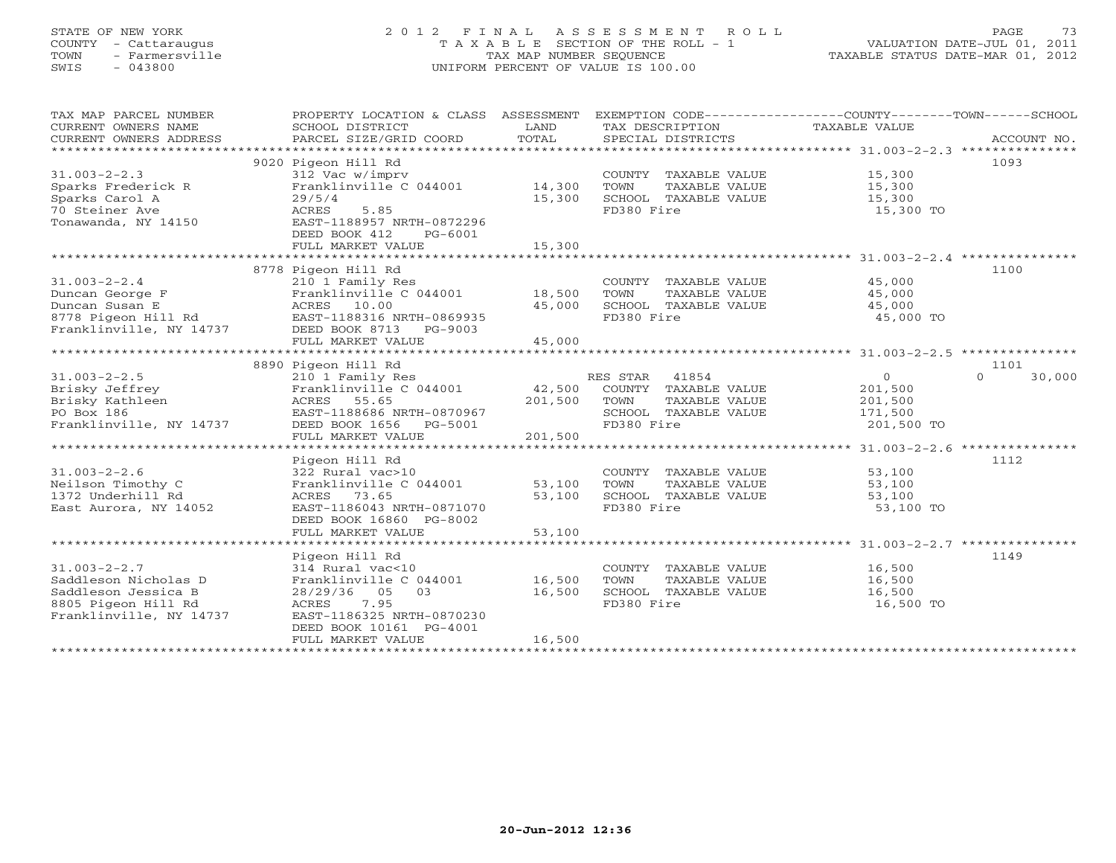## STATE OF NEW YORK 2 0 1 2 F I N A L A S S E S S M E N T R O L L PAGE 73 COUNTY - Cattaraugus T A X A B L E SECTION OF THE ROLL - 1 VALUATION DATE-JUL 01, 2011 TOWN - Farmersville TAX MAP NUMBER SEQUENCE TAXABLE STATUS DATE-MAR 01, 2012 SWIS - 043800 UNIFORM PERCENT OF VALUE IS 100.00

| TAX MAP PARCEL NUMBER<br>CURRENT OWNERS NAME<br>CURRENT OWNERS ADDRESS<br>*************************                 | SCHOOL DISTRICT<br>PARCEL SIZE/GRID COORD                                                                                                                                          | LAND<br>TOTAL                                        | TAX DESCRIPTION<br>SPECIAL DISTRICTS                                                                  | PROPERTY LOCATION & CLASS ASSESSMENT EXEMPTION CODE---------------COUNTY-------TOWN------SCHOOL<br>TAXABLE VALUE | ACCOUNT NO. |
|---------------------------------------------------------------------------------------------------------------------|------------------------------------------------------------------------------------------------------------------------------------------------------------------------------------|------------------------------------------------------|-------------------------------------------------------------------------------------------------------|------------------------------------------------------------------------------------------------------------------|-------------|
| $31.003 - 2 - 2.3$<br>Sparks Frederick R<br>Sparks Carol A<br>70 Steiner Ave<br>Tonawanda, NY 14150                 | 9020 Pigeon Hill Rd<br>312 Vac w/imprv<br>Franklinville C 044001<br>29/5/4<br>5.85<br>ACRES<br>EAST-1188957 NRTH-0872296<br>DEED BOOK 412<br>PG-6001<br>FULL MARKET VALUE          | 14,300<br>15,300<br>15,300                           | COUNTY TAXABLE VALUE<br>TOWN<br>TAXABLE VALUE<br>SCHOOL TAXABLE VALUE<br>FD380 Fire                   | 1093<br>15,300<br>15,300<br>15,300<br>15,300 TO                                                                  |             |
| $31.003 - 2 - 2.4$<br>Duncan George F<br>Duncan Susan E<br>8778 Pigeon Hill Rd<br>Franklinville, NY 14737           | 8778 Pigeon Hill Rd<br>210 1 Family Res<br>Franklinville C 044001<br>ACRES<br>10.00<br>EAST-1188316 NRTH-0869935<br>DEED BOOK 8713<br>PG-9003<br>FULL MARKET VALUE                 | 18,500<br>45,000<br>45,000                           | COUNTY TAXABLE VALUE<br>TOWN<br>TAXABLE VALUE<br>SCHOOL TAXABLE VALUE<br>FD380 Fire                   | 1100<br>45,000<br>45,000<br>45,000<br>45,000 TO                                                                  |             |
| *************************                                                                                           |                                                                                                                                                                                    |                                                      |                                                                                                       |                                                                                                                  |             |
| $31.003 - 2 - 2.5$<br>Brisky Jeffrey<br>Brisky Kathleen<br>PO Box 186<br>Franklinville, NY 14737                    | 8890 Pigeon Hill Rd<br>210 1 Family Res<br>Franklinville C 044001<br>ACRES<br>55.65<br>EAST-1188686 NRTH-0870967<br>DEED BOOK 1656<br>PG-5001<br>FULL MARKET VALUE                 | 42,500<br>201,500<br>201,500                         | RES STAR 41854<br>COUNTY TAXABLE VALUE<br>TAXABLE VALUE<br>TOWN<br>SCHOOL TAXABLE VALUE<br>FD380 Fire | 1101<br>$\Omega$<br>$\Omega$<br>201,500<br>201,500<br>171,500<br>201,500 TO                                      | 30,000      |
|                                                                                                                     | Pigeon Hill Rd                                                                                                                                                                     |                                                      |                                                                                                       | ******************** 31.003-2-2.6 ****************<br>1112                                                       |             |
| $31.003 - 2 - 2.6$<br>Neilson Timothy C<br>1372 Underhill Rd<br>East Aurora, NY 14052                               | 322 Rural vac>10<br>Franklinville C 044001<br>ACRES<br>73.65<br>EAST-1186043 NRTH-0871070<br>DEED BOOK 16860 PG-8002                                                               | 53,100<br>53,100                                     | COUNTY TAXABLE VALUE<br>TOWN<br>TAXABLE VALUE<br>SCHOOL TAXABLE VALUE<br>FD380 Fire                   | 53,100<br>53,100<br>53,100<br>53,100 TO                                                                          |             |
|                                                                                                                     | FULL MARKET VALUE<br>***************************                                                                                                                                   | 53,100                                               |                                                                                                       |                                                                                                                  |             |
| $31.003 - 2 - 2.7$<br>Saddleson Nicholas D<br>Saddleson Jessica B<br>8805 Pigeon Hill Rd<br>Franklinville, NY 14737 | Pigeon Hill Rd<br>314 Rural vac<10<br>Franklinville C 044001<br>03<br>28/29/36<br>05<br>7.95<br>ACRES<br>EAST-1186325 NRTH-0870230<br>DEED BOOK 10161 PG-4001<br>FULL MARKET VALUE | **********************<br>16,500<br>16,500<br>16,500 | COUNTY TAXABLE VALUE<br>TOWN<br>TAXABLE VALUE<br>SCHOOL TAXABLE VALUE<br>FD380 Fire                   | ************************* 31.003-2-2.7 ****************<br>1149<br>16,500<br>16,500<br>16,500<br>16,500 TO       |             |
|                                                                                                                     |                                                                                                                                                                                    |                                                      |                                                                                                       |                                                                                                                  |             |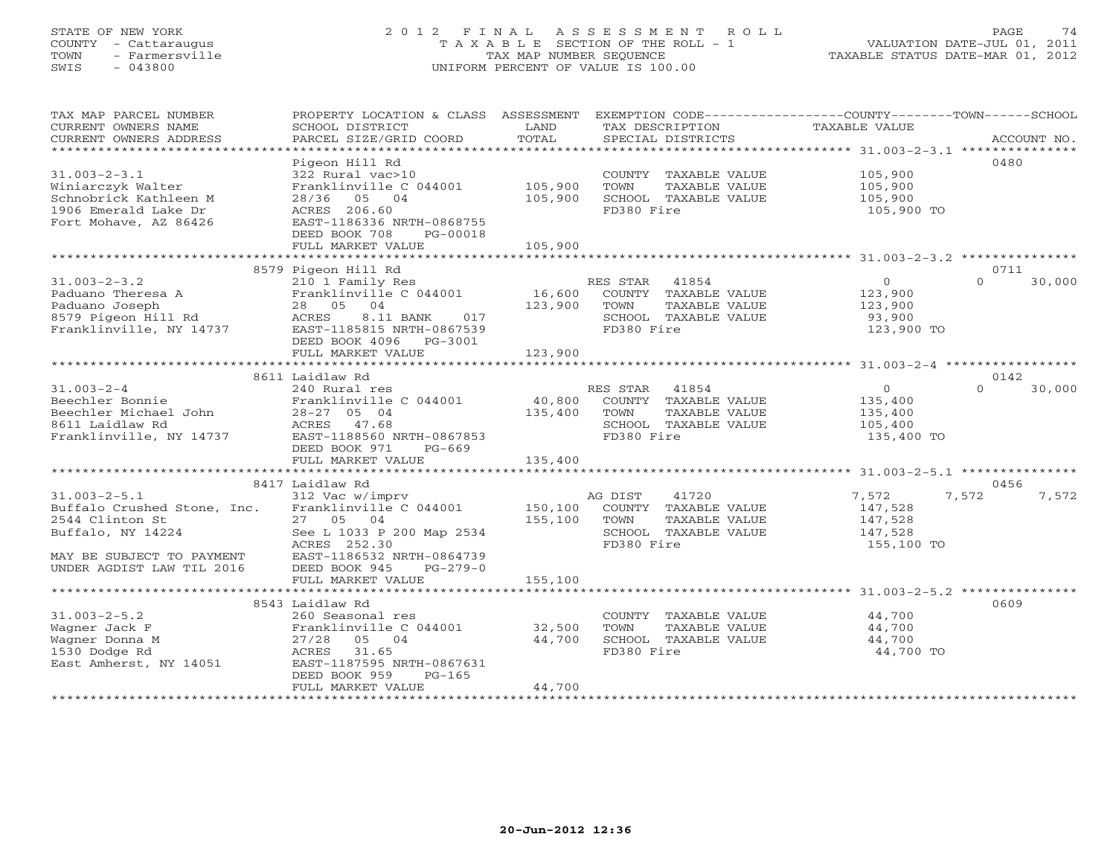## STATE OF NEW YORK 2 0 1 2 F I N A L A S S E S S M E N T R O L L PAGE 74 COUNTY - Cattaraugus T A X A B L E SECTION OF THE ROLL - 1 VALUATION DATE-JUL 01, 2011 TOWN - Farmersville TAX MAP NUMBER SEQUENCE TAXABLE STATUS DATE-MAR 01, 2012 SWIS - 043800 UNIFORM PERCENT OF VALUE IS 100.00UNIFORM PERCENT OF VALUE IS 100.00

| TAX MAP PARCEL NUMBER<br>CURRENT OWNERS NAME<br>CURRENT OWNERS ADDRESS<br>*************************                                                 | PROPERTY LOCATION & CLASS ASSESSMENT<br>SCHOOL DISTRICT<br>PARCEL SIZE/GRID COORD                                                                                                 | LAND<br>TOTAL                | EXEMPTION CODE-----------------COUNTY-------TOWN------SCHOOL<br>TAX DESCRIPTION<br>SPECIAL DISTRICTS     | TAXABLE VALUE                                                | ACCOUNT NO.                |
|-----------------------------------------------------------------------------------------------------------------------------------------------------|-----------------------------------------------------------------------------------------------------------------------------------------------------------------------------------|------------------------------|----------------------------------------------------------------------------------------------------------|--------------------------------------------------------------|----------------------------|
| $31.003 - 2 - 3.1$<br>Winiarczyk Walter<br>Schnobrick Kathleen M<br>1906 Emerald Lake Dr<br>Fort Mohave, AZ 86426                                   | Pigeon Hill Rd<br>322 Rural vac>10<br>Franklinville C 044001<br>28/36 05 04<br>ACRES 206.60<br>EAST-1186336 NRTH-0868755                                                          | 105,900<br>105,900           | COUNTY TAXABLE VALUE<br>TOWN<br>TAXABLE VALUE<br>SCHOOL TAXABLE VALUE<br>FD380 Fire                      | 105,900<br>105,900<br>105,900<br>105,900 TO                  | 0480                       |
|                                                                                                                                                     | DEED BOOK 708<br>PG-00018<br>FULL MARKET VALUE<br>***************************                                                                                                     | 105,900                      |                                                                                                          |                                                              |                            |
| $31.003 - 2 - 3.2$<br>Paduano Theresa A<br>Paduano Joseph<br>8579 Pigeon Hill Rd<br>Franklinville, NY 14737                                         | 8579 Pigeon Hill Rd<br>210 1 Family Res<br>Franklinville C 044001<br>28 05 04<br>8.11 BANK<br>ACRES<br>017<br>EAST-1185815 NRTH-0867539<br>DEED BOOK 4096    PG-3001              | RE<br>16,600<br>123,900      | RES STAR<br>41854<br>COUNTY TAXABLE VALUE<br>TOWN<br>TAXABLE VALUE<br>SCHOOL TAXABLE VALUE<br>FD380 Fire | $\overline{O}$<br>123,900<br>123,900<br>93,900<br>123,900 TO | 0711<br>$\Omega$<br>30,000 |
|                                                                                                                                                     | FULL MARKET VALUE                                                                                                                                                                 | 123,900                      |                                                                                                          |                                                              |                            |
| $31.003 - 2 - 4$<br>Beechler Bonnie<br>Beechler Michael John<br>8611 Laidlaw Rd<br>Franklinville, NY 14737                                          | 8611 Laidlaw Rd<br>240 Rural res<br>Franklinville C 044001<br>$28-27$ 05 04<br>ACRES 47.68<br>EAST-1188560 NRTH-0867853<br>DEED BOOK 971<br>$PG-669$<br>FULL MARKET VALUE         | 40,800<br>135,400<br>135,400 | RES STAR 41854<br>COUNTY TAXABLE VALUE<br>TOWN<br>TAXABLE VALUE<br>SCHOOL TAXABLE VALUE<br>FD380 Fire    | $\circ$<br>135,400<br>135,400<br>105,400<br>135,400 TO       | 0142<br>$\Omega$<br>30,000 |
|                                                                                                                                                     |                                                                                                                                                                                   |                              |                                                                                                          |                                                              | 0456                       |
| $31.003 - 2 - 5.1$<br>Buffalo Crushed Stone, Inc.<br>2544 Clinton St<br>Buffalo, NY 14224<br>MAY BE SUBJECT TO PAYMENT<br>UNDER AGDIST LAW TIL 2016 | 8417 Laidlaw Rd<br>312 Vac w/imprv<br>Franklinville C 044001<br>27 05 04<br>See L 1033 P 200 Map 2534<br>ACRES 252.30<br>EAST-1186532 NRTH-0864739<br>DEED BOOK 945<br>$PG-279-0$ | 150,100<br>155,100           | 41720<br>AG DIST<br>COUNTY TAXABLE VALUE<br>TOWN<br>TAXABLE VALUE<br>SCHOOL TAXABLE VALUE<br>FD380 Fire  | 7,572<br>147,528<br>147,528<br>147,528<br>155,100 TO         | 7,572<br>7,572             |
|                                                                                                                                                     | FULL MARKET VALUE                                                                                                                                                                 | 155,100                      |                                                                                                          |                                                              |                            |
|                                                                                                                                                     | 8543 Laidlaw Rd                                                                                                                                                                   |                              |                                                                                                          |                                                              | 0609                       |
| $31.003 - 2 - 5.2$<br>Wagner Jack F<br>Wagner Donna M<br>1530 Dodge Rd<br>East Amherst, NY 14051                                                    | 260 Seasonal res<br>Franklinville C 044001<br>27/28<br>05 04<br>ACRES<br>31.65<br>EAST-1187595 NRTH-0867631<br>DEED BOOK 959<br>$PG-165$                                          | 32,500<br>44,700             | COUNTY TAXABLE VALUE<br>TOWN<br>TAXABLE VALUE<br>SCHOOL TAXABLE VALUE<br>FD380 Fire                      | 44,700<br>44,700<br>44,700<br>44,700 TO                      |                            |
|                                                                                                                                                     | FULL MARKET VALUE                                                                                                                                                                 | 44,700                       |                                                                                                          |                                                              |                            |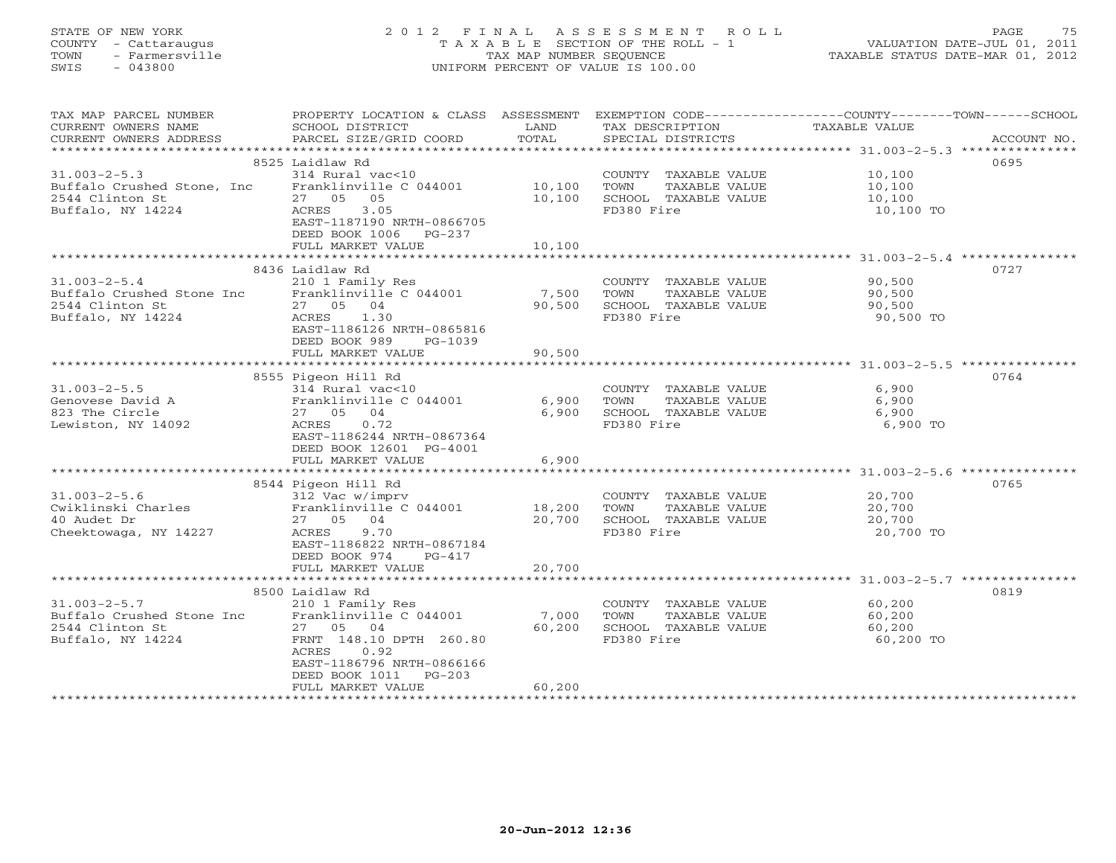# STATE OF NEW YORK 2 0 1 2 F I N A L A S S E S S M E N T R O L L PAGE 75 COUNTY - Cattaraugus T A X A B L E SECTION OF THE ROLL - 1 VALUATION DATE-JUL 01, 2011 TOWN - Farmersville TAX MAP NUMBER SEQUENCE TAXABLE STATUS DATE-MAR 01, 2012 SWIS - 043800 UNIFORM PERCENT OF VALUE IS 100.00

| TAX MAP PARCEL NUMBER<br>CURRENT OWNERS NAME<br>CURRENT OWNERS ADDRESS | PROPERTY LOCATION & CLASS ASSESSMENT<br>SCHOOL DISTRICT<br>PARCEL SIZE/GRID COORD | LAND<br>TOTAL  | TAX DESCRIPTION<br>SPECIAL DISTRICTS | EXEMPTION CODE----------------COUNTY-------TOWN------SCHOOL<br>TAXABLE VALUE<br>ACCOUNT NO. |
|------------------------------------------------------------------------|-----------------------------------------------------------------------------------|----------------|--------------------------------------|---------------------------------------------------------------------------------------------|
|                                                                        |                                                                                   |                |                                      |                                                                                             |
|                                                                        | 8525 Laidlaw Rd                                                                   |                |                                      | 0695                                                                                        |
| $31.003 - 2 - 5.3$                                                     | 314 Rural vac<10                                                                  |                | COUNTY TAXABLE VALUE                 | 10,100                                                                                      |
| Buffalo Crushed Stone, Inc.                                            | Franklinville C 044001                                                            | 10,100         | TOWN<br>TAXABLE VALUE                | 10,100                                                                                      |
| 2544 Clinton St                                                        | 27 05<br>05                                                                       | 10,100         | SCHOOL TAXABLE VALUE                 | 10,100                                                                                      |
| Buffalo, NY 14224                                                      | 3.05<br>ACRES<br>EAST-1187190 NRTH-0866705                                        |                | FD380 Fire                           | 10,100 TO                                                                                   |
|                                                                        | DEED BOOK 1006<br>PG-237                                                          |                |                                      |                                                                                             |
|                                                                        | FULL MARKET VALUE                                                                 | 10,100         |                                      |                                                                                             |
|                                                                        |                                                                                   |                |                                      |                                                                                             |
|                                                                        | 8436 Laidlaw Rd                                                                   |                |                                      | 0727                                                                                        |
| $31.003 - 2 - 5.4$                                                     | 210 1 Family Res                                                                  |                | COUNTY TAXABLE VALUE                 | 90,500                                                                                      |
| Buffalo Crushed Stone Inc                                              | Franklinville C 044001                                                            | 7,500          | TOWN<br>TAXABLE VALUE                | 90,500                                                                                      |
| 2544 Clinton St                                                        | 27 05 04                                                                          | 90,500         | SCHOOL TAXABLE VALUE                 | 90,500                                                                                      |
| Buffalo, NY 14224                                                      | ACRES<br>1.30<br>EAST-1186126 NRTH-0865816                                        |                | FD380 Fire                           | 90,500 TO                                                                                   |
|                                                                        | DEED BOOK 989<br>$PG-1039$                                                        |                |                                      |                                                                                             |
|                                                                        | FULL MARKET VALUE                                                                 | 90,500         |                                      |                                                                                             |
|                                                                        |                                                                                   |                |                                      |                                                                                             |
|                                                                        | 8555 Pigeon Hill Rd                                                               |                |                                      | 0764                                                                                        |
| $31.003 - 2 - 5.5$                                                     | 314 Rural vac<10                                                                  |                | COUNTY TAXABLE VALUE                 | 6,900                                                                                       |
| Genovese David A                                                       | Franklinville C 044001                                                            | 6,900          | TOWN<br>TAXABLE VALUE                | 6,900                                                                                       |
| 823 The Circle                                                         | 04<br>27 05                                                                       | 6,900          | SCHOOL TAXABLE VALUE                 | 6,900                                                                                       |
| Lewiston, NY 14092                                                     | 0.72<br>ACRES<br>EAST-1186244 NRTH-0867364                                        |                | FD380 Fire                           | 6,900 TO                                                                                    |
|                                                                        | DEED BOOK 12601 PG-4001                                                           |                |                                      |                                                                                             |
|                                                                        | FULL MARKET VALUE                                                                 | 6,900          |                                      |                                                                                             |
|                                                                        |                                                                                   |                |                                      |                                                                                             |
|                                                                        | 8544 Pigeon Hill Rd                                                               |                |                                      | 0765                                                                                        |
| $31.003 - 2 - 5.6$                                                     | 312 Vac w/imprv                                                                   |                | COUNTY TAXABLE VALUE                 | 20,700                                                                                      |
| Cwiklinski Charles                                                     | Franklinville C 044001                                                            | 18,200         | TAXABLE VALUE<br>TOWN                | 20,700                                                                                      |
| 40 Audet Dr                                                            | 27 05 04                                                                          | 20,700         | SCHOOL TAXABLE VALUE                 | 20,700                                                                                      |
| Cheektowaga, NY 14227                                                  | 9.70<br>ACRES<br>EAST-1186822 NRTH-0867184                                        |                | FD380 Fire                           | 20,700 TO                                                                                   |
|                                                                        | DEED BOOK 974<br>$PG-417$                                                         |                |                                      |                                                                                             |
|                                                                        | FULL MARKET VALUE                                                                 | 20,700         |                                      |                                                                                             |
|                                                                        | ********************************                                                  | ************** |                                      |                                                                                             |
|                                                                        | 8500 Laidlaw Rd                                                                   |                |                                      | 0819                                                                                        |
| $31.003 - 2 - 5.7$                                                     | 210 1 Family Res                                                                  |                | COUNTY TAXABLE VALUE                 | 60,200                                                                                      |
| Buffalo Crushed Stone Inc                                              | Franklinville C 044001                                                            | 7,000          | TOWN<br>TAXABLE VALUE                | 60,200                                                                                      |
| 2544 Clinton St                                                        | 27 05 04                                                                          | 60,200         | SCHOOL TAXABLE VALUE                 | 60,200                                                                                      |
| Buffalo, NY 14224                                                      | FRNT 148.10 DPTH 260.80<br>ACRES<br>0.92                                          |                | FD380 Fire                           | 60,200 TO                                                                                   |
|                                                                        | EAST-1186796 NRTH-0866166                                                         |                |                                      |                                                                                             |
|                                                                        | DEED BOOK 1011<br>$PG-203$                                                        |                |                                      |                                                                                             |
|                                                                        | FULL MARKET VALUE                                                                 | 60,200         |                                      |                                                                                             |
|                                                                        |                                                                                   |                |                                      |                                                                                             |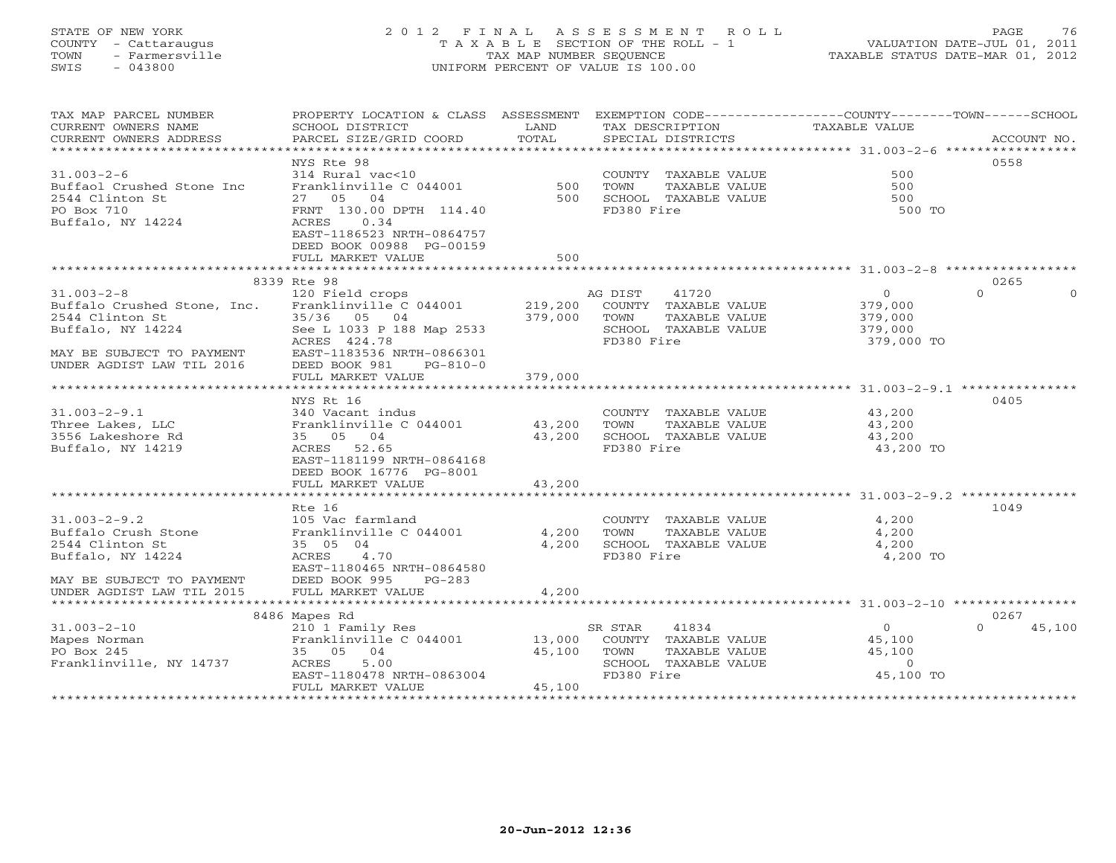## STATE OF NEW YORK 2 0 1 2 F I N A L A S S E S S M E N T R O L L PAGE 76 COUNTY - Cattaraugus T A X A B L E SECTION OF THE ROLL - 1 VALUATION DATE-JUL 01, 2011 TOWN - Farmersville TAX MAP NUMBER SEQUENCE TAXABLE STATUS DATE-MAR 01, 2012 SWIS - 043800 UNIFORM PERCENT OF VALUE IS 100.00UNIFORM PERCENT OF VALUE IS 100.00

| TAX MAP PARCEL NUMBER<br>CURRENT OWNERS NAME<br>CURRENT OWNERS ADDRESS | PROPERTY LOCATION & CLASS ASSESSMENT EXEMPTION CODE----------------COUNTY-------TOWN------SCHOOL<br>SCHOOL DISTRICT<br>PARCEL SIZE/GRID COORD | LAND<br>TOTAL | TAX DESCRIPTION<br>SPECIAL DISTRICTS          | TAXABLE VALUE                                              | ACCOUNT NO.              |
|------------------------------------------------------------------------|-----------------------------------------------------------------------------------------------------------------------------------------------|---------------|-----------------------------------------------|------------------------------------------------------------|--------------------------|
|                                                                        |                                                                                                                                               |               |                                               |                                                            |                          |
| $31.003 - 2 - 6$                                                       | NYS Rte 98<br>314 Rural vac<10                                                                                                                |               |                                               | 500                                                        | 0558                     |
| Buffaol Crushed Stone Inc                                              | Franklinville C 044001                                                                                                                        | 500           | COUNTY TAXABLE VALUE<br>TOWN<br>TAXABLE VALUE | 500                                                        |                          |
| 2544 Clinton St                                                        | 27 05 04                                                                                                                                      | 500           | SCHOOL TAXABLE VALUE                          | 500                                                        |                          |
| PO Box 710                                                             | FRNT 130.00 DPTH 114.40                                                                                                                       |               | FD380 Fire                                    | 500 TO                                                     |                          |
| Buffalo, NY 14224                                                      | ACRES<br>0.34                                                                                                                                 |               |                                               |                                                            |                          |
|                                                                        | EAST-1186523 NRTH-0864757                                                                                                                     |               |                                               |                                                            |                          |
|                                                                        | DEED BOOK 00988 PG-00159                                                                                                                      |               |                                               |                                                            |                          |
|                                                                        | FULL MARKET VALUE                                                                                                                             | 500           |                                               |                                                            |                          |
|                                                                        | ***********************                                                                                                                       |               |                                               |                                                            |                          |
|                                                                        | 8339 Rte 98                                                                                                                                   |               |                                               |                                                            | 0265                     |
| $31.003 - 2 - 8$                                                       | 120 Field crops                                                                                                                               |               | AG DIST<br>41720                              | $\circ$                                                    | $\Omega$<br>$\mathbf{O}$ |
| Buffalo Crushed Stone, Inc.                                            | Franklinville C 044001                                                                                                                        | 219,200       | COUNTY TAXABLE VALUE                          | 379,000                                                    |                          |
| 2544 Clinton St                                                        | 35/36 05 04                                                                                                                                   | 379,000       | TOWN<br>TAXABLE VALUE                         | 379,000                                                    |                          |
| Buffalo, NY 14224                                                      | See L 1033 P 188 Map 2533                                                                                                                     |               | SCHOOL TAXABLE VALUE                          | 379,000                                                    |                          |
|                                                                        | ACRES 424.78                                                                                                                                  |               | FD380 Fire                                    | 379,000 TO                                                 |                          |
| MAY BE SUBJECT TO PAYMENT                                              | EAST-1183536 NRTH-0866301                                                                                                                     |               |                                               |                                                            |                          |
| UNDER AGDIST LAW TIL 2016                                              | DEED BOOK 981<br>$PG-810-0$                                                                                                                   |               |                                               |                                                            |                          |
| **********************                                                 | FULL MARKET VALUE                                                                                                                             | 379,000       |                                               |                                                            |                          |
|                                                                        | NYS Rt 16                                                                                                                                     |               |                                               |                                                            | 0405                     |
| $31.003 - 2 - 9.1$                                                     | 340 Vacant indus                                                                                                                              |               | COUNTY TAXABLE VALUE                          | 43,200                                                     |                          |
| Three Lakes, LLC                                                       | Franklinville C 044001                                                                                                                        | 43,200        | TOWN<br>TAXABLE VALUE                         | 43,200                                                     |                          |
| 3556 Lakeshore Rd                                                      | 35 05 04                                                                                                                                      | 43,200        | SCHOOL TAXABLE VALUE                          | 43,200                                                     |                          |
| Buffalo, NY 14219                                                      | ACRES 52.65                                                                                                                                   |               | FD380 Fire                                    | 43,200 TO                                                  |                          |
|                                                                        | EAST-1181199 NRTH-0864168                                                                                                                     |               |                                               |                                                            |                          |
|                                                                        | DEED BOOK 16776 PG-8001                                                                                                                       |               |                                               |                                                            |                          |
|                                                                        | FULL MARKET VALUE                                                                                                                             | 43,200        |                                               |                                                            |                          |
|                                                                        | *********************                                                                                                                         | **********    |                                               | ****************************** 31.003-2-9.2 ************** |                          |
|                                                                        | Rte 16                                                                                                                                        |               |                                               |                                                            | 1049                     |
| $31.003 - 2 - 9.2$                                                     | 105 Vac farmland                                                                                                                              |               | COUNTY TAXABLE VALUE                          | 4,200                                                      |                          |
| Buffalo Crush Stone                                                    | Franklinville C 044001                                                                                                                        | 4,200         | TOWN<br>TAXABLE VALUE                         | 4,200                                                      |                          |
| 2544 Clinton St                                                        | 35 05 04                                                                                                                                      | 4,200         | SCHOOL TAXABLE VALUE                          | 4,200                                                      |                          |
| Buffalo, NY 14224                                                      | ACRES 4.70                                                                                                                                    |               | FD380 Fire                                    | 4,200 TO                                                   |                          |
|                                                                        | EAST-1180465 NRTH-0864580                                                                                                                     |               |                                               |                                                            |                          |
| MAY BE SUBJECT TO PAYMENT<br>UNDER AGDIST LAW TIL 2015                 | DEED BOOK 995<br>$PG-283$<br>FULL MARKET VALUE                                                                                                | 4,200         |                                               |                                                            |                          |
|                                                                        |                                                                                                                                               |               |                                               |                                                            |                          |
|                                                                        | 8486 Mapes Rd                                                                                                                                 |               |                                               |                                                            | 0267                     |
| $31.003 - 2 - 10$                                                      | 210 1 Family Res                                                                                                                              |               | 41834<br>SR STAR                              | $\circ$                                                    | $\Omega$<br>45,100       |
| Mapes Norman                                                           | Franklinville C 044001                                                                                                                        | 13,000        | COUNTY TAXABLE VALUE                          | 45,100                                                     |                          |
| PO Box 245                                                             | 35 05 04                                                                                                                                      | 45,100        | TOWN<br>TAXABLE VALUE                         | 45,100                                                     |                          |
| Franklinville, NY 14737                                                | ACRES<br>5.00                                                                                                                                 |               | SCHOOL TAXABLE VALUE                          | $\circ$                                                    |                          |
|                                                                        | EAST-1180478 NRTH-0863004                                                                                                                     |               | FD380 Fire                                    | 45,100 TO                                                  |                          |
|                                                                        | FULL MARKET VALUE                                                                                                                             | 45,100        |                                               |                                                            |                          |
|                                                                        |                                                                                                                                               |               |                                               |                                                            |                          |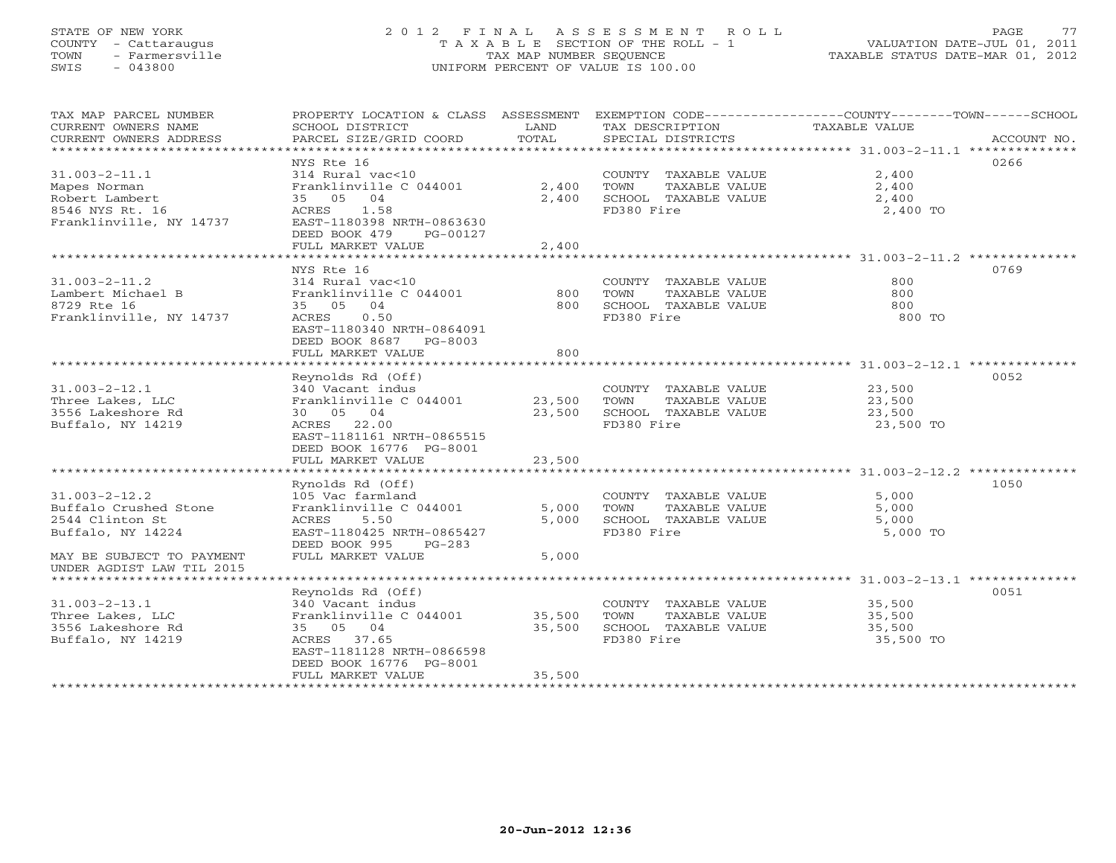## STATE OF NEW YORK 2 0 1 2 F I N A L A S S E S S M E N T R O L L PAGE 77 COUNTY - Cattaraugus T A X A B L E SECTION OF THE ROLL - 1 VALUATION DATE-JUL 01, 2011 TOWN - Farmersville TAX MAP NUMBER SEQUENCE TAXABLE STATUS DATE-MAR 01, 2012 SWIS - 043800 UNIFORM PERCENT OF VALUE IS 100.00UNIFORM PERCENT OF VALUE IS 100.00

| TAX MAP PARCEL NUMBER     | PROPERTY LOCATION & CLASS ASSESSMENT |        |                       | EXEMPTION CODE-----------------COUNTY-------TOWN------SCHOOL |
|---------------------------|--------------------------------------|--------|-----------------------|--------------------------------------------------------------|
| CURRENT OWNERS NAME       | SCHOOL DISTRICT                      | LAND   | TAX DESCRIPTION       | TAXABLE VALUE                                                |
| CURRENT OWNERS ADDRESS    | PARCEL SIZE/GRID COORD               | TOTAL  | SPECIAL DISTRICTS     | ACCOUNT NO.                                                  |
| **********************    |                                      |        |                       |                                                              |
|                           | NYS Rte 16                           |        |                       | 0266                                                         |
| $31.003 - 2 - 11.1$       | 314 Rural vac<10                     |        | COUNTY TAXABLE VALUE  | 2,400                                                        |
| Mapes Norman              | Franklinville C 044001               | 2,400  | TOWN<br>TAXABLE VALUE | 2,400                                                        |
| Robert Lambert            | 35 05 04                             | 2,400  | SCHOOL TAXABLE VALUE  | 2,400                                                        |
| 8546 NYS Rt. 16           | ACRES<br>1.58                        |        | FD380 Fire            | 2,400 TO                                                     |
| Franklinville, NY 14737   | EAST-1180398 NRTH-0863630            |        |                       |                                                              |
|                           | DEED BOOK 479<br>PG-00127            |        |                       |                                                              |
|                           | FULL MARKET VALUE                    | 2,400  |                       |                                                              |
|                           |                                      |        |                       |                                                              |
|                           | NYS Rte 16                           |        |                       | 0769                                                         |
| $31.003 - 2 - 11.2$       | 314 Rural vac<10                     |        | COUNTY TAXABLE VALUE  | 800                                                          |
| Lambert Michael B         | Franklinville C 044001               | 800    | TOWN<br>TAXABLE VALUE | 800                                                          |
| 8729 Rte 16               | 35 05 04                             | 800    | SCHOOL TAXABLE VALUE  | 800                                                          |
| Franklinville, NY 14737   | ACRES 0.50                           |        | FD380 Fire            | 800 TO                                                       |
|                           | EAST-1180340 NRTH-0864091            |        |                       |                                                              |
|                           | DEED BOOK 8687 PG-8003               |        |                       |                                                              |
|                           | FULL MARKET VALUE                    | 800    |                       |                                                              |
|                           |                                      |        |                       |                                                              |
|                           | Reynolds Rd (Off)                    |        |                       | 0052                                                         |
| $31.003 - 2 - 12.1$       | 340 Vacant indus                     |        | COUNTY TAXABLE VALUE  | 23,500                                                       |
| Three Lakes, LLC          | Franklinville C 044001               | 23,500 | TAXABLE VALUE<br>TOWN | 23,500                                                       |
| 3556 Lakeshore Rd         | 30 05 04                             | 23,500 | SCHOOL TAXABLE VALUE  | 23,500                                                       |
| Buffalo, NY 14219         | ACRES 22.00                          |        | FD380 Fire            | 23,500 TO                                                    |
|                           | EAST-1181161 NRTH-0865515            |        |                       |                                                              |
|                           | DEED BOOK 16776 PG-8001              |        |                       |                                                              |
|                           | FULL MARKET VALUE                    | 23,500 |                       |                                                              |
|                           |                                      |        |                       |                                                              |
|                           | Rynolds Rd (Off)                     |        |                       | 1050                                                         |
| $31.003 - 2 - 12.2$       | 105 Vac farmland                     |        | COUNTY TAXABLE VALUE  | 5,000                                                        |
| Buffalo Crushed Stone     | Franklinville C 044001               | 5,000  | TOWN<br>TAXABLE VALUE | 5,000                                                        |
| 2544 Clinton St           | ACRES<br>5.50                        | 5,000  | SCHOOL TAXABLE VALUE  | 5,000                                                        |
| Buffalo, NY 14224         | EAST-1180425 NRTH-0865427            |        | FD380 Fire            | 5,000 TO                                                     |
|                           | DEED BOOK 995<br>PG-283              |        |                       |                                                              |
| MAY BE SUBJECT TO PAYMENT | FULL MARKET VALUE                    | 5,000  |                       |                                                              |
| UNDER AGDIST LAW TIL 2015 |                                      |        |                       |                                                              |
|                           |                                      |        |                       |                                                              |
|                           | Reynolds Rd (Off)                    |        |                       | 0051                                                         |
| $31.003 - 2 - 13.1$       | 340 Vacant indus                     |        | COUNTY TAXABLE VALUE  | 35,500                                                       |
| Three Lakes, LLC          | Franklinville C 044001               | 35,500 | TAXABLE VALUE<br>TOWN | 35,500                                                       |
| 3556 Lakeshore Rd         | 35 05 04                             | 35,500 | SCHOOL TAXABLE VALUE  | 35,500                                                       |
| Buffalo, NY 14219         | ACRES 37.65                          |        | FD380 Fire            | 35,500 TO                                                    |
|                           | EAST-1181128 NRTH-0866598            |        |                       |                                                              |
|                           | DEED BOOK 16776 PG-8001              |        |                       |                                                              |
|                           | FULL MARKET VALUE                    | 35,500 |                       |                                                              |
|                           | ***********************              |        |                       |                                                              |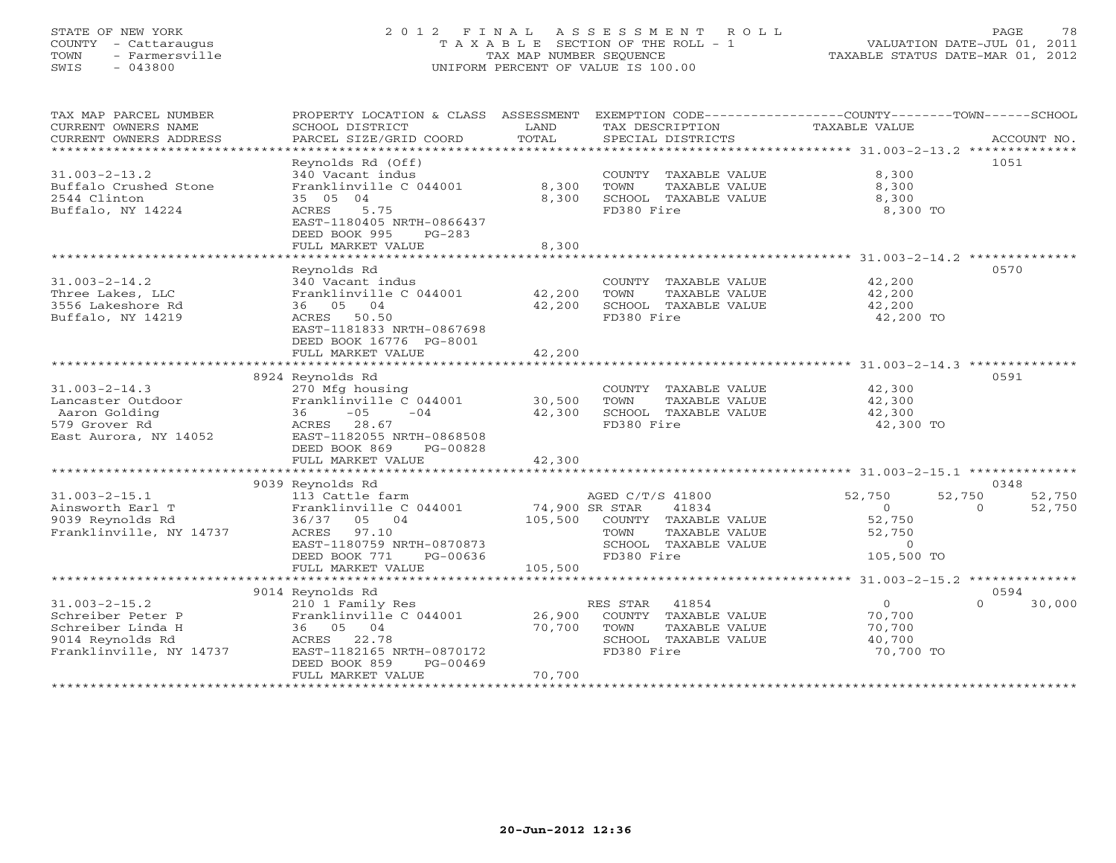## STATE OF NEW YORK 2 0 1 2 F I N A L A S S E S S M E N T R O L L PAGE 78 COUNTY - Cattaraugus T A X A B L E SECTION OF THE ROLL - 1 VALUATION DATE-JUL 01, 2011 TOWN - Farmersville TAX MAP NUMBER SEQUENCE TAXABLE STATUS DATE-MAR 01, 2012 SWIS - 043800 UNIFORM PERCENT OF VALUE IS 100.00

| TAX MAP PARCEL NUMBER<br>CURRENT OWNERS NAME<br>CURRENT OWNERS ADDRESS                                       | PROPERTY LOCATION & CLASS ASSESSMENT<br>SCHOOL DISTRICT<br>PARCEL SIZE/GRID COORD                                                                                           | LAND<br>TOTAL                        | TAX DESCRIPTION<br>SPECIAL DISTRICTS                                                                             | EXEMPTION CODE-----------------COUNTY-------TOWN------SCHOOL<br>TAXABLE VALUE   | ACCOUNT NO.                  |
|--------------------------------------------------------------------------------------------------------------|-----------------------------------------------------------------------------------------------------------------------------------------------------------------------------|--------------------------------------|------------------------------------------------------------------------------------------------------------------|---------------------------------------------------------------------------------|------------------------------|
| $31.003 - 2 - 13.2$<br>Buffalo Crushed Stone<br>2544 Clinton<br>Buffalo, NY 14224                            | Reynolds Rd (Off)<br>340 Vacant indus<br>Franklinville C 044001<br>35 05 04<br>ACRES<br>5.75<br>EAST-1180405 NRTH-0866437<br>DEED BOOK 995<br>$PG-283$<br>FULL MARKET VALUE | 8,300<br>8,300<br>8,300              | COUNTY TAXABLE VALUE<br>TOWN<br>TAXABLE VALUE<br>SCHOOL TAXABLE VALUE<br>FD380 Fire                              | 8,300<br>8,300<br>8,300<br>8,300 TO                                             | 1051                         |
|                                                                                                              | Revnolds Rd                                                                                                                                                                 |                                      |                                                                                                                  |                                                                                 | 0570                         |
| $31.003 - 2 - 14.2$<br>Three Lakes, LLC<br>3556 Lakeshore Rd<br>Buffalo, NY 14219                            | 340 Vacant indus<br>Franklinville C 044001<br>36 05 04<br>ACRES 50.50<br>EAST-1181833 NRTH-0867698<br>DEED BOOK 16776 PG-8001<br>FULL MARKET VALUE                          | 42,200<br>42,200<br>42,200           | COUNTY TAXABLE VALUE<br>TOWN<br>TAXABLE VALUE<br>SCHOOL TAXABLE VALUE<br>FD380 Fire                              | 42,200<br>42,200<br>42,200<br>42,200 TO                                         |                              |
|                                                                                                              |                                                                                                                                                                             | ***********                          |                                                                                                                  | ********************* 31.003-2-14.3 **********                                  |                              |
| $31.003 - 2 - 14.3$<br>Lancaster Outdoor<br>Aaron Golding<br>579 Grover Rd<br>East Aurora, NY 14052          | 8924 Reynolds Rd<br>270 Mfg housing<br>Franklinville C 044001<br>$-05$<br>36<br>$-04$<br>28.67<br>ACRES<br>EAST-1182055 NRTH-0868508<br>DEED BOOK 869<br>PG-00828           | 30,500<br>42,300                     | COUNTY TAXABLE VALUE<br>TOWN<br>TAXABLE VALUE<br>SCHOOL TAXABLE VALUE<br>FD380 Fire                              | 42,300<br>42,300<br>42,300<br>42,300 TO                                         | 0591                         |
|                                                                                                              | FULL MARKET VALUE                                                                                                                                                           | 42,300                               |                                                                                                                  |                                                                                 |                              |
|                                                                                                              | 9039 Reynolds Rd                                                                                                                                                            |                                      |                                                                                                                  |                                                                                 | 0348                         |
| $31.003 - 2 - 15.1$<br>Ainsworth Earl T<br>9039 Reynolds Rd<br>Franklinville, NY 14737                       | 113 Cattle farm<br>Franklinville C 044001<br>36/37<br>05 04<br>97.10<br>ACRES<br>EAST-1180759 NRTH-0870873<br>DEED BOOK 771<br>PG-00636<br>FULL MARKET VALUE                | 74,900 SR STAR<br>105,500<br>105,500 | AGED C/T/S 41800<br>41834<br>COUNTY TAXABLE VALUE<br>TAXABLE VALUE<br>TOWN<br>SCHOOL TAXABLE VALUE<br>FD380 Fire | 52,750<br>52,750<br>$\overline{0}$<br>52,750<br>52,750<br>$\circ$<br>105,500 TO | 52,750<br>$\Omega$<br>52,750 |
|                                                                                                              |                                                                                                                                                                             |                                      |                                                                                                                  |                                                                                 |                              |
| $31.003 - 2 - 15.2$<br>Schreiber Peter P<br>Schreiber Linda H<br>9014 Reynolds Rd<br>Franklinville, NY 14737 | 9014 Reynolds Rd<br>210 1 Family Res<br>Franklinville C 044001<br>36 05 04<br>ACRES 22.78<br>EAST-1182165 NRTH-0870172<br>DEED BOOK 859<br>PG-00469<br>FULL MARKET VALUE    | 26,900<br>70,700<br>70,700           | RES STAR<br>41854<br>COUNTY TAXABLE VALUE<br>TOWN<br>TAXABLE VALUE<br>SCHOOL TAXABLE VALUE<br>FD380 Fire         | $\circ$<br>70,700<br>70,700<br>40,700<br>70,700 TO                              | 0594<br>30,000<br>$\Omega$   |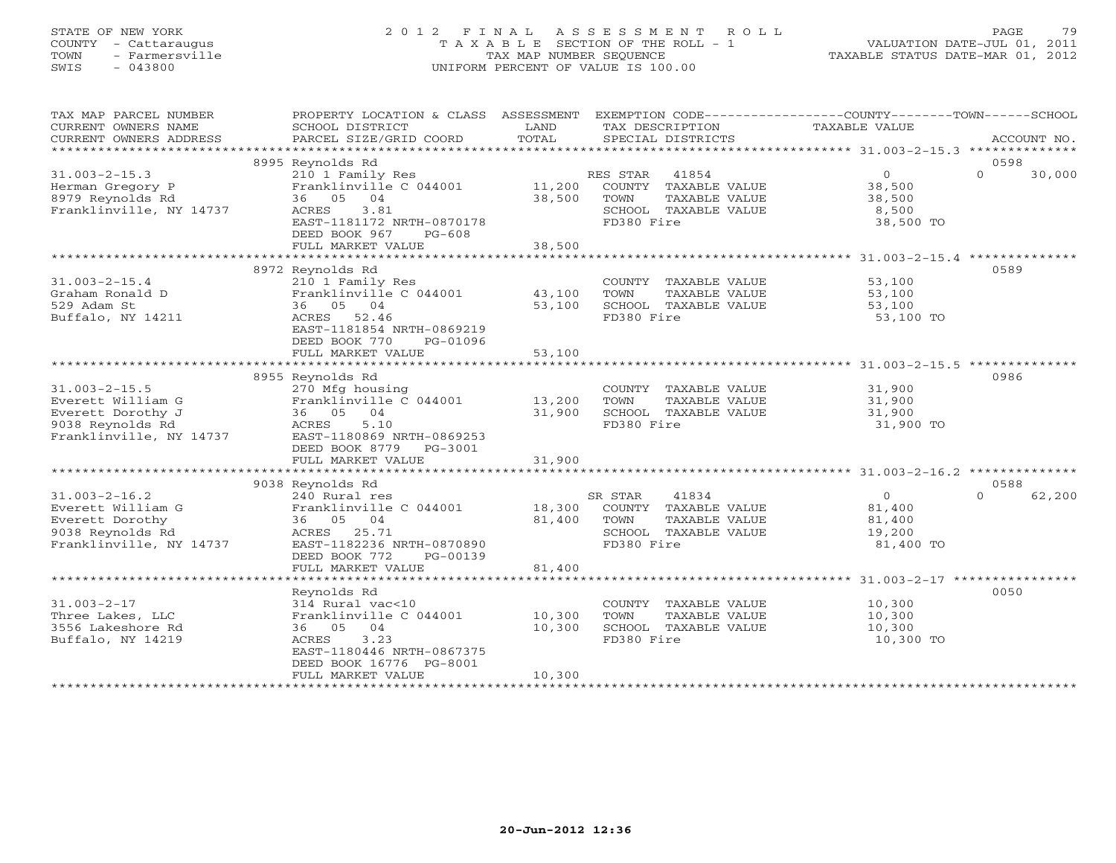# STATE OF NEW YORK 2 0 1 2 F I N A L A S S E S S M E N T R O L L PAGE 79 COUNTY - Cattaraugus T A X A B L E SECTION OF THE ROLL - 1 VALUATION DATE-JUL 01, 2011 TOWN - Farmersville TAX MAP NUMBER SEQUENCE TAXABLE STATUS DATE-MAR 01, 2012 SWIS - 043800 UNIFORM PERCENT OF VALUE IS 100.00

| TAX MAP PARCEL NUMBER<br>CURRENT OWNERS NAME | PROPERTY LOCATION & CLASS ASSESSMENT<br>SCHOOL DISTRICT | LAND   | TAX DESCRIPTION                               | EXEMPTION CODE-----------------COUNTY-------TOWN------SCHOOL<br><b>TAXABLE VALUE</b> |                            |
|----------------------------------------------|---------------------------------------------------------|--------|-----------------------------------------------|--------------------------------------------------------------------------------------|----------------------------|
| CURRENT OWNERS ADDRESS                       | PARCEL SIZE/GRID COORD                                  | TOTAL  | SPECIAL DISTRICTS                             |                                                                                      | ACCOUNT NO.                |
|                                              |                                                         |        |                                               |                                                                                      |                            |
|                                              | 8995 Reynolds Rd                                        |        |                                               |                                                                                      | 0598                       |
| $31.003 - 2 - 15.3$                          | 210 1 Family Res                                        |        | 41854<br>RES STAR                             | $\Omega$                                                                             | $\Omega$<br>30,000         |
| Herman Gregory P                             | Franklinville C 044001                                  | 11,200 | COUNTY TAXABLE VALUE                          | 38,500                                                                               |                            |
| 8979 Reynolds Rd                             | 36 05 04                                                | 38,500 | TOWN<br>TAXABLE VALUE                         | 38,500                                                                               |                            |
| Franklinville, NY 14737                      | ACRES<br>3.81                                           |        | SCHOOL TAXABLE VALUE                          | 8,500                                                                                |                            |
|                                              | EAST-1181172 NRTH-0870178                               |        | FD380 Fire                                    | 38,500 TO                                                                            |                            |
|                                              | DEED BOOK 967<br>$PG-608$                               |        |                                               |                                                                                      |                            |
|                                              | FULL MARKET VALUE                                       | 38,500 |                                               |                                                                                      |                            |
|                                              |                                                         |        |                                               |                                                                                      | 0589                       |
| $31.003 - 2 - 15.4$                          | 8972 Reynolds Rd                                        |        |                                               |                                                                                      |                            |
| Graham Ronald D                              | 210 1 Family Res<br>Franklinville C 044001              | 43,100 | COUNTY TAXABLE VALUE<br>TOWN<br>TAXABLE VALUE | 53,100<br>53,100                                                                     |                            |
| 529 Adam St                                  | 36 05 04                                                | 53,100 | SCHOOL TAXABLE VALUE                          | 53,100                                                                               |                            |
| Buffalo, NY 14211                            | ACRES 52.46                                             |        | FD380 Fire                                    | 53,100 TO                                                                            |                            |
|                                              | EAST-1181854 NRTH-0869219                               |        |                                               |                                                                                      |                            |
|                                              | DEED BOOK 770<br>PG-01096                               |        |                                               |                                                                                      |                            |
|                                              | FULL MARKET VALUE                                       | 53,100 |                                               |                                                                                      |                            |
|                                              |                                                         |        |                                               |                                                                                      |                            |
|                                              | 8955 Reynolds Rd                                        |        |                                               |                                                                                      | 0986                       |
| $31.003 - 2 - 15.5$                          | 270 Mfg housing                                         |        | COUNTY TAXABLE VALUE                          | 31,900                                                                               |                            |
| Everett William G                            | Franklinville C 044001                                  | 13,200 | TAXABLE VALUE<br>TOWN                         | 31,900                                                                               |                            |
| Everett Dorothy J                            | 36 05 04                                                | 31,900 | SCHOOL TAXABLE VALUE                          | 31,900                                                                               |                            |
| 9038 Reynolds Rd                             | 5.10<br>ACRES                                           |        | FD380 Fire                                    | 31,900 TO                                                                            |                            |
| Franklinville, NY 14737                      | EAST-1180869 NRTH-0869253                               |        |                                               |                                                                                      |                            |
|                                              | DEED BOOK 8779 PG-3001                                  |        |                                               |                                                                                      |                            |
|                                              | FULL MARKET VALUE                                       | 31,900 |                                               |                                                                                      |                            |
|                                              |                                                         |        |                                               |                                                                                      |                            |
| $31.003 - 2 - 16.2$                          | 9038 Reynolds Rd<br>240 Rural res                       |        | 41834<br>SR STAR                              | $\Omega$                                                                             | 0588<br>$\Omega$<br>62,200 |
| Everett William G                            | Franklinville C 044001                                  | 18,300 | COUNTY TAXABLE VALUE                          | 81,400                                                                               |                            |
| Everett Dorothy                              | 36 05 04                                                | 81,400 | TOWN<br>TAXABLE VALUE                         | 81,400                                                                               |                            |
| 9038 Reynolds Rd                             | ACRES 25.71                                             |        | SCHOOL TAXABLE VALUE                          | 19,200                                                                               |                            |
| Franklinville, NY 14737                      | EAST-1182236 NRTH-0870890                               |        | FD380 Fire                                    | 81,400 TO                                                                            |                            |
|                                              | DEED BOOK 772<br>PG-00139                               |        |                                               |                                                                                      |                            |
|                                              | FULL MARKET VALUE                                       | 81,400 |                                               |                                                                                      |                            |
|                                              |                                                         |        |                                               |                                                                                      |                            |
|                                              | Reynolds Rd                                             |        |                                               |                                                                                      | 0050                       |
| $31.003 - 2 - 17$                            | 314 Rural vac<10                                        |        | COUNTY TAXABLE VALUE                          | 10,300                                                                               |                            |
| Three Lakes, LLC                             | Franklinville C 044001                                  | 10,300 | TOWN<br>TAXABLE VALUE                         | 10,300                                                                               |                            |
| 3556 Lakeshore Rd                            | 36 05 04                                                | 10,300 | SCHOOL TAXABLE VALUE                          | 10,300                                                                               |                            |
| Buffalo, NY 14219                            | 3.23<br>ACRES                                           |        | FD380 Fire                                    | 10,300 TO                                                                            |                            |
|                                              | EAST-1180446 NRTH-0867375                               |        |                                               |                                                                                      |                            |
|                                              | DEED BOOK 16776 PG-8001                                 |        |                                               |                                                                                      |                            |
|                                              | FULL MARKET VALUE                                       | 10,300 |                                               |                                                                                      |                            |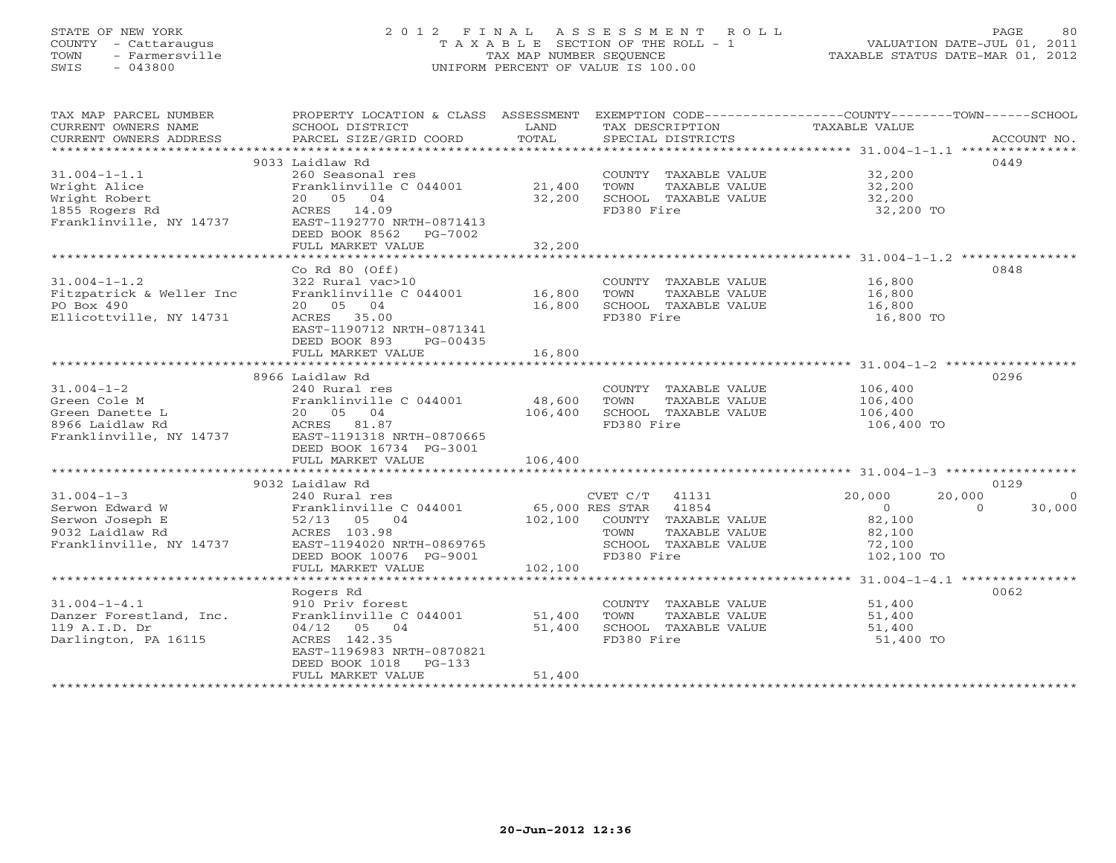## STATE OF NEW YORK 2 0 1 2 F I N A L A S S E S S M E N T R O L L PAGE 80 COUNTY - Cattaraugus T A X A B L E SECTION OF THE ROLL - 1 VALUATION DATE-JUL 01, 2011 TOWN - Farmersville TAX MAP NUMBER SEQUENCE TAXABLE STATUS DATE-MAR 01, 2012 SWIS - 043800 UNIFORM PERCENT OF VALUE IS 100.00UNIFORM PERCENT OF VALUE IS 100.00

| TAX MAP PARCEL NUMBER<br>CURRENT OWNERS NAME<br>CURRENT OWNERS ADDRESS                                                                                  | SCHOOL DISTRICT<br>PARCEL SIZE/GRID COORD                                                                                        | LAND<br>TOTAL | TAX DESCRIPTION<br>SPECIAL DISTRICTS | PROPERTY LOCATION & CLASS ASSESSMENT EXEMPTION CODE---------------COUNTY-------TOWN------SCHOOL<br>TAXABLE VALUE<br>ACCOUNT NO. |
|---------------------------------------------------------------------------------------------------------------------------------------------------------|----------------------------------------------------------------------------------------------------------------------------------|---------------|--------------------------------------|---------------------------------------------------------------------------------------------------------------------------------|
|                                                                                                                                                         |                                                                                                                                  |               |                                      |                                                                                                                                 |
|                                                                                                                                                         | 9033 Laidlaw Rd                                                                                                                  |               |                                      | 0449                                                                                                                            |
| $31.004 - 1 - 1.1$                                                                                                                                      | 260 Seasonal res                                                                                                                 |               | COUNTY TAXABLE VALUE 32,200          |                                                                                                                                 |
| Wright Alice                                                                                                                                            | Franklinville C 044001 21,400                                                                                                    |               | TOWN<br>TAXABLE VALUE                | 32,200                                                                                                                          |
| Wright Robert                                                                                                                                           | 20  05  04                                                                                                                       | 32,200        | SCHOOL TAXABLE VALUE                 | 32,200                                                                                                                          |
| 1855 Rogers Rd                                                                                                                                          | ACRES 14.09                                                                                                                      |               | FD380 Fire                           | 32,200 TO                                                                                                                       |
| Franklinville, NY 14737                                                                                                                                 | EAST-1192770 NRTH-0871413                                                                                                        |               |                                      |                                                                                                                                 |
|                                                                                                                                                         | DEED BOOK 8562<br>PG-7002                                                                                                        |               |                                      |                                                                                                                                 |
|                                                                                                                                                         | FULL MARKET VALUE                                                                                                                | 32,200        |                                      |                                                                                                                                 |
|                                                                                                                                                         |                                                                                                                                  |               |                                      |                                                                                                                                 |
|                                                                                                                                                         | Co Rd $80$ (Off)                                                                                                                 |               |                                      | 0848                                                                                                                            |
| $31.004 - 1 - 1.2$                                                                                                                                      | 322 Rural vac>10                                                                                                                 |               | COUNTY TAXABLE VALUE 16,800          |                                                                                                                                 |
| Fitzpatrick & Weller Inc                                                                                                                                | Franklinville C 044001 16,800                                                                                                    |               | TOWN<br>TAXABLE VALUE                |                                                                                                                                 |
| PO Box 490                                                                                                                                              | 20 05 04                                                                                                                         | 16,800        | SCHOOL TAXABLE VALUE                 | 16,800<br>16,800                                                                                                                |
| Ellicottville, NY 14731                                                                                                                                 | ACRES 35.00                                                                                                                      |               | FD380 Fire                           | 16,800 TO                                                                                                                       |
|                                                                                                                                                         | EAST-1190712 NRTH-0871341                                                                                                        |               |                                      |                                                                                                                                 |
|                                                                                                                                                         | DEED BOOK 893<br>PG-00435                                                                                                        |               |                                      |                                                                                                                                 |
|                                                                                                                                                         | FULL MARKET VALUE                                                                                                                | 16,800        |                                      |                                                                                                                                 |
|                                                                                                                                                         |                                                                                                                                  |               |                                      |                                                                                                                                 |
|                                                                                                                                                         | 8966 Laidlaw Rd                                                                                                                  |               |                                      | 0296                                                                                                                            |
| $31.004 - 1 - 2$                                                                                                                                        |                                                                                                                                  |               |                                      | 106,400                                                                                                                         |
|                                                                                                                                                         | 240 Rural res                                                                                                                    | 48,600        | COUNTY TAXABLE VALUE                 |                                                                                                                                 |
|                                                                                                                                                         | Franklinville C 044001                                                                                                           |               | TOWN<br>TAXABLE VALUE                | 106,400<br>106,400                                                                                                              |
| Green Cole M<br>Green Danette L<br>8966 Laidlaw Rd<br>Franklinville C 044001<br>8966 Laidlaw Rd<br>Franklinville, NY 14737<br>EAST-1191318 NRTH-0870665 |                                                                                                                                  | 106,400       | SCHOOL TAXABLE VALUE                 |                                                                                                                                 |
|                                                                                                                                                         |                                                                                                                                  |               | FD380 Fire                           | 106,400 TO                                                                                                                      |
|                                                                                                                                                         |                                                                                                                                  |               |                                      |                                                                                                                                 |
|                                                                                                                                                         | DEED BOOK 16734 PG-3001                                                                                                          |               |                                      |                                                                                                                                 |
|                                                                                                                                                         | FULL MARKET VALUE                                                                                                                | 106,400       |                                      |                                                                                                                                 |
|                                                                                                                                                         |                                                                                                                                  |               |                                      |                                                                                                                                 |
|                                                                                                                                                         | 9032 Laidlaw Rd                                                                                                                  |               |                                      | 0129                                                                                                                            |
| $31.004 - 1 - 3$                                                                                                                                        | 240 Rural res                                                                                                                    |               | CVET C/T 41131                       | 20,000<br>20,000<br>$\overline{0}$                                                                                              |
| Serwon Edward W                                                                                                                                         |                                                                                                                                  |               |                                      | $\overline{0}$<br>$\Omega$<br>30,000                                                                                            |
| Serwon Joseph E                                                                                                                                         |                                                                                                                                  |               | 102,100 COUNTY TAXABLE VALUE         | 82,100                                                                                                                          |
| 9032 Laidlaw Rd                                                                                                                                         | 240 Rural res<br>Franklinville C 044001 65,000 RES STAR 41854<br>52/13 05 04 102,100 COUNTY TAXABLE<br>ACRES 103.98 TOWN TAXABLE |               | TAXABLE VALUE                        | 82,100                                                                                                                          |
|                                                                                                                                                         | Franklinville, NY 14737 EAST-1194020 NRTH-0869765                                                                                |               | SCHOOL TAXABLE VALUE                 | 72,100                                                                                                                          |
|                                                                                                                                                         | DEED BOOK 10076 PG-9001                                                                                                          |               | FD380 Fire                           | 102,100 TO                                                                                                                      |
|                                                                                                                                                         | FULL MARKET VALUE                                                                                                                | 102,100       |                                      |                                                                                                                                 |
|                                                                                                                                                         |                                                                                                                                  |               |                                      |                                                                                                                                 |
|                                                                                                                                                         | Rogers Rd                                                                                                                        |               |                                      | 0062                                                                                                                            |
| $31.004 - 1 - 4.1$                                                                                                                                      | 910 Priv forest                                                                                                                  |               | COUNTY TAXABLE VALUE                 | 51,400                                                                                                                          |
|                                                                                                                                                         | Danzer Forestland, Inc. Franklinville C 044001 51,400                                                                            |               | TOWN<br>TAXABLE VALUE                | 51,400                                                                                                                          |
| 119 A.I.D. Dr                                                                                                                                           | $04/12$ 05 04                                                                                                                    | 51,400        | SCHOOL TAXABLE VALUE                 | 51,400                                                                                                                          |
| Darlington, PA 16115                                                                                                                                    | ACRES 142.35                                                                                                                     |               | FD380 Fire                           | 51,400 TO                                                                                                                       |
|                                                                                                                                                         | EAST-1196983 NRTH-0870821                                                                                                        |               |                                      |                                                                                                                                 |
|                                                                                                                                                         | DEED BOOK 1018 PG-133                                                                                                            |               |                                      |                                                                                                                                 |
|                                                                                                                                                         | FULL MARKET VALUE                                                                                                                | 51,400        |                                      |                                                                                                                                 |
|                                                                                                                                                         |                                                                                                                                  |               |                                      |                                                                                                                                 |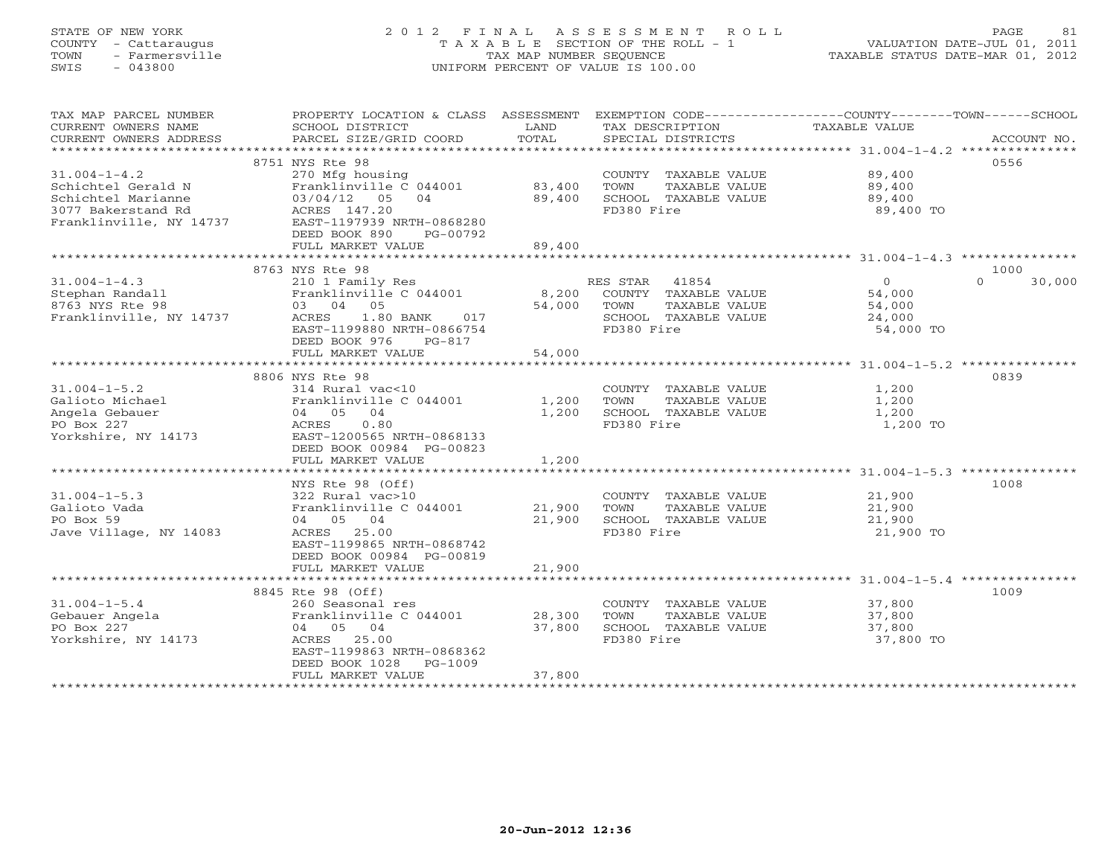## STATE OF NEW YORK 2 0 1 2 F I N A L A S S E S S M E N T R O L L PAGE 81 COUNTY - Cattaraugus T A X A B L E SECTION OF THE ROLL - 1 VALUATION DATE-JUL 01, 2011 TOWN - Farmersville TAX MAP NUMBER SEQUENCE TAXABLE STATUS DATE-MAR 01, 2012 SWIS - 043800 UNIFORM PERCENT OF VALUE IS 100.00UNIFORM PERCENT OF VALUE IS 100.00

| TAX MAP PARCEL NUMBER<br>CURRENT OWNERS NAME  | PROPERTY LOCATION & CLASS ASSESSMENT EXEMPTION CODE---------------COUNTY-------TOWN------SCHOOL<br>SCHOOL DISTRICT | LAND             | TAX DESCRIPTION                               | TAXABLE VALUE    |                    |
|-----------------------------------------------|--------------------------------------------------------------------------------------------------------------------|------------------|-----------------------------------------------|------------------|--------------------|
| CURRENT OWNERS ADDRESS                        | PARCEL SIZE/GRID COORD                                                                                             | TOTAL            | SPECIAL DISTRICTS                             |                  | ACCOUNT NO.        |
|                                               |                                                                                                                    |                  |                                               |                  |                    |
|                                               | 8751 NYS Rte 98                                                                                                    |                  |                                               |                  | 0556               |
| $31.004 - 1 - 4.2$                            | 270 Mfg housing                                                                                                    |                  | COUNTY TAXABLE VALUE 89,400                   |                  |                    |
| Schichtel Gerald N                            | Franklinville C 044001                                                                                             | 83,400           | TOWN<br>TAXABLE VALUE                         | 89,400           |                    |
| Schichtel Marianne                            | 03/04/12 05 04                                                                                                     | 89,400           | SCHOOL TAXABLE VALUE                          | 89,400           |                    |
| 3077 Bakerstand Rd<br>Franklinville, NY 14737 | ACRES 14/.20<br>FAST-1197939 NRTH-0868280                                                                          |                  | FD380 Fire                                    | 89,400 TO        |                    |
|                                               | DEED BOOK 890<br>PG-00792                                                                                          |                  |                                               |                  |                    |
|                                               | FULL MARKET VALUE                                                                                                  | 89,400           |                                               |                  |                    |
|                                               |                                                                                                                    |                  |                                               |                  |                    |
|                                               | 8763 NYS Rte 98                                                                                                    |                  |                                               |                  | 1000               |
| $31.004 - 1 - 4.3$                            | 210 1 Family Res                                                                                                   |                  | RES STAR 41854                                | $\overline{0}$   | $\Omega$<br>30,000 |
| Stephan Randall                               | Franklinville C 044001                                                                                             |                  | 8,200 COUNTY TAXABLE VALUE                    | 54,000           |                    |
| 8763 NYS Rte 98                               | 03 04 05                                                                                                           | 54,000           | TAXABLE VALUE<br>TOWN                         | 54,000           |                    |
| Franklinville, NY 14737                       | 1.80 BANK 017<br>ACRES                                                                                             |                  | SCHOOL TAXABLE VALUE                          | 24,000           |                    |
|                                               | EAST-1199880 NRTH-0866754                                                                                          |                  | FD380 Fire                                    | 54,000 TO        |                    |
|                                               | DEED BOOK 976<br>PG-817                                                                                            |                  |                                               |                  |                    |
|                                               | FULL MARKET VALUE                                                                                                  | 54,000           |                                               |                  |                    |
|                                               | 8806 NYS Rte 98                                                                                                    |                  |                                               |                  | 0839               |
| $31.004 - 1 - 5.2$                            | 314 Rural vac<10                                                                                                   |                  | COUNTY TAXABLE VALUE                          | 1,200            |                    |
| Galioto Michael                               | Franklinville C 044001                                                                                             | 1,200            | TOWN<br>TAXABLE VALUE                         | 1,200            |                    |
| Angela Gebauer                                | 04 05 04                                                                                                           | 1,200            | SCHOOL TAXABLE VALUE                          | 1,200            |                    |
| PO Box 227                                    | ACRES<br>0.80                                                                                                      |                  | FD380 Fire                                    | 1,200 TO         |                    |
| Yorkshire, NY 14173                           | EAST-1200565 NRTH-0868133                                                                                          |                  |                                               |                  |                    |
|                                               | DEED BOOK 00984 PG-00823                                                                                           |                  |                                               |                  |                    |
|                                               | FULL MARKET VALUE                                                                                                  | 1,200            |                                               |                  |                    |
|                                               |                                                                                                                    |                  |                                               |                  |                    |
|                                               | NYS Rte 98 (Off)                                                                                                   |                  |                                               |                  | 1008               |
| $31.004 - 1 - 5.3$                            | 322 Rural vac>10                                                                                                   |                  | COUNTY TAXABLE VALUE                          | 21,900           |                    |
| Galioto Vada<br>PO Box 59                     | Franklinville C 044001<br>04 05 04                                                                                 | 21,900<br>21,900 | TOWN<br>TAXABLE VALUE<br>SCHOOL TAXABLE VALUE | 21,900<br>21,900 |                    |
| Jave Village, NY 14083                        | ACRES 25.00                                                                                                        |                  | FD380 Fire                                    | 21,900 TO        |                    |
|                                               | EAST-1199865 NRTH-0868742                                                                                          |                  |                                               |                  |                    |
|                                               | DEED BOOK 00984 PG-00819                                                                                           |                  |                                               |                  |                    |
|                                               | FULL MARKET VALUE                                                                                                  | 21,900           |                                               |                  |                    |
|                                               |                                                                                                                    |                  |                                               |                  |                    |
|                                               | 8845 Rte 98 (Off)                                                                                                  |                  |                                               |                  | 1009               |
| $31.004 - 1 - 5.4$                            | 260 Seasonal res                                                                                                   |                  | COUNTY TAXABLE VALUE 37,800                   |                  |                    |
| Gebauer Angela                                | Franklinville C 044001                                                                                             | 28,300           | TOWN<br>TAXABLE VALUE                         | 37,800           |                    |
| PO Box 227                                    | 04 05 04                                                                                                           | 37,800           | SCHOOL TAXABLE VALUE                          | 37,800           |                    |
| Yorkshire, NY 14173                           | ACRES 25.00<br>EAST-1199863 NRTH-0868362                                                                           |                  | FD380 Fire                                    | 37,800 TO        |                    |
|                                               | DEED BOOK 1028<br>PG-1009                                                                                          |                  |                                               |                  |                    |
|                                               | FULL MARKET VALUE                                                                                                  | 37,800           |                                               |                  |                    |
|                                               | **********************                                                                                             | ************     |                                               |                  |                    |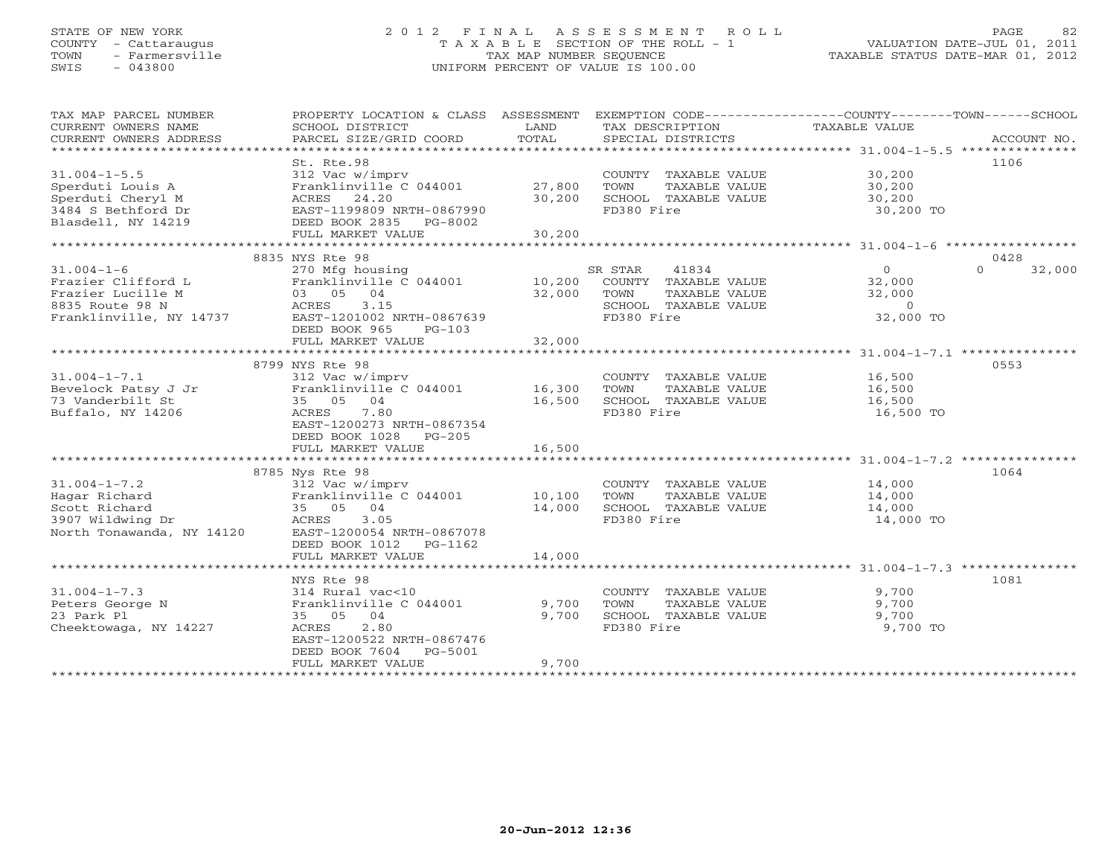## STATE OF NEW YORK 2 0 1 2 F I N A L A S S E S S M E N T R O L L PAGE 82 COUNTY - Cattaraugus T A X A B L E SECTION OF THE ROLL - 1 VALUATION DATE-JUL 01, 2011 TOWN - Farmersville TAX MAP NUMBER SEQUENCE TAXABLE STATUS DATE-MAR 01, 2012 SWIS - 043800 UNIFORM PERCENT OF VALUE IS 100.00UNIFORM PERCENT OF VALUE IS 100.00

| TAX MAP PARCEL NUMBER     | PROPERTY LOCATION & CLASS ASSESSMENT |                             |                       | EXEMPTION CODE-----------------COUNTY-------TOWN------SCHOOL |             |
|---------------------------|--------------------------------------|-----------------------------|-----------------------|--------------------------------------------------------------|-------------|
| CURRENT OWNERS NAME       | SCHOOL DISTRICT                      | LAND                        | TAX DESCRIPTION       | TAXABLE VALUE                                                |             |
| CURRENT OWNERS ADDRESS    | PARCEL SIZE/GRID COORD               | TOTAL                       | SPECIAL DISTRICTS     |                                                              | ACCOUNT NO. |
| ***********************   |                                      |                             |                       |                                                              |             |
|                           | St. Rte.98                           |                             |                       |                                                              | 1106        |
| $31.004 - 1 - 5.5$        | 312 Vac w/imprv                      |                             | COUNTY TAXABLE VALUE  | 30,200                                                       |             |
| Sperduti Louis A          | Franklinville C 044001               | 27,800                      | TOWN<br>TAXABLE VALUE | 30,200                                                       |             |
| Sperduti Cheryl M         | ACRES 24.20                          | 30,200                      | SCHOOL TAXABLE VALUE  | 30,200                                                       |             |
| 3484 S Bethford Dr        | EAST-1199809 NRTH-0867990            |                             | FD380 Fire            | 30,200 TO                                                    |             |
| Blasdell, NY 14219        | DEED BOOK 2835 PG-8002               |                             |                       |                                                              |             |
|                           | FULL MARKET VALUE                    | 30,200                      |                       |                                                              |             |
|                           | ************************             |                             |                       |                                                              |             |
|                           | 8835 NYS Rte 98                      |                             |                       |                                                              | 0428        |
| $31.004 - 1 - 6$          | 270 Mfg housing                      |                             | SR STAR<br>41834      | $\overline{0}$<br>$\Omega$                                   | 32,000      |
| Frazier Clifford L        | Franklinville C 044001               | 10,200                      | COUNTY TAXABLE VALUE  | 32,000                                                       |             |
| Frazier Lucille M         | 03 05 04                             | 32,000                      | TOWN<br>TAXABLE VALUE | 32,000                                                       |             |
| 8835 Route 98 N           | 3.15<br>ACRES                        |                             | SCHOOL TAXABLE VALUE  | $\overline{0}$                                               |             |
| Franklinville, NY 14737   | EAST-1201002 NRTH-0867639            |                             | FD380 Fire            | 32,000 TO                                                    |             |
|                           | DEED BOOK 965<br>$PG-103$            |                             |                       |                                                              |             |
|                           | FULL MARKET VALUE                    | 32,000                      |                       |                                                              |             |
|                           |                                      |                             |                       |                                                              |             |
|                           | 8799 NYS Rte 98                      |                             |                       |                                                              | 0553        |
| $31.004 - 1 - 7.1$        | 312 Vac w/imprv                      |                             | COUNTY TAXABLE VALUE  | 16,500                                                       |             |
| Bevelock Patsy J Jr       | Franklinville C 044001               | 16,300                      | TAXABLE VALUE<br>TOWN | 16,500                                                       |             |
| 73 Vanderbilt St          | 35 05 04                             | 16,500                      | SCHOOL TAXABLE VALUE  | 16,500                                                       |             |
| Buffalo, NY 14206         | ACRES<br>7.80                        |                             | FD380 Fire            | 16,500 TO                                                    |             |
|                           | EAST-1200273 NRTH-0867354            |                             |                       |                                                              |             |
|                           | DEED BOOK 1028 PG-205                |                             |                       |                                                              |             |
|                           | FULL MARKET VALUE                    | 16,500                      |                       |                                                              |             |
|                           |                                      | ***************             |                       |                                                              |             |
|                           | 8785 Nys Rte 98                      |                             |                       |                                                              | 1064        |
| $31.004 - 1 - 7.2$        | 312 Vac w/imprv                      |                             | COUNTY TAXABLE VALUE  | 14,000                                                       |             |
| Hagar Richard             | Franklinville C 044001               | 10,100                      | TOWN<br>TAXABLE VALUE | 14,000                                                       |             |
| Scott Richard             | 35 05 04                             | 14,000                      | SCHOOL TAXABLE VALUE  | 14,000                                                       |             |
| 3907 Wildwing Dr          | ACRES<br>3.05                        |                             | FD380 Fire            | 14,000 TO                                                    |             |
| North Tonawanda, NY 14120 | EAST-1200054 NRTH-0867078            |                             |                       |                                                              |             |
|                           | DEED BOOK 1012<br>PG-1162            |                             |                       |                                                              |             |
|                           | FULL MARKET VALUE                    | 14,000                      |                       |                                                              |             |
|                           | *******************                  | * * * * * * * * * * * * * * |                       |                                                              |             |
|                           | NYS Rte 98                           |                             |                       |                                                              | 1081        |
| $31.004 - 1 - 7.3$        | 314 Rural vac<10                     |                             | COUNTY TAXABLE VALUE  | 9,700                                                        |             |
| Peters George N           | Franklinville C 044001               | 9,700                       | TOWN<br>TAXABLE VALUE | 9,700                                                        |             |
| 23 Park Pl                | 35 05 04                             | 9,700                       | SCHOOL TAXABLE VALUE  | 9,700                                                        |             |
| Cheektowaga, NY 14227     | 2.80<br>ACRES                        |                             | FD380 Fire            | 9,700 TO                                                     |             |
|                           | EAST-1200522 NRTH-0867476            |                             |                       |                                                              |             |
|                           | DEED BOOK 7604<br>PG-5001            |                             |                       |                                                              |             |
|                           | FULL MARKET VALUE                    | 9,700                       |                       |                                                              |             |
|                           |                                      |                             |                       |                                                              |             |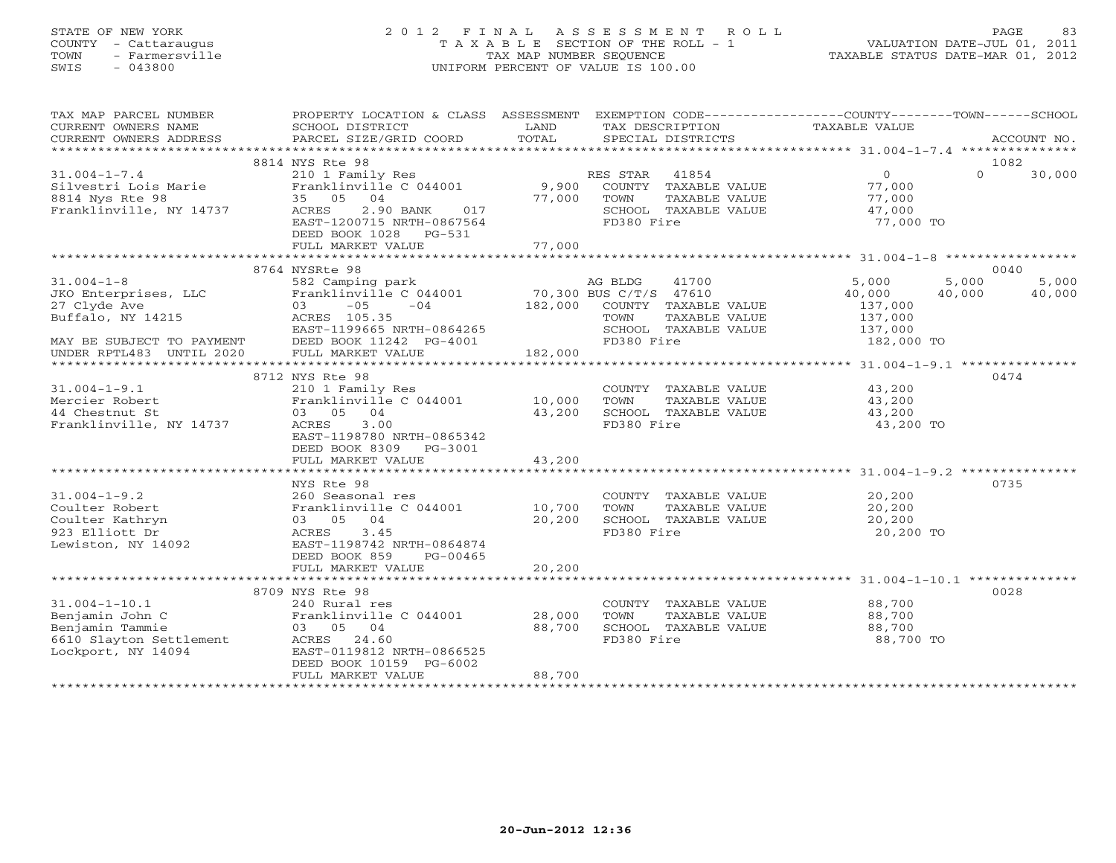## STATE OF NEW YORK 2 0 1 2 F I N A L A S S E S S M E N T R O L L PAGE 83 COUNTY - Cattaraugus T A X A B L E SECTION OF THE ROLL - 1 VALUATION DATE-JUL 01, 2011 TOWN - Farmersville TAX MAP NUMBER SEQUENCE TAXABLE STATUS DATE-MAR 01, 2012 SWIS - 043800 UNIFORM PERCENT OF VALUE IS 100.00UNIFORM PERCENT OF VALUE IS 100.00

| TOTAL<br>SPECIAL DISTRICTS<br>CURRENT OWNERS ADDRESS<br>PARCEL SIZE/GRID COORD<br>ACCOUNT NO.<br>8814 NYS Rte 98<br>1082<br>210 1 Family Res<br>$31.004 - 1 - 7.4$<br>RES STAR 41854<br>$\overline{0}$<br>$\Omega$<br>30,000<br>Franklinville C 044001 9,900 COUNTY TAXABLE VALUE<br>Silvestri Lois Marie<br>77,000<br>35 05 04<br>8814 Nys Rte 98<br>77,000<br>TOWN<br>TAXABLE VALUE<br>77,000<br>Franklinville, NY 14737 ACRES<br>2.90 BANK<br>017<br>SCHOOL TAXABLE VALUE<br>47,000<br>EAST-1200715 NRTH-0867564<br>FD380 Fire<br>77,000 TO<br>DEED BOOK 1028 PG-531<br>77,000<br>FULL MARKET VALUE<br>8764 NYSRte 98<br>0040<br>582 Camping park<br>$31.004 - 1 - 8$<br>5,000<br>5,000<br>AG BLDG<br>41700<br>5,000<br>70,300 BUS C/T/S 47610<br>182,000 COUNTY TAXABLE VALUE<br>JKO Enterprises, LLC<br>Franklinville C 044001<br>03 -05 -04<br>40,000<br>40,000<br>40,000<br>27 Clyde Ave<br>137,000<br>Buffalo, NY 14215<br>ACRES 105.35<br>TOWN<br>TAXABLE VALUE<br>137,000<br>137,000<br>EAST-1199665 NRTH-0864265<br>SCHOOL TAXABLE VALUE<br>MAY BE SUBJECT TO PAYMENT<br>UNDER RPTL483 UNTIL 2020<br>182,000<br>FD380 Fire<br>DEED BOOK 11242 PG-4001<br>182,000 TO<br>FULL MARKET VALUE<br>8712 NYS Rte 98<br>0474<br>43,200<br>$31.004 - 1 - 9.1$<br>210 1 Family Res<br>Franklinville C 044001 10,000<br>COUNTY TAXABLE VALUE<br>TOWN<br>TAXABLE VALUE<br>43,200<br>Mercier Robert<br>03 05 04<br>43,200<br>SCHOOL TAXABLE VALUE<br>43,200<br>44 Chestnut St<br>Franklinville, NY 14737<br>3.00<br>FD380 Fire<br>ACRES<br>43,200 TO<br>EAST-1198780 NRTH-0865342<br>DEED BOOK 8309 PG-3001<br>43,200<br>FULL MARKET VALUE<br>0735<br>NYS Rte 98<br>$31.004 - 1 - 9.2$<br>COUNTY TAXABLE VALUE<br>20,200<br>260 Seasonal res<br>Franklinville C 044001 10,700<br>Coulter Robert<br>TOWN<br>TAXABLE VALUE<br>20,200<br>03 05 04<br>20,200<br>SCHOOL TAXABLE VALUE<br>Coulter Kathryn<br>20,200<br>3.45<br>923 Elliott Dr<br>FD380 Fire<br>20,200 TO<br>ACRES<br>Lewiston, NY 14092<br>EAST-1198742 NRTH-0864874<br>DEED BOOK 859<br>PG-00465<br>20,200<br>FULL MARKET VALUE<br>8709 NYS Rte 98<br>0028<br>$31.004 - 1 - 10.1$<br>240 Rural res<br>88,700<br>COUNTY TAXABLE VALUE<br>Franklinville C 044001 28,000<br>Benjamin John C<br>TOWN<br>TAXABLE VALUE<br>88,700<br>03 05 04<br>Benjamin Tammie<br>88,700<br>SCHOOL TAXABLE VALUE<br>88,700<br>6610 Slayton Settlement<br>FD380 Fire<br>88,700 TO<br>ACRES 24.60<br>Lockport, NY 14094<br>EAST-0119812 NRTH-0866525<br>DEED BOOK 10159 PG-6002<br>88,700<br>FULL MARKET VALUE | TAX MAP PARCEL NUMBER<br>CURRENT OWNERS NAME | PROPERTY LOCATION & CLASS ASSESSMENT EXEMPTION CODE---------------COUNTY-------TOWN------SCHOOL<br>SCHOOL DISTRICT | LAND | TAX DESCRIPTION | TAXABLE VALUE |  |
|--------------------------------------------------------------------------------------------------------------------------------------------------------------------------------------------------------------------------------------------------------------------------------------------------------------------------------------------------------------------------------------------------------------------------------------------------------------------------------------------------------------------------------------------------------------------------------------------------------------------------------------------------------------------------------------------------------------------------------------------------------------------------------------------------------------------------------------------------------------------------------------------------------------------------------------------------------------------------------------------------------------------------------------------------------------------------------------------------------------------------------------------------------------------------------------------------------------------------------------------------------------------------------------------------------------------------------------------------------------------------------------------------------------------------------------------------------------------------------------------------------------------------------------------------------------------------------------------------------------------------------------------------------------------------------------------------------------------------------------------------------------------------------------------------------------------------------------------------------------------------------------------------------------------------------------------------------------------------------------------------------------------------------------------------------------------------------------------------------------------------------------------------------------------------------------------------------------------------------------------------------------------------------------------------------------------------------------------------------------------------------------------------------------------------------------------------------------------------------------------------------------------------------------------------|----------------------------------------------|--------------------------------------------------------------------------------------------------------------------|------|-----------------|---------------|--|
|                                                                                                                                                                                                                                                                                                                                                                                                                                                                                                                                                                                                                                                                                                                                                                                                                                                                                                                                                                                                                                                                                                                                                                                                                                                                                                                                                                                                                                                                                                                                                                                                                                                                                                                                                                                                                                                                                                                                                                                                                                                                                                                                                                                                                                                                                                                                                                                                                                                                                                                                                  |                                              |                                                                                                                    |      |                 |               |  |
|                                                                                                                                                                                                                                                                                                                                                                                                                                                                                                                                                                                                                                                                                                                                                                                                                                                                                                                                                                                                                                                                                                                                                                                                                                                                                                                                                                                                                                                                                                                                                                                                                                                                                                                                                                                                                                                                                                                                                                                                                                                                                                                                                                                                                                                                                                                                                                                                                                                                                                                                                  |                                              |                                                                                                                    |      |                 |               |  |
|                                                                                                                                                                                                                                                                                                                                                                                                                                                                                                                                                                                                                                                                                                                                                                                                                                                                                                                                                                                                                                                                                                                                                                                                                                                                                                                                                                                                                                                                                                                                                                                                                                                                                                                                                                                                                                                                                                                                                                                                                                                                                                                                                                                                                                                                                                                                                                                                                                                                                                                                                  |                                              |                                                                                                                    |      |                 |               |  |
|                                                                                                                                                                                                                                                                                                                                                                                                                                                                                                                                                                                                                                                                                                                                                                                                                                                                                                                                                                                                                                                                                                                                                                                                                                                                                                                                                                                                                                                                                                                                                                                                                                                                                                                                                                                                                                                                                                                                                                                                                                                                                                                                                                                                                                                                                                                                                                                                                                                                                                                                                  |                                              |                                                                                                                    |      |                 |               |  |
|                                                                                                                                                                                                                                                                                                                                                                                                                                                                                                                                                                                                                                                                                                                                                                                                                                                                                                                                                                                                                                                                                                                                                                                                                                                                                                                                                                                                                                                                                                                                                                                                                                                                                                                                                                                                                                                                                                                                                                                                                                                                                                                                                                                                                                                                                                                                                                                                                                                                                                                                                  |                                              |                                                                                                                    |      |                 |               |  |
|                                                                                                                                                                                                                                                                                                                                                                                                                                                                                                                                                                                                                                                                                                                                                                                                                                                                                                                                                                                                                                                                                                                                                                                                                                                                                                                                                                                                                                                                                                                                                                                                                                                                                                                                                                                                                                                                                                                                                                                                                                                                                                                                                                                                                                                                                                                                                                                                                                                                                                                                                  |                                              |                                                                                                                    |      |                 |               |  |
|                                                                                                                                                                                                                                                                                                                                                                                                                                                                                                                                                                                                                                                                                                                                                                                                                                                                                                                                                                                                                                                                                                                                                                                                                                                                                                                                                                                                                                                                                                                                                                                                                                                                                                                                                                                                                                                                                                                                                                                                                                                                                                                                                                                                                                                                                                                                                                                                                                                                                                                                                  |                                              |                                                                                                                    |      |                 |               |  |
|                                                                                                                                                                                                                                                                                                                                                                                                                                                                                                                                                                                                                                                                                                                                                                                                                                                                                                                                                                                                                                                                                                                                                                                                                                                                                                                                                                                                                                                                                                                                                                                                                                                                                                                                                                                                                                                                                                                                                                                                                                                                                                                                                                                                                                                                                                                                                                                                                                                                                                                                                  |                                              |                                                                                                                    |      |                 |               |  |
|                                                                                                                                                                                                                                                                                                                                                                                                                                                                                                                                                                                                                                                                                                                                                                                                                                                                                                                                                                                                                                                                                                                                                                                                                                                                                                                                                                                                                                                                                                                                                                                                                                                                                                                                                                                                                                                                                                                                                                                                                                                                                                                                                                                                                                                                                                                                                                                                                                                                                                                                                  |                                              |                                                                                                                    |      |                 |               |  |
|                                                                                                                                                                                                                                                                                                                                                                                                                                                                                                                                                                                                                                                                                                                                                                                                                                                                                                                                                                                                                                                                                                                                                                                                                                                                                                                                                                                                                                                                                                                                                                                                                                                                                                                                                                                                                                                                                                                                                                                                                                                                                                                                                                                                                                                                                                                                                                                                                                                                                                                                                  |                                              |                                                                                                                    |      |                 |               |  |
|                                                                                                                                                                                                                                                                                                                                                                                                                                                                                                                                                                                                                                                                                                                                                                                                                                                                                                                                                                                                                                                                                                                                                                                                                                                                                                                                                                                                                                                                                                                                                                                                                                                                                                                                                                                                                                                                                                                                                                                                                                                                                                                                                                                                                                                                                                                                                                                                                                                                                                                                                  |                                              |                                                                                                                    |      |                 |               |  |
|                                                                                                                                                                                                                                                                                                                                                                                                                                                                                                                                                                                                                                                                                                                                                                                                                                                                                                                                                                                                                                                                                                                                                                                                                                                                                                                                                                                                                                                                                                                                                                                                                                                                                                                                                                                                                                                                                                                                                                                                                                                                                                                                                                                                                                                                                                                                                                                                                                                                                                                                                  |                                              |                                                                                                                    |      |                 |               |  |
|                                                                                                                                                                                                                                                                                                                                                                                                                                                                                                                                                                                                                                                                                                                                                                                                                                                                                                                                                                                                                                                                                                                                                                                                                                                                                                                                                                                                                                                                                                                                                                                                                                                                                                                                                                                                                                                                                                                                                                                                                                                                                                                                                                                                                                                                                                                                                                                                                                                                                                                                                  |                                              |                                                                                                                    |      |                 |               |  |
|                                                                                                                                                                                                                                                                                                                                                                                                                                                                                                                                                                                                                                                                                                                                                                                                                                                                                                                                                                                                                                                                                                                                                                                                                                                                                                                                                                                                                                                                                                                                                                                                                                                                                                                                                                                                                                                                                                                                                                                                                                                                                                                                                                                                                                                                                                                                                                                                                                                                                                                                                  |                                              |                                                                                                                    |      |                 |               |  |
|                                                                                                                                                                                                                                                                                                                                                                                                                                                                                                                                                                                                                                                                                                                                                                                                                                                                                                                                                                                                                                                                                                                                                                                                                                                                                                                                                                                                                                                                                                                                                                                                                                                                                                                                                                                                                                                                                                                                                                                                                                                                                                                                                                                                                                                                                                                                                                                                                                                                                                                                                  |                                              |                                                                                                                    |      |                 |               |  |
|                                                                                                                                                                                                                                                                                                                                                                                                                                                                                                                                                                                                                                                                                                                                                                                                                                                                                                                                                                                                                                                                                                                                                                                                                                                                                                                                                                                                                                                                                                                                                                                                                                                                                                                                                                                                                                                                                                                                                                                                                                                                                                                                                                                                                                                                                                                                                                                                                                                                                                                                                  |                                              |                                                                                                                    |      |                 |               |  |
|                                                                                                                                                                                                                                                                                                                                                                                                                                                                                                                                                                                                                                                                                                                                                                                                                                                                                                                                                                                                                                                                                                                                                                                                                                                                                                                                                                                                                                                                                                                                                                                                                                                                                                                                                                                                                                                                                                                                                                                                                                                                                                                                                                                                                                                                                                                                                                                                                                                                                                                                                  |                                              |                                                                                                                    |      |                 |               |  |
|                                                                                                                                                                                                                                                                                                                                                                                                                                                                                                                                                                                                                                                                                                                                                                                                                                                                                                                                                                                                                                                                                                                                                                                                                                                                                                                                                                                                                                                                                                                                                                                                                                                                                                                                                                                                                                                                                                                                                                                                                                                                                                                                                                                                                                                                                                                                                                                                                                                                                                                                                  |                                              |                                                                                                                    |      |                 |               |  |
|                                                                                                                                                                                                                                                                                                                                                                                                                                                                                                                                                                                                                                                                                                                                                                                                                                                                                                                                                                                                                                                                                                                                                                                                                                                                                                                                                                                                                                                                                                                                                                                                                                                                                                                                                                                                                                                                                                                                                                                                                                                                                                                                                                                                                                                                                                                                                                                                                                                                                                                                                  |                                              |                                                                                                                    |      |                 |               |  |
|                                                                                                                                                                                                                                                                                                                                                                                                                                                                                                                                                                                                                                                                                                                                                                                                                                                                                                                                                                                                                                                                                                                                                                                                                                                                                                                                                                                                                                                                                                                                                                                                                                                                                                                                                                                                                                                                                                                                                                                                                                                                                                                                                                                                                                                                                                                                                                                                                                                                                                                                                  |                                              |                                                                                                                    |      |                 |               |  |
|                                                                                                                                                                                                                                                                                                                                                                                                                                                                                                                                                                                                                                                                                                                                                                                                                                                                                                                                                                                                                                                                                                                                                                                                                                                                                                                                                                                                                                                                                                                                                                                                                                                                                                                                                                                                                                                                                                                                                                                                                                                                                                                                                                                                                                                                                                                                                                                                                                                                                                                                                  |                                              |                                                                                                                    |      |                 |               |  |
|                                                                                                                                                                                                                                                                                                                                                                                                                                                                                                                                                                                                                                                                                                                                                                                                                                                                                                                                                                                                                                                                                                                                                                                                                                                                                                                                                                                                                                                                                                                                                                                                                                                                                                                                                                                                                                                                                                                                                                                                                                                                                                                                                                                                                                                                                                                                                                                                                                                                                                                                                  |                                              |                                                                                                                    |      |                 |               |  |
|                                                                                                                                                                                                                                                                                                                                                                                                                                                                                                                                                                                                                                                                                                                                                                                                                                                                                                                                                                                                                                                                                                                                                                                                                                                                                                                                                                                                                                                                                                                                                                                                                                                                                                                                                                                                                                                                                                                                                                                                                                                                                                                                                                                                                                                                                                                                                                                                                                                                                                                                                  |                                              |                                                                                                                    |      |                 |               |  |
|                                                                                                                                                                                                                                                                                                                                                                                                                                                                                                                                                                                                                                                                                                                                                                                                                                                                                                                                                                                                                                                                                                                                                                                                                                                                                                                                                                                                                                                                                                                                                                                                                                                                                                                                                                                                                                                                                                                                                                                                                                                                                                                                                                                                                                                                                                                                                                                                                                                                                                                                                  |                                              |                                                                                                                    |      |                 |               |  |
|                                                                                                                                                                                                                                                                                                                                                                                                                                                                                                                                                                                                                                                                                                                                                                                                                                                                                                                                                                                                                                                                                                                                                                                                                                                                                                                                                                                                                                                                                                                                                                                                                                                                                                                                                                                                                                                                                                                                                                                                                                                                                                                                                                                                                                                                                                                                                                                                                                                                                                                                                  |                                              |                                                                                                                    |      |                 |               |  |
|                                                                                                                                                                                                                                                                                                                                                                                                                                                                                                                                                                                                                                                                                                                                                                                                                                                                                                                                                                                                                                                                                                                                                                                                                                                                                                                                                                                                                                                                                                                                                                                                                                                                                                                                                                                                                                                                                                                                                                                                                                                                                                                                                                                                                                                                                                                                                                                                                                                                                                                                                  |                                              |                                                                                                                    |      |                 |               |  |
|                                                                                                                                                                                                                                                                                                                                                                                                                                                                                                                                                                                                                                                                                                                                                                                                                                                                                                                                                                                                                                                                                                                                                                                                                                                                                                                                                                                                                                                                                                                                                                                                                                                                                                                                                                                                                                                                                                                                                                                                                                                                                                                                                                                                                                                                                                                                                                                                                                                                                                                                                  |                                              |                                                                                                                    |      |                 |               |  |
|                                                                                                                                                                                                                                                                                                                                                                                                                                                                                                                                                                                                                                                                                                                                                                                                                                                                                                                                                                                                                                                                                                                                                                                                                                                                                                                                                                                                                                                                                                                                                                                                                                                                                                                                                                                                                                                                                                                                                                                                                                                                                                                                                                                                                                                                                                                                                                                                                                                                                                                                                  |                                              |                                                                                                                    |      |                 |               |  |
|                                                                                                                                                                                                                                                                                                                                                                                                                                                                                                                                                                                                                                                                                                                                                                                                                                                                                                                                                                                                                                                                                                                                                                                                                                                                                                                                                                                                                                                                                                                                                                                                                                                                                                                                                                                                                                                                                                                                                                                                                                                                                                                                                                                                                                                                                                                                                                                                                                                                                                                                                  |                                              |                                                                                                                    |      |                 |               |  |
|                                                                                                                                                                                                                                                                                                                                                                                                                                                                                                                                                                                                                                                                                                                                                                                                                                                                                                                                                                                                                                                                                                                                                                                                                                                                                                                                                                                                                                                                                                                                                                                                                                                                                                                                                                                                                                                                                                                                                                                                                                                                                                                                                                                                                                                                                                                                                                                                                                                                                                                                                  |                                              |                                                                                                                    |      |                 |               |  |
|                                                                                                                                                                                                                                                                                                                                                                                                                                                                                                                                                                                                                                                                                                                                                                                                                                                                                                                                                                                                                                                                                                                                                                                                                                                                                                                                                                                                                                                                                                                                                                                                                                                                                                                                                                                                                                                                                                                                                                                                                                                                                                                                                                                                                                                                                                                                                                                                                                                                                                                                                  |                                              |                                                                                                                    |      |                 |               |  |
|                                                                                                                                                                                                                                                                                                                                                                                                                                                                                                                                                                                                                                                                                                                                                                                                                                                                                                                                                                                                                                                                                                                                                                                                                                                                                                                                                                                                                                                                                                                                                                                                                                                                                                                                                                                                                                                                                                                                                                                                                                                                                                                                                                                                                                                                                                                                                                                                                                                                                                                                                  |                                              |                                                                                                                    |      |                 |               |  |
|                                                                                                                                                                                                                                                                                                                                                                                                                                                                                                                                                                                                                                                                                                                                                                                                                                                                                                                                                                                                                                                                                                                                                                                                                                                                                                                                                                                                                                                                                                                                                                                                                                                                                                                                                                                                                                                                                                                                                                                                                                                                                                                                                                                                                                                                                                                                                                                                                                                                                                                                                  |                                              |                                                                                                                    |      |                 |               |  |
|                                                                                                                                                                                                                                                                                                                                                                                                                                                                                                                                                                                                                                                                                                                                                                                                                                                                                                                                                                                                                                                                                                                                                                                                                                                                                                                                                                                                                                                                                                                                                                                                                                                                                                                                                                                                                                                                                                                                                                                                                                                                                                                                                                                                                                                                                                                                                                                                                                                                                                                                                  |                                              |                                                                                                                    |      |                 |               |  |
|                                                                                                                                                                                                                                                                                                                                                                                                                                                                                                                                                                                                                                                                                                                                                                                                                                                                                                                                                                                                                                                                                                                                                                                                                                                                                                                                                                                                                                                                                                                                                                                                                                                                                                                                                                                                                                                                                                                                                                                                                                                                                                                                                                                                                                                                                                                                                                                                                                                                                                                                                  |                                              |                                                                                                                    |      |                 |               |  |
|                                                                                                                                                                                                                                                                                                                                                                                                                                                                                                                                                                                                                                                                                                                                                                                                                                                                                                                                                                                                                                                                                                                                                                                                                                                                                                                                                                                                                                                                                                                                                                                                                                                                                                                                                                                                                                                                                                                                                                                                                                                                                                                                                                                                                                                                                                                                                                                                                                                                                                                                                  |                                              |                                                                                                                    |      |                 |               |  |
|                                                                                                                                                                                                                                                                                                                                                                                                                                                                                                                                                                                                                                                                                                                                                                                                                                                                                                                                                                                                                                                                                                                                                                                                                                                                                                                                                                                                                                                                                                                                                                                                                                                                                                                                                                                                                                                                                                                                                                                                                                                                                                                                                                                                                                                                                                                                                                                                                                                                                                                                                  |                                              |                                                                                                                    |      |                 |               |  |
|                                                                                                                                                                                                                                                                                                                                                                                                                                                                                                                                                                                                                                                                                                                                                                                                                                                                                                                                                                                                                                                                                                                                                                                                                                                                                                                                                                                                                                                                                                                                                                                                                                                                                                                                                                                                                                                                                                                                                                                                                                                                                                                                                                                                                                                                                                                                                                                                                                                                                                                                                  |                                              |                                                                                                                    |      |                 |               |  |
|                                                                                                                                                                                                                                                                                                                                                                                                                                                                                                                                                                                                                                                                                                                                                                                                                                                                                                                                                                                                                                                                                                                                                                                                                                                                                                                                                                                                                                                                                                                                                                                                                                                                                                                                                                                                                                                                                                                                                                                                                                                                                                                                                                                                                                                                                                                                                                                                                                                                                                                                                  |                                              |                                                                                                                    |      |                 |               |  |
|                                                                                                                                                                                                                                                                                                                                                                                                                                                                                                                                                                                                                                                                                                                                                                                                                                                                                                                                                                                                                                                                                                                                                                                                                                                                                                                                                                                                                                                                                                                                                                                                                                                                                                                                                                                                                                                                                                                                                                                                                                                                                                                                                                                                                                                                                                                                                                                                                                                                                                                                                  |                                              |                                                                                                                    |      |                 |               |  |
|                                                                                                                                                                                                                                                                                                                                                                                                                                                                                                                                                                                                                                                                                                                                                                                                                                                                                                                                                                                                                                                                                                                                                                                                                                                                                                                                                                                                                                                                                                                                                                                                                                                                                                                                                                                                                                                                                                                                                                                                                                                                                                                                                                                                                                                                                                                                                                                                                                                                                                                                                  |                                              |                                                                                                                    |      |                 |               |  |
|                                                                                                                                                                                                                                                                                                                                                                                                                                                                                                                                                                                                                                                                                                                                                                                                                                                                                                                                                                                                                                                                                                                                                                                                                                                                                                                                                                                                                                                                                                                                                                                                                                                                                                                                                                                                                                                                                                                                                                                                                                                                                                                                                                                                                                                                                                                                                                                                                                                                                                                                                  |                                              |                                                                                                                    |      |                 |               |  |
|                                                                                                                                                                                                                                                                                                                                                                                                                                                                                                                                                                                                                                                                                                                                                                                                                                                                                                                                                                                                                                                                                                                                                                                                                                                                                                                                                                                                                                                                                                                                                                                                                                                                                                                                                                                                                                                                                                                                                                                                                                                                                                                                                                                                                                                                                                                                                                                                                                                                                                                                                  |                                              |                                                                                                                    |      |                 |               |  |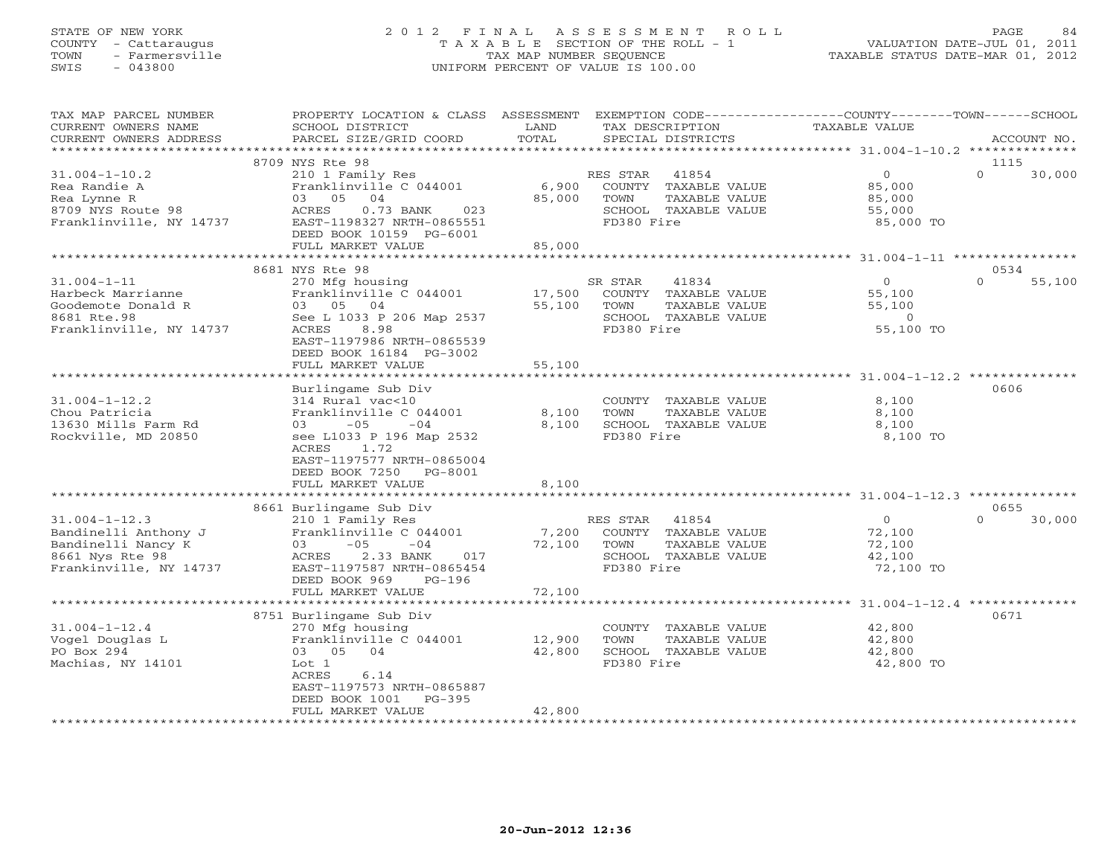#### STATE OF NEW YORK 2 0 1 2 F I N A L A S S E S S M E N T R O L L PAGE 84 COUNTY - Cattaraugus T A X A B L E SECTION OF THE ROLL - 1 VALUATION DATE-JUL 01, 2011 TOWN - Farmersville TAX MAP NUMBER SEQUENCE TAXABLE STATUS DATE-MAR 01, 2012 SWIS - 043800 UNIFORM PERCENT OF VALUE IS 100.00UNIFORM PERCENT OF VALUE IS 100.00

| TAX MAP PARCEL NUMBER<br>CURRENT OWNERS NAME<br>CURRENT OWNERS ADDRESS | PROPERTY LOCATION & CLASS ASSESSMENT<br>SCHOOL DISTRICT<br>PARCEL SIZE/GRID COORD | LAND<br>TOTAL | EXEMPTION CODE-----------------COUNTY-------TOWN------SCHOOL<br>TAX DESCRIPTION<br>SPECIAL DISTRICTS | <b>TAXABLE VALUE</b> | ACCOUNT NO.        |
|------------------------------------------------------------------------|-----------------------------------------------------------------------------------|---------------|------------------------------------------------------------------------------------------------------|----------------------|--------------------|
| * * * * * * * * * * * * * * * * * * * *                                |                                                                                   |               |                                                                                                      |                      |                    |
|                                                                        | 8709 NYS Rte 98                                                                   |               |                                                                                                      |                      | 1115               |
| $31.004 - 1 - 10.2$                                                    | 210 1 Family Res                                                                  |               | 41854<br>RES STAR                                                                                    | $\circ$              | $\Omega$<br>30,000 |
| Rea Randie A                                                           | Franklinville C 044001                                                            | 6,900         | COUNTY TAXABLE VALUE                                                                                 | 85,000               |                    |
| Rea Lynne R                                                            | 03 05 04                                                                          | 85,000        | TAXABLE VALUE<br>TOWN                                                                                | 85,000               |                    |
| 8709 NYS Route 98                                                      | ACRES<br>$0.73$ BANK<br>023                                                       |               | SCHOOL TAXABLE VALUE                                                                                 | 55,000               |                    |
| Franklinville, NY 14737                                                | EAST-1198327 NRTH-0865551                                                         |               | FD380 Fire                                                                                           | 85,000 TO            |                    |
|                                                                        | DEED BOOK 10159 PG-6001                                                           |               |                                                                                                      |                      |                    |
|                                                                        | FULL MARKET VALUE                                                                 | 85,000        |                                                                                                      |                      |                    |
|                                                                        | 8681 NYS Rte 98                                                                   |               |                                                                                                      |                      | 0534               |
| $31.004 - 1 - 11$                                                      | 270 Mfg housing                                                                   |               | 41834<br>SR STAR                                                                                     | $\circ$              | $\Omega$<br>55,100 |
| Harbeck Marrianne                                                      | Franklinville C 044001                                                            | 17,500        | COUNTY TAXABLE VALUE                                                                                 | 55,100               |                    |
| Goodemote Donald R                                                     | 03 05 04                                                                          | 55,100        | TOWN<br>TAXABLE VALUE                                                                                | 55,100               |                    |
| 8681 Rte.98                                                            | See L 1033 P 206 Map 2537                                                         |               | SCHOOL TAXABLE VALUE                                                                                 | $\circ$              |                    |
| Franklinville, NY 14737                                                | ACRES<br>8.98                                                                     |               | FD380 Fire                                                                                           | 55,100 TO            |                    |
|                                                                        | EAST-1197986 NRTH-0865539                                                         |               |                                                                                                      |                      |                    |
|                                                                        | DEED BOOK 16184 PG-3002                                                           |               |                                                                                                      |                      |                    |
|                                                                        | FULL MARKET VALUE                                                                 | 55,100        |                                                                                                      |                      |                    |
|                                                                        |                                                                                   |               |                                                                                                      |                      |                    |
|                                                                        | Burlingame Sub Div                                                                |               |                                                                                                      |                      | 0606               |
| $31.004 - 1 - 12.2$                                                    | 314 Rural vac<10                                                                  |               | COUNTY TAXABLE VALUE                                                                                 | 8,100                |                    |
| Chou Patricia                                                          | Franklinville C 044001                                                            | 8,100         | TOWN<br>TAXABLE VALUE                                                                                | 8,100                |                    |
| 13630 Mills Farm Rd                                                    | $-05$<br>$-04$<br>03                                                              | 8,100         | SCHOOL TAXABLE VALUE                                                                                 | 8,100                |                    |
| Rockville, MD 20850                                                    | see L1033 P 196 Map 2532                                                          |               | FD380 Fire                                                                                           | 8,100 TO             |                    |
|                                                                        | ACRES<br>1.72<br>EAST-1197577 NRTH-0865004                                        |               |                                                                                                      |                      |                    |
|                                                                        | DEED BOOK 7250 PG-8001                                                            |               |                                                                                                      |                      |                    |
|                                                                        | FULL MARKET VALUE                                                                 | 8,100         |                                                                                                      |                      |                    |
|                                                                        | ********************************                                                  |               |                                                                                                      |                      |                    |
|                                                                        | 8661 Burlingame Sub Div                                                           |               |                                                                                                      |                      | 0655               |
| $31.004 - 1 - 12.3$                                                    | 210 1 Family Res                                                                  |               | RES STAR<br>41854                                                                                    | $\overline{0}$       | $\Omega$<br>30,000 |
| Bandinelli Anthony J                                                   | Franklinville C 044001                                                            | 7,200         | COUNTY TAXABLE VALUE                                                                                 | 72,100               |                    |
| Bandinelli Nancy K                                                     | $-05$<br>03<br>$-04$                                                              | 72,100        | TOWN<br>TAXABLE VALUE                                                                                | 72,100               |                    |
| 8661 Nys Rte 98                                                        | ACRES<br>2.33 BANK<br>017                                                         |               | SCHOOL TAXABLE VALUE                                                                                 | 42,100               |                    |
| Frankinville, NY 14737                                                 | EAST-1197587 NRTH-0865454                                                         |               | FD380 Fire                                                                                           | 72,100 TO            |                    |
|                                                                        | DEED BOOK 969<br>$PG-196$                                                         |               |                                                                                                      |                      |                    |
|                                                                        | FULL MARKET VALUE                                                                 | 72,100        |                                                                                                      |                      |                    |
|                                                                        |                                                                                   |               |                                                                                                      |                      |                    |
| $31.004 - 1 - 12.4$                                                    | 8751 Burlingame Sub Div                                                           |               | COUNTY TAXABLE VALUE                                                                                 | 42,800               | 0671               |
| Vogel Douglas L                                                        | 270 Mfg housing<br>Franklinville C 044001                                         | 12,900        | TAXABLE VALUE<br>TOWN                                                                                | 42,800               |                    |
| PO Box 294                                                             | 03 05 04                                                                          | 42,800        | SCHOOL TAXABLE VALUE                                                                                 | 42,800               |                    |
| Machias, NY 14101                                                      | Lot 1                                                                             |               | FD380 Fire                                                                                           | 42,800 TO            |                    |
|                                                                        | ACRES<br>6.14                                                                     |               |                                                                                                      |                      |                    |
|                                                                        | EAST-1197573 NRTH-0865887                                                         |               |                                                                                                      |                      |                    |
|                                                                        | DEED BOOK 1001<br>$PG-395$                                                        |               |                                                                                                      |                      |                    |
|                                                                        | FULL MARKET VALUE                                                                 | 42,800        |                                                                                                      |                      |                    |
|                                                                        |                                                                                   |               |                                                                                                      |                      |                    |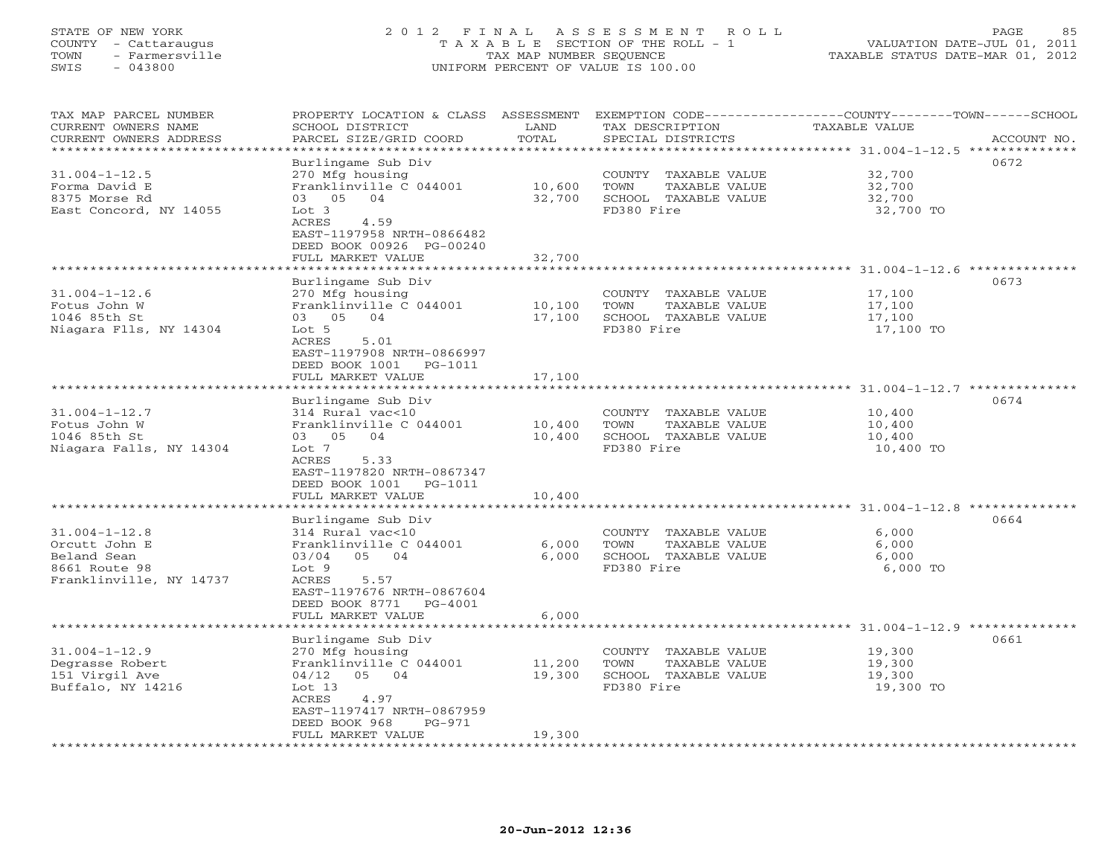## STATE OF NEW YORK 2 0 1 2 F I N A L A S S E S S M E N T R O L L PAGE 85 COUNTY - Cattaraugus T A X A B L E SECTION OF THE ROLL - 1 VALUATION DATE-JUL 01, 2011 TOWN - Farmersville TAX MAP NUMBER SEQUENCE TAXABLE STATUS DATE-MAR 01, 2012 SWIS - 043800 UNIFORM PERCENT OF VALUE IS 100.00UNIFORM PERCENT OF VALUE IS 100.00

| TAX MAP PARCEL NUMBER<br>CURRENT OWNERS NAME<br>CURRENT OWNERS ADDRESS | PROPERTY LOCATION & CLASS ASSESSMENT<br>SCHOOL DISTRICT<br>PARCEL SIZE/GRID COORD                     | LAND<br>TOTAL          | TAX DESCRIPTION<br>SPECIAL DISTRICTS                                  | EXEMPTION CODE-----------------COUNTY-------TOWN------SCHOOL<br>TAXABLE VALUE<br>ACCOUNT NO. |
|------------------------------------------------------------------------|-------------------------------------------------------------------------------------------------------|------------------------|-----------------------------------------------------------------------|----------------------------------------------------------------------------------------------|
| ********************                                                   |                                                                                                       |                        |                                                                       | ************************************** 31.004-1-12.5 **************                          |
| $31.004 - 1 - 12.5$<br>Forma David E                                   | Burlingame Sub Div<br>270 Mfg housing<br>Franklinville C 044001                                       | 10,600                 | COUNTY<br>TAXABLE VALUE<br>TOWN<br>TAXABLE VALUE                      | 0672<br>32,700<br>32,700                                                                     |
| 8375 Morse Rd<br>East Concord, NY 14055                                | 03 05 04<br>Lot 3<br>ACRES<br>4.59<br>EAST-1197958 NRTH-0866482<br>DEED BOOK 00926 PG-00240           | 32,700                 | SCHOOL TAXABLE VALUE<br>FD380 Fire                                    | 32,700<br>32,700 TO                                                                          |
|                                                                        | FULL MARKET VALUE                                                                                     | 32,700                 |                                                                       |                                                                                              |
|                                                                        |                                                                                                       | * * * * * * * ·        |                                                                       | **************** 31.004-1-12.6 **********                                                    |
| $31.004 - 1 - 12.6$<br>Fotus John W<br>1046 85th St                    | Burlingame Sub Div<br>270 Mfg housing<br>Franklinville C 044001<br>03 05 04                           | 10,100<br>17,100       | COUNTY TAXABLE VALUE<br>TAXABLE VALUE<br>TOWN<br>SCHOOL TAXABLE VALUE | 0673<br>17,100<br>17,100<br>17,100                                                           |
| Niagara Flls, NY 14304                                                 | Lot 5<br>ACRES<br>5.01<br>EAST-1197908 NRTH-0866997<br>DEED BOOK 1001<br>PG-1011<br>FULL MARKET VALUE | 17,100                 | FD380 Fire                                                            | 17,100 TO                                                                                    |
|                                                                        | *****************                                                                                     | ***********            |                                                                       | ********************* 31.004-1-12.7 **************                                           |
|                                                                        | Burlingame Sub Div                                                                                    |                        |                                                                       | 0674                                                                                         |
| $31.004 - 1 - 12.7$                                                    | 314 Rural vac<10                                                                                      |                        | COUNTY TAXABLE VALUE                                                  | 10,400                                                                                       |
| Fotus John W<br>1046 85th St                                           | Franklinville C 044001<br>03 05<br>04                                                                 | 10,400<br>10,400       | TOWN<br>TAXABLE VALUE<br>SCHOOL TAXABLE VALUE                         | 10,400<br>10,400                                                                             |
| Niagara Falls, NY 14304                                                | Lot 7<br>ACRES<br>5.33<br>EAST-1197820 NRTH-0867347<br>DEED BOOK 1001<br>PG-1011                      |                        | FD380 Fire                                                            | 10,400 TO                                                                                    |
|                                                                        | FULL MARKET VALUE                                                                                     | 10,400                 |                                                                       |                                                                                              |
|                                                                        | ******************                                                                                    |                        |                                                                       | 0664                                                                                         |
| $31.004 - 1 - 12.8$                                                    | Burlingame Sub Div<br>314 Rural vac<10                                                                |                        | COUNTY TAXABLE VALUE                                                  | 6,000                                                                                        |
| Orcutt John E                                                          | Franklinville C 044001                                                                                | 6,000                  | TOWN<br>TAXABLE VALUE                                                 | 6,000                                                                                        |
| Beland Sean                                                            | 05 04<br>03/04                                                                                        | 6,000                  | SCHOOL TAXABLE VALUE                                                  | 6,000                                                                                        |
| 8661 Route 98<br>Franklinville, NY 14737                               | Lot <sub>9</sub><br>ACRES<br>5.57<br>EAST-1197676 NRTH-0867604<br>DEED BOOK 8771 PG-4001              |                        | FD380 Fire                                                            | 6,000 TO                                                                                     |
|                                                                        | FULL MARKET VALUE                                                                                     | 6,000<br>************* |                                                                       | ************************************* 31.004-1-12.9 **************                           |
|                                                                        | Burlingame Sub Div                                                                                    |                        |                                                                       | 0661                                                                                         |
| $31.004 - 1 - 12.9$                                                    | 270 Mfg housing                                                                                       |                        | COUNTY<br>TAXABLE VALUE                                               | 19,300                                                                                       |
| Degrasse Robert                                                        | Franklinville C 044001                                                                                | 11,200                 | TAXABLE VALUE<br>TOWN                                                 | 19,300                                                                                       |
| 151 Virgil Ave<br>Buffalo, NY 14216                                    | 05 04<br>04/12<br>Lot $13$<br>ACRES<br>4.97<br>EAST-1197417 NRTH-0867959                              | 19,300                 | SCHOOL TAXABLE VALUE<br>FD380 Fire                                    | 19,300<br>19,300 TO                                                                          |
|                                                                        | DEED BOOK 968<br>$PG-971$<br>FULL MARKET VALUE                                                        | 19,300                 |                                                                       |                                                                                              |
|                                                                        |                                                                                                       |                        |                                                                       |                                                                                              |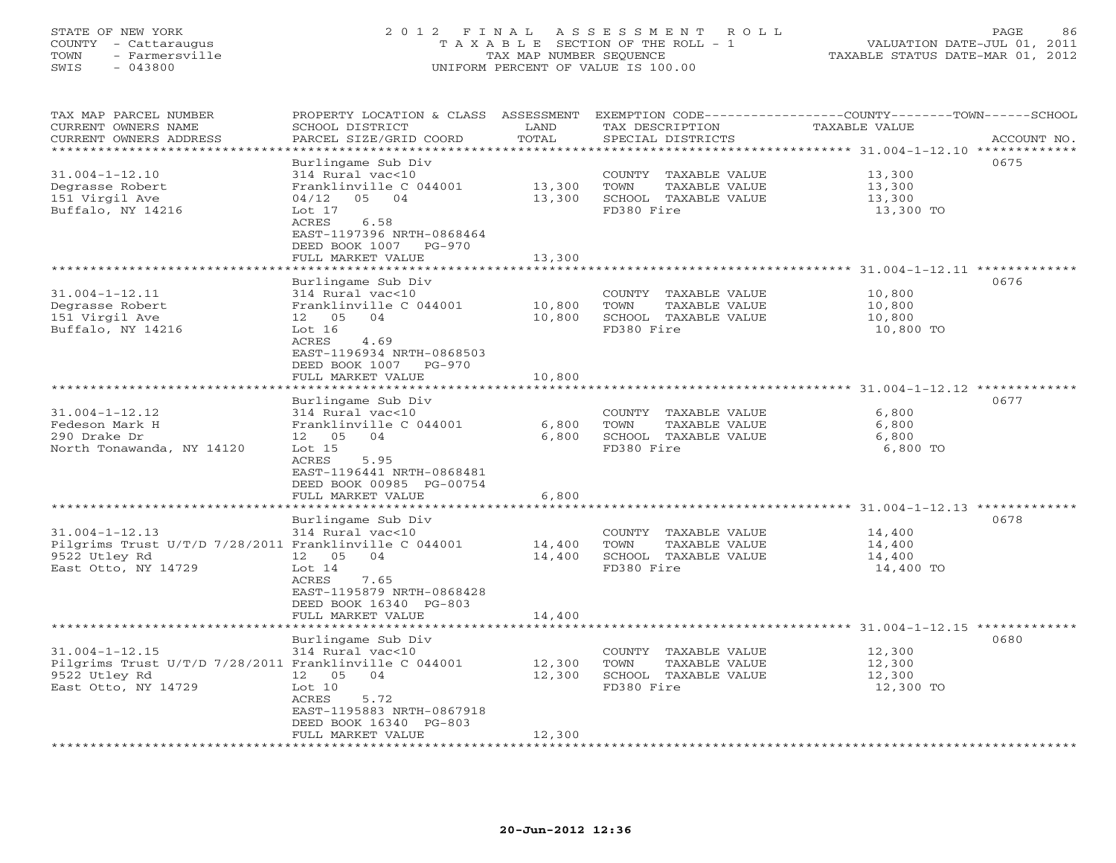#### STATE OF NEW YORK 2 0 1 2 F I N A L A S S E S S M E N T R O L L PAGE 86 COUNTY - Cattaraugus T A X A B L E SECTION OF THE ROLL - 1 VALUATION DATE-JUL 01, 2011 TOWN - Farmersville TAX MAP NUMBER SEQUENCE TAXABLE STATUS DATE-MAR 01, 2012 SWIS - 043800 UNIFORM PERCENT OF VALUE IS 100.00UNIFORM PERCENT OF VALUE IS 100.00

| TAX MAP PARCEL NUMBER<br>CURRENT OWNERS NAME<br>CURRENT OWNERS ADDRESS         | PROPERTY LOCATION & CLASS ASSESSMENT<br>SCHOOL DISTRICT<br>PARCEL SIZE/GRID COORD             | LAND<br>TOTAL           | EXEMPTION CODE-----------------COUNTY-------TOWN-----SCHOOL<br>TAX DESCRIPTION<br>SPECIAL DISTRICTS | TAXABLE VALUE                                         | ACCOUNT NO. |
|--------------------------------------------------------------------------------|-----------------------------------------------------------------------------------------------|-------------------------|-----------------------------------------------------------------------------------------------------|-------------------------------------------------------|-------------|
| *********************                                                          |                                                                                               |                         |                                                                                                     |                                                       |             |
| $31.004 - 1 - 12.10$<br>Degrasse Robert                                        | Burlingame Sub Div<br>314 Rural vac<10<br>Franklinville C 044001                              | 13,300                  | COUNTY TAXABLE VALUE<br>TOWN<br>TAXABLE VALUE                                                       | 13,300<br>13,300                                      | 0675        |
| 151 Virgil Ave<br>Buffalo, NY 14216                                            | 04/12<br>05 04<br>Lot $17$<br>ACRES<br>6.58<br>EAST-1197396 NRTH-0868464                      | 13,300                  | SCHOOL TAXABLE VALUE<br>FD380 Fire                                                                  | 13,300<br>13,300 TO                                   |             |
|                                                                                | DEED BOOK 1007 PG-970<br>FULL MARKET VALUE<br>***********************                         | 13,300<br>************* |                                                                                                     |                                                       |             |
|                                                                                | Burlingame Sub Div                                                                            |                         |                                                                                                     |                                                       | 0676        |
| $31.004 - 1 - 12.11$<br>Degrasse Robert<br>151 Virgil Ave<br>Buffalo, NY 14216 | 314 Rural vac<10<br>Franklinville C 044001<br>12 05<br>04<br>Lot 16                           | 10,800<br>10,800        | COUNTY TAXABLE VALUE<br>TOWN<br>TAXABLE VALUE<br>SCHOOL TAXABLE VALUE<br>FD380 Fire                 | 10,800<br>10,800<br>10,800<br>10,800 TO               |             |
|                                                                                | ACRES<br>4.69<br>EAST-1196934 NRTH-0868503<br>DEED BOOK 1007<br>$PG-970$<br>FULL MARKET VALUE | 10,800                  |                                                                                                     |                                                       |             |
|                                                                                |                                                                                               |                         |                                                                                                     |                                                       |             |
|                                                                                | Burlingame Sub Div                                                                            |                         |                                                                                                     |                                                       | 0677        |
| $31.004 - 1 - 12.12$                                                           | 314 Rural vac<10                                                                              |                         | COUNTY TAXABLE VALUE                                                                                | 6,800                                                 |             |
| Fedeson Mark H<br>290 Drake Dr                                                 | Franklinville C 044001<br>12 05<br>04                                                         | 6,800<br>6,800          | TOWN<br>TAXABLE VALUE<br>SCHOOL TAXABLE VALUE                                                       | 6,800<br>6,800                                        |             |
| North Tonawanda, NY 14120                                                      | Lot 15<br>ACRES<br>5.95<br>EAST-1196441 NRTH-0868481<br>DEED BOOK 00985 PG-00754              |                         | FD380 Fire                                                                                          | 6,800 TO                                              |             |
|                                                                                | FULL MARKET VALUE<br>**************************************                                   | 6,800                   |                                                                                                     |                                                       |             |
|                                                                                | Burlingame Sub Div                                                                            |                         |                                                                                                     | ************************ 31.004-1-12.13 ************* | 0678        |
| $31.004 - 1 - 12.13$<br>Pilgrims Trust U/T/D 7/28/2011 Franklinville C 044001  | 314 Rural vac<10                                                                              |                         | COUNTY TAXABLE VALUE<br>TOWN                                                                        | 14,400                                                |             |
| 9522 Utley Rd                                                                  | 12 05<br>04                                                                                   | 14,400<br>14,400        | TAXABLE VALUE<br>SCHOOL TAXABLE VALUE                                                               | 14,400<br>14,400                                      |             |
| East Otto, NY 14729                                                            | Lot $14$<br>ACRES<br>7.65<br>EAST-1195879 NRTH-0868428<br>DEED BOOK 16340 PG-803              |                         | FD380 Fire                                                                                          | 14,400 TO                                             |             |
|                                                                                | FULL MARKET VALUE                                                                             | 14,400                  |                                                                                                     |                                                       |             |
|                                                                                | Burlingame Sub Div                                                                            |                         |                                                                                                     | ***************** 31.004-1-12.15 **                   | 0680        |
| $31.004 - 1 - 12.15$                                                           | 314 Rural vac<10                                                                              |                         | COUNTY TAXABLE VALUE                                                                                | 12,300                                                |             |
| Pilgrims Trust U/T/D 7/28/2011 Franklinville C 044001                          |                                                                                               | 12,300                  | TOWN<br>TAXABLE VALUE                                                                               | 12,300                                                |             |
| 9522 Utley Rd<br>East Otto, NY 14729                                           | 12  05  04<br>Lot 10<br>ACRES<br>5.72<br>EAST-1195883 NRTH-0867918                            | 12,300                  | SCHOOL TAXABLE VALUE<br>FD380 Fire                                                                  | 12,300<br>12,300 TO                                   |             |
|                                                                                | DEED BOOK 16340 PG-803<br>FULL MARKET VALUE                                                   | 12,300                  |                                                                                                     |                                                       |             |
|                                                                                |                                                                                               |                         |                                                                                                     |                                                       |             |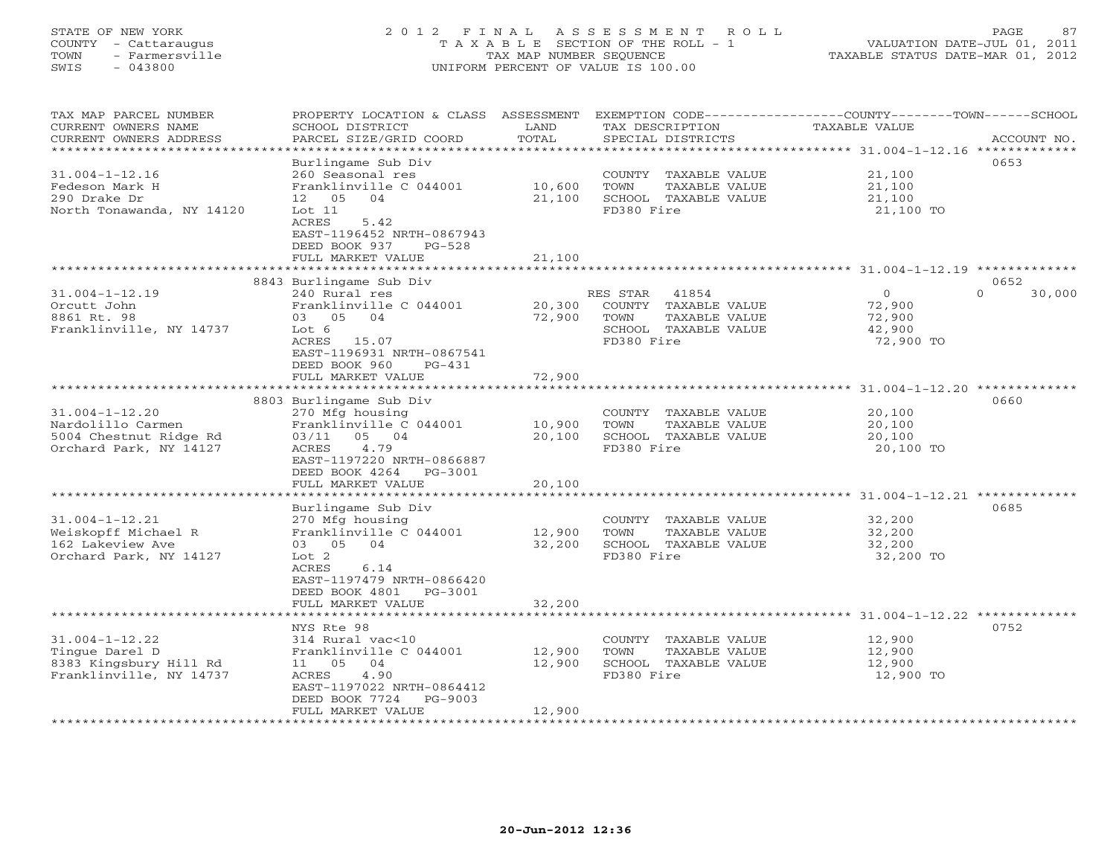# STATE OF NEW YORK 2 0 1 2 F I N A L A S S E S S M E N T R O L L PAGE 87 COUNTY - Cattaraugus T A X A B L E SECTION OF THE ROLL - 1 VALUATION DATE-JUL 01, 2011 TOWN - Farmersville TAX MAP NUMBER SEQUENCE TAXABLE STATUS DATE-MAR 01, 2012 SWIS - 043800 UNIFORM PERCENT OF VALUE IS 100.00

| TAX MAP PARCEL NUMBER<br>CURRENT OWNERS NAME<br>CURRENT OWNERS ADDRESS | PROPERTY LOCATION & CLASS ASSESSMENT<br>SCHOOL DISTRICT<br>PARCEL SIZE/GRID COORD | LAND<br>TOTAL | TAX DESCRIPTION<br>SPECIAL DISTRICTS | EXEMPTION CODE-----------------COUNTY-------TOWN------SCHOOL<br><b>TAXABLE VALUE</b> | ACCOUNT NO.        |
|------------------------------------------------------------------------|-----------------------------------------------------------------------------------|---------------|--------------------------------------|--------------------------------------------------------------------------------------|--------------------|
| ********************                                                   |                                                                                   |               |                                      |                                                                                      |                    |
|                                                                        | Burlingame Sub Div                                                                |               |                                      |                                                                                      | 0653               |
| $31.004 - 1 - 12.16$                                                   | 260 Seasonal res                                                                  |               | COUNTY TAXABLE VALUE                 | 21,100                                                                               |                    |
| Fedeson Mark H                                                         | Franklinville C 044001                                                            | 10,600        | TOWN<br>TAXABLE VALUE                | 21,100                                                                               |                    |
| 290 Drake Dr                                                           | 04<br>12 05                                                                       | 21,100        | SCHOOL TAXABLE VALUE                 | 21,100                                                                               |                    |
| North Tonawanda, NY 14120                                              | Lot 11                                                                            |               | FD380 Fire                           | 21,100 TO                                                                            |                    |
|                                                                        | 5.42<br>ACRES                                                                     |               |                                      |                                                                                      |                    |
|                                                                        | EAST-1196452 NRTH-0867943                                                         |               |                                      |                                                                                      |                    |
|                                                                        | DEED BOOK 937<br>$PG-528$                                                         |               |                                      |                                                                                      |                    |
|                                                                        | FULL MARKET VALUE                                                                 | 21,100        |                                      |                                                                                      |                    |
|                                                                        |                                                                                   |               |                                      |                                                                                      |                    |
|                                                                        | 8843 Burlingame Sub Div                                                           |               |                                      |                                                                                      | 0652               |
| $31.004 - 1 - 12.19$                                                   | 240 Rural res                                                                     |               | 41854<br>RES STAR                    | $\Omega$                                                                             | $\Omega$<br>30,000 |
| Orcutt John                                                            | Franklinville C 044001                                                            | 20,300        | COUNTY TAXABLE VALUE                 | 72,900                                                                               |                    |
| 8861 Rt. 98                                                            | 03 05 04                                                                          | 72,900        | TOWN<br>TAXABLE VALUE                | 72,900                                                                               |                    |
| Franklinville, NY 14737                                                | Lot 6                                                                             |               | SCHOOL TAXABLE VALUE                 | 42,900                                                                               |                    |
|                                                                        | ACRES 15.07                                                                       |               | FD380 Fire                           | 72,900 TO                                                                            |                    |
|                                                                        | EAST-1196931 NRTH-0867541                                                         |               |                                      |                                                                                      |                    |
|                                                                        | DEED BOOK 960<br>$PG-431$                                                         | 72,900        |                                      |                                                                                      |                    |
|                                                                        | FULL MARKET VALUE                                                                 |               |                                      |                                                                                      |                    |
|                                                                        | 8803 Burlingame Sub Div                                                           |               |                                      |                                                                                      | 0660               |
| $31.004 - 1 - 12.20$                                                   | 270 Mfg housing                                                                   |               | COUNTY TAXABLE VALUE                 | 20,100                                                                               |                    |
| Nardolillo Carmen                                                      | Franklinville C 044001                                                            | 10,900        | TOWN<br>TAXABLE VALUE                | 20,100                                                                               |                    |
| 5004 Chestnut Ridge Rd                                                 | 03/11 05 04                                                                       | 20,100        | SCHOOL TAXABLE VALUE                 | 20,100                                                                               |                    |
| Orchard Park, NY 14127                                                 | 4.79<br>ACRES                                                                     |               | FD380 Fire                           | 20,100 TO                                                                            |                    |
|                                                                        | EAST-1197220 NRTH-0866887                                                         |               |                                      |                                                                                      |                    |
|                                                                        | DEED BOOK 4264<br>PG-3001                                                         |               |                                      |                                                                                      |                    |
|                                                                        | FULL MARKET VALUE                                                                 | 20,100        |                                      |                                                                                      |                    |
|                                                                        |                                                                                   |               |                                      | ************************** 31.004-1-12.21 *************                              |                    |
|                                                                        | Burlingame Sub Div                                                                |               |                                      |                                                                                      | 0685               |
| $31.004 - 1 - 12.21$                                                   | 270 Mfg housing                                                                   |               | COUNTY TAXABLE VALUE                 | 32,200                                                                               |                    |
| Weiskopff Michael R                                                    | Franklinville C 044001                                                            | 12,900        | TOWN<br>TAXABLE VALUE                | 32,200                                                                               |                    |
| 162 Lakeview Ave                                                       | 03 05 04                                                                          | 32,200        | SCHOOL TAXABLE VALUE                 | 32,200                                                                               |                    |
| Orchard Park, NY 14127                                                 | Lot 2                                                                             |               | FD380 Fire                           | 32,200 TO                                                                            |                    |
|                                                                        | ACRES<br>6.14                                                                     |               |                                      |                                                                                      |                    |
|                                                                        | EAST-1197479 NRTH-0866420                                                         |               |                                      |                                                                                      |                    |
|                                                                        | DEED BOOK 4801<br>PG-3001<br>FULL MARKET VALUE                                    | 32,200        |                                      |                                                                                      |                    |
|                                                                        | *****************************                                                     |               |                                      |                                                                                      |                    |
|                                                                        | NYS Rte 98                                                                        |               |                                      |                                                                                      | 0752               |
| $31.004 - 1 - 12.22$                                                   | 314 Rural vac<10                                                                  |               | COUNTY TAXABLE VALUE                 | 12,900                                                                               |                    |
| Tingue Darel D                                                         | Franklinville C 044001                                                            | 12,900        | TOWN<br>TAXABLE VALUE                | 12,900                                                                               |                    |
| 8383 Kingsbury Hill Rd                                                 | 11 05<br>04                                                                       | 12,900        | SCHOOL TAXABLE VALUE                 | 12,900                                                                               |                    |
| Franklinville, NY 14737                                                | 4.90<br>ACRES                                                                     |               | FD380 Fire                           | 12,900 TO                                                                            |                    |
|                                                                        | EAST-1197022 NRTH-0864412                                                         |               |                                      |                                                                                      |                    |
|                                                                        | DEED BOOK 7724<br>$PG-9003$                                                       |               |                                      |                                                                                      |                    |
|                                                                        | FULL MARKET VALUE                                                                 | 12,900        |                                      |                                                                                      |                    |
| ************************                                               |                                                                                   |               |                                      |                                                                                      |                    |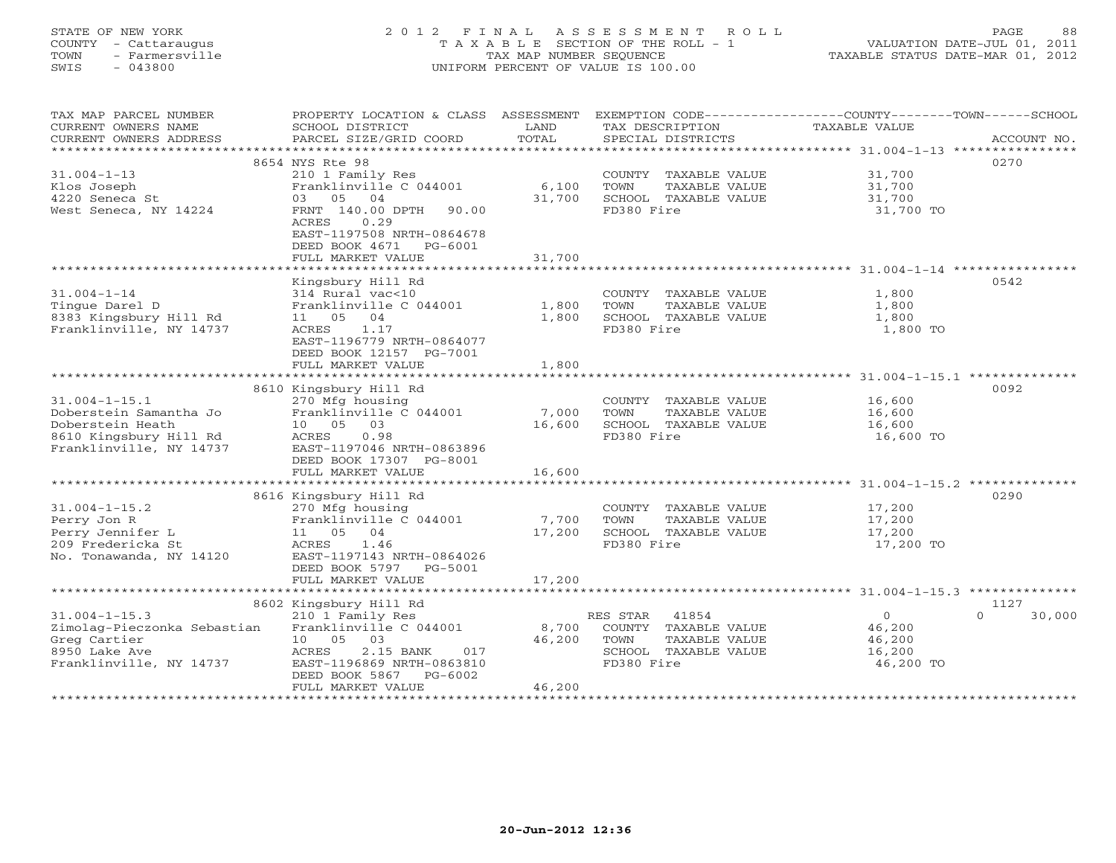## STATE OF NEW YORK 2 0 1 2 F I N A L A S S E S S M E N T R O L L PAGE 88 COUNTY - Cattaraugus T A X A B L E SECTION OF THE ROLL - 1 VALUATION DATE-JUL 01, 2011 TOWN - Farmersville TAX MAP NUMBER SEQUENCE TAXABLE STATUS DATE-MAR 01, 2012 SWIS - 043800 UNIFORM PERCENT OF VALUE IS 100.00UNIFORM PERCENT OF VALUE IS 100.00

| TAX MAP PARCEL NUMBER       | PROPERTY LOCATION & CLASS ASSESSMENT |        | EXEMPTION CODE----------------COUNTY-------TOWN------SCHOOL |                |                    |
|-----------------------------|--------------------------------------|--------|-------------------------------------------------------------|----------------|--------------------|
| CURRENT OWNERS NAME         | SCHOOL DISTRICT                      | LAND   | TAX DESCRIPTION                                             | TAXABLE VALUE  |                    |
| CURRENT OWNERS ADDRESS      | PARCEL SIZE/GRID COORD               | TOTAL  | SPECIAL DISTRICTS                                           |                | ACCOUNT NO.        |
|                             |                                      |        |                                                             |                |                    |
|                             | 8654 NYS Rte 98                      |        |                                                             |                | 0270               |
| $31.004 - 1 - 13$           | 210 1 Family Res                     |        | COUNTY TAXABLE VALUE                                        | 31,700         |                    |
| Klos Joseph                 | Franklinville C 044001               | 6,100  | TOWN<br>TAXABLE VALUE                                       | 31,700         |                    |
| 4220 Seneca St              | 03 05 04                             | 31,700 | SCHOOL TAXABLE VALUE                                        | 31,700         |                    |
| West Seneca, NY 14224       | FRNT 140.00 DPTH 90.00               |        | FD380 Fire                                                  | 31,700 TO      |                    |
|                             | ACRES<br>0.29                        |        |                                                             |                |                    |
|                             | EAST-1197508 NRTH-0864678            |        |                                                             |                |                    |
|                             | DEED BOOK 4671<br>PG-6001            |        |                                                             |                |                    |
|                             | FULL MARKET VALUE                    | 31,700 |                                                             |                |                    |
|                             |                                      |        |                                                             |                |                    |
|                             | Kingsbury Hill Rd                    |        |                                                             |                | 0542               |
| $31.004 - 1 - 14$           | 314 Rural vac<10                     |        | COUNTY TAXABLE VALUE                                        | 1,800          |                    |
| Tinque Darel D              | Franklinville C 044001               | 1,800  | TAXABLE VALUE<br>TOWN                                       | 1,800          |                    |
| 8383 Kingsbury Hill Rd      | 11 05 04                             | 1,800  | SCHOOL TAXABLE VALUE                                        | 1,800          |                    |
| Franklinville, NY 14737     | ACRES 1.17                           |        | FD380 Fire                                                  | 1,800 TO       |                    |
|                             | EAST-1196779 NRTH-0864077            |        |                                                             |                |                    |
|                             | DEED BOOK 12157 PG-7001              |        |                                                             |                |                    |
|                             | FULL MARKET VALUE                    | 1,800  |                                                             |                |                    |
|                             |                                      |        |                                                             |                |                    |
|                             | 8610 Kingsbury Hill Rd               |        |                                                             |                | 0092               |
| $31.004 - 1 - 15.1$         | 270 Mfg housing                      |        | COUNTY TAXABLE VALUE 16,600                                 |                |                    |
| Doberstein Samantha Jo      | Franklinville C 044001               | 7,000  | TOWN<br>TAXABLE VALUE                                       | 16,600         |                    |
| Doberstein Heath            | 10 05 03                             | 16,600 | SCHOOL TAXABLE VALUE                                        | 16,600         |                    |
| 8610 Kingsbury Hill Rd      | 0.98<br>ACRES                        |        | FD380 Fire                                                  | 16,600 TO      |                    |
| Franklinville, NY 14737     | EAST-1197046 NRTH-0863896            |        |                                                             |                |                    |
|                             | DEED BOOK 17307 PG-8001              |        |                                                             |                |                    |
|                             | FULL MARKET VALUE                    | 16,600 |                                                             |                |                    |
|                             |                                      |        |                                                             |                |                    |
|                             | 8616 Kingsbury Hill Rd               |        |                                                             |                | 0290               |
| $31.004 - 1 - 15.2$         | 270 Mfg housing                      |        | COUNTY TAXABLE VALUE                                        | 17,200         |                    |
| Perry Jon R                 | Franklinville C 044001 7,700         |        | TOWN<br>TAXABLE VALUE                                       | 17,200         |                    |
| Perry Jennifer L            | 11 05 04                             | 17,200 | SCHOOL TAXABLE VALUE                                        | 17,200         |                    |
| 209 Fredericka St           | ACRES 1.46                           |        | FD380 Fire                                                  | 17,200 TO      |                    |
| No. Tonawanda, NY 14120     | EAST-1197143 NRTH-0864026            |        |                                                             |                |                    |
|                             | DEED BOOK 5797 PG-5001               |        |                                                             |                |                    |
|                             | FULL MARKET VALUE                    | 17,200 |                                                             |                |                    |
|                             |                                      |        |                                                             |                |                    |
|                             | 8602 Kingsbury Hill Rd               |        |                                                             |                | 1127               |
| $31.004 - 1 - 15.3$         | 210 1 Family Res                     |        | RES STAR 41854                                              | $\overline{0}$ | $\Omega$<br>30,000 |
| Zimolag-Pieczonka Sebastian | Franklinville C 044001               | 8,700  | COUNTY TAXABLE VALUE                                        | 46,200         |                    |
| Greg Cartier                | 10 05 03                             | 46,200 | TOWN<br>TAXABLE VALUE                                       | 46,200         |                    |
| 8950 Lake Ave               | ACRES<br>2.15 BANK<br>017            |        | SCHOOL TAXABLE VALUE                                        | 16,200         |                    |
| Franklinville, NY 14737     | EAST-1196869 NRTH-0863810            |        | FD380 Fire                                                  | 46,200 TO      |                    |
|                             | DEED BOOK 5867 PG-6002               |        |                                                             |                |                    |
|                             | FULL MARKET VALUE                    | 46,200 |                                                             |                |                    |
|                             |                                      |        |                                                             |                |                    |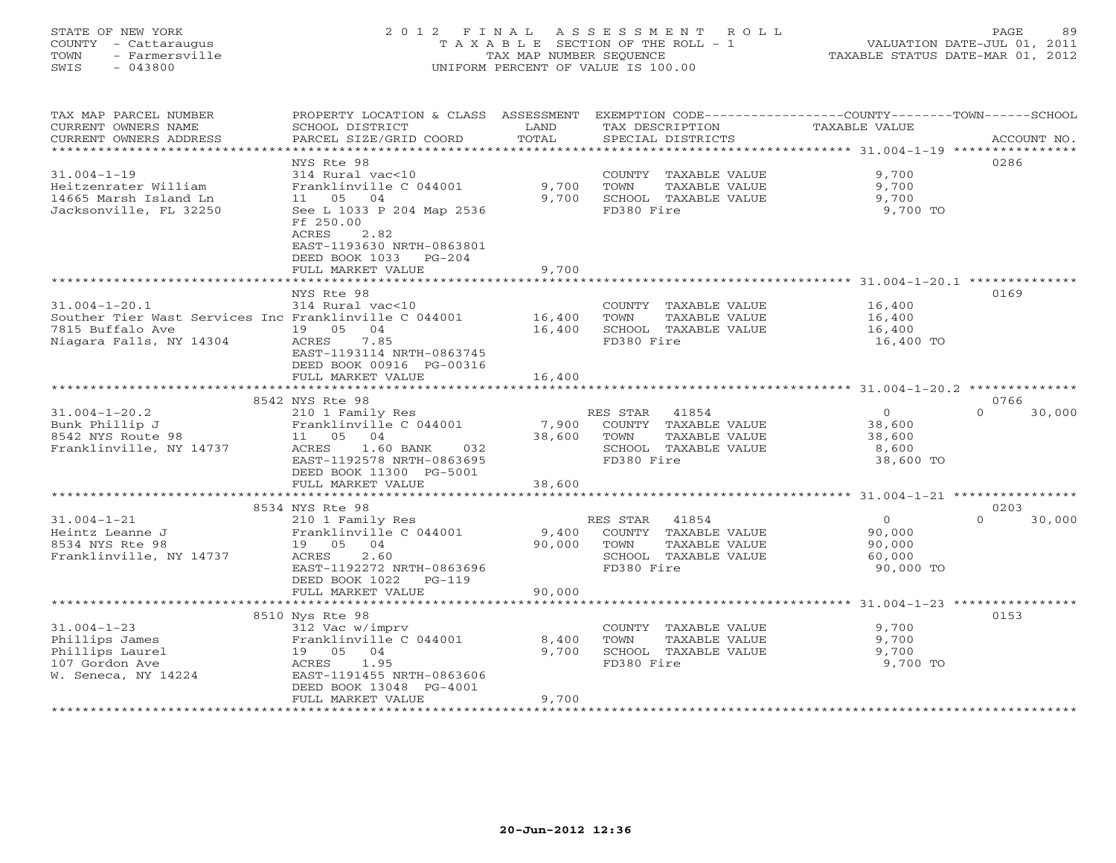## STATE OF NEW YORK 2 0 1 2 F I N A L A S S E S S M E N T R O L L PAGE 89 COUNTY - Cattaraugus T A X A B L E SECTION OF THE ROLL - 1 VALUATION DATE-JUL 01, 2011 TOWN - Farmersville TAX MAP NUMBER SEQUENCE TAXABLE STATUS DATE-MAR 01, 2012 SWIS - 043800 UNIFORM PERCENT OF VALUE IS 100.00UNIFORM PERCENT OF VALUE IS 100.00

| TAX MAP PARCEL NUMBER<br>CURRENT OWNERS NAME          | PROPERTY LOCATION & CLASS ASSESSMENT<br>SCHOOL DISTRICT                              | LAND          | TAX DESCRIPTION                    | EXEMPTION CODE-----------------COUNTY-------TOWN------SCHOOL<br>TAXABLE VALUE |             |
|-------------------------------------------------------|--------------------------------------------------------------------------------------|---------------|------------------------------------|-------------------------------------------------------------------------------|-------------|
| CURRENT OWNERS ADDRESS                                | PARCEL SIZE/GRID COORD                                                               | TOTAL         | SPECIAL DISTRICTS                  |                                                                               | ACCOUNT NO. |
| *********************                                 |                                                                                      |               |                                    |                                                                               |             |
|                                                       | NYS Rte 98                                                                           |               |                                    | 0286                                                                          |             |
| $31.004 - 1 - 19$                                     | 314 Rural vac<10                                                                     |               | COUNTY TAXABLE VALUE               | 9,700                                                                         |             |
| Heitzenrater William                                  | Franklinville C 044001                                                               | 9,700         | TOWN<br>TAXABLE VALUE              | 9,700                                                                         |             |
| 14665 Marsh Island Ln                                 | 11 05<br>04                                                                          | 9,700         | SCHOOL TAXABLE VALUE               | 9,700                                                                         |             |
| Jacksonville, FL 32250                                | See L 1033 P 204 Map 2536<br>Ff 250.00<br>2.82<br>ACRES<br>EAST-1193630 NRTH-0863801 |               | FD380 Fire                         | 9,700 TO                                                                      |             |
|                                                       | DEED BOOK 1033<br>$PG-204$                                                           |               |                                    |                                                                               |             |
|                                                       | FULL MARKET VALUE                                                                    | 9,700         |                                    |                                                                               |             |
|                                                       | ****************************                                                         |               |                                    |                                                                               |             |
|                                                       | NYS Rte 98                                                                           |               |                                    | 0169                                                                          |             |
| $31.004 - 1 - 20.1$                                   | 314 Rural vac<10                                                                     |               | COUNTY TAXABLE VALUE               | 16,400                                                                        |             |
| Souther Tier Wast Services Inc Franklinville C 044001 |                                                                                      | 16,400        | TOWN<br>TAXABLE VALUE              | 16,400                                                                        |             |
| 7815 Buffalo Ave                                      | 19 05<br>04                                                                          | 16,400        | SCHOOL TAXABLE VALUE               | 16,400                                                                        |             |
| Niagara Falls, NY 14304                               | ACRES<br>7.85                                                                        |               | FD380 Fire                         | 16,400 TO                                                                     |             |
|                                                       | EAST-1193114 NRTH-0863745                                                            |               |                                    |                                                                               |             |
|                                                       | DEED BOOK 00916 PG-00316                                                             |               |                                    |                                                                               |             |
|                                                       | FULL MARKET VALUE                                                                    | 16,400        |                                    |                                                                               |             |
|                                                       |                                                                                      |               |                                    |                                                                               |             |
|                                                       | 8542 NYS Rte 98                                                                      |               |                                    | 0766                                                                          |             |
| $31.004 - 1 - 20.2$                                   | 210 1 Family Res                                                                     |               | 41854<br>RES STAR                  | $\circ$<br>$\Omega$                                                           | 30,000      |
| Bunk Phillip J                                        | Franklinville C 044001                                                               | 7,900         | COUNTY TAXABLE VALUE               | 38,600                                                                        |             |
| 8542 NYS Route 98                                     | 11 05 04                                                                             | 38,600        | TOWN<br>TAXABLE VALUE              | 38,600                                                                        |             |
| Franklinville, NY 14737                               | 1.60 BANK<br>ACRES<br>032<br>EAST-1192578 NRTH-0863695                               |               | SCHOOL TAXABLE VALUE<br>FD380 Fire | 8,600<br>38,600 TO                                                            |             |
|                                                       | DEED BOOK 11300 PG-5001                                                              |               |                                    |                                                                               |             |
|                                                       | FULL MARKET VALUE                                                                    | 38,600        |                                    |                                                                               |             |
|                                                       |                                                                                      |               |                                    | ****************************** 31.004-1-21 ****************                   |             |
|                                                       | 8534 NYS Rte 98                                                                      |               |                                    | 0203                                                                          |             |
| $31.004 - 1 - 21$                                     | 210 1 Family Res                                                                     |               | RES STAR<br>41854                  | $\Omega$<br>$\Omega$                                                          | 30,000      |
| Heintz Leanne J                                       | Franklinville C 044001                                                               | 9,400         | COUNTY TAXABLE VALUE               | 90,000                                                                        |             |
| 8534 NYS Rte 98                                       | 04<br>19 05                                                                          | 90,000        | TOWN<br>TAXABLE VALUE              | 90,000                                                                        |             |
| Franklinville, NY 14737                               | 2.60<br>ACRES                                                                        |               | SCHOOL TAXABLE VALUE               | 60,000                                                                        |             |
|                                                       | EAST-1192272 NRTH-0863696                                                            |               | FD380 Fire                         | 90,000 TO                                                                     |             |
|                                                       | DEED BOOK 1022<br>$PG-119$                                                           |               |                                    |                                                                               |             |
|                                                       | FULL MARKET VALUE                                                                    | 90,000        |                                    |                                                                               |             |
|                                                       | *************************                                                            | ************* |                                    | ************************************* 31.004-1-23 ****************            |             |
|                                                       | 8510 Nys Rte 98                                                                      |               |                                    | 0153                                                                          |             |
| $31.004 - 1 - 23$                                     | 312 Vac w/imprv                                                                      |               | COUNTY TAXABLE VALUE               | 9,700                                                                         |             |
| Phillips James                                        | Franklinville C 044001                                                               | 8,400         | TOWN<br>TAXABLE VALUE              | 9,700                                                                         |             |
| Phillips Laurel<br>107 Gordon Ave                     | 19  05  04<br>1.95<br>ACRES                                                          | 9,700         | SCHOOL TAXABLE VALUE<br>FD380 Fire | 9,700<br>9,700 TO                                                             |             |
| W. Seneca, NY 14224                                   | EAST-1191455 NRTH-0863606                                                            |               |                                    |                                                                               |             |
|                                                       | DEED BOOK 13048 PG-4001                                                              |               |                                    |                                                                               |             |
|                                                       | FULL MARKET VALUE                                                                    | 9,700         |                                    |                                                                               |             |
|                                                       |                                                                                      |               |                                    |                                                                               |             |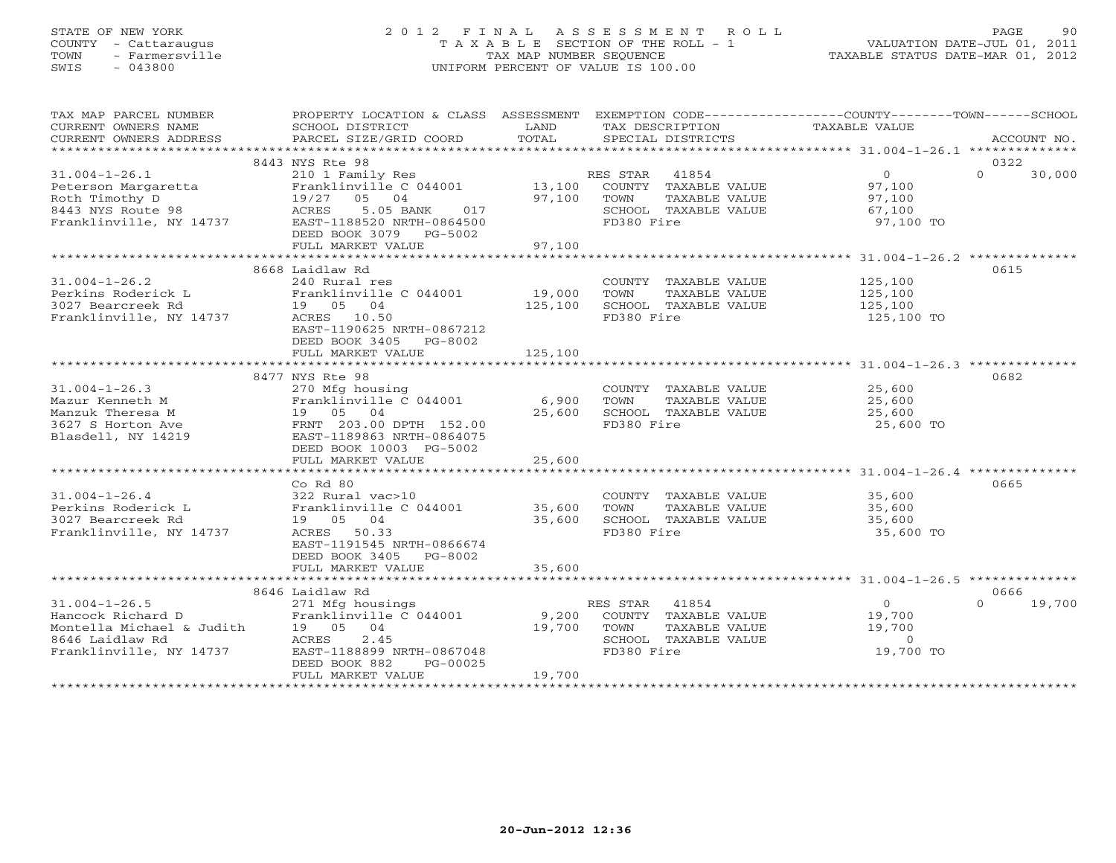## STATE OF NEW YORK 2 0 1 2 F I N A L A S S E S S M E N T R O L L PAGE 90 COUNTY - Cattaraugus T A X A B L E SECTION OF THE ROLL - 1 VALUATION DATE-JUL 01, 2011 TOWN - Farmersville TAX MAP NUMBER SEQUENCE TAXABLE STATUS DATE-MAR 01, 2012 SWIS - 043800 UNIFORM PERCENT OF VALUE IS 100.00UNIFORM PERCENT OF VALUE IS 100.00

| TAX MAP PARCEL NUMBER                             | PROPERTY LOCATION & CLASS ASSESSMENT EXEMPTION CODE---------------COUNTY-------TOWN-----SCHOOL |             |                                               |                       |                    |
|---------------------------------------------------|------------------------------------------------------------------------------------------------|-------------|-----------------------------------------------|-----------------------|--------------------|
| CURRENT OWNERS NAME                               | SCHOOL DISTRICT                                                                                | LAND        | TAX DESCRIPTION                               | TAXABLE VALUE         |                    |
| CURRENT OWNERS ADDRESS                            | PARCEL SIZE/GRID COORD                                                                         | TOTAL       | SPECIAL DISTRICTS                             |                       | ACCOUNT NO.        |
|                                                   |                                                                                                |             |                                               |                       |                    |
|                                                   | 8443 NYS Rte 98                                                                                |             |                                               |                       | 0322               |
| $31.004 - 1 - 26.1$                               | 210 1 Family Res                                                                               |             |                                               | $\overline{0}$        | $\Omega$<br>30,000 |
| Peterson Margaretta                               | Franklinville C 044001                                                                         |             | RES STAR 41854<br>13,100 COUNTY TAXABLE VALUE | 97,100                |                    |
| Roth Timothy D                                    |                                                                                                | 97,100 TOWN | TAXABLE VALUE                                 | 97,100                |                    |
| 8443 NYS Route 98                                 | 19/27  05  04<br>ACRES  5.05  BA<br>5.05 BANK 017                                              |             | SCHOOL TAXABLE VALUE                          |                       |                    |
| Franklinville, NY 14737 EAST-1188520 NRTH-0864500 |                                                                                                |             |                                               | 67,100                |                    |
|                                                   |                                                                                                |             | FD380 Fire                                    | 97,100 TO             |                    |
|                                                   | DEED BOOK 3079 PG-5002                                                                         |             |                                               |                       |                    |
|                                                   | FULL MARKET VALUE                                                                              | 97,100      |                                               |                       |                    |
|                                                   |                                                                                                |             |                                               |                       |                    |
|                                                   | 8668 Laidlaw Rd                                                                                |             |                                               |                       | 0615               |
| $31.004 - 1 - 26.2$                               | 240 Rural res                                                                                  |             | COUNTY TAXABLE VALUE                          | 125,100               |                    |
| Perkins Roderick L                                |                                                                                                | 19,000      | TOWN<br>TAXABLE VALUE                         | $\frac{1}{125}$ , 100 |                    |
| 3027 Bearcreek Rd                                 |                                                                                                | 125,100     | SCHOOL TAXABLE VALUE                          | 125,100               |                    |
| Franklinville, NY 14737                           | 240 Autor 100<br>Franklinville C 044001<br>19 05 04<br>ACRES 10.50<br>10.50                    |             | FD380 Fire                                    | 125,100 TO            |                    |
|                                                   | EAST-1190625 NRTH-0867212                                                                      |             |                                               |                       |                    |
|                                                   | DEED BOOK 3405 PG-8002                                                                         |             |                                               |                       |                    |
|                                                   | FULL MARKET VALUE                                                                              | 125,100     |                                               |                       |                    |
|                                                   |                                                                                                |             |                                               |                       |                    |
|                                                   |                                                                                                |             |                                               |                       | 0682               |
|                                                   | 8477 NYS Rte 98                                                                                |             |                                               |                       |                    |
| $31.004 - 1 - 26.3$                               | 270 Mfg housing                                                                                |             | COUNTY TAXABLE VALUE                          | 25,600                |                    |
| Mazur Kenneth M                                   |                                                                                                | 6,900       | TAXABLE VALUE<br>TOWN                         | 25,600                |                    |
| Manzuk Theresa M                                  | Franklinville C 044001<br>19 05 04<br>e FRNT 203.00 DPTH 152.00                                | 25,600      | SCHOOL TAXABLE VALUE                          | 25,600                |                    |
| 3627 S Horton Ave                                 |                                                                                                |             | FD380 Fire                                    | 25,600 TO             |                    |
| Blasdell, NY 14219                                | EAST-1189863 NRTH-0864075                                                                      |             |                                               |                       |                    |
|                                                   | DEED BOOK 10003 PG-5002                                                                        |             |                                               |                       |                    |
|                                                   | FULL MARKET VALUE                                                                              | 25,600      |                                               |                       |                    |
|                                                   |                                                                                                |             |                                               |                       |                    |
|                                                   | Co Rd 80                                                                                       |             |                                               |                       | 0665               |
| $31.004 - 1 - 26.4$                               | 322 Rural vac>10                                                                               |             | COUNTY TAXABLE VALUE                          | 35,600                |                    |
|                                                   |                                                                                                | 35,600      | TOWN<br>TAXABLE VALUE                         | 35,600                |                    |
|                                                   |                                                                                                | 35,600      | SCHOOL TAXABLE VALUE                          | 35,600                |                    |
| Franklinville, NY 14737                           | ACRES 50.33                                                                                    |             | FD380 Fire                                    | 35,600 TO             |                    |
|                                                   | EAST-1191545 NRTH-0866674                                                                      |             |                                               |                       |                    |
|                                                   | DEED BOOK 3405 PG-8002                                                                         |             |                                               |                       |                    |
|                                                   |                                                                                                |             |                                               |                       |                    |
|                                                   | FULL MARKET VALUE                                                                              | 35,600      |                                               |                       |                    |
|                                                   |                                                                                                |             |                                               |                       |                    |
|                                                   | 8646 Laidlaw Rd                                                                                |             |                                               |                       | 0666               |
| $31.004 - 1 - 26.5$                               | 271 Mfg housings                                                                               |             | RES STAR 41854                                | $\overline{0}$        | $0 \t 19,700$      |
|                                                   |                                                                                                | 9,200       | COUNTY TAXABLE VALUE                          | 19,700                |                    |
|                                                   |                                                                                                | 19,700      | TOWN<br>TAXABLE VALUE                         | 19,700                |                    |
|                                                   |                                                                                                |             | SCHOOL TAXABLE VALUE                          | $\sim$ 0              |                    |
|                                                   | EAST-1188899 NRTH-0867048                                                                      |             | FD380 Fire                                    | 19,700 TO             |                    |
|                                                   | DEED BOOK 882<br>PG-00025                                                                      |             |                                               |                       |                    |
|                                                   | FULL MARKET VALUE                                                                              | 19,700      |                                               |                       |                    |
|                                                   |                                                                                                |             |                                               |                       |                    |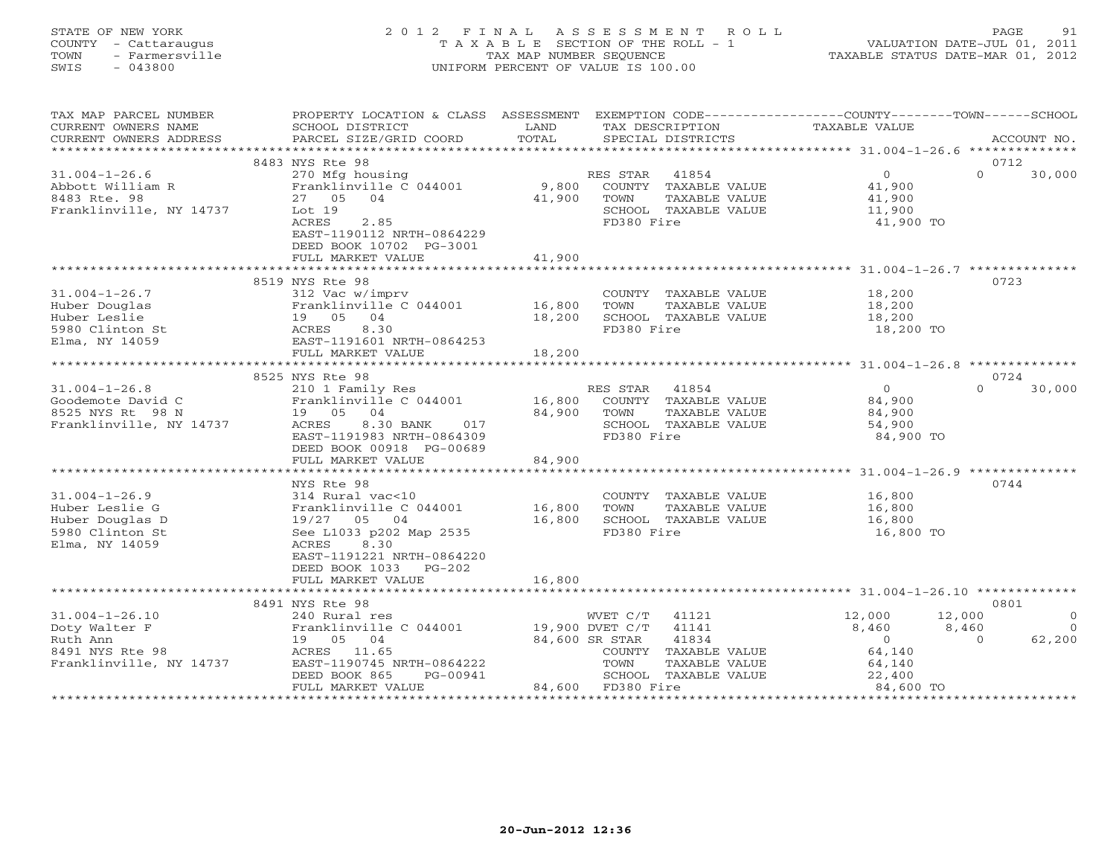## STATE OF NEW YORK 2 0 1 2 F I N A L A S S E S S M E N T R O L L PAGE 91 COUNTY - Cattaraugus T A X A B L E SECTION OF THE ROLL - 1 VALUATION DATE-JUL 01, 2011 TOWN - Farmersville TAX MAP NUMBER SEQUENCE TAXABLE STATUS DATE-MAR 01, 2012 SWIS - 043800 UNIFORM PERCENT OF VALUE IS 100.00UNIFORM PERCENT OF VALUE IS 100.00

| TAX MAP PARCEL NUMBER<br>CURRENT OWNERS NAME<br>CURRENT OWNERS ADDRESS                          | PROPERTY LOCATION & CLASS ASSESSMENT<br>SCHOOL DISTRICT<br>PARCEL SIZE/GRID COORD                                                                                         | LAND<br>TOTAL    | EXEMPTION CODE-----------------COUNTY-------TOWN------SCHOOL<br>TAX DESCRIPTION<br>SPECIAL DISTRICTS  | <b>TAXABLE VALUE</b>                                                                       | ACCOUNT NO.                                 |
|-------------------------------------------------------------------------------------------------|---------------------------------------------------------------------------------------------------------------------------------------------------------------------------|------------------|-------------------------------------------------------------------------------------------------------|--------------------------------------------------------------------------------------------|---------------------------------------------|
|                                                                                                 |                                                                                                                                                                           |                  |                                                                                                       |                                                                                            |                                             |
|                                                                                                 | 8483 NYS Rte 98                                                                                                                                                           |                  |                                                                                                       |                                                                                            | 0712                                        |
| $31.004 - 1 - 26.6$<br>Abbott William R<br>8483 Rte. 98<br>Franklinville, NY 14737              | 270 Mfg housing<br>Franklinville C 044001<br>27 05 04<br>Lot 19<br>ACRES<br>2.85                                                                                          | 9,800<br>41,900  | RES STAR 41854<br>COUNTY TAXABLE VALUE<br>TAXABLE VALUE<br>TOWN<br>SCHOOL TAXABLE VALUE<br>FD380 Fire | $\overline{0}$<br>41,900<br>41,900<br>11,900<br>41,900 TO                                  | $\Omega$<br>30,000                          |
|                                                                                                 | EAST-1190112 NRTH-0864229<br>DEED BOOK 10702 PG-3001<br>FULL MARKET VALUE                                                                                                 | 41,900           |                                                                                                       |                                                                                            |                                             |
|                                                                                                 |                                                                                                                                                                           |                  |                                                                                                       |                                                                                            |                                             |
|                                                                                                 | 8519 NYS Rte 98                                                                                                                                                           |                  |                                                                                                       |                                                                                            | 0723                                        |
| $31.004 - 1 - 26.7$<br>Huber Douglas<br>Huber Leslie<br>5980 Clinton St                         | 312 Vac w/imprv<br>Franklinville C 044001<br>Franklinville<br>19 05 04<br>2005 1191601<br>2007 1191601<br>8.30                                                            | 16,800<br>18,200 | COUNTY TAXABLE VALUE<br>TOWN<br>TAXABLE VALUE<br>SCHOOL TAXABLE VALUE<br>FD380 Fire                   | 18,200<br>18,200<br>18,200<br>18,200 TO                                                    |                                             |
| Elma, NY 14059                                                                                  | EAST-1191601 NRTH-0864253                                                                                                                                                 |                  |                                                                                                       |                                                                                            |                                             |
|                                                                                                 | FULL MARKET VALUE                                                                                                                                                         | 18,200           |                                                                                                       |                                                                                            |                                             |
|                                                                                                 | 8525 NYS Rte 98                                                                                                                                                           |                  |                                                                                                       |                                                                                            | 0724                                        |
| $31.004 - 1 - 26.8$<br>Goodemote David C<br>8525 NYS Rt 98 N<br>Franklinville, NY 14737         | 210 1 Family Res<br>Franklinville C 044001<br>19 05 04<br>ACRES<br>8.30 BANK<br>017                                                                                       | 16,800<br>84,900 | RES STAR 41854<br>COUNTY TAXABLE VALUE<br>TAXABLE VALUE<br>TOWN<br>SCHOOL TAXABLE VALUE               | $\Omega$<br>84,900<br>84,900<br>54,900                                                     | $\Omega$<br>30,000                          |
|                                                                                                 | EAST-1191983 NRTH-0864309<br>DEED BOOK 00918 PG-00689<br>FULL MARKET VALUE                                                                                                | 84,900           | FD380 Fire                                                                                            | 84,900 TO                                                                                  |                                             |
|                                                                                                 |                                                                                                                                                                           |                  |                                                                                                       |                                                                                            |                                             |
| $31.004 - 1 - 26.9$<br>Huber Leslie G<br>Huber Douglas D<br>5980 Clinton St<br>Elma, NY 14059   | NYS Rte 98<br>314 Rural vac<10<br>Franklinville C 044001<br>19/27 05 04<br>See L1033 p202 Map 2535<br>ACRES<br>8.30<br>EAST-1191221 NRTH-0864220<br>DEED BOOK 1033 PG-202 | 16,800<br>16,800 | COUNTY TAXABLE VALUE<br>TOWN<br>TAXABLE VALUE<br>SCHOOL TAXABLE VALUE<br>FD380 Fire                   | 16,800<br>16,800<br>16,800<br>16,800 TO                                                    | 0744                                        |
|                                                                                                 | FULL MARKET VALUE                                                                                                                                                         | 16,800           |                                                                                                       |                                                                                            |                                             |
|                                                                                                 |                                                                                                                                                                           |                  |                                                                                                       |                                                                                            |                                             |
|                                                                                                 | 8491 NYS Rte 98                                                                                                                                                           |                  |                                                                                                       |                                                                                            | 0801                                        |
| $31.004 - 1 - 26.10$<br>Doty Walter F<br>Ruth Ann<br>8491 NYS Rte 98<br>Franklinville, NY 14737 | 240 Rural res<br>Franklinville C 044001 19,900 DVET C/T 41141<br>19  05  04<br>ACRES 11.65<br>EAST-1190745 NRTH-0864222<br>DEED BOOK 865<br>PG-00941                      | 84,600 SR STAR   | WVET C/T 41121<br>41834<br>COUNTY TAXABLE VALUE<br>TOWN<br>TAXABLE VALUE<br>SCHOOL TAXABLE VALUE      | 12,000<br>12,000<br>8,460<br>8,460<br>$\overline{0}$<br>64,140<br>$64,140$<br>64,140<br>22 | $\circ$<br>$\bigcirc$<br>62,200<br>$\Omega$ |
|                                                                                                 | FULL MARKET VALUE                                                                                                                                                         |                  | 84,600 FD380 Fire                                                                                     | 84,600 TO                                                                                  |                                             |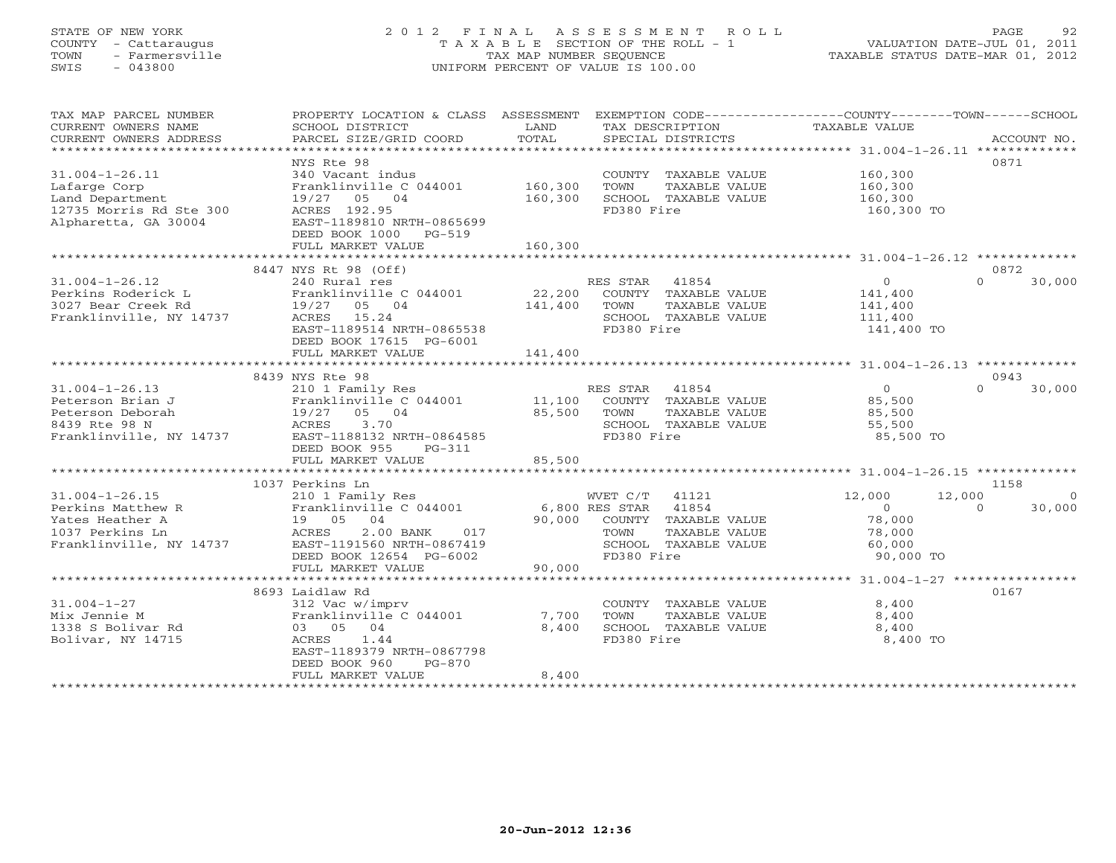## STATE OF NEW YORK 2 0 1 2 F I N A L A S S E S S M E N T R O L L PAGE 92 COUNTY - Cattaraugus T A X A B L E SECTION OF THE ROLL - 1 VALUATION DATE-JUL 01, 2011 TOWN - Farmersville TAX MAP NUMBER SEQUENCE TAXABLE STATUS DATE-MAR 01, 2012 SWIS - 043800 UNIFORM PERCENT OF VALUE IS 100.00UNIFORM PERCENT OF VALUE IS 100.00

| TAX MAP PARCEL NUMBER<br>CURRENT OWNERS NAME<br>CURRENT OWNERS ADDRESS                                     | PROPERTY LOCATION & CLASS ASSESSMENT<br>SCHOOL DISTRICT<br>PARCEL SIZE/GRID COORD                                                                                          | LAND<br>TOTAL                | TAX DESCRIPTION TAXABLE VALUE<br>SPECIAL DISTRICTS                                                                                   | EXEMPTION CODE-----------------COUNTY-------TOWN------SCHOOL                  | ACCOUNT NO.                           |
|------------------------------------------------------------------------------------------------------------|----------------------------------------------------------------------------------------------------------------------------------------------------------------------------|------------------------------|--------------------------------------------------------------------------------------------------------------------------------------|-------------------------------------------------------------------------------|---------------------------------------|
| $31.004 - 1 - 26.11$<br>Lafarge Corp<br>Land Department<br>12735 Morris Rd Ste 300<br>Alpharetta, GA 30004 | NYS Rte 98<br>340 Vacant indus<br>Franklinville C 044001 160,300<br>19/27 05 04<br>ACRES 192.95<br>EAST-1189810 NRTH-0865699<br>DEED BOOK 1000 PG-519<br>FULL MARKET VALUE | 160,300<br>160,300           | COUNTY TAXABLE VALUE<br>TOWN<br>TAXABLE VALUE<br>SCHOOL TAXABLE VALUE<br>FD380 Fire                                                  | 160,300<br>160,300<br>160,300<br>160,300 TO                                   | 0871                                  |
|                                                                                                            | 8447 NYS Rt 98 (Off)                                                                                                                                                       |                              |                                                                                                                                      |                                                                               | 0872                                  |
| $31.004 - 1 - 26.12$<br>Perkins Roderick L<br>3027 Bear Creek Rd<br>Franklinville, NY 14737                | 240 Rural res<br>Franklinville C 044001<br>19/27 05 04<br>ACRES 15.24<br>EAST-1189514 NRTH-0865538<br>DEED BOOK 17615 PG-6001<br>FULL MARKET VALUE                         | 22,200<br>141,400<br>141,400 | RES STAR 41854<br>COUNTY TAXABLE VALUE<br>TAXABLE VALUE<br>TOWN<br>SCHOOL TAXABLE VALUE<br>FD380 Fire                                | $\overline{0}$<br>141,400<br>141,400<br>111,400<br>141,400 TO                 | $\Omega$<br>30,000                    |
|                                                                                                            |                                                                                                                                                                            |                              |                                                                                                                                      |                                                                               |                                       |
|                                                                                                            | 8439 NYS Rte 98                                                                                                                                                            |                              |                                                                                                                                      |                                                                               | 0943<br>$\Omega$                      |
| $31.004 - 1 - 26.13$<br>Peterson Brian J<br>Peterson Deborah<br>8439 Rte 98 N<br>Franklinville, NY 14737   | 19/27 05 04<br>ACRES<br>3.70<br>EAST-1188132 NRTH-0864585<br>DEED BOOK 955<br>PG-311                                                                                       | 85,500                       | TOWN<br>TAXABLE VALUE<br>SCHOOL TAXABLE VALUE<br>FD380 Fire                                                                          | $\overline{O}$<br>85,500<br>85,500<br>55,500<br>85,500 TO                     | 30,000                                |
|                                                                                                            | FULL MARKET VALUE                                                                                                                                                          | 85,500                       |                                                                                                                                      |                                                                               |                                       |
|                                                                                                            |                                                                                                                                                                            |                              |                                                                                                                                      |                                                                               |                                       |
| $31.004 - 1 - 26.15$<br>Perkins Matthew R<br>Yates Heather A<br>1037 Perkins Ln<br>Franklinville, NY 14737 | 1037 Perkins Ln<br>210 1 Family Res<br>Franklinville C 044001<br>19 05 04<br>017<br>$2.00$ BANK<br>ACRES<br>EAST-1191560 NRTH-0867419<br>DEED BOOK 12654 PG-6002           |                              | WVET C/T 41121<br>6,800 RES STAR 41854<br>90,000 COUNTY TAXABLE VALUE<br>TAXABLE VALUE<br>TOWN<br>SCHOOL TAXABLE VALUE<br>FD380 Fire | 12,000<br>12,000<br>$\overline{0}$<br>78,000<br>78,000<br>60,000<br>90,000 TO | 1158<br>$\circ$<br>$\Omega$<br>30,000 |
|                                                                                                            | FULL MARKET VALUE                                                                                                                                                          | 90,000                       |                                                                                                                                      |                                                                               |                                       |
|                                                                                                            |                                                                                                                                                                            |                              |                                                                                                                                      |                                                                               |                                       |
| $31.004 - 1 - 27$<br>Mix Jennie M<br>1338 S Bolivar Rd<br>Bolivar, NY 14715                                | 8693 Laidlaw Rd<br>312 Vac w/imprv<br>Franklinville C 044001<br>03 05 04<br>ACRES 1.44<br>EAST-1189379 NRTH-0867798<br>DEED BOOK 960<br>PG-870<br>FULL MARKET VALUE        | 7,700<br>8,400<br>8,400      | COUNTY TAXABLE VALUE<br>TOWN<br>TAXABLE VALUE<br>SCHOOL TAXABLE VALUE<br>FD380 Fire                                                  | 8,400<br>8,400<br>8,400<br>8,400 TO                                           | 0167                                  |
| **********************                                                                                     | ******************************                                                                                                                                             |                              |                                                                                                                                      |                                                                               |                                       |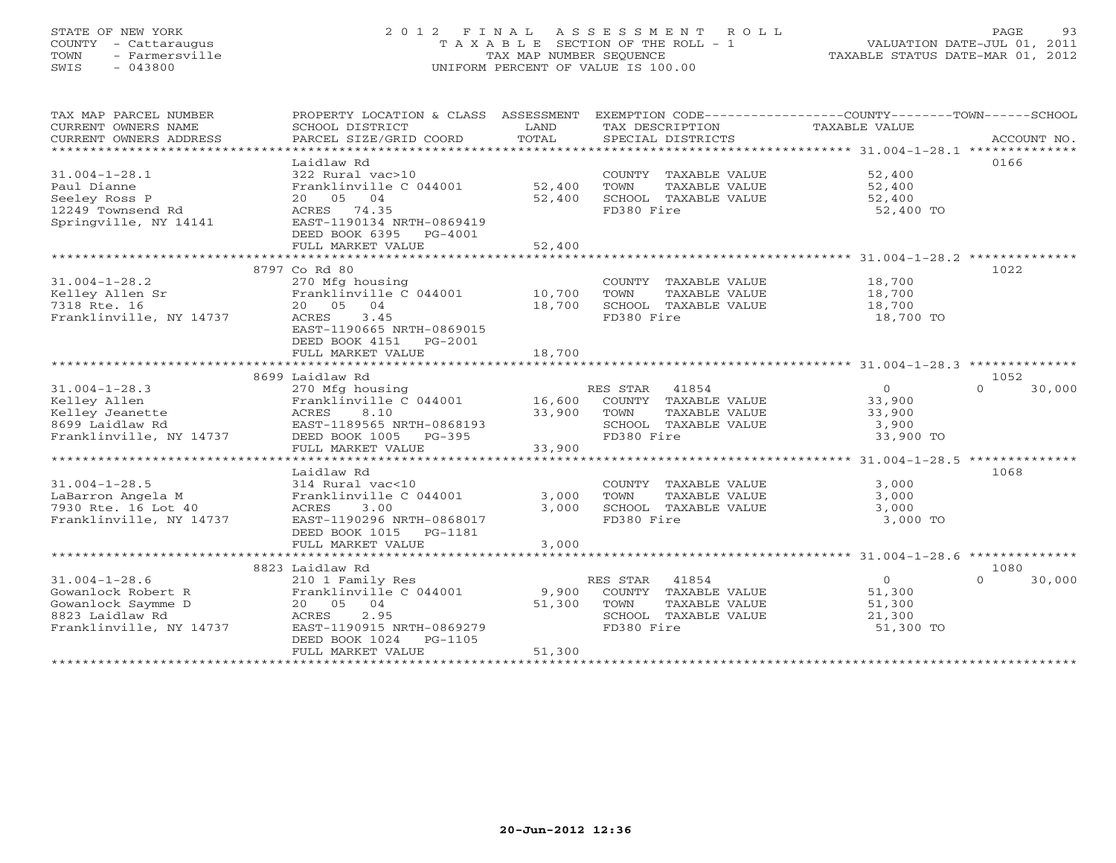## STATE OF NEW YORK 2 0 1 2 F I N A L A S S E S S M E N T R O L L PAGE 93 COUNTY - Cattaraugus T A X A B L E SECTION OF THE ROLL - 1 VALUATION DATE-JUL 01, 2011 TOWN - Farmersville TAX MAP NUMBER SEQUENCE TAXABLE STATUS DATE-MAR 01, 2012 SWIS - 043800 UNIFORM PERCENT OF VALUE IS 100.00UNIFORM PERCENT OF VALUE IS 100.00

| TAX MAP PARCEL NUMBER<br>CURRENT OWNERS NAME<br>CURRENT OWNERS ADDRESS | PROPERTY LOCATION & CLASS ASSESSMENT EXEMPTION CODE---------------COUNTY-------TOWN------SCHOOL<br>SCHOOL DISTRICT<br>PARCEL SIZE/GRID COORD | LAND<br>TOTAL | TAX DESCRIPTION<br>SPECIAL DISTRICTS          | TAXABLE VALUE    | ACCOUNT NO.        |
|------------------------------------------------------------------------|----------------------------------------------------------------------------------------------------------------------------------------------|---------------|-----------------------------------------------|------------------|--------------------|
|                                                                        |                                                                                                                                              |               |                                               |                  |                    |
|                                                                        | Laidlaw Rd                                                                                                                                   |               |                                               |                  | 0166               |
| $31.004 - 1 - 28.1$                                                    | 322 Rural vac>10                                                                                                                             |               | COUNTY TAXABLE VALUE                          | 52,400           |                    |
| Paul Dianne                                                            | Franklinville C 044001 52,400                                                                                                                |               | TOWN<br>TAXABLE VALUE                         | 52,400           |                    |
| Seeley Ross P                                                          | 20 05 04                                                                                                                                     | 52,400        | SCHOOL TAXABLE VALUE                          | 52,400           |                    |
| 12249 Townsend Rd                                                      | ACRES 74.35                                                                                                                                  |               | FD380 Fire                                    | 52,400 TO        |                    |
| Springville, NY 14141                                                  | EAST-1190134 NRTH-0869419                                                                                                                    |               |                                               |                  |                    |
|                                                                        | DEED BOOK 6395 PG-4001                                                                                                                       |               |                                               |                  |                    |
|                                                                        | FULL MARKET VALUE                                                                                                                            | 52,400        |                                               |                  |                    |
|                                                                        |                                                                                                                                              |               |                                               |                  |                    |
|                                                                        | 8797 Co Rd 80                                                                                                                                |               |                                               |                  | 1022               |
| $31.004 - 1 - 28.2$                                                    | 270 Mfg housing                                                                                                                              |               | COUNTY TAXABLE VALUE                          | 18,700           |                    |
| Kelley Allen Sr                                                        | Franklinville C 044001                                                                                                                       | 10,700        | TOWN<br>TAXABLE VALUE                         | 18,700           |                    |
| 7318 Rte. 16                                                           | 20 05 04                                                                                                                                     | 18,700        | SCHOOL TAXABLE VALUE                          | 18,700           |                    |
| Franklinville, NY 14737                                                | ACRES<br>3.45                                                                                                                                |               | FD380 Fire                                    | 18,700 TO        |                    |
|                                                                        | EAST-1190665 NRTH-0869015                                                                                                                    |               |                                               |                  |                    |
|                                                                        | DEED BOOK 4151 PG-2001                                                                                                                       |               |                                               |                  |                    |
|                                                                        | FULL MARKET VALUE                                                                                                                            | 18,700        |                                               |                  |                    |
|                                                                        | 8699 Laidlaw Rd                                                                                                                              |               |                                               |                  | 1052               |
| $31.004 - 1 - 28.3$                                                    | 270 Mfg housing                                                                                                                              |               | RES STAR 41854                                | $\Omega$         | 30,000<br>$\Omega$ |
| Kelley Allen                                                           | Franklinville C 044001                                                                                                                       | 16,600        | COUNTY TAXABLE VALUE                          | 33,900           |                    |
| Kelley Jeanette                                                        | ACRES<br>8.10                                                                                                                                | 33,900        | TAXABLE VALUE<br>TOWN                         | 33,900           |                    |
| 8699 Laidlaw Rd                                                        | EAST-1189565 NRTH-0868193                                                                                                                    |               | SCHOOL TAXABLE VALUE                          | 3,900            |                    |
| Franklinville, NY 14737                                                | DEED BOOK 1005 PG-395                                                                                                                        |               | FD380 Fire                                    | 33,900 TO        |                    |
|                                                                        | FULL MARKET VALUE                                                                                                                            | 33,900        |                                               |                  |                    |
|                                                                        |                                                                                                                                              |               |                                               |                  |                    |
|                                                                        | Laidlaw Rd                                                                                                                                   |               |                                               |                  | 1068               |
| $31.004 - 1 - 28.5$                                                    | 314 Rural vac<10                                                                                                                             |               | COUNTY TAXABLE VALUE                          | 3,000            |                    |
| LaBarron Angela M                                                      | Franklinville C 044001                                                                                                                       | 3,000         | TOWN<br>TAXABLE VALUE                         | 3,000            |                    |
| 7930 Rte. 16 Lot 40                                                    | ACRES<br>3.00                                                                                                                                | 3,000         | SCHOOL TAXABLE VALUE                          | 3,000            |                    |
| Franklinville, NY 14737                                                | EAST-1190296 NRTH-0868017                                                                                                                    |               | FD380 Fire                                    | 3,000 TO         |                    |
|                                                                        | DEED BOOK 1015 PG-1181                                                                                                                       |               |                                               |                  |                    |
|                                                                        | FULL MARKET VALUE                                                                                                                            | 3,000         |                                               |                  |                    |
|                                                                        |                                                                                                                                              |               |                                               |                  |                    |
|                                                                        | 8823 Laidlaw Rd                                                                                                                              |               |                                               |                  | 1080               |
| $31.004 - 1 - 28.6$                                                    | 210 1 Family Res                                                                                                                             |               | RES STAR 41854                                | $\overline{O}$   | $\Omega$<br>30,000 |
| Gowanlock Robert R                                                     | Franklinville C 044001 9,900                                                                                                                 |               | COUNTY TAXABLE VALUE                          | 51,300           |                    |
| Gowanlock Saymme D<br>8823 Laidlaw Rd                                  | 20  05  04<br>2.95<br>ACRES                                                                                                                  | 51,300        | TOWN<br>TAXABLE VALUE<br>SCHOOL TAXABLE VALUE | 51,300<br>21,300 |                    |
| Franklinville, NY 14737                                                | EAST-1190915 NRTH-0869279                                                                                                                    |               | FD380 Fire                                    | 51,300 TO        |                    |
|                                                                        | DEED BOOK 1024 PG-1105                                                                                                                       |               |                                               |                  |                    |
|                                                                        | FULL MARKET VALUE                                                                                                                            | 51,300        |                                               |                  |                    |
|                                                                        |                                                                                                                                              |               |                                               |                  |                    |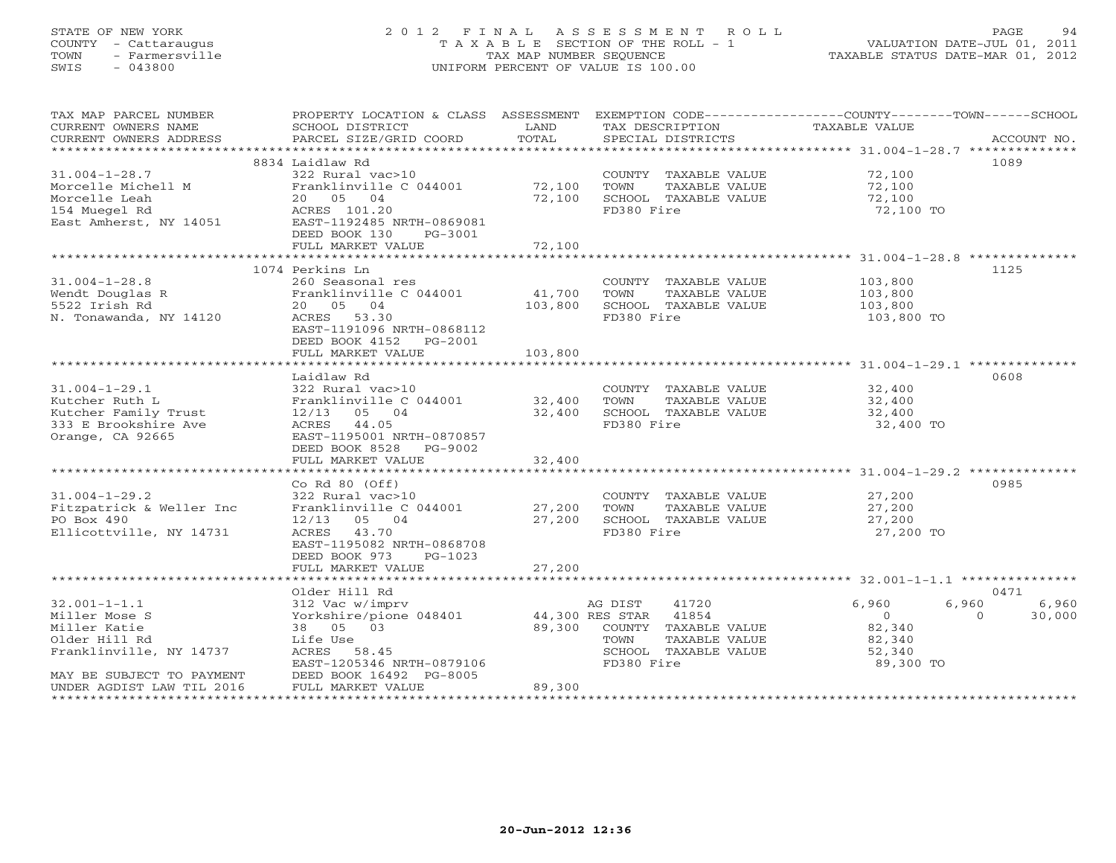## STATE OF NEW YORK 2 0 1 2 F I N A L A S S E S S M E N T R O L L PAGE 94 COUNTY - Cattaraugus T A X A B L E SECTION OF THE ROLL - 1 VALUATION DATE-JUL 01, 2011 TOWN - Farmersville TAX MAP NUMBER SEQUENCE TAXABLE STATUS DATE-MAR 01, 2012 SWIS - 043800 UNIFORM PERCENT OF VALUE IS 100.00UNIFORM PERCENT OF VALUE IS 100.00

| TAX MAP PARCEL NUMBER                         | PROPERTY LOCATION & CLASS ASSESSMENT EXEMPTION CODE----------------COUNTY-------TOWN------SCHOOL |               |                                      |                           |             |
|-----------------------------------------------|--------------------------------------------------------------------------------------------------|---------------|--------------------------------------|---------------------------|-------------|
| CURRENT OWNERS NAME<br>CURRENT OWNERS ADDRESS | SCHOOL DISTRICT<br>PARCEL SIZE/GRID COORD                                                        | LAND<br>TOTAL | TAX DESCRIPTION<br>SPECIAL DISTRICTS | TAXABLE VALUE             | ACCOUNT NO. |
|                                               |                                                                                                  |               |                                      |                           |             |
|                                               | 8834 Laidlaw Rd                                                                                  |               |                                      |                           | 1089        |
| $31.004 - 1 - 28.7$                           | 322 Rural vac>10                                                                                 |               | COUNTY TAXABLE VALUE                 | 72,100                    |             |
| Morcelle Michell M                            | Franklinville C 044001                                                                           | 72,100        | TOWN<br>TAXABLE VALUE                | 72,100                    |             |
| Morcelle Leah                                 | 20 05 04                                                                                         | 72,100        | SCHOOL TAXABLE VALUE                 | 72,100                    |             |
| 154 Muegel Rd                                 | ACRES 101.20                                                                                     |               | FD380 Fire                           | 72,100 TO                 |             |
| East Amherst, NY 14051                        | EAST-1192485 NRTH-0869081                                                                        |               |                                      |                           |             |
|                                               | DEED BOOK 130<br>PG-3001                                                                         |               |                                      |                           |             |
|                                               | FULL MARKET VALUE                                                                                | 72,100        |                                      |                           |             |
|                                               |                                                                                                  |               |                                      |                           |             |
| $31.004 - 1 - 28.8$                           | 1074 Perkins Ln<br>260 Seasonal res                                                              |               | COUNTY TAXABLE VALUE                 | 103,800                   | 1125        |
| Wendt Douglas R                               | Franklinville C 044001                                                                           | 41,700        | TOWN<br>TAXABLE VALUE                | 103,800                   |             |
| 5522 Irish Rd                                 | 20 05 04                                                                                         | 103,800       | SCHOOL TAXABLE VALUE                 | 103,800                   |             |
| N. Tonawanda, NY 14120                        | ACRES 53.30                                                                                      |               | FD380 Fire                           | 103,800 TO                |             |
|                                               | EAST-1191096 NRTH-0868112                                                                        |               |                                      |                           |             |
|                                               | DEED BOOK 4152 PG-2001                                                                           |               |                                      |                           |             |
|                                               | FULL MARKET VALUE                                                                                | 103,800       |                                      |                           |             |
|                                               |                                                                                                  |               |                                      |                           |             |
|                                               | Laidlaw Rd                                                                                       |               |                                      |                           | 0608        |
| $31.004 - 1 - 29.1$                           | 322 Rural vac>10                                                                                 |               | COUNTY TAXABLE VALUE                 | 32,400                    |             |
| Kutcher Ruth L                                | Franklinville C 044001                                                                           | 32,400        | TAXABLE VALUE<br>TOWN                | 32,400                    |             |
| Kutcher Family Trust                          | $12/13$ 05 04                                                                                    | 32,400        | SCHOOL TAXABLE VALUE                 | 32,400                    |             |
| 333 E Brookshire Ave                          | ACRES 44.05                                                                                      |               | FD380 Fire                           | 32,400 TO                 |             |
| Orange, CA 92665                              | EAST-1195001 NRTH-0870857<br>DEED BOOK 8528 PG-9002                                              |               |                                      |                           |             |
|                                               | FULL MARKET VALUE                                                                                | 32,400        |                                      |                           |             |
|                                               |                                                                                                  |               |                                      |                           |             |
|                                               | Co Rd $80$ (Off)                                                                                 |               |                                      |                           | 0985        |
| $31.004 - 1 - 29.2$                           | 322 Rural vac>10                                                                                 |               | COUNTY TAXABLE VALUE                 | 27,200                    |             |
| Fitzpatrick & Weller Inc                      | Franklinville C 044001 27,200                                                                    |               | TOWN<br>TAXABLE VALUE                | 27,200                    |             |
| PO Box 490                                    | $12/13$ 05 04                                                                                    | 27,200        | SCHOOL TAXABLE VALUE                 | 27,200                    |             |
| Ellicottville, NY 14731                       | ACRES 43.70                                                                                      |               | FD380 Fire                           | 27,200 TO                 |             |
|                                               | EAST-1195082 NRTH-0868708                                                                        |               |                                      |                           |             |
|                                               | DEED BOOK 973<br>$PG-1023$                                                                       |               |                                      |                           |             |
|                                               | FULL MARKET VALUE                                                                                | 27,200        |                                      |                           |             |
|                                               | Older Hill Rd                                                                                    |               |                                      |                           | 0471        |
| $32.001 - 1 - 1.1$                            | 312 Vac w/imprv                                                                                  |               | 41720<br>AG DIST                     | 6,960<br>6,960            | 6,960       |
| Miller Mose S                                 | Yorkshire/pione 048401                                                                           |               | 44,300 RES STAR 41854                | $\overline{0}$<br>$\circ$ | 30,000      |
| Miller Katie                                  | 38 05 03                                                                                         | 89,300        | COUNTY TAXABLE VALUE                 | 82,340                    |             |
| Older Hill Rd                                 | Life Use                                                                                         |               | TOWN<br>TAXABLE VALUE                | 82,340                    |             |
| Franklinville, NY 14737                       | ACRES 58.45                                                                                      |               | SCHOOL TAXABLE VALUE                 | 52,340                    |             |
|                                               | EAST-1205346 NRTH-0879106                                                                        |               | FD380 Fire                           | 89,300 TO                 |             |
| MAY BE SUBJECT TO PAYMENT                     | DEED BOOK 16492 PG-8005                                                                          |               |                                      |                           |             |
| UNDER AGDIST LAW TIL 2016                     | FULL MARKET VALUE                                                                                | 89,300        |                                      |                           |             |
|                                               |                                                                                                  |               |                                      |                           |             |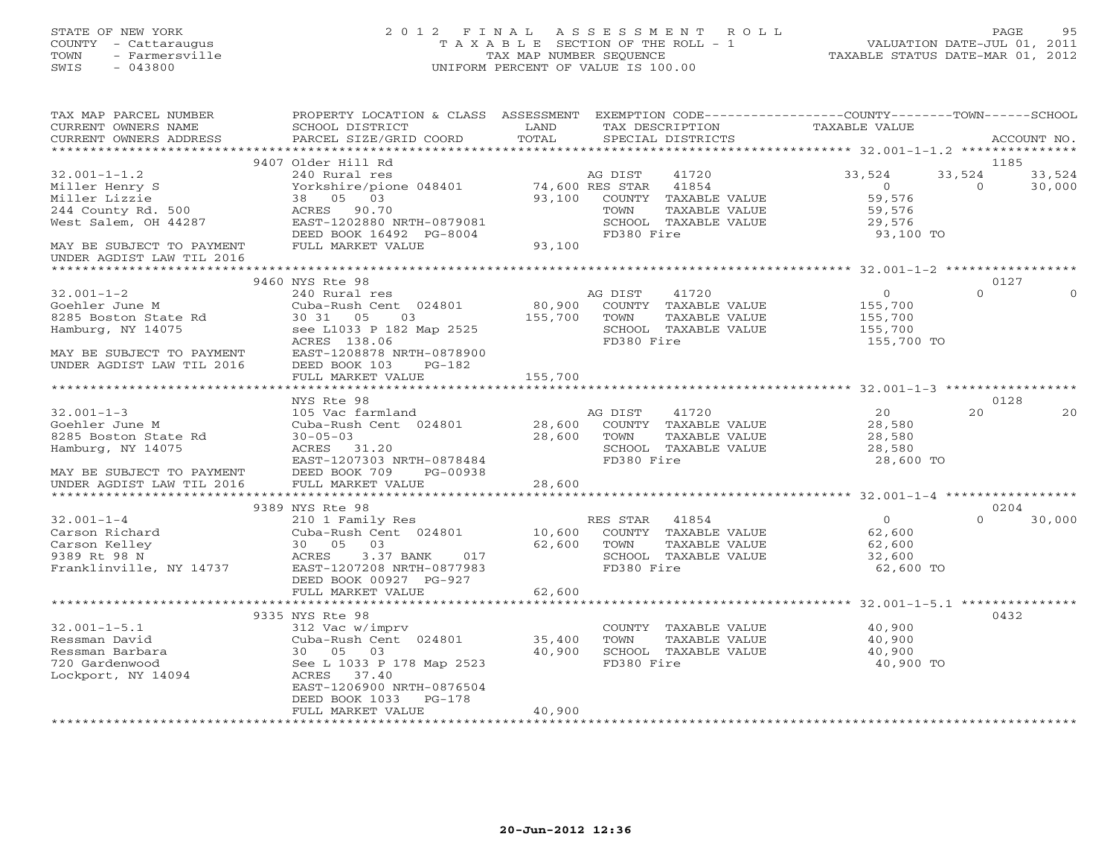#### STATE OF NEW YORK 2 0 1 2 F I N A L A S S E S S M E N T R O L L PAGE 95 COUNTY - Cattaraugus T A X A B L E SECTION OF THE ROLL - 1 VALUATION DATE-JUL 01, 2011 TOWN - Farmersville TAX MAP NUMBER SEQUENCE TAXABLE STATUS DATE-MAR 01, 2012 SWIS - 043800 UNIFORM PERCENT OF VALUE IS 100.00UNIFORM PERCENT OF VALUE IS 100.00

| TAX MAP PARCEL NUMBER<br>CURRENT OWNERS NAME<br>CURRENT OWNERS ADDRESS                                                                    | PROPERTY LOCATION & CLASS ASSESSMENT<br>SCHOOL DISTRICT<br>PARCEL SIZE/GRID COORD                                                                                  | LAND<br>TOTAL     | TAX DESCRIPTION<br>SPECIAL DISTRICTS                                                                                | EXEMPTION CODE-----------------COUNTY-------TOWN------SCHOOL<br>TAXABLE VALUE | ACCOUNT NO.                            |
|-------------------------------------------------------------------------------------------------------------------------------------------|--------------------------------------------------------------------------------------------------------------------------------------------------------------------|-------------------|---------------------------------------------------------------------------------------------------------------------|-------------------------------------------------------------------------------|----------------------------------------|
| *************************                                                                                                                 |                                                                                                                                                                    |                   |                                                                                                                     |                                                                               |                                        |
|                                                                                                                                           | 9407 Older Hill Rd                                                                                                                                                 |                   |                                                                                                                     |                                                                               | 1185                                   |
| $32.001 - 1 - 1.2$<br>Miller Henry S<br>Miller Lizzie<br>244 County Rd. 500<br>West Salem, OH 44287<br>MAY BE SUBJECT TO PAYMENT          | 240 Rural res<br>Yorkshire/pione 048401 74,600 RES STAR<br>03<br>38 05<br>ACRES 90.70<br>EAST-1202880 NRTH-0879081<br>DEED BOOK 16492 PG-8004<br>FULL MARKET VALUE | 93,100<br>93,100  | AG DIST<br>41720<br>41854<br>COUNTY<br>TAXABLE VALUE<br>TOWN<br>TAXABLE VALUE<br>SCHOOL TAXABLE VALUE<br>FD380 Fire | 33,524<br>$\circ$<br>59,576<br>59,576<br>29,576<br>93,100 TO                  | 33,524<br>33,524<br>30,000<br>$\Omega$ |
| UNDER AGDIST LAW TIL 2016                                                                                                                 |                                                                                                                                                                    |                   |                                                                                                                     |                                                                               |                                        |
|                                                                                                                                           | 9460 NYS Rte 98                                                                                                                                                    |                   |                                                                                                                     |                                                                               | 0127                                   |
| $32.001 - 1 - 2$<br>Goehler June M<br>8285 Boston State Rd<br>Hamburg, NY 14075<br>MAY BE SUBJECT TO PAYMENT<br>UNDER AGDIST LAW TIL 2016 | 240 Rural res<br>Cuba-Rush Cent 024801<br>30 31 05<br>03<br>see L1033 P 182 Map 2525<br>ACRES 138.06<br>EAST-1208878 NRTH-0878900<br>DEED BOOK 103<br>$PG-182$     | 80,900<br>155,700 | AG DIST<br>41720<br>COUNTY TAXABLE VALUE<br>TOWN<br>TAXABLE VALUE<br>SCHOOL TAXABLE VALUE<br>FD380 Fire             | $\circ$<br>155,700<br>155,700<br>155,700<br>155,700 TO                        | $\Omega$<br>$\Omega$                   |
|                                                                                                                                           | FULL MARKET VALUE                                                                                                                                                  | 155,700           |                                                                                                                     |                                                                               |                                        |
|                                                                                                                                           |                                                                                                                                                                    | ***************** |                                                                                                                     |                                                                               |                                        |
| $32.001 - 1 - 3$<br>Goehler June M<br>8285 Boston State Rd<br>Hamburg, NY 14075                                                           | NYS Rte 98<br>105 Vac farmland<br>Cuba-Rush Cent 024801<br>$30 - 05 - 03$<br>ACRES 31.20<br>EAST-1207303 NRTH-0878484                                              | 28,600<br>28,600  | 41720<br>AG DIST<br>COUNTY TAXABLE VALUE<br>TOWN<br>TAXABLE VALUE<br>SCHOOL TAXABLE VALUE<br>FD380 Fire             | 20<br>28,580<br>28,580<br>28,580<br>28,600 TO                                 | 0128<br>2.0<br>20                      |
| MAY BE SUBJECT TO PAYMENT<br>UNDER AGDIST LAW TIL 2016                                                                                    | DEED BOOK 709<br>PG-00938<br>FULL MARKET VALUE                                                                                                                     | 28,600            |                                                                                                                     |                                                                               |                                        |
|                                                                                                                                           |                                                                                                                                                                    | *************     |                                                                                                                     |                                                                               |                                        |
|                                                                                                                                           | 9389 NYS Rte 98                                                                                                                                                    |                   |                                                                                                                     |                                                                               | 0204                                   |
| $32.001 - 1 - 4$<br>Carson Richard<br>Carson Kelley<br>9389 Rt 98 N<br>Franklinville, NY 14737                                            | 210 1 Family Res<br>Cuba-Rush Cent 024801<br>30 05 03<br>ACRES<br>3.37 BANK<br>017<br>EAST-1207208 NRTH-0877983<br>DEED BOOK 00927 PG-927                          | 10,600<br>62,600  | RES STAR 41854<br>COUNTY TAXABLE VALUE<br>TOWN<br>TAXABLE VALUE<br>SCHOOL TAXABLE VALUE<br>FD380 Fire               | $\overline{0}$<br>62,600<br>62,600<br>32,600<br>62,600 TO                     | $\Omega$<br>30,000                     |
|                                                                                                                                           | FULL MARKET VALUE                                                                                                                                                  | 62,600            |                                                                                                                     |                                                                               |                                        |
|                                                                                                                                           | 9335 NYS Rte 98                                                                                                                                                    |                   |                                                                                                                     |                                                                               | 0432                                   |
| $32.001 - 1 - 5.1$<br>Ressman David<br>Ressman Barbara<br>720 Gardenwood<br>Lockport, NY 14094                                            | 312 Vac w/imprv<br>Cuba-Rush Cent 024801<br>30 05 03<br>See L 1033 P 178 Map 2523<br>ACRES 37.40<br>EAST-1206900 NRTH-0876504<br>DEED BOOK 1033<br>$PG-178$        | 35,400<br>40,900  | COUNTY TAXABLE VALUE<br>TOWN<br>TAXABLE VALUE<br>SCHOOL TAXABLE VALUE<br>FD380 Fire                                 | 40,900<br>40,900<br>40,900<br>40,900 TO                                       |                                        |
|                                                                                                                                           | FULL MARKET VALUE                                                                                                                                                  | 40,900            | **************************                                                                                          |                                                                               |                                        |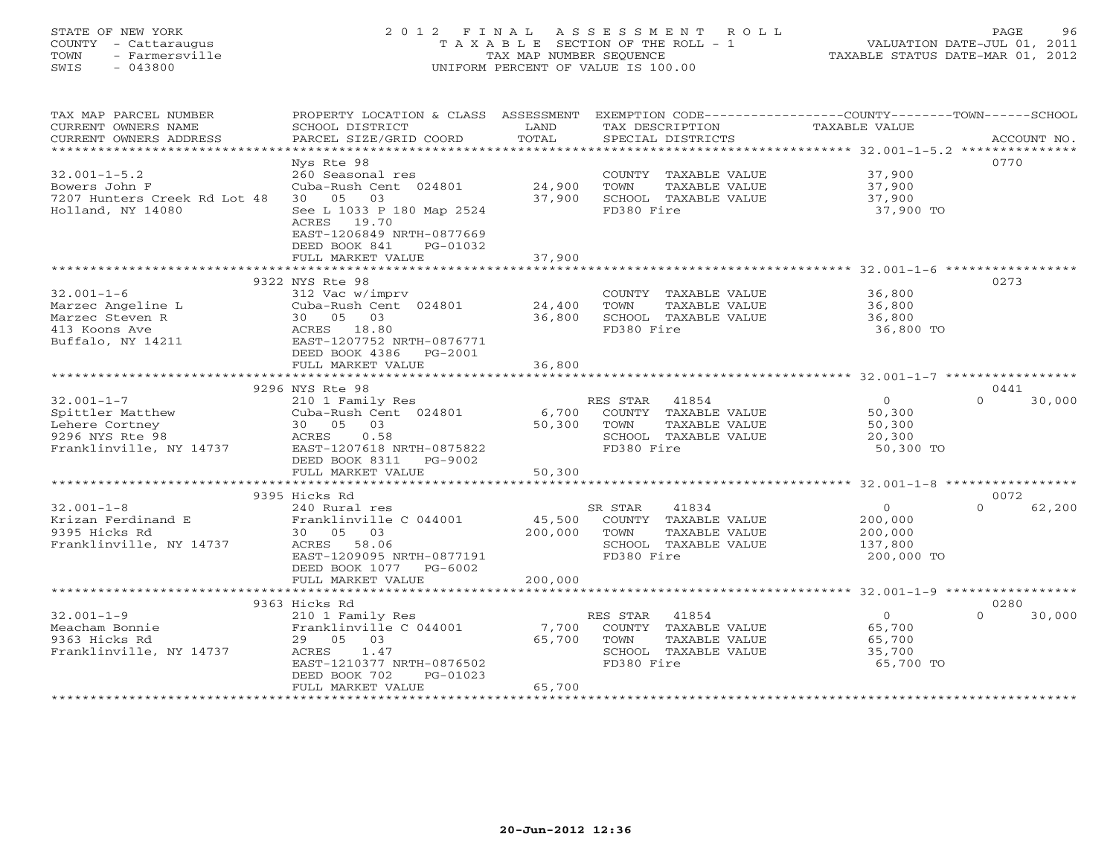## STATE OF NEW YORK 2 0 1 2 F I N A L A S S E S S M E N T R O L L PAGE 96 COUNTY - Cattaraugus T A X A B L E SECTION OF THE ROLL - 1 VALUATION DATE-JUL 01, 2011 TOWN - Farmersville TAX MAP NUMBER SEQUENCE TAXABLE STATUS DATE-MAR 01, 2012 SWIS - 043800 UNIFORM PERCENT OF VALUE IS 100.00UNIFORM PERCENT OF VALUE IS 100.00

| TAX MAP PARCEL NUMBER        | PROPERTY LOCATION & CLASS ASSESSMENT            |              | EXEMPTION CODE-----------------COUNTY-------TOWN------SCHOOL |                                                     |                    |
|------------------------------|-------------------------------------------------|--------------|--------------------------------------------------------------|-----------------------------------------------------|--------------------|
| CURRENT OWNERS NAME          | SCHOOL DISTRICT                                 | LAND         | TAX DESCRIPTION                                              | TAXABLE VALUE                                       |                    |
| CURRENT OWNERS ADDRESS       | PARCEL SIZE/GRID COORD                          | TOTAL        | SPECIAL DISTRICTS                                            |                                                     | ACCOUNT NO.        |
| **********************       |                                                 |              |                                                              |                                                     |                    |
|                              | Nys Rte 98                                      |              |                                                              |                                                     | 0770               |
| $32.001 - 1 - 5.2$           | 260 Seasonal res                                |              | COUNTY TAXABLE VALUE                                         | 37,900                                              |                    |
| Bowers John F                | Cuba-Rush Cent 024801                           | 24,900       | TOWN<br>TAXABLE VALUE                                        | 37,900                                              |                    |
| 7207 Hunters Creek Rd Lot 48 | 30 05<br>03                                     | 37,900       | SCHOOL TAXABLE VALUE                                         | 37,900                                              |                    |
| Holland, NY 14080            | See L 1033 P 180 Map 2524                       |              | FD380 Fire                                                   | 37,900 TO                                           |                    |
|                              | ACRES 19.70                                     |              |                                                              |                                                     |                    |
|                              | EAST-1206849 NRTH-0877669                       |              |                                                              |                                                     |                    |
|                              | DEED BOOK 841<br>PG-01032                       |              |                                                              |                                                     |                    |
|                              | FULL MARKET VALUE                               | 37,900       |                                                              |                                                     |                    |
|                              |                                                 |              |                                                              |                                                     |                    |
|                              | 9322 NYS Rte 98                                 |              |                                                              |                                                     | 0273               |
|                              |                                                 |              |                                                              |                                                     |                    |
| $32.001 - 1 - 6$             | 312 Vac w/imprv<br>Cuba-Rush Cent 024801 24,400 |              | COUNTY TAXABLE VALUE                                         | 36,800<br>36,800                                    |                    |
| Marzec Angeline L            |                                                 |              | TOWN<br>TAXABLE VALUE                                        |                                                     |                    |
|                              |                                                 | 36,800       | SCHOOL TAXABLE VALUE                                         | 36,800                                              |                    |
| 413 Koons Ave                | ACRES 18.80                                     |              | FD380 Fire                                                   | 36,800 TO                                           |                    |
| Buffalo, NY 14211            | EAST-1207752 NRTH-0876771                       |              |                                                              |                                                     |                    |
|                              | DEED BOOK 4386 PG-2001                          |              |                                                              |                                                     |                    |
|                              | FULL MARKET VALUE                               | 36,800       |                                                              |                                                     |                    |
|                              |                                                 |              |                                                              |                                                     |                    |
|                              | 9296 NYS Rte 98                                 |              |                                                              | $\begin{array}{c} 0 \\ 50,300 \\ 50,32 \end{array}$ | 0441               |
| $32.001 - 1 - 7$             | 210 1 Family Res                                |              | RES STAR 41854                                               |                                                     | $\cap$<br>30,000   |
| Spittler Matthew             | Cuba-Rush Cent $024801$                         |              | 6,700 COUNTY TAXABLE VALUE                                   |                                                     |                    |
| Lehere Cortney               | 30 05 03                                        | 50,300 TOWN  | TAXABLE VALUE                                                |                                                     |                    |
| 9296 NYS Rte 98              | 0.58<br>ACRES                                   |              | SCHOOL TAXABLE VALUE                                         | 20,300                                              |                    |
| Franklinville, NY 14737      | EAST-1207618 NRTH-0875822                       |              | FD380 Fire                                                   | 50,300 TO                                           |                    |
|                              | DEED BOOK 8311 PG-9002                          |              |                                                              |                                                     |                    |
|                              | FULL MARKET VALUE                               | 50,300       |                                                              |                                                     |                    |
|                              |                                                 |              |                                                              |                                                     |                    |
|                              | 9395 Hicks Rd                                   |              |                                                              |                                                     | 0072               |
| $32.001 - 1 - 8$             | 240 Rural res                                   |              | SR STAR<br>41834                                             | $\overline{0}$                                      | $\Omega$<br>62,200 |
| Krizan Ferdinand E           | Franklinville C 044001                          |              | 45,500 COUNTY TAXABLE VALUE                                  | 200,000                                             |                    |
| 9395 Hicks Rd                | 30 05 03                                        | 200,000 TOWN | TAXABLE VALUE                                                | 200,000                                             |                    |
| Franklinville, NY 14737      | ACRES 58.06                                     |              | SCHOOL TAXABLE VALUE                                         | 137,800                                             |                    |
|                              | EAST-1209095 NRTH-0877191                       |              | FD380 Fire                                                   | 200,000 TO                                          |                    |
|                              | DEED BOOK 1077 PG-6002                          |              |                                                              |                                                     |                    |
|                              | FULL MARKET VALUE                               | 200,000      |                                                              |                                                     |                    |
|                              |                                                 |              |                                                              |                                                     |                    |
|                              | 9363 Hicks Rd                                   |              |                                                              |                                                     | 0280               |
| $32.001 - 1 - 9$             | 210 1 Family Res                                |              | RES STAR 41854                                               | $\overline{0}$                                      | $\Omega$<br>30,000 |
| Meacham Bonnie               | Franklinville C 044001                          |              | 7,700 COUNTY TAXABLE VALUE                                   |                                                     |                    |
| 9363 Hicks Rd                | 29 05 03                                        | 65,700       | TOWN<br>TAXABLE VALUE                                        | 65,700<br>65.700<br>65,700                          |                    |
| Franklinville, NY 14737      | ACRES 1.47                                      |              | SCHOOL TAXABLE VALUE                                         | 35,700                                              |                    |
|                              | EAST-1210377 NRTH-0876502                       |              | FD380 Fire                                                   | 65,700 TO                                           |                    |
|                              |                                                 |              |                                                              |                                                     |                    |
|                              | DEED BOOK 702<br>PG-01023                       | 65,700       |                                                              |                                                     |                    |
|                              | FULL MARKET VALUE<br>************************   |              |                                                              |                                                     |                    |
|                              |                                                 |              |                                                              |                                                     |                    |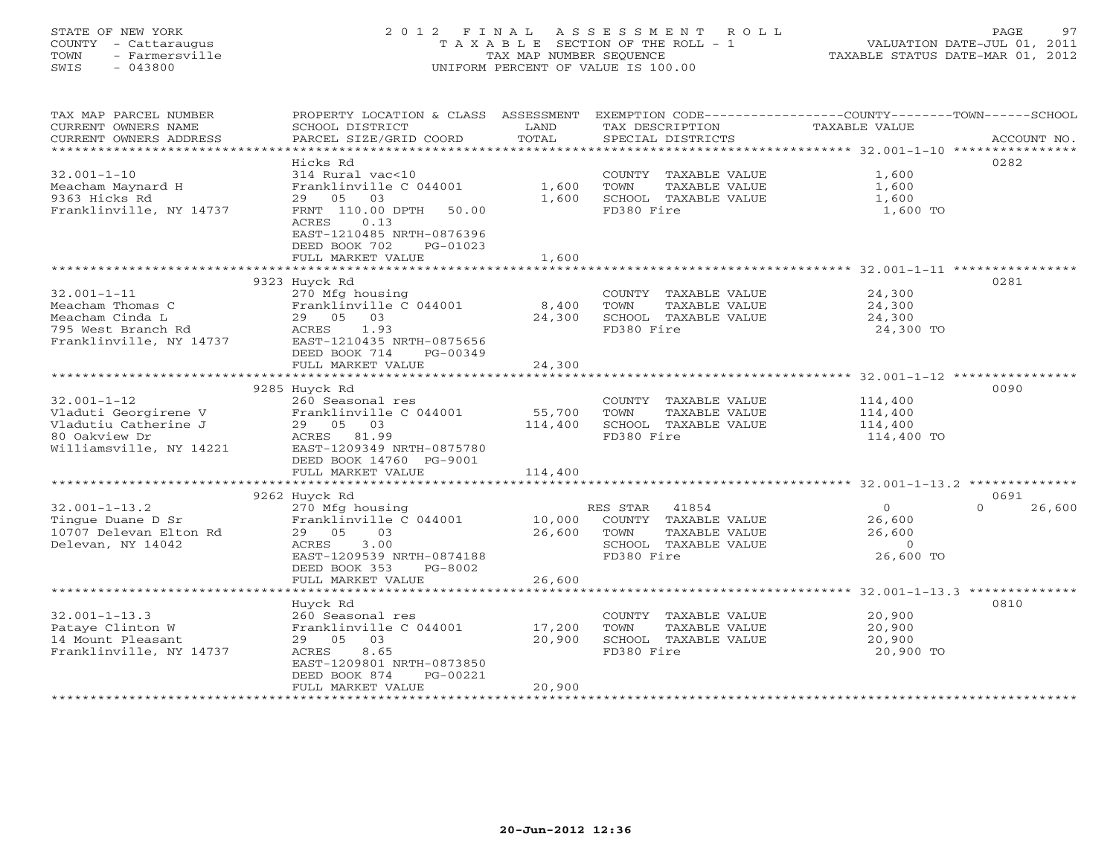# STATE OF NEW YORK 2 0 1 2 F I N A L A S S E S S M E N T R O L L PAGE 97 COUNTY - Cattaraugus T A X A B L E SECTION OF THE ROLL - 1 VALUATION DATE-JUL 01, 2011 TOWN - Farmersville TAX MAP NUMBER SEQUENCE TAXABLE STATUS DATE-MAR 01, 2012 SWIS - 043800 UNIFORM PERCENT OF VALUE IS 100.00

| TAX MAP PARCEL NUMBER   | PROPERTY LOCATION & CLASS ASSESSMENT                   |         | EXEMPTION CODE-----------------COUNTY-------TOWN------SCHOOL |               |                    |
|-------------------------|--------------------------------------------------------|---------|--------------------------------------------------------------|---------------|--------------------|
| CURRENT OWNERS NAME     | SCHOOL DISTRICT                                        | LAND    | TAX DESCRIPTION                                              | TAXABLE VALUE |                    |
| CURRENT OWNERS ADDRESS  | PARCEL SIZE/GRID COORD                                 | TOTAL   | SPECIAL DISTRICTS                                            |               | ACCOUNT NO.        |
| ********************    | ***********************                                |         |                                                              |               |                    |
|                         | Hicks Rd                                               |         |                                                              |               | 0282               |
| $32.001 - 1 - 10$       | 314 Rural vac<10                                       |         | COUNTY TAXABLE VALUE                                         | 1,600         |                    |
| Meacham Maynard H       | Franklinville C 044001                                 | 1,600   | TOWN<br>TAXABLE VALUE                                        | 1,600         |                    |
| 9363 Hicks Rd           | 29<br>05<br>03                                         | 1,600   | SCHOOL TAXABLE VALUE                                         | 1,600         |                    |
| Franklinville, NY 14737 | FRNT 110.00 DPTH<br>50.00                              |         | FD380 Fire                                                   | 1,600 TO      |                    |
|                         | 0.13<br>ACRES                                          |         |                                                              |               |                    |
|                         | EAST-1210485 NRTH-0876396                              |         |                                                              |               |                    |
|                         | DEED BOOK 702<br>PG-01023                              |         |                                                              |               |                    |
|                         | FULL MARKET VALUE<br>*********************             | 1,600   |                                                              |               |                    |
|                         | 9323 Huyck Rd                                          |         |                                                              |               | 0281               |
| $32.001 - 1 - 11$       | 270 Mfg housing                                        |         | COUNTY TAXABLE VALUE                                         | 24,300        |                    |
| Meacham Thomas C        | Franklinville C 044001                                 | 8,400   | TOWN<br>TAXABLE VALUE                                        | 24,300        |                    |
| Meacham Cinda L         | 29 05 03                                               | 24,300  | SCHOOL TAXABLE VALUE                                         | 24,300        |                    |
| 795 West Branch Rd      | ACRES<br>1.93                                          |         | FD380 Fire                                                   | 24,300 TO     |                    |
| Franklinville, NY 14737 | EAST-1210435 NRTH-0875656                              |         |                                                              |               |                    |
|                         | DEED BOOK 714<br>PG-00349                              |         |                                                              |               |                    |
|                         | FULL MARKET VALUE                                      | 24,300  |                                                              |               |                    |
|                         |                                                        |         |                                                              |               |                    |
|                         | 9285 Huyck Rd                                          |         |                                                              |               | 0090               |
| $32.001 - 1 - 12$       | 260 Seasonal res                                       |         | COUNTY TAXABLE VALUE                                         | 114,400       |                    |
| Vladuti Georgirene V    | Franklinville C 044001                                 | 55,700  | TOWN<br>TAXABLE VALUE                                        | 114,400       |                    |
| Vladutiu Catherine J    | 29 05<br>03                                            | 114,400 | SCHOOL TAXABLE VALUE                                         | 114,400       |                    |
| 80 Oakview Dr           | ACRES 81.99                                            |         | FD380 Fire                                                   | 114,400 TO    |                    |
| Williamsville, NY 14221 | EAST-1209349 NRTH-0875780                              |         |                                                              |               |                    |
|                         | DEED BOOK 14760 PG-9001                                |         |                                                              |               |                    |
|                         | FULL MARKET VALUE                                      | 114,400 |                                                              |               |                    |
|                         |                                                        |         |                                                              |               |                    |
|                         | 9262 Huyck Rd                                          |         |                                                              |               | 0691               |
| $32.001 - 1 - 13.2$     | 270 Mfg housing                                        |         | RES STAR<br>41854                                            | $\circ$       | $\Omega$<br>26,600 |
| Tinque Duane D Sr       | Franklinville C 044001                                 | 10,000  | COUNTY TAXABLE VALUE                                         | 26,600        |                    |
| 10707 Delevan Elton Rd  | 29 05<br>03                                            | 26,600  | TOWN<br>TAXABLE VALUE                                        | 26,600        |                    |
| Delevan, NY 14042       | 3.00<br>ACRES                                          |         | SCHOOL TAXABLE VALUE                                         | $\circ$       |                    |
|                         | EAST-1209539 NRTH-0874188                              |         | FD380 Fire                                                   | 26,600 TO     |                    |
|                         | DEED BOOK 353<br>PG-8002                               |         |                                                              |               |                    |
|                         | FULL MARKET VALUE                                      | 26,600  |                                                              |               |                    |
|                         |                                                        |         |                                                              |               |                    |
|                         | Huyck Rd                                               |         |                                                              |               | 0810               |
| $32.001 - 1 - 13.3$     | 260 Seasonal res                                       |         | COUNTY TAXABLE VALUE                                         | 20,900        |                    |
| Pataye Clinton W        | Franklinville C 044001                                 | 17,200  | TOWN<br>TAXABLE VALUE                                        | 20,900        |                    |
| 14 Mount Pleasant       | 29 05<br>03                                            | 20,900  | SCHOOL TAXABLE VALUE                                         | 20,900        |                    |
| Franklinville, NY 14737 | 8.65<br>ACRES                                          |         | FD380 Fire                                                   | 20,900 TO     |                    |
|                         | EAST-1209801 NRTH-0873850<br>DEED BOOK 874<br>PG-00221 |         |                                                              |               |                    |
|                         | FULL MARKET VALUE                                      | 20,900  |                                                              |               |                    |
|                         |                                                        |         |                                                              |               |                    |
|                         |                                                        |         |                                                              |               |                    |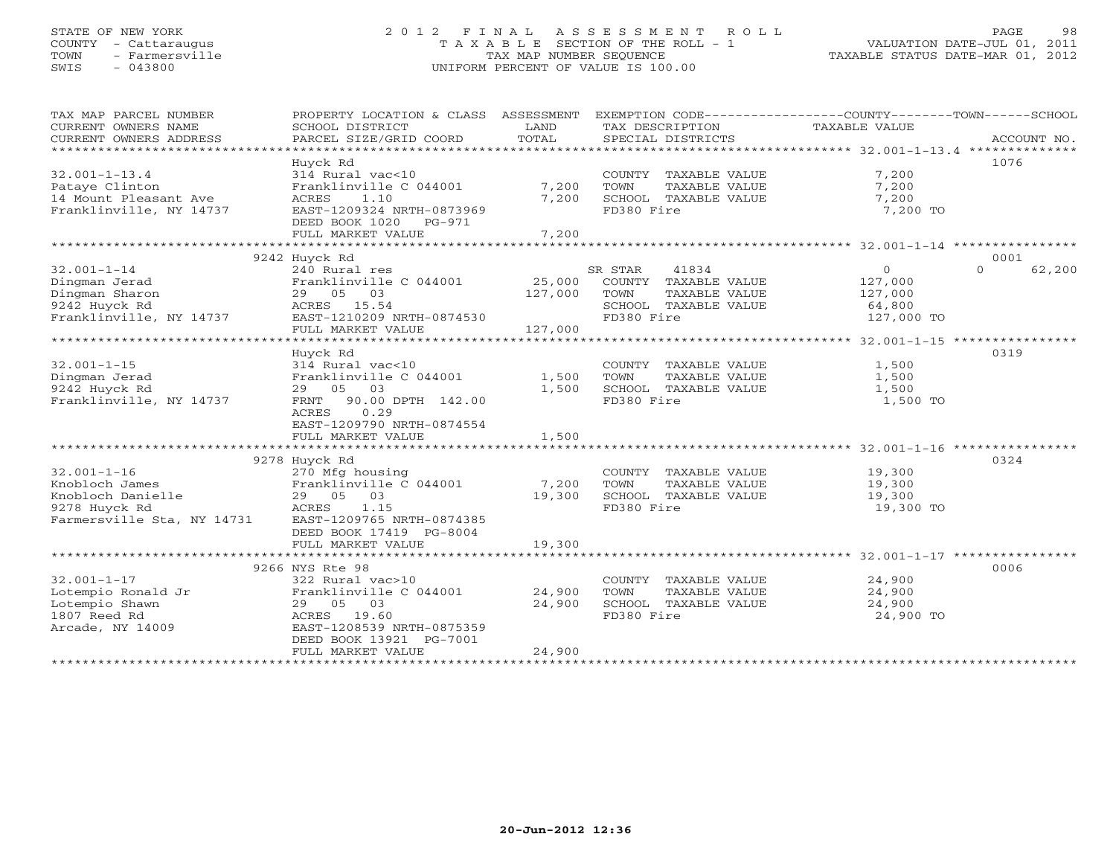## STATE OF NEW YORK 2 0 1 2 F I N A L A S S E S S M E N T R O L L PAGE 98 COUNTY - Cattaraugus T A X A B L E SECTION OF THE ROLL - 1 VALUATION DATE-JUL 01, 2011 TOWN - Farmersville TAX MAP NUMBER SEQUENCE TAXABLE STATUS DATE-MAR 01, 2012 SWIS - 043800 UNIFORM PERCENT OF VALUE IS 100.00UNIFORM PERCENT OF VALUE IS 100.00

| TAX MAP PARCEL NUMBER      | PROPERTY LOCATION & CLASS                  | ASSESSMENT |            |                      | EXEMPTION CODE-----------------COUNTY-------TOWN-----SCHOOL |                    |
|----------------------------|--------------------------------------------|------------|------------|----------------------|-------------------------------------------------------------|--------------------|
| CURRENT OWNERS NAME        | SCHOOL DISTRICT                            | LAND       |            | TAX DESCRIPTION      | TAXABLE VALUE                                               |                    |
| CURRENT OWNERS ADDRESS     | PARCEL SIZE/GRID COORD                     | TOTAL      |            | SPECIAL DISTRICTS    |                                                             | ACCOUNT NO.        |
| ****************           |                                            |            |            |                      |                                                             |                    |
|                            | Huyck Rd                                   |            |            |                      |                                                             | 1076               |
| $32.001 - 1 - 13.4$        | 314 Rural vac<10                           |            |            | COUNTY TAXABLE VALUE | 7,200                                                       |                    |
| Pataye Clinton             | Franklinville C 044001                     | 7,200      | TOWN       | TAXABLE VALUE        | 7,200                                                       |                    |
| 14 Mount Pleasant Ave      | ACRES<br>1.10                              | 7,200      |            | SCHOOL TAXABLE VALUE | 7,200                                                       |                    |
| Franklinville, NY 14737    | EAST-1209324 NRTH-0873969                  |            | FD380 Fire |                      | 7,200 TO                                                    |                    |
|                            | DEED BOOK 1020<br>PG-971                   |            |            |                      |                                                             |                    |
|                            | FULL MARKET VALUE                          | 7,200      |            |                      |                                                             |                    |
|                            |                                            |            |            |                      |                                                             |                    |
|                            | 9242 Huyck Rd                              |            |            |                      |                                                             | 0001               |
| $32.001 - 1 - 14$          | 240 Rural res                              |            | SR STAR    | 41834                | $\Omega$                                                    | $\Omega$<br>62,200 |
| Dingman Jerad              |                                            | 25,000     |            |                      |                                                             |                    |
|                            | Franklinville C 044001                     |            |            | COUNTY TAXABLE VALUE | 127,000                                                     |                    |
| Dingman Sharon             | 29 05<br>03                                | 127,000    | TOWN       | TAXABLE VALUE        | 127,000                                                     |                    |
| 9242 Huyck Rd              | ACRES 15.54                                |            |            | SCHOOL TAXABLE VALUE | 64,800                                                      |                    |
| Franklinville, NY 14737    | EAST-1210209 NRTH-0874530                  |            | FD380 Fire |                      | 127,000 TO                                                  |                    |
|                            | FULL MARKET VALUE                          | 127,000    |            |                      |                                                             |                    |
|                            | *********************                      |            |            |                      |                                                             |                    |
|                            | Huyck Rd                                   |            |            |                      |                                                             | 0319               |
| $32.001 - 1 - 15$          | 314 Rural vac<10                           |            |            | COUNTY TAXABLE VALUE | 1,500                                                       |                    |
| Dingman Jerad              | Franklinville C 044001                     | 1,500      | TOWN       | TAXABLE VALUE        | 1,500                                                       |                    |
| 9242 Huyck Rd              | 03<br>05<br>29                             | 1,500      |            | SCHOOL TAXABLE VALUE | 1,500                                                       |                    |
| Franklinville, NY 14737    | 90.00 DPTH 142.00<br>FRNT                  |            | FD380 Fire |                      | 1,500 TO                                                    |                    |
|                            | <b>ACRES</b><br>0.29                       |            |            |                      |                                                             |                    |
|                            |                                            |            |            |                      |                                                             |                    |
|                            | EAST-1209790 NRTH-0874554                  |            |            |                      |                                                             |                    |
|                            | FULL MARKET VALUE                          | 1,500      |            |                      |                                                             |                    |
|                            |                                            |            |            |                      |                                                             |                    |
|                            | 9278 Huyck Rd                              |            |            |                      |                                                             | 0324               |
| $32.001 - 1 - 16$          | 270 Mfg housing                            |            |            | COUNTY TAXABLE VALUE | 19,300                                                      |                    |
| Knobloch James             | Franklinville C 044001                     | 7,200      | TOWN       | TAXABLE VALUE        | 19,300                                                      |                    |
| Knobloch Danielle          | 29 05 03                                   | 19,300     |            | SCHOOL TAXABLE VALUE | 19,300                                                      |                    |
| 9278 Huyck Rd              | 1.15<br>ACRES                              |            | FD380 Fire |                      | 19,300 TO                                                   |                    |
| Farmersville Sta, NY 14731 | EAST-1209765 NRTH-0874385                  |            |            |                      |                                                             |                    |
|                            | DEED BOOK 17419 PG-8004                    |            |            |                      |                                                             |                    |
|                            | FULL MARKET VALUE                          | 19,300     |            |                      |                                                             |                    |
|                            | **************************                 |            |            |                      |                                                             |                    |
|                            | 9266 NYS Rte 98                            |            |            |                      |                                                             | 0006               |
|                            |                                            |            |            |                      |                                                             |                    |
| $32.001 - 1 - 17$          | 322 Rural vac>10                           |            |            | COUNTY TAXABLE VALUE | 24,900                                                      |                    |
| Lotempio Ronald Jr         | Franklinville C 044001                     | 24,900     | TOWN       | TAXABLE VALUE        | 24,900                                                      |                    |
| Lotempio Shawn             | 29 05 03                                   | 24,900     |            | SCHOOL TAXABLE VALUE | 24,900                                                      |                    |
| 1807 Reed Rd               | ACRES<br>19.60                             |            | FD380 Fire |                      | 24,900 TO                                                   |                    |
| Arcade, NY 14009           | EAST-1208539 NRTH-0875359                  |            |            |                      |                                                             |                    |
|                            | DEED BOOK 13921 PG-7001                    |            |            |                      |                                                             |                    |
|                            | FULL MARKET VALUE                          | 24,900     |            |                      |                                                             |                    |
|                            | <b>. * * * * * * * * * * * * * * * *</b> * |            |            |                      |                                                             |                    |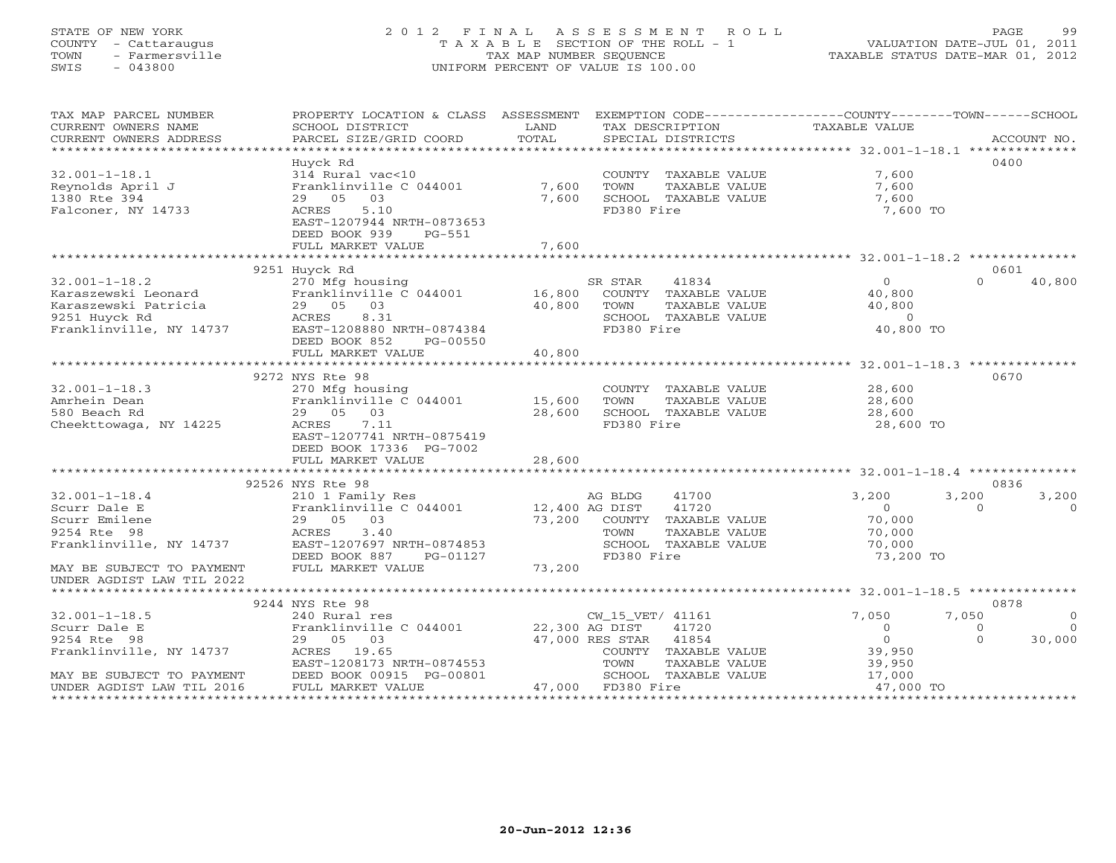### STATE OF NEW YORK 2 0 1 2 F I N A L A S S E S S M E N T R O L L PAGE 99 COUNTY - Cattaraugus T A X A B L E SECTION OF THE ROLL - 1 VALUATION DATE-JUL 01, 2011 TOWN - Farmersville TAX MAP NUMBER SEQUENCE TAXABLE STATUS DATE-MAR 01, 2012 SWIS - 043800 UNIFORM PERCENT OF VALUE IS 100.00UNIFORM PERCENT OF VALUE IS 100.00

| TAX MAP PARCEL NUMBER<br>CURRENT OWNERS NAME                                                                                                                                           | PROPERTY LOCATION & CLASS ASSESSMENT EXEMPTION CODE----------------COUNTY-------TOWN------SCHOOL<br>SCHOOL DISTRICT | LAND   | TAX DESCRIPTION TAXABLE VALUE                 |                |                      |
|----------------------------------------------------------------------------------------------------------------------------------------------------------------------------------------|---------------------------------------------------------------------------------------------------------------------|--------|-----------------------------------------------|----------------|----------------------|
| CURRENT OWNERS ADDRESS                                                                                                                                                                 | PARCEL SIZE/GRID COORD                                                                                              | TOTAL  | SPECIAL DISTRICTS                             |                | ACCOUNT NO.          |
|                                                                                                                                                                                        |                                                                                                                     |        |                                               |                |                      |
|                                                                                                                                                                                        | Huyck Rd                                                                                                            |        |                                               |                | 0400                 |
| $32.001 - 1 - 18.1$                                                                                                                                                                    | 314 Rural vac<10                                                                                                    |        | COUNTY TAXABLE VALUE                          | 7,600          |                      |
| Reynolds April J                                                                                                                                                                       | Franklinville C 044001                                                                                              | 7,600  | TOWN<br>TAXABLE VALUE                         | 7,600          |                      |
| 1380 Rte 394                                                                                                                                                                           | 29 05 03                                                                                                            | 7,600  | SCHOOL TAXABLE VALUE                          | 7,600          |                      |
| Falconer, NY 14733                                                                                                                                                                     | 5.10<br>ACRES                                                                                                       |        | FD380 Fire                                    | 7,600 TO       |                      |
|                                                                                                                                                                                        | EAST-1207944 NRTH-0873653                                                                                           |        |                                               |                |                      |
|                                                                                                                                                                                        | DEED BOOK 939<br>PG-551                                                                                             |        |                                               |                |                      |
|                                                                                                                                                                                        | FULL MARKET VALUE                                                                                                   | 7,600  |                                               |                |                      |
|                                                                                                                                                                                        |                                                                                                                     |        |                                               |                |                      |
|                                                                                                                                                                                        | 9251 Huyck Rd                                                                                                       |        |                                               |                | 0601                 |
| $32.001 - 1 - 18.2$                                                                                                                                                                    |                                                                                                                     |        |                                               | $\overline{0}$ | 40,800<br>$\Omega$   |
| Karaszewski Leonard                                                                                                                                                                    |                                                                                                                     |        |                                               | 40,800         |                      |
| Karaszewski Patricia                                                                                                                                                                   | 29 05 03                                                                                                            | 40,800 | TAXABLE VALUE<br>TOWN                         | 40,800         |                      |
| 9251 Huyck Rd                                                                                                                                                                          | ACRES<br>8.31                                                                                                       |        | SCHOOL TAXABLE VALUE                          | $\Omega$       |                      |
| Franklinville, NY 14737                                                                                                                                                                | EAST-1208880 NRTH-0874384                                                                                           |        | FD380 Fire                                    | 40,800 TO      |                      |
|                                                                                                                                                                                        | DEED BOOK 852<br>PG-00550                                                                                           |        |                                               |                |                      |
|                                                                                                                                                                                        | FULL MARKET VALUE                                                                                                   | 40,800 |                                               |                |                      |
|                                                                                                                                                                                        |                                                                                                                     |        |                                               |                |                      |
|                                                                                                                                                                                        | 9272 NYS Rte 98                                                                                                     |        |                                               |                | 0670                 |
| $32.001 - 1 - 18.3$                                                                                                                                                                    | 270 Mfg housing                                                                                                     |        | COUNTY TAXABLE VALUE                          | 28,600         |                      |
| Amrhein Dean                                                                                                                                                                           | Franklinville C 044001 15,600                                                                                       |        | TOWN<br>TAXABLE VALUE                         | 28,600         |                      |
| 580 Beach Rd                                                                                                                                                                           | 29 05 03                                                                                                            | 28,600 | SCHOOL TAXABLE VALUE                          | 28,600         |                      |
| Cheekttowaga, NY 14225                                                                                                                                                                 | ACRES 7.11                                                                                                          |        | FD380 Fire                                    | 28,600 TO      |                      |
|                                                                                                                                                                                        | EAST-1207741 NRTH-0875419                                                                                           |        |                                               |                |                      |
|                                                                                                                                                                                        | DEED BOOK 17336 PG-7002                                                                                             |        |                                               |                |                      |
|                                                                                                                                                                                        | FULL MARKET VALUE                                                                                                   | 28,600 |                                               |                |                      |
|                                                                                                                                                                                        |                                                                                                                     |        |                                               |                |                      |
|                                                                                                                                                                                        | 92526 NYS Rte 98                                                                                                    |        |                                               |                | 0836                 |
| $32.001 - 1 - 18.4$                                                                                                                                                                    | 210 1 Family Res                                                                                                    |        | 41700<br>AG BLDG                              | 3,200          | 3,200<br>3,200       |
|                                                                                                                                                                                        | Franklinville C 044001                                                                                              |        |                                               | $\overline{0}$ | $\Omega$<br>$\Omega$ |
|                                                                                                                                                                                        |                                                                                                                     |        | 12,400 AG DIST<br>73,200 COUNTY TAXABLE VALUE | 70,000         |                      |
|                                                                                                                                                                                        |                                                                                                                     |        | TOWN<br>TAXABLE VALUE                         | 70,000         |                      |
| Scurr Dale E<br>Franklinville C 044001<br>Scurr Emilene<br>9254 Rte 98<br>Franklinville, NY 14737<br>EAST-1207697 NRTH-0874853<br>Franklinville, NY 14737<br>EAST-1207697 NRTH-0874853 |                                                                                                                     |        | SCHOOL TAXABLE VALUE                          | 70,000         |                      |
|                                                                                                                                                                                        | DEED BOOK 887 PG-01127                                                                                              |        | FD380 Fire                                    | 73,200 TO      |                      |
| MAY BE SUBJECT TO PAYMENT                                                                                                                                                              | FULL MARKET VALUE                                                                                                   | 73,200 |                                               |                |                      |
| UNDER AGDIST LAW TIL 2022                                                                                                                                                              |                                                                                                                     |        |                                               |                |                      |
|                                                                                                                                                                                        |                                                                                                                     |        |                                               |                |                      |
|                                                                                                                                                                                        | 9244 NYS Rte 98                                                                                                     |        |                                               |                | 0878                 |
| $32.001 - 1 - 18.5$                                                                                                                                                                    | 240 Rural res                                                                                                       |        | CW 15 VET/ 41161                              | 7,050          | 7,050<br>$\Omega$    |
| Scurr Dale E                                                                                                                                                                           | Franklinville C 044001 22,300 AG DIST 41720                                                                         |        |                                               | $\Omega$       | $\Omega$<br>$\Omega$ |
| 9254 Rte 98                                                                                                                                                                            | 29 05 03                                                                                                            |        | 47,000 RES STAR 41854                         | $\overline{0}$ | $\Omega$<br>30,000   |
| Franklinville, NY 14737                                                                                                                                                                | ACRES 19.65                                                                                                         |        | COUNTY TAXABLE VALUE                          | 39,950         |                      |
|                                                                                                                                                                                        | EAST-1208173 NRTH-0874553                                                                                           |        | TOWN<br>TAXABLE VALUE                         | 39,950         |                      |
| MAY BE SUBJECT TO PAYMENT                                                                                                                                                              | DEED BOOK 00915 PG-00801                                                                                            |        | SCHOOL TAXABLE VALUE                          | 17,000         |                      |
| UNDER AGDIST LAW TIL 2016                                                                                                                                                              | FULL MARKET VALUE                                                                                                   |        | 47,000 FD380 Fire                             | 47,000 TO      |                      |
|                                                                                                                                                                                        |                                                                                                                     |        |                                               |                |                      |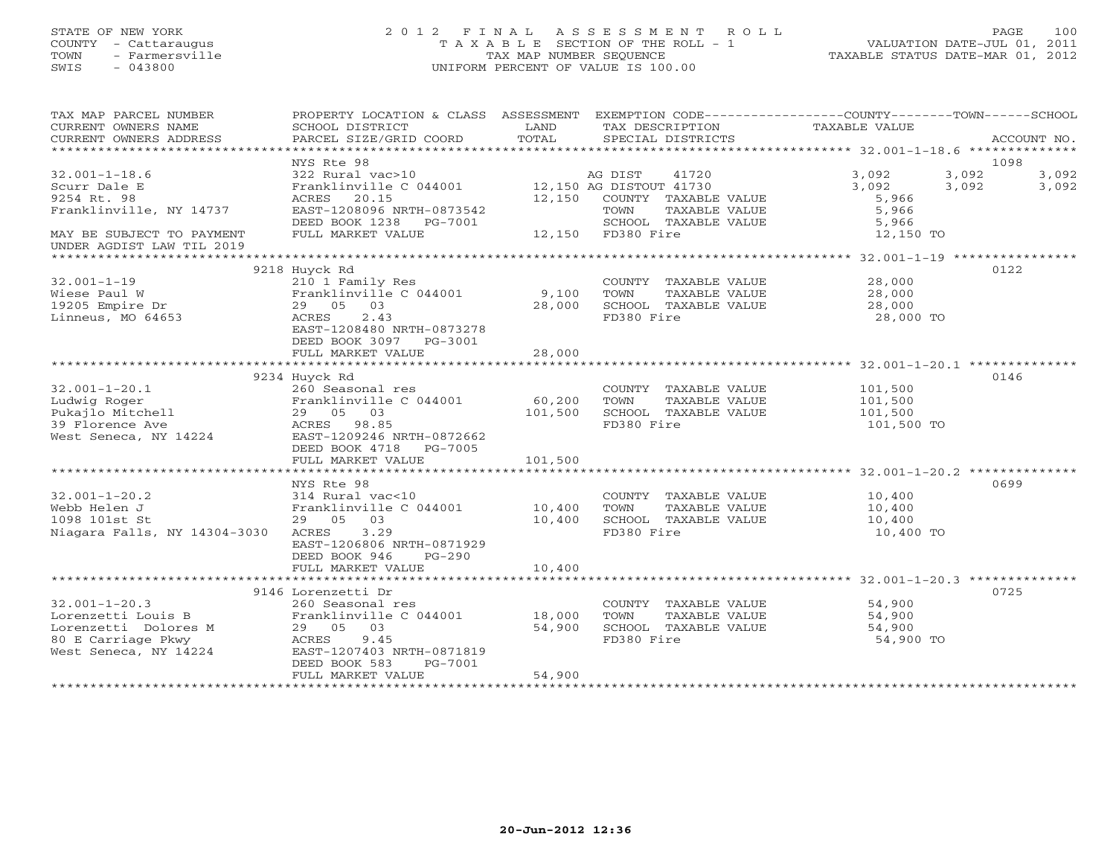#### STATE OF NEW YORK 2 0 1 2 F I N A L A S S E S S M E N T R O L L PAGE 100 COUNTY - Cattaraugus T A X A B L E SECTION OF THE ROLL - 1 VALUATION DATE-JUL 01, 2011 TOWN - Farmersville TAX MAP NUMBER SEQUENCE TAXABLE STATUS DATE-MAR 01, 2012 SWIS - 043800 UNIFORM PERCENT OF VALUE IS 100.00UNIFORM PERCENT OF VALUE IS 100.00

| TAX MAP PARCEL NUMBER<br>CURRENT OWNERS NAME<br>CURRENT OWNERS ADDRESS | PROPERTY LOCATION & CLASS ASSESSMENT EXEMPTION CODE----------------COUNTY-------TOWN------SCHOOL<br>SCHOOL DISTRICT<br>PARCEL SIZE/GRID COORD | LAND<br>TOTAL | TAX DESCRIPTION<br>SPECIAL DISTRICTS |                                       | TAXABLE VALUE                                                |       | ACCOUNT NO.   |
|------------------------------------------------------------------------|-----------------------------------------------------------------------------------------------------------------------------------------------|---------------|--------------------------------------|---------------------------------------|--------------------------------------------------------------|-------|---------------|
|                                                                        |                                                                                                                                               |               |                                      |                                       |                                                              |       |               |
| $32.001 - 1 - 18.6$                                                    | NYS Rte 98<br>322 Rural vac>10                                                                                                                |               | AG DIST                              | 41720                                 | 3,092                                                        | 3,092 | 1098<br>3,092 |
| Scurr Dale E<br>9254 Rt. 98                                            | Franklinville C 044001 12,150 AG DISTOUT 41730<br>ACRES 20.15                                                                                 |               |                                      | 12,150 COUNTY TAXABLE VALUE           | 3,092<br>5,966                                               | 3,092 | 3,092         |
| Franklinville, NY 14737                                                | EAST-1208096 NRTH-0873542<br>DEED BOOK 1238 PG-7001                                                                                           |               | TOWN                                 | TAXABLE VALUE<br>SCHOOL TAXABLE VALUE | 5,966<br>5,966                                               |       |               |
| MAY BE SUBJECT TO PAYMENT<br>UNDER AGDIST LAW TIL 2019                 | FULL MARKET VALUE                                                                                                                             |               | 12,150 FD380 Fire                    |                                       | 12,150 TO                                                    |       |               |
|                                                                        |                                                                                                                                               |               |                                      |                                       |                                                              |       |               |
|                                                                        | 9218 Huyck Rd                                                                                                                                 |               |                                      |                                       |                                                              |       | 0122          |
| $32.001 - 1 - 19$                                                      | 210 1 Family Res                                                                                                                              | 9,100         | TOWN                                 |                                       | COUNTY TAXABLE VALUE 28,000                                  |       |               |
| Wiese Paul W<br>19205 Empire Dr                                        | Franklinville C 044001<br>29 05 03                                                                                                            | 28,000        |                                      | TAXABLE VALUE<br>SCHOOL TAXABLE VALUE | $\begin{array}{c} 28\, , \, 000 \ 28\, , \, 000 \end{array}$ |       |               |
| Linneus, MO 64653                                                      | ACRES<br>2.43                                                                                                                                 |               | FD380 Fire                           |                                       | 28,000 TO                                                    |       |               |
|                                                                        | EAST-1208480 NRTH-0873278<br>DEED BOOK 3097 PG-3001                                                                                           |               |                                      |                                       |                                                              |       |               |
|                                                                        | FULL MARKET VALUE                                                                                                                             | 28,000        |                                      |                                       |                                                              |       |               |
|                                                                        |                                                                                                                                               |               |                                      |                                       |                                                              |       |               |
|                                                                        | 9234 Huyck Rd                                                                                                                                 |               |                                      |                                       |                                                              |       | 0146          |
| $32.001 - 1 - 20.1$                                                    | 260 Seasonal res                                                                                                                              | 60,200        |                                      |                                       | COUNTY TAXABLE VALUE 101,500                                 |       |               |
|                                                                        | Franklinville C 044001                                                                                                                        | 101,500       | TOWN                                 | TAXABLE VALUE<br>SCHOOL TAXABLE VALUE | 101,500<br>101,500                                           |       |               |
|                                                                        |                                                                                                                                               |               | FD380 Fire                           |                                       | 101,500 TO                                                   |       |               |
|                                                                        |                                                                                                                                               |               |                                      |                                       |                                                              |       |               |
|                                                                        | DEED BOOK 4718 PG-7005                                                                                                                        |               |                                      |                                       |                                                              |       |               |
|                                                                        | FULL MARKET VALUE                                                                                                                             | 101,500       |                                      |                                       |                                                              |       |               |
|                                                                        |                                                                                                                                               |               |                                      |                                       |                                                              |       |               |
|                                                                        | NYS Rte 98                                                                                                                                    |               |                                      |                                       |                                                              |       | 0699          |
| $32.001 - 1 - 20.2$                                                    | 314 Rural vac<10<br>Franklinville C 044001 10,400                                                                                             |               |                                      | COUNTY TAXABLE VALUE                  | 10,400                                                       |       |               |
| Webb Helen J                                                           |                                                                                                                                               |               | TOWN                                 | TAXABLE VALUE                         | 10,400                                                       |       |               |
| 1098 101st St                                                          | 29 05 03                                                                                                                                      | 10,400        |                                      | SCHOOL TAXABLE VALUE                  | 10,400                                                       |       |               |
| Niagara Falls, NY 14304-3030                                           | ACRES 3.29<br>EAST-1206806 NRTH-0871929<br>DEED BOOK 946<br>PG-290                                                                            |               | FD380 Fire                           |                                       | 10,400 TO                                                    |       |               |
|                                                                        | FULL MARKET VALUE                                                                                                                             | 10,400        |                                      |                                       |                                                              |       |               |
|                                                                        |                                                                                                                                               |               |                                      |                                       |                                                              |       |               |
|                                                                        | 9146 Lorenzetti Dr                                                                                                                            |               |                                      |                                       |                                                              |       | 0725          |
| $32.001 - 1 - 20.3$                                                    | 260 Seasonal res                                                                                                                              |               |                                      | COUNTY TAXABLE VALUE                  | 54,900                                                       |       |               |
| Lorenzetti Louis B                                                     | Franklinville C 044001 18,000                                                                                                                 |               | TOWN                                 | TAXABLE VALUE                         | 54,900                                                       |       |               |
|                                                                        | 29 05 03                                                                                                                                      | 54,900        |                                      | SCHOOL TAXABLE VALUE                  | 54,900                                                       |       |               |
| Lorenzetti Dolores M<br>80 E Carriage Pkwy<br>West Seneca, NY 14224    | 9.45<br>ACRES                                                                                                                                 |               | FD380 Fire                           |                                       | 54,900 TO                                                    |       |               |
|                                                                        | EAST-1207403 NRTH-0871819<br>DEED BOOK 583<br>PG-7001                                                                                         |               |                                      |                                       |                                                              |       |               |
|                                                                        | FULL MARKET VALUE                                                                                                                             | 54,900        |                                      |                                       |                                                              |       |               |
|                                                                        |                                                                                                                                               |               |                                      |                                       |                                                              |       |               |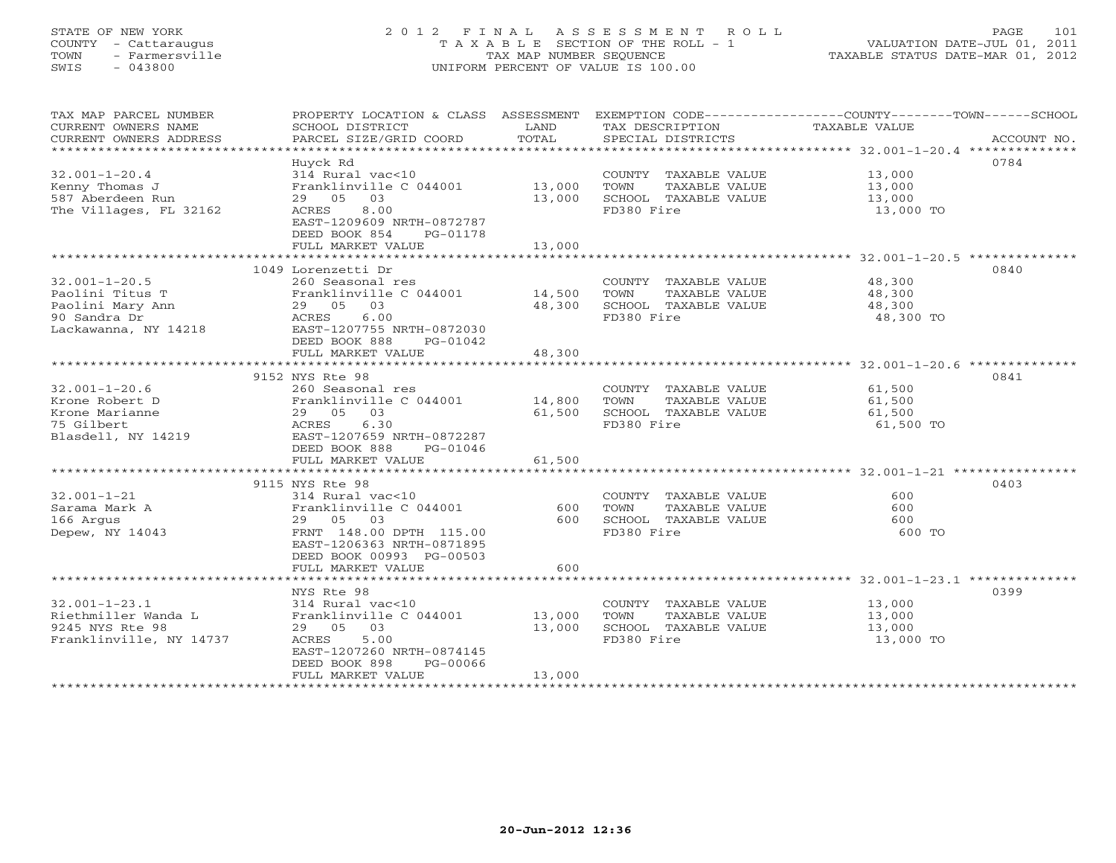## STATE OF NEW YORK 2 0 1 2 F I N A L A S S E S S M E N T R O L L PAGE 101 COUNTY - Cattaraugus T A X A B L E SECTION OF THE ROLL - 1 VALUATION DATE-JUL 01, 2011 TOWN - Farmersville TAX MAP NUMBER SEQUENCE TAXABLE STATUS DATE-MAR 01, 2012 SWIS - 043800 UNIFORM PERCENT OF VALUE IS 100.00UNIFORM PERCENT OF VALUE IS 100.00

| TAX MAP PARCEL NUMBER<br>CURRENT OWNERS NAME<br>CURRENT OWNERS ADDRESS<br>**********************   | PROPERTY LOCATION & CLASS ASSESSMENT<br>SCHOOL DISTRICT<br>PARCEL SIZE/GRID COORD                                                                                     | LAND<br>TOTAL              | TAX DESCRIPTION<br>SPECIAL DISTRICTS                                                | EXEMPTION CODE----------------COUNTY-------TOWN-----SCHOOL<br>TAXABLE VALUE<br>ACCOUNT NO. |
|----------------------------------------------------------------------------------------------------|-----------------------------------------------------------------------------------------------------------------------------------------------------------------------|----------------------------|-------------------------------------------------------------------------------------|--------------------------------------------------------------------------------------------|
| $32.001 - 1 - 20.4$<br>Kenny Thomas J<br>587 Aberdeen Run<br>The Villages, FL 32162                | Huyck Rd<br>314 Rural vac<10<br>Franklinville C 044001<br>29 05<br>03<br>8.00<br>ACRES<br>EAST-1209609 NRTH-0872787<br>DEED BOOK 854<br>PG-01178<br>FULL MARKET VALUE | 13,000<br>13,000<br>13,000 | COUNTY TAXABLE VALUE<br>TOWN<br>TAXABLE VALUE<br>SCHOOL TAXABLE VALUE<br>FD380 Fire | 0784<br>13,000<br>13,000<br>13,000<br>13,000 TO                                            |
|                                                                                                    |                                                                                                                                                                       |                            |                                                                                     |                                                                                            |
| $32.001 - 1 - 20.5$<br>Paolini Titus T<br>Paolini Mary Ann<br>90 Sandra Dr<br>Lackawanna, NY 14218 | 1049 Lorenzetti Dr<br>260 Seasonal res<br>Franklinville C 044001<br>29 05 03<br>6.00<br>ACRES<br>EAST-1207755 NRTH-0872030<br>DEED BOOK 888<br>PG-01042               | 14,500<br>48,300           | COUNTY TAXABLE VALUE<br>TAXABLE VALUE<br>TOWN<br>SCHOOL TAXABLE VALUE<br>FD380 Fire | 0840<br>48,300<br>48,300<br>48,300<br>48,300 TO                                            |
|                                                                                                    | FULL MARKET VALUE                                                                                                                                                     | 48,300                     |                                                                                     |                                                                                            |
|                                                                                                    | **************************                                                                                                                                            |                            |                                                                                     |                                                                                            |
| $32.001 - 1 - 20.6$<br>Krone Robert D<br>Krone Marianne<br>75 Gilbert<br>Blasdell, NY 14219        | 9152 NYS Rte 98<br>260 Seasonal res<br>Franklinville C 044001<br>29 05<br>03<br>6.30<br>ACRES<br>EAST-1207659 NRTH-0872287<br>DEED BOOK 888<br>PG-01046               | 14,800<br>61,500           | COUNTY TAXABLE VALUE<br>TOWN<br>TAXABLE VALUE<br>SCHOOL TAXABLE VALUE<br>FD380 Fire | 0841<br>61,500<br>61,500<br>61,500<br>61,500 TO                                            |
|                                                                                                    | FULL MARKET VALUE                                                                                                                                                     | 61,500                     |                                                                                     |                                                                                            |
|                                                                                                    | 9115 NYS Rte 98                                                                                                                                                       |                            |                                                                                     | 0403                                                                                       |
| $32.001 - 1 - 21$<br>Sarama Mark A<br>166 Argus<br>Depew, NY 14043                                 | 314 Rural vac<10<br>Franklinville C 044001<br>29 05<br>03<br>FRNT 148.00 DPTH 115.00<br>EAST-1206363 NRTH-0871895<br>DEED BOOK 00993 PG-00503<br>FULL MARKET VALUE    | 600<br>600<br>600          | COUNTY TAXABLE VALUE<br>TOWN<br>TAXABLE VALUE<br>SCHOOL TAXABLE VALUE<br>FD380 Fire | 600<br>600<br>600<br>600 TO                                                                |
|                                                                                                    |                                                                                                                                                                       |                            |                                                                                     |                                                                                            |
| $32.001 - 1 - 23.1$<br>Riethmiller Wanda L<br>9245 NYS Rte 98<br>Franklinville, NY 14737           | NYS Rte 98<br>314 Rural vac<10<br>Franklinville C 044001<br>29 05 03<br>5.00<br>ACRES<br>EAST-1207260 NRTH-0874145<br>DEED BOOK 898<br>PG-00066<br>FULL MARKET VALUE  | 13,000<br>13,000<br>13,000 | COUNTY TAXABLE VALUE<br>TAXABLE VALUE<br>TOWN<br>SCHOOL TAXABLE VALUE<br>FD380 Fire | 0399<br>13,000<br>13,000<br>13,000<br>13,000 TO                                            |
|                                                                                                    |                                                                                                                                                                       |                            |                                                                                     |                                                                                            |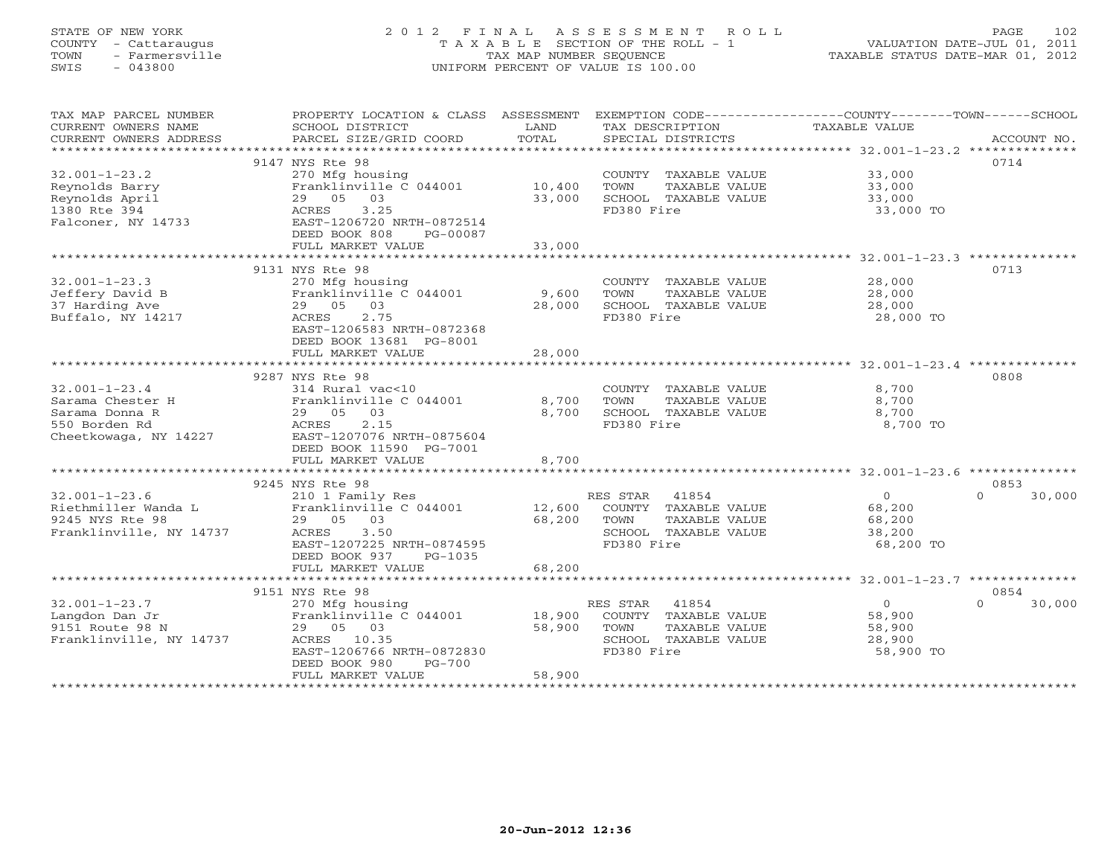## STATE OF NEW YORK 2 0 1 2 F I N A L A S S E S S M E N T R O L L PAGE 102 COUNTY - Cattaraugus T A X A B L E SECTION OF THE ROLL - 1 VALUATION DATE-JUL 01, 2011 TOWN - Farmersville TAX MAP NUMBER SEQUENCE TAXABLE STATUS DATE-MAR 01, 2012 SWIS - 043800 UNIFORM PERCENT OF VALUE IS 100.00UNIFORM PERCENT OF VALUE IS 100.00

| TAX MAP PARCEL NUMBER<br>CURRENT OWNERS NAME<br>CURRENT OWNERS ADDRESS | PROPERTY LOCATION & CLASS ASSESSMENT EXEMPTION CODE---------------COUNTY-------TOWN------SCHOOL<br>SCHOOL DISTRICT<br>PARCEL SIZE/GRID COORD | LAND<br>TOTAL | TAX DESCRIPTION<br>SPECIAL DISTRICTS | TAXABLE VALUE  | ACCOUNT NO.      |
|------------------------------------------------------------------------|----------------------------------------------------------------------------------------------------------------------------------------------|---------------|--------------------------------------|----------------|------------------|
|                                                                        |                                                                                                                                              |               |                                      |                |                  |
|                                                                        | 9147 NYS Rte 98                                                                                                                              |               |                                      |                | 0714             |
| $32.001 - 1 - 23.2$                                                    | 270 Mfg housing                                                                                                                              |               | COUNTY TAXABLE VALUE                 | 33,000         |                  |
| Reynolds Barry                                                         | Franklinville C 044001                                                                                                                       | 10,400        | TOWN<br>TAXABLE VALUE                | 33,000         |                  |
| Reynolds April                                                         | 29 05 03                                                                                                                                     | 33,000        | SCHOOL TAXABLE VALUE                 | 33,000         |                  |
| 1380 Rte 394                                                           | 3.25<br>ACRES                                                                                                                                |               | FD380 Fire                           | 33,000 TO      |                  |
| Falconer, NY 14733                                                     | EAST-1206720 NRTH-0872514                                                                                                                    |               |                                      |                |                  |
|                                                                        | DEED BOOK 808<br>PG-00087                                                                                                                    |               |                                      |                |                  |
|                                                                        | FULL MARKET VALUE                                                                                                                            | 33,000        |                                      |                |                  |
|                                                                        |                                                                                                                                              |               |                                      |                |                  |
|                                                                        | 9131 NYS Rte 98                                                                                                                              |               |                                      |                | 0713             |
| $32.001 - 1 - 23.3$                                                    | 270 Mfg housing                                                                                                                              |               | COUNTY TAXABLE VALUE                 | 28,000         |                  |
| Jeffery David B                                                        | Franklinville C 044001                                                                                                                       | 9,600         | TOWN<br>TAXABLE VALUE                | 28,000         |                  |
| 37 Harding Ave                                                         | 29 05<br>03                                                                                                                                  | 28,000        | SCHOOL TAXABLE VALUE                 | 28,000         |                  |
| Buffalo, NY 14217                                                      | 2.75<br>ACRES                                                                                                                                |               | FD380 Fire                           | 28,000 TO      |                  |
|                                                                        | EAST-1206583 NRTH-0872368                                                                                                                    |               |                                      |                |                  |
|                                                                        | DEED BOOK 13681 PG-8001                                                                                                                      |               |                                      |                |                  |
|                                                                        | FULL MARKET VALUE                                                                                                                            | 28,000        |                                      |                |                  |
|                                                                        |                                                                                                                                              |               |                                      |                |                  |
|                                                                        | 9287 NYS Rte 98                                                                                                                              |               |                                      |                | 0808             |
| $32.001 - 1 - 23.4$                                                    | 314 Rural vac<10                                                                                                                             |               | COUNTY TAXABLE VALUE                 | 8,700          |                  |
| Sarama Chester H                                                       | Franklinville C 044001                                                                                                                       | 8,700         | TOWN<br>TAXABLE VALUE                | 8,700          |                  |
| Sarama Donna R                                                         | 29 05 03                                                                                                                                     | 8,700         | SCHOOL TAXABLE VALUE                 | 8,700          |                  |
| 550 Borden Rd                                                          | ACRES<br>2.15                                                                                                                                |               | FD380 Fire                           | 8,700 TO       |                  |
| Cheetkowaga, NY 14227                                                  | EAST-1207076 NRTH-0875604                                                                                                                    |               |                                      |                |                  |
|                                                                        | DEED BOOK 11590 PG-7001                                                                                                                      |               |                                      |                |                  |
|                                                                        | FULL MARKET VALUE                                                                                                                            | 8,700         |                                      |                |                  |
|                                                                        |                                                                                                                                              |               |                                      |                |                  |
|                                                                        | 9245 NYS Rte 98                                                                                                                              |               |                                      |                | 0853             |
| $32.001 - 1 - 23.6$                                                    | 210 1 Family Res                                                                                                                             |               | RES STAR 41854                       | $\overline{0}$ | $\cap$<br>30,000 |
| Riethmiller Wanda L                                                    | Franklinville C 044001                                                                                                                       | 12,600        | COUNTY TAXABLE VALUE                 | 68,200         |                  |
| 9245 NYS Rte 98                                                        | 29 05 03                                                                                                                                     | 68,200        | TOWN<br>TAXABLE VALUE                | 68,200         |                  |
| Franklinville, NY 14737                                                | 3.50<br>ACRES                                                                                                                                |               | SCHOOL TAXABLE VALUE                 | 38,200         |                  |
|                                                                        | EAST-1207225 NRTH-0874595                                                                                                                    |               | FD380 Fire                           | 68,200 TO      |                  |
|                                                                        | DEED BOOK 937<br>PG-1035                                                                                                                     |               |                                      |                |                  |
|                                                                        | FULL MARKET VALUE                                                                                                                            | 68,200        |                                      |                |                  |
|                                                                        |                                                                                                                                              |               |                                      |                |                  |
|                                                                        | 9151 NYS Rte 98                                                                                                                              |               |                                      |                | 0854             |
| $32.001 - 1 - 23.7$                                                    | 270 Mfg housing                                                                                                                              |               | RES STAR<br>41854                    | $\overline{0}$ | 30,000<br>$\cap$ |
| Langdon Dan Jr                                                         | Franklinville C 044001                                                                                                                       | 18,900        | COUNTY TAXABLE VALUE                 | 58,900         |                  |
| 9151 Route 98 N                                                        | 29 05 03                                                                                                                                     | 58,900        | TOWN<br>TAXABLE VALUE                | 58,900         |                  |
| Franklinville, NY 14737                                                | ACRES 10.35                                                                                                                                  |               | SCHOOL TAXABLE VALUE                 | 28,900         |                  |
|                                                                        | EAST-1206766 NRTH-0872830                                                                                                                    |               | FD380 Fire                           | 58,900 TO      |                  |
|                                                                        | DEED BOOK 980<br>$PG-700$                                                                                                                    |               |                                      |                |                  |
|                                                                        | FULL MARKET VALUE                                                                                                                            | 58,900        |                                      |                |                  |
|                                                                        |                                                                                                                                              |               |                                      |                |                  |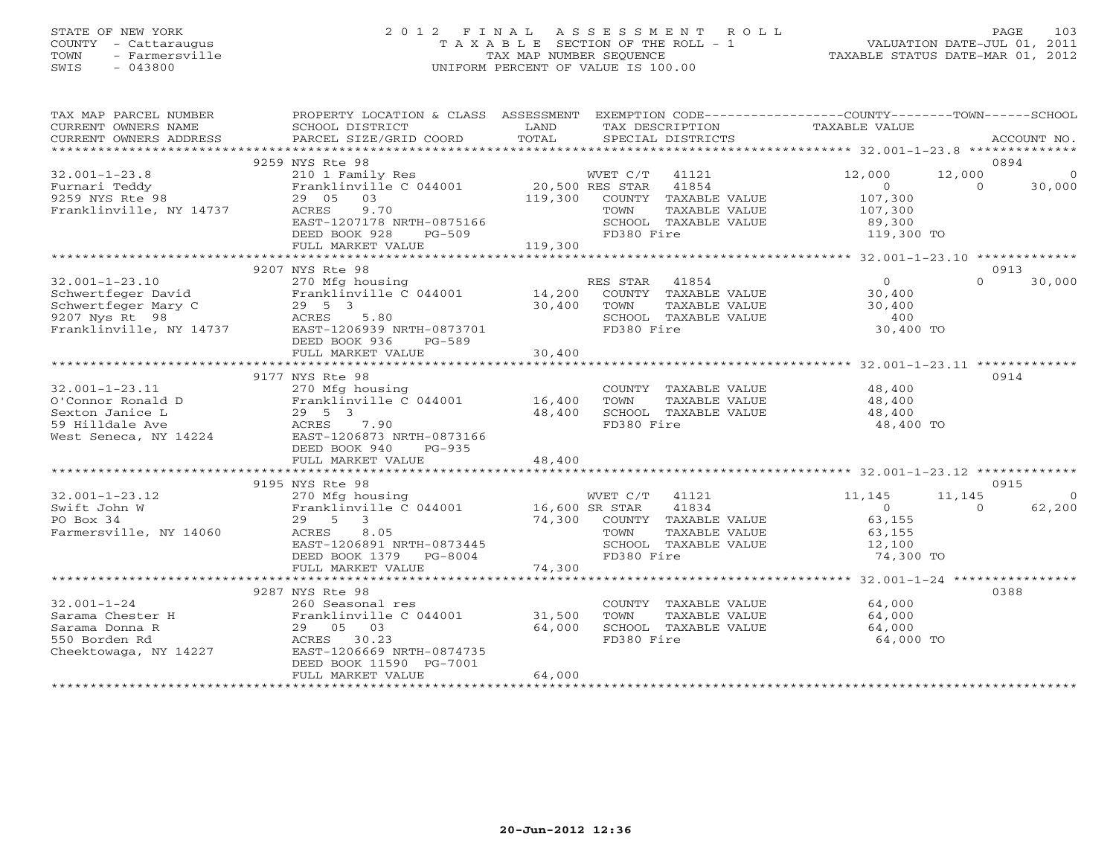## STATE OF NEW YORK 2 0 1 2 F I N A L A S S E S S M E N T R O L L PAGE 103 COUNTY - Cattaraugus T A X A B L E SECTION OF THE ROLL - 1 VALUATION DATE-JUL 01, 2011 TOWN - Farmersville TAX MAP NUMBER SEQUENCE TAXABLE STATUS DATE-MAR 01, 2012 SWIS - 043800 UNIFORM PERCENT OF VALUE IS 100.00UNIFORM PERCENT OF VALUE IS 100.00

| TAX MAP PARCEL NUMBER<br>CURRENT OWNERS NAME<br>CURRENT OWNERS ADDRESS | PROPERTY LOCATION & CLASS ASSESSMENT EXEMPTION CODE---------------COUNTY-------TOWN-----SCHOOL<br>SCHOOL DISTRICT<br><b>EXAMPLE EXAMPLE EXAMPLE EXAMPLE EXAMPLE EXAMPLE EXAMPLE EXAMPLE EXAMPLE EXAMPLE EXAMPLE EXAMPLE EXAMPLE EXAMPLE EXAMPLE EXAMPLE EXAMPLE EXAMPLE EXAMPLE EXAMPLE EXAMPLE EXAMPLE EXAMPLE E</b><br>PARCEL SIZE/GRID COORD                                                      | TOTAL             | TAX DESCRIPTION<br>SPECIAL DISTRICTS                                                                             | TAXABLE VALUE                                          | ACCOUNT NO.                                                  |
|------------------------------------------------------------------------|------------------------------------------------------------------------------------------------------------------------------------------------------------------------------------------------------------------------------------------------------------------------------------------------------------------------------------------------------------------------------------------------------|-------------------|------------------------------------------------------------------------------------------------------------------|--------------------------------------------------------|--------------------------------------------------------------|
|                                                                        |                                                                                                                                                                                                                                                                                                                                                                                                      |                   |                                                                                                                  |                                                        |                                                              |
| $32.001 - 1 - 23.8$                                                    | 9259 NYS Rte 98<br>210 1 Family Res                                                                                                                                                                                                                                                                                                                                                                  |                   | WVET C/T 41121                                                                                                   | 12,000                                                 | 0894<br>12,000<br>$\overline{0}$                             |
| Furnari Teddy<br>9259 NYS Rte 98<br>Franklinville, NY 14737 ACRES      | Franklinville C 044001 20,500 RES STAR 41854<br>29 05 03<br>9.70<br>EAST-1207178 NRTH-0875166                                                                                                                                                                                                                                                                                                        |                   | 119,300 COUNTY TAXABLE VALUE<br>TAXABLE VALUE<br>TOWN<br>SCHOOL TAXABLE VALUE                                    | $\Omega$<br>107,300<br>107,300<br>89,300<br>119,300 TO | 30,000<br>$\Omega$                                           |
|                                                                        | DEED BOOK 928<br>FULL MARKET VALUE                                                                                                                                                                                                                                                                                                                                                                   | PG-509<br>119,300 | FD380 Fire                                                                                                       |                                                        |                                                              |
|                                                                        | 9207 NYS Rte 98                                                                                                                                                                                                                                                                                                                                                                                      |                   |                                                                                                                  |                                                        | 0913                                                         |
| $32.001 - 1 - 23.10$                                                   | 270 Mfg housing<br>Schwertfeger David<br>Schwertfeger Mary C 29 5 3 30,400<br>9207 Nys Rt 98 207 ACRES 5.80<br>Franklinville, NY 14737 EAST-1206939 NRTH-0873701<br>DEED BOOK 936<br>PG-589                                                                                                                                                                                                          |                   | RES STAR 41854<br>COUNTY TAXABLE VALUE 30,400<br>TOWN TAXABLE VALUE 30,400<br>SCHOOL TAXABLE VALUE<br>FD380 Fire | $\overline{0}$<br>400<br>30,400 TO                     | $\Omega$<br>30,000                                           |
|                                                                        | FULL MARKET VALUE                                                                                                                                                                                                                                                                                                                                                                                    | 30,400            |                                                                                                                  |                                                        |                                                              |
|                                                                        | 9177 NYS Rte 98                                                                                                                                                                                                                                                                                                                                                                                      |                   |                                                                                                                  |                                                        | 0914                                                         |
| $32.001 - 1 - 23.11$                                                   | $\begin{tabular}{lllllllllll} 32.001-1-23.11 & 270\ \texttt{Mfg housing} \\ 0' \texttt{Connor Ronald D} & \texttt{Franklinville C 044001} \\ 59 \ \texttt{Hilldale Ave} & 29 & 5 & 3 \\ 59 \ \texttt{Milldale Ave} & \texttt{ACRES} & 7.90 \\ 100 \ \texttt{West Seneca, NY 14224} & \texttt{EAST-1206873_NRTH-0873166} \end{tabular}$<br>Franklinville $C$ 044001 16,400<br>DEED BOOK 940<br>PG-935 | 48,400            | COUNTY TAXABLE VALUE 48,400<br>TAXABLE VALUE<br>TOWN<br>SCHOOL TAXABLE VALUE<br>FD380 Fire                       | 48,400<br>48,400<br>48,400 TO                          |                                                              |
|                                                                        | FULL MARKET VALUE                                                                                                                                                                                                                                                                                                                                                                                    | 48,400            |                                                                                                                  |                                                        |                                                              |
|                                                                        |                                                                                                                                                                                                                                                                                                                                                                                                      |                   |                                                                                                                  |                                                        |                                                              |
| $32.001 - 1 - 23.12$<br>Swift John W                                   | 9195 NYS Rte 98<br>270 Mfg housing<br>Franklinville C 044001 16,600 SR STAR<br>29 5 2                                                                                                                                                                                                                                                                                                                |                   | WVET $C/T$ 41121<br>41834                                                                                        | 11,145<br>$\bigcirc$                                   | 0915<br>11,145<br>$\overline{0}$<br>62,200<br>$\overline{0}$ |
| PO Box 34<br>Farmersville, NY 14060                                    | 29 5 3<br>8.05<br>ACRES<br>EAST-1206891 NRTH-0873445<br>DEED BOOK 1379 PG-8004                                                                                                                                                                                                                                                                                                                       | 74,300            | 74,300 COUNTY TAXABLE VALUE<br>TAXABLE VALUE<br>TOWN<br>SCHOOL TAXABLE VALUE<br>FD380 Fire                       | 63,155<br>63,155<br>12,100<br>74,300 TO                |                                                              |
|                                                                        | FULL MARKET VALUE                                                                                                                                                                                                                                                                                                                                                                                    |                   |                                                                                                                  |                                                        |                                                              |
| Cheektowaga, NY 14227                                                  | 9287 NYS Rte 98<br>$32.001-1-24$<br>$32.001-1-24$<br>$31,500$<br>$31,500$<br>$31,500$<br>$31,500$<br>$31,500$<br>$31,500$<br>$31,500$<br>$31,500$<br>$31,500$<br>$31,500$<br>$31,500$<br>$31,500$<br>$31,500$<br>$31,500$<br>$31,500$<br>$31,500$<br>$31,500$<br>EAST-1206669 NRTH-0874735<br>DEED BOOK 11590 PG-7001                                                                                |                   | COUNTY TAXABLE VALUE 64,000<br>TOWN<br>SCHOOL TAXABLE VALUE<br>FD380 Fire                                        | TAXABLE VALUE 64,000<br>64,000<br>64,000 TO            | 0388                                                         |
|                                                                        | FULL MARKET VALUE                                                                                                                                                                                                                                                                                                                                                                                    | 64,000            |                                                                                                                  |                                                        |                                                              |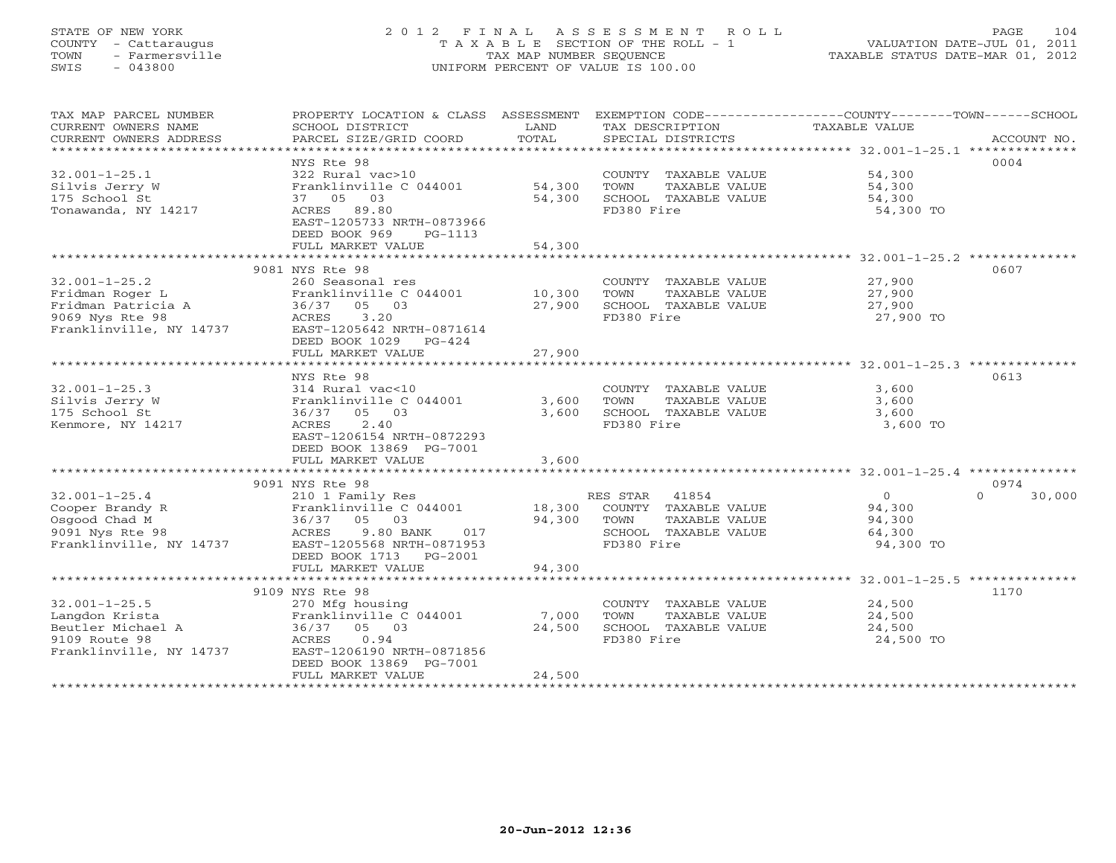## STATE OF NEW YORK 2 0 1 2 F I N A L A S S E S S M E N T R O L L PAGE 104 COUNTY - Cattaraugus T A X A B L E SECTION OF THE ROLL - 1 VALUATION DATE-JUL 01, 2011 TOWN - Farmersville TAX MAP NUMBER SEQUENCE TAXABLE STATUS DATE-MAR 01, 2012 SWIS - 043800 UNIFORM PERCENT OF VALUE IS 100.00UNIFORM PERCENT OF VALUE IS 100.00

| TAX MAP PARCEL NUMBER<br>CURRENT OWNERS NAME<br>CURRENT OWNERS ADDRESS | SCHOOL DISTRICT<br>PARCEL SIZE/GRID COORD | LAND<br>TOTAL | TAX DESCRIPTION<br>SPECIAL DISTRICTS | PROPERTY LOCATION & CLASS ASSESSMENT EXEMPTION CODE----------------COUNTY-------TOWN------SCHOOL<br><b>TAXABLE VALUE</b><br>ACCOUNT NO. |
|------------------------------------------------------------------------|-------------------------------------------|---------------|--------------------------------------|-----------------------------------------------------------------------------------------------------------------------------------------|
|                                                                        |                                           |               |                                      |                                                                                                                                         |
|                                                                        | NYS Rte 98                                |               |                                      | 0004                                                                                                                                    |
| $32.001 - 1 - 25.1$                                                    | 322 Rural vac>10                          |               | COUNTY TAXABLE VALUE                 | 54,300                                                                                                                                  |
| Silvis Jerry W                                                         | Franklinville C 044001                    | 54,300        | TAXABLE VALUE<br>TOWN                | 54,300                                                                                                                                  |
| 175 School St                                                          | 37 05 03                                  | 54,300        | SCHOOL TAXABLE VALUE                 | 54,300                                                                                                                                  |
|                                                                        |                                           |               |                                      |                                                                                                                                         |
| Tonawanda, NY 14217                                                    | ACRES 89.80                               |               | FD380 Fire                           | 54,300 TO                                                                                                                               |
|                                                                        | EAST-1205733 NRTH-0873966                 |               |                                      |                                                                                                                                         |
|                                                                        | DEED BOOK 969<br>PG-1113                  |               |                                      |                                                                                                                                         |
|                                                                        | FULL MARKET VALUE                         | 54,300        |                                      |                                                                                                                                         |
|                                                                        | **************************                |               |                                      |                                                                                                                                         |
|                                                                        | 9081 NYS Rte 98                           |               |                                      | 0607                                                                                                                                    |
| $32.001 - 1 - 25.2$                                                    | 260 Seasonal res                          |               | COUNTY TAXABLE VALUE                 | 27,900                                                                                                                                  |
| Fridman Roger L                                                        | Franklinville C 044001                    | 10,300        | TOWN<br>TAXABLE VALUE                | 27,900                                                                                                                                  |
| Fridman Patricia A                                                     | 36/37 05 03                               | 27,900        | SCHOOL TAXABLE VALUE                 | 27,900                                                                                                                                  |
|                                                                        |                                           |               |                                      |                                                                                                                                         |
| 9069 Nys Rte 98                                                        | 3.20<br>ACRES                             |               | FD380 Fire                           | 27,900 TO                                                                                                                               |
| Franklinville, NY 14737                                                | EAST-1205642 NRTH-0871614                 |               |                                      |                                                                                                                                         |
|                                                                        | DEED BOOK 1029<br>$PG-424$                |               |                                      |                                                                                                                                         |
|                                                                        | FULL MARKET VALUE                         | 27,900        |                                      |                                                                                                                                         |
|                                                                        |                                           |               |                                      |                                                                                                                                         |
|                                                                        | NYS Rte 98                                |               |                                      | 0613                                                                                                                                    |
| $32.001 - 1 - 25.3$                                                    | 314 Rural vac<10                          |               | COUNTY TAXABLE VALUE                 | 3,600                                                                                                                                   |
| Silvis Jerry W                                                         | Franklinville C 044001                    | 3,600         | TOWN<br>TAXABLE VALUE                | 3,600                                                                                                                                   |
| 175 School St                                                          | 36/37<br>05 03                            | 3,600         | SCHOOL TAXABLE VALUE                 | 3,600                                                                                                                                   |
|                                                                        |                                           |               |                                      |                                                                                                                                         |
| Kenmore, NY 14217                                                      | 2.40<br><b>ACRES</b>                      |               | FD380 Fire                           | 3,600 TO                                                                                                                                |
|                                                                        | EAST-1206154 NRTH-0872293                 |               |                                      |                                                                                                                                         |
|                                                                        | DEED BOOK 13869 PG-7001                   |               |                                      |                                                                                                                                         |
|                                                                        | FULL MARKET VALUE                         | 3,600         |                                      |                                                                                                                                         |
|                                                                        |                                           |               |                                      |                                                                                                                                         |
|                                                                        | 9091 NYS Rte 98                           |               |                                      | 0974                                                                                                                                    |
| $32.001 - 1 - 25.4$                                                    | 210 1 Family Res                          |               | RES STAR<br>41854                    | $\circ$<br>30,000<br>$\Omega$                                                                                                           |
| Cooper Brandy R                                                        | Franklinville C 044001                    | 18,300        | COUNTY TAXABLE VALUE                 | 94,300                                                                                                                                  |
| Osgood Chad M                                                          | 05 03<br>36/37                            | 94,300        | TAXABLE VALUE<br>TOWN                | 94,300                                                                                                                                  |
| 9091 Nys Rte 98                                                        | ACRES<br>9.80 BANK<br>017                 |               | SCHOOL TAXABLE VALUE                 | 64,300                                                                                                                                  |
| Franklinville, NY 14737                                                |                                           |               |                                      |                                                                                                                                         |
|                                                                        | EAST-1205568 NRTH-0871953                 |               | FD380 Fire                           | 94,300 TO                                                                                                                               |
|                                                                        | DEED BOOK 1713 PG-2001                    |               |                                      |                                                                                                                                         |
|                                                                        | FULL MARKET VALUE                         | 94,300        |                                      |                                                                                                                                         |
|                                                                        |                                           |               |                                      |                                                                                                                                         |
|                                                                        | 9109 NYS Rte 98                           |               |                                      | 1170                                                                                                                                    |
| $32.001 - 1 - 25.5$                                                    | 270 Mfg housing                           |               | COUNTY TAXABLE VALUE                 | 24,500                                                                                                                                  |
| Langdon Krista                                                         | Franklinville C 044001                    | 7,000         | TOWN<br>TAXABLE VALUE                | 24,500                                                                                                                                  |
| Beutler Michael A                                                      | 05 03<br>36/37                            | 24,500        | SCHOOL TAXABLE VALUE                 | 24,500                                                                                                                                  |
| 9109 Route 98                                                          | ACRES<br>0.94                             |               | FD380 Fire                           | 24,500 TO                                                                                                                               |
| Franklinville, NY 14737                                                | EAST-1206190 NRTH-0871856                 |               |                                      |                                                                                                                                         |
|                                                                        | DEED BOOK 13869 PG-7001                   |               |                                      |                                                                                                                                         |
|                                                                        |                                           |               |                                      |                                                                                                                                         |
|                                                                        | FULL MARKET VALUE                         | 24,500        |                                      |                                                                                                                                         |
|                                                                        |                                           |               |                                      |                                                                                                                                         |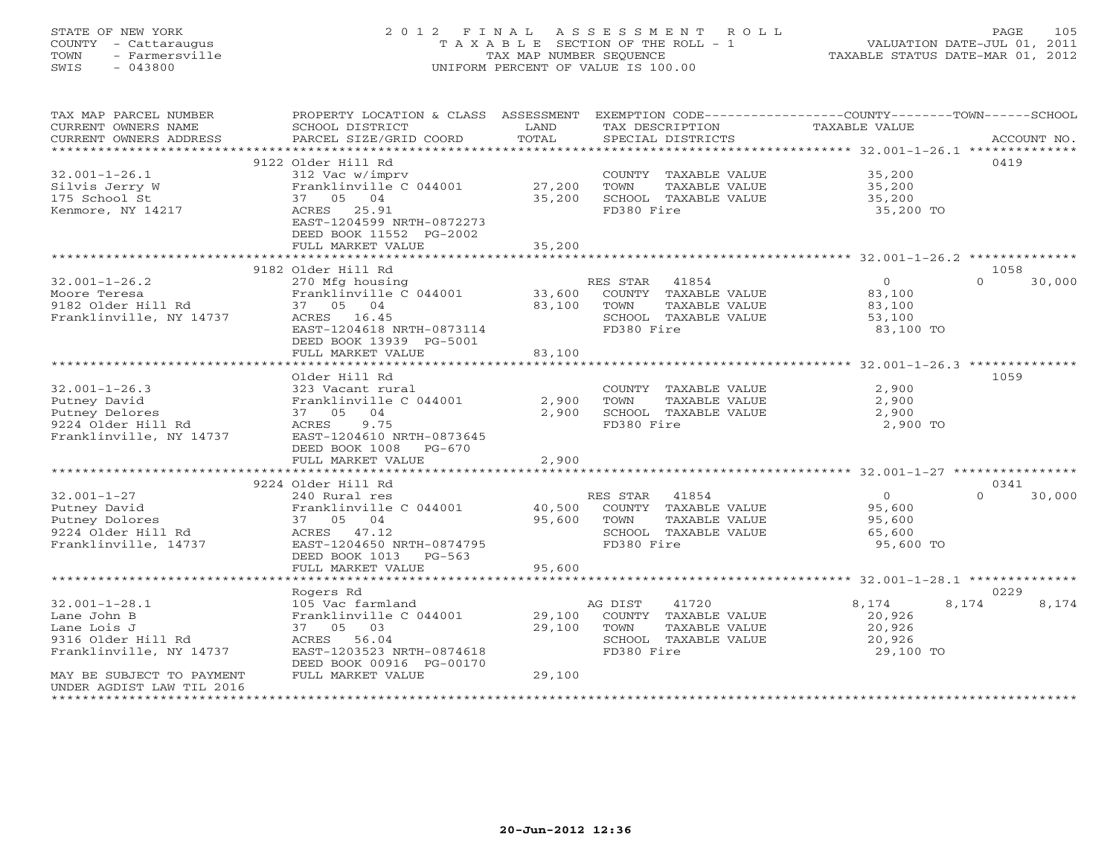## STATE OF NEW YORK 2 0 1 2 F I N A L A S S E S S M E N T R O L L PAGE 105 COUNTY - Cattaraugus T A X A B L E SECTION OF THE ROLL - 1 VALUATION DATE-JUL 01, 2011 TOWN - Farmersville TAX MAP NUMBER SEQUENCE TAXABLE STATUS DATE-MAR 01, 2012 SWIS - 043800 UNIFORM PERCENT OF VALUE IS 100.00UNIFORM PERCENT OF VALUE IS 100.00

| TAX MAP PARCEL NUMBER<br>CURRENT OWNERS NAME | PROPERTY LOCATION & CLASS ASSESSMENT<br>SCHOOL DISTRICT | LAND               | EXEMPTION CODE----------------COUNTY-------TOWN-----SCHOOL<br>TAX DESCRIPTION | <b>TAXABLE VALUE</b>                              |                    |
|----------------------------------------------|---------------------------------------------------------|--------------------|-------------------------------------------------------------------------------|---------------------------------------------------|--------------------|
| CURRENT OWNERS ADDRESS                       | PARCEL SIZE/GRID COORD                                  | TOTAL              | SPECIAL DISTRICTS                                                             |                                                   | ACCOUNT NO.        |
| ***********************                      |                                                         |                    |                                                                               |                                                   |                    |
|                                              | 9122 Older Hill Rd                                      |                    |                                                                               |                                                   | 0419               |
| $32.001 - 1 - 26.1$                          | 312 Vac w/imprv<br>Franklinville C 044001               | 27,200             | COUNTY TAXABLE VALUE<br>TOWN                                                  | 35,200<br>35,200                                  |                    |
| Silvis Jerry W<br>175 School St              | 04<br>37 05                                             | 35,200             | TAXABLE VALUE<br>SCHOOL TAXABLE VALUE                                         | 35,200                                            |                    |
| Kenmore, NY 14217                            | ACRES 25.91                                             |                    | FD380 Fire                                                                    | 35,200 TO                                         |                    |
|                                              | EAST-1204599 NRTH-0872273                               |                    |                                                                               |                                                   |                    |
|                                              | DEED BOOK 11552 PG-2002                                 |                    |                                                                               |                                                   |                    |
|                                              | FULL MARKET VALUE                                       | 35,200             |                                                                               |                                                   |                    |
|                                              | ************************                                |                    |                                                                               |                                                   |                    |
|                                              | 9182 Older Hill Rd                                      |                    |                                                                               |                                                   | 1058               |
| $32.001 - 1 - 26.2$                          | 270 Mfg housing                                         |                    | RES STAR<br>41854                                                             | $\circ$                                           | $\cap$<br>30,000   |
| Moore Teresa                                 | Franklinville C 044001                                  | 33,600             | COUNTY TAXABLE VALUE                                                          | 83,100                                            |                    |
| 9182 Older Hill Rd                           | 37 05 04                                                | 83,100             | TOWN<br>TAXABLE VALUE                                                         | 83,100                                            |                    |
| Franklinville, NY 14737                      | ACRES 16.45                                             |                    | SCHOOL TAXABLE VALUE                                                          | 53,100                                            |                    |
|                                              | EAST-1204618 NRTH-0873114                               |                    | FD380 Fire                                                                    | 83,100 TO                                         |                    |
|                                              | DEED BOOK 13939 PG-5001                                 |                    |                                                                               |                                                   |                    |
|                                              | FULL MARKET VALUE                                       | 83,100             |                                                                               |                                                   |                    |
|                                              | ********************                                    | ****************** |                                                                               |                                                   |                    |
|                                              | Older Hill Rd                                           |                    |                                                                               |                                                   | 1059               |
| $32.001 - 1 - 26.3$                          | 323 Vacant rural                                        |                    | COUNTY TAXABLE VALUE                                                          | 2,900                                             |                    |
| Putney David                                 | Franklinville C 044001                                  | 2,900              | TOWN<br>TAXABLE VALUE                                                         | 2,900                                             |                    |
| Putney Delores                               | 37 05<br>04                                             | 2,900              | SCHOOL TAXABLE VALUE                                                          | 2,900                                             |                    |
| 9224 Older Hill Rd                           | 9.75<br>ACRES                                           |                    | FD380 Fire                                                                    | 2,900 TO                                          |                    |
| Franklinville, NY 14737                      | EAST-1204610 NRTH-0873645<br>DEED BOOK 1008<br>$PG-670$ |                    |                                                                               |                                                   |                    |
|                                              | FULL MARKET VALUE                                       | 2,900              |                                                                               |                                                   |                    |
|                                              |                                                         |                    |                                                                               |                                                   |                    |
|                                              | 9224 Older Hill Rd                                      |                    |                                                                               |                                                   | 0341               |
| $32.001 - 1 - 27$                            | 240 Rural res                                           |                    | RES STAR 41854                                                                | $\circ$                                           | $\Omega$<br>30,000 |
| Putney David                                 | Franklinville C 044001                                  | 40,500             | COUNTY TAXABLE VALUE                                                          | 95,600                                            |                    |
| Putney Dolores                               | 37 05 04                                                | 95,600             | TOWN<br>TAXABLE VALUE                                                         | 95,600                                            |                    |
| 9224 Older Hill Rd                           | ACRES 47.12                                             |                    | SCHOOL TAXABLE VALUE                                                          | 65,600                                            |                    |
| Franklinville, 14737                         | EAST-1204650 NRTH-0874795                               |                    | FD380 Fire                                                                    | 95,600 TO                                         |                    |
|                                              | DEED BOOK 1013<br>$PG-563$                              |                    |                                                                               |                                                   |                    |
|                                              | FULL MARKET VALUE                                       | 95,600             |                                                                               |                                                   |                    |
|                                              | ********************                                    | ************       |                                                                               | ******************** 32.001-1-28.1 ************** |                    |
|                                              | Rogers Rd                                               |                    |                                                                               |                                                   | 0229               |
| $32.001 - 1 - 28.1$                          | 105 Vac farmland                                        |                    | 41720<br>AG DIST                                                              | 8,174                                             | 8,174<br>8,174     |
| Lane John B                                  | Franklinville C 044001                                  | 29,100             | COUNTY TAXABLE VALUE                                                          | 20,926                                            |                    |
| Lane Lois J<br>9316 Older Hill Rd            | 37 05 03                                                | 29,100             | TOWN<br>TAXABLE VALUE                                                         | 20,926                                            |                    |
| Franklinville, NY 14737                      | ACRES 56.04<br>EAST-1203523 NRTH-0874618                |                    | SCHOOL TAXABLE VALUE<br>FD380 Fire                                            | 20,926<br>29,100 TO                               |                    |
|                                              | DEED BOOK 00916 PG-00170                                |                    |                                                                               |                                                   |                    |
| MAY BE SUBJECT TO PAYMENT                    | FULL MARKET VALUE                                       | 29,100             |                                                                               |                                                   |                    |
| UNDER AGDIST LAW TIL 2016                    |                                                         |                    |                                                                               |                                                   |                    |
|                                              |                                                         |                    |                                                                               |                                                   |                    |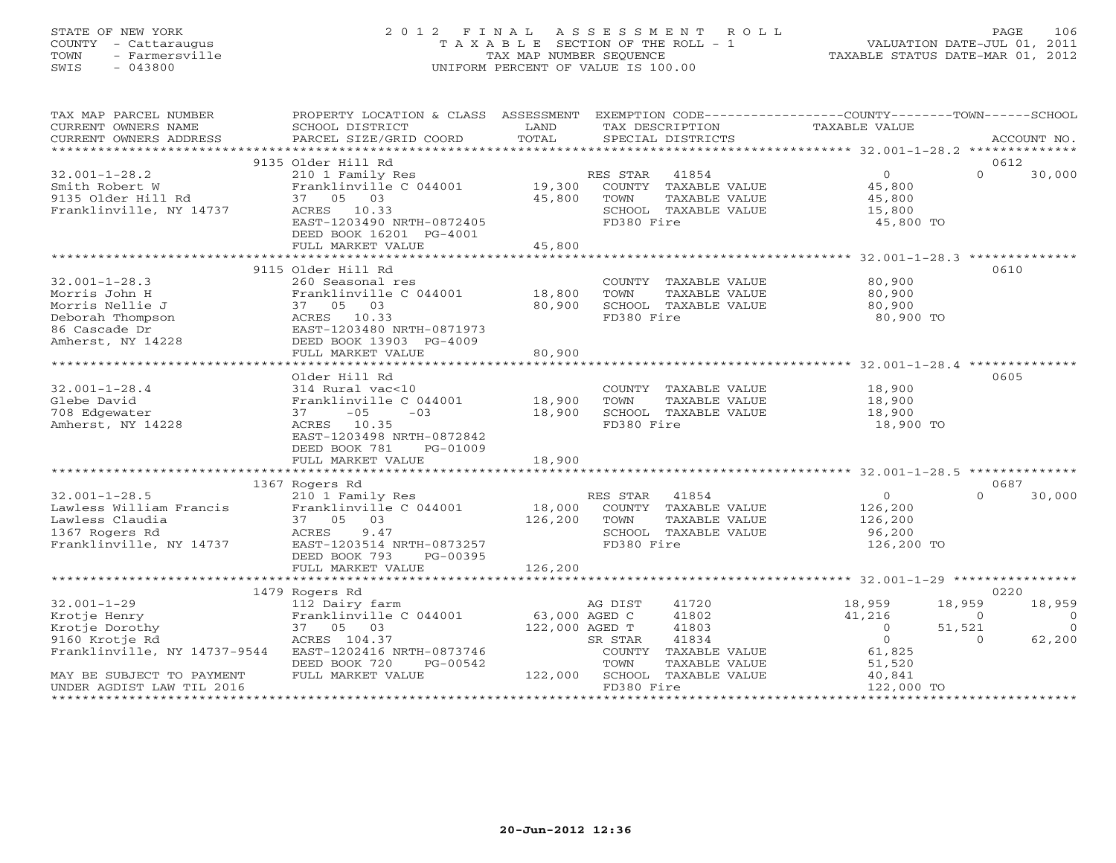## STATE OF NEW YORK 2 0 1 2 F I N A L A S S E S S M E N T R O L L PAGE 106 COUNTY - Cattaraugus T A X A B L E SECTION OF THE ROLL - 1 VALUATION DATE-JUL 01, 2011 TOWN - Farmersville TAX MAP NUMBER SEQUENCE TAXABLE STATUS DATE-MAR 01, 2012 SWIS - 043800 UNIFORM PERCENT OF VALUE IS 100.00UNIFORM PERCENT OF VALUE IS 100.00

| TAX MAP PARCEL NUMBER<br>CURRENT OWNERS NAME<br>CURRENT OWNERS ADDRESS                                                                                          | PROPERTY LOCATION & CLASS ASSESSMENT<br>SCHOOL DISTRICT<br>PARCEL SIZE/GRID COORD                                                                                                                | LAND<br>TOTAL                                   | TAX DESCRIPTION<br>SPECIAL DISTRICTS                                                                                                             | EXEMPTION CODE----------------COUNTY-------TOWN-----SCHOOL<br>TAXABLE VALUE                                                    | ACCOUNT NO.                              |
|-----------------------------------------------------------------------------------------------------------------------------------------------------------------|--------------------------------------------------------------------------------------------------------------------------------------------------------------------------------------------------|-------------------------------------------------|--------------------------------------------------------------------------------------------------------------------------------------------------|--------------------------------------------------------------------------------------------------------------------------------|------------------------------------------|
| *************************                                                                                                                                       |                                                                                                                                                                                                  |                                                 |                                                                                                                                                  |                                                                                                                                |                                          |
| $32.001 - 1 - 28.2$<br>Smith Robert W<br>9135 Older Hill Rd<br>Franklinville, NY 14737                                                                          | 9135 Older Hill Rd<br>210 1 Family Res<br>Franklinville C 044001<br>37 05 03<br>ACRES 10.33<br>EAST-1203490 NRTH-0872405<br>DEED BOOK 16201 PG-4001                                              | 19,300<br>45,800                                | 41854<br>RES STAR<br>COUNTY TAXABLE VALUE<br>TAXABLE VALUE<br>TOWN<br>SCHOOL TAXABLE VALUE<br>FD380 Fire                                         | 0612<br>$\overline{0}$<br>$\Omega$<br>45,800<br>45,800<br>15,800<br>45,800 TO                                                  | 30,000                                   |
|                                                                                                                                                                 | FULL MARKET VALUE<br>************************                                                                                                                                                    | 45,800<br>*************                         |                                                                                                                                                  | ******************** 32.001-1-28.3 **************                                                                              |                                          |
| $32.001 - 1 - 28.3$<br>Morris John H<br>Morris Nellie J<br>Deborah Thompson<br>86 Cascade Dr<br>Amherst, NY 14228                                               | 9115 Older Hill Rd<br>260 Seasonal res<br>Franklinville C 044001<br>37 05 03<br>ACRES 10.33<br>EAST-1203480 NRTH-0871973<br>DEED BOOK 13903 PG-4009<br>FULL MARKET VALUE<br>******************** | 18,800<br>80,900<br>80,900<br>***************** | COUNTY TAXABLE VALUE<br>TOWN<br>TAXABLE VALUE<br>SCHOOL TAXABLE VALUE<br>FD380 Fire                                                              | 0610<br>80,900<br>80,900<br>80,900<br>80,900 TO                                                                                |                                          |
|                                                                                                                                                                 | Older Hill Rd                                                                                                                                                                                    |                                                 |                                                                                                                                                  | 0605                                                                                                                           |                                          |
| $32.001 - 1 - 28.4$<br>Glebe David<br>708 Edgewater<br>Amherst, NY 14228                                                                                        | 314 Rural vac<10<br>Franklinville C 044001<br>$-05$<br>$-03$<br>37<br>10.35<br>ACRES<br>EAST-1203498 NRTH-0872842<br>DEED BOOK 781<br>PG-01009<br>FULL MARKET VALUE                              | 18,900<br>18,900<br>18,900                      | COUNTY TAXABLE VALUE<br>TOWN<br>TAXABLE VALUE<br>SCHOOL TAXABLE VALUE<br>FD380 Fire                                                              | 18,900<br>18,900<br>18,900<br>18,900 TO                                                                                        |                                          |
|                                                                                                                                                                 |                                                                                                                                                                                                  |                                                 |                                                                                                                                                  |                                                                                                                                |                                          |
| $32.001 - 1 - 28.5$<br>Lawless William Francis<br>Lawless Claudia<br>1367 Rogers Rd<br>Franklinville, NY 14737                                                  | 1367 Rogers Rd<br>210 1 Family Res<br>Franklinville C 044001<br>37 05 03<br>ACRES<br>9.47<br>EAST-1203514 NRTH-0873257<br>DEED BOOK 793<br>PG-00395                                              | 18,000<br>126,200                               | RES STAR<br>41854<br>COUNTY TAXABLE VALUE<br>TOWN<br>TAXABLE VALUE<br>SCHOOL TAXABLE VALUE<br>FD380 Fire                                         | 0687<br>$\overline{0}$<br>$\Omega$<br>126,200<br>126,200<br>96,200<br>126,200 TO                                               | 30,000                                   |
|                                                                                                                                                                 | FULL MARKET VALUE<br>**************************                                                                                                                                                  | 126,200                                         |                                                                                                                                                  |                                                                                                                                |                                          |
|                                                                                                                                                                 | 1479 Rogers Rd                                                                                                                                                                                   |                                                 |                                                                                                                                                  | 0220                                                                                                                           |                                          |
| $32.001 - 1 - 29$<br>Krotje Henry<br>Krotje Dorothy<br>9160 Krotje Rd<br>Franklinville, NY 14737-9544<br>MAY BE SUBJECT TO PAYMENT<br>UNDER AGDIST LAW TIL 2016 | 112 Dairy farm<br>Franklinville C 044001<br>37 05 03<br>ACRES 104.37<br>EAST-1202416 NRTH-0873746<br>DEED BOOK 720<br>PG-00542<br>FULL MARKET VALUE                                              | 63,000 AGED C<br>122,000 AGED T<br>122,000      | AG DIST<br>41720<br>41802<br>41803<br>41834<br>SR STAR<br>COUNTY<br>TAXABLE VALUE<br>TOWN<br>TAXABLE VALUE<br>SCHOOL TAXABLE VALUE<br>FD380 Fire | 18,959<br>18,959<br>41,216<br>$\circ$<br>$\Omega$<br>51,521<br>$\circ$<br>$\Omega$<br>61,825<br>51,520<br>40,841<br>122,000 TO | 18,959<br>$\Omega$<br>$\Omega$<br>62,200 |
| ********************                                                                                                                                            |                                                                                                                                                                                                  |                                                 |                                                                                                                                                  |                                                                                                                                |                                          |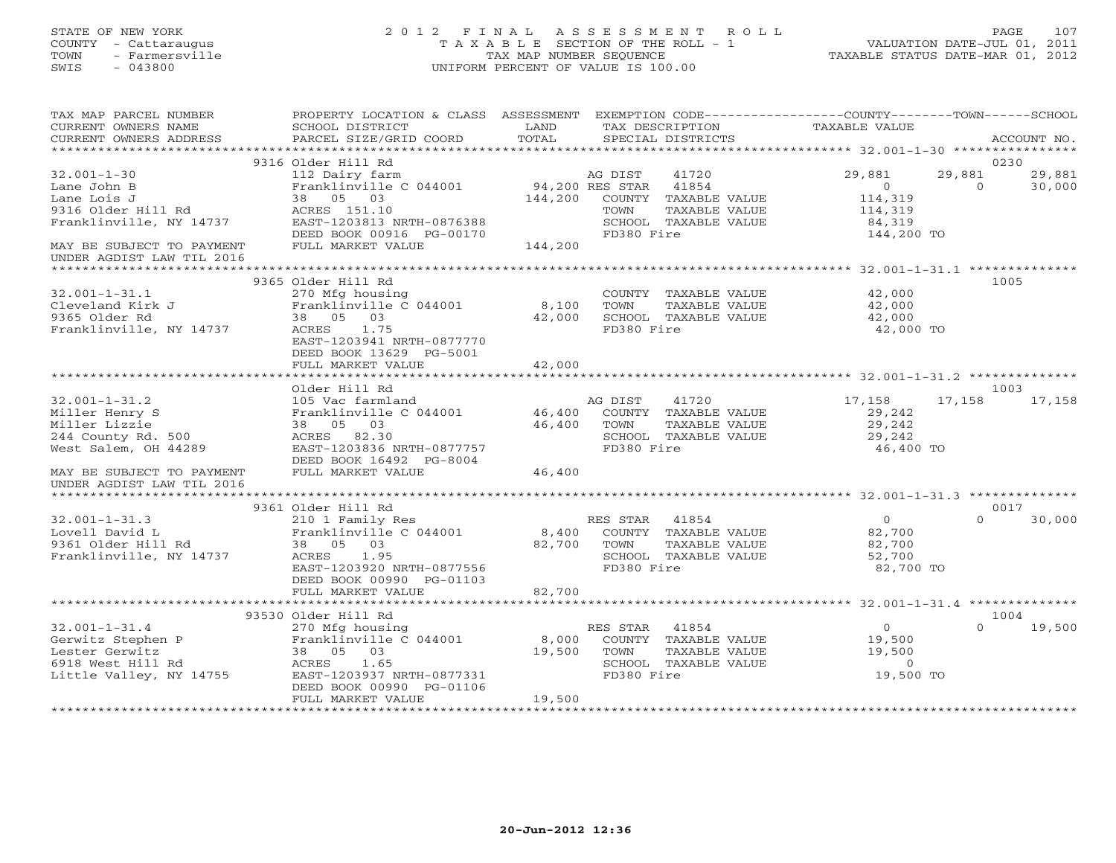## STATE OF NEW YORK 2 0 1 2 F I N A L A S S E S S M E N T R O L L PAGE 107 COUNTY - Cattaraugus T A X A B L E SECTION OF THE ROLL - 1 VALUATION DATE-JUL 01, 2011 TOWN - Farmersville TAX MAP NUMBER SEQUENCE TAXABLE STATUS DATE-MAR 01, 2012 SWIS - 043800 UNIFORM PERCENT OF VALUE IS 100.00UNIFORM PERCENT OF VALUE IS 100.00

| TAX MAP PARCEL NUMBER<br>CURRENT OWNERS NAME<br>CURRENT OWNERS ADDRESS | PROPERTY LOCATION & CLASS ASSESSMENT<br>SCHOOL DISTRICT<br>PARCEL SIZE/GRID COORD | LAND<br>TOTAL   | TAX DESCRIPTION<br>SPECIAL DISTRICTS |                      | EXEMPTION CODE-----------------COUNTY-------TOWN------SCHOOL<br>TAXABLE VALUE |          | ACCOUNT NO. |
|------------------------------------------------------------------------|-----------------------------------------------------------------------------------|-----------------|--------------------------------------|----------------------|-------------------------------------------------------------------------------|----------|-------------|
|                                                                        |                                                                                   |                 |                                      |                      |                                                                               |          |             |
|                                                                        | 9316 Older Hill Rd                                                                |                 |                                      |                      |                                                                               |          | 0230        |
| $32.001 - 1 - 30$                                                      | 112 Dairy farm                                                                    |                 | AG DIST                              | 41720                | 29,881                                                                        | 29,881   | 29,881      |
| Lane John B                                                            | Franklinville C 044001                                                            | 94,200 RES STAR |                                      | 41854                | $\overline{0}$                                                                | $\Omega$ | 30,000      |
| Lane Lois J                                                            | 38 05 03                                                                          | 144,200         |                                      | COUNTY TAXABLE VALUE | 114,319                                                                       |          |             |
| 9316 Older Hill Rd                                                     | ACRES 151.10                                                                      |                 | TOWN                                 | TAXABLE VALUE        | 114,319                                                                       |          |             |
| Franklinville, NY 14737                                                | EAST-1203813 NRTH-0876388                                                         |                 |                                      | SCHOOL TAXABLE VALUE | 84,319                                                                        |          |             |
|                                                                        | DEED BOOK 00916 PG-00170                                                          |                 | FD380 Fire                           |                      | 144,200 TO                                                                    |          |             |
| MAY BE SUBJECT TO PAYMENT                                              | FULL MARKET VALUE                                                                 | 144,200         |                                      |                      |                                                                               |          |             |
| UNDER AGDIST LAW TIL 2016                                              |                                                                                   |                 |                                      |                      |                                                                               |          |             |
| *********************                                                  |                                                                                   |                 |                                      |                      |                                                                               |          |             |
|                                                                        | 9365 Older Hill Rd                                                                |                 |                                      |                      |                                                                               |          | 1005        |
| $32.001 - 1 - 31.1$                                                    | 270 Mfg housing                                                                   |                 |                                      | COUNTY TAXABLE VALUE | 42,000                                                                        |          |             |
| Cleveland Kirk J                                                       | Franklinville C 044001                                                            | 8,100           | TOWN                                 | TAXABLE VALUE        | 42,000                                                                        |          |             |
| 9365 Older Rd                                                          | 38 05 03                                                                          | 42,000          |                                      | SCHOOL TAXABLE VALUE | 42,000                                                                        |          |             |
| Franklinville, NY 14737                                                | ACRES<br>1.75                                                                     |                 | FD380 Fire                           |                      | 42,000 TO                                                                     |          |             |
|                                                                        | EAST-1203941 NRTH-0877770                                                         |                 |                                      |                      |                                                                               |          |             |
|                                                                        | DEED BOOK 13629 PG-5001                                                           |                 |                                      |                      |                                                                               |          |             |
|                                                                        |                                                                                   |                 |                                      |                      |                                                                               |          |             |
|                                                                        | FULL MARKET VALUE                                                                 | 42,000          |                                      |                      |                                                                               |          |             |
|                                                                        |                                                                                   |                 |                                      |                      |                                                                               |          |             |
|                                                                        | Older Hill Rd                                                                     |                 |                                      |                      |                                                                               |          | 1003        |
| $32.001 - 1 - 31.2$                                                    | 105 Vac farmland                                                                  |                 | AG DIST                              | 41720                | 17,158                                                                        | 17,158   | 17,158      |
| Miller Henry S                                                         | Franklinville C 044001                                                            | 46,400          |                                      | COUNTY TAXABLE VALUE | 29,242                                                                        |          |             |
| Miller Lizzie                                                          | 38 05 03                                                                          | 46,400          | TOWN                                 | TAXABLE VALUE        | 29,242                                                                        |          |             |
| 244 County Rd. 500                                                     | ACRES 82.30                                                                       |                 |                                      | SCHOOL TAXABLE VALUE | 29,242                                                                        |          |             |
| West Salem, OH 44289                                                   | EAST-1203836 NRTH-0877757                                                         |                 | FD380 Fire                           |                      | 46,400 TO                                                                     |          |             |
|                                                                        | DEED BOOK 16492 PG-8004                                                           |                 |                                      |                      |                                                                               |          |             |
| MAY BE SUBJECT TO PAYMENT                                              | FULL MARKET VALUE                                                                 | 46,400          |                                      |                      |                                                                               |          |             |
| UNDER AGDIST LAW TIL 2016                                              |                                                                                   |                 |                                      |                      |                                                                               |          |             |
|                                                                        |                                                                                   |                 |                                      |                      |                                                                               |          |             |
|                                                                        | 9361 Older Hill Rd                                                                |                 |                                      |                      |                                                                               |          | 0017        |
| $32.001 - 1 - 31.3$                                                    | 210 1 Family Res                                                                  |                 | RES STAR                             | 41854                | $\Omega$                                                                      | $\Omega$ | 30,000      |
| Lovell David L                                                         | Franklinville C 044001                                                            | 8,400           |                                      | COUNTY TAXABLE VALUE | 82,700                                                                        |          |             |
| 9361 Older Hill Rd                                                     | 38 05 03                                                                          | 82,700          | TOWN                                 | TAXABLE VALUE        | 82,700                                                                        |          |             |
| Franklinville, NY 14737                                                | ACRES<br>1.95                                                                     |                 |                                      | SCHOOL TAXABLE VALUE | 52,700                                                                        |          |             |
|                                                                        | EAST-1203920 NRTH-0877556                                                         |                 | FD380 Fire                           |                      | 82,700 TO                                                                     |          |             |
|                                                                        | DEED BOOK 00990 PG-01103                                                          |                 |                                      |                      |                                                                               |          |             |
|                                                                        | FULL MARKET VALUE                                                                 | 82,700          |                                      |                      |                                                                               |          |             |
|                                                                        |                                                                                   | *************   |                                      |                      |                                                                               |          |             |
|                                                                        | 93530 Older Hill Rd                                                               |                 |                                      |                      |                                                                               |          | 1004        |
| $32.001 - 1 - 31.4$                                                    | 270 Mfg housing                                                                   |                 | RES STAR                             | 41854                | $\overline{0}$                                                                | $\Omega$ | 19,500      |
| Gerwitz Stephen P                                                      | Franklinville C 044001                                                            | 8,000           |                                      | COUNTY TAXABLE VALUE | 19,500                                                                        |          |             |
| Lester Gerwitz                                                         | 38 05 03                                                                          | 19,500          | TOWN                                 | TAXABLE VALUE        | 19,500                                                                        |          |             |
| 6918 West Hill Rd                                                      | ACRES<br>1.65                                                                     |                 |                                      | SCHOOL TAXABLE VALUE | $\circ$                                                                       |          |             |
| Little Valley, NY 14755                                                | EAST-1203937 NRTH-0877331                                                         |                 | FD380 Fire                           |                      | 19,500 TO                                                                     |          |             |
|                                                                        | DEED BOOK 00990 PG-01106                                                          |                 |                                      |                      |                                                                               |          |             |
|                                                                        | FULL MARKET VALUE                                                                 | 19,500          |                                      |                      |                                                                               |          |             |
|                                                                        |                                                                                   |                 |                                      |                      |                                                                               |          |             |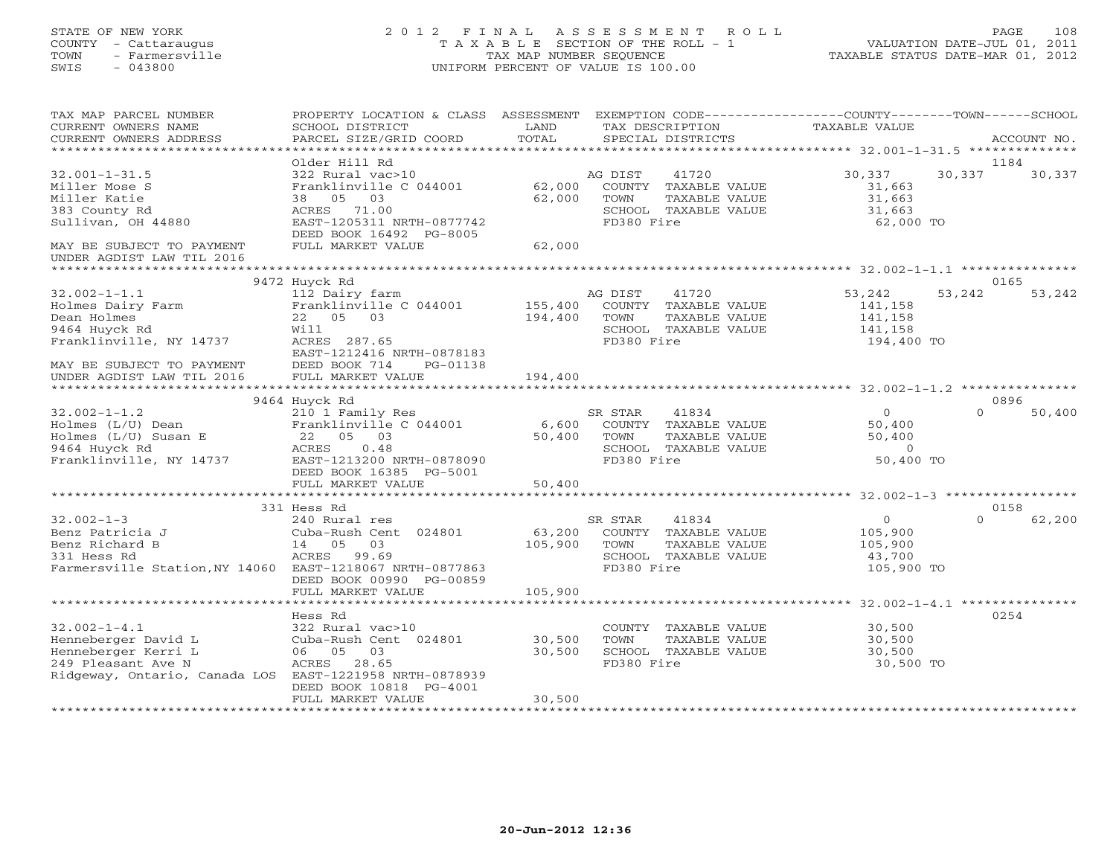## STATE OF NEW YORK 2 0 1 2 F I N A L A S S E S S M E N T R O L L PAGE 108 COUNTY - Cattaraugus T A X A B L E SECTION OF THE ROLL - 1 VALUATION DATE-JUL 01, 2011 TOWN - Farmersville TAX MAP NUMBER SEQUENCE TAXABLE STATUS DATE-MAR 01, 2012 SWIS - 043800 UNIFORM PERCENT OF VALUE IS 100.00UNIFORM PERCENT OF VALUE IS 100.00

| TAX MAP PARCEL NUMBER<br>CURRENT OWNERS NAME<br>CURRENT OWNERS ADDRESS                                                                            | PROPERTY LOCATION & CLASS ASSESSMENT<br>SCHOOL DISTRICT<br>PARCEL SIZE/GRID COORD                                                                       | LAND<br>TOTAL                | TAX DESCRIPTION<br>SPECIAL DISTRICTS                                                                    | EXEMPTION CODE----------------COUNTY-------TOWN-----SCHOOL<br><b>TAXABLE VALUE</b> | ACCOUNT NO.    |
|---------------------------------------------------------------------------------------------------------------------------------------------------|---------------------------------------------------------------------------------------------------------------------------------------------------------|------------------------------|---------------------------------------------------------------------------------------------------------|------------------------------------------------------------------------------------|----------------|
|                                                                                                                                                   |                                                                                                                                                         |                              |                                                                                                         |                                                                                    |                |
| $32.001 - 1 - 31.5$<br>Miller Mose S<br>Miller Katie<br>383 County Rd<br>Sullivan, OH 44880                                                       | Older Hill Rd<br>322 Rural vac>10<br>Franklinville C 044001<br>05<br>03<br>38<br>ACRES<br>71.00<br>EAST-1205311 NRTH-0877742<br>DEED BOOK 16492 PG-8005 | 62,000<br>62,000             | 41720<br>AG DIST<br>COUNTY TAXABLE VALUE<br>TAXABLE VALUE<br>TOWN<br>SCHOOL TAXABLE VALUE<br>FD380 Fire | 30,337<br>30,337<br>31,663<br>31,663<br>31,663<br>62,000 TO                        | 1184<br>30,337 |
| MAY BE SUBJECT TO PAYMENT<br>UNDER AGDIST LAW TIL 2016                                                                                            | FULL MARKET VALUE                                                                                                                                       | 62,000                       |                                                                                                         |                                                                                    |                |
|                                                                                                                                                   | 9472 Huyck Rd                                                                                                                                           |                              |                                                                                                         |                                                                                    | 0165           |
| $32.002 - 1 - 1.1$<br>Holmes Dairy Farm<br>Dean Holmes<br>9464 Huyck Rd<br>Franklinville, NY 14737                                                | 112 Dairy farm<br>Franklinville C 044001<br>22 05 03<br>Will<br>ACRES 287.65<br>EAST-1212416 NRTH-0878183                                               | 155,400<br>194,400           | 41720<br>AG DIST<br>COUNTY TAXABLE VALUE<br>TOWN<br>TAXABLE VALUE<br>SCHOOL TAXABLE VALUE<br>FD380 Fire | 53,242<br>53,242<br>141,158<br>141,158<br>141,158<br>194,400 TO                    | 53,242         |
| MAY BE SUBJECT TO PAYMENT<br>UNDER AGDIST LAW TIL 2016<br>*****************                                                                       | DEED BOOK 714<br>PG-01138<br>FULL MARKET VALUE<br>**********************                                                                                | 194,400<br>***************** |                                                                                                         |                                                                                    |                |
|                                                                                                                                                   | 9464 Huyck Rd                                                                                                                                           |                              |                                                                                                         |                                                                                    | 0896           |
| $32.002 - 1 - 1.2$<br>Holmes (L/U) Dean<br>Holmes (L/U) Susan E<br>9464 Huyck Rd<br>Franklinville, NY 14737                                       | 210 1 Family Res<br>Franklinville C 044001<br>22<br>05 03<br>ACRES<br>0.48<br>EAST-1213200 NRTH-0878090<br>DEED BOOK 16385 PG-5001                      | 6,600<br>50,400              | SR STAR<br>41834<br>COUNTY TAXABLE VALUE<br>TOWN<br>TAXABLE VALUE<br>SCHOOL TAXABLE VALUE<br>FD380 Fire | $\Omega$<br>$\Omega$<br>50,400<br>50,400<br>$\Omega$<br>50,400 TO                  | 50,400         |
|                                                                                                                                                   | FULL MARKET VALUE<br>************************                                                                                                           | 50,400                       |                                                                                                         |                                                                                    |                |
|                                                                                                                                                   | 331 Hess Rd                                                                                                                                             |                              |                                                                                                         |                                                                                    | 0158           |
| $32.002 - 1 - 3$<br>Benz Patricia J<br>Benz Richard B<br>331 Hess Rd<br>Farmersville Station, NY 14060 EAST-1218067 NRTH-0877863                  | 240 Rural res<br>Cuba-Rush Cent 024801<br>03<br>14 05<br>ACRES<br>99.69<br>DEED BOOK 00990 PG-00859                                                     | 63,200<br>105,900            | SR STAR<br>41834<br>COUNTY TAXABLE VALUE<br>TOWN<br>TAXABLE VALUE<br>SCHOOL TAXABLE VALUE<br>FD380 Fire | $\Omega$<br>$\Omega$<br>105,900<br>105,900<br>43,700<br>105,900 TO                 | 62,200         |
|                                                                                                                                                   | FULL MARKET VALUE                                                                                                                                       | 105,900                      |                                                                                                         |                                                                                    |                |
|                                                                                                                                                   | Hess Rd                                                                                                                                                 |                              |                                                                                                         |                                                                                    | 0254           |
| $32.002 - 1 - 4.1$<br>Henneberger David L<br>Henneberger Kerri L<br>249 Pleasant Ave N<br>Ridgeway, Ontario, Canada LOS EAST-1221958 NRTH-0878939 | 322 Rural vac>10<br>Cuba-Rush Cent 024801<br>06 05<br>03<br>ACRES<br>28.65                                                                              | 30,500<br>30,500             | COUNTY TAXABLE VALUE<br>TOWN<br>TAXABLE VALUE<br>SCHOOL TAXABLE VALUE<br>FD380 Fire                     | 30,500<br>30,500<br>30,500<br>30,500 TO                                            |                |
|                                                                                                                                                   | DEED BOOK 10818 PG-4001<br>FULL MARKET VALUE                                                                                                            | 30,500                       |                                                                                                         |                                                                                    |                |
|                                                                                                                                                   |                                                                                                                                                         |                              |                                                                                                         |                                                                                    |                |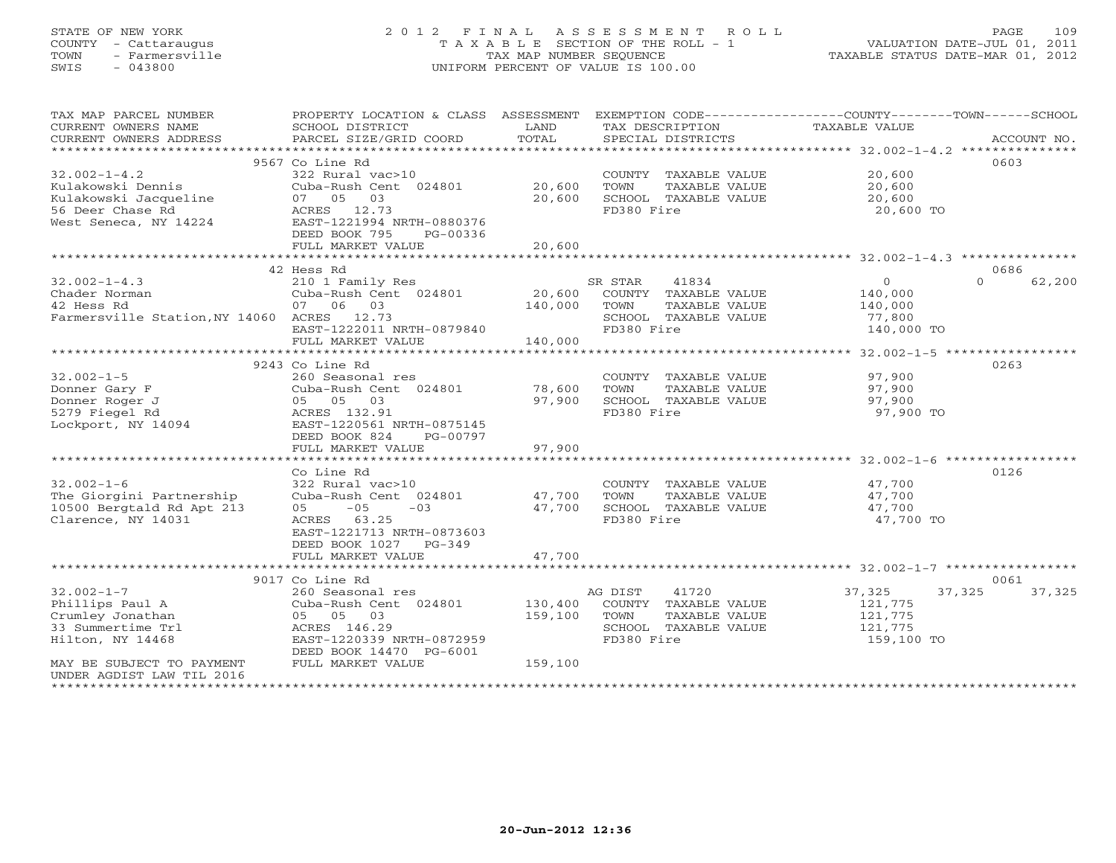# STATE OF NEW YORK 2 0 1 2 F I N A L A S S E S S M E N T R O L L PAGE 109 COUNTY - Cattaraugus T A X A B L E SECTION OF THE ROLL - 1 VALUATION DATE-JUL 01, 2011 TOWN - Farmersville TAX MAP NUMBER SEQUENCE TAXABLE STATUS DATE-MAR 01, 2012 SWIS - 043800 UNIFORM PERCENT OF VALUE IS 100.00UNIFORM PERCENT OF VALUE IS 100.00

| TAX MAP PARCEL NUMBER<br>CURRENT OWNERS NAME<br>CURRENT OWNERS ADDRESS | PROPERTY LOCATION & CLASS ASSESSMENT<br>SCHOOL DISTRICT<br>PARCEL SIZE/GRID COORD | LAND<br>TOTAL       | EXEMPTION CODE-----------------COUNTY-------TOWN------SCHOOL<br>TAX DESCRIPTION<br>SPECIAL DISTRICTS | <b>TAXABLE VALUE</b>                                  | ACCOUNT NO.        |
|------------------------------------------------------------------------|-----------------------------------------------------------------------------------|---------------------|------------------------------------------------------------------------------------------------------|-------------------------------------------------------|--------------------|
| *************************                                              |                                                                                   |                     |                                                                                                      |                                                       |                    |
|                                                                        | 9567 Co Line Rd                                                                   |                     |                                                                                                      |                                                       | 0603               |
| $32.002 - 1 - 4.2$                                                     | 322 Rural vac>10                                                                  |                     | COUNTY TAXABLE VALUE                                                                                 | 20,600                                                |                    |
| Kulakowski Dennis                                                      | Cuba-Rush Cent 024801                                                             | 20,600              | TOWN<br>TAXABLE VALUE                                                                                | 20,600                                                |                    |
| Kulakowski Jacqueline                                                  | 03<br>07 05                                                                       | 20,600              | SCHOOL TAXABLE VALUE                                                                                 | 20,600                                                |                    |
| 56 Deer Chase Rd                                                       | ACRES 12.73                                                                       |                     | FD380 Fire                                                                                           | 20,600 TO                                             |                    |
| West Seneca, NY 14224                                                  | EAST-1221994 NRTH-0880376                                                         |                     |                                                                                                      |                                                       |                    |
|                                                                        | DEED BOOK 795<br>PG-00336                                                         |                     |                                                                                                      |                                                       |                    |
|                                                                        | FULL MARKET VALUE                                                                 | 20,600              |                                                                                                      |                                                       |                    |
|                                                                        | 42 Hess Rd                                                                        |                     |                                                                                                      |                                                       | 0686               |
| $32.002 - 1 - 4.3$                                                     | 210 1 Family Res                                                                  |                     | SR STAR<br>41834                                                                                     | $\circ$                                               | 62,200<br>$\Omega$ |
| Chader Norman                                                          | Cuba-Rush Cent 024801                                                             | 20,600              | COUNTY TAXABLE VALUE                                                                                 | 140,000                                               |                    |
| 42 Hess Rd                                                             | 07 06 03                                                                          | 140,000             | TOWN<br>TAXABLE VALUE                                                                                | 140,000                                               |                    |
| Farmersville Station, NY 14060 ACRES 12.73                             |                                                                                   |                     | SCHOOL TAXABLE VALUE                                                                                 | 77,800                                                |                    |
|                                                                        | EAST-1222011 NRTH-0879840                                                         |                     | FD380 Fire                                                                                           | 140,000 TO                                            |                    |
|                                                                        | FULL MARKET VALUE                                                                 | 140,000             |                                                                                                      |                                                       |                    |
|                                                                        |                                                                                   |                     |                                                                                                      |                                                       |                    |
|                                                                        | 9243 Co Line Rd                                                                   |                     |                                                                                                      |                                                       | 0263               |
| $32.002 - 1 - 5$                                                       | 260 Seasonal res                                                                  |                     | COUNTY TAXABLE VALUE                                                                                 | 97,900                                                |                    |
| Donner Gary F                                                          | Cuba-Rush Cent 024801                                                             | 78,600              | TOWN<br>TAXABLE VALUE                                                                                | 97,900                                                |                    |
| Donner Roger J                                                         | 05 05 03                                                                          | 97,900              | SCHOOL TAXABLE VALUE                                                                                 | 97,900                                                |                    |
| 5279 Fiegel Rd                                                         | ACRES 132.91                                                                      |                     | FD380 Fire                                                                                           | 97,900 TO                                             |                    |
| Lockport, NY 14094                                                     | EAST-1220561 NRTH-0875145                                                         |                     |                                                                                                      |                                                       |                    |
|                                                                        | DEED BOOK 824<br>PG-00797                                                         |                     |                                                                                                      |                                                       |                    |
|                                                                        | FULL MARKET VALUE                                                                 | 97,900              |                                                                                                      |                                                       |                    |
|                                                                        | ********************                                                              | ***********         |                                                                                                      | *********************** 32.002-1-6 ****************** |                    |
|                                                                        | Co Line Rd                                                                        |                     |                                                                                                      |                                                       | 0126               |
| $32.002 - 1 - 6$                                                       | 322 Rural vac>10                                                                  |                     | COUNTY TAXABLE VALUE                                                                                 | 47,700                                                |                    |
| The Giorgini Partnership                                               | Cuba-Rush Cent 024801                                                             | 47,700              | TOWN<br>TAXABLE VALUE                                                                                | 47,700                                                |                    |
| 10500 Bergtald Rd Apt 213                                              | $-05$<br>$-03$<br>05                                                              | 47,700              | SCHOOL TAXABLE VALUE                                                                                 | 47,700                                                |                    |
| Clarence, NY 14031                                                     | ACRES<br>63.25                                                                    |                     | FD380 Fire                                                                                           | 47,700 TO                                             |                    |
|                                                                        | EAST-1221713 NRTH-0873603                                                         |                     |                                                                                                      |                                                       |                    |
|                                                                        | DEED BOOK 1027 PG-349                                                             |                     |                                                                                                      |                                                       |                    |
|                                                                        | FULL MARKET VALUE                                                                 | 47,700<br>********* |                                                                                                      |                                                       |                    |
|                                                                        | 9017 Co Line Rd                                                                   |                     |                                                                                                      |                                                       | 0061               |
| $32.002 - 1 - 7$                                                       | 260 Seasonal res                                                                  |                     | 41720<br>AG DIST                                                                                     | 37,325                                                | 37,325<br>37,325   |
| Phillips Paul A                                                        | Cuba-Rush Cent 024801                                                             | 130,400             | COUNTY TAXABLE VALUE                                                                                 | 121,775                                               |                    |
| Crumley Jonathan                                                       | 05 05 03                                                                          | 159,100             | TOWN<br>TAXABLE VALUE                                                                                | 121,775                                               |                    |
| 33 Summertime Trl                                                      | ACRES 146.29                                                                      |                     | SCHOOL TAXABLE VALUE                                                                                 | 121,775                                               |                    |
| Hilton, NY 14468                                                       | EAST-1220339 NRTH-0872959                                                         |                     | FD380 Fire                                                                                           | 159,100 TO                                            |                    |
|                                                                        | DEED BOOK 14470 PG-6001                                                           |                     |                                                                                                      |                                                       |                    |
| MAY BE SUBJECT TO PAYMENT                                              | FULL MARKET VALUE                                                                 | 159,100             |                                                                                                      |                                                       |                    |
| UNDER AGDIST LAW TIL 2016                                              |                                                                                   |                     |                                                                                                      |                                                       |                    |
|                                                                        |                                                                                   |                     |                                                                                                      |                                                       |                    |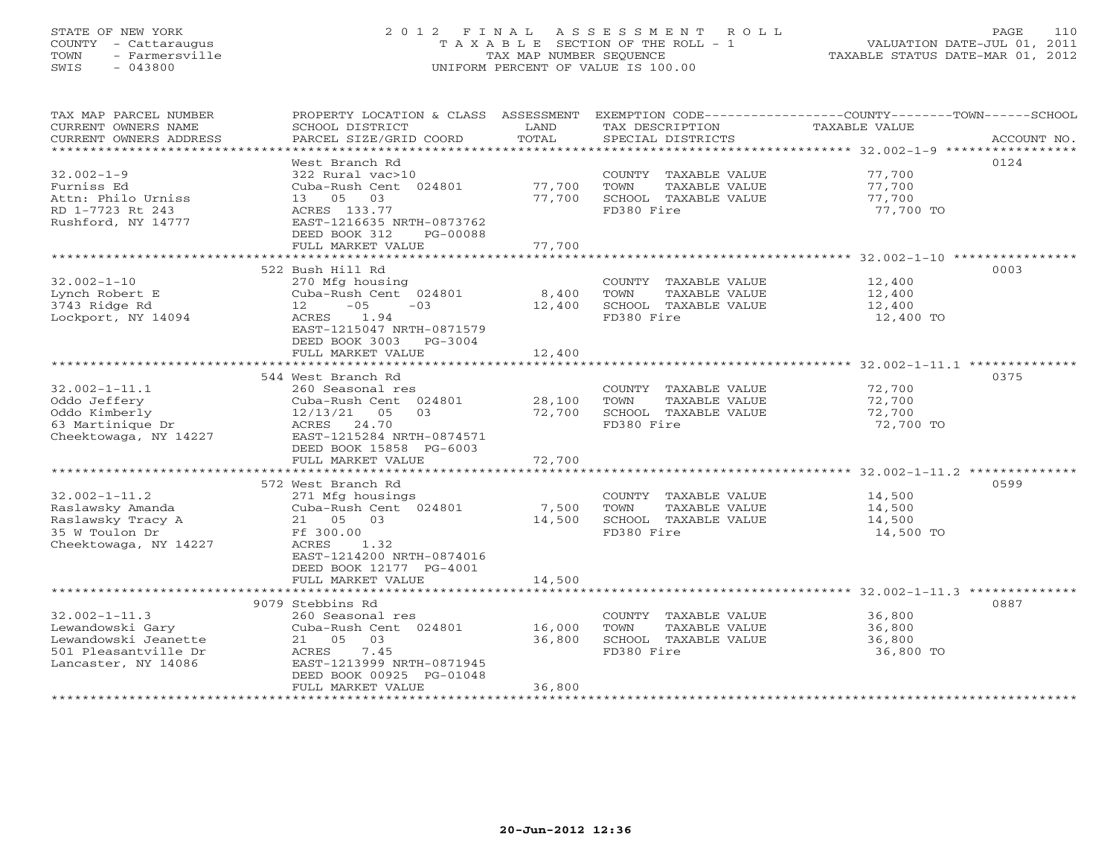## STATE OF NEW YORK 2 0 1 2 F I N A L A S S E S S M E N T R O L L PAGE 110 COUNTY - Cattaraugus T A X A B L E SECTION OF THE ROLL - 1 VALUATION DATE-JUL 01, 2011 TOWN - Farmersville TAX MAP NUMBER SEQUENCE TAXABLE STATUS DATE-MAR 01, 2012 SWIS - 043800 UNIFORM PERCENT OF VALUE IS 100.00UNIFORM PERCENT OF VALUE IS 100.00

| TAX MAP PARCEL NUMBER   | PROPERTY LOCATION & CLASS ASSESSMENT |        |                       | EXEMPTION CODE-----------------COUNTY-------TOWN------SCHOOL |
|-------------------------|--------------------------------------|--------|-----------------------|--------------------------------------------------------------|
| CURRENT OWNERS NAME     | SCHOOL DISTRICT                      | LAND   | TAX DESCRIPTION       | TAXABLE VALUE                                                |
| CURRENT OWNERS ADDRESS  | PARCEL SIZE/GRID COORD               | TOTAL  | SPECIAL DISTRICTS     | ACCOUNT NO.                                                  |
| *********************** |                                      |        |                       |                                                              |
|                         | West Branch Rd                       |        |                       | 0124                                                         |
| $32.002 - 1 - 9$        | 322 Rural vac>10                     |        | COUNTY TAXABLE VALUE  | 77,700                                                       |
| Furniss Ed              | Cuba-Rush Cent 024801                | 77,700 | TOWN<br>TAXABLE VALUE | 77,700                                                       |
| Attn: Philo Urniss      | 13 05<br>03                          | 77,700 | SCHOOL TAXABLE VALUE  | 77,700                                                       |
| RD 1-7723 Rt 243        | ACRES 133.77                         |        | FD380 Fire            | 77,700 TO                                                    |
| Rushford, NY 14777      | EAST-1216635 NRTH-0873762            |        |                       |                                                              |
|                         | DEED BOOK 312<br>PG-00088            |        |                       |                                                              |
|                         | FULL MARKET VALUE                    | 77,700 |                       |                                                              |
|                         |                                      |        |                       |                                                              |
|                         | 522 Bush Hill Rd                     |        |                       | 0003                                                         |
| $32.002 - 1 - 10$       | 270 Mfg housing                      |        | COUNTY TAXABLE VALUE  | 12,400                                                       |
| Lynch Robert E          | Cuba-Rush Cent 024801                | 8,400  | TOWN<br>TAXABLE VALUE | 12,400                                                       |
| 3743 Ridge Rd           | $12 - 05$<br>$-03$                   | 12,400 | SCHOOL TAXABLE VALUE  | 12,400                                                       |
| Lockport, NY 14094      | 1.94<br>ACRES                        |        | FD380 Fire            | 12,400 TO                                                    |
|                         | EAST-1215047 NRTH-0871579            |        |                       |                                                              |
|                         | DEED BOOK 3003 PG-3004               |        |                       |                                                              |
|                         | FULL MARKET VALUE                    | 12,400 |                       |                                                              |
|                         |                                      |        |                       |                                                              |
|                         | 544 West Branch Rd                   |        |                       | 0375                                                         |
| $32.002 - 1 - 11.1$     | 260 Seasonal res                     |        | COUNTY TAXABLE VALUE  | 72,700                                                       |
| Oddo Jeffery            | Cuba-Rush Cent 024801                | 28,100 | TOWN<br>TAXABLE VALUE | 72,700                                                       |
| Oddo Kimberly           | $12/13/21$ 05<br>03                  | 72,700 | SCHOOL TAXABLE VALUE  | 72,700                                                       |
| 63 Martinique Dr        | ACRES 24.70                          |        | FD380 Fire            | 72,700 TO                                                    |
| Cheektowaga, NY 14227   | EAST-1215284 NRTH-0874571            |        |                       |                                                              |
|                         | DEED BOOK 15858 PG-6003              |        |                       |                                                              |
|                         | FULL MARKET VALUE                    | 72,700 |                       |                                                              |
|                         | 572 West Branch Rd                   |        |                       | 0599                                                         |
| $32.002 - 1 - 11.2$     | 271 Mfg housings                     |        | COUNTY TAXABLE VALUE  | 14,500                                                       |
| Raslawsky Amanda        | Cuba-Rush Cent 024801                | 7,500  | TOWN<br>TAXABLE VALUE | 14,500                                                       |
| Raslawsky Tracy A       | 21 05 03                             | 14,500 | SCHOOL TAXABLE VALUE  | 14,500                                                       |
| 35 W Toulon Dr          | Ff 300.00                            |        | FD380 Fire            | 14,500 TO                                                    |
| Cheektowaga, NY 14227   | ACRES<br>1.32                        |        |                       |                                                              |
|                         | EAST-1214200 NRTH-0874016            |        |                       |                                                              |
|                         | DEED BOOK 12177 PG-4001              |        |                       |                                                              |
|                         | FULL MARKET VALUE                    | 14,500 |                       |                                                              |
|                         |                                      |        |                       |                                                              |
|                         | 9079 Stebbins Rd                     |        |                       | 0887                                                         |
| $32.002 - 1 - 11.3$     | 260 Seasonal res                     |        | COUNTY TAXABLE VALUE  | 36,800                                                       |
| Lewandowski Gary        | Cuba-Rush Cent 024801                | 16,000 | TOWN<br>TAXABLE VALUE | 36,800                                                       |
| Lewandowski Jeanette    | 21 05 03                             | 36,800 | SCHOOL TAXABLE VALUE  | 36,800                                                       |
| 501 Pleasantville Dr    | 7.45<br>ACRES                        |        | FD380 Fire            | 36,800 TO                                                    |
| Lancaster, NY 14086     | EAST-1213999 NRTH-0871945            |        |                       |                                                              |
|                         | DEED BOOK 00925 PG-01048             |        |                       |                                                              |
|                         | FULL MARKET VALUE                    | 36,800 |                       |                                                              |
|                         |                                      |        |                       |                                                              |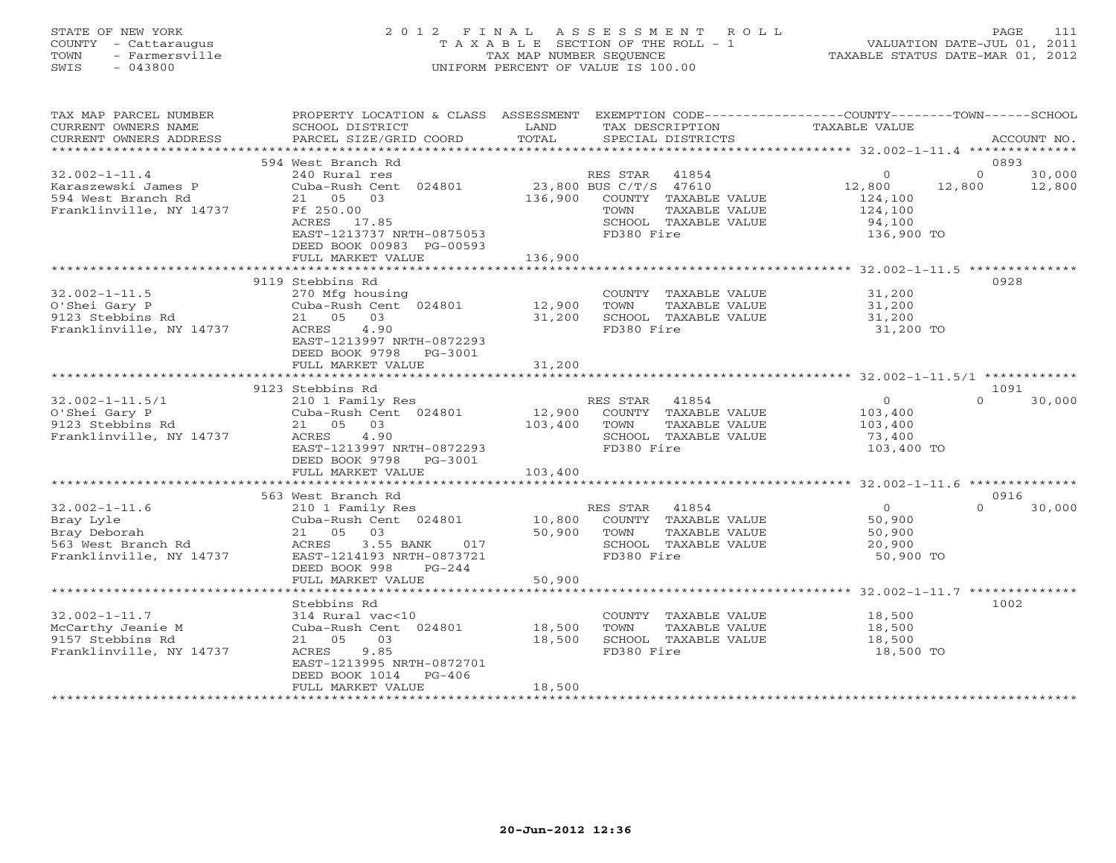# STATE OF NEW YORK 2 0 1 2 F I N A L A S S E S S M E N T R O L L PAGE 111 COUNTY - Cattaraugus T A X A B L E SECTION OF THE ROLL - 1 VALUATION DATE-JUL 01, 2011 TOWN - Farmersville TAX MAP NUMBER SEQUENCE TAXABLE STATUS DATE-MAR 01, 2012 SWIS - 043800 UNIFORM PERCENT OF VALUE IS 100.00UNIFORM PERCENT OF VALUE IS 100.00

| TAX MAP PARCEL NUMBER<br>CURRENT OWNERS NAME<br>CURRENT OWNERS ADDRESS                            | PROPERTY LOCATION & CLASS ASSESSMENT<br>SCHOOL DISTRICT<br>PARCEL SIZE/GRID COORD                                                                                         | LAND<br>TAX DESCRIPTION<br>TOTAL<br>SPECIAL DISTRICTS                                                                                      | EXEMPTION CODE-----------------COUNTY-------TOWN------SCHOOL<br><b>TAXABLE VALUE</b><br>ACCOUNT NO.        |
|---------------------------------------------------------------------------------------------------|---------------------------------------------------------------------------------------------------------------------------------------------------------------------------|--------------------------------------------------------------------------------------------------------------------------------------------|------------------------------------------------------------------------------------------------------------|
|                                                                                                   |                                                                                                                                                                           |                                                                                                                                            |                                                                                                            |
|                                                                                                   | 594 West Branch Rd                                                                                                                                                        |                                                                                                                                            | 0893                                                                                                       |
| $32.002 - 1 - 11.4$<br>Karaszewski James P<br>594 West Branch Rd<br>Franklinville, NY 14737       | 240 Rural res<br>Cuba-Rush Cent 024801<br>21 05 03<br>Ff 250.00<br>ACRES 17.85<br>EAST-1213737 NRTH-0875053<br>DEED BOOK 00983 PG-00593                                   | RES STAR 41854<br>23,800 BUS C/T/S 47610<br>136,900<br>COUNTY TAXABLE VALUE<br>TAXABLE VALUE<br>TOWN<br>SCHOOL TAXABLE VALUE<br>FD380 Fire | 30,000<br>$\Omega$<br>$\Omega$<br>12,800<br>12,800<br>12,800<br>124,100<br>124,100<br>94,100<br>136,900 TO |
|                                                                                                   | FULL MARKET VALUE                                                                                                                                                         | 136,900                                                                                                                                    |                                                                                                            |
|                                                                                                   |                                                                                                                                                                           |                                                                                                                                            |                                                                                                            |
| $32.002 - 1 - 11.5$<br>O'Shei Gary P<br>9123 Stebbins Rd<br>Franklinville, NY 14737               | 9119 Stebbins Rd<br>270 Mfg housing<br>Cuba-Rush Cent 024801<br>21 05 03<br>ACRES<br>4.90<br>EAST-1213997 NRTH-0872293<br>DEED BOOK 9798<br>PG-3001<br>FULL MARKET VALUE  | COUNTY TAXABLE VALUE<br>12,900<br>TOWN<br>TAXABLE VALUE<br>31,200<br>SCHOOL TAXABLE VALUE<br>FD380 Fire<br>31,200                          | 0928<br>31,200<br>31,200<br>31,200<br>31,200 TO                                                            |
|                                                                                                   |                                                                                                                                                                           |                                                                                                                                            |                                                                                                            |
| $32.002 - 1 - 11.5/1$<br>O'Shei Gary P<br>9123 Stebbins Rd<br>Franklinville, NY 14737             | 9123 Stebbins Rd<br>210 1 Family Res<br>Cuba-Rush Cent 024801<br>21 05 03<br>4.90<br>ACRES<br>EAST-1213997 NRTH-0872293<br>DEED BOOK 9798<br>PG-3001<br>FULL MARKET VALUE | 41854<br>RES STAR<br>12,900<br>COUNTY TAXABLE VALUE<br>103,400<br>TAXABLE VALUE<br>TOWN<br>SCHOOL TAXABLE VALUE<br>FD380 Fire<br>103,400   | 1091<br>$\Omega$<br>$\Omega$<br>30,000<br>103,400<br>103,400<br>73,400<br>103,400 TO                       |
|                                                                                                   |                                                                                                                                                                           |                                                                                                                                            |                                                                                                            |
| $32.002 - 1 - 11.6$<br>Bray Lyle<br>Bray Deborah<br>563 West Branch Rd<br>Franklinville, NY 14737 | 563 West Branch Rd<br>210 1 Family Res<br>Cuba-Rush Cent 024801<br>03<br>21 05<br>ACRES<br>3.55 BANK<br>017<br>EAST-1214193 NRTH-0873721<br>DEED BOOK 998<br>$PG-244$     | 41854<br>RES STAR<br>10,800<br>COUNTY TAXABLE VALUE<br>50,900<br>TAXABLE VALUE<br>TOWN<br>SCHOOL TAXABLE VALUE<br>FD380 Fire               | 0916<br>30,000<br>$\Omega$<br>$\Omega$<br>50,900<br>50,900<br>20,900<br>50,900 TO                          |
|                                                                                                   | FULL MARKET VALUE                                                                                                                                                         | 50,900                                                                                                                                     |                                                                                                            |
|                                                                                                   |                                                                                                                                                                           |                                                                                                                                            |                                                                                                            |
| $32.002 - 1 - 11.7$<br>McCarthy Jeanie M<br>9157 Stebbins Rd<br>Franklinville, NY 14737           | Stebbins Rd<br>314 Rural vac<10<br>Cuba-Rush Cent 024801<br>21 05<br>03<br>9.85<br>ACRES<br>EAST-1213995 NRTH-0872701<br>DEED BOOK 1014<br>PG-406<br>FULL MARKET VALUE    | COUNTY TAXABLE VALUE<br>18,500<br>TOWN<br>TAXABLE VALUE<br>18,500<br>SCHOOL TAXABLE VALUE<br>FD380 Fire<br>18,500                          | 1002<br>18,500<br>18,500<br>18,500<br>18,500 TO                                                            |
| **********************                                                                            |                                                                                                                                                                           |                                                                                                                                            |                                                                                                            |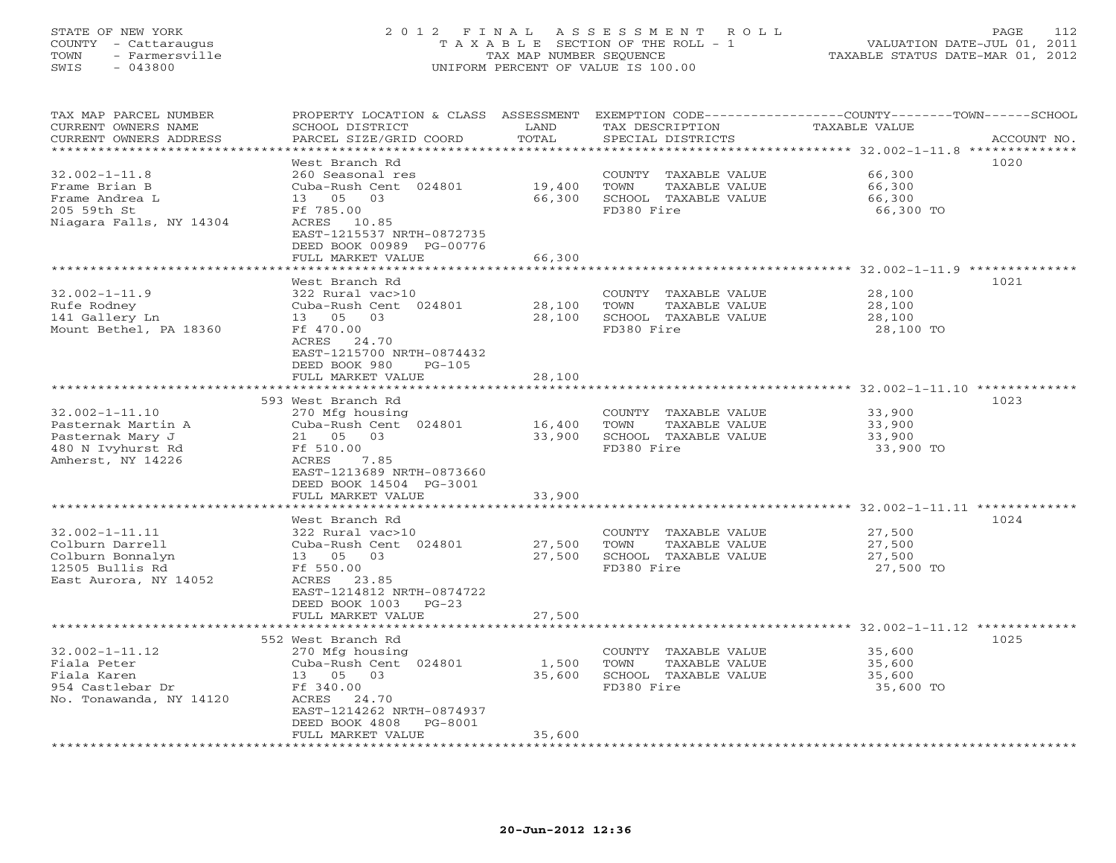#### STATE OF NEW YORK 2 0 1 2 F I N A L A S S E S S M E N T R O L L PAGE 112 COUNTY - Cattaraugus T A X A B L E SECTION OF THE ROLL - 1 VALUATION DATE-JUL 01, 2011 TOWN - Farmersville TAX MAP NUMBER SEQUENCE TAXABLE STATUS DATE-MAR 01, 2012 SWIS - 043800 UNIFORM PERCENT OF VALUE IS 100.00UNIFORM PERCENT OF VALUE IS 100.00

| TAX MAP PARCEL NUMBER<br>CURRENT OWNERS NAME<br>CURRENT OWNERS ADDRESS | PROPERTY LOCATION & CLASS ASSESSMENT<br>SCHOOL DISTRICT<br>PARCEL SIZE/GRID COORD | LAND<br>TOTAL     | TAX DESCRIPTION<br>SPECIAL DISTRICTS          | EXEMPTION CODE----------------COUNTY-------TOWN-----SCHOOL<br>TAXABLE VALUE<br>ACCOUNT NO. |
|------------------------------------------------------------------------|-----------------------------------------------------------------------------------|-------------------|-----------------------------------------------|--------------------------------------------------------------------------------------------|
|                                                                        |                                                                                   | * * * * * * * * * |                                               |                                                                                            |
| $32.002 - 1 - 11.8$                                                    | West Branch Rd<br>260 Seasonal res                                                |                   | COUNTY TAXABLE VALUE                          | 1020<br>66,300                                                                             |
| Frame Brian B                                                          | Cuba-Rush Cent 024801                                                             | 19,400            | TOWN<br>TAXABLE VALUE                         | 66,300                                                                                     |
| Frame Andrea L                                                         | 03<br>13 05                                                                       | 66,300            | SCHOOL TAXABLE VALUE                          | 66,300                                                                                     |
| 205 59th St                                                            | Ff 785.00                                                                         |                   | FD380 Fire                                    | 66,300 TO                                                                                  |
| Niagara Falls, NY 14304                                                | ACRES 10.85<br>EAST-1215537 NRTH-0872735                                          |                   |                                               |                                                                                            |
|                                                                        | DEED BOOK 00989 PG-00776                                                          |                   |                                               |                                                                                            |
|                                                                        | FULL MARKET VALUE                                                                 | 66,300            |                                               |                                                                                            |
|                                                                        |                                                                                   | ******            |                                               | ***************** 32.002-1-11.9 *********                                                  |
|                                                                        | West Branch Rd                                                                    |                   |                                               | 1021                                                                                       |
| $32.002 - 1 - 11.9$                                                    | 322 Rural vac>10                                                                  |                   | COUNTY TAXABLE VALUE                          | 28,100                                                                                     |
| Rufe Rodney                                                            | Cuba-Rush Cent 024801                                                             | 28,100            | TOWN<br>TAXABLE VALUE                         | 28,100                                                                                     |
| 141 Gallery Ln                                                         | 13 05<br>03                                                                       | 28,100            | SCHOOL TAXABLE VALUE                          | 28,100                                                                                     |
| Mount Bethel, PA 18360                                                 | Ff 470.00                                                                         |                   | FD380 Fire                                    | 28,100 TO                                                                                  |
|                                                                        | ACRES<br>24.70<br>EAST-1215700 NRTH-0874432                                       |                   |                                               |                                                                                            |
|                                                                        | DEED BOOK 980<br>$PG-105$                                                         |                   |                                               |                                                                                            |
|                                                                        | FULL MARKET VALUE                                                                 | 28,100            |                                               |                                                                                            |
|                                                                        |                                                                                   |                   |                                               |                                                                                            |
|                                                                        | 593 West Branch Rd                                                                |                   |                                               | 1023                                                                                       |
| $32.002 - 1 - 11.10$                                                   | 270 Mfg housing                                                                   |                   | COUNTY TAXABLE VALUE                          | 33,900                                                                                     |
| Pasternak Martin A                                                     | Cuba-Rush Cent 024801                                                             | 16,400            | TOWN<br>TAXABLE VALUE                         | 33,900                                                                                     |
| Pasternak Mary J                                                       | 21 05 03                                                                          | 33,900            | SCHOOL TAXABLE VALUE                          | 33,900                                                                                     |
| 480 N Ivyhurst Rd                                                      | Ff 510.00                                                                         |                   | FD380 Fire                                    | 33,900 TO                                                                                  |
| Amherst, NY 14226                                                      | ACRES<br>7.85                                                                     |                   |                                               |                                                                                            |
|                                                                        | EAST-1213689 NRTH-0873660                                                         |                   |                                               |                                                                                            |
|                                                                        | DEED BOOK 14504 PG-3001                                                           |                   |                                               |                                                                                            |
|                                                                        | FULL MARKET VALUE                                                                 | 33,900            |                                               |                                                                                            |
|                                                                        |                                                                                   |                   |                                               |                                                                                            |
| $32.002 - 1 - 11.11$                                                   | West Branch Rd                                                                    |                   |                                               | 1024                                                                                       |
| Colburn Darrell                                                        | 322 Rural vac>10<br>Cuba-Rush Cent 024801                                         | 27,500            | COUNTY TAXABLE VALUE<br>TOWN<br>TAXABLE VALUE | 27,500<br>27,500                                                                           |
| Colburn Bonnalyn                                                       | 03<br>13 05                                                                       | 27,500            | SCHOOL TAXABLE VALUE                          | 27,500                                                                                     |
| 12505 Bullis Rd                                                        | Ff 550.00                                                                         |                   | FD380 Fire                                    | 27,500 TO                                                                                  |
| East Aurora, NY 14052                                                  | ACRES 23.85                                                                       |                   |                                               |                                                                                            |
|                                                                        | EAST-1214812 NRTH-0874722                                                         |                   |                                               |                                                                                            |
|                                                                        | DEED BOOK 1003<br>$PG-23$                                                         |                   |                                               |                                                                                            |
|                                                                        | FULL MARKET VALUE                                                                 | 27,500            |                                               |                                                                                            |
|                                                                        | * * * * * * * * * * * * * * * * * * *                                             | *************     |                                               |                                                                                            |
|                                                                        | 552 West Branch Rd                                                                |                   |                                               | 1025                                                                                       |
| $32.002 - 1 - 11.12$                                                   | 270 Mfg housing                                                                   |                   | COUNTY TAXABLE VALUE                          | 35,600                                                                                     |
| Fiala Peter                                                            | Cuba-Rush Cent 024801                                                             | 1,500             | TOWN<br>TAXABLE VALUE                         | 35,600                                                                                     |
| Fiala Karen                                                            | 13 05 03                                                                          | 35,600            | SCHOOL TAXABLE VALUE                          | 35,600                                                                                     |
| 954 Castlebar Dr                                                       | Ff 340.00                                                                         |                   | FD380 Fire                                    | 35,600 TO                                                                                  |
| No. Tonawanda, NY 14120                                                | ACRES 24.70<br>EAST-1214262 NRTH-0874937                                          |                   |                                               |                                                                                            |
|                                                                        | DEED BOOK 4808<br>PG-8001                                                         |                   |                                               |                                                                                            |
|                                                                        | FULL MARKET VALUE                                                                 | 35,600            |                                               |                                                                                            |
|                                                                        |                                                                                   |                   |                                               |                                                                                            |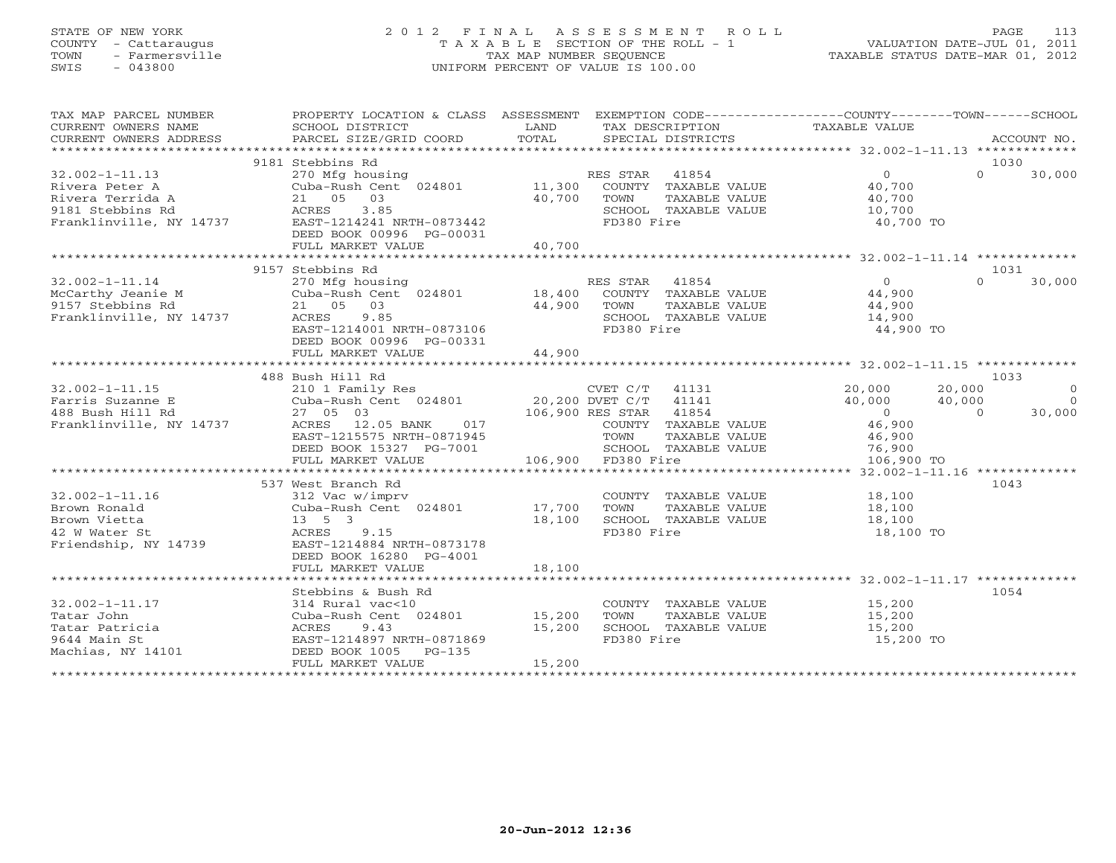# STATE OF NEW YORK 2 0 1 2 F I N A L A S S E S S M E N T R O L L PAGE 113 COUNTY - Cattaraugus T A X A B L E SECTION OF THE ROLL - 1 VALUATION DATE-JUL 01, 2011 TOWN - Farmersville TAX MAP NUMBER SEQUENCE TAXABLE STATUS DATE-MAR 01, 2012 SWIS - 043800 UNIFORM PERCENT OF VALUE IS 100.00UNIFORM PERCENT OF VALUE IS 100.00

| TAX MAP PARCEL NUMBER<br>CURRENT OWNERS NAME<br>CURRENT OWNERS ADDRESS | PROPERTY LOCATION & CLASS ASSESSMENT<br>SCHOOL DISTRICT<br>PARCEL SIZE/GRID COORD | LAND<br>TOTAL | EXEMPTION CODE-----------------COUNTY-------TOWN------SCHOOL<br>TAX DESCRIPTION TAXABLE VALUE<br>SPECIAL DISTRICTS |                  | ACCOUNT NO.        |
|------------------------------------------------------------------------|-----------------------------------------------------------------------------------|---------------|--------------------------------------------------------------------------------------------------------------------|------------------|--------------------|
|                                                                        |                                                                                   |               |                                                                                                                    |                  |                    |
|                                                                        | 9181 Stebbins Rd                                                                  |               |                                                                                                                    |                  | 1030               |
| $32.002 - 1 - 11.13$                                                   | 270 Mfg housing                                                                   |               | 41854<br>RES STAR                                                                                                  | $\overline{O}$   | $\Omega$<br>30,000 |
| Rivera Peter A                                                         | Cuba-Rush Cent 024801                                                             | 11,300        | COUNTY TAXABLE VALUE                                                                                               | 40,700           |                    |
| Rivera Terrida A                                                       | 21 05<br>03                                                                       | 40,700        | TOWN<br>TAXABLE VALUE                                                                                              | 40,700           |                    |
| 9181 Stebbins Rd                                                       | ACRES<br>3.85                                                                     |               | SCHOOL TAXABLE VALUE                                                                                               | 10,700           |                    |
| Franklinville, NY 14737                                                | EAST-1214241 NRTH-0873442                                                         |               | FD380 Fire                                                                                                         | 40,700 TO        |                    |
|                                                                        | DEED BOOK 00996 PG-00031                                                          |               |                                                                                                                    |                  |                    |
|                                                                        | FULL MARKET VALUE                                                                 | 40,700        |                                                                                                                    |                  |                    |
|                                                                        |                                                                                   |               |                                                                                                                    |                  |                    |
|                                                                        | 9157 Stebbins Rd                                                                  |               |                                                                                                                    |                  | 1031               |
| $32.002 - 1 - 11.14$                                                   | 270 Mfg housing                                                                   |               | RES STAR<br>41854                                                                                                  | $\overline{0}$   | $\Omega$<br>30,000 |
| McCarthy Jeanie M                                                      | Cuba-Rush Cent 024801                                                             | 18,400        | COUNTY TAXABLE VALUE                                                                                               | 44,900           |                    |
| 9157 Stebbins Rd                                                       | 03<br>21 05                                                                       | 44,900        | TOWN<br>TAXABLE VALUE                                                                                              | 44,900           |                    |
| Franklinville, NY 14737                                                | ACRES<br>9.85                                                                     |               | SCHOOL TAXABLE VALUE                                                                                               | 14,900           |                    |
|                                                                        | EAST-1214001 NRTH-0873106                                                         |               | FD380 Fire                                                                                                         | 44,900 TO        |                    |
|                                                                        | DEED BOOK 00996 PG-00331                                                          |               |                                                                                                                    |                  |                    |
|                                                                        | FULL MARKET VALUE                                                                 | 44,900        |                                                                                                                    |                  |                    |
|                                                                        |                                                                                   |               |                                                                                                                    |                  |                    |
|                                                                        |                                                                                   |               |                                                                                                                    |                  |                    |
|                                                                        | 488 Bush Hill Rd                                                                  |               |                                                                                                                    |                  | 1033               |
| $32.002 - 1 - 11.15$                                                   | 210 1 Family Res                                                                  |               | CVET C/T 41131<br>20,200 DVET C/T 41141                                                                            | 20,000           | 20,000<br>$\Omega$ |
| Farris Suzanne E                                                       | Cuba-Rush Cent 024801                                                             |               |                                                                                                                    | 40,000<br>40,000 | $\Omega$           |
| 488 Bush Hill Rd                                                       | 27 05 03                                                                          |               | 106,900 RES STAR 41854                                                                                             | $\overline{0}$   | 30,000<br>$\Omega$ |
| Franklinville, NY 14737                                                | ACRES 12.05 BANK<br>017                                                           |               | COUNTY TAXABLE VALUE                                                                                               | 46,900           |                    |
|                                                                        | EAST-1215575 NRTH-0871945                                                         |               | TOWN<br>TAXABLE VALUE                                                                                              | 46,900           |                    |
|                                                                        | DEED BOOK 15327 PG-7001                                                           |               | SCHOOL TAXABLE VALUE                                                                                               | 76,900           |                    |
|                                                                        | FULL MARKET VALUE                                                                 |               | 106,900 FD380 Fire                                                                                                 | 106,900 TO       |                    |
|                                                                        |                                                                                   |               |                                                                                                                    |                  |                    |
|                                                                        | 537 West Branch Rd                                                                |               |                                                                                                                    |                  | 1043               |
| $32.002 - 1 - 11.16$                                                   | 312 Vac w/imprv                                                                   |               | COUNTY<br>TAXABLE VALUE                                                                                            | 18,100           |                    |
| Brown Ronald                                                           | Cuba-Rush Cent 024801                                                             | 17,700        | TOWN<br>TAXABLE VALUE                                                                                              | 18,100           |                    |
| Brown Vietta                                                           | $13 \quad 5 \quad 3$                                                              | 18,100        | SCHOOL TAXABLE VALUE                                                                                               | 18,100           |                    |
| 42 W Water St                                                          | ACRES<br>9.15                                                                     |               | FD380 Fire                                                                                                         | 18,100 TO        |                    |
| Friendship, NY 14739                                                   | EAST-1214884 NRTH-0873178                                                         |               |                                                                                                                    |                  |                    |
|                                                                        | DEED BOOK 16280 PG-4001                                                           |               |                                                                                                                    |                  |                    |
|                                                                        | FULL MARKET VALUE                                                                 | 18,100        |                                                                                                                    |                  |                    |
|                                                                        |                                                                                   |               |                                                                                                                    |                  |                    |
|                                                                        | Stebbins & Bush Rd                                                                |               |                                                                                                                    |                  | 1054               |
| $32.002 - 1 - 11.17$                                                   | 314 Rural vac<10                                                                  |               | COUNTY TAXABLE VALUE                                                                                               | 15,200           |                    |
| Tatar John                                                             | Cuba-Rush Cent 024801 15,200                                                      |               | TAXABLE VALUE<br>TOWN                                                                                              | 15,200           |                    |
| Tatar Patricia                                                         | 9.43<br>ACRES                                                                     | 15,200        | SCHOOL TAXABLE VALUE                                                                                               | 15,200           |                    |
| 9644 Main St                                                           | EAST-1214897 NRTH-0871869                                                         |               | FD380 Fire                                                                                                         | 15,200 TO        |                    |
| Machias, NY 14101                                                      |                                                                                   |               |                                                                                                                    |                  |                    |
|                                                                        | DEED BOOK 1005 PG-135                                                             | 15,200        |                                                                                                                    |                  |                    |
|                                                                        | FULL MARKET VALUE                                                                 |               |                                                                                                                    |                  |                    |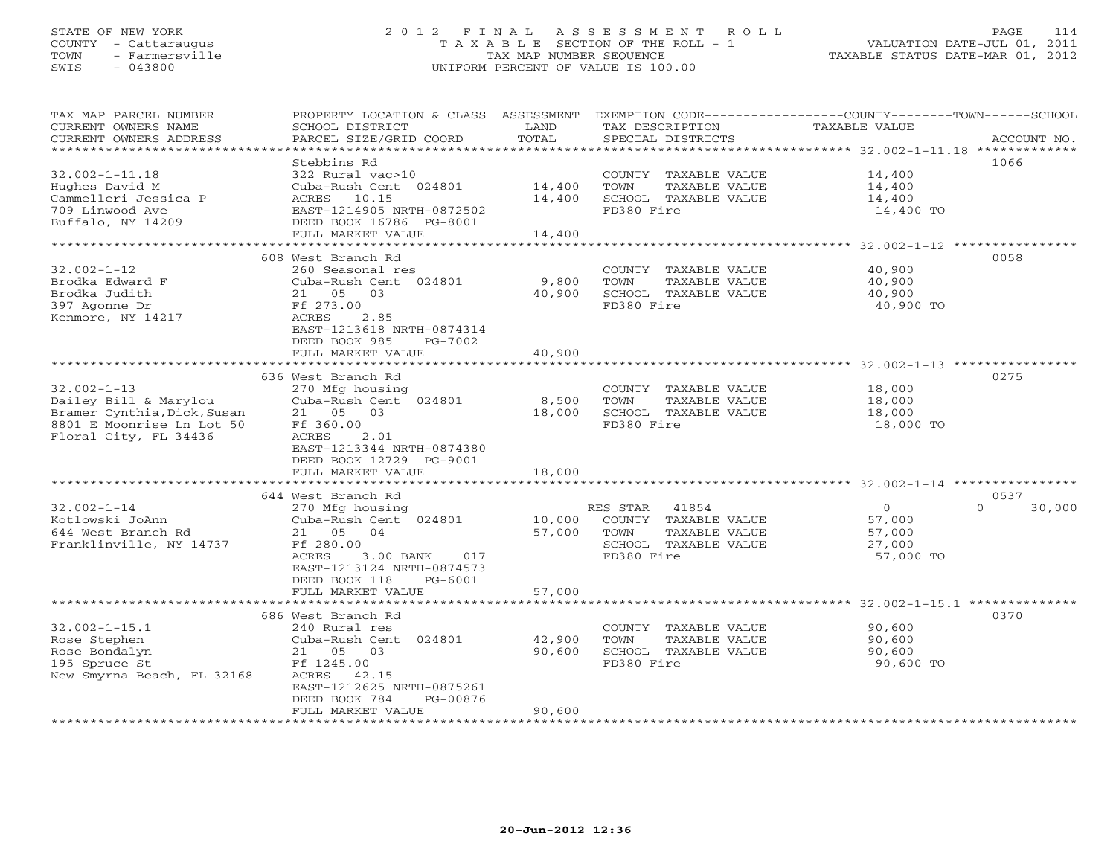#### STATE OF NEW YORK 2 0 1 2 F I N A L A S S E S S M E N T R O L L PAGE 114 COUNTY - Cattaraugus T A X A B L E SECTION OF THE ROLL - 1 VALUATION DATE-JUL 01, 2011 TOWN - Farmersville TAX MAP NUMBER SEQUENCE TAXABLE STATUS DATE-MAR 01, 2012 SWIS - 043800 UNIFORM PERCENT OF VALUE IS 100.00UNIFORM PERCENT OF VALUE IS 100.00

| TAX MAP PARCEL NUMBER<br>CURRENT OWNERS NAME<br>CURRENT OWNERS ADDRESS | PROPERTY LOCATION & CLASS ASSESSMENT<br>SCHOOL DISTRICT<br>PARCEL SIZE/GRID COORD | LAND<br>TOTAL     | TAX DESCRIPTION<br>SPECIAL DISTRICTS  | EXEMPTION CODE-----------------COUNTY-------TOWN------SCHOOL<br><b>TAXABLE VALUE</b><br>ACCOUNT NO. |
|------------------------------------------------------------------------|-----------------------------------------------------------------------------------|-------------------|---------------------------------------|-----------------------------------------------------------------------------------------------------|
| ************************                                               |                                                                                   |                   |                                       |                                                                                                     |
|                                                                        | Stebbins Rd                                                                       |                   |                                       | 1066                                                                                                |
| $32.002 - 1 - 11.18$                                                   | 322 Rural vac>10                                                                  |                   | COUNTY TAXABLE VALUE                  | 14,400                                                                                              |
| Hughes David M                                                         | Cuba-Rush Cent 024801                                                             | 14,400            | TOWN<br>TAXABLE VALUE                 | 14,400                                                                                              |
| Cammelleri Jessica P                                                   | ACRES<br>10.15                                                                    | 14,400            | SCHOOL TAXABLE VALUE                  | 14,400                                                                                              |
| 709 Linwood Ave                                                        | EAST-1214905 NRTH-0872502                                                         |                   | FD380 Fire                            | 14,400 TO                                                                                           |
| Buffalo, NY 14209                                                      | DEED BOOK 16786 PG-8001<br>FULL MARKET VALUE                                      | 14,400            |                                       |                                                                                                     |
|                                                                        | *************************                                                         | ***************** |                                       | ****************** 32.002-1-12 ****************                                                     |
|                                                                        | 608 West Branch Rd                                                                |                   |                                       | 0058                                                                                                |
| $32.002 - 1 - 12$                                                      | 260 Seasonal res                                                                  |                   | COUNTY TAXABLE VALUE                  | 40,900                                                                                              |
| Brodka Edward F                                                        | Cuba-Rush Cent 024801                                                             | 9,800             | TOWN<br>TAXABLE VALUE                 | 40,900                                                                                              |
| Brodka Judith                                                          | 21 05<br>03                                                                       | 40,900            | SCHOOL<br>TAXABLE VALUE               | 40,900                                                                                              |
| 397 Agonne Dr                                                          | Ff 273.00                                                                         |                   | FD380 Fire                            | 40,900 TO                                                                                           |
| Kenmore, NY 14217                                                      | ACRES<br>2.85                                                                     |                   |                                       |                                                                                                     |
|                                                                        | EAST-1213618 NRTH-0874314                                                         |                   |                                       |                                                                                                     |
|                                                                        | DEED BOOK 985<br>PG-7002                                                          |                   |                                       |                                                                                                     |
|                                                                        | FULL MARKET VALUE                                                                 | 40,900            |                                       | ********************* 32.002-1-13 *****************                                                 |
|                                                                        | 636 West Branch Rd                                                                |                   |                                       | 0275                                                                                                |
| $32.002 - 1 - 13$                                                      | 270 Mfg housing                                                                   |                   | COUNTY TAXABLE VALUE                  | 18,000                                                                                              |
| Dailey Bill & Marylou                                                  | Cuba-Rush Cent 024801                                                             | 8,500             | TOWN<br>TAXABLE VALUE                 | 18,000                                                                                              |
| Bramer Cynthia, Dick, Susan                                            | 21<br>05<br>03                                                                    | 18,000            | SCHOOL TAXABLE VALUE                  | 18,000                                                                                              |
| 8801 E Moonrise Ln Lot 50                                              | Ff 360.00                                                                         |                   | FD380 Fire                            | 18,000 TO                                                                                           |
| Floral City, FL 34436                                                  | 2.01<br>ACRES                                                                     |                   |                                       |                                                                                                     |
|                                                                        | EAST-1213344 NRTH-0874380                                                         |                   |                                       |                                                                                                     |
|                                                                        | DEED BOOK 12729 PG-9001                                                           |                   |                                       |                                                                                                     |
|                                                                        | FULL MARKET VALUE                                                                 | 18,000            |                                       |                                                                                                     |
|                                                                        |                                                                                   |                   |                                       |                                                                                                     |
|                                                                        | 644 West Branch Rd                                                                |                   |                                       | 0537                                                                                                |
| $32.002 - 1 - 14$                                                      | 270 Mfg housing                                                                   |                   | RES STAR<br>41854                     | $\Omega$<br>$\circ$<br>30,000                                                                       |
| Kotlowski JoAnn<br>644 West Branch Rd                                  | Cuba-Rush Cent 024801<br>21<br>05<br>04                                           | 10,000<br>57,000  | COUNTY TAXABLE VALUE<br>TOWN          | 57,000                                                                                              |
| Franklinville, NY 14737                                                | Ff 280.00                                                                         |                   | TAXABLE VALUE<br>SCHOOL TAXABLE VALUE | 57,000<br>27,000                                                                                    |
|                                                                        | ACRES<br>3.00 BANK<br>017                                                         |                   | FD380 Fire                            | 57,000 TO                                                                                           |
|                                                                        | EAST-1213124 NRTH-0874573                                                         |                   |                                       |                                                                                                     |
|                                                                        | DEED BOOK 118<br>PG-6001                                                          |                   |                                       |                                                                                                     |
|                                                                        | FULL MARKET VALUE                                                                 | 57,000            |                                       |                                                                                                     |
|                                                                        |                                                                                   |                   |                                       | ******** 32.002-1-15.1 **                                                                           |
|                                                                        | 686 West Branch Rd                                                                |                   |                                       | 0370                                                                                                |
| $32.002 - 1 - 15.1$                                                    | 240 Rural res                                                                     |                   | COUNTY TAXABLE VALUE                  | 90,600                                                                                              |
| Rose Stephen                                                           | Cuba-Rush Cent 024801                                                             | 42,900            | TOWN<br>TAXABLE VALUE                 | 90,600                                                                                              |
| Rose Bondalyn                                                          | 05 03<br>21                                                                       | 90,600            | SCHOOL TAXABLE VALUE                  | 90,600                                                                                              |
| 195 Spruce St                                                          | Ff 1245.00                                                                        |                   | FD380 Fire                            | 90,600 TO                                                                                           |
| New Smyrna Beach, FL 32168                                             | ACRES<br>42.15                                                                    |                   |                                       |                                                                                                     |
|                                                                        | EAST-1212625 NRTH-0875261<br>DEED BOOK 784<br>PG-00876                            |                   |                                       |                                                                                                     |
|                                                                        | FULL MARKET VALUE                                                                 | 90,600            |                                       |                                                                                                     |
| * * * * * * * * * * * * * * * * * * * *                                |                                                                                   | **************    |                                       |                                                                                                     |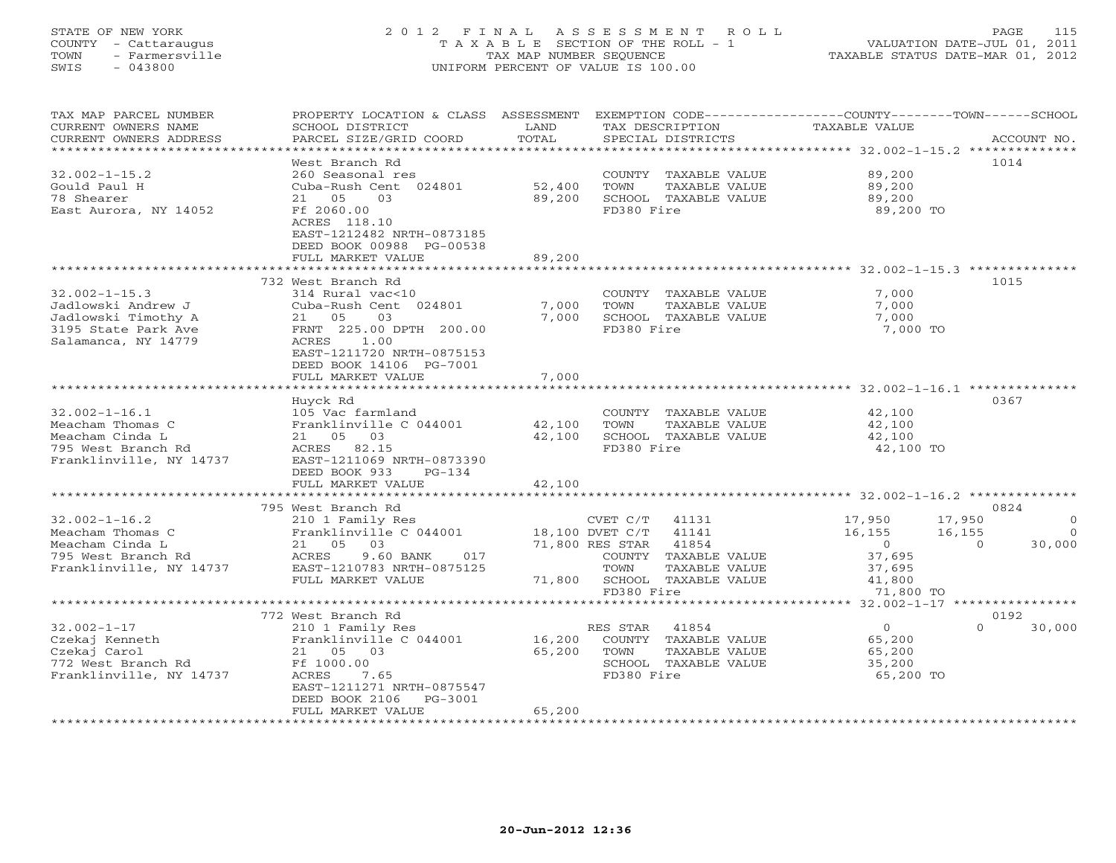# STATE OF NEW YORK 2 0 1 2 F I N A L A S S E S S M E N T R O L L PAGE 115 COUNTY - Cattaraugus T A X A B L E SECTION OF THE ROLL - 1 VALUATION DATE-JUL 01, 2011 TOWN - Farmersville TAX MAP NUMBER SEQUENCE TAXABLE STATUS DATE-MAR 01, 2012 SWIS - 043800 UNIFORM PERCENT OF VALUE IS 100.00UNIFORM PERCENT OF VALUE IS 100.00

| EXEMPTION CODE----------------COUNTY-------TOWN-----SCHOOL<br>CURRENT OWNERS NAME<br>SCHOOL DISTRICT<br>LAND<br>TAXABLE VALUE<br>TAX DESCRIPTION<br>TOTAL<br>CURRENT OWNERS ADDRESS<br>PARCEL SIZE/GRID COORD<br>SPECIAL DISTRICTS<br>ACCOUNT NO.<br>***********************<br>1014<br>West Branch Rd<br>$32.002 - 1 - 15.2$<br>260 Seasonal res<br>COUNTY TAXABLE VALUE<br>89,200<br>Gould Paul H<br>Cuba-Rush Cent 024801<br>52,400<br>TOWN<br>TAXABLE VALUE<br>89,200<br>78 Shearer<br>21 05<br>03<br>89,200<br>SCHOOL TAXABLE VALUE<br>89,200<br>FD380 Fire<br>East Aurora, NY 14052<br>Ff 2060.00<br>89,200 TO<br>ACRES 118.10<br>EAST-1212482 NRTH-0873185<br>DEED BOOK 00988 PG-00538<br>FULL MARKET VALUE<br>89,200<br>**********************************32.002-1-15.3 **************<br>*****************<br>732 West Branch Rd<br>1015<br>$32.002 - 1 - 15.3$<br>314 Rural vac<10<br>7,000<br>COUNTY TAXABLE VALUE<br>Jadlowski Andrew J<br>Cuba-Rush Cent 024801<br>7,000<br>TAXABLE VALUE<br>7,000<br>TOWN<br>Jadlowski Timothy A<br>7,000<br>SCHOOL TAXABLE VALUE<br>21 05<br>03<br>7,000<br>3195 State Park Ave<br>FRNT 225.00 DPTH 200.00<br>FD380 Fire<br>7,000 TO<br>1.00<br>Salamanca, NY 14779<br>ACRES<br>EAST-1211720 NRTH-0875153<br>DEED BOOK 14106 PG-7001<br>7,000<br>FULL MARKET VALUE<br>Huyck Rd<br>0367<br>$32.002 - 1 - 16.1$<br>105 Vac farmland<br>COUNTY TAXABLE VALUE<br>42,100<br>Meacham Thomas C<br>Franklinville C 044001<br>TAXABLE VALUE<br>42,100<br>42,100<br>TOWN<br>42,100<br>Meacham Cinda L<br>21 05 03<br>SCHOOL TAXABLE VALUE<br>42,100<br>795 West Branch Rd<br>ACRES 82.15<br>FD380 Fire<br>42,100 TO<br>Franklinville, NY 14737<br>EAST-1211069 NRTH-0873390<br>DEED BOOK 933<br>$PG-134$<br>FULL MARKET VALUE<br>42,100<br>*****************************<br>0824<br>795 West Branch Rd<br>$32.002 - 1 - 16.2$<br>CVET C/T<br>41131<br>210 1 Family Res<br>17,950<br>17,950<br>$\Omega$<br>Meacham Thomas C<br>Franklinville C 044001<br>18,100 DVET C/T<br>41141<br>16,155<br>16,155<br>$\overline{0}$<br>Meacham Cinda L<br>21 05 03<br>71,800 RES STAR<br>41854<br>$\overline{0}$<br>30,000<br>$\Omega$<br>795 West Branch Rd<br>9.60 BANK<br>37,695<br>ACRES<br>017<br>COUNTY TAXABLE VALUE<br>Franklinville, NY 14737<br>EAST-1210783 NRTH-0875125<br>TOWN<br>TAXABLE VALUE<br>37,695<br>FULL MARKET VALUE<br>SCHOOL TAXABLE VALUE<br>71,800<br>41,800<br>FD380 Fire<br>71,800 TO<br>*************************************<br>772 West Branch Rd<br>0192<br>$32.002 - 1 - 17$<br>$\overline{O}$<br>RES STAR<br>41854<br>30,000<br>210 1 Family Res<br>$\Omega$<br>Franklinville C 044001<br>16,200<br>Czekaj Kenneth<br>COUNTY TAXABLE VALUE<br>65,200<br>Czekaj Carol<br>21 05 03<br>65,200<br>TOWN<br>TAXABLE VALUE<br>65,200<br>772 West Branch Rd<br>Ff 1000.00<br>SCHOOL TAXABLE VALUE<br>35,200<br>Franklinville, NY 14737<br>ACRES<br>FD380 Fire<br>65,200 TO<br>7.65<br>EAST-1211271 NRTH-0875547<br>DEED BOOK 2106<br>PG-3001<br>FULL MARKET VALUE<br>65,200<br>*********************** | TAX MAP PARCEL NUMBER | PROPERTY LOCATION & CLASS ASSESSMENT |  |  |
|-----------------------------------------------------------------------------------------------------------------------------------------------------------------------------------------------------------------------------------------------------------------------------------------------------------------------------------------------------------------------------------------------------------------------------------------------------------------------------------------------------------------------------------------------------------------------------------------------------------------------------------------------------------------------------------------------------------------------------------------------------------------------------------------------------------------------------------------------------------------------------------------------------------------------------------------------------------------------------------------------------------------------------------------------------------------------------------------------------------------------------------------------------------------------------------------------------------------------------------------------------------------------------------------------------------------------------------------------------------------------------------------------------------------------------------------------------------------------------------------------------------------------------------------------------------------------------------------------------------------------------------------------------------------------------------------------------------------------------------------------------------------------------------------------------------------------------------------------------------------------------------------------------------------------------------------------------------------------------------------------------------------------------------------------------------------------------------------------------------------------------------------------------------------------------------------------------------------------------------------------------------------------------------------------------------------------------------------------------------------------------------------------------------------------------------------------------------------------------------------------------------------------------------------------------------------------------------------------------------------------------------------------------------------------------------------------------------------------------------------------------------------------------------------------------------------------------------------------------------------------------------------------------------------------------------------------------------------------------------------------------------------------------------------------------------|-----------------------|--------------------------------------|--|--|
|                                                                                                                                                                                                                                                                                                                                                                                                                                                                                                                                                                                                                                                                                                                                                                                                                                                                                                                                                                                                                                                                                                                                                                                                                                                                                                                                                                                                                                                                                                                                                                                                                                                                                                                                                                                                                                                                                                                                                                                                                                                                                                                                                                                                                                                                                                                                                                                                                                                                                                                                                                                                                                                                                                                                                                                                                                                                                                                                                                                                                                                           |                       |                                      |  |  |
|                                                                                                                                                                                                                                                                                                                                                                                                                                                                                                                                                                                                                                                                                                                                                                                                                                                                                                                                                                                                                                                                                                                                                                                                                                                                                                                                                                                                                                                                                                                                                                                                                                                                                                                                                                                                                                                                                                                                                                                                                                                                                                                                                                                                                                                                                                                                                                                                                                                                                                                                                                                                                                                                                                                                                                                                                                                                                                                                                                                                                                                           |                       |                                      |  |  |
|                                                                                                                                                                                                                                                                                                                                                                                                                                                                                                                                                                                                                                                                                                                                                                                                                                                                                                                                                                                                                                                                                                                                                                                                                                                                                                                                                                                                                                                                                                                                                                                                                                                                                                                                                                                                                                                                                                                                                                                                                                                                                                                                                                                                                                                                                                                                                                                                                                                                                                                                                                                                                                                                                                                                                                                                                                                                                                                                                                                                                                                           |                       |                                      |  |  |
|                                                                                                                                                                                                                                                                                                                                                                                                                                                                                                                                                                                                                                                                                                                                                                                                                                                                                                                                                                                                                                                                                                                                                                                                                                                                                                                                                                                                                                                                                                                                                                                                                                                                                                                                                                                                                                                                                                                                                                                                                                                                                                                                                                                                                                                                                                                                                                                                                                                                                                                                                                                                                                                                                                                                                                                                                                                                                                                                                                                                                                                           |                       |                                      |  |  |
|                                                                                                                                                                                                                                                                                                                                                                                                                                                                                                                                                                                                                                                                                                                                                                                                                                                                                                                                                                                                                                                                                                                                                                                                                                                                                                                                                                                                                                                                                                                                                                                                                                                                                                                                                                                                                                                                                                                                                                                                                                                                                                                                                                                                                                                                                                                                                                                                                                                                                                                                                                                                                                                                                                                                                                                                                                                                                                                                                                                                                                                           |                       |                                      |  |  |
|                                                                                                                                                                                                                                                                                                                                                                                                                                                                                                                                                                                                                                                                                                                                                                                                                                                                                                                                                                                                                                                                                                                                                                                                                                                                                                                                                                                                                                                                                                                                                                                                                                                                                                                                                                                                                                                                                                                                                                                                                                                                                                                                                                                                                                                                                                                                                                                                                                                                                                                                                                                                                                                                                                                                                                                                                                                                                                                                                                                                                                                           |                       |                                      |  |  |
|                                                                                                                                                                                                                                                                                                                                                                                                                                                                                                                                                                                                                                                                                                                                                                                                                                                                                                                                                                                                                                                                                                                                                                                                                                                                                                                                                                                                                                                                                                                                                                                                                                                                                                                                                                                                                                                                                                                                                                                                                                                                                                                                                                                                                                                                                                                                                                                                                                                                                                                                                                                                                                                                                                                                                                                                                                                                                                                                                                                                                                                           |                       |                                      |  |  |
|                                                                                                                                                                                                                                                                                                                                                                                                                                                                                                                                                                                                                                                                                                                                                                                                                                                                                                                                                                                                                                                                                                                                                                                                                                                                                                                                                                                                                                                                                                                                                                                                                                                                                                                                                                                                                                                                                                                                                                                                                                                                                                                                                                                                                                                                                                                                                                                                                                                                                                                                                                                                                                                                                                                                                                                                                                                                                                                                                                                                                                                           |                       |                                      |  |  |
|                                                                                                                                                                                                                                                                                                                                                                                                                                                                                                                                                                                                                                                                                                                                                                                                                                                                                                                                                                                                                                                                                                                                                                                                                                                                                                                                                                                                                                                                                                                                                                                                                                                                                                                                                                                                                                                                                                                                                                                                                                                                                                                                                                                                                                                                                                                                                                                                                                                                                                                                                                                                                                                                                                                                                                                                                                                                                                                                                                                                                                                           |                       |                                      |  |  |
|                                                                                                                                                                                                                                                                                                                                                                                                                                                                                                                                                                                                                                                                                                                                                                                                                                                                                                                                                                                                                                                                                                                                                                                                                                                                                                                                                                                                                                                                                                                                                                                                                                                                                                                                                                                                                                                                                                                                                                                                                                                                                                                                                                                                                                                                                                                                                                                                                                                                                                                                                                                                                                                                                                                                                                                                                                                                                                                                                                                                                                                           |                       |                                      |  |  |
|                                                                                                                                                                                                                                                                                                                                                                                                                                                                                                                                                                                                                                                                                                                                                                                                                                                                                                                                                                                                                                                                                                                                                                                                                                                                                                                                                                                                                                                                                                                                                                                                                                                                                                                                                                                                                                                                                                                                                                                                                                                                                                                                                                                                                                                                                                                                                                                                                                                                                                                                                                                                                                                                                                                                                                                                                                                                                                                                                                                                                                                           |                       |                                      |  |  |
|                                                                                                                                                                                                                                                                                                                                                                                                                                                                                                                                                                                                                                                                                                                                                                                                                                                                                                                                                                                                                                                                                                                                                                                                                                                                                                                                                                                                                                                                                                                                                                                                                                                                                                                                                                                                                                                                                                                                                                                                                                                                                                                                                                                                                                                                                                                                                                                                                                                                                                                                                                                                                                                                                                                                                                                                                                                                                                                                                                                                                                                           |                       |                                      |  |  |
|                                                                                                                                                                                                                                                                                                                                                                                                                                                                                                                                                                                                                                                                                                                                                                                                                                                                                                                                                                                                                                                                                                                                                                                                                                                                                                                                                                                                                                                                                                                                                                                                                                                                                                                                                                                                                                                                                                                                                                                                                                                                                                                                                                                                                                                                                                                                                                                                                                                                                                                                                                                                                                                                                                                                                                                                                                                                                                                                                                                                                                                           |                       |                                      |  |  |
|                                                                                                                                                                                                                                                                                                                                                                                                                                                                                                                                                                                                                                                                                                                                                                                                                                                                                                                                                                                                                                                                                                                                                                                                                                                                                                                                                                                                                                                                                                                                                                                                                                                                                                                                                                                                                                                                                                                                                                                                                                                                                                                                                                                                                                                                                                                                                                                                                                                                                                                                                                                                                                                                                                                                                                                                                                                                                                                                                                                                                                                           |                       |                                      |  |  |
|                                                                                                                                                                                                                                                                                                                                                                                                                                                                                                                                                                                                                                                                                                                                                                                                                                                                                                                                                                                                                                                                                                                                                                                                                                                                                                                                                                                                                                                                                                                                                                                                                                                                                                                                                                                                                                                                                                                                                                                                                                                                                                                                                                                                                                                                                                                                                                                                                                                                                                                                                                                                                                                                                                                                                                                                                                                                                                                                                                                                                                                           |                       |                                      |  |  |
|                                                                                                                                                                                                                                                                                                                                                                                                                                                                                                                                                                                                                                                                                                                                                                                                                                                                                                                                                                                                                                                                                                                                                                                                                                                                                                                                                                                                                                                                                                                                                                                                                                                                                                                                                                                                                                                                                                                                                                                                                                                                                                                                                                                                                                                                                                                                                                                                                                                                                                                                                                                                                                                                                                                                                                                                                                                                                                                                                                                                                                                           |                       |                                      |  |  |
|                                                                                                                                                                                                                                                                                                                                                                                                                                                                                                                                                                                                                                                                                                                                                                                                                                                                                                                                                                                                                                                                                                                                                                                                                                                                                                                                                                                                                                                                                                                                                                                                                                                                                                                                                                                                                                                                                                                                                                                                                                                                                                                                                                                                                                                                                                                                                                                                                                                                                                                                                                                                                                                                                                                                                                                                                                                                                                                                                                                                                                                           |                       |                                      |  |  |
|                                                                                                                                                                                                                                                                                                                                                                                                                                                                                                                                                                                                                                                                                                                                                                                                                                                                                                                                                                                                                                                                                                                                                                                                                                                                                                                                                                                                                                                                                                                                                                                                                                                                                                                                                                                                                                                                                                                                                                                                                                                                                                                                                                                                                                                                                                                                                                                                                                                                                                                                                                                                                                                                                                                                                                                                                                                                                                                                                                                                                                                           |                       |                                      |  |  |
|                                                                                                                                                                                                                                                                                                                                                                                                                                                                                                                                                                                                                                                                                                                                                                                                                                                                                                                                                                                                                                                                                                                                                                                                                                                                                                                                                                                                                                                                                                                                                                                                                                                                                                                                                                                                                                                                                                                                                                                                                                                                                                                                                                                                                                                                                                                                                                                                                                                                                                                                                                                                                                                                                                                                                                                                                                                                                                                                                                                                                                                           |                       |                                      |  |  |
|                                                                                                                                                                                                                                                                                                                                                                                                                                                                                                                                                                                                                                                                                                                                                                                                                                                                                                                                                                                                                                                                                                                                                                                                                                                                                                                                                                                                                                                                                                                                                                                                                                                                                                                                                                                                                                                                                                                                                                                                                                                                                                                                                                                                                                                                                                                                                                                                                                                                                                                                                                                                                                                                                                                                                                                                                                                                                                                                                                                                                                                           |                       |                                      |  |  |
|                                                                                                                                                                                                                                                                                                                                                                                                                                                                                                                                                                                                                                                                                                                                                                                                                                                                                                                                                                                                                                                                                                                                                                                                                                                                                                                                                                                                                                                                                                                                                                                                                                                                                                                                                                                                                                                                                                                                                                                                                                                                                                                                                                                                                                                                                                                                                                                                                                                                                                                                                                                                                                                                                                                                                                                                                                                                                                                                                                                                                                                           |                       |                                      |  |  |
|                                                                                                                                                                                                                                                                                                                                                                                                                                                                                                                                                                                                                                                                                                                                                                                                                                                                                                                                                                                                                                                                                                                                                                                                                                                                                                                                                                                                                                                                                                                                                                                                                                                                                                                                                                                                                                                                                                                                                                                                                                                                                                                                                                                                                                                                                                                                                                                                                                                                                                                                                                                                                                                                                                                                                                                                                                                                                                                                                                                                                                                           |                       |                                      |  |  |
|                                                                                                                                                                                                                                                                                                                                                                                                                                                                                                                                                                                                                                                                                                                                                                                                                                                                                                                                                                                                                                                                                                                                                                                                                                                                                                                                                                                                                                                                                                                                                                                                                                                                                                                                                                                                                                                                                                                                                                                                                                                                                                                                                                                                                                                                                                                                                                                                                                                                                                                                                                                                                                                                                                                                                                                                                                                                                                                                                                                                                                                           |                       |                                      |  |  |
|                                                                                                                                                                                                                                                                                                                                                                                                                                                                                                                                                                                                                                                                                                                                                                                                                                                                                                                                                                                                                                                                                                                                                                                                                                                                                                                                                                                                                                                                                                                                                                                                                                                                                                                                                                                                                                                                                                                                                                                                                                                                                                                                                                                                                                                                                                                                                                                                                                                                                                                                                                                                                                                                                                                                                                                                                                                                                                                                                                                                                                                           |                       |                                      |  |  |
|                                                                                                                                                                                                                                                                                                                                                                                                                                                                                                                                                                                                                                                                                                                                                                                                                                                                                                                                                                                                                                                                                                                                                                                                                                                                                                                                                                                                                                                                                                                                                                                                                                                                                                                                                                                                                                                                                                                                                                                                                                                                                                                                                                                                                                                                                                                                                                                                                                                                                                                                                                                                                                                                                                                                                                                                                                                                                                                                                                                                                                                           |                       |                                      |  |  |
|                                                                                                                                                                                                                                                                                                                                                                                                                                                                                                                                                                                                                                                                                                                                                                                                                                                                                                                                                                                                                                                                                                                                                                                                                                                                                                                                                                                                                                                                                                                                                                                                                                                                                                                                                                                                                                                                                                                                                                                                                                                                                                                                                                                                                                                                                                                                                                                                                                                                                                                                                                                                                                                                                                                                                                                                                                                                                                                                                                                                                                                           |                       |                                      |  |  |
|                                                                                                                                                                                                                                                                                                                                                                                                                                                                                                                                                                                                                                                                                                                                                                                                                                                                                                                                                                                                                                                                                                                                                                                                                                                                                                                                                                                                                                                                                                                                                                                                                                                                                                                                                                                                                                                                                                                                                                                                                                                                                                                                                                                                                                                                                                                                                                                                                                                                                                                                                                                                                                                                                                                                                                                                                                                                                                                                                                                                                                                           |                       |                                      |  |  |
|                                                                                                                                                                                                                                                                                                                                                                                                                                                                                                                                                                                                                                                                                                                                                                                                                                                                                                                                                                                                                                                                                                                                                                                                                                                                                                                                                                                                                                                                                                                                                                                                                                                                                                                                                                                                                                                                                                                                                                                                                                                                                                                                                                                                                                                                                                                                                                                                                                                                                                                                                                                                                                                                                                                                                                                                                                                                                                                                                                                                                                                           |                       |                                      |  |  |
|                                                                                                                                                                                                                                                                                                                                                                                                                                                                                                                                                                                                                                                                                                                                                                                                                                                                                                                                                                                                                                                                                                                                                                                                                                                                                                                                                                                                                                                                                                                                                                                                                                                                                                                                                                                                                                                                                                                                                                                                                                                                                                                                                                                                                                                                                                                                                                                                                                                                                                                                                                                                                                                                                                                                                                                                                                                                                                                                                                                                                                                           |                       |                                      |  |  |
|                                                                                                                                                                                                                                                                                                                                                                                                                                                                                                                                                                                                                                                                                                                                                                                                                                                                                                                                                                                                                                                                                                                                                                                                                                                                                                                                                                                                                                                                                                                                                                                                                                                                                                                                                                                                                                                                                                                                                                                                                                                                                                                                                                                                                                                                                                                                                                                                                                                                                                                                                                                                                                                                                                                                                                                                                                                                                                                                                                                                                                                           |                       |                                      |  |  |
|                                                                                                                                                                                                                                                                                                                                                                                                                                                                                                                                                                                                                                                                                                                                                                                                                                                                                                                                                                                                                                                                                                                                                                                                                                                                                                                                                                                                                                                                                                                                                                                                                                                                                                                                                                                                                                                                                                                                                                                                                                                                                                                                                                                                                                                                                                                                                                                                                                                                                                                                                                                                                                                                                                                                                                                                                                                                                                                                                                                                                                                           |                       |                                      |  |  |
|                                                                                                                                                                                                                                                                                                                                                                                                                                                                                                                                                                                                                                                                                                                                                                                                                                                                                                                                                                                                                                                                                                                                                                                                                                                                                                                                                                                                                                                                                                                                                                                                                                                                                                                                                                                                                                                                                                                                                                                                                                                                                                                                                                                                                                                                                                                                                                                                                                                                                                                                                                                                                                                                                                                                                                                                                                                                                                                                                                                                                                                           |                       |                                      |  |  |
|                                                                                                                                                                                                                                                                                                                                                                                                                                                                                                                                                                                                                                                                                                                                                                                                                                                                                                                                                                                                                                                                                                                                                                                                                                                                                                                                                                                                                                                                                                                                                                                                                                                                                                                                                                                                                                                                                                                                                                                                                                                                                                                                                                                                                                                                                                                                                                                                                                                                                                                                                                                                                                                                                                                                                                                                                                                                                                                                                                                                                                                           |                       |                                      |  |  |
|                                                                                                                                                                                                                                                                                                                                                                                                                                                                                                                                                                                                                                                                                                                                                                                                                                                                                                                                                                                                                                                                                                                                                                                                                                                                                                                                                                                                                                                                                                                                                                                                                                                                                                                                                                                                                                                                                                                                                                                                                                                                                                                                                                                                                                                                                                                                                                                                                                                                                                                                                                                                                                                                                                                                                                                                                                                                                                                                                                                                                                                           |                       |                                      |  |  |
|                                                                                                                                                                                                                                                                                                                                                                                                                                                                                                                                                                                                                                                                                                                                                                                                                                                                                                                                                                                                                                                                                                                                                                                                                                                                                                                                                                                                                                                                                                                                                                                                                                                                                                                                                                                                                                                                                                                                                                                                                                                                                                                                                                                                                                                                                                                                                                                                                                                                                                                                                                                                                                                                                                                                                                                                                                                                                                                                                                                                                                                           |                       |                                      |  |  |
|                                                                                                                                                                                                                                                                                                                                                                                                                                                                                                                                                                                                                                                                                                                                                                                                                                                                                                                                                                                                                                                                                                                                                                                                                                                                                                                                                                                                                                                                                                                                                                                                                                                                                                                                                                                                                                                                                                                                                                                                                                                                                                                                                                                                                                                                                                                                                                                                                                                                                                                                                                                                                                                                                                                                                                                                                                                                                                                                                                                                                                                           |                       |                                      |  |  |
|                                                                                                                                                                                                                                                                                                                                                                                                                                                                                                                                                                                                                                                                                                                                                                                                                                                                                                                                                                                                                                                                                                                                                                                                                                                                                                                                                                                                                                                                                                                                                                                                                                                                                                                                                                                                                                                                                                                                                                                                                                                                                                                                                                                                                                                                                                                                                                                                                                                                                                                                                                                                                                                                                                                                                                                                                                                                                                                                                                                                                                                           |                       |                                      |  |  |
|                                                                                                                                                                                                                                                                                                                                                                                                                                                                                                                                                                                                                                                                                                                                                                                                                                                                                                                                                                                                                                                                                                                                                                                                                                                                                                                                                                                                                                                                                                                                                                                                                                                                                                                                                                                                                                                                                                                                                                                                                                                                                                                                                                                                                                                                                                                                                                                                                                                                                                                                                                                                                                                                                                                                                                                                                                                                                                                                                                                                                                                           |                       |                                      |  |  |
|                                                                                                                                                                                                                                                                                                                                                                                                                                                                                                                                                                                                                                                                                                                                                                                                                                                                                                                                                                                                                                                                                                                                                                                                                                                                                                                                                                                                                                                                                                                                                                                                                                                                                                                                                                                                                                                                                                                                                                                                                                                                                                                                                                                                                                                                                                                                                                                                                                                                                                                                                                                                                                                                                                                                                                                                                                                                                                                                                                                                                                                           |                       |                                      |  |  |
|                                                                                                                                                                                                                                                                                                                                                                                                                                                                                                                                                                                                                                                                                                                                                                                                                                                                                                                                                                                                                                                                                                                                                                                                                                                                                                                                                                                                                                                                                                                                                                                                                                                                                                                                                                                                                                                                                                                                                                                                                                                                                                                                                                                                                                                                                                                                                                                                                                                                                                                                                                                                                                                                                                                                                                                                                                                                                                                                                                                                                                                           |                       |                                      |  |  |
|                                                                                                                                                                                                                                                                                                                                                                                                                                                                                                                                                                                                                                                                                                                                                                                                                                                                                                                                                                                                                                                                                                                                                                                                                                                                                                                                                                                                                                                                                                                                                                                                                                                                                                                                                                                                                                                                                                                                                                                                                                                                                                                                                                                                                                                                                                                                                                                                                                                                                                                                                                                                                                                                                                                                                                                                                                                                                                                                                                                                                                                           |                       |                                      |  |  |
|                                                                                                                                                                                                                                                                                                                                                                                                                                                                                                                                                                                                                                                                                                                                                                                                                                                                                                                                                                                                                                                                                                                                                                                                                                                                                                                                                                                                                                                                                                                                                                                                                                                                                                                                                                                                                                                                                                                                                                                                                                                                                                                                                                                                                                                                                                                                                                                                                                                                                                                                                                                                                                                                                                                                                                                                                                                                                                                                                                                                                                                           |                       |                                      |  |  |
|                                                                                                                                                                                                                                                                                                                                                                                                                                                                                                                                                                                                                                                                                                                                                                                                                                                                                                                                                                                                                                                                                                                                                                                                                                                                                                                                                                                                                                                                                                                                                                                                                                                                                                                                                                                                                                                                                                                                                                                                                                                                                                                                                                                                                                                                                                                                                                                                                                                                                                                                                                                                                                                                                                                                                                                                                                                                                                                                                                                                                                                           |                       |                                      |  |  |
|                                                                                                                                                                                                                                                                                                                                                                                                                                                                                                                                                                                                                                                                                                                                                                                                                                                                                                                                                                                                                                                                                                                                                                                                                                                                                                                                                                                                                                                                                                                                                                                                                                                                                                                                                                                                                                                                                                                                                                                                                                                                                                                                                                                                                                                                                                                                                                                                                                                                                                                                                                                                                                                                                                                                                                                                                                                                                                                                                                                                                                                           |                       |                                      |  |  |
|                                                                                                                                                                                                                                                                                                                                                                                                                                                                                                                                                                                                                                                                                                                                                                                                                                                                                                                                                                                                                                                                                                                                                                                                                                                                                                                                                                                                                                                                                                                                                                                                                                                                                                                                                                                                                                                                                                                                                                                                                                                                                                                                                                                                                                                                                                                                                                                                                                                                                                                                                                                                                                                                                                                                                                                                                                                                                                                                                                                                                                                           |                       |                                      |  |  |
|                                                                                                                                                                                                                                                                                                                                                                                                                                                                                                                                                                                                                                                                                                                                                                                                                                                                                                                                                                                                                                                                                                                                                                                                                                                                                                                                                                                                                                                                                                                                                                                                                                                                                                                                                                                                                                                                                                                                                                                                                                                                                                                                                                                                                                                                                                                                                                                                                                                                                                                                                                                                                                                                                                                                                                                                                                                                                                                                                                                                                                                           |                       |                                      |  |  |
|                                                                                                                                                                                                                                                                                                                                                                                                                                                                                                                                                                                                                                                                                                                                                                                                                                                                                                                                                                                                                                                                                                                                                                                                                                                                                                                                                                                                                                                                                                                                                                                                                                                                                                                                                                                                                                                                                                                                                                                                                                                                                                                                                                                                                                                                                                                                                                                                                                                                                                                                                                                                                                                                                                                                                                                                                                                                                                                                                                                                                                                           |                       |                                      |  |  |
|                                                                                                                                                                                                                                                                                                                                                                                                                                                                                                                                                                                                                                                                                                                                                                                                                                                                                                                                                                                                                                                                                                                                                                                                                                                                                                                                                                                                                                                                                                                                                                                                                                                                                                                                                                                                                                                                                                                                                                                                                                                                                                                                                                                                                                                                                                                                                                                                                                                                                                                                                                                                                                                                                                                                                                                                                                                                                                                                                                                                                                                           |                       |                                      |  |  |
|                                                                                                                                                                                                                                                                                                                                                                                                                                                                                                                                                                                                                                                                                                                                                                                                                                                                                                                                                                                                                                                                                                                                                                                                                                                                                                                                                                                                                                                                                                                                                                                                                                                                                                                                                                                                                                                                                                                                                                                                                                                                                                                                                                                                                                                                                                                                                                                                                                                                                                                                                                                                                                                                                                                                                                                                                                                                                                                                                                                                                                                           |                       |                                      |  |  |
|                                                                                                                                                                                                                                                                                                                                                                                                                                                                                                                                                                                                                                                                                                                                                                                                                                                                                                                                                                                                                                                                                                                                                                                                                                                                                                                                                                                                                                                                                                                                                                                                                                                                                                                                                                                                                                                                                                                                                                                                                                                                                                                                                                                                                                                                                                                                                                                                                                                                                                                                                                                                                                                                                                                                                                                                                                                                                                                                                                                                                                                           |                       |                                      |  |  |
|                                                                                                                                                                                                                                                                                                                                                                                                                                                                                                                                                                                                                                                                                                                                                                                                                                                                                                                                                                                                                                                                                                                                                                                                                                                                                                                                                                                                                                                                                                                                                                                                                                                                                                                                                                                                                                                                                                                                                                                                                                                                                                                                                                                                                                                                                                                                                                                                                                                                                                                                                                                                                                                                                                                                                                                                                                                                                                                                                                                                                                                           |                       |                                      |  |  |
|                                                                                                                                                                                                                                                                                                                                                                                                                                                                                                                                                                                                                                                                                                                                                                                                                                                                                                                                                                                                                                                                                                                                                                                                                                                                                                                                                                                                                                                                                                                                                                                                                                                                                                                                                                                                                                                                                                                                                                                                                                                                                                                                                                                                                                                                                                                                                                                                                                                                                                                                                                                                                                                                                                                                                                                                                                                                                                                                                                                                                                                           |                       |                                      |  |  |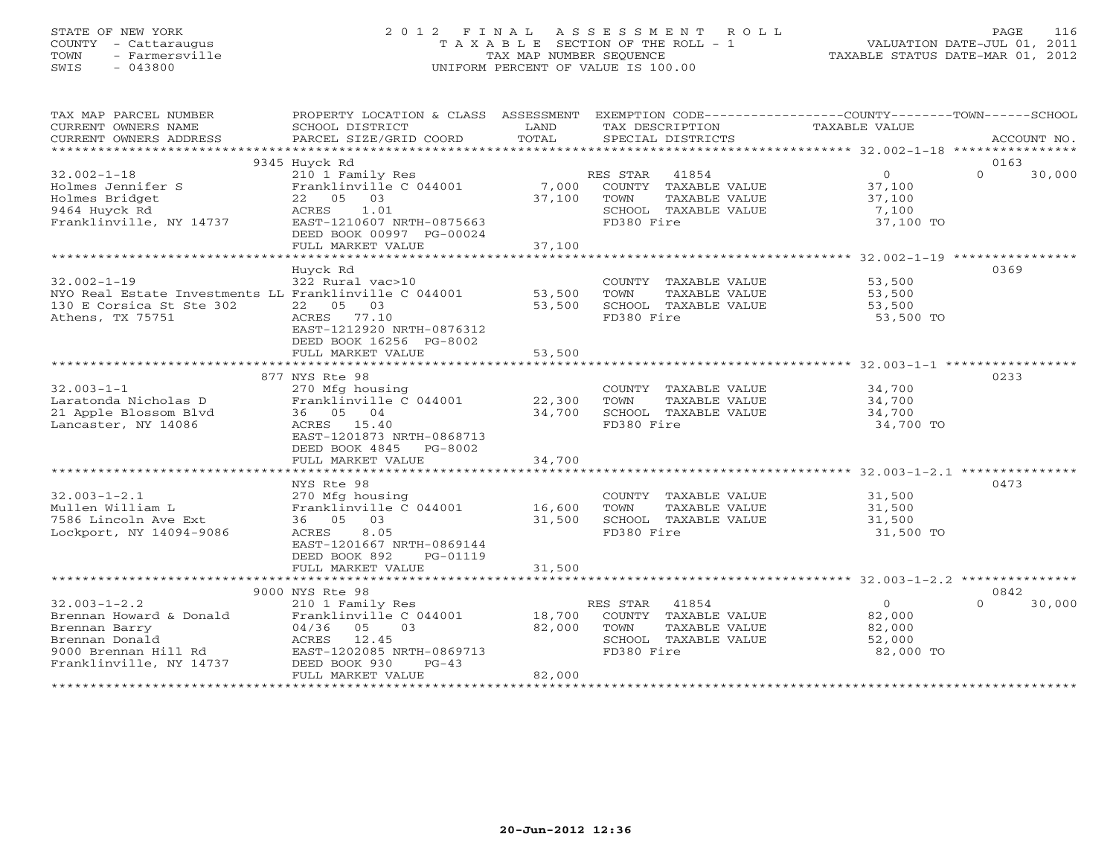# STATE OF NEW YORK 2 0 1 2 F I N A L A S S E S S M E N T R O L L PAGE 116 COUNTY - Cattaraugus T A X A B L E SECTION OF THE ROLL - 1 VALUATION DATE-JUL 01, 2011 TOWN - Farmersville TAX MAP NUMBER SEQUENCE TAXABLE STATUS DATE-MAR 01, 2012 SWIS - 043800 UNIFORM PERCENT OF VALUE IS 100.00

| TAX MAP PARCEL NUMBER                                                                            | PROPERTY LOCATION & CLASS ASSESSMENT EXEMPTION CODE---------------COUNTY-------TOWN------SCHOOL |               |                                                      |                |                    |
|--------------------------------------------------------------------------------------------------|-------------------------------------------------------------------------------------------------|---------------|------------------------------------------------------|----------------|--------------------|
| CURRENT OWNERS NAME<br>CURRENT OWNERS ADDRESS                                                    | SCHOOL DISTRICT<br>PARCEL SIZE/GRID COORD                                                       | LAND<br>TOTAL | TAX DESCRIPTION<br>SPECIAL DISTRICTS                 | TAXABLE VALUE  | ACCOUNT NO.        |
|                                                                                                  |                                                                                                 |               |                                                      |                |                    |
|                                                                                                  | 9345 Huyck Rd                                                                                   |               |                                                      |                | 0163               |
| $32.002 - 1 - 18$                                                                                | 210 1 Family Res                                                                                |               | RES STAR 41854                                       | $\overline{0}$ | $\Omega$<br>30,000 |
| Holmes Jennifer S                                                                                | Franklinville C 044001                                                                          |               | 7,000 COUNTY TAXABLE VALUE                           | 37,100         |                    |
| Holmes Bridget                                                                                   | 22  05  03                                                                                      | 37,100        | TOWN<br>TAXABLE VALUE                                | 37,100         |                    |
| 9464 Huyck Rd                                                                                    | ACRES 1.01                                                                                      |               | SCHOOL TAXABLE VALUE                                 | 7,100          |                    |
| Franklinville, NY 14737                                                                          | EAST-1210607 NRTH-0875663                                                                       |               | FD380 Fire                                           | 37,100 TO      |                    |
|                                                                                                  | DEED BOOK 00997 PG-00024                                                                        |               |                                                      |                |                    |
|                                                                                                  | FULL MARKET VALUE                                                                               | 37,100        |                                                      |                |                    |
|                                                                                                  |                                                                                                 |               |                                                      |                |                    |
| $32.002 - 1 - 19$                                                                                | Huyck Rd<br>322 Rural vac>10                                                                    |               |                                                      |                | 0369               |
| NYO Real Estate Investments LL Franklinville C 044001 53,500                                     |                                                                                                 |               | COUNTY TAXABLE VALUE 53,500<br>TAXABLE VALUE<br>TOWN | 53,500         |                    |
| 130 E Corsica St Ste 302                                                                         | 22 05<br>03                                                                                     | 53,500        | SCHOOL TAXABLE VALUE                                 | 53,500         |                    |
| Athens, TX 75751                                                                                 | ACRES 77.10                                                                                     |               | FD380 Fire                                           | 53,500 TO      |                    |
|                                                                                                  | EAST-1212920 NRTH-0876312                                                                       |               |                                                      |                |                    |
|                                                                                                  | DEED BOOK 16256 PG-8002                                                                         |               |                                                      |                |                    |
|                                                                                                  | FULL MARKET VALUE                                                                               | 53,500        |                                                      |                |                    |
|                                                                                                  |                                                                                                 |               |                                                      |                |                    |
|                                                                                                  | 877 NYS Rte 98                                                                                  |               |                                                      |                | 0233               |
| $32.003 - 1 - 1$                                                                                 | 270 Mfg housing                                                                                 |               | COUNTY TAXABLE VALUE                                 | 34,700         |                    |
| Laratonda Nicholas D                                                                             | Franklinville $C$ 044001 22,300                                                                 |               | TOWN<br>TAXABLE VALUE                                | 34,700         |                    |
| 21 Apple Blossom Blvd                                                                            | 36 05 04                                                                                        | 34,700        | SCHOOL TAXABLE VALUE                                 | 34,700         |                    |
| Lancaster, NY 14086                                                                              | ACRES 15.40                                                                                     |               | FD380 Fire                                           | 34,700 TO      |                    |
|                                                                                                  | EAST-1201873 NRTH-0868713<br>DEED BOOK 4845 PG-8002                                             |               |                                                      |                |                    |
|                                                                                                  | FULL MARKET VALUE                                                                               | 34,700        |                                                      |                |                    |
|                                                                                                  |                                                                                                 |               |                                                      |                |                    |
|                                                                                                  | NYS Rte 98                                                                                      |               |                                                      |                | 0473               |
| $32.003 - 1 - 2.1$                                                                               | 270 Mfg housing                                                                                 |               | COUNTY TAXABLE VALUE                                 | 31,500         |                    |
| Mullen William L                                                                                 | Franklinville C 044001 16,600                                                                   |               | TAXABLE VALUE<br>TOWN                                | 31,500         |                    |
| 7586 Lincoln Ave Ext                                                                             | 36 05 03                                                                                        | 31,500        | SCHOOL TAXABLE VALUE                                 | 31,500         |                    |
| Lockport, NY 14094-9086                                                                          | ACRES<br>8.05                                                                                   |               | FD380 Fire                                           | 31,500 TO      |                    |
|                                                                                                  | EAST-1201667 NRTH-0869144                                                                       |               |                                                      |                |                    |
|                                                                                                  | DEED BOOK 892<br>PG-01119                                                                       |               |                                                      |                |                    |
|                                                                                                  | FULL MARKET VALUE                                                                               | 31,500        |                                                      |                |                    |
|                                                                                                  |                                                                                                 |               |                                                      |                |                    |
|                                                                                                  | 9000 NYS Rte 98                                                                                 |               | RES STAR 41854                                       | $\overline{0}$ | 0842<br>$\Omega$   |
| $32.003 - 1 - 2.2$<br>Brennan Howard & Donald                                                    | 210 1 Family Res                                                                                | 18,700        | COUNTY TAXABLE VALUE                                 | 82,000         | 30,000             |
| Brennan Barry                                                                                    | Franklinville C 044001<br>$04/36$ 05 03                                                         | 82,000        | TOWN<br>TAXABLE VALUE                                | 82,000         |                    |
|                                                                                                  |                                                                                                 |               | SCHOOL TAXABLE VALUE                                 | 52,000         |                    |
|                                                                                                  | EAST-1202085 NRTH-0869713                                                                       |               | FD380 Fire                                           | 82,000 TO      |                    |
| Brennan Barry<br>Brennan Donald<br>9000 Brennan Hill Rd<br>Franklinville, NY 14737 DEED BOOK 930 | $PG-43$                                                                                         |               |                                                      |                |                    |
|                                                                                                  | FULL MARKET VALUE                                                                               | 82,000        |                                                      |                |                    |
|                                                                                                  |                                                                                                 |               |                                                      |                |                    |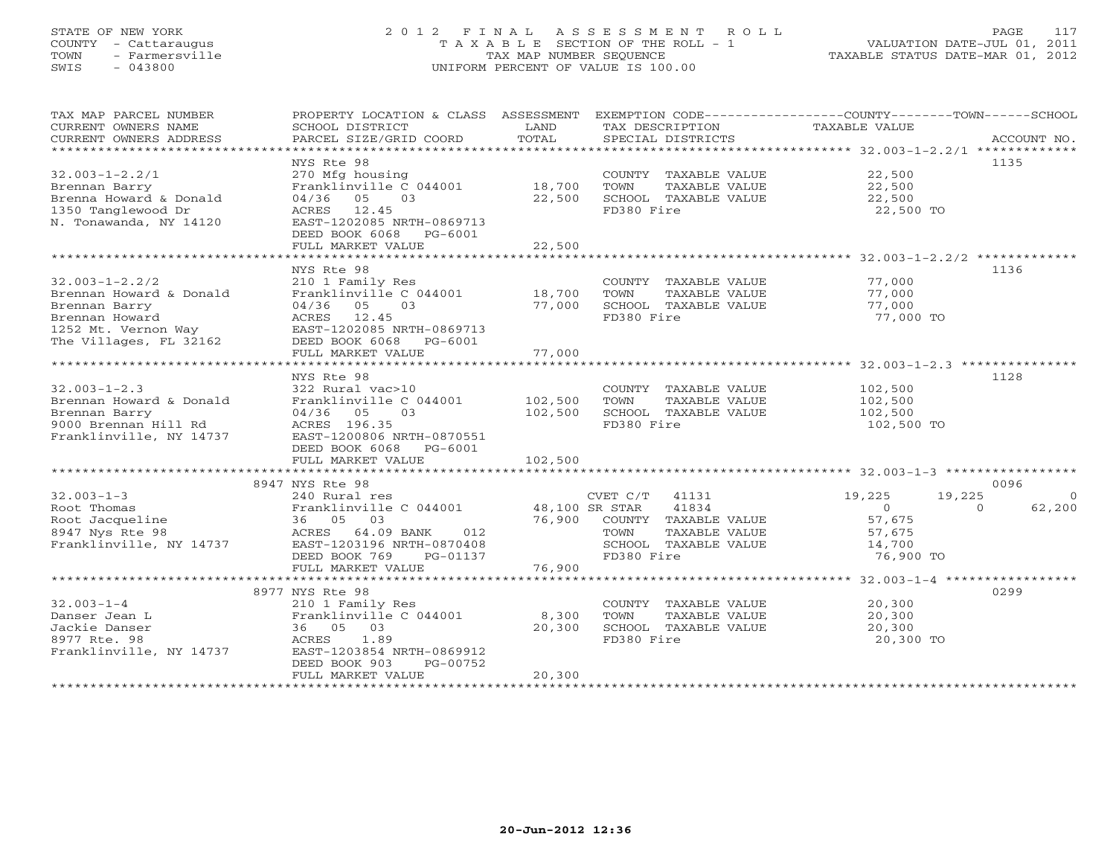# STATE OF NEW YORK 2 0 1 2 F I N A L A S S E S S M E N T R O L L PAGE 117 COUNTY - Cattaraugus T A X A B L E SECTION OF THE ROLL - 1 VALUATION DATE-JUL 01, 2011 TOWN - Farmersville TAX MAP NUMBER SEQUENCE TAXABLE STATUS DATE-MAR 01, 2012 SWIS - 043800 UNIFORM PERCENT OF VALUE IS 100.00UNIFORM PERCENT OF VALUE IS 100.00

| TAX MAP PARCEL NUMBER<br>CURRENT OWNERS NAME<br>CURRENT OWNERS ADDRESS                                                              | PROPERTY LOCATION & CLASS ASSESSMENT<br>SCHOOL DISTRICT<br>PARCEL SIZE/GRID COORD                                                                                           | LAND<br>TOTAL             | TAX DESCRIPTION<br>SPECIAL DISTRICTS                                                                             | EXEMPTION CODE-----------------COUNTY-------TOWN------SCHOOL<br>TAXABLE VALUE<br>ACCOUNT NO.              |
|-------------------------------------------------------------------------------------------------------------------------------------|-----------------------------------------------------------------------------------------------------------------------------------------------------------------------------|---------------------------|------------------------------------------------------------------------------------------------------------------|-----------------------------------------------------------------------------------------------------------|
| $32.003 - 1 - 2.2/1$<br>Brennan Barry<br>Brenna Howard & Donald<br>1350 Tanglewood Dr<br>N. Tonawanda, NY 14120                     | NYS Rte 98<br>270 Mfg housing<br>Franklinville C 044001 18,700<br>04/36 05<br>03<br>ACRES 12.45<br>EAST-1202085 NRTH-0869713<br>DEED BOOK 6068 PG-6001<br>FULL MARKET VALUE | 22,500<br>22,500          | COUNTY TAXABLE VALUE<br>TOWN<br>TAXABLE VALUE<br>SCHOOL TAXABLE VALUE<br>FD380 Fire                              | 1135<br>22,500<br>22,500<br>22,500<br>22,500 TO                                                           |
|                                                                                                                                     | NYS Rte 98                                                                                                                                                                  |                           |                                                                                                                  | 1136                                                                                                      |
| $32.003 - 1 - 2.2/2$<br>Brennan Howard & Donald<br>Brennan Barry<br>Brennan Howard<br>1252 Mt. Vernon Way<br>The Villages, FL 32162 | 210 1 Family Res<br>Franklinville C 044001 18,700<br>04/36 05<br>03<br>ACRES 12.45<br>EAST-1202085 NRTH-0869713<br>DEED BOOK 6068<br>PG-6001<br>FULL MARKET VALUE           | 77,000<br>77,000          | COUNTY TAXABLE VALUE<br>TOWN<br>TAXABLE VALUE<br>SCHOOL TAXABLE VALUE<br>FD380 Fire                              | 77,000<br>77,000<br>77,000<br>77,000 TO                                                                   |
|                                                                                                                                     |                                                                                                                                                                             |                           |                                                                                                                  |                                                                                                           |
| $32.003 - 1 - 2.3$<br>Brennan Howard & Donald<br>Brennan Barry<br>9000 Brennan Hill Rd<br>Franklinville, NY 14737                   | NYS Rte 98<br>322 Rural vac>10<br>Franklinville C 044001<br>04/36 05<br>03<br>ACRES 196.35<br>EAST-1200806 NRTH-0870551<br>DEED BOOK 6068 PG-6001                           | 102,500<br>102,500        | COUNTY TAXABLE VALUE<br>TOWN<br>TAXABLE VALUE<br>SCHOOL TAXABLE VALUE<br>FD380 Fire                              | 1128<br>102,500<br>102,500<br>102,500<br>102,500 TO                                                       |
|                                                                                                                                     | FULL MARKET VALUE                                                                                                                                                           | 102,500                   |                                                                                                                  |                                                                                                           |
|                                                                                                                                     | 8947 NYS Rte 98                                                                                                                                                             |                           |                                                                                                                  | 0096                                                                                                      |
| $32.003 - 1 - 3$<br>Root Thomas<br>Root Jacqueline<br>8947 Nys Rte 98<br>Franklinville, NY 14737                                    | 240 Rural res<br>Franklinville C 044001<br>36 05 03<br>ACRES 64.09 BANK<br>012<br>EAST-1203196 NRTH-0870408<br>DEED BOOK 769<br>PG-01137                                    | 48,100 SR STAR<br>76,900  | $CVET C/T$ 41131<br>41834<br>COUNTY TAXABLE VALUE<br>TAXABLE VALUE<br>TOWN<br>SCHOOL TAXABLE VALUE<br>FD380 Fire | 19,225<br>19,225<br>$\Omega$<br>$\Omega$<br>62,200<br>$\Omega$<br>57,675<br>57,675<br>14,700<br>76,900 TO |
|                                                                                                                                     | FULL MARKET VALUE                                                                                                                                                           | 76,900                    |                                                                                                                  |                                                                                                           |
| $32.003 - 1 - 4$<br>Danser Jean L<br>Jackie Danser<br>8977 Rte. 98<br>Franklinville, NY 14737                                       | 8977 NYS Rte 98<br>210 1 Family Res<br>Franklinville C 044001<br>36 05 03<br>1.89<br>ACRES<br>EAST-1203854 NRTH-0869912<br>DEED BOOK 903<br>PG-00752<br>FULL MARKET VALUE   | 8,300<br>20,300<br>20,300 | COUNTY TAXABLE VALUE<br>TOWN<br>TAXABLE VALUE<br>SCHOOL TAXABLE VALUE<br>FD380 Fire                              | 0299<br>20,300<br>20,300<br>20,300<br>20,300 TO                                                           |
|                                                                                                                                     |                                                                                                                                                                             |                           |                                                                                                                  |                                                                                                           |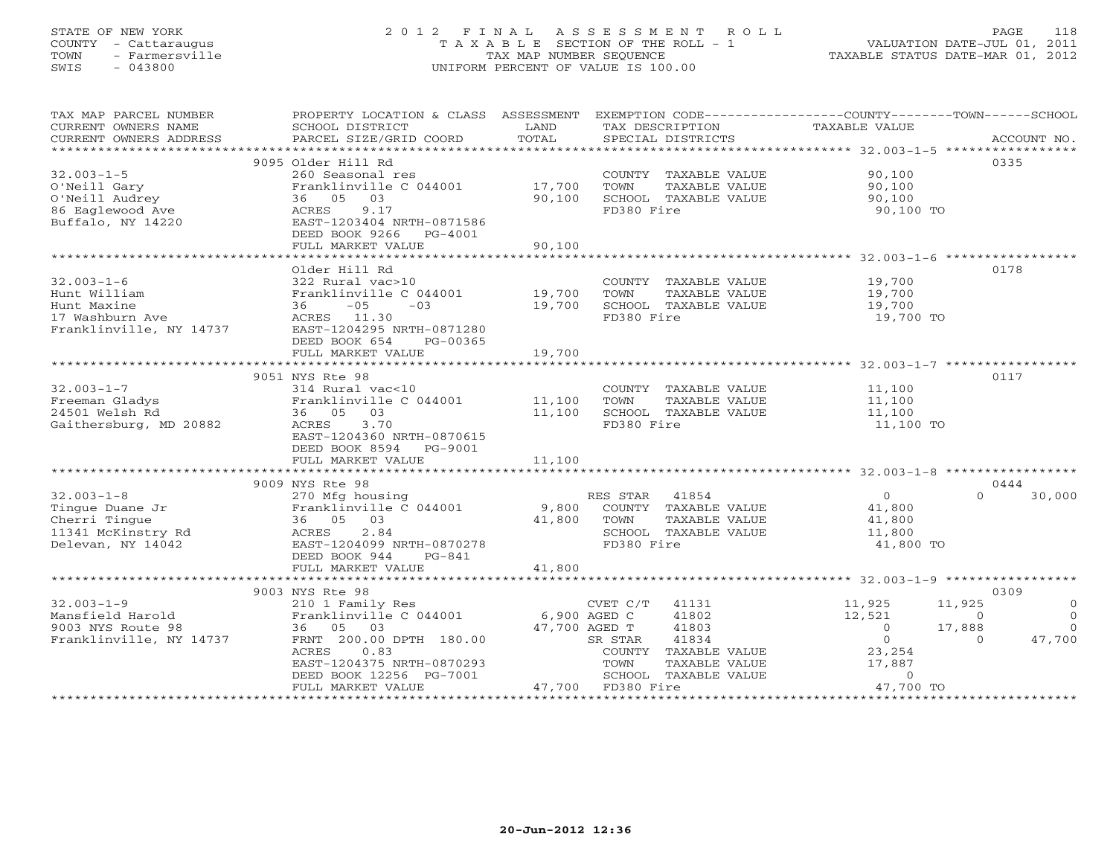# STATE OF NEW YORK 2 0 1 2 F I N A L A S S E S S M E N T R O L L PAGE 118 COUNTY - Cattaraugus T A X A B L E SECTION OF THE ROLL - 1 VALUATION DATE-JUL 01, 2011 TOWN - Farmersville TAX MAP NUMBER SEQUENCE TAXABLE STATUS DATE-MAR 01, 2012 SWIS - 043800 UNIFORM PERCENT OF VALUE IS 100.00UNIFORM PERCENT OF VALUE IS 100.00

| TAX MAP PARCEL NUMBER<br>CURRENT OWNERS NAME<br>CURRENT OWNERS ADDRESS | PROPERTY LOCATION & CLASS ASSESSMENT<br>SCHOOL DISTRICT<br>PARCEL SIZE/GRID COORD | LAND<br>TOTAL | EXEMPTION CODE-----------------COUNTY-------TOWN------SCHOOL<br>TAX DESCRIPTION TAXABLE VALUE<br>SPECIAL DISTRICTS |                | ACCOUNT NO.          |
|------------------------------------------------------------------------|-----------------------------------------------------------------------------------|---------------|--------------------------------------------------------------------------------------------------------------------|----------------|----------------------|
|                                                                        |                                                                                   |               |                                                                                                                    |                |                      |
|                                                                        | 9095 Older Hill Rd                                                                |               |                                                                                                                    |                | 0335                 |
| $32.003 - 1 - 5$                                                       | 260 Seasonal res                                                                  |               | COUNTY TAXABLE VALUE                                                                                               | 90,100         |                      |
| O'Neill Gary                                                           | Franklinville C 044001                                                            | 17,700        | TOWN<br>TAXABLE VALUE                                                                                              | 90,100         |                      |
| O'Neill Audrey                                                         | 36 05 03                                                                          | 90,100        | SCHOOL TAXABLE VALUE                                                                                               | 90,100         |                      |
| 86 Eaglewood Ave                                                       | 9.17<br>ACRES                                                                     |               | FD380 Fire                                                                                                         | 90,100 TO      |                      |
| Buffalo, NY 14220                                                      | EAST-1203404 NRTH-0871586                                                         |               |                                                                                                                    |                |                      |
|                                                                        | DEED BOOK 9266<br>PG-4001                                                         |               |                                                                                                                    |                |                      |
|                                                                        | FULL MARKET VALUE                                                                 | 90,100        |                                                                                                                    |                |                      |
|                                                                        |                                                                                   |               |                                                                                                                    |                |                      |
|                                                                        | Older Hill Rd                                                                     |               |                                                                                                                    |                | 0178                 |
| $32.003 - 1 - 6$                                                       | 322 Rural vac>10                                                                  |               | COUNTY TAXABLE VALUE 19,700                                                                                        |                |                      |
| Hunt William                                                           | Franklinville C 044001                                                            | 19,700        | TAXABLE VALUE<br>TOWN                                                                                              | 19,700         |                      |
| Hunt Maxine                                                            | $-05$<br>36<br>$-03$                                                              | 19,700        | SCHOOL TAXABLE VALUE                                                                                               | 19,700         |                      |
| 17 Washburn Ave                                                        | ACRES 11.30                                                                       |               | FD380 Fire                                                                                                         | 19,700 TO      |                      |
| Franklinville, NY 14737                                                | EAST-1204295 NRTH-0871280                                                         |               |                                                                                                                    |                |                      |
|                                                                        | DEED BOOK 654<br>PG-00365                                                         |               |                                                                                                                    |                |                      |
|                                                                        | FULL MARKET VALUE                                                                 | 19,700        |                                                                                                                    |                |                      |
|                                                                        |                                                                                   |               |                                                                                                                    |                |                      |
|                                                                        | 9051 NYS Rte 98                                                                   |               |                                                                                                                    |                | 0117                 |
| $32.003 - 1 - 7$                                                       |                                                                                   |               |                                                                                                                    |                |                      |
|                                                                        | 314 Rural vac<10                                                                  |               | COUNTY TAXABLE VALUE                                                                                               | 11,100         |                      |
| Freeman Gladys                                                         | Franklinville C 044001 11,100                                                     |               | TOWN<br>TAXABLE VALUE<br>SCHOOL TAXABLE VALUE                                                                      | 11,100         |                      |
| 24501 Welsh Rd                                                         | 36 05 03                                                                          | 11,100        |                                                                                                                    | 11,100         |                      |
| Gaithersburg, MD 20882                                                 | ACRES<br>3.70                                                                     |               | FD380 Fire                                                                                                         | 11,100 TO      |                      |
|                                                                        | EAST-1204360 NRTH-0870615                                                         |               |                                                                                                                    |                |                      |
|                                                                        | DEED BOOK 8594 PG-9001                                                            |               |                                                                                                                    |                |                      |
|                                                                        | FULL MARKET VALUE                                                                 | 11,100        |                                                                                                                    |                |                      |
|                                                                        |                                                                                   |               |                                                                                                                    |                |                      |
|                                                                        | 9009 NYS Rte 98                                                                   |               |                                                                                                                    |                | 0444                 |
| $32.003 - 1 - 8$                                                       | 270 Mfg housing                                                                   |               | RES STAR<br>41854                                                                                                  | $\overline{0}$ | 30,000<br>$\Omega$   |
| Tingue Duane Jr                                                        | Franklinville C 044001 9,800                                                      |               | COUNTY TAXABLE VALUE                                                                                               | 41,800         |                      |
| Cherri Tingue                                                          | 36 05 03                                                                          | 41,800        | TOWN<br>TAXABLE VALUE                                                                                              | 41,800         |                      |
| 11341 McKinstry Rd                                                     | 2.84<br>ACRES                                                                     |               | SCHOOL TAXABLE VALUE                                                                                               | 11,800         |                      |
| Delevan, NY 14042                                                      | EAST-1204099 NRTH-0870278                                                         |               | FD380 Fire                                                                                                         | 41,800 TO      |                      |
|                                                                        | DEED BOOK 944<br>PG-841                                                           |               |                                                                                                                    |                |                      |
|                                                                        | FULL MARKET VALUE                                                                 | 41,800        |                                                                                                                    |                |                      |
|                                                                        |                                                                                   |               |                                                                                                                    |                |                      |
|                                                                        | 9003 NYS Rte 98                                                                   |               |                                                                                                                    |                | 0309                 |
| $32.003 - 1 - 9$                                                       | 210 1 Family Res                                                                  |               | $CVET C/T$ 41131                                                                                                   | 11,925         | 11,925<br>$\circ$    |
| Mansfield Harold                                                       | Franklinville C 044001 6,900 AGED C                                               |               | 41802                                                                                                              | 12,521         | $\Omega$<br>$\Omega$ |
| 9003 NYS Route 98                                                      | 36 05 03                                                                          | 47,700 AGED T | 41803                                                                                                              | $\circ$        | 17,888<br>$\Omega$   |
| Franklinville, NY 14737                                                | FRNT 200.00 DPTH 180.00                                                           |               | 41834<br>SR STAR                                                                                                   | $\overline{0}$ | 47,700<br>$\Omega$   |
|                                                                        | 0.83<br>ACRES                                                                     |               | COUNTY TAXABLE VALUE                                                                                               | 23,254         |                      |
|                                                                        | EAST-1204375 NRTH-0870293                                                         |               | TOWN<br>TAXABLE VALUE                                                                                              | 17,887         |                      |
|                                                                        | DEED BOOK 12256 PG-7001                                                           |               | SCHOOL TAXABLE VALUE                                                                                               | $\Omega$       |                      |
|                                                                        | FULL MARKET VALUE                                                                 |               | 47,700 FD380 Fire                                                                                                  | 47,700 TO      |                      |
|                                                                        |                                                                                   |               |                                                                                                                    |                |                      |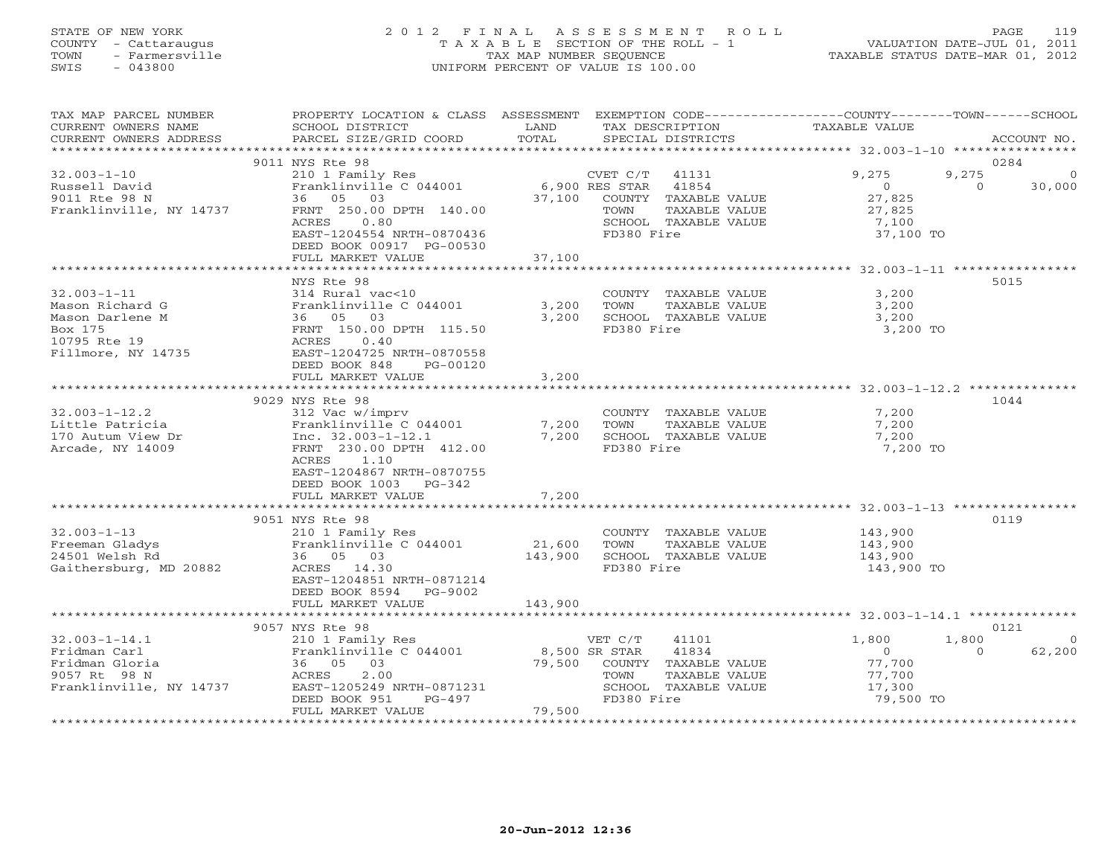# STATE OF NEW YORK 2 0 1 2 F I N A L A S S E S S M E N T R O L L PAGE 119 COUNTY - Cattaraugus T A X A B L E SECTION OF THE ROLL - 1 VALUATION DATE-JUL 01, 2011 TOWN - Farmersville TAX MAP NUMBER SEQUENCE TAXABLE STATUS DATE-MAR 01, 2012 SWIS - 043800 UNIFORM PERCENT OF VALUE IS 100.00UNIFORM PERCENT OF VALUE IS 100.00

| TAX MAP PARCEL NUMBER<br>CURRENT OWNERS NAME<br>CURRENT OWNERS ADDRESS                                   | PROPERTY LOCATION & CLASS ASSESSMENT EXEMPTION CODE---------------COUNTY-------TOWN------SCHOOL<br>SCHOOL DISTRICT<br>PARCEL SIZE/GRID COORD                                                                                                                 | LAND<br>TOTAL     | TAX DESCRIPTION<br>SPECIAL DISTRICTS                                                        |                                                               | TAXABLE VALUE                                                      |                           | ACCOUNT NO.        |
|----------------------------------------------------------------------------------------------------------|--------------------------------------------------------------------------------------------------------------------------------------------------------------------------------------------------------------------------------------------------------------|-------------------|---------------------------------------------------------------------------------------------|---------------------------------------------------------------|--------------------------------------------------------------------|---------------------------|--------------------|
|                                                                                                          |                                                                                                                                                                                                                                                              |                   |                                                                                             |                                                               |                                                                    |                           |                    |
| $32.003 - 1 - 10$<br>Russell David<br>9011 Rte 98 N<br>Franklinville, NY 14737                           | 9011 NYS Rte 98<br>210 1 Family Res<br>Franklinville C 044001<br>36 05 03<br>FRNT 250.00 DPTH 140.00<br>0.80<br>ACRES<br>EAST-1204554 NRTH-0870436<br>DEED BOOK 00917 PG-00530                                                                               |                   | CVET C/T 41131<br>6,900 RES STAR 41854<br>37,100 COUNTY TAXABLE VALUE<br>TOWN<br>FD380 Fire | TAXABLE VALUE<br>SCHOOL TAXABLE VALUE                         | 9,275<br>$\overline{0}$<br>27,825<br>27,825<br>7,100<br>37,100 TO  | 0284<br>9,275<br>$\Omega$ | 30,000             |
|                                                                                                          | FULL MARKET VALUE                                                                                                                                                                                                                                            | 37,100            |                                                                                             |                                                               |                                                                    |                           |                    |
| $32.003 - 1 - 11$<br>Mason Richard G<br>Mason Darlene M<br>Box 175<br>10795 Rte 19<br>Fillmore, NY 14735 | NYS Rte 98<br>314 Rural vac<10<br>Franklinville C 044001 3,200<br>anklinvill<br>36 05 03<br>FRNT <sup>150</sup><br>FRNT 150.00 DPTH 115.50<br>0.40<br>ACRES<br>EAST-1204725 NRTH-0870558                                                                     | 3,200             | TOWN<br>FD380 Fire                                                                          | COUNTY TAXABLE VALUE<br>TAXABLE VALUE<br>SCHOOL TAXABLE VALUE | 3,200<br>3,200<br>3,200<br>3,200 TO                                |                           | 5015               |
|                                                                                                          | DEED BOOK 848<br>PG-00120                                                                                                                                                                                                                                    |                   |                                                                                             |                                                               |                                                                    |                           |                    |
|                                                                                                          | FULL MARKET VALUE                                                                                                                                                                                                                                            | 3,200             |                                                                                             |                                                               |                                                                    |                           |                    |
| $32.003 - 1 - 12.2$<br>Little Patricia<br>170 Autum View Dr<br>Arcade, NY 14009                          | 9029 NYS Rte 98<br>312 Vac w/imprv<br>Franklinville C 044001<br>Franklinville C 044001<br>Inc. 32.003-1-12.1<br>EPALE 230.00 DPEH 112.00<br>FRNT 230.00 DPTH 412.00<br>ACRES 1.10<br>EAST-1204867 NRTH-0870755<br>DEED BOOK 1003 PG-342<br>FULL MARKET VALUE | 7,200<br>7,200    | TOWN<br>7,200 SCHOOL TAXABLE VALUE<br>FD380 Fire                                            | COUNTY TAXABLE VALUE<br>TAXABLE VALUE                         | 7,200<br>7,200<br>7,200<br>7,200 TO                                | 1044                      |                    |
|                                                                                                          | 9051 NYS Rte 98                                                                                                                                                                                                                                              |                   |                                                                                             |                                                               |                                                                    | 0119                      |                    |
| $32.003 - 1 - 13$<br>Freeman Gladys<br>24501 Welsh Rd<br>Gaithersburg, MD 20882                          | 210 1 Family Res<br>Franklinville C 044001<br>36 05 03<br>ACRES 14.30<br>EAST-1204851 NRTH-0871214<br>DEED BOOK 8594 PG-9002                                                                                                                                 | 21,600<br>143,900 | TOWN<br>FD380 Fire                                                                          | COUNTY TAXABLE VALUE<br>TAXABLE VALUE<br>SCHOOL TAXABLE VALUE | 143,900<br>143,900<br>143,900<br>143,900 TO                        |                           |                    |
|                                                                                                          | FULL MARKET VALUE                                                                                                                                                                                                                                            | 143,900           |                                                                                             |                                                               |                                                                    |                           |                    |
|                                                                                                          | 9057 NYS Rte 98                                                                                                                                                                                                                                              |                   |                                                                                             |                                                               |                                                                    |                           | 0121               |
| $32.003 - 1 - 14.1$<br>Fridman Carl<br>Fridman Gloria<br>9057 Rt 98 N<br>Franklinville, NY 14737         | 210 1 Family Res<br>Franklinville C 044001<br>36 05 03<br>2.00<br>ACRES<br>EAST-1205249 NRTH-0871231<br>DEED BOOK 951<br>PG-497<br>FULL MARKET VALUE                                                                                                         | 79,500            | VET C/T<br>8,500 SR STAR     41834<br>79,500   COUNTY   TAXABLE VALUE<br>TOWN<br>FD380 Fire | 41101<br>41834<br>TAXABLE VALUE<br>SCHOOL TAXABLE VALUE       | 1,800<br>$\overline{0}$<br>77,700<br>77,700<br>17,300<br>79,500 TO | 1,800<br>$\Omega$         | $\Omega$<br>62,200 |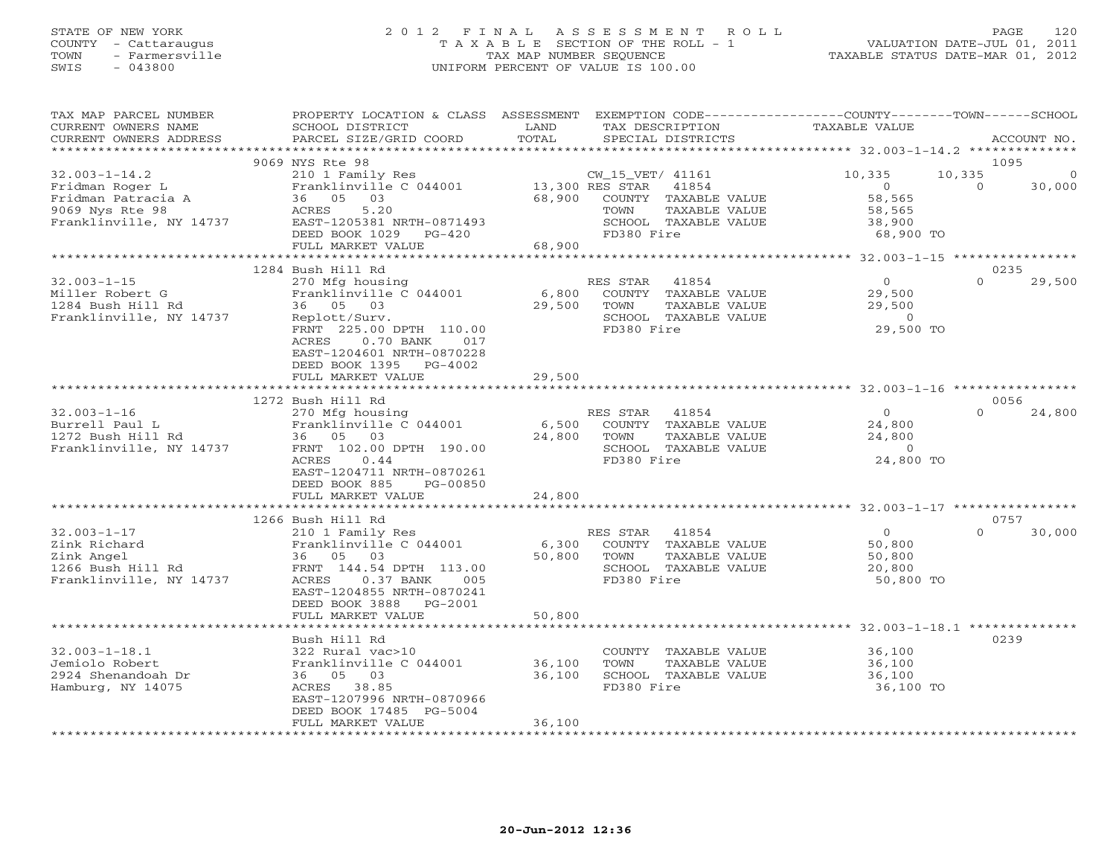## STATE OF NEW YORK 2 0 1 2 F I N A L A S S E S S M E N T R O L L PAGE 120 COUNTY - Cattaraugus T A X A B L E SECTION OF THE ROLL - 1 VALUATION DATE-JUL 01, 2011 TOWN - Farmersville TAX MAP NUMBER SEQUENCE TAXABLE STATUS DATE-MAR 01, 2012 SWIS - 043800 UNIFORM PERCENT OF VALUE IS 100.00UNIFORM PERCENT OF VALUE IS 100.00

| TAX MAP PARCEL NUMBER                          | PROPERTY LOCATION & CLASS                                | ASSESSMENT  | EXEMPTION CODE-----------------COUNTY-------TOWN------SCHOOL |                                                       |          |             |
|------------------------------------------------|----------------------------------------------------------|-------------|--------------------------------------------------------------|-------------------------------------------------------|----------|-------------|
| CURRENT OWNERS NAME                            | SCHOOL DISTRICT                                          | LAND        | TAX DESCRIPTION                                              | <b>TAXABLE VALUE</b>                                  |          |             |
| CURRENT OWNERS ADDRESS<br>******************** | PARCEL SIZE/GRID COORD                                   | TOTAL       | SPECIAL DISTRICTS                                            |                                                       |          | ACCOUNT NO. |
|                                                | 9069 NYS Rte 98                                          |             |                                                              |                                                       | 1095     |             |
| $32.003 - 1 - 14.2$                            | 210 1 Family Res                                         |             | CW_15_VET/ 41161                                             | 10,335                                                | 10,335   | $\Omega$    |
| Fridman Roger L                                | Franklinville C 044001                                   |             | 13,300 RES STAR<br>41854                                     | $\circ$                                               | $\Omega$ | 30,000      |
| Fridman Patracia A                             | 36 05 03                                                 | 68,900      | COUNTY TAXABLE VALUE                                         | 58,565                                                |          |             |
| 9069 Nys Rte 98                                | 5.20<br>ACRES                                            |             | TOWN<br>TAXABLE VALUE                                        | 58,565                                                |          |             |
| Franklinville, NY 14737                        | EAST-1205381 NRTH-0871493                                |             | SCHOOL TAXABLE VALUE                                         | 38,900                                                |          |             |
|                                                | DEED BOOK 1029<br>$PG-420$                               |             | FD380 Fire                                                   | 68,900 TO                                             |          |             |
|                                                | FULL MARKET VALUE                                        | 68,900      |                                                              |                                                       |          |             |
|                                                | 1284 Bush Hill Rd                                        |             |                                                              |                                                       | 0235     |             |
| $32.003 - 1 - 15$                              | 270 Mfg housing                                          |             | RES STAR<br>41854                                            | $\overline{0}$                                        | $\Omega$ | 29,500      |
| Miller Robert G                                | Franklinville C 044001                                   | 6,800       | COUNTY TAXABLE VALUE                                         | 29,500                                                |          |             |
| 1284 Bush Hill Rd                              | 36 05 03                                                 | 29,500      | TOWN<br>TAXABLE VALUE                                        | 29,500                                                |          |             |
| Franklinville, NY 14737                        | Replott/Surv.                                            |             | SCHOOL TAXABLE VALUE                                         | $\Omega$                                              |          |             |
|                                                | FRNT 225.00 DPTH 110.00                                  |             | FD380 Fire                                                   | 29,500 TO                                             |          |             |
|                                                | <b>ACRES</b><br>$0.70$ BANK<br>017                       |             |                                                              |                                                       |          |             |
|                                                | EAST-1204601 NRTH-0870228<br>DEED BOOK 1395<br>$PG-4002$ |             |                                                              |                                                       |          |             |
|                                                | FULL MARKET VALUE                                        | 29,500      |                                                              |                                                       |          |             |
|                                                |                                                          | *********** |                                                              | *********************** 32.003-1-16 ***************** |          |             |
|                                                | 1272 Bush Hill Rd                                        |             |                                                              |                                                       | 0056     |             |
| $32.003 - 1 - 16$                              | 270 Mfg housing                                          |             | RES STAR<br>41854                                            | $\overline{0}$                                        | $\Omega$ | 24,800      |
| Burrell Paul L                                 | Franklinville C 044001                                   | 6,500       | COUNTY TAXABLE VALUE                                         | 24,800                                                |          |             |
| 1272 Bush Hill Rd                              | 36 05 03                                                 | 24,800      | TAXABLE VALUE<br>TOWN                                        | 24,800                                                |          |             |
| Franklinville, NY 14737                        | FRNT 102.00 DPTH 190.00                                  |             | SCHOOL TAXABLE VALUE                                         | $\overline{0}$                                        |          |             |
|                                                | 0.44<br>ACRES                                            |             | FD380 Fire                                                   | 24,800 TO                                             |          |             |
|                                                | EAST-1204711 NRTH-0870261<br>DEED BOOK 885<br>PG-00850   |             |                                                              |                                                       |          |             |
|                                                | FULL MARKET VALUE                                        | 24,800      |                                                              |                                                       |          |             |
|                                                |                                                          |             |                                                              |                                                       |          |             |
|                                                | 1266 Bush Hill Rd                                        |             |                                                              |                                                       | 0757     |             |
| $32.003 - 1 - 17$                              | 210 1 Family Res                                         |             | RES STAR<br>41854                                            | $\Omega$                                              | $\Omega$ | 30,000      |
| Zink Richard                                   | Franklinville C 044001                                   | 6,300       | COUNTY TAXABLE VALUE                                         | 50,800                                                |          |             |
| Zink Angel                                     | 36 05 03                                                 | 50,800      | TOWN<br>TAXABLE VALUE                                        | 50,800                                                |          |             |
| 1266 Bush Hill Rd                              | FRNT 144.54 DPTH 113.00<br>ACRES                         |             | SCHOOL TAXABLE VALUE                                         | 20,800                                                |          |             |
| Franklinville, NY 14737                        | $0.37$ BANK<br>005<br>EAST-1204855 NRTH-0870241          |             | FD380 Fire                                                   | 50,800 TO                                             |          |             |
|                                                | DEED BOOK 3888<br>$PG-2001$                              |             |                                                              |                                                       |          |             |
|                                                | FULL MARKET VALUE                                        | 50,800      |                                                              |                                                       |          |             |
|                                                | ****************************                             |             |                                                              |                                                       |          |             |
|                                                | Bush Hill Rd                                             |             |                                                              |                                                       | 0239     |             |
| $32.003 - 1 - 18.1$                            | 322 Rural vac>10                                         |             | COUNTY TAXABLE VALUE                                         | 36,100                                                |          |             |
| Jemiolo Robert                                 | Franklinville C 044001                                   | 36,100      | TOWN<br>TAXABLE VALUE                                        | 36,100                                                |          |             |
| 2924 Shenandoah Dr                             | 36 05 03                                                 | 36,100      | SCHOOL TAXABLE VALUE                                         | 36,100                                                |          |             |
| Hamburg, NY 14075                              | ACRES 38.85<br>EAST-1207996 NRTH-0870966                 |             | FD380 Fire                                                   | 36,100 TO                                             |          |             |
|                                                | DEED BOOK 17485 PG-5004                                  |             |                                                              |                                                       |          |             |
|                                                | FULL MARKET VALUE                                        | 36,100      |                                                              |                                                       |          |             |
|                                                | *********************                                    |             |                                                              |                                                       |          |             |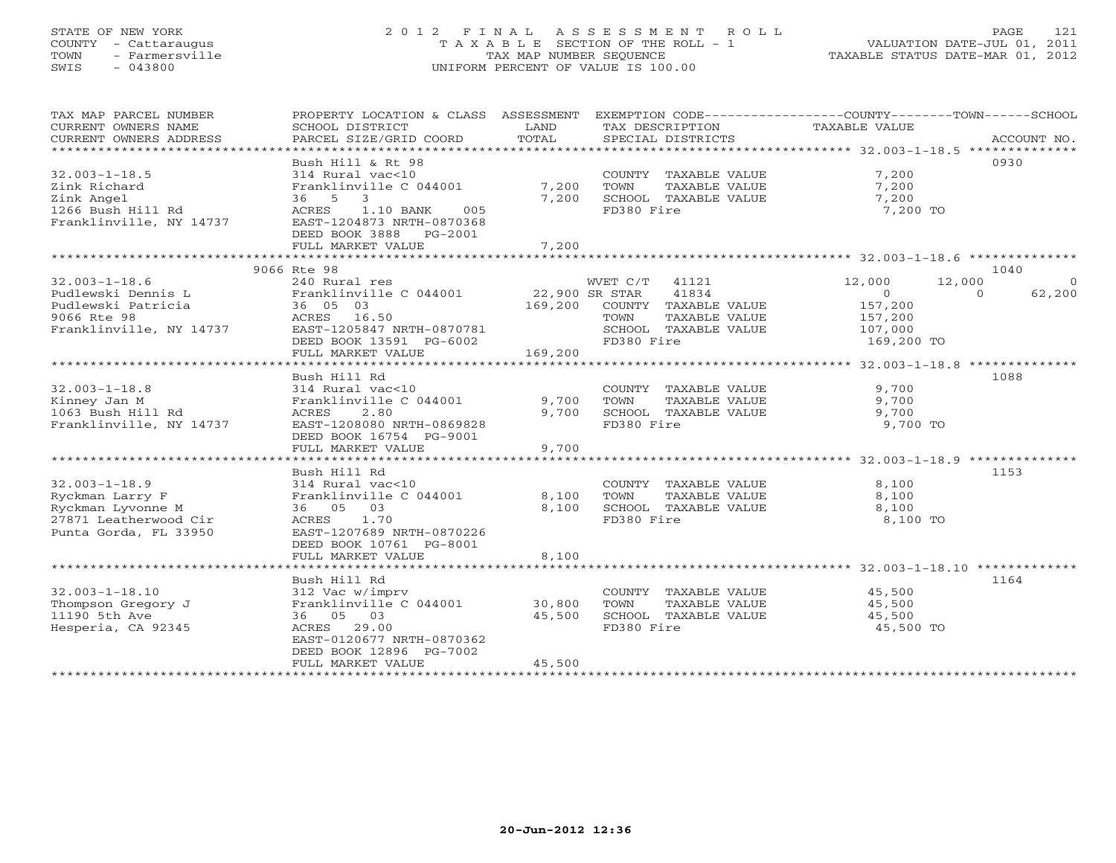# STATE OF NEW YORK 2 0 1 2 F I N A L A S S E S S M E N T R O L L PAGE 121 COUNTY - Cattaraugus T A X A B L E SECTION OF THE ROLL - 1 VALUATION DATE-JUL 01, 2011 TOWN - Farmersville TAX MAP NUMBER SEQUENCE TAXABLE STATUS DATE-MAR 01, 2012 SWIS - 043800 UNIFORM PERCENT OF VALUE IS 100.00UNIFORM PERCENT OF VALUE IS 100.00

| TAX MAP PARCEL NUMBER<br>CURRENT OWNERS NAME                                                                  | PROPERTY LOCATION & CLASS ASSESSMENT<br>SCHOOL DISTRICT                                                                                                           | LAND<br>TOTAL                        | TAX DESCRIPTION                                                                                                   | EXEMPTION CODE-----------------COUNTY-------TOWN------SCHOOL<br>TAXABLE VALUE          |                    |
|---------------------------------------------------------------------------------------------------------------|-------------------------------------------------------------------------------------------------------------------------------------------------------------------|--------------------------------------|-------------------------------------------------------------------------------------------------------------------|----------------------------------------------------------------------------------------|--------------------|
| CURRENT OWNERS ADDRESS                                                                                        | PARCEL SIZE/GRID COORD                                                                                                                                            |                                      | SPECIAL DISTRICTS                                                                                                 |                                                                                        | ACCOUNT NO.        |
|                                                                                                               | Bush Hill & Rt 98                                                                                                                                                 |                                      |                                                                                                                   |                                                                                        | 0930               |
| $32.003 - 1 - 18.5$<br>Zink Richard                                                                           | 314 Rural vac<10<br>Franklinville C 044001                                                                                                                        | 7,200                                | COUNTY TAXABLE VALUE<br>TOWN<br>TAXABLE VALUE                                                                     | 7,200<br>7,200                                                                         |                    |
| Zink Angel<br>1266 Bush Hill Rd<br>Franklinville, NY 14737                                                    | 36 5 3<br>1.10 BANK<br>ACRES<br>005<br>EAST-1204873 NRTH-0870368<br>DEED BOOK 3888 PG-2001<br>FULL MARKET VALUE                                                   | 7,200<br>7,200                       | SCHOOL TAXABLE VALUE<br>FD380 Fire                                                                                | 7,200<br>7,200 TO                                                                      |                    |
|                                                                                                               |                                                                                                                                                                   |                                      |                                                                                                                   |                                                                                        |                    |
|                                                                                                               | 9066 Rte 98                                                                                                                                                       |                                      |                                                                                                                   |                                                                                        | 1040               |
| $32.003 - 1 - 18.6$<br>Pudlewski Dennis L<br>Pudlewski Patricia<br>9066 Rte 98<br>Franklinville, NY 14737     | 240 Rural res<br>Franklinville C 044001<br>36 05 03<br>ACRES 16.50<br>EAST-1205847 NRTH-0870781<br>DEED BOOK 13591 PG-6002<br>FULL MARKET VALUE                   | 22,900 SR STAR<br>169,200<br>169,200 | WVET C/T<br>41121<br>41834<br>COUNTY TAXABLE VALUE<br>TOWN<br>TAXABLE VALUE<br>SCHOOL TAXABLE VALUE<br>FD380 Fire | 12,000<br>12,000<br>$\circ$<br>$\Omega$<br>157,200<br>157,200<br>107,000<br>169,200 TO | $\Omega$<br>62,200 |
|                                                                                                               |                                                                                                                                                                   |                                      |                                                                                                                   |                                                                                        |                    |
| $32.003 - 1 - 18.8$<br>Kinney Jan M<br>1063 Bush Hill Rd<br>Franklinville, NY 14737                           | Bush Hill Rd<br>314 Rural vac<10<br>Franklinville C 044001<br>2.80<br>ACRES<br>EAST-1208080 NRTH-0869828<br>DEED BOOK 16754 PG-9001<br>FULL MARKET VALUE          | 9,700<br>9,700<br>9,700              | COUNTY TAXABLE VALUE<br>TOWN<br>TAXABLE VALUE<br>SCHOOL TAXABLE VALUE<br>FD380 Fire                               | 9,700<br>9,700<br>9,700<br>9,700 TO                                                    | 1088               |
|                                                                                                               |                                                                                                                                                                   |                                      |                                                                                                                   |                                                                                        |                    |
| $32.003 - 1 - 18.9$<br>Ryckman Larry F<br>Ryckman Lyvonne M<br>27871 Leatherwood Cir<br>Punta Gorda, FL 33950 | Bush Hill Rd<br>314 Rural vac<10<br>Franklinville C 044001<br>36 05 03<br>ACRES<br>1.70<br>EAST-1207689 NRTH-0870226<br>DEED BOOK 10761 PG-8001                   | 8,100<br>8,100                       | COUNTY TAXABLE VALUE<br>TOWN<br>TAXABLE VALUE<br>SCHOOL TAXABLE VALUE<br>FD380 Fire                               | 8,100<br>8,100<br>8,100<br>8,100 TO                                                    | 1153               |
|                                                                                                               | FULL MARKET VALUE                                                                                                                                                 | 8,100                                |                                                                                                                   |                                                                                        |                    |
| $32.003 - 1 - 18.10$<br>Thompson Gregory J<br>11190 5th Ave<br>Hesperia, CA 92345                             | Bush Hill Rd<br>312 Vac w/imprv<br>Franklinville C 044001<br>36 05 03<br>ACRES 29.00<br>EAST-0120677 NRTH-0870362<br>DEED BOOK 12896 PG-7002<br>FULL MARKET VALUE | 30,800<br>45,500<br>45,500           | COUNTY TAXABLE VALUE<br>TOWN<br>TAXABLE VALUE<br>SCHOOL TAXABLE VALUE<br>FD380 Fire                               | 45,500<br>45,500<br>45,500<br>45,500 TO                                                | 1164               |
|                                                                                                               |                                                                                                                                                                   |                                      |                                                                                                                   |                                                                                        |                    |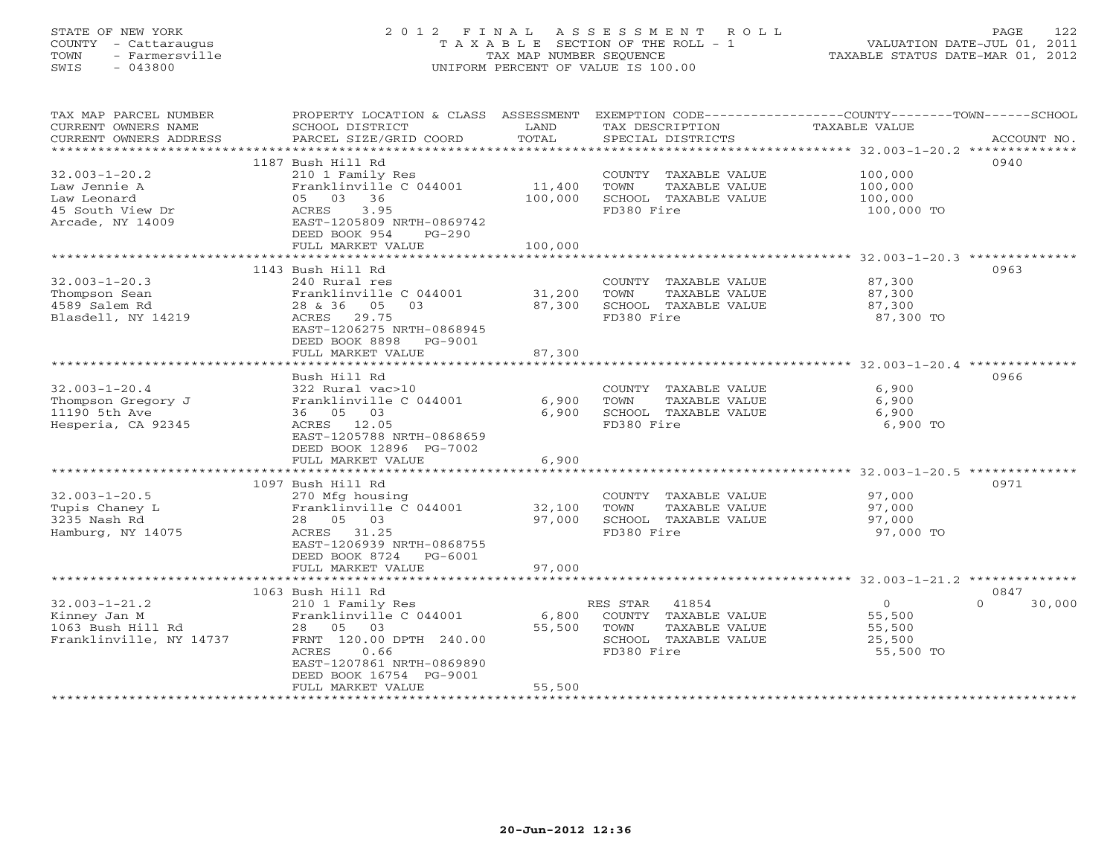# STATE OF NEW YORK 2 0 1 2 F I N A L A S S E S S M E N T R O L L PAGE 122 COUNTY - Cattaraugus T A X A B L E SECTION OF THE ROLL - 1 VALUATION DATE-JUL 01, 2011 TOWN - Farmersville TAX MAP NUMBER SEQUENCE TAXABLE STATUS DATE-MAR 01, 2012 SWIS - 043800 UNIFORM PERCENT OF VALUE IS 100.00UNIFORM PERCENT OF VALUE IS 100.00

| TAX MAP PARCEL NUMBER   | PROPERTY LOCATION & CLASS ASSESSMENT EXEMPTION CODE----------------COUNTY-------TOWN------SCHOOL |                |                       |                                                      |             |
|-------------------------|--------------------------------------------------------------------------------------------------|----------------|-----------------------|------------------------------------------------------|-------------|
| CURRENT OWNERS NAME     | SCHOOL DISTRICT                                                                                  | LAND           | TAX DESCRIPTION       | TAXABLE VALUE                                        |             |
| CURRENT OWNERS ADDRESS  | PARCEL SIZE/GRID COORD                                                                           | TOTAL          | SPECIAL DISTRICTS     |                                                      | ACCOUNT NO. |
|                         |                                                                                                  |                |                       |                                                      |             |
|                         | 1187 Bush Hill Rd                                                                                |                |                       |                                                      | 0940        |
| $32.003 - 1 - 20.2$     | 210 1 Family Res                                                                                 |                | COUNTY TAXABLE VALUE  | 100,000                                              |             |
| Law Jennie A            | Franklinville C 044001                                                                           | 11,400         | TOWN<br>TAXABLE VALUE | 100,000                                              |             |
| Law Leonard             | 05 03 36                                                                                         | 100,000        | SCHOOL TAXABLE VALUE  | 100,000                                              |             |
| 45 South View Dr        | ACRES 3.95                                                                                       |                | FD380 Fire            | 100,000 TO                                           |             |
| Arcade, NY 14009        | EAST-1205809 NRTH-0869742                                                                        |                |                       |                                                      |             |
|                         | DEED BOOK 954<br>$PG-290$                                                                        |                |                       |                                                      |             |
|                         | FULL MARKET VALUE                                                                                | 100,000        |                       |                                                      |             |
|                         |                                                                                                  |                |                       |                                                      |             |
|                         | 1143 Bush Hill Rd                                                                                |                |                       |                                                      | 0963        |
|                         |                                                                                                  |                |                       |                                                      |             |
| $32.003 - 1 - 20.3$     | 240 Rural res                                                                                    |                | COUNTY TAXABLE VALUE  | 87,300                                               |             |
| Thompson Sean           | Franklinville C 044001                                                                           | 31,200         | TOWN<br>TAXABLE VALUE | 87,300                                               |             |
| 4589 Salem Rd           | 28 & 36 05<br>03                                                                                 | 87,300         | SCHOOL TAXABLE VALUE  | 87,300                                               |             |
| Blasdell, NY 14219      | ACRES 29.75                                                                                      |                | FD380 Fire            | 87,300 TO                                            |             |
|                         | EAST-1206275 NRTH-0868945                                                                        |                |                       |                                                      |             |
|                         | DEED BOOK 8898<br>PG-9001                                                                        |                |                       |                                                      |             |
|                         | FULL MARKET VALUE                                                                                | 87,300         |                       |                                                      |             |
|                         |                                                                                                  |                |                       |                                                      |             |
|                         | Bush Hill Rd                                                                                     |                |                       |                                                      | 0966        |
| $32.003 - 1 - 20.4$     | 322 Rural vac>10                                                                                 |                | COUNTY TAXABLE VALUE  | 6,900                                                |             |
| Thompson Gregory J      | Franklinville C 044001                                                                           | 6,900          | TAXABLE VALUE<br>TOWN | 6,900                                                |             |
| 11190 5th Ave           | 36 05 03                                                                                         | 6,900          | SCHOOL TAXABLE VALUE  | 6,900                                                |             |
| Hesperia, CA 92345      | ACRES 12.05                                                                                      |                | FD380 Fire            | 6,900 TO                                             |             |
|                         | EAST-1205788 NRTH-0868659                                                                        |                |                       |                                                      |             |
|                         | DEED BOOK 12896 PG-7002                                                                          |                |                       |                                                      |             |
|                         | FULL MARKET VALUE                                                                                | 6,900          |                       |                                                      |             |
|                         | ****************************                                                                     | ************** |                       | *********************** 32.003-1-20.5 ************** |             |
|                         | 1097 Bush Hill Rd                                                                                |                |                       |                                                      | 0971        |
| $32.003 - 1 - 20.5$     | 270 Mfg housing                                                                                  |                | COUNTY TAXABLE VALUE  | 97,000                                               |             |
| Tupis Chaney L          | Franklinville C 044001                                                                           | 32,100         | TOWN<br>TAXABLE VALUE | 97,000                                               |             |
| 3235 Nash Rd            | 28 05 03                                                                                         | 97,000         | SCHOOL TAXABLE VALUE  | 97,000                                               |             |
| Hamburg, NY 14075       | ACRES 31.25                                                                                      |                | FD380 Fire            | 97,000 TO                                            |             |
|                         | EAST-1206939 NRTH-0868755                                                                        |                |                       |                                                      |             |
|                         | DEED BOOK 8724 PG-6001                                                                           |                |                       |                                                      |             |
|                         |                                                                                                  | 97,000         |                       |                                                      |             |
|                         | FULL MARKET VALUE                                                                                |                |                       |                                                      |             |
|                         |                                                                                                  |                |                       |                                                      |             |
|                         | 1063 Bush Hill Rd                                                                                |                |                       | $\Omega$                                             | 0847        |
| $32.003 - 1 - 21.2$     | 210 1 Family Res                                                                                 |                | RES STAR<br>41854     | $\overline{O}$                                       | 30,000      |
| Kinney Jan M            | Franklinville C 044001                                                                           | 6,800          | COUNTY TAXABLE VALUE  | 55,500                                               |             |
| 1063 Bush Hill Rd       | 28 05 03                                                                                         | 55,500         | TOWN<br>TAXABLE VALUE | 55,500                                               |             |
| Franklinville, NY 14737 | FRNT 120.00 DPTH 240.00                                                                          |                | SCHOOL TAXABLE VALUE  | 25,500                                               |             |
|                         | ACRES<br>0.66                                                                                    |                | FD380 Fire            | 55,500 TO                                            |             |
|                         | EAST-1207861 NRTH-0869890                                                                        |                |                       |                                                      |             |
|                         | DEED BOOK 16754 PG-9001                                                                          |                |                       |                                                      |             |
|                         | FULL MARKET VALUE                                                                                | 55,500         |                       |                                                      |             |
|                         |                                                                                                  |                |                       |                                                      |             |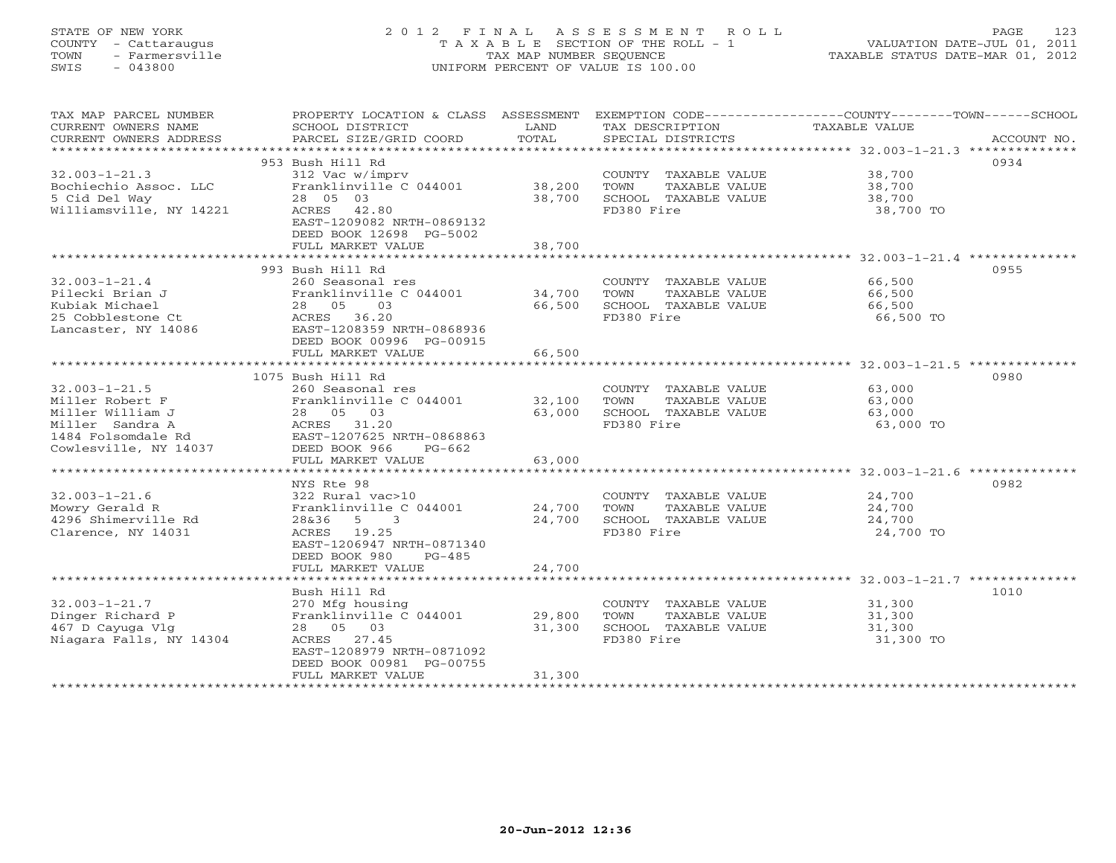# STATE OF NEW YORK 2 0 1 2 F I N A L A S S E S S M E N T R O L L PAGE 123 COUNTY - Cattaraugus T A X A B L E SECTION OF THE ROLL - 1 VALUATION DATE-JUL 01, 2011 TOWN - Farmersville TAX MAP NUMBER SEQUENCE TAXABLE STATUS DATE-MAR 01, 2012 SWIS - 043800 UNIFORM PERCENT OF VALUE IS 100.00UNIFORM PERCENT OF VALUE IS 100.00

| TAX MAP PARCEL NUMBER   | PROPERTY LOCATION & CLASS ASSESSMENT |        |                       | EXEMPTION CODE-----------------COUNTY-------TOWN------SCHOOL |
|-------------------------|--------------------------------------|--------|-----------------------|--------------------------------------------------------------|
| CURRENT OWNERS NAME     | SCHOOL DISTRICT                      | LAND   | TAX DESCRIPTION       | TAXABLE VALUE                                                |
| CURRENT OWNERS ADDRESS  |                                      | TOTAL  |                       |                                                              |
| *********************** |                                      |        |                       |                                                              |
|                         | 953 Bush Hill Rd                     |        |                       | 0934                                                         |
| $32.003 - 1 - 21.3$     | 312 Vac w/imprv                      |        | COUNTY TAXABLE VALUE  | 38,700                                                       |
| Bochiechio Assoc. LLC   | Franklinville C 044001               | 38,200 | TOWN<br>TAXABLE VALUE | 38,700                                                       |
| 5 Cid Del Way           | 28 05 03                             | 38,700 | SCHOOL TAXABLE VALUE  | 38,700                                                       |
| Williamsville, NY 14221 | ACRES 42.80                          |        | FD380 Fire            | 38,700 TO                                                    |
|                         | EAST-1209082 NRTH-0869132            |        |                       |                                                              |
|                         | DEED BOOK 12698 PG-5002              |        |                       |                                                              |
|                         | FULL MARKET VALUE                    | 38,700 |                       |                                                              |
|                         |                                      |        |                       |                                                              |
|                         | 993 Bush Hill Rd                     |        |                       | 0955                                                         |
| $32.003 - 1 - 21.4$     | 260 Seasonal res                     |        | COUNTY TAXABLE VALUE  | 66,500                                                       |
| Pilecki Brian J         | Franklinville C 044001 34,700        |        | TOWN<br>TAXABLE VALUE | 66,500                                                       |
| Kubiak Michael          | 28 05<br>$\overline{03}$             | 66,500 | SCHOOL TAXABLE VALUE  | 66,500                                                       |
| 25 Cobblestone Ct       | ACRES 36.20                          |        | FD380 Fire            | 66,500 TO                                                    |
| Lancaster, NY 14086     | EAST-1208359 NRTH-0868936            |        |                       |                                                              |
|                         | DEED BOOK 00996 PG-00915             |        |                       |                                                              |
|                         | FULL MARKET VALUE                    | 66,500 |                       |                                                              |
|                         |                                      |        |                       |                                                              |
|                         | 1075 Bush Hill Rd                    |        |                       | 0980                                                         |
| $32.003 - 1 - 21.5$     | 260 Seasonal res                     |        | COUNTY TAXABLE VALUE  | 63,000                                                       |
| Miller Robert F         | Franklinville C 044001               | 32,100 | TOWN<br>TAXABLE VALUE | 63,000                                                       |
| Miller William J        | 28 05 03                             | 63,000 | SCHOOL TAXABLE VALUE  | 63,000                                                       |
| Miller Sandra A         | ACRES 31.20                          |        | FD380 Fire            | 63,000 TO                                                    |
| 1484 Folsomdale Rd      | EAST-1207625 NRTH-0868863            |        |                       |                                                              |
| Cowlesville, NY 14037   | DEED BOOK 966<br>PG-662              |        |                       |                                                              |
|                         | FULL MARKET VALUE                    | 63,000 |                       |                                                              |
|                         |                                      |        |                       |                                                              |
|                         | NYS Rte 98                           |        |                       | 0982                                                         |
| $32.003 - 1 - 21.6$     | 322 Rural vac>10                     |        | COUNTY TAXABLE VALUE  | 24,700                                                       |
| Mowry Gerald R          | Franklinville C 044001               | 24,700 | TOWN<br>TAXABLE VALUE | 24,700                                                       |
| 4296 Shimerville Rd     | 28&36<br>$5^{\circ}$<br>3            | 24,700 | SCHOOL TAXABLE VALUE  | 24,700                                                       |
| Clarence, NY 14031      | ACRES 19.25                          |        | FD380 Fire            | 24,700 TO                                                    |
|                         | EAST-1206947 NRTH-0871340            |        |                       |                                                              |
|                         | DEED BOOK 980<br>$PG-485$            |        |                       |                                                              |
|                         | FULL MARKET VALUE                    | 24,700 |                       |                                                              |
|                         |                                      |        |                       |                                                              |
|                         | Bush Hill Rd                         |        |                       | 1010                                                         |
| $32.003 - 1 - 21.7$     | 270 Mfg housing                      |        | COUNTY TAXABLE VALUE  | 31,300                                                       |
| Dinger Richard P        | Franklinville C 044001               | 29,800 | TAXABLE VALUE<br>TOWN | 31,300                                                       |
| 467 D Cayuga Vlg        | 28 05 03                             | 31,300 | SCHOOL TAXABLE VALUE  | 31,300                                                       |
| Niagara Falls, NY 14304 | ACRES 27.45                          |        | FD380 Fire            | 31,300 TO                                                    |
|                         | EAST-1208979 NRTH-0871092            |        |                       |                                                              |
|                         | DEED BOOK 00981 PG-00755             |        |                       |                                                              |
|                         | FULL MARKET VALUE                    | 31,300 |                       |                                                              |
|                         |                                      |        |                       |                                                              |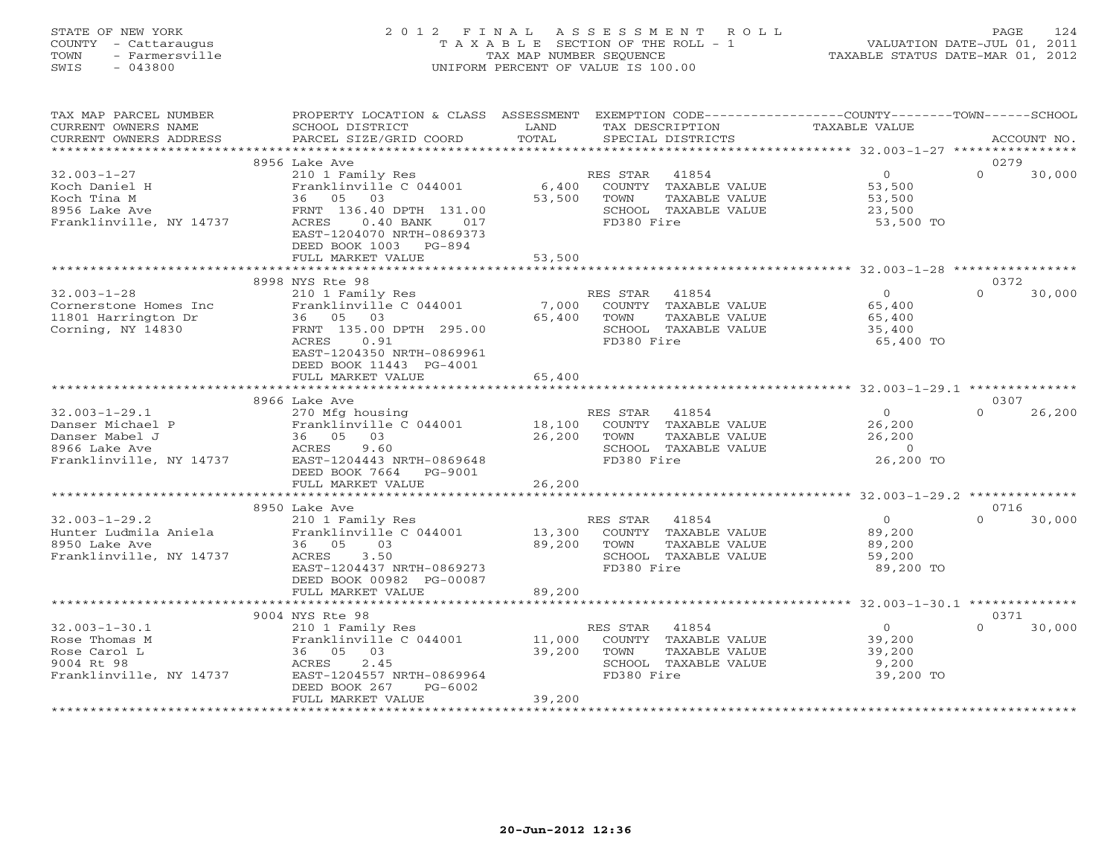# STATE OF NEW YORK 2 0 1 2 F I N A L A S S E S S M E N T R O L L PAGE 124 COUNTY - Cattaraugus T A X A B L E SECTION OF THE ROLL - 1 VALUATION DATE-JUL 01, 2011 TOWN - Farmersville TAX MAP NUMBER SEQUENCE TAXABLE STATUS DATE-MAR 01, 2012 SWIS - 043800 UNIFORM PERCENT OF VALUE IS 100.00UNIFORM PERCENT OF VALUE IS 100.00

| TAX MAP PARCEL NUMBER<br>CURRENT OWNERS NAME<br>CURRENT OWNERS ADDRESS                                | PROPERTY LOCATION & CLASS ASSESSMENT EXEMPTION CODE----------------COUNTY-------TOWN------SCHOOL<br>SCHOOL DISTRICT<br>PARCEL SIZE/GRID COORD                                                                   | LAND<br>TOTAL              | TAX DESCRIPTION<br>SPECIAL DISTRICTS                                                                     | TAXABLE VALUE                                                         | ACCOUNT NO.        |
|-------------------------------------------------------------------------------------------------------|-----------------------------------------------------------------------------------------------------------------------------------------------------------------------------------------------------------------|----------------------------|----------------------------------------------------------------------------------------------------------|-----------------------------------------------------------------------|--------------------|
|                                                                                                       |                                                                                                                                                                                                                 |                            |                                                                                                          |                                                                       |                    |
|                                                                                                       | 8956 Lake Ave                                                                                                                                                                                                   |                            |                                                                                                          |                                                                       | 0279               |
| $32.003 - 1 - 27$<br>Koch Daniel H<br>Koch Tina M<br>8956 Lake Ave<br>Franklinville, NY 14737         | 210 1 Family Res<br>zio i family Res<br>Franklinville C 044001<br>36 05 03<br>FRNT 136.40 DPTH 131.00<br>ACRES<br>$0.40$ BANK<br>017<br>EAST-1204070 NRTH-0869373<br>DEED BOOK 1003 PG-894<br>FULL MARKET VALUE | 6,400<br>53,500<br>53,500  | RES STAR<br>41854<br>COUNTY TAXABLE VALUE<br>TOWN<br>TAXABLE VALUE<br>SCHOOL TAXABLE VALUE<br>FD380 Fire | $0 \qquad \qquad$<br>53,500<br>53,500<br>23,500<br>53,500 TO          | 30,000<br>$\Omega$ |
|                                                                                                       |                                                                                                                                                                                                                 |                            |                                                                                                          |                                                                       |                    |
|                                                                                                       | 8998 NYS Rte 98                                                                                                                                                                                                 |                            |                                                                                                          |                                                                       | 0372               |
| $32.003 - 1 - 28$<br>Cornerstone Homes Inc<br>11801 Harrington Dr<br>Corning, NY 14830                | 210 1 Family Res<br>Franklinville C 044001 7,000<br>36 05 03<br>FRNT 135.00 DPTH 295.00<br>0.91<br>ACRES<br>EAST-1204350 NRTH-0869961<br>DEED BOOK 11443 PG-4001                                                | 65,400                     | RES STAR 41854<br>COUNTY TAXABLE VALUE<br>TOWN<br>TAXABLE VALUE<br>SCHOOL TAXABLE VALUE<br>FD380 Fire    | $\Omega$<br>65,400<br>65,400<br>35,400<br>65,400 TO                   | $\Omega$<br>30,000 |
|                                                                                                       | FULL MARKET VALUE<br>**************************                                                                                                                                                                 | 65,400                     |                                                                                                          |                                                                       |                    |
|                                                                                                       | 8966 Lake Ave                                                                                                                                                                                                   |                            |                                                                                                          |                                                                       | 0307               |
| $32.003 - 1 - 29.1$<br>Danser Michael P<br>Danser Mabel J<br>8966 Lake Ave<br>Franklinville, NY 14737 | 270 Mfg housing<br>270 Franklinville C 044001<br>Franklinville C 044001<br>36 05 03<br>ACRES 9.60<br>EAST-1204443 NRTH-0869648<br>DEED BOOK 7664 PG-9001<br>FULL MARKET VALUE                                   | 18,100<br>26,200<br>26,200 | RES STAR 41854<br>COUNTY TAXABLE VALUE<br>TOWN<br>TAXABLE VALUE<br>SCHOOL TAXABLE VALUE<br>FD380 Fire    | $\Omega$<br>26,200<br>26.200<br>26,200<br>$\overline{0}$<br>26,200 TO | $\cap$<br>26,200   |
|                                                                                                       |                                                                                                                                                                                                                 |                            |                                                                                                          |                                                                       |                    |
|                                                                                                       | 8950 Lake Ave                                                                                                                                                                                                   |                            |                                                                                                          |                                                                       | 0716               |
| $32.003 - 1 - 29.2$<br>Hunter Ludmila Aniela<br>8950 Lake Ave<br>Franklinville, NY 14737              | 210 1 Family Res<br>Franklinville $C$ 044001 13,300<br>36 05 03<br>ACRES<br>3.50<br>EAST-1204437 NRTH-0869273<br>DEED BOOK 00982 PG-00087<br>FULL MARKET VALUE                                                  | 89,200<br>89,200           | RES STAR 41854<br>COUNTY TAXABLE VALUE<br>TOWN<br>TAXABLE VALUE<br>SCHOOL TAXABLE VALUE<br>FD380 Fire    | $0 \qquad \qquad$<br>89,200<br>89,200<br>59,200<br>89,200 TO          | $\Omega$<br>30,000 |
|                                                                                                       |                                                                                                                                                                                                                 |                            |                                                                                                          |                                                                       |                    |
|                                                                                                       | 9004 NYS Rte 98                                                                                                                                                                                                 |                            |                                                                                                          |                                                                       | 0371               |
| $32.003 - 1 - 30.1$<br>Rose Thomas M<br>Rose Carol L<br>9004 Rt 98<br>Franklinville, NY 14737         | 210 1 Family Res<br>Franklinville C 044001<br>36 05 03<br>2.45<br>ACRES<br>EAST-1204557 NRTH-0869964<br>DEED BOOK 267<br>PG-6002<br>FULL MARKET VALUE                                                           | 11,000<br>39,200<br>39,200 | RES STAR<br>41854<br>COUNTY TAXABLE VALUE<br>TAXABLE VALUE<br>TOWN<br>SCHOOL TAXABLE VALUE<br>FD380 Fire | 0<br>39,200<br>39,200<br>9,200<br>39,200 TO                           | 30,000<br>$\cap$   |
|                                                                                                       |                                                                                                                                                                                                                 |                            |                                                                                                          |                                                                       |                    |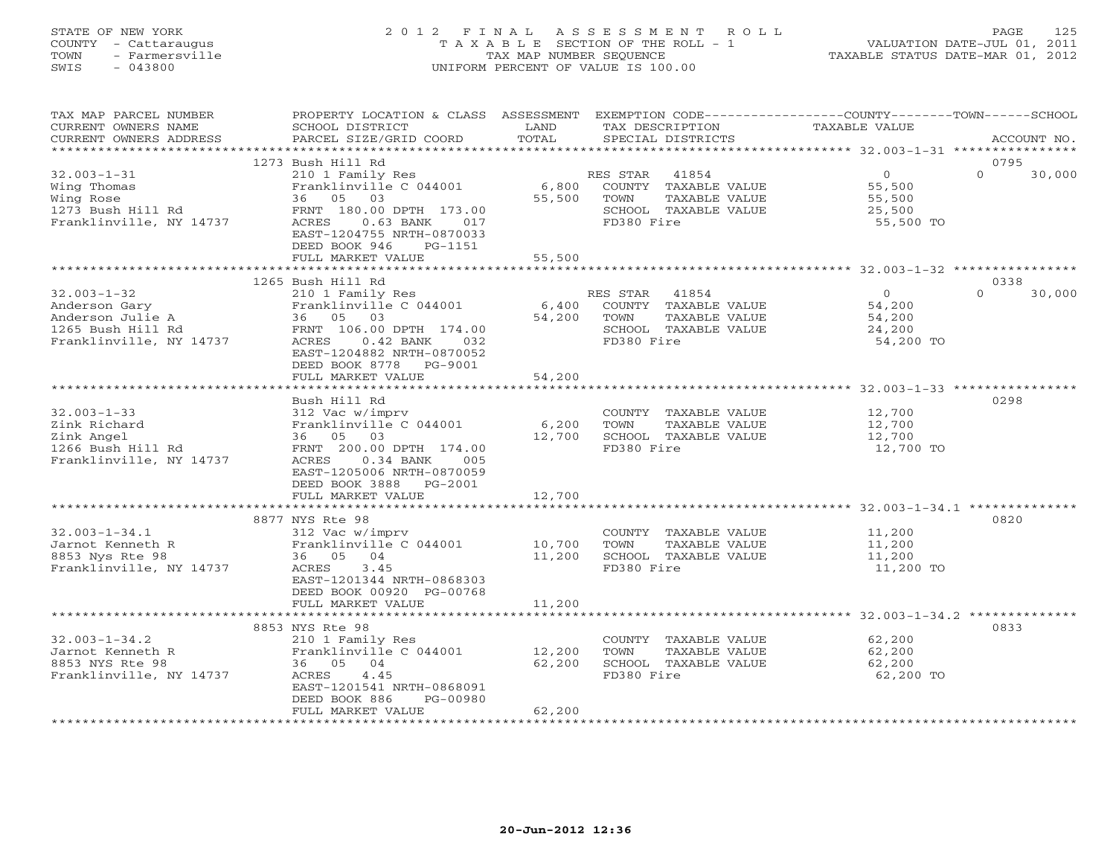# STATE OF NEW YORK 2 0 1 2 F I N A L A S S E S S M E N T R O L L PAGE 125 COUNTY - Cattaraugus T A X A B L E SECTION OF THE ROLL - 1 VALUATION DATE-JUL 01, 2011 TOWN - Farmersville TAX MAP NUMBER SEQUENCE TAXABLE STATUS DATE-MAR 01, 2012 SWIS - 043800 UNIFORM PERCENT OF VALUE IS 100.00UNIFORM PERCENT OF VALUE IS 100.00

| TAX MAP PARCEL NUMBER<br>CURRENT OWNERS NAME<br>CURRENT OWNERS ADDRESS                                 | PROPERTY LOCATION & CLASS ASSESSMENT<br>SCHOOL DISTRICT<br>PARCEL SIZE/GRID COORD                                                                                                                                    | LAND<br>TOTAL             | EXEMPTION CODE-----------------COUNTY-------TOWN------SCHOOL<br>TAX DESCRIPTION<br>SPECIAL DISTRICTS     | TAXABLE VALUE                                             | ACCOUNT NO.                |
|--------------------------------------------------------------------------------------------------------|----------------------------------------------------------------------------------------------------------------------------------------------------------------------------------------------------------------------|---------------------------|----------------------------------------------------------------------------------------------------------|-----------------------------------------------------------|----------------------------|
| ***********************                                                                                |                                                                                                                                                                                                                      |                           |                                                                                                          |                                                           |                            |
| $32.003 - 1 - 31$<br>Wing Thomas<br>Wing Rose<br>1273 Bush Hill Rd<br>Franklinville, NY 14737          | 1273 Bush Hill Rd<br>210 1 Family Res<br>Franklinville C 044001<br>36 05 03<br>FRNT 180.00 DPTH 173.00<br>ACRES<br>$0.63$ BANK<br>017<br>EAST-1204755 NRTH-0870033<br>DEED BOOK 946<br>PG-1151<br>FULL MARKET VALUE  | 6,800<br>55,500<br>55,500 | RES STAR<br>41854<br>COUNTY TAXABLE VALUE<br>TOWN<br>TAXABLE VALUE<br>SCHOOL TAXABLE VALUE<br>FD380 Fire | $\overline{O}$<br>55,500<br>55,500<br>25,500<br>55,500 TO | 0795<br>$\Omega$<br>30,000 |
|                                                                                                        |                                                                                                                                                                                                                      |                           |                                                                                                          |                                                           |                            |
| $32.003 - 1 - 32$<br>Anderson Gary<br>Anderson Julie A<br>1265 Bush Hill Rd<br>Franklinville, NY 14737 | 1265 Bush Hill Rd<br>210 1 Family Res<br>Franklinville C 044001<br>36 05 03<br>FRNT 106.00 DPTH 174.00<br>ACRES<br>$0.42$ BANK<br>032<br>EAST-1204882 NRTH-0870052<br>DEED BOOK 8778<br>PG-9001<br>FULL MARKET VALUE | 6,400<br>54,200<br>54,200 | RES STAR 41854<br>COUNTY TAXABLE VALUE<br>TOWN<br>TAXABLE VALUE<br>SCHOOL TAXABLE VALUE<br>FD380 Fire    | $\overline{0}$<br>54,200<br>54,200<br>24,200<br>54,200 TO | 0338<br>30,000<br>$\Omega$ |
|                                                                                                        |                                                                                                                                                                                                                      |                           |                                                                                                          |                                                           |                            |
| $32.003 - 1 - 33$<br>Zink Richard<br>Zink Angel<br>1266 Bush Hill Rd<br>Franklinville, NY 14737        | Bush Hill Rd<br>312 Vac w/imprv<br>Franklinville C 044001<br>36 05 03<br>FRNT 200.00 DPTH 174.00<br>ACRES<br>$0.34$ BANK<br>005<br>EAST-1205006 NRTH-0870059<br>DEED BOOK 3888<br>PG-2001<br>FULL MARKET VALUE       | 6,200<br>12,700<br>12,700 | COUNTY TAXABLE VALUE<br>TAXABLE VALUE<br>TOWN<br>SCHOOL TAXABLE VALUE<br>FD380 Fire                      | 12,700<br>12,700<br>12,700<br>12,700 TO                   | 0298                       |
|                                                                                                        | 8877 NYS Rte 98                                                                                                                                                                                                      |                           |                                                                                                          |                                                           | 0820                       |
| $32.003 - 1 - 34.1$<br>Jarnot Kenneth R<br>8853 Nys Rte 98<br>Franklinville, NY 14737                  | 312 Vac w/imprv<br>Franklinville C 044001<br>36 05 04<br>ACRES<br>3.45<br>EAST-1201344 NRTH-0868303<br>DEED BOOK 00920 PG-00768                                                                                      | 10,700<br>11,200          | COUNTY TAXABLE VALUE<br>TOWN<br>TAXABLE VALUE<br>SCHOOL TAXABLE VALUE<br>FD380 Fire                      | 11,200<br>11,200<br>11,200<br>11,200 TO                   |                            |
|                                                                                                        | FULL MARKET VALUE<br>*************************                                                                                                                                                                       | 11,200<br>*************   | ******************************* 32.003-1-34.2 *************                                              |                                                           |                            |
|                                                                                                        | 8853 NYS Rte 98                                                                                                                                                                                                      |                           |                                                                                                          |                                                           | 0833                       |
| $32.003 - 1 - 34.2$<br>Jarnot Kenneth R<br>8853 NYS Rte 98<br>Franklinville, NY 14737                  | 210 1 Family Res<br>Franklinville C 044001<br>36 05 04<br>4.45<br>ACRES<br>EAST-1201541 NRTH-0868091<br>DEED BOOK 886<br>PG-00980                                                                                    | 12,200<br>62,200          | COUNTY TAXABLE VALUE<br>TOWN<br>TAXABLE VALUE<br>SCHOOL TAXABLE VALUE<br>FD380 Fire                      | 62,200<br>62,200<br>62,200<br>62,200 TO                   |                            |
|                                                                                                        | FULL MARKET VALUE                                                                                                                                                                                                    | 62,200                    |                                                                                                          |                                                           |                            |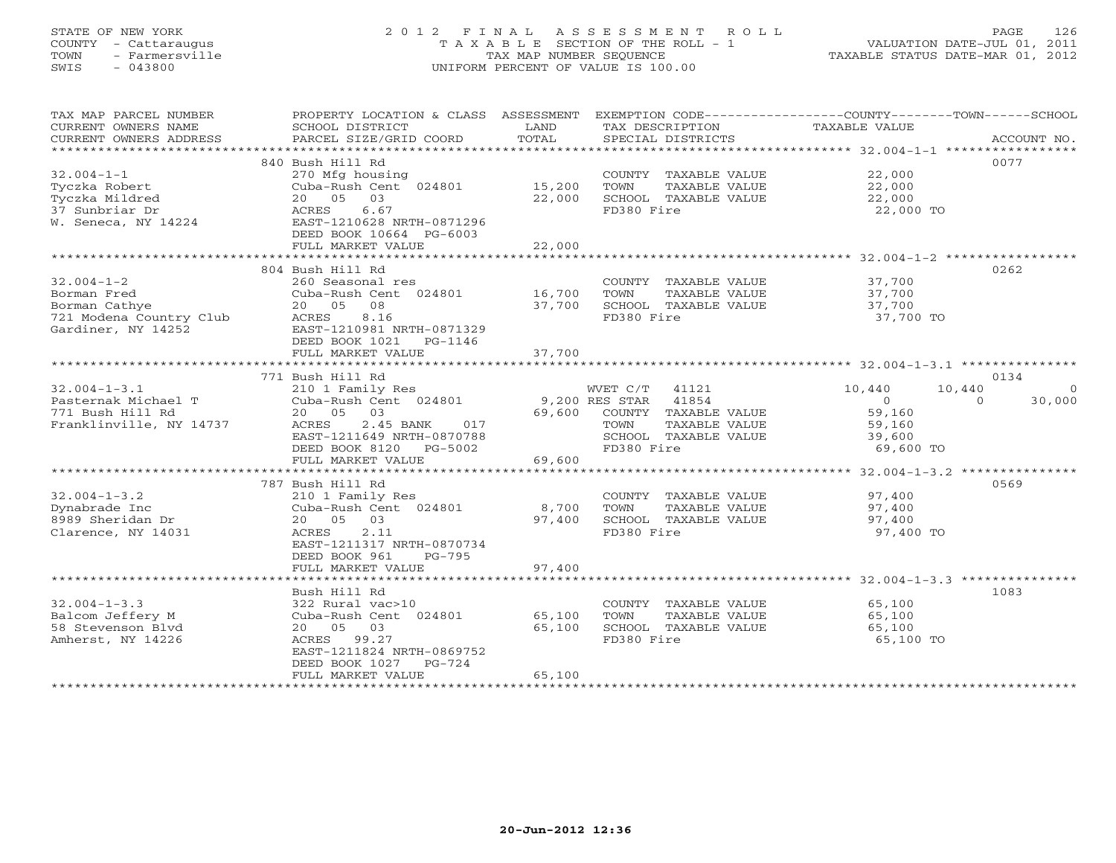# STATE OF NEW YORK 2 0 1 2 F I N A L A S S E S S M E N T R O L L PAGE 126 COUNTY - Cattaraugus T A X A B L E SECTION OF THE ROLL - 1 VALUATION DATE-JUL 01, 2011 TOWN - Farmersville TAX MAP NUMBER SEQUENCE TAXABLE STATUS DATE-MAR 01, 2012 SWIS - 043800 UNIFORM PERCENT OF VALUE IS 100.00UNIFORM PERCENT OF VALUE IS 100.00

| CURRENT OWNERS NAME<br>SCHOOL DISTRICT<br>LAND<br>TAX DESCRIPTION<br>TAXABLE VALUE<br>TOTAL<br>SPECIAL DISTRICTS<br>CURRENT OWNERS ADDRESS<br>PARCEL SIZE/GRID COORD<br>ACCOUNT NO.<br>0077<br>840 Bush Hill Rd<br>$32.004 - 1 - 1$<br>270 Mfg housing<br>COUNTY TAXABLE VALUE 22,000<br>Cuba-Rush Cent 024801<br>15,200<br>TOWN<br>Tyczka Robert<br>TAXABLE VALUE<br>22,000<br>22,000<br>20 05 03<br>SCHOOL TAXABLE VALUE<br>Tyczka Mildred<br>22,000<br>37 Sunbriar Dr<br>ACRES<br>6.67<br>FD380 Fire<br>22,000 TO<br>EAST-1210628 NRTH-0871296<br>W. Seneca, NY 14224<br>DEED BOOK 10664 PG-6003<br>22,000<br>FULL MARKET VALUE<br>**********************************32.004-1-2 ******************<br>*******************************<br>******************<br>0262<br>804 Bush Hill Rd<br>$32.004 - 1 - 2$<br>37,700<br>260 Seasonal res<br>COUNTY TAXABLE VALUE<br>Cuba-Rush Cent 024801 16,700<br>TOWN<br>TAXABLE VALUE<br>37,700<br>Borman Fred<br>20 05<br>08<br>37,700<br>SCHOOL TAXABLE VALUE<br>37,700<br>Borman Cathye<br>Borman Cathye<br>721 Modena Country Club<br>2011 Martin 11252<br>FD380 Fire<br>ACRES<br>8.16<br>37,700 TO<br>Gardiner, NY 14252<br>EAST-1210981 NRTH-0871329<br>DEED BOOK 1021<br>PG-1146<br>37,700<br>FULL MARKET VALUE<br>771 Bush Hill Rd<br>0134<br>$32.004 - 1 - 3.1$<br>WVET C/T 41121<br>10,440<br>10,440<br>210 1 Family Res<br>$\Omega$<br>Cuba-Rush Cent 024801<br>9,200 RES STAR 41854<br>$\overline{0}$<br>30,000<br>Pasternak Michael T<br>$\Omega$<br>20  05  03<br>69,600<br>COUNTY TAXABLE VALUE<br>59,160<br>771 Bush Hill Rd<br>Franklinville, NY 14737<br>2.45 BANK<br>017<br>TAXABLE VALUE<br>ACRES<br>TOWN<br>59,160<br>SCHOOL TAXABLE VALUE<br>EAST-1211649 NRTH-0870788<br>39,600<br>FD380 Fire<br>DEED BOOK 8120 PG-5002<br>69,600 TO<br>69,600<br>FULL MARKET VALUE<br>0569<br>787 Bush Hill Rd<br>$32.004 - 1 - 3.2$<br>210 1 Family Res<br>COUNTY TAXABLE VALUE<br>97,400<br>97,400<br>8,700<br>Dynabrade Inc<br>Cuba-Rush Cent 024801<br>TAXABLE VALUE<br>TOWN<br>8989 Sheridan Dr<br>20  05  03<br>97,400<br>SCHOOL TAXABLE VALUE<br>97,400<br>FD380 Fire<br>Clarence, NY 14031<br>ACRES<br>2.11<br>97,400 TO<br>EAST-1211317 NRTH-0870734<br>DEED BOOK 961<br>PG-795<br>97,400<br>FULL MARKET VALUE<br>Bush Hill Rd<br>1083<br>$32.004 - 1 - 3.3$<br>65,100<br>322 Rural vac>10<br>COUNTY TAXABLE VALUE<br>Balcom Jeffery M<br>Cuba-Rush Cent 024801<br>65,100<br>TOWN<br>TAXABLE VALUE<br>65,100<br>58 Stevenson Blvd<br>20 05 03<br>65,100<br>SCHOOL TAXABLE VALUE<br>65,100<br>FD380 Fire<br>Amherst, NY 14226<br>ACRES 99.27<br>65,100 TO<br>EAST-1211824 NRTH-0869752<br>DEED BOOK 1027<br>$PG-724$<br>65,100<br>FULL MARKET VALUE | TAX MAP PARCEL NUMBER    | PROPERTY LOCATION & CLASS ASSESSMENT |  | EXEMPTION CODE----------------COUNTY-------TOWN------SCHOOL |  |
|-------------------------------------------------------------------------------------------------------------------------------------------------------------------------------------------------------------------------------------------------------------------------------------------------------------------------------------------------------------------------------------------------------------------------------------------------------------------------------------------------------------------------------------------------------------------------------------------------------------------------------------------------------------------------------------------------------------------------------------------------------------------------------------------------------------------------------------------------------------------------------------------------------------------------------------------------------------------------------------------------------------------------------------------------------------------------------------------------------------------------------------------------------------------------------------------------------------------------------------------------------------------------------------------------------------------------------------------------------------------------------------------------------------------------------------------------------------------------------------------------------------------------------------------------------------------------------------------------------------------------------------------------------------------------------------------------------------------------------------------------------------------------------------------------------------------------------------------------------------------------------------------------------------------------------------------------------------------------------------------------------------------------------------------------------------------------------------------------------------------------------------------------------------------------------------------------------------------------------------------------------------------------------------------------------------------------------------------------------------------------------------------------------------------------------------------------------------------------------------------------------------------------------------------------------------------------------------------------------------------------------------------------------------------------------------------------------------|--------------------------|--------------------------------------|--|-------------------------------------------------------------|--|
|                                                                                                                                                                                                                                                                                                                                                                                                                                                                                                                                                                                                                                                                                                                                                                                                                                                                                                                                                                                                                                                                                                                                                                                                                                                                                                                                                                                                                                                                                                                                                                                                                                                                                                                                                                                                                                                                                                                                                                                                                                                                                                                                                                                                                                                                                                                                                                                                                                                                                                                                                                                                                                                                                                             |                          |                                      |  |                                                             |  |
|                                                                                                                                                                                                                                                                                                                                                                                                                                                                                                                                                                                                                                                                                                                                                                                                                                                                                                                                                                                                                                                                                                                                                                                                                                                                                                                                                                                                                                                                                                                                                                                                                                                                                                                                                                                                                                                                                                                                                                                                                                                                                                                                                                                                                                                                                                                                                                                                                                                                                                                                                                                                                                                                                                             |                          |                                      |  |                                                             |  |
|                                                                                                                                                                                                                                                                                                                                                                                                                                                                                                                                                                                                                                                                                                                                                                                                                                                                                                                                                                                                                                                                                                                                                                                                                                                                                                                                                                                                                                                                                                                                                                                                                                                                                                                                                                                                                                                                                                                                                                                                                                                                                                                                                                                                                                                                                                                                                                                                                                                                                                                                                                                                                                                                                                             |                          |                                      |  |                                                             |  |
|                                                                                                                                                                                                                                                                                                                                                                                                                                                                                                                                                                                                                                                                                                                                                                                                                                                                                                                                                                                                                                                                                                                                                                                                                                                                                                                                                                                                                                                                                                                                                                                                                                                                                                                                                                                                                                                                                                                                                                                                                                                                                                                                                                                                                                                                                                                                                                                                                                                                                                                                                                                                                                                                                                             |                          |                                      |  |                                                             |  |
|                                                                                                                                                                                                                                                                                                                                                                                                                                                                                                                                                                                                                                                                                                                                                                                                                                                                                                                                                                                                                                                                                                                                                                                                                                                                                                                                                                                                                                                                                                                                                                                                                                                                                                                                                                                                                                                                                                                                                                                                                                                                                                                                                                                                                                                                                                                                                                                                                                                                                                                                                                                                                                                                                                             |                          |                                      |  |                                                             |  |
|                                                                                                                                                                                                                                                                                                                                                                                                                                                                                                                                                                                                                                                                                                                                                                                                                                                                                                                                                                                                                                                                                                                                                                                                                                                                                                                                                                                                                                                                                                                                                                                                                                                                                                                                                                                                                                                                                                                                                                                                                                                                                                                                                                                                                                                                                                                                                                                                                                                                                                                                                                                                                                                                                                             |                          |                                      |  |                                                             |  |
|                                                                                                                                                                                                                                                                                                                                                                                                                                                                                                                                                                                                                                                                                                                                                                                                                                                                                                                                                                                                                                                                                                                                                                                                                                                                                                                                                                                                                                                                                                                                                                                                                                                                                                                                                                                                                                                                                                                                                                                                                                                                                                                                                                                                                                                                                                                                                                                                                                                                                                                                                                                                                                                                                                             |                          |                                      |  |                                                             |  |
|                                                                                                                                                                                                                                                                                                                                                                                                                                                                                                                                                                                                                                                                                                                                                                                                                                                                                                                                                                                                                                                                                                                                                                                                                                                                                                                                                                                                                                                                                                                                                                                                                                                                                                                                                                                                                                                                                                                                                                                                                                                                                                                                                                                                                                                                                                                                                                                                                                                                                                                                                                                                                                                                                                             |                          |                                      |  |                                                             |  |
|                                                                                                                                                                                                                                                                                                                                                                                                                                                                                                                                                                                                                                                                                                                                                                                                                                                                                                                                                                                                                                                                                                                                                                                                                                                                                                                                                                                                                                                                                                                                                                                                                                                                                                                                                                                                                                                                                                                                                                                                                                                                                                                                                                                                                                                                                                                                                                                                                                                                                                                                                                                                                                                                                                             |                          |                                      |  |                                                             |  |
|                                                                                                                                                                                                                                                                                                                                                                                                                                                                                                                                                                                                                                                                                                                                                                                                                                                                                                                                                                                                                                                                                                                                                                                                                                                                                                                                                                                                                                                                                                                                                                                                                                                                                                                                                                                                                                                                                                                                                                                                                                                                                                                                                                                                                                                                                                                                                                                                                                                                                                                                                                                                                                                                                                             |                          |                                      |  |                                                             |  |
|                                                                                                                                                                                                                                                                                                                                                                                                                                                                                                                                                                                                                                                                                                                                                                                                                                                                                                                                                                                                                                                                                                                                                                                                                                                                                                                                                                                                                                                                                                                                                                                                                                                                                                                                                                                                                                                                                                                                                                                                                                                                                                                                                                                                                                                                                                                                                                                                                                                                                                                                                                                                                                                                                                             |                          |                                      |  |                                                             |  |
|                                                                                                                                                                                                                                                                                                                                                                                                                                                                                                                                                                                                                                                                                                                                                                                                                                                                                                                                                                                                                                                                                                                                                                                                                                                                                                                                                                                                                                                                                                                                                                                                                                                                                                                                                                                                                                                                                                                                                                                                                                                                                                                                                                                                                                                                                                                                                                                                                                                                                                                                                                                                                                                                                                             |                          |                                      |  |                                                             |  |
|                                                                                                                                                                                                                                                                                                                                                                                                                                                                                                                                                                                                                                                                                                                                                                                                                                                                                                                                                                                                                                                                                                                                                                                                                                                                                                                                                                                                                                                                                                                                                                                                                                                                                                                                                                                                                                                                                                                                                                                                                                                                                                                                                                                                                                                                                                                                                                                                                                                                                                                                                                                                                                                                                                             |                          |                                      |  |                                                             |  |
|                                                                                                                                                                                                                                                                                                                                                                                                                                                                                                                                                                                                                                                                                                                                                                                                                                                                                                                                                                                                                                                                                                                                                                                                                                                                                                                                                                                                                                                                                                                                                                                                                                                                                                                                                                                                                                                                                                                                                                                                                                                                                                                                                                                                                                                                                                                                                                                                                                                                                                                                                                                                                                                                                                             |                          |                                      |  |                                                             |  |
|                                                                                                                                                                                                                                                                                                                                                                                                                                                                                                                                                                                                                                                                                                                                                                                                                                                                                                                                                                                                                                                                                                                                                                                                                                                                                                                                                                                                                                                                                                                                                                                                                                                                                                                                                                                                                                                                                                                                                                                                                                                                                                                                                                                                                                                                                                                                                                                                                                                                                                                                                                                                                                                                                                             |                          |                                      |  |                                                             |  |
|                                                                                                                                                                                                                                                                                                                                                                                                                                                                                                                                                                                                                                                                                                                                                                                                                                                                                                                                                                                                                                                                                                                                                                                                                                                                                                                                                                                                                                                                                                                                                                                                                                                                                                                                                                                                                                                                                                                                                                                                                                                                                                                                                                                                                                                                                                                                                                                                                                                                                                                                                                                                                                                                                                             |                          |                                      |  |                                                             |  |
|                                                                                                                                                                                                                                                                                                                                                                                                                                                                                                                                                                                                                                                                                                                                                                                                                                                                                                                                                                                                                                                                                                                                                                                                                                                                                                                                                                                                                                                                                                                                                                                                                                                                                                                                                                                                                                                                                                                                                                                                                                                                                                                                                                                                                                                                                                                                                                                                                                                                                                                                                                                                                                                                                                             |                          |                                      |  |                                                             |  |
|                                                                                                                                                                                                                                                                                                                                                                                                                                                                                                                                                                                                                                                                                                                                                                                                                                                                                                                                                                                                                                                                                                                                                                                                                                                                                                                                                                                                                                                                                                                                                                                                                                                                                                                                                                                                                                                                                                                                                                                                                                                                                                                                                                                                                                                                                                                                                                                                                                                                                                                                                                                                                                                                                                             |                          |                                      |  |                                                             |  |
|                                                                                                                                                                                                                                                                                                                                                                                                                                                                                                                                                                                                                                                                                                                                                                                                                                                                                                                                                                                                                                                                                                                                                                                                                                                                                                                                                                                                                                                                                                                                                                                                                                                                                                                                                                                                                                                                                                                                                                                                                                                                                                                                                                                                                                                                                                                                                                                                                                                                                                                                                                                                                                                                                                             |                          |                                      |  |                                                             |  |
|                                                                                                                                                                                                                                                                                                                                                                                                                                                                                                                                                                                                                                                                                                                                                                                                                                                                                                                                                                                                                                                                                                                                                                                                                                                                                                                                                                                                                                                                                                                                                                                                                                                                                                                                                                                                                                                                                                                                                                                                                                                                                                                                                                                                                                                                                                                                                                                                                                                                                                                                                                                                                                                                                                             |                          |                                      |  |                                                             |  |
|                                                                                                                                                                                                                                                                                                                                                                                                                                                                                                                                                                                                                                                                                                                                                                                                                                                                                                                                                                                                                                                                                                                                                                                                                                                                                                                                                                                                                                                                                                                                                                                                                                                                                                                                                                                                                                                                                                                                                                                                                                                                                                                                                                                                                                                                                                                                                                                                                                                                                                                                                                                                                                                                                                             |                          |                                      |  |                                                             |  |
|                                                                                                                                                                                                                                                                                                                                                                                                                                                                                                                                                                                                                                                                                                                                                                                                                                                                                                                                                                                                                                                                                                                                                                                                                                                                                                                                                                                                                                                                                                                                                                                                                                                                                                                                                                                                                                                                                                                                                                                                                                                                                                                                                                                                                                                                                                                                                                                                                                                                                                                                                                                                                                                                                                             |                          |                                      |  |                                                             |  |
|                                                                                                                                                                                                                                                                                                                                                                                                                                                                                                                                                                                                                                                                                                                                                                                                                                                                                                                                                                                                                                                                                                                                                                                                                                                                                                                                                                                                                                                                                                                                                                                                                                                                                                                                                                                                                                                                                                                                                                                                                                                                                                                                                                                                                                                                                                                                                                                                                                                                                                                                                                                                                                                                                                             |                          |                                      |  |                                                             |  |
|                                                                                                                                                                                                                                                                                                                                                                                                                                                                                                                                                                                                                                                                                                                                                                                                                                                                                                                                                                                                                                                                                                                                                                                                                                                                                                                                                                                                                                                                                                                                                                                                                                                                                                                                                                                                                                                                                                                                                                                                                                                                                                                                                                                                                                                                                                                                                                                                                                                                                                                                                                                                                                                                                                             |                          |                                      |  |                                                             |  |
|                                                                                                                                                                                                                                                                                                                                                                                                                                                                                                                                                                                                                                                                                                                                                                                                                                                                                                                                                                                                                                                                                                                                                                                                                                                                                                                                                                                                                                                                                                                                                                                                                                                                                                                                                                                                                                                                                                                                                                                                                                                                                                                                                                                                                                                                                                                                                                                                                                                                                                                                                                                                                                                                                                             |                          |                                      |  |                                                             |  |
|                                                                                                                                                                                                                                                                                                                                                                                                                                                                                                                                                                                                                                                                                                                                                                                                                                                                                                                                                                                                                                                                                                                                                                                                                                                                                                                                                                                                                                                                                                                                                                                                                                                                                                                                                                                                                                                                                                                                                                                                                                                                                                                                                                                                                                                                                                                                                                                                                                                                                                                                                                                                                                                                                                             |                          |                                      |  |                                                             |  |
|                                                                                                                                                                                                                                                                                                                                                                                                                                                                                                                                                                                                                                                                                                                                                                                                                                                                                                                                                                                                                                                                                                                                                                                                                                                                                                                                                                                                                                                                                                                                                                                                                                                                                                                                                                                                                                                                                                                                                                                                                                                                                                                                                                                                                                                                                                                                                                                                                                                                                                                                                                                                                                                                                                             |                          |                                      |  |                                                             |  |
|                                                                                                                                                                                                                                                                                                                                                                                                                                                                                                                                                                                                                                                                                                                                                                                                                                                                                                                                                                                                                                                                                                                                                                                                                                                                                                                                                                                                                                                                                                                                                                                                                                                                                                                                                                                                                                                                                                                                                                                                                                                                                                                                                                                                                                                                                                                                                                                                                                                                                                                                                                                                                                                                                                             |                          |                                      |  |                                                             |  |
|                                                                                                                                                                                                                                                                                                                                                                                                                                                                                                                                                                                                                                                                                                                                                                                                                                                                                                                                                                                                                                                                                                                                                                                                                                                                                                                                                                                                                                                                                                                                                                                                                                                                                                                                                                                                                                                                                                                                                                                                                                                                                                                                                                                                                                                                                                                                                                                                                                                                                                                                                                                                                                                                                                             |                          |                                      |  |                                                             |  |
|                                                                                                                                                                                                                                                                                                                                                                                                                                                                                                                                                                                                                                                                                                                                                                                                                                                                                                                                                                                                                                                                                                                                                                                                                                                                                                                                                                                                                                                                                                                                                                                                                                                                                                                                                                                                                                                                                                                                                                                                                                                                                                                                                                                                                                                                                                                                                                                                                                                                                                                                                                                                                                                                                                             |                          |                                      |  |                                                             |  |
|                                                                                                                                                                                                                                                                                                                                                                                                                                                                                                                                                                                                                                                                                                                                                                                                                                                                                                                                                                                                                                                                                                                                                                                                                                                                                                                                                                                                                                                                                                                                                                                                                                                                                                                                                                                                                                                                                                                                                                                                                                                                                                                                                                                                                                                                                                                                                                                                                                                                                                                                                                                                                                                                                                             |                          |                                      |  |                                                             |  |
|                                                                                                                                                                                                                                                                                                                                                                                                                                                                                                                                                                                                                                                                                                                                                                                                                                                                                                                                                                                                                                                                                                                                                                                                                                                                                                                                                                                                                                                                                                                                                                                                                                                                                                                                                                                                                                                                                                                                                                                                                                                                                                                                                                                                                                                                                                                                                                                                                                                                                                                                                                                                                                                                                                             |                          |                                      |  |                                                             |  |
|                                                                                                                                                                                                                                                                                                                                                                                                                                                                                                                                                                                                                                                                                                                                                                                                                                                                                                                                                                                                                                                                                                                                                                                                                                                                                                                                                                                                                                                                                                                                                                                                                                                                                                                                                                                                                                                                                                                                                                                                                                                                                                                                                                                                                                                                                                                                                                                                                                                                                                                                                                                                                                                                                                             |                          |                                      |  |                                                             |  |
|                                                                                                                                                                                                                                                                                                                                                                                                                                                                                                                                                                                                                                                                                                                                                                                                                                                                                                                                                                                                                                                                                                                                                                                                                                                                                                                                                                                                                                                                                                                                                                                                                                                                                                                                                                                                                                                                                                                                                                                                                                                                                                                                                                                                                                                                                                                                                                                                                                                                                                                                                                                                                                                                                                             |                          |                                      |  |                                                             |  |
|                                                                                                                                                                                                                                                                                                                                                                                                                                                                                                                                                                                                                                                                                                                                                                                                                                                                                                                                                                                                                                                                                                                                                                                                                                                                                                                                                                                                                                                                                                                                                                                                                                                                                                                                                                                                                                                                                                                                                                                                                                                                                                                                                                                                                                                                                                                                                                                                                                                                                                                                                                                                                                                                                                             |                          |                                      |  |                                                             |  |
|                                                                                                                                                                                                                                                                                                                                                                                                                                                                                                                                                                                                                                                                                                                                                                                                                                                                                                                                                                                                                                                                                                                                                                                                                                                                                                                                                                                                                                                                                                                                                                                                                                                                                                                                                                                                                                                                                                                                                                                                                                                                                                                                                                                                                                                                                                                                                                                                                                                                                                                                                                                                                                                                                                             |                          |                                      |  |                                                             |  |
|                                                                                                                                                                                                                                                                                                                                                                                                                                                                                                                                                                                                                                                                                                                                                                                                                                                                                                                                                                                                                                                                                                                                                                                                                                                                                                                                                                                                                                                                                                                                                                                                                                                                                                                                                                                                                                                                                                                                                                                                                                                                                                                                                                                                                                                                                                                                                                                                                                                                                                                                                                                                                                                                                                             |                          |                                      |  |                                                             |  |
|                                                                                                                                                                                                                                                                                                                                                                                                                                                                                                                                                                                                                                                                                                                                                                                                                                                                                                                                                                                                                                                                                                                                                                                                                                                                                                                                                                                                                                                                                                                                                                                                                                                                                                                                                                                                                                                                                                                                                                                                                                                                                                                                                                                                                                                                                                                                                                                                                                                                                                                                                                                                                                                                                                             |                          |                                      |  |                                                             |  |
|                                                                                                                                                                                                                                                                                                                                                                                                                                                                                                                                                                                                                                                                                                                                                                                                                                                                                                                                                                                                                                                                                                                                                                                                                                                                                                                                                                                                                                                                                                                                                                                                                                                                                                                                                                                                                                                                                                                                                                                                                                                                                                                                                                                                                                                                                                                                                                                                                                                                                                                                                                                                                                                                                                             |                          |                                      |  |                                                             |  |
|                                                                                                                                                                                                                                                                                                                                                                                                                                                                                                                                                                                                                                                                                                                                                                                                                                                                                                                                                                                                                                                                                                                                                                                                                                                                                                                                                                                                                                                                                                                                                                                                                                                                                                                                                                                                                                                                                                                                                                                                                                                                                                                                                                                                                                                                                                                                                                                                                                                                                                                                                                                                                                                                                                             |                          |                                      |  |                                                             |  |
|                                                                                                                                                                                                                                                                                                                                                                                                                                                                                                                                                                                                                                                                                                                                                                                                                                                                                                                                                                                                                                                                                                                                                                                                                                                                                                                                                                                                                                                                                                                                                                                                                                                                                                                                                                                                                                                                                                                                                                                                                                                                                                                                                                                                                                                                                                                                                                                                                                                                                                                                                                                                                                                                                                             |                          |                                      |  |                                                             |  |
|                                                                                                                                                                                                                                                                                                                                                                                                                                                                                                                                                                                                                                                                                                                                                                                                                                                                                                                                                                                                                                                                                                                                                                                                                                                                                                                                                                                                                                                                                                                                                                                                                                                                                                                                                                                                                                                                                                                                                                                                                                                                                                                                                                                                                                                                                                                                                                                                                                                                                                                                                                                                                                                                                                             |                          |                                      |  |                                                             |  |
|                                                                                                                                                                                                                                                                                                                                                                                                                                                                                                                                                                                                                                                                                                                                                                                                                                                                                                                                                                                                                                                                                                                                                                                                                                                                                                                                                                                                                                                                                                                                                                                                                                                                                                                                                                                                                                                                                                                                                                                                                                                                                                                                                                                                                                                                                                                                                                                                                                                                                                                                                                                                                                                                                                             |                          |                                      |  |                                                             |  |
|                                                                                                                                                                                                                                                                                                                                                                                                                                                                                                                                                                                                                                                                                                                                                                                                                                                                                                                                                                                                                                                                                                                                                                                                                                                                                                                                                                                                                                                                                                                                                                                                                                                                                                                                                                                                                                                                                                                                                                                                                                                                                                                                                                                                                                                                                                                                                                                                                                                                                                                                                                                                                                                                                                             |                          |                                      |  |                                                             |  |
|                                                                                                                                                                                                                                                                                                                                                                                                                                                                                                                                                                                                                                                                                                                                                                                                                                                                                                                                                                                                                                                                                                                                                                                                                                                                                                                                                                                                                                                                                                                                                                                                                                                                                                                                                                                                                                                                                                                                                                                                                                                                                                                                                                                                                                                                                                                                                                                                                                                                                                                                                                                                                                                                                                             |                          |                                      |  |                                                             |  |
|                                                                                                                                                                                                                                                                                                                                                                                                                                                                                                                                                                                                                                                                                                                                                                                                                                                                                                                                                                                                                                                                                                                                                                                                                                                                                                                                                                                                                                                                                                                                                                                                                                                                                                                                                                                                                                                                                                                                                                                                                                                                                                                                                                                                                                                                                                                                                                                                                                                                                                                                                                                                                                                                                                             |                          |                                      |  |                                                             |  |
|                                                                                                                                                                                                                                                                                                                                                                                                                                                                                                                                                                                                                                                                                                                                                                                                                                                                                                                                                                                                                                                                                                                                                                                                                                                                                                                                                                                                                                                                                                                                                                                                                                                                                                                                                                                                                                                                                                                                                                                                                                                                                                                                                                                                                                                                                                                                                                                                                                                                                                                                                                                                                                                                                                             | ************************ |                                      |  |                                                             |  |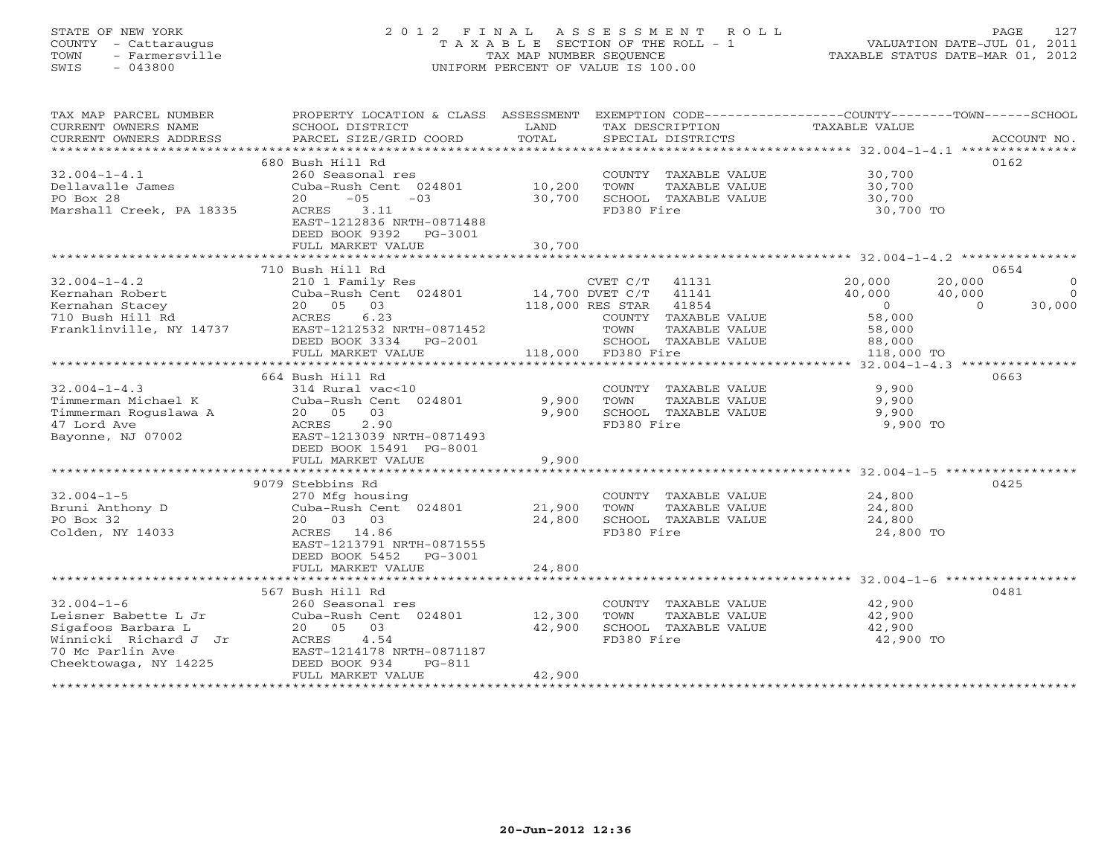# STATE OF NEW YORK 2 0 1 2 F I N A L A S S E S S M E N T R O L L PAGE 127 COUNTY - Cattaraugus T A X A B L E SECTION OF THE ROLL - 1 VALUATION DATE-JUL 01, 2011 TOWN - Farmersville TAX MAP NUMBER SEQUENCE TAXABLE STATUS DATE-MAR 01, 2012 SWIS - 043800 UNIFORM PERCENT OF VALUE IS 100.00UNIFORM PERCENT OF VALUE IS 100.00

| TAX MAP PARCEL NUMBER<br>CURRENT OWNERS NAME<br>CURRENT OWNERS ADDRESS | PROPERTY LOCATION & CLASS ASSESSMENT EXEMPTION CODE---------------COUNTY-------TOWN------SCHOOL<br>SCHOOL DISTRICT<br>PARCEL SIZE/GRID COORD | LAND<br>TOTAL | TAX DESCRIPTION<br>SPECIAL DISTRICTS                      | TAXABLE VALUE                    | ACCOUNT NO.    |
|------------------------------------------------------------------------|----------------------------------------------------------------------------------------------------------------------------------------------|---------------|-----------------------------------------------------------|----------------------------------|----------------|
|                                                                        |                                                                                                                                              |               |                                                           |                                  |                |
| $32.004 - 1 - 4.1$                                                     | 680 Bush Hill Rd<br>260 Seasonal res                                                                                                         |               | COUNTY TAXABLE VALUE 30,700                               |                                  | 0162           |
| Dellavalle James<br>PO Box 28                                          | Cuba-Rush Cent 024801 10,200<br>$20 -05 -03$                                                                                                 | 30,700        | TOWN<br>TAXABLE VALUE<br>TOWN FIRE - SCHOOL TAXABLE VALUE | 30,700<br>30,700                 |                |
| Marshall Creek, PA 18335                                               | ACRES 3.11<br>EAST-1212836 NRTH-0871488<br>DEED BOOK 9392 PG-3001                                                                            |               | FD380 Fire                                                | 30,700 TO                        |                |
|                                                                        | FULL MARKET VALUE                                                                                                                            | 30,700        |                                                           |                                  |                |
|                                                                        |                                                                                                                                              |               |                                                           |                                  |                |
|                                                                        | 710 Bush Hill Rd                                                                                                                             |               |                                                           |                                  | 0654           |
| $32.004 - 1 - 4.2$                                                     | 210 1 Family Res                                                                                                                             |               | CVET C/T 41131 20,000                                     | 20,000                           | $\overline{0}$ |
|                                                                        | Cuba-Rush Cent 024801 14,700 DVET C/T 41141<br>20 05 03 118,000 RES STAR 41854                                                               |               |                                                           | 40,000<br>40,000                 | $\overline{0}$ |
|                                                                        |                                                                                                                                              |               |                                                           | $\overline{0}$<br>$\overline{a}$ | 30,000         |
|                                                                        |                                                                                                                                              |               | COUNTY TAXABLE VALUE                                      | $58,000$<br>$58,000$             |                |
|                                                                        |                                                                                                                                              |               | TOWN<br>TAXABLE VALUE                                     |                                  |                |
|                                                                        | DEED BOOK 3334 PG-2001                                                                                                                       |               | SCHOOL TAY<br>118,000 FD380 Fire<br>SCHOOL TAXABLE VALUE  | 88,000                           |                |
|                                                                        | FULL MARKET VALUE                                                                                                                            |               |                                                           | 118,000 TO                       |                |
|                                                                        |                                                                                                                                              |               |                                                           |                                  |                |
|                                                                        | 664 Bush Hill Rd                                                                                                                             |               |                                                           |                                  | 0663           |
| $32.004 - 1 - 4.3$                                                     | 314 Rural vac<10                                                                                                                             |               | COUNTY TAXABLE VALUE                                      | 9,900                            |                |
| 32.004-1-4.<br>Timmerman Michael K<br>Timmerman Roguslawa A            | Cuba-Rush Cent 024801                                                                                                                        | 9,900         | TOWN<br>TAXABLE VALUE                                     | 9,900                            |                |
|                                                                        | 20  05  03                                                                                                                                   | 9,900         | SCHOOL TAXABLE VALUE                                      | 9,900                            |                |
|                                                                        | 2.90<br>ACRES                                                                                                                                |               | FD380 Fire                                                | 9,900 TO                         |                |
| Bayonne, NJ 07002 EAST-1213039 NRTH-0871493                            |                                                                                                                                              |               |                                                           |                                  |                |
|                                                                        | DEED BOOK 15491 PG-8001                                                                                                                      |               |                                                           |                                  |                |
|                                                                        | FULL MARKET VALUE                                                                                                                            | 9,900         |                                                           |                                  |                |
|                                                                        |                                                                                                                                              |               |                                                           |                                  |                |
|                                                                        | 9079 Stebbins Rd                                                                                                                             |               |                                                           |                                  | 0425           |
| $32.004 - 1 - 5$                                                       | 270 Mfg housing<br>Cuba-Rush Cent 024801 21,900                                                                                              |               | COUNTY TAXABLE VALUE                                      | 24,800                           |                |
| Bruni Anthony D                                                        |                                                                                                                                              |               | TOWN<br>TAXABLE VALUE                                     | 24,800                           |                |
| PO Box 32                                                              | 20 03 03                                                                                                                                     | 24,800        | SCHOOL TAXABLE VALUE                                      | 24,800                           |                |
| Colden, NY 14033                                                       | ACRES 14.86<br>EAST-1213791 NRTH-0871555                                                                                                     |               | FD380 Fire                                                | 24,800 TO                        |                |
|                                                                        | DEED BOOK 5452<br>PG-3001                                                                                                                    |               |                                                           |                                  |                |
|                                                                        | FULL MARKET VALUE                                                                                                                            | 24,800        |                                                           |                                  |                |
|                                                                        |                                                                                                                                              |               |                                                           |                                  |                |
|                                                                        | 567 Bush Hill Rd                                                                                                                             |               |                                                           |                                  | 0481           |
| $32.004 - 1 - 6$                                                       | 260 Seasonal res                                                                                                                             |               | COUNTY TAXABLE VALUE                                      | 42,900                           |                |
|                                                                        |                                                                                                                                              |               | TAXABLE VALUE<br>TOWN                                     | 42,900                           |                |
|                                                                        | 20  05  03                                                                                                                                   | 42,900        | SCHOOL TAXABLE VALUE                                      | 42,900                           |                |
|                                                                        | 4.54                                                                                                                                         |               | FD380 Fire                                                | 42,900 TO                        |                |
| 70 Mc Parlin Ave                                                       | EAST-1214178 NRTH-0871187                                                                                                                    |               |                                                           |                                  |                |
| Cheektowaga, NY 14225                                                  | DEED BOOK 934<br>$PG-811$                                                                                                                    |               |                                                           |                                  |                |
|                                                                        | FULL MARKET VALUE                                                                                                                            | 42,900        |                                                           |                                  |                |
|                                                                        |                                                                                                                                              |               |                                                           |                                  |                |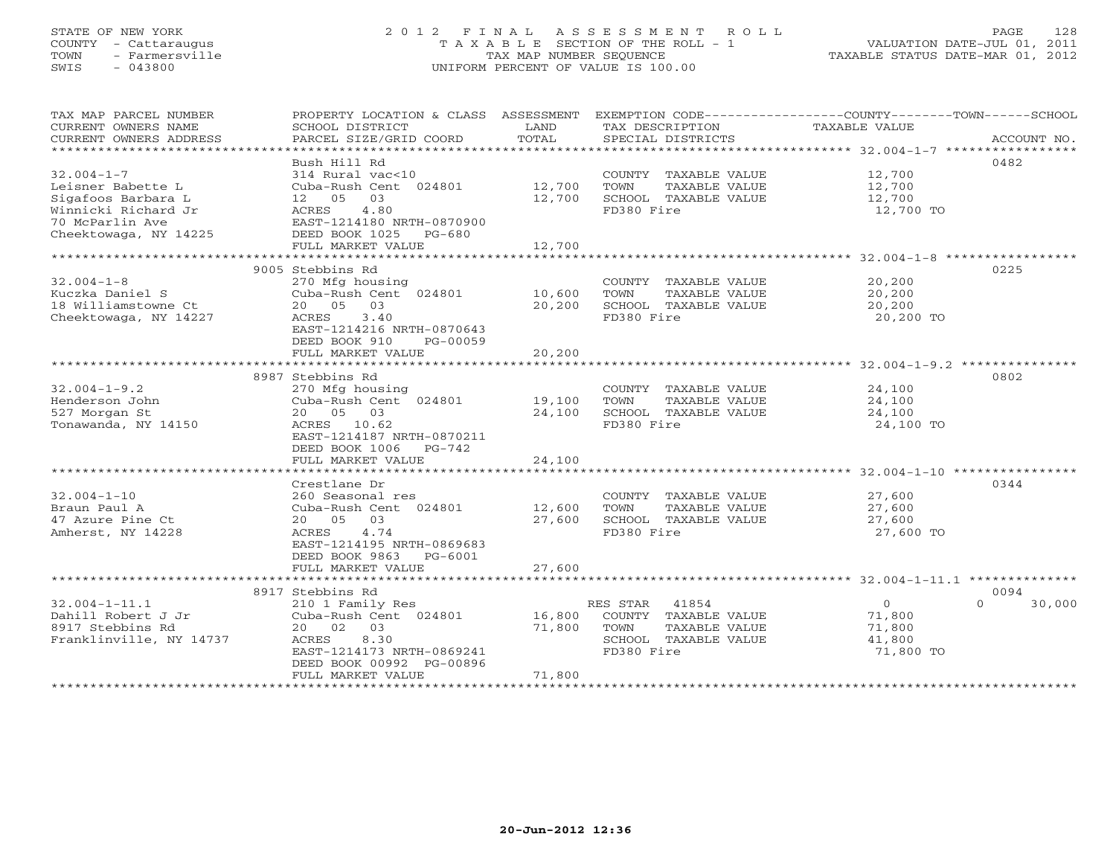# STATE OF NEW YORK 2 0 1 2 F I N A L A S S E S S M E N T R O L L PAGE 128 COUNTY - Cattaraugus T A X A B L E SECTION OF THE ROLL - 1 VALUATION DATE-JUL 01, 2011 TOWN - Farmersville TAX MAP NUMBER SEQUENCE TAXABLE STATUS DATE-MAR 01, 2012 SWIS - 043800 UNIFORM PERCENT OF VALUE IS 100.00UNIFORM PERCENT OF VALUE IS 100.00

| TAX MAP PARCEL NUMBER<br>CURRENT OWNERS NAME<br>CURRENT OWNERS ADDRESS | PROPERTY LOCATION & CLASS ASSESSMENT<br>SCHOOL DISTRICT<br>PARCEL SIZE/GRID COORD | LAND<br>TOTAL | TAX DESCRIPTION<br>SPECIAL DISTRICTS | EXEMPTION CODE-----------------COUNTY-------TOWN------SCHOOL<br>TAXABLE VALUE | ACCOUNT NO. |
|------------------------------------------------------------------------|-----------------------------------------------------------------------------------|---------------|--------------------------------------|-------------------------------------------------------------------------------|-------------|
|                                                                        |                                                                                   |               |                                      |                                                                               |             |
|                                                                        | Bush Hill Rd                                                                      |               |                                      |                                                                               | 0482        |
| $32.004 - 1 - 7$                                                       | 314 Rural vac<10                                                                  |               | COUNTY TAXABLE VALUE                 | 12,700                                                                        |             |
| Leisner Babette L                                                      | Cuba-Rush Cent 024801                                                             | 12,700        | TOWN<br>TAXABLE VALUE                | 12,700                                                                        |             |
| Sigafoos Barbara L                                                     | 12  05  03                                                                        | 12,700        | SCHOOL TAXABLE VALUE                 | 12,700                                                                        |             |
| Winnicki Richard Jr                                                    | 4.80<br>ACRES                                                                     |               | FD380 Fire                           | 12,700 TO                                                                     |             |
| 70 McParlin Ave                                                        | EAST-1214180 NRTH-0870900                                                         |               |                                      |                                                                               |             |
| Cheektowaga, NY 14225                                                  | DEED BOOK 1025 PG-680                                                             |               |                                      |                                                                               |             |
|                                                                        | FULL MARKET VALUE                                                                 | 12,700        |                                      |                                                                               |             |
|                                                                        |                                                                                   |               |                                      |                                                                               |             |
|                                                                        | 9005 Stebbins Rd                                                                  |               |                                      |                                                                               | 0225        |
| $32.004 - 1 - 8$                                                       | 270 Mfg housing                                                                   |               | COUNTY TAXABLE VALUE                 | 20,200                                                                        |             |
| Kuczka Daniel S                                                        | Cuba-Rush Cent 024801 10,600                                                      |               | TOWN<br>TAXABLE VALUE                | 20,200<br>$20, 200$<br>$20, 200$                                              |             |
| 18 Williamstowne Ct                                                    | 20 05<br>03                                                                       | 20,200        | SCHOOL TAXABLE VALUE                 |                                                                               |             |
| Cheektowaga, NY 14227                                                  | ACRES<br>3.40                                                                     |               | FD380 Fire                           | 20,200 TO                                                                     |             |
|                                                                        | EAST-1214216 NRTH-0870643                                                         |               |                                      |                                                                               |             |
|                                                                        | DEED BOOK 910<br>PG-00059                                                         |               |                                      |                                                                               |             |
|                                                                        | FULL MARKET VALUE                                                                 | 20,200        |                                      |                                                                               |             |
|                                                                        | 8987 Stebbins Rd                                                                  |               |                                      |                                                                               | 0802        |
| $32.004 - 1 - 9.2$                                                     | 270 Mfg housing                                                                   |               | COUNTY TAXABLE VALUE                 | 24,100                                                                        |             |
| Henderson John                                                         | Cuba-Rush Cent 024801 19,100                                                      |               | TOWN<br>TAXABLE VALUE                | 24,100                                                                        |             |
| 527 Morgan St                                                          | 20  05  03                                                                        | 24,100        | SCHOOL TAXABLE VALUE                 | 24,100                                                                        |             |
| Tonawanda, NY 14150                                                    | ACRES 10.62                                                                       |               | FD380 Fire                           | 24,100 TO                                                                     |             |
|                                                                        | EAST-1214187 NRTH-0870211                                                         |               |                                      |                                                                               |             |
|                                                                        | DEED BOOK 1006 PG-742                                                             |               |                                      |                                                                               |             |
|                                                                        | FULL MARKET VALUE                                                                 | 24,100        |                                      |                                                                               |             |
|                                                                        |                                                                                   |               |                                      |                                                                               |             |
|                                                                        | Crestlane Dr                                                                      |               |                                      |                                                                               | 0344        |
| $32.004 - 1 - 10$                                                      | 260 Seasonal res                                                                  |               | COUNTY TAXABLE VALUE                 | 27,600                                                                        |             |
| Braun Paul A                                                           | Cuba-Rush Cent 024801                                                             | 12,600        | TOWN<br>TAXABLE VALUE                | 27,600                                                                        |             |
| 47 Azure Pine Ct                                                       | 20 05 03                                                                          | 27,600        | SCHOOL TAXABLE VALUE                 | 27,600                                                                        |             |
| Amherst, NY 14228                                                      | ACRES<br>4.74                                                                     |               | FD380 Fire                           | 27,600 TO                                                                     |             |
|                                                                        | EAST-1214195 NRTH-0869683                                                         |               |                                      |                                                                               |             |
|                                                                        | DEED BOOK 9863 PG-6001                                                            |               |                                      |                                                                               |             |
|                                                                        | FULL MARKET VALUE                                                                 | 27,600        |                                      |                                                                               |             |
|                                                                        |                                                                                   |               |                                      |                                                                               |             |
|                                                                        | 8917 Stebbins Rd                                                                  |               |                                      |                                                                               | 0094        |
| $32.004 - 1 - 11.1$                                                    | 210 1 Family Res                                                                  |               | RES STAR 41854                       | $\overline{O}$<br>$\Omega$                                                    | 30,000      |
| Dahill Robert J Jr                                                     | Cuba-Rush Cent 024801                                                             | 16,800        | COUNTY TAXABLE VALUE                 | 71,800                                                                        |             |
| 8917 Stebbins Rd                                                       | 20 02 03                                                                          | 71,800        | TOWN<br>TAXABLE VALUE                | 71,800                                                                        |             |
| Franklinville, NY 14737                                                | ACRES<br>8.30                                                                     |               | SCHOOL TAXABLE VALUE                 | 41,800                                                                        |             |
|                                                                        | EAST-1214173 NRTH-0869241<br>DEED BOOK 00992 PG-00896                             |               | FD380 Fire                           | 71,800 TO                                                                     |             |
|                                                                        | FULL MARKET VALUE                                                                 | 71,800        |                                      |                                                                               |             |
|                                                                        |                                                                                   |               |                                      |                                                                               |             |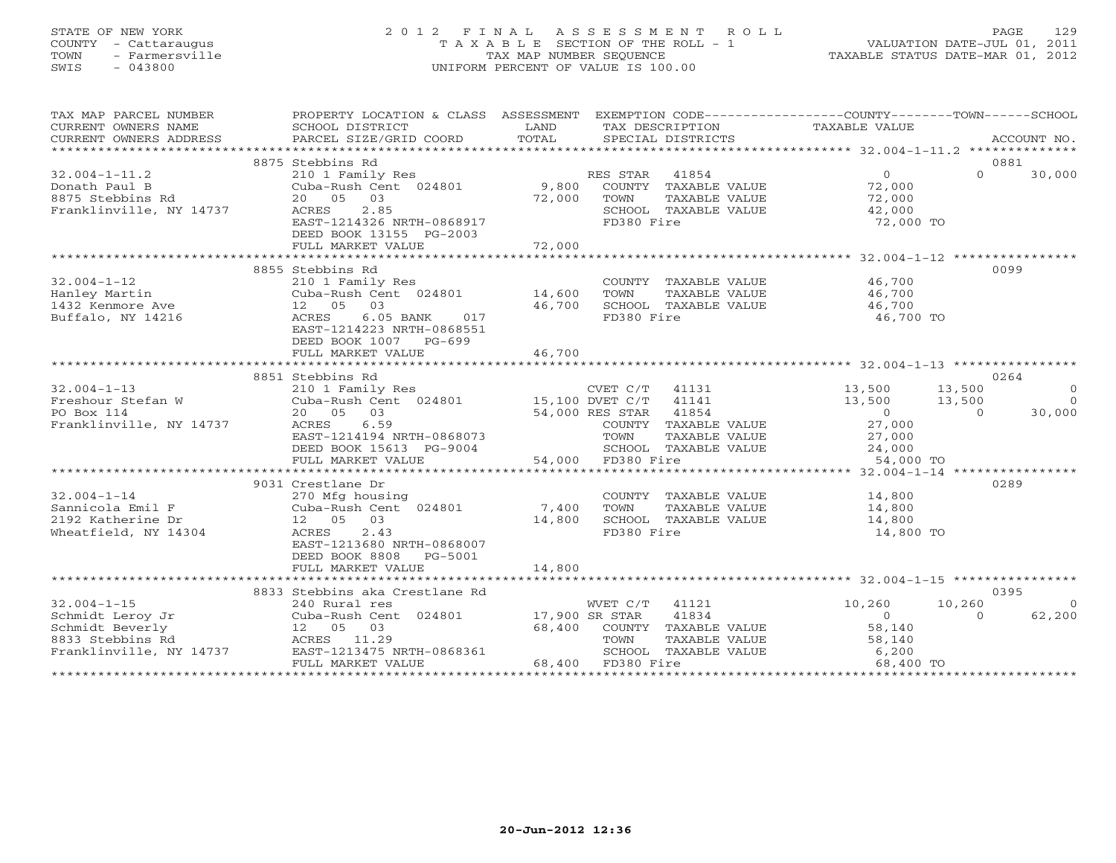# STATE OF NEW YORK 2 0 1 2 F I N A L A S S E S S M E N T R O L L PAGE 129 COUNTY - Cattaraugus T A X A B L E SECTION OF THE ROLL - 1 VALUATION DATE-JUL 01, 2011 TOWN - Farmersville TAX MAP NUMBER SEQUENCE TAXABLE STATUS DATE-MAR 01, 2012 SWIS - 043800 UNIFORM PERCENT OF VALUE IS 100.00

| TAX MAP PARCEL NUMBER                  | PROPERTY LOCATION & CLASS ASSESSMENT EXEMPTION CODE---------------COUNTY-------TOWN------SCHOOL                                                                                                                                                                                                                                                                                                                                                                                                                        |                |                                         |                          |                                            |
|----------------------------------------|------------------------------------------------------------------------------------------------------------------------------------------------------------------------------------------------------------------------------------------------------------------------------------------------------------------------------------------------------------------------------------------------------------------------------------------------------------------------------------------------------------------------|----------------|-----------------------------------------|--------------------------|--------------------------------------------|
| CURRENT OWNERS NAME                    | SCHOOL DISTRICT                                                                                                                                                                                                                                                                                                                                                                                                                                                                                                        | LAND           | TAX DESCRIPTION                         | TAXABLE VALUE            |                                            |
| CURRENT OWNERS ADDRESS                 | $\begin{minipage}{.45\textwidth} \begin{minipage}{.45\textwidth} \begin{minipage}{.45\textwidth} \begin{minipage}{.45\textwidth} \begin{minipage}{.45\textwidth} \begin{minipage}{.45\textwidth} \begin{minipage}{.45\textwidth} \begin{minipage}{.45\textwidth} \begin{minipage}{.45\textwidth} \begin{minipage}{.45\textwidth} \begin{minipage}{.45\textwidth} \begin{minipage}{.45\textwidth} \begin{minipage}{.45\textwidth} \begin{minipage}{.45\textwidth} \begin{minipage}{.45\textwidth} \begin{minipage}{.45$ |                |                                         |                          |                                            |
|                                        |                                                                                                                                                                                                                                                                                                                                                                                                                                                                                                                        |                |                                         |                          |                                            |
|                                        | 8875 Stebbins Rd                                                                                                                                                                                                                                                                                                                                                                                                                                                                                                       |                |                                         |                          | 0881                                       |
| $32.004 - 1 - 11.2$                    | 210 1 Family Res<br>Cuba-Rush Cent 024801 9,800                                                                                                                                                                                                                                                                                                                                                                                                                                                                        |                | RES STAR 41854<br>COUNTY TAXABLE VALUE  | $\overline{0}$<br>72,000 | $\Omega$<br>30,000                         |
| Donath Paul B<br>8875 Stebbins Rd      | 20  05  03                                                                                                                                                                                                                                                                                                                                                                                                                                                                                                             | 72,000         | TOWN<br>TAXABLE VALUE                   | 72,000                   |                                            |
| Franklinville, NY 14737                | ACRES<br>2.85                                                                                                                                                                                                                                                                                                                                                                                                                                                                                                          |                | SCHOOL TAXABLE VALUE                    | 42,000                   |                                            |
|                                        | EAST-1214326 NRTH-0868917                                                                                                                                                                                                                                                                                                                                                                                                                                                                                              |                | FD380 Fire                              | 72,000 TO                |                                            |
|                                        | DEED BOOK 13155 PG-2003                                                                                                                                                                                                                                                                                                                                                                                                                                                                                                |                |                                         |                          |                                            |
|                                        | FULL MARKET VALUE                                                                                                                                                                                                                                                                                                                                                                                                                                                                                                      | 72,000         |                                         |                          |                                            |
|                                        |                                                                                                                                                                                                                                                                                                                                                                                                                                                                                                                        |                |                                         |                          |                                            |
|                                        | 8855 Stebbins Rd                                                                                                                                                                                                                                                                                                                                                                                                                                                                                                       |                |                                         |                          | 0099                                       |
| $32.004 - 1 - 12$                      | 210 1 Family Res                                                                                                                                                                                                                                                                                                                                                                                                                                                                                                       |                | COUNTY TAXABLE VALUE                    | 46,700                   |                                            |
| Hanley Martin                          | Cuba-Rush Cent 024801 14,600                                                                                                                                                                                                                                                                                                                                                                                                                                                                                           |                | TOWN<br>TAXABLE VALUE                   | 46,700                   |                                            |
| 1432 Kenmore Ave                       | 12  05  03                                                                                                                                                                                                                                                                                                                                                                                                                                                                                                             | 46,700         | SCHOOL TAXABLE VALUE                    | 46,700                   |                                            |
| Buffalo, NY 14216                      | $6.05$ BANK<br>017<br>ACRES                                                                                                                                                                                                                                                                                                                                                                                                                                                                                            |                | FD380 Fire                              | 46,700 TO                |                                            |
|                                        | EAST-1214223 NRTH-0868551                                                                                                                                                                                                                                                                                                                                                                                                                                                                                              |                |                                         |                          |                                            |
|                                        | DEED BOOK 1007 PG-699                                                                                                                                                                                                                                                                                                                                                                                                                                                                                                  |                |                                         |                          |                                            |
|                                        | FULL MARKET VALUE                                                                                                                                                                                                                                                                                                                                                                                                                                                                                                      | 46,700         |                                         |                          |                                            |
|                                        |                                                                                                                                                                                                                                                                                                                                                                                                                                                                                                                        |                |                                         |                          |                                            |
|                                        | 8851 Stebbins Rd                                                                                                                                                                                                                                                                                                                                                                                                                                                                                                       |                |                                         |                          | 0264                                       |
| $32.004 - 1 - 13$<br>Freshour Stefan W | 210 1 Family Res<br>$Cuba-Rush Cent$ 024801 15,100 DVET C/T 41141                                                                                                                                                                                                                                                                                                                                                                                                                                                      |                | CVET C/T 41131                          | 13,500<br>13,500         | 13,500<br>$\overline{0}$<br>$\overline{0}$ |
| PO Box 114                             | 20  05  03                                                                                                                                                                                                                                                                                                                                                                                                                                                                                                             |                | 54,000 RES STAR 41854                   | $\overline{0}$           | 13,500<br>30,000<br>$\Omega$               |
| Franklinville, NY 14737                | ACRES 6.59                                                                                                                                                                                                                                                                                                                                                                                                                                                                                                             |                | COUNTY TAXABLE VALUE                    | 27,000                   |                                            |
|                                        | EAST-1214194 NRTH-0868073                                                                                                                                                                                                                                                                                                                                                                                                                                                                                              |                | TOWN                                    | TAXABLE VALUE 27,000     |                                            |
|                                        | DEED BOOK 15613 PG-9004                                                                                                                                                                                                                                                                                                                                                                                                                                                                                                |                | SCHOOL TAXABLE VALUE                    |                          |                                            |
|                                        | FULL MARKET VALUE                                                                                                                                                                                                                                                                                                                                                                                                                                                                                                      |                | 54,000 FD380 Fire                       | 24,000<br>54,000 TO      |                                            |
|                                        |                                                                                                                                                                                                                                                                                                                                                                                                                                                                                                                        |                |                                         |                          |                                            |
|                                        | 9031 Crestlane Dr                                                                                                                                                                                                                                                                                                                                                                                                                                                                                                      |                |                                         |                          | 0289                                       |
| $32.004 - 1 - 14$                      | 270 Mfg housing                                                                                                                                                                                                                                                                                                                                                                                                                                                                                                        |                | COUNTY TAXABLE VALUE                    | 14,800                   |                                            |
| Sannicola Emil F                       | Cuba-Rush Cent 024801                                                                                                                                                                                                                                                                                                                                                                                                                                                                                                  | 7,400          | TOWN<br>TAXABLE VALUE                   | 14,800                   |                                            |
| 2192 Katherine Dr                      | 12  05  03                                                                                                                                                                                                                                                                                                                                                                                                                                                                                                             | 14,800         | SCHOOL TAXABLE VALUE                    | 14,800                   |                                            |
| Wheatfield, NY 14304                   | ACRES<br>2.43                                                                                                                                                                                                                                                                                                                                                                                                                                                                                                          |                | FD380 Fire                              | 14,800 TO                |                                            |
|                                        | EAST-1213680 NRTH-0868007                                                                                                                                                                                                                                                                                                                                                                                                                                                                                              |                |                                         |                          |                                            |
|                                        | DEED BOOK 8808<br>PG-5001                                                                                                                                                                                                                                                                                                                                                                                                                                                                                              |                |                                         |                          |                                            |
|                                        | FULL MARKET VALUE                                                                                                                                                                                                                                                                                                                                                                                                                                                                                                      | 14,800         |                                         |                          |                                            |
|                                        |                                                                                                                                                                                                                                                                                                                                                                                                                                                                                                                        |                |                                         |                          |                                            |
| $32.004 - 1 - 15$                      | 8833 Stebbins aka Crestlane Rd<br>240 Rural res                                                                                                                                                                                                                                                                                                                                                                                                                                                                        |                | WVET C/T<br>41121                       | 10,260                   | 0395<br>10,260<br>$\overline{0}$           |
| Schmidt Leroy Jr                       | Cuba-Rush Cent 024801                                                                                                                                                                                                                                                                                                                                                                                                                                                                                                  | 17,900 SR STAR | 41834                                   | $\overline{0}$           | 62,200<br>$\Omega$                         |
| Schmidt Beverly                        | 12 05 03                                                                                                                                                                                                                                                                                                                                                                                                                                                                                                               | 68,400         | COUNTY TAXABLE VALUE                    | 58,140                   |                                            |
| 8833 Stebbins Rd                       | ACRES 11.29                                                                                                                                                                                                                                                                                                                                                                                                                                                                                                            |                | TOWN<br>TAXABLE VALUE                   |                          |                                            |
| Franklinville, NY 14737                | EAST-1213475 NRTH-0868361                                                                                                                                                                                                                                                                                                                                                                                                                                                                                              |                | TOWN FRAMENCE .<br>SCHOOL TAXABLE VALUE | 58,140<br>6,200          |                                            |
|                                        | FULL MARKET VALUE                                                                                                                                                                                                                                                                                                                                                                                                                                                                                                      |                | 68,400 FD380 Fire                       | 68,400 TO                |                                            |
|                                        |                                                                                                                                                                                                                                                                                                                                                                                                                                                                                                                        |                |                                         |                          |                                            |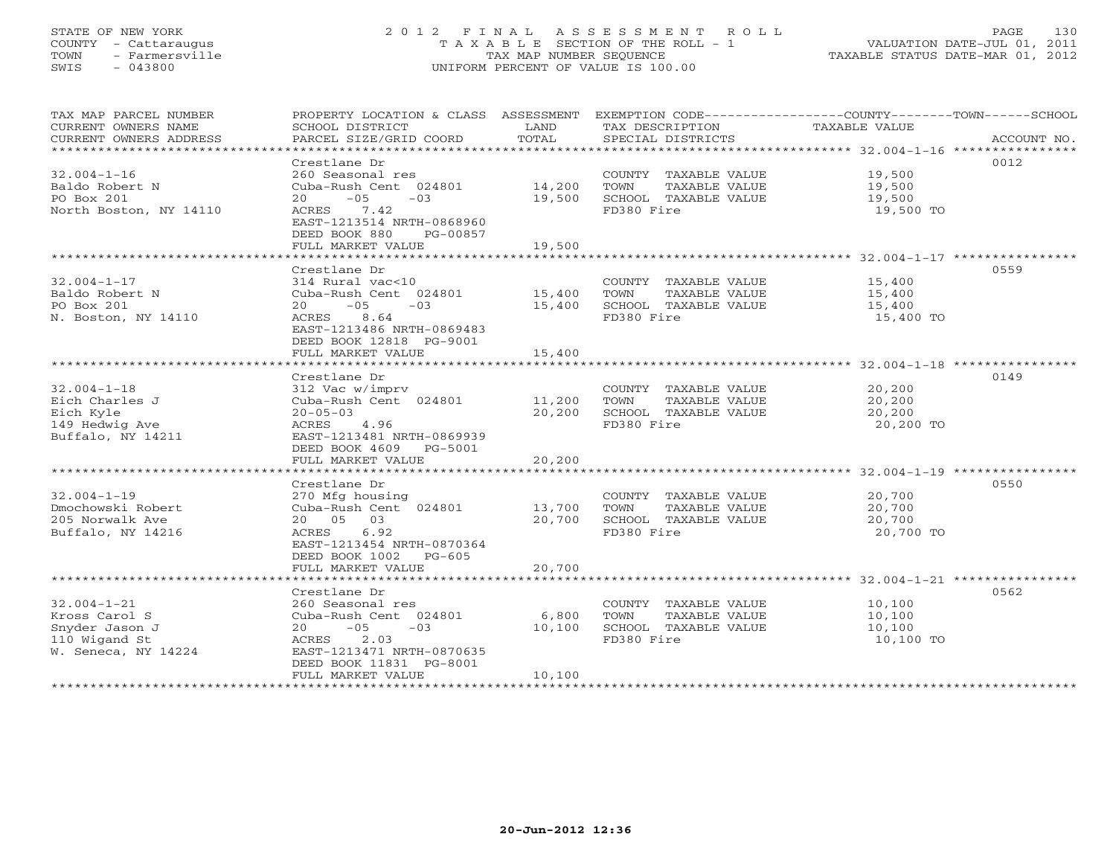#### STATE OF NEW YORK 2 0 1 2 F I N A L A S S E S S M E N T R O L L PAGE 130 COUNTY - Cattaraugus T A X A B L E SECTION OF THE ROLL - 1 VALUATION DATE-JUL 01, 2011 TOWN - Farmersville TAX MAP NUMBER SEQUENCE TAXABLE STATUS DATE-MAR 01, 2012 SWIS - 043800 UNIFORM PERCENT OF VALUE IS 100.00UNIFORM PERCENT OF VALUE IS 100.00

| TAX MAP PARCEL NUMBER<br>CURRENT OWNERS NAME<br>CURRENT OWNERS ADDRESS                       | PROPERTY LOCATION & CLASS ASSESSMENT<br>SCHOOL DISTRICT<br>PARCEL SIZE/GRID COORD                                                                                                 | LAND<br>TOTAL              | TAX DESCRIPTION<br>SPECIAL DISTRICTS                                                | EXEMPTION CODE-----------------COUNTY-------TOWN------SCHOOL<br>TAXABLE VALUE<br>ACCOUNT NO. |
|----------------------------------------------------------------------------------------------|-----------------------------------------------------------------------------------------------------------------------------------------------------------------------------------|----------------------------|-------------------------------------------------------------------------------------|----------------------------------------------------------------------------------------------|
| $32.004 - 1 - 16$<br>Baldo Robert N<br>PO Box 201<br>North Boston, NY 14110                  | Crestlane Dr<br>260 Seasonal res<br>Cuba-Rush Cent 024801<br>$-05$<br>$-03$<br>20<br>7.42<br>ACRES<br>EAST-1213514 NRTH-0868960<br>DEED BOOK 880<br>PG-00857<br>FULL MARKET VALUE | 14,200<br>19,500<br>19,500 | COUNTY TAXABLE VALUE<br>TAXABLE VALUE<br>TOWN<br>SCHOOL TAXABLE VALUE<br>FD380 Fire | 0012<br>19,500<br>19,500<br>19,500<br>19,500 TO                                              |
|                                                                                              | Crestlane Dr                                                                                                                                                                      |                            |                                                                                     | 0559                                                                                         |
| $32.004 - 1 - 17$<br>Baldo Robert N<br>PO Box 201<br>N. Boston, NY 14110                     | 314 Rural vac<10<br>Cuba-Rush Cent 024801<br>$-05$<br>$-03$<br>20<br>ACRES<br>8.64<br>EAST-1213486 NRTH-0869483<br>DEED BOOK 12818 PG-9001<br>FULL MARKET VALUE                   | 15,400<br>15,400<br>15,400 | COUNTY TAXABLE VALUE<br>TOWN<br>TAXABLE VALUE<br>SCHOOL TAXABLE VALUE<br>FD380 Fire | 15,400<br>15,400<br>15,400<br>15,400 TO                                                      |
|                                                                                              | **************************                                                                                                                                                        | ************               |                                                                                     | ****************************** 32.004-1-18 ****************                                  |
| $32.004 - 1 - 18$<br>Eich Charles J<br>Eich Kyle<br>149 Hedwig Ave<br>Buffalo, NY 14211      | Crestlane Dr<br>312 Vac w/imprv<br>Cuba-Rush Cent 024801<br>$20 - 05 - 03$<br>4.96<br>ACRES<br>EAST-1213481 NRTH-0869939<br>DEED BOOK 4609 PG-5001                                | 11,200<br>20,200           | COUNTY TAXABLE VALUE<br>TOWN<br>TAXABLE VALUE<br>SCHOOL TAXABLE VALUE<br>FD380 Fire | 0149<br>20,200<br>20,200<br>20,200<br>20,200 TO                                              |
|                                                                                              | FULL MARKET VALUE                                                                                                                                                                 | 20,200                     |                                                                                     |                                                                                              |
|                                                                                              |                                                                                                                                                                                   |                            |                                                                                     |                                                                                              |
| $32.004 - 1 - 19$<br>Dmochowski Robert<br>205 Norwalk Ave<br>Buffalo, NY 14216               | Crestlane Dr<br>270 Mfg housing<br>Cuba-Rush Cent 024801<br>20  05  03<br>ACRES<br>6.92<br>EAST-1213454 NRTH-0870364<br>DEED BOOK 1002<br>PG-605                                  | 13,700<br>20,700<br>20,700 | COUNTY TAXABLE VALUE<br>TOWN<br>TAXABLE VALUE<br>SCHOOL TAXABLE VALUE<br>FD380 Fire | 0550<br>20,700<br>20,700<br>20,700<br>20,700 TO                                              |
|                                                                                              | FULL MARKET VALUE                                                                                                                                                                 |                            |                                                                                     |                                                                                              |
| $32.004 - 1 - 21$<br>Kross Carol S<br>Snyder Jason J<br>110 Wigand St<br>W. Seneca, NY 14224 | Crestlane Dr<br>260 Seasonal res<br>Cuba-Rush Cent 024801<br>$-05$<br>$-03$<br>20<br>2.03<br>ACRES<br>EAST-1213471 NRTH-0870635<br>DEED BOOK 11831 PG-8001<br>FULL MARKET VALUE   | 6,800<br>10,100<br>10,100  | COUNTY TAXABLE VALUE<br>TOWN<br>TAXABLE VALUE<br>SCHOOL TAXABLE VALUE<br>FD380 Fire | 0562<br>10,100<br>10,100<br>10,100<br>10,100 TO                                              |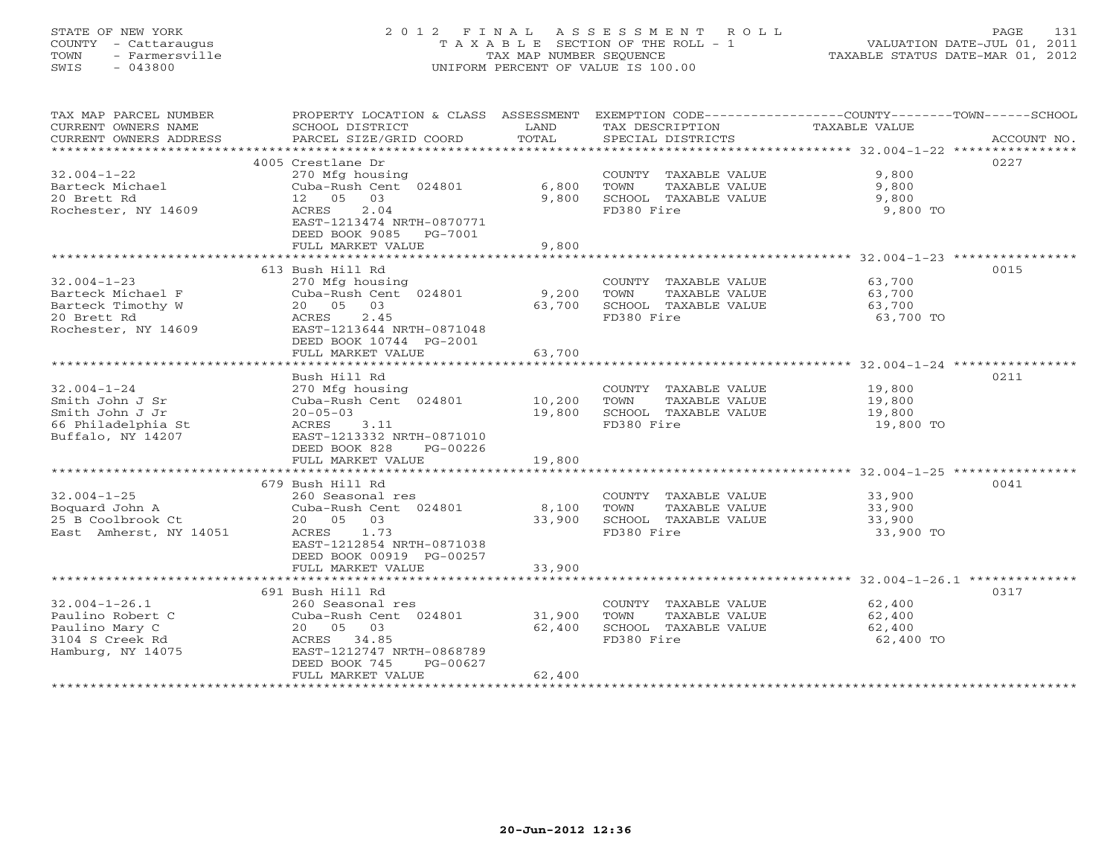# STATE OF NEW YORK 2 0 1 2 F I N A L A S S E S S M E N T R O L L PAGE 131 COUNTY - Cattaraugus T A X A B L E SECTION OF THE ROLL - 1 VALUATION DATE-JUL 01, 2011 TOWN - Farmersville TAX MAP NUMBER SEQUENCE TAXABLE STATUS DATE-MAR 01, 2012 SWIS - 043800 UNIFORM PERCENT OF VALUE IS 100.00UNIFORM PERCENT OF VALUE IS 100.00

| TAX MAP PARCEL NUMBER<br>CURRENT OWNERS NAME<br>CURRENT OWNERS ADDRESS | PROPERTY LOCATION & CLASS ASSESSMENT<br>SCHOOL DISTRICT<br>PARCEL SIZE/GRID COORD | LAND<br>TOTAL   | TAX DESCRIPTION<br>SPECIAL DISTRICTS                        | EXEMPTION CODE----------------COUNTY-------TOWN-----SCHOOL<br>TAXABLE VALUE<br>ACCOUNT NO. |  |
|------------------------------------------------------------------------|-----------------------------------------------------------------------------------|-----------------|-------------------------------------------------------------|--------------------------------------------------------------------------------------------|--|
|                                                                        |                                                                                   |                 |                                                             |                                                                                            |  |
| $32.004 - 1 - 22$                                                      | 4005 Crestlane Dr<br>270 Mfg housing                                              |                 | COUNTY TAXABLE VALUE                                        | 0227<br>9,800                                                                              |  |
| Barteck Michael<br>20 Brett Rd<br>Rochester, NY 14609                  | Cuba-Rush Cent 024801<br>12  05  03<br>ACRES<br>2.04                              | 6,800<br>9,800  | TOWN<br>TAXABLE VALUE<br>SCHOOL TAXABLE VALUE<br>FD380 Fire | 9,800<br>9,800<br>9,800 TO                                                                 |  |
|                                                                        | EAST-1213474 NRTH-0870771<br>DEED BOOK 9085<br>PG-7001<br>FULL MARKET VALUE       |                 |                                                             |                                                                                            |  |
|                                                                        |                                                                                   | 9,800           |                                                             |                                                                                            |  |
|                                                                        | 613 Bush Hill Rd                                                                  |                 |                                                             | 0015                                                                                       |  |
| $32.004 - 1 - 23$                                                      | 270 Mfg housing                                                                   |                 | COUNTY TAXABLE VALUE                                        | 63,700                                                                                     |  |
| Barteck Michael F                                                      | Cuba-Rush Cent 024801                                                             | 9,200           | TOWN<br>TAXABLE VALUE                                       | 63,700                                                                                     |  |
| Barteck Timothy W                                                      | 20 05<br>03                                                                       | 63,700          | SCHOOL TAXABLE VALUE                                        | 63,700                                                                                     |  |
| 20 Brett Rd<br>Rochester, NY 14609                                     | ACRES<br>2.45<br>EAST-1213644 NRTH-0871048<br>DEED BOOK 10744 PG-2001             |                 | FD380 Fire                                                  | 63,700 TO                                                                                  |  |
|                                                                        | FULL MARKET VALUE                                                                 | 63,700          |                                                             |                                                                                            |  |
|                                                                        | Bush Hill Rd                                                                      |                 |                                                             | 0211                                                                                       |  |
| $32.004 - 1 - 24$                                                      | 270 Mfg housing                                                                   |                 | COUNTY TAXABLE VALUE                                        | 19,800                                                                                     |  |
| Smith John J Sr                                                        | Cuba-Rush Cent 024801                                                             | 10,200          | TOWN<br>TAXABLE VALUE                                       | 19,800                                                                                     |  |
| Smith John J Jr                                                        | $20 - 05 - 03$                                                                    | 19,800          | SCHOOL TAXABLE VALUE                                        | 19,800                                                                                     |  |
| 66 Philadelphia St                                                     | ACRES 3.11                                                                        |                 | FD380 Fire                                                  | 19,800 TO                                                                                  |  |
| Buffalo, NY 14207                                                      | EAST-1213332 NRTH-0871010                                                         |                 |                                                             |                                                                                            |  |
|                                                                        | DEED BOOK 828<br>PG-00226                                                         |                 |                                                             |                                                                                            |  |
|                                                                        | FULL MARKET VALUE                                                                 | 19,800          |                                                             |                                                                                            |  |
|                                                                        |                                                                                   |                 |                                                             |                                                                                            |  |
|                                                                        | 679 Bush Hill Rd                                                                  |                 |                                                             | 0041                                                                                       |  |
| $32.004 - 1 - 25$                                                      | 260 Seasonal res                                                                  |                 | COUNTY TAXABLE VALUE                                        | 33,900                                                                                     |  |
| Boquard John A<br>25 B Coolbrook Ct                                    | Cuba-Rush Cent 024801<br>20 05 03                                                 | 8,100<br>33,900 | TOWN<br>TAXABLE VALUE<br>SCHOOL TAXABLE VALUE               | 33,900<br>33,900                                                                           |  |
| East Amherst, NY 14051                                                 | ACRES 1.73                                                                        |                 | FD380 Fire                                                  | 33,900 TO                                                                                  |  |
|                                                                        | EAST-1212854 NRTH-0871038<br>DEED BOOK 00919 PG-00257                             |                 |                                                             |                                                                                            |  |
|                                                                        | FULL MARKET VALUE                                                                 | 33,900          |                                                             |                                                                                            |  |
|                                                                        |                                                                                   |                 |                                                             |                                                                                            |  |
|                                                                        | 691 Bush Hill Rd                                                                  |                 |                                                             | 0317                                                                                       |  |
| $32.004 - 1 - 26.1$                                                    | 260 Seasonal res                                                                  |                 | COUNTY TAXABLE VALUE                                        | 62,400                                                                                     |  |
| Paulino Robert C                                                       | Cuba-Rush Cent 024801                                                             | 31,900          | TOWN<br>TAXABLE VALUE                                       | 62,400                                                                                     |  |
| Paulino Mary C                                                         | 20  05  03                                                                        | 62,400          | SCHOOL TAXABLE VALUE<br>FD380 Fire                          | 62,400                                                                                     |  |
| 3104 S Creek Rd<br>Hamburg, NY 14075                                   | ACRES 34.85<br>EAST-1212747 NRTH-0868789                                          |                 |                                                             | 62,400 TO                                                                                  |  |
|                                                                        | DEED BOOK 745<br>PG-00627                                                         |                 |                                                             |                                                                                            |  |
|                                                                        | FULL MARKET VALUE                                                                 | 62,400          |                                                             |                                                                                            |  |
| **************************                                             | *************************                                                         |                 |                                                             |                                                                                            |  |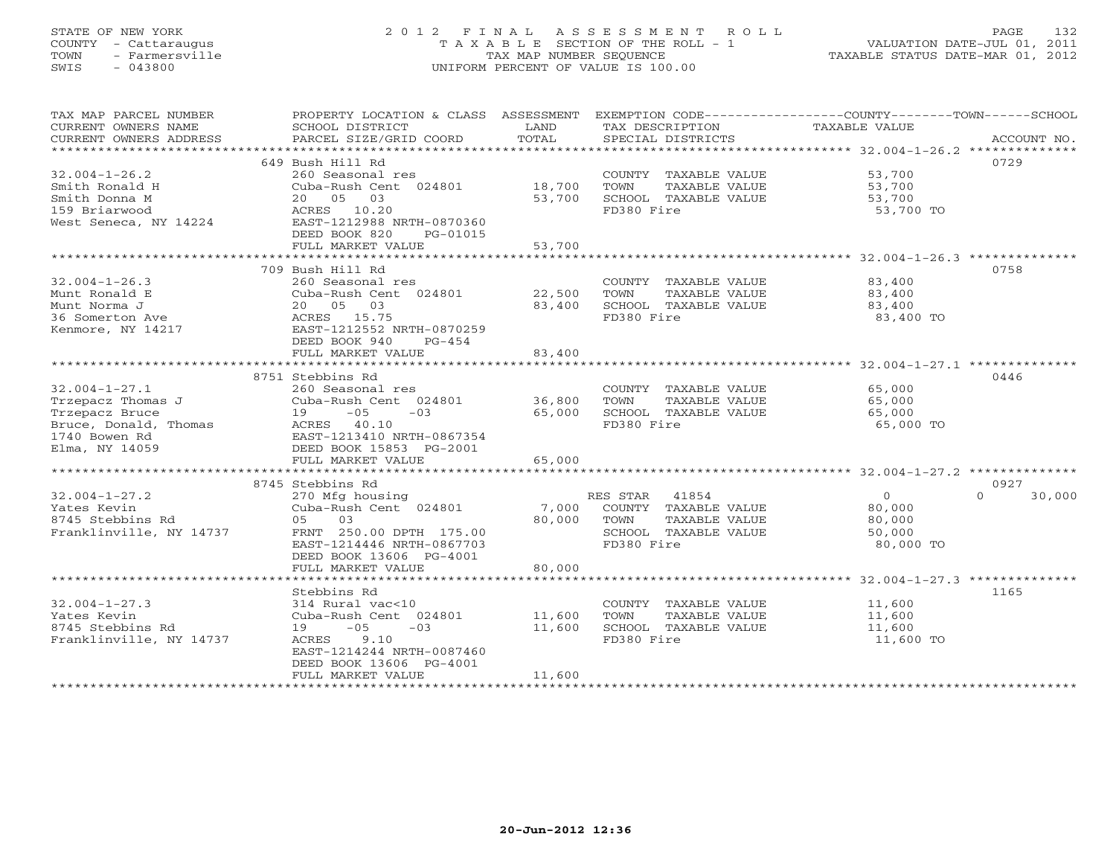# STATE OF NEW YORK 2 0 1 2 F I N A L A S S E S S M E N T R O L L PAGE 132 COUNTY - Cattaraugus T A X A B L E SECTION OF THE ROLL - 1 VALUATION DATE-JUL 01, 2011 TOWN - Farmersville TAX MAP NUMBER SEQUENCE TAXABLE STATUS DATE-MAR 01, 2012 SWIS - 043800 UNIFORM PERCENT OF VALUE IS 100.00UNIFORM PERCENT OF VALUE IS 100.00

| TAX MAP PARCEL NUMBER<br>CURRENT OWNERS NAME<br>CURRENT OWNERS ADDRESS                                                 | SCHOOL DISTRICT<br>PARCEL SIZE/GRID COORD                                                                                                                                                                    | LAND<br>TOTAL              | TAX DESCRIPTION<br>SPECIAL DISTRICTS                                                                  | PROPERTY LOCATION & CLASS ASSESSMENT EXEMPTION CODE---------------COUNTY-------TOWN------SCHOOL<br>TAXABLE VALUE<br>ACCOUNT NO. |
|------------------------------------------------------------------------------------------------------------------------|--------------------------------------------------------------------------------------------------------------------------------------------------------------------------------------------------------------|----------------------------|-------------------------------------------------------------------------------------------------------|---------------------------------------------------------------------------------------------------------------------------------|
| $32.004 - 1 - 26.2$<br>Smith Ronald H<br>Smith Donna M<br>159 Briarwood<br>West Seneca, NY 14224                       | 649 Bush Hill Rd<br>260 Seasonal res<br>Cuba-Rush Cent 024801<br>20  05  03<br>ACRES 10.20<br>EAST-1212988 NRTH-0870360<br>DEED BOOK 820<br>PG-01015<br>FULL MARKET VALUE                                    | 18,700<br>53,700<br>53,700 | COUNTY TAXABLE VALUE<br>TOWN<br>TAXABLE VALUE<br>SCHOOL TAXABLE VALUE<br>FD380 Fire                   | 0729<br>53,700<br>53,700<br>53,700<br>53,700 TO                                                                                 |
|                                                                                                                        |                                                                                                                                                                                                              |                            |                                                                                                       |                                                                                                                                 |
| $32.004 - 1 - 26.3$<br>Munt Ronald E<br>Munt Norma J<br>36 Somerton Ave<br>Kenmore, NY 14217                           | 709 Bush Hill Rd<br>260 Seasonal res<br>Cuba-Rush Cent 024801<br>20  05  03<br>ACRES 15.75<br>EAST-1212552 NRTH-0870259<br>DEED BOOK 940<br>$PG-454$<br>FULL MARKET VALUE                                    | 22,500<br>83,400<br>83,400 | COUNTY TAXABLE VALUE<br>TOWN<br>TAXABLE VALUE<br>SCHOOL TAXABLE VALUE<br>FD380 Fire                   | 0758<br>83,400<br>83,400<br>83,400<br>83,400 TO                                                                                 |
|                                                                                                                        | *******************************                                                                                                                                                                              | ***********                |                                                                                                       | ****************************** 32.004-1-27.1 **************                                                                     |
| $32.004 - 1 - 27.1$<br>Trzepacz Thomas J<br>Trzepacz Bruce<br>Bruce, Donald, Thomas<br>1740 Bowen Rd<br>Elma, NY 14059 | 8751 Stebbins Rd<br>260 Seasonal res<br>Cuba-Rush Cent 024801<br>$-05$<br>19<br>$-03$<br>ACRES 40.10<br>EAST-1213410 NRTH-0867354<br>DEED BOOK 15853 PG-2001                                                 | 36,800<br>65,000           | COUNTY TAXABLE VALUE<br>TOWN<br>TAXABLE VALUE<br>SCHOOL TAXABLE VALUE<br>FD380 Fire                   | 0446<br>65,000<br>65,000<br>65,000<br>65,000 TO                                                                                 |
|                                                                                                                        | FULL MARKET VALUE                                                                                                                                                                                            | 65,000                     |                                                                                                       |                                                                                                                                 |
|                                                                                                                        | 8745 Stebbins Rd                                                                                                                                                                                             |                            |                                                                                                       | 0927                                                                                                                            |
| $32.004 - 1 - 27.2$<br>Yates Kevin<br>8745 Stebbins Rd<br>Franklinville, NY 14737                                      | 270 Mfg housing<br>Cuba-Rush Cent 024801<br>03<br>05<br>FRNT 250.00 DPTH 175.00<br>EAST-1214446 NRTH-0867703<br>DEED BOOK 13606 PG-4001                                                                      | 7,000<br>80,000            | RES STAR 41854<br>COUNTY TAXABLE VALUE<br>TOWN<br>TAXABLE VALUE<br>SCHOOL TAXABLE VALUE<br>FD380 Fire | $\circ$<br>$\Omega$<br>30,000<br>80,000<br>80,000<br>50,000<br>80,000 TO                                                        |
|                                                                                                                        | FULL MARKET VALUE                                                                                                                                                                                            | 80,000                     |                                                                                                       |                                                                                                                                 |
| $32.004 - 1 - 27.3$<br>Yates Kevin<br>8745 Stebbins Rd<br>Franklinville, NY 14737                                      | Stebbins Rd<br>314 Rural vac<10<br>Cuba-Rush Cent 024801<br>19<br>$-05$<br>$-03$<br>ACRES<br>9.10<br>EAST-1214244 NRTH-0087460<br>DEED BOOK 13606 PG-4001<br>FULL MARKET VALUE<br>************************** | 11,600<br>11,600<br>11,600 | COUNTY TAXABLE VALUE<br>TOWN<br>TAXABLE VALUE<br>SCHOOL TAXABLE VALUE<br>FD380 Fire                   | 1165<br>11,600<br>11,600<br>11,600<br>11,600 TO                                                                                 |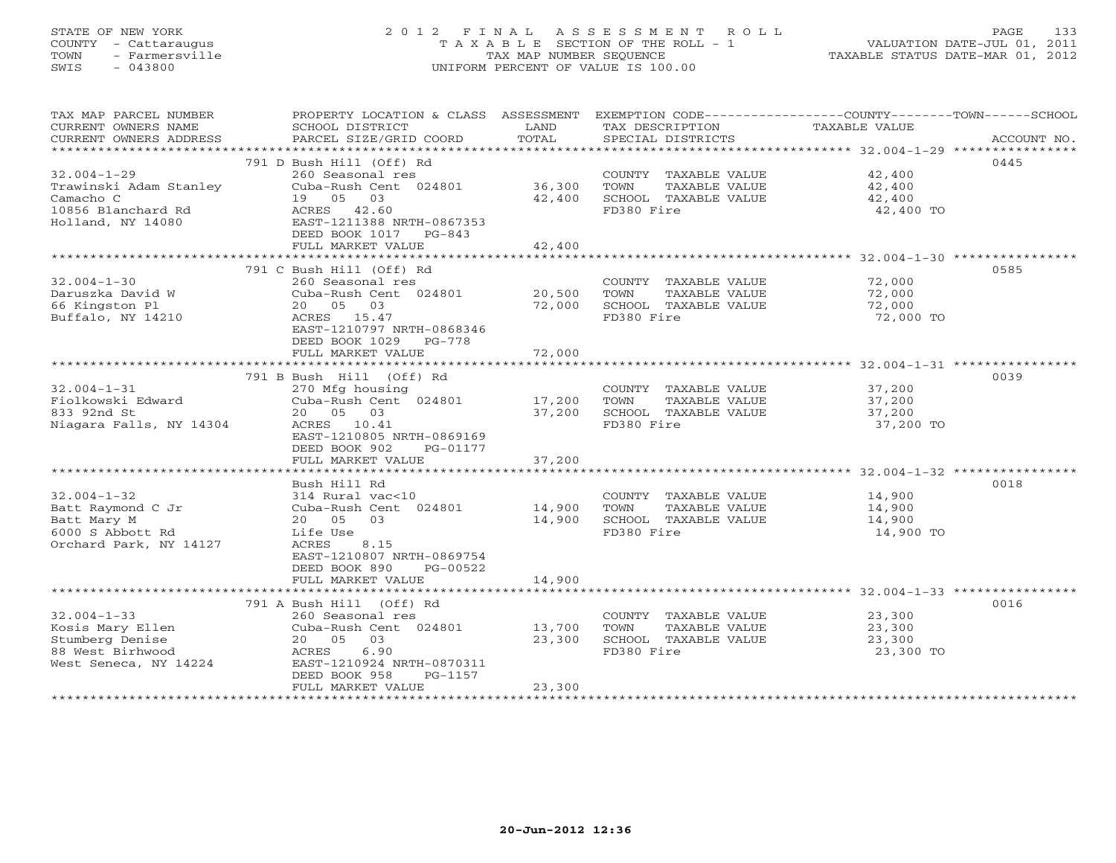# STATE OF NEW YORK 2 0 1 2 F I N A L A S S E S S M E N T R O L L PAGE 133 COUNTY - Cattaraugus T A X A B L E SECTION OF THE ROLL - 1 VALUATION DATE-JUL 01, 2011 TOWN - Farmersville TAX MAP NUMBER SEQUENCE TAXABLE STATUS DATE-MAR 01, 2012 SWIS - 043800 UNIFORM PERCENT OF VALUE IS 100.00UNIFORM PERCENT OF VALUE IS 100.00

| 791 D Bush Hill (Off) Rd<br>0445<br>COUNTY TAXABLE VALUE 42,400<br>$32.004 - 1 - 29$<br>260 Seasonal res<br>Cuba-Rush Cent 024801 36,300<br>TAXABLE VALUE 42,400<br>TAXABLE VALUE 42,400<br>Trawinski Adam Stanley<br>TOWN<br>Camacho C<br>19  05  03<br>42,400<br>SCHOOL TAXABLE VALUE<br>10856 Blanchard Rd<br>FD380 Fire<br>ACRES 42.60<br>42,400 TO<br>Holland, NY 14080<br>EAST-1211388 NRTH-0867353<br>DEED BOOK 1017 PG-843<br>42,400<br>FULL MARKET VALUE<br>791 C Bush Hill (Off) Rd<br>0585<br>$32.004 - 1 - 30$<br>72,000<br>260 Seasonal res<br>COUNTY TAXABLE VALUE<br>Daruszka David W<br>Cuba-Rush Cent 024801<br>20,500<br>TOWN<br>TAXABLE VALUE<br>72,000<br>72,000<br>66 Kingston Pl<br>20 05 03<br>72,000<br>SCHOOL TAXABLE VALUE<br>FD380 Fire<br>Buffalo, NY 14210<br>ACRES 15.47<br>72,000 TO<br>EAST-1210797 NRTH-0868346<br>DEED BOOK 1029 PG-778<br>72,000<br>FULL MARKET VALUE<br>0039<br>791 B Bush Hill (Off) Rd<br>$32.004 - 1 - 31$<br>270 Mfg housing<br>COUNTY TAXABLE VALUE<br>37,200<br>Fiolkowski Edward<br>Cuba-Rush Cent 024801<br>17,200<br>TOWN<br>TAXABLE VALUE<br>37,200<br>833 92nd St<br>20 05 03<br>37,200<br>SCHOOL TAXABLE VALUE<br>37,200<br>Niagara Falls, NY 14304<br>ACRES 10.41<br>FD380 Fire<br>37,200 TO<br>EAST-1210805 NRTH-0869169<br>DEED BOOK 902<br>PG-01177<br>FULL MARKET VALUE<br>37,200<br>*********************************** 32.004-1-32 ****<br>0018<br>Bush Hill Rd<br>$32.004 - 1 - 32$<br>14,900<br>314 Rural vac<10<br>COUNTY TAXABLE VALUE<br>Batt Raymond C Jr<br>Cuba-Rush Cent 024801<br>14,900<br>TOWN<br>TAXABLE VALUE<br>14,900<br>20  05  03<br>14,900<br>SCHOOL TAXABLE VALUE<br>Batt Mary M<br>14,900<br>FD380 Fire<br>6000 S Abbott Rd<br>Life Use<br>14,900 TO<br>Orchard Park, NY 14127<br>ACRES<br>8.15<br>EAST-1210807 NRTH-0869754<br>DEED BOOK 890<br>PG-00522<br>FULL MARKET VALUE<br>14,900<br>791 A Bush Hill (Off) Rd<br>0016<br>$32.004 - 1 - 33$<br>23,300<br>260 Seasonal res<br>COUNTY TAXABLE VALUE<br>Cuba-Rush Cent 024801 13,700<br>23,300<br>Kosis Mary Ellen<br>TOWN<br>TAXABLE VALUE<br>23,300<br>SCHOOL TAXABLE VALUE<br>23,300<br>Stumberg Denise<br>20  05  03<br>88 West Birhwood<br>ACRES<br>6.90<br>FD380 Fire<br>23,300 TO<br>West Seneca, NY 14224<br>EAST-1210924 NRTH-0870311<br>DEED BOOK 958<br>PG-1157<br>FULL MARKET VALUE<br>23,300 | TAX MAP PARCEL NUMBER<br>CURRENT OWNERS NAME<br>CURRENT OWNERS ADDRESS | PROPERTY LOCATION & CLASS ASSESSMENT<br>SCHOOL DISTRICT<br>PARCEL SIZE/GRID COORD | LAND<br>TOTAL | EXEMPTION CODE-----------------COUNTY-------TOWN------SCHOOL<br>TAX DESCRIPTION<br>SPECIAL DISTRICTS | TAXABLE VALUE | ACCOUNT NO. |
|----------------------------------------------------------------------------------------------------------------------------------------------------------------------------------------------------------------------------------------------------------------------------------------------------------------------------------------------------------------------------------------------------------------------------------------------------------------------------------------------------------------------------------------------------------------------------------------------------------------------------------------------------------------------------------------------------------------------------------------------------------------------------------------------------------------------------------------------------------------------------------------------------------------------------------------------------------------------------------------------------------------------------------------------------------------------------------------------------------------------------------------------------------------------------------------------------------------------------------------------------------------------------------------------------------------------------------------------------------------------------------------------------------------------------------------------------------------------------------------------------------------------------------------------------------------------------------------------------------------------------------------------------------------------------------------------------------------------------------------------------------------------------------------------------------------------------------------------------------------------------------------------------------------------------------------------------------------------------------------------------------------------------------------------------------------------------------------------------------------------------------------------------------------------------------------------------------------------------------------------------------------------------------------------------------------------------------------------------------|------------------------------------------------------------------------|-----------------------------------------------------------------------------------|---------------|------------------------------------------------------------------------------------------------------|---------------|-------------|
|                                                                                                                                                                                                                                                                                                                                                                                                                                                                                                                                                                                                                                                                                                                                                                                                                                                                                                                                                                                                                                                                                                                                                                                                                                                                                                                                                                                                                                                                                                                                                                                                                                                                                                                                                                                                                                                                                                                                                                                                                                                                                                                                                                                                                                                                                                                                                          |                                                                        |                                                                                   |               |                                                                                                      |               |             |
|                                                                                                                                                                                                                                                                                                                                                                                                                                                                                                                                                                                                                                                                                                                                                                                                                                                                                                                                                                                                                                                                                                                                                                                                                                                                                                                                                                                                                                                                                                                                                                                                                                                                                                                                                                                                                                                                                                                                                                                                                                                                                                                                                                                                                                                                                                                                                          |                                                                        |                                                                                   |               |                                                                                                      |               |             |
|                                                                                                                                                                                                                                                                                                                                                                                                                                                                                                                                                                                                                                                                                                                                                                                                                                                                                                                                                                                                                                                                                                                                                                                                                                                                                                                                                                                                                                                                                                                                                                                                                                                                                                                                                                                                                                                                                                                                                                                                                                                                                                                                                                                                                                                                                                                                                          |                                                                        |                                                                                   |               |                                                                                                      |               |             |
|                                                                                                                                                                                                                                                                                                                                                                                                                                                                                                                                                                                                                                                                                                                                                                                                                                                                                                                                                                                                                                                                                                                                                                                                                                                                                                                                                                                                                                                                                                                                                                                                                                                                                                                                                                                                                                                                                                                                                                                                                                                                                                                                                                                                                                                                                                                                                          |                                                                        |                                                                                   |               |                                                                                                      |               |             |
|                                                                                                                                                                                                                                                                                                                                                                                                                                                                                                                                                                                                                                                                                                                                                                                                                                                                                                                                                                                                                                                                                                                                                                                                                                                                                                                                                                                                                                                                                                                                                                                                                                                                                                                                                                                                                                                                                                                                                                                                                                                                                                                                                                                                                                                                                                                                                          |                                                                        |                                                                                   |               |                                                                                                      |               |             |
|                                                                                                                                                                                                                                                                                                                                                                                                                                                                                                                                                                                                                                                                                                                                                                                                                                                                                                                                                                                                                                                                                                                                                                                                                                                                                                                                                                                                                                                                                                                                                                                                                                                                                                                                                                                                                                                                                                                                                                                                                                                                                                                                                                                                                                                                                                                                                          |                                                                        |                                                                                   |               |                                                                                                      |               |             |
|                                                                                                                                                                                                                                                                                                                                                                                                                                                                                                                                                                                                                                                                                                                                                                                                                                                                                                                                                                                                                                                                                                                                                                                                                                                                                                                                                                                                                                                                                                                                                                                                                                                                                                                                                                                                                                                                                                                                                                                                                                                                                                                                                                                                                                                                                                                                                          |                                                                        |                                                                                   |               |                                                                                                      |               |             |
|                                                                                                                                                                                                                                                                                                                                                                                                                                                                                                                                                                                                                                                                                                                                                                                                                                                                                                                                                                                                                                                                                                                                                                                                                                                                                                                                                                                                                                                                                                                                                                                                                                                                                                                                                                                                                                                                                                                                                                                                                                                                                                                                                                                                                                                                                                                                                          |                                                                        |                                                                                   |               |                                                                                                      |               |             |
|                                                                                                                                                                                                                                                                                                                                                                                                                                                                                                                                                                                                                                                                                                                                                                                                                                                                                                                                                                                                                                                                                                                                                                                                                                                                                                                                                                                                                                                                                                                                                                                                                                                                                                                                                                                                                                                                                                                                                                                                                                                                                                                                                                                                                                                                                                                                                          |                                                                        |                                                                                   |               |                                                                                                      |               |             |
|                                                                                                                                                                                                                                                                                                                                                                                                                                                                                                                                                                                                                                                                                                                                                                                                                                                                                                                                                                                                                                                                                                                                                                                                                                                                                                                                                                                                                                                                                                                                                                                                                                                                                                                                                                                                                                                                                                                                                                                                                                                                                                                                                                                                                                                                                                                                                          |                                                                        |                                                                                   |               |                                                                                                      |               |             |
|                                                                                                                                                                                                                                                                                                                                                                                                                                                                                                                                                                                                                                                                                                                                                                                                                                                                                                                                                                                                                                                                                                                                                                                                                                                                                                                                                                                                                                                                                                                                                                                                                                                                                                                                                                                                                                                                                                                                                                                                                                                                                                                                                                                                                                                                                                                                                          |                                                                        |                                                                                   |               |                                                                                                      |               |             |
|                                                                                                                                                                                                                                                                                                                                                                                                                                                                                                                                                                                                                                                                                                                                                                                                                                                                                                                                                                                                                                                                                                                                                                                                                                                                                                                                                                                                                                                                                                                                                                                                                                                                                                                                                                                                                                                                                                                                                                                                                                                                                                                                                                                                                                                                                                                                                          |                                                                        |                                                                                   |               |                                                                                                      |               |             |
|                                                                                                                                                                                                                                                                                                                                                                                                                                                                                                                                                                                                                                                                                                                                                                                                                                                                                                                                                                                                                                                                                                                                                                                                                                                                                                                                                                                                                                                                                                                                                                                                                                                                                                                                                                                                                                                                                                                                                                                                                                                                                                                                                                                                                                                                                                                                                          |                                                                        |                                                                                   |               |                                                                                                      |               |             |
|                                                                                                                                                                                                                                                                                                                                                                                                                                                                                                                                                                                                                                                                                                                                                                                                                                                                                                                                                                                                                                                                                                                                                                                                                                                                                                                                                                                                                                                                                                                                                                                                                                                                                                                                                                                                                                                                                                                                                                                                                                                                                                                                                                                                                                                                                                                                                          |                                                                        |                                                                                   |               |                                                                                                      |               |             |
|                                                                                                                                                                                                                                                                                                                                                                                                                                                                                                                                                                                                                                                                                                                                                                                                                                                                                                                                                                                                                                                                                                                                                                                                                                                                                                                                                                                                                                                                                                                                                                                                                                                                                                                                                                                                                                                                                                                                                                                                                                                                                                                                                                                                                                                                                                                                                          |                                                                        |                                                                                   |               |                                                                                                      |               |             |
|                                                                                                                                                                                                                                                                                                                                                                                                                                                                                                                                                                                                                                                                                                                                                                                                                                                                                                                                                                                                                                                                                                                                                                                                                                                                                                                                                                                                                                                                                                                                                                                                                                                                                                                                                                                                                                                                                                                                                                                                                                                                                                                                                                                                                                                                                                                                                          |                                                                        |                                                                                   |               |                                                                                                      |               |             |
|                                                                                                                                                                                                                                                                                                                                                                                                                                                                                                                                                                                                                                                                                                                                                                                                                                                                                                                                                                                                                                                                                                                                                                                                                                                                                                                                                                                                                                                                                                                                                                                                                                                                                                                                                                                                                                                                                                                                                                                                                                                                                                                                                                                                                                                                                                                                                          |                                                                        |                                                                                   |               |                                                                                                      |               |             |
|                                                                                                                                                                                                                                                                                                                                                                                                                                                                                                                                                                                                                                                                                                                                                                                                                                                                                                                                                                                                                                                                                                                                                                                                                                                                                                                                                                                                                                                                                                                                                                                                                                                                                                                                                                                                                                                                                                                                                                                                                                                                                                                                                                                                                                                                                                                                                          |                                                                        |                                                                                   |               |                                                                                                      |               |             |
|                                                                                                                                                                                                                                                                                                                                                                                                                                                                                                                                                                                                                                                                                                                                                                                                                                                                                                                                                                                                                                                                                                                                                                                                                                                                                                                                                                                                                                                                                                                                                                                                                                                                                                                                                                                                                                                                                                                                                                                                                                                                                                                                                                                                                                                                                                                                                          |                                                                        |                                                                                   |               |                                                                                                      |               |             |
|                                                                                                                                                                                                                                                                                                                                                                                                                                                                                                                                                                                                                                                                                                                                                                                                                                                                                                                                                                                                                                                                                                                                                                                                                                                                                                                                                                                                                                                                                                                                                                                                                                                                                                                                                                                                                                                                                                                                                                                                                                                                                                                                                                                                                                                                                                                                                          |                                                                        |                                                                                   |               |                                                                                                      |               |             |
|                                                                                                                                                                                                                                                                                                                                                                                                                                                                                                                                                                                                                                                                                                                                                                                                                                                                                                                                                                                                                                                                                                                                                                                                                                                                                                                                                                                                                                                                                                                                                                                                                                                                                                                                                                                                                                                                                                                                                                                                                                                                                                                                                                                                                                                                                                                                                          |                                                                        |                                                                                   |               |                                                                                                      |               |             |
|                                                                                                                                                                                                                                                                                                                                                                                                                                                                                                                                                                                                                                                                                                                                                                                                                                                                                                                                                                                                                                                                                                                                                                                                                                                                                                                                                                                                                                                                                                                                                                                                                                                                                                                                                                                                                                                                                                                                                                                                                                                                                                                                                                                                                                                                                                                                                          |                                                                        |                                                                                   |               |                                                                                                      |               |             |
|                                                                                                                                                                                                                                                                                                                                                                                                                                                                                                                                                                                                                                                                                                                                                                                                                                                                                                                                                                                                                                                                                                                                                                                                                                                                                                                                                                                                                                                                                                                                                                                                                                                                                                                                                                                                                                                                                                                                                                                                                                                                                                                                                                                                                                                                                                                                                          |                                                                        |                                                                                   |               |                                                                                                      |               |             |
|                                                                                                                                                                                                                                                                                                                                                                                                                                                                                                                                                                                                                                                                                                                                                                                                                                                                                                                                                                                                                                                                                                                                                                                                                                                                                                                                                                                                                                                                                                                                                                                                                                                                                                                                                                                                                                                                                                                                                                                                                                                                                                                                                                                                                                                                                                                                                          |                                                                        |                                                                                   |               |                                                                                                      |               |             |
|                                                                                                                                                                                                                                                                                                                                                                                                                                                                                                                                                                                                                                                                                                                                                                                                                                                                                                                                                                                                                                                                                                                                                                                                                                                                                                                                                                                                                                                                                                                                                                                                                                                                                                                                                                                                                                                                                                                                                                                                                                                                                                                                                                                                                                                                                                                                                          |                                                                        |                                                                                   |               |                                                                                                      |               |             |
|                                                                                                                                                                                                                                                                                                                                                                                                                                                                                                                                                                                                                                                                                                                                                                                                                                                                                                                                                                                                                                                                                                                                                                                                                                                                                                                                                                                                                                                                                                                                                                                                                                                                                                                                                                                                                                                                                                                                                                                                                                                                                                                                                                                                                                                                                                                                                          |                                                                        |                                                                                   |               |                                                                                                      |               |             |
|                                                                                                                                                                                                                                                                                                                                                                                                                                                                                                                                                                                                                                                                                                                                                                                                                                                                                                                                                                                                                                                                                                                                                                                                                                                                                                                                                                                                                                                                                                                                                                                                                                                                                                                                                                                                                                                                                                                                                                                                                                                                                                                                                                                                                                                                                                                                                          |                                                                        |                                                                                   |               |                                                                                                      |               |             |
|                                                                                                                                                                                                                                                                                                                                                                                                                                                                                                                                                                                                                                                                                                                                                                                                                                                                                                                                                                                                                                                                                                                                                                                                                                                                                                                                                                                                                                                                                                                                                                                                                                                                                                                                                                                                                                                                                                                                                                                                                                                                                                                                                                                                                                                                                                                                                          |                                                                        |                                                                                   |               |                                                                                                      |               |             |
|                                                                                                                                                                                                                                                                                                                                                                                                                                                                                                                                                                                                                                                                                                                                                                                                                                                                                                                                                                                                                                                                                                                                                                                                                                                                                                                                                                                                                                                                                                                                                                                                                                                                                                                                                                                                                                                                                                                                                                                                                                                                                                                                                                                                                                                                                                                                                          |                                                                        |                                                                                   |               |                                                                                                      |               |             |
|                                                                                                                                                                                                                                                                                                                                                                                                                                                                                                                                                                                                                                                                                                                                                                                                                                                                                                                                                                                                                                                                                                                                                                                                                                                                                                                                                                                                                                                                                                                                                                                                                                                                                                                                                                                                                                                                                                                                                                                                                                                                                                                                                                                                                                                                                                                                                          |                                                                        |                                                                                   |               |                                                                                                      |               |             |
|                                                                                                                                                                                                                                                                                                                                                                                                                                                                                                                                                                                                                                                                                                                                                                                                                                                                                                                                                                                                                                                                                                                                                                                                                                                                                                                                                                                                                                                                                                                                                                                                                                                                                                                                                                                                                                                                                                                                                                                                                                                                                                                                                                                                                                                                                                                                                          |                                                                        |                                                                                   |               |                                                                                                      |               |             |
|                                                                                                                                                                                                                                                                                                                                                                                                                                                                                                                                                                                                                                                                                                                                                                                                                                                                                                                                                                                                                                                                                                                                                                                                                                                                                                                                                                                                                                                                                                                                                                                                                                                                                                                                                                                                                                                                                                                                                                                                                                                                                                                                                                                                                                                                                                                                                          |                                                                        |                                                                                   |               |                                                                                                      |               |             |
|                                                                                                                                                                                                                                                                                                                                                                                                                                                                                                                                                                                                                                                                                                                                                                                                                                                                                                                                                                                                                                                                                                                                                                                                                                                                                                                                                                                                                                                                                                                                                                                                                                                                                                                                                                                                                                                                                                                                                                                                                                                                                                                                                                                                                                                                                                                                                          |                                                                        |                                                                                   |               |                                                                                                      |               |             |
|                                                                                                                                                                                                                                                                                                                                                                                                                                                                                                                                                                                                                                                                                                                                                                                                                                                                                                                                                                                                                                                                                                                                                                                                                                                                                                                                                                                                                                                                                                                                                                                                                                                                                                                                                                                                                                                                                                                                                                                                                                                                                                                                                                                                                                                                                                                                                          |                                                                        |                                                                                   |               |                                                                                                      |               |             |
|                                                                                                                                                                                                                                                                                                                                                                                                                                                                                                                                                                                                                                                                                                                                                                                                                                                                                                                                                                                                                                                                                                                                                                                                                                                                                                                                                                                                                                                                                                                                                                                                                                                                                                                                                                                                                                                                                                                                                                                                                                                                                                                                                                                                                                                                                                                                                          |                                                                        |                                                                                   |               |                                                                                                      |               |             |
|                                                                                                                                                                                                                                                                                                                                                                                                                                                                                                                                                                                                                                                                                                                                                                                                                                                                                                                                                                                                                                                                                                                                                                                                                                                                                                                                                                                                                                                                                                                                                                                                                                                                                                                                                                                                                                                                                                                                                                                                                                                                                                                                                                                                                                                                                                                                                          |                                                                        |                                                                                   |               |                                                                                                      |               |             |
|                                                                                                                                                                                                                                                                                                                                                                                                                                                                                                                                                                                                                                                                                                                                                                                                                                                                                                                                                                                                                                                                                                                                                                                                                                                                                                                                                                                                                                                                                                                                                                                                                                                                                                                                                                                                                                                                                                                                                                                                                                                                                                                                                                                                                                                                                                                                                          |                                                                        |                                                                                   |               |                                                                                                      |               |             |
|                                                                                                                                                                                                                                                                                                                                                                                                                                                                                                                                                                                                                                                                                                                                                                                                                                                                                                                                                                                                                                                                                                                                                                                                                                                                                                                                                                                                                                                                                                                                                                                                                                                                                                                                                                                                                                                                                                                                                                                                                                                                                                                                                                                                                                                                                                                                                          |                                                                        |                                                                                   |               |                                                                                                      |               |             |
|                                                                                                                                                                                                                                                                                                                                                                                                                                                                                                                                                                                                                                                                                                                                                                                                                                                                                                                                                                                                                                                                                                                                                                                                                                                                                                                                                                                                                                                                                                                                                                                                                                                                                                                                                                                                                                                                                                                                                                                                                                                                                                                                                                                                                                                                                                                                                          |                                                                        |                                                                                   |               |                                                                                                      |               |             |
|                                                                                                                                                                                                                                                                                                                                                                                                                                                                                                                                                                                                                                                                                                                                                                                                                                                                                                                                                                                                                                                                                                                                                                                                                                                                                                                                                                                                                                                                                                                                                                                                                                                                                                                                                                                                                                                                                                                                                                                                                                                                                                                                                                                                                                                                                                                                                          |                                                                        |                                                                                   |               |                                                                                                      |               |             |
|                                                                                                                                                                                                                                                                                                                                                                                                                                                                                                                                                                                                                                                                                                                                                                                                                                                                                                                                                                                                                                                                                                                                                                                                                                                                                                                                                                                                                                                                                                                                                                                                                                                                                                                                                                                                                                                                                                                                                                                                                                                                                                                                                                                                                                                                                                                                                          |                                                                        |                                                                                   |               |                                                                                                      |               |             |
|                                                                                                                                                                                                                                                                                                                                                                                                                                                                                                                                                                                                                                                                                                                                                                                                                                                                                                                                                                                                                                                                                                                                                                                                                                                                                                                                                                                                                                                                                                                                                                                                                                                                                                                                                                                                                                                                                                                                                                                                                                                                                                                                                                                                                                                                                                                                                          |                                                                        |                                                                                   |               |                                                                                                      |               |             |
|                                                                                                                                                                                                                                                                                                                                                                                                                                                                                                                                                                                                                                                                                                                                                                                                                                                                                                                                                                                                                                                                                                                                                                                                                                                                                                                                                                                                                                                                                                                                                                                                                                                                                                                                                                                                                                                                                                                                                                                                                                                                                                                                                                                                                                                                                                                                                          |                                                                        |                                                                                   |               |                                                                                                      |               |             |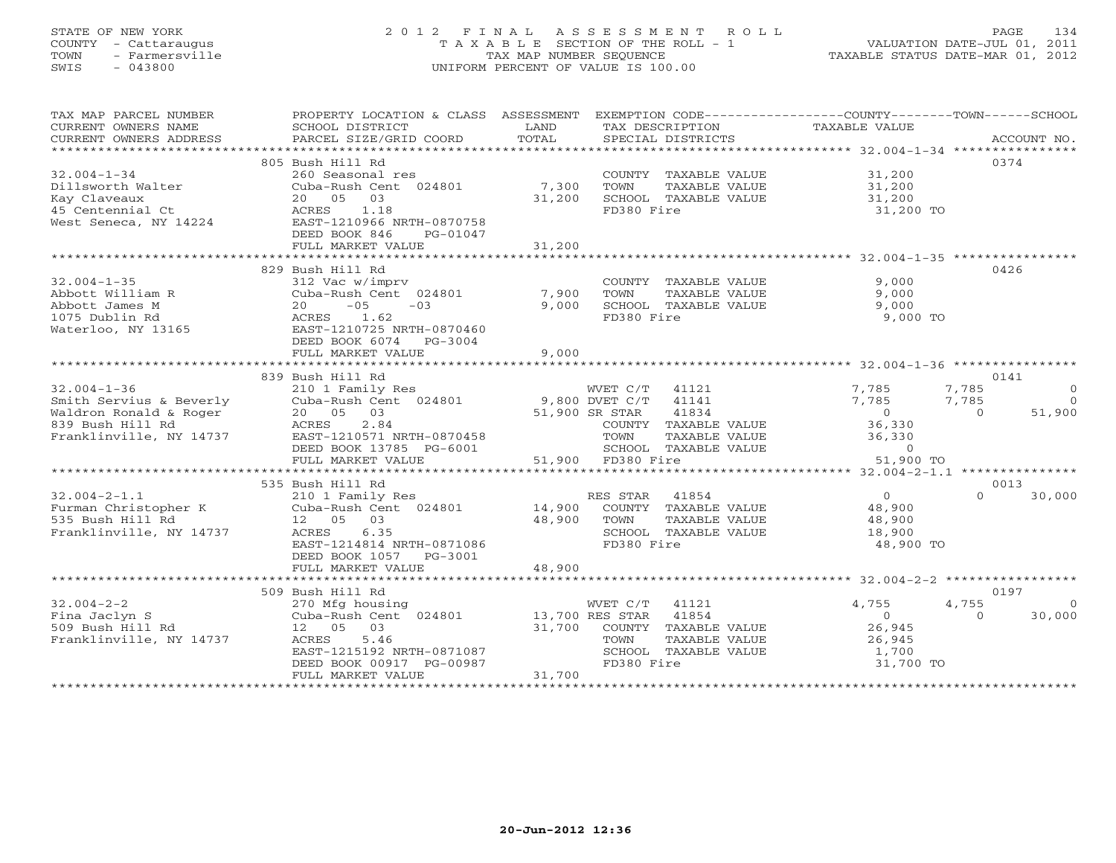# STATE OF NEW YORK 2 0 1 2 F I N A L A S S E S S M E N T R O L L PAGE 134 COUNTY - Cattaraugus T A X A B L E SECTION OF THE ROLL - 1 VALUATION DATE-JUL 01, 2011 TOWN - Farmersville TAX MAP NUMBER SEQUENCE TAXABLE STATUS DATE-MAR 01, 2012 SWIS - 043800 UNIFORM PERCENT OF VALUE IS 100.00UNIFORM PERCENT OF VALUE IS 100.00

| TAX MAP PARCEL NUMBER<br>CURRENT OWNERS NAME<br>CURRENT OWNERS ADDRESS | PROPERTY LOCATION & CLASS ASSESSMENT<br>SCHOOL DISTRICT<br>PARCEL SIZE/GRID COORD | LAND<br>TOTAL    | EXEMPTION CODE-----------------COUNTY-------TOWN------SCHOOL<br>TAX DESCRIPTION<br>SPECIAL DISTRICTS | TAXABLE VALUE       | ACCOUNT NO.             |
|------------------------------------------------------------------------|-----------------------------------------------------------------------------------|------------------|------------------------------------------------------------------------------------------------------|---------------------|-------------------------|
|                                                                        |                                                                                   |                  |                                                                                                      |                     |                         |
|                                                                        | 805 Bush Hill Rd                                                                  |                  |                                                                                                      |                     | 0374                    |
| $32.004 - 1 - 34$                                                      | 260 Seasonal res                                                                  |                  | COUNTY TAXABLE VALUE                                                                                 | 31,200              |                         |
| Dillsworth Walter                                                      | Cuba-Rush Cent 024801                                                             | 7,300            | TOWN<br>TAXABLE VALUE                                                                                | 31,200              |                         |
| Kay Claveaux<br>45 Centennial Ct                                       | 20  05  03<br>ACRES<br>1.18                                                       | 31,200           | SCHOOL TAXABLE VALUE<br>FD380 Fire                                                                   | 31,200<br>31,200 TO |                         |
| West Seneca, NY 14224                                                  | EAST-1210966 NRTH-0870758                                                         |                  |                                                                                                      |                     |                         |
|                                                                        | DEED BOOK 846<br>PG-01047                                                         |                  |                                                                                                      |                     |                         |
|                                                                        | FULL MARKET VALUE                                                                 | 31,200           |                                                                                                      |                     |                         |
|                                                                        |                                                                                   |                  |                                                                                                      |                     |                         |
|                                                                        | 829 Bush Hill Rd                                                                  |                  |                                                                                                      |                     | 0426                    |
| $32.004 - 1 - 35$                                                      | 312 Vac w/imprv                                                                   |                  | COUNTY TAXABLE VALUE                                                                                 | 9,000               |                         |
| Abbott William R                                                       | Cuba-Rush Cent 024801                                                             | 7,900            | TOWN<br>TAXABLE VALUE                                                                                | 9,000               |                         |
| Abbott James M                                                         | 20<br>$-05$<br>$-03$                                                              | 9,000            | SCHOOL TAXABLE VALUE                                                                                 | 9,000               |                         |
| 1075 Dublin Rd                                                         | ACRES<br>1.62                                                                     |                  | FD380 Fire                                                                                           | 9,000 TO            |                         |
| Waterloo, NY 13165                                                     | EAST-1210725 NRTH-0870460                                                         |                  |                                                                                                      |                     |                         |
|                                                                        | DEED BOOK 6074 PG-3004                                                            | 9,000            |                                                                                                      |                     |                         |
|                                                                        | FULL MARKET VALUE                                                                 |                  |                                                                                                      |                     |                         |
|                                                                        | 839 Bush Hill Rd                                                                  |                  |                                                                                                      |                     | 0141                    |
| $32.004 - 1 - 36$                                                      | 210 1 Family Res                                                                  |                  | WVET C/T<br>41121                                                                                    | 7,785               | 7,785<br>$\overline{0}$ |
| Smith Servius & Beverly                                                | Cuba-Rush Cent 024801                                                             |                  | 9,800 DVET C/T 41141                                                                                 | 7,785               | 7,785<br>$\bigcirc$     |
| Waldron Ronald & Roger                                                 | $20$<br>ACRES<br>$\rightarrow \text{cm} - 12$<br>20  05  03                       |                  | 51,900 SR STAR<br>41834                                                                              | $\sim$ 0            | 51,900<br>$\Omega$      |
| 839 Bush Hill Rd                                                       | 2.84                                                                              |                  | COUNTY TAXABLE VALUE                                                                                 | 36,330              |                         |
| Franklinville, NY 14737                                                | EAST-1210571 NRTH-0870458                                                         |                  | TOWN<br>TAXABLE VALUE                                                                                | 36,330              |                         |
|                                                                        | DEED BOOK 13785 PG-6001                                                           |                  | SCHOOL TAXABLE VALUE                                                                                 | $\Omega$            |                         |
|                                                                        | FULL MARKET VALUE                                                                 |                  | 51,900 FD380 Fire                                                                                    | 51,900 TO           |                         |
|                                                                        |                                                                                   |                  |                                                                                                      |                     |                         |
|                                                                        | 535 Bush Hill Rd                                                                  |                  |                                                                                                      |                     | 0013                    |
| $32.004 - 2 - 1.1$                                                     | 210 1 Family Res<br>210 1 Family Res<br>Cuba-Rush Cent 024801                     |                  | RES STAR 41854                                                                                       | $\overline{0}$      | $\cap$<br>30,000        |
| Furman Christopher K<br>535 Bush Hill Rd                               | 12  05  03                                                                        | 14,900<br>48,900 | COUNTY TAXABLE VALUE<br>TOWN<br>TAXABLE VALUE                                                        | 48,900<br>48,900    |                         |
| Franklinville, NY 14737                                                | ACRES 6.35                                                                        |                  | SCHOOL TAXABLE VALUE                                                                                 | 18,900              |                         |
|                                                                        | EAST-1214814 NRTH-0871086                                                         |                  | FD380 Fire                                                                                           | 48,900 TO           |                         |
|                                                                        | DEED BOOK 1057 PG-3001                                                            |                  |                                                                                                      |                     |                         |
|                                                                        | FULL MARKET VALUE                                                                 | 48,900           |                                                                                                      |                     |                         |
|                                                                        |                                                                                   |                  |                                                                                                      |                     |                         |
|                                                                        | 509 Bush Hill Rd                                                                  |                  |                                                                                                      |                     | 0197                    |
| $32.004 - 2 - 2$                                                       | 270 Mfg housing                                                                   |                  | WVET C/T 41121                                                                                       | 4,755               | 4,755<br>$\overline{0}$ |
| Fina Jaclyn S                                                          | Cuba-Rush Cent 024801                                                             | 13,700 RES STAR  | 41854                                                                                                | $\overline{0}$      | $\Omega$<br>30,000      |
| 509 Bush Hill Rd                                                       | 12  05  03                                                                        | 31,700           | COUNTY TAXABLE VALUE                                                                                 | 26,945              |                         |
| Franklinville, NY 14737                                                | ACRES<br>5.46                                                                     |                  | TOWN<br>TAXABLE VALUE                                                                                | 26,945              |                         |
|                                                                        | EAST-1215192 NRTH-0871087                                                         |                  | SCHOOL TAXABLE VALUE                                                                                 | 1,700               |                         |
|                                                                        | DEED BOOK 00917 PG-00987<br>FULL MARKET VALUE                                     | 31,700           | FD380 Fire                                                                                           | 31,700 TO           |                         |
|                                                                        |                                                                                   |                  |                                                                                                      |                     |                         |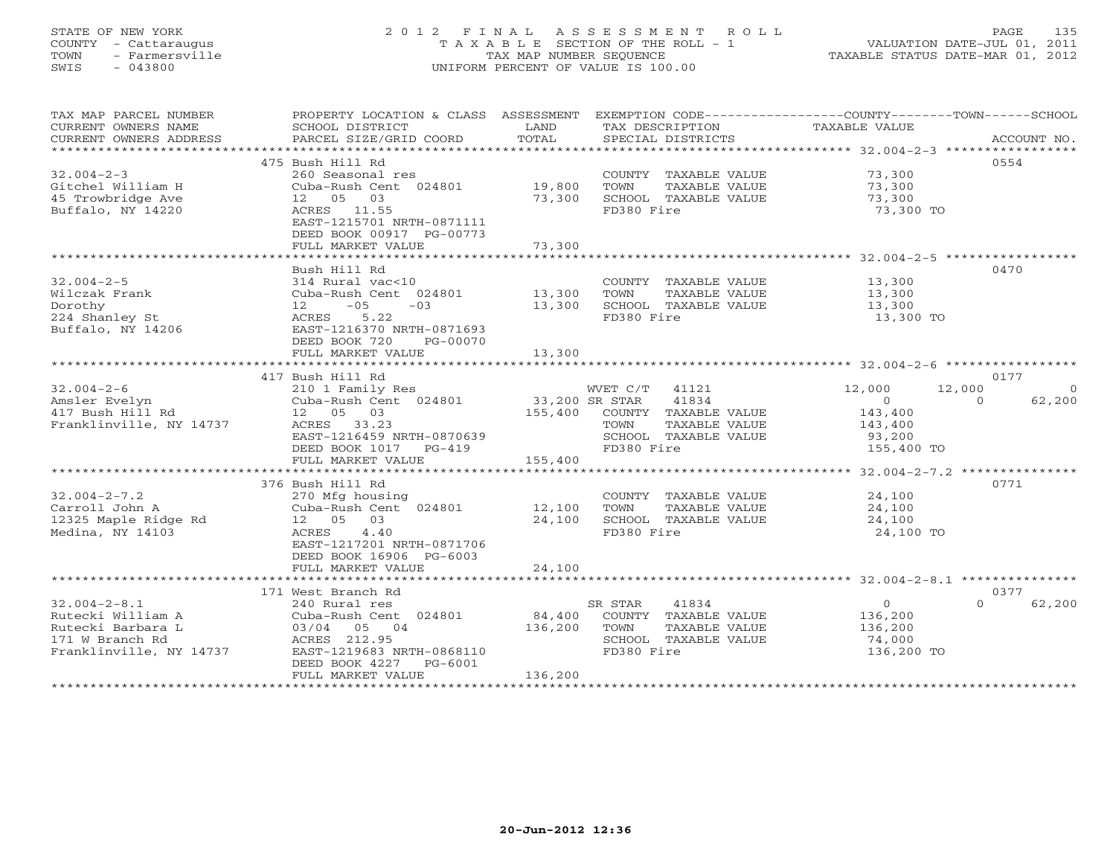# STATE OF NEW YORK 2 0 1 2 F I N A L A S S E S S M E N T R O L L PAGE 135 COUNTY - Cattaraugus T A X A B L E SECTION OF THE ROLL - 1 VALUATION DATE-JUL 01, 2011 TOWN - Farmersville TAX MAP NUMBER SEQUENCE TAXABLE STATUS DATE-MAR 01, 2012 SWIS - 043800 UNIFORM PERCENT OF VALUE IS 100.00UNIFORM PERCENT OF VALUE IS 100.00

| TAX MAP PARCEL NUMBER     |                                                                          |         |                              | PROPERTY LOCATION & CLASS ASSESSMENT EXEMPTION CODE---------------COUNTY-------TOWN------SCHOOL |                |
|---------------------------|--------------------------------------------------------------------------|---------|------------------------------|-------------------------------------------------------------------------------------------------|----------------|
| CURRENT OWNERS NAME       | SCHOOL DISTRICT                                                          | LAND    | TAX DESCRIPTION              | TAXABLE VALUE                                                                                   |                |
| CURRENT OWNERS ADDRESS    |                                                                          |         |                              | ACCOUNT NO.                                                                                     |                |
| **********************    |                                                                          |         |                              |                                                                                                 |                |
|                           | 475 Bush Hill Rd                                                         |         |                              | 0554                                                                                            |                |
| $32.004 - 2 - 3$          | 260 Seasonal res                                                         |         | COUNTY TAXABLE VALUE         | 73,300                                                                                          |                |
| Gitchel William H         | Cuba-Rush Cent 024801 19,800                                             |         | TOWN<br>TAXABLE VALUE        | 73,300                                                                                          |                |
| 45 Trowbridge Ave         | 12  05  03                                                               | 73,300  | SCHOOL TAXABLE VALUE         | 73,300                                                                                          |                |
| Buffalo, NY 14220         | ACRES 11.55                                                              |         | FD380 Fire                   | 73,300 TO                                                                                       |                |
|                           | EAST-1215701 NRTH-0871111                                                |         |                              |                                                                                                 |                |
|                           | DEED BOOK 00917 PG-00773                                                 |         |                              |                                                                                                 |                |
|                           | FULL MARKET VALUE                                                        | 73,300  |                              |                                                                                                 |                |
|                           |                                                                          |         |                              |                                                                                                 |                |
|                           | Bush Hill Rd                                                             |         |                              | 0470                                                                                            |                |
| $32.004 - 2 - 5$          | 314 Rural vac<10                                                         |         | COUNTY TAXABLE VALUE         | 13,300                                                                                          |                |
| Wilczak Frank             | Cuba-Rush Cent 024801 13,300                                             |         | TOWN<br>TAXABLE VALUE        | 13,300                                                                                          |                |
| Dorothy                   | $-03$ 13,300                                                             |         | SCHOOL TAXABLE VALUE         | 13,300                                                                                          |                |
| Dorothy<br>224 Shanley St |                                                                          |         | FD380 Fire                   | 13,300 TO                                                                                       |                |
|                           | $12 - 5.22$<br>ACRES 5.22<br>Buffalo, NY 14206 EAST-1216370 NRTH-0871693 |         |                              |                                                                                                 |                |
|                           | DEED BOOK 720<br>PG-00070                                                |         |                              |                                                                                                 |                |
|                           | FULL MARKET VALUE                                                        | 13,300  |                              |                                                                                                 |                |
|                           |                                                                          |         |                              |                                                                                                 |                |
|                           | 417 Bush Hill Rd                                                         |         |                              | 0177                                                                                            |                |
| $32.004 - 2 - 6$          | 210 1 Family Res                                                         |         | WVET C/T 41121               | 12,000<br>12,000                                                                                | $\overline{0}$ |
| Amsler Evelyn             | Cuba-Rush Cent 024801                                                    |         | 33,200 SR STAR 41834         | $\overline{0}$<br>62,200<br>$\overline{0}$                                                      |                |
| 417 Bush Hill Rd          | 12  05  03                                                               | 155,400 | COUNTY TAXABLE VALUE         |                                                                                                 |                |
| Franklinville, NY 14737   | ACRES 33.23                                                              |         | TOWN<br>TAXABLE VALUE        | 143,400<br>143,400                                                                              |                |
|                           | EAST-1216459 NRTH-0870639                                                |         | SCHOOL TAXABLE VALUE         | 93,200                                                                                          |                |
|                           | DEED BOOK 1017 PG-419                                                    |         | FD380 Fire                   | 155,400 TO                                                                                      |                |
|                           | FULL MARKET VALUE                                                        | 155,400 |                              |                                                                                                 |                |
|                           |                                                                          |         |                              |                                                                                                 |                |
|                           | 376 Bush Hill Rd                                                         |         |                              | 0771                                                                                            |                |
| $32.004 - 2 - 7.2$        | 270 Mfg housing                                                          |         | COUNTY TAXABLE VALUE         | 24,100                                                                                          |                |
|                           | Cuba-Rush Cent 024801 12,100                                             |         | TAXABLE VALUE                | 24,100                                                                                          |                |
| Carroll John A            | 12  05  03                                                               | 24,100  | TOWN<br>SCHOOL TAXABLE VALUE |                                                                                                 |                |
| 12325 Maple Ridge Rd      |                                                                          |         |                              | 24,100                                                                                          |                |
| Medina, NY 14103          | ACRES 4.40                                                               |         | FD380 Fire                   | 24,100 TO                                                                                       |                |
|                           | EAST-1217201 NRTH-0871706                                                |         |                              |                                                                                                 |                |
|                           | DEED BOOK 16906 PG-6003                                                  |         |                              |                                                                                                 |                |
|                           | FULL MARKET VALUE                                                        | 24,100  |                              |                                                                                                 |                |
|                           |                                                                          |         |                              |                                                                                                 |                |
|                           | 171 West Branch Rd                                                       |         |                              | 0377                                                                                            |                |
| $32.004 - 2 - 8.1$        | 240 Rural res                                                            |         | 41834<br>SR STAR             | 62,200<br>$\overline{0}$<br>$\Omega$                                                            |                |
| Rutecki William A         | Cuba-Rush Cent 024801                                                    | 84,400  | COUNTY TAXABLE VALUE         | 136,200                                                                                         |                |
| Rutecki Barbara L         |                                                                          | 136,200 | TOWN<br>TAXABLE VALUE        | 136,200                                                                                         |                |
|                           |                                                                          |         | SCHOOL TAXABLE VALUE         | 74,000                                                                                          |                |
|                           |                                                                          |         | FD380 Fire                   | 136,200 TO                                                                                      |                |
|                           | DEED BOOK 4227 PG-6001                                                   |         |                              |                                                                                                 |                |
|                           | FULL MARKET VALUE                                                        | 136,200 |                              |                                                                                                 |                |
|                           |                                                                          |         |                              |                                                                                                 |                |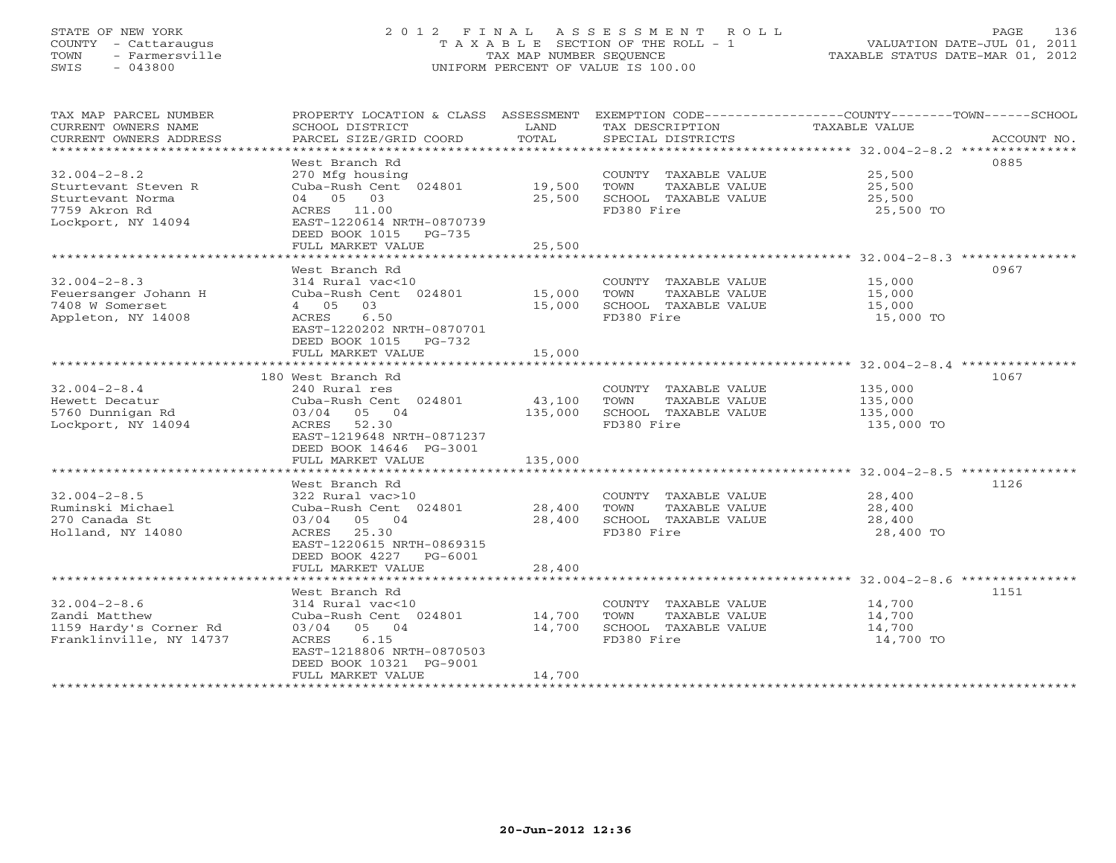## STATE OF NEW YORK 2 0 1 2 F I N A L A S S E S S M E N T R O L L PAGE 136 COUNTY - Cattaraugus T A X A B L E SECTION OF THE ROLL - 1 VALUATION DATE-JUL 01, 2011 TOWN - Farmersville TAX MAP NUMBER SEQUENCE TAXABLE STATUS DATE-MAR 01, 2012 SWIS - 043800 UNIFORM PERCENT OF VALUE IS 100.00

| TAX MAP PARCEL NUMBER         | PROPERTY LOCATION & CLASS ASSESSMENT     |         |                       | EXEMPTION CODE----------------COUNTY-------TOWN------SCHOOL |
|-------------------------------|------------------------------------------|---------|-----------------------|-------------------------------------------------------------|
| CURRENT OWNERS NAME           | SCHOOL DISTRICT                          | LAND    | TAX DESCRIPTION       | <b>TAXABLE VALUE</b>                                        |
| CURRENT OWNERS ADDRESS        | PARCEL SIZE/GRID COORD                   | TOTAL   | SPECIAL DISTRICTS     | ACCOUNT NO.                                                 |
| ***************************** |                                          |         |                       |                                                             |
|                               | West Branch Rd                           |         |                       | 0885                                                        |
| $32.004 - 2 - 8.2$            | 270 Mfg housing                          |         | COUNTY TAXABLE VALUE  | 25,500                                                      |
| Sturtevant Steven R           | Cuba-Rush Cent 024801 19,500             |         | TOWN<br>TAXABLE VALUE | 25,500                                                      |
| Sturtevant Norma              | 04 05 03                                 | 25,500  | SCHOOL TAXABLE VALUE  | 25,500                                                      |
| 7759 Akron Rd                 | ACRES 11.00                              |         | FD380 Fire            | 25,500 TO                                                   |
| Lockport, NY 14094            | EAST-1220614 NRTH-0870739                |         |                       |                                                             |
|                               | DEED BOOK 1015 PG-735                    |         |                       |                                                             |
|                               | FULL MARKET VALUE                        | 25,500  |                       |                                                             |
|                               | West Branch Rd                           |         |                       | 0967                                                        |
| $32.004 - 2 - 8.3$            | 314 Rural vac<10                         |         | COUNTY TAXABLE VALUE  | 15,000                                                      |
| Feuersanger Johann H          | Cuba-Rush Cent 024801                    | 15,000  | TOWN<br>TAXABLE VALUE | 15,000                                                      |
| 7408 W Somerset               | 4 05 03                                  | 15,000  | SCHOOL TAXABLE VALUE  | 15,000                                                      |
| Appleton, NY 14008            | 6.50<br>ACRES                            |         | FD380 Fire            | 15,000 TO                                                   |
|                               | EAST-1220202 NRTH-0870701                |         |                       |                                                             |
|                               | DEED BOOK 1015 PG-732                    |         |                       |                                                             |
|                               | FULL MARKET VALUE                        | 15,000  |                       |                                                             |
|                               |                                          |         |                       |                                                             |
|                               | 180 West Branch Rd                       |         |                       | 1067                                                        |
| $32.004 - 2 - 8.4$            | 240 Rural res                            |         | COUNTY TAXABLE VALUE  | 135,000                                                     |
| Hewett Decatur                | Cuba-Rush Cent 024801                    | 43,100  | TAXABLE VALUE<br>TOWN | 135,000                                                     |
| 5760 Dunnigan Rd              | 05 04<br>03/04                           | 135,000 | SCHOOL TAXABLE VALUE  | 135,000                                                     |
| Lockport, NY 14094            | ACRES<br>52.30                           |         | FD380 Fire            | 135,000 TO                                                  |
|                               | EAST-1219648 NRTH-0871237                |         |                       |                                                             |
|                               | DEED BOOK 14646 PG-3001                  |         |                       |                                                             |
|                               | FULL MARKET VALUE                        | 135,000 |                       |                                                             |
|                               |                                          |         |                       |                                                             |
|                               | West Branch Rd                           |         |                       | 1126                                                        |
| $32.004 - 2 - 8.5$            | 322 Rural vac>10                         |         | COUNTY TAXABLE VALUE  | 28,400                                                      |
| Ruminski Michael              | Cuba-Rush Cent 024801                    | 28,400  | TAXABLE VALUE<br>TOWN | 28,400                                                      |
| 270 Canada St                 | 03/04 05 04                              | 28,400  | SCHOOL TAXABLE VALUE  | 28,400                                                      |
| Holland, NY 14080             | ACRES 25.30<br>EAST-1220615 NRTH-0869315 |         | FD380 Fire            | 28,400 TO                                                   |
|                               | DEED BOOK 4227 PG-6001                   |         |                       |                                                             |
|                               | FULL MARKET VALUE                        | 28,400  |                       |                                                             |
|                               |                                          |         |                       |                                                             |
|                               | West Branch Rd                           |         |                       | 1151                                                        |
| $32.004 - 2 - 8.6$            | 314 Rural vac<10                         |         | COUNTY TAXABLE VALUE  | 14,700                                                      |
| Zandi Matthew                 | Cuba-Rush Cent 024801                    | 14,700  | TOWN<br>TAXABLE VALUE | 14,700                                                      |
| 1159 Hardy's Corner Rd        | 03/04 05 04                              | 14,700  | SCHOOL TAXABLE VALUE  | 14,700                                                      |
| Franklinville, NY 14737       | 6.15<br>ACRES                            |         | FD380 Fire            | 14,700 TO                                                   |
|                               | EAST-1218806 NRTH-0870503                |         |                       |                                                             |
|                               | DEED BOOK 10321 PG-9001                  |         |                       |                                                             |
|                               | FULL MARKET VALUE                        | 14,700  |                       |                                                             |
|                               |                                          |         |                       |                                                             |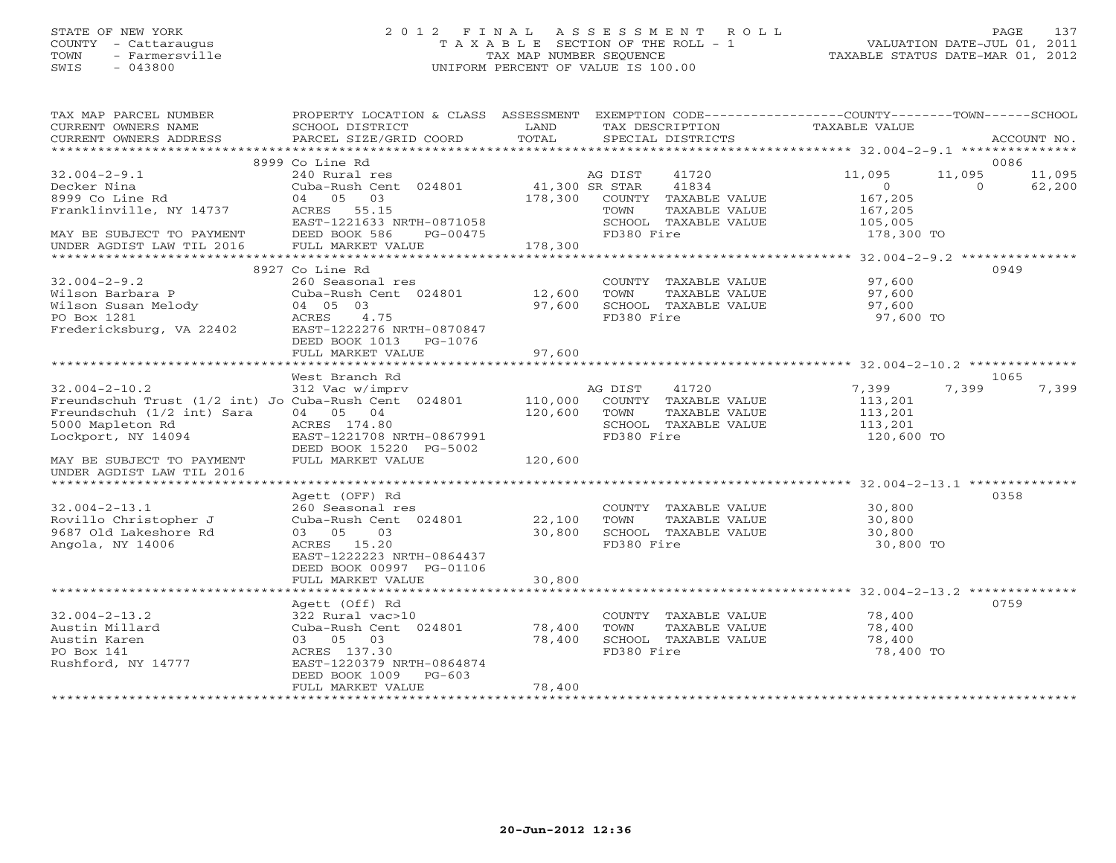# STATE OF NEW YORK 2 0 1 2 F I N A L A S S E S S M E N T R O L L PAGE 137 COUNTY - Cattaraugus T A X A B L E SECTION OF THE ROLL - 1 VALUATION DATE-JUL 01, 2011 TOWN - Farmersville TAX MAP NUMBER SEQUENCE TAXABLE STATUS DATE-MAR 01, 2012 SWIS - 043800 UNIFORM PERCENT OF VALUE IS 100.00UNIFORM PERCENT OF VALUE IS 100.00

| TAX MAP PARCEL NUMBER<br>CURRENT OWNERS NAME<br>CURRENT OWNERS ADDRESS | PROPERTY LOCATION & CLASS ASSESSMENT<br>SCHOOL DISTRICT<br>PARCEL SIZE/GRID COORD | LAND<br>TOTAL  | EXEMPTION CODE-----------------COUNTY-------TOWN------SCHOOL<br>TAX DESCRIPTION<br>SPECIAL DISTRICTS | TAXABLE VALUE                       | ACCOUNT NO.                            |
|------------------------------------------------------------------------|-----------------------------------------------------------------------------------|----------------|------------------------------------------------------------------------------------------------------|-------------------------------------|----------------------------------------|
|                                                                        |                                                                                   |                |                                                                                                      |                                     |                                        |
|                                                                        | 8999 Co Line Rd                                                                   |                |                                                                                                      |                                     | 0086                                   |
| $32.004 - 2 - 9.1$<br>Decker Nina<br>8999 Co Line Rd                   | 240 Rural res<br>Cuba-Rush Cent 024801<br>04 05<br>03                             | 41,300 SR STAR | AG DIST<br>41720<br>41834<br>178,300 COUNTY TAXABLE VALUE                                            | 11,095<br>$\overline{0}$<br>167,205 | 11,095<br>11,095<br>$\Omega$<br>62,200 |
| Franklinville, NY 14737                                                | ACRES 55.15<br>EAST-1221633 NRTH-0871058                                          |                | TOWN<br>TAXABLE VALUE<br>SCHOOL TAXABLE VALUE                                                        | 167,205<br>105,005                  |                                        |
| MAY BE SUBJECT TO PAYMENT<br>UNDER AGDIST LAW TIL 2016                 | DEED BOOK 586<br>PG-00475<br>FULL MARKET VALUE                                    | 178,300        | FD380 Fire                                                                                           | 178,300 TO                          |                                        |
|                                                                        | 8927 Co Line Rd                                                                   |                |                                                                                                      |                                     | 0949                                   |
| $32.004 - 2 - 9.2$                                                     | 260 Seasonal res                                                                  |                | COUNTY TAXABLE VALUE                                                                                 | 97,600                              |                                        |
| Wilson Barbara P                                                       | Cuba-Rush Cent 024801                                                             | 12,600         | TOWN<br>TAXABLE VALUE                                                                                | 97,600                              |                                        |
| Wilson Susan Melody                                                    | 04 05 03                                                                          | 97,600         | SCHOOL TAXABLE VALUE                                                                                 | 97,600                              |                                        |
| PO Box 1281                                                            | ACRES 4.75                                                                        |                | FD380 Fire                                                                                           | 97,600 TO                           |                                        |
| Fredericksburg, VA 22402                                               | EAST-1222276 NRTH-0870847<br>DEED BOOK 1013 PG-1076<br>FULL MARKET VALUE          | 97,600         |                                                                                                      |                                     |                                        |
|                                                                        |                                                                                   |                |                                                                                                      |                                     |                                        |
|                                                                        | West Branch Rd                                                                    |                |                                                                                                      |                                     | 1065                                   |
| $32.004 - 2 - 10.2$                                                    | 312 Vac w/imprv                                                                   |                | 41720<br>AG DIST                                                                                     | 7,399                               | 7,399<br>7,399                         |
| Freundschuh Trust (1/2 int) Jo Cuba-Rush Cent 024801                   |                                                                                   | 110,000        | COUNTY TAXABLE VALUE                                                                                 | 113,201                             |                                        |
| Freundschuh (1/2 int) Sara                                             | 04 05 04                                                                          | 120,600        | TOWN<br>TAXABLE VALUE                                                                                | 113,201                             |                                        |
| 5000 Mapleton Rd                                                       | ACRES 174.80                                                                      |                | SCHOOL TAXABLE VALUE                                                                                 | 113,201                             |                                        |
| Lockport, NY 14094                                                     | EAST-1221708 NRTH-0867991<br>DEED BOOK 15220 PG-5002                              |                | FD380 Fire                                                                                           | 120,600 TO                          |                                        |
| MAY BE SUBJECT TO PAYMENT<br>UNDER AGDIST LAW TIL 2016                 | FULL MARKET VALUE                                                                 | 120,600        |                                                                                                      |                                     |                                        |
|                                                                        |                                                                                   |                |                                                                                                      |                                     |                                        |
| $32.004 - 2 - 13.1$                                                    | Agett (OFF) Rd                                                                    |                |                                                                                                      |                                     | 0358                                   |
| Rovillo Christopher J                                                  | 260 Seasonal res<br>Cuba-Rush Cent 024801                                         | 22,100         | COUNTY TAXABLE VALUE<br>TOWN<br>TAXABLE VALUE                                                        | 30,800<br>30,800                    |                                        |
| 9687 Old Lakeshore Rd                                                  | 03 05<br>03                                                                       | 30,800         | SCHOOL TAXABLE VALUE                                                                                 | 30,800                              |                                        |
| Angola, NY 14006                                                       | ACRES 15.20                                                                       |                | FD380 Fire                                                                                           | 30,800 TO                           |                                        |
|                                                                        | EAST-1222223 NRTH-0864437                                                         |                |                                                                                                      |                                     |                                        |
|                                                                        | DEED BOOK 00997 PG-01106                                                          |                |                                                                                                      |                                     |                                        |
|                                                                        | FULL MARKET VALUE                                                                 | 30,800         |                                                                                                      |                                     |                                        |
|                                                                        | Agett (Off) Rd                                                                    |                |                                                                                                      |                                     | 0759                                   |
| $32.004 - 2 - 13.2$                                                    | 322 Rural vac>10                                                                  |                | COUNTY TAXABLE VALUE                                                                                 | 78,400                              |                                        |
| Austin Millard                                                         | Cuba-Rush Cent 024801                                                             | 78,400         | TOWN<br>TAXABLE VALUE                                                                                | 78,400                              |                                        |
| Austin Karen                                                           | 03 05 03                                                                          | 78,400         | SCHOOL TAXABLE VALUE                                                                                 | 78,400                              |                                        |
| PO Box 141                                                             | ACRES 137.30                                                                      |                | FD380 Fire                                                                                           | 78,400 TO                           |                                        |
| Rushford, NY 14777                                                     | EAST-1220379 NRTH-0864874<br>DEED BOOK 1009 PG-603                                |                |                                                                                                      |                                     |                                        |
|                                                                        | FULL MARKET VALUE                                                                 | 78,400         |                                                                                                      |                                     |                                        |
|                                                                        |                                                                                   |                |                                                                                                      |                                     |                                        |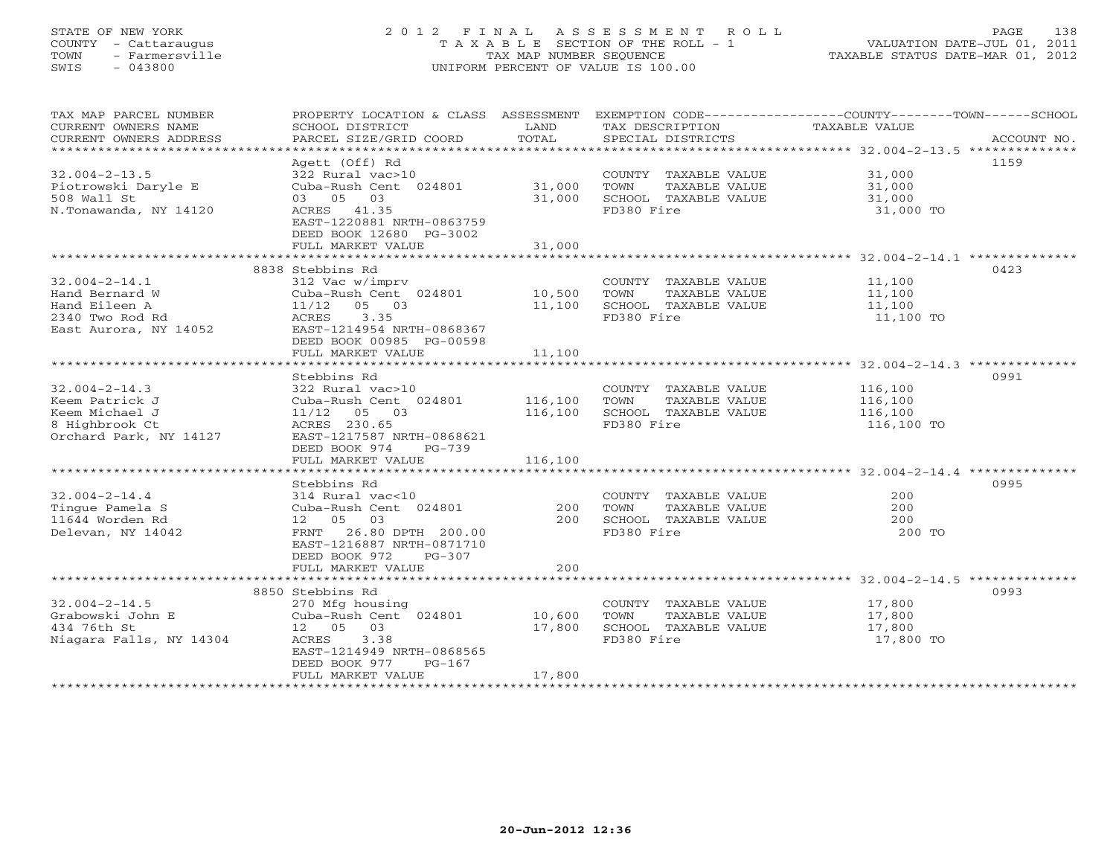#### STATE OF NEW YORK 2 0 1 2 F I N A L A S S E S S M E N T R O L L PAGE 138 COUNTY - Cattaraugus T A X A B L E SECTION OF THE ROLL - 1 VALUATION DATE-JUL 01, 2011 TOWN - Farmersville TAX MAP NUMBER SEQUENCE TAXABLE STATUS DATE-MAR 01, 2012 SWIS - 043800 UNIFORM PERCENT OF VALUE IS 100.00UNIFORM PERCENT OF VALUE IS 100.00

| TAX MAP PARCEL NUMBER<br>CURRENT OWNERS NAME<br>CURRENT OWNERS ADDRESS | PROPERTY LOCATION & CLASS ASSESSMENT<br>SCHOOL DISTRICT<br>PARCEL SIZE/GRID COORD | LAND<br>TOTAL           | TAX DESCRIPTION<br>SPECIAL DISTRICTS                        | EXEMPTION CODE-----------------COUNTY-------TOWN------SCHOOL<br>TAXABLE VALUE<br>ACCOUNT NO. |
|------------------------------------------------------------------------|-----------------------------------------------------------------------------------|-------------------------|-------------------------------------------------------------|----------------------------------------------------------------------------------------------|
| $32.004 - 2 - 13.5$                                                    | Agett (Off) Rd<br>322 Rural vac>10                                                |                         | COUNTY TAXABLE VALUE                                        | 1159<br>31,000                                                                               |
| Piotrowski Daryle E<br>508 Wall St<br>N.Tonawanda, NY 14120            | Cuba-Rush Cent 024801 31,000<br>03 05 03<br>ACRES 41.35                           | 31,000                  | TAXABLE VALUE<br>TOWN<br>SCHOOL TAXABLE VALUE<br>FD380 Fire | 31,000<br>31,000<br>31,000 TO                                                                |
|                                                                        | EAST-1220881 NRTH-0863759<br>DEED BOOK 12680 PG-3002<br>FULL MARKET VALUE         | 31,000                  |                                                             |                                                                                              |
|                                                                        | 8838 Stebbins Rd                                                                  |                         |                                                             | 0423                                                                                         |
| $32.004 - 2 - 14.1$                                                    | 312 Vac w/imprv                                                                   |                         | COUNTY TAXABLE VALUE 11,100                                 |                                                                                              |
| Hand Bernard W                                                         | Cuba-Rush Cent 024801 10,500                                                      |                         | TOWN<br>TAXABLE VALUE                                       |                                                                                              |
| Hand Eileen A                                                          | 05 03<br>11/12                                                                    | 11,100                  | SCHOOL TAXABLE VALUE                                        | 11,100<br>11,100                                                                             |
| 2340 Two Rod Rd<br>East Aurora, NY 14052                               | ACRES<br>3.35<br>EAST-1214954 NRTH-0868367<br>DEED BOOK 00985 PG-00598            |                         | FD380 Fire                                                  | 11,100 TO                                                                                    |
|                                                                        | FULL MARKET VALUE                                                                 | 11,100<br>************* |                                                             | ***********************************32.004-2-14.3 ********************************            |
|                                                                        | Stebbins Rd                                                                       |                         |                                                             | 0991                                                                                         |
| $32.004 - 2 - 14.3$                                                    | 322 Rural vac>10                                                                  |                         | COUNTY TAXABLE VALUE                                        | 116,100                                                                                      |
| Keem Patrick J                                                         | Cuba-Rush Cent 024801                                                             | 116,100                 | TOWN<br>TAXABLE VALUE                                       | 116,100                                                                                      |
| Keem Michael J                                                         | $11/12$ 05 03                                                                     | 116,100                 | SCHOOL TAXABLE VALUE                                        | 116,100                                                                                      |
| 8 Highbrook Ct                                                         | ACRES 230.65                                                                      |                         | FD380 Fire                                                  | 116,100 TO                                                                                   |
| Orchard Park, NY 14127                                                 | EAST-1217587 NRTH-0868621                                                         |                         |                                                             |                                                                                              |
|                                                                        | DEED BOOK 974<br>PG-739                                                           |                         |                                                             |                                                                                              |
|                                                                        | FULL MARKET VALUE                                                                 | 116,100                 |                                                             |                                                                                              |
|                                                                        |                                                                                   |                         |                                                             |                                                                                              |
| $32.004 - 2 - 14.4$                                                    | Stebbins Rd<br>314 Rural vac<10                                                   |                         | COUNTY TAXABLE VALUE                                        | 0995<br>200                                                                                  |
| Tingue Pamela S                                                        | Cuba-Rush Cent 024801                                                             | 200                     | TAXABLE VALUE<br>TOWN                                       | 200                                                                                          |
| 11644 Worden Rd                                                        | 12 05 03                                                                          | 200                     | SCHOOL TAXABLE VALUE                                        | 200                                                                                          |
| Delevan, NY 14042                                                      | 26.80 DPTH 200.00<br>FRNT<br>EAST-1216887 NRTH-0871710<br>DEED BOOK 972<br>PG-307 |                         | FD380 Fire                                                  | 200 TO                                                                                       |
|                                                                        | FULL MARKET VALUE                                                                 | 200                     |                                                             |                                                                                              |
|                                                                        |                                                                                   |                         |                                                             |                                                                                              |
|                                                                        | 8850 Stebbins Rd                                                                  |                         |                                                             | 0993                                                                                         |
| $32.004 - 2 - 14.5$<br>Grabowski John E                                | 270 Mfg housing<br>Cuba-Rush Cent 024801 10,600                                   |                         | COUNTY TAXABLE VALUE<br>TOWN<br>TAXABLE VALUE               | 17,800<br>17,800                                                                             |
| 434 76th St                                                            | 12  05  03                                                                        | 17,800                  | SCHOOL TAXABLE VALUE                                        | 17,800                                                                                       |
| Niagara Falls, NY 14304                                                | 3.38<br>ACRES<br>EAST-1214949 NRTH-0868565<br>$PG-167$                            |                         | FD380 Fire                                                  | 17,800 TO                                                                                    |
|                                                                        | DEED BOOK 977<br>FULL MARKET VALUE                                                | 17,800                  |                                                             |                                                                                              |
|                                                                        |                                                                                   |                         |                                                             |                                                                                              |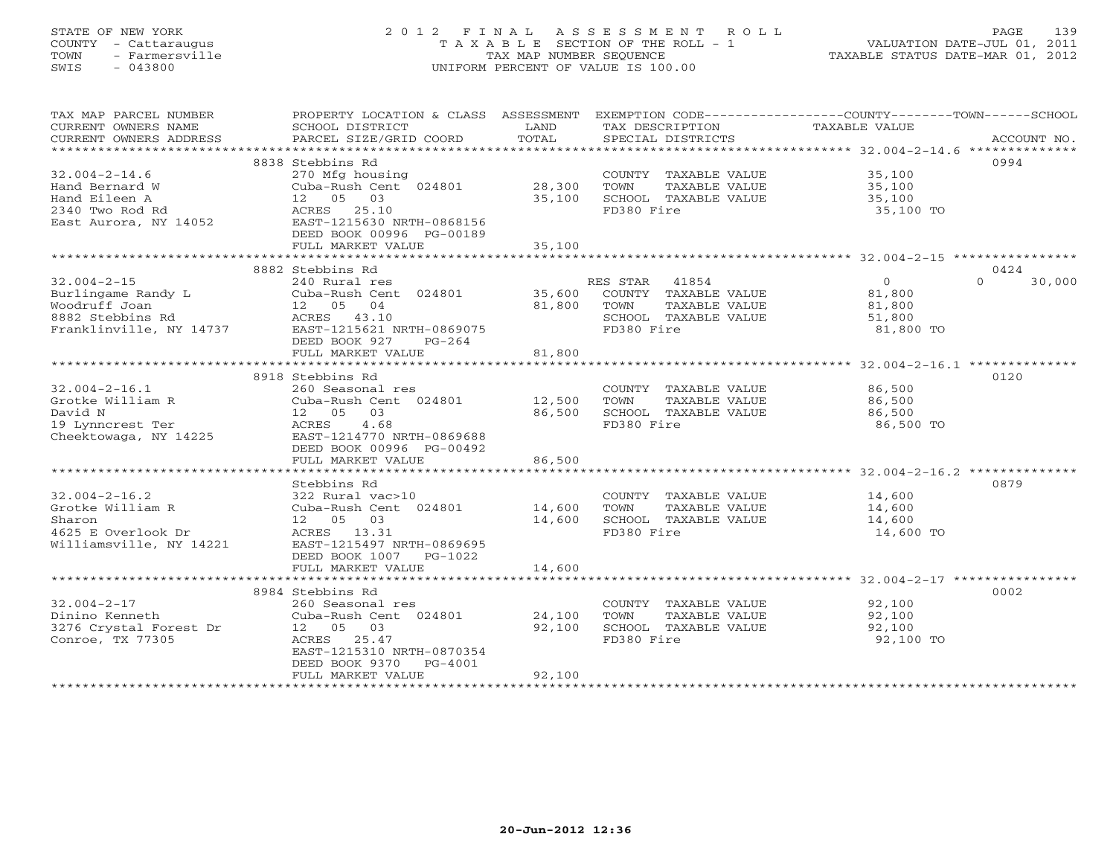# STATE OF NEW YORK 2 0 1 2 F I N A L A S S E S S M E N T R O L L PAGE 139 COUNTY - Cattaraugus T A X A B L E SECTION OF THE ROLL - 1 VALUATION DATE-JUL 01, 2011 TOWN - Farmersville TAX MAP NUMBER SEQUENCE TAXABLE STATUS DATE-MAR 01, 2012 SWIS - 043800 UNIFORM PERCENT OF VALUE IS 100.00UNIFORM PERCENT OF VALUE IS 100.00

| TAX MAP PARCEL NUMBER<br>CURRENT OWNERS NAME<br>CURRENT OWNERS ADDRESS | PROPERTY LOCATION & CLASS ASSESSMENT<br>SCHOOL DISTRICT<br>PARCEL SIZE/GRID COORD | LAND<br>TOTAL  | TAX DESCRIPTION<br>SPECIAL DISTRICTS | EXEMPTION CODE-----------------COUNTY-------TOWN------SCHOOL<br>TAXABLE VALUE<br>ACCOUNT NO. |
|------------------------------------------------------------------------|-----------------------------------------------------------------------------------|----------------|--------------------------------------|----------------------------------------------------------------------------------------------|
|                                                                        |                                                                                   |                |                                      |                                                                                              |
|                                                                        | 8838 Stebbins Rd                                                                  |                |                                      | 0994                                                                                         |
| $32.004 - 2 - 14.6$                                                    | 270 Mfg housing                                                                   |                | COUNTY TAXABLE VALUE                 | 35,100                                                                                       |
| Hand Bernard W                                                         | Cuba-Rush Cent 024801 28,300                                                      |                | TOWN<br>TAXABLE VALUE                | 35,100                                                                                       |
| Hand Eileen A                                                          | 12  05  03                                                                        | 35,100         | SCHOOL TAXABLE VALUE                 | 35,100                                                                                       |
| 2340 Two Rod Rd                                                        | ACRES 25.10                                                                       |                | FD380 Fire                           | 35,100 TO                                                                                    |
| East Aurora, NY 14052                                                  | EAST-1215630 NRTH-0868156                                                         |                |                                      |                                                                                              |
|                                                                        | DEED BOOK 00996 PG-00189                                                          |                |                                      |                                                                                              |
|                                                                        | FULL MARKET VALUE                                                                 | 35,100         |                                      |                                                                                              |
|                                                                        |                                                                                   |                |                                      |                                                                                              |
|                                                                        | 8882 Stebbins Rd                                                                  |                |                                      | 0424                                                                                         |
| $32.004 - 2 - 15$                                                      | 240 Rural res                                                                     |                | RES STAR 41854                       | $\Omega$<br>30,000<br>$\overline{0}$                                                         |
|                                                                        |                                                                                   |                | 35,600 COUNTY TAXABLE VALUE          |                                                                                              |
|                                                                        |                                                                                   | 81,800         | TOWN<br>TAXABLE VALUE                | 81,800<br>81,800                                                                             |
|                                                                        |                                                                                   |                | SCHOOL TAXABLE VALUE                 | 51,800                                                                                       |
|                                                                        |                                                                                   |                | FD380 Fire                           | 81,800 TO                                                                                    |
|                                                                        | DEED BOOK 927<br>PG-264                                                           |                |                                      |                                                                                              |
|                                                                        | FULL MARKET VALUE                                                                 | 81,800         |                                      |                                                                                              |
|                                                                        |                                                                                   | ************** |                                      |                                                                                              |
|                                                                        | 8918 Stebbins Rd                                                                  |                |                                      | 0120                                                                                         |
| $32.004 - 2 - 16.1$                                                    | 260 Seasonal res                                                                  |                | COUNTY TAXABLE VALUE 86,500          |                                                                                              |
| Grotke William R                                                       | Cuba-Rush Cent 024801 12,500                                                      |                | TOWN<br>TAXABLE VALUE                | 86,500                                                                                       |
| David N                                                                | 12  05  03                                                                        | 86,500         | SCHOOL TAXABLE VALUE                 | 86,500                                                                                       |
| 19 Lynncrest Ter                                                       | 4.68<br>ACRES                                                                     |                | FD380 Fire                           | 86,500 TO                                                                                    |
| Cheektowaga, NY 14225                                                  | EAST-1214770 NRTH-0869688                                                         |                |                                      |                                                                                              |
|                                                                        | DEED BOOK 00996 PG-00492                                                          |                |                                      |                                                                                              |
|                                                                        | FULL MARKET VALUE                                                                 | 86,500         |                                      |                                                                                              |
|                                                                        |                                                                                   |                |                                      |                                                                                              |
|                                                                        | Stebbins Rd                                                                       |                |                                      | 0879                                                                                         |
| $32.004 - 2 - 16.2$                                                    | 322 Rural vac>10                                                                  |                | COUNTY TAXABLE VALUE                 | 14,600<br>14,600                                                                             |
| Grotke William R                                                       | 322 Rural vac>10<br>Cuba-Rush Cent  024801            14,600                      |                | TOWN<br>TAXABLE VALUE                |                                                                                              |
| Sharon                                                                 | 12 05 03                                                                          | 14,600         | SCHOOL TAXABLE VALUE                 | 14,600                                                                                       |
| 4625 E Overlook Dr                             ACRES     13.31         |                                                                                   |                | FD380 Fire                           | 14,600 TO                                                                                    |
| Williamsville, NY 14221                                                | EAST-1215497 NRTH-0869695                                                         |                |                                      |                                                                                              |
|                                                                        | DEED BOOK 1007 PG-1022                                                            |                |                                      |                                                                                              |
|                                                                        | FULL MARKET VALUE                                                                 | 14,600         |                                      |                                                                                              |
|                                                                        |                                                                                   |                |                                      |                                                                                              |
|                                                                        | 8984 Stebbins Rd                                                                  |                |                                      | 0002                                                                                         |
| $32.004 - 2 - 17$                                                      | 260 Seasonal res                                                                  |                | COUNTY TAXABLE VALUE                 | 92,100                                                                                       |
| Dinino Kenneth                                                         | Cuba-Rush Cent 024801                                                             | 24,100         | TOWN<br>TAXABLE VALUE                | 92,100                                                                                       |
| 3276 Crystal Forest Dr                                                 | 12  05  03                                                                        | 92,100         | SCHOOL TAXABLE VALUE                 | 92,100                                                                                       |
| Conroe, TX 77305                                                       | ACRES 25.47                                                                       |                | FD380 Fire                           | 92,100 TO                                                                                    |
|                                                                        | EAST-1215310 NRTH-0870354                                                         |                |                                      |                                                                                              |
|                                                                        | DEED BOOK 9370<br>PG-4001                                                         |                |                                      |                                                                                              |
|                                                                        | FULL MARKET VALUE                                                                 | 92,100         |                                      |                                                                                              |
|                                                                        |                                                                                   |                |                                      |                                                                                              |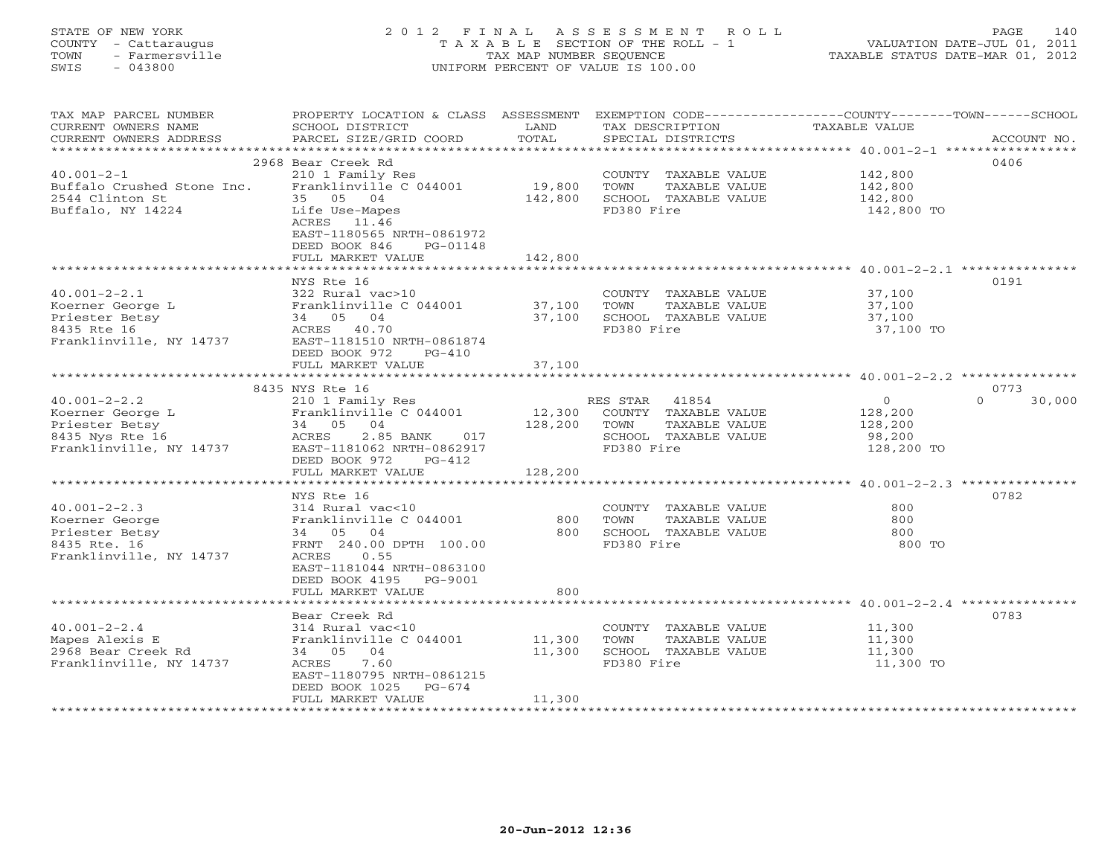# STATE OF NEW YORK 2 0 1 2 F I N A L A S S E S S M E N T R O L L PAGE 140 COUNTY - Cattaraugus T A X A B L E SECTION OF THE ROLL - 1 VALUATION DATE-JUL 01, 2011 TOWN - Farmersville TAX MAP NUMBER SEQUENCE TAXABLE STATUS DATE-MAR 01, 2012 SWIS - 043800 UNIFORM PERCENT OF VALUE IS 100.00UNIFORM PERCENT OF VALUE IS 100.00

| TAX MAP PARCEL NUMBER      | PROPERTY LOCATION & CLASS ASSESSMENT                      |         |                       | EXEMPTION CODE----------------COUNTY-------TOWN------SCHOOL |             |
|----------------------------|-----------------------------------------------------------|---------|-----------------------|-------------------------------------------------------------|-------------|
| CURRENT OWNERS NAME        | SCHOOL DISTRICT                                           | LAND    | TAX DESCRIPTION       | TAXABLE VALUE                                               |             |
| CURRENT OWNERS ADDRESS     | PARCEL SIZE/GRID COORD                                    | TOTAL   | SPECIAL DISTRICTS     |                                                             | ACCOUNT NO. |
|                            |                                                           |         |                       |                                                             |             |
|                            | 2968 Bear Creek Rd                                        |         |                       | 0406                                                        |             |
| $40.001 - 2 - 1$           | 210 1 Family Res                                          |         | COUNTY TAXABLE VALUE  | 142,800                                                     |             |
| Buffalo Crushed Stone Inc. | Franklinville C 044001                                    | 19,800  | TOWN<br>TAXABLE VALUE | 142,800                                                     |             |
| 2544 Clinton St            | 35 05 04                                                  | 142,800 | SCHOOL TAXABLE VALUE  | 142,800                                                     |             |
| Buffalo, NY 14224          | Life Use-Mapes                                            |         | FD380 Fire            | 142,800 TO                                                  |             |
|                            | ACRES 11.46                                               |         |                       |                                                             |             |
|                            | EAST-1180565 NRTH-0861972                                 |         |                       |                                                             |             |
|                            | DEED BOOK 846<br>PG-01148                                 |         |                       |                                                             |             |
|                            | FULL MARKET VALUE                                         | 142,800 |                       |                                                             |             |
|                            |                                                           |         |                       |                                                             |             |
|                            | NYS Rte 16                                                |         |                       | 0191                                                        |             |
| $40.001 - 2 - 2.1$         | 322 Rural vac>10                                          |         | COUNTY TAXABLE VALUE  | 37,100                                                      |             |
| Koerner George L           |                                                           |         | TOWN<br>TAXABLE VALUE | 37,100                                                      |             |
| Priester Betsy             | Franklinville C 044001 37,100<br>34 05 04 37,100          |         | SCHOOL TAXABLE VALUE  | 37,100                                                      |             |
| 8435 Rte 16                | ACRES 40.70                                               |         | FD380 Fire            | 37,100 TO                                                   |             |
| Franklinville, NY 14737    | EAST-1181510 NRTH-0861874                                 |         |                       |                                                             |             |
|                            | DEED BOOK 972<br>$PG-410$                                 |         |                       |                                                             |             |
|                            | FULL MARKET VALUE                                         | 37,100  |                       |                                                             |             |
|                            |                                                           |         |                       |                                                             |             |
|                            | 8435 NYS Rte 16                                           |         |                       | 0773                                                        |             |
| $40.001 - 2 - 2.2$         | 210 1 Family Res                                          |         | RES STAR 41854        | $\overline{0}$<br>$\Omega$                                  | 30,000      |
| Koerner George L           |                                                           | 12,300  | COUNTY TAXABLE VALUE  | 128,200                                                     |             |
| Priester Betsy             | Franklinville C 044001<br>34 05 04<br>ACRES 2.85 BANK 017 | 128,200 | TOWN<br>TAXABLE VALUE | 128,200                                                     |             |
| 8435 Nys Rte 16            |                                                           |         | SCHOOL TAXABLE VALUE  | 98,200                                                      |             |
| Franklinville, NY 14737    | EAST-1181062 NRTH-0862917                                 |         | FD380 Fire            | 128,200 TO                                                  |             |
|                            | DEED BOOK 972<br>PG-412                                   |         |                       |                                                             |             |
|                            | FULL MARKET VALUE                                         | 128,200 |                       |                                                             |             |
|                            |                                                           |         |                       |                                                             |             |
|                            | NYS Rte 16                                                |         |                       | 0782                                                        |             |
| $40.001 - 2 - 2.3$         | 314 Rural vac<10                                          |         | COUNTY TAXABLE VALUE  | 800                                                         |             |
| Koerner George             | Franklinville C 044001                                    | 800     | TOWN<br>TAXABLE VALUE | 800                                                         |             |
| Priester Betsy             | 34 05 04                                                  | 800     | SCHOOL TAXABLE VALUE  | 800                                                         |             |
| 8435 Rte. 16               | FRNT 240.00 DPTH 100.00                                   |         | FD380 Fire            | 800 TO                                                      |             |
| Franklinville, NY 14737    | ACRES<br>0.55                                             |         |                       |                                                             |             |
|                            | EAST-1181044 NRTH-0863100                                 |         |                       |                                                             |             |
|                            | DEED BOOK 4195 PG-9001                                    |         |                       |                                                             |             |
|                            | FULL MARKET VALUE                                         | 800     |                       |                                                             |             |
|                            |                                                           |         |                       |                                                             |             |
|                            | Bear Creek Rd                                             |         |                       | 0783                                                        |             |
| $40.001 - 2 - 2.4$         | 314 Rural vac<10                                          |         | COUNTY TAXABLE VALUE  | 11,300                                                      |             |
| Mapes Alexis E             | Franklinville C 044001                                    | 11,300  | TAXABLE VALUE<br>TOWN | 11,300                                                      |             |
| 2968 Bear Creek Rd         | 34 05 04                                                  | 11,300  | SCHOOL TAXABLE VALUE  | 11,300                                                      |             |
| Franklinville, NY 14737    | ACRES 7.60                                                |         | FD380 Fire            | 11,300 TO                                                   |             |
|                            | EAST-1180795 NRTH-0861215                                 |         |                       |                                                             |             |
|                            | DEED BOOK 1025<br>PG-674                                  |         |                       |                                                             |             |
|                            | FULL MARKET VALUE                                         | 11,300  |                       |                                                             |             |
|                            |                                                           |         |                       |                                                             |             |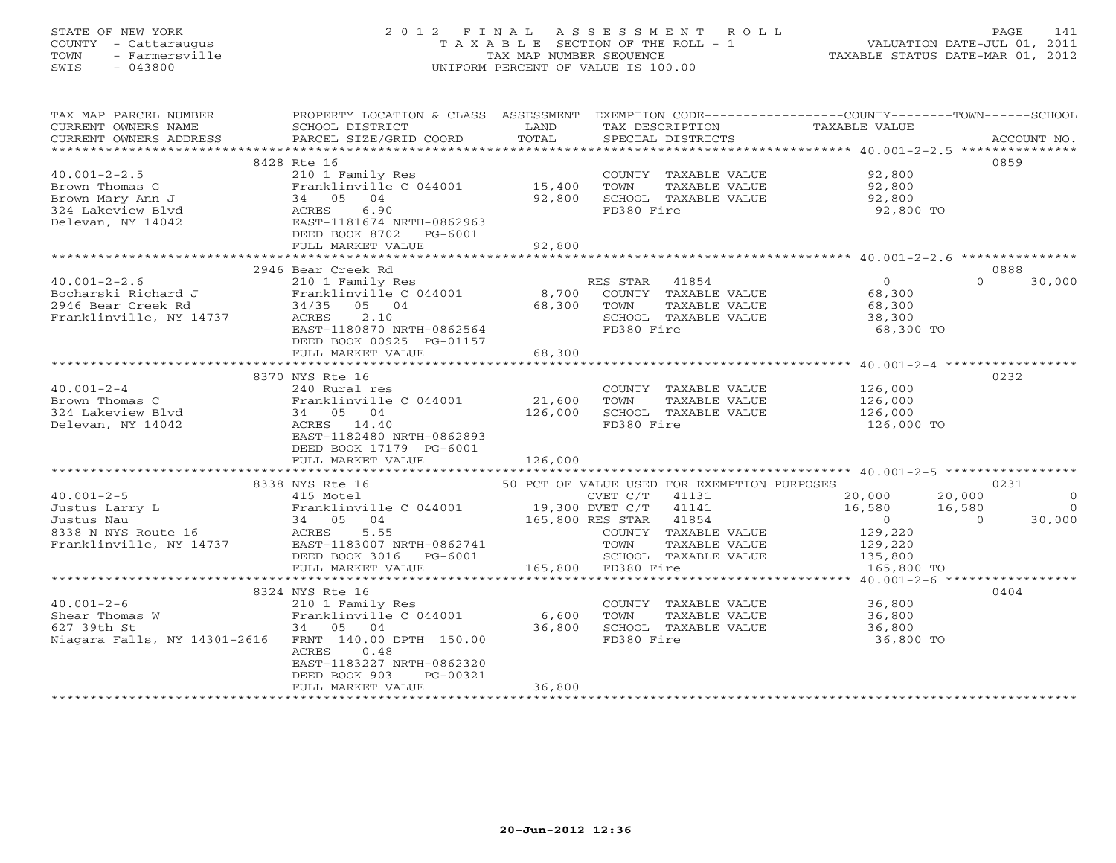# STATE OF NEW YORK 2 0 1 2 F I N A L A S S E S S M E N T R O L L PAGE 141 COUNTY - Cattaraugus T A X A B L E SECTION OF THE ROLL - 1 VALUATION DATE-JUL 01, 2011 TOWN - Farmersville TAX MAP NUMBER SEQUENCE TAXABLE STATUS DATE-MAR 01, 2012 SWIS - 043800 UNIFORM PERCENT OF VALUE IS 100.00UNIFORM PERCENT OF VALUE IS 100.00

| TAX MAP PARCEL NUMBER<br>CURRENT OWNERS NAME                 | PROPERTY LOCATION & CLASS ASSESSMENT<br>SCHOOL DISTRICT                         | LAND    | EXEMPTION CODE-----------------COUNTY-------TOWN------SCHOOL<br>TAX DESCRIPTION | TAXABLE VALUE  |                            |
|--------------------------------------------------------------|---------------------------------------------------------------------------------|---------|---------------------------------------------------------------------------------|----------------|----------------------------|
| CURRENT OWNERS ADDRESS                                       | PARCEL SIZE/GRID COORD                                                          | TOTAL   | SPECIAL DISTRICTS                                                               |                | ACCOUNT NO.                |
|                                                              |                                                                                 |         |                                                                                 |                |                            |
| $40.001 - 2 - 2.5$                                           | 8428 Rte 16<br>210 1 Family Res                                                 |         | COUNTY TAXABLE VALUE 92,800                                                     |                | 0859                       |
| Brown Thomas G                                               | Franklinville C 044001                                                          | 15,400  | TOWN<br>TAXABLE VALUE                                                           | 92,800         |                            |
| Brown Mary Ann J                                             | 34 05<br>04                                                                     | 92,800  | SCHOOL TAXABLE VALUE                                                            | 92,800         |                            |
| 324 Lakeview Blvd                                            | 6.90<br>ACRES                                                                   |         | FD380 Fire                                                                      | 92,800 TO      |                            |
| Delevan, NY 14042                                            | EAST-1181674 NRTH-0862963                                                       |         |                                                                                 |                |                            |
|                                                              | DEED BOOK 8702 PG-6001                                                          |         |                                                                                 |                |                            |
|                                                              | FULL MARKET VALUE                                                               | 92,800  |                                                                                 |                |                            |
|                                                              |                                                                                 |         |                                                                                 |                |                            |
|                                                              | 2946 Bear Creek Rd                                                              |         |                                                                                 |                | 0888                       |
| $40.001 - 2 - 2.6$                                           | 210 1 Family Res                                                                |         | RES STAR 41854                                                                  | $\overline{0}$ | $\Omega$<br>30,000         |
| Bocharski Richard J                                          | Franklinville C 044001                                                          | 8,700   | COUNTY TAXABLE VALUE                                                            | 68,300         |                            |
| 2946 Bear Creek Rd                                           | 34/35 05 04                                                                     | 68,300  | TOWN<br>TAXABLE VALUE                                                           | 68,300         |                            |
| Franklinville, NY 14737                                      | 2.10<br>ACRES                                                                   |         | SCHOOL TAXABLE VALUE                                                            | 38,300         |                            |
|                                                              | EAST-1180870 NRTH-0862564                                                       |         | FD380 Fire                                                                      | 68,300 TO      |                            |
|                                                              | DEED BOOK 00925 PG-01157<br>FULL MARKET VALUE                                   | 68,300  |                                                                                 |                |                            |
|                                                              |                                                                                 |         |                                                                                 |                |                            |
|                                                              | 8370 NYS Rte 16                                                                 |         |                                                                                 |                | 0232                       |
| $40.001 - 2 - 4$                                             | 240 Rural res                                                                   |         | COUNTY TAXABLE VALUE                                                            | 126,000        |                            |
| Brown Thomas C                                               | Franklinville C 044001                                                          | 21,600  | TAXABLE VALUE<br>TOWN                                                           | 126,000        |                            |
| 324 Lakeview Blvd                                            | 34 05 04                                                                        | 126,000 | SCHOOL TAXABLE VALUE                                                            | 126,000        |                            |
| Delevan, NY 14042                                            | ACRES 14.40                                                                     |         | FD380 Fire                                                                      | 126,000 TO     |                            |
|                                                              | EAST-1182480 NRTH-0862893                                                       |         |                                                                                 |                |                            |
|                                                              | DEED BOOK 17179 PG-6001                                                         |         |                                                                                 |                |                            |
|                                                              | FULL MARKET VALUE                                                               | 126,000 |                                                                                 |                |                            |
|                                                              |                                                                                 |         |                                                                                 |                |                            |
| $40.001 - 2 - 5$                                             | 8338 NYS Rte 16<br>415 Motel                                                    |         | 50 PCT OF VALUE USED FOR EXEMPTION PURPOSES<br>CVET C/T 41131                   | 20,000         | 0231<br>20,000<br>$\Omega$ |
| Justus Larry L                                               |                                                                                 |         |                                                                                 | 16,580         | 16,580<br>$\Omega$         |
| Justus Nau                                                   | Franklinville C 044001 19,300 DVET C/T 41141<br>34 05 04 165,800 RES STAR 41854 |         |                                                                                 | $\overline{0}$ | 30,000<br>$\Omega$         |
| Justus Nau<br>8338 N NYS Route 16<br>Franklinville, NY 14737 | 5.55<br>ACRES                                                                   |         | COUNTY TAXABLE VALUE                                                            | 129,220        |                            |
|                                                              | EAST-1183007 NRTH-0862741                                                       |         | TOWN<br>TAXABLE VALUE                                                           | 129,220        |                            |
|                                                              | DEED BOOK 3016    PG-6001                                                       |         | SCHOOL TAXABLE VALUE                                                            | 135,800        |                            |
|                                                              | FULL MARKET VALUE                                                               |         | 165,800 FD380 Fire                                                              | 165,800 TO     |                            |
|                                                              |                                                                                 |         |                                                                                 |                |                            |
|                                                              | 8324 NYS Rte 16                                                                 |         |                                                                                 |                | 0404                       |
| $40.001 - 2 - 6$                                             | 210 1 Family Res                                                                |         | COUNTY TAXABLE VALUE                                                            | 36,800         |                            |
| Shear Thomas W                                               | Franklinville C 044001                                                          | 6,600   | TOWN<br>TAXABLE VALUE                                                           | 36,800         |                            |
| 627 39th St                                                  | 34 05 04                                                                        | 36,800  | SCHOOL TAXABLE VALUE                                                            | 36,800         |                            |
| Niagara Falls, NY 14301-2616 FRNT 140.00 DPTH 150.00         | ACRES                                                                           |         | FD380 Fire                                                                      | 36,800 TO      |                            |
|                                                              | 0.48<br>EAST-1183227 NRTH-0862320                                               |         |                                                                                 |                |                            |
|                                                              | DEED BOOK 903<br>PG-00321                                                       |         |                                                                                 |                |                            |
|                                                              | FULL MARKET VALUE                                                               | 36,800  |                                                                                 |                |                            |
|                                                              |                                                                                 |         |                                                                                 |                |                            |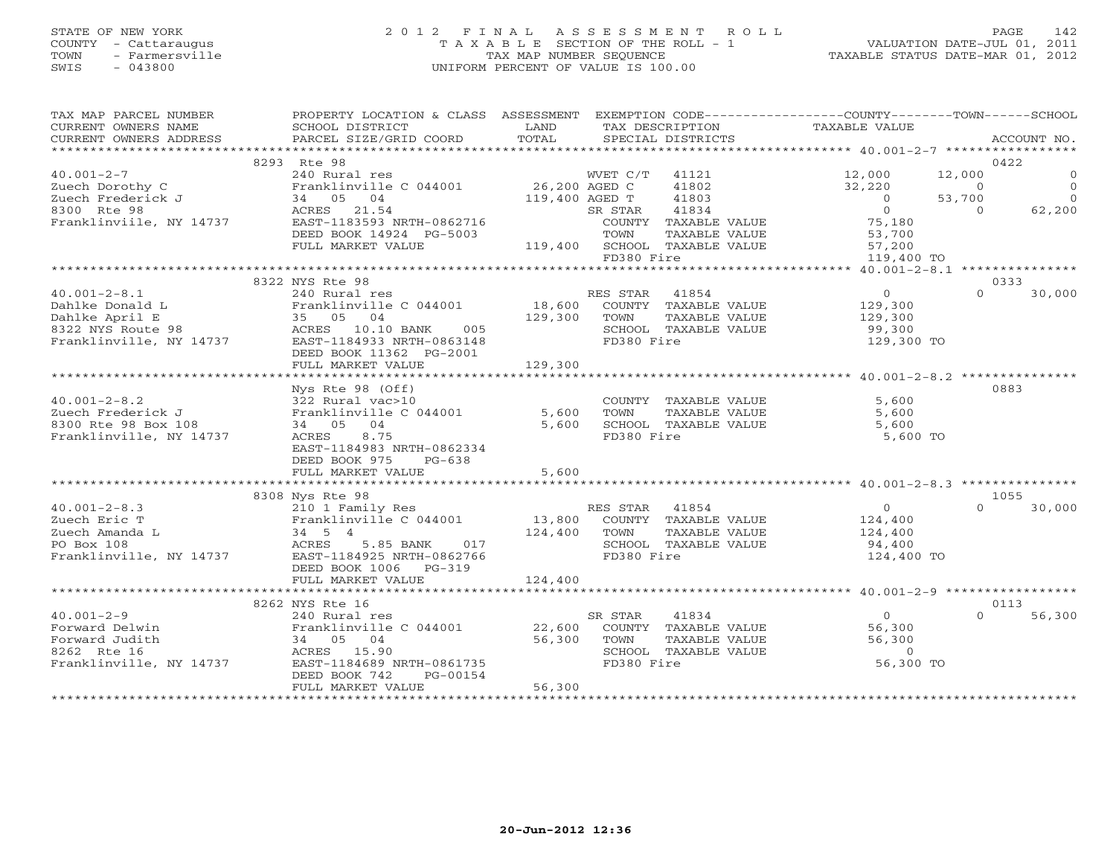# STATE OF NEW YORK 2 0 1 2 F I N A L A S S E S S M E N T R O L L PAGE 142 COUNTY - Cattaraugus T A X A B L E SECTION OF THE ROLL - 1 VALUATION DATE-JUL 01, 2011 TOWN - Farmersville TAX MAP NUMBER SEQUENCE TAXABLE STATUS DATE-MAR 01, 2012 SWIS - 043800 UNIFORM PERCENT OF VALUE IS 100.00UNIFORM PERCENT OF VALUE IS 100.00

| TAX MAP PARCEL NUMBER                                                                                                                                                                                                             | PROPERTY LOCATION & CLASS ASSESSMENT EXEMPTION CODE---------------COUNTY-------TOWN------SCHOOL                                                      |         |            |                                                                               |                                                          |                |                                       |
|-----------------------------------------------------------------------------------------------------------------------------------------------------------------------------------------------------------------------------------|------------------------------------------------------------------------------------------------------------------------------------------------------|---------|------------|-------------------------------------------------------------------------------|----------------------------------------------------------|----------------|---------------------------------------|
|                                                                                                                                                                                                                                   |                                                                                                                                                      |         |            |                                                                               |                                                          |                |                                       |
|                                                                                                                                                                                                                                   | 8293 Rte 98                                                                                                                                          |         |            |                                                                               |                                                          |                | 0422                                  |
| $40.001 - 2 - 7$                                                                                                                                                                                                                  | Xe Journal res<br>Pranklinville C 044001 26,200 AGED C 41802<br>34 05 04 119,400 AGED T 41803<br>ACRES 21.54 SR STAR 408<br>PRST 193593 NPTH 0862716 |         |            |                                                                               | 12,000                                                   | 12,000         | $\circ$                               |
|                                                                                                                                                                                                                                   |                                                                                                                                                      |         |            |                                                                               | 32,220<br>$32,220$ 0<br>0 53,700                         |                | $\begin{array}{c} 0 \\ 0 \end{array}$ |
|                                                                                                                                                                                                                                   |                                                                                                                                                      |         |            | 41803                                                                         |                                                          |                |                                       |
|                                                                                                                                                                                                                                   | Franklinville C 044001<br>Zuech Borothy C<br>Zuech Frederick J<br>8300 Rte 98<br>Franklinville, NY 14737<br>EAST-1183593 NRTH-0862716                |         |            |                                                                               | $0$<br>75,180                                            | $\overline{0}$ | 62,200                                |
|                                                                                                                                                                                                                                   |                                                                                                                                                      |         |            | COUNTY TAXABLE VALUE                                                          |                                                          |                |                                       |
|                                                                                                                                                                                                                                   | DEED BOOK 14924 PG-5003                                                                                                                              |         |            |                                                                               |                                                          |                |                                       |
|                                                                                                                                                                                                                                   | FULL MARKET VALUE                                                                                                                                    |         |            | FOOR TOWN TAXABLE VALUE<br>TOWN TAXABLE VALUE<br>119,400 SCHOOL TAXABLE VALUE | LUE 53,700<br>LUE 57,200<br>119,400                      |                |                                       |
|                                                                                                                                                                                                                                   |                                                                                                                                                      |         | FD380 Fire |                                                                               | 119,400 TO                                               |                |                                       |
|                                                                                                                                                                                                                                   | 8322 NYS Rte 98                                                                                                                                      |         |            |                                                                               |                                                          |                |                                       |
|                                                                                                                                                                                                                                   |                                                                                                                                                      |         |            |                                                                               |                                                          | $\Omega$       | 0333<br>30,000                        |
|                                                                                                                                                                                                                                   |                                                                                                                                                      |         |            |                                                                               |                                                          |                |                                       |
|                                                                                                                                                                                                                                   |                                                                                                                                                      |         |            |                                                                               |                                                          |                |                                       |
|                                                                                                                                                                                                                                   |                                                                                                                                                      |         |            |                                                                               |                                                          |                |                                       |
|                                                                                                                                                                                                                                   |                                                                                                                                                      |         |            |                                                                               | 129,300 TO                                               |                |                                       |
|                                                                                                                                                                                                                                   | DEED BOOK 11362 PG-2001                                                                                                                              |         |            |                                                                               |                                                          |                |                                       |
|                                                                                                                                                                                                                                   |                                                                                                                                                      |         |            |                                                                               |                                                          |                |                                       |
|                                                                                                                                                                                                                                   |                                                                                                                                                      |         |            |                                                                               |                                                          |                |                                       |
|                                                                                                                                                                                                                                   | Nys Rte 98 (Off)                                                                                                                                     |         |            |                                                                               |                                                          |                | 0883                                  |
| $40.001 - 2 - 8.2$                                                                                                                                                                                                                | 322 Rural vac>10                                                                                                                                     |         |            |                                                                               | 5,600                                                    |                |                                       |
| Zuech Frederick J                                                                                                                                                                                                                 | 322 Kurai vaczio<br>Franklinville C 044001 5,600 TOWN                                                                                                |         |            | TAXABLE VALUE                                                                 | 5,600                                                    |                |                                       |
| 2000 Rte 98 Box 108                                                                                                                                                                                                               | 34 05 04                                                                                                                                             |         |            | $5,600$ SCHOOL TAXABLE VALUE                                                  | 5,600                                                    |                |                                       |
| Franklinville, NY 14737                                                                                                                                                                                                           | ACRES 8.75                                                                                                                                           |         | FD380 Fire |                                                                               | 5,600 TO                                                 |                |                                       |
|                                                                                                                                                                                                                                   | EAST-1184983 NRTH-0862334                                                                                                                            |         |            |                                                                               |                                                          |                |                                       |
|                                                                                                                                                                                                                                   | DEED BOOK 975 PG-638                                                                                                                                 |         |            |                                                                               |                                                          |                |                                       |
|                                                                                                                                                                                                                                   | FULL MARKET VALUE                                                                                                                                    | 5,600   |            |                                                                               |                                                          |                |                                       |
|                                                                                                                                                                                                                                   |                                                                                                                                                      |         |            |                                                                               |                                                          |                |                                       |
|                                                                                                                                                                                                                                   | 8308 Nys Rte 98                                                                                                                                      |         |            |                                                                               |                                                          |                | 1055                                  |
|                                                                                                                                                                                                                                   |                                                                                                                                                      |         |            |                                                                               |                                                          | $\Omega$       | 30,000                                |
|                                                                                                                                                                                                                                   |                                                                                                                                                      |         |            |                                                                               |                                                          |                |                                       |
|                                                                                                                                                                                                                                   |                                                                                                                                                      |         |            |                                                                               |                                                          |                |                                       |
|                                                                                                                                                                                                                                   |                                                                                                                                                      |         |            |                                                                               |                                                          |                |                                       |
|                                                                                                                                                                                                                                   | DEED BOOK 1006 PG-319                                                                                                                                |         |            |                                                                               | 124,400 TO                                               |                |                                       |
|                                                                                                                                                                                                                                   | FULL MARKET VALUE                                                                                                                                    | 124,400 |            |                                                                               |                                                          |                |                                       |
|                                                                                                                                                                                                                                   |                                                                                                                                                      |         |            |                                                                               |                                                          |                |                                       |
|                                                                                                                                                                                                                                   | 8262 NYS Rte 16                                                                                                                                      |         |            |                                                                               |                                                          |                | 0113                                  |
|                                                                                                                                                                                                                                   |                                                                                                                                                      |         |            |                                                                               |                                                          | $\Omega$       | 56,300                                |
| $\begin{tabular}{llllll} 40.001-2-9 & & 240 Rural res \\ \hline \texttt{Forward Delwin} & \texttt{Franklinville} \\ \texttt{Forward Judith} & & 34 & 05 & 04 \\ \texttt{8262 Rte 16} & & \texttt{ACRES} & 15.90 \\ \end{tabular}$ |                                                                                                                                                      |         |            |                                                                               | $0$<br>56,300                                            |                |                                       |
|                                                                                                                                                                                                                                   |                                                                                                                                                      |         |            |                                                                               | TAAADLE VALUE<br>TAXABLE VALUE 56,300<br>mayari valiir 0 |                |                                       |
|                                                                                                                                                                                                                                   |                                                                                                                                                      |         |            | SCHOOL TAXABLE VALUE                                                          |                                                          |                |                                       |
|                                                                                                                                                                                                                                   | Forward Judith $34$ 05 04 56,300 TOWN<br>8262 Rte 16 ACRES 15.90 56,300 SCHOC<br>Franklinville, NY 14737 EAST-1184689 NRTH-0861735 FD380             |         | FD380 Fire |                                                                               | 56,300 TO                                                |                |                                       |
|                                                                                                                                                                                                                                   | PG-00154<br>DEED BOOK 742                                                                                                                            |         |            |                                                                               |                                                          |                |                                       |
|                                                                                                                                                                                                                                   | FULL MARKET VALUE                                                                                                                                    | 56,300  |            |                                                                               |                                                          |                |                                       |
|                                                                                                                                                                                                                                   |                                                                                                                                                      |         |            |                                                                               |                                                          |                |                                       |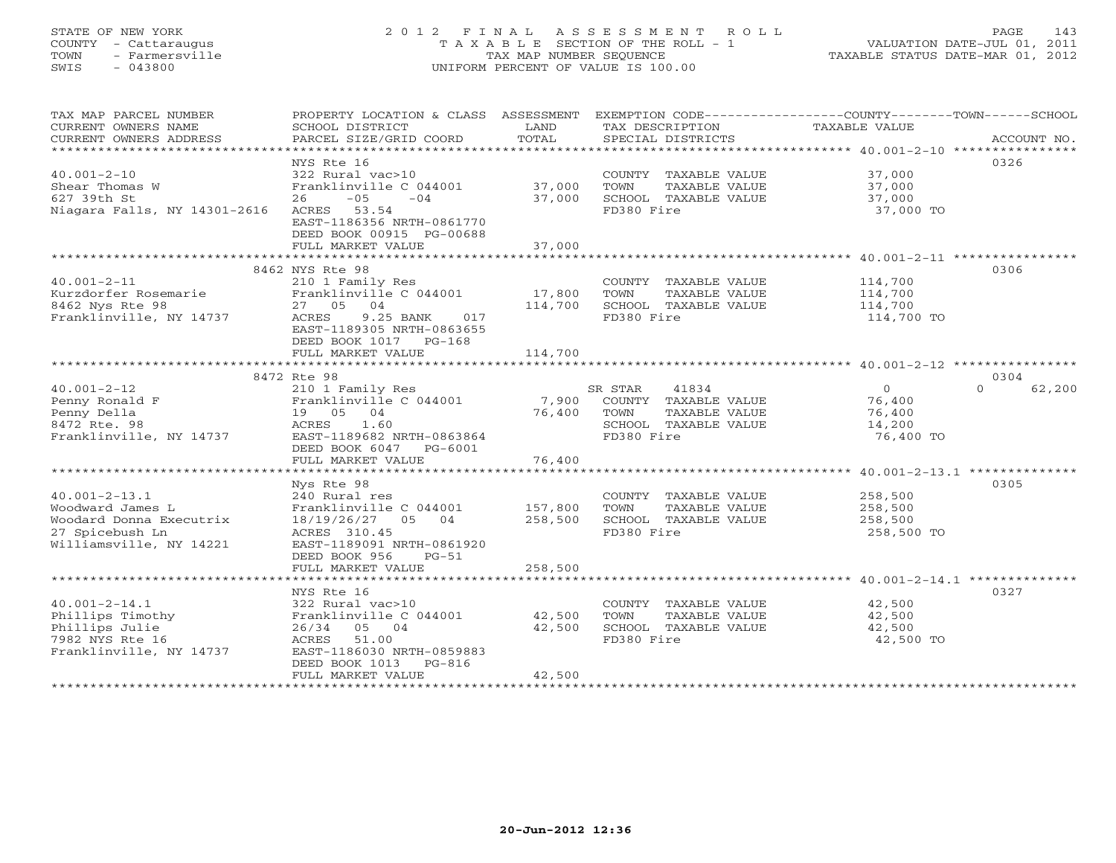# STATE OF NEW YORK 2 0 1 2 F I N A L A S S E S S M E N T R O L L PAGE 143 COUNTY - Cattaraugus T A X A B L E SECTION OF THE ROLL - 1 VALUATION DATE-JUL 01, 2011 TOWN - Farmersville TAX MAP NUMBER SEQUENCE TAXABLE STATUS DATE-MAR 01, 2012 SWIS - 043800 UNIFORM PERCENT OF VALUE IS 100.00UNIFORM PERCENT OF VALUE IS 100.00

| TAX MAP PARCEL NUMBER                         | PROPERTY LOCATION & CLASS ASSESSMENT EXEMPTION CODE---------------COUNTY-------TOWN------SCHOOL |                 |                                               | <b>TAXABLE VALUE</b>  |                    |
|-----------------------------------------------|-------------------------------------------------------------------------------------------------|-----------------|-----------------------------------------------|-----------------------|--------------------|
| CURRENT OWNERS NAME<br>CURRENT OWNERS ADDRESS | SCHOOL DISTRICT<br>PARCEL SIZE/GRID COORD                                                       | LAND<br>TOTAL   | TAX DESCRIPTION<br>SPECIAL DISTRICTS          |                       | ACCOUNT NO.        |
|                                               | NYS Rte 16                                                                                      |                 |                                               |                       | 0326               |
| $40.001 - 2 - 10$                             | 322 Rural vac>10                                                                                |                 | COUNTY TAXABLE VALUE                          | 37,000                |                    |
| Shear Thomas W                                | Franklinville C 044001                                                                          | 37,000          | TOWN<br>TAXABLE VALUE                         | 37,000                |                    |
| 627 39th St                                   | $-05$<br>$-04$<br>26                                                                            | 37,000          | SCHOOL TAXABLE VALUE                          | 37,000                |                    |
| Niagara Falls, NY 14301-2616                  | ACRES 53.54                                                                                     |                 | FD380 Fire                                    | 37,000 TO             |                    |
|                                               | EAST-1186356 NRTH-0861770                                                                       |                 |                                               |                       |                    |
|                                               | DEED BOOK 00915 PG-00688                                                                        |                 |                                               |                       |                    |
|                                               | FULL MARKET VALUE                                                                               | 37,000          |                                               |                       |                    |
|                                               | 8462 NYS Rte 98                                                                                 |                 |                                               |                       | 0306               |
| $40.001 - 2 - 11$                             | 210 1 Family Res                                                                                |                 | COUNTY TAXABLE VALUE                          | 114,700               |                    |
| Kurzdorfer Rosemarie                          | Franklinville C 044001                                                                          | 17,800          | TOWN<br>TAXABLE VALUE                         | 114,700               |                    |
| 8462 Nys Rte 98                               | 27 05<br>04                                                                                     | 114,700         | SCHOOL TAXABLE VALUE                          | 114,700               |                    |
| Franklinville, NY 14737                       | ACRES<br>9.25 BANK<br>017                                                                       |                 | FD380 Fire                                    | 114,700 TO            |                    |
|                                               | EAST-1189305 NRTH-0863655                                                                       |                 |                                               |                       |                    |
|                                               | DEED BOOK 1017 PG-168                                                                           |                 |                                               |                       |                    |
|                                               | FULL MARKET VALUE                                                                               | 114,700         |                                               |                       |                    |
|                                               |                                                                                                 |                 |                                               |                       |                    |
|                                               | 8472 Rte 98                                                                                     |                 |                                               |                       | 0304               |
| $40.001 - 2 - 12$                             | 210 1 Family Res                                                                                |                 | SR STAR<br>41834                              | $\overline{0}$        | 62,200<br>$\Omega$ |
| Penny Ronald F<br>Penny Della                 | Franklinville C 044001<br>19 05 04                                                              | 7,900<br>76,400 | COUNTY TAXABLE VALUE<br>TOWN<br>TAXABLE VALUE | 76,400<br>76,400      |                    |
| 8472 Rte. 98                                  | ACRES 1.60                                                                                      |                 | SCHOOL TAXABLE VALUE                          | 14,200                |                    |
| Franklinville, NY 14737                       | EAST-1189682 NRTH-0863864                                                                       |                 | FD380 Fire                                    | 76,400 TO             |                    |
|                                               | DEED BOOK 6047 PG-6001                                                                          |                 |                                               |                       |                    |
|                                               | FULL MARKET VALUE                                                                               | 76,400          |                                               |                       |                    |
|                                               |                                                                                                 |                 |                                               |                       |                    |
|                                               | Nys Rte 98                                                                                      |                 |                                               |                       | 0305               |
| $40.001 - 2 - 13.1$                           | 240 Rural res                                                                                   |                 | COUNTY TAXABLE VALUE                          | 258,500               |                    |
| Woodward James L                              | Franklinville C 044001                                                                          | 157,800         | TOWN<br>TAXABLE VALUE                         | 258,500               |                    |
| Woodard Donna Executrix<br>27 Spicebush Ln    | 18/19/26/27 05 04<br>ACRES 310.45                                                               | 258,500         | SCHOOL TAXABLE VALUE<br>FD380 Fire            | 258,500<br>258,500 TO |                    |
| Williamsville, NY 14221                       | EAST-1189091 NRTH-0861920                                                                       |                 |                                               |                       |                    |
|                                               | DEED BOOK 956<br>$PG-51$                                                                        |                 |                                               |                       |                    |
|                                               | FULL MARKET VALUE                                                                               | 258,500         |                                               |                       |                    |
|                                               |                                                                                                 |                 |                                               |                       |                    |
|                                               | NYS Rte 16                                                                                      |                 |                                               |                       | 0327               |
| $40.001 - 2 - 14.1$                           | 322 Rural vac>10                                                                                |                 | COUNTY TAXABLE VALUE                          | 42,500                |                    |
| Phillips Timothy                              | Franklinville C 044001                                                                          | 42,500          | TAXABLE VALUE<br>TOWN                         | 42,500                |                    |
| Phillips Julie                                | 26/34 05 04                                                                                     | 42,500          | SCHOOL TAXABLE VALUE                          | 42,500                |                    |
| 7982 NYS Rte 16                               | ACRES<br>51.00<br>EAST-1186030 NRTH-0859883                                                     |                 | FD380 Fire                                    | 42,500 TO             |                    |
| Franklinville, NY 14737                       | DEED BOOK 1013<br>$PG-816$                                                                      |                 |                                               |                       |                    |
|                                               | FULL MARKET VALUE                                                                               | 42,500          |                                               |                       |                    |
|                                               |                                                                                                 |                 |                                               |                       |                    |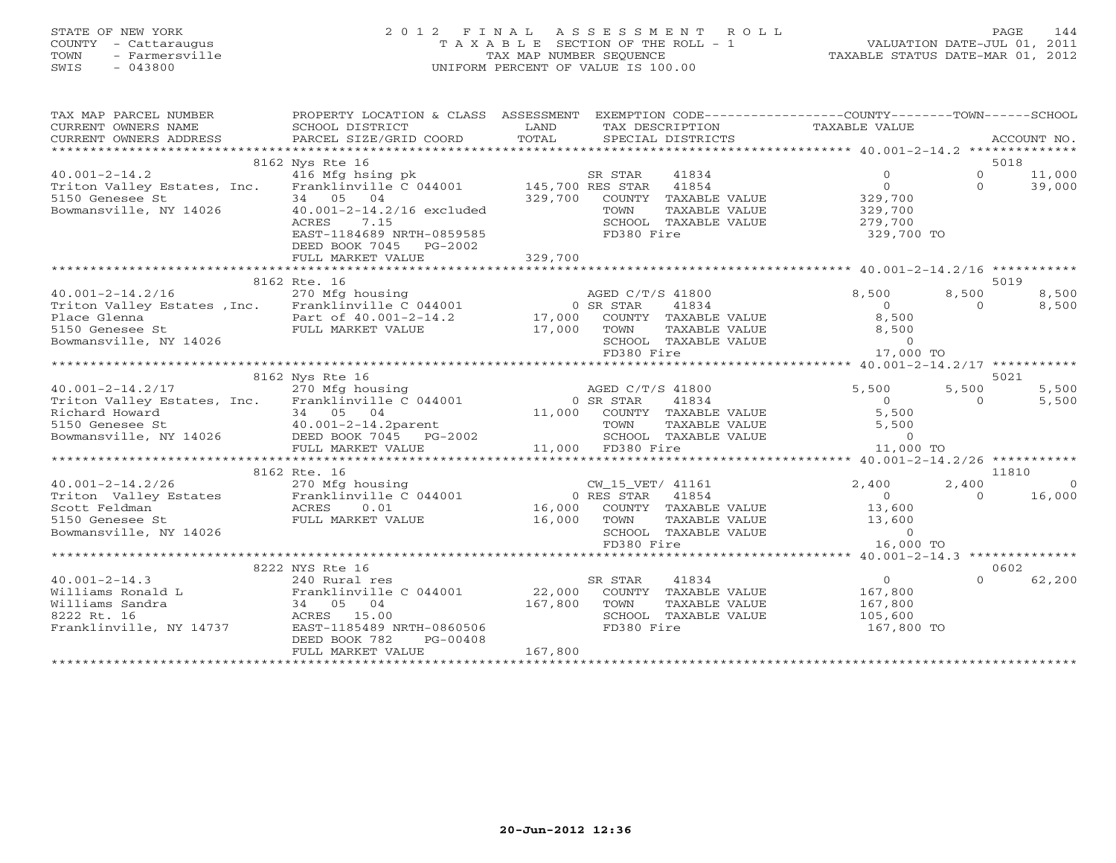# STATE OF NEW YORK 2 0 1 2 F I N A L A S S E S S M E N T R O L L PAGE 144 COUNTY - Cattaraugus T A X A B L E SECTION OF THE ROLL - 1 VALUATION DATE-JUL 01, 2011 TOWN - Farmersville TAX MAP NUMBER SEQUENCE TAXABLE STATUS DATE-MAR 01, 2012 SWIS - 043800 UNIFORM PERCENT OF VALUE IS 100.00UNIFORM PERCENT OF VALUE IS 100.00

| CONNERY OWNERS ADDRESS FORCEL SIZE/GRID COORD TOTAL SECIAL DISTRICTS FOR ACCOUNT NO.<br>- TECTAL SECIAL DISTRICTS FOR PORT ON ACCOUNT NO ACCOUNT AND A SECIAL DISTRICTS ACCOUNT AND A SECURE A SECOND TO A SECOND THE SECOND SECI<br>8162 Nys Rte 16<br>5018<br>40.001-2-14.2 416 Mfg hsing pk SR STAR<br>Triton Valley Estates, Inc. Franklinville C 044001 145,700 RES STAR<br>41834<br>$\circ$<br>$\Omega$<br>11,000<br>$\Omega$<br>$\Omega$<br>39,000<br>41854<br>5150 Genesee St<br>34 05 04<br>329,700<br>COUNTY TAXABLE VALUE<br>329,700<br>40.001-2-14.2/16 excluded<br>Bowmansville, NY 14026<br>329,700<br>TOWN<br>TAXABLE VALUE<br>7.15<br>SCHOOL TAXABLE VALUE<br>279,700<br>ACRES<br>EAST-1184689 NRTH-0859585<br>FD380 Fire<br>329,700 TO<br>DEED BOOK 7045 PG-2002<br>329,700<br>FULL MARKET VALUE<br>8162 Rte. 16<br>5019<br>40.001-2-14.2/16 270 Mfg housing<br>Triton Valley Estates , Inc. Franklinville C 044001<br>AGED C/T/S 41800<br>8,500<br>8,500<br>8,500<br>0 SR STAR<br>$\bigcirc$<br>41834<br>8,500<br>$\Omega$<br>17,000 COUNTY TAXABLE VALUE<br>8,500<br>Place Glenna<br>Part of $40.001-2-14.2$<br>FULL MARKET VALUE<br>5150 Genesee St<br>FULL MARKET VALUE<br>17,000<br>TOWN<br>8,500<br>TAXABLE VALUE<br>$\Omega$<br>Bowmansville, NY 14026<br>SCHOOL TAXABLE VALUE<br>17,000 TO<br>FD380 Fire<br>***************************<br>8162 Nys Rte 16<br>5021<br>5,500<br>$40.001 - 2 - 14.2/17$<br>270 Mfg housing<br>AGED C/T/S 41800<br>5,500<br>5,500<br>Triton Valley Estates, Inc. Franklinville C 044001<br>0 SR STAR<br>41834<br>5,500<br>$\overline{0}$<br>$\Omega$<br>Richard Howard<br>34 05 04<br>11,000 COUNTY TAXABLE VALUE<br>5,500<br>$34$ 05 04<br>$40.001-2-14.2$ parent<br>$-2005$ 2007 2015 PG<br>5150 Genesee St<br>5,500<br>TOWN<br>TAXABLE VALUE<br>Bowmansville, NY 14026 DEED BOOK 7045 PG-2002<br>SCHOOL TAXABLE VALUE<br>$\overline{0}$<br>11,000 FD380 Fire<br>11,000 TO<br>FULL MARKET VALUE<br>8162 Rte. 16<br>11810<br>$40.001 - 2 - 14.2/26$<br>270 Mfg housing<br>CW_15_VET/ 41161<br>2,400<br>2,400<br>$\bigcirc$<br>Franklinville C 044001<br>16,000<br>0 RES STAR<br>41854<br>$\bigcirc$<br>$\Omega$<br>16,000 COUNTY TAXABLE VALUE<br>13,600<br>16,000<br>13,600<br>TOWN<br>TAXABLE VALUE<br>Bowmansville, NY 14026<br>SCHOOL TAXABLE VALUE<br>$\Omega$<br>FD380 Fire<br>16,000 TO<br>*******************************<br>****** $40.001-2-14.3$ **************<br>8222 NYS Rte 16<br>0602<br>$\overline{O}$<br>62,200<br>41834<br>$\cap$<br>240 Rural res<br>SR STAR<br>Franklinville C 044001<br>22,000<br>167,800<br>COUNTY TAXABLE VALUE<br>04<br>167,800<br>167,800<br>34 05<br>TOWN<br>TAXABLE VALUE<br>SCHOOL TAXABLE VALUE<br>ACRES 15.00<br>105,600<br>EAST-1185489 NRTH-0860506<br>FD380 Fire<br>167,800 TO<br>$PG-00408$<br>DEED BOOK 782<br>167,800<br>FULL MARKET VALUE | TAX MAP PARCEL NUMBER<br>CURRENT OWNERS NAME<br>CURRENT OWNERS ADDRESS | PROPERTY LOCATION & CLASS ASSESSMENT<br>SCHOOL DISTRICT | LAND | TAX DESCRIPTION | EXEMPTION CODE-----------------COUNTY-------TOWN------SCHOOL<br>TAXABLE VALUE |  |
|--------------------------------------------------------------------------------------------------------------------------------------------------------------------------------------------------------------------------------------------------------------------------------------------------------------------------------------------------------------------------------------------------------------------------------------------------------------------------------------------------------------------------------------------------------------------------------------------------------------------------------------------------------------------------------------------------------------------------------------------------------------------------------------------------------------------------------------------------------------------------------------------------------------------------------------------------------------------------------------------------------------------------------------------------------------------------------------------------------------------------------------------------------------------------------------------------------------------------------------------------------------------------------------------------------------------------------------------------------------------------------------------------------------------------------------------------------------------------------------------------------------------------------------------------------------------------------------------------------------------------------------------------------------------------------------------------------------------------------------------------------------------------------------------------------------------------------------------------------------------------------------------------------------------------------------------------------------------------------------------------------------------------------------------------------------------------------------------------------------------------------------------------------------------------------------------------------------------------------------------------------------------------------------------------------------------------------------------------------------------------------------------------------------------------------------------------------------------------------------------------------------------------------------------------------------------------------------------------------------------------------------------------------------------------------------------------------------------------------------------------------------------------------------------------------------------------------------------------------|------------------------------------------------------------------------|---------------------------------------------------------|------|-----------------|-------------------------------------------------------------------------------|--|
|                                                                                                                                                                                                                                                                                                                                                                                                                                                                                                                                                                                                                                                                                                                                                                                                                                                                                                                                                                                                                                                                                                                                                                                                                                                                                                                                                                                                                                                                                                                                                                                                                                                                                                                                                                                                                                                                                                                                                                                                                                                                                                                                                                                                                                                                                                                                                                                                                                                                                                                                                                                                                                                                                                                                                                                                                                                        |                                                                        |                                                         |      |                 |                                                                               |  |
|                                                                                                                                                                                                                                                                                                                                                                                                                                                                                                                                                                                                                                                                                                                                                                                                                                                                                                                                                                                                                                                                                                                                                                                                                                                                                                                                                                                                                                                                                                                                                                                                                                                                                                                                                                                                                                                                                                                                                                                                                                                                                                                                                                                                                                                                                                                                                                                                                                                                                                                                                                                                                                                                                                                                                                                                                                                        |                                                                        |                                                         |      |                 |                                                                               |  |
|                                                                                                                                                                                                                                                                                                                                                                                                                                                                                                                                                                                                                                                                                                                                                                                                                                                                                                                                                                                                                                                                                                                                                                                                                                                                                                                                                                                                                                                                                                                                                                                                                                                                                                                                                                                                                                                                                                                                                                                                                                                                                                                                                                                                                                                                                                                                                                                                                                                                                                                                                                                                                                                                                                                                                                                                                                                        |                                                                        |                                                         |      |                 |                                                                               |  |
|                                                                                                                                                                                                                                                                                                                                                                                                                                                                                                                                                                                                                                                                                                                                                                                                                                                                                                                                                                                                                                                                                                                                                                                                                                                                                                                                                                                                                                                                                                                                                                                                                                                                                                                                                                                                                                                                                                                                                                                                                                                                                                                                                                                                                                                                                                                                                                                                                                                                                                                                                                                                                                                                                                                                                                                                                                                        |                                                                        |                                                         |      |                 |                                                                               |  |
|                                                                                                                                                                                                                                                                                                                                                                                                                                                                                                                                                                                                                                                                                                                                                                                                                                                                                                                                                                                                                                                                                                                                                                                                                                                                                                                                                                                                                                                                                                                                                                                                                                                                                                                                                                                                                                                                                                                                                                                                                                                                                                                                                                                                                                                                                                                                                                                                                                                                                                                                                                                                                                                                                                                                                                                                                                                        |                                                                        |                                                         |      |                 |                                                                               |  |
|                                                                                                                                                                                                                                                                                                                                                                                                                                                                                                                                                                                                                                                                                                                                                                                                                                                                                                                                                                                                                                                                                                                                                                                                                                                                                                                                                                                                                                                                                                                                                                                                                                                                                                                                                                                                                                                                                                                                                                                                                                                                                                                                                                                                                                                                                                                                                                                                                                                                                                                                                                                                                                                                                                                                                                                                                                                        |                                                                        |                                                         |      |                 |                                                                               |  |
|                                                                                                                                                                                                                                                                                                                                                                                                                                                                                                                                                                                                                                                                                                                                                                                                                                                                                                                                                                                                                                                                                                                                                                                                                                                                                                                                                                                                                                                                                                                                                                                                                                                                                                                                                                                                                                                                                                                                                                                                                                                                                                                                                                                                                                                                                                                                                                                                                                                                                                                                                                                                                                                                                                                                                                                                                                                        |                                                                        |                                                         |      |                 |                                                                               |  |
|                                                                                                                                                                                                                                                                                                                                                                                                                                                                                                                                                                                                                                                                                                                                                                                                                                                                                                                                                                                                                                                                                                                                                                                                                                                                                                                                                                                                                                                                                                                                                                                                                                                                                                                                                                                                                                                                                                                                                                                                                                                                                                                                                                                                                                                                                                                                                                                                                                                                                                                                                                                                                                                                                                                                                                                                                                                        |                                                                        |                                                         |      |                 |                                                                               |  |
|                                                                                                                                                                                                                                                                                                                                                                                                                                                                                                                                                                                                                                                                                                                                                                                                                                                                                                                                                                                                                                                                                                                                                                                                                                                                                                                                                                                                                                                                                                                                                                                                                                                                                                                                                                                                                                                                                                                                                                                                                                                                                                                                                                                                                                                                                                                                                                                                                                                                                                                                                                                                                                                                                                                                                                                                                                                        |                                                                        |                                                         |      |                 |                                                                               |  |
|                                                                                                                                                                                                                                                                                                                                                                                                                                                                                                                                                                                                                                                                                                                                                                                                                                                                                                                                                                                                                                                                                                                                                                                                                                                                                                                                                                                                                                                                                                                                                                                                                                                                                                                                                                                                                                                                                                                                                                                                                                                                                                                                                                                                                                                                                                                                                                                                                                                                                                                                                                                                                                                                                                                                                                                                                                                        |                                                                        |                                                         |      |                 |                                                                               |  |
|                                                                                                                                                                                                                                                                                                                                                                                                                                                                                                                                                                                                                                                                                                                                                                                                                                                                                                                                                                                                                                                                                                                                                                                                                                                                                                                                                                                                                                                                                                                                                                                                                                                                                                                                                                                                                                                                                                                                                                                                                                                                                                                                                                                                                                                                                                                                                                                                                                                                                                                                                                                                                                                                                                                                                                                                                                                        |                                                                        |                                                         |      |                 |                                                                               |  |
|                                                                                                                                                                                                                                                                                                                                                                                                                                                                                                                                                                                                                                                                                                                                                                                                                                                                                                                                                                                                                                                                                                                                                                                                                                                                                                                                                                                                                                                                                                                                                                                                                                                                                                                                                                                                                                                                                                                                                                                                                                                                                                                                                                                                                                                                                                                                                                                                                                                                                                                                                                                                                                                                                                                                                                                                                                                        |                                                                        |                                                         |      |                 |                                                                               |  |
|                                                                                                                                                                                                                                                                                                                                                                                                                                                                                                                                                                                                                                                                                                                                                                                                                                                                                                                                                                                                                                                                                                                                                                                                                                                                                                                                                                                                                                                                                                                                                                                                                                                                                                                                                                                                                                                                                                                                                                                                                                                                                                                                                                                                                                                                                                                                                                                                                                                                                                                                                                                                                                                                                                                                                                                                                                                        |                                                                        |                                                         |      |                 |                                                                               |  |
|                                                                                                                                                                                                                                                                                                                                                                                                                                                                                                                                                                                                                                                                                                                                                                                                                                                                                                                                                                                                                                                                                                                                                                                                                                                                                                                                                                                                                                                                                                                                                                                                                                                                                                                                                                                                                                                                                                                                                                                                                                                                                                                                                                                                                                                                                                                                                                                                                                                                                                                                                                                                                                                                                                                                                                                                                                                        |                                                                        |                                                         |      |                 |                                                                               |  |
|                                                                                                                                                                                                                                                                                                                                                                                                                                                                                                                                                                                                                                                                                                                                                                                                                                                                                                                                                                                                                                                                                                                                                                                                                                                                                                                                                                                                                                                                                                                                                                                                                                                                                                                                                                                                                                                                                                                                                                                                                                                                                                                                                                                                                                                                                                                                                                                                                                                                                                                                                                                                                                                                                                                                                                                                                                                        |                                                                        |                                                         |      |                 |                                                                               |  |
|                                                                                                                                                                                                                                                                                                                                                                                                                                                                                                                                                                                                                                                                                                                                                                                                                                                                                                                                                                                                                                                                                                                                                                                                                                                                                                                                                                                                                                                                                                                                                                                                                                                                                                                                                                                                                                                                                                                                                                                                                                                                                                                                                                                                                                                                                                                                                                                                                                                                                                                                                                                                                                                                                                                                                                                                                                                        |                                                                        |                                                         |      |                 |                                                                               |  |
|                                                                                                                                                                                                                                                                                                                                                                                                                                                                                                                                                                                                                                                                                                                                                                                                                                                                                                                                                                                                                                                                                                                                                                                                                                                                                                                                                                                                                                                                                                                                                                                                                                                                                                                                                                                                                                                                                                                                                                                                                                                                                                                                                                                                                                                                                                                                                                                                                                                                                                                                                                                                                                                                                                                                                                                                                                                        |                                                                        |                                                         |      |                 |                                                                               |  |
|                                                                                                                                                                                                                                                                                                                                                                                                                                                                                                                                                                                                                                                                                                                                                                                                                                                                                                                                                                                                                                                                                                                                                                                                                                                                                                                                                                                                                                                                                                                                                                                                                                                                                                                                                                                                                                                                                                                                                                                                                                                                                                                                                                                                                                                                                                                                                                                                                                                                                                                                                                                                                                                                                                                                                                                                                                                        |                                                                        |                                                         |      |                 |                                                                               |  |
|                                                                                                                                                                                                                                                                                                                                                                                                                                                                                                                                                                                                                                                                                                                                                                                                                                                                                                                                                                                                                                                                                                                                                                                                                                                                                                                                                                                                                                                                                                                                                                                                                                                                                                                                                                                                                                                                                                                                                                                                                                                                                                                                                                                                                                                                                                                                                                                                                                                                                                                                                                                                                                                                                                                                                                                                                                                        |                                                                        |                                                         |      |                 |                                                                               |  |
|                                                                                                                                                                                                                                                                                                                                                                                                                                                                                                                                                                                                                                                                                                                                                                                                                                                                                                                                                                                                                                                                                                                                                                                                                                                                                                                                                                                                                                                                                                                                                                                                                                                                                                                                                                                                                                                                                                                                                                                                                                                                                                                                                                                                                                                                                                                                                                                                                                                                                                                                                                                                                                                                                                                                                                                                                                                        |                                                                        |                                                         |      |                 |                                                                               |  |
|                                                                                                                                                                                                                                                                                                                                                                                                                                                                                                                                                                                                                                                                                                                                                                                                                                                                                                                                                                                                                                                                                                                                                                                                                                                                                                                                                                                                                                                                                                                                                                                                                                                                                                                                                                                                                                                                                                                                                                                                                                                                                                                                                                                                                                                                                                                                                                                                                                                                                                                                                                                                                                                                                                                                                                                                                                                        |                                                                        |                                                         |      |                 |                                                                               |  |
|                                                                                                                                                                                                                                                                                                                                                                                                                                                                                                                                                                                                                                                                                                                                                                                                                                                                                                                                                                                                                                                                                                                                                                                                                                                                                                                                                                                                                                                                                                                                                                                                                                                                                                                                                                                                                                                                                                                                                                                                                                                                                                                                                                                                                                                                                                                                                                                                                                                                                                                                                                                                                                                                                                                                                                                                                                                        |                                                                        |                                                         |      |                 |                                                                               |  |
|                                                                                                                                                                                                                                                                                                                                                                                                                                                                                                                                                                                                                                                                                                                                                                                                                                                                                                                                                                                                                                                                                                                                                                                                                                                                                                                                                                                                                                                                                                                                                                                                                                                                                                                                                                                                                                                                                                                                                                                                                                                                                                                                                                                                                                                                                                                                                                                                                                                                                                                                                                                                                                                                                                                                                                                                                                                        |                                                                        |                                                         |      |                 |                                                                               |  |
|                                                                                                                                                                                                                                                                                                                                                                                                                                                                                                                                                                                                                                                                                                                                                                                                                                                                                                                                                                                                                                                                                                                                                                                                                                                                                                                                                                                                                                                                                                                                                                                                                                                                                                                                                                                                                                                                                                                                                                                                                                                                                                                                                                                                                                                                                                                                                                                                                                                                                                                                                                                                                                                                                                                                                                                                                                                        |                                                                        |                                                         |      |                 |                                                                               |  |
|                                                                                                                                                                                                                                                                                                                                                                                                                                                                                                                                                                                                                                                                                                                                                                                                                                                                                                                                                                                                                                                                                                                                                                                                                                                                                                                                                                                                                                                                                                                                                                                                                                                                                                                                                                                                                                                                                                                                                                                                                                                                                                                                                                                                                                                                                                                                                                                                                                                                                                                                                                                                                                                                                                                                                                                                                                                        |                                                                        |                                                         |      |                 |                                                                               |  |
|                                                                                                                                                                                                                                                                                                                                                                                                                                                                                                                                                                                                                                                                                                                                                                                                                                                                                                                                                                                                                                                                                                                                                                                                                                                                                                                                                                                                                                                                                                                                                                                                                                                                                                                                                                                                                                                                                                                                                                                                                                                                                                                                                                                                                                                                                                                                                                                                                                                                                                                                                                                                                                                                                                                                                                                                                                                        |                                                                        |                                                         |      |                 |                                                                               |  |
|                                                                                                                                                                                                                                                                                                                                                                                                                                                                                                                                                                                                                                                                                                                                                                                                                                                                                                                                                                                                                                                                                                                                                                                                                                                                                                                                                                                                                                                                                                                                                                                                                                                                                                                                                                                                                                                                                                                                                                                                                                                                                                                                                                                                                                                                                                                                                                                                                                                                                                                                                                                                                                                                                                                                                                                                                                                        |                                                                        |                                                         |      |                 |                                                                               |  |
|                                                                                                                                                                                                                                                                                                                                                                                                                                                                                                                                                                                                                                                                                                                                                                                                                                                                                                                                                                                                                                                                                                                                                                                                                                                                                                                                                                                                                                                                                                                                                                                                                                                                                                                                                                                                                                                                                                                                                                                                                                                                                                                                                                                                                                                                                                                                                                                                                                                                                                                                                                                                                                                                                                                                                                                                                                                        |                                                                        |                                                         |      |                 |                                                                               |  |
|                                                                                                                                                                                                                                                                                                                                                                                                                                                                                                                                                                                                                                                                                                                                                                                                                                                                                                                                                                                                                                                                                                                                                                                                                                                                                                                                                                                                                                                                                                                                                                                                                                                                                                                                                                                                                                                                                                                                                                                                                                                                                                                                                                                                                                                                                                                                                                                                                                                                                                                                                                                                                                                                                                                                                                                                                                                        |                                                                        |                                                         |      |                 |                                                                               |  |
|                                                                                                                                                                                                                                                                                                                                                                                                                                                                                                                                                                                                                                                                                                                                                                                                                                                                                                                                                                                                                                                                                                                                                                                                                                                                                                                                                                                                                                                                                                                                                                                                                                                                                                                                                                                                                                                                                                                                                                                                                                                                                                                                                                                                                                                                                                                                                                                                                                                                                                                                                                                                                                                                                                                                                                                                                                                        |                                                                        |                                                         |      |                 |                                                                               |  |
|                                                                                                                                                                                                                                                                                                                                                                                                                                                                                                                                                                                                                                                                                                                                                                                                                                                                                                                                                                                                                                                                                                                                                                                                                                                                                                                                                                                                                                                                                                                                                                                                                                                                                                                                                                                                                                                                                                                                                                                                                                                                                                                                                                                                                                                                                                                                                                                                                                                                                                                                                                                                                                                                                                                                                                                                                                                        |                                                                        |                                                         |      |                 |                                                                               |  |
|                                                                                                                                                                                                                                                                                                                                                                                                                                                                                                                                                                                                                                                                                                                                                                                                                                                                                                                                                                                                                                                                                                                                                                                                                                                                                                                                                                                                                                                                                                                                                                                                                                                                                                                                                                                                                                                                                                                                                                                                                                                                                                                                                                                                                                                                                                                                                                                                                                                                                                                                                                                                                                                                                                                                                                                                                                                        |                                                                        |                                                         |      |                 |                                                                               |  |
|                                                                                                                                                                                                                                                                                                                                                                                                                                                                                                                                                                                                                                                                                                                                                                                                                                                                                                                                                                                                                                                                                                                                                                                                                                                                                                                                                                                                                                                                                                                                                                                                                                                                                                                                                                                                                                                                                                                                                                                                                                                                                                                                                                                                                                                                                                                                                                                                                                                                                                                                                                                                                                                                                                                                                                                                                                                        |                                                                        |                                                         |      |                 |                                                                               |  |
|                                                                                                                                                                                                                                                                                                                                                                                                                                                                                                                                                                                                                                                                                                                                                                                                                                                                                                                                                                                                                                                                                                                                                                                                                                                                                                                                                                                                                                                                                                                                                                                                                                                                                                                                                                                                                                                                                                                                                                                                                                                                                                                                                                                                                                                                                                                                                                                                                                                                                                                                                                                                                                                                                                                                                                                                                                                        |                                                                        |                                                         |      |                 |                                                                               |  |
|                                                                                                                                                                                                                                                                                                                                                                                                                                                                                                                                                                                                                                                                                                                                                                                                                                                                                                                                                                                                                                                                                                                                                                                                                                                                                                                                                                                                                                                                                                                                                                                                                                                                                                                                                                                                                                                                                                                                                                                                                                                                                                                                                                                                                                                                                                                                                                                                                                                                                                                                                                                                                                                                                                                                                                                                                                                        |                                                                        |                                                         |      |                 |                                                                               |  |
|                                                                                                                                                                                                                                                                                                                                                                                                                                                                                                                                                                                                                                                                                                                                                                                                                                                                                                                                                                                                                                                                                                                                                                                                                                                                                                                                                                                                                                                                                                                                                                                                                                                                                                                                                                                                                                                                                                                                                                                                                                                                                                                                                                                                                                                                                                                                                                                                                                                                                                                                                                                                                                                                                                                                                                                                                                                        | $40.001 - 2 - 14.3$                                                    |                                                         |      |                 |                                                                               |  |
|                                                                                                                                                                                                                                                                                                                                                                                                                                                                                                                                                                                                                                                                                                                                                                                                                                                                                                                                                                                                                                                                                                                                                                                                                                                                                                                                                                                                                                                                                                                                                                                                                                                                                                                                                                                                                                                                                                                                                                                                                                                                                                                                                                                                                                                                                                                                                                                                                                                                                                                                                                                                                                                                                                                                                                                                                                                        | Williams Ronald L                                                      |                                                         |      |                 |                                                                               |  |
|                                                                                                                                                                                                                                                                                                                                                                                                                                                                                                                                                                                                                                                                                                                                                                                                                                                                                                                                                                                                                                                                                                                                                                                                                                                                                                                                                                                                                                                                                                                                                                                                                                                                                                                                                                                                                                                                                                                                                                                                                                                                                                                                                                                                                                                                                                                                                                                                                                                                                                                                                                                                                                                                                                                                                                                                                                                        | Williams Sandra                                                        |                                                         |      |                 |                                                                               |  |
|                                                                                                                                                                                                                                                                                                                                                                                                                                                                                                                                                                                                                                                                                                                                                                                                                                                                                                                                                                                                                                                                                                                                                                                                                                                                                                                                                                                                                                                                                                                                                                                                                                                                                                                                                                                                                                                                                                                                                                                                                                                                                                                                                                                                                                                                                                                                                                                                                                                                                                                                                                                                                                                                                                                                                                                                                                                        | 8222 Rt. 16                                                            |                                                         |      |                 |                                                                               |  |
|                                                                                                                                                                                                                                                                                                                                                                                                                                                                                                                                                                                                                                                                                                                                                                                                                                                                                                                                                                                                                                                                                                                                                                                                                                                                                                                                                                                                                                                                                                                                                                                                                                                                                                                                                                                                                                                                                                                                                                                                                                                                                                                                                                                                                                                                                                                                                                                                                                                                                                                                                                                                                                                                                                                                                                                                                                                        | Franklinville, NY 14737                                                |                                                         |      |                 |                                                                               |  |
|                                                                                                                                                                                                                                                                                                                                                                                                                                                                                                                                                                                                                                                                                                                                                                                                                                                                                                                                                                                                                                                                                                                                                                                                                                                                                                                                                                                                                                                                                                                                                                                                                                                                                                                                                                                                                                                                                                                                                                                                                                                                                                                                                                                                                                                                                                                                                                                                                                                                                                                                                                                                                                                                                                                                                                                                                                                        |                                                                        |                                                         |      |                 |                                                                               |  |
|                                                                                                                                                                                                                                                                                                                                                                                                                                                                                                                                                                                                                                                                                                                                                                                                                                                                                                                                                                                                                                                                                                                                                                                                                                                                                                                                                                                                                                                                                                                                                                                                                                                                                                                                                                                                                                                                                                                                                                                                                                                                                                                                                                                                                                                                                                                                                                                                                                                                                                                                                                                                                                                                                                                                                                                                                                                        |                                                                        |                                                         |      |                 |                                                                               |  |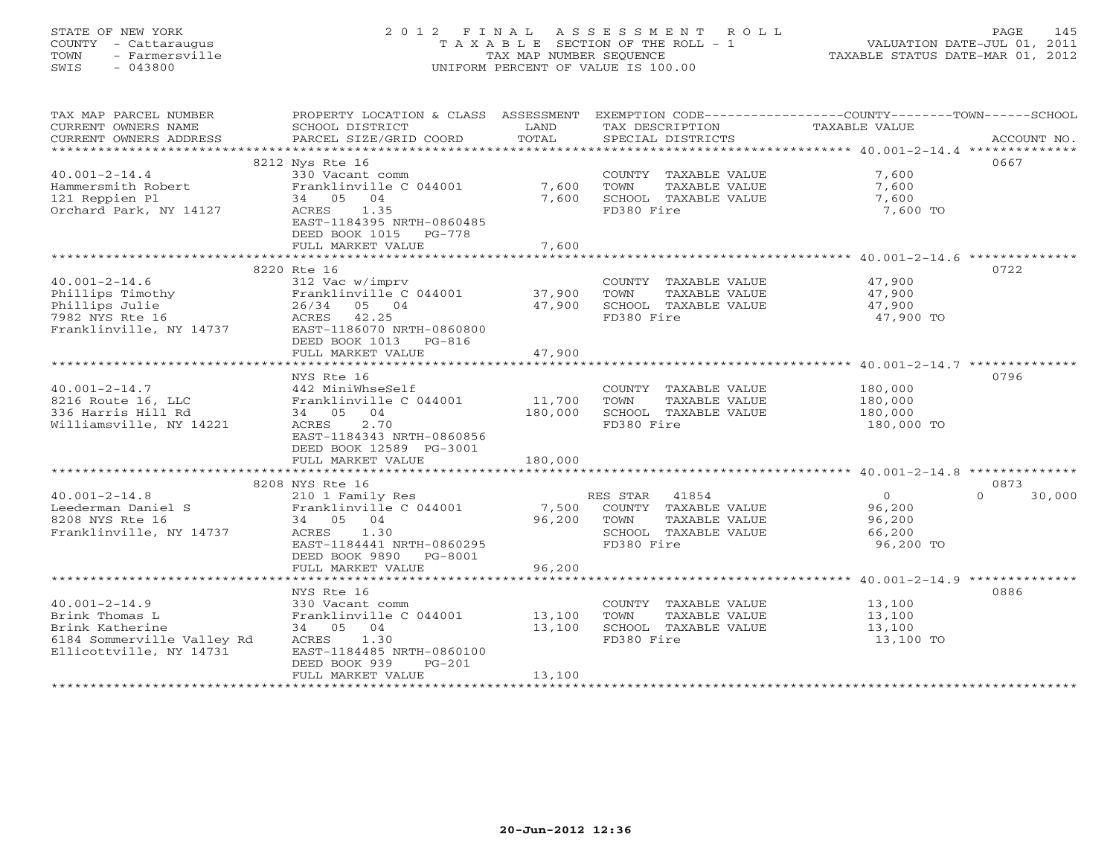# STATE OF NEW YORK 2 0 1 2 F I N A L A S S E S S M E N T R O L L PAGE 145 COUNTY - Cattaraugus T A X A B L E SECTION OF THE ROLL - 1 VALUATION DATE-JUL 01, 2011 TOWN - Farmersville TAX MAP NUMBER SEQUENCE TAXABLE STATUS DATE-MAR 01, 2012 SWIS - 043800 UNIFORM PERCENT OF VALUE IS 100.00UNIFORM PERCENT OF VALUE IS 100.00

| TAX MAP PARCEL NUMBER                                                                                                                                                                                |                                                                       |                  |                                    | PROPERTY LOCATION & CLASS ASSESSMENT EXEMPTION CODE---------------COUNTY-------TOWN------SCHOOL                                                                                                                                                                                                                                                                                                                                                                                                                        |
|------------------------------------------------------------------------------------------------------------------------------------------------------------------------------------------------------|-----------------------------------------------------------------------|------------------|------------------------------------|------------------------------------------------------------------------------------------------------------------------------------------------------------------------------------------------------------------------------------------------------------------------------------------------------------------------------------------------------------------------------------------------------------------------------------------------------------------------------------------------------------------------|
| CURRENT OWNERS NAME                                                                                                                                                                                  | SCHOOL DISTRICT                                                       | LAND             | TAX DESCRIPTION                    | TAXABLE VALUE                                                                                                                                                                                                                                                                                                                                                                                                                                                                                                          |
|                                                                                                                                                                                                      |                                                                       |                  |                                    |                                                                                                                                                                                                                                                                                                                                                                                                                                                                                                                        |
|                                                                                                                                                                                                      |                                                                       |                  |                                    | $\begin{minipage}{.45\textwidth} \begin{minipage}{.45\textwidth} \begin{minipage}{.45\textwidth} \begin{minipage}{.45\textwidth} \begin{minipage}{.45\textwidth} \begin{minipage}{.45\textwidth} \begin{minipage}{.45\textwidth} \begin{minipage}{.45\textwidth} \begin{minipage}{.45\textwidth} \begin{minipage}{.45\textwidth} \begin{minipage}{.45\textwidth} \begin{minipage}{.45\textwidth} \begin{minipage}{.45\textwidth} \begin{minipage}{.45\textwidth} \begin{minipage}{.45\textwidth} \begin{minipage}{.45$ |
|                                                                                                                                                                                                      | 8212 Nys Rte 16                                                       |                  |                                    | 0667                                                                                                                                                                                                                                                                                                                                                                                                                                                                                                                   |
| $40.001 - 2 - 14.4$                                                                                                                                                                                  | 330 Vacant comm                                                       |                  | COUNTY TAXABLE VALUE               | 7,600                                                                                                                                                                                                                                                                                                                                                                                                                                                                                                                  |
|                                                                                                                                                                                                      |                                                                       | 7,600            | TOWN<br>TAXABLE VALUE              | 7,600                                                                                                                                                                                                                                                                                                                                                                                                                                                                                                                  |
| Hammersmith Robert<br>121 Reppien Pl                                                                                                                                                                 | 330 Vacant comm<br>Franklinville C 044001<br>34   05   04<br>34 05 04 | 7,600            | SCHOOL TAXABLE VALUE               | 7,600                                                                                                                                                                                                                                                                                                                                                                                                                                                                                                                  |
| Orchard Park, NY 14127                                                                                                                                                                               | ACRES 1.35                                                            |                  | FD380 Fire                         | 7,600 TO                                                                                                                                                                                                                                                                                                                                                                                                                                                                                                               |
|                                                                                                                                                                                                      | EAST-1184395 NRTH-0860485                                             |                  |                                    |                                                                                                                                                                                                                                                                                                                                                                                                                                                                                                                        |
|                                                                                                                                                                                                      | DEED BOOK 1015 PG-778                                                 |                  |                                    |                                                                                                                                                                                                                                                                                                                                                                                                                                                                                                                        |
|                                                                                                                                                                                                      | FULL MARKET VALUE                                                     | 7,600            |                                    |                                                                                                                                                                                                                                                                                                                                                                                                                                                                                                                        |
|                                                                                                                                                                                                      |                                                                       |                  |                                    |                                                                                                                                                                                                                                                                                                                                                                                                                                                                                                                        |
|                                                                                                                                                                                                      | 8220 Rte 16                                                           |                  |                                    | 0722                                                                                                                                                                                                                                                                                                                                                                                                                                                                                                                   |
| $40.001 - 2 - 14.6$                                                                                                                                                                                  | 312 Vac w/imprv                                                       |                  | COUNTY TAXABLE VALUE               | 47,900                                                                                                                                                                                                                                                                                                                                                                                                                                                                                                                 |
|                                                                                                                                                                                                      |                                                                       |                  | TOWN<br>TAXABLE VALUE              | 47,900                                                                                                                                                                                                                                                                                                                                                                                                                                                                                                                 |
|                                                                                                                                                                                                      |                                                                       |                  | 47,900 SCHOOL TAXABLE VALUE        | 47,900                                                                                                                                                                                                                                                                                                                                                                                                                                                                                                                 |
| 40.001-2-14.6<br>Phillips Timothy Franklinville C 044001<br>Phillips Julie 26/34 05 04 47,900<br>7982 NYS Rte 16 ACRES 42.25<br>Franklinville, NY 14737<br>EAST-1186070 NRTH-0860800<br>NRTH-0860800 |                                                                       |                  | FD380 Fire                         | 47,900 TO                                                                                                                                                                                                                                                                                                                                                                                                                                                                                                              |
|                                                                                                                                                                                                      |                                                                       |                  |                                    |                                                                                                                                                                                                                                                                                                                                                                                                                                                                                                                        |
|                                                                                                                                                                                                      | DEED BOOK 1013 PG-816                                                 |                  |                                    |                                                                                                                                                                                                                                                                                                                                                                                                                                                                                                                        |
|                                                                                                                                                                                                      | FULL MARKET VALUE                                                     | 47,900           |                                    |                                                                                                                                                                                                                                                                                                                                                                                                                                                                                                                        |
|                                                                                                                                                                                                      |                                                                       |                  |                                    |                                                                                                                                                                                                                                                                                                                                                                                                                                                                                                                        |
|                                                                                                                                                                                                      | NYS Rte 16                                                            |                  |                                    | 0796                                                                                                                                                                                                                                                                                                                                                                                                                                                                                                                   |
|                                                                                                                                                                                                      |                                                                       |                  | COUNTY TAXABLE VALUE               | 180,000                                                                                                                                                                                                                                                                                                                                                                                                                                                                                                                |
| $40.001-2-14.7$<br>8216 Route 16, LLC Franklinville C 044001 11,700                                                                                                                                  |                                                                       |                  | TAXABLE VALUE<br>TOWN              | 180,000                                                                                                                                                                                                                                                                                                                                                                                                                                                                                                                |
| 336 Harris Hill Rd                                                                                                                                                                                   | 34 05 04                                                              | 180,000          | SCHOOL TAXABLE VALUE               | 180,000                                                                                                                                                                                                                                                                                                                                                                                                                                                                                                                |
| Williamsville, NY 14221                                                                                                                                                                              | ACRES 2.70                                                            |                  | FD380 Fire                         | 180,000 TO                                                                                                                                                                                                                                                                                                                                                                                                                                                                                                             |
|                                                                                                                                                                                                      | EAST-1184343 NRTH-0860856                                             |                  |                                    |                                                                                                                                                                                                                                                                                                                                                                                                                                                                                                                        |
|                                                                                                                                                                                                      | DEED BOOK 12589 PG-3001                                               |                  |                                    |                                                                                                                                                                                                                                                                                                                                                                                                                                                                                                                        |
|                                                                                                                                                                                                      | FULL MARKET VALUE                                                     | 180,000          |                                    |                                                                                                                                                                                                                                                                                                                                                                                                                                                                                                                        |
|                                                                                                                                                                                                      |                                                                       |                  |                                    |                                                                                                                                                                                                                                                                                                                                                                                                                                                                                                                        |
|                                                                                                                                                                                                      | 8208 NYS Rte 16                                                       |                  |                                    | 0873                                                                                                                                                                                                                                                                                                                                                                                                                                                                                                                   |
| $40.001 - 2 - 14.8$                                                                                                                                                                                  | 210 1 Family Res                                                      |                  | RES STAR 41854                     | $\overline{0}$<br>$\Omega$<br>30,000                                                                                                                                                                                                                                                                                                                                                                                                                                                                                   |
| 40.001-2-14.8 210 1 Family Res<br>Leederman Daniel S Franklinville C 044001                                                                                                                          |                                                                       |                  | 7,500 COUNTY TAXABLE VALUE         | 96,200                                                                                                                                                                                                                                                                                                                                                                                                                                                                                                                 |
| 8208 NYS Rte 16                                                                                                                                                                                      | 34 05 04                                                              | 96,200           | TOWN<br>TAXABLE VALUE              | 96,200                                                                                                                                                                                                                                                                                                                                                                                                                                                                                                                 |
| Franklinville, NY 14737                                                                                                                                                                              | ACRES 1.30                                                            |                  | SCHOOL TAXABLE VALUE               | 66,200                                                                                                                                                                                                                                                                                                                                                                                                                                                                                                                 |
|                                                                                                                                                                                                      | EAST-1184441 NRTH-0860295                                             |                  | FD380 Fire                         | 96,200 TO                                                                                                                                                                                                                                                                                                                                                                                                                                                                                                              |
|                                                                                                                                                                                                      | DEED BOOK 9890 PG-8001                                                |                  |                                    |                                                                                                                                                                                                                                                                                                                                                                                                                                                                                                                        |
|                                                                                                                                                                                                      | FULL MARKET VALUE                                                     | 96,200           |                                    |                                                                                                                                                                                                                                                                                                                                                                                                                                                                                                                        |
|                                                                                                                                                                                                      |                                                                       |                  |                                    |                                                                                                                                                                                                                                                                                                                                                                                                                                                                                                                        |
|                                                                                                                                                                                                      | NYS Rte 16                                                            |                  |                                    | 0886                                                                                                                                                                                                                                                                                                                                                                                                                                                                                                                   |
| $40.001 - 2 - 14.9$                                                                                                                                                                                  |                                                                       |                  | COUNTY TAXABLE VALUE 13,100        |                                                                                                                                                                                                                                                                                                                                                                                                                                                                                                                        |
|                                                                                                                                                                                                      |                                                                       |                  |                                    |                                                                                                                                                                                                                                                                                                                                                                                                                                                                                                                        |
| Brink Thomas L<br>Brink Katherine                                                                                                                                                                    | 330 Vacant comm<br>Franklinville C 044001<br>34 05 04                 | 13,100<br>13,100 | TOWN<br>TAXABLE VALUE              | 13,100<br>13,100                                                                                                                                                                                                                                                                                                                                                                                                                                                                                                       |
|                                                                                                                                                                                                      | ACRES 1.30                                                            |                  | SCHOOL TAXABLE VALUE<br>FD380 Fire | 13,100 TO                                                                                                                                                                                                                                                                                                                                                                                                                                                                                                              |
| 6184 Sommerville Valley Rd<br>Ellicottville, NY 14731                                                                                                                                                | EAST-1184485 NRTH-0860100                                             |                  |                                    |                                                                                                                                                                                                                                                                                                                                                                                                                                                                                                                        |
|                                                                                                                                                                                                      | DEED BOOK 939<br>$PG-201$                                             |                  |                                    |                                                                                                                                                                                                                                                                                                                                                                                                                                                                                                                        |
|                                                                                                                                                                                                      | FULL MARKET VALUE                                                     | 13,100           |                                    |                                                                                                                                                                                                                                                                                                                                                                                                                                                                                                                        |
|                                                                                                                                                                                                      |                                                                       |                  |                                    |                                                                                                                                                                                                                                                                                                                                                                                                                                                                                                                        |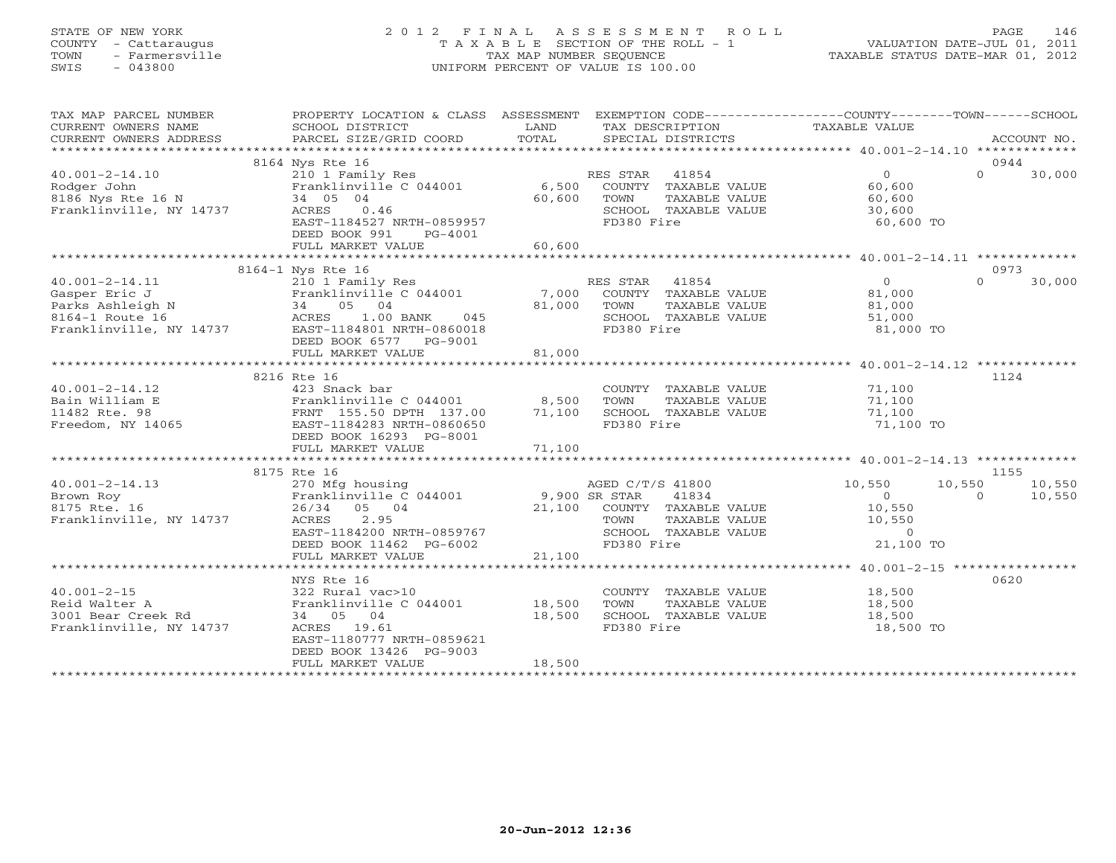# STATE OF NEW YORK 2 0 1 2 F I N A L A S S E S S M E N T R O L L PAGE 146 COUNTY - Cattaraugus T A X A B L E SECTION OF THE ROLL - 1 VALUATION DATE-JUL 01, 2011 TOWN - Farmersville TAX MAP NUMBER SEQUENCE TAXABLE STATUS DATE-MAR 01, 2012 SWIS - 043800 UNIFORM PERCENT OF VALUE IS 100.00UNIFORM PERCENT OF VALUE IS 100.00

| TAX MAP PARCEL NUMBER<br>CURRENT OWNERS NAME<br>CURRENT OWNERS ADDRESS | PROPERTY LOCATION & CLASS ASSESSMENT<br>SCHOOL DISTRICT<br>PARCEL SIZE/GRID COORD                                                                                                                                  | LAND<br>TOTAL | TAX DESCRIPTION<br>SPECIAL DISTRICTS | EXEMPTION CODE-----------------COUNTY-------TOWN------SCHOOL<br>TAXABLE VALUE | ACCOUNT NO.        |
|------------------------------------------------------------------------|--------------------------------------------------------------------------------------------------------------------------------------------------------------------------------------------------------------------|---------------|--------------------------------------|-------------------------------------------------------------------------------|--------------------|
|                                                                        |                                                                                                                                                                                                                    |               |                                      |                                                                               |                    |
|                                                                        | 8164 Nys Rte 16                                                                                                                                                                                                    |               |                                      |                                                                               | 0944               |
| $40.001 - 2 - 14.10$                                                   | 210 1 Family Res                                                                                                                                                                                                   |               | RES STAR<br>41854                    | 0                                                                             | $\Omega$<br>30,000 |
| Rodger John                                                            | Franklinville $C$ 044001 6,500                                                                                                                                                                                     |               | COUNTY TAXABLE VALUE                 | 60,600                                                                        |                    |
| 8186 Nys Rte 16 N                                                      | 34 05 04                                                                                                                                                                                                           | 60,600        | TOWN<br>TAXABLE VALUE                | 60,600                                                                        |                    |
| Franklinville, NY 14737                                                | ACRES 0.46                                                                                                                                                                                                         |               | SCHOOL TAXABLE VALUE                 | 30,600                                                                        |                    |
|                                                                        | EAST-1184527 NRTH-0859957                                                                                                                                                                                          |               | FD380 Fire                           | 60,600 TO                                                                     |                    |
|                                                                        | DEED BOOK 991<br>PG-4001                                                                                                                                                                                           |               |                                      |                                                                               |                    |
|                                                                        | FULL MARKET VALUE                                                                                                                                                                                                  | 60,600        |                                      |                                                                               |                    |
|                                                                        |                                                                                                                                                                                                                    |               |                                      |                                                                               |                    |
|                                                                        | 8164-1 Nys Rte 16                                                                                                                                                                                                  |               |                                      |                                                                               | 0973               |
| $40.001 - 2 - 14.11$                                                   | 210 1 Family Res                                                                                                                                                                                                   |               | RES STAR 41854                       | $\Omega$                                                                      | $\Omega$<br>30,000 |
|                                                                        |                                                                                                                                                                                                                    |               | COUNTY TAXABLE VALUE                 | 81,000                                                                        |                    |
|                                                                        |                                                                                                                                                                                                                    | 81,000 TOWN   | TAXABLE VALUE                        | 81,000                                                                        |                    |
|                                                                        |                                                                                                                                                                                                                    |               | SCHOOL TAXABLE VALUE                 | 51,000                                                                        |                    |
|                                                                        | 40.001-2-14.11<br>Gasper Eric J<br>Gasper Eric J<br>Parks Ashleigh N<br>Parks Ashleigh N<br>81,000<br>Franklinville, NY 14737<br>EAST-1184801_NRTH-0860018<br>Franklinville, NY 14737<br>EAST-1184801_NRTH-0860018 |               | FD380 Fire                           | 81,000 TO                                                                     |                    |
|                                                                        | DEED BOOK 6577 PG-9001                                                                                                                                                                                             |               |                                      |                                                                               |                    |
|                                                                        | FULL MARKET VALUE                                                                                                                                                                                                  | 81,000        |                                      |                                                                               |                    |
|                                                                        |                                                                                                                                                                                                                    |               |                                      |                                                                               |                    |
|                                                                        | 8216 Rte 16                                                                                                                                                                                                        |               |                                      |                                                                               | 1124               |
| $40.001 - 2 - 14.12$                                                   | 423 Snack bar                                                                                                                                                                                                      |               | COUNTY TAXABLE VALUE                 | 71,100                                                                        |                    |
| Bain William E                                                         | Franklinville C 044001                                                                                                                                                                                             | 8,500         | TOWN<br>TAXABLE VALUE                | 71,100                                                                        |                    |
| 11482 Rte. 98                                                          | FRNT 155.50 DPTH 137.00                                                                                                                                                                                            | 71,100        | SCHOOL TAXABLE VALUE                 | 71,100                                                                        |                    |
| Freedom, NY 14065                                                      | EAST-1184283 NRTH-0860650                                                                                                                                                                                          |               | FD380 Fire                           | 71,100 TO                                                                     |                    |
|                                                                        | DEED BOOK 16293 PG-8001                                                                                                                                                                                            |               |                                      |                                                                               |                    |
|                                                                        | FULL MARKET VALUE                                                                                                                                                                                                  | 71,100        |                                      |                                                                               |                    |
|                                                                        |                                                                                                                                                                                                                    |               |                                      |                                                                               |                    |
|                                                                        | 8175 Rte 16                                                                                                                                                                                                        |               |                                      |                                                                               | 1155               |
| $40.001 - 2 - 14.13$                                                   | 270 Mfg housing                                                                                                                                                                                                    |               | AGED C/T/S 41800                     | 10,550<br>10,550                                                              | 10,550             |
| Brown Roy                                                              | Franklinville C 044001                                                                                                                                                                                             | 9,900 SR STAR | 41834                                | $\bigcirc$                                                                    | 10,550<br>$\Omega$ |
| 8175 Rte. 16                                                           | 26/34 05 04                                                                                                                                                                                                        |               | 21,100 COUNTY TAXABLE VALUE          | 10,550                                                                        |                    |
| Franklinville, NY 14737                                                | ACRES<br>2.95                                                                                                                                                                                                      |               | TOWN<br>TAXABLE VALUE                | 10,550                                                                        |                    |
|                                                                        | EAST-1184200 NRTH-0859767                                                                                                                                                                                          |               | SCHOOL TAXABLE VALUE                 | $\overline{0}$                                                                |                    |
|                                                                        | DEED BOOK 11462 PG-6002                                                                                                                                                                                            |               | FD380 Fire                           | 21,100 TO                                                                     |                    |
|                                                                        | FULL MARKET VALUE                                                                                                                                                                                                  | 21,100        |                                      |                                                                               |                    |
|                                                                        |                                                                                                                                                                                                                    |               |                                      |                                                                               |                    |
|                                                                        | NYS Rte 16                                                                                                                                                                                                         |               |                                      |                                                                               | 0620               |
| $40.001 - 2 - 15$                                                      | 322 Rural vac>10                                                                                                                                                                                                   |               | COUNTY TAXABLE VALUE                 | 18,500                                                                        |                    |
| Reid Walter A                                                          | Franklinville C 044001                                                                                                                                                                                             | 18,500        | TOWN<br>TAXABLE VALUE                | 18,500                                                                        |                    |
| 3001 Bear Creek Rd                                                     | 34 05 04                                                                                                                                                                                                           | 18,500        | SCHOOL TAXABLE VALUE                 | 18,500                                                                        |                    |
| Franklinville, NY 14737                                                | ACRES 19.61                                                                                                                                                                                                        |               | FD380 Fire                           | 18,500 TO                                                                     |                    |
|                                                                        | EAST-1180777 NRTH-0859621                                                                                                                                                                                          |               |                                      |                                                                               |                    |
|                                                                        | DEED BOOK 13426 PG-9003                                                                                                                                                                                            |               |                                      |                                                                               |                    |
|                                                                        | FULL MARKET VALUE                                                                                                                                                                                                  | 18,500        |                                      |                                                                               |                    |
|                                                                        |                                                                                                                                                                                                                    |               |                                      |                                                                               |                    |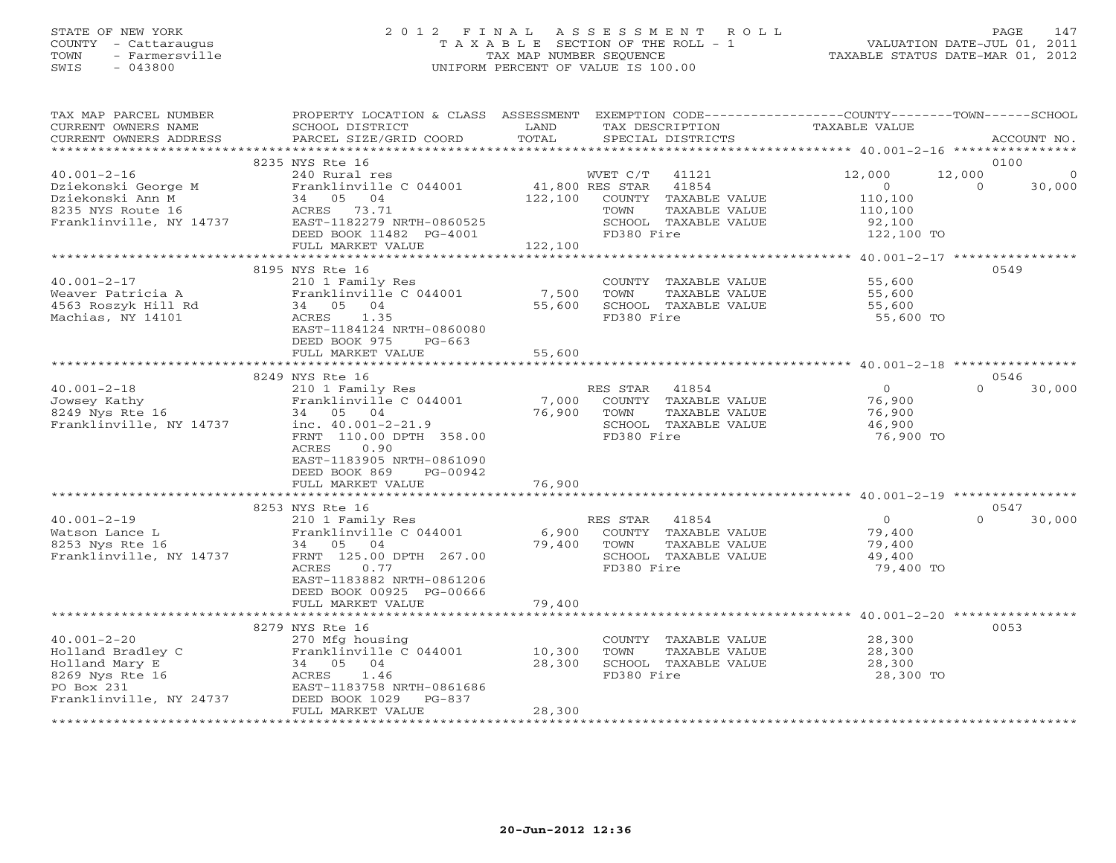## STATE OF NEW YORK 2 0 1 2 F I N A L A S S E S S M E N T R O L L PAGE 147 COUNTY - Cattaraugus T A X A B L E SECTION OF THE ROLL - 1 VALUATION DATE-JUL 01, 2011 TOWN - Farmersville TAX MAP NUMBER SEQUENCE TAXABLE STATUS DATE-MAR 01, 2012 SWIS - 043800 UNIFORM PERCENT OF VALUE IS 100.00UNIFORM PERCENT OF VALUE IS 100.00

| TAX MAP PARCEL NUMBER<br>CURRENT OWNERS NAME<br>CURRENT OWNERS ADDRESS                                                                      | PROPERTY LOCATION & CLASS ASSESSMENT<br>SCHOOL DISTRICT<br>PARCEL SIZE/GRID COORD                                                                                                                                                | LAND<br>TOTAL              | EXEMPTION CODE-----------------COUNTY-------TOWN------SCHOOL<br>TAX DESCRIPTION<br>SPECIAL DISTRICTS     | TAXABLE VALUE                                             | ACCOUNT NO.                                      |
|---------------------------------------------------------------------------------------------------------------------------------------------|----------------------------------------------------------------------------------------------------------------------------------------------------------------------------------------------------------------------------------|----------------------------|----------------------------------------------------------------------------------------------------------|-----------------------------------------------------------|--------------------------------------------------|
|                                                                                                                                             |                                                                                                                                                                                                                                  |                            |                                                                                                          |                                                           |                                                  |
| $40.001 - 2 - 16$<br>Dziekonski George M<br>Dziekonski Ann M<br>8235 NYS Route 16                                                           | 8235 NYS Rte 16<br>240 Rural res<br>Franklinville C 044001<br>34 05<br>04<br>ACRES 73.71                                                                                                                                         | 41,800 RES STAR<br>122,100 | WVET C/T<br>41121<br>41854<br>COUNTY TAXABLE VALUE<br>TAXABLE VALUE<br>TOWN                              | 12,000<br>$\circ$<br>110,100<br>110,100                   | 0100<br>12,000<br>$\Omega$<br>$\Omega$<br>30,000 |
| Franklinville, NY 14737                                                                                                                     | EAST-1182279 NRTH-0860525<br>DEED BOOK 11482 PG-4001<br>FULL MARKET VALUE                                                                                                                                                        | 122,100                    | SCHOOL TAXABLE VALUE<br>FD380 Fire                                                                       | 92,100<br>122,100 TO                                      |                                                  |
|                                                                                                                                             |                                                                                                                                                                                                                                  |                            |                                                                                                          |                                                           |                                                  |
| $40.001 - 2 - 17$<br>Weaver Patricia A<br>4563 Roszyk Hill Rd<br>Machias, NY 14101                                                          | 8195 NYS Rte 16<br>210 1 Family Res<br>Franklinville C 044001<br>34 05 04<br>ACRES<br>1.35<br>EAST-1184124 NRTH-0860080<br>DEED BOOK 975<br>$PG-663$<br>FULL MARKET VALUE                                                        | 7,500<br>55,600<br>55,600  | COUNTY TAXABLE VALUE<br>TAXABLE VALUE<br>TOWN<br>SCHOOL TAXABLE VALUE<br>FD380 Fire                      | 55,600<br>55,600<br>55,600<br>55,600 TO                   | 0549                                             |
|                                                                                                                                             |                                                                                                                                                                                                                                  |                            |                                                                                                          |                                                           |                                                  |
| $40.001 - 2 - 18$<br>Jowsey Kathy<br>8249 Nys Rte 16<br>Franklinville, NY 14737                                                             | 8249 NYS Rte 16<br>210 1 Family Res<br>Franklinville C 044001<br>34 05 04<br>inc. $40.001 - 2 - 21.9$<br>FRNT 110.00 DPTH 358.00<br>ACRES<br>0.90<br>EAST-1183905 NRTH-0861090<br>DEED BOOK 869<br>PG-00942<br>FULL MARKET VALUE | 7,000<br>76,900<br>76,900  | 41854<br>RES STAR<br>COUNTY TAXABLE VALUE<br>TOWN<br>TAXABLE VALUE<br>SCHOOL TAXABLE VALUE<br>FD380 Fire | $\overline{0}$<br>76,900<br>76,900<br>46,900<br>76,900 TO | 0546<br>$\Omega$<br>30,000                       |
|                                                                                                                                             |                                                                                                                                                                                                                                  |                            |                                                                                                          |                                                           |                                                  |
| $40.001 - 2 - 19$<br>Watson Lance L<br>8253 Nys Rte 16<br>Franklinville, NY 14737                                                           | 8253 NYS Rte 16<br>210 1 Family Res<br>Franklinville C 044001<br>34 05 04<br>FRNT 125.00 DPTH 267.00<br>ACRES<br>0.77<br>EAST-1183882 NRTH-0861206<br>DEED BOOK 00925 PG-00666<br>FULL MARKET VALUE                              | 6,900<br>79,400<br>79,400  | RES STAR<br>41854<br>COUNTY TAXABLE VALUE<br>TOWN<br>TAXABLE VALUE<br>SCHOOL TAXABLE VALUE<br>FD380 Fire | $\overline{0}$<br>79,400<br>79,400<br>49,400<br>79,400 TO | 0547<br>$\Omega$<br>30,000                       |
|                                                                                                                                             |                                                                                                                                                                                                                                  |                            |                                                                                                          |                                                           |                                                  |
| $40.001 - 2 - 20$<br>Holland Bradley C<br>Holland Mary E<br>8269 Nys Rte 16<br>PO Box 231<br>Franklinville, NY 24737<br>******************* | 8279 NYS Rte 16<br>270 Mfg housing<br>Franklinville C 044001<br>34 05<br>04<br>ACRES<br>1.46<br>EAST-1183758 NRTH-0861686<br>DEED BOOK 1029<br>$PG-837$<br>FULL MARKET VALUE                                                     | 10,300<br>28,300<br>28,300 | COUNTY TAXABLE VALUE<br>TOWN<br>TAXABLE VALUE<br>SCHOOL TAXABLE VALUE<br>FD380 Fire                      | 28,300<br>28,300<br>28,300<br>28,300 TO                   | 0053                                             |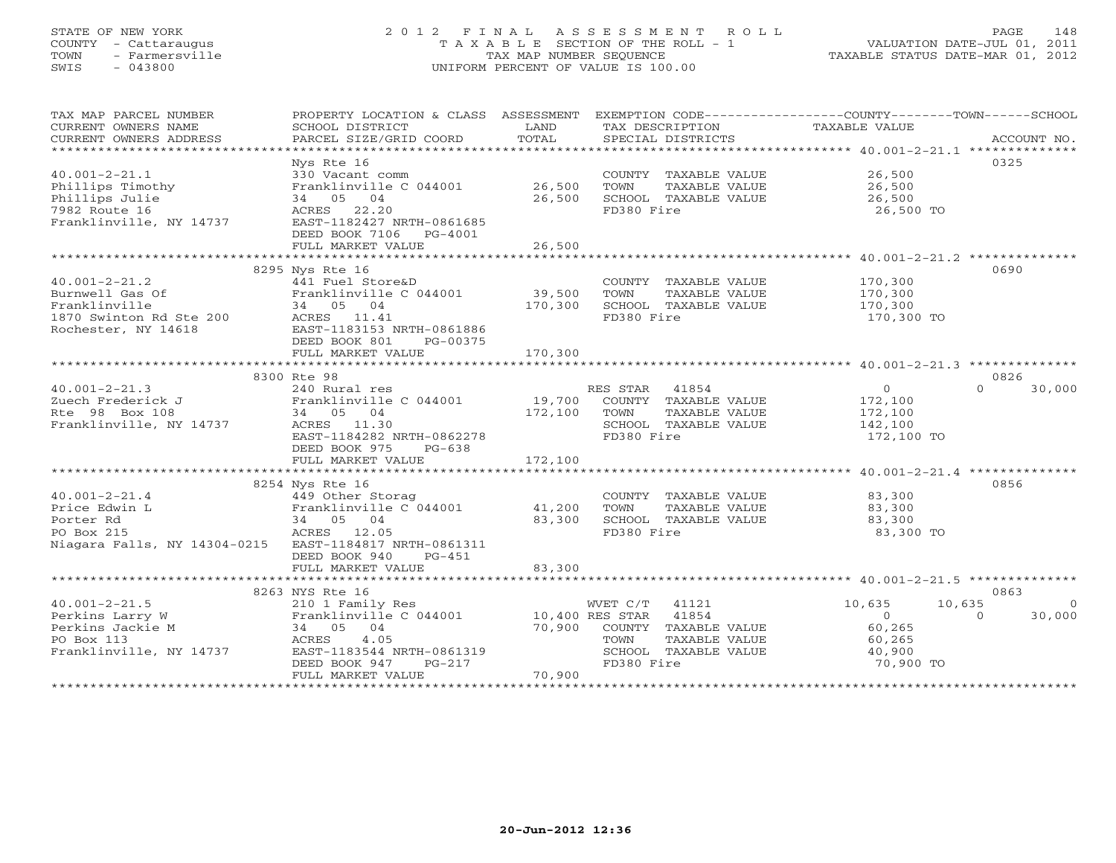# STATE OF NEW YORK 2 0 1 2 F I N A L A S S E S S M E N T R O L L PAGE 148 COUNTY - Cattaraugus T A X A B L E SECTION OF THE ROLL - 1 VALUATION DATE-JUL 01, 2011 TOWN - Farmersville TAX MAP NUMBER SEQUENCE TAXABLE STATUS DATE-MAR 01, 2012 SWIS - 043800 UNIFORM PERCENT OF VALUE IS 100.00UNIFORM PERCENT OF VALUE IS 100.00

| TAX MAP PARCEL NUMBER<br>CURRENT OWNERS NAME           | PROPERTY LOCATION & CLASS ASSESSMENT<br>SCHOOL DISTRICT                                        | LAND                   | EXEMPTION CODE----------------COUNTY-------TOWN------SCHOOL<br>TAX DESCRIPTION | TAXABLE VALUE                                                    |                                 |
|--------------------------------------------------------|------------------------------------------------------------------------------------------------|------------------------|--------------------------------------------------------------------------------|------------------------------------------------------------------|---------------------------------|
| CURRENT OWNERS ADDRESS                                 | PARCEL SIZE/GRID COORD                                                                         | TOTAL                  | SPECIAL DISTRICTS                                                              |                                                                  | ACCOUNT NO.                     |
|                                                        |                                                                                                |                        |                                                                                |                                                                  |                                 |
|                                                        | Nys Rte 16                                                                                     |                        |                                                                                |                                                                  | 0325                            |
| $40.001 - 2 - 21.1$                                    | 330 Vacant comm                                                                                |                        | COUNTY TAXABLE VALUE 26,500                                                    |                                                                  |                                 |
| Phillips Timothy                                       | Franklinville C 044001                                                                         | 26,500                 | TOWN<br>TAXABLE VALUE                                                          | 26,500                                                           |                                 |
| Phillips Julie                                         | 34 05 04                                                                                       | 26,500                 | SCHOOL TAXABLE VALUE                                                           | 26,500                                                           |                                 |
| 7982 Route 16                                          | ACRES 22.20                                                                                    |                        | FD380 Fire                                                                     | 26,500 TO                                                        |                                 |
| Franklinville, NY 14737                                | EAST-1182427 NRTH-0861685                                                                      |                        |                                                                                |                                                                  |                                 |
|                                                        | DEED BOOK 7106 PG-4001                                                                         |                        |                                                                                |                                                                  |                                 |
|                                                        | FULL MARKET VALUE<br>**************************                                                | 26,500<br>************ |                                                                                | ********************************** 40.001-2-21.2 *************** |                                 |
|                                                        | 8295 Nys Rte 16                                                                                |                        |                                                                                |                                                                  | 0690                            |
| $40.001 - 2 - 21.2$                                    | 441 Fuel Store&D                                                                               |                        | COUNTY TAXABLE VALUE                                                           | 170,300                                                          |                                 |
| Burnwell Gas Of                                        | Franklinville C 044001                                                                         | 39,500                 | TOWN<br>TAXABLE VALUE                                                          | 170,300                                                          |                                 |
| Franklinville                                          | 34 05 04                                                                                       | 170,300                | SCHOOL TAXABLE VALUE                                                           | 170,300                                                          |                                 |
| 1870 Swinton Rd Ste 200                                | ACRES 11.41                                                                                    |                        | FD380 Fire                                                                     | 170,300 TO                                                       |                                 |
| Rochester, NY 14618                                    | EAST-1183153 NRTH-0861886                                                                      |                        |                                                                                |                                                                  |                                 |
|                                                        | DEED BOOK 801<br>PG-00375                                                                      |                        |                                                                                |                                                                  |                                 |
|                                                        | FULL MARKET VALUE                                                                              | 170,300                |                                                                                |                                                                  |                                 |
|                                                        |                                                                                                |                        |                                                                                |                                                                  |                                 |
|                                                        | 8300 Rte 98                                                                                    |                        |                                                                                |                                                                  | 0826                            |
| $40.001 - 2 - 21.3$                                    | 240 Rural res                                                                                  |                        | RES STAR 41854                                                                 | $\overline{0}$                                                   | $\cap$<br>30,000                |
| Zuech Frederick J                                      | Franklinville C 044001                                                                         | 19,700                 | COUNTY TAXABLE VALUE                                                           | 172,100                                                          |                                 |
| Rte 98 Box 108                                         | 34 05 04                                                                                       | 172,100                | TAXABLE VALUE<br>TOWN                                                          | 172,100                                                          |                                 |
| Franklinville, NY 14737                                | ACRES 11.30                                                                                    |                        | SCHOOL TAXABLE VALUE                                                           | 142,100                                                          |                                 |
|                                                        | EAST-1184282 NRTH-0862278                                                                      |                        | FD380 Fire                                                                     | 172,100 TO                                                       |                                 |
|                                                        | DEED BOOK 975 PG-638                                                                           |                        |                                                                                |                                                                  |                                 |
|                                                        | FULL MARKET VALUE                                                                              | 172,100                |                                                                                |                                                                  |                                 |
|                                                        |                                                                                                |                        |                                                                                |                                                                  |                                 |
|                                                        | 8254 Nys Rte 16                                                                                |                        |                                                                                |                                                                  | 0856                            |
| $40.001 - 2 - 21.4$                                    | 449 Other Storag                                                                               |                        | COUNTY TAXABLE VALUE                                                           | 83,300                                                           |                                 |
| Price Edwin L                                          | Franklinville C 044001                                                                         | 41,200                 | TOWN<br>TAXABLE VALUE                                                          | 83,300                                                           |                                 |
| Porter Rd                                              | 34 05 04                                                                                       | 83,300                 | SCHOOL TAXABLE VALUE                                                           | 83,300                                                           |                                 |
| PO Box 215                                             | ACRES 12.05                                                                                    |                        | FD380 Fire                                                                     | 83,300 TO                                                        |                                 |
| Niagara Falls, NY 14304-0215 EAST-1184817 NRTH-0861311 |                                                                                                |                        |                                                                                |                                                                  |                                 |
|                                                        | DEED BOOK 940<br>PG-451                                                                        |                        |                                                                                |                                                                  |                                 |
|                                                        | FULL MARKET VALUE                                                                              | 83,300                 |                                                                                |                                                                  |                                 |
|                                                        |                                                                                                |                        |                                                                                |                                                                  |                                 |
|                                                        |                                                                                                |                        |                                                                                |                                                                  | 0863                            |
| $40.001 - 2 - 21.5$                                    | 210 1 Family Res<br>Franklinville C 044001 10,400 RES STAR 41854<br>34 05 04 70,900 COUNTY THE |                        |                                                                                | 10,635                                                           | 10,635<br>$\Omega$<br>$\bigcap$ |
| Perkins Larry W<br>Perkins Jackie M                    |                                                                                                |                        | COUNTY TAXABLE VALUE                                                           | $\overline{0}$<br>60,265                                         | 30,000                          |
| PO Box 113                                             | ACRES<br>4.05                                                                                  |                        | TOWN<br>TAXABLE VALUE                                                          | 60,265                                                           |                                 |
| Franklinville, NY 14737                                | EAST-1183544 NRTH-0861319                                                                      |                        | SCHOOL TAXABLE VALUE                                                           | 40,900                                                           |                                 |
|                                                        | DEED BOOK 947<br>$PG-217$                                                                      |                        | FD380 Fire                                                                     | 70,900 TO                                                        |                                 |
|                                                        | FULL MARKET VALUE                                                                              | 70,900                 |                                                                                |                                                                  |                                 |
|                                                        |                                                                                                |                        |                                                                                |                                                                  |                                 |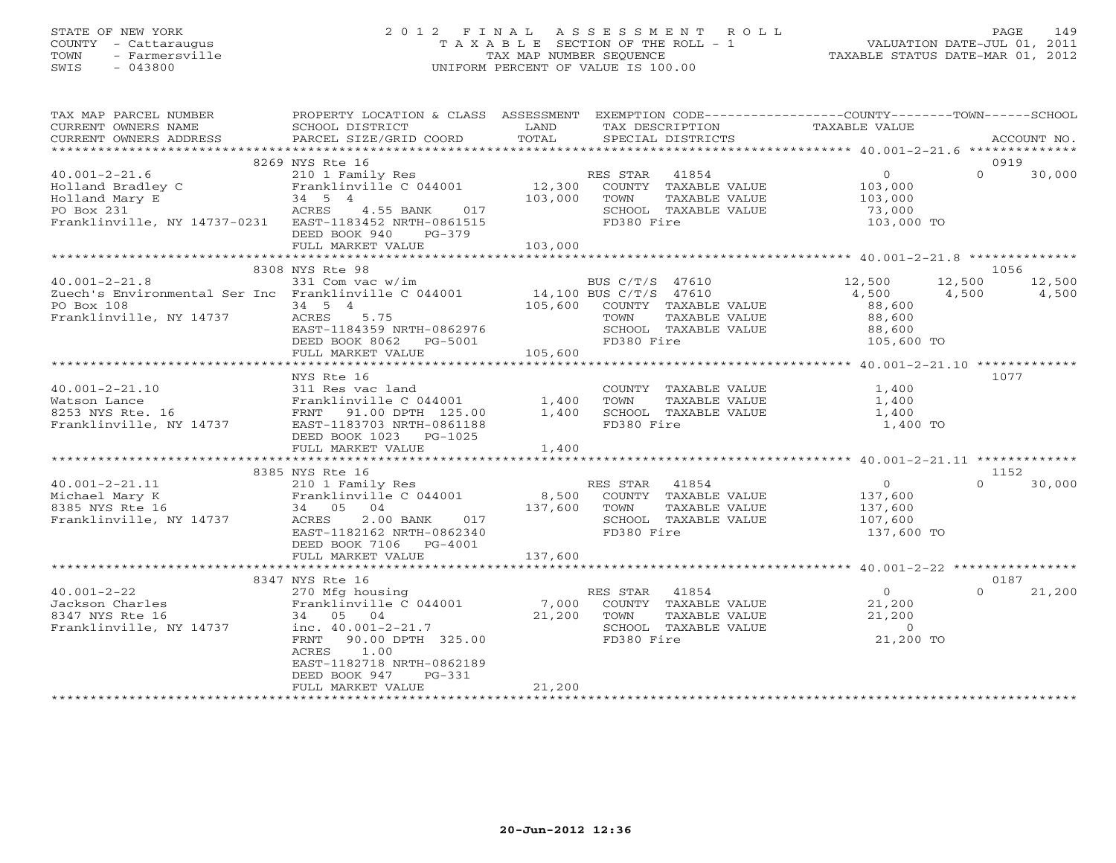# STATE OF NEW YORK 2 0 1 2 F I N A L A S S E S S M E N T R O L L PAGE 149 COUNTY - Cattaraugus T A X A B L E SECTION OF THE ROLL - 1 VALUATION DATE-JUL 01, 2011 TOWN - Farmersville TAX MAP NUMBER SEQUENCE TAXABLE STATUS DATE-MAR 01, 2012 SWIS - 043800 UNIFORM PERCENT OF VALUE IS 100.00UNIFORM PERCENT OF VALUE IS 100.00

| DEED BOOK 940 PG-379<br>FULL MARKET VALUE                                               |                                                       |                        |                                                                                                                                                                                                                     | 0919<br>$0 \t 30,000$                                                                                                                                                                                                                                                                                                                                                                                                                                                                                                                                                                                                                                                                                                                                                                                                                                                                                                                                                                                                                                                                                                                                                                                                                                                                                  |
|-----------------------------------------------------------------------------------------|-------------------------------------------------------|------------------------|---------------------------------------------------------------------------------------------------------------------------------------------------------------------------------------------------------------------|--------------------------------------------------------------------------------------------------------------------------------------------------------------------------------------------------------------------------------------------------------------------------------------------------------------------------------------------------------------------------------------------------------------------------------------------------------------------------------------------------------------------------------------------------------------------------------------------------------------------------------------------------------------------------------------------------------------------------------------------------------------------------------------------------------------------------------------------------------------------------------------------------------------------------------------------------------------------------------------------------------------------------------------------------------------------------------------------------------------------------------------------------------------------------------------------------------------------------------------------------------------------------------------------------------|
|                                                                                         |                                                       |                        |                                                                                                                                                                                                                     |                                                                                                                                                                                                                                                                                                                                                                                                                                                                                                                                                                                                                                                                                                                                                                                                                                                                                                                                                                                                                                                                                                                                                                                                                                                                                                        |
|                                                                                         |                                                       |                        |                                                                                                                                                                                                                     | 1056                                                                                                                                                                                                                                                                                                                                                                                                                                                                                                                                                                                                                                                                                                                                                                                                                                                                                                                                                                                                                                                                                                                                                                                                                                                                                                   |
|                                                                                         |                                                       |                        |                                                                                                                                                                                                                     |                                                                                                                                                                                                                                                                                                                                                                                                                                                                                                                                                                                                                                                                                                                                                                                                                                                                                                                                                                                                                                                                                                                                                                                                                                                                                                        |
| NYS Rte 16                                                                              |                                                       | FD380 Fire             | 1,400 TO                                                                                                                                                                                                            | 1077                                                                                                                                                                                                                                                                                                                                                                                                                                                                                                                                                                                                                                                                                                                                                                                                                                                                                                                                                                                                                                                                                                                                                                                                                                                                                                   |
|                                                                                         |                                                       |                        |                                                                                                                                                                                                                     | 1152                                                                                                                                                                                                                                                                                                                                                                                                                                                                                                                                                                                                                                                                                                                                                                                                                                                                                                                                                                                                                                                                                                                                                                                                                                                                                                   |
| DEED BOOK 7106 PG-4001                                                                  |                                                       |                        |                                                                                                                                                                                                                     | $\Omega$<br>30,000                                                                                                                                                                                                                                                                                                                                                                                                                                                                                                                                                                                                                                                                                                                                                                                                                                                                                                                                                                                                                                                                                                                                                                                                                                                                                     |
|                                                                                         |                                                       |                        |                                                                                                                                                                                                                     |                                                                                                                                                                                                                                                                                                                                                                                                                                                                                                                                                                                                                                                                                                                                                                                                                                                                                                                                                                                                                                                                                                                                                                                                                                                                                                        |
| ACRES 1.00<br>EAST-1182718 NRTH-0862189<br>DEED BOOK 947<br>PG-331<br>FULL MARKET VALUE | 21,200                                                |                        | 21,200 TO                                                                                                                                                                                                           | 0187<br>$\Omega$<br>21,200                                                                                                                                                                                                                                                                                                                                                                                                                                                                                                                                                                                                                                                                                                                                                                                                                                                                                                                                                                                                                                                                                                                                                                                                                                                                             |
|                                                                                         | 8269 NYS Rte 16<br>8308 NYS Rte 98<br>8385 NYS Rte 16 | DEED BOOK 1023 PG-1025 | 103,000<br>40.001-2-21.10<br>Watson Lance 311 Res vac land COUNT<br>Watson Lance Franklinville, NY 14737 FRANCH BAST-1183703 NRTH-0861188 FD380<br>Franklinville, NY 14737 EAST-1183703 NRTH-0861188 FD380<br>FD380 | PROPERTY LOCATION & CLASS ASSESSMENT EXEMPTION CODE---------------COUNTY-------TOWN------SCHOOL<br>TA PIE TAND TRINITY AND TRINITY IN THE TAXING CONSUMERT OWNERS NOTES SCHOOL DISTRICT TO LAND THAT TAXING SERVITION TAXABLE VALUE<br>CURRENT OWNERS ADDRESS PARCEL SIZE/GRID COORD TOTAL SPECIAL DISTRICTS ACCOUNT NO.<br>***********<br>40.001-2-21.6 8269 NYS Kte 16<br>Holland Bradley C 210 1 Family Res RES STAR 41854 0<br>Holland Mary E 34 5 4 103,000 TOWN TAXABLE VALUE 103,000<br>PO Box 231 ACRES 4.55 BANK 017 SCHOOL TAXABLE VALUE 73,000<br>Franklinville, NY 14<br>$12,500$ $12,500$ $12,500$<br>$4,500$ $4,500$ $4,500$<br>$\begin{minipage}{.4\linewidth} \textbf{COUNTY} & \textbf{TAXABLE VALUE} & \textbf{0.400} \\ \textbf{0.400} & \textbf{1.400} \\ \textbf{1.400} & \textbf{1.400} \\ \textbf{1.400} & \textbf{1.400} \\ \textbf{1.400} & \textbf{1.400} \\ \textbf{1.400} & \textbf{1.400} \\ \textbf{1.400} & \textbf{1.400} \\ \textbf{1.400} & \textbf{1.400} \\ \textbf{1.400} & \textbf{1.400} \\ \textbf$<br>3347 NYS Rte 16<br>40.001-2-22<br>270 Mfg housing<br>Franklinville C 044001<br>8347 NYS Rte 16<br>8347 NYS Rte 16<br>8347 NYS Rte 16<br>8347 NYS Rte 16<br>34<br>50 04<br>Franklinville, NY 14737<br>Franklinville, NY 14737<br>FRANCE 21,200<br>FRANCE |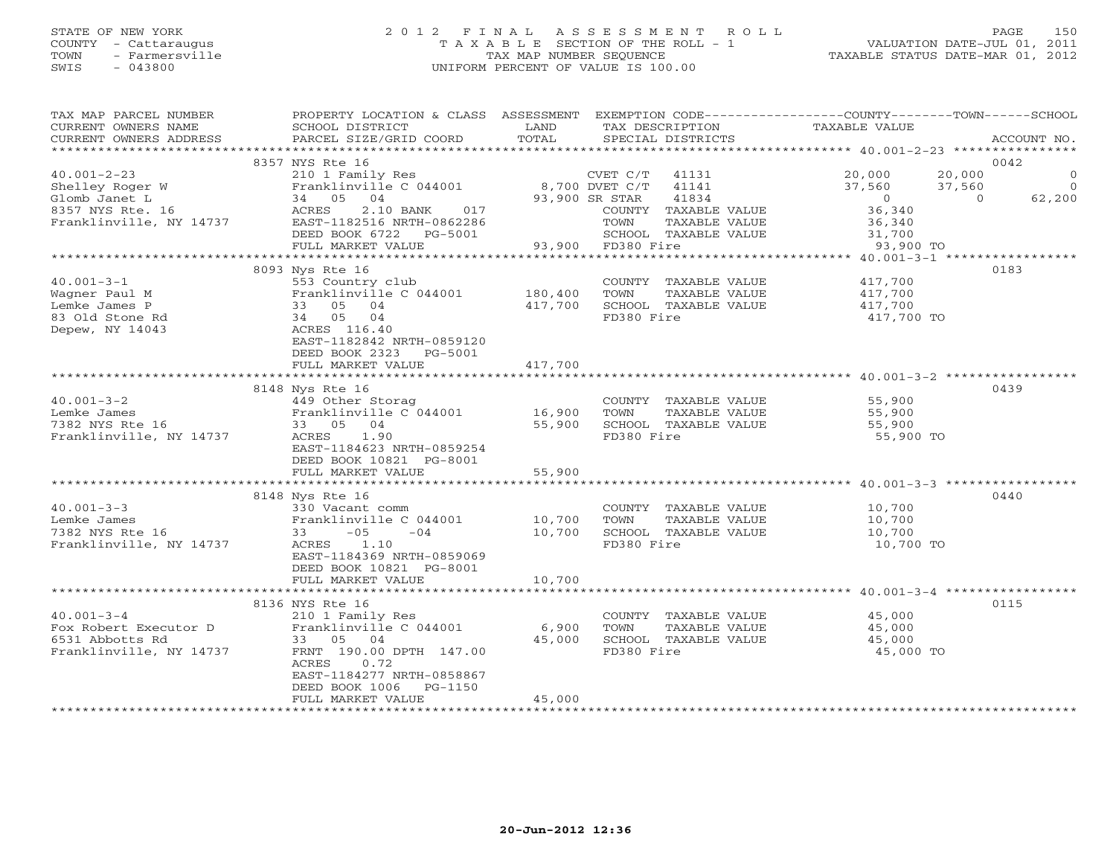## STATE OF NEW YORK 2 0 1 2 F I N A L A S S E S S M E N T R O L L PAGE 150 COUNTY - Cattaraugus T A X A B L E SECTION OF THE ROLL - 1 VALUATION DATE-JUL 01, 2011 TOWN - Farmersville TAX MAP NUMBER SEQUENCE TAXABLE STATUS DATE-MAR 01, 2012 SWIS - 043800 UNIFORM PERCENT OF VALUE IS 100.00UNIFORM PERCENT OF VALUE IS 100.00

| TOTAL<br>CURRENT OWNERS ADDRESS<br>PARCEL SIZE/GRID COORD<br>SPECIAL DISTRICTS<br>ACCOUNT NO.<br>8357 NYS Rte 16<br>0042<br>20,000<br>$\circ$<br>$40.001 - 2 - 23$<br>210 1 Family Res<br>Franklinville C 044001 8,700 DVET C/T<br>$CVET C/T$ 41131<br>20,000<br>$\overline{0}$<br>Shelley Roger W<br>41141<br>37,560<br>37,560<br>34 05 04<br>93,900 SR STAR<br>41834<br>$\overline{0}$<br>62,200<br>Glomb Janet L<br>$\Omega$<br>36, 340<br>8357 NYS Rte. 16<br>ACRES<br>2.10 BANK<br>017<br>COUNTY TAXABLE VALUE<br>Franklinville, NY 14737<br>EAST-1182516 NRTH-0862286<br>TAXABLE VALUE<br>36,340<br>62286 TOWN TAX<br>5001 SCHOOL TAX<br>93,900 FD380 Fire<br>31,700<br>DEED BOOK 6722 PG-5001<br>SCHOOL TAXABLE VALUE<br>FULL MARKET VALUE<br>93,900 TO<br>8093 Nys Rte 16<br>0183<br>$40.001 - 3 - 1$<br>417,700<br>553 Country club<br>COUNTY TAXABLE VALUE<br>Franklinville C 044001<br>180,400<br>TOWN<br>TAXABLE VALUE<br>Wagner Paul M<br>417,700<br>417,700<br>33 05 04<br>417,700<br>SCHOOL TAXABLE VALUE<br>Lemke James P<br>83 Old Stone Rd<br>34 05 04<br>FD380 Fire<br>417,700 TO<br>Depew, NY 14043<br>ACRES 116.40<br>EAST-1182842 NRTH-0859120<br>DEED BOOK 2323 PG-5001<br>FULL MARKET VALUE<br>417,700<br>0439<br>8148 Nys Rte 16<br>$40.001 - 3 - 2$<br>449 Other Storag<br>55,900<br>COUNTY TAXABLE VALUE<br>Franklinville C 044001 16,900<br>TAXABLE VALUE<br>55,900<br>Lemke James<br>TOWN<br>33 05 04<br>7382 NYS Rte 16<br>55,900<br>SCHOOL TAXABLE VALUE<br>55,900<br>Franklinville, NY 14737<br>ACRES 1.90<br>FD380 Fire<br>55,900 TO<br>EAST-1184623 NRTH-0859254<br>DEED BOOK 10821 PG-8001<br>FULL MARKET VALUE<br>55,900<br>******************<br>**************************<br>8148 Nys Rte 16<br>0440<br>$40.001 - 3 - 3$<br>10,700<br>10,700<br>330 Vacant comm<br>COUNTY TAXABLE VALUE<br>10,700<br>Lemke James<br>Franklinville C 044001<br>TOWN<br>TAXABLE VALUE<br>10,700<br>7382 NYS Rte 16<br>$33 - 05$<br>$-04$<br>SCHOOL TAXABLE VALUE<br>10,700<br>ACRES 1.10<br>FD380 Fire<br>Franklinville, NY 14737<br>10,700 TO<br>EAST-1184369 NRTH-0859069<br>DEED BOOK 10821 PG-8001<br>FULL MARKET VALUE<br>10,700<br>0115<br>8136 NYS Rte 16<br>$40.001 - 3 - 4$<br>COUNTY TAXABLE VALUE<br>45,000<br>210 1 Family Res<br>6,900<br>Fox Robert Executor D<br>Franklinville C 044001<br>TOWN<br>TAXABLE VALUE<br>45,000<br>45,000<br>SCHOOL TAXABLE VALUE<br>45,000<br>6531 Abbotts Rd<br>33 05 04<br>FD380 Fire<br>Franklinville, NY 14737<br>FRNT 190.00 DPTH 147.00<br>45,000 TO<br>ACRES<br>0.72<br>EAST-1184277 NRTH-0858867<br>DEED BOOK 1006 PG-1150<br>45,000<br>FULL MARKET VALUE | TAX MAP PARCEL NUMBER | PROPERTY LOCATION & CLASS ASSESSMENT |      | EXEMPTION CODE----------------COUNTY-------TOWN-----SCHOOL |               |  |
|-----------------------------------------------------------------------------------------------------------------------------------------------------------------------------------------------------------------------------------------------------------------------------------------------------------------------------------------------------------------------------------------------------------------------------------------------------------------------------------------------------------------------------------------------------------------------------------------------------------------------------------------------------------------------------------------------------------------------------------------------------------------------------------------------------------------------------------------------------------------------------------------------------------------------------------------------------------------------------------------------------------------------------------------------------------------------------------------------------------------------------------------------------------------------------------------------------------------------------------------------------------------------------------------------------------------------------------------------------------------------------------------------------------------------------------------------------------------------------------------------------------------------------------------------------------------------------------------------------------------------------------------------------------------------------------------------------------------------------------------------------------------------------------------------------------------------------------------------------------------------------------------------------------------------------------------------------------------------------------------------------------------------------------------------------------------------------------------------------------------------------------------------------------------------------------------------------------------------------------------------------------------------------------------------------------------------------------------------------------------------------------------------------------------------------------------------------------------------------------------------------------------------------------------------------------------------------------------------------------------------------------|-----------------------|--------------------------------------|------|------------------------------------------------------------|---------------|--|
|                                                                                                                                                                                                                                                                                                                                                                                                                                                                                                                                                                                                                                                                                                                                                                                                                                                                                                                                                                                                                                                                                                                                                                                                                                                                                                                                                                                                                                                                                                                                                                                                                                                                                                                                                                                                                                                                                                                                                                                                                                                                                                                                                                                                                                                                                                                                                                                                                                                                                                                                                                                                                                   | CURRENT OWNERS NAME   | SCHOOL DISTRICT                      | LAND | TAX DESCRIPTION                                            | TAXABLE VALUE |  |
|                                                                                                                                                                                                                                                                                                                                                                                                                                                                                                                                                                                                                                                                                                                                                                                                                                                                                                                                                                                                                                                                                                                                                                                                                                                                                                                                                                                                                                                                                                                                                                                                                                                                                                                                                                                                                                                                                                                                                                                                                                                                                                                                                                                                                                                                                                                                                                                                                                                                                                                                                                                                                                   |                       |                                      |      |                                                            |               |  |
|                                                                                                                                                                                                                                                                                                                                                                                                                                                                                                                                                                                                                                                                                                                                                                                                                                                                                                                                                                                                                                                                                                                                                                                                                                                                                                                                                                                                                                                                                                                                                                                                                                                                                                                                                                                                                                                                                                                                                                                                                                                                                                                                                                                                                                                                                                                                                                                                                                                                                                                                                                                                                                   |                       |                                      |      |                                                            |               |  |
|                                                                                                                                                                                                                                                                                                                                                                                                                                                                                                                                                                                                                                                                                                                                                                                                                                                                                                                                                                                                                                                                                                                                                                                                                                                                                                                                                                                                                                                                                                                                                                                                                                                                                                                                                                                                                                                                                                                                                                                                                                                                                                                                                                                                                                                                                                                                                                                                                                                                                                                                                                                                                                   |                       |                                      |      |                                                            |               |  |
|                                                                                                                                                                                                                                                                                                                                                                                                                                                                                                                                                                                                                                                                                                                                                                                                                                                                                                                                                                                                                                                                                                                                                                                                                                                                                                                                                                                                                                                                                                                                                                                                                                                                                                                                                                                                                                                                                                                                                                                                                                                                                                                                                                                                                                                                                                                                                                                                                                                                                                                                                                                                                                   |                       |                                      |      |                                                            |               |  |
|                                                                                                                                                                                                                                                                                                                                                                                                                                                                                                                                                                                                                                                                                                                                                                                                                                                                                                                                                                                                                                                                                                                                                                                                                                                                                                                                                                                                                                                                                                                                                                                                                                                                                                                                                                                                                                                                                                                                                                                                                                                                                                                                                                                                                                                                                                                                                                                                                                                                                                                                                                                                                                   |                       |                                      |      |                                                            |               |  |
|                                                                                                                                                                                                                                                                                                                                                                                                                                                                                                                                                                                                                                                                                                                                                                                                                                                                                                                                                                                                                                                                                                                                                                                                                                                                                                                                                                                                                                                                                                                                                                                                                                                                                                                                                                                                                                                                                                                                                                                                                                                                                                                                                                                                                                                                                                                                                                                                                                                                                                                                                                                                                                   |                       |                                      |      |                                                            |               |  |
|                                                                                                                                                                                                                                                                                                                                                                                                                                                                                                                                                                                                                                                                                                                                                                                                                                                                                                                                                                                                                                                                                                                                                                                                                                                                                                                                                                                                                                                                                                                                                                                                                                                                                                                                                                                                                                                                                                                                                                                                                                                                                                                                                                                                                                                                                                                                                                                                                                                                                                                                                                                                                                   |                       |                                      |      |                                                            |               |  |
|                                                                                                                                                                                                                                                                                                                                                                                                                                                                                                                                                                                                                                                                                                                                                                                                                                                                                                                                                                                                                                                                                                                                                                                                                                                                                                                                                                                                                                                                                                                                                                                                                                                                                                                                                                                                                                                                                                                                                                                                                                                                                                                                                                                                                                                                                                                                                                                                                                                                                                                                                                                                                                   |                       |                                      |      |                                                            |               |  |
|                                                                                                                                                                                                                                                                                                                                                                                                                                                                                                                                                                                                                                                                                                                                                                                                                                                                                                                                                                                                                                                                                                                                                                                                                                                                                                                                                                                                                                                                                                                                                                                                                                                                                                                                                                                                                                                                                                                                                                                                                                                                                                                                                                                                                                                                                                                                                                                                                                                                                                                                                                                                                                   |                       |                                      |      |                                                            |               |  |
|                                                                                                                                                                                                                                                                                                                                                                                                                                                                                                                                                                                                                                                                                                                                                                                                                                                                                                                                                                                                                                                                                                                                                                                                                                                                                                                                                                                                                                                                                                                                                                                                                                                                                                                                                                                                                                                                                                                                                                                                                                                                                                                                                                                                                                                                                                                                                                                                                                                                                                                                                                                                                                   |                       |                                      |      |                                                            |               |  |
|                                                                                                                                                                                                                                                                                                                                                                                                                                                                                                                                                                                                                                                                                                                                                                                                                                                                                                                                                                                                                                                                                                                                                                                                                                                                                                                                                                                                                                                                                                                                                                                                                                                                                                                                                                                                                                                                                                                                                                                                                                                                                                                                                                                                                                                                                                                                                                                                                                                                                                                                                                                                                                   |                       |                                      |      |                                                            |               |  |
|                                                                                                                                                                                                                                                                                                                                                                                                                                                                                                                                                                                                                                                                                                                                                                                                                                                                                                                                                                                                                                                                                                                                                                                                                                                                                                                                                                                                                                                                                                                                                                                                                                                                                                                                                                                                                                                                                                                                                                                                                                                                                                                                                                                                                                                                                                                                                                                                                                                                                                                                                                                                                                   |                       |                                      |      |                                                            |               |  |
|                                                                                                                                                                                                                                                                                                                                                                                                                                                                                                                                                                                                                                                                                                                                                                                                                                                                                                                                                                                                                                                                                                                                                                                                                                                                                                                                                                                                                                                                                                                                                                                                                                                                                                                                                                                                                                                                                                                                                                                                                                                                                                                                                                                                                                                                                                                                                                                                                                                                                                                                                                                                                                   |                       |                                      |      |                                                            |               |  |
|                                                                                                                                                                                                                                                                                                                                                                                                                                                                                                                                                                                                                                                                                                                                                                                                                                                                                                                                                                                                                                                                                                                                                                                                                                                                                                                                                                                                                                                                                                                                                                                                                                                                                                                                                                                                                                                                                                                                                                                                                                                                                                                                                                                                                                                                                                                                                                                                                                                                                                                                                                                                                                   |                       |                                      |      |                                                            |               |  |
|                                                                                                                                                                                                                                                                                                                                                                                                                                                                                                                                                                                                                                                                                                                                                                                                                                                                                                                                                                                                                                                                                                                                                                                                                                                                                                                                                                                                                                                                                                                                                                                                                                                                                                                                                                                                                                                                                                                                                                                                                                                                                                                                                                                                                                                                                                                                                                                                                                                                                                                                                                                                                                   |                       |                                      |      |                                                            |               |  |
|                                                                                                                                                                                                                                                                                                                                                                                                                                                                                                                                                                                                                                                                                                                                                                                                                                                                                                                                                                                                                                                                                                                                                                                                                                                                                                                                                                                                                                                                                                                                                                                                                                                                                                                                                                                                                                                                                                                                                                                                                                                                                                                                                                                                                                                                                                                                                                                                                                                                                                                                                                                                                                   |                       |                                      |      |                                                            |               |  |
|                                                                                                                                                                                                                                                                                                                                                                                                                                                                                                                                                                                                                                                                                                                                                                                                                                                                                                                                                                                                                                                                                                                                                                                                                                                                                                                                                                                                                                                                                                                                                                                                                                                                                                                                                                                                                                                                                                                                                                                                                                                                                                                                                                                                                                                                                                                                                                                                                                                                                                                                                                                                                                   |                       |                                      |      |                                                            |               |  |
|                                                                                                                                                                                                                                                                                                                                                                                                                                                                                                                                                                                                                                                                                                                                                                                                                                                                                                                                                                                                                                                                                                                                                                                                                                                                                                                                                                                                                                                                                                                                                                                                                                                                                                                                                                                                                                                                                                                                                                                                                                                                                                                                                                                                                                                                                                                                                                                                                                                                                                                                                                                                                                   |                       |                                      |      |                                                            |               |  |
|                                                                                                                                                                                                                                                                                                                                                                                                                                                                                                                                                                                                                                                                                                                                                                                                                                                                                                                                                                                                                                                                                                                                                                                                                                                                                                                                                                                                                                                                                                                                                                                                                                                                                                                                                                                                                                                                                                                                                                                                                                                                                                                                                                                                                                                                                                                                                                                                                                                                                                                                                                                                                                   |                       |                                      |      |                                                            |               |  |
|                                                                                                                                                                                                                                                                                                                                                                                                                                                                                                                                                                                                                                                                                                                                                                                                                                                                                                                                                                                                                                                                                                                                                                                                                                                                                                                                                                                                                                                                                                                                                                                                                                                                                                                                                                                                                                                                                                                                                                                                                                                                                                                                                                                                                                                                                                                                                                                                                                                                                                                                                                                                                                   |                       |                                      |      |                                                            |               |  |
|                                                                                                                                                                                                                                                                                                                                                                                                                                                                                                                                                                                                                                                                                                                                                                                                                                                                                                                                                                                                                                                                                                                                                                                                                                                                                                                                                                                                                                                                                                                                                                                                                                                                                                                                                                                                                                                                                                                                                                                                                                                                                                                                                                                                                                                                                                                                                                                                                                                                                                                                                                                                                                   |                       |                                      |      |                                                            |               |  |
|                                                                                                                                                                                                                                                                                                                                                                                                                                                                                                                                                                                                                                                                                                                                                                                                                                                                                                                                                                                                                                                                                                                                                                                                                                                                                                                                                                                                                                                                                                                                                                                                                                                                                                                                                                                                                                                                                                                                                                                                                                                                                                                                                                                                                                                                                                                                                                                                                                                                                                                                                                                                                                   |                       |                                      |      |                                                            |               |  |
|                                                                                                                                                                                                                                                                                                                                                                                                                                                                                                                                                                                                                                                                                                                                                                                                                                                                                                                                                                                                                                                                                                                                                                                                                                                                                                                                                                                                                                                                                                                                                                                                                                                                                                                                                                                                                                                                                                                                                                                                                                                                                                                                                                                                                                                                                                                                                                                                                                                                                                                                                                                                                                   |                       |                                      |      |                                                            |               |  |
|                                                                                                                                                                                                                                                                                                                                                                                                                                                                                                                                                                                                                                                                                                                                                                                                                                                                                                                                                                                                                                                                                                                                                                                                                                                                                                                                                                                                                                                                                                                                                                                                                                                                                                                                                                                                                                                                                                                                                                                                                                                                                                                                                                                                                                                                                                                                                                                                                                                                                                                                                                                                                                   |                       |                                      |      |                                                            |               |  |
|                                                                                                                                                                                                                                                                                                                                                                                                                                                                                                                                                                                                                                                                                                                                                                                                                                                                                                                                                                                                                                                                                                                                                                                                                                                                                                                                                                                                                                                                                                                                                                                                                                                                                                                                                                                                                                                                                                                                                                                                                                                                                                                                                                                                                                                                                                                                                                                                                                                                                                                                                                                                                                   |                       |                                      |      |                                                            |               |  |
|                                                                                                                                                                                                                                                                                                                                                                                                                                                                                                                                                                                                                                                                                                                                                                                                                                                                                                                                                                                                                                                                                                                                                                                                                                                                                                                                                                                                                                                                                                                                                                                                                                                                                                                                                                                                                                                                                                                                                                                                                                                                                                                                                                                                                                                                                                                                                                                                                                                                                                                                                                                                                                   |                       |                                      |      |                                                            |               |  |
|                                                                                                                                                                                                                                                                                                                                                                                                                                                                                                                                                                                                                                                                                                                                                                                                                                                                                                                                                                                                                                                                                                                                                                                                                                                                                                                                                                                                                                                                                                                                                                                                                                                                                                                                                                                                                                                                                                                                                                                                                                                                                                                                                                                                                                                                                                                                                                                                                                                                                                                                                                                                                                   |                       |                                      |      |                                                            |               |  |
|                                                                                                                                                                                                                                                                                                                                                                                                                                                                                                                                                                                                                                                                                                                                                                                                                                                                                                                                                                                                                                                                                                                                                                                                                                                                                                                                                                                                                                                                                                                                                                                                                                                                                                                                                                                                                                                                                                                                                                                                                                                                                                                                                                                                                                                                                                                                                                                                                                                                                                                                                                                                                                   |                       |                                      |      |                                                            |               |  |
|                                                                                                                                                                                                                                                                                                                                                                                                                                                                                                                                                                                                                                                                                                                                                                                                                                                                                                                                                                                                                                                                                                                                                                                                                                                                                                                                                                                                                                                                                                                                                                                                                                                                                                                                                                                                                                                                                                                                                                                                                                                                                                                                                                                                                                                                                                                                                                                                                                                                                                                                                                                                                                   |                       |                                      |      |                                                            |               |  |
|                                                                                                                                                                                                                                                                                                                                                                                                                                                                                                                                                                                                                                                                                                                                                                                                                                                                                                                                                                                                                                                                                                                                                                                                                                                                                                                                                                                                                                                                                                                                                                                                                                                                                                                                                                                                                                                                                                                                                                                                                                                                                                                                                                                                                                                                                                                                                                                                                                                                                                                                                                                                                                   |                       |                                      |      |                                                            |               |  |
|                                                                                                                                                                                                                                                                                                                                                                                                                                                                                                                                                                                                                                                                                                                                                                                                                                                                                                                                                                                                                                                                                                                                                                                                                                                                                                                                                                                                                                                                                                                                                                                                                                                                                                                                                                                                                                                                                                                                                                                                                                                                                                                                                                                                                                                                                                                                                                                                                                                                                                                                                                                                                                   |                       |                                      |      |                                                            |               |  |
|                                                                                                                                                                                                                                                                                                                                                                                                                                                                                                                                                                                                                                                                                                                                                                                                                                                                                                                                                                                                                                                                                                                                                                                                                                                                                                                                                                                                                                                                                                                                                                                                                                                                                                                                                                                                                                                                                                                                                                                                                                                                                                                                                                                                                                                                                                                                                                                                                                                                                                                                                                                                                                   |                       |                                      |      |                                                            |               |  |
|                                                                                                                                                                                                                                                                                                                                                                                                                                                                                                                                                                                                                                                                                                                                                                                                                                                                                                                                                                                                                                                                                                                                                                                                                                                                                                                                                                                                                                                                                                                                                                                                                                                                                                                                                                                                                                                                                                                                                                                                                                                                                                                                                                                                                                                                                                                                                                                                                                                                                                                                                                                                                                   |                       |                                      |      |                                                            |               |  |
|                                                                                                                                                                                                                                                                                                                                                                                                                                                                                                                                                                                                                                                                                                                                                                                                                                                                                                                                                                                                                                                                                                                                                                                                                                                                                                                                                                                                                                                                                                                                                                                                                                                                                                                                                                                                                                                                                                                                                                                                                                                                                                                                                                                                                                                                                                                                                                                                                                                                                                                                                                                                                                   |                       |                                      |      |                                                            |               |  |
|                                                                                                                                                                                                                                                                                                                                                                                                                                                                                                                                                                                                                                                                                                                                                                                                                                                                                                                                                                                                                                                                                                                                                                                                                                                                                                                                                                                                                                                                                                                                                                                                                                                                                                                                                                                                                                                                                                                                                                                                                                                                                                                                                                                                                                                                                                                                                                                                                                                                                                                                                                                                                                   |                       |                                      |      |                                                            |               |  |
|                                                                                                                                                                                                                                                                                                                                                                                                                                                                                                                                                                                                                                                                                                                                                                                                                                                                                                                                                                                                                                                                                                                                                                                                                                                                                                                                                                                                                                                                                                                                                                                                                                                                                                                                                                                                                                                                                                                                                                                                                                                                                                                                                                                                                                                                                                                                                                                                                                                                                                                                                                                                                                   |                       |                                      |      |                                                            |               |  |
|                                                                                                                                                                                                                                                                                                                                                                                                                                                                                                                                                                                                                                                                                                                                                                                                                                                                                                                                                                                                                                                                                                                                                                                                                                                                                                                                                                                                                                                                                                                                                                                                                                                                                                                                                                                                                                                                                                                                                                                                                                                                                                                                                                                                                                                                                                                                                                                                                                                                                                                                                                                                                                   |                       |                                      |      |                                                            |               |  |
|                                                                                                                                                                                                                                                                                                                                                                                                                                                                                                                                                                                                                                                                                                                                                                                                                                                                                                                                                                                                                                                                                                                                                                                                                                                                                                                                                                                                                                                                                                                                                                                                                                                                                                                                                                                                                                                                                                                                                                                                                                                                                                                                                                                                                                                                                                                                                                                                                                                                                                                                                                                                                                   |                       |                                      |      |                                                            |               |  |
|                                                                                                                                                                                                                                                                                                                                                                                                                                                                                                                                                                                                                                                                                                                                                                                                                                                                                                                                                                                                                                                                                                                                                                                                                                                                                                                                                                                                                                                                                                                                                                                                                                                                                                                                                                                                                                                                                                                                                                                                                                                                                                                                                                                                                                                                                                                                                                                                                                                                                                                                                                                                                                   |                       |                                      |      |                                                            |               |  |
|                                                                                                                                                                                                                                                                                                                                                                                                                                                                                                                                                                                                                                                                                                                                                                                                                                                                                                                                                                                                                                                                                                                                                                                                                                                                                                                                                                                                                                                                                                                                                                                                                                                                                                                                                                                                                                                                                                                                                                                                                                                                                                                                                                                                                                                                                                                                                                                                                                                                                                                                                                                                                                   |                       |                                      |      |                                                            |               |  |
|                                                                                                                                                                                                                                                                                                                                                                                                                                                                                                                                                                                                                                                                                                                                                                                                                                                                                                                                                                                                                                                                                                                                                                                                                                                                                                                                                                                                                                                                                                                                                                                                                                                                                                                                                                                                                                                                                                                                                                                                                                                                                                                                                                                                                                                                                                                                                                                                                                                                                                                                                                                                                                   |                       |                                      |      |                                                            |               |  |
|                                                                                                                                                                                                                                                                                                                                                                                                                                                                                                                                                                                                                                                                                                                                                                                                                                                                                                                                                                                                                                                                                                                                                                                                                                                                                                                                                                                                                                                                                                                                                                                                                                                                                                                                                                                                                                                                                                                                                                                                                                                                                                                                                                                                                                                                                                                                                                                                                                                                                                                                                                                                                                   |                       |                                      |      |                                                            |               |  |
|                                                                                                                                                                                                                                                                                                                                                                                                                                                                                                                                                                                                                                                                                                                                                                                                                                                                                                                                                                                                                                                                                                                                                                                                                                                                                                                                                                                                                                                                                                                                                                                                                                                                                                                                                                                                                                                                                                                                                                                                                                                                                                                                                                                                                                                                                                                                                                                                                                                                                                                                                                                                                                   |                       |                                      |      |                                                            |               |  |
|                                                                                                                                                                                                                                                                                                                                                                                                                                                                                                                                                                                                                                                                                                                                                                                                                                                                                                                                                                                                                                                                                                                                                                                                                                                                                                                                                                                                                                                                                                                                                                                                                                                                                                                                                                                                                                                                                                                                                                                                                                                                                                                                                                                                                                                                                                                                                                                                                                                                                                                                                                                                                                   |                       |                                      |      |                                                            |               |  |
|                                                                                                                                                                                                                                                                                                                                                                                                                                                                                                                                                                                                                                                                                                                                                                                                                                                                                                                                                                                                                                                                                                                                                                                                                                                                                                                                                                                                                                                                                                                                                                                                                                                                                                                                                                                                                                                                                                                                                                                                                                                                                                                                                                                                                                                                                                                                                                                                                                                                                                                                                                                                                                   |                       |                                      |      |                                                            |               |  |
|                                                                                                                                                                                                                                                                                                                                                                                                                                                                                                                                                                                                                                                                                                                                                                                                                                                                                                                                                                                                                                                                                                                                                                                                                                                                                                                                                                                                                                                                                                                                                                                                                                                                                                                                                                                                                                                                                                                                                                                                                                                                                                                                                                                                                                                                                                                                                                                                                                                                                                                                                                                                                                   |                       |                                      |      |                                                            |               |  |
|                                                                                                                                                                                                                                                                                                                                                                                                                                                                                                                                                                                                                                                                                                                                                                                                                                                                                                                                                                                                                                                                                                                                                                                                                                                                                                                                                                                                                                                                                                                                                                                                                                                                                                                                                                                                                                                                                                                                                                                                                                                                                                                                                                                                                                                                                                                                                                                                                                                                                                                                                                                                                                   |                       |                                      |      |                                                            |               |  |
|                                                                                                                                                                                                                                                                                                                                                                                                                                                                                                                                                                                                                                                                                                                                                                                                                                                                                                                                                                                                                                                                                                                                                                                                                                                                                                                                                                                                                                                                                                                                                                                                                                                                                                                                                                                                                                                                                                                                                                                                                                                                                                                                                                                                                                                                                                                                                                                                                                                                                                                                                                                                                                   |                       |                                      |      |                                                            |               |  |
|                                                                                                                                                                                                                                                                                                                                                                                                                                                                                                                                                                                                                                                                                                                                                                                                                                                                                                                                                                                                                                                                                                                                                                                                                                                                                                                                                                                                                                                                                                                                                                                                                                                                                                                                                                                                                                                                                                                                                                                                                                                                                                                                                                                                                                                                                                                                                                                                                                                                                                                                                                                                                                   |                       |                                      |      |                                                            |               |  |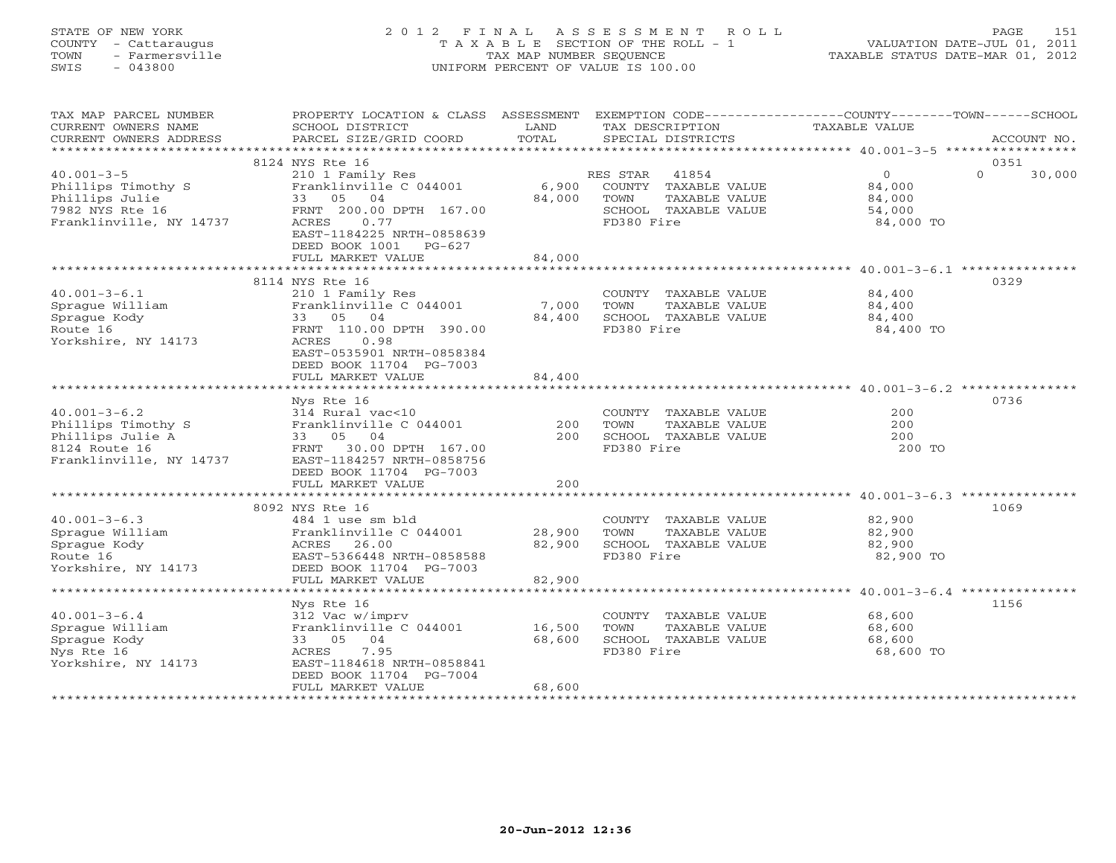# STATE OF NEW YORK 2 0 1 2 F I N A L A S S E S S M E N T R O L L PAGE 151 COUNTY - Cattaraugus T A X A B L E SECTION OF THE ROLL - 1 VALUATION DATE-JUL 01, 2011 TOWN - Farmersville TAX MAP NUMBER SEQUENCE TAXABLE STATUS DATE-MAR 01, 2012 SWIS - 043800 UNIFORM PERCENT OF VALUE IS 100.00UNIFORM PERCENT OF VALUE IS 100.00

| TAX MAP PARCEL NUMBER<br>CURRENT OWNERS NAME<br>CURRENT OWNERS ADDRESS                                   | PROPERTY LOCATION & CLASS ASSESSMENT EXEMPTION CODE----------------COUNTY-------TOWN------SCHOOL<br>SCHOOL DISTRICT<br>PARCEL SIZE/GRID COORD | LAND<br>TOTAL              | TAX DESCRIPTION<br>SPECIAL DISTRICTS                                                | TAXABLE VALUE                                  | ACCOUNT NO.    |
|----------------------------------------------------------------------------------------------------------|-----------------------------------------------------------------------------------------------------------------------------------------------|----------------------------|-------------------------------------------------------------------------------------|------------------------------------------------|----------------|
|                                                                                                          |                                                                                                                                               |                            |                                                                                     |                                                |                |
| $40.001 - 3 - 5$<br>Phillips Timothy S<br>Phillips Julie                                                 | 8124 NYS Rte 16<br>210 1 Family Res<br>Franklinville C 044001<br>33 05 04                                                                     | 6,900<br>84,000            | RES STAR 41854<br>COUNTY TAXABLE VALUE<br>TOWN<br>TAXABLE VALUE                     | $\overline{0}$<br>$\Omega$<br>84,000<br>84,000 | 0351<br>30,000 |
| 7982 NYS Rte 16<br>Franklinville, NY 14737                                                               | FRNT 200.00 DPTH 167.00<br>0.77<br>ACRES<br>EAST-1184225 NRTH-0858639<br>DEED BOOK 1001<br>PG-627<br>FULL MARKET VALUE                        | 84,000                     | SCHOOL TAXABLE VALUE<br>FD380 Fire                                                  | 54,000<br>84,000 TO                            |                |
|                                                                                                          |                                                                                                                                               |                            |                                                                                     |                                                |                |
|                                                                                                          | 8114 NYS Rte 16                                                                                                                               |                            |                                                                                     |                                                | 0329           |
| $40.001 - 3 - 6.1$<br>Sprague William<br>Sprague Kody<br>Route 16<br>Yorkshire, NY 14173                 | 210 1 Family Res<br>Franklinville C 044001<br>33 05 04<br>FRNT 110.00 DPTH 390.00<br>0.98<br>ACRES<br>EAST-0535901 NRTH-0858384               | 7,000<br>84,400            | COUNTY TAXABLE VALUE<br>TOWN<br>TAXABLE VALUE<br>SCHOOL TAXABLE VALUE<br>FD380 Fire | 84,400<br>84,400<br>84,400<br>84,400 TO        |                |
|                                                                                                          | DEED BOOK 11704 PG-7003<br>FULL MARKET VALUE                                                                                                  | 84,400                     |                                                                                     |                                                |                |
|                                                                                                          |                                                                                                                                               |                            |                                                                                     |                                                |                |
|                                                                                                          | Nys Rte 16                                                                                                                                    |                            |                                                                                     |                                                | 0736           |
| $40.001 - 3 - 6.2$<br>Phillips Timothy S<br>Phillips Julie A<br>8124 Route 16<br>Franklinville, NY 14737 | 314 Rural vac<10<br>Franklinville C 044001<br>33 05 04<br>FRNT 30.00 DPTH 167.00<br>EAST-1184257 NRTH-0858756<br>DEED BOOK 11704 PG-7003      | 200<br>200                 | COUNTY TAXABLE VALUE<br>TOWN<br>TAXABLE VALUE<br>SCHOOL TAXABLE VALUE<br>FD380 Fire | 200<br>200<br>200<br>200 TO                    |                |
|                                                                                                          | FULL MARKET VALUE                                                                                                                             | 200                        |                                                                                     |                                                |                |
|                                                                                                          | 8092 NYS Rte 16                                                                                                                               |                            |                                                                                     |                                                | 1069           |
| $40.001 - 3 - 6.3$<br>Sprague William<br>Sprague Kody<br>Route 16<br>Yorkshire, NY 14173                 | 484 1 use sm bld<br>Franklinville C 044001<br>ACRES 26.00<br>EAST-5366448 NRTH-0858588<br>DEED BOOK 11704 PG-7003<br>FULL MARKET VALUE        | 28,900<br>82,900<br>82,900 | COUNTY TAXABLE VALUE<br>TOWN<br>TAXABLE VALUE<br>SCHOOL TAXABLE VALUE<br>FD380 Fire | 82,900<br>82,900<br>82,900<br>82,900 TO        |                |
|                                                                                                          |                                                                                                                                               |                            |                                                                                     |                                                |                |
| $40.001 - 3 - 6.4$<br>Sprague William<br>Sprague Kody<br>Nys Rte 16<br>Yorkshire, NY 14173               | Nys Rte 16<br>312 Vac w/imprv<br>Franklinville C 044001<br>33 05 04<br>7.95<br>ACRES<br>EAST-1184618 NRTH-0858841<br>DEED BOOK 11704 PG-7004  | 16,500<br>68,600           | COUNTY TAXABLE VALUE<br>TOWN<br>TAXABLE VALUE<br>SCHOOL TAXABLE VALUE<br>FD380 Fire | 68,600<br>68,600<br>68,600<br>68,600 TO        | 1156           |
|                                                                                                          | FULL MARKET VALUE                                                                                                                             | 68,600                     |                                                                                     |                                                |                |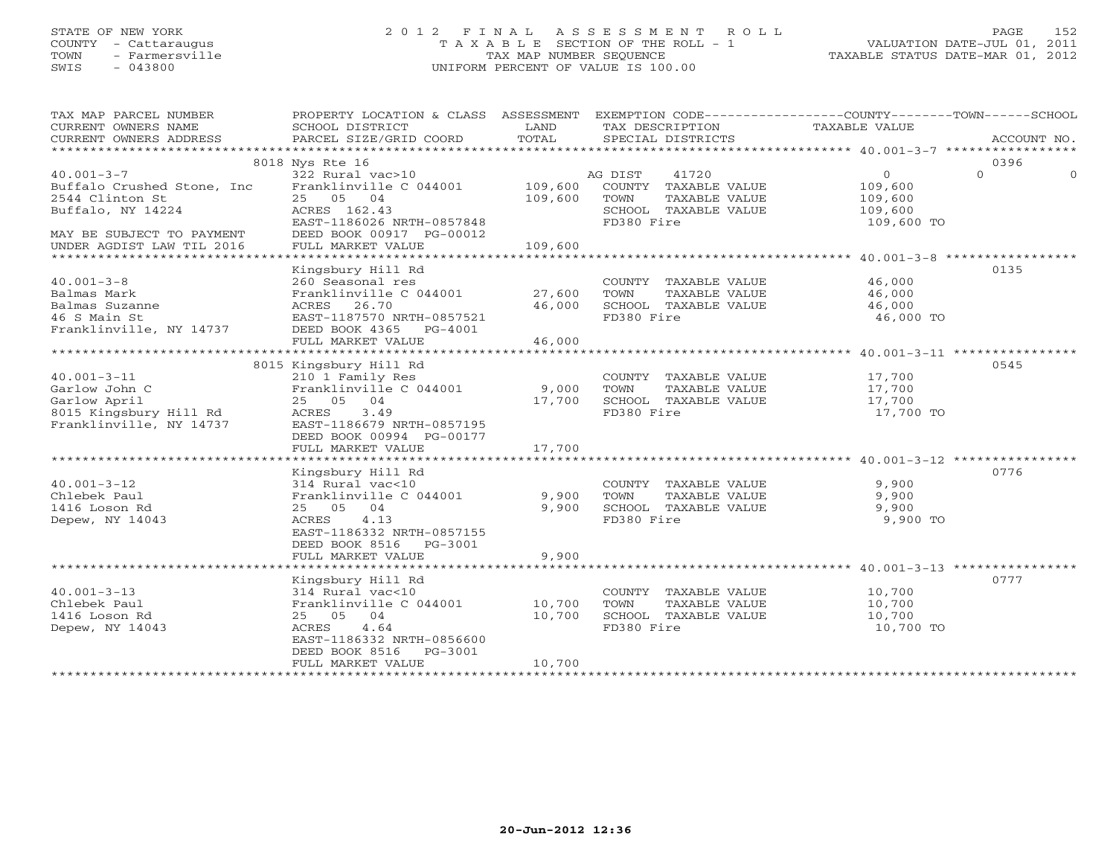# STATE OF NEW YORK 2 0 1 2 F I N A L A S S E S S M E N T R O L L PAGE 152 COUNTY - Cattaraugus T A X A B L E SECTION OF THE ROLL - 1 VALUATION DATE-JUL 01, 2011 TOWN - Farmersville TAX MAP NUMBER SEQUENCE TAXABLE STATUS DATE-MAR 01, 2012 SWIS - 043800 UNIFORM PERCENT OF VALUE IS 100.00UNIFORM PERCENT OF VALUE IS 100.00

| TAX MAP PARCEL NUMBER<br>CURRENT OWNERS NAME<br>CURRENT OWNERS ADDRESS                                                                            | PROPERTY LOCATION & CLASS ASSESSMENT<br>SCHOOL DISTRICT<br>PARCEL SIZE/GRID COORD                                                                                               | LAND<br>TOTAL              | EXEMPTION CODE-----------------COUNTY-------TOWN------SCHOOL<br>TAX DESCRIPTION<br>SPECIAL DISTRICTS    | TAXABLE VALUE                                           | ACCOUNT NO.                  |
|---------------------------------------------------------------------------------------------------------------------------------------------------|---------------------------------------------------------------------------------------------------------------------------------------------------------------------------------|----------------------------|---------------------------------------------------------------------------------------------------------|---------------------------------------------------------|------------------------------|
|                                                                                                                                                   |                                                                                                                                                                                 |                            |                                                                                                         |                                                         |                              |
| $40.001 - 3 - 7$<br>Buffalo Crushed Stone, Inc.<br>2544 Clinton St<br>Buffalo, NY 14224<br>MAY BE SUBJECT TO PAYMENT<br>UNDER AGDIST LAW TIL 2016 | 8018 Nys Rte 16<br>322 Rural vac>10<br>Franklinville C 044001 109,600<br>25 05 04<br>ACRES 162.43<br>EAST-1186026 NRTH-0857848<br>DEED BOOK 00917 PG-00012<br>FULL MARKET VALUE | 109,600<br>109,600         | 41720<br>AG DIST<br>COUNTY TAXABLE VALUE<br>TOWN<br>TAXABLE VALUE<br>SCHOOL TAXABLE VALUE<br>FD380 Fire | $\Omega$<br>109,600<br>109,600<br>109,600<br>109,600 TO | 0396<br>$\Omega$<br>$\Omega$ |
|                                                                                                                                                   |                                                                                                                                                                                 |                            |                                                                                                         |                                                         |                              |
| $40.001 - 3 - 8$<br>Balmas Mark<br>Balmas Suzanne<br>46 S Main St<br>Franklinville, NY 14737                                                      | Kingsbury Hill Rd<br>260 Seasonal res<br>Franklinville C 044001 27,600<br>ACRES 26.70<br>EAST-1187570 NRTH-0857521<br>DEED BOOK 4365 PG-4001                                    | 46,000                     | COUNTY TAXABLE VALUE<br>TAXABLE VALUE<br>TOWN<br>SCHOOL TAXABLE VALUE<br>FD380 Fire                     | 46,000<br>46,000<br>46,000<br>46,000 TO                 | 0135                         |
|                                                                                                                                                   | FULL MARKET VALUE                                                                                                                                                               | 46,000                     |                                                                                                         |                                                         |                              |
| $40.001 - 3 - 11$<br>Garlow John C<br>Garlow April<br>8015 Kingsbury Hill Rd<br>Franklinville, NY 14737                                           | 8015 Kingsbury Hill Rd<br>210 1 Family Res<br>Franklinville C 044001<br>25 05 04<br>ACRES<br>3.49<br>EAST-1186679 NRTH-0857195<br>DEED BOOK 00994 PG-00177<br>FULL MARKET VALUE | 9,000<br>17,700<br>17,700  | COUNTY TAXABLE VALUE<br>TOWN<br>TAXABLE VALUE<br>SCHOOL TAXABLE VALUE<br>FD380 Fire                     | 17,700<br>17,700<br>17,700<br>17,700 TO                 | 0545                         |
| $40.001 - 3 - 12$<br>Chlebek Paul<br>1416 Loson Rd<br>Depew, NY 14043                                                                             | Kingsbury Hill Rd<br>314 Rural vac<10<br>Franklinville C 044001<br>25 05 04<br>ACRES<br>4.13<br>EAST-1186332 NRTH-0857155<br>DEED BOOK 8516 PG-3001<br>FULL MARKET VALUE        | 9,900<br>9,900<br>9,900    | COUNTY TAXABLE VALUE<br>TAXABLE VALUE<br>TOWN<br>SCHOOL TAXABLE VALUE<br>FD380 Fire                     | 9,900<br>9,900<br>9,900<br>9,900 TO                     | 0776                         |
| $40.001 - 3 - 13$<br>Chlebek Paul<br>1416 Loson Rd<br>Depew, NY 14043                                                                             | Kingsbury Hill Rd<br>314 Rural vac<10<br>Franklinville C 044001<br>25 05 04<br>ACRES<br>4.64<br>EAST-1186332 NRTH-0856600<br>DEED BOOK 8516<br>PG-3001<br>FULL MARKET VALUE     | 10,700<br>10,700<br>10,700 | COUNTY TAXABLE VALUE<br>TOWN<br>TAXABLE VALUE<br>SCHOOL TAXABLE VALUE<br>FD380 Fire                     | 10,700<br>10,700<br>10,700<br>10,700 TO                 | 0777                         |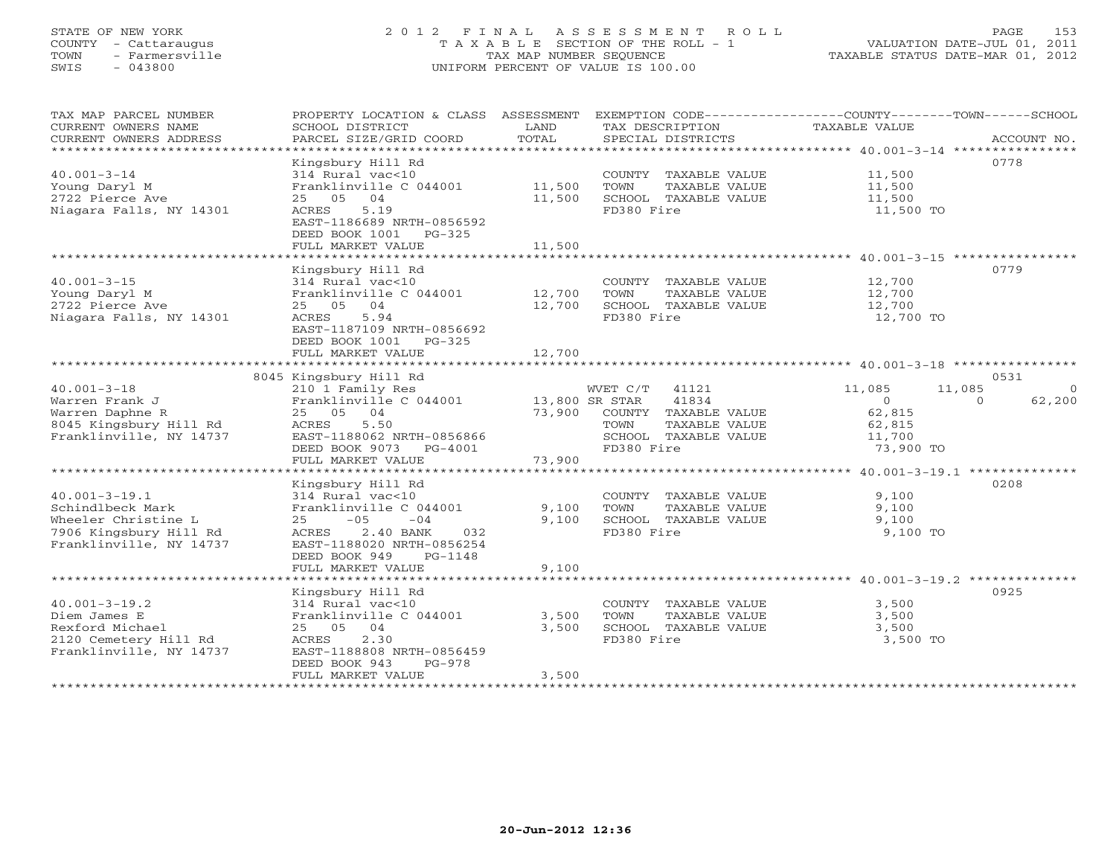# STATE OF NEW YORK 2 0 1 2 F I N A L A S S E S S M E N T R O L L PAGE 153 COUNTY - Cattaraugus T A X A B L E SECTION OF THE ROLL - 1 VALUATION DATE-JUL 01, 2011 TOWN - Farmersville TAX MAP NUMBER SEQUENCE TAXABLE STATUS DATE-MAR 01, 2012 SWIS - 043800 UNIFORM PERCENT OF VALUE IS 100.00UNIFORM PERCENT OF VALUE IS 100.00

| TAX MAP PARCEL NUMBER<br>CURRENT OWNERS NAME<br>CURRENT OWNERS ADDRESS                                              | PROPERTY LOCATION & CLASS ASSESSMENT<br>SCHOOL DISTRICT<br>PARCEL SIZE/GRID COORD                                                                                                                  | LAND<br>TOTAL              | EXEMPTION CODE-----------------COUNTY-------TOWN------SCHOOL<br>TAX DESCRIPTION<br>SPECIAL DISTRICTS | TAXABLE VALUE                                      | ACCOUNT NO.        |
|---------------------------------------------------------------------------------------------------------------------|----------------------------------------------------------------------------------------------------------------------------------------------------------------------------------------------------|----------------------------|------------------------------------------------------------------------------------------------------|----------------------------------------------------|--------------------|
| $40.001 - 3 - 14$<br>Young Daryl M<br>2722 Pierce Ave<br>Niagara Falls, NY 14301                                    | Kingsbury Hill Rd<br>314 Rural vac<10<br>Franklinville C 044001<br>25 05 04<br>ACRES<br>5.19<br>EAST-1186689 NRTH-0856592<br>DEED BOOK 1001 PG-325<br>FULL MARKET VALUE                            | 11,500<br>11,500<br>11,500 | COUNTY TAXABLE VALUE<br>TOWN<br>TAXABLE VALUE<br>SCHOOL TAXABLE VALUE<br>FD380 Fire                  | 11,500<br>11,500<br>11,500<br>11,500 TO            | 0778               |
|                                                                                                                     | Kingsbury Hill Rd                                                                                                                                                                                  |                            |                                                                                                      |                                                    | 0779               |
| $40.001 - 3 - 15$<br>Young Daryl M<br>2722 Pierce Ave<br>Niagara Falls, NY 14301                                    | 314 Rural vac<10<br>Franklinville C 044001<br>25 05 04<br>ACRES<br>5.94<br>EAST-1187109 NRTH-0856692<br>DEED BOOK 1001 PG-325                                                                      | 12,700<br>12,700           | COUNTY TAXABLE VALUE<br>TOWN<br>TAXABLE VALUE<br>SCHOOL TAXABLE VALUE<br>FD380 Fire                  | 12,700<br>12,700<br>12,700<br>12,700 TO            |                    |
|                                                                                                                     | FULL MARKET VALUE                                                                                                                                                                                  | 12,700                     |                                                                                                      |                                                    |                    |
|                                                                                                                     | 8045 Kingsbury Hill Rd                                                                                                                                                                             |                            |                                                                                                      |                                                    | 0531               |
| $40.001 - 3 - 18$                                                                                                   | 210 1 Family Res                                                                                                                                                                                   |                            | WVET C/T 41121                                                                                       | 11,085                                             | 11,085<br>$\Omega$ |
| Warren Frank J<br>Warren Daphne R<br>8045 Kingsbury Hill Rd<br>Franklinville, NY 14737                              | Franklinville C 044001<br>25 05<br>04<br>ACRES<br>5.50<br>EAST-1188062 NRTH-0856866<br>DEED BOOK 9073 PG-4001                                                                                      | 13,800 SR STAR<br>73,900   | 41834<br>COUNTY TAXABLE VALUE<br>TAXABLE VALUE<br>TOWN<br>SCHOOL TAXABLE VALUE<br>FD380 Fire         | $\circ$<br>62,815<br>62,815<br>11,700<br>73,900 TO | 62,200<br>$\Omega$ |
|                                                                                                                     | FULL MARKET VALUE                                                                                                                                                                                  | 73,900                     |                                                                                                      |                                                    |                    |
| $40.001 - 3 - 19.1$<br>Schindlbeck Mark<br>Wheeler Christine L<br>7906 Kingsbury Hill Rd<br>Franklinville, NY 14737 | Kingsbury Hill Rd<br>314 Rural vac<10<br>Franklinville C 044001<br>$-05$<br>25<br>$-04$<br>ACRES<br>2.40 BANK<br>032<br>EAST-1188020 NRTH-0856254<br>DEED BOOK 949<br>PG-1148<br>FULL MARKET VALUE | 9,100<br>9,100<br>9,100    | COUNTY TAXABLE VALUE<br>TOWN<br>TAXABLE VALUE<br>SCHOOL TAXABLE VALUE<br>FD380 Fire                  | 9,100<br>9,100<br>9,100<br>9,100 TO                | 0208               |
|                                                                                                                     | Kingsbury Hill Rd                                                                                                                                                                                  |                            |                                                                                                      |                                                    | 0925               |
| $40.001 - 3 - 19.2$<br>Diem James E<br>Rexford Michael<br>2120 Cemetery Hill Rd<br>Franklinville, NY 14737          | 314 Rural vac<10<br>Franklinville C 044001<br>25 05 04<br>ACRES<br>2.30<br>EAST-1188808 NRTH-0856459<br>PG-978<br>DEED BOOK 943<br>FULL MARKET VALUE                                               | 3,500<br>3,500<br>3,500    | COUNTY TAXABLE VALUE<br>TOWN<br>TAXABLE VALUE<br>SCHOOL TAXABLE VALUE<br>FD380 Fire                  | 3,500<br>3,500<br>3,500<br>3,500 TO                |                    |
|                                                                                                                     |                                                                                                                                                                                                    |                            |                                                                                                      |                                                    |                    |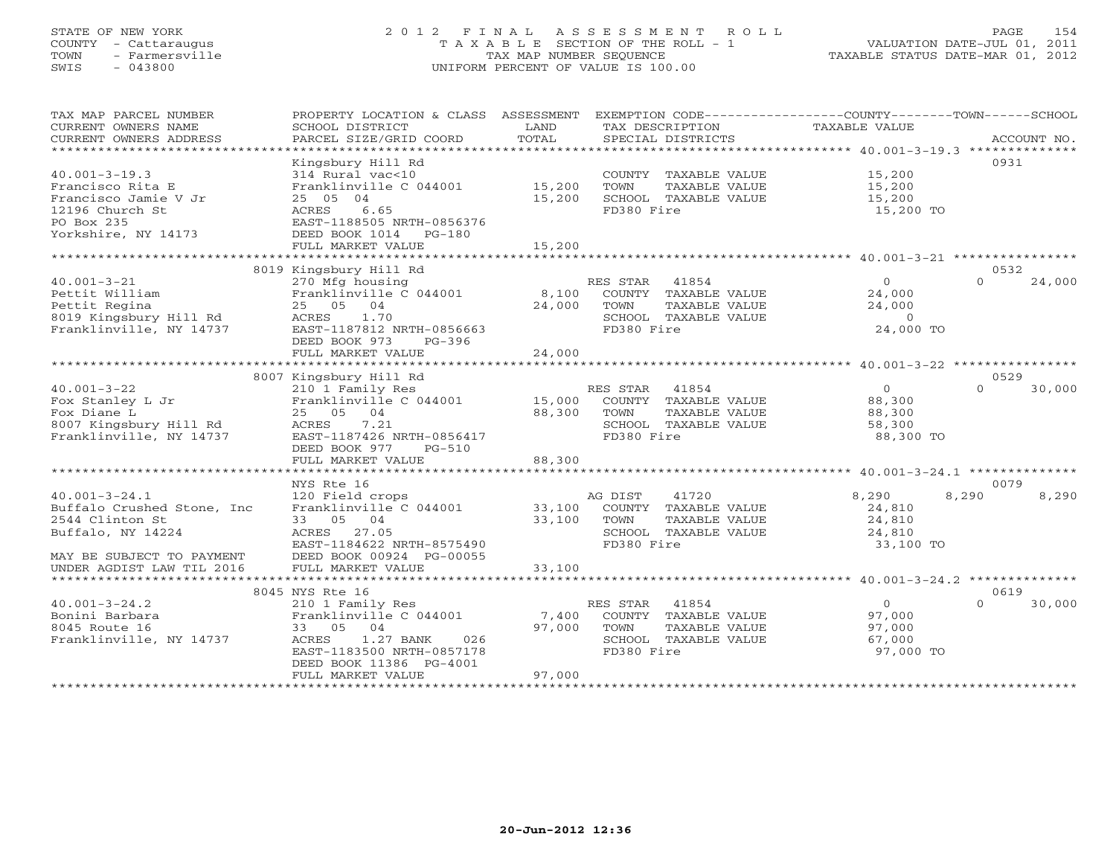#### STATE OF NEW YORK 2 0 1 2 F I N A L A S S E S S M E N T R O L L PAGE 154 COUNTY - Cattaraugus T A X A B L E SECTION OF THE ROLL - 1 VALUATION DATE-JUL 01, 2011 TOWN - Farmersville TAX MAP NUMBER SEQUENCE TAXABLE STATUS DATE-MAR 01, 2012 SWIS - 043800 UNIFORM PERCENT OF VALUE IS 100.00UNIFORM PERCENT OF VALUE IS 100.00

| TAX MAP PARCEL NUMBER<br>CURRENT OWNERS NAME<br>CURRENT OWNERS ADDRESS                                                  | PROPERTY LOCATION & CLASS ASSESSMENT<br>SCHOOL DISTRICT<br>PARCEL SIZE/GRID COORD                                                                                       | LAND<br>TOTAL              | EXEMPTION CODE-----------------COUNTY-------TOWN------SCHOOL<br>TAX DESCRIPTION<br>SPECIAL DISTRICTS     | TAXABLE VALUE                                             | ACCOUNT NO.            |
|-------------------------------------------------------------------------------------------------------------------------|-------------------------------------------------------------------------------------------------------------------------------------------------------------------------|----------------------------|----------------------------------------------------------------------------------------------------------|-----------------------------------------------------------|------------------------|
| $40.001 - 3 - 19.3$<br>Francisco Rita E<br>Francisco Jamie V Jr<br>12196 Church St<br>PO Box 235<br>Yorkshire, NY 14173 | Kingsbury Hill Rd<br>314 Rural vac<10<br>Franklinville C 044001<br>25 05 04<br>6.65<br>ACRES<br>EAST-1188505 NRTH-0856376<br>DEED BOOK 1014 PG-180<br>FULL MARKET VALUE | 15,200<br>15,200<br>15,200 | COUNTY TAXABLE VALUE<br>TOWN<br>TAXABLE VALUE<br>SCHOOL TAXABLE VALUE<br>FD380 Fire                      | 15,200<br>15,200<br>15,200<br>15,200 TO                   | 0931                   |
|                                                                                                                         | 8019 Kingsbury Hill Rd                                                                                                                                                  |                            |                                                                                                          |                                                           | 0532                   |
| $40.001 - 3 - 21$<br>Pettit William<br>Pettit Regina<br>8019 Kingsbury Hill Rd<br>Franklinville, NY 14737               | 270 Mfg housing<br>Franklinville C 044001<br>25 05 04<br>1.70<br>ACRES<br>EAST-1187812 NRTH-0856663<br>DEED BOOK 973<br>$PG-396$                                        | 8,100<br>24,000            | RES STAR 41854<br>COUNTY TAXABLE VALUE<br>TOWN<br>TAXABLE VALUE<br>SCHOOL TAXABLE VALUE<br>FD380 Fire    | $\Omega$<br>24,000<br>24,000<br>$\Omega$<br>24,000 TO     | $\Omega$<br>24,000     |
|                                                                                                                         | FULL MARKET VALUE                                                                                                                                                       | 24,000                     |                                                                                                          |                                                           |                        |
|                                                                                                                         | 8007 Kingsbury Hill Rd                                                                                                                                                  |                            |                                                                                                          |                                                           | 0529                   |
| $40.001 - 3 - 22$<br>Fox Stanley L Jr<br>Fox Diane L<br>8007 Kingsbury Hill Rd<br>Franklinville, NY 14737               | 210 1 Family Res<br>Franklinville C 044001<br>25 05 04<br>ACRES<br>7.21<br>EAST-1187426 NRTH-0856417<br>DEED BOOK 977<br>PG-510<br>FULL MARKET VALUE                    | 15,000<br>88,300<br>88,300 | RES STAR 41854<br>COUNTY TAXABLE VALUE<br>TOWN<br>TAXABLE VALUE<br>SCHOOL TAXABLE VALUE<br>FD380 Fire    | $\overline{0}$<br>88,300<br>88,300<br>58,300<br>88,300 TO | $\Omega$<br>30,000     |
|                                                                                                                         | ***********************                                                                                                                                                 | ***********                |                                                                                                          | ********************* 40.001-3-24.1 ***************       |                        |
| $40.001 - 3 - 24.1$<br>Buffalo Crushed Stone, Inc<br>2544 Clinton St<br>Buffalo, NY 14224                               | NYS Rte 16<br>120 Field crops<br>Franklinville C 044001<br>33 05 04<br>ACRES 27.05<br>EAST-1184622 NRTH-8575490                                                         | 33,100<br>33,100           | 41720<br>AG DIST<br>COUNTY TAXABLE VALUE<br>TOWN<br>TAXABLE VALUE<br>SCHOOL TAXABLE VALUE<br>FD380 Fire  | 8,290<br>24,810<br>24,810<br>24,810<br>33,100 TO          | 0079<br>8,290<br>8,290 |
| MAY BE SUBJECT TO PAYMENT<br>UNDER AGDIST LAW TIL 2016                                                                  | DEED BOOK 00924 PG-00055<br>FULL MARKET VALUE                                                                                                                           | 33,100                     |                                                                                                          |                                                           |                        |
|                                                                                                                         | 8045 NYS Rte 16                                                                                                                                                         |                            |                                                                                                          |                                                           | 0619                   |
| $40.001 - 3 - 24.2$<br>Bonini Barbara<br>8045 Route 16<br>Franklinville, NY 14737                                       | 210 1 Family Res<br>Franklinville C 044001<br>04<br>33 05<br>ACRES<br>1.27 BANK<br>026<br>EAST-1183500 NRTH-0857178<br>DEED BOOK 11386 PG-4001<br>FULL MARKET VALUE     | 7,400<br>97,000<br>97,000  | RES STAR<br>41854<br>COUNTY TAXABLE VALUE<br>TOWN<br>TAXABLE VALUE<br>SCHOOL TAXABLE VALUE<br>FD380 Fire | $\overline{0}$<br>97,000<br>97,000<br>67,000<br>97,000 TO | $\Omega$<br>30,000     |
|                                                                                                                         |                                                                                                                                                                         |                            |                                                                                                          |                                                           |                        |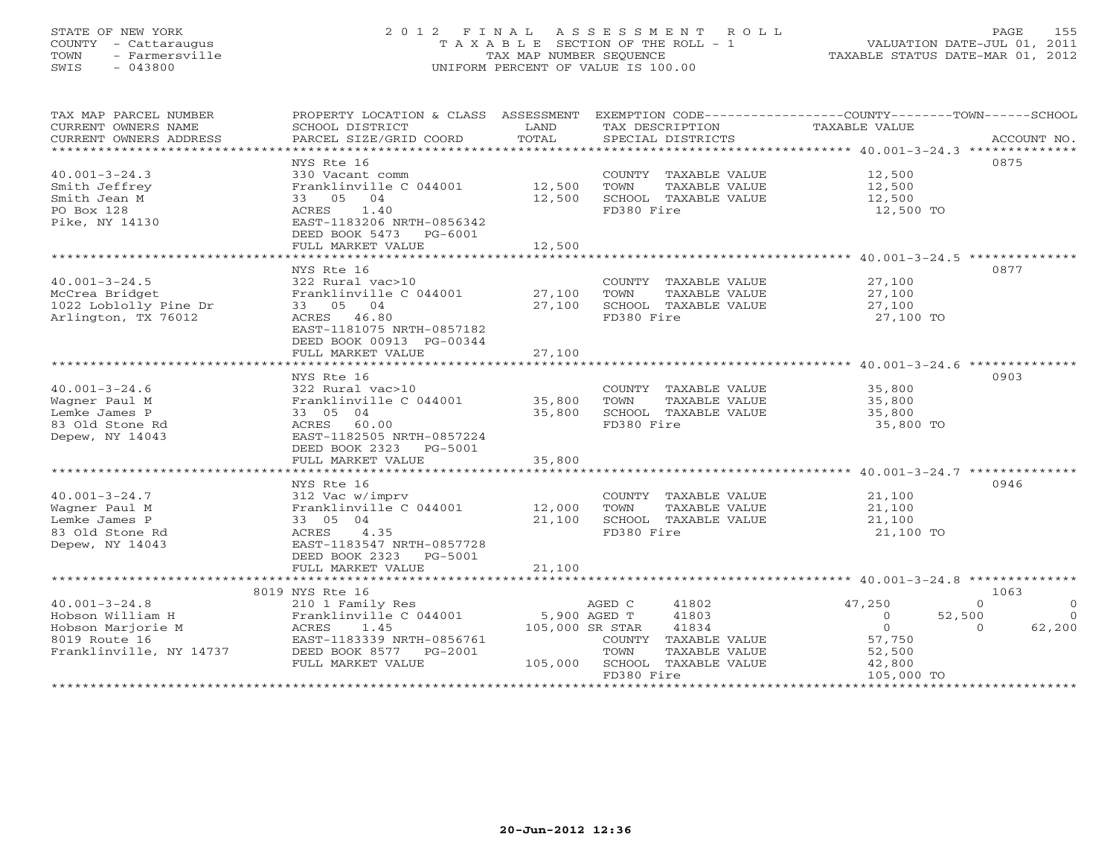# STATE OF NEW YORK 2 0 1 2 F I N A L A S S E S S M E N T R O L L PAGE 155 COUNTY - Cattaraugus T A X A B L E SECTION OF THE ROLL - 1 VALUATION DATE-JUL 01, 2011 TOWN - Farmersville TAX MAP NUMBER SEQUENCE TAXABLE STATUS DATE-MAR 01, 2012 SWIS - 043800 UNIFORM PERCENT OF VALUE IS 100.00UNIFORM PERCENT OF VALUE IS 100.00

| TAX MAP PARCEL NUMBER<br>CURRENT OWNERS NAME<br>CURRENT OWNERS ADDRESS | PROPERTY LOCATION & CLASS ASSESSMENT<br>SCHOOL DISTRICT<br>PARCEL SIZE/GRID COORD         | LAND<br>TOTAL    | TAX DESCRIPTION<br>SPECIAL DISTRICTS                                                | EXEMPTION CODE-----------------COUNTY-------TOWN------SCHOOL<br><b>TAXABLE VALUE</b><br>ACCOUNT NO. |
|------------------------------------------------------------------------|-------------------------------------------------------------------------------------------|------------------|-------------------------------------------------------------------------------------|-----------------------------------------------------------------------------------------------------|
|                                                                        |                                                                                           |                  |                                                                                     | 0875                                                                                                |
| $40.001 - 3 - 24.3$<br>Smith Jeffrey<br>Smith Jean M<br>PO Box 128     | NYS Rte 16<br>330 Vacant comm<br>Franklinville C 044001<br>33 05 04<br>ACRES<br>1.40      | 12,500<br>12,500 | COUNTY TAXABLE VALUE<br>TOWN<br>TAXABLE VALUE<br>SCHOOL TAXABLE VALUE<br>FD380 Fire | 12,500<br>12,500<br>12,500<br>12,500 TO                                                             |
| Pike, NY 14130                                                         | EAST-1183206 NRTH-0856342<br>DEED BOOK 5473<br>PG-6001<br>FULL MARKET VALUE               | 12,500           |                                                                                     |                                                                                                     |
|                                                                        |                                                                                           |                  |                                                                                     |                                                                                                     |
| $40.001 - 3 - 24.5$<br>McCrea Bridget<br>1022 Loblolly Pine Dr         | NYS Rte 16<br>322 Rural vac>10<br>Franklinville C 044001<br>33 05 04                      | 27,100<br>27,100 | COUNTY TAXABLE VALUE<br>TOWN<br>TAXABLE VALUE<br>SCHOOL TAXABLE VALUE               | 0877<br>27,100<br>27,100<br>27,100                                                                  |
| Arlington, TX 76012                                                    | ACRES 46.80<br>EAST-1181075 NRTH-0857182<br>DEED BOOK 00913 PG-00344<br>FULL MARKET VALUE | 27,100           | FD380 Fire                                                                          | 27,100 TO                                                                                           |
|                                                                        |                                                                                           |                  |                                                                                     |                                                                                                     |
|                                                                        | NYS Rte 16                                                                                |                  |                                                                                     | 0903                                                                                                |
| $40.001 - 3 - 24.6$                                                    | 322 Rural vac>10                                                                          |                  | COUNTY TAXABLE VALUE                                                                | 35,800                                                                                              |
| Wagner Paul M                                                          | Franklinville C 044001                                                                    | 35,800           | TOWN<br>TAXABLE VALUE                                                               | 35,800                                                                                              |
| Lemke James P                                                          | 33 05 04                                                                                  | 35,800           | SCHOOL TAXABLE VALUE                                                                | 35,800                                                                                              |
| 83 Old Stone Rd<br>Depew, NY 14043                                     | ACRES 60.00<br>EAST-1182505 NRTH-0857224                                                  |                  | FD380 Fire                                                                          | 35,800 TO                                                                                           |
|                                                                        | DEED BOOK 2323<br>PG-5001<br>FULL MARKET VALUE                                            | 35,800           |                                                                                     |                                                                                                     |
|                                                                        | *************************                                                                 | *************    |                                                                                     | ************************************* 40.001-3-24.7 ***************                                 |
|                                                                        | NYS Rte 16                                                                                |                  |                                                                                     | 0946                                                                                                |
| $40.001 - 3 - 24.7$                                                    | 312 Vac w/imprv                                                                           |                  | COUNTY TAXABLE VALUE                                                                | 21,100                                                                                              |
| Wagner Paul M                                                          | Franklinville C 044001                                                                    | 12,000           | TOWN<br>TAXABLE VALUE                                                               | 21,100                                                                                              |
| Lemke James P                                                          | 33 05 04                                                                                  | 21,100           | SCHOOL TAXABLE VALUE                                                                | 21,100                                                                                              |
| 83 Old Stone Rd<br>Depew, NY 14043                                     | ACRES<br>4.35<br>EAST-1183547 NRTH-0857728<br>DEED BOOK 2323<br>PG-5001                   |                  | FD380 Fire                                                                          | 21,100 TO                                                                                           |
|                                                                        | FULL MARKET VALUE<br>***************************                                          | 21,100           |                                                                                     |                                                                                                     |
|                                                                        | 8019 NYS Rte 16                                                                           |                  |                                                                                     | 1063                                                                                                |
| $40.001 - 3 - 24.8$                                                    | 210 1 Family Res                                                                          |                  | AGED C<br>41802                                                                     | 47,250<br>$\Omega$<br>$\Omega$                                                                      |
| Hobson William H                                                       | Franklinville C 044001                                                                    |                  | 5,900 AGED T<br>41803                                                               | 52,500<br>$\Omega$<br>$\Omega$                                                                      |
| Hobson Marjorie M                                                      | ACRES<br>1.45                                                                             | 105,000 SR STAR  | 41834                                                                               | $\Omega$<br>62,200<br>$\Omega$                                                                      |
| 8019 Route 16                                                          | EAST-1183339 NRTH-0856761                                                                 |                  | TAXABLE VALUE<br>COUNTY                                                             | 57,750                                                                                              |
| Franklinville, NY 14737                                                | DEED BOOK 8577 PG-2001                                                                    |                  | TOWN<br>TAXABLE VALUE                                                               | 52,500                                                                                              |
|                                                                        | FULL MARKET VALUE                                                                         | 105,000          | SCHOOL TAXABLE VALUE                                                                | 42,800                                                                                              |
|                                                                        | ************************************                                                      |                  | FD380 Fire                                                                          | 105,000 TO                                                                                          |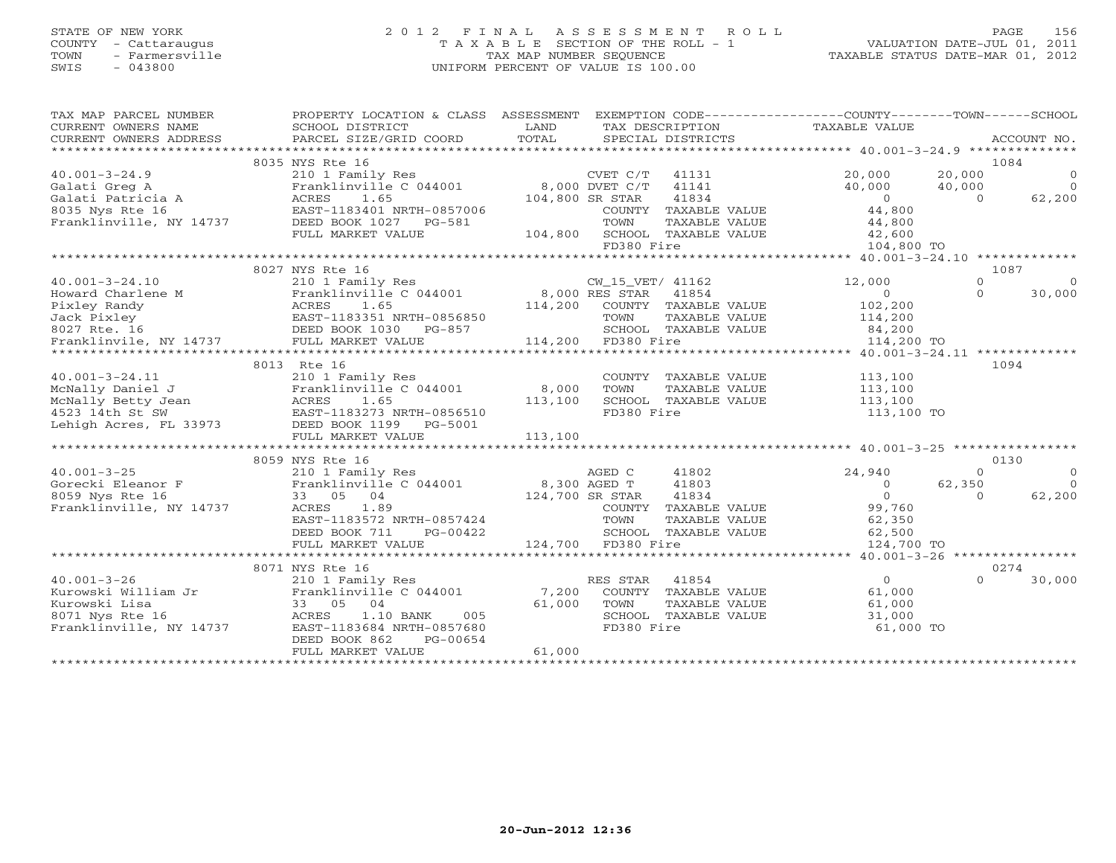## STATE OF NEW YORK 2 0 1 2 F I N A L A S S E S S M E N T R O L L PAGE 156 COUNTY - Cattaraugus T A X A B L E SECTION OF THE ROLL - 1 VALUATION DATE-JUL 01, 2011 TOWN - Farmersville TAX MAP NUMBER SEQUENCE TAXABLE STATUS DATE-MAR 01, 2012 SWIS - 043800 UNIFORM PERCENT OF VALUE IS 100.00UNIFORM PERCENT OF VALUE IS 100.00

| TAX MAP PARCEL NUMBER<br>CURRENT OWNERS NAME | PROPERTY LOCATION & CLASS ASSESSMENT<br>SCHOOL DISTRICT | LAND               |                    |                                   | EXEMPTION CODE-----------------COUNTY-------TOWN------SCHOOL<br>TAX DESCRIPTION TAXABLE VALUE |          |             |
|----------------------------------------------|---------------------------------------------------------|--------------------|--------------------|-----------------------------------|-----------------------------------------------------------------------------------------------|----------|-------------|
| CURRENT OWNERS ADDRESS                       | PARCEL SIZE/GRID COORD                                  | TOTAL              |                    | SPECIAL DISTRICTS                 |                                                                                               |          | ACCOUNT NO. |
|                                              | 8035 NYS Rte 16                                         |                    |                    |                                   |                                                                                               |          | 1084        |
| $40.001 - 3 - 24.9$                          | 210 1 Family Res                                        |                    | CVET C/T           | 41131                             | 20,000                                                                                        | 20,000   | $\Omega$    |
| Galati Greg A                                | Franklinville C 044001                                  | 8,000 DVET C/T     |                    | 41141                             | 40,000                                                                                        | 40,000   | $\Omega$    |
| Galati Patricia A                            | ACRES<br>1.65                                           |                    | 104,800 SR STAR    | 41834                             | $\bigcirc$                                                                                    | $\Omega$ | 62,200      |
| 8035 Nys Rte 16                              | EAST-1183401 NRTH-0857006                               |                    |                    | COUNTY TAXABLE VALUE              | 44,800                                                                                        |          |             |
| 14737<br>Franklinville, NY 14737             | DEED BOOK 1027 PG-581                                   |                    | TOWN               | TAXABLE VALUE                     | 44,800                                                                                        |          |             |
|                                              | FULL MARKET VALUE                                       | 104,800            |                    | SCHOOL TAXABLE VALUE              | 42,600                                                                                        |          |             |
|                                              |                                                         |                    | FD380 Fire         |                                   | 104,800 TO                                                                                    |          |             |
|                                              |                                                         |                    |                    |                                   |                                                                                               |          |             |
|                                              | 8027 NYS Rte 16                                         |                    |                    |                                   |                                                                                               | 1087     |             |
| $40.001 - 3 - 24.10$                         | 210 1 Family Res                                        |                    | CW_15_VET/ 41162   |                                   | 12,000                                                                                        | $\Omega$ | $\Omega$    |
| Howard Charlene M                            | Franklinville C 044001 8,000 RES STAR                   |                    |                    | 41854                             | $\Omega$                                                                                      | $\Omega$ | 30,000      |
|                                              |                                                         | 114,200            |                    | COUNTY TAXABLE VALUE              | 102,200                                                                                       |          |             |
|                                              |                                                         |                    | TOWN               | TAXABLE VALUE                     | 114,200                                                                                       |          |             |
|                                              |                                                         |                    |                    | SCHOOL TAXABLE VALUE              | 84,200                                                                                        |          |             |
|                                              |                                                         |                    | 114,200 FD380 Fire |                                   | 114,200 TO                                                                                    |          |             |
|                                              |                                                         |                    |                    | ********************************* | ********* 40.001-3-24.11 **************                                                       |          |             |
|                                              | 8013 Rte 16                                             |                    |                    |                                   |                                                                                               | 1094     |             |
| $40.001 - 3 - 24.11$                         | 210 1 Family Res                                        |                    |                    | COUNTY TAXABLE VALUE              | 113,100                                                                                       |          |             |
| McNally Daniel C<br>McNally Betty Jean       | Franklinville C 044001                                  | 8,000              | TOWN               | TAXABLE VALUE                     | 113,100                                                                                       |          |             |
|                                              | ACRES<br>1.65                                           | 113,100            |                    | SCHOOL TAXABLE VALUE              | 113,100                                                                                       |          |             |
|                                              | EAST-1183273 NRTH-0856510                               |                    | FD380 Fire         |                                   | 113,100 TO                                                                                    |          |             |
| Lehigh Acres, FL 33973                       | DEED BOOK 1199 PG-5001                                  |                    |                    |                                   |                                                                                               |          |             |
|                                              | FULL MARKET VALUE                                       | 113,100            |                    |                                   |                                                                                               |          |             |
|                                              | 8059 NYS Rte 16                                         |                    |                    |                                   |                                                                                               |          | 0130        |
| $40.001 - 3 - 25$                            | 210 1 Family Res                                        |                    | AGED C             | 41802                             | 24,940                                                                                        | $\Omega$ | $\Omega$    |
| Gorecki Eleanor F                            | Franklinville C 044001 8,300 AGED T                     |                    |                    | 41803                             | $\Omega$                                                                                      | 62,350   | $\Omega$    |
| 8059 Nys Rte 16                              | 33 05 04                                                | 124,700 SR STAR    |                    | 41834                             | $\Omega$                                                                                      | $\Omega$ | 62,200      |
| Franklinville, NY 14737                      | ACRES<br>1.89                                           |                    |                    | COUNTY TAXABLE VALUE              | 99,760                                                                                        |          |             |
|                                              | EAST-1183572 NRTH-0857424                               |                    | TOWN               | TAXABLE VALUE                     | 62,350                                                                                        |          |             |
|                                              | DEED BOOK 711<br>PG-00422                               |                    |                    | SCHOOL TAXABLE VALUE              | 62,500                                                                                        |          |             |
|                                              | FULL MARKET VALUE                                       | 124,700 FD380 Fire |                    |                                   | 124,700 TO                                                                                    |          |             |
|                                              |                                                         |                    |                    |                                   |                                                                                               |          |             |
|                                              | 8071 NYS Rte 16                                         |                    |                    |                                   |                                                                                               |          | 0274        |
| $40.001 - 3 - 26$                            | 210 1 Family Res                                        |                    | RES STAR           | 41854                             | $\circ$                                                                                       | $\Omega$ | 30,000      |
| Kurowski William Jr                          | Franklinville C 044001                                  | 7,200              |                    | COUNTY TAXABLE VALUE              | 61,000                                                                                        |          |             |
| Kurowski Lisa                                | 33 05 04                                                | 61,000             | TOWN               | TAXABLE VALUE                     | 61,000                                                                                        |          |             |
| 8071 Nys Rte 16                              | ACRES<br>1.10 BANK<br>005                               |                    |                    | SCHOOL TAXABLE VALUE              | 31,000                                                                                        |          |             |
| Franklinville, NY 14737                      | EAST-1183684 NRTH-0857680                               |                    | FD380 Fire         |                                   | 61,000 TO                                                                                     |          |             |
|                                              | PG-00654<br>DEED BOOK 862                               |                    |                    |                                   |                                                                                               |          |             |
|                                              | FULL MARKET VALUE                                       | 61,000             |                    |                                   |                                                                                               |          |             |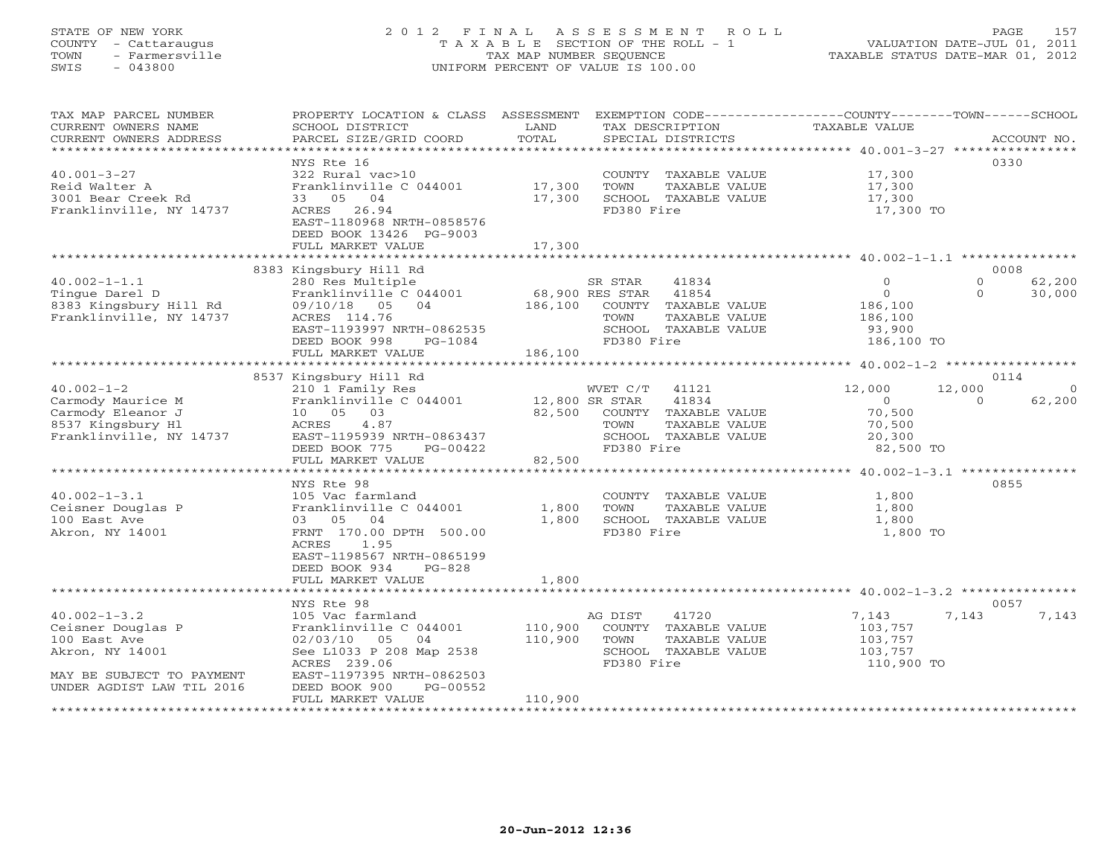# STATE OF NEW YORK 2 0 1 2 F I N A L A S S E S S M E N T R O L L PAGE 157 COUNTY - Cattaraugus T A X A B L E SECTION OF THE ROLL - 1 VALUATION DATE-JUL 01, 2011 TOWN - Farmersville TAX MAP NUMBER SEQUENCE TAXABLE STATUS DATE-MAR 01, 2012 SWIS - 043800 UNIFORM PERCENT OF VALUE IS 100.00UNIFORM PERCENT OF VALUE IS 100.00

| **********************<br>0330<br>NYS Rte 16<br>$40.001 - 3 - 27$<br>322 Rural vac>10<br>COUNTY TAXABLE VALUE<br>17,300<br>Franklinville C 044001<br>17,300<br>17,300<br>Reid Walter A<br>TOWN<br>TAXABLE VALUE<br>3001 Bear Creek Rd<br>17,300<br>33 05<br>04<br>SCHOOL TAXABLE VALUE<br>17,300<br>Franklinville, NY 14737<br>FD380 Fire<br>26.94<br>ACRES<br>17,300 TO<br>EAST-1180968 NRTH-0858576<br>DEED BOOK 13426 PG-9003<br>FULL MARKET VALUE<br>17,300<br>0008<br>8383 Kingsbury Hill Rd<br>$40.002 - 1 - 1.1$<br>$\Omega$<br>$\Omega$<br>62,200<br>280 Res Multiple<br>SR STAR<br>41834<br>Tinque Darel D<br>Franklinville C 044001<br>68,900 RES STAR<br>41854<br>$\Omega$<br>$\Omega$<br>30,000<br>8383 Kingsbury Hill Rd<br>186,100<br>COUNTY TAXABLE VALUE<br>09/10/18 05<br>04<br>186,100<br>Franklinville, NY 14737<br>ACRES 114.76<br>TOWN<br>TAXABLE VALUE<br>186,100<br>EAST-1193997 NRTH-0862535<br>SCHOOL TAXABLE VALUE<br>93,900<br>FD380 Fire<br>PG-1084<br>186,100 TO<br>DEED BOOK 998<br>186,100<br>FULL MARKET VALUE<br>8537 Kingsbury Hill Rd<br>0114<br>$40.002 - 1 - 2$<br>41121<br>12,000<br>210 1 Family Res<br>WVET C/T<br>12,000<br>$\circ$<br>Carmody Maurice M<br>41834<br>Franklinville C 044001<br>12,800 SR STAR<br>$\overline{O}$<br>62,200<br>$\Omega$<br>10  05  03<br>Carmody Eleanor J<br>82,500<br>COUNTY TAXABLE VALUE<br>70,500<br>8537 Kingsbury Hl<br>4.87<br>ACRES<br>TOWN<br>TAXABLE VALUE<br>70,500<br>Franklinville, NY 14737<br>EAST-1195939 NRTH-0863437<br>SCHOOL TAXABLE VALUE<br>20,300<br>FD380 Fire<br>DEED BOOK 775<br>PG-00422<br>82,500 TO<br>FULL MARKET VALUE<br>82,500<br>********************<br>*************<br>************************************** 40.002-1-3.1 *****************<br>0855<br>NYS Rte 98<br>$40.002 - 1 - 3.1$<br>105 Vac farmland<br>COUNTY TAXABLE VALUE<br>1,800<br>Ceisner Douglas P<br>Franklinville C 044001<br>1,800<br>TOWN<br>TAXABLE VALUE<br>1,800<br>100 East Ave<br>03 05<br>04<br>1,800<br>SCHOOL TAXABLE VALUE<br>1,800<br>FD380 Fire<br>Akron, NY 14001<br>FRNT 170.00 DPTH 500.00<br>1,800 TO<br>ACRES<br>1.95<br>EAST-1198567 NRTH-0865199<br>DEED BOOK 934<br>$PG-828$<br>FULL MARKET VALUE<br>1,800<br>NYS Rte 98<br>0057<br>$40.002 - 1 - 3.2$<br>41720<br>105 Vac farmland<br>AG DIST<br>7,143<br>7,143<br>7,143<br>110,900<br>COUNTY TAXABLE VALUE<br>Ceisner Douglas P<br>Franklinville C 044001<br>103,757<br>110,900<br>100 East Ave<br>02/03/10<br>05 04<br>TOWN<br>TAXABLE VALUE<br>103,757 | TAX MAP PARCEL NUMBER<br>CURRENT OWNERS NAME<br>CURRENT OWNERS ADDRESS | PROPERTY LOCATION & CLASS ASSESSMENT<br>SCHOOL DISTRICT<br>PARCEL SIZE/GRID COORD | LAND<br>TOTAL | EXEMPTION CODE-----------------COUNTY-------TOWN------SCHOOL<br>TAX DESCRIPTION<br>SPECIAL DISTRICTS | TAXABLE VALUE | ACCOUNT NO. |
|----------------------------------------------------------------------------------------------------------------------------------------------------------------------------------------------------------------------------------------------------------------------------------------------------------------------------------------------------------------------------------------------------------------------------------------------------------------------------------------------------------------------------------------------------------------------------------------------------------------------------------------------------------------------------------------------------------------------------------------------------------------------------------------------------------------------------------------------------------------------------------------------------------------------------------------------------------------------------------------------------------------------------------------------------------------------------------------------------------------------------------------------------------------------------------------------------------------------------------------------------------------------------------------------------------------------------------------------------------------------------------------------------------------------------------------------------------------------------------------------------------------------------------------------------------------------------------------------------------------------------------------------------------------------------------------------------------------------------------------------------------------------------------------------------------------------------------------------------------------------------------------------------------------------------------------------------------------------------------------------------------------------------------------------------------------------------------------------------------------------------------------------------------------------------------------------------------------------------------------------------------------------------------------------------------------------------------------------------------------------------------------------------------------------------------------------------------------------------------------------------------------|------------------------------------------------------------------------|-----------------------------------------------------------------------------------|---------------|------------------------------------------------------------------------------------------------------|---------------|-------------|
|                                                                                                                                                                                                                                                                                                                                                                                                                                                                                                                                                                                                                                                                                                                                                                                                                                                                                                                                                                                                                                                                                                                                                                                                                                                                                                                                                                                                                                                                                                                                                                                                                                                                                                                                                                                                                                                                                                                                                                                                                                                                                                                                                                                                                                                                                                                                                                                                                                                                                                                |                                                                        |                                                                                   |               |                                                                                                      |               |             |
|                                                                                                                                                                                                                                                                                                                                                                                                                                                                                                                                                                                                                                                                                                                                                                                                                                                                                                                                                                                                                                                                                                                                                                                                                                                                                                                                                                                                                                                                                                                                                                                                                                                                                                                                                                                                                                                                                                                                                                                                                                                                                                                                                                                                                                                                                                                                                                                                                                                                                                                |                                                                        |                                                                                   |               |                                                                                                      |               |             |
|                                                                                                                                                                                                                                                                                                                                                                                                                                                                                                                                                                                                                                                                                                                                                                                                                                                                                                                                                                                                                                                                                                                                                                                                                                                                                                                                                                                                                                                                                                                                                                                                                                                                                                                                                                                                                                                                                                                                                                                                                                                                                                                                                                                                                                                                                                                                                                                                                                                                                                                |                                                                        |                                                                                   |               |                                                                                                      |               |             |
|                                                                                                                                                                                                                                                                                                                                                                                                                                                                                                                                                                                                                                                                                                                                                                                                                                                                                                                                                                                                                                                                                                                                                                                                                                                                                                                                                                                                                                                                                                                                                                                                                                                                                                                                                                                                                                                                                                                                                                                                                                                                                                                                                                                                                                                                                                                                                                                                                                                                                                                |                                                                        |                                                                                   |               |                                                                                                      |               |             |
|                                                                                                                                                                                                                                                                                                                                                                                                                                                                                                                                                                                                                                                                                                                                                                                                                                                                                                                                                                                                                                                                                                                                                                                                                                                                                                                                                                                                                                                                                                                                                                                                                                                                                                                                                                                                                                                                                                                                                                                                                                                                                                                                                                                                                                                                                                                                                                                                                                                                                                                |                                                                        |                                                                                   |               |                                                                                                      |               |             |
|                                                                                                                                                                                                                                                                                                                                                                                                                                                                                                                                                                                                                                                                                                                                                                                                                                                                                                                                                                                                                                                                                                                                                                                                                                                                                                                                                                                                                                                                                                                                                                                                                                                                                                                                                                                                                                                                                                                                                                                                                                                                                                                                                                                                                                                                                                                                                                                                                                                                                                                |                                                                        |                                                                                   |               |                                                                                                      |               |             |
|                                                                                                                                                                                                                                                                                                                                                                                                                                                                                                                                                                                                                                                                                                                                                                                                                                                                                                                                                                                                                                                                                                                                                                                                                                                                                                                                                                                                                                                                                                                                                                                                                                                                                                                                                                                                                                                                                                                                                                                                                                                                                                                                                                                                                                                                                                                                                                                                                                                                                                                |                                                                        |                                                                                   |               |                                                                                                      |               |             |
|                                                                                                                                                                                                                                                                                                                                                                                                                                                                                                                                                                                                                                                                                                                                                                                                                                                                                                                                                                                                                                                                                                                                                                                                                                                                                                                                                                                                                                                                                                                                                                                                                                                                                                                                                                                                                                                                                                                                                                                                                                                                                                                                                                                                                                                                                                                                                                                                                                                                                                                |                                                                        |                                                                                   |               |                                                                                                      |               |             |
|                                                                                                                                                                                                                                                                                                                                                                                                                                                                                                                                                                                                                                                                                                                                                                                                                                                                                                                                                                                                                                                                                                                                                                                                                                                                                                                                                                                                                                                                                                                                                                                                                                                                                                                                                                                                                                                                                                                                                                                                                                                                                                                                                                                                                                                                                                                                                                                                                                                                                                                |                                                                        |                                                                                   |               |                                                                                                      |               |             |
|                                                                                                                                                                                                                                                                                                                                                                                                                                                                                                                                                                                                                                                                                                                                                                                                                                                                                                                                                                                                                                                                                                                                                                                                                                                                                                                                                                                                                                                                                                                                                                                                                                                                                                                                                                                                                                                                                                                                                                                                                                                                                                                                                                                                                                                                                                                                                                                                                                                                                                                |                                                                        |                                                                                   |               |                                                                                                      |               |             |
|                                                                                                                                                                                                                                                                                                                                                                                                                                                                                                                                                                                                                                                                                                                                                                                                                                                                                                                                                                                                                                                                                                                                                                                                                                                                                                                                                                                                                                                                                                                                                                                                                                                                                                                                                                                                                                                                                                                                                                                                                                                                                                                                                                                                                                                                                                                                                                                                                                                                                                                |                                                                        |                                                                                   |               |                                                                                                      |               |             |
|                                                                                                                                                                                                                                                                                                                                                                                                                                                                                                                                                                                                                                                                                                                                                                                                                                                                                                                                                                                                                                                                                                                                                                                                                                                                                                                                                                                                                                                                                                                                                                                                                                                                                                                                                                                                                                                                                                                                                                                                                                                                                                                                                                                                                                                                                                                                                                                                                                                                                                                |                                                                        |                                                                                   |               |                                                                                                      |               |             |
|                                                                                                                                                                                                                                                                                                                                                                                                                                                                                                                                                                                                                                                                                                                                                                                                                                                                                                                                                                                                                                                                                                                                                                                                                                                                                                                                                                                                                                                                                                                                                                                                                                                                                                                                                                                                                                                                                                                                                                                                                                                                                                                                                                                                                                                                                                                                                                                                                                                                                                                |                                                                        |                                                                                   |               |                                                                                                      |               |             |
|                                                                                                                                                                                                                                                                                                                                                                                                                                                                                                                                                                                                                                                                                                                                                                                                                                                                                                                                                                                                                                                                                                                                                                                                                                                                                                                                                                                                                                                                                                                                                                                                                                                                                                                                                                                                                                                                                                                                                                                                                                                                                                                                                                                                                                                                                                                                                                                                                                                                                                                |                                                                        |                                                                                   |               |                                                                                                      |               |             |
|                                                                                                                                                                                                                                                                                                                                                                                                                                                                                                                                                                                                                                                                                                                                                                                                                                                                                                                                                                                                                                                                                                                                                                                                                                                                                                                                                                                                                                                                                                                                                                                                                                                                                                                                                                                                                                                                                                                                                                                                                                                                                                                                                                                                                                                                                                                                                                                                                                                                                                                |                                                                        |                                                                                   |               |                                                                                                      |               |             |
|                                                                                                                                                                                                                                                                                                                                                                                                                                                                                                                                                                                                                                                                                                                                                                                                                                                                                                                                                                                                                                                                                                                                                                                                                                                                                                                                                                                                                                                                                                                                                                                                                                                                                                                                                                                                                                                                                                                                                                                                                                                                                                                                                                                                                                                                                                                                                                                                                                                                                                                |                                                                        |                                                                                   |               |                                                                                                      |               |             |
|                                                                                                                                                                                                                                                                                                                                                                                                                                                                                                                                                                                                                                                                                                                                                                                                                                                                                                                                                                                                                                                                                                                                                                                                                                                                                                                                                                                                                                                                                                                                                                                                                                                                                                                                                                                                                                                                                                                                                                                                                                                                                                                                                                                                                                                                                                                                                                                                                                                                                                                |                                                                        |                                                                                   |               |                                                                                                      |               |             |
|                                                                                                                                                                                                                                                                                                                                                                                                                                                                                                                                                                                                                                                                                                                                                                                                                                                                                                                                                                                                                                                                                                                                                                                                                                                                                                                                                                                                                                                                                                                                                                                                                                                                                                                                                                                                                                                                                                                                                                                                                                                                                                                                                                                                                                                                                                                                                                                                                                                                                                                |                                                                        |                                                                                   |               |                                                                                                      |               |             |
|                                                                                                                                                                                                                                                                                                                                                                                                                                                                                                                                                                                                                                                                                                                                                                                                                                                                                                                                                                                                                                                                                                                                                                                                                                                                                                                                                                                                                                                                                                                                                                                                                                                                                                                                                                                                                                                                                                                                                                                                                                                                                                                                                                                                                                                                                                                                                                                                                                                                                                                |                                                                        |                                                                                   |               |                                                                                                      |               |             |
|                                                                                                                                                                                                                                                                                                                                                                                                                                                                                                                                                                                                                                                                                                                                                                                                                                                                                                                                                                                                                                                                                                                                                                                                                                                                                                                                                                                                                                                                                                                                                                                                                                                                                                                                                                                                                                                                                                                                                                                                                                                                                                                                                                                                                                                                                                                                                                                                                                                                                                                |                                                                        |                                                                                   |               |                                                                                                      |               |             |
|                                                                                                                                                                                                                                                                                                                                                                                                                                                                                                                                                                                                                                                                                                                                                                                                                                                                                                                                                                                                                                                                                                                                                                                                                                                                                                                                                                                                                                                                                                                                                                                                                                                                                                                                                                                                                                                                                                                                                                                                                                                                                                                                                                                                                                                                                                                                                                                                                                                                                                                |                                                                        |                                                                                   |               |                                                                                                      |               |             |
|                                                                                                                                                                                                                                                                                                                                                                                                                                                                                                                                                                                                                                                                                                                                                                                                                                                                                                                                                                                                                                                                                                                                                                                                                                                                                                                                                                                                                                                                                                                                                                                                                                                                                                                                                                                                                                                                                                                                                                                                                                                                                                                                                                                                                                                                                                                                                                                                                                                                                                                |                                                                        |                                                                                   |               |                                                                                                      |               |             |
|                                                                                                                                                                                                                                                                                                                                                                                                                                                                                                                                                                                                                                                                                                                                                                                                                                                                                                                                                                                                                                                                                                                                                                                                                                                                                                                                                                                                                                                                                                                                                                                                                                                                                                                                                                                                                                                                                                                                                                                                                                                                                                                                                                                                                                                                                                                                                                                                                                                                                                                |                                                                        |                                                                                   |               |                                                                                                      |               |             |
|                                                                                                                                                                                                                                                                                                                                                                                                                                                                                                                                                                                                                                                                                                                                                                                                                                                                                                                                                                                                                                                                                                                                                                                                                                                                                                                                                                                                                                                                                                                                                                                                                                                                                                                                                                                                                                                                                                                                                                                                                                                                                                                                                                                                                                                                                                                                                                                                                                                                                                                |                                                                        |                                                                                   |               |                                                                                                      |               |             |
|                                                                                                                                                                                                                                                                                                                                                                                                                                                                                                                                                                                                                                                                                                                                                                                                                                                                                                                                                                                                                                                                                                                                                                                                                                                                                                                                                                                                                                                                                                                                                                                                                                                                                                                                                                                                                                                                                                                                                                                                                                                                                                                                                                                                                                                                                                                                                                                                                                                                                                                |                                                                        |                                                                                   |               |                                                                                                      |               |             |
|                                                                                                                                                                                                                                                                                                                                                                                                                                                                                                                                                                                                                                                                                                                                                                                                                                                                                                                                                                                                                                                                                                                                                                                                                                                                                                                                                                                                                                                                                                                                                                                                                                                                                                                                                                                                                                                                                                                                                                                                                                                                                                                                                                                                                                                                                                                                                                                                                                                                                                                |                                                                        |                                                                                   |               |                                                                                                      |               |             |
|                                                                                                                                                                                                                                                                                                                                                                                                                                                                                                                                                                                                                                                                                                                                                                                                                                                                                                                                                                                                                                                                                                                                                                                                                                                                                                                                                                                                                                                                                                                                                                                                                                                                                                                                                                                                                                                                                                                                                                                                                                                                                                                                                                                                                                                                                                                                                                                                                                                                                                                |                                                                        |                                                                                   |               |                                                                                                      |               |             |
|                                                                                                                                                                                                                                                                                                                                                                                                                                                                                                                                                                                                                                                                                                                                                                                                                                                                                                                                                                                                                                                                                                                                                                                                                                                                                                                                                                                                                                                                                                                                                                                                                                                                                                                                                                                                                                                                                                                                                                                                                                                                                                                                                                                                                                                                                                                                                                                                                                                                                                                |                                                                        |                                                                                   |               |                                                                                                      |               |             |
|                                                                                                                                                                                                                                                                                                                                                                                                                                                                                                                                                                                                                                                                                                                                                                                                                                                                                                                                                                                                                                                                                                                                                                                                                                                                                                                                                                                                                                                                                                                                                                                                                                                                                                                                                                                                                                                                                                                                                                                                                                                                                                                                                                                                                                                                                                                                                                                                                                                                                                                |                                                                        |                                                                                   |               |                                                                                                      |               |             |
|                                                                                                                                                                                                                                                                                                                                                                                                                                                                                                                                                                                                                                                                                                                                                                                                                                                                                                                                                                                                                                                                                                                                                                                                                                                                                                                                                                                                                                                                                                                                                                                                                                                                                                                                                                                                                                                                                                                                                                                                                                                                                                                                                                                                                                                                                                                                                                                                                                                                                                                |                                                                        |                                                                                   |               |                                                                                                      |               |             |
|                                                                                                                                                                                                                                                                                                                                                                                                                                                                                                                                                                                                                                                                                                                                                                                                                                                                                                                                                                                                                                                                                                                                                                                                                                                                                                                                                                                                                                                                                                                                                                                                                                                                                                                                                                                                                                                                                                                                                                                                                                                                                                                                                                                                                                                                                                                                                                                                                                                                                                                |                                                                        |                                                                                   |               |                                                                                                      |               |             |
|                                                                                                                                                                                                                                                                                                                                                                                                                                                                                                                                                                                                                                                                                                                                                                                                                                                                                                                                                                                                                                                                                                                                                                                                                                                                                                                                                                                                                                                                                                                                                                                                                                                                                                                                                                                                                                                                                                                                                                                                                                                                                                                                                                                                                                                                                                                                                                                                                                                                                                                |                                                                        |                                                                                   |               |                                                                                                      |               |             |
|                                                                                                                                                                                                                                                                                                                                                                                                                                                                                                                                                                                                                                                                                                                                                                                                                                                                                                                                                                                                                                                                                                                                                                                                                                                                                                                                                                                                                                                                                                                                                                                                                                                                                                                                                                                                                                                                                                                                                                                                                                                                                                                                                                                                                                                                                                                                                                                                                                                                                                                |                                                                        |                                                                                   |               |                                                                                                      |               |             |
|                                                                                                                                                                                                                                                                                                                                                                                                                                                                                                                                                                                                                                                                                                                                                                                                                                                                                                                                                                                                                                                                                                                                                                                                                                                                                                                                                                                                                                                                                                                                                                                                                                                                                                                                                                                                                                                                                                                                                                                                                                                                                                                                                                                                                                                                                                                                                                                                                                                                                                                |                                                                        |                                                                                   |               |                                                                                                      |               |             |
|                                                                                                                                                                                                                                                                                                                                                                                                                                                                                                                                                                                                                                                                                                                                                                                                                                                                                                                                                                                                                                                                                                                                                                                                                                                                                                                                                                                                                                                                                                                                                                                                                                                                                                                                                                                                                                                                                                                                                                                                                                                                                                                                                                                                                                                                                                                                                                                                                                                                                                                |                                                                        |                                                                                   |               |                                                                                                      |               |             |
|                                                                                                                                                                                                                                                                                                                                                                                                                                                                                                                                                                                                                                                                                                                                                                                                                                                                                                                                                                                                                                                                                                                                                                                                                                                                                                                                                                                                                                                                                                                                                                                                                                                                                                                                                                                                                                                                                                                                                                                                                                                                                                                                                                                                                                                                                                                                                                                                                                                                                                                |                                                                        |                                                                                   |               |                                                                                                      |               |             |
|                                                                                                                                                                                                                                                                                                                                                                                                                                                                                                                                                                                                                                                                                                                                                                                                                                                                                                                                                                                                                                                                                                                                                                                                                                                                                                                                                                                                                                                                                                                                                                                                                                                                                                                                                                                                                                                                                                                                                                                                                                                                                                                                                                                                                                                                                                                                                                                                                                                                                                                |                                                                        |                                                                                   |               |                                                                                                      |               |             |
|                                                                                                                                                                                                                                                                                                                                                                                                                                                                                                                                                                                                                                                                                                                                                                                                                                                                                                                                                                                                                                                                                                                                                                                                                                                                                                                                                                                                                                                                                                                                                                                                                                                                                                                                                                                                                                                                                                                                                                                                                                                                                                                                                                                                                                                                                                                                                                                                                                                                                                                |                                                                        |                                                                                   |               |                                                                                                      |               |             |
|                                                                                                                                                                                                                                                                                                                                                                                                                                                                                                                                                                                                                                                                                                                                                                                                                                                                                                                                                                                                                                                                                                                                                                                                                                                                                                                                                                                                                                                                                                                                                                                                                                                                                                                                                                                                                                                                                                                                                                                                                                                                                                                                                                                                                                                                                                                                                                                                                                                                                                                |                                                                        |                                                                                   |               |                                                                                                      |               |             |
|                                                                                                                                                                                                                                                                                                                                                                                                                                                                                                                                                                                                                                                                                                                                                                                                                                                                                                                                                                                                                                                                                                                                                                                                                                                                                                                                                                                                                                                                                                                                                                                                                                                                                                                                                                                                                                                                                                                                                                                                                                                                                                                                                                                                                                                                                                                                                                                                                                                                                                                | Akron, NY 14001                                                        | See L1033 P 208 Map 2538                                                          |               | SCHOOL TAXABLE VALUE                                                                                 | 103,757       |             |
| ACRES 239.06<br>FD380 Fire<br>110,900 TO                                                                                                                                                                                                                                                                                                                                                                                                                                                                                                                                                                                                                                                                                                                                                                                                                                                                                                                                                                                                                                                                                                                                                                                                                                                                                                                                                                                                                                                                                                                                                                                                                                                                                                                                                                                                                                                                                                                                                                                                                                                                                                                                                                                                                                                                                                                                                                                                                                                                       |                                                                        |                                                                                   |               |                                                                                                      |               |             |
| EAST-1197395 NRTH-0862503<br>MAY BE SUBJECT TO PAYMENT                                                                                                                                                                                                                                                                                                                                                                                                                                                                                                                                                                                                                                                                                                                                                                                                                                                                                                                                                                                                                                                                                                                                                                                                                                                                                                                                                                                                                                                                                                                                                                                                                                                                                                                                                                                                                                                                                                                                                                                                                                                                                                                                                                                                                                                                                                                                                                                                                                                         |                                                                        |                                                                                   |               |                                                                                                      |               |             |
| DEED BOOK 900<br>UNDER AGDIST LAW TIL 2016<br>PG-00552                                                                                                                                                                                                                                                                                                                                                                                                                                                                                                                                                                                                                                                                                                                                                                                                                                                                                                                                                                                                                                                                                                                                                                                                                                                                                                                                                                                                                                                                                                                                                                                                                                                                                                                                                                                                                                                                                                                                                                                                                                                                                                                                                                                                                                                                                                                                                                                                                                                         |                                                                        |                                                                                   |               |                                                                                                      |               |             |
| 110,900<br>FULL MARKET VALUE                                                                                                                                                                                                                                                                                                                                                                                                                                                                                                                                                                                                                                                                                                                                                                                                                                                                                                                                                                                                                                                                                                                                                                                                                                                                                                                                                                                                                                                                                                                                                                                                                                                                                                                                                                                                                                                                                                                                                                                                                                                                                                                                                                                                                                                                                                                                                                                                                                                                                   |                                                                        |                                                                                   |               |                                                                                                      |               |             |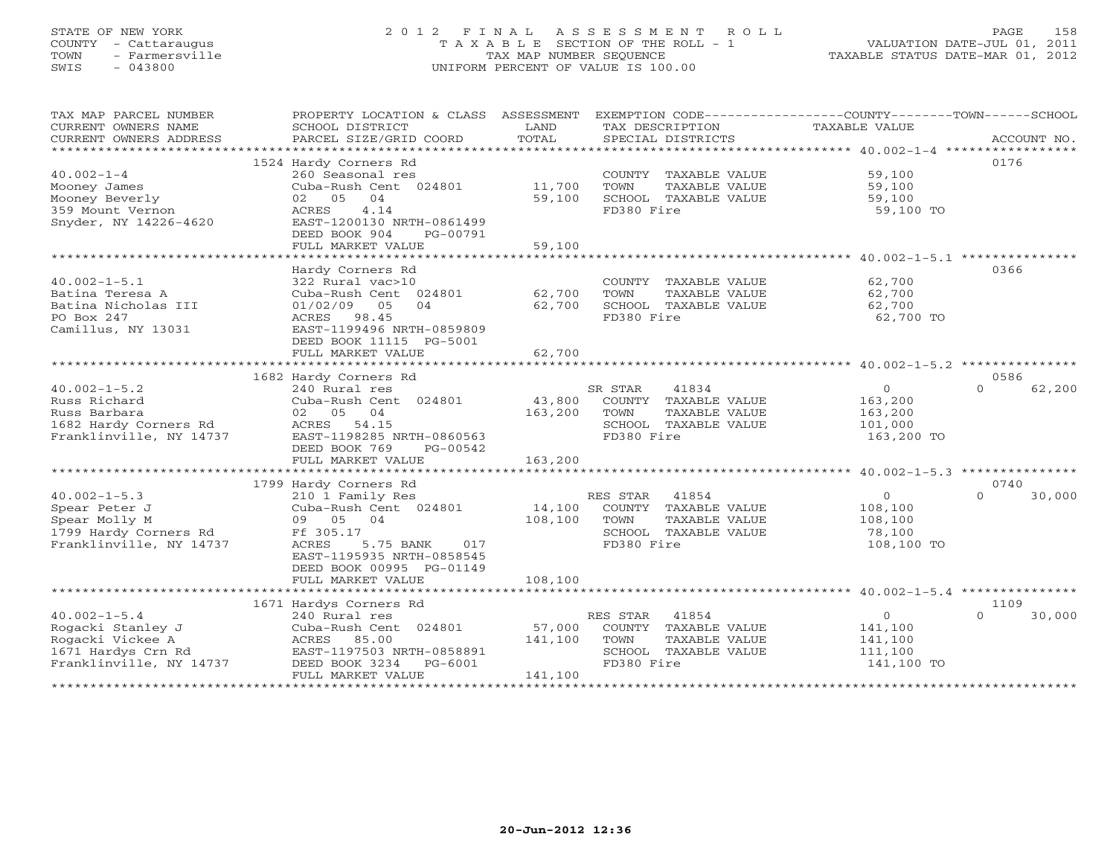## STATE OF NEW YORK 2 0 1 2 F I N A L A S S E S S M E N T R O L L PAGE 158 COUNTY - Cattaraugus T A X A B L E SECTION OF THE ROLL - 1 VALUATION DATE-JUL 01, 2011 TOWN - Farmersville TAX MAP NUMBER SEQUENCE TAXABLE STATUS DATE-MAR 01, 2012 SWIS - 043800 UNIFORM PERCENT OF VALUE IS 100.00

| TAX MAP PARCEL NUMBER   | PROPERTY LOCATION & CLASS ASSESSMENT EXEMPTION CODE----------------COUNTY-------TOWN------SCHOOL |         |                             |                |                    |
|-------------------------|--------------------------------------------------------------------------------------------------|---------|-----------------------------|----------------|--------------------|
| CURRENT OWNERS NAME     | SCHOOL DISTRICT                                                                                  | LAND    | TAX DESCRIPTION             | TAXABLE VALUE  |                    |
| CURRENT OWNERS ADDRESS  | PARCEL SIZE/GRID COORD                                                                           | TOTAL   | SPECIAL DISTRICTS           |                | ACCOUNT NO.        |
|                         |                                                                                                  |         |                             |                |                    |
|                         | 1524 Hardy Corners Rd                                                                            |         |                             |                | 0176               |
| $40.002 - 1 - 4$        | 260 Seasonal res                                                                                 |         | COUNTY TAXABLE VALUE        | 59,100         |                    |
| Mooney James            | Cuba-Rush Cent 024801                                                                            | 11,700  | TOWN<br>TAXABLE VALUE       | 59,100         |                    |
| Mooney Beverly          | 02 05<br>04                                                                                      | 59,100  | SCHOOL TAXABLE VALUE        | 59,100         |                    |
| 359 Mount Vernon        | 4.14<br>ACRES                                                                                    |         | FD380 Fire                  | 59,100 TO      |                    |
| Snyder, NY 14226-4620   | EAST-1200130 NRTH-0861499                                                                        |         |                             |                |                    |
|                         | DEED BOOK 904<br>PG-00791                                                                        |         |                             |                |                    |
|                         | FULL MARKET VALUE                                                                                | 59,100  |                             |                |                    |
|                         |                                                                                                  |         |                             |                |                    |
|                         | Hardy Corners Rd                                                                                 |         |                             |                | 0366               |
| $40.002 - 1 - 5.1$      | 322 Rural vac>10                                                                                 |         | COUNTY TAXABLE VALUE        | 62,700         |                    |
| Batina Teresa A         | Cuba-Rush Cent 024801                                                                            | 62,700  | TOWN<br>TAXABLE VALUE       | 62,700         |                    |
| Batina Nicholas III     | 01/02/09 05<br>04                                                                                | 62,700  | SCHOOL TAXABLE VALUE        | 62,700         |                    |
| PO Box 247              | ACRES 98.45                                                                                      |         | FD380 Fire                  | 62,700 TO      |                    |
| Camillus, NY 13031      | EAST-1199496 NRTH-0859809                                                                        |         |                             |                |                    |
|                         | DEED BOOK 11115 PG-5001                                                                          |         |                             |                |                    |
|                         | FULL MARKET VALUE                                                                                | 62,700  |                             |                |                    |
|                         |                                                                                                  |         |                             |                |                    |
|                         | 1682 Hardy Corners Rd                                                                            |         |                             |                | 0586               |
| $40.002 - 1 - 5.2$      |                                                                                                  |         |                             | $\circ$        | $\cap$             |
|                         | 240 Rural res                                                                                    |         | SR STAR<br>41834            |                | 62,200             |
| Russ Richard            | Cuba-Rush Cent 024801                                                                            | 43,800  | COUNTY TAXABLE VALUE        | 163,200        |                    |
| Russ Barbara            | 02 05 04                                                                                         | 163,200 | TOWN<br>TAXABLE VALUE       | 163,200        |                    |
| 1682 Hardy Corners Rd   | ACRES 54.15                                                                                      |         | SCHOOL TAXABLE VALUE        | 101,000        |                    |
| Franklinville, NY 14737 | EAST-1198285 NRTH-0860563                                                                        |         | FD380 Fire                  | 163,200 TO     |                    |
|                         | DEED BOOK 769<br>PG-00542                                                                        |         |                             |                |                    |
|                         | FULL MARKET VALUE                                                                                | 163,200 |                             |                |                    |
|                         |                                                                                                  |         |                             |                |                    |
|                         | 1799 Hardy Corners Rd                                                                            |         |                             |                | 0740               |
| $40.002 - 1 - 5.3$      | 210 1 Family Res                                                                                 |         | RES STAR 41854              | $\overline{0}$ | $\Omega$<br>30,000 |
| Spear Peter J           | Cuba-Rush Cent 024801                                                                            | 14,100  | COUNTY TAXABLE VALUE        | 108,100        |                    |
| Spear Molly M           | 09 05 04                                                                                         | 108,100 | TOWN<br>TAXABLE VALUE       | 108,100        |                    |
| 1799 Hardy Corners Rd   | Ff 305.17                                                                                        |         | SCHOOL TAXABLE VALUE        | 78,100         |                    |
| Franklinville, NY 14737 | ACRES<br>5.75 BANK 017                                                                           |         | FD380 Fire                  | 108,100 TO     |                    |
|                         | EAST-1195935 NRTH-0858545                                                                        |         |                             |                |                    |
|                         | DEED BOOK 00995 PG-01149                                                                         |         |                             |                |                    |
|                         | FULL MARKET VALUE                                                                                | 108,100 |                             |                |                    |
|                         |                                                                                                  |         |                             |                |                    |
|                         | 1671 Hardys Corners Rd                                                                           |         |                             |                | 1109               |
| $40.002 - 1 - 5.4$      | 240 Rural res                                                                                    |         | 41854<br>RES STAR           | $\circ$        | 30,000<br>$\Omega$ |
| Rogacki Stanley J       | Cuba-Rush Cent 024801                                                                            |         | 57,000 COUNTY TAXABLE VALUE | 141,100        |                    |
| Rogacki Vickee A        | ACRES 85.00                                                                                      | 141,100 | TOWN<br>TAXABLE VALUE       | 141,100        |                    |
| 1671 Hardys Crn Rd      | EAST-1197503 NRTH-0858891                                                                        |         | SCHOOL TAXABLE VALUE        | 111,100        |                    |
| Franklinville, NY 14737 | DEED BOOK 3234 PG-6001                                                                           |         | FD380 Fire                  | 141,100 TO     |                    |
|                         | FULL MARKET VALUE                                                                                | 141,100 |                             |                |                    |
|                         |                                                                                                  |         |                             |                |                    |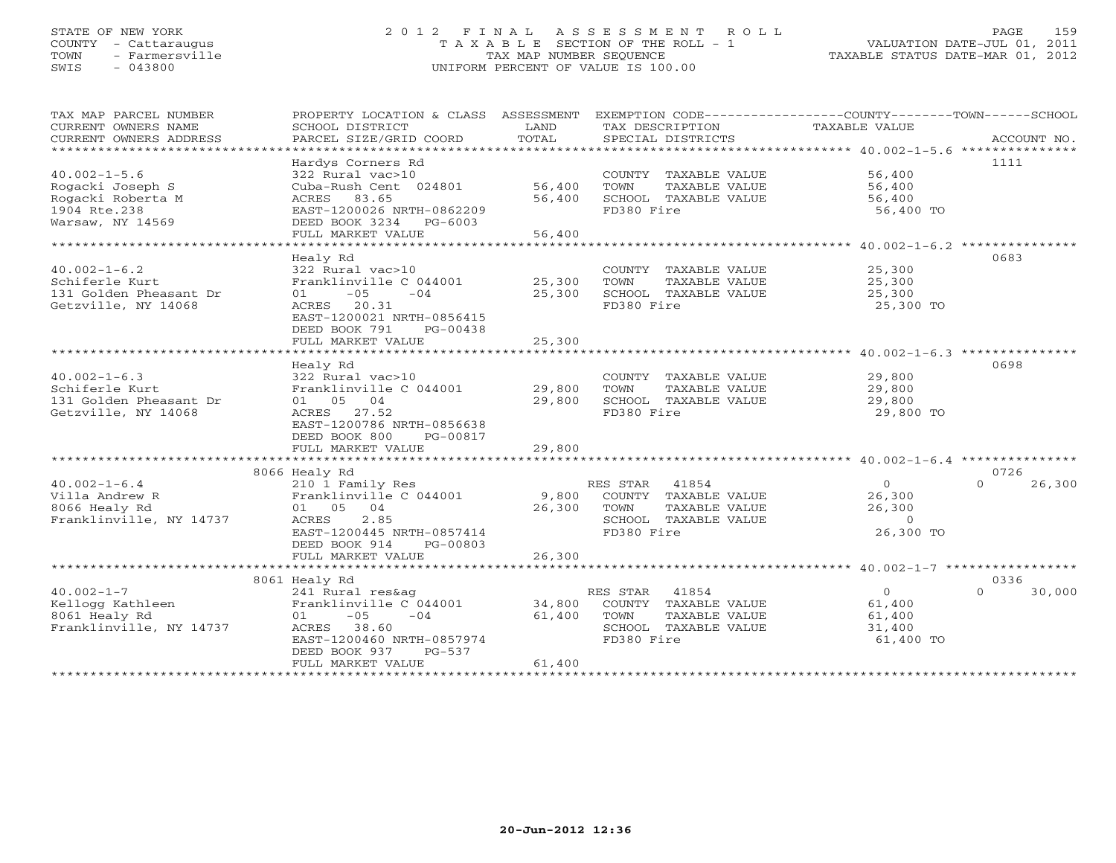## STATE OF NEW YORK 2 0 1 2 F I N A L A S S E S S M E N T R O L L PAGE 159 COUNTY - Cattaraugus T A X A B L E SECTION OF THE ROLL - 1 VALUATION DATE-JUL 01, 2011 TOWN - Farmersville TAX MAP NUMBER SEQUENCE TAXABLE STATUS DATE-MAR 01, 2012 SWIS - 043800 UNIFORM PERCENT OF VALUE IS 100.00UNIFORM PERCENT OF VALUE IS 100.00

| TAX MAP PARCEL NUMBER<br>CURRENT OWNERS NAME | PROPERTY LOCATION & CLASS ASSESSMENT<br>SCHOOL DISTRICT | LAND   | EXEMPTION CODE-----------------COUNTY-------TOWN-----SCHOOL<br>TAX DESCRIPTION | TAXABLE VALUE                                                      |                    |
|----------------------------------------------|---------------------------------------------------------|--------|--------------------------------------------------------------------------------|--------------------------------------------------------------------|--------------------|
| CURRENT OWNERS ADDRESS                       | PARCEL SIZE/GRID COORD                                  | TOTAL  | SPECIAL DISTRICTS                                                              |                                                                    | ACCOUNT NO.        |
| *************************                    |                                                         |        |                                                                                |                                                                    |                    |
|                                              | Hardys Corners Rd                                       |        |                                                                                |                                                                    | 1111               |
| $40.002 - 1 - 5.6$                           | 322 Rural vac>10                                        |        | COUNTY TAXABLE VALUE                                                           | 56,400                                                             |                    |
| Rogacki Joseph S                             | Cuba-Rush Cent 024801                                   | 56,400 | TOWN<br>TAXABLE VALUE                                                          | 56,400                                                             |                    |
| Rogacki Roberta M                            | ACRES 83.65                                             | 56,400 | SCHOOL TAXABLE VALUE                                                           | 56,400                                                             |                    |
| 1904 Rte.238                                 | EAST-1200026 NRTH-0862209                               |        | FD380 Fire                                                                     | 56,400 TO                                                          |                    |
| Warsaw, NY 14569                             | DEED BOOK 3234 PG-6003                                  |        |                                                                                |                                                                    |                    |
|                                              | FULL MARKET VALUE                                       | 56,400 |                                                                                |                                                                    |                    |
| **********************                       |                                                         |        |                                                                                | ************************************ 40.002-1-6.2 **************** |                    |
|                                              | Healy Rd                                                |        |                                                                                |                                                                    | 0683               |
| $40.002 - 1 - 6.2$                           | 322 Rural vac>10                                        |        | COUNTY TAXABLE VALUE                                                           | 25,300                                                             |                    |
| Schiferle Kurt                               | Franklinville C 044001                                  | 25,300 | TOWN<br>TAXABLE VALUE                                                          | 25,300                                                             |                    |
| 131 Golden Pheasant Dr                       | $-05$<br>$-04$<br>01                                    | 25,300 | SCHOOL TAXABLE VALUE                                                           | 25,300                                                             |                    |
| Getzville, NY 14068                          | ACRES 20.31                                             |        | FD380 Fire                                                                     | 25,300 TO                                                          |                    |
|                                              | EAST-1200021 NRTH-0856415                               |        |                                                                                |                                                                    |                    |
|                                              | DEED BOOK 791<br>PG-00438                               |        |                                                                                |                                                                    |                    |
|                                              | FULL MARKET VALUE                                       | 25,300 |                                                                                |                                                                    |                    |
|                                              |                                                         |        |                                                                                |                                                                    |                    |
|                                              | Healy Rd                                                |        |                                                                                |                                                                    | 0698               |
| $40.002 - 1 - 6.3$                           | 322 Rural vac>10                                        |        | COUNTY TAXABLE VALUE                                                           | 29,800                                                             |                    |
| Schiferle Kurt                               | Franklinville C 044001                                  | 29,800 | TOWN<br>TAXABLE VALUE                                                          | 29,800                                                             |                    |
| 131 Golden Pheasant Dr                       | 01 05 04                                                | 29,800 | SCHOOL TAXABLE VALUE                                                           | 29,800                                                             |                    |
| Getzville, NY 14068                          | ACRES<br>27.52                                          |        | FD380 Fire                                                                     | 29,800 TO                                                          |                    |
|                                              | EAST-1200786 NRTH-0856638                               |        |                                                                                |                                                                    |                    |
|                                              | DEED BOOK 800<br>PG-00817                               |        |                                                                                |                                                                    |                    |
|                                              | FULL MARKET VALUE                                       | 29,800 |                                                                                |                                                                    |                    |
|                                              |                                                         |        |                                                                                |                                                                    |                    |
|                                              | 8066 Healy Rd                                           |        |                                                                                |                                                                    | 0726               |
| $40.002 - 1 - 6.4$                           | 210 1 Family Res                                        |        | RES STAR 41854                                                                 | $\overline{0}$                                                     | 26,300<br>$\Omega$ |
| Villa Andrew R                               | Franklinville C 044001                                  | 9,800  | COUNTY TAXABLE VALUE                                                           | 26,300                                                             |                    |
| 8066 Healy Rd                                | 01 05 04                                                | 26,300 | TOWN<br>TAXABLE VALUE                                                          | 26,300                                                             |                    |
| Franklinville, NY 14737                      | ACRES<br>2.85                                           |        | SCHOOL TAXABLE VALUE                                                           | $\circ$                                                            |                    |
|                                              | EAST-1200445 NRTH-0857414                               |        | FD380 Fire                                                                     | 26,300 TO                                                          |                    |
|                                              | DEED BOOK 914<br>PG-00803                               |        |                                                                                |                                                                    |                    |
|                                              | FULL MARKET VALUE                                       | 26,300 |                                                                                |                                                                    |                    |
|                                              |                                                         |        |                                                                                |                                                                    |                    |
|                                              | 8061 Healy Rd                                           |        |                                                                                |                                                                    | 0336               |
| $40.002 - 1 - 7$                             | 241 Rural res&ag                                        |        | RES STAR<br>41854                                                              | $\circ$                                                            | 30,000<br>$\Omega$ |
| Kellogg Kathleen                             | Franklinville C 044001                                  | 34,800 | COUNTY TAXABLE VALUE                                                           | 61,400                                                             |                    |
| 8061 Healy Rd                                | $-05$<br>$-04$<br>01                                    | 61,400 | TOWN<br>TAXABLE VALUE                                                          | 61,400                                                             |                    |
| Franklinville, NY 14737                      | ACRES 38.60                                             |        | SCHOOL TAXABLE VALUE                                                           | 31,400                                                             |                    |
|                                              | EAST-1200460 NRTH-0857974                               |        | FD380 Fire                                                                     | 61,400 TO                                                          |                    |
|                                              | DEED BOOK 937<br>PG-537                                 |        |                                                                                |                                                                    |                    |
|                                              | FULL MARKET VALUE                                       | 61,400 |                                                                                |                                                                    |                    |
|                                              |                                                         |        |                                                                                |                                                                    |                    |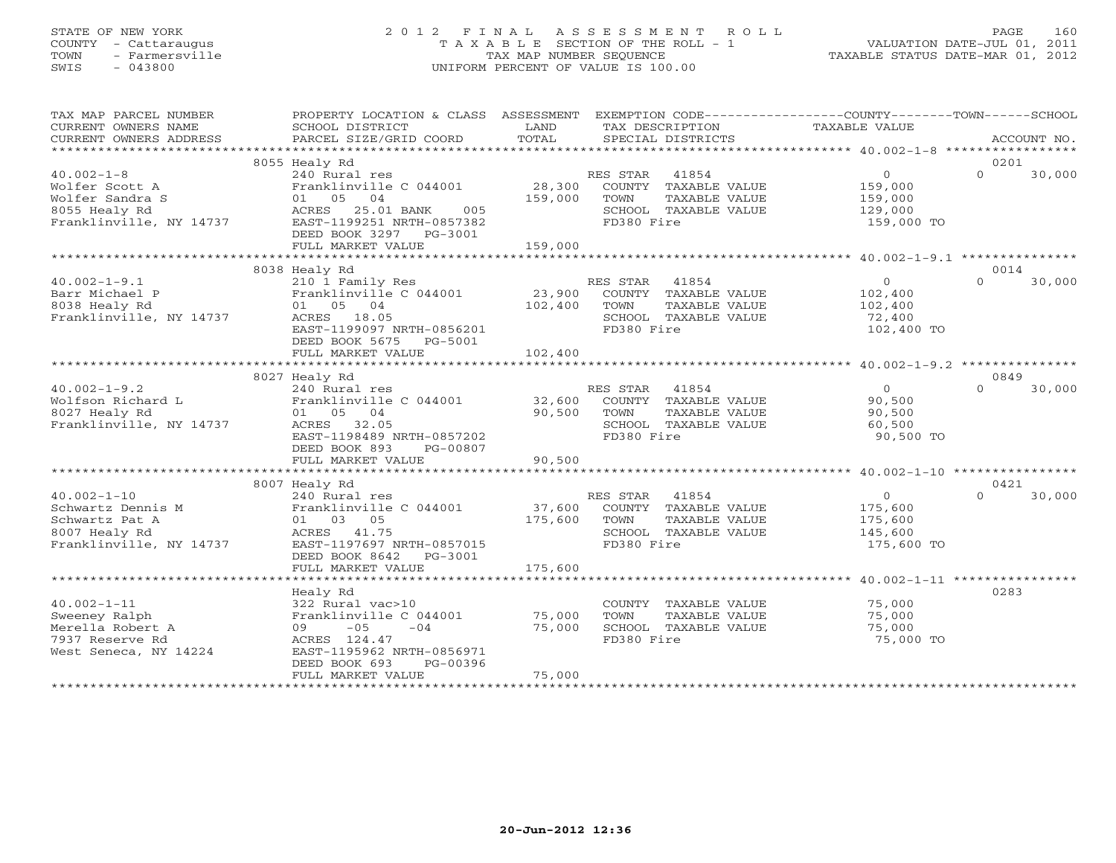# STATE OF NEW YORK 2 0 1 2 F I N A L A S S E S S M E N T R O L L PAGE 160 COUNTY - Cattaraugus T A X A B L E SECTION OF THE ROLL - 1 VALUATION DATE-JUL 01, 2011 TOWN - Farmersville TAX MAP NUMBER SEQUENCE TAXABLE STATUS DATE-MAR 01, 2012 SWIS - 043800 UNIFORM PERCENT OF VALUE IS 100.00UNIFORM PERCENT OF VALUE IS 100.00

| TAX MAP PARCEL NUMBER<br>CURRENT OWNERS NAME<br>CURRENT OWNERS ADDRESS                               | PROPERTY LOCATION & CLASS ASSESSMENT<br>SCHOOL DISTRICT<br>PARCEL SIZE/GRID COORD                                                                                           | LAND<br>TOTAL                | EXEMPTION CODE-----------------COUNTY--------TOWN------SCHOOL<br>TAX DESCRIPTION<br>SPECIAL DISTRICTS | TAXABLE VALUE                                                 | ACCOUNT NO.                |
|------------------------------------------------------------------------------------------------------|-----------------------------------------------------------------------------------------------------------------------------------------------------------------------------|------------------------------|-------------------------------------------------------------------------------------------------------|---------------------------------------------------------------|----------------------------|
|                                                                                                      |                                                                                                                                                                             |                              |                                                                                                       |                                                               |                            |
| $40.002 - 1 - 8$<br>Wolfer Scott A<br>Wolfer Sandra S<br>8055 Healy Rd<br>Franklinville, NY 14737    | 8055 Healy Rd<br>240 Rural res<br>Franklinville C 044001<br>01 05 04<br>ACRES 25.01 BANK<br>005<br>EAST-1199251 NRTH-0857382<br>DEED BOOK 3297 PG-3001<br>FULL MARKET VALUE | 28,300<br>159,000<br>159,000 | RES STAR 41854<br>COUNTY TAXABLE VALUE<br>TOWN<br>TAXABLE VALUE<br>SCHOOL TAXABLE VALUE<br>FD380 Fire | $\overline{0}$<br>159,000<br>159,000<br>129,000<br>159,000 TO | 0201<br>$\Omega$<br>30,000 |
|                                                                                                      | 8038 Healy Rd                                                                                                                                                               |                              |                                                                                                       |                                                               | 0014                       |
| $40.002 - 1 - 9.1$<br>Barr Michael P<br>8038 Healy Rd<br>Franklinville, NY 14737                     | 210 1 Family Res<br>Franklinville C 044001<br>01 05 04<br>ACRES 18.05<br>EAST-1199097 NRTH-0856201<br>DEED BOOK 5675 PG-5001<br>FULL MARKET VALUE                           | 23,900<br>102,400<br>102,400 | RES STAR 41854<br>COUNTY TAXABLE VALUE<br>TOWN<br>TAXABLE VALUE<br>SCHOOL TAXABLE VALUE<br>FD380 Fire | $\overline{0}$<br>102,400<br>102,400<br>72,400<br>102,400 TO  | $\Omega$<br>30,000         |
|                                                                                                      |                                                                                                                                                                             |                              |                                                                                                       |                                                               |                            |
|                                                                                                      | 8027 Healy Rd                                                                                                                                                               |                              |                                                                                                       |                                                               | 0849                       |
| $40.002 - 1 - 9.2$<br>Wolfson Richard L<br>8027 Healy Rd<br>Franklinville, NY 14737                  | 240 Rural res<br>Franklinville C 044001 32,600<br>01 05 04<br>ACRES 32.05<br>EAST-1198489 NRTH-0857202<br>DEED BOOK 893<br>PG-00807                                         | 90,500                       | RES STAR 41854<br>COUNTY TAXABLE VALUE<br>TAXABLE VALUE<br>TOWN<br>SCHOOL TAXABLE VALUE<br>FD380 Fire | $\Omega$<br>90,500<br>90,500<br>60,500<br>90,500 TO           | 30,000<br>$\Omega$         |
|                                                                                                      | FULL MARKET VALUE                                                                                                                                                           | 90,500                       |                                                                                                       |                                                               |                            |
|                                                                                                      |                                                                                                                                                                             |                              |                                                                                                       |                                                               |                            |
| $40.002 - 1 - 10$<br>Schwartz Dennis M<br>Schwartz Pat A<br>8007 Healy Rd<br>Franklinville, NY 14737 | 8007 Healy Rd<br>240 Rural res<br>Franklinville C 044001<br>01 03 05<br>ACRES 41.75<br>EAST-1197697 NRTH-0857015<br>DEED BOOK 8642 PG-3001                                  | 37,600<br>175,600            | RES STAR 41854<br>COUNTY TAXABLE VALUE<br>TOWN<br>TAXABLE VALUE<br>SCHOOL TAXABLE VALUE<br>FD380 Fire | $\overline{0}$<br>175,600<br>175,600<br>145,600<br>175,600 TO | 0421<br>$\Omega$<br>30,000 |
|                                                                                                      | FULL MARKET VALUE                                                                                                                                                           | 175,600                      |                                                                                                       |                                                               |                            |
| $40.002 - 1 - 11$<br>Sweeney Ralph<br>Merella Robert A<br>7937 Reserve Rd<br>West Seneca, NY 14224   | Healy Rd<br>322 Rural vac>10<br>Franklinville C 044001<br>$-05$<br>$-04$<br>09<br>ACRES 124.47<br>EAST-1195962 NRTH-0856971<br>DEED BOOK 693<br>PG-00396                    | 75,000<br>75,000             | COUNTY TAXABLE VALUE<br>TOWN<br>TAXABLE VALUE<br>SCHOOL TAXABLE VALUE<br>FD380 Fire                   | 75,000<br>75,000<br>75,000<br>75,000 TO                       | 0283                       |
|                                                                                                      | FULL MARKET VALUE                                                                                                                                                           | 75,000                       |                                                                                                       |                                                               |                            |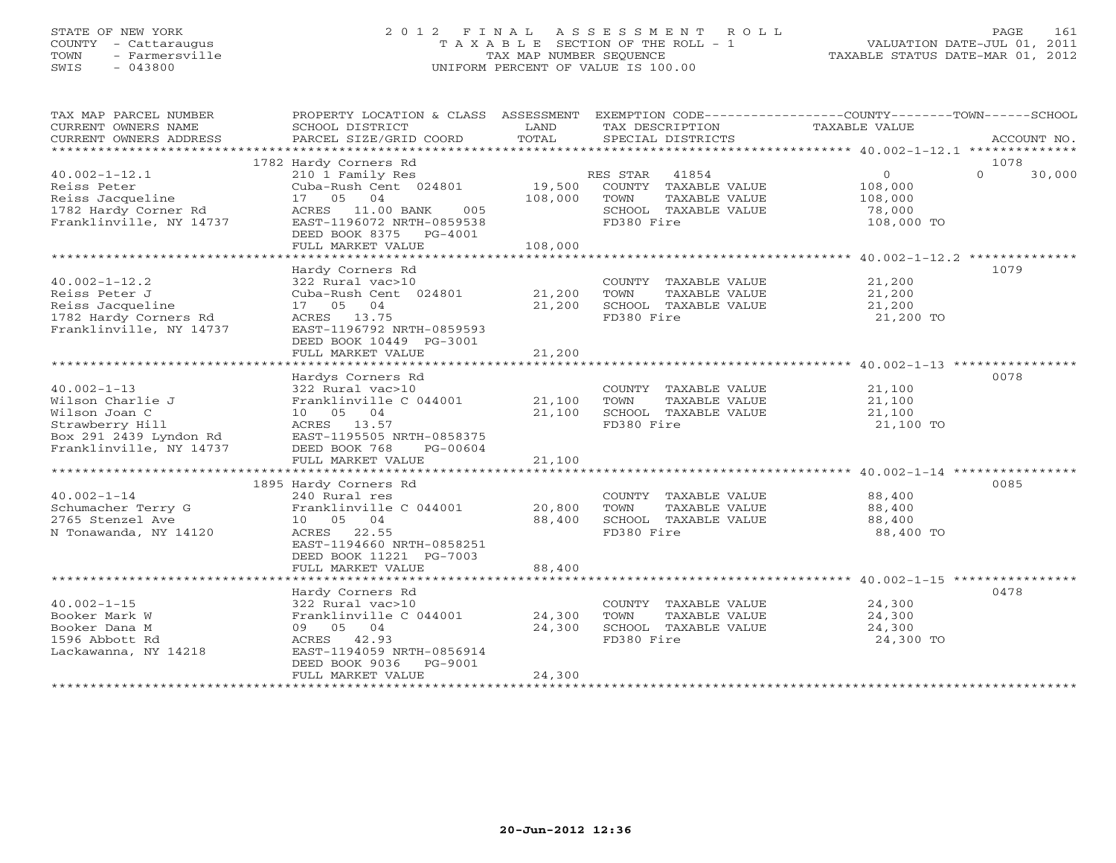## STATE OF NEW YORK 2 0 1 2 F I N A L A S S E S S M E N T R O L L PAGE 161 COUNTY - Cattaraugus T A X A B L E SECTION OF THE ROLL - 1 VALUATION DATE-JUL 01, 2011 TOWN - Farmersville TAX MAP NUMBER SEQUENCE TAXABLE STATUS DATE-MAR 01, 2012 SWIS - 043800 UNIFORM PERCENT OF VALUE IS 100.00UNIFORM PERCENT OF VALUE IS 100.00

| TAX MAP PARCEL NUMBER                       | PROPERTY LOCATION & CLASS ASSESSMENT EXEMPTION CODE---------------COUNTY-------TOWN------SCHOOL |               |                       |                |                    |
|---------------------------------------------|-------------------------------------------------------------------------------------------------|---------------|-----------------------|----------------|--------------------|
| CURRENT OWNERS NAME                         | SCHOOL DISTRICT                                                                                 | LAND<br>TOTAL | TAX DESCRIPTION       | TAXABLE VALUE  | ACCOUNT NO.        |
| CURRENT OWNERS ADDRESS                      | PARCEL SIZE/GRID COORD                                                                          |               | SPECIAL DISTRICTS     |                |                    |
|                                             | 1782 Hardy Corners Rd                                                                           |               |                       |                | 1078               |
| $40.002 - 1 - 12.1$                         | 210 1 Family Res                                                                                |               | RES STAR 41854        | $\overline{0}$ | $\Omega$<br>30,000 |
| Reiss Peter                                 | Cuba-Rush Cent 024801                                                                           | 19,500        | COUNTY TAXABLE VALUE  | 108,000        |                    |
| Reiss Jacqueline                            | 17 05 04                                                                                        | 108,000       | TOWN<br>TAXABLE VALUE | 108,000        |                    |
| 1782 Hardy Corner Rd                        | ACRES 11.00 BANK<br>005                                                                         |               | SCHOOL TAXABLE VALUE  | 78,000         |                    |
| Franklinville, NY 14737                     | EAST-1196072 NRTH-0859538                                                                       |               | FD380 Fire            | 108,000 TO     |                    |
|                                             | DEED BOOK 8375 PG-4001                                                                          |               |                       |                |                    |
|                                             | FULL MARKET VALUE                                                                               | 108,000       |                       |                |                    |
|                                             |                                                                                                 |               |                       |                |                    |
|                                             | Hardy Corners Rd                                                                                |               |                       |                | 1079               |
| $40.002 - 1 - 12.2$                         | 322 Rural vac>10                                                                                |               | COUNTY TAXABLE VALUE  | 21,200         |                    |
| Reiss Peter J                               | Cuba-Rush Cent 024801                                                                           | 21,200        | TOWN<br>TAXABLE VALUE | 21,200         |                    |
| Reiss Jacqueline                            | 17 05 04                                                                                        | 21,200        | SCHOOL TAXABLE VALUE  | 21,200         |                    |
| 1782 Hardy Corners Rd                       | ACRES 13.75                                                                                     |               | FD380 Fire            | 21,200 TO      |                    |
| Franklinville, NY 14737                     | EAST-1196792 NRTH-0859593                                                                       |               |                       |                |                    |
|                                             | DEED BOOK 10449 PG-3001                                                                         |               |                       |                |                    |
|                                             | FULL MARKET VALUE                                                                               | 21,200        |                       |                |                    |
|                                             |                                                                                                 |               |                       |                |                    |
|                                             | Hardys Corners Rd                                                                               |               |                       |                | 0078               |
| $40.002 - 1 - 13$                           | 322 Rural vac>10                                                                                |               | COUNTY TAXABLE VALUE  | 21,100         |                    |
| Wilson Charlie J                            | Franklinville C 044001                                                                          | 21,100        | TOWN<br>TAXABLE VALUE | 21,100         |                    |
| Wilson Joan C                               | 10 05 04                                                                                        | 21,100        | SCHOOL TAXABLE VALUE  | 21,100         |                    |
| Strawberry Hill<br>Box 291 $2439$ Lyndon Rd | ACRES 13.57<br>EAST-1195505 NRTH-0858375                                                        |               | FD380 Fire            | 21,100 TO      |                    |
| Franklinville, NY 14737                     | DEED BOOK 768<br>PG-00604                                                                       |               |                       |                |                    |
|                                             | FULL MARKET VALUE                                                                               | 21,100        |                       |                |                    |
|                                             |                                                                                                 |               |                       |                |                    |
|                                             | 1895 Hardy Corners Rd                                                                           |               |                       |                | 0085               |
| $40.002 - 1 - 14$                           | 240 Rural res                                                                                   |               | COUNTY TAXABLE VALUE  | 88,400         |                    |
| Schumacher Terry G                          | Franklinville C 044001                                                                          | 20,800        | TOWN<br>TAXABLE VALUE | 88,400         |                    |
| 2765 Stenzel Ave                            | 10 05 04                                                                                        | 88,400        | SCHOOL TAXABLE VALUE  | 88,400         |                    |
| N Tonawanda, NY 14120                       | ACRES 22.55                                                                                     |               | FD380 Fire            | 88,400 TO      |                    |
|                                             | EAST-1194660 NRTH-0858251                                                                       |               |                       |                |                    |
|                                             | DEED BOOK 11221 PG-7003                                                                         |               |                       |                |                    |
|                                             | FULL MARKET VALUE                                                                               | 88,400        |                       |                |                    |
|                                             |                                                                                                 |               |                       |                |                    |
|                                             | Hardy Corners Rd                                                                                |               |                       |                | 0478               |
| $40.002 - 1 - 15$                           | 322 Rural vac>10                                                                                |               | COUNTY TAXABLE VALUE  | 24,300         |                    |
| Booker Mark W                               | Franklinville C 044001                                                                          | 24,300        | TOWN<br>TAXABLE VALUE | 24,300         |                    |
| Booker Dana M                               | 09 05 04                                                                                        | 24,300        | SCHOOL TAXABLE VALUE  | 24,300         |                    |
| 1596 Abbott Rd                              | ACRES 42.93                                                                                     |               | FD380 Fire            | 24,300 TO      |                    |
| Lackawanna, NY 14218                        | EAST-1194059 NRTH-0856914                                                                       |               |                       |                |                    |
|                                             | DEED BOOK 9036 PG-9001                                                                          |               |                       |                |                    |
|                                             | FULL MARKET VALUE                                                                               | 24,300        |                       |                |                    |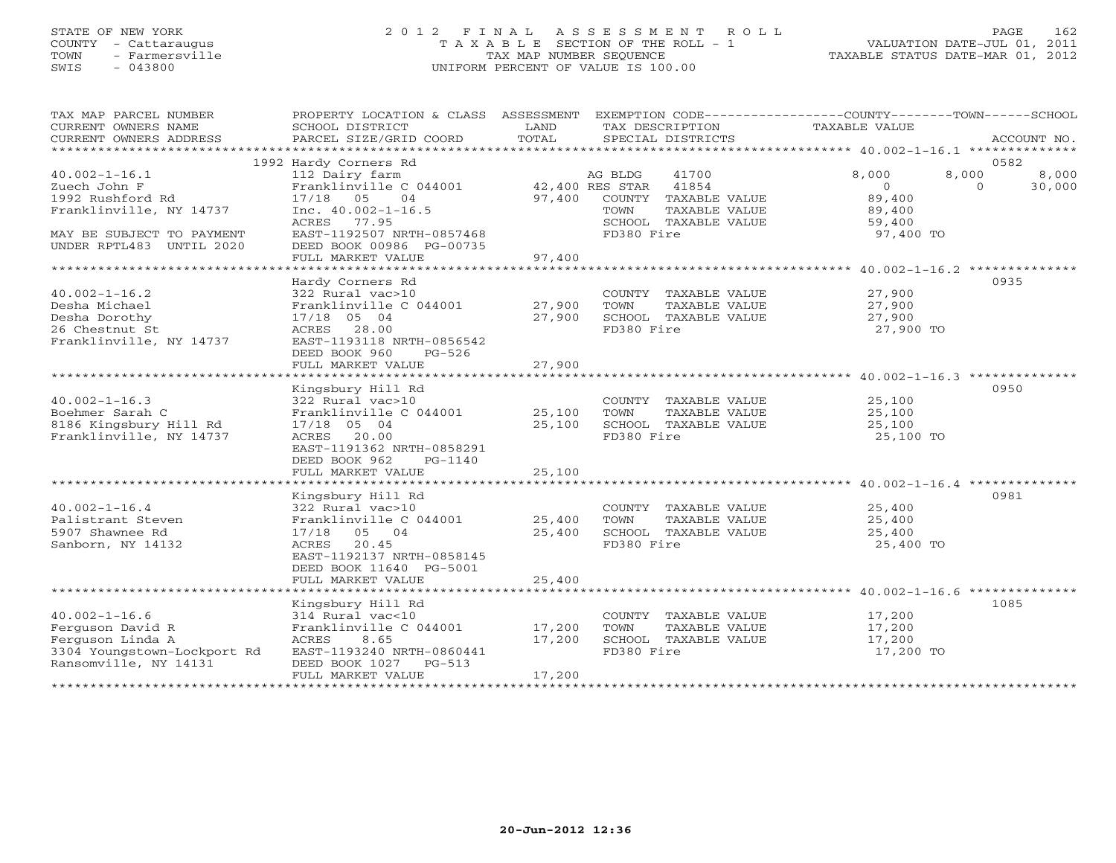## STATE OF NEW YORK 2 0 1 2 F I N A L A S S E S S M E N T R O L L PAGE 162 COUNTY - Cattaraugus T A X A B L E SECTION OF THE ROLL - 1 VALUATION DATE-JUL 01, 2011 TOWN - Farmersville TAX MAP NUMBER SEQUENCE TAXABLE STATUS DATE-MAR 01, 2012 SWIS - 043800 UNIFORM PERCENT OF VALUE IS 100.00

| TAX MAP PARCEL NUMBER<br>CURRENT OWNERS NAME<br>CURRENT OWNERS ADDRESS                                              | PROPERTY LOCATION & CLASS ASSESSMENT<br>SCHOOL DISTRICT<br>PARCEL SIZE/GRID COORD                                                      | LAND<br>TOTAL    | EXEMPTION CODE-----------------COUNTY-------TOWN------SCHOOL<br>TAX DESCRIPTION<br>SPECIAL DISTRICTS | TAXABLE VALUE                           | ACCOUNT NO.                                  |
|---------------------------------------------------------------------------------------------------------------------|----------------------------------------------------------------------------------------------------------------------------------------|------------------|------------------------------------------------------------------------------------------------------|-----------------------------------------|----------------------------------------------|
|                                                                                                                     |                                                                                                                                        |                  |                                                                                                      |                                         |                                              |
| $40.002 - 1 - 16.1$<br>Zuech John F                                                                                 | 1992 Hardy Corners Rd<br>112 Dairy farm<br>Franklinville C 044001                                                                      |                  | 41700<br>AG BLDG<br>41854<br>42,400 RES STAR                                                         | 8,000<br>$\circ$                        | 0582<br>8,000<br>8,000<br>$\Omega$<br>30,000 |
| 1992 Rushford Rd<br>Franklinville, NY 14737                                                                         | $17/18$ 05<br>04<br>Inc. $40.002 - 1 - 16.5$<br>ACRES<br>77.95                                                                         | 97,400           | COUNTY TAXABLE VALUE<br>TOWN<br>TAXABLE VALUE<br>SCHOOL TAXABLE VALUE                                | 89,400<br>89,400<br>59,400              |                                              |
| MAY BE SUBJECT TO PAYMENT<br>UNDER RPTL483 UNTIL 2020                                                               | EAST-1192507 NRTH-0857468<br>DEED BOOK 00986 PG-00735<br>FULL MARKET VALUE                                                             | 97,400           | FD380 Fire                                                                                           | 97,400 TO                               |                                              |
|                                                                                                                     |                                                                                                                                        |                  |                                                                                                      |                                         |                                              |
| $40.002 - 1 - 16.2$                                                                                                 | Hardy Corners Rd<br>322 Rural vac>10                                                                                                   |                  | COUNTY TAXABLE VALUE                                                                                 | 27,900                                  | 0935                                         |
| Desha Michael<br>Desha Dorothy                                                                                      | Franklinville C 044001<br>17/18 05 04                                                                                                  | 27,900<br>27,900 | TOWN<br>TAXABLE VALUE<br>SCHOOL TAXABLE VALUE                                                        | 27,900<br>27,900                        |                                              |
| 26 Chestnut St<br>Franklinville, NY 14737                                                                           | ACRES 28.00<br>EAST-1193118 NRTH-0856542<br>DEED BOOK 960<br>$PG-526$                                                                  |                  | FD380 Fire                                                                                           | 27,900 TO                               |                                              |
|                                                                                                                     | FULL MARKET VALUE                                                                                                                      | 27,900           |                                                                                                      |                                         |                                              |
|                                                                                                                     |                                                                                                                                        |                  |                                                                                                      |                                         | 0950                                         |
| $40.002 - 1 - 16.3$<br>Boehmer Sarah C                                                                              | Kingsbury Hill Rd<br>322 Rural vac>10<br>Franklinville C 044001                                                                        | 25,100           | COUNTY TAXABLE VALUE<br>TOWN                                                                         | 25,100<br>25,100                        |                                              |
| 8186 Kingsbury Hill Rd<br>Franklinville, NY 14737                                                                   | 17/18 05 04<br>ACRES 20.00<br>EAST-1191362 NRTH-0858291                                                                                | 25,100           | TAXABLE VALUE<br>SCHOOL TAXABLE VALUE<br>FD380 Fire                                                  | 25,100<br>25,100 TO                     |                                              |
|                                                                                                                     | DEED BOOK 962<br>PG-1140<br>FULL MARKET VALUE                                                                                          | 25,100           |                                                                                                      |                                         |                                              |
|                                                                                                                     | Kingsbury Hill Rd                                                                                                                      |                  |                                                                                                      |                                         | 0981                                         |
| $40.002 - 1 - 16.4$<br>Palistrant Steven<br>5907 Shawnee Rd<br>Sanborn, NY 14132                                    | 322 Rural vac>10<br>Franklinville C 044001<br>05 04<br>17/18<br>ACRES<br>20.45<br>EAST-1192137 NRTH-0858145<br>DEED BOOK 11640 PG-5001 | 25,400<br>25,400 | COUNTY TAXABLE VALUE<br>TOWN<br>TAXABLE VALUE<br>SCHOOL TAXABLE VALUE<br>FD380 Fire                  | 25,400<br>25,400<br>25,400<br>25,400 TO |                                              |
|                                                                                                                     | FULL MARKET VALUE                                                                                                                      | 25,400           |                                                                                                      |                                         |                                              |
|                                                                                                                     | Kingsbury Hill Rd                                                                                                                      |                  |                                                                                                      |                                         | 1085                                         |
| $40.002 - 1 - 16.6$<br>Ferguson David R<br>Ferguson Linda A<br>3304 Youngstown-Lockport Rd<br>Ransomville, NY 14131 | 314 Rural vac<10<br>Franklinville C 044001<br>8.65<br>ACRES<br>EAST-1193240 NRTH-0860441<br>DEED BOOK 1027 PG-513                      | 17,200<br>17,200 | COUNTY<br>TAXABLE VALUE<br>TOWN<br>TAXABLE VALUE<br>SCHOOL TAXABLE VALUE<br>FD380 Fire               | 17,200<br>17,200<br>17,200<br>17,200 TO |                                              |
|                                                                                                                     | FULL MARKET VALUE                                                                                                                      | 17,200           |                                                                                                      |                                         |                                              |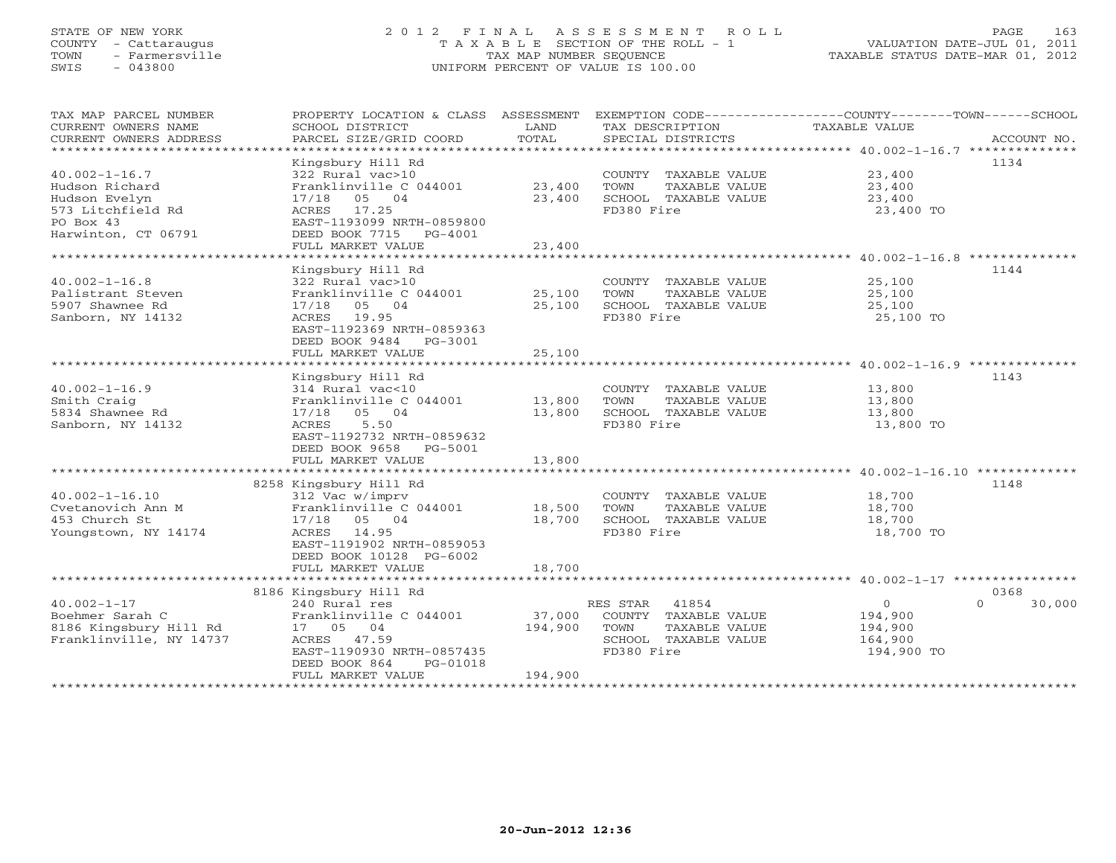# STATE OF NEW YORK 2 0 1 2 F I N A L A S S E S S M E N T R O L L PAGE 163 COUNTY - Cattaraugus T A X A B L E SECTION OF THE ROLL - 1 VALUATION DATE-JUL 01, 2011 TOWN - Farmersville TAX MAP NUMBER SEQUENCE TAXABLE STATUS DATE-MAR 01, 2012 SWIS - 043800 UNIFORM PERCENT OF VALUE IS 100.00

| TAX MAP PARCEL NUMBER   | PROPERTY LOCATION & CLASS ASSESSMENT |         |                                                                   |                |                    |
|-------------------------|--------------------------------------|---------|-------------------------------------------------------------------|----------------|--------------------|
| CURRENT OWNERS NAME     | SCHOOL DISTRICT                      | LAND    | TAX DESCRIPTION                                                   | TAXABLE VALUE  |                    |
| CURRENT OWNERS ADDRESS  | PARCEL SIZE/GRID COORD               | TOTAL   | SPECIAL DISTRICTS                                                 |                | ACCOUNT NO.        |
|                         |                                      |         |                                                                   |                |                    |
|                         | Kingsbury Hill Rd                    |         |                                                                   |                | 1134               |
| $40.002 - 1 - 16.7$     | 322 Rural vac>10                     |         | COUNTY TAXABLE VALUE                                              | 23,400         |                    |
|                         |                                      |         |                                                                   |                |                    |
| Hudson Richard          | Franklinville C 044001               | 23,400  | TAXABLE VALUE<br>TOWN                                             | 23,400         |                    |
| Hudson Evelyn           | 05 04<br>17/18                       | 23,400  | SCHOOL TAXABLE VALUE                                              | 23,400         |                    |
| 573 Litchfield Rd       | 17.25<br>ACRES                       |         | FD380 Fire                                                        | 23,400 TO      |                    |
| PO Box 43               | EAST-1193099 NRTH-0859800            |         |                                                                   |                |                    |
| Harwinton, CT 06791     | DEED BOOK 7715 PG-4001               |         |                                                                   |                |                    |
|                         | FULL MARKET VALUE                    | 23,400  |                                                                   |                |                    |
|                         |                                      |         | *********************************** 40.002-1-16.8 *************** |                |                    |
|                         | Kingsbury Hill Rd                    |         |                                                                   |                | 1144               |
| $40.002 - 1 - 16.8$     | 322 Rural vac>10                     |         | COUNTY TAXABLE VALUE                                              | 25,100         |                    |
| Palistrant Steven       | Franklinville C 044001               |         |                                                                   |                |                    |
|                         |                                      | 25,100  | TAXABLE VALUE<br>TOWN                                             | 25,100         |                    |
| 5907 Shawnee Rd         | 05 04<br>17/18                       | 25,100  | SCHOOL TAXABLE VALUE                                              | 25,100         |                    |
| Sanborn, NY 14132       | ACRES 19.95                          |         | FD380 Fire                                                        | 25,100 TO      |                    |
|                         | EAST-1192369 NRTH-0859363            |         |                                                                   |                |                    |
|                         | DEED BOOK 9484 PG-3001               |         |                                                                   |                |                    |
|                         | FULL MARKET VALUE                    | 25,100  |                                                                   |                |                    |
|                         |                                      |         |                                                                   |                |                    |
|                         | Kingsbury Hill Rd                    |         |                                                                   |                | 1143               |
| $40.002 - 1 - 16.9$     | 314 Rural vac<10                     |         | COUNTY<br>TAXABLE VALUE                                           | 13,800         |                    |
| Smith Craig             | Franklinville C 044001               | 13,800  | TOWN<br>TAXABLE VALUE                                             | 13,800         |                    |
| 5834 Shawnee Rd         | 17/18<br>05 04                       | 13,800  | SCHOOL TAXABLE VALUE                                              | 13,800         |                    |
|                         |                                      |         |                                                                   |                |                    |
| Sanborn, NY 14132       | 5.50<br>ACRES                        |         | FD380 Fire                                                        | 13,800 TO      |                    |
|                         | EAST-1192732 NRTH-0859632            |         |                                                                   |                |                    |
|                         | DEED BOOK 9658<br>PG-5001            |         |                                                                   |                |                    |
|                         | FULL MARKET VALUE                    | 13,800  |                                                                   |                |                    |
|                         |                                      |         |                                                                   |                |                    |
|                         | 8258 Kingsbury Hill Rd               |         |                                                                   |                | 1148               |
| $40.002 - 1 - 16.10$    | 312 Vac w/imprv                      |         | COUNTY TAXABLE VALUE                                              | 18,700         |                    |
| Cvetanovich Ann M       | Franklinville C 044001               | 18,500  | TAXABLE VALUE<br>TOWN                                             | 18,700         |                    |
| 453 Church St           | 17/18<br>05 04                       | 18,700  | SCHOOL TAXABLE VALUE                                              | 18,700         |                    |
|                         | 14.95<br>ACRES                       |         | FD380 Fire                                                        |                |                    |
| Youngstown, NY 14174    |                                      |         |                                                                   | 18,700 TO      |                    |
|                         | EAST-1191902 NRTH-0859053            |         |                                                                   |                |                    |
|                         | DEED BOOK 10128 PG-6002              |         |                                                                   |                |                    |
|                         | FULL MARKET VALUE                    | 18,700  |                                                                   |                |                    |
|                         | *********************                |         |                                                                   |                |                    |
|                         | 8186 Kingsbury Hill Rd               |         |                                                                   |                | 0368               |
| $40.002 - 1 - 17$       | 240 Rural res                        |         | 41854<br>RES STAR                                                 | $\overline{0}$ | 30,000<br>$\Omega$ |
| Boehmer Sarah C         | Franklinville C 044001               | 37,000  | COUNTY TAXABLE VALUE                                              | 194,900        |                    |
| 8186 Kingsbury Hill Rd  | 17 05 04                             | 194,900 | TOWN<br>TAXABLE VALUE                                             | 194,900        |                    |
| Franklinville, NY 14737 | 47.59<br>ACRES                       |         | SCHOOL TAXABLE VALUE                                              | 164,900        |                    |
|                         | EAST-1190930 NRTH-0857435            |         | FD380 Fire                                                        | 194,900 TO     |                    |
|                         |                                      |         |                                                                   |                |                    |
|                         | DEED BOOK 864<br>PG-01018            |         |                                                                   |                |                    |
|                         | FULL MARKET VALUE                    | 194,900 |                                                                   |                |                    |
|                         | *************************            |         |                                                                   |                |                    |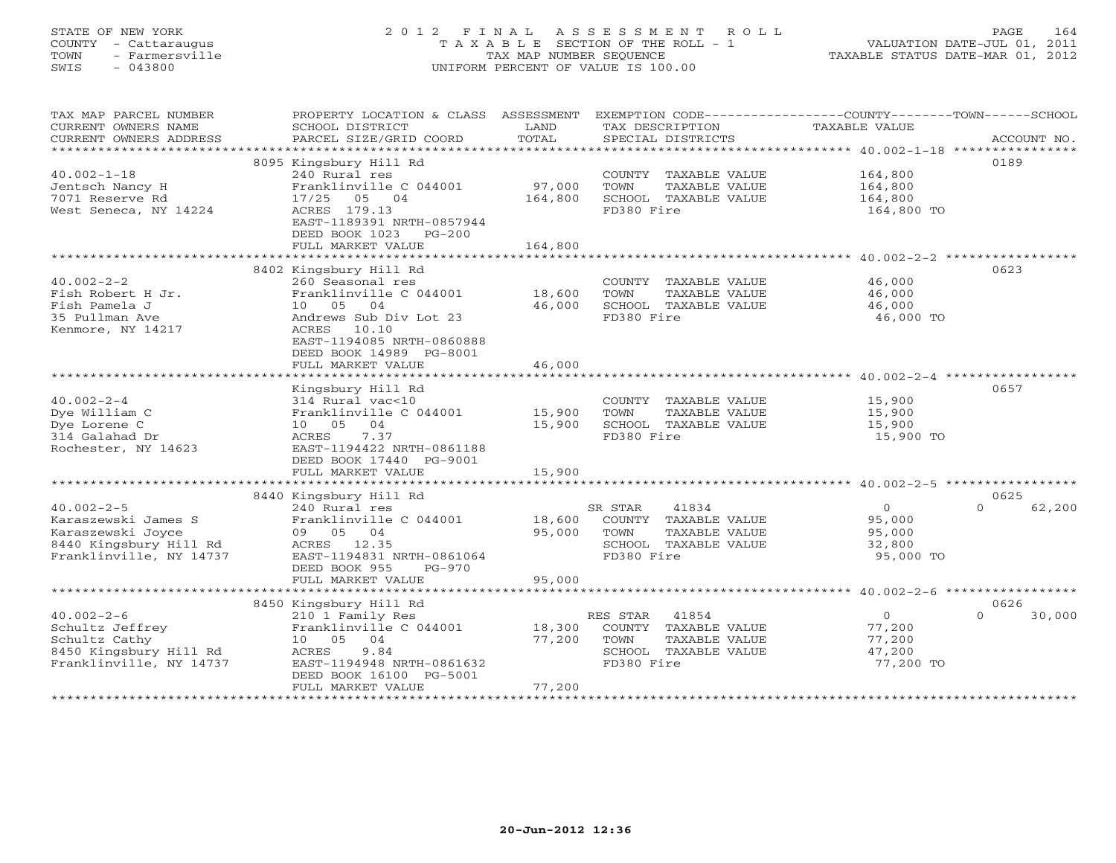# STATE OF NEW YORK 2 0 1 2 F I N A L A S S E S S M E N T R O L L PAGE 164 COUNTY - Cattaraugus T A X A B L E SECTION OF THE ROLL - 1 VALUATION DATE-JUL 01, 2011 TOWN - Farmersville TAX MAP NUMBER SEQUENCE TAXABLE STATUS DATE-MAR 01, 2012 SWIS - 043800 UNIFORM PERCENT OF VALUE IS 100.00UNIFORM PERCENT OF VALUE IS 100.00

| TAX MAP PARCEL NUMBER                         | PROPERTY LOCATION & CLASS ASSESSMENT EXEMPTION CODE----------------COUNTY-------TOWN------SCHOOL |               |                                      |                |                    |
|-----------------------------------------------|--------------------------------------------------------------------------------------------------|---------------|--------------------------------------|----------------|--------------------|
| CURRENT OWNERS NAME<br>CURRENT OWNERS ADDRESS | SCHOOL DISTRICT<br>PARCEL SIZE/GRID COORD                                                        | LAND<br>TOTAL | TAX DESCRIPTION<br>SPECIAL DISTRICTS | TAXABLE VALUE  | ACCOUNT NO.        |
| *************************                     |                                                                                                  |               |                                      |                |                    |
|                                               | 8095 Kingsbury Hill Rd                                                                           |               |                                      |                | 0189               |
| $40.002 - 1 - 18$                             | 240 Rural res                                                                                    |               | COUNTY TAXABLE VALUE                 | 164,800        |                    |
| Jentsch Nancy H                               | Franklinville C 044001                                                                           | 97,000        | TOWN<br>TAXABLE VALUE                | 164,800        |                    |
| 7071 Reserve Rd                               | 17/25 05 04                                                                                      | 164,800       | SCHOOL TAXABLE VALUE                 | 164,800        |                    |
| West Seneca, NY 14224                         | ACRES 179.13                                                                                     |               | FD380 Fire                           | 164,800 TO     |                    |
|                                               | EAST-1189391 NRTH-0857944                                                                        |               |                                      |                |                    |
|                                               | DEED BOOK 1023<br>$PG-200$                                                                       |               |                                      |                |                    |
|                                               | FULL MARKET VALUE                                                                                | 164,800       |                                      |                |                    |
|                                               |                                                                                                  |               |                                      |                |                    |
|                                               | 8402 Kingsbury Hill Rd                                                                           |               |                                      |                | 0623               |
| $40.002 - 2 - 2$                              | 260 Seasonal res                                                                                 |               | COUNTY TAXABLE VALUE                 | 46,000         |                    |
| Fish Robert H Jr.                             | Franklinville C 044001                                                                           | 18,600        | TOWN<br>TAXABLE VALUE                | 46,000         |                    |
| Fish Pamela J                                 | 10 05 04                                                                                         | 46,000        | SCHOOL TAXABLE VALUE                 | 46,000         |                    |
| 35 Pullman Ave                                | Andrews Sub Div Lot 23                                                                           |               | FD380 Fire                           | 46,000 TO      |                    |
| Kenmore, NY 14217                             | ACRES 10.10                                                                                      |               |                                      |                |                    |
|                                               | EAST-1194085 NRTH-0860888                                                                        |               |                                      |                |                    |
|                                               | DEED BOOK 14989 PG-8001                                                                          |               |                                      |                |                    |
|                                               | FULL MARKET VALUE                                                                                | 46,000        |                                      |                |                    |
|                                               | Kingsbury Hill Rd                                                                                |               |                                      |                | 0657               |
| $40.002 - 2 - 4$                              | 314 Rural vac<10                                                                                 |               | COUNTY TAXABLE VALUE                 | 15,900         |                    |
| Dye William C                                 | Franklinville C 044001                                                                           | 15,900        | TOWN<br>TAXABLE VALUE                | 15,900         |                    |
| Dye Lorene C                                  | 10 05 04                                                                                         | 15,900        | SCHOOL TAXABLE VALUE                 | 15,900         |                    |
| 314 Galahad Dr                                | 7.37<br>ACRES                                                                                    |               | FD380 Fire                           | 15,900 TO      |                    |
| Rochester, NY 14623                           | EAST-1194422 NRTH-0861188                                                                        |               |                                      |                |                    |
|                                               | DEED BOOK 17440 PG-9001                                                                          |               |                                      |                |                    |
|                                               | FULL MARKET VALUE                                                                                | 15,900        |                                      |                |                    |
|                                               |                                                                                                  |               |                                      |                |                    |
|                                               | 8440 Kingsbury Hill Rd                                                                           |               |                                      |                | 0625               |
| $40.002 - 2 - 5$                              | 240 Rural res                                                                                    |               | 41834<br>SR STAR                     | $\overline{0}$ | 62,200<br>$\Omega$ |
| Karaszewski James S                           | Franklinville C 044001                                                                           |               | 18,600 COUNTY TAXABLE VALUE          | 95,000         |                    |
| Karaszewski Joyce                             | 09 05 04                                                                                         | 95,000        | TOWN<br>TAXABLE VALUE                | 95,000         |                    |
| 8440 Kingsbury Hill Rd                        | ACRES 12.35                                                                                      |               | SCHOOL TAXABLE VALUE                 | 32,800         |                    |
| Franklinville, NY 14737                       | EAST-1194831 NRTH-0861064                                                                        |               | FD380 Fire                           | 95,000 TO      |                    |
|                                               | DEED BOOK 955<br>$PG-970$                                                                        |               |                                      |                |                    |
|                                               | FULL MARKET VALUE                                                                                | 95,000        |                                      |                |                    |
|                                               |                                                                                                  |               |                                      |                |                    |
|                                               | 8450 Kingsbury Hill Rd                                                                           |               |                                      |                | 0626               |
| $40.002 - 2 - 6$                              | 210 1 Family Res                                                                                 |               | RES STAR<br>41854                    | $\circ$        | $\Omega$<br>30,000 |
| Schultz Jeffrey                               | Franklinville C 044001                                                                           | 18,300        | COUNTY TAXABLE VALUE                 | 77,200         |                    |
| Schultz Cathy                                 | 10 05 04                                                                                         | 77,200        | TOWN<br>TAXABLE VALUE                | 77,200         |                    |
| 8450 Kingsbury Hill Rd                        | 9.84<br>ACRES                                                                                    |               | SCHOOL TAXABLE VALUE                 | 47,200         |                    |
| Franklinville, NY 14737                       | EAST-1194948 NRTH-0861632                                                                        |               | FD380 Fire                           | 77,200 TO      |                    |
|                                               | DEED BOOK 16100 PG-5001                                                                          |               |                                      |                |                    |
|                                               | FULL MARKET VALUE                                                                                | 77,200        |                                      |                |                    |
|                                               |                                                                                                  |               |                                      |                |                    |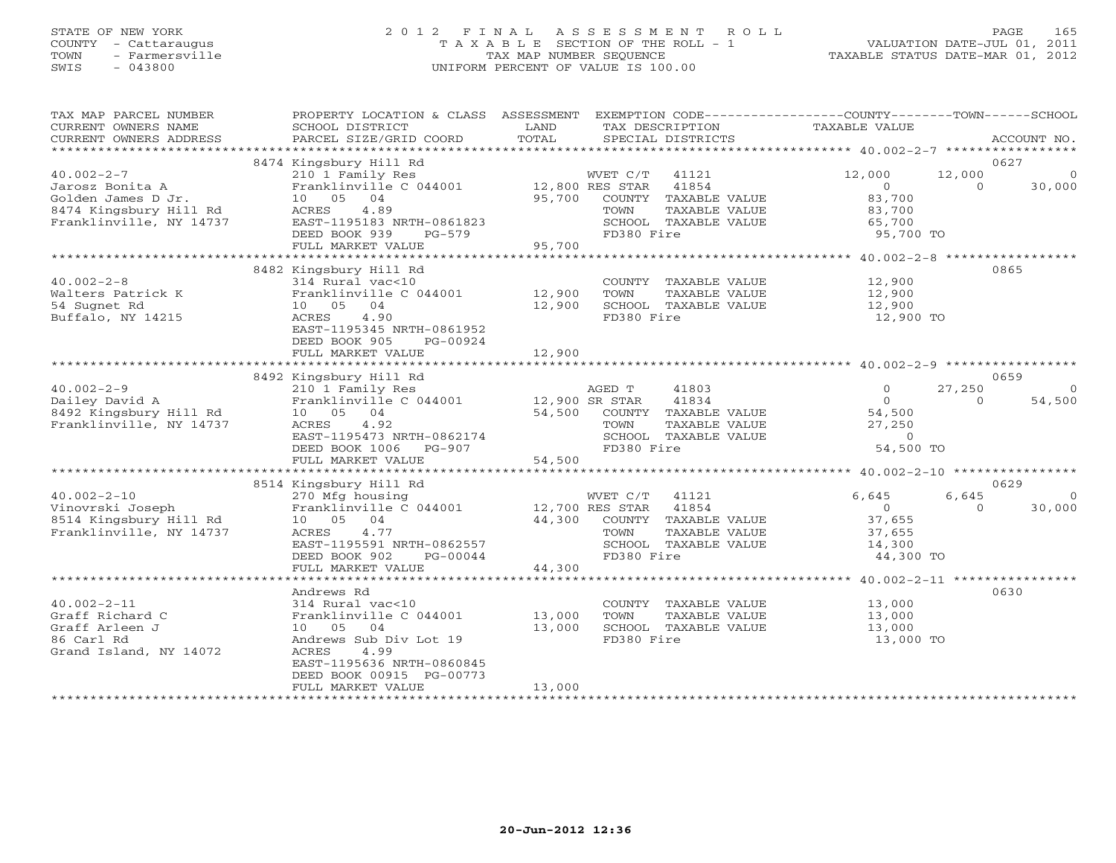# STATE OF NEW YORK 2 0 1 2 F I N A L A S S E S S M E N T R O L L PAGE 165 COUNTY - Cattaraugus T A X A B L E SECTION OF THE ROLL - 1 VALUATION DATE-JUL 01, 2011 TOWN - Farmersville TAX MAP NUMBER SEQUENCE TAXABLE STATUS DATE-MAR 01, 2012 SWIS - 043800 UNIFORM PERCENT OF VALUE IS 100.00UNIFORM PERCENT OF VALUE IS 100.00

| TAX MAP PARCEL NUMBER<br>CURRENT OWNERS NAME<br>CURRENT OWNERS ADDRESS | PROPERTY LOCATION & CLASS ASSESSMENT<br>SCHOOL DISTRICT<br>PARCEL SIZE/GRID COORD | LAND<br>TOTAL   | EXEMPTION CODE-----------------COUNTY-------TOWN------SCHOOL<br>TAX DESCRIPTION<br>SPECIAL DISTRICTS | TAXABLE VALUE |          | ACCOUNT NO.  |
|------------------------------------------------------------------------|-----------------------------------------------------------------------------------|-----------------|------------------------------------------------------------------------------------------------------|---------------|----------|--------------|
|                                                                        |                                                                                   |                 |                                                                                                      |               |          |              |
|                                                                        | 8474 Kingsbury Hill Rd                                                            |                 |                                                                                                      |               |          | 0627         |
| $40.002 - 2 - 7$                                                       | 210 1 Family Res                                                                  |                 | WVET C/T<br>41121                                                                                    | 12,000        | 12,000   | $\mathbf{0}$ |
| Jarosz Bonita A                                                        | Franklinville C 044001                                                            | 12,800 RES STAR | 41854                                                                                                | $\Omega$      | $\Omega$ | 30,000       |
| Golden James D Jr.                                                     | 10 05 04                                                                          | 95,700          | COUNTY TAXABLE VALUE                                                                                 | 83,700        |          |              |
| 8474 Kingsbury Hill Rd                                                 | 4.89<br>ACRES                                                                     |                 | TAXABLE VALUE<br>TOWN                                                                                | 83,700        |          |              |
| Franklinville, NY 14737                                                | EAST-1195183 NRTH-0861823                                                         |                 | SCHOOL TAXABLE VALUE                                                                                 | 65,700        |          |              |
|                                                                        | DEED BOOK 939<br>PG-579<br>FULL MARKET VALUE                                      | 95,700          | FD380 Fire                                                                                           | 95,700 TO     |          |              |
|                                                                        |                                                                                   |                 |                                                                                                      |               |          |              |
|                                                                        | 8482 Kingsbury Hill Rd                                                            |                 |                                                                                                      |               |          | 0865         |
| $40.002 - 2 - 8$                                                       | 314 Rural vac<10                                                                  |                 | COUNTY TAXABLE VALUE                                                                                 | 12,900        |          |              |
| Walters Patrick K                                                      | Franklinville C 044001                                                            | 12,900          | TOWN<br>TAXABLE VALUE                                                                                | 12,900        |          |              |
| 54 Sugnet Rd                                                           | 10 05 04                                                                          | 12,900          | SCHOOL TAXABLE VALUE                                                                                 | 12,900        |          |              |
| Buffalo, NY 14215                                                      | ACRES<br>4.90                                                                     |                 | FD380 Fire                                                                                           | 12,900 TO     |          |              |
|                                                                        | EAST-1195345 NRTH-0861952                                                         |                 |                                                                                                      |               |          |              |
|                                                                        | DEED BOOK 905<br>PG-00924                                                         |                 |                                                                                                      |               |          |              |
|                                                                        | FULL MARKET VALUE                                                                 | 12,900          |                                                                                                      |               |          |              |
|                                                                        |                                                                                   |                 |                                                                                                      |               |          |              |
|                                                                        | 8492 Kingsbury Hill Rd                                                            |                 |                                                                                                      |               |          | 0659         |
| $40.002 - 2 - 9$                                                       | 210 1 Family Res                                                                  |                 | AGED T<br>41803                                                                                      | $\Omega$      | 27,250   | $\Omega$     |
| Dailey David A                                                         | Franklinville C 044001                                                            | 12,900 SR STAR  | 41834                                                                                                | $\Omega$      | $\Omega$ | 54,500       |
| 8492 Kingsbury Hill Rd                                                 | 10 05 04                                                                          | 54,500          | COUNTY TAXABLE VALUE                                                                                 | 54,500        |          |              |
| Franklinville, NY 14737                                                | 4.92<br>ACRES                                                                     |                 | TOWN<br>TAXABLE VALUE                                                                                | 27,250        |          |              |
|                                                                        | EAST-1195473 NRTH-0862174                                                         |                 | SCHOOL TAXABLE VALUE                                                                                 | $\Omega$      |          |              |
|                                                                        | DEED BOOK 1006<br>PG-907                                                          |                 | FD380 Fire                                                                                           | 54,500 TO     |          |              |
|                                                                        | FULL MARKET VALUE                                                                 | 54,500          |                                                                                                      |               |          |              |
|                                                                        |                                                                                   |                 |                                                                                                      |               |          | 0629         |
| $40.002 - 2 - 10$                                                      | 8514 Kingsbury Hill Rd<br>270 Mfg housing                                         |                 | WVET C/T<br>41121                                                                                    | 6,645         | 6,645    | $\Omega$     |
| Vinovrski Joseph                                                       | Franklinville C 044001                                                            | 12,700 RES STAR | 41854                                                                                                | $\Omega$      | $\cap$   | 30,000       |
| 8514 Kingsbury Hill Rd                                                 | 10 05 04                                                                          | 44,300          | COUNTY TAXABLE VALUE                                                                                 | 37,655        |          |              |
| Franklinville, NY 14737                                                | ACRES<br>4.77                                                                     |                 | TOWN<br>TAXABLE VALUE                                                                                | 37,655        |          |              |
|                                                                        | EAST-1195591 NRTH-0862557                                                         |                 | SCHOOL TAXABLE VALUE                                                                                 | 14,300        |          |              |
|                                                                        | DEED BOOK 902<br>PG-00044                                                         |                 | FD380 Fire                                                                                           | 44,300 TO     |          |              |
|                                                                        | FULL MARKET VALUE                                                                 | 44,300          |                                                                                                      |               |          |              |
|                                                                        | **********************                                                            |                 |                                                                                                      |               |          |              |
|                                                                        | Andrews Rd                                                                        |                 |                                                                                                      |               |          | 0630         |
| $40.002 - 2 - 11$                                                      | 314 Rural vac<10                                                                  |                 | COUNTY TAXABLE VALUE                                                                                 | 13,000        |          |              |
| Graff Richard C                                                        | Franklinville C 044001                                                            | 13,000          | TOWN<br>TAXABLE VALUE                                                                                | 13,000        |          |              |
| Graff Arleen J                                                         | 10 05<br>04                                                                       | 13,000          | SCHOOL TAXABLE VALUE                                                                                 | 13,000        |          |              |
| 86 Carl Rd                                                             | Andrews Sub Div Lot 19                                                            |                 | FD380 Fire                                                                                           | 13,000 TO     |          |              |
| Grand Island, NY 14072                                                 | 4.99<br>ACRES                                                                     |                 |                                                                                                      |               |          |              |
|                                                                        | EAST-1195636 NRTH-0860845                                                         |                 |                                                                                                      |               |          |              |
|                                                                        | DEED BOOK 00915 PG-00773                                                          |                 |                                                                                                      |               |          |              |
|                                                                        | FULL MARKET VALUE                                                                 | 13,000          |                                                                                                      |               |          |              |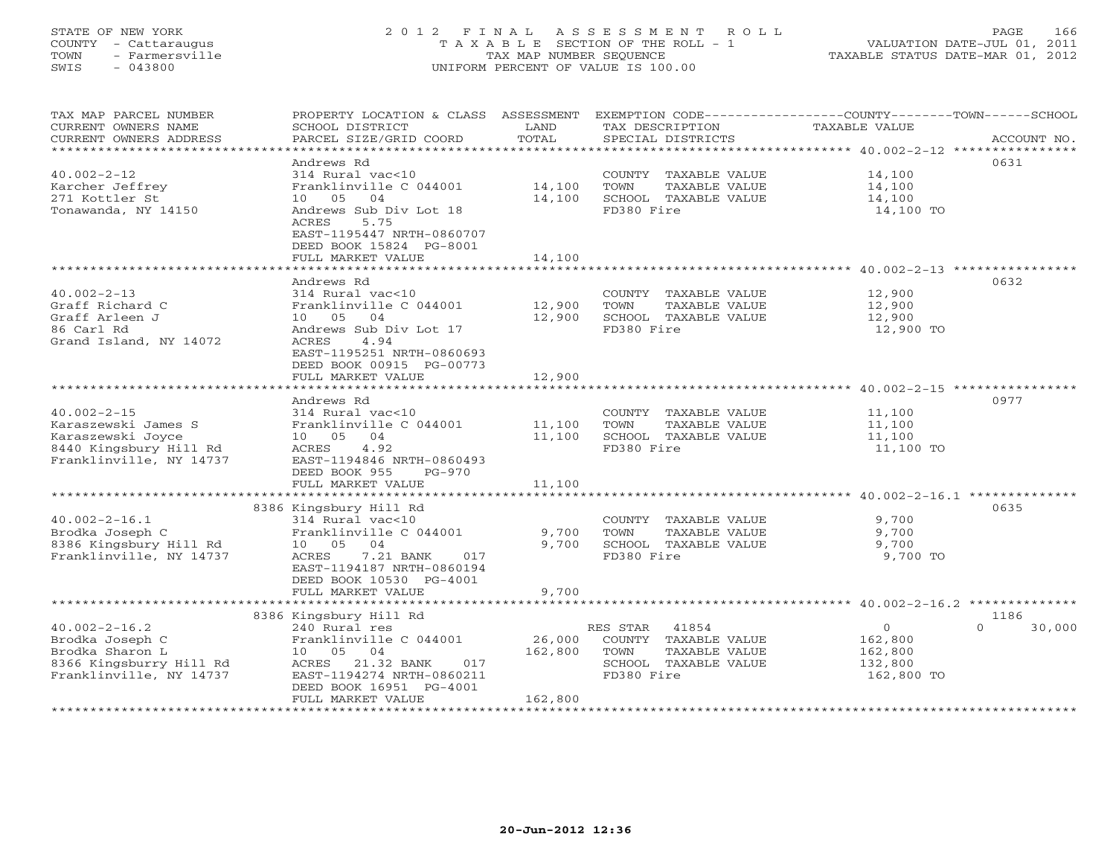#### STATE OF NEW YORK 2 0 1 2 F I N A L A S S E S S M E N T R O L L PAGE 166 COUNTY - Cattaraugus T A X A B L E SECTION OF THE ROLL - 1 VALUATION DATE-JUL 01, 2011 TOWN - Farmersville TAX MAP NUMBER SEQUENCE TAXABLE STATUS DATE-MAR 01, 2012 SWIS - 043800 UNIFORM PERCENT OF VALUE IS 100.00UNIFORM PERCENT OF VALUE IS 100.00

| TAX MAP PARCEL NUMBER<br>CURRENT OWNERS NAME<br>CURRENT OWNERS ADDRESS<br>*************************                | PROPERTY LOCATION & CLASS ASSESSMENT<br>SCHOOL DISTRICT<br>PARCEL SIZE/GRID COORD                                                                                                           | LAND<br>TOTAL                | TAX DESCRIPTION<br>SPECIAL DISTRICTS                                                                     | EXEMPTION CODE-----------------COUNTY-------TOWN------SCHOOL<br>TAXABLE VALUE<br>ACCOUNT NO. |  |
|--------------------------------------------------------------------------------------------------------------------|---------------------------------------------------------------------------------------------------------------------------------------------------------------------------------------------|------------------------------|----------------------------------------------------------------------------------------------------------|----------------------------------------------------------------------------------------------|--|
| $40.002 - 2 - 12$<br>Karcher Jeffrey<br>271 Kottler St<br>Tonawanda, NY 14150                                      | Andrews Rd<br>$314$ Rural vac<10<br>Franklinville C 044001<br>04<br>10 05<br>Andrews Sub Div Lot 18<br><b>ACRES</b><br>5.75<br>EAST-1195447 NRTH-0860707                                    | 14,100<br>14,100             | COUNTY TAXABLE VALUE<br>TOWN<br>TAXABLE VALUE<br>SCHOOL TAXABLE VALUE<br>FD380 Fire                      | 0631<br>14,100<br>14,100<br>14,100<br>14,100 TO                                              |  |
|                                                                                                                    | DEED BOOK 15824 PG-8001<br>FULL MARKET VALUE                                                                                                                                                | 14,100                       |                                                                                                          | ************************ 40.002-2-13 ***********                                             |  |
| $40.002 - 2 - 13$<br>Graff Richard C<br>Graff Arleen J<br>86 Carl Rd<br>Grand Island, NY 14072                     | Andrews Rd<br>314 Rural vac<10<br>Franklinville C 044001<br>10 05 04<br>Andrews Sub Div Lot 17<br>4.94<br>ACRES<br>EAST-1195251 NRTH-0860693<br>DEED BOOK 00915 PG-00773                    | 12,900<br>12,900             | COUNTY TAXABLE VALUE<br>TOWN<br>TAXABLE VALUE<br>SCHOOL TAXABLE VALUE<br>FD380 Fire                      | 0632<br>12,900<br>12,900<br>12,900<br>12,900 TO                                              |  |
|                                                                                                                    | FULL MARKET VALUE                                                                                                                                                                           | 12,900                       |                                                                                                          |                                                                                              |  |
| $40.002 - 2 - 15$<br>Karaszewski James S<br>Karaszewski Joyce<br>8440 Kingsbury Hill Rd<br>Franklinville, NY 14737 | Andrews Rd<br>314 Rural vac<10<br>Franklinville C 044001<br>10 05 04<br>ACRES<br>4.92<br>EAST-1194846 NRTH-0860493<br>DEED BOOK 955<br>$PG-970$<br>FULL MARKET VALUE                        | 11,100<br>11,100<br>11,100   | COUNTY TAXABLE VALUE<br>TOWN<br>TAXABLE VALUE<br>SCHOOL TAXABLE VALUE<br>FD380 Fire                      | 0977<br>11,100<br>11,100<br>11,100<br>11,100 TO                                              |  |
|                                                                                                                    | 8386 Kingsbury Hill Rd                                                                                                                                                                      |                              |                                                                                                          | 0635                                                                                         |  |
| $40.002 - 2 - 16.1$<br>Brodka Joseph C<br>8386 Kingsbury Hill Rd<br>Franklinville, NY 14737                        | 314 Rural vac<10<br>Franklinville C 044001<br>10 05 04<br>7.21 BANK<br>ACRES<br>017<br>EAST-1194187 NRTH-0860194<br>DEED BOOK 10530 PG-4001<br>FULL MARKET VALUE                            | 9,700<br>9,700<br>9,700      | COUNTY TAXABLE VALUE<br>TOWN<br>TAXABLE VALUE<br>SCHOOL TAXABLE VALUE<br>FD380 Fire                      | 9,700<br>9,700<br>9,700<br>9,700 TO                                                          |  |
|                                                                                                                    |                                                                                                                                                                                             |                              |                                                                                                          | ************************ 40.002-2-16.2 **************                                        |  |
| $40.002 - 2 - 16.2$<br>Brodka Joseph C<br>Brodka Sharon L<br>8366 Kingsburry Hill Rd<br>Franklinville, NY 14737    | 8386 Kingsbury Hill Rd<br>240 Rural res<br>Franklinville C 044001<br>10 05<br>04<br>21.32 BANK<br>017<br>ACRES<br>EAST-1194274 NRTH-0860211<br>DEED BOOK 16951 PG-4001<br>FULL MARKET VALUE | 26,000<br>162,800<br>162,800 | RES STAR<br>41854<br>COUNTY TAXABLE VALUE<br>TAXABLE VALUE<br>TOWN<br>SCHOOL TAXABLE VALUE<br>FD380 Fire | 1186<br>$\mathbf{O}$<br>30,000<br>$\cap$<br>162,800<br>162,800<br>132,800<br>162,800 TO      |  |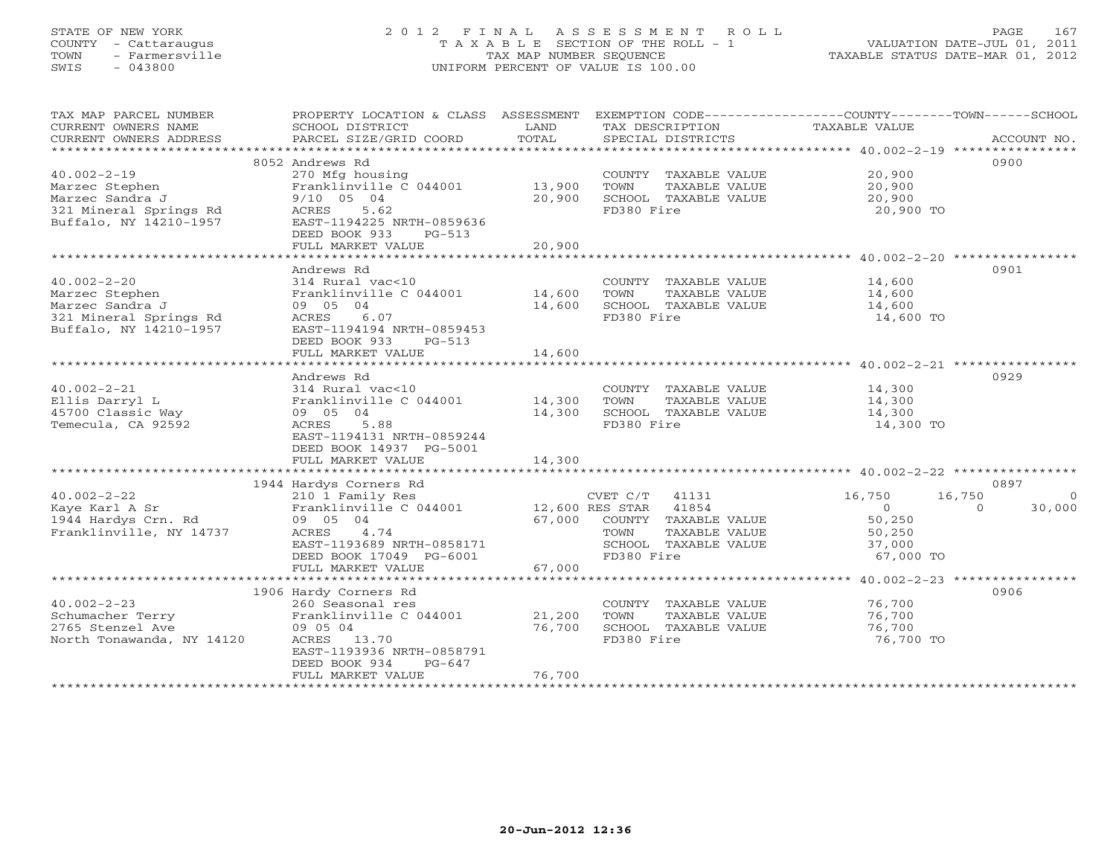# STATE OF NEW YORK 2 0 1 2 F I N A L A S S E S S M E N T R O L L PAGE 167 COUNTY - Cattaraugus T A X A B L E SECTION OF THE ROLL - 1 VALUATION DATE-JUL 01, 2011 TOWN - Farmersville TAX MAP NUMBER SEQUENCE TAXABLE STATUS DATE-MAR 01, 2012 SWIS - 043800 UNIFORM PERCENT OF VALUE IS 100.00UNIFORM PERCENT OF VALUE IS 100.00

| TAX MAP PARCEL NUMBER<br>CURRENT OWNERS NAME<br>CURRENT OWNERS ADDRESS | PROPERTY LOCATION & CLASS ASSESSMENT<br>SCHOOL DISTRICT<br>PARCEL SIZE/GRID COORD | LAND<br>TOTAL | TAX DESCRIPTION<br>SPECIAL DISTRICTS | EXEMPTION CODE-----------------COUNTY-------TOWN------SCHOOL<br>TAXABLE VALUE<br>ACCOUNT NO. |
|------------------------------------------------------------------------|-----------------------------------------------------------------------------------|---------------|--------------------------------------|----------------------------------------------------------------------------------------------|
| ***********************                                                |                                                                                   |               |                                      |                                                                                              |
|                                                                        | 8052 Andrews Rd                                                                   |               |                                      | 0900                                                                                         |
| $40.002 - 2 - 19$                                                      | 270 Mfg housing                                                                   |               | COUNTY TAXABLE VALUE                 | 20,900                                                                                       |
| Marzec Stephen                                                         | Franklinville C 044001                                                            | 13,900        | TOWN<br>TAXABLE VALUE                | 20,900                                                                                       |
| Marzec Sandra J<br>321 Mineral Springs Rd                              | $9/10$ 05 04<br>5.62                                                              | 20,900        | SCHOOL TAXABLE VALUE<br>FD380 Fire   | 20,900                                                                                       |
| Buffalo, NY 14210-1957                                                 | ACRES<br>EAST-1194225 NRTH-0859636                                                |               |                                      | 20,900 TO                                                                                    |
|                                                                        | DEED BOOK 933<br>$PG-513$                                                         |               |                                      |                                                                                              |
|                                                                        | FULL MARKET VALUE                                                                 | 20,900        |                                      |                                                                                              |
|                                                                        |                                                                                   |               |                                      |                                                                                              |
|                                                                        | Andrews Rd                                                                        |               |                                      | 0901                                                                                         |
| $40.002 - 2 - 20$                                                      | 314 Rural vac<10                                                                  |               | COUNTY TAXABLE VALUE                 | 14,600                                                                                       |
| Marzec Stephen                                                         | Franklinville C 044001                                                            | 14,600        | TOWN<br>TAXABLE VALUE                | 14,600                                                                                       |
| Marzec Sandra J                                                        | 09 05 04                                                                          | 14,600        | SCHOOL TAXABLE VALUE                 | 14,600                                                                                       |
| 321 Mineral Springs Rd                                                 | 6.07<br>ACRES                                                                     |               | FD380 Fire                           | 14,600 TO                                                                                    |
| Buffalo, NY 14210-1957                                                 | EAST-1194194 NRTH-0859453                                                         |               |                                      |                                                                                              |
|                                                                        | DEED BOOK 933<br>$PG-513$                                                         |               |                                      |                                                                                              |
|                                                                        | FULL MARKET VALUE                                                                 | 14,600        |                                      |                                                                                              |
|                                                                        |                                                                                   |               |                                      |                                                                                              |
|                                                                        | Andrews Rd                                                                        |               |                                      | 0929                                                                                         |
| $40.002 - 2 - 21$                                                      | 314 Rural vac<10                                                                  |               | COUNTY TAXABLE VALUE                 | 14,300                                                                                       |
| Ellis Darryl L                                                         | Franklinville C 044001                                                            | 14,300        | TAXABLE VALUE<br>TOWN                | 14,300                                                                                       |
| 45700 Classic Way                                                      | 09 05 04                                                                          | 14,300        | SCHOOL TAXABLE VALUE                 | 14,300                                                                                       |
| Temecula, CA 92592                                                     | 5.88<br>ACRES                                                                     |               | FD380 Fire                           | 14,300 TO                                                                                    |
|                                                                        | EAST-1194131 NRTH-0859244                                                         |               |                                      |                                                                                              |
|                                                                        | DEED BOOK 14937 PG-5001<br>FULL MARKET VALUE                                      | 14,300        |                                      |                                                                                              |
|                                                                        |                                                                                   |               |                                      |                                                                                              |
|                                                                        | 1944 Hardys Corners Rd                                                            |               |                                      | 0897                                                                                         |
| $40.002 - 2 - 22$                                                      | 210 1 Family Res                                                                  |               | $CVET C/T$ 41131                     | 16,750<br>16,750<br>$\Omega$                                                                 |
| Kave Karl A Sr                                                         | Franklinville C 044001                                                            |               | 12,600 RES STAR 41854                | 30,000<br>$\overline{0}$<br>$\Omega$                                                         |
| 1944 Hardys Crn. Rd                                                    | 09 05 04                                                                          | 67,000        | COUNTY TAXABLE VALUE                 | 50,250                                                                                       |
| Franklinville, NY 14737                                                | 4.74<br>ACRES                                                                     |               | TAXABLE VALUE<br>TOWN                | 50,250                                                                                       |
|                                                                        | EAST-1193689 NRTH-0858171                                                         |               | SCHOOL TAXABLE VALUE                 | 37,000                                                                                       |
|                                                                        | DEED BOOK 17049 PG-6001                                                           |               | FD380 Fire                           | 67,000 TO                                                                                    |
|                                                                        | FULL MARKET VALUE                                                                 | 67,000        |                                      |                                                                                              |
|                                                                        |                                                                                   |               |                                      |                                                                                              |
|                                                                        | 1906 Hardy Corners Rd                                                             |               |                                      | 0906                                                                                         |
| $40.002 - 2 - 23$                                                      | 260 Seasonal res                                                                  |               | COUNTY TAXABLE VALUE                 | 76,700                                                                                       |
| Schumacher Terry                                                       | Franklinville C 044001                                                            | 21,200        | TOWN<br>TAXABLE VALUE                | 76,700                                                                                       |
| 2765 Stenzel Ave                                                       | 09 05 04                                                                          | 76,700        | SCHOOL TAXABLE VALUE                 | 76,700                                                                                       |
| North Tonawanda, NY 14120                                              | ACRES 13.70<br>EAST-1193936 NRTH-0858791                                          |               | FD380 Fire                           | 76,700 TO                                                                                    |
|                                                                        | DEED BOOK 934<br>$PG-647$                                                         |               |                                      |                                                                                              |
|                                                                        | FULL MARKET VALUE                                                                 | 76,700        |                                      |                                                                                              |
|                                                                        | ************************                                                          |               |                                      |                                                                                              |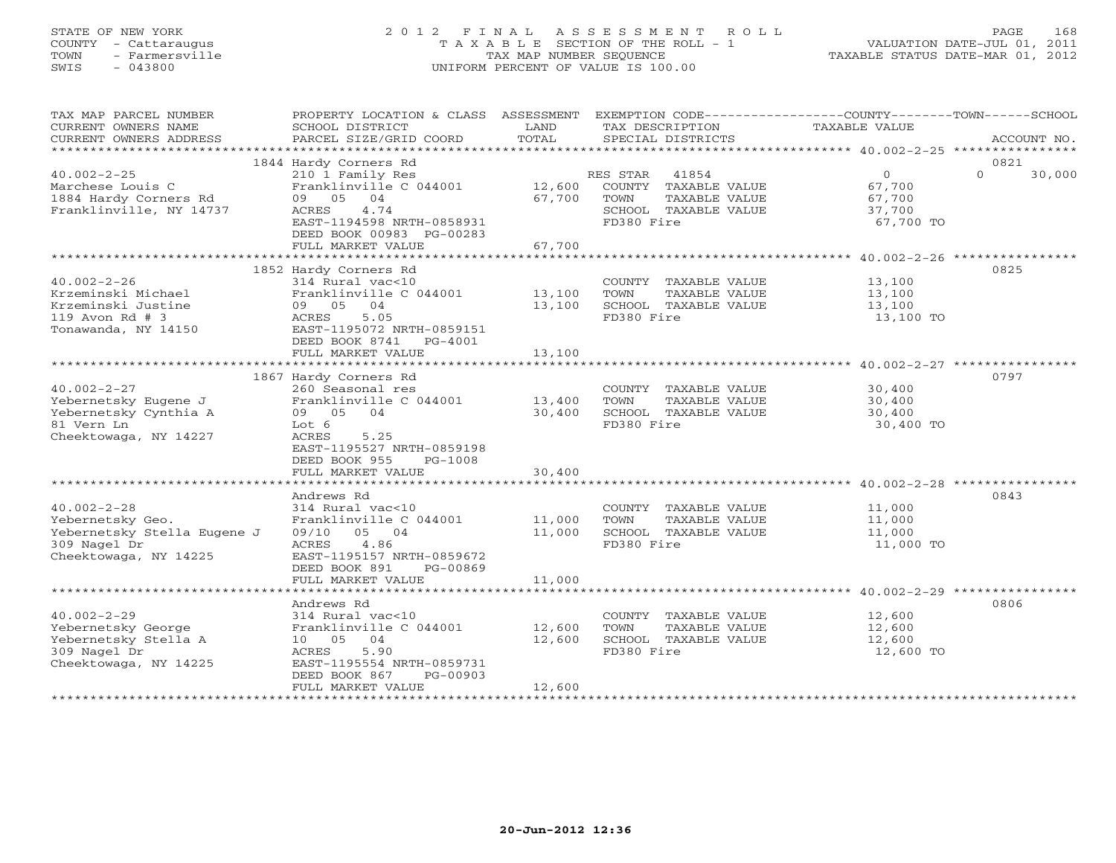# STATE OF NEW YORK 2 0 1 2 F I N A L A S S E S S M E N T R O L L PAGE 168 COUNTY - Cattaraugus T A X A B L E SECTION OF THE ROLL - 1 VALUATION DATE-JUL 01, 2011 TOWN - Farmersville TAX MAP NUMBER SEQUENCE TAXABLE STATUS DATE-MAR 01, 2012 SWIS - 043800 UNIFORM PERCENT OF VALUE IS 100.00UNIFORM PERCENT OF VALUE IS 100.00

| TAX MAP PARCEL NUMBER<br>CURRENT OWNERS NAME<br>CURRENT OWNERS ADDRESS                                        | PROPERTY LOCATION & CLASS ASSESSMENT<br>SCHOOL DISTRICT<br>PARCEL SIZE/GRID COORD                                                                                              | LAND<br>TOTAL              | EXEMPTION CODE-----------------COUNTY-------TOWN------SCHOOL<br>TAX DESCRIPTION<br>SPECIAL DISTRICTS     | <b>TAXABLE VALUE</b>                               | ACCOUNT NO.                |
|---------------------------------------------------------------------------------------------------------------|--------------------------------------------------------------------------------------------------------------------------------------------------------------------------------|----------------------------|----------------------------------------------------------------------------------------------------------|----------------------------------------------------|----------------------------|
|                                                                                                               |                                                                                                                                                                                |                            |                                                                                                          |                                                    |                            |
| $40.002 - 2 - 25$<br>Marchese Louis C<br>1884 Hardy Corners Rd<br>Franklinville, NY 14737                     | 1844 Hardy Corners Rd<br>210 1 Family Res<br>Franklinville C 044001<br>09 05<br>04<br>ACRES<br>4.74<br>EAST-1194598 NRTH-0858931<br>DEED BOOK 00983 PG-00283                   | 12,600<br>67,700           | 41854<br>RES STAR<br>COUNTY TAXABLE VALUE<br>TAXABLE VALUE<br>TOWN<br>SCHOOL TAXABLE VALUE<br>FD380 Fire | $\circ$<br>67,700<br>67,700<br>37,700<br>67,700 TO | 0821<br>$\Omega$<br>30,000 |
|                                                                                                               | FULL MARKET VALUE                                                                                                                                                              | 67,700                     |                                                                                                          |                                                    |                            |
|                                                                                                               |                                                                                                                                                                                |                            |                                                                                                          |                                                    |                            |
| $40.002 - 2 - 26$<br>Krzeminski Michael<br>Krzeminski Justine<br>119 Avon Rd # 3<br>Tonawanda, NY 14150       | 1852 Hardy Corners Rd<br>314 Rural vac<10<br>Franklinville C 044001<br>09 05 04<br>ACRES<br>5.05<br>EAST-1195072 NRTH-0859151<br>DEED BOOK 8741 PG-4001<br>FULL MARKET VALUE   | 13,100<br>13,100<br>13,100 | COUNTY TAXABLE VALUE<br>TOWN<br>TAXABLE VALUE<br>SCHOOL TAXABLE VALUE<br>FD380 Fire                      | 13,100<br>13,100<br>13,100<br>13,100 TO            | 0825                       |
|                                                                                                               |                                                                                                                                                                                |                            |                                                                                                          |                                                    |                            |
| $40.002 - 2 - 27$<br>Yebernetsky Eugene J<br>Yebernetsky Cynthia A<br>81 Vern Ln<br>Cheektowaga, NY 14227     | 1867 Hardy Corners Rd<br>260 Seasonal res<br>Franklinville C 044001<br>09 05<br>04<br>Lot 6<br><b>ACRES</b><br>5.25<br>EAST-1195527 NRTH-0859198<br>DEED BOOK 955<br>$PG-1008$ | 13,400<br>30,400           | COUNTY TAXABLE VALUE<br>TOWN<br>TAXABLE VALUE<br>SCHOOL TAXABLE VALUE<br>FD380 Fire                      | 30,400<br>30,400<br>30,400<br>30,400 TO            | 0797                       |
|                                                                                                               | FULL MARKET VALUE                                                                                                                                                              | 30,400                     |                                                                                                          |                                                    |                            |
| $40.002 - 2 - 28$<br>Yebernetsky Geo.<br>Yebernetsky Stella Eugene J<br>309 Nagel Dr<br>Cheektowaga, NY 14225 | Andrews Rd<br>314 Rural vac<10<br>Franklinville C 044001<br>05 04<br>09/10<br>ACRES<br>4.86<br>EAST-1195157 NRTH-0859672<br>DEED BOOK 891<br>PG-00869                          | 11,000<br>11,000           | COUNTY TAXABLE VALUE<br>TOWN<br>TAXABLE VALUE<br>SCHOOL TAXABLE VALUE<br>FD380 Fire                      | 11,000<br>11,000<br>11,000<br>11,000 TO            | 0843                       |
|                                                                                                               | FULL MARKET VALUE                                                                                                                                                              | 11,000                     |                                                                                                          |                                                    |                            |
|                                                                                                               |                                                                                                                                                                                |                            |                                                                                                          |                                                    |                            |
| $40.002 - 2 - 29$<br>Yebernetsky George<br>Yebernetsky Stella A<br>309 Nagel Dr<br>Cheektowaga, NY 14225      | Andrews Rd<br>314 Rural vac<10<br>Franklinville C 044001<br>10 05<br>04<br>5.90<br>ACRES<br>EAST-1195554 NRTH-0859731<br>DEED BOOK 867<br>PG-00903<br>FULL MARKET VALUE        | 12,600<br>12,600<br>12,600 | COUNTY TAXABLE VALUE<br>TAXABLE VALUE<br>TOWN<br>SCHOOL TAXABLE VALUE<br>FD380 Fire                      | 12,600<br>12,600<br>12,600<br>12,600 TO            | 0806                       |
| *********************                                                                                         |                                                                                                                                                                                |                            |                                                                                                          |                                                    |                            |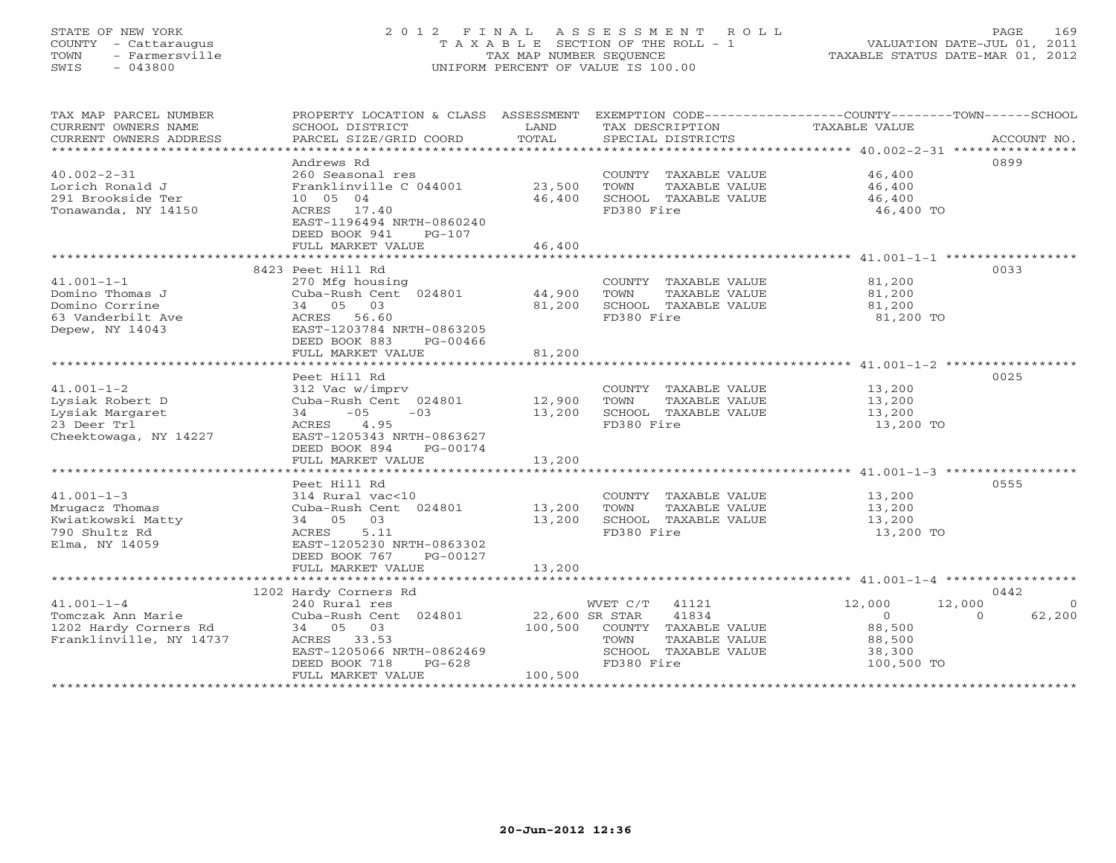#### STATE OF NEW YORK 2 0 1 2 F I N A L A S S E S S M E N T R O L L PAGE 169 COUNTY - Cattaraugus T A X A B L E SECTION OF THE ROLL - 1 VALUATION DATE-JUL 01, 2011 TOWN - Farmersville TAX MAP NUMBER SEQUENCE TAXABLE STATUS DATE-MAR 01, 2012 SWIS - 043800 UNIFORM PERCENT OF VALUE IS 100.00UNIFORM PERCENT OF VALUE IS 100.00

| TAX MAP PARCEL NUMBER<br>CURRENT OWNERS NAME<br>CURRENT OWNERS ADDRESS                                                 | PROPERTY LOCATION & CLASS ASSESSMENT EXEMPTION CODE----------------COUNTY-------TOWN------SCHOOL<br>SCHOOL DISTRICT<br>PARCEL SIZE/GRID COORD                                  | LAND<br>TOTAL                        | TAX DESCRIPTION TAXABLE VALUE<br>SPECIAL DISTRICTS                                                             |                                                                            | ACCOUNT NO.                    |
|------------------------------------------------------------------------------------------------------------------------|--------------------------------------------------------------------------------------------------------------------------------------------------------------------------------|--------------------------------------|----------------------------------------------------------------------------------------------------------------|----------------------------------------------------------------------------|--------------------------------|
| $40.002 - 2 - 31$<br>Lorich Ronald J<br>291 Brookside Ter<br>Tonawanda, NY 14150                                       | Andrews Rd<br>260 Seasonal res<br>Franklinville C 044001 23,500<br>10 05 04<br>ACRES 17.40<br>EAST-1196494 NRTH-0860240<br>DEED BOOK 941<br>$PG-107$<br>FULL MARKET VALUE      | 46,400<br>46,400                     | COUNTY TAXABLE VALUE<br>TAXABLE VALUE<br>TOWN<br>SCHOOL TAXABLE VALUE<br>FD380 Fire                            | 46,400<br>46,400<br>46,400<br>46,400 TO                                    | 0899                           |
|                                                                                                                        |                                                                                                                                                                                |                                      |                                                                                                                |                                                                            | 0033                           |
| $41.001 - 1 - 1$<br>Domino Thomas J<br>Domino Corrine<br>bomino corrector<br>63 Vanderbilt Ave<br>Depew, NY 14043      | 8423 Peet Hill Rd<br>270 Mfg housing<br>Cuba-Rush Cent 024801 44,900<br>34 05 03<br>ACRES 56.60<br>EAST-1203784 NRTH-0863205<br>DEED BOOK 883<br>PG-00466<br>FULL MARKET VALUE | 81,200<br>81,200                     | COUNTY TAXABLE VALUE<br>TOWN<br>TAXABLE VALUE<br>SCHOOL TAXABLE VALUE<br>FD380 Fire                            | 81,200<br>81,200<br>81,200<br>81,200 TO                                    |                                |
|                                                                                                                        |                                                                                                                                                                                |                                      |                                                                                                                |                                                                            |                                |
| $41.001 - 1 - 2$<br>Lysiak Robert D<br>Lysiak Margaret<br>23 Deer Trl<br>Cheektowaga, NY 14227                         | Peet Hill Rd<br>312 Vac w/imprv<br>Cuba-Rush Cent 024801<br>$34 -05$<br>$-03$<br>4.95<br>ACRES<br>EAST-1205343 NRTH-0863627<br>DEED BOOK 894<br>PG-00174                       | 12,900<br>13,200                     | COUNTY TAXABLE VALUE 13,200<br>TOWN<br>TAXABLE VALUE<br>SCHOOL TAXABLE VALUE<br>FD380 Fire                     | 13,200<br>13,200<br>13,200 TO                                              | 0025                           |
|                                                                                                                        | FULL MARKET VALUE                                                                                                                                                              | 13,200                               |                                                                                                                |                                                                            |                                |
| $41.001 - 1 - 3$<br>Mrugacz Thomas<br>Kwiatkowski Matty<br>790 Shultz Rd<br>Elma, NY 14059                             | Peet Hill Rd<br>314 Rural vac<10<br>Cuba-Rush Cent 024801 13,200<br>34 05 03<br>5.11<br>ACRES<br>EAST-1205230 NRTH-0863302<br>DEED BOOK 767<br>PG-00127                        | 13,200                               | COUNTY TAXABLE VALUE<br>TOWN<br>TAXABLE VALUE<br>SCHOOL TAXABLE VALUE<br>FD380 Fire                            | 13,200<br>13,200<br>13,200<br>13,200 TO                                    | 0555                           |
|                                                                                                                        | FULL MARKET VALUE                                                                                                                                                              | 13,200                               |                                                                                                                |                                                                            |                                |
|                                                                                                                        | 1202 Hardy Corners Rd                                                                                                                                                          |                                      |                                                                                                                |                                                                            | 0442                           |
| $41.001 - 1 - 4$<br>Tomczak Ann Marie<br>1202 Hardy Corners Rd<br>Franklinville, NY 14737<br>************************* | 240 Rural res<br>Cuba-Rush Cent 024801<br>34 05 03<br>ACRES 33.53<br>EAST-1205066 NRTH-0862469<br>DEED BOOK 718<br>$PG-628$<br>FULL MARKET VALUE                               | 22,600 SR STAR<br>100,500<br>100,500 | WVET C/T 41121<br>41834<br>COUNTY TAXABLE VALUE<br>TOWN<br>TAXABLE VALUE<br>SCHOOL TAXABLE VALUE<br>FD380 Fire | 12,000<br>12,000<br>$\bigcirc$<br>88,500<br>88,500<br>38,300<br>100,500 TO | $\Omega$<br>$\Omega$<br>62,200 |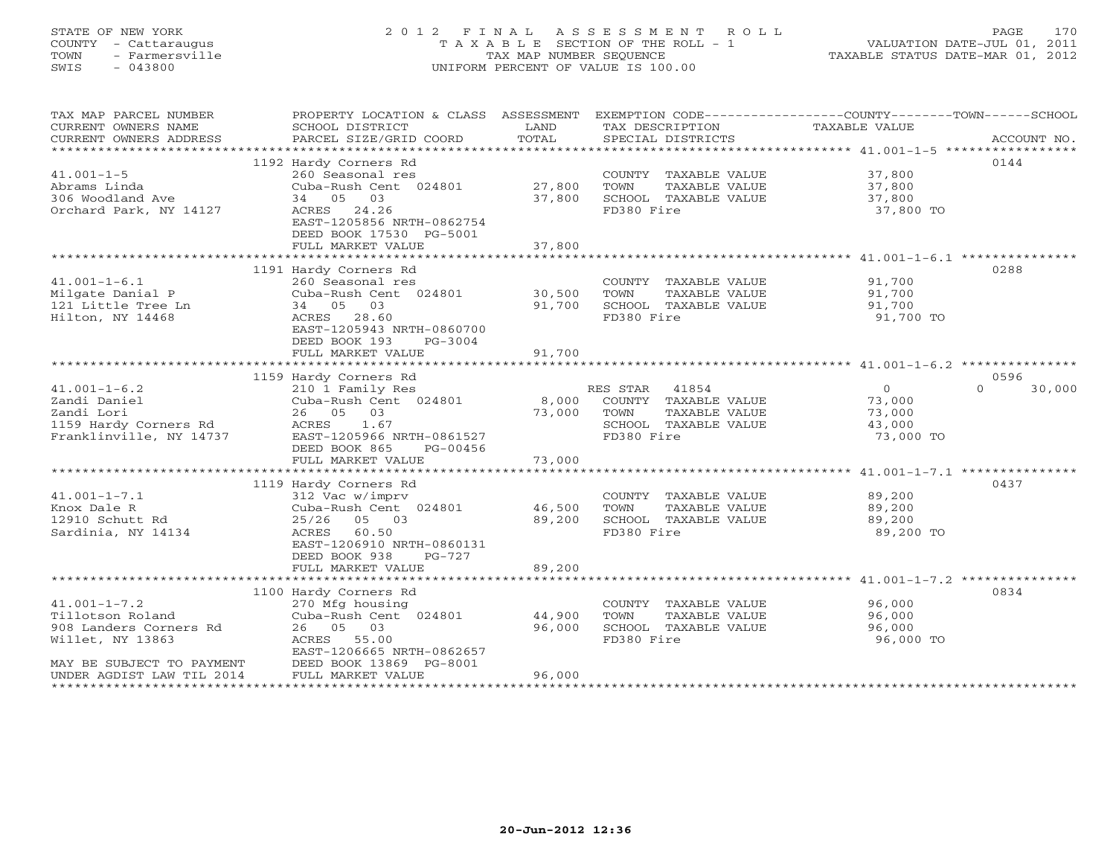## STATE OF NEW YORK 2 0 1 2 F I N A L A S S E S S M E N T R O L L PAGE 170 COUNTY - Cattaraugus T A X A B L E SECTION OF THE ROLL - 1 VALUATION DATE-JUL 01, 2011 TOWN - Farmersville TAX MAP NUMBER SEQUENCE TAXABLE STATUS DATE-MAR 01, 2012 SWIS - 043800 UNIFORM PERCENT OF VALUE IS 100.00UNIFORM PERCENT OF VALUE IS 100.00

| TAX MAP PARCEL NUMBER<br>CURRENT OWNERS NAME<br>CURRENT OWNERS ADDRESS                                                                         | SCHOOL DISTRICT<br>PARCEL SIZE/GRID COORD                                                                                                                                       | LAND<br>TOTAL              | TAX DESCRIPTION<br>SPECIAL DISTRICTS                                                                     | PROPERTY LOCATION & CLASS ASSESSMENT EXEMPTION CODE---------------COUNTY-------TOWN-----SCHOOL<br>TAXABLE VALUE<br>ACCOUNT NO. |
|------------------------------------------------------------------------------------------------------------------------------------------------|---------------------------------------------------------------------------------------------------------------------------------------------------------------------------------|----------------------------|----------------------------------------------------------------------------------------------------------|--------------------------------------------------------------------------------------------------------------------------------|
| $41.001 - 1 - 5$<br>Abrams Linda<br>306 Woodland Ave<br>Orchard Park, NY 14127                                                                 | 1192 Hardy Corners Rd<br>260 Seasonal res<br>Cuba-Rush Cent 024801<br>34 05 03<br>ACRES 24.26<br>EAST-1205856 NRTH-0862754<br>DEED BOOK 17530 PG-5001<br>FULL MARKET VALUE      | 27,800<br>37,800<br>37,800 | COUNTY TAXABLE VALUE<br>TAXABLE VALUE<br>TOWN<br>SCHOOL TAXABLE VALUE<br>FD380 Fire                      | 0144<br>37,800<br>37,800<br>37,800<br>37,800 TO                                                                                |
| $41.001 - 1 - 6.1$<br>Milgate Danial P<br>121 Little Tree Ln<br>Hilton, NY 14468                                                               | 1191 Hardy Corners Rd<br>260 Seasonal res<br>Cuba-Rush Cent 024801<br>34 05 03<br>ACRES 28.60<br>EAST-1205943 NRTH-0860700<br>DEED BOOK 193<br>PG-3004<br>FULL MARKET VALUE     | 30,500<br>91,700<br>91,700 | COUNTY TAXABLE VALUE<br>TOWN<br>TAXABLE VALUE<br>SCHOOL TAXABLE VALUE<br>FD380 Fire                      | 0288<br>91,700<br>91,700<br>91,700<br>91,700 TO                                                                                |
|                                                                                                                                                | 1159 Hardy Corners Rd                                                                                                                                                           |                            |                                                                                                          | 0596                                                                                                                           |
| $41.001 - 1 - 6.2$<br>Zandi Daniel<br>Zandi Lori<br>1159 Hardy Corners Rd<br>Franklinville, NY 14737                                           | 210 1 Family Res<br>Cuba-Rush Cent 024801<br>26 05 03<br>ACRES 1.67<br>EAST-1205966 NRTH-0861527<br>DEED BOOK 865<br>PG-00456<br>FULL MARKET VALUE                              | 8,000<br>73,000<br>73,000  | RES STAR<br>41854<br>COUNTY TAXABLE VALUE<br>TOWN<br>TAXABLE VALUE<br>SCHOOL TAXABLE VALUE<br>FD380 Fire | $\overline{0}$<br>$\Omega$<br>30,000<br>73,000<br>73,000<br>43,000<br>73,000 TO                                                |
|                                                                                                                                                |                                                                                                                                                                                 |                            |                                                                                                          |                                                                                                                                |
| $41.001 - 1 - 7.1$<br>Knox Dale R<br>12910 Schutt Rd<br>Sardinia, NY 14134                                                                     | 1119 Hardy Corners Rd<br>312 Vac w/imprv<br>Cuba-Rush Cent 024801<br>25/26 05 03<br>60.50<br>ACRES<br>EAST-1206910 NRTH-0860131<br>DEED BOOK 938<br>PG-727<br>FULL MARKET VALUE | 46,500<br>89,200<br>89,200 | COUNTY TAXABLE VALUE<br>TOWN<br>TAXABLE VALUE<br>SCHOOL TAXABLE VALUE<br>FD380 Fire                      | 0437<br>89,200<br>89,200<br>89,200<br>89,200 TO                                                                                |
|                                                                                                                                                |                                                                                                                                                                                 |                            |                                                                                                          |                                                                                                                                |
| $41.001 - 1 - 7.2$<br>Tillotson Roland<br>908 Landers Corners Rd<br>Willet, NY 13863<br>MAY BE SUBJECT TO PAYMENT<br>UNDER AGDIST LAW TIL 2014 | 1100 Hardy Corners Rd<br>270 Mfg housing<br>Cuba-Rush Cent 024801<br>26 05 03<br>ACRES<br>55.00<br>EAST-1206665 NRTH-0862657<br>DEED BOOK 13869 PG-8001<br>FULL MARKET VALUE    | 44,900<br>96,000<br>96,000 | COUNTY TAXABLE VALUE<br>TOWN<br>TAXABLE VALUE<br>SCHOOL TAXABLE VALUE<br>FD380 Fire                      | 0834<br>96,000<br>96,000<br>96,000<br>96,000 TO                                                                                |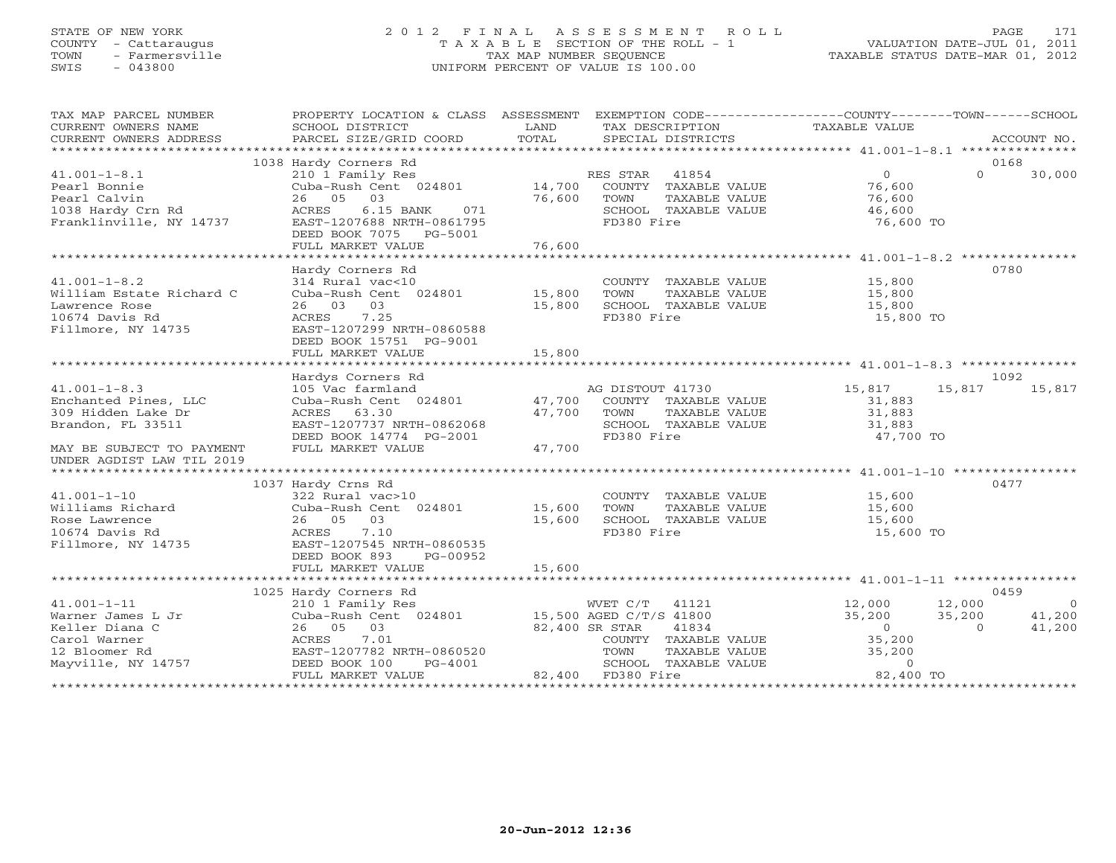#### STATE OF NEW YORK 2 0 1 2 F I N A L A S S E S S M E N T R O L L PAGE 171 COUNTY - Cattaraugus T A X A B L E SECTION OF THE ROLL - 1 VALUATION DATE-JUL 01, 2011 TOWN - Farmersville TAX MAP NUMBER SEQUENCE TAXABLE STATUS DATE-MAR 01, 2012 SWIS - 043800 UNIFORM PERCENT OF VALUE IS 100.00

| TAX MAP PARCEL NUMBER                                                                                                                           | PROPERTY LOCATION & CLASS ASSESSMENT                                                                                                                                                                        |                      |                                                                                                   | EXEMPTION CODE----------------COUNTY-------TOWN------SCHOOL                                                                         |                                    |
|-------------------------------------------------------------------------------------------------------------------------------------------------|-------------------------------------------------------------------------------------------------------------------------------------------------------------------------------------------------------------|----------------------|---------------------------------------------------------------------------------------------------|-------------------------------------------------------------------------------------------------------------------------------------|------------------------------------|
|                                                                                                                                                 | 1038 Hardy Corners Rd                                                                                                                                                                                       |                      |                                                                                                   |                                                                                                                                     | 0168                               |
| $41.001 - 1 - 8.1$<br>Pearl Bonnie<br>Pearl Calvin<br>reari Calvin<br>1038 Hardy Crn Rd<br>-<br>Franklinville, NY 14737                         | 26 05 03<br>ACRES<br>$6.15$ BANK<br>071<br>EAST-1207688 NRTH-0861795<br>DEED BOOK 7075 PG-5001                                                                                                              | 76,600 TOWN<br>SCHOO | TAXABLE VALUE<br>SCHOOL TAXABLE VALUE<br>FD380 Fire                                               | $\overline{O}$<br>$\Omega$<br>76,600<br>76,600<br>46,600<br>76,600 TO                                                               | 30,000                             |
|                                                                                                                                                 |                                                                                                                                                                                                             |                      |                                                                                                   |                                                                                                                                     |                                    |
| $41.001 - 1 - 8.2$<br>William Estate Richard C<br>Lawrence Rose<br>10674 Davis Rd<br>Fillmore, NY 14735                                         | Hardy Corners Rd<br>314 Rural vac<10<br>Cuba-Rush Cent 024801 15,800<br>26 03 03<br>ACRES 7.25<br>EAST-1207299 NRTH-0860588<br>DEED BOOK 15751 PG-9001<br>FULL MARKET VALUE                                 | 15,800<br>15,800     | COUNTY TAXABLE VALUE 15,800<br>TOWN<br>SCHOOL TAXABLE VALUE<br>FD380 Fire                         | TAXABLE VALUE 15,800<br>15,800<br>15,800 TO                                                                                         | 0780                               |
|                                                                                                                                                 |                                                                                                                                                                                                             |                      |                                                                                                   |                                                                                                                                     |                                    |
|                                                                                                                                                 |                                                                                                                                                                                                             |                      |                                                                                                   |                                                                                                                                     | 1092                               |
| $41.001 - 1 - 8.3$<br>Enchanted Pines, LLC<br>309 Hidden Lake Dr<br>Brandon, FL 33511<br>MAY BE SUBJECT TO PAYMENT<br>UNDER AGDIST LAW TIL 2019 | Hardys Corners Rd<br>105 Vac farmland<br>Cuba-Rush Cent 024801 47,700 COUNTY TAXABLE VALUE<br>47.700 TOWN TAXABLE VALUE<br>EAST-1207737 NRTH-0862068<br>DEED BOOK 14774 PG-2001<br>FULL MARKET VALUE 47,700 |                      | AG DISTOUT 41730 15,817<br>SCHOOL TAXABLE VALUE 31,883<br>FD380 Fire 47,700 TO                    | 15,817<br>31,883<br>31,883                                                                                                          | 15,817                             |
|                                                                                                                                                 |                                                                                                                                                                                                             |                      |                                                                                                   |                                                                                                                                     |                                    |
| 41.001-1-10<br>Williams Richard<br>Pose Lawrence<br>Fillmore, NY 14735                                                                          | 1037 Hardy Crns Rd<br>122 Rural vac>10<br>Cuba-Rush Cent 024801 15,600<br>26 05 03<br>ACRES 7.10<br>EAST-1207545 NRTH-0860535<br>DEED BOOK 893 PG-00952                                                     | 15,600               | COUNTY TAXABLE VALUE 15,600<br>TOWN<br>TAXABLE VALUE<br>SCHOOL TAXABLE VALUE 15,600<br>FD380 Fire | 15,600<br>15,600 TO                                                                                                                 | 0477                               |
|                                                                                                                                                 | FULL MARKET VALUE                                                                                                                                                                                           | 15,600               |                                                                                                   |                                                                                                                                     |                                    |
|                                                                                                                                                 |                                                                                                                                                                                                             |                      |                                                                                                   |                                                                                                                                     | 0459                               |
| $41.001 - 1 - 11$<br>Warner James L Jr<br>Keller Diana C<br>Carol Warner<br>12 Bloomer Rd<br>Mayville, NY 14757                                 | 1025 Hardy Corners Rd<br>210 1 Family Res<br>Cuba-Rush Cent 024801 15,500 AGED C/T/S 41800<br>26 05 03<br>ACRES 7.01<br>EAST-1207782 NRTH-0860520<br>DEED BOOK 100<br>PG-4001<br>FULL MARKET VALUE          | 82,400 SR STAR       | 41834<br>COUNTY TAXABLE VALUE<br>TOWN<br>SCHOOL TAXABLE VALUE<br>82,400 FD380 Fire                | 12,000 12,000<br>35,200 35,200<br>$\overline{0}$<br>$\overline{0}$<br>35,200<br>TAXABLE VALUE 35,200<br>$\overline{0}$<br>82,400 TO | $\overline{a}$<br>41,200<br>41,200 |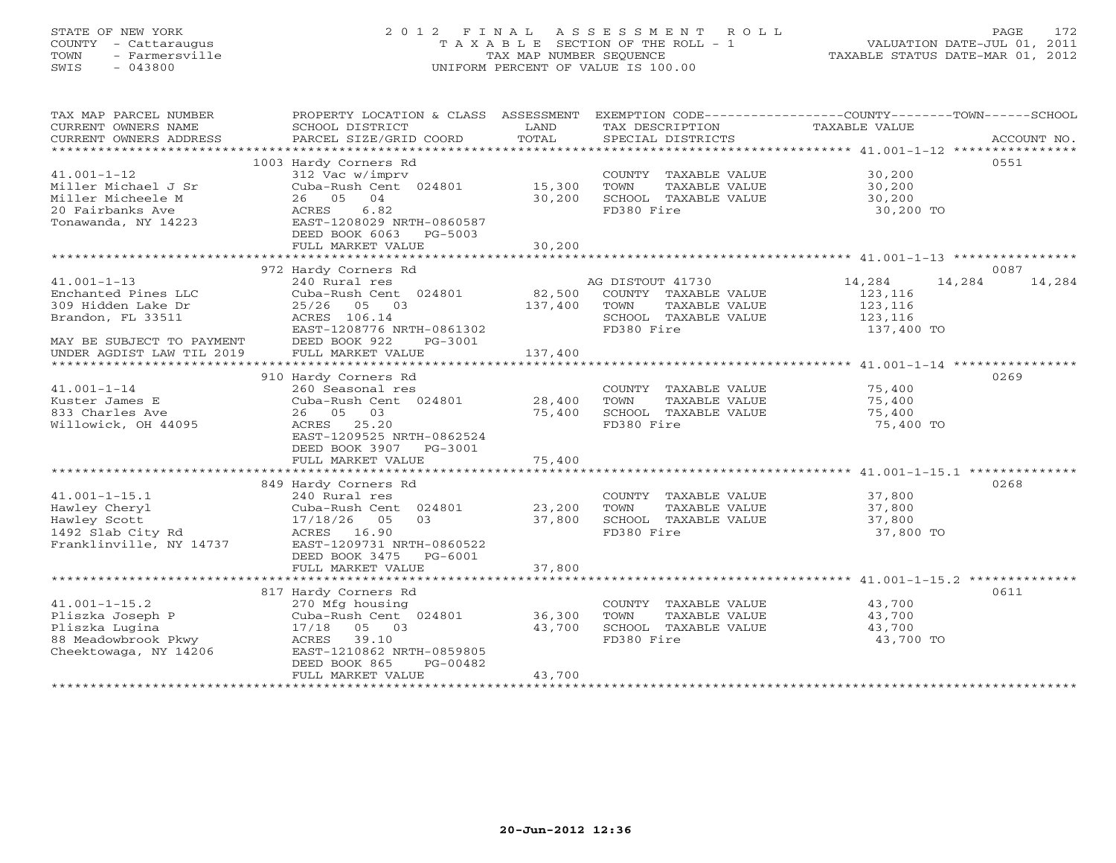# STATE OF NEW YORK 2 0 1 2 F I N A L A S S E S S M E N T R O L L PAGE 172 COUNTY - Cattaraugus T A X A B L E SECTION OF THE ROLL - 1 VALUATION DATE-JUL 01, 2011 TOWN - Farmersville TAX MAP NUMBER SEQUENCE TAXABLE STATUS DATE-MAR 01, 2012 SWIS - 043800 UNIFORM PERCENT OF VALUE IS 100.00UNIFORM PERCENT OF VALUE IS 100.00

| TAX MAP PARCEL NUMBER                        | PROPERTY LOCATION & CLASS ASSESSMENT     |         |                       | EXEMPTION CODE-----------------COUNTY-------TOWN------SCHOOL |             |
|----------------------------------------------|------------------------------------------|---------|-----------------------|--------------------------------------------------------------|-------------|
| CURRENT OWNERS NAME                          | SCHOOL DISTRICT                          | LAND    | TAX DESCRIPTION       | <b>TAXABLE VALUE</b>                                         |             |
| CURRENT OWNERS ADDRESS                       | PARCEL SIZE/GRID COORD                   | TOTAL   | SPECIAL DISTRICTS     |                                                              | ACCOUNT NO. |
|                                              |                                          |         |                       |                                                              |             |
|                                              | 1003 Hardy Corners Rd                    |         |                       |                                                              | 0551        |
| $41.001 - 1 - 12$                            | 312 Vac w/imprv                          |         | COUNTY TAXABLE VALUE  | 30,200                                                       |             |
| Miller Michael J Sr                          | Cuba-Rush Cent 024801                    | 15,300  | TOWN<br>TAXABLE VALUE | 30,200                                                       |             |
| Miller Micheele M                            | 04<br>26 05                              | 30,200  | SCHOOL TAXABLE VALUE  | 30,200                                                       |             |
| 20 Fairbanks Ave                             | ACRES<br>6.82                            |         | FD380 Fire            | 30,200 TO                                                    |             |
| Tonawanda, NY 14223                          | EAST-1208029 NRTH-0860587                |         |                       |                                                              |             |
|                                              | DEED BOOK 6063<br>PG-5003                |         |                       |                                                              |             |
|                                              | FULL MARKET VALUE                        | 30,200  |                       |                                                              |             |
|                                              |                                          |         |                       |                                                              |             |
|                                              | 972 Hardy Corners Rd                     |         |                       |                                                              | 0087        |
| $41.001 - 1 - 13$                            | 240 Rural res                            |         | AG DISTOUT 41730      | 14,284<br>14,284                                             | 14,284      |
| Enchanted Pines LLC                          | Cuba-Rush Cent 024801                    | 82,500  | COUNTY TAXABLE VALUE  | 123,116                                                      |             |
| 309 Hidden Lake Dr                           | 25/26<br>05 03                           | 137,400 | TOWN<br>TAXABLE VALUE | 123,116                                                      |             |
| Brandon, FL 33511                            | ACRES 106.14                             |         | SCHOOL TAXABLE VALUE  | 123,116                                                      |             |
|                                              | EAST-1208776 NRTH-0861302                |         | FD380 Fire            | 137,400 TO                                                   |             |
| MAY BE SUBJECT TO PAYMENT                    | DEED BOOK 922<br>PG-3001                 |         |                       |                                                              |             |
| UNDER AGDIST LAW TIL 2019                    | FULL MARKET VALUE                        | 137,400 |                       |                                                              |             |
|                                              |                                          |         |                       |                                                              |             |
|                                              | 910 Hardy Corners Rd                     |         |                       |                                                              | 0269        |
| $41.001 - 1 - 14$                            | 260 Seasonal res                         |         | COUNTY TAXABLE VALUE  | 75,400                                                       |             |
| Kuster James E                               | Cuba-Rush Cent 024801                    | 28,400  | TAXABLE VALUE<br>TOWN | 75,400                                                       |             |
| 833 Charles Ave                              | 26 05 03                                 | 75,400  | SCHOOL TAXABLE VALUE  | 75,400                                                       |             |
| Willowick, OH 44095                          | ACRES 25.20                              |         | FD380 Fire            | 75,400 TO                                                    |             |
|                                              | EAST-1209525 NRTH-0862524                |         |                       |                                                              |             |
|                                              | DEED BOOK 3907 PG-3001                   |         |                       |                                                              |             |
|                                              | FULL MARKET VALUE                        | 75,400  |                       |                                                              |             |
|                                              |                                          |         |                       |                                                              |             |
|                                              | 849 Hardy Corners Rd                     |         |                       |                                                              | 0268        |
| $41.001 - 1 - 15.1$                          | 240 Rural res                            |         | COUNTY TAXABLE VALUE  | 37,800                                                       |             |
| Hawley Cheryl                                | Cuba-Rush Cent 024801                    | 23,200  | TOWN<br>TAXABLE VALUE | 37,800                                                       |             |
| Hawley Scott                                 | 17/18/26 05<br>0.3                       | 37,800  | SCHOOL TAXABLE VALUE  | 37,800                                                       |             |
| 1492 Slab City Rd<br>Franklinville, NY 14737 | ACRES 16.90<br>EAST-1209731 NRTH-0860522 |         | FD380 Fire            | 37,800 TO                                                    |             |
|                                              | DEED BOOK 3475                           |         |                       |                                                              |             |
|                                              | PG-6001<br>FULL MARKET VALUE             | 37,800  |                       |                                                              |             |
|                                              |                                          |         |                       |                                                              |             |
|                                              | 817 Hardy Corners Rd                     |         |                       |                                                              | 0611        |
| $41.001 - 1 - 15.2$                          | 270 Mfg housing                          |         | COUNTY TAXABLE VALUE  | 43,700                                                       |             |
| Pliszka Joseph P                             | Cuba-Rush Cent 024801                    | 36,300  | TOWN<br>TAXABLE VALUE | 43,700                                                       |             |
| Pliszka Lugina                               | 17/18<br>05 03                           | 43,700  | SCHOOL TAXABLE VALUE  | 43,700                                                       |             |
| 88 Meadowbrook Pkwy                          | ACRES 39.10                              |         | FD380 Fire            | 43,700 TO                                                    |             |
| Cheektowaga, NY 14206                        | EAST-1210862 NRTH-0859805                |         |                       |                                                              |             |
|                                              | DEED BOOK 865<br>PG-00482                |         |                       |                                                              |             |
|                                              | FULL MARKET VALUE                        | 43,700  |                       |                                                              |             |
|                                              |                                          |         |                       |                                                              |             |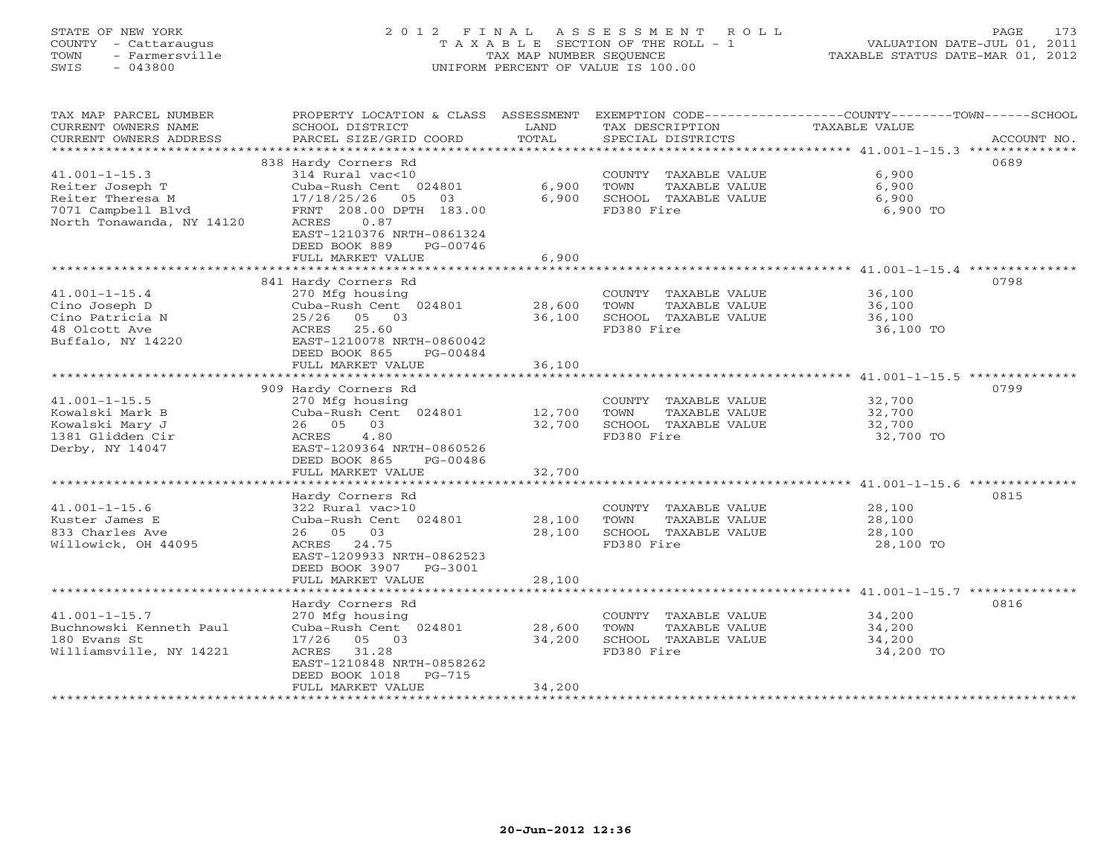# STATE OF NEW YORK 2 0 1 2 F I N A L A S S E S S M E N T R O L L PAGE 173 COUNTY - Cattaraugus T A X A B L E SECTION OF THE ROLL - 1 VALUATION DATE-JUL 01, 2011 TOWN - Farmersville TAX MAP NUMBER SEQUENCE TAXABLE STATUS DATE-MAR 01, 2012 SWIS - 043800 UNIFORM PERCENT OF VALUE IS 100.00UNIFORM PERCENT OF VALUE IS 100.00

| TAX MAP PARCEL NUMBER<br>CURRENT OWNERS NAME<br>CURRENT OWNERS ADDRESS | PROPERTY LOCATION & CLASS ASSESSMENT<br>SCHOOL DISTRICT<br>PARCEL SIZE/GRID COORD                                       | LAND<br>TOTAL | TAX DESCRIPTION<br>SPECIAL DISTRICTS | EXEMPTION CODE-----------------COUNTY-------TOWN-----SCHOOL<br>TAXABLE VALUE<br>ACCOUNT NO. |
|------------------------------------------------------------------------|-------------------------------------------------------------------------------------------------------------------------|---------------|--------------------------------------|---------------------------------------------------------------------------------------------|
| ***********************                                                |                                                                                                                         |               |                                      |                                                                                             |
|                                                                        | 838 Hardy Corners Rd                                                                                                    |               |                                      | 0689                                                                                        |
| $41.001 - 1 - 15.3$                                                    | 314 Rural vac<10                                                                                                        |               | COUNTY TAXABLE VALUE                 | 6,900                                                                                       |
| Reiter Joseph T                                                        | Cuba-Rush Cent 024801                                                                                                   | 6,900         | TOWN<br>TAXABLE VALUE                | 6,900                                                                                       |
| Reiter Theresa M                                                       | 17/18/25/26<br>05<br>03                                                                                                 | 6,900         | SCHOOL TAXABLE VALUE                 | 6,900                                                                                       |
| 7071 Campbell Blvd<br>North Tonawanda, NY 14120                        | FRNT 208.00 DPTH 183.00<br>0.87<br>ACRES<br>EAST-1210376 NRTH-0861324<br>DEED BOOK 889<br>PG-00746<br>FULL MARKET VALUE | 6,900         | FD380 Fire                           | 6,900 TO                                                                                    |
|                                                                        |                                                                                                                         |               |                                      |                                                                                             |
|                                                                        | 841 Hardy Corners Rd                                                                                                    |               |                                      | 0798                                                                                        |
| $41.001 - 1 - 15.4$                                                    | 270 Mfg housing                                                                                                         |               | COUNTY TAXABLE VALUE                 | 36,100                                                                                      |
| Cino Joseph D                                                          | Cuba-Rush Cent 024801                                                                                                   | 28,600        | TOWN<br>TAXABLE VALUE                | 36,100                                                                                      |
| Cino Patricia N                                                        | 25/26 05 03                                                                                                             | 36,100        | SCHOOL TAXABLE VALUE                 | 36,100                                                                                      |
| 48 Olcott Ave                                                          | ACRES 25.60                                                                                                             |               | FD380 Fire                           | 36,100 TO                                                                                   |
| Buffalo, NY 14220                                                      | EAST-1210078 NRTH-0860042<br>DEED BOOK 865<br>PG-00484                                                                  |               |                                      |                                                                                             |
|                                                                        | FULL MARKET VALUE                                                                                                       | 36,100        |                                      |                                                                                             |
|                                                                        |                                                                                                                         |               |                                      |                                                                                             |
|                                                                        | 909 Hardy Corners Rd                                                                                                    |               |                                      | 0799                                                                                        |
| $41.001 - 1 - 15.5$                                                    | 270 Mfg housing                                                                                                         |               | COUNTY TAXABLE VALUE                 | 32,700                                                                                      |
| Kowalski Mark B                                                        | Cuba-Rush Cent 024801                                                                                                   | 12,700        | TAXABLE VALUE<br>TOWN                | 32,700                                                                                      |
| Kowalski Mary J                                                        | 26 05 03                                                                                                                | 32,700        | SCHOOL TAXABLE VALUE                 | 32,700                                                                                      |
| 1381 Glidden Cir                                                       | 4.80<br>ACRES                                                                                                           |               | FD380 Fire                           | 32,700 TO                                                                                   |
| Derby, NY 14047                                                        | EAST-1209364 NRTH-0860526<br>DEED BOOK 865<br>PG-00486                                                                  |               |                                      |                                                                                             |
|                                                                        | FULL MARKET VALUE                                                                                                       | 32,700        |                                      |                                                                                             |
|                                                                        |                                                                                                                         |               |                                      |                                                                                             |
|                                                                        | Hardy Corners Rd                                                                                                        |               |                                      | 0815                                                                                        |
| $41.001 - 1 - 15.6$                                                    | 322 Rural vac>10                                                                                                        |               | COUNTY TAXABLE VALUE                 | 28,100                                                                                      |
| Kuster James E                                                         | Cuba-Rush Cent 024801                                                                                                   | 28,100        | TOWN<br>TAXABLE VALUE                | 28,100                                                                                      |
| 833 Charles Ave                                                        | 26 05 03                                                                                                                | 28,100        | SCHOOL TAXABLE VALUE                 | 28,100                                                                                      |
| Willowick, OH 44095                                                    | ACRES 24.75<br>EAST-1209933 NRTH-0862523                                                                                |               | FD380 Fire                           | 28,100 TO                                                                                   |
|                                                                        | DEED BOOK 3907 PG-3001                                                                                                  |               |                                      |                                                                                             |
|                                                                        | FULL MARKET VALUE                                                                                                       | 28,100        |                                      |                                                                                             |
|                                                                        |                                                                                                                         |               |                                      |                                                                                             |
|                                                                        | Hardy Corners Rd                                                                                                        |               |                                      | 0816                                                                                        |
| $41.001 - 1 - 15.7$                                                    | 270 Mfg housing                                                                                                         |               | COUNTY TAXABLE VALUE                 | 34,200                                                                                      |
| Buchnowski Kenneth Paul                                                | Cuba-Rush Cent 024801                                                                                                   | 28,600        | TOWN<br>TAXABLE VALUE                | 34,200                                                                                      |
| 180 Evans St                                                           | $17/26$ 05 03                                                                                                           | 34,200        | SCHOOL TAXABLE VALUE                 | 34,200                                                                                      |
| Williamsville, NY 14221                                                | 31.28<br>ACRES<br>EAST-1210848 NRTH-0858262                                                                             |               | FD380 Fire                           | 34,200 TO                                                                                   |
|                                                                        | DEED BOOK 1018<br>PG-715                                                                                                |               |                                      |                                                                                             |
|                                                                        | FULL MARKET VALUE                                                                                                       | 34,200        |                                      |                                                                                             |
| *******************                                                    |                                                                                                                         |               |                                      |                                                                                             |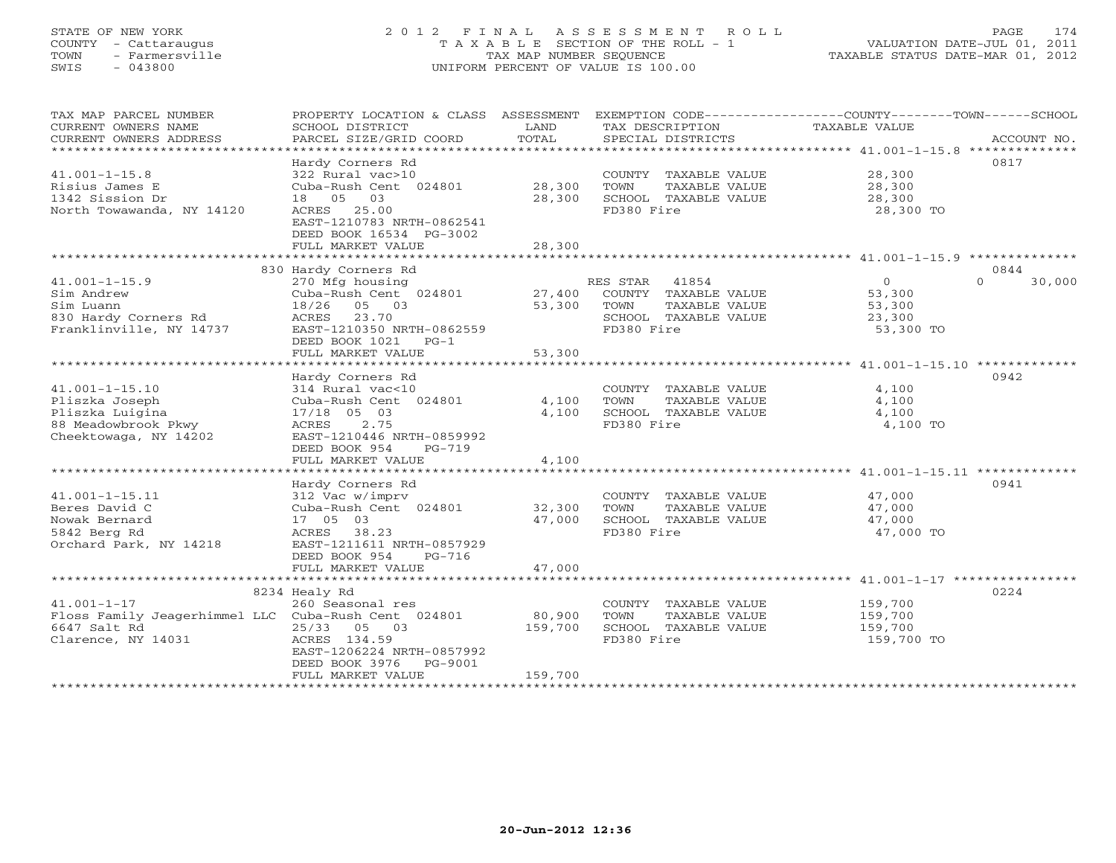# STATE OF NEW YORK 2 0 1 2 F I N A L A S S E S S M E N T R O L L PAGE 174 COUNTY - Cattaraugus T A X A B L E SECTION OF THE ROLL - 1 VALUATION DATE-JUL 01, 2011 TOWN - Farmersville TAX MAP NUMBER SEQUENCE TAXABLE STATUS DATE-MAR 01, 2012 SWIS - 043800 UNIFORM PERCENT OF VALUE IS 100.00UNIFORM PERCENT OF VALUE IS 100.00

| TAX MAP PARCEL NUMBER<br>CURRENT OWNERS NAME<br>CURRENT OWNERS ADDRESS                                         | PROPERTY LOCATION & CLASS ASSESSMENT<br>SCHOOL DISTRICT<br>PARCEL SIZE/GRID COORD                                                                                       | LAND<br>TOTAL                | TAX DESCRIPTION<br>SPECIAL DISTRICTS                                                                     | EXEMPTION CODE-----------------COUNTY-------TOWN------SCHOOL<br>TAXABLE VALUE<br>ACCOUNT NO. |
|----------------------------------------------------------------------------------------------------------------|-------------------------------------------------------------------------------------------------------------------------------------------------------------------------|------------------------------|----------------------------------------------------------------------------------------------------------|----------------------------------------------------------------------------------------------|
| $41.001 - 1 - 15.8$<br>Risius James E<br>1342 Sission Dr<br>North Towawanda, NY 14120                          | Hardy Corners Rd<br>322 Rural vac>10<br>Cuba-Rush Cent 024801<br>18  05  03<br>ACRES 25.00<br>EAST-1210783 NRTH-0862541<br>DEED BOOK 16534 PG-3002<br>FULL MARKET VALUE | 28,300<br>28,300<br>28,300   | COUNTY TAXABLE VALUE<br>TOWN<br>TAXABLE VALUE<br>SCHOOL TAXABLE VALUE<br>FD380 Fire                      | 0817<br>28,300<br>28,300<br>28,300<br>28,300 TO                                              |
|                                                                                                                | 830 Hardy Corners Rd                                                                                                                                                    |                              |                                                                                                          | 0844                                                                                         |
| $41.001 - 1 - 15.9$<br>Sim Andrew<br>Sim Luann<br>830 Hardy Corners Rd<br>Franklinville, NY 14737              | 270 Mfg housing<br>Cuba-Rush Cent 024801<br>18/26<br>05 03<br>ACRES<br>23.70<br>EAST-1210350 NRTH-0862559<br>DEED BOOK 1021<br>$PG-1$<br>FULL MARKET VALUE              | 27,400<br>53,300<br>53,300   | RES STAR<br>41854<br>COUNTY TAXABLE VALUE<br>TOWN<br>TAXABLE VALUE<br>SCHOOL TAXABLE VALUE<br>FD380 Fire | $\overline{O}$<br>$\Omega$<br>30,000<br>53,300<br>53,300<br>23,300<br>53,300 TO              |
|                                                                                                                |                                                                                                                                                                         |                              |                                                                                                          | ************************ 41.001-1-15.10 *************                                        |
| $41.001 - 1 - 15.10$<br>Pliszka Joseph<br>Pliszka Luigina<br>88 Meadowbrook Pkwy<br>Cheektowaga, NY 14202      | Hardy Corners Rd<br>314 Rural vac<10<br>Cuba-Rush Cent 024801<br>17/18 05 03<br>2.75<br>ACRES<br>EAST-1210446 NRTH-0859992<br>DEED BOOK 954<br>$PG-719$                 | 4,100<br>4,100               | COUNTY TAXABLE VALUE<br>TOWN<br>TAXABLE VALUE<br>SCHOOL TAXABLE VALUE<br>FD380 Fire                      | 0942<br>4,100<br>4,100<br>4,100<br>4,100 TO                                                  |
|                                                                                                                | FULL MARKET VALUE                                                                                                                                                       | 4,100                        |                                                                                                          |                                                                                              |
|                                                                                                                | Hardy Corners Rd                                                                                                                                                        |                              |                                                                                                          | 0941                                                                                         |
| $41.001 - 1 - 15.11$<br>Beres David C<br>Nowak Bernard<br>5842 Berg Rd<br>Orchard Park, NY 14218               | 312 Vac w/imprv<br>Cuba-Rush Cent 024801<br>17 05 03<br>38.23<br>ACRES<br>EAST-1211611 NRTH-0857929<br>DEED BOOK 954<br>PG-716                                          | 32,300<br>47,000             | COUNTY TAXABLE VALUE<br>TOWN<br>TAXABLE VALUE<br>SCHOOL TAXABLE VALUE<br>FD380 Fire                      | 47,000<br>47,000<br>47,000<br>47,000 TO                                                      |
|                                                                                                                | FULL MARKET VALUE                                                                                                                                                       | 47,000                       |                                                                                                          |                                                                                              |
| $41.001 - 1 - 17$<br>Floss Family Jeagerhimmel LLC Cuba-Rush Cent 024801<br>6647 Salt Rd<br>Clarence, NY 14031 | 8234 Healy Rd<br>260 Seasonal res<br>25/33<br>05 03<br>ACRES 134.59<br>EAST-1206224 NRTH-0857992<br>DEED BOOK 3976<br>PG-9001<br>FULL MARKET VALUE                      | 80,900<br>159,700<br>159,700 | COUNTY TAXABLE VALUE<br>TOWN<br>TAXABLE VALUE<br>SCHOOL TAXABLE VALUE<br>FD380 Fire                      | 0224<br>159,700<br>159,700<br>159,700<br>159,700 TO                                          |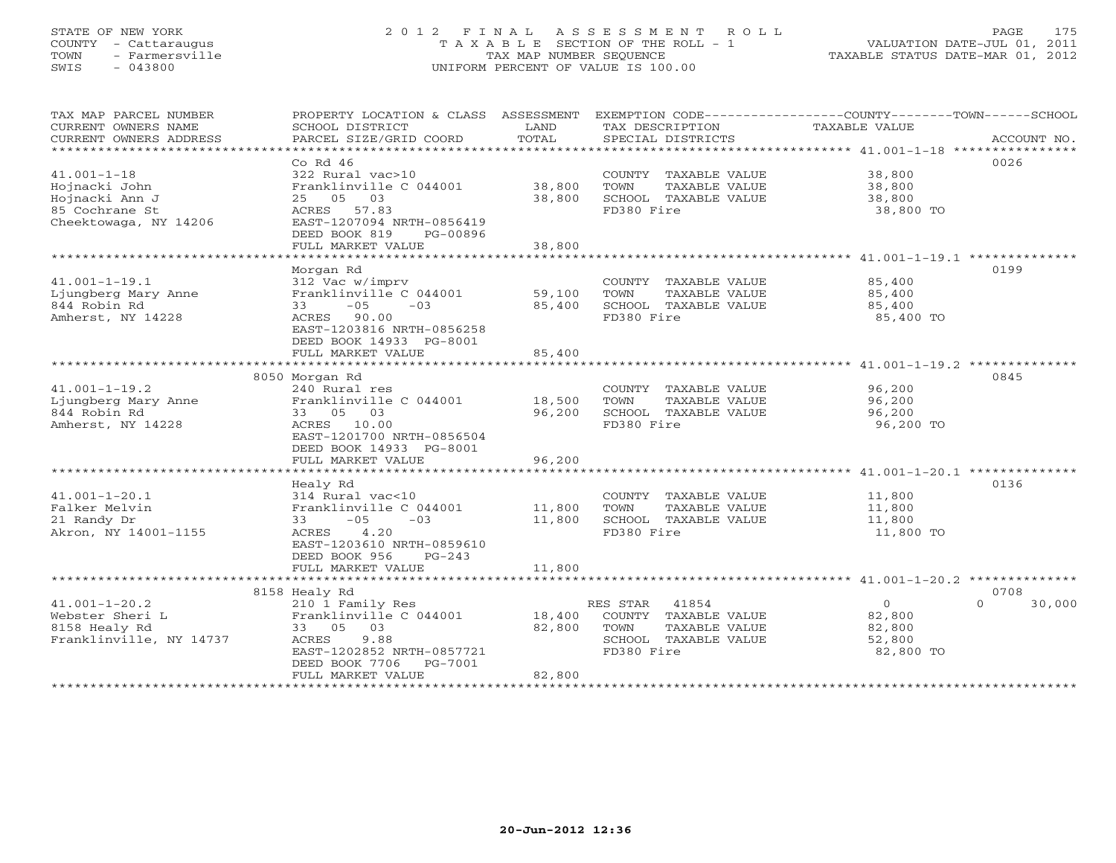## STATE OF NEW YORK 2 0 1 2 F I N A L A S S E S S M E N T R O L L PAGE 175 COUNTY - Cattaraugus T A X A B L E SECTION OF THE ROLL - 1 VALUATION DATE-JUL 01, 2011 TOWN - Farmersville TAX MAP NUMBER SEQUENCE TAXABLE STATUS DATE-MAR 01, 2012 SWIS - 043800 UNIFORM PERCENT OF VALUE IS 100.00UNIFORM PERCENT OF VALUE IS 100.00

| TAX MAP PARCEL NUMBER<br>CURRENT OWNERS NAME<br>CURRENT OWNERS ADDRESS | PROPERTY LOCATION & CLASS ASSESSMENT<br>SCHOOL DISTRICT<br>PARCEL SIZE/GRID COORD | LAND<br>TOTAL | TAX DESCRIPTION<br>SPECIAL DISTRICTS | EXEMPTION CODE-----------------COUNTY-------TOWN------SCHOOL<br>TAXABLE VALUE | ACCOUNT NO. |
|------------------------------------------------------------------------|-----------------------------------------------------------------------------------|---------------|--------------------------------------|-------------------------------------------------------------------------------|-------------|
|                                                                        |                                                                                   |               |                                      |                                                                               |             |
|                                                                        | $Co$ Rd $46$                                                                      |               |                                      |                                                                               | 0026        |
| $41.001 - 1 - 18$                                                      | 322 Rural vac>10                                                                  |               | COUNTY TAXABLE VALUE                 | 38,800                                                                        |             |
| Hojnacki John                                                          | Franklinville C 044001                                                            | 38,800        | TOWN<br>TAXABLE VALUE                | 38,800                                                                        |             |
| Hojnacki Ann J                                                         | 25 05 03                                                                          | 38,800        | SCHOOL TAXABLE VALUE                 | 38,800                                                                        |             |
| 85 Cochrane St                                                         | ACRES 57.83                                                                       |               | FD380 Fire                           | 38,800 TO                                                                     |             |
| Cheektowaga, NY 14206                                                  | EAST-1207094 NRTH-0856419                                                         |               |                                      |                                                                               |             |
|                                                                        | DEED BOOK 819<br>PG-00896                                                         |               |                                      |                                                                               |             |
|                                                                        | FULL MARKET VALUE                                                                 | 38,800        |                                      |                                                                               |             |
| ************************                                               |                                                                                   |               |                                      |                                                                               |             |
|                                                                        | Morgan Rd                                                                         |               |                                      |                                                                               | 0199        |
| $41.001 - 1 - 19.1$                                                    | 312 Vac w/imprv                                                                   |               | COUNTY TAXABLE VALUE                 | 85,400                                                                        |             |
| Ljungberg Mary Anne                                                    | Franklinville C 044001                                                            | 59,100        | TOWN<br>TAXABLE VALUE                | 85,400                                                                        |             |
| 844 Robin Rd                                                           | $-05$<br>33<br>$-03$                                                              | 85,400        | SCHOOL TAXABLE VALUE                 | 85,400                                                                        |             |
| Amherst, NY 14228                                                      | ACRES 90.00                                                                       |               | FD380 Fire                           | 85,400 TO                                                                     |             |
|                                                                        | EAST-1203816 NRTH-0856258                                                         |               |                                      |                                                                               |             |
|                                                                        | DEED BOOK 14933 PG-8001                                                           |               |                                      |                                                                               |             |
|                                                                        | FULL MARKET VALUE                                                                 | 85,400        |                                      |                                                                               |             |
|                                                                        |                                                                                   |               |                                      |                                                                               |             |
|                                                                        | 8050 Morgan Rd                                                                    |               |                                      |                                                                               | 0845        |
| $41.001 - 1 - 19.2$                                                    | 240 Rural res                                                                     |               |                                      | 96,200                                                                        |             |
|                                                                        |                                                                                   |               | COUNTY TAXABLE VALUE                 |                                                                               |             |
| Ljungberg Mary Anne<br>844 Robin Rd                                    | Franklinville C 044001                                                            | 18,500        | TOWN<br>TAXABLE VALUE                | 96,200                                                                        |             |
|                                                                        | 33 05<br>03                                                                       | 96,200        | SCHOOL TAXABLE VALUE                 | 96,200                                                                        |             |
| Amherst, NY 14228                                                      | ACRES 10.00                                                                       |               | FD380 Fire                           | 96,200 TO                                                                     |             |
|                                                                        | EAST-1201700 NRTH-0856504                                                         |               |                                      |                                                                               |             |
|                                                                        | DEED BOOK 14933 PG-8001                                                           |               |                                      |                                                                               |             |
|                                                                        | FULL MARKET VALUE                                                                 | 96,200        |                                      |                                                                               |             |
|                                                                        |                                                                                   |               |                                      |                                                                               |             |
|                                                                        | Healy Rd                                                                          |               |                                      |                                                                               | 0136        |
| $41.001 - 1 - 20.1$                                                    | 314 Rural vac<10                                                                  |               | COUNTY TAXABLE VALUE                 | 11,800                                                                        |             |
| Falker Melvin                                                          | Franklinville C 044001                                                            | 11,800        | TOWN<br>TAXABLE VALUE                | 11,800                                                                        |             |
| 21 Randy Dr                                                            | $-05$<br>33<br>$-03$                                                              | 11,800        | SCHOOL TAXABLE VALUE                 | 11,800                                                                        |             |
| Akron, NY 14001-1155                                                   | 4.20<br>ACRES                                                                     |               | FD380 Fire                           | 11,800 TO                                                                     |             |
|                                                                        | EAST-1203610 NRTH-0859610                                                         |               |                                      |                                                                               |             |
|                                                                        | DEED BOOK 956<br>$PG-243$                                                         |               |                                      |                                                                               |             |
|                                                                        | FULL MARKET VALUE                                                                 | 11,800        |                                      |                                                                               |             |
|                                                                        |                                                                                   |               |                                      |                                                                               |             |
|                                                                        | 8158 Healy Rd                                                                     |               |                                      |                                                                               | 0708        |
| $41.001 - 1 - 20.2$                                                    | 210 1 Family Res                                                                  |               | RES STAR 41854                       | $\circ$<br>$\Omega$                                                           | 30,000      |
| Webster Sheri L                                                        | Franklinville C 044001                                                            | 18,400        | COUNTY TAXABLE VALUE                 | 82,800                                                                        |             |
| 8158 Healy Rd                                                          | 33 05 03                                                                          | 82,800        | TOWN<br>TAXABLE VALUE                | 82,800                                                                        |             |
| Franklinville, NY 14737                                                | 9.88<br>ACRES                                                                     |               | SCHOOL TAXABLE VALUE                 | 52,800                                                                        |             |
|                                                                        | EAST-1202852 NRTH-0857721                                                         |               | FD380 Fire                           | 82,800 TO                                                                     |             |
|                                                                        | DEED BOOK 7706<br>PG-7001                                                         |               |                                      |                                                                               |             |
|                                                                        | FULL MARKET VALUE                                                                 | 82,800        |                                      |                                                                               |             |
|                                                                        | ************************                                                          |               |                                      |                                                                               |             |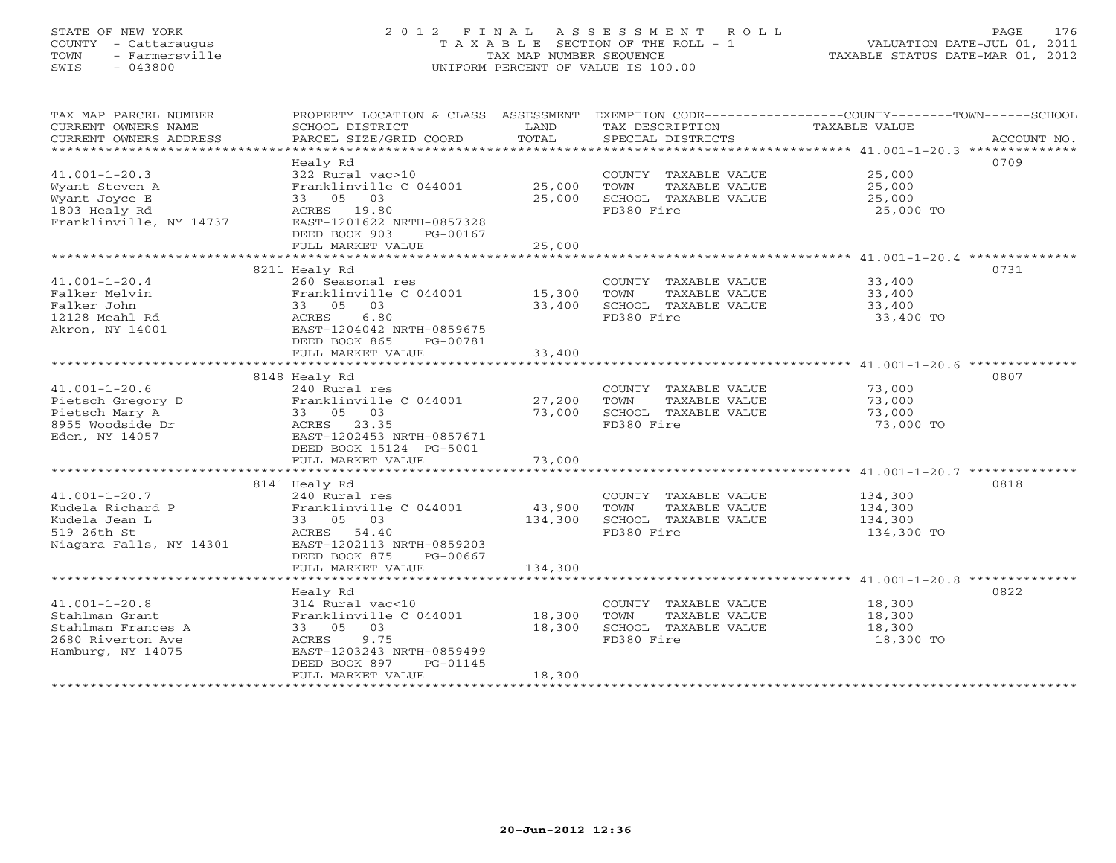# STATE OF NEW YORK 2 0 1 2 F I N A L A S S E S S M E N T R O L L PAGE 176 COUNTY - Cattaraugus T A X A B L E SECTION OF THE ROLL - 1 VALUATION DATE-JUL 01, 2011 TOWN - Farmersville TAX MAP NUMBER SEQUENCE TAXABLE STATUS DATE-MAR 01, 2012 SWIS - 043800 UNIFORM PERCENT OF VALUE IS 100.00UNIFORM PERCENT OF VALUE IS 100.00

| TAX MAP PARCEL NUMBER<br>CURRENT OWNERS NAME | PROPERTY LOCATION & CLASS ASSESSMENT<br>SCHOOL DISTRICT | LAND             | TAX DESCRIPTION                               | EXEMPTION CODE-----------------COUNTY-------TOWN------SCHOOL<br>TAXABLE VALUE |             |
|----------------------------------------------|---------------------------------------------------------|------------------|-----------------------------------------------|-------------------------------------------------------------------------------|-------------|
| CURRENT OWNERS ADDRESS                       | PARCEL SIZE/GRID COORD                                  | TOTAL            | SPECIAL DISTRICTS                             |                                                                               | ACCOUNT NO. |
|                                              |                                                         |                  |                                               |                                                                               |             |
|                                              | Healy Rd                                                |                  |                                               | 0709                                                                          |             |
| $41.001 - 1 - 20.3$                          | 322 Rural vac>10                                        |                  | COUNTY TAXABLE VALUE                          | 25,000                                                                        |             |
| Wyant Steven A                               | Franklinville C 044001                                  | 25,000           | TOWN<br>TAXABLE VALUE                         | 25,000                                                                        |             |
| Wyant Joyce E                                | 33 05 03                                                | 25,000           | SCHOOL TAXABLE VALUE                          | 25,000                                                                        |             |
| 1803 Healy Rd                                | ACRES 19.80                                             |                  | FD380 Fire                                    | 25,000 TO                                                                     |             |
| Franklinville, NY 14737                      | EAST-1201622 NRTH-0857328                               |                  |                                               |                                                                               |             |
|                                              | DEED BOOK 903<br>PG-00167                               |                  |                                               |                                                                               |             |
|                                              | FULL MARKET VALUE                                       | 25,000           |                                               |                                                                               |             |
|                                              |                                                         |                  |                                               |                                                                               |             |
|                                              | 8211 Healy Rd                                           |                  |                                               | 0731                                                                          |             |
| $41.001 - 1 - 20.4$                          | 260 Seasonal res                                        |                  | COUNTY TAXABLE VALUE                          | 33,400                                                                        |             |
| Falker Melvin<br>Falker John                 | Franklinville C 044001                                  | 15,300<br>33,400 | TOWN<br>TAXABLE VALUE<br>SCHOOL TAXABLE VALUE | 33,400                                                                        |             |
| 12128 Meahl Rd                               | 33 05 03<br>6.80<br>ACRES                               |                  | FD380 Fire                                    | 33,400                                                                        |             |
| Akron, NY 14001                              | EAST-1204042 NRTH-0859675                               |                  |                                               | 33,400 TO                                                                     |             |
|                                              | DEED BOOK 865<br>PG-00781                               |                  |                                               |                                                                               |             |
|                                              | FULL MARKET VALUE                                       | 33,400           |                                               |                                                                               |             |
|                                              |                                                         |                  |                                               |                                                                               |             |
|                                              | 8148 Healy Rd                                           |                  |                                               | 0807                                                                          |             |
| $41.001 - 1 - 20.6$                          | 240 Rural res                                           |                  | COUNTY TAXABLE VALUE                          | 73,000                                                                        |             |
| Pietsch Gregory D                            | Franklinville C 044001                                  | 27,200           | TOWN<br>TAXABLE VALUE                         | 73,000                                                                        |             |
| Pietsch Mary A                               | 33 05 03                                                | 73,000           | SCHOOL TAXABLE VALUE                          | 73,000                                                                        |             |
| 8955 Woodside Dr                             | ACRES 23.35                                             |                  | FD380 Fire                                    | 73,000 TO                                                                     |             |
| Eden, NY 14057                               | EAST-1202453 NRTH-0857671                               |                  |                                               |                                                                               |             |
|                                              | DEED BOOK 15124 PG-5001                                 |                  |                                               |                                                                               |             |
|                                              | FULL MARKET VALUE                                       | 73,000           |                                               |                                                                               |             |
|                                              |                                                         |                  |                                               |                                                                               |             |
|                                              | 8141 Healy Rd                                           |                  |                                               | 0818                                                                          |             |
| $41.001 - 1 - 20.7$                          | 240 Rural res                                           |                  | COUNTY TAXABLE VALUE                          | 134,300                                                                       |             |
| Kudela Richard P                             | Franklinville C 044001                                  | 43,900           | TOWN<br>TAXABLE VALUE                         | 134,300                                                                       |             |
| Kudela Jean L                                | 33 05 03                                                | 134,300          | SCHOOL TAXABLE VALUE                          | 134,300                                                                       |             |
| 519 26th St                                  | ACRES 54.40                                             |                  | FD380 Fire                                    | 134,300 TO                                                                    |             |
| Niagara Falls, NY 14301                      | EAST-1202113 NRTH-0859203                               |                  |                                               |                                                                               |             |
|                                              | DEED BOOK 875<br>PG-00667                               |                  |                                               |                                                                               |             |
|                                              | FULL MARKET VALUE                                       | 134,300          |                                               |                                                                               |             |
|                                              |                                                         |                  |                                               |                                                                               |             |
|                                              | Healy Rd                                                |                  |                                               | 0822                                                                          |             |
| $41.001 - 1 - 20.8$                          | 314 Rural vac<10                                        |                  | COUNTY TAXABLE VALUE                          | 18,300                                                                        |             |
| Stahlman Grant<br>Stahlman Frances A         | Franklinville C 044001<br>33 05 03                      | 18,300<br>18,300 | TOWN<br>TAXABLE VALUE<br>SCHOOL TAXABLE VALUE | 18,300<br>18,300                                                              |             |
| 2680 Riverton Ave                            | ACRES<br>9.75                                           |                  | FD380 Fire                                    | 18,300 TO                                                                     |             |
| Hamburg, NY 14075                            | EAST-1203243 NRTH-0859499                               |                  |                                               |                                                                               |             |
|                                              | DEED BOOK 897<br>PG-01145                               |                  |                                               |                                                                               |             |
|                                              | FULL MARKET VALUE                                       | 18,300           |                                               |                                                                               |             |
|                                              |                                                         |                  |                                               |                                                                               |             |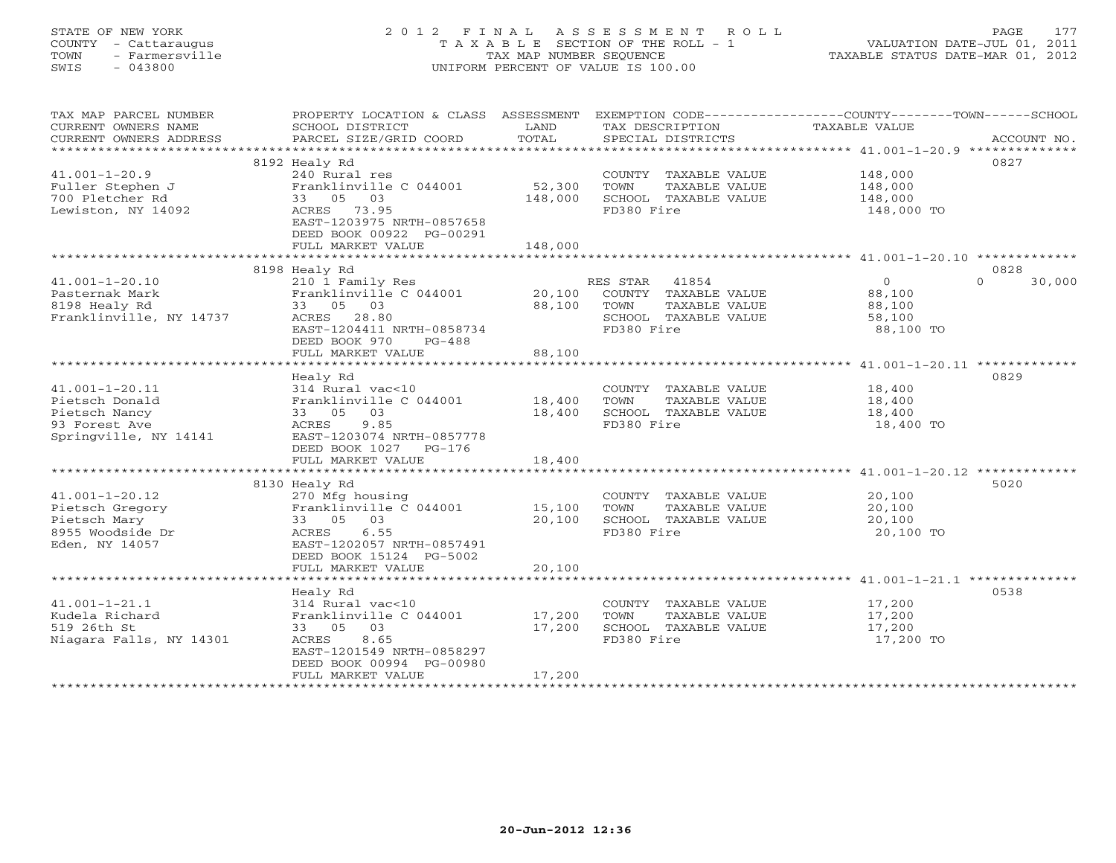# STATE OF NEW YORK 2 0 1 2 F I N A L A S S E S S M E N T R O L L PAGE 177 COUNTY - Cattaraugus T A X A B L E SECTION OF THE ROLL - 1 VALUATION DATE-JUL 01, 2011 TOWN - Farmersville TAX MAP NUMBER SEQUENCE TAXABLE STATUS DATE-MAR 01, 2012 SWIS - 043800 UNIFORM PERCENT OF VALUE IS 100.00UNIFORM PERCENT OF VALUE IS 100.00

| TAX MAP PARCEL NUMBER<br>CURRENT OWNERS NAME<br>CURRENT OWNERS ADDRESS           | PROPERTY LOCATION & CLASS ASSESSMENT<br>SCHOOL DISTRICT<br>PARCEL SIZE/GRID COORD   | LAND<br>TOTAL     | TAX DESCRIPTION<br>SPECIAL DISTRICTS                                                | EXEMPTION CODE-----------------COUNTY-------TOWN-----SCHOOL<br>TAXABLE VALUE | ACCOUNT NO.        |
|----------------------------------------------------------------------------------|-------------------------------------------------------------------------------------|-------------------|-------------------------------------------------------------------------------------|------------------------------------------------------------------------------|--------------------|
|                                                                                  |                                                                                     |                   |                                                                                     |                                                                              | 0827               |
| $41.001 - 1 - 20.9$<br>Fuller Stephen J<br>700 Pletcher Rd<br>Lewiston, NY 14092 | 8192 Healy Rd<br>240 Rural res<br>Franklinville C 044001<br>33 05 03<br>ACRES 73.95 | 52,300<br>148,000 | COUNTY TAXABLE VALUE<br>TOWN<br>TAXABLE VALUE<br>SCHOOL TAXABLE VALUE<br>FD380 Fire | 148,000<br>148,000<br>148,000<br>148,000 TO                                  |                    |
|                                                                                  | EAST-1203975 NRTH-0857658<br>DEED BOOK 00922 PG-00291<br>FULL MARKET VALUE          | 148,000           |                                                                                     |                                                                              |                    |
|                                                                                  |                                                                                     |                   |                                                                                     |                                                                              |                    |
|                                                                                  | 8198 Healy Rd                                                                       |                   |                                                                                     |                                                                              | 0828               |
| $41.001 - 1 - 20.10$                                                             | 210 1 Family Res                                                                    |                   | RES STAR 41854                                                                      | $\overline{0}$                                                               | 30,000<br>$\Omega$ |
| Pasternak Mark                                                                   | Franklinville C 044001                                                              | 20,100<br>88,100  | COUNTY TAXABLE VALUE<br>TAXABLE VALUE<br>TOWN                                       | 88,100                                                                       |                    |
| 8198 Healy Rd<br>Franklinville, NY 14737                                         | 33 05 03<br>ACRES 28.80                                                             |                   | SCHOOL TAXABLE VALUE                                                                | 88,100<br>58,100                                                             |                    |
|                                                                                  | EAST-1204411 NRTH-0858734                                                           |                   | FD380 Fire                                                                          | 88,100 TO                                                                    |                    |
|                                                                                  | DEED BOOK 970<br>PG-488                                                             |                   |                                                                                     |                                                                              |                    |
|                                                                                  | FULL MARKET VALUE                                                                   | 88,100            |                                                                                     |                                                                              |                    |
|                                                                                  |                                                                                     |                   |                                                                                     |                                                                              |                    |
|                                                                                  | Healy Rd                                                                            |                   |                                                                                     |                                                                              | 0829               |
| $41.001 - 1 - 20.11$                                                             | 314 Rural vac<10                                                                    |                   | COUNTY TAXABLE VALUE                                                                | 18,400                                                                       |                    |
| Pietsch Donald                                                                   | Franklinville C 044001                                                              | 18,400            | TOWN<br>TAXABLE VALUE                                                               | 18,400                                                                       |                    |
| Pietsch Nancy                                                                    | 33 05 03                                                                            | 18,400            | SCHOOL TAXABLE VALUE                                                                | 18,400                                                                       |                    |
| 93 Forest Ave                                                                    | ACRES<br>9.85                                                                       |                   | FD380 Fire                                                                          | 18,400 TO                                                                    |                    |
| Springville, NY 14141                                                            | EAST-1203074 NRTH-0857778                                                           |                   |                                                                                     |                                                                              |                    |
|                                                                                  | DEED BOOK 1027 PG-176                                                               |                   |                                                                                     |                                                                              |                    |
|                                                                                  | FULL MARKET VALUE                                                                   | 18,400            |                                                                                     |                                                                              |                    |
|                                                                                  |                                                                                     |                   |                                                                                     |                                                                              |                    |
|                                                                                  | 8130 Healy Rd                                                                       |                   |                                                                                     |                                                                              | 5020               |
| $41.001 - 1 - 20.12$                                                             | 270 Mfg housing                                                                     |                   | COUNTY TAXABLE VALUE                                                                | 20,100                                                                       |                    |
| Pietsch Gregory                                                                  | Franklinville $C$ 044001 15,100                                                     |                   | TOWN<br>TAXABLE VALUE                                                               | 20,100                                                                       |                    |
| Pietsch Mary                                                                     | 33 05 03                                                                            | 20,100            | SCHOOL TAXABLE VALUE                                                                | 20,100                                                                       |                    |
| 8955 Woodside Dr                                                                 | ACRES 6.55                                                                          |                   | FD380 Fire                                                                          | 20,100 TO                                                                    |                    |
| Eden, NY 14057                                                                   | EAST-1202057 NRTH-0857491                                                           |                   |                                                                                     |                                                                              |                    |
|                                                                                  | DEED BOOK 15124 PG-5002                                                             |                   |                                                                                     |                                                                              |                    |
|                                                                                  | FULL MARKET VALUE                                                                   | 20,100            |                                                                                     |                                                                              |                    |
|                                                                                  |                                                                                     |                   |                                                                                     |                                                                              |                    |
| $41.001 - 1 - 21.1$                                                              | Healy Rd                                                                            |                   | COUNTY TAXABLE VALUE                                                                | 17,200                                                                       | 0538               |
| Kudela Richard                                                                   | 314 Rural vac<10<br>Franklinville C 044001 17,200                                   |                   | TOWN                                                                                | 17,200                                                                       |                    |
| 519 26th St                                                                      | 33 05 03                                                                            | 17,200            | TAXABLE VALUE<br>SCHOOL TAXABLE VALUE                                               | 17,200                                                                       |                    |
| Niagara Falls, NY 14301                                                          | 8.65<br>ACRES                                                                       |                   | FD380 Fire                                                                          | 17,200 TO                                                                    |                    |
|                                                                                  | EAST-1201549 NRTH-0858297                                                           |                   |                                                                                     |                                                                              |                    |
|                                                                                  | DEED BOOK 00994 PG-00980                                                            |                   |                                                                                     |                                                                              |                    |
|                                                                                  | FULL MARKET VALUE                                                                   | 17,200            |                                                                                     |                                                                              |                    |
|                                                                                  |                                                                                     |                   |                                                                                     |                                                                              |                    |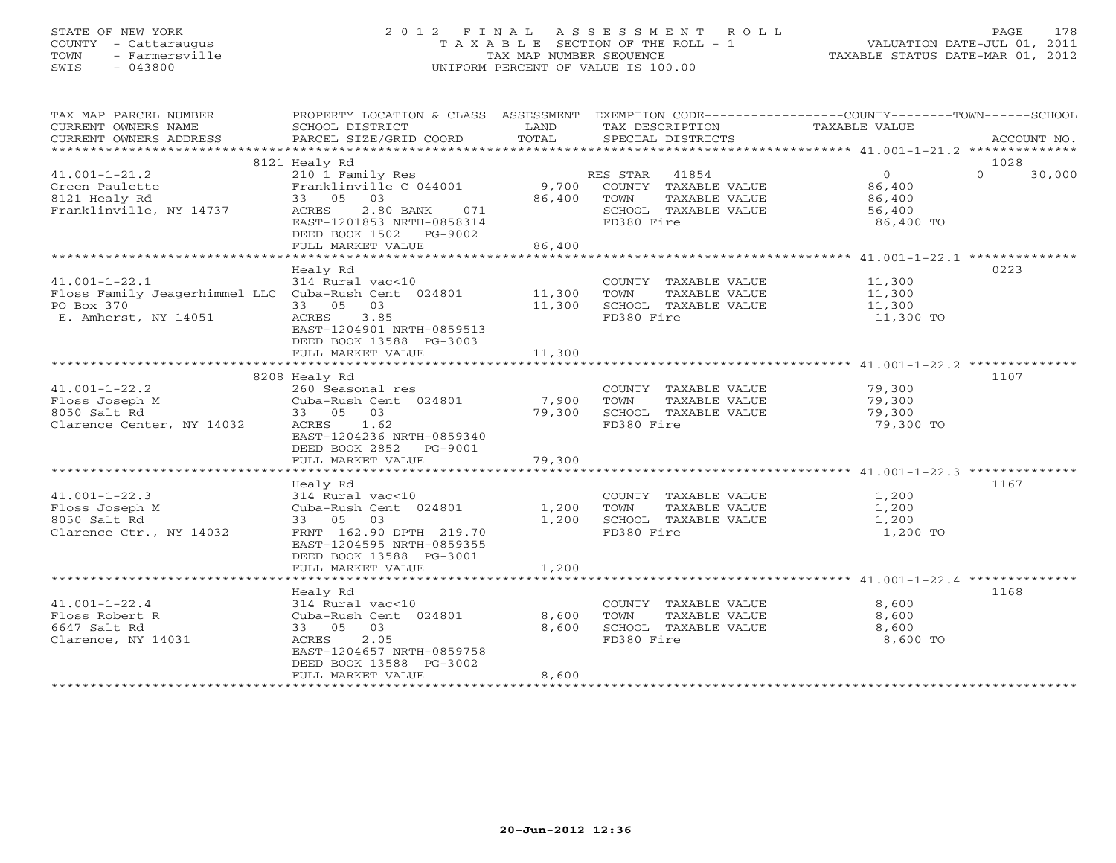# STATE OF NEW YORK 2 0 1 2 F I N A L A S S E S S M E N T R O L L PAGE 178 COUNTY - Cattaraugus T A X A B L E SECTION OF THE ROLL - 1 VALUATION DATE-JUL 01, 2011 TOWN - Farmersville TAX MAP NUMBER SEQUENCE TAXABLE STATUS DATE-MAR 01, 2012 SWIS - 043800 UNIFORM PERCENT OF VALUE IS 100.00UNIFORM PERCENT OF VALUE IS 100.00

| TAX MAP PARCEL NUMBER<br>CURRENT OWNERS NAME<br>CURRENT OWNERS ADDRESS                                                  | PROPERTY LOCATION & CLASS ASSESSMENT<br>SCHOOL DISTRICT<br>PARCEL SIZE/GRID COORD                                                                                                       | LAND<br>TOTAL             | TAX DESCRIPTION<br>SPECIAL DISTRICTS                                                                     | EXEMPTION CODE-----------------COUNTY-------TOWN------SCHOOL<br>TAXABLE VALUE<br>ACCOUNT NO. |
|-------------------------------------------------------------------------------------------------------------------------|-----------------------------------------------------------------------------------------------------------------------------------------------------------------------------------------|---------------------------|----------------------------------------------------------------------------------------------------------|----------------------------------------------------------------------------------------------|
|                                                                                                                         | 8121 Healy Rd                                                                                                                                                                           |                           |                                                                                                          | 1028                                                                                         |
| $41.001 - 1 - 21.2$<br>Green Paulette<br>8121 Healy Rd<br>Franklinville, NY 14737                                       | 210 1 Family Res<br>Franklinville C 044001<br>33 05 03<br>2.80 BANK<br>071<br>ACRES<br>EAST-1201853 NRTH-0858314<br>DEED BOOK 1502 PG-9002<br>FULL MARKET VALUE                         | 9,700<br>86,400<br>86,400 | 41854<br>RES STAR<br>COUNTY TAXABLE VALUE<br>TOWN<br>TAXABLE VALUE<br>SCHOOL TAXABLE VALUE<br>FD380 Fire | $\overline{0}$<br>$\Omega$<br>30,000<br>86,400<br>86,400<br>56,400<br>86,400 TO              |
|                                                                                                                         |                                                                                                                                                                                         |                           |                                                                                                          |                                                                                              |
| $41.001 - 1 - 22.1$<br>Floss Family Jeagerhimmel LLC Cuba-Rush Cent 024801 11,300<br>PO Box 370<br>E. Amherst, NY 14051 | Healy Rd<br>314 Rural vac<10<br>33 05<br>03<br>3.85<br>ACRES<br>EAST-1204901 NRTH-0859513<br>DEED BOOK 13588 PG-3003<br>FULL MARKET VALUE                                               | 11,300<br>11,300          | COUNTY TAXABLE VALUE 11,300<br>TOWN<br>TAXABLE VALUE<br>SCHOOL TAXABLE VALUE<br>FD380 Fire               | 0223<br>11,300<br>$\frac{1}{11}$ , 300<br>11,300 TO                                          |
|                                                                                                                         |                                                                                                                                                                                         |                           |                                                                                                          |                                                                                              |
|                                                                                                                         | 8208 Healy Rd                                                                                                                                                                           |                           |                                                                                                          | 1107                                                                                         |
| $41.001 - 1 - 22.2$<br>Floss Joseph M<br>8050 Salt Rd<br>Clarence Center, NY 14032                                      | 260 Seasonal res<br>Cuba-Rush Cent 024801<br>33 05<br>03<br>1.62<br>ACRES<br>EAST-1204236 NRTH-0859340<br>DEED BOOK 2852 PG-9001<br>FULL MARKET VALUE                                   | 7,900<br>79,300<br>79,300 | COUNTY TAXABLE VALUE<br>TOWN<br>TAXABLE VALUE<br>SCHOOL TAXABLE VALUE<br>FD380 Fire                      | 79,300<br>79,300<br>79,300<br>79,300 TO                                                      |
|                                                                                                                         |                                                                                                                                                                                         |                           |                                                                                                          |                                                                                              |
| $41.001 - 1 - 22.3$<br>Floss Joseph M<br>8050 Salt Rd<br>Clarence Ctr., NY 14032                                        | Healy Rd<br>314 Rural vac<10<br>Cuba-Rush Cent 024801<br>33 05 03<br>FRNT 162.90 DPTH 219.70<br>EAST-1204595 NRTH-0859355<br>DEED BOOK 13588 PG-3001<br>FULL MARKET VALUE               | 1,200<br>1,200<br>1,200   | COUNTY TAXABLE VALUE<br>TOWN<br>TAXABLE VALUE<br>SCHOOL TAXABLE VALUE<br>FD380 Fire                      | 1167<br>1,200<br>1,200<br>1,200<br>1,200 TO                                                  |
|                                                                                                                         |                                                                                                                                                                                         |                           |                                                                                                          |                                                                                              |
| $41.001 - 1 - 22.4$<br>Floss Robert R<br>6647 Salt Rd<br>Clarence, NY 14031                                             | Healy Rd<br>314 Rural vac<10<br>Cuba-Rush Cent 024801<br>33 05 03<br>2.05<br>ACRES<br>EAST-1204657 NRTH-0859758<br>DEED BOOK 13588 PG-3002<br>FULL MARKET VALUE<br>******************** | 8,600<br>8,600<br>8,600   | COUNTY TAXABLE VALUE<br>TOWN<br>TAXABLE VALUE<br>SCHOOL TAXABLE VALUE<br>FD380 Fire                      | 1168<br>8,600<br>8,600<br>8,600<br>8,600 TO                                                  |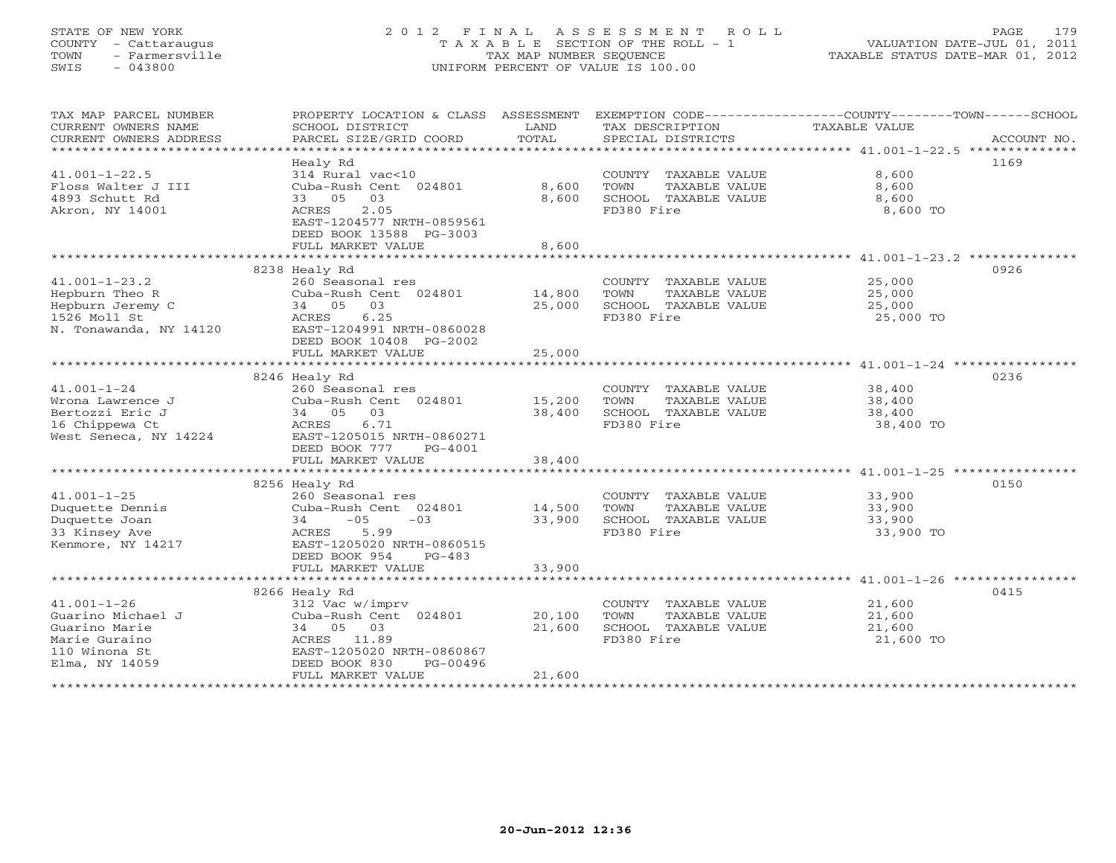## STATE OF NEW YORK 2 0 1 2 F I N A L A S S E S S M E N T R O L L PAGE 179 COUNTY - Cattaraugus T A X A B L E SECTION OF THE ROLL - 1 VALUATION DATE-JUL 01, 2011 TOWN - Farmersville TAX MAP NUMBER SEQUENCE TAXABLE STATUS DATE-MAR 01, 2012 SWIS - 043800 UNIFORM PERCENT OF VALUE IS 100.00UNIFORM PERCENT OF VALUE IS 100.00

| TAX MAP PARCEL NUMBER<br>CURRENT OWNERS NAME<br>CURRENT OWNERS ADDRESS<br>****************************** | PROPERTY LOCATION & CLASS ASSESSMENT<br>SCHOOL DISTRICT<br>PARCEL SIZE/GRID COORD          | LAND<br>TOTAL    | TAX DESCRIPTION TAXABLE VALUE<br>SPECIAL DISTRICTS                    | EXEMPTION CODE-----------------COUNTY-------TOWN------SCHOOL<br>ACCOUNT NO. |
|----------------------------------------------------------------------------------------------------------|--------------------------------------------------------------------------------------------|------------------|-----------------------------------------------------------------------|-----------------------------------------------------------------------------|
|                                                                                                          | Healy Rd                                                                                   |                  |                                                                       | 1169                                                                        |
| $41.001 - 1 - 22.5$<br>Floss Walter J III<br>4893 Schutt Rd                                              | 314 Rural vac<10<br>Cuba-Rush Cent 024801<br>33 05 03                                      | 8,600<br>8,600   | COUNTY TAXABLE VALUE<br>TOWN<br>TAXABLE VALUE<br>SCHOOL TAXABLE VALUE | 8,600<br>8,600<br>8,600                                                     |
| Akron, NY 14001                                                                                          | 2.05<br>ACRES<br>EAST-1204577 NRTH-0859561<br>DEED BOOK 13588 PG-3003<br>FULL MARKET VALUE | 8,600            | FD380 Fire                                                            | 8,600 TO                                                                    |
|                                                                                                          |                                                                                            |                  |                                                                       |                                                                             |
|                                                                                                          | 8238 Healy Rd                                                                              |                  |                                                                       | 0926                                                                        |
| $41.001 - 1 - 23.2$                                                                                      | 260 Seasonal res                                                                           |                  | COUNTY TAXABLE VALUE                                                  | 25,000                                                                      |
| Hepburn Theo R                                                                                           | Cuba-Rush Cent 024801                                                                      | 14,800           | TOWN<br>TAXABLE VALUE                                                 | 25,000                                                                      |
| Hepburn Jeremy C                                                                                         | 34 05 03                                                                                   | 25,000           | SCHOOL TAXABLE VALUE                                                  | 25,000                                                                      |
| 1526 Moll St<br>N. Tonawanda, NY 14120                                                                   | 6.25<br>ACRES<br>EAST-1204991 NRTH-0860028<br>DEED BOOK 10408 PG-2002                      |                  | FD380 Fire                                                            | 25,000 TO                                                                   |
|                                                                                                          | FULL MARKET VALUE                                                                          | 25,000           |                                                                       |                                                                             |
|                                                                                                          |                                                                                            |                  |                                                                       |                                                                             |
|                                                                                                          | 8246 Healy Rd                                                                              |                  |                                                                       | 0236                                                                        |
| $41.001 - 1 - 24$                                                                                        | 260 Seasonal res                                                                           |                  | COUNTY TAXABLE VALUE 38,400                                           |                                                                             |
| Wrona Lawrence J<br>Bertozzi Eric J                                                                      | Cuba-Rush Cent 024801<br>34 05<br>03                                                       | 15,200<br>38,400 | TOWN<br>TAXABLE VALUE<br>SCHOOL TAXABLE VALUE                         | 38,400<br>38,400                                                            |
| 16 Chippewa Ct                                                                                           | 6.71<br>ACRES                                                                              |                  | FD380 Fire                                                            | 38,400 TO                                                                   |
| West Seneca, NY 14224                                                                                    | EAST-1205015 NRTH-0860271                                                                  |                  |                                                                       |                                                                             |
|                                                                                                          | DEED BOOK 777<br>PG-4001                                                                   |                  |                                                                       |                                                                             |
|                                                                                                          | FULL MARKET VALUE                                                                          | 38,400           |                                                                       |                                                                             |
|                                                                                                          |                                                                                            |                  |                                                                       |                                                                             |
|                                                                                                          | 8256 Healy Rd                                                                              |                  |                                                                       | 0150                                                                        |
| $41.001 - 1 - 25$                                                                                        | 260 Seasonal res                                                                           |                  | COUNTY TAXABLE VALUE                                                  | 33,900                                                                      |
| Duquette Dennis                                                                                          | Cuba-Rush Cent 024801                                                                      | 14,500           | TOWN<br>TAXABLE VALUE                                                 | 33,900                                                                      |
| Duquette Joan                                                                                            | $-05$<br>$-03$<br>34                                                                       | 33,900           | SCHOOL TAXABLE VALUE                                                  | 33,900                                                                      |
| 33 Kinsey Ave<br>Kenmore, NY 14217                                                                       | 5.99<br>ACRES<br>EAST-1205020 NRTH-0860515<br>DEED BOOK 954<br>$PG-483$                    |                  | FD380 Fire                                                            | 33,900 TO                                                                   |
|                                                                                                          | FULL MARKET VALUE                                                                          | 33,900           |                                                                       |                                                                             |
|                                                                                                          |                                                                                            |                  |                                                                       |                                                                             |
|                                                                                                          | 8266 Healy Rd                                                                              |                  |                                                                       | 0415                                                                        |
| $41.001 - 1 - 26$<br>Guarino Michael J                                                                   | 312 Vac w/imprv<br>Cuba-Rush Cent 024801                                                   | 20,100           | COUNTY TAXABLE VALUE<br>TOWN<br>TAXABLE VALUE                         | 21,600<br>21,600                                                            |
| Guarino Marie                                                                                            | 34 05 03                                                                                   | 21,600           | SCHOOL TAXABLE VALUE                                                  | 21,600                                                                      |
| Marie Guraino                                                                                            | ACRES 11.89                                                                                |                  | FD380 Fire                                                            | 21,600 TO                                                                   |
| 110 Winona St                                                                                            | EAST-1205020 NRTH-0860867                                                                  |                  |                                                                       |                                                                             |
| Elma, NY 14059                                                                                           | DEED BOOK 830<br>PG-00496                                                                  |                  |                                                                       |                                                                             |
|                                                                                                          | FULL MARKET VALUE                                                                          | 21,600           |                                                                       |                                                                             |
|                                                                                                          |                                                                                            |                  |                                                                       |                                                                             |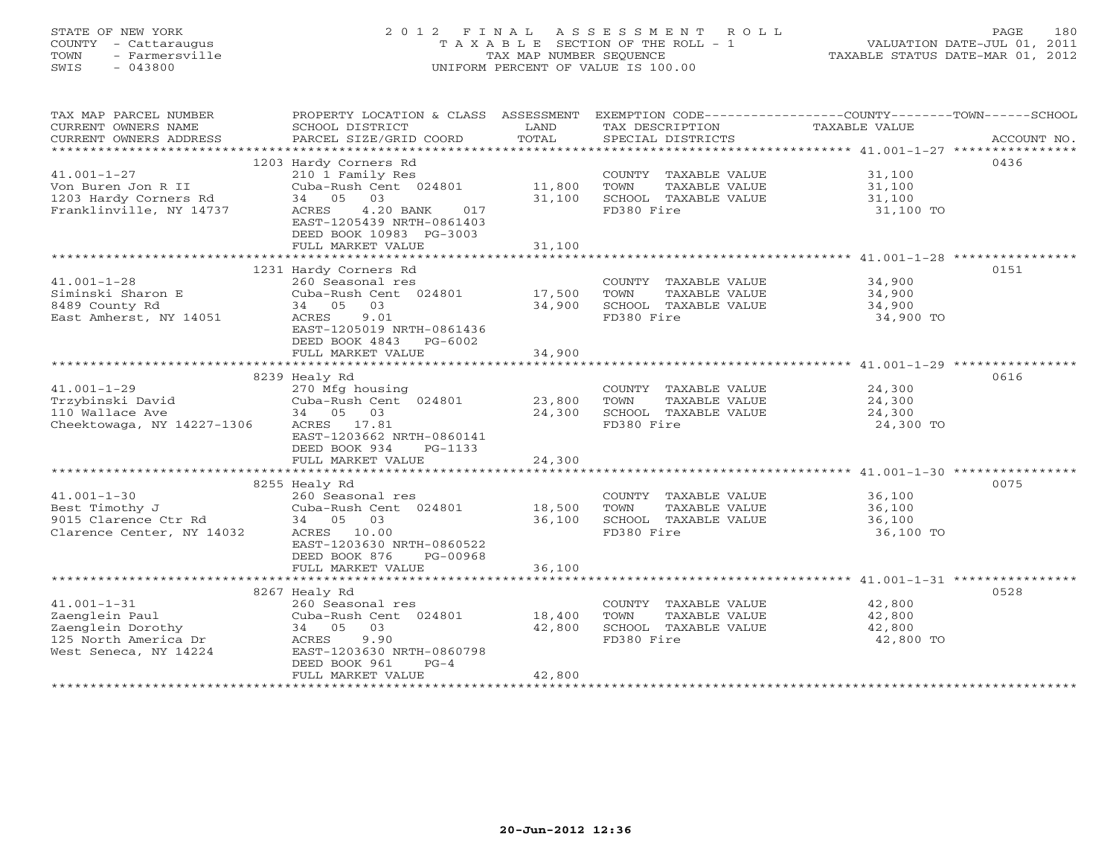## STATE OF NEW YORK 2 0 1 2 F I N A L A S S E S S M E N T R O L L PAGE 180 COUNTY - Cattaraugus T A X A B L E SECTION OF THE ROLL - 1 VALUATION DATE-JUL 01, 2011 TOWN - Farmersville TAX MAP NUMBER SEQUENCE TAXABLE STATUS DATE-MAR 01, 2012 SWIS - 043800 UNIFORM PERCENT OF VALUE IS 100.00UNIFORM PERCENT OF VALUE IS 100.00

| TAX MAP PARCEL NUMBER<br>CURRENT OWNERS NAME<br>CURRENT OWNERS ADDRESS | PROPERTY LOCATION & CLASS ASSESSMENT<br>SCHOOL DISTRICT<br>PARCEL SIZE/GRID COORD | LAND<br>TOTAL | TAX DESCRIPTION<br>SPECIAL DISTRICTS | EXEMPTION CODE----------------COUNTY-------TOWN------SCHOOL<br>TAXABLE VALUE<br>ACCOUNT NO. |
|------------------------------------------------------------------------|-----------------------------------------------------------------------------------|---------------|--------------------------------------|---------------------------------------------------------------------------------------------|
|                                                                        |                                                                                   |               |                                      |                                                                                             |
|                                                                        | 1203 Hardy Corners Rd                                                             |               |                                      | 0436                                                                                        |
| $41.001 - 1 - 27$                                                      | 210 1 Family Res                                                                  |               | COUNTY TAXABLE VALUE                 | 31,100                                                                                      |
| Von Buren Jon R II                                                     | Cuba-Rush Cent 024801                                                             | 11,800        | TOWN<br>TAXABLE VALUE                | 31,100                                                                                      |
| 1203 Hardy Corners Rd                                                  | 34 05 03                                                                          | 31,100        | SCHOOL TAXABLE VALUE                 | 31,100                                                                                      |
| Franklinville, NY 14737                                                | 4.20 BANK<br>017<br>ACRES                                                         |               | FD380 Fire                           | 31,100 TO                                                                                   |
|                                                                        | EAST-1205439 NRTH-0861403                                                         |               |                                      |                                                                                             |
|                                                                        | DEED BOOK 10983 PG-3003                                                           |               |                                      |                                                                                             |
|                                                                        | FULL MARKET VALUE                                                                 | 31,100        |                                      |                                                                                             |
|                                                                        |                                                                                   |               |                                      | 0151                                                                                        |
|                                                                        | 1231 Hardy Corners Rd                                                             |               |                                      |                                                                                             |
| $41.001 - 1 - 28$                                                      | 260 Seasonal res                                                                  |               | COUNTY TAXABLE VALUE                 | 34,900                                                                                      |
| Siminski Sharon E                                                      | Cuba-Rush Cent 024801                                                             | 17,500        | TOWN<br>TAXABLE VALUE                | 34,900                                                                                      |
| 8489 County Rd                                                         | 34 05 03                                                                          | 34,900        | SCHOOL TAXABLE VALUE                 | 34,900                                                                                      |
| East Amherst, NY 14051                                                 | 9.01<br>ACRES                                                                     |               | FD380 Fire                           | 34,900 TO                                                                                   |
|                                                                        | EAST-1205019 NRTH-0861436                                                         |               |                                      |                                                                                             |
|                                                                        | DEED BOOK 4843 PG-6002                                                            |               |                                      |                                                                                             |
|                                                                        | FULL MARKET VALUE                                                                 | 34,900        |                                      |                                                                                             |
|                                                                        |                                                                                   |               |                                      |                                                                                             |
|                                                                        | 8239 Healy Rd                                                                     |               |                                      | 0616                                                                                        |
| $41.001 - 1 - 29$                                                      | 270 Mfg housing                                                                   |               | COUNTY TAXABLE VALUE                 | 24,300                                                                                      |
| Trzybinski David                                                       | Cuba-Rush Cent 024801                                                             | 23,800        | TOWN<br>TAXABLE VALUE                | 24,300                                                                                      |
| 110 Wallace Ave                                                        | 34 05 03                                                                          | 24,300        | SCHOOL TAXABLE VALUE                 | 24,300                                                                                      |
| Cheektowaga, NY 14227-1306                                             | ACRES 17.81                                                                       |               | FD380 Fire                           | 24,300 TO                                                                                   |
|                                                                        | EAST-1203662 NRTH-0860141                                                         |               |                                      |                                                                                             |
|                                                                        | DEED BOOK 934<br>PG-1133                                                          |               |                                      |                                                                                             |
|                                                                        | FULL MARKET VALUE                                                                 | 24,300        |                                      |                                                                                             |
|                                                                        |                                                                                   |               |                                      |                                                                                             |
|                                                                        | 8255 Healy Rd                                                                     |               |                                      | 0075                                                                                        |
| $41.001 - 1 - 30$                                                      | 260 Seasonal res                                                                  |               | COUNTY TAXABLE VALUE                 | 36,100                                                                                      |
| Best Timothy J                                                         | Cuba-Rush Cent 024801 18,500                                                      |               | TOWN<br>TAXABLE VALUE                | 36,100                                                                                      |
| 9015 Clarence Ctr Rd                                                   | 34 05 03                                                                          | 36,100        | SCHOOL TAXABLE VALUE                 | 36,100                                                                                      |
| Clarence Center, NY 14032                                              | ACRES 10.00                                                                       |               | FD380 Fire                           | 36,100 TO                                                                                   |
|                                                                        | EAST-1203630 NRTH-0860522                                                         |               |                                      |                                                                                             |
|                                                                        | DEED BOOK 876<br>PG-00968                                                         |               |                                      |                                                                                             |
|                                                                        | FULL MARKET VALUE                                                                 | 36,100        |                                      |                                                                                             |
|                                                                        |                                                                                   |               |                                      |                                                                                             |
|                                                                        | 8267 Healy Rd                                                                     |               |                                      | 0528                                                                                        |
| $41.001 - 1 - 31$                                                      | 260 Seasonal res                                                                  |               | COUNTY TAXABLE VALUE                 | 42,800                                                                                      |
| Zaenglein Paul                                                         | Cuba-Rush Cent 024801                                                             | 18,400        | TOWN<br>TAXABLE VALUE                | 42,800                                                                                      |
| Zaenglein Dorothy                                                      | 34 05 03                                                                          | 42,800        | SCHOOL TAXABLE VALUE                 | 42,800                                                                                      |
| 125 North America Dr                                                   | ACRES<br>9.90                                                                     |               | FD380 Fire                           | 42,800 TO                                                                                   |
| West Seneca, NY 14224                                                  | EAST-1203630 NRTH-0860798                                                         |               |                                      |                                                                                             |
|                                                                        | DEED BOOK 961<br>$PG-4$                                                           |               |                                      |                                                                                             |
|                                                                        | FULL MARKET VALUE                                                                 | 42,800        |                                      |                                                                                             |
|                                                                        |                                                                                   |               |                                      |                                                                                             |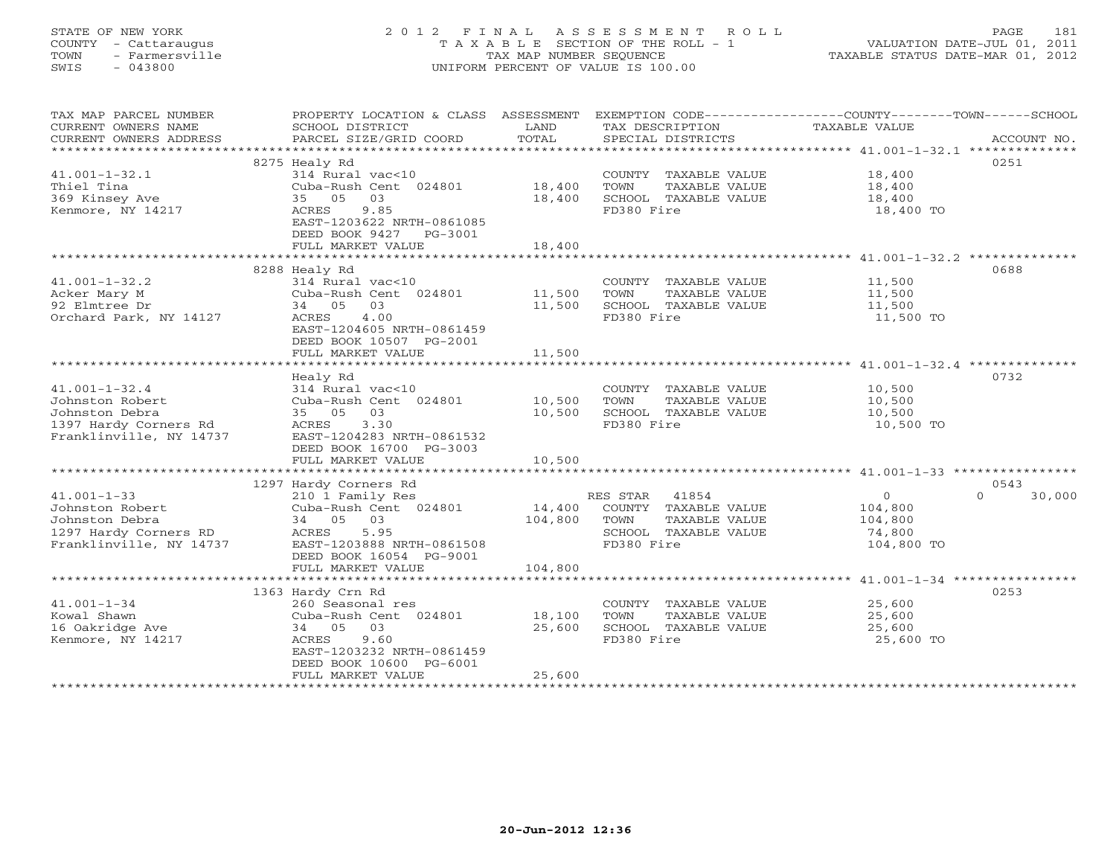## STATE OF NEW YORK 2 0 1 2 F I N A L A S S E S S M E N T R O L L PAGE 181 COUNTY - Cattaraugus T A X A B L E SECTION OF THE ROLL - 1 VALUATION DATE-JUL 01, 2011 TOWN - Farmersville TAX MAP NUMBER SEQUENCE TAXABLE STATUS DATE-MAR 01, 2012 SWIS - 043800 UNIFORM PERCENT OF VALUE IS 100.00UNIFORM PERCENT OF VALUE IS 100.00

| TAX MAP PARCEL NUMBER                            |                                            |             |                       | PROPERTY LOCATION & CLASS ASSESSMENT EXEMPTION CODE---------------COUNTY-------TOWN------SCHOOL |
|--------------------------------------------------|--------------------------------------------|-------------|-----------------------|-------------------------------------------------------------------------------------------------|
| CURRENT OWNERS NAME                              | SCHOOL DISTRICT                            | LAND        | TAX DESCRIPTION       | TAXABLE VALUE                                                                                   |
| CURRENT OWNERS ADDRESS                           | PARCEL SIZE/GRID COORD                     | TOTAL       | SPECIAL DISTRICTS     | ACCOUNT NO.                                                                                     |
|                                                  | 8275 Healy Rd                              |             |                       | 0251                                                                                            |
| $41.001 - 1 - 32.1$                              | 314 Rural vac<10                           |             | COUNTY TAXABLE VALUE  | 18,400                                                                                          |
| Thiel Tina                                       | Cuba-Rush Cent 024801                      | 18,400      | TOWN<br>TAXABLE VALUE | 18,400                                                                                          |
| 369 Kinsey Ave                                   | 03<br>35 05                                | 18,400      | SCHOOL TAXABLE VALUE  | 18,400                                                                                          |
| Kenmore, NY 14217                                | 9.85<br>ACRES                              |             | FD380 Fire            | 18,400 TO                                                                                       |
|                                                  | EAST-1203622 NRTH-0861085                  |             |                       |                                                                                                 |
|                                                  | DEED BOOK 9427 PG-3001                     |             |                       |                                                                                                 |
|                                                  | FULL MARKET VALUE                          | 18,400      |                       |                                                                                                 |
|                                                  | **************************                 | *********** |                       | ********************* 41.001-1-32.2 **************                                              |
|                                                  | 8288 Healy Rd                              |             |                       | 0688                                                                                            |
| $41.001 - 1 - 32.2$                              | 314 Rural vac<10                           |             | COUNTY TAXABLE VALUE  | 11,500                                                                                          |
| Acker Mary M                                     | Cuba-Rush Cent 024801                      | 11,500      | TOWN<br>TAXABLE VALUE | 11,500                                                                                          |
| 92 Elmtree Dr                                    | 34 05 03                                   | 11,500      | SCHOOL TAXABLE VALUE  | 11,500                                                                                          |
| Orchard Park, NY 14127                           | 4.00<br>ACRES                              |             | FD380 Fire            | 11,500 TO                                                                                       |
|                                                  | EAST-1204605 NRTH-0861459                  |             |                       |                                                                                                 |
|                                                  | DEED BOOK 10507 PG-2001                    |             |                       |                                                                                                 |
|                                                  | FULL MARKET VALUE                          | 11,500      |                       |                                                                                                 |
|                                                  |                                            |             |                       |                                                                                                 |
|                                                  | Healy Rd                                   |             |                       | 0732                                                                                            |
| $41.001 - 1 - 32.4$                              | 314 Rural vac<10                           |             | COUNTY TAXABLE VALUE  | 10,500                                                                                          |
| Johnston Robert                                  | Cuba-Rush Cent 024801                      | 10,500      | TOWN<br>TAXABLE VALUE | 10,500                                                                                          |
| Johnston Debra                                   | 35 05 03                                   | 10,500      | SCHOOL TAXABLE VALUE  | 10,500                                                                                          |
| 1397 Hardy Corners Rd<br>Franklinville, NY 14737 | 3.30<br>ACRES<br>EAST-1204283 NRTH-0861532 |             | FD380 Fire            | 10,500 TO                                                                                       |
|                                                  | DEED BOOK 16700 PG-3003                    |             |                       |                                                                                                 |
|                                                  | FULL MARKET VALUE                          | 10,500      |                       |                                                                                                 |
|                                                  |                                            |             |                       |                                                                                                 |
|                                                  | 1297 Hardy Corners Rd                      |             |                       | 0543                                                                                            |
| $41.001 - 1 - 33$                                | 210 1 Family Res                           |             | RES STAR 41854        | $\overline{0}$<br>$\Omega$<br>30,000                                                            |
| Johnston Robert                                  | Cuba-Rush Cent 024801                      | 14,400      | COUNTY TAXABLE VALUE  | 104,800                                                                                         |
| Johnston Debra                                   | 34 05 03                                   | 104,800     | TOWN<br>TAXABLE VALUE | 104,800                                                                                         |
| 1297 Hardy Corners RD                            | ACRES<br>5.95                              |             | SCHOOL TAXABLE VALUE  | 74,800                                                                                          |
| Franklinville, NY 14737                          | EAST-1203888 NRTH-0861508                  |             | FD380 Fire            | 104,800 TO                                                                                      |
|                                                  | DEED BOOK 16054 PG-9001                    |             |                       |                                                                                                 |
|                                                  | FULL MARKET VALUE                          | 104,800     |                       |                                                                                                 |
|                                                  |                                            |             |                       |                                                                                                 |
|                                                  | 1363 Hardy Crn Rd                          |             |                       | 0253                                                                                            |
| $41.001 - 1 - 34$                                | 260 Seasonal res                           |             | COUNTY TAXABLE VALUE  | 25,600                                                                                          |
| Kowal Shawn                                      | Cuba-Rush Cent 024801                      | 18,100      | TOWN<br>TAXABLE VALUE | 25,600                                                                                          |
| 16 Oakridge Ave                                  | 34 05 03                                   | 25,600      | SCHOOL TAXABLE VALUE  | 25,600                                                                                          |
| Kenmore, NY 14217                                | ACRES<br>9.60<br>EAST-1203232 NRTH-0861459 |             | FD380 Fire            | 25,600 TO                                                                                       |
|                                                  | DEED BOOK 10600 PG-6001                    |             |                       |                                                                                                 |
|                                                  | FULL MARKET VALUE                          | 25,600      |                       |                                                                                                 |
|                                                  |                                            |             |                       |                                                                                                 |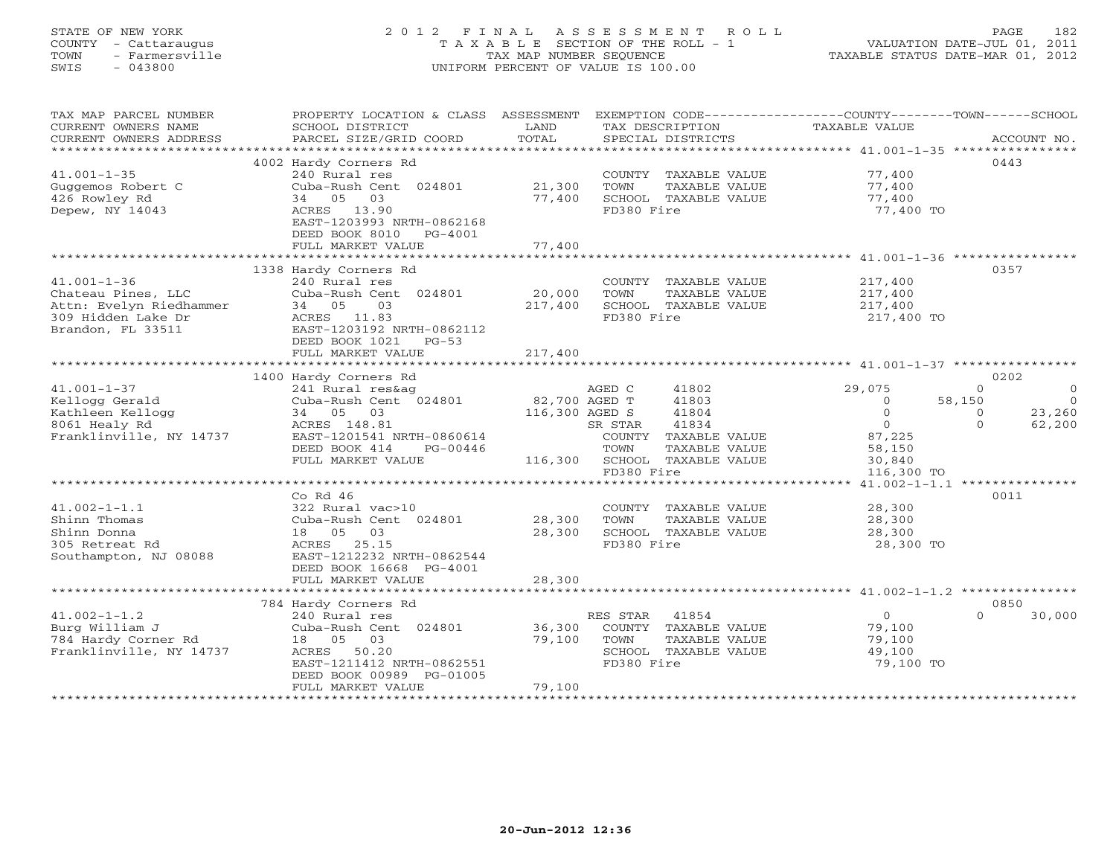## STATE OF NEW YORK 2 0 1 2 F I N A L A S S E S S M E N T R O L L PAGE 182 COUNTY - Cattaraugus T A X A B L E SECTION OF THE ROLL - 1 VALUATION DATE-JUL 01, 2011 TOWN - Farmersville TAX MAP NUMBER SEQUENCE TAXABLE STATUS DATE-MAR 01, 2012 SWIS - 043800 UNIFORM PERCENT OF VALUE IS 100.00UNIFORM PERCENT OF VALUE IS 100.00

| TAX MAP PARCEL NUMBER                         | PROPERTY LOCATION & CLASS ASSESSMENT         |                | EXEMPTION CODE-----------------COUNTY-------TOWN-----SCHOOL |                                                        |                                     |
|-----------------------------------------------|----------------------------------------------|----------------|-------------------------------------------------------------|--------------------------------------------------------|-------------------------------------|
| CURRENT OWNERS NAME                           | SCHOOL DISTRICT                              | LAND           | TAX DESCRIPTION                                             | <b>TAXABLE VALUE</b>                                   |                                     |
| CURRENT OWNERS ADDRESS                        | PARCEL SIZE/GRID COORD                       | TOTAL          | SPECIAL DISTRICTS                                           |                                                        | ACCOUNT NO.                         |
| ***********************                       |                                              |                |                                                             |                                                        |                                     |
|                                               | 4002 Hardy Corners Rd                        |                |                                                             |                                                        | 0443                                |
| $41.001 - 1 - 35$                             | 240 Rural res                                |                | COUNTY TAXABLE VALUE                                        | 77,400                                                 |                                     |
| Guggemos Robert C                             | Cuba-Rush Cent 024801                        | 21,300         | TOWN<br>TAXABLE VALUE                                       | 77,400                                                 |                                     |
| 426 Rowley Rd                                 | 34 05 03                                     | 77,400         | SCHOOL TAXABLE VALUE                                        | 77,400                                                 |                                     |
| Depew, NY 14043                               | ACRES 13.90                                  |                | FD380 Fire                                                  | 77,400 TO                                              |                                     |
|                                               | EAST-1203993 NRTH-0862168                    |                |                                                             |                                                        |                                     |
|                                               | DEED BOOK 8010<br>$PG-4001$                  |                |                                                             |                                                        |                                     |
|                                               | FULL MARKET VALUE<br>*********************** | 77,400         |                                                             |                                                        |                                     |
|                                               |                                              |                |                                                             |                                                        |                                     |
|                                               | 1338 Hardy Corners Rd                        |                |                                                             |                                                        | 0357                                |
| $41.001 - 1 - 36$                             | 240 Rural res                                |                | COUNTY TAXABLE VALUE                                        | 217,400                                                |                                     |
| Chateau Pines, LLC<br>Attn: Evelyn Riedhammer | Cuba-Rush Cent 024801<br>03<br>34 05         | 20,000         | TOWN<br>TAXABLE VALUE                                       | 217,400                                                |                                     |
| 309 Hidden Lake Dr                            | ACRES 11.83                                  | 217,400        | SCHOOL TAXABLE VALUE<br>FD380 Fire                          | 217,400<br>217,400 TO                                  |                                     |
| Brandon, FL 33511                             | EAST-1203192 NRTH-0862112                    |                |                                                             |                                                        |                                     |
|                                               | DEED BOOK 1021<br>$PG-53$                    |                |                                                             |                                                        |                                     |
|                                               | FULL MARKET VALUE                            | 217,400        |                                                             |                                                        |                                     |
|                                               |                                              |                |                                                             |                                                        |                                     |
|                                               | 1400 Hardy Corners Rd                        |                |                                                             |                                                        | 0202                                |
| $41.001 - 1 - 37$                             | 241 Rural res&ag                             |                | AGED C<br>41802                                             | 29,075                                                 | $\Omega$<br>$\circ$                 |
| Kellogg Gerald                                | Cuba-Rush Cent 024801                        | 82,700 AGED T  | 41803                                                       | $\Omega$                                               | 58,150<br>$\Omega$                  |
| Kathleen Kellogg                              | 34 05 03                                     | 116,300 AGED S | 41804                                                       | $\circ$                                                | 23,260<br>$\Omega$                  |
| 8061 Healy Rd                                 | ACRES 148.81                                 |                | SR STAR<br>41834                                            | $\Omega$                                               | $\Omega$<br>62,200                  |
| Franklinville, NY 14737                       | EAST-1201541 NRTH-0860614                    |                | COUNTY TAXABLE VALUE                                        | 87,225                                                 |                                     |
|                                               | DEED BOOK 414<br>PG-00446                    |                | TOWN<br>TAXABLE VALUE                                       | 58,150                                                 |                                     |
|                                               | FULL MARKET VALUE                            | 116,300        | SCHOOL TAXABLE VALUE                                        | 30,840                                                 |                                     |
|                                               |                                              |                | FD380 Fire                                                  | 116,300 TO                                             |                                     |
|                                               |                                              |                | ****************************                                |                                                        | $41.002 - 1 - 1.1$ **************** |
|                                               | Co Rd $46$                                   |                |                                                             |                                                        | 0011                                |
| $41.002 - 1 - 1.1$                            | 322 Rural vac>10                             |                | COUNTY TAXABLE VALUE                                        | 28,300                                                 |                                     |
| Shinn Thomas                                  | Cuba-Rush Cent 024801                        | 28,300         | TOWN<br>TAXABLE VALUE                                       | 28,300                                                 |                                     |
| Shinn Donna                                   | 18 05<br>03                                  | 28,300         | SCHOOL TAXABLE VALUE                                        | 28,300                                                 |                                     |
| 305 Retreat Rd                                | ACRES<br>25.15                               |                | FD380 Fire                                                  | 28,300 TO                                              |                                     |
| Southampton, NJ 08088                         | EAST-1212232 NRTH-0862544                    |                |                                                             |                                                        |                                     |
|                                               | DEED BOOK 16668 PG-4001                      |                |                                                             |                                                        |                                     |
|                                               | FULL MARKET VALUE                            | 28,300         |                                                             |                                                        |                                     |
|                                               | *********************                        | ***********    |                                                             | ***************************** 41.002-1-1.2 *********** |                                     |
|                                               | 784 Hardy Corners Rd                         |                |                                                             |                                                        | 0850                                |
| $41.002 - 1 - 1.2$                            | 240 Rural res                                |                | RES STAR<br>41854                                           | $\circ$                                                | 30,000<br>$\Omega$                  |
| Burg William J                                | Cuba-Rush Cent 024801                        | 36,300         | COUNTY TAXABLE VALUE                                        | 79,100                                                 |                                     |
| 784 Hardy Corner Rd                           | 18  05  03<br>50.20                          | 79,100         | TOWN<br>TAXABLE VALUE                                       | 79,100                                                 |                                     |
| Franklinville, NY 14737                       | ACRES<br>EAST-1211412 NRTH-0862551           |                | SCHOOL TAXABLE VALUE<br>FD380 Fire                          | 49,100<br>79,100 TO                                    |                                     |
|                                               | DEED BOOK 00989 PG-01005                     |                |                                                             |                                                        |                                     |
|                                               | FULL MARKET VALUE                            | 79,100         |                                                             |                                                        |                                     |
| *************************                     |                                              |                |                                                             |                                                        |                                     |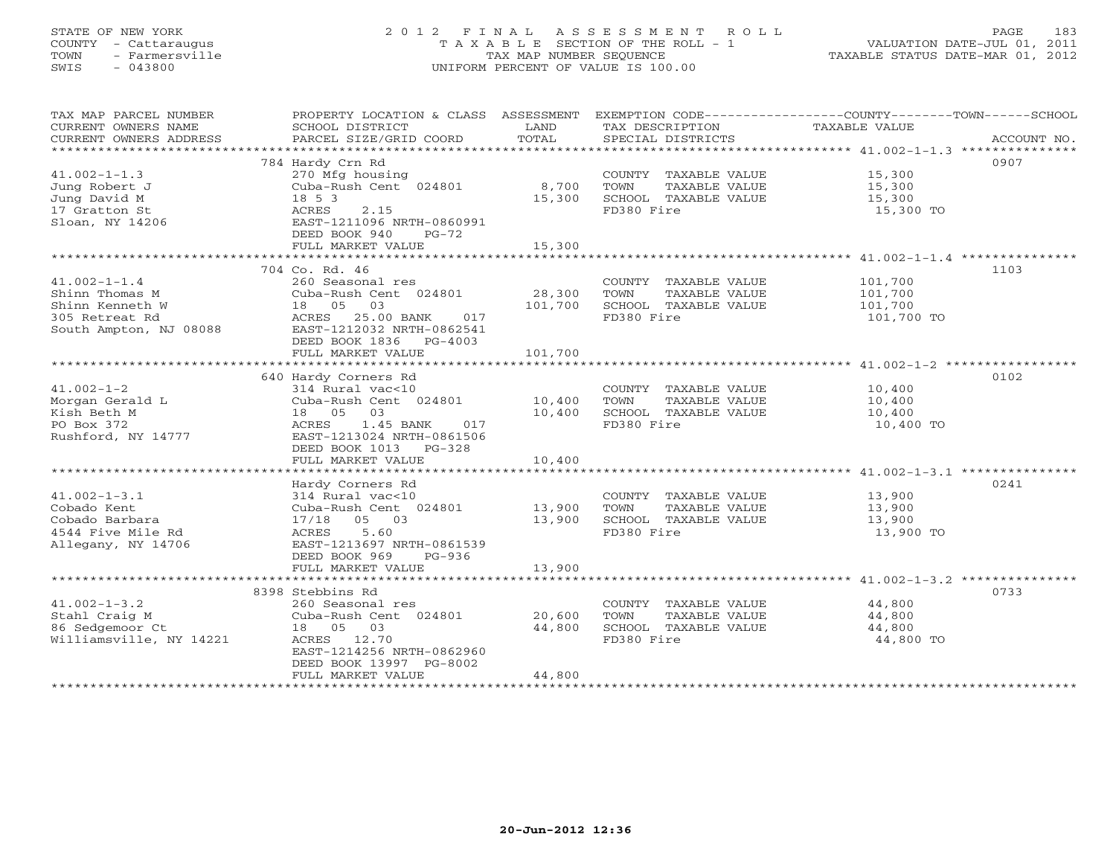## STATE OF NEW YORK 2 0 1 2 F I N A L A S S E S S M E N T R O L L PAGE 183 COUNTY - Cattaraugus T A X A B L E SECTION OF THE ROLL - 1 VALUATION DATE-JUL 01, 2011 TOWN - Farmersville TAX MAP NUMBER SEQUENCE TAXABLE STATUS DATE-MAR 01, 2012 SWIS - 043800 UNIFORM PERCENT OF VALUE IS 100.00UNIFORM PERCENT OF VALUE IS 100.00

| TAX MAP PARCEL NUMBER<br>CURRENT OWNERS NAME<br>CURRENT OWNERS ADDRESS | PROPERTY LOCATION & CLASS ASSESSMENT<br>SCHOOL DISTRICT<br>PARCEL SIZE/GRID COORD | LAND<br>TOTAL | TAX DESCRIPTION<br>SPECIAL DISTRICTS | EXEMPTION CODE-----------------COUNTY-------TOWN------SCHOOL<br>TAXABLE VALUE<br>ACCOUNT NO. |
|------------------------------------------------------------------------|-----------------------------------------------------------------------------------|---------------|--------------------------------------|----------------------------------------------------------------------------------------------|
|                                                                        |                                                                                   |               |                                      |                                                                                              |
|                                                                        | 784 Hardy Crn Rd                                                                  |               |                                      | 0907                                                                                         |
| $41.002 - 1 - 1.3$                                                     | 270 Mfg housing                                                                   |               | COUNTY TAXABLE VALUE                 | 15,300                                                                                       |
| Jung Robert J                                                          | Cuba-Rush Cent 024801                                                             | 8,700         | TOWN<br>TAXABLE VALUE                | 15,300                                                                                       |
| Jung David M                                                           | 18 5 3                                                                            | 15,300        | SCHOOL TAXABLE VALUE                 | 15,300                                                                                       |
| 17 Gratton St<br>Sloan, NY 14206                                       | ACRES<br>2.15<br>EAST-1211096 NRTH-0860991                                        |               | FD380 Fire                           | 15,300 TO                                                                                    |
|                                                                        | DEED BOOK 940<br>$PG-72$                                                          |               |                                      |                                                                                              |
|                                                                        | FULL MARKET VALUE                                                                 | 15,300        |                                      |                                                                                              |
|                                                                        |                                                                                   |               |                                      |                                                                                              |
|                                                                        | 704 Co. Rd. 46                                                                    |               |                                      | 1103                                                                                         |
| $41.002 - 1 - 1.4$                                                     | 260 Seasonal res                                                                  |               | COUNTY TAXABLE VALUE                 | 101,700                                                                                      |
| Shinn Thomas M                                                         | Cuba-Rush Cent 024801                                                             | 28,300        | TOWN<br>TAXABLE VALUE                | 101,700                                                                                      |
| Shinn Kenneth W                                                        | 18 05 03                                                                          | 101,700       | SCHOOL TAXABLE VALUE                 | 101,700                                                                                      |
| 305 Retreat Rd                                                         | ACRES 25.00 BANK<br>017                                                           |               | FD380 Fire                           | 101,700 TO                                                                                   |
| South Ampton, NJ 08088                                                 | EAST-1212032 NRTH-0862541<br>DEED BOOK 1836 PG-4003                               |               |                                      |                                                                                              |
|                                                                        | FULL MARKET VALUE                                                                 | 101,700       |                                      |                                                                                              |
|                                                                        |                                                                                   |               |                                      |                                                                                              |
|                                                                        | 640 Hardy Corners Rd                                                              |               |                                      | 0102                                                                                         |
| $41.002 - 1 - 2$                                                       | 314 Rural vac<10                                                                  |               | COUNTY TAXABLE VALUE                 | 10,400                                                                                       |
| Morgan Gerald L                                                        | Cuba-Rush Cent 024801                                                             | 10,400        | TOWN<br>TAXABLE VALUE                | 10,400                                                                                       |
| Kish Beth M                                                            | 18  05  03                                                                        | 10,400        | SCHOOL TAXABLE VALUE                 | 10,400                                                                                       |
| PO Box 372                                                             | ACRES<br>1.45 BANK<br>017                                                         |               | FD380 Fire                           | 10,400 TO                                                                                    |
| Rushford, NY 14777                                                     | EAST-1213024 NRTH-0861506<br>DEED BOOK 1013<br>PG-328                             |               |                                      |                                                                                              |
|                                                                        | FULL MARKET VALUE                                                                 | 10,400        |                                      |                                                                                              |
|                                                                        |                                                                                   |               |                                      |                                                                                              |
|                                                                        | Hardy Corners Rd                                                                  |               |                                      | 0241                                                                                         |
| $41.002 - 1 - 3.1$                                                     | 314 Rural vac<10                                                                  |               | COUNTY TAXABLE VALUE                 | 13,900                                                                                       |
| Cobado Kent                                                            | Cuba-Rush Cent 024801                                                             | 13,900        | TAXABLE VALUE<br>TOWN                | 13,900                                                                                       |
| Cobado Barbara                                                         | 17/18 05 03                                                                       | 13,900        | SCHOOL TAXABLE VALUE                 | 13,900                                                                                       |
| 4544 Five Mile Rd                                                      | 5.60<br>ACRES                                                                     |               | FD380 Fire                           | 13,900 TO                                                                                    |
| Allegany, NY 14706                                                     | EAST-1213697 NRTH-0861539                                                         |               |                                      |                                                                                              |
|                                                                        | DEED BOOK 969<br>$PG-936$<br>FULL MARKET VALUE                                    | 13,900        |                                      |                                                                                              |
|                                                                        |                                                                                   |               |                                      |                                                                                              |
|                                                                        | 8398 Stebbins Rd                                                                  |               |                                      | 0733                                                                                         |
| $41.002 - 1 - 3.2$                                                     | 260 Seasonal res                                                                  |               | COUNTY TAXABLE VALUE                 | 44,800                                                                                       |
| Stahl Craig M                                                          | Cuba-Rush Cent 024801                                                             | 20,600        | TOWN<br>TAXABLE VALUE                | 44,800                                                                                       |
| 86 Sedgemoor Ct                                                        | 18  05  03                                                                        | 44,800        | SCHOOL TAXABLE VALUE                 | 44,800                                                                                       |
| Williamsville, NY 14221                                                | ACRES 12.70                                                                       |               | FD380 Fire                           | 44,800 TO                                                                                    |
|                                                                        | EAST-1214256 NRTH-0862960                                                         |               |                                      |                                                                                              |
|                                                                        | DEED BOOK 13997 PG-8002                                                           | 44,800        |                                      |                                                                                              |
|                                                                        | FULL MARKET VALUE<br>**********************                                       |               |                                      |                                                                                              |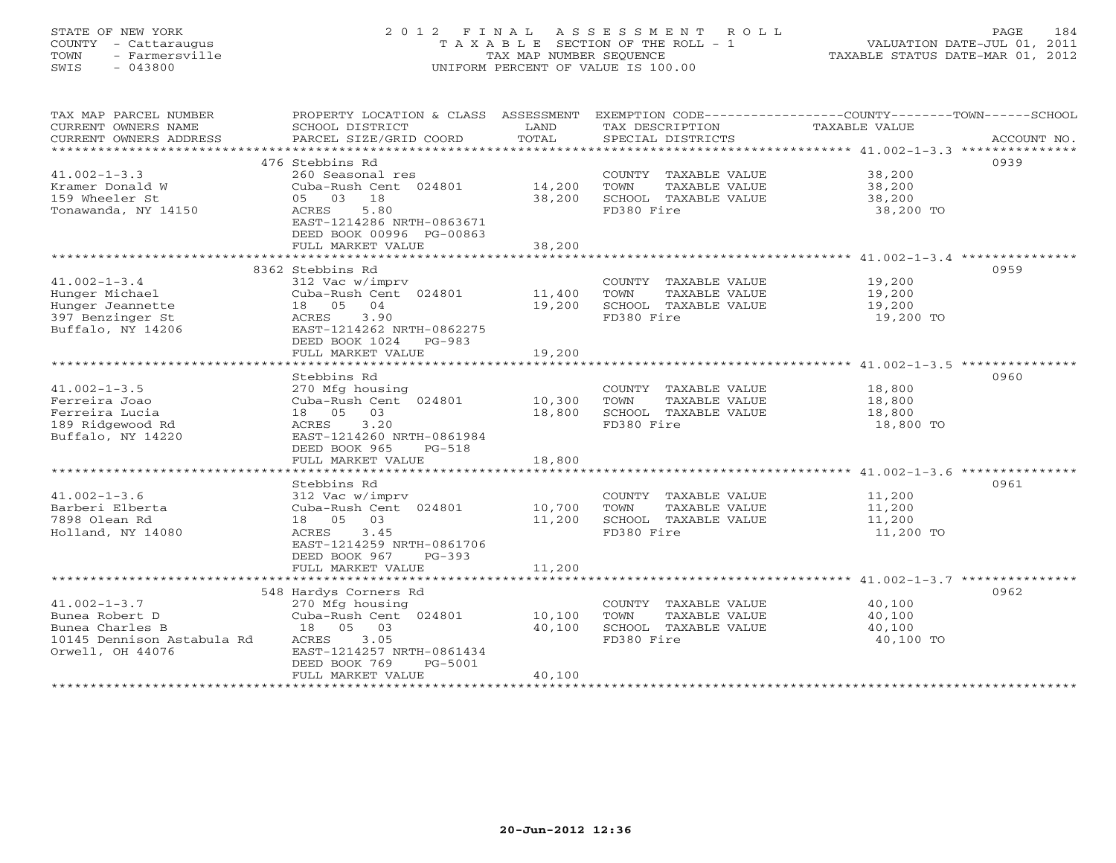## STATE OF NEW YORK 2 0 1 2 F I N A L A S S E S S M E N T R O L L PAGE 184 COUNTY - Cattaraugus T A X A B L E SECTION OF THE ROLL - 1 VALUATION DATE-JUL 01, 2011 TOWN - Farmersville TAX MAP NUMBER SEQUENCE TAXABLE STATUS DATE-MAR 01, 2012 SWIS - 043800 UNIFORM PERCENT OF VALUE IS 100.00UNIFORM PERCENT OF VALUE IS 100.00

| 476 Stebbins Rd<br>0939<br>$41.002 - 1 - 3.3$<br>260 Seasonal res<br>38,200<br>COUNTY TAXABLE VALUE<br>Cuba-Rush Cent 024801 14,200<br>Kramer Donald W<br>TOWN<br>TAXABLE VALUE<br>38,200<br>05 03 18<br>159 Wheeler St<br>38,200<br>SCHOOL TAXABLE VALUE<br>38,200<br>Tonawanda, NY 14150<br>FD380 Fire<br>ACRES<br>5.80<br>38,200 TO<br>EAST-1214286 NRTH-0863671<br>DEED BOOK 00996 PG-00863<br>FULL MARKET VALUE<br>38,200<br>0959<br>8362 Stebbins Rd<br>$41.002 - 1 - 3.4$<br>312 Vac w/imprv<br>COUNTY TAXABLE VALUE<br>19,200<br>Cuba-Rush Cent 024801<br>Hunger Michael<br>11,400<br>TOWN<br>TAXABLE VALUE<br>19,200<br>Hunger Jeannette<br>18  05  04<br>19,200<br>SCHOOL TAXABLE VALUE<br>19,200<br>397 Benzinger St<br>3.90<br>FD380 Fire<br>ACRES<br>19,200 TO<br>Buffalo, NY 14206<br>EAST-1214262 NRTH-0862275<br>DEED BOOK 1024<br>PG-983<br>FULL MARKET VALUE<br>19,200<br>0960<br>Stebbins Rd<br>$41.002 - 1 - 3.5$<br>18,800<br>270 Mfg housing<br>COUNTY TAXABLE VALUE<br>Ferreira Joao<br>Cuba-Rush Cent 024801<br>10,300<br>18,800<br>TOWN<br>TAXABLE VALUE<br>Ferreira Lucia<br>18  05  03<br>18,800<br>SCHOOL TAXABLE VALUE<br>18,800<br>189 Ridgewood Rd<br>3.20<br>FD380 Fire<br>ACRES<br>18,800 TO<br>Buffalo, NY 14220<br>EAST-1214260 NRTH-0861984<br>DEED BOOK 965<br>PG-518<br>18,800<br>FULL MARKET VALUE<br>0961<br>Stebbins Rd<br>$41.002 - 1 - 3.6$<br>11,200<br>312 Vac w/imprv<br>COUNTY TAXABLE VALUE<br>Barberi Elberta<br>Cuba-Rush Cent 024801<br>10,700<br>11,200<br>TOWN<br>TAXABLE VALUE<br>7898 Olean Rd<br>18  05  03<br>11,200<br>SCHOOL TAXABLE VALUE<br>11,200<br>FD380 Fire<br>Holland, NY 14080<br>ACRES 3.45<br>11,200 TO<br>EAST-1214259 NRTH-0861706<br>DEED BOOK 967<br>PG-393<br>11,200<br>FULL MARKET VALUE<br>548 Hardys Corners Rd<br>0962<br>$41.002 - 1 - 3.7$<br>270 Mfg housing<br>COUNTY TAXABLE VALUE<br>40,100<br>Bunea Robert D<br>Cuba-Rush Cent 024801<br>10,100<br>TOWN<br>TAXABLE VALUE<br>40,100<br>Bunea Charles B<br>18 05 03<br>40,100<br>SCHOOL TAXABLE VALUE<br>40,100<br>10145 Dennison Astabula Rd<br>ACRES<br>3.05<br>FD380 Fire<br>40,100 TO<br>Orwell, OH 44076<br>EAST-1214257 NRTH-0861434<br>DEED BOOK 769<br>PG-5001<br>40,100<br>FULL MARKET VALUE | TAX MAP PARCEL NUMBER<br>CURRENT OWNERS NAME<br>CURRENT OWNERS ADDRESS | PROPERTY LOCATION & CLASS ASSESSMENT<br>SCHOOL DISTRICT<br>PARCEL SIZE/GRID COORD | LAND<br>TOTAL | TAX DESCRIPTION<br>SPECIAL DISTRICTS | EXEMPTION CODE-----------------COUNTY-------TOWN------SCHOOL<br>TAXABLE VALUE<br>ACCOUNT NO. |
|-------------------------------------------------------------------------------------------------------------------------------------------------------------------------------------------------------------------------------------------------------------------------------------------------------------------------------------------------------------------------------------------------------------------------------------------------------------------------------------------------------------------------------------------------------------------------------------------------------------------------------------------------------------------------------------------------------------------------------------------------------------------------------------------------------------------------------------------------------------------------------------------------------------------------------------------------------------------------------------------------------------------------------------------------------------------------------------------------------------------------------------------------------------------------------------------------------------------------------------------------------------------------------------------------------------------------------------------------------------------------------------------------------------------------------------------------------------------------------------------------------------------------------------------------------------------------------------------------------------------------------------------------------------------------------------------------------------------------------------------------------------------------------------------------------------------------------------------------------------------------------------------------------------------------------------------------------------------------------------------------------------------------------------------------------------------------------------------------------------------------------------------------------------------------------------------------------------------------------------------|------------------------------------------------------------------------|-----------------------------------------------------------------------------------|---------------|--------------------------------------|----------------------------------------------------------------------------------------------|
|                                                                                                                                                                                                                                                                                                                                                                                                                                                                                                                                                                                                                                                                                                                                                                                                                                                                                                                                                                                                                                                                                                                                                                                                                                                                                                                                                                                                                                                                                                                                                                                                                                                                                                                                                                                                                                                                                                                                                                                                                                                                                                                                                                                                                                           |                                                                        |                                                                                   |               |                                      |                                                                                              |
|                                                                                                                                                                                                                                                                                                                                                                                                                                                                                                                                                                                                                                                                                                                                                                                                                                                                                                                                                                                                                                                                                                                                                                                                                                                                                                                                                                                                                                                                                                                                                                                                                                                                                                                                                                                                                                                                                                                                                                                                                                                                                                                                                                                                                                           |                                                                        |                                                                                   |               |                                      |                                                                                              |
|                                                                                                                                                                                                                                                                                                                                                                                                                                                                                                                                                                                                                                                                                                                                                                                                                                                                                                                                                                                                                                                                                                                                                                                                                                                                                                                                                                                                                                                                                                                                                                                                                                                                                                                                                                                                                                                                                                                                                                                                                                                                                                                                                                                                                                           |                                                                        |                                                                                   |               |                                      |                                                                                              |
|                                                                                                                                                                                                                                                                                                                                                                                                                                                                                                                                                                                                                                                                                                                                                                                                                                                                                                                                                                                                                                                                                                                                                                                                                                                                                                                                                                                                                                                                                                                                                                                                                                                                                                                                                                                                                                                                                                                                                                                                                                                                                                                                                                                                                                           |                                                                        |                                                                                   |               |                                      |                                                                                              |
|                                                                                                                                                                                                                                                                                                                                                                                                                                                                                                                                                                                                                                                                                                                                                                                                                                                                                                                                                                                                                                                                                                                                                                                                                                                                                                                                                                                                                                                                                                                                                                                                                                                                                                                                                                                                                                                                                                                                                                                                                                                                                                                                                                                                                                           |                                                                        |                                                                                   |               |                                      |                                                                                              |
|                                                                                                                                                                                                                                                                                                                                                                                                                                                                                                                                                                                                                                                                                                                                                                                                                                                                                                                                                                                                                                                                                                                                                                                                                                                                                                                                                                                                                                                                                                                                                                                                                                                                                                                                                                                                                                                                                                                                                                                                                                                                                                                                                                                                                                           |                                                                        |                                                                                   |               |                                      |                                                                                              |
|                                                                                                                                                                                                                                                                                                                                                                                                                                                                                                                                                                                                                                                                                                                                                                                                                                                                                                                                                                                                                                                                                                                                                                                                                                                                                                                                                                                                                                                                                                                                                                                                                                                                                                                                                                                                                                                                                                                                                                                                                                                                                                                                                                                                                                           |                                                                        |                                                                                   |               |                                      |                                                                                              |
|                                                                                                                                                                                                                                                                                                                                                                                                                                                                                                                                                                                                                                                                                                                                                                                                                                                                                                                                                                                                                                                                                                                                                                                                                                                                                                                                                                                                                                                                                                                                                                                                                                                                                                                                                                                                                                                                                                                                                                                                                                                                                                                                                                                                                                           |                                                                        |                                                                                   |               |                                      |                                                                                              |
|                                                                                                                                                                                                                                                                                                                                                                                                                                                                                                                                                                                                                                                                                                                                                                                                                                                                                                                                                                                                                                                                                                                                                                                                                                                                                                                                                                                                                                                                                                                                                                                                                                                                                                                                                                                                                                                                                                                                                                                                                                                                                                                                                                                                                                           |                                                                        |                                                                                   |               |                                      |                                                                                              |
|                                                                                                                                                                                                                                                                                                                                                                                                                                                                                                                                                                                                                                                                                                                                                                                                                                                                                                                                                                                                                                                                                                                                                                                                                                                                                                                                                                                                                                                                                                                                                                                                                                                                                                                                                                                                                                                                                                                                                                                                                                                                                                                                                                                                                                           |                                                                        |                                                                                   |               |                                      |                                                                                              |
|                                                                                                                                                                                                                                                                                                                                                                                                                                                                                                                                                                                                                                                                                                                                                                                                                                                                                                                                                                                                                                                                                                                                                                                                                                                                                                                                                                                                                                                                                                                                                                                                                                                                                                                                                                                                                                                                                                                                                                                                                                                                                                                                                                                                                                           |                                                                        |                                                                                   |               |                                      |                                                                                              |
|                                                                                                                                                                                                                                                                                                                                                                                                                                                                                                                                                                                                                                                                                                                                                                                                                                                                                                                                                                                                                                                                                                                                                                                                                                                                                                                                                                                                                                                                                                                                                                                                                                                                                                                                                                                                                                                                                                                                                                                                                                                                                                                                                                                                                                           |                                                                        |                                                                                   |               |                                      |                                                                                              |
|                                                                                                                                                                                                                                                                                                                                                                                                                                                                                                                                                                                                                                                                                                                                                                                                                                                                                                                                                                                                                                                                                                                                                                                                                                                                                                                                                                                                                                                                                                                                                                                                                                                                                                                                                                                                                                                                                                                                                                                                                                                                                                                                                                                                                                           |                                                                        |                                                                                   |               |                                      |                                                                                              |
|                                                                                                                                                                                                                                                                                                                                                                                                                                                                                                                                                                                                                                                                                                                                                                                                                                                                                                                                                                                                                                                                                                                                                                                                                                                                                                                                                                                                                                                                                                                                                                                                                                                                                                                                                                                                                                                                                                                                                                                                                                                                                                                                                                                                                                           |                                                                        |                                                                                   |               |                                      |                                                                                              |
|                                                                                                                                                                                                                                                                                                                                                                                                                                                                                                                                                                                                                                                                                                                                                                                                                                                                                                                                                                                                                                                                                                                                                                                                                                                                                                                                                                                                                                                                                                                                                                                                                                                                                                                                                                                                                                                                                                                                                                                                                                                                                                                                                                                                                                           |                                                                        |                                                                                   |               |                                      |                                                                                              |
|                                                                                                                                                                                                                                                                                                                                                                                                                                                                                                                                                                                                                                                                                                                                                                                                                                                                                                                                                                                                                                                                                                                                                                                                                                                                                                                                                                                                                                                                                                                                                                                                                                                                                                                                                                                                                                                                                                                                                                                                                                                                                                                                                                                                                                           |                                                                        |                                                                                   |               |                                      |                                                                                              |
|                                                                                                                                                                                                                                                                                                                                                                                                                                                                                                                                                                                                                                                                                                                                                                                                                                                                                                                                                                                                                                                                                                                                                                                                                                                                                                                                                                                                                                                                                                                                                                                                                                                                                                                                                                                                                                                                                                                                                                                                                                                                                                                                                                                                                                           |                                                                        |                                                                                   |               |                                      |                                                                                              |
|                                                                                                                                                                                                                                                                                                                                                                                                                                                                                                                                                                                                                                                                                                                                                                                                                                                                                                                                                                                                                                                                                                                                                                                                                                                                                                                                                                                                                                                                                                                                                                                                                                                                                                                                                                                                                                                                                                                                                                                                                                                                                                                                                                                                                                           |                                                                        |                                                                                   |               |                                      |                                                                                              |
|                                                                                                                                                                                                                                                                                                                                                                                                                                                                                                                                                                                                                                                                                                                                                                                                                                                                                                                                                                                                                                                                                                                                                                                                                                                                                                                                                                                                                                                                                                                                                                                                                                                                                                                                                                                                                                                                                                                                                                                                                                                                                                                                                                                                                                           |                                                                        |                                                                                   |               |                                      |                                                                                              |
|                                                                                                                                                                                                                                                                                                                                                                                                                                                                                                                                                                                                                                                                                                                                                                                                                                                                                                                                                                                                                                                                                                                                                                                                                                                                                                                                                                                                                                                                                                                                                                                                                                                                                                                                                                                                                                                                                                                                                                                                                                                                                                                                                                                                                                           |                                                                        |                                                                                   |               |                                      |                                                                                              |
|                                                                                                                                                                                                                                                                                                                                                                                                                                                                                                                                                                                                                                                                                                                                                                                                                                                                                                                                                                                                                                                                                                                                                                                                                                                                                                                                                                                                                                                                                                                                                                                                                                                                                                                                                                                                                                                                                                                                                                                                                                                                                                                                                                                                                                           |                                                                        |                                                                                   |               |                                      |                                                                                              |
|                                                                                                                                                                                                                                                                                                                                                                                                                                                                                                                                                                                                                                                                                                                                                                                                                                                                                                                                                                                                                                                                                                                                                                                                                                                                                                                                                                                                                                                                                                                                                                                                                                                                                                                                                                                                                                                                                                                                                                                                                                                                                                                                                                                                                                           |                                                                        |                                                                                   |               |                                      |                                                                                              |
|                                                                                                                                                                                                                                                                                                                                                                                                                                                                                                                                                                                                                                                                                                                                                                                                                                                                                                                                                                                                                                                                                                                                                                                                                                                                                                                                                                                                                                                                                                                                                                                                                                                                                                                                                                                                                                                                                                                                                                                                                                                                                                                                                                                                                                           |                                                                        |                                                                                   |               |                                      |                                                                                              |
|                                                                                                                                                                                                                                                                                                                                                                                                                                                                                                                                                                                                                                                                                                                                                                                                                                                                                                                                                                                                                                                                                                                                                                                                                                                                                                                                                                                                                                                                                                                                                                                                                                                                                                                                                                                                                                                                                                                                                                                                                                                                                                                                                                                                                                           |                                                                        |                                                                                   |               |                                      |                                                                                              |
|                                                                                                                                                                                                                                                                                                                                                                                                                                                                                                                                                                                                                                                                                                                                                                                                                                                                                                                                                                                                                                                                                                                                                                                                                                                                                                                                                                                                                                                                                                                                                                                                                                                                                                                                                                                                                                                                                                                                                                                                                                                                                                                                                                                                                                           |                                                                        |                                                                                   |               |                                      |                                                                                              |
|                                                                                                                                                                                                                                                                                                                                                                                                                                                                                                                                                                                                                                                                                                                                                                                                                                                                                                                                                                                                                                                                                                                                                                                                                                                                                                                                                                                                                                                                                                                                                                                                                                                                                                                                                                                                                                                                                                                                                                                                                                                                                                                                                                                                                                           |                                                                        |                                                                                   |               |                                      |                                                                                              |
|                                                                                                                                                                                                                                                                                                                                                                                                                                                                                                                                                                                                                                                                                                                                                                                                                                                                                                                                                                                                                                                                                                                                                                                                                                                                                                                                                                                                                                                                                                                                                                                                                                                                                                                                                                                                                                                                                                                                                                                                                                                                                                                                                                                                                                           |                                                                        |                                                                                   |               |                                      |                                                                                              |
|                                                                                                                                                                                                                                                                                                                                                                                                                                                                                                                                                                                                                                                                                                                                                                                                                                                                                                                                                                                                                                                                                                                                                                                                                                                                                                                                                                                                                                                                                                                                                                                                                                                                                                                                                                                                                                                                                                                                                                                                                                                                                                                                                                                                                                           |                                                                        |                                                                                   |               |                                      |                                                                                              |
|                                                                                                                                                                                                                                                                                                                                                                                                                                                                                                                                                                                                                                                                                                                                                                                                                                                                                                                                                                                                                                                                                                                                                                                                                                                                                                                                                                                                                                                                                                                                                                                                                                                                                                                                                                                                                                                                                                                                                                                                                                                                                                                                                                                                                                           |                                                                        |                                                                                   |               |                                      |                                                                                              |
|                                                                                                                                                                                                                                                                                                                                                                                                                                                                                                                                                                                                                                                                                                                                                                                                                                                                                                                                                                                                                                                                                                                                                                                                                                                                                                                                                                                                                                                                                                                                                                                                                                                                                                                                                                                                                                                                                                                                                                                                                                                                                                                                                                                                                                           |                                                                        |                                                                                   |               |                                      |                                                                                              |
|                                                                                                                                                                                                                                                                                                                                                                                                                                                                                                                                                                                                                                                                                                                                                                                                                                                                                                                                                                                                                                                                                                                                                                                                                                                                                                                                                                                                                                                                                                                                                                                                                                                                                                                                                                                                                                                                                                                                                                                                                                                                                                                                                                                                                                           |                                                                        |                                                                                   |               |                                      |                                                                                              |
|                                                                                                                                                                                                                                                                                                                                                                                                                                                                                                                                                                                                                                                                                                                                                                                                                                                                                                                                                                                                                                                                                                                                                                                                                                                                                                                                                                                                                                                                                                                                                                                                                                                                                                                                                                                                                                                                                                                                                                                                                                                                                                                                                                                                                                           |                                                                        |                                                                                   |               |                                      |                                                                                              |
|                                                                                                                                                                                                                                                                                                                                                                                                                                                                                                                                                                                                                                                                                                                                                                                                                                                                                                                                                                                                                                                                                                                                                                                                                                                                                                                                                                                                                                                                                                                                                                                                                                                                                                                                                                                                                                                                                                                                                                                                                                                                                                                                                                                                                                           |                                                                        |                                                                                   |               |                                      |                                                                                              |
|                                                                                                                                                                                                                                                                                                                                                                                                                                                                                                                                                                                                                                                                                                                                                                                                                                                                                                                                                                                                                                                                                                                                                                                                                                                                                                                                                                                                                                                                                                                                                                                                                                                                                                                                                                                                                                                                                                                                                                                                                                                                                                                                                                                                                                           |                                                                        |                                                                                   |               |                                      |                                                                                              |
|                                                                                                                                                                                                                                                                                                                                                                                                                                                                                                                                                                                                                                                                                                                                                                                                                                                                                                                                                                                                                                                                                                                                                                                                                                                                                                                                                                                                                                                                                                                                                                                                                                                                                                                                                                                                                                                                                                                                                                                                                                                                                                                                                                                                                                           |                                                                        |                                                                                   |               |                                      |                                                                                              |
|                                                                                                                                                                                                                                                                                                                                                                                                                                                                                                                                                                                                                                                                                                                                                                                                                                                                                                                                                                                                                                                                                                                                                                                                                                                                                                                                                                                                                                                                                                                                                                                                                                                                                                                                                                                                                                                                                                                                                                                                                                                                                                                                                                                                                                           |                                                                        |                                                                                   |               |                                      |                                                                                              |
|                                                                                                                                                                                                                                                                                                                                                                                                                                                                                                                                                                                                                                                                                                                                                                                                                                                                                                                                                                                                                                                                                                                                                                                                                                                                                                                                                                                                                                                                                                                                                                                                                                                                                                                                                                                                                                                                                                                                                                                                                                                                                                                                                                                                                                           |                                                                        |                                                                                   |               |                                      |                                                                                              |
|                                                                                                                                                                                                                                                                                                                                                                                                                                                                                                                                                                                                                                                                                                                                                                                                                                                                                                                                                                                                                                                                                                                                                                                                                                                                                                                                                                                                                                                                                                                                                                                                                                                                                                                                                                                                                                                                                                                                                                                                                                                                                                                                                                                                                                           |                                                                        |                                                                                   |               |                                      |                                                                                              |
|                                                                                                                                                                                                                                                                                                                                                                                                                                                                                                                                                                                                                                                                                                                                                                                                                                                                                                                                                                                                                                                                                                                                                                                                                                                                                                                                                                                                                                                                                                                                                                                                                                                                                                                                                                                                                                                                                                                                                                                                                                                                                                                                                                                                                                           |                                                                        |                                                                                   |               |                                      |                                                                                              |
|                                                                                                                                                                                                                                                                                                                                                                                                                                                                                                                                                                                                                                                                                                                                                                                                                                                                                                                                                                                                                                                                                                                                                                                                                                                                                                                                                                                                                                                                                                                                                                                                                                                                                                                                                                                                                                                                                                                                                                                                                                                                                                                                                                                                                                           |                                                                        |                                                                                   |               |                                      |                                                                                              |
|                                                                                                                                                                                                                                                                                                                                                                                                                                                                                                                                                                                                                                                                                                                                                                                                                                                                                                                                                                                                                                                                                                                                                                                                                                                                                                                                                                                                                                                                                                                                                                                                                                                                                                                                                                                                                                                                                                                                                                                                                                                                                                                                                                                                                                           |                                                                        |                                                                                   |               |                                      |                                                                                              |
|                                                                                                                                                                                                                                                                                                                                                                                                                                                                                                                                                                                                                                                                                                                                                                                                                                                                                                                                                                                                                                                                                                                                                                                                                                                                                                                                                                                                                                                                                                                                                                                                                                                                                                                                                                                                                                                                                                                                                                                                                                                                                                                                                                                                                                           |                                                                        |                                                                                   |               |                                      |                                                                                              |
|                                                                                                                                                                                                                                                                                                                                                                                                                                                                                                                                                                                                                                                                                                                                                                                                                                                                                                                                                                                                                                                                                                                                                                                                                                                                                                                                                                                                                                                                                                                                                                                                                                                                                                                                                                                                                                                                                                                                                                                                                                                                                                                                                                                                                                           |                                                                        |                                                                                   |               |                                      |                                                                                              |
|                                                                                                                                                                                                                                                                                                                                                                                                                                                                                                                                                                                                                                                                                                                                                                                                                                                                                                                                                                                                                                                                                                                                                                                                                                                                                                                                                                                                                                                                                                                                                                                                                                                                                                                                                                                                                                                                                                                                                                                                                                                                                                                                                                                                                                           |                                                                        |                                                                                   |               |                                      |                                                                                              |
|                                                                                                                                                                                                                                                                                                                                                                                                                                                                                                                                                                                                                                                                                                                                                                                                                                                                                                                                                                                                                                                                                                                                                                                                                                                                                                                                                                                                                                                                                                                                                                                                                                                                                                                                                                                                                                                                                                                                                                                                                                                                                                                                                                                                                                           |                                                                        |                                                                                   |               |                                      |                                                                                              |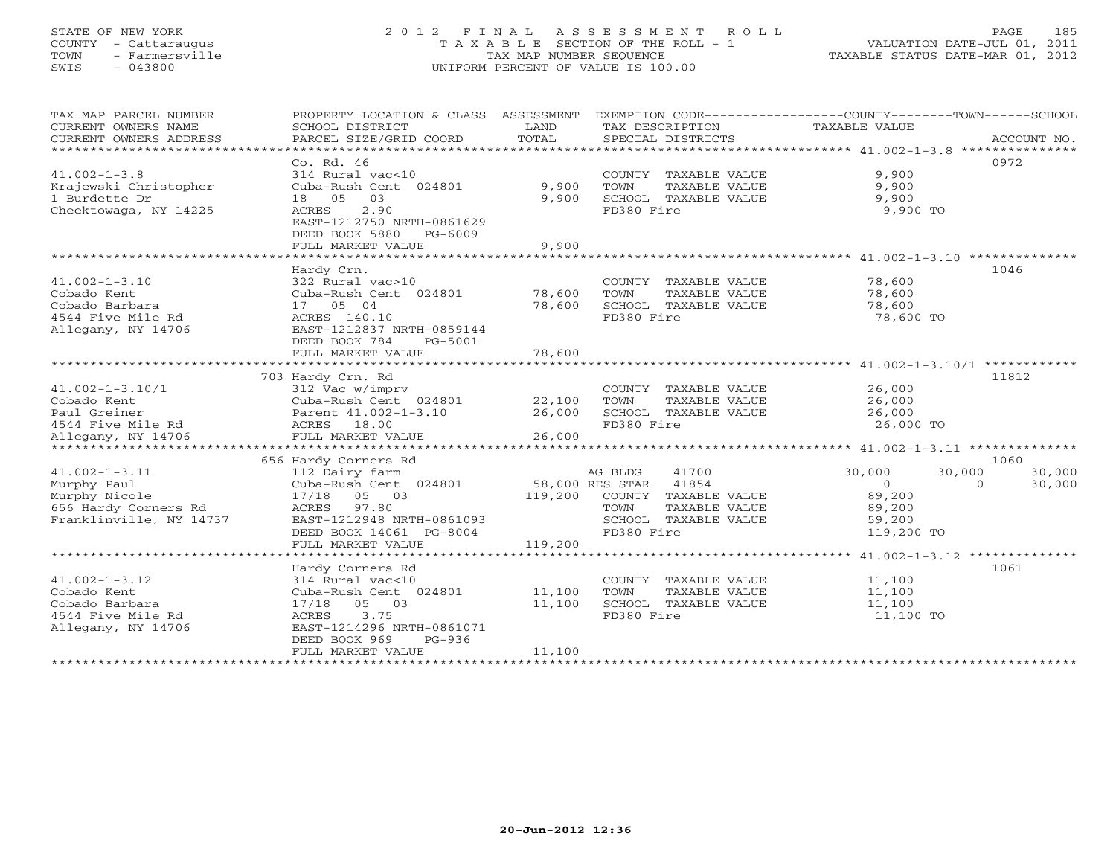## STATE OF NEW YORK 2 0 1 2 F I N A L A S S E S S M E N T R O L L PAGE 185 COUNTY - Cattaraugus T A X A B L E SECTION OF THE ROLL - 1 VALUATION DATE-JUL 01, 2011 TOWN - Farmersville TAX MAP NUMBER SEQUENCE TAXABLE STATUS DATE-MAR 01, 2012 SWIS - 043800 UNIFORM PERCENT OF VALUE IS 100.00UNIFORM PERCENT OF VALUE IS 100.00

| TAX MAP PARCEL NUMBER      |                           |                 | PROPERTY LOCATION & CLASS ASSESSMENT EXEMPTION CODE----------------COUNTY-------TOWN------SCHOOL |                                                      |                    |
|----------------------------|---------------------------|-----------------|--------------------------------------------------------------------------------------------------|------------------------------------------------------|--------------------|
| CURRENT OWNERS NAME        | SCHOOL DISTRICT           | LAND            | TAX DESCRIPTION                                                                                  | <b>TAXABLE VALUE</b>                                 |                    |
| CURRENT OWNERS ADDRESS     | PARCEL SIZE/GRID COORD    | TOTAL           | SPECIAL DISTRICTS                                                                                |                                                      | ACCOUNT NO.        |
| ************************** |                           |                 |                                                                                                  |                                                      |                    |
|                            | Co. Rd. 46                |                 |                                                                                                  |                                                      | 0972               |
| $41.002 - 1 - 3.8$         | 314 Rural vac<10          |                 | COUNTY TAXABLE VALUE                                                                             | 9,900                                                |                    |
| Krajewski Christopher      | Cuba-Rush Cent 024801     | 9,900           | TOWN<br>TAXABLE VALUE                                                                            | 9,900                                                |                    |
| 1 Burdette Dr              | 03<br>18 05               | 9,900           | SCHOOL TAXABLE VALUE                                                                             | 9,900                                                |                    |
| Cheektowaga, NY 14225      | 2.90<br>ACRES             |                 | FD380 Fire                                                                                       | 9,900 TO                                             |                    |
|                            | EAST-1212750 NRTH-0861629 |                 |                                                                                                  |                                                      |                    |
|                            | DEED BOOK 5880<br>PG-6009 |                 |                                                                                                  |                                                      |                    |
|                            | FULL MARKET VALUE         | 9,900           |                                                                                                  |                                                      |                    |
|                            |                           |                 |                                                                                                  |                                                      |                    |
|                            | Hardy Crn.                |                 |                                                                                                  |                                                      | 1046               |
| $41.002 - 1 - 3.10$        | 322 Rural vac>10          |                 | COUNTY TAXABLE VALUE                                                                             | 78,600                                               |                    |
| Cobado Kent                | Cuba-Rush Cent 024801     | 78,600          | TOWN<br>TAXABLE VALUE                                                                            | 78,600                                               |                    |
| Cobado Barbara             | 17 05 04                  | 78,600          | SCHOOL TAXABLE VALUE                                                                             | 78,600                                               |                    |
| 4544 Five Mile Rd          | ACRES 140.10              |                 | FD380 Fire                                                                                       | 78,600 TO                                            |                    |
| Allegany, NY 14706         | EAST-1212837 NRTH-0859144 |                 |                                                                                                  |                                                      |                    |
|                            | DEED BOOK 784<br>PG-5001  |                 |                                                                                                  |                                                      |                    |
|                            | FULL MARKET VALUE         | 78,600          |                                                                                                  |                                                      |                    |
|                            |                           |                 |                                                                                                  |                                                      |                    |
|                            | 703 Hardy Crn. Rd         |                 |                                                                                                  |                                                      | 11812              |
| $41.002 - 1 - 3.10/1$      | 312 Vac w/imprv           |                 | COUNTY TAXABLE VALUE                                                                             | 26,000                                               |                    |
| Cobado Kent                | Cuba-Rush Cent 024801     | 22,100          | TOWN<br>TAXABLE VALUE                                                                            | 26,000                                               |                    |
| Paul Greiner               | Parent 41.002-1-3.10      | 26,000          | SCHOOL TAXABLE VALUE                                                                             | 26,000                                               |                    |
| 4544 Five Mile Rd          | ACRES 18.00               |                 | FD380 Fire                                                                                       | 26,000 TO                                            |                    |
| Allegany, NY 14706         | FULL MARKET VALUE         | 26,000          |                                                                                                  |                                                      |                    |
|                            |                           |                 |                                                                                                  |                                                      |                    |
|                            | 656 Hardy Corners Rd      |                 |                                                                                                  |                                                      | 1060               |
| $41.002 - 1 - 3.11$        | 112 Dairy farm            |                 | AG BLDG<br>41700                                                                                 | 30,000<br>30,000                                     | 30,000             |
| Murphy Paul                | Cuba-Rush Cent 024801     | 58,000 RES STAR | 41854                                                                                            | $\Omega$                                             | 30,000<br>$\Omega$ |
| Murphy Nicole              | 17/18 05 03               | 119,200         | COUNTY TAXABLE VALUE                                                                             | 89,200                                               |                    |
| 656 Hardy Corners Rd       | ACRES 97.80               |                 | TOWN<br>TAXABLE VALUE                                                                            | 89,200                                               |                    |
| Franklinville, NY 14737    | EAST-1212948 NRTH-0861093 |                 | SCHOOL TAXABLE VALUE                                                                             | 59,200                                               |                    |
|                            | DEED BOOK 14061 PG-8004   |                 | FD380 Fire                                                                                       | 119,200 TO                                           |                    |
|                            | FULL MARKET VALUE         | 119,200         |                                                                                                  |                                                      |                    |
|                            |                           |                 |                                                                                                  | ********************** 41.002-1-3.12 *************** |                    |
|                            | Hardy Corners Rd          |                 |                                                                                                  |                                                      | 1061               |
| $41.002 - 1 - 3.12$        | 314 Rural vac<10          |                 | COUNTY TAXABLE VALUE                                                                             | 11,100                                               |                    |
| Cobado Kent                | Cuba-Rush Cent 024801     | 11,100          | TOWN<br>TAXABLE VALUE                                                                            | 11,100                                               |                    |
| Cobado Barbara             | 17/18 05 03               | 11,100          | SCHOOL TAXABLE VALUE                                                                             | 11,100                                               |                    |
| 4544 Five Mile Rd          | 3.75<br>ACRES             |                 | FD380 Fire                                                                                       | 11,100 TO                                            |                    |
| Allegany, NY 14706         | EAST-1214296 NRTH-0861071 |                 |                                                                                                  |                                                      |                    |
|                            | DEED BOOK 969<br>$PG-936$ |                 |                                                                                                  |                                                      |                    |
|                            | FULL MARKET VALUE         | 11,100          |                                                                                                  |                                                      |                    |
|                            |                           |                 |                                                                                                  |                                                      |                    |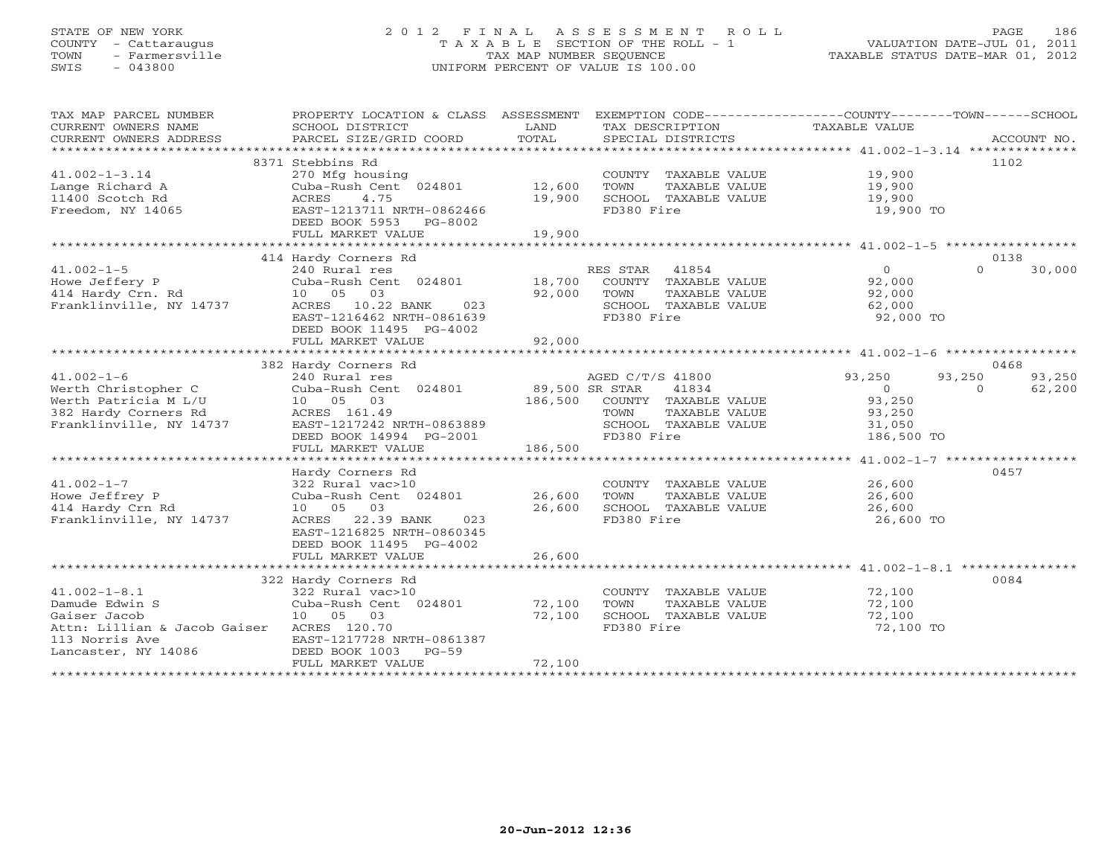## STATE OF NEW YORK 2 0 1 2 F I N A L A S S E S S M E N T R O L L PAGE 186 COUNTY - Cattaraugus T A X A B L E SECTION OF THE ROLL - 1 VALUATION DATE-JUL 01, 2011 TOWN - Farmersville TAX MAP NUMBER SEQUENCE TAXABLE STATUS DATE-MAR 01, 2012 SWIS - 043800 UNIFORM PERCENT OF VALUE IS 100.00UNIFORM PERCENT OF VALUE IS 100.00

| TAX MAP PARCEL NUMBER<br>CURRENT OWNERS NAME | PROPERTY LOCATION & CLASS ASSESSMENT<br>SCHOOL DISTRICT | LAND           | TAX DESCRIPTION                               | EXEMPTION CODE-----------------COUNTY-------TOWN------SCHOOL<br>TAXABLE VALUE |             |
|----------------------------------------------|---------------------------------------------------------|----------------|-----------------------------------------------|-------------------------------------------------------------------------------|-------------|
| CURRENT OWNERS ADDRESS                       | PARCEL SIZE/GRID COORD                                  | TOTAL          | SPECIAL DISTRICTS                             |                                                                               | ACCOUNT NO. |
|                                              |                                                         |                |                                               |                                                                               | 1102        |
|                                              | 8371 Stebbins Rd                                        |                |                                               |                                                                               |             |
| $41.002 - 1 - 3.14$<br>Lange Richard A       | 270 Mfg housing<br>Cuba-Rush Cent 024801                | 12,600         | COUNTY TAXABLE VALUE<br>TOWN<br>TAXABLE VALUE | 19,900<br>19,900                                                              |             |
| 11400 Scotch Rd                              | 4.75<br>ACRES                                           | 19,900         | SCHOOL TAXABLE VALUE                          | 19,900                                                                        |             |
| Freedom, NY 14065                            | EAST-1213711 NRTH-0862466                               |                | FD380 Fire                                    | 19,900 TO                                                                     |             |
|                                              | DEED BOOK 5953<br>PG-8002                               |                |                                               |                                                                               |             |
|                                              | FULL MARKET VALUE                                       | 19,900         |                                               |                                                                               |             |
|                                              |                                                         |                |                                               |                                                                               |             |
|                                              | 414 Hardy Corners Rd                                    |                |                                               |                                                                               | 0138        |
| $41.002 - 1 - 5$                             | 240 Rural res                                           |                | RES STAR<br>41854                             | $\circ$<br>$\Omega$                                                           | 30,000      |
| Howe Jeffery P                               | Cuba-Rush Cent 024801                                   | 18,700         | COUNTY TAXABLE VALUE                          | 92,000                                                                        |             |
| 414 Hardy Crn. Rd                            | 03<br>10 05                                             | 92,000         | TOWN<br>TAXABLE VALUE                         | 92,000                                                                        |             |
| Franklinville, NY 14737                      | ACRES<br>10.22 BANK<br>023                              |                | SCHOOL TAXABLE VALUE                          | 62,000                                                                        |             |
|                                              | EAST-1216462 NRTH-0861639                               |                | FD380 Fire                                    | 92,000 TO                                                                     |             |
|                                              | DEED BOOK 11495 PG-4002                                 |                |                                               |                                                                               |             |
|                                              | FULL MARKET VALUE                                       | 92,000         |                                               |                                                                               |             |
|                                              |                                                         |                |                                               |                                                                               |             |
|                                              | 382 Hardy Corners Rd                                    |                |                                               |                                                                               | 0468        |
| $41.002 - 1 - 6$                             | 240 Rural res                                           |                | AGED C/T/S 41800                              | 93,250<br>93,250                                                              | 93,250      |
| Werth Christopher C                          | Cuba-Rush Cent 024801                                   | 89,500 SR STAR | 41834                                         | $\overline{0}$<br>$\Omega$                                                    | 62,200      |
| Werth Patricia M L/U                         | 10 05 03                                                | 186,500        | COUNTY TAXABLE VALUE                          | 93,250                                                                        |             |
| 382 Hardy Corners Rd                         | ACRES 161.49                                            |                | TOWN<br>TAXABLE VALUE                         | 93,250                                                                        |             |
| Franklinville, NY 14737                      | EAST-1217242 NRTH-0863889                               |                | SCHOOL TAXABLE VALUE                          | 31,050                                                                        |             |
|                                              | DEED BOOK 14994 PG-2001                                 |                | FD380 Fire                                    | 186,500 TO                                                                    |             |
|                                              | FULL MARKET VALUE                                       | 186,500        |                                               |                                                                               |             |
|                                              | Hardy Corners Rd                                        |                |                                               |                                                                               | 0457        |
| $41.002 - 1 - 7$                             | 322 Rural vac>10                                        |                | COUNTY TAXABLE VALUE                          | 26,600                                                                        |             |
| Howe Jeffrey P                               | Cuba-Rush Cent 024801                                   | 26,600         | TOWN<br>TAXABLE VALUE                         | 26,600                                                                        |             |
| 414 Hardy Crn Rd                             | 10 05<br>03                                             | 26,600         | SCHOOL TAXABLE VALUE                          | 26,600                                                                        |             |
| Franklinville, NY 14737                      | 22.39 BANK<br>023<br>ACRES                              |                | FD380 Fire                                    | 26,600 TO                                                                     |             |
|                                              | EAST-1216825 NRTH-0860345                               |                |                                               |                                                                               |             |
|                                              | DEED BOOK 11495 PG-4002                                 |                |                                               |                                                                               |             |
|                                              | FULL MARKET VALUE                                       | 26,600         |                                               |                                                                               |             |
|                                              |                                                         |                |                                               |                                                                               |             |
|                                              | 322 Hardy Corners Rd                                    |                |                                               |                                                                               | 0084        |
| $41.002 - 1 - 8.1$                           | 322 Rural vac>10                                        |                | COUNTY TAXABLE VALUE                          | 72,100                                                                        |             |
| Damude Edwin S                               | Cuba-Rush Cent 024801                                   | 72,100         | TOWN<br>TAXABLE VALUE                         | 72,100                                                                        |             |
| Gaiser Jacob                                 | 10 05 03                                                | 72,100         | SCHOOL TAXABLE VALUE                          | 72,100                                                                        |             |
| Attn: Lillian & Jacob Gaiser ACRES 120.70    |                                                         |                | FD380 Fire                                    | 72,100 TO                                                                     |             |
| 113 Norris Ave                               | EAST-1217728 NRTH-0861387                               |                |                                               |                                                                               |             |
| Lancaster, NY 14086                          | DEED BOOK 1003<br>$PG-59$                               |                |                                               |                                                                               |             |
|                                              | FULL MARKET VALUE                                       | 72,100         |                                               |                                                                               |             |
|                                              |                                                         |                |                                               |                                                                               |             |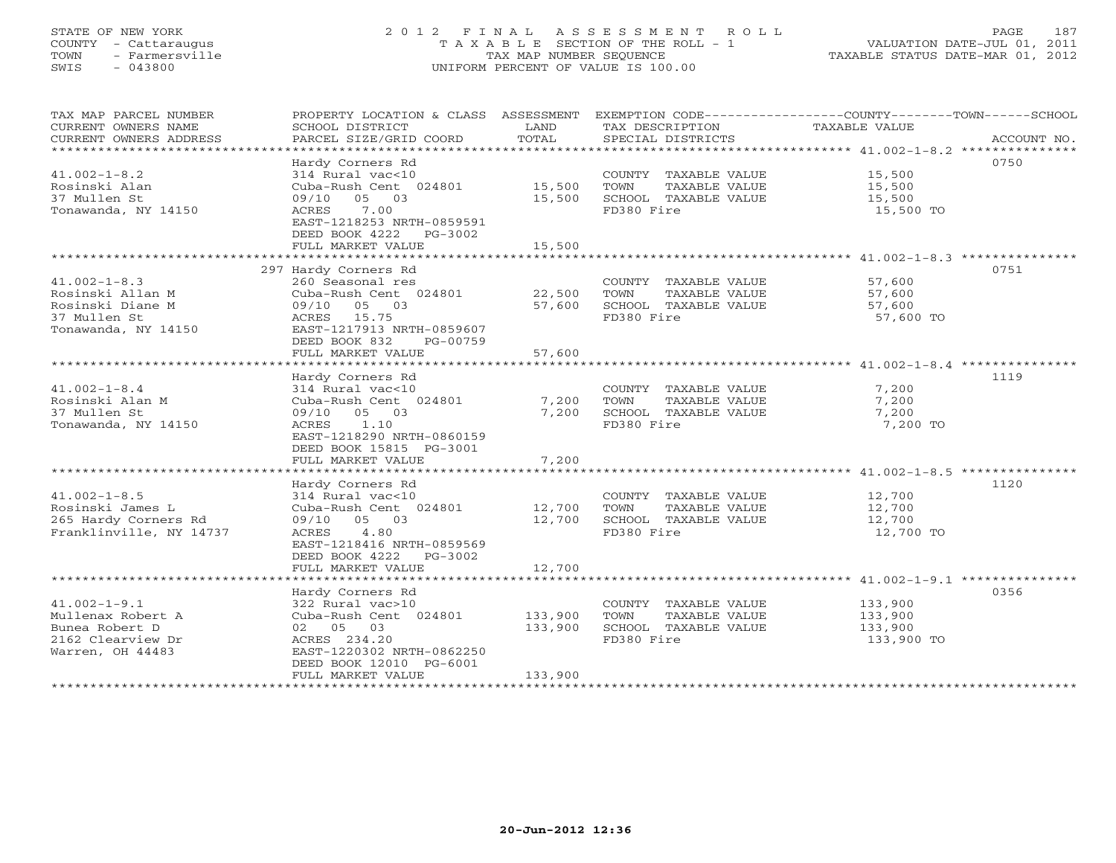## STATE OF NEW YORK 2 0 1 2 F I N A L A S S E S S M E N T R O L L PAGE 187 COUNTY - Cattaraugus T A X A B L E SECTION OF THE ROLL - 1 VALUATION DATE-JUL 01, 2011 TOWN - Farmersville TAX MAP NUMBER SEQUENCE TAXABLE STATUS DATE-MAR 01, 2012 SWIS - 043800 UNIFORM PERCENT OF VALUE IS 100.00UNIFORM PERCENT OF VALUE IS 100.00

| TAX MAP PARCEL NUMBER<br>CURRENT OWNERS NAME<br>CURRENT OWNERS ADDRESS                             | PROPERTY LOCATION & CLASS ASSESSMENT<br>SCHOOL DISTRICT<br>PARCEL SIZE/GRID COORD                                                                                         | LAND<br>TOTAL                 | TAX DESCRIPTION<br>SPECIAL DISTRICTS                                                | EXEMPTION CODE-----------------COUNTY-------TOWN------SCHOOL<br>TAXABLE VALUE<br>ACCOUNT NO. |
|----------------------------------------------------------------------------------------------------|---------------------------------------------------------------------------------------------------------------------------------------------------------------------------|-------------------------------|-------------------------------------------------------------------------------------|----------------------------------------------------------------------------------------------|
| $41.002 - 1 - 8.2$<br>Rosinski Alan<br>37 Mullen St<br>Tonawanda, NY 14150                         | Hardy Corners Rd<br>314 Rural vac<10<br>Cuba-Rush Cent 024801<br>09/10 05 03<br>7.00<br>ACRES<br>EAST-1218253 NRTH-0859591<br>DEED BOOK 4222 PG-3002<br>FULL MARKET VALUE | 15,500<br>15,500<br>15,500    | COUNTY TAXABLE VALUE<br>TOWN<br>TAXABLE VALUE<br>SCHOOL TAXABLE VALUE<br>FD380 Fire | 0750<br>15,500<br>15,500<br>15,500<br>15,500 TO                                              |
|                                                                                                    | 297 Hardy Corners Rd                                                                                                                                                      |                               |                                                                                     | 0751                                                                                         |
| $41.002 - 1 - 8.3$<br>Rosinski Allan M<br>Rosinski Diane M<br>37 Mullen St<br>Tonawanda, NY 14150  | 260 Seasonal res<br>Cuba-Rush Cent 024801<br>09/10 05 03<br>ACRES 15.75<br>EAST-1217913 NRTH-0859607<br>DEED BOOK 832<br>PG-00759                                         | 22,500<br>57,600              | COUNTY TAXABLE VALUE<br>TOWN<br>TAXABLE VALUE<br>SCHOOL TAXABLE VALUE<br>FD380 Fire | 57,600<br>57,600<br>57,600<br>57,600 TO                                                      |
|                                                                                                    | FULL MARKET VALUE                                                                                                                                                         | 57,600                        |                                                                                     |                                                                                              |
|                                                                                                    | Hardy Corners Rd                                                                                                                                                          |                               |                                                                                     | 1119                                                                                         |
| $41.002 - 1 - 8.4$<br>Rosinski Alan M<br>37 Mullen St<br>Tonawanda, NY 14150                       | 314 Rural vac<10<br>Cuba-Rush Cent 024801<br>09/10 05 03<br>1.10<br>ACRES<br>EAST-1218290 NRTH-0860159<br>DEED BOOK 15815 PG-3001                                         | 7,200<br>7,200                | COUNTY TAXABLE VALUE<br>TOWN<br>TAXABLE VALUE<br>SCHOOL TAXABLE VALUE<br>FD380 Fire | 7,200<br>7,200<br>7,200<br>7,200 TO                                                          |
|                                                                                                    | FULL MARKET VALUE                                                                                                                                                         | 7,200                         |                                                                                     |                                                                                              |
|                                                                                                    | Hardy Corners Rd                                                                                                                                                          |                               |                                                                                     | 1120                                                                                         |
| $41.002 - 1 - 8.5$<br>Rosinski James L<br>265 Hardy Corners Rd<br>Franklinville, NY 14737          | 314 Rural vac<10<br>Cuba-Rush Cent 024801<br>09/10 05 03<br>ACRES 4.80<br>EAST-1218416 NRTH-0859569<br>DEED BOOK 4222 PG-3002<br>FULL MARKET VALUE                        | 12,700<br>12,700<br>12,700    | COUNTY TAXABLE VALUE<br>TOWN<br>TAXABLE VALUE<br>SCHOOL TAXABLE VALUE<br>FD380 Fire | 12,700<br>12,700<br>12,700<br>12,700 TO                                                      |
|                                                                                                    |                                                                                                                                                                           |                               |                                                                                     |                                                                                              |
| $41.002 - 1 - 9.1$<br>Mullenax Robert A<br>Bunea Robert D<br>2162 Clearview Dr<br>Warren, OH 44483 | Hardy Corners Rd<br>322 Rural vac>10<br>Cuba-Rush Cent 024801<br>02 05 03<br>ACRES 234.20<br>EAST-1220302 NRTH-0862250<br>DEED BOOK 12010 PG-6001                         | 133,900<br>133,900<br>133,900 | COUNTY TAXABLE VALUE<br>TOWN<br>TAXABLE VALUE<br>SCHOOL TAXABLE VALUE<br>FD380 Fire | 0356<br>133,900<br>133,900<br>133,900<br>133,900 TO                                          |
|                                                                                                    | FULL MARKET VALUE                                                                                                                                                         |                               |                                                                                     |                                                                                              |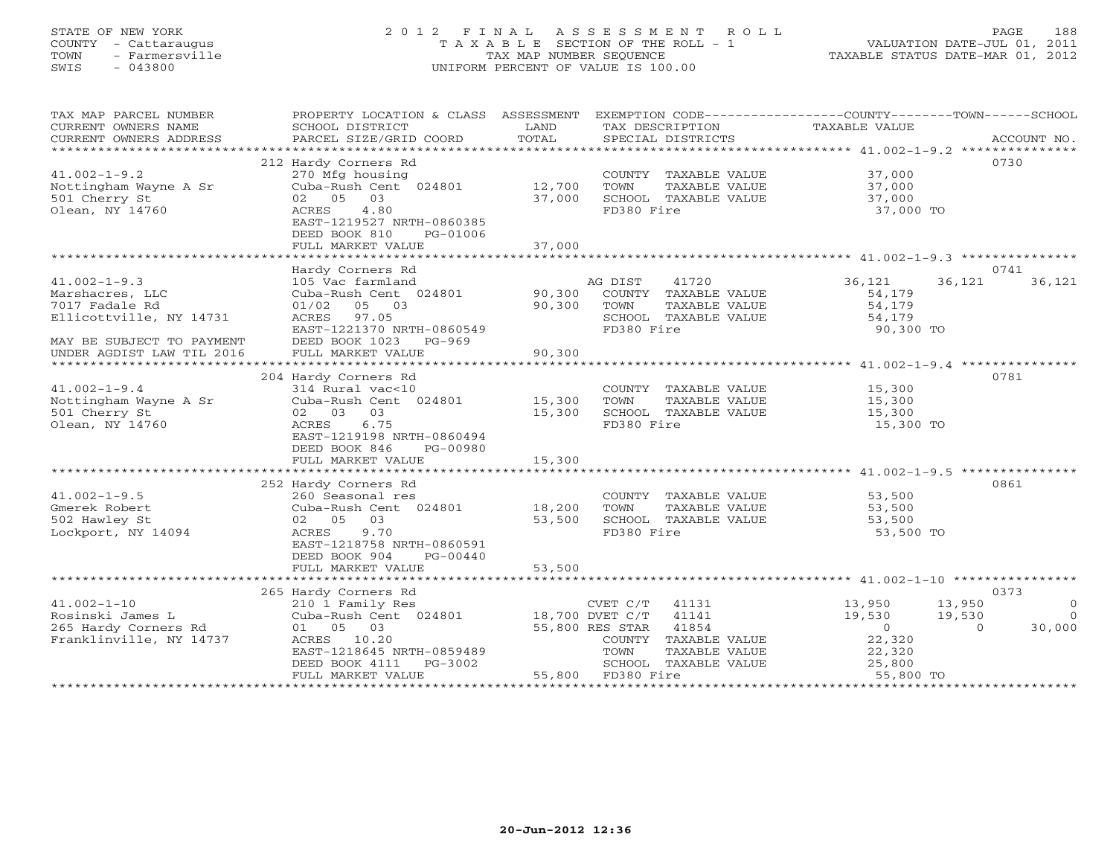## STATE OF NEW YORK 2 0 1 2 F I N A L A S S E S S M E N T R O L L PAGE 188 COUNTY - Cattaraugus T A X A B L E SECTION OF THE ROLL - 1 VALUATION DATE-JUL 01, 2011 TOWN - Farmersville TAX MAP NUMBER SEQUENCE TAXABLE STATUS DATE-MAR 01, 2012 SWIS - 043800 UNIFORM PERCENT OF VALUE IS 100.00UNIFORM PERCENT OF VALUE IS 100.00

| TAX MAP PARCEL NUMBER          | PROPERTY LOCATION & CLASS ASSESSMENT |                  |                                               | EXEMPTION CODE----------------COUNTY-------TOWN------SCHOOL |
|--------------------------------|--------------------------------------|------------------|-----------------------------------------------|-------------------------------------------------------------|
| CURRENT OWNERS NAME            | SCHOOL DISTRICT                      | LAND             | TAX DESCRIPTION                               | TAXABLE VALUE                                               |
| CURRENT OWNERS ADDRESS         |                                      | TOTAL            |                                               |                                                             |
| **********************         |                                      |                  |                                               |                                                             |
|                                | 212 Hardy Corners Rd                 |                  |                                               | 0730                                                        |
| $41.002 - 1 - 9.2$             | 270 Mfg housing                      |                  | COUNTY TAXABLE VALUE                          | 37,000                                                      |
| Nottingham Wayne A Sr          | Cuba-Rush Cent 024801                | 12,700           | TOWN<br>TAXABLE VALUE                         | 37,000                                                      |
| 501 Cherry St                  | 02 05 03                             | 37,000           | SCHOOL TAXABLE VALUE                          | 37,000                                                      |
| Olean, NY 14760                | 4.80<br>ACRES                        |                  | FD380 Fire                                    | 37,000 TO                                                   |
|                                | EAST-1219527 NRTH-0860385            |                  |                                               |                                                             |
|                                | DEED BOOK 810<br>PG-01006            |                  |                                               |                                                             |
|                                | FULL MARKET VALUE                    | 37,000           |                                               |                                                             |
|                                |                                      |                  |                                               |                                                             |
|                                | Hardy Corners Rd                     |                  |                                               | 0741                                                        |
| $41.002 - 1 - 9.3$             | 105 Vac farmland                     |                  | AG DIST<br>41720                              | 36,121<br>36,121<br>36,121                                  |
| Marshacres, LLC                | Cuba-Rush Cent 024801                | 90,300           | COUNTY TAXABLE VALUE                          | 54,179                                                      |
| 7017 Fadale Rd                 | 05 03<br>01/02                       | 90,300           | TOWN<br>TAXABLE VALUE                         | 54,179                                                      |
| Ellicottville, NY 14731        | ACRES 97.05                          |                  | SCHOOL TAXABLE VALUE                          | 54,179                                                      |
|                                | EAST-1221370 NRTH-0860549            |                  | FD380 Fire                                    | 90,300 TO                                                   |
| MAY BE SUBJECT TO PAYMENT      | DEED BOOK 1023 PG-969                |                  |                                               |                                                             |
| UNDER AGDIST LAW TIL 2016      | FULL MARKET VALUE                    | 90,300           |                                               |                                                             |
|                                |                                      |                  |                                               |                                                             |
|                                | 204 Hardy Corners Rd                 |                  |                                               | 0781                                                        |
| $41.002 - 1 - 9.4$             | 314 Rural vac<10                     |                  | COUNTY TAXABLE VALUE                          | 15,300                                                      |
| Nottingham Wayne A Sr          | Cuba-Rush Cent 024801                | 15,300           | TAXABLE VALUE<br>TOWN                         | 15,300                                                      |
| 501 Cherry St                  | 02 03 03                             | 15,300           | SCHOOL TAXABLE VALUE                          | 15,300                                                      |
| Olean, NY 14760                | ACRES<br>6.75                        |                  | FD380 Fire                                    | 15,300 TO                                                   |
|                                | EAST-1219198 NRTH-0860494            |                  |                                               |                                                             |
|                                | DEED BOOK 846<br>PG-00980            |                  |                                               |                                                             |
|                                | FULL MARKET VALUE                    | 15,300           |                                               |                                                             |
|                                |                                      |                  |                                               |                                                             |
| $41.002 - 1 - 9.5$             | 252 Hardy Corners Rd                 |                  |                                               | 0861                                                        |
|                                | 260 Seasonal res                     |                  | COUNTY TAXABLE VALUE                          | 53,500                                                      |
| Gmerek Robert<br>502 Hawley St | Cuba-Rush Cent 024801<br>02 05 03    | 18,200<br>53,500 | TOWN<br>TAXABLE VALUE<br>SCHOOL TAXABLE VALUE | 53,500<br>53,500                                            |
| Lockport, NY 14094             | ACRES<br>9.70                        |                  | FD380 Fire                                    | 53,500 TO                                                   |
|                                | EAST-1218758 NRTH-0860591            |                  |                                               |                                                             |
|                                | DEED BOOK 904<br>PG-00440            |                  |                                               |                                                             |
|                                | FULL MARKET VALUE                    | 53,500           |                                               |                                                             |
|                                |                                      |                  |                                               |                                                             |
|                                | 265 Hardy Corners Rd                 |                  |                                               | 0373                                                        |
| $41.002 - 1 - 10$              | 210 1 Family Res                     |                  | CVET C/T 41131                                | 13,950<br>13,950<br>$\overline{0}$                          |
| Rosinski James L               | Cuba-Rush Cent 024801                | 18,700 DVET C/T  | 41141                                         | 19,530<br>$\bigcirc$<br>19,530                              |
| 265 Hardy Corners Rd           | 01 05 03                             |                  | 55,800 RES STAR 41854                         | $\overline{0}$<br>30,000<br>$\Omega$                        |
| Franklinville, NY 14737        | ACRES 10.20                          |                  | COUNTY TAXABLE VALUE                          | 22,320                                                      |
|                                | EAST-1218645 NRTH-0859489            |                  | TOWN<br>TAXABLE VALUE                         | 22,320                                                      |
|                                | DEED BOOK 4111<br>PG-3002            |                  | SCHOOL TAXABLE VALUE                          | 25,800                                                      |
|                                | FULL MARKET VALUE                    |                  | 55,800 FD380 Fire                             | 55,800 TO                                                   |
|                                |                                      |                  |                                               |                                                             |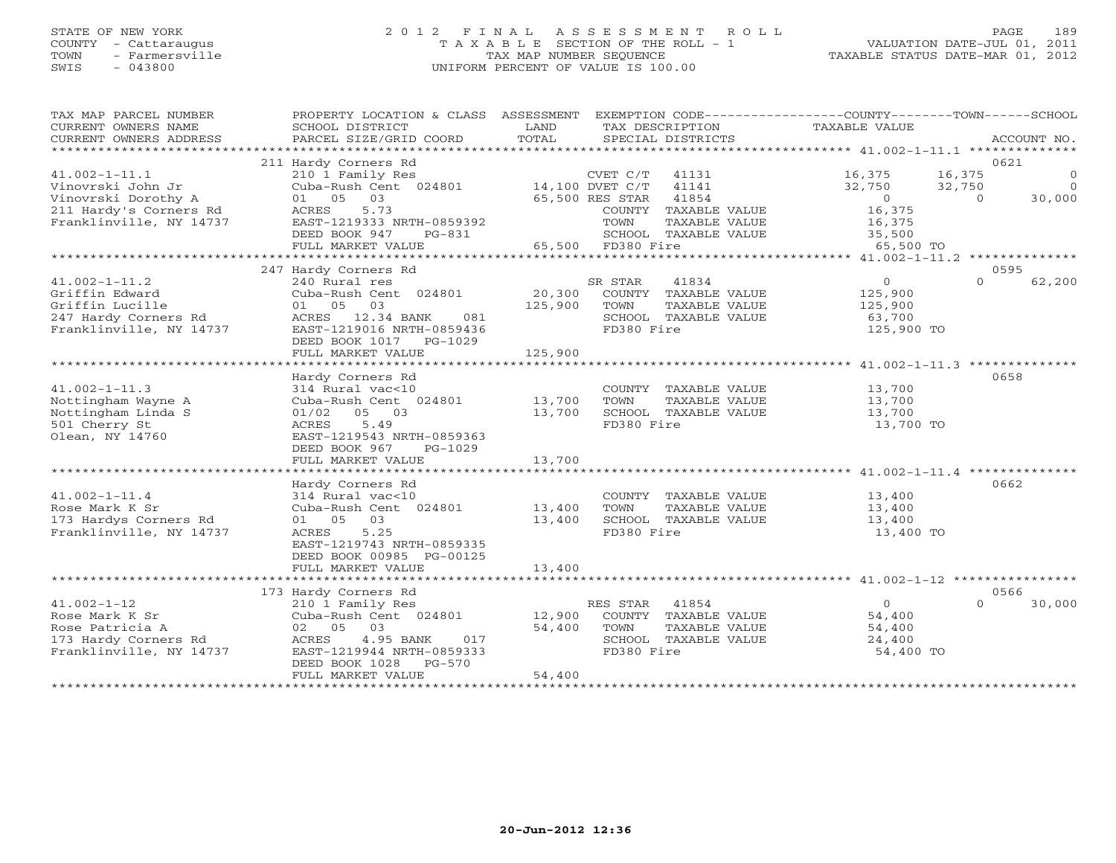## STATE OF NEW YORK 2 0 1 2 F I N A L A S S E S S M E N T R O L L PAGE 189 COUNTY - Cattaraugus T A X A B L E SECTION OF THE ROLL - 1 VALUATION DATE-JUL 01, 2011 TOWN - Farmersville TAX MAP NUMBER SEQUENCE TAXABLE STATUS DATE-MAR 01, 2012 SWIS - 043800 UNIFORM PERCENT OF VALUE IS 100.00UNIFORM PERCENT OF VALUE IS 100.00

| TAX MAP PARCEL NUMBER<br>CURRENT OWNERS NAME<br>CURRENT OWNERS ADDRESS | PROPERTY LOCATION & CLASS ASSESSMENT<br>SCHOOL DISTRICT<br>PARCEL SIZE/GRID COORD | LAND<br>TOTAL |                                    | TAX DESCRIPTION<br>SPECIAL DISTRICTS  | EXEMPTION CODE-----------------COUNTY-------TOWN------SCHOOL<br><b>TAXABLE VALUE</b> |                    | ACCOUNT NO.        |
|------------------------------------------------------------------------|-----------------------------------------------------------------------------------|---------------|------------------------------------|---------------------------------------|--------------------------------------------------------------------------------------|--------------------|--------------------|
|                                                                        |                                                                                   |               |                                    |                                       |                                                                                      |                    |                    |
| $41.002 - 1 - 11.1$                                                    | 211 Hardy Corners Rd<br>210 1 Family Res                                          |               | CVET C/T                           | 41131                                 | 16,375                                                                               | 16,375             | 0621<br>$\Omega$   |
| Vinovrski John Jr<br>Vinovrski Dorothy A                               | Cuba-Rush Cent 024801<br>03<br>01 05                                              |               | 14,100 DVET C/T<br>65,500 RES STAR | 41141<br>41854                        | 32,750<br>$\overline{0}$                                                             | 32,750<br>$\Omega$ | $\Omega$<br>30,000 |
| 211 Hardy's Corners Rd<br>Franklinville, NY 14737                      | ACRES<br>5.73<br>EAST-1219333 NRTH-0859392                                        |               | TOWN                               | COUNTY TAXABLE VALUE<br>TAXABLE VALUE | 16,375<br>16,375                                                                     |                    |                    |
|                                                                        | DEED BOOK 947<br>PG-831<br>FULL MARKET VALUE                                      |               | 65,500 FD380 Fire                  | SCHOOL TAXABLE VALUE                  | 35,500<br>65,500 TO                                                                  |                    |                    |
|                                                                        |                                                                                   |               |                                    |                                       |                                                                                      |                    |                    |
|                                                                        | 247 Hardy Corners Rd                                                              |               |                                    |                                       |                                                                                      |                    | 0595               |
| $41.002 - 1 - 11.2$                                                    | 240 Rural res                                                                     |               | SR STAR                            | 41834                                 | $\circ$                                                                              | $\Omega$           | 62,200             |
| Griffin Edward                                                         | Cuba-Rush Cent 024801                                                             | 20,300        |                                    | COUNTY TAXABLE VALUE                  | 125,900                                                                              |                    |                    |
| Griffin Lucille<br>247 Hardy Corners Rd                                | 01 05 03<br>ACRES 12.34 BANK<br>081                                               | 125,900       | TOWN                               | TAXABLE VALUE<br>SCHOOL TAXABLE VALUE | 125,900<br>63,700                                                                    |                    |                    |
| Franklinville, NY 14737                                                | EAST-1219016 NRTH-0859436                                                         |               | FD380 Fire                         |                                       | 125,900 TO                                                                           |                    |                    |
|                                                                        | DEED BOOK 1017<br>PG-1029<br>FULL MARKET VALUE                                    | 125,900       |                                    |                                       |                                                                                      |                    |                    |
|                                                                        |                                                                                   |               |                                    |                                       |                                                                                      |                    |                    |
|                                                                        | Hardy Corners Rd                                                                  |               |                                    |                                       |                                                                                      |                    | 0658               |
| $41.002 - 1 - 11.3$                                                    | 314 Rural vac<10                                                                  |               |                                    | COUNTY TAXABLE VALUE                  | 13,700                                                                               |                    |                    |
| Nottingham Wayne A                                                     | Cuba-Rush Cent 024801                                                             | 13,700        | TOWN                               | TAXABLE VALUE                         | 13,700                                                                               |                    |                    |
| Nottingham Linda S                                                     | 01/02<br>05 03                                                                    | 13,700        |                                    | SCHOOL TAXABLE VALUE                  | 13,700                                                                               |                    |                    |
| 501 Cherry St                                                          | ACRES<br>5.49                                                                     |               | FD380 Fire                         |                                       | 13,700 TO                                                                            |                    |                    |
| Olean, NY 14760                                                        | EAST-1219543 NRTH-0859363                                                         |               |                                    |                                       |                                                                                      |                    |                    |
|                                                                        | DEED BOOK 967<br>PG-1029                                                          |               |                                    |                                       |                                                                                      |                    |                    |
|                                                                        | FULL MARKET VALUE                                                                 | 13,700        |                                    |                                       |                                                                                      |                    |                    |
|                                                                        |                                                                                   |               |                                    |                                       |                                                                                      |                    |                    |
|                                                                        | Hardy Corners Rd                                                                  |               |                                    |                                       |                                                                                      | 0662               |                    |
| $41.002 - 1 - 11.4$                                                    | 314 Rural vac<10                                                                  |               |                                    | COUNTY TAXABLE VALUE                  | 13,400                                                                               |                    |                    |
| Rose Mark K Sr                                                         | Cuba-Rush Cent 024801                                                             | 13,400        | TOWN                               | TAXABLE VALUE                         | 13,400                                                                               |                    |                    |
| 173 Hardys Corners Rd                                                  | 03<br>01 05                                                                       | 13,400        |                                    | SCHOOL TAXABLE VALUE                  | 13,400                                                                               |                    |                    |
| Franklinville, NY 14737                                                | ACRES<br>5.25                                                                     |               | FD380 Fire                         |                                       | 13,400 TO                                                                            |                    |                    |
|                                                                        | EAST-1219743 NRTH-0859335                                                         |               |                                    |                                       |                                                                                      |                    |                    |
|                                                                        | DEED BOOK 00985 PG-00125                                                          |               |                                    |                                       |                                                                                      |                    |                    |
|                                                                        | FULL MARKET VALUE                                                                 | 13,400        |                                    |                                       |                                                                                      |                    |                    |
|                                                                        |                                                                                   |               |                                    |                                       |                                                                                      |                    |                    |
|                                                                        | 173 Hardy Corners Rd                                                              |               |                                    |                                       |                                                                                      |                    | 0566               |
| $41.002 - 1 - 12$                                                      | 210 1 Family Res                                                                  |               | RES STAR                           | 41854                                 | $\circ$                                                                              | $\Omega$           | 30,000             |
| Rose Mark K Sr                                                         | Cuba-Rush Cent 024801                                                             | 12,900        |                                    | COUNTY TAXABLE VALUE                  | 54,400                                                                               |                    |                    |
| Rose Patricia A<br>173 Hardy Corners Rd                                | 02 05<br>03<br>4.95 BANK<br>017                                                   | 54,400        | TOWN                               | TAXABLE VALUE<br>SCHOOL TAXABLE VALUE | 54,400<br>24,400                                                                     |                    |                    |
| Franklinville, NY 14737                                                | ACRES<br>EAST-1219944 NRTH-0859333                                                |               | FD380 Fire                         |                                       | 54,400 TO                                                                            |                    |                    |
|                                                                        | DEED BOOK 1028<br>$PG-570$                                                        |               |                                    |                                       |                                                                                      |                    |                    |
|                                                                        | FULL MARKET VALUE                                                                 | 54,400        |                                    |                                       |                                                                                      |                    |                    |
| **********************                                                 |                                                                                   |               |                                    |                                       |                                                                                      |                    |                    |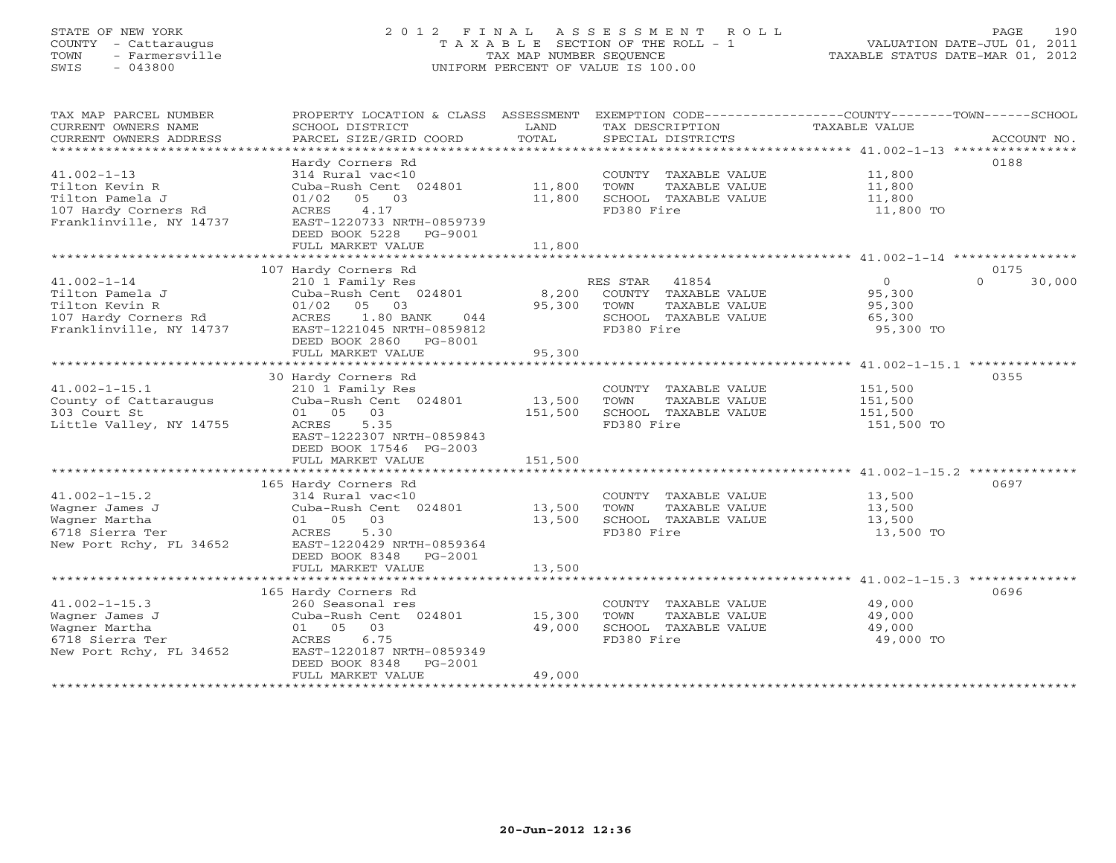## STATE OF NEW YORK 2 0 1 2 F I N A L A S S E S S M E N T R O L L PAGE 190 COUNTY - Cattaraugus T A X A B L E SECTION OF THE ROLL - 1 VALUATION DATE-JUL 01, 2011 TOWN - Farmersville TAX MAP NUMBER SEQUENCE TAXABLE STATUS DATE-MAR 01, 2012 SWIS - 043800 UNIFORM PERCENT OF VALUE IS 100.00UNIFORM PERCENT OF VALUE IS 100.00

| TAX MAP PARCEL NUMBER<br>CURRENT OWNERS NAME<br>CURRENT OWNERS ADDRESS                                    | PROPERTY LOCATION & CLASS ASSESSMENT<br>SCHOOL DISTRICT<br>PARCEL SIZE/GRID COORD                                                                                                  | LAND<br>TOTAL              | EXEMPTION CODE----------------COUNTY-------TOWN------SCHOOL<br>TAX DESCRIPTION<br>SPECIAL DISTRICTS   | <b>TAXABLE VALUE</b>                               | ACCOUNT NO.        |
|-----------------------------------------------------------------------------------------------------------|------------------------------------------------------------------------------------------------------------------------------------------------------------------------------------|----------------------------|-------------------------------------------------------------------------------------------------------|----------------------------------------------------|--------------------|
| $41.002 - 1 - 13$<br>Tilton Kevin R<br>Tilton Pamela J<br>107 Hardy Corners Rd<br>Franklinville, NY 14737 | Hardy Corners Rd<br>314 Rural vac<10<br>Cuba-Rush Cent 024801<br>$01/02$ 05 03<br>4.17<br>ACRES<br>EAST-1220733 NRTH-0859739<br>DEED BOOK 5228<br>PG-9001<br>FULL MARKET VALUE     | 11,800<br>11,800<br>11,800 | COUNTY TAXABLE VALUE<br>TAXABLE VALUE<br>TOWN<br>SCHOOL TAXABLE VALUE<br>FD380 Fire                   | 11,800<br>11,800<br>11,800<br>11,800 TO            | 0188               |
|                                                                                                           | 107 Hardy Corners Rd                                                                                                                                                               |                            |                                                                                                       |                                                    | 0175               |
| $41.002 - 1 - 14$<br>Tilton Pamela J<br>Tilton Kevin R<br>107 Hardy Corners Rd<br>Franklinville, NY 14737 | 210 1 Family Res<br>Cuba-Rush Cent 024801<br>05<br>03<br>01/02<br>ACRES<br>1.80 BANK<br>044<br>EAST-1221045 NRTH-0859812<br>DEED BOOK 2860 PG-8001<br>FULL MARKET VALUE            | 8,200<br>95,300<br>95,300  | RES STAR 41854<br>COUNTY TAXABLE VALUE<br>TOWN<br>TAXABLE VALUE<br>SCHOOL TAXABLE VALUE<br>FD380 Fire | $\circ$<br>95,300<br>95,300<br>65,300<br>95,300 TO | $\Omega$<br>30,000 |
|                                                                                                           | **********************<br>30 Hardy Corners Rd                                                                                                                                      | ***********                |                                                                                                       | ****************** 41.002-1-15.1 ***************   | 0355               |
| $41.002 - 1 - 15.1$<br>County of Cattaraugus<br>303 Court St<br>Little Valley, NY 14755                   | 210 1 Family Res<br>Cuba-Rush Cent 024801<br>01 05<br>03<br>5.35<br>ACRES<br>EAST-1222307 NRTH-0859843<br>DEED BOOK 17546 PG-2003                                                  | 13,500<br>151,500          | COUNTY TAXABLE VALUE<br>TOWN<br>TAXABLE VALUE<br>SCHOOL TAXABLE VALUE<br>FD380 Fire                   | 151,500<br>151,500<br>151,500<br>151,500 TO        |                    |
|                                                                                                           | FULL MARKET VALUE                                                                                                                                                                  | 151,500                    |                                                                                                       |                                                    |                    |
| $41.002 - 1 - 15.2$<br>Wagner James J<br>Wagner Martha<br>6718 Sierra Ter<br>New Port Rchy, FL 34652      | 165 Hardy Corners Rd<br>314 Rural vac<10<br>Cuba-Rush Cent 024801<br>01 05<br>03<br>ACRES<br>5.30<br>EAST-1220429 NRTH-0859364<br>DEED BOOK 8348<br>$PG-2001$<br>FULL MARKET VALUE | 13,500<br>13,500<br>13,500 | COUNTY TAXABLE VALUE<br>TOWN<br>TAXABLE VALUE<br>SCHOOL TAXABLE VALUE<br>FD380 Fire                   | 13,500<br>13,500<br>13,500<br>13,500 TO            | 0697               |
|                                                                                                           |                                                                                                                                                                                    |                            |                                                                                                       |                                                    |                    |
| $41.002 - 1 - 15.3$<br>Wagner James J<br>Wagner Martha<br>6718 Sierra Ter<br>New Port Rchy, FL 34652      | 165 Hardy Corners Rd<br>260 Seasonal res<br>Cuba-Rush Cent 024801<br>03<br>01 05<br>ACRES<br>6.75<br>EAST-1220187 NRTH-0859349<br>DEED BOOK 8348<br>$PG-2001$<br>FULL MARKET VALUE | 15,300<br>49,000<br>49,000 | COUNTY TAXABLE VALUE<br>TOWN<br>TAXABLE VALUE<br>SCHOOL TAXABLE VALUE<br>FD380 Fire                   | 49,000<br>49,000<br>49,000<br>49,000 TO            | 0696               |
|                                                                                                           |                                                                                                                                                                                    |                            |                                                                                                       |                                                    |                    |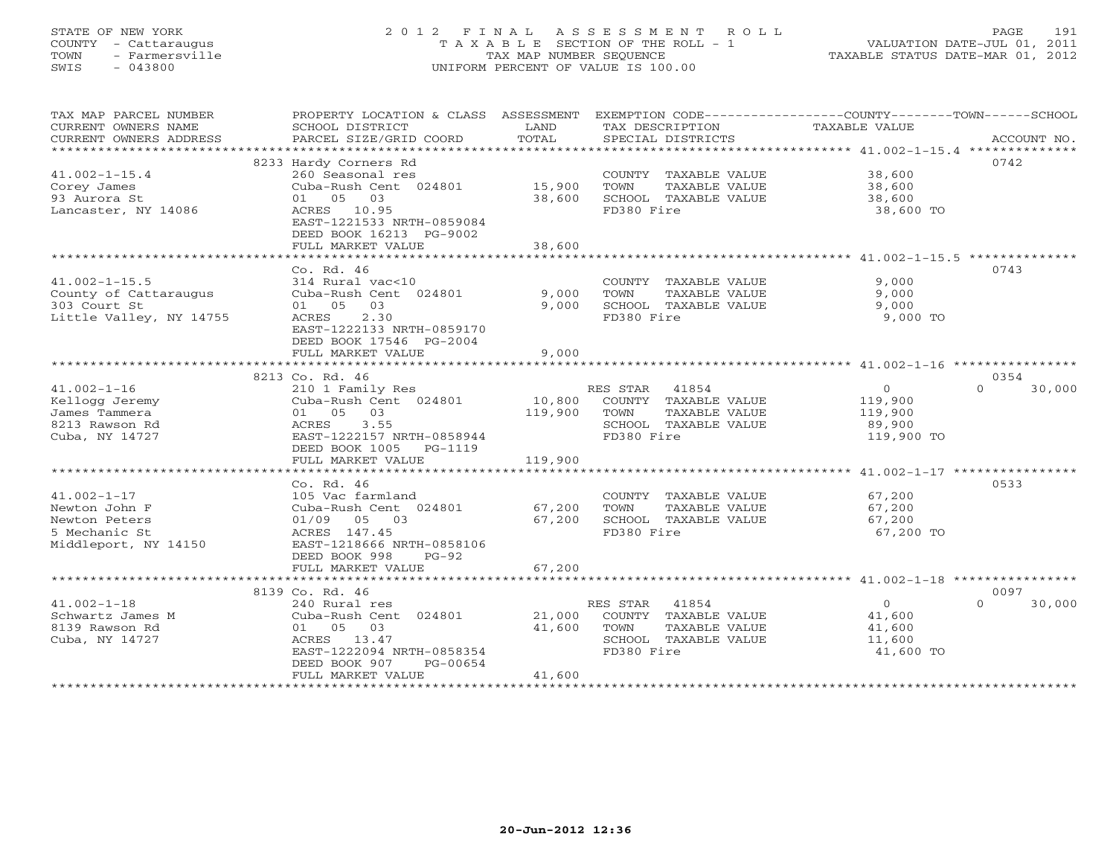### STATE OF NEW YORK 2 0 1 2 F I N A L A S S E S S M E N T R O L L PAGE 191COUNTY - Cattaraugus T A X A B L E SECTION OF THE ROLL - 1 VALUATION DATE-JUL 01, 2011 TOWN - Farmersville TAX MAP NUMBER SEQUENCE TAXABLE STATUS DATE-MAR 01, 2012<br>SWIS - 043800 - 043800 SWIS - 043800 UNIFORM PERCENT OF VALUE IS 100.00

| TAX MAP PARCEL NUMBER<br>CURRENT OWNERS NAME<br>CURRENT OWNERS ADDRESS | PROPERTY LOCATION & CLASS ASSESSMENT<br>SCHOOL DISTRICT<br>PARCEL SIZE/GRID COORD | LAND<br>TOTAL             | EXEMPTION CODE-----------------COUNTY-------TOWN------SCHOOL<br>TAX DESCRIPTION<br>SPECIAL DISTRICTS | TAXABLE VALUE    | ACCOUNT NO.        |
|------------------------------------------------------------------------|-----------------------------------------------------------------------------------|---------------------------|------------------------------------------------------------------------------------------------------|------------------|--------------------|
|                                                                        |                                                                                   |                           |                                                                                                      |                  |                    |
|                                                                        | 8233 Hardy Corners Rd                                                             |                           |                                                                                                      |                  | 0742               |
| $41.002 - 1 - 15.4$                                                    | 260 Seasonal res                                                                  |                           | COUNTY TAXABLE VALUE                                                                                 | 38,600           |                    |
| Corey James                                                            | Cuba-Rush Cent 024801                                                             | 15,900                    | TOWN<br>TAXABLE VALUE                                                                                | 38,600           |                    |
| 93 Aurora St                                                           | 01 05 03                                                                          | 38,600                    | SCHOOL TAXABLE VALUE                                                                                 | 38,600           |                    |
| Lancaster, NY 14086                                                    | ACRES 10.95<br>EAST-1221533 NRTH-0859084<br>DEED BOOK 16213 PG-9002               |                           | FD380 Fire                                                                                           | 38,600 TO        |                    |
|                                                                        | FULL MARKET VALUE                                                                 | 38,600<br>**************  | ************************************41.002-1-15.5 ***************                                    |                  |                    |
|                                                                        | Co. Rd. 46                                                                        |                           |                                                                                                      |                  | 0743               |
| $41.002 - 1 - 15.5$                                                    | 314 Rural vac<10                                                                  |                           | COUNTY TAXABLE VALUE                                                                                 | 9,000            |                    |
| County of Cattaraugus                                                  |                                                                                   | 9,000                     | TOWN<br>TAXABLE VALUE                                                                                | 9,000            |                    |
| 303 Court St                                                           | Cuba-Rush Cent 024801<br>01 05 03                                                 | 9,000                     | SCHOOL TAXABLE VALUE                                                                                 | 9,000            |                    |
| Little Valley, NY 14755                                                | 2.30<br>ACRES                                                                     |                           | FD380 Fire                                                                                           | 9,000 TO         |                    |
|                                                                        | EAST-1222133 NRTH-0859170<br>DEED BOOK 17546 PG-2004                              |                           |                                                                                                      |                  |                    |
|                                                                        | FULL MARKET VALUE                                                                 | 9,000                     |                                                                                                      |                  |                    |
|                                                                        | 8213 Co. Rd. 46                                                                   |                           |                                                                                                      |                  | 0354               |
| 41.002-1-16                                                            | 210 1 Family Res                                                                  |                           | RES STAR 41854                                                                                       | $\circ$          | 30,000<br>$\cap$   |
| Kellogg Jeremy                                                         | Cuba-Rush Cent 024801                                                             | 10,800                    | COUNTY TAXABLE VALUE                                                                                 | 119,900          |                    |
| James Tammera                                                          | 01 05 03                                                                          | 119,900                   | TOWN<br>TAXABLE VALUE                                                                                | 119,900          |                    |
| 8213 Rawson Rd                                                         | ACRES<br>3.55                                                                     |                           | SCHOOL TAXABLE VALUE                                                                                 | 89,900           |                    |
| Cuba, NY 14727                                                         | EAST-1222157 NRTH-0858944                                                         |                           | FD380 Fire                                                                                           | 119,900 TO       |                    |
|                                                                        | DEED BOOK 1005 PG-1119                                                            |                           |                                                                                                      |                  |                    |
|                                                                        | FULL MARKET VALUE                                                                 | 119,900                   |                                                                                                      |                  |                    |
|                                                                        |                                                                                   |                           |                                                                                                      |                  |                    |
|                                                                        | Co. Rd. 46                                                                        |                           |                                                                                                      |                  | 0533               |
| $41.002 - 1 - 17$                                                      | 105 Vac farmland<br>Tos vac raimiana<br>Cuba-Rush Cent 024801                     |                           | COUNTY TAXABLE VALUE                                                                                 | 67,200           |                    |
| Newton John F                                                          |                                                                                   | 67,200<br>67,200          | TAXABLE VALUE<br>TOWN<br>SCHOOL TAXABLE VALUE                                                        | 67,200<br>67,200 |                    |
| Newton Peters<br>5 Mechanic St                                         |                                                                                   |                           | FD380 Fire                                                                                           | 67,200 TO        |                    |
|                                                                        |                                                                                   |                           |                                                                                                      |                  |                    |
|                                                                        | DEED BOOK 998<br>$PG-92$                                                          |                           |                                                                                                      |                  |                    |
|                                                                        | FULL MARKET VALUE                                                                 | 67,200                    |                                                                                                      |                  |                    |
|                                                                        |                                                                                   |                           |                                                                                                      |                  |                    |
|                                                                        | 8139 Co. Rd. 46                                                                   |                           |                                                                                                      |                  | 0097               |
| $41.002 - 1 - 18$                                                      | 240 Rural res                                                                     |                           | RES STAR 41854                                                                                       | $\Omega$         | $\Omega$<br>30,000 |
| Schwartz James M                                                       | Cuba-Rush Cent 024801                                                             | 21,000                    | COUNTY TAXABLE VALUE                                                                                 | 41,600           |                    |
| 8139 Rawson Rd                                                         | 01 05 03                                                                          | 41,600                    | TOWN<br>TAXABLE VALUE                                                                                | 41,600           |                    |
| Cuba, NY 14727                                                         | ACRES 13.47                                                                       |                           | SCHOOL TAXABLE VALUE                                                                                 | 11,600           |                    |
|                                                                        | EAST-1222094 NRTH-0858354                                                         |                           | FD380 Fire                                                                                           | 41,600 TO        |                    |
|                                                                        | DEED BOOK 907<br>PG-00654                                                         |                           |                                                                                                      |                  |                    |
|                                                                        | FULL MARKET VALUE                                                                 | 41,600                    |                                                                                                      |                  |                    |
|                                                                        | *****************************                                                     | ************************* |                                                                                                      |                  |                    |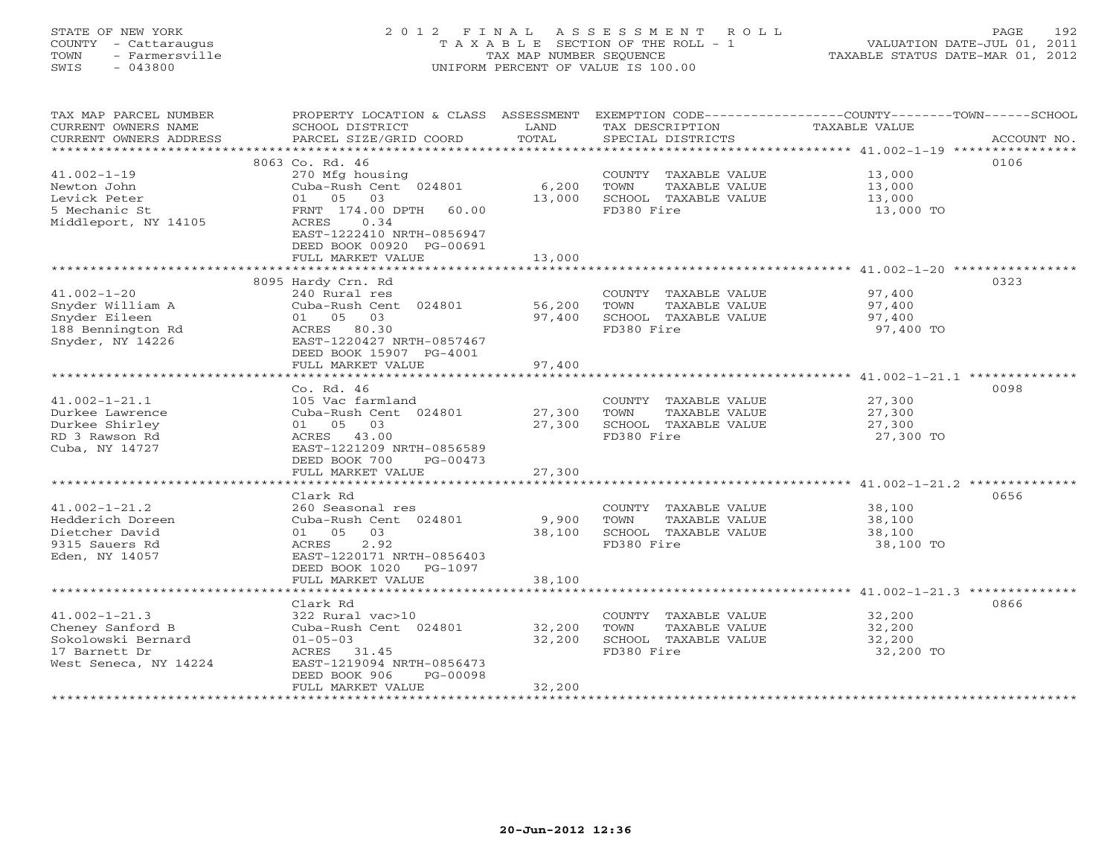## STATE OF NEW YORK 2 0 1 2 F I N A L A S S E S S M E N T R O L L PAGE 192 COUNTY - Cattaraugus T A X A B L E SECTION OF THE ROLL - 1 VALUATION DATE-JUL 01, 2011 TOWN - Farmersville TAX MAP NUMBER SEQUENCE TAXABLE STATUS DATE-MAR 01, 2012 SWIS - 043800 UNIFORM PERCENT OF VALUE IS 100.00UNIFORM PERCENT OF VALUE IS 100.00

| TAX MAP PARCEL NUMBER<br>CURRENT OWNERS NAME                                                    | PROPERTY LOCATION & CLASS ASSESSMENT<br>SCHOOL DISTRICT                                                                   | LAND             | TAX DESCRIPTION                                                                     | EXEMPTION CODE----------------COUNTY-------TOWN-----SCHOOL<br>TAXABLE VALUE |
|-------------------------------------------------------------------------------------------------|---------------------------------------------------------------------------------------------------------------------------|------------------|-------------------------------------------------------------------------------------|-----------------------------------------------------------------------------|
| CURRENT OWNERS ADDRESS<br>*************************                                             | PARCEL SIZE/GRID COORD                                                                                                    | TOTAL            | SPECIAL DISTRICTS                                                                   | ACCOUNT NO.                                                                 |
|                                                                                                 | 8063 Co. Rd. 46                                                                                                           |                  |                                                                                     | 0106                                                                        |
| $41.002 - 1 - 19$<br>Newton John<br>Levick Peter                                                | 270 Mfg housing<br>Cuba-Rush Cent 024801<br>01 05<br>03                                                                   | 6,200<br>13,000  | COUNTY TAXABLE VALUE<br>TOWN<br>TAXABLE VALUE<br>SCHOOL TAXABLE VALUE               | 13,000<br>13,000<br>13,000                                                  |
| 5 Mechanic St<br>Middleport, NY 14105                                                           | FRNT 174.00 DPTH<br>60.00<br>ACRES<br>0.34<br>EAST-1222410 NRTH-0856947<br>DEED BOOK 00920 PG-00691<br>FULL MARKET VALUE  | 13,000           | FD380 Fire                                                                          | 13,000 TO                                                                   |
|                                                                                                 |                                                                                                                           |                  |                                                                                     |                                                                             |
|                                                                                                 | 8095 Hardy Crn. Rd                                                                                                        |                  |                                                                                     | 0323                                                                        |
| $41.002 - 1 - 20$<br>Snyder William A<br>Snyder Eileen<br>188 Bennington Rd<br>Snyder, NY 14226 | 240 Rural res<br>Cuba-Rush Cent 024801<br>01 05 03<br>ACRES 80.30<br>EAST-1220427 NRTH-0857467<br>DEED BOOK 15907 PG-4001 | 56,200<br>97,400 | COUNTY TAXABLE VALUE<br>TOWN<br>TAXABLE VALUE<br>SCHOOL TAXABLE VALUE<br>FD380 Fire | 97,400<br>97,400<br>97,400<br>97,400 TO                                     |
|                                                                                                 | FULL MARKET VALUE                                                                                                         | 97,400           |                                                                                     |                                                                             |
|                                                                                                 |                                                                                                                           |                  |                                                                                     |                                                                             |
|                                                                                                 | Co. Rd. 46                                                                                                                |                  |                                                                                     | 0098                                                                        |
| $41.002 - 1 - 21.1$<br>Durkee Lawrence                                                          | 105 Vac farmland<br>Cuba-Rush Cent 024801                                                                                 | 27,300           | COUNTY TAXABLE VALUE<br>TOWN<br>TAXABLE VALUE                                       | 27,300<br>27,300                                                            |
| Durkee Shirley                                                                                  | 01 05 03                                                                                                                  | 27,300           | SCHOOL TAXABLE VALUE                                                                | 27,300                                                                      |
| RD 3 Rawson Rd                                                                                  | ACRES 43.00                                                                                                               |                  | FD380 Fire                                                                          | 27,300 TO                                                                   |
| Cuba, NY 14727                                                                                  | EAST-1221209 NRTH-0856589<br>DEED BOOK 700<br>PG-00473                                                                    |                  |                                                                                     |                                                                             |
|                                                                                                 | FULL MARKET VALUE                                                                                                         | 27,300           |                                                                                     |                                                                             |
|                                                                                                 | Clark Rd                                                                                                                  |                  |                                                                                     | 0656                                                                        |
| $41.002 - 1 - 21.2$                                                                             | 260 Seasonal res                                                                                                          |                  | COUNTY TAXABLE VALUE                                                                | 38,100                                                                      |
| Hedderich Doreen<br>Dietcher David                                                              | Cuba-Rush Cent 024801<br>01 05 03                                                                                         | 9,900<br>38,100  | TOWN<br>TAXABLE VALUE<br>SCHOOL TAXABLE VALUE                                       | 38,100<br>38,100                                                            |
| 9315 Sauers Rd                                                                                  | ACRES<br>2.92                                                                                                             |                  | FD380 Fire                                                                          | 38,100 TO                                                                   |
| Eden, NY 14057                                                                                  | EAST-1220171 NRTH-0856403<br>DEED BOOK 1020 PG-1097                                                                       |                  |                                                                                     |                                                                             |
|                                                                                                 | FULL MARKET VALUE                                                                                                         | 38,100           |                                                                                     |                                                                             |
|                                                                                                 | Clark Rd                                                                                                                  |                  |                                                                                     | 0866                                                                        |
| $41.002 - 1 - 21.3$<br>Cheney Sanford B                                                         | 322 Rural vac>10<br>Cuba-Rush Cent 024801                                                                                 | 32,200           | COUNTY TAXABLE VALUE<br>TOWN<br>TAXABLE VALUE                                       | 32,200<br>32,200                                                            |
| Sokolowski Bernard                                                                              | $01 - 05 - 03$                                                                                                            | 32,200           | SCHOOL TAXABLE VALUE                                                                | 32,200                                                                      |
| 17 Barnett Dr                                                                                   | ACRES 31.45                                                                                                               |                  | FD380 Fire                                                                          | 32,200 TO                                                                   |
| West Seneca, NY 14224                                                                           | EAST-1219094 NRTH-0856473<br>DEED BOOK 906<br>PG-00098                                                                    |                  |                                                                                     |                                                                             |
|                                                                                                 | FULL MARKET VALUE                                                                                                         | 32,200           |                                                                                     |                                                                             |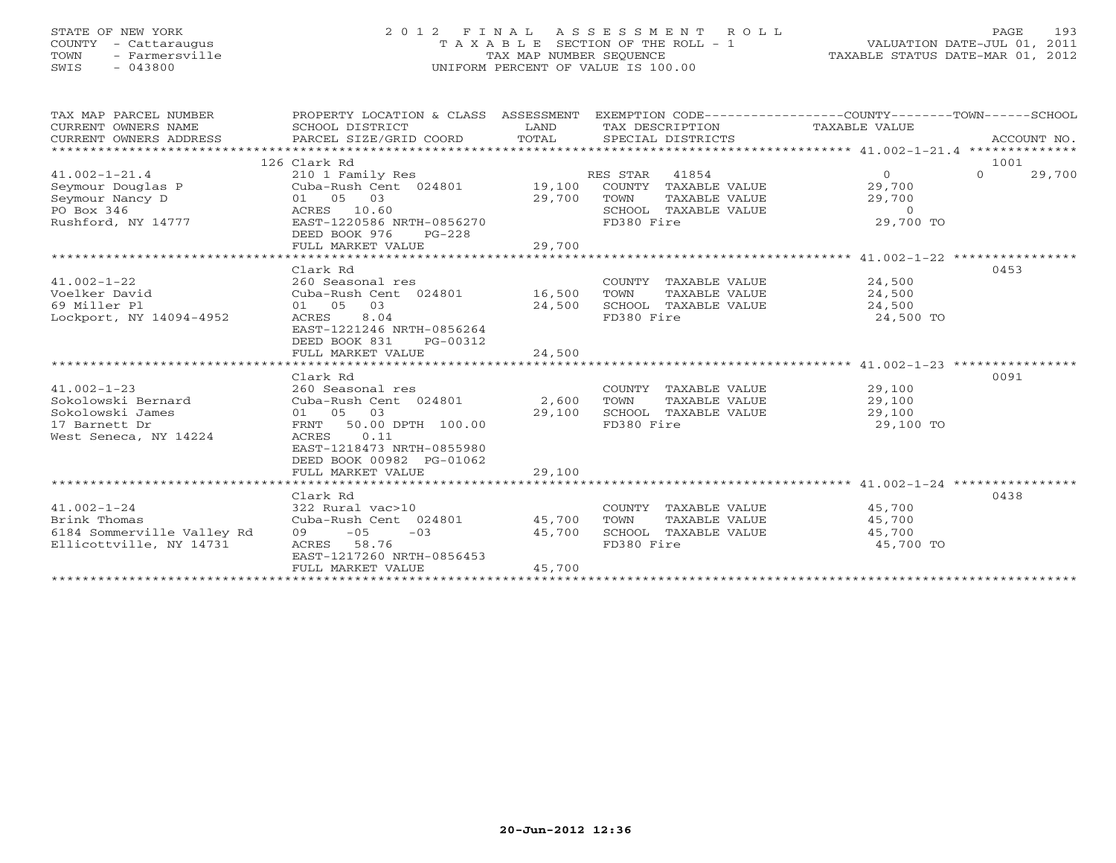## STATE OF NEW YORK 2 0 1 2 F I N A L A S S E S S M E N T R O L L PAGE 193 COUNTY - Cattaraugus T A X A B L E SECTION OF THE ROLL - 1 VALUATION DATE-JUL 01, 2011 TOWN - Farmersville TAX MAP NUMBER SEQUENCE TAXABLE STATUS DATE-MAR 01, 2012 SWIS - 043800 UNIFORM PERCENT OF VALUE IS 100.00UNIFORM PERCENT OF VALUE IS 100.00

| TAX MAP PARCEL NUMBER<br>CURRENT OWNERS NAME<br>CURRENT OWNERS ADDRESS | PROPERTY LOCATION & CLASS ASSESSMENT<br>SCHOOL DISTRICT<br>PARCEL SIZE/GRID COORD | LAND<br>TOTAL | EXEMPTION CODE-----------------COUNTY-------TOWN------SCHOOL<br>TAX DESCRIPTION TAXABLE VALUE<br>SPECIAL DISTRICTS |                     | ACCOUNT NO.        |
|------------------------------------------------------------------------|-----------------------------------------------------------------------------------|---------------|--------------------------------------------------------------------------------------------------------------------|---------------------|--------------------|
|                                                                        | 126 Clark Rd                                                                      |               |                                                                                                                    |                     | 1001               |
| $41.002 - 1 - 21.4$                                                    | 210 1 Family Res                                                                  |               | 41854<br>RES STAR                                                                                                  | $\Omega$            | $\Omega$<br>29,700 |
| Seymour Douglas P                                                      | Cuba-Rush Cent 024801                                                             | 19,100        | COUNTY TAXABLE VALUE                                                                                               | 29,700              |                    |
| Seymour Nancy D                                                        | 01 05 03                                                                          | 29,700        | TOWN<br>TAXABLE VALUE                                                                                              | 29,700              |                    |
| PO Box 346                                                             | ACRES 10.60                                                                       |               | SCHOOL TAXABLE VALUE                                                                                               | $\Omega$            |                    |
| Rushford, NY 14777                                                     | EAST-1220586 NRTH-0856270                                                         |               | FD380 Fire                                                                                                         | 29,700 TO           |                    |
|                                                                        | DEED BOOK 976<br>$PG-228$                                                         |               |                                                                                                                    |                     |                    |
|                                                                        | FULL MARKET VALUE                                                                 | 29,700        |                                                                                                                    |                     |                    |
|                                                                        |                                                                                   |               |                                                                                                                    |                     |                    |
|                                                                        | Clark Rd                                                                          |               |                                                                                                                    |                     | 0453               |
| $41.002 - 1 - 22$                                                      | 260 Seasonal res                                                                  |               | COUNTY TAXABLE VALUE                                                                                               | 24,500              |                    |
| Voelker David                                                          | Cuba-Rush Cent 024801 16,500                                                      |               | TOWN<br>TAXABLE VALUE                                                                                              | 24,500              |                    |
| 69 Miller Pl                                                           | 01 05<br>03                                                                       | 24,500        | SCHOOL TAXABLE VALUE                                                                                               | 24,500              |                    |
| Lockport, NY 14094-4952                                                | 8.04<br>ACRES                                                                     |               | FD380 Fire                                                                                                         | 24,500 TO           |                    |
|                                                                        | EAST-1221246 NRTH-0856264                                                         |               |                                                                                                                    |                     |                    |
|                                                                        | DEED BOOK 831<br>PG-00312                                                         |               |                                                                                                                    |                     |                    |
|                                                                        | FULL MARKET VALUE                                                                 | 24,500        |                                                                                                                    |                     |                    |
|                                                                        |                                                                                   |               |                                                                                                                    |                     |                    |
|                                                                        | Clark Rd                                                                          |               |                                                                                                                    |                     | 0091               |
| $41.002 - 1 - 23$                                                      | 260 Seasonal res                                                                  |               | COUNTY TAXABLE VALUE                                                                                               | 29,100              |                    |
| Sokolowski Bernard                                                     | Cuba-Rush Cent 024801 2,600                                                       |               | TOWN<br>TAXABLE VALUE                                                                                              | 29,100              |                    |
| Sokolowski James                                                       | 01 05 03                                                                          | 29,100        | SCHOOL TAXABLE VALUE                                                                                               | 29,100              |                    |
| 17 Barnett Dr                                                          | 50.00 DPTH 100.00<br>FRNT                                                         |               | FD380 Fire                                                                                                         | 29,100 TO           |                    |
| West Seneca, NY 14224                                                  | 0.11<br>ACRES                                                                     |               |                                                                                                                    |                     |                    |
|                                                                        | EAST-1218473 NRTH-0855980                                                         |               |                                                                                                                    |                     |                    |
|                                                                        | DEED BOOK 00982 PG-01062                                                          |               |                                                                                                                    |                     |                    |
|                                                                        | FULL MARKET VALUE                                                                 | 29,100        |                                                                                                                    |                     |                    |
|                                                                        |                                                                                   |               |                                                                                                                    |                     | 0438               |
| $41.002 - 1 - 24$                                                      | Clark Rd<br>322 Rural vac>10                                                      |               | COUNTY TAXABLE VALUE                                                                                               | 45,700              |                    |
| Brink Thomas                                                           | Cuba-Rush Cent 024801                                                             | 45,700        | TAXABLE VALUE<br>TOWN                                                                                              | 45,700              |                    |
| 6184 Sommerville Valley Rd                                             | $09 -05 -03$                                                                      | 45,700        | SCHOOL TAXABLE VALUE                                                                                               |                     |                    |
| Ellicottville, NY 14731                                                | ACRES 58.76                                                                       |               | FD380 Fire                                                                                                         | 45,700<br>45,700 TO |                    |
|                                                                        | EAST-1217260 NRTH-0856453                                                         |               |                                                                                                                    |                     |                    |
|                                                                        | FULL MARKET VALUE                                                                 | 45,700        |                                                                                                                    |                     |                    |
|                                                                        |                                                                                   |               |                                                                                                                    |                     |                    |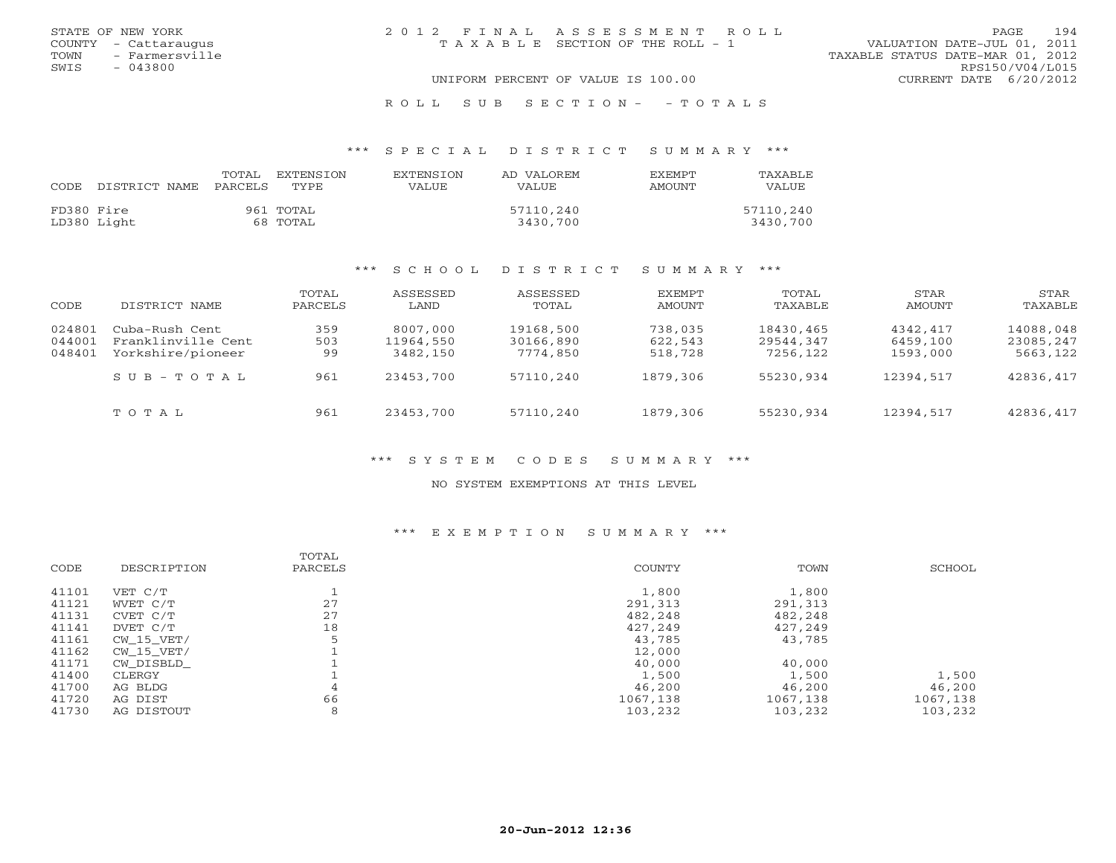| STATE OF NEW YORK      | 2012 FINAL ASSESSMENT ROLL         | 194<br>PAGE                      |
|------------------------|------------------------------------|----------------------------------|
| COUNTY - Cattaraugus   | TAXABLE SECTION OF THE ROLL - 1    | VALUATION DATE-JUL 01, 2011      |
| - Farmersville<br>TOWN |                                    | TAXABLE STATUS DATE-MAR 01, 2012 |
| SWIS<br>$-043800$      |                                    | RPS150/V04/L015                  |
|                        | UNIFORM PERCENT OF VALUE IS 100.00 | CURRENT DATE $6/20/2012$         |
|                        | ROLL SUB SECTION- - TOTALS         |                                  |

#### \*\*\* S P E C I A L D I S T R I C T S U M M A R Y \*\*\*

| CODE       | DISTRICT NAME | TOTAL<br>PARCELS | EXTENSTON<br>TYPE.    | <b>EXTENSION</b><br>VALUE | AD VALOREM<br><b>VALUE</b> | <b>FXFMPT</b><br>AMOUNT | <b>TAXABLE</b><br><b>VALUE</b> |
|------------|---------------|------------------|-----------------------|---------------------------|----------------------------|-------------------------|--------------------------------|
| FD380 Fire | LD380 Light   |                  | 961 TOTAL<br>68 TOTAL |                           | 57110,240<br>3430,700      |                         | 57110,240<br>3430,700          |

#### \*\*\* S C H O O L D I S T R I C T S U M M A R Y \*\*\*

| CODE                       | DISTRICT NAME                                             | TOTAL<br>PARCELS | ASSESSED<br>LAND                  | ASSESSED<br>TOTAL                  | EXEMPT<br>AMOUNT              | TOTAL<br>TAXABLE                   | STAR<br>AMOUNT                   | STAR<br>TAXABLE                    |
|----------------------------|-----------------------------------------------------------|------------------|-----------------------------------|------------------------------------|-------------------------------|------------------------------------|----------------------------------|------------------------------------|
| 024801<br>044001<br>048401 | Cuba-Rush Cent<br>Franklinville Cent<br>Yorkshire/pioneer | 359<br>503<br>99 | 8007,000<br>11964,550<br>3482,150 | 19168,500<br>30166,890<br>7774,850 | 738,035<br>622,543<br>518,728 | 18430,465<br>29544,347<br>7256,122 | 4342,417<br>6459,100<br>1593,000 | 14088,048<br>23085,247<br>5663,122 |
|                            | SUB-TOTAL                                                 | 961              | 23453,700                         | 57110,240                          | 1879,306                      | 55230,934                          | 12394,517                        | 42836,417                          |
|                            | TOTAL                                                     | 961              | 23453,700                         | 57110,240                          | 1879,306                      | 55230,934                          | 12394,517                        | 42836,417                          |

## \*\*\* S Y S T E M C O D E S S U M M A R Y \*\*\*

#### NO SYSTEM EXEMPTIONS AT THIS LEVEL

#### \*\*\* E X E M P T I O N S U M M A R Y \*\*\*

| COUNTY<br>TOWN<br>CODE<br>DESCRIPTION<br>PARCELS | SCHOOL   |
|--------------------------------------------------|----------|
| 1,800<br>1,800<br>41101<br>VET C/T               |          |
| 27<br>41121<br>291,313<br>291,313<br>WVET C/T    |          |
| 27<br>41131<br>482,248<br>482,248<br>CVET C/T    |          |
| 18<br>41141<br>427,249<br>427,249<br>DVET C/T    |          |
| 41161<br>43,785<br>43,785<br>CW 15 VET/          |          |
| 41162<br>12,000<br>CW 15 VET/                    |          |
| 41171<br>40,000<br>40,000<br>CW DISBLD           |          |
| 41400<br>1,500<br>1,500<br>CLERGY                | 1,500    |
| 41700<br>46,200<br>46,200<br>AG BLDG<br>4        | 46,200   |
| 66<br>41720<br>1067,138<br>1067,138<br>AG DIST   | 1067,138 |
| 41730<br>8<br>103,232<br>103,232<br>AG DISTOUT   | 103,232  |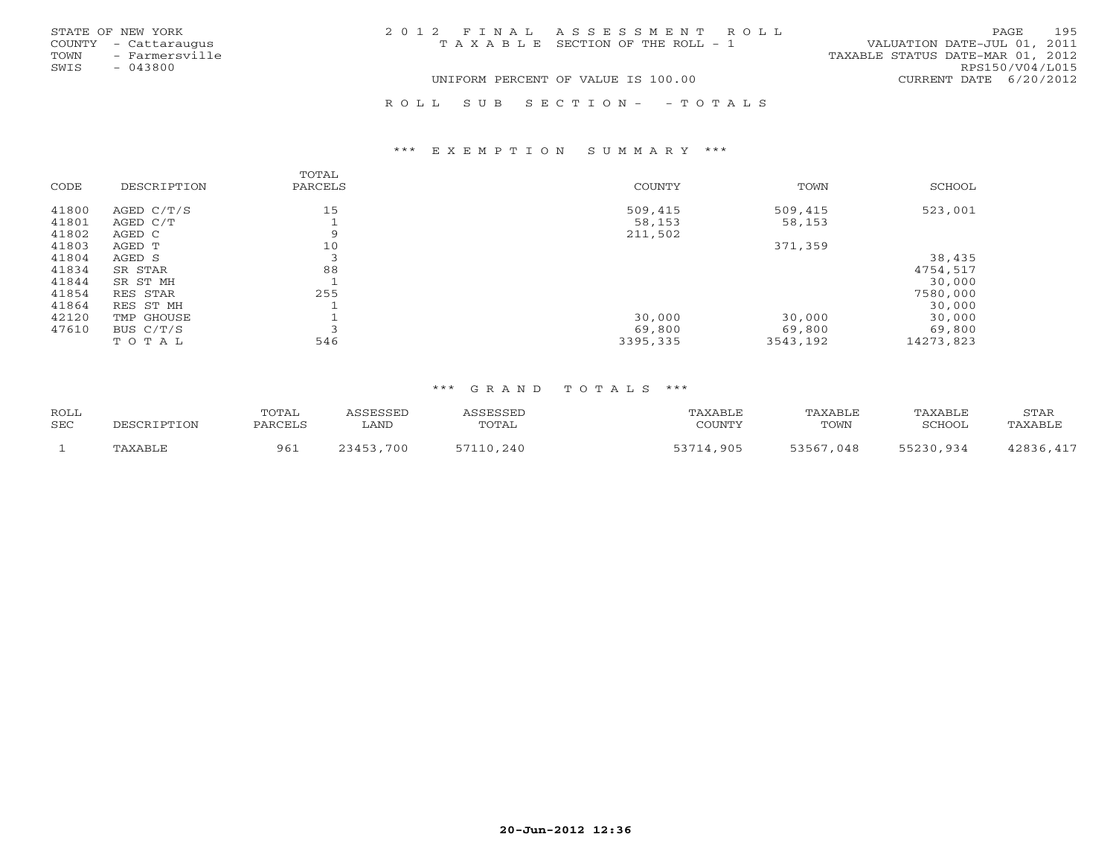| STATE OF NEW YORK      | 2012 FINAL ASSESSMENT ROLL            | 195<br>PAGE                      |
|------------------------|---------------------------------------|----------------------------------|
| COUNTY - Cattaraugus   | T A X A B L E SECTION OF THE ROLL - 1 | VALUATION DATE-JUL 01, 2011      |
| - Farmersville<br>TOWN |                                       | TAXABLE STATUS DATE-MAR 01, 2012 |
| SWIS<br>$-043800$      |                                       | RPS150/V04/L015                  |
|                        | UNIFORM PERCENT OF VALUE IS 100.00    | CURRENT DATE 6/20/2012           |
|                        |                                       |                                  |

R O L L S U B S E C T I O N - - T O T A L S

#### \*\*\* E X E M P T I O N S U M M A R Y \*\*\*

| CODE  | DESCRIPTION | TOTAL<br>PARCELS | COUNTY   | TOWN     | SCHOOL    |
|-------|-------------|------------------|----------|----------|-----------|
| 41800 | AGED C/T/S  | 15               | 509,415  | 509,415  | 523,001   |
| 41801 | AGED C/T    |                  | 58,153   | 58,153   |           |
| 41802 | AGED C      | 9                | 211,502  |          |           |
| 41803 | AGED T      | 10               |          | 371,359  |           |
| 41804 | AGED S      | 3                |          |          | 38,435    |
| 41834 | SR STAR     | 88               |          |          | 4754,517  |
| 41844 | SR ST MH    |                  |          |          | 30,000    |
| 41854 | RES STAR    | 255              |          |          | 7580,000  |
| 41864 | RES ST MH   |                  |          |          | 30,000    |
| 42120 | TMP GHOUSE  |                  | 30,000   | 30,000   | 30,000    |
| 47610 | BUS C/T/S   |                  | 69,800   | 69,800   | 69,800    |
|       | TOTAL       | 546              | 3395,335 | 3543,192 | 14273,823 |

| <b>ROLL</b> | TOTAL   |               |        | 'AXABLI   | PAXABLE       | 'AXABLE | STAR   |
|-------------|---------|---------------|--------|-----------|---------------|---------|--------|
| <b>SEC</b>  | PARCELS | LAND          | TOTAL  | COUNTY    | TOWN          | וממדיז  | AXABL: |
|             | 961     | 700<br>:34. 。 | $-240$ | 53714,905 | 53567<br>,048 | QZ      | 117    |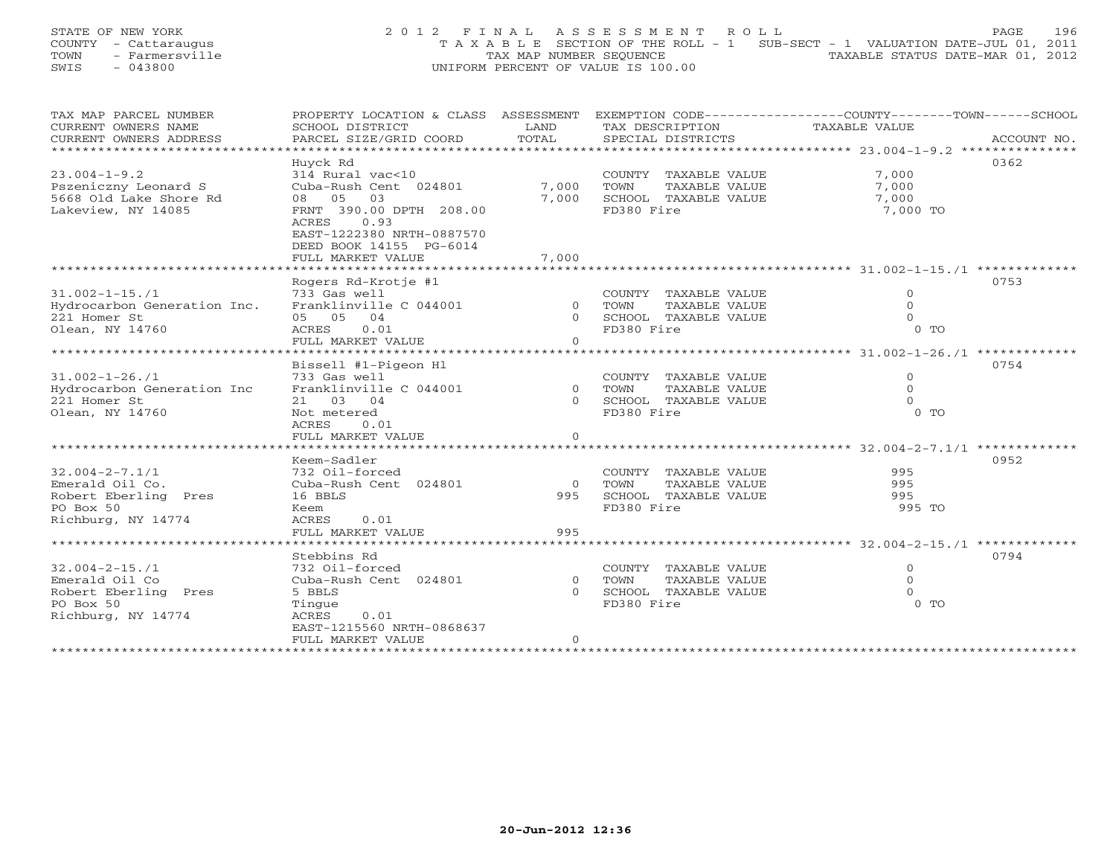## STATE OF NEW YORK 2 0 1 2 F I N A L A S S E S S M E N T R O L L PAGE 196 COUNTY - Cattaraugus T A X A B L E SECTION OF THE ROLL - 1 SUB-SECT - 1 VALUATION DATE-JUL 01, 2011 TOWN - Farmersville TAX MAP NUMBER SEQUENCE TAXABLE STATUS DATE-MAR 01, 2012<br>
SWIS - 043800<br>
TAXABLE STATUS DATE-MAR 01, 2012 SWIS - 043800 UNIFORM PERCENT OF VALUE IS 100.00

| TAX MAP PARCEL NUMBER       |                           |                |                         | PROPERTY LOCATION & CLASS ASSESSMENT EXEMPTION CODE---------------COUNTY-------TOWN------SCHOOL |
|-----------------------------|---------------------------|----------------|-------------------------|-------------------------------------------------------------------------------------------------|
| CURRENT OWNERS NAME         | SCHOOL DISTRICT           | LAND           | TAX DESCRIPTION         | TAXABLE VALUE                                                                                   |
| CURRENT OWNERS ADDRESS      | PARCEL SIZE/GRID COORD    | TOTAL          | SPECIAL DISTRICTS       | ACCOUNT NO.                                                                                     |
|                             |                           |                |                         |                                                                                                 |
|                             | Huyck Rd                  |                |                         | 0362                                                                                            |
| $23.004 - 1 - 9.2$          | 314 Rural vac<10          |                | COUNTY TAXABLE VALUE    | 7,000                                                                                           |
| Pszeniczny Leonard S        | Cuba-Rush Cent 024801     | 7,000          | TOWN<br>TAXABLE VALUE   | 7,000                                                                                           |
| 5668 Old Lake Shore Rd      | 08 05 03                  | 7,000          | SCHOOL TAXABLE VALUE    | 7,000                                                                                           |
| Lakeview, NY 14085          | FRNT 390.00 DPTH 208.00   |                | FD380 Fire              | 7,000 TO                                                                                        |
|                             | ACRES 0.93                |                |                         |                                                                                                 |
|                             | EAST-1222380 NRTH-0887570 |                |                         |                                                                                                 |
|                             | DEED BOOK 14155 PG-6014   |                |                         |                                                                                                 |
|                             | FULL MARKET VALUE         | 7,000          |                         |                                                                                                 |
|                             |                           |                |                         |                                                                                                 |
|                             | Rogers Rd-Krotje #1       |                |                         | 0753                                                                                            |
| $31.002 - 1 - 15.71$        | 733 Gas well              |                | COUNTY TAXABLE VALUE    | $\circ$                                                                                         |
| Hydrocarbon Generation Inc. | Franklinville C 044001    |                | 0 TOWN<br>TAXABLE VALUE | $\Omega$                                                                                        |
| 221 Homer St                | 05 05 04                  |                | 0 SCHOOL TAXABLE VALUE  | $\Omega$                                                                                        |
| Olean, NY 14760             | ACRES<br>0.01             |                | FD380 Fire              | $0$ TO                                                                                          |
|                             | FULL MARKET VALUE         | $\Omega$       |                         |                                                                                                 |
|                             |                           |                |                         |                                                                                                 |
|                             | Bissell #1-Pigeon Hl      |                |                         | 0754                                                                                            |
| $31.002 - 1 - 26.71$        | 733 Gas well              |                | COUNTY TAXABLE VALUE    | $\circ$                                                                                         |
| Hydrocarbon Generation Inc  | Franklinville C 044001    | 0 TOWN         | TAXABLE VALUE           | $\Omega$                                                                                        |
| 221 Homer St                | 21 03 04                  |                | 0 SCHOOL TAXABLE VALUE  | $\Omega$                                                                                        |
| Olean, NY 14760             | Not metered               |                | FD380 Fire              | $0$ TO                                                                                          |
|                             | ACRES<br>0.01             |                |                         |                                                                                                 |
|                             | FULL MARKET VALUE         | $\overline{0}$ |                         |                                                                                                 |
|                             |                           |                |                         |                                                                                                 |
|                             | Keem-Sadler               |                |                         | 0952                                                                                            |
| $32.004 - 2 - 7.1/1$        | 732 Oil-forced            |                | COUNTY TAXABLE VALUE    | 995                                                                                             |
| Emerald Oil Co.             | Cuba-Rush Cent 024801     | $\bigcirc$     | TAXABLE VALUE<br>TOWN   | 995                                                                                             |
| Robert Eberling Pres        | 16 BBLS                   | 995            | SCHOOL TAXABLE VALUE    | 995                                                                                             |
| PO Box 50                   | Keem                      |                | FD380 Fire              | 995 TO                                                                                          |
| Richburg, NY 14774          | ACRES<br>0.01             |                |                         |                                                                                                 |
|                             | FULL MARKET VALUE         | 995            |                         |                                                                                                 |
|                             |                           |                |                         |                                                                                                 |
|                             | Stebbins Rd               |                |                         | 0794                                                                                            |
| $32.004 - 2 - 15.71$        | 732 Oil-forced            |                | COUNTY TAXABLE VALUE    | $\circ$                                                                                         |
| Emerald Oil Co              | Cuba-Rush Cent 024801     | $\overline{0}$ | TOWN<br>TAXABLE VALUE   | $\Omega$                                                                                        |
| Robert Eberling Pres        | 5 BBLS                    | $\Omega$       | SCHOOL TAXABLE VALUE    |                                                                                                 |
| PO Box 50                   | Tinque                    |                | FD380 Fire              | $0$ TO                                                                                          |
| Richburg, NY 14774          | ACRES<br>0.01             |                |                         |                                                                                                 |
|                             | EAST-1215560 NRTH-0868637 |                |                         |                                                                                                 |
|                             | FULL MARKET VALUE         | $\circ$        |                         |                                                                                                 |
|                             |                           |                |                         |                                                                                                 |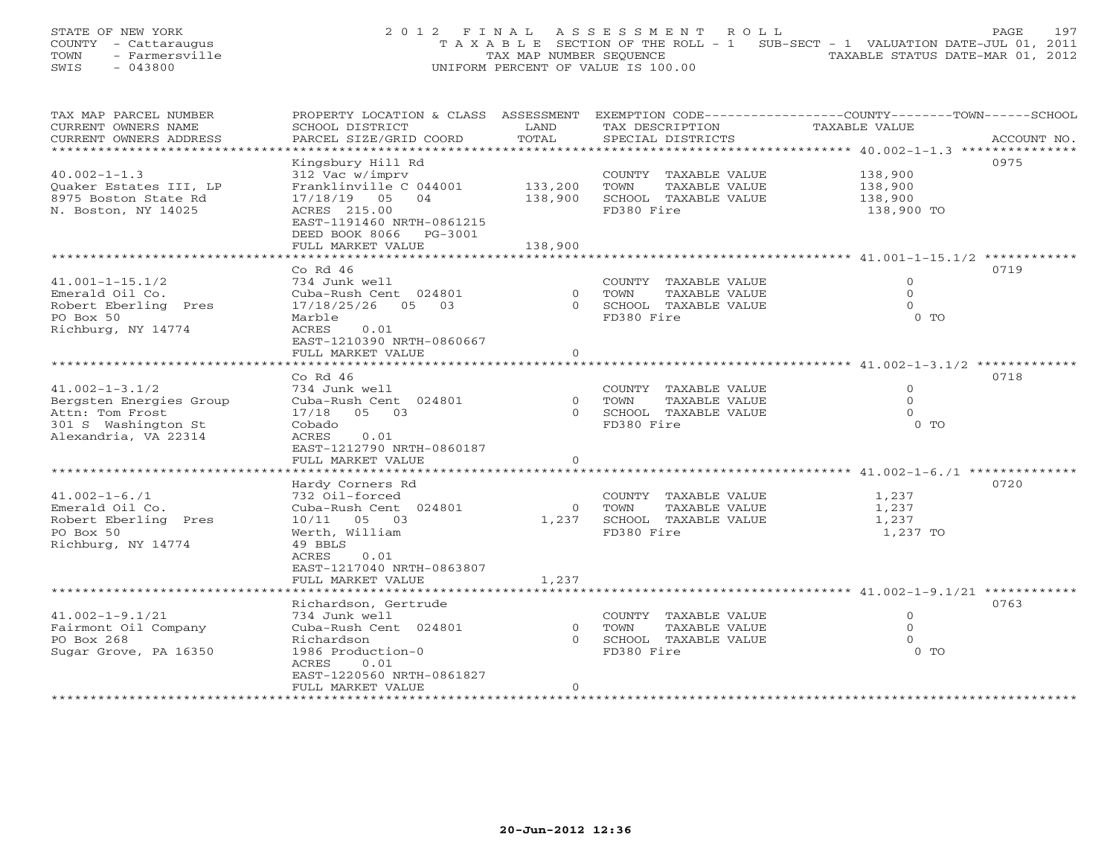## STATE OF NEW YORK 2 0 1 2 F I N A L A S S E S S M E N T R O L L PAGE 197 COUNTY - Cattaraugus T A X A B L E SECTION OF THE ROLL - 1 SUB-SECT - 1 VALUATION DATE-JUL 01, 2011 TOWN - Farmersville TAX MAP NUMBER SEQUENCE TAXABLE STATUS DATE-MAR 01, 2012<br>
SWIS - 043800<br>
TAXABLE STATUS DATE-MAR 01, 2012 SWIS - 043800 UNIFORM PERCENT OF VALUE IS 100.00

| TAX MAP PARCEL NUMBER   |                                    |                | PROPERTY LOCATION & CLASS ASSESSMENT EXEMPTION CODE---------------COUNTY-------TOWN------SCHOOL |                    |             |
|-------------------------|------------------------------------|----------------|-------------------------------------------------------------------------------------------------|--------------------|-------------|
| CURRENT OWNERS NAME     | SCHOOL DISTRICT                    | LAND           | TAX DESCRIPTION                                                                                 | TAXABLE VALUE      |             |
| CURRENT OWNERS ADDRESS  | PARCEL SIZE/GRID COORD             | TOTAL          | SPECIAL DISTRICTS                                                                               |                    | ACCOUNT NO. |
| *********************** |                                    |                |                                                                                                 |                    |             |
|                         | Kingsbury Hill Rd                  |                |                                                                                                 |                    | 0975        |
| $40.002 - 1 - 1.3$      | 312 Vac w/imprv                    |                | COUNTY TAXABLE VALUE                                                                            | 138,900<br>138,900 |             |
| Ouaker Estates III, LP  | Franklinville C 044001             | 133,200        | TOWN<br>TAXABLE VALUE                                                                           |                    |             |
| 8975 Boston State Rd    | 17/18/19 05 04                     | 138,900        | SCHOOL TAXABLE VALUE                                                                            | 138,900            |             |
| N. Boston, NY 14025     | ACRES 215.00                       |                | FD380 Fire                                                                                      | 138,900 TO         |             |
|                         | EAST-1191460 NRTH-0861215          |                |                                                                                                 |                    |             |
|                         | DEED BOOK 8066 PG-3001             |                |                                                                                                 |                    |             |
|                         | FULL MARKET VALUE                  | 138,900        |                                                                                                 |                    |             |
|                         |                                    |                |                                                                                                 |                    |             |
|                         | Co Rd $46$                         |                |                                                                                                 |                    | 0719        |
| $41.001 - 1 - 15.1/2$   | 734 Junk well                      |                | COUNTY TAXABLE VALUE                                                                            | $\circ$            |             |
| Emerald Oil Co.         | Cuba-Rush Cent 024801              | $\overline{0}$ | TOWN<br>TAXABLE VALUE                                                                           | $\mathbf{0}$       |             |
| Robert Eberling Pres    | 17/18/25/26 05 03                  |                | 0 SCHOOL TAXABLE VALUE                                                                          | $\circ$            |             |
| PO Box 50               | Marble                             |                | FD380 Fire                                                                                      | $0$ TO             |             |
| Richburg, NY 14774      | 0.01<br>ACRES                      |                |                                                                                                 |                    |             |
|                         | EAST-1210390 NRTH-0860667          |                |                                                                                                 |                    |             |
|                         | FULL MARKET VALUE                  | $\overline{O}$ |                                                                                                 |                    |             |
|                         |                                    |                |                                                                                                 |                    |             |
|                         | Co Rd $46$                         |                |                                                                                                 |                    | 0718        |
| $41.002 - 1 - 3.1/2$    | 734 Junk well                      |                | COUNTY TAXABLE VALUE                                                                            | $\overline{0}$     |             |
| Bergsten Energies Group | Cuba-Rush Cent 024801              |                | 0 TOWN<br>TAXABLE VALUE                                                                         | $\circ$            |             |
| Attn: Tom Frost         | 17/18 05 03                        |                | 0 SCHOOL TAXABLE VALUE                                                                          | $\Omega$           |             |
| 301 S Washington St     | Cobado                             |                | FD380 Fire                                                                                      | $0$ TO             |             |
| Alexandria, VA 22314    | 0.01<br>ACRES                      |                |                                                                                                 |                    |             |
|                         | EAST-1212790 NRTH-0860187          |                |                                                                                                 |                    |             |
|                         | FULL MARKET VALUE                  | $\circ$        |                                                                                                 |                    |             |
|                         |                                    |                |                                                                                                 |                    | 0720        |
| $41.002 - 1 - 6.71$     | Hardy Corners Rd<br>732 Oil-forced |                |                                                                                                 | 1,237              |             |
| Emerald Oil Co.         | Cuba-Rush Cent 024801              |                | COUNTY TAXABLE VALUE<br>0 TOWN<br>TAXABLE VALUE                                                 | 1,237              |             |
| Robert Eberling Pres    | 10/11 05 03                        |                | 1,237 SCHOOL TAXABLE VALUE                                                                      | 1,237              |             |
| PO Box 50               | Werth, William                     |                | FD380 Fire                                                                                      | 1,237 TO           |             |
| Richburg, NY 14774      | 49 BBLS                            |                |                                                                                                 |                    |             |
|                         | ACRES<br>0.01                      |                |                                                                                                 |                    |             |
|                         | EAST-1217040 NRTH-0863807          |                |                                                                                                 |                    |             |
|                         | FULL MARKET VALUE                  | 1,237          |                                                                                                 |                    |             |
|                         |                                    |                |                                                                                                 |                    |             |
|                         | Richardson, Gertrude               |                |                                                                                                 |                    | 0763        |
| $41.002 - 1 - 9.1/21$   | 734 Junk well                      |                | COUNTY TAXABLE VALUE                                                                            | $\overline{0}$     |             |
| Fairmont Oil Company    | Cuba-Rush Cent 024801              | $\overline{0}$ | TOWN<br>TAXABLE VALUE                                                                           | $\mathbf{0}$       |             |
| PO Box 268              | Richardson                         |                | 0 SCHOOL TAXABLE VALUE                                                                          | $\Omega$           |             |
| Sugar Grove, PA 16350   | 1986 Production-0                  |                | FD380 Fire                                                                                      | $0$ TO             |             |
|                         | ACRES 0.01                         |                |                                                                                                 |                    |             |
|                         | EAST-1220560 NRTH-0861827          |                |                                                                                                 |                    |             |
|                         | FULL MARKET VALUE                  | $\circ$        |                                                                                                 |                    |             |
|                         | ********************               |                |                                                                                                 |                    |             |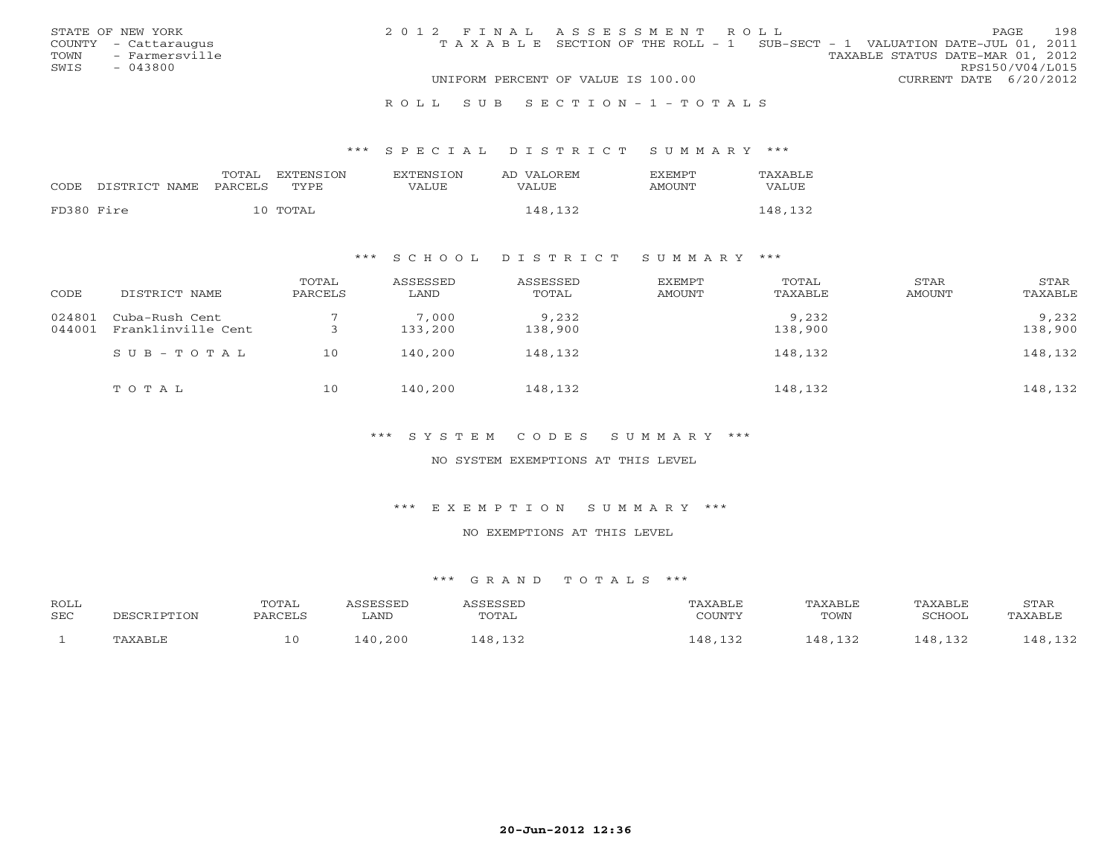|      | STATE OF NEW YORK    | 2012 FINAL ASSESSMENT ROLL |                                                                                |                                  |                        | PAGE | 198 |
|------|----------------------|----------------------------|--------------------------------------------------------------------------------|----------------------------------|------------------------|------|-----|
|      | COUNTY - Cattaraugus |                            | T A X A B L E SECTION OF THE ROLL - 1 SUB-SECT - 1 VALUATION DATE-JUL 01, 2011 |                                  |                        |      |     |
| TOWN | - Farmersville       |                            |                                                                                | TAXABLE STATUS DATE-MAR 01, 2012 |                        |      |     |
| SWIS | - 043800             |                            |                                                                                |                                  | RPS150/V04/L015        |      |     |
|      |                      |                            | UNIFORM PERCENT OF VALUE IS 100.00                                             |                                  | CURRENT DATE 6/20/2012 |      |     |
|      |                      |                            |                                                                                |                                  |                        |      |     |

#### R O L L S U B S E C T I O N - 1 - T O T A L S

#### \*\*\* S P E C I A L D I S T R I C T S U M M A R Y \*\*\*

| CODE       | DISTRICT NAME | TOTAL<br><b>PARCELS</b> | EXTENSTON<br>TYPE | <b>EXTENSION</b><br>VALUE | AD VALOREM<br>VALUE | <b>FXFMPT</b><br>AMOUNT | TAXABLE<br>VALUE |
|------------|---------------|-------------------------|-------------------|---------------------------|---------------------|-------------------------|------------------|
| FD380 Fire |               |                         | 10 TOTAL          |                           | 148,132             |                         | 148,132          |

## \*\*\* S C H O O L D I S T R I C T S U M M A R Y \*\*\*

| CODE             | DISTRICT NAME                        | TOTAL<br>PARCELS | ASSESSED<br>LAND | ASSESSED<br>TOTAL | EXEMPT<br>AMOUNT | TOTAL<br>TAXABLE | STAR<br>AMOUNT | STAR<br>TAXABLE  |
|------------------|--------------------------------------|------------------|------------------|-------------------|------------------|------------------|----------------|------------------|
| 024801<br>044001 | Cuba-Rush Cent<br>Franklinville Cent |                  | 7,000<br>133,200 | 9,232<br>138,900  |                  | 9,232<br>138,900 |                | 9,232<br>138,900 |
|                  | SUB-TOTAL                            | 10               | 140,200          | 148,132           |                  | 148,132          |                | 148,132          |
|                  | TOTAL                                | 10               | 140,200          | 148,132           |                  | 148,132          |                | 148,132          |

\*\*\* S Y S T E M C O D E S S U M M A R Y \*\*\*

NO SYSTEM EXEMPTIONS AT THIS LEVEL

\*\*\* E X E M P T I O N S U M M A R Y \*\*\*

NO EXEMPTIONS AT THIS LEVEL

| <b>ROLL</b> |                   | TOTAL   | <b>CCFCCFD</b> | ACCRCCRT | AXABLE  | TAXABLE | TAXABLE            | STAR          |
|-------------|-------------------|---------|----------------|----------|---------|---------|--------------------|---------------|
| SEC         | TPTION<br>וסים הר | PARCELS | LAND           | TOTAL    | CCTINTM | TOWN    | 'CHOOL             | TAXABLE       |
|             | ∴PAXART           | 10      | 140,200        | 48 132   | ⊥48     | 48      | 10.12 <sup>2</sup> | 48 132<br>ᆂᇰᇫ |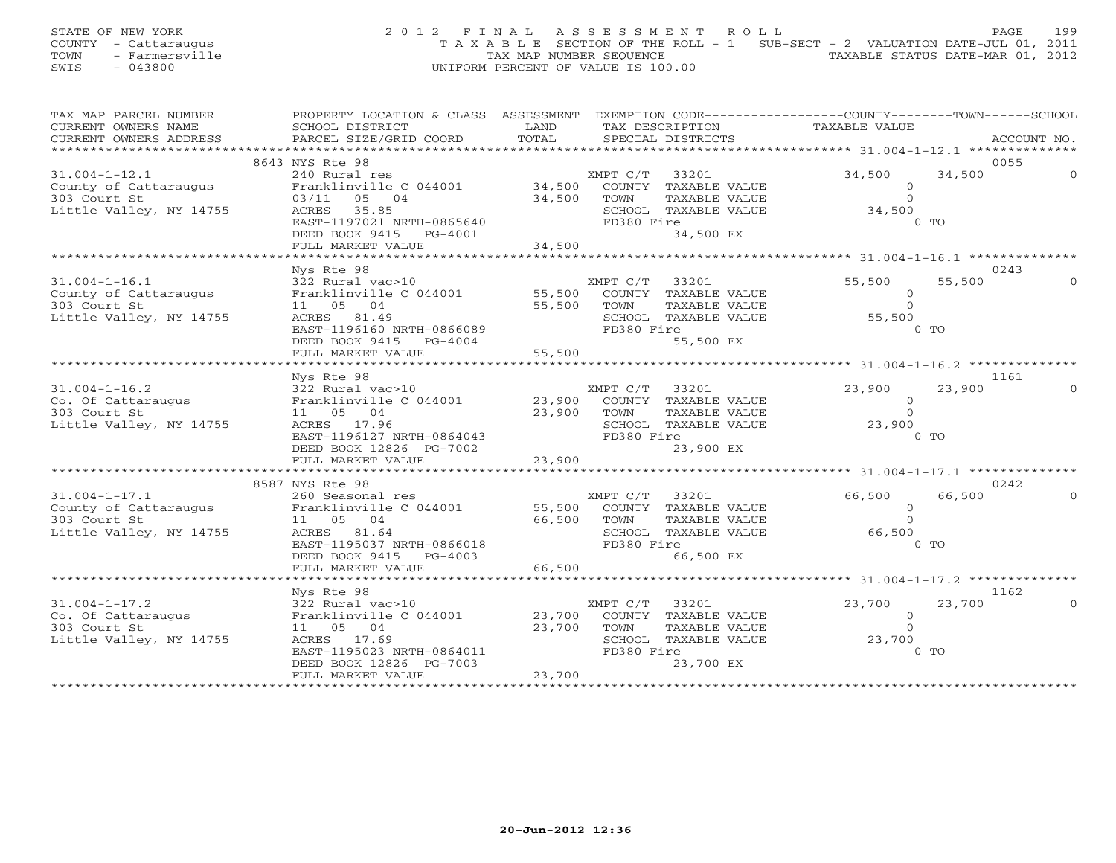STATE OF NEW YORK 2 0 1 2 F I N A L A S S E S S M E N T R O L L PAGE 199 COUNTY - Cattaraugus T A X A B L E SECTION OF THE ROLL - 1 SUB-SECT - 2 VALUATION DATE-JUL 01, 2011 TOWN - Farmersville TAX MAP NUMBER SEQUENCE TAXABLE STATUS DATE-MAR 01, 2012<br>
TAX MAP NUMBER SEQUENCE TAXABLE STATUS DATE-MAR 01, 2012<br>
SWIS - 043800 SWIS - 043800 UNIFORM PERCENT OF VALUE IS 100.00

| TAX MAP PARCEL NUMBER                 | PROPERTY LOCATION & CLASS ASSESSMENT EXEMPTION CODE----------------COUNTY-------TOWN------SCHOOL |             |                             |                     |             |
|---------------------------------------|--------------------------------------------------------------------------------------------------|-------------|-----------------------------|---------------------|-------------|
| CURRENT OWNERS NAME                   | SCHOOL DISTRICT                                                                                  | LAND        | TAX DESCRIPTION             | TAXABLE VALUE       |             |
| CURRENT OWNERS ADDRESS                | PARCEL SIZE/GRID COORD                                                                           | TOTAL       | SPECIAL DISTRICTS           |                     | ACCOUNT NO. |
|                                       |                                                                                                  |             |                             |                     |             |
|                                       | 8643 NYS Rte 98                                                                                  |             |                             |                     | 0055        |
| $31.004 - 1 - 12.1$                   | 240 Rural res                                                                                    |             | 33201<br>XMPT C/T           | 34,500<br>34,500    |             |
| County of Cattaraugus                 | Franklinville C 044001                                                                           |             | 34,500 COUNTY TAXABLE VALUE | $\circ$             |             |
| 303 Court St                          | 03/11 05 04                                                                                      | 34,500      | TAXABLE VALUE<br>TOWN       | $\Omega$            |             |
| Little Valley, NY 14755               | ACRES 35.85                                                                                      |             | SCHOOL TAXABLE VALUE        | 34,500              |             |
|                                       | EAST-1197021 NRTH-0865640                                                                        |             | FD380 Fire                  | $0$ TO              |             |
|                                       | DEED BOOK 9415 PG-4001                                                                           | 34,500      | 34,500 EX                   |                     |             |
|                                       | FULL MARKET VALUE<br>*****************************                                               |             |                             |                     |             |
|                                       |                                                                                                  |             |                             |                     |             |
|                                       | Nys Rte 98                                                                                       |             |                             | 55,500<br>55,500    | 0243        |
| $31.004 - 1 - 16.1$                   | 322 Rural vac>10<br>Franklinville C 044001 55,500 COUNTY TAXABLE VALUE                           |             | XMPT C/T<br>33201           |                     |             |
| County of Cattaraugus<br>303 Court St | 11  05  04                                                                                       | 55,500 TOWN | TAXABLE VALUE               | $\circ$<br>$\Omega$ |             |
| Little Valley, NY 14755               |                                                                                                  |             | SCHOOL TAXABLE VALUE        |                     |             |
|                                       | ACRES 81.49<br>EAST-1196160 NRTH-0866089                                                         |             | FD380 Fire                  | 55,500<br>$0$ TO    |             |
|                                       | DEED BOOK 9415 PG-4004                                                                           |             | 55,500 EX                   |                     |             |
|                                       | FULL MARKET VALUE                                                                                | $4$ 55,500  |                             |                     |             |
|                                       | ***********************                                                                          |             |                             |                     |             |
|                                       | Nys Rte 98                                                                                       |             |                             |                     | 1161        |
| $31.004 - 1 - 16.2$                   | 322 Rural vac>10                                                                                 |             | XMPT C/T 33201              | 23,900<br>23,900    |             |
| Co. Of Cattaraugus                    | Franklinville C 044001 23,900                                                                    |             | COUNTY TAXABLE VALUE        | $\overline{O}$      |             |
| 303 Court St                          | 11  05  04                                                                                       | 23,900      | TOWN<br>TAXABLE VALUE       | $\Omega$            |             |
| Little Valley, NY 14755               | ACRES 17.96                                                                                      |             | SCHOOL TAXABLE VALUE        | 23,900              |             |
|                                       | EAST-1196127 NRTH-0864043                                                                        |             | FD380 Fire                  | $0$ TO              |             |
|                                       | DEED BOOK 12826 PG-7002                                                                          |             | 23,900 EX                   |                     |             |
|                                       | FULL MARKET VALUE                                                                                | 23,900      |                             |                     |             |
|                                       |                                                                                                  |             |                             |                     |             |
|                                       | 8587 NYS Rte 98                                                                                  |             |                             |                     | 0242        |
| $31.004 - 1 - 17.1$                   | 260 Seasonal res                                                                                 |             | XMPT C/T 33201              | 66,500<br>66,500    |             |
| County of Cattaraugus                 | Franklinville C 044001                                                                           | 55,500      | COUNTY TAXABLE VALUE        | $\circ$             |             |
| 303 Court St                          | 11  05  04                                                                                       | 66,500      | TOWN<br>TAXABLE VALUE       | $\Omega$            |             |
| Little Valley, NY 14755               | ACRES 81.64                                                                                      |             | SCHOOL TAXABLE VALUE        | 66,500              |             |
|                                       | EAST-1195037 NRTH-0866018                                                                        |             | FD380 Fire                  | $0$ TO              |             |
|                                       | DEED BOOK 9415 PG-4003                                                                           |             | 66,500 EX                   |                     |             |
|                                       | FULL MARKET VALUE                                                                                | 66,500      |                             |                     |             |
|                                       |                                                                                                  |             |                             |                     |             |
|                                       | Nys Rte 98                                                                                       |             |                             |                     | 1162        |
| $31.004 - 1 - 17.2$                   | 322 Rural vac>10                                                                                 |             | 33201<br>XMPT C/T           | 23,700<br>23,700    |             |
| Co. Of Cattaraugus                    | Franklinville C 044001                                                                           | 23,700      | COUNTY TAXABLE VALUE        | $\circ$             |             |
| 303 Court St                          | 11 05 04                                                                                         | 23,700      | TOWN<br>TAXABLE VALUE       | $\circ$             |             |
| Little Valley, NY 14755               | ACRES 17.69                                                                                      |             | SCHOOL TAXABLE VALUE        | 23,700              |             |
|                                       | EAST-1195023 NRTH-0864011                                                                        |             | FD380 Fire                  | $0$ TO              |             |
|                                       | DEED BOOK 12826 PG-7003                                                                          |             | 23,700 EX                   |                     |             |
|                                       | FULL MARKET VALUE                                                                                | 23,700      |                             |                     |             |
|                                       |                                                                                                  |             |                             |                     |             |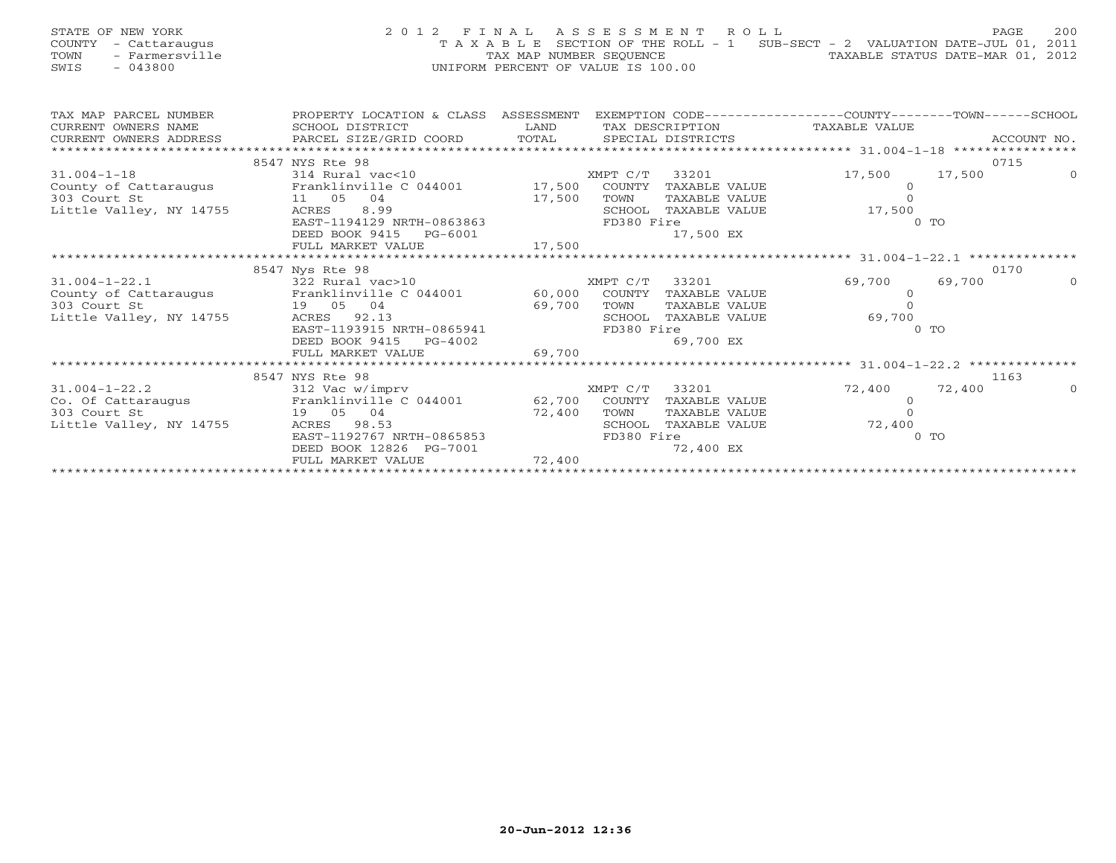| STATE OF NEW YORK<br>COUNTY<br>- Cattaraugus<br>- Farmersville<br>TOWN<br>$-043800$<br>SWIS | 2012 FINAL                           | TAX MAP NUMBER SEQUENCE<br>UNIFORM PERCENT OF VALUE IS 100.00 |            | ASSESSMENT ROLL   | T A X A B L E SECTION OF THE ROLL - 1 SUB-SECT - 2 VALUATION DATE-JUL 01, 2011 | TAXABLE STATUS DATE-MAR 01, 2012 | 200<br>PAGE |
|---------------------------------------------------------------------------------------------|--------------------------------------|---------------------------------------------------------------|------------|-------------------|--------------------------------------------------------------------------------|----------------------------------|-------------|
| TAX MAP PARCEL NUMBER                                                                       | PROPERTY LOCATION & CLASS ASSESSMENT |                                                               |            |                   | EXEMPTION CODE-----------------COUNTY-------TOWN------SCHOOL                   |                                  |             |
| CURRENT OWNERS NAME                                                                         | SCHOOL DISTRICT                      | LAND                                                          |            | TAX DESCRIPTION   | TAXABLE VALUE                                                                  |                                  |             |
| CURRENT OWNERS ADDRESS                                                                      | PARCEL SIZE/GRID COORD TOTAL         |                                                               |            | SPECIAL DISTRICTS |                                                                                |                                  | ACCOUNT NO. |
|                                                                                             |                                      |                                                               |            |                   |                                                                                |                                  |             |
|                                                                                             | 8547 NYS Rte 98                      |                                                               |            |                   |                                                                                |                                  | 0715        |
| $31.004 - 1 - 18$                                                                           | 314 Rural vac<10                     |                                                               | XMPT C/T   | 33201             | 17,500                                                                         | 17,500                           | $\Omega$    |
| County of Cattaraugus                                                                       | Franklinville C 044001               | 17,500                                                        | COUNTY     | TAXABLE VALUE     |                                                                                | $\overline{0}$                   |             |
| 11 05 04<br>303 Court St                                                                    |                                      | 17,500                                                        | TOWN       | TAXABLE VALUE     |                                                                                |                                  |             |
| Little Valley, NY 14755                                                                     | 8.99<br>ACRES                        |                                                               | SCHOOL     | TAXABLE VALUE     | 17,500                                                                         |                                  |             |
|                                                                                             | EAST-1194129 NRTH-0863863            |                                                               | FD380 Fire |                   |                                                                                | $0$ TO                           |             |
|                                                                                             | DEED BOOK 9415<br>PG-6001            |                                                               |            | 17,500 EX         |                                                                                |                                  |             |
|                                                                                             | FULL MARKET VALUE                    | 17,500                                                        |            |                   |                                                                                |                                  |             |
|                                                                                             | 8547 Nys Rte 98                      |                                                               |            |                   |                                                                                |                                  | 0170        |
| $31.004 - 1 - 22.1$                                                                         | 322 Rural vac>10                     |                                                               | XMPT C/T   | 33201             | 69,700                                                                         | 69,700                           | $\Omega$    |
| County of Cattaraugus                                                                       | Franklinville C 044001               | 60,000                                                        | COUNTY     | TAXABLE VALUE     |                                                                                | $\circ$                          |             |
| 303 Court St                                                                                | 19 05<br>04                          | 69,700                                                        | TOWN       | TAXABLE VALUE     |                                                                                | $\Omega$                         |             |
| Little Valley, NY 14755                                                                     | 92.13<br>ACRES                       |                                                               | SCHOOL     | TAXABLE VALUE     | 69,700                                                                         |                                  |             |
|                                                                                             | EAST-1193915 NRTH-0865941            |                                                               | FD380 Fire |                   |                                                                                | $0$ TO                           |             |
|                                                                                             | DEED BOOK 9415<br>$PG-4002$          |                                                               |            | 69,700 EX         |                                                                                |                                  |             |
|                                                                                             | FULL MARKET VALUE                    | 69,700                                                        |            |                   |                                                                                |                                  |             |
|                                                                                             |                                      |                                                               |            |                   |                                                                                |                                  |             |

31.004-1-22.2 312 Vac w/imprv 72,400 0

\*\*\*\*\*\*\*\*\*\*\*\*\*\*\*\*\*\*\*\*\*\*\*\*\*\*\*\*\*\*\*\*\*\*\*\*\*\*\*\*\*\*\*\*\*\*\*\*\*\*\*\*\*\*\*\*\*\*\*\*\*\*\*\*\*\*\*\*\*\*\*\*\*\*\*\*\*\*\*\*\*\*\*\*\*\*\*\*\*\*\*\*\*\*\*\*\*\*\*\*\*\*\*\*\*\*\*\*\*\*\*\*\*\*\*\*\*\*\*\*\*\*\*\*\*\*\*\*\*\*\*\*

Co. Of Cattaraugus Franklinville C 044001 62,700 COUNTY TAXABLE VALUE 0 303 Court St 19 05 04 72,400 TOWN TAXABLE VALUE 0 Little Valley, NY 14755 ACRES 98.53 SCHOOL TAXABLE VALUE 72,400<br>EAST-1192767 NRTH-0865853 FD380 Fire 070 0 TO

DEED BOOK 12826 PG-7001 72,400 72,400 EX FULL MARKET VALUE 72,400

EAST-1192767 NRTH-0865853

FULL MARKET VALUE

8547 NYS Rte 98 1163

72,400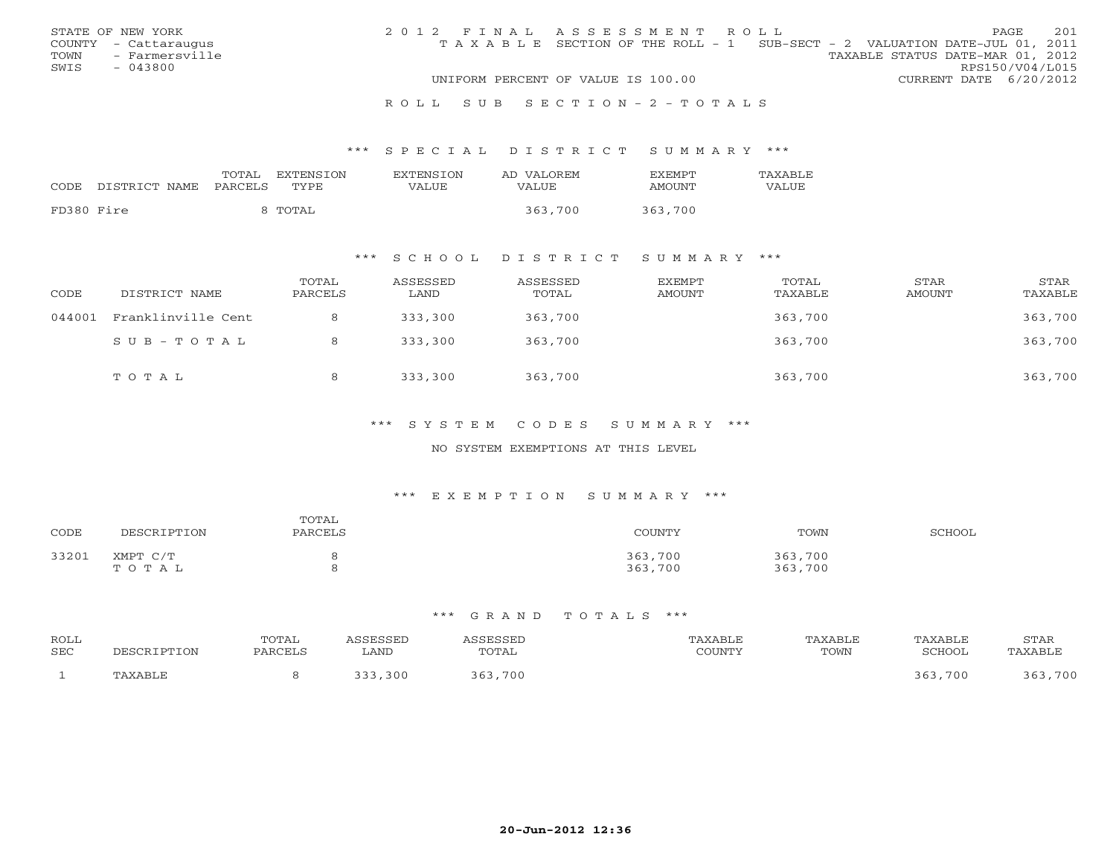|      | STATE OF NEW YORK    | 2012 FINAL ASSESSMENT ROLL |                                                                                |                                  |                        | <b>PAGE</b> | 2.01 |
|------|----------------------|----------------------------|--------------------------------------------------------------------------------|----------------------------------|------------------------|-------------|------|
|      | COUNTY - Cattaraugus |                            | T A X A B L E SECTION OF THE ROLL - 1 SUB-SECT - 2 VALUATION DATE-JUL 01, 2011 |                                  |                        |             |      |
|      | TOWN - Farmersville  |                            |                                                                                | TAXABLE STATUS DATE-MAR 01, 2012 |                        |             |      |
| SWIS | $-043800$            |                            |                                                                                |                                  | RPS150/V04/L015        |             |      |
|      |                      |                            | UNIFORM PERCENT OF VALUE IS 100.00                                             |                                  | CURRENT DATE 6/20/2012 |             |      |
|      |                      |                            |                                                                                |                                  |                        |             |      |

#### R O L L S U B S E C T I O N - 2 - T O T A L S

#### \*\*\* S P E C I A L D I S T R I C T S U M M A R Y \*\*\*

| CODE       | DISTRICT NAME | TOTAL<br>PARCELS | EXTENSION<br>TYPE. | EXTENSION<br>VALUE | AD VALOREM<br>VALUE | <b>EXEMPT</b><br><b>AMOUNT</b> | TAXABLE<br>VALUE |
|------------|---------------|------------------|--------------------|--------------------|---------------------|--------------------------------|------------------|
| FD380 Fire |               |                  | TOTAL T            |                    | 363,700             | 363,700                        |                  |

## \*\*\* S C H O O L D I S T R I C T S U M M A R Y \*\*\*

| CODE   | DISTRICT NAME      | TOTAL<br>PARCELS | ASSESSED<br>LAND | ASSESSED<br>TOTAL | EXEMPT<br>AMOUNT | TOTAL<br>TAXABLE | STAR<br>AMOUNT | STAR<br>TAXABLE |
|--------|--------------------|------------------|------------------|-------------------|------------------|------------------|----------------|-----------------|
| 044001 | Franklinville Cent |                  | 333,300          | 363,700           |                  | 363,700          |                | 363,700         |
|        | $SUB - TO T AL$    |                  | 333,300          | 363,700           |                  | 363,700          |                | 363,700         |
|        | TOTAL              |                  | 333,300          | 363,700           |                  | 363,700          |                | 363,700         |

## \*\*\* S Y S T E M C O D E S S U M M A R Y \*\*\*

#### NO SYSTEM EXEMPTIONS AT THIS LEVEL

#### \*\*\* E X E M P T I O N S U M M A R Y \*\*\*

| CODE  | DESCRIPTION       | TOTAL<br>PARCELS | COUNTY             | TOWN               | SCHOOL |
|-------|-------------------|------------------|--------------------|--------------------|--------|
| 33201 | ХМРТ С/Т<br>TOTAL |                  | 363,700<br>363,700 | 363,700<br>363,700 |        |

| ROLL<br>SEC | 'ION    | POTAL<br>PARCELL | ASSESSED<br>LAND | SSESSED<br>TOTAL | AXABLE<br>$\gamma$ $\cap$ the true $\gamma$<br>. UUIN 1 | TAXABLE<br>TOWN | TAXABLE<br>SCHOOL | <b>STAR</b><br>.'AXABLF |
|-------------|---------|------------------|------------------|------------------|---------------------------------------------------------|-----------------|-------------------|-------------------------|
|             | PAXABLE |                  | 30C              | 363,700          |                                                         |                 | .700<br>363       | . 700<br>363            |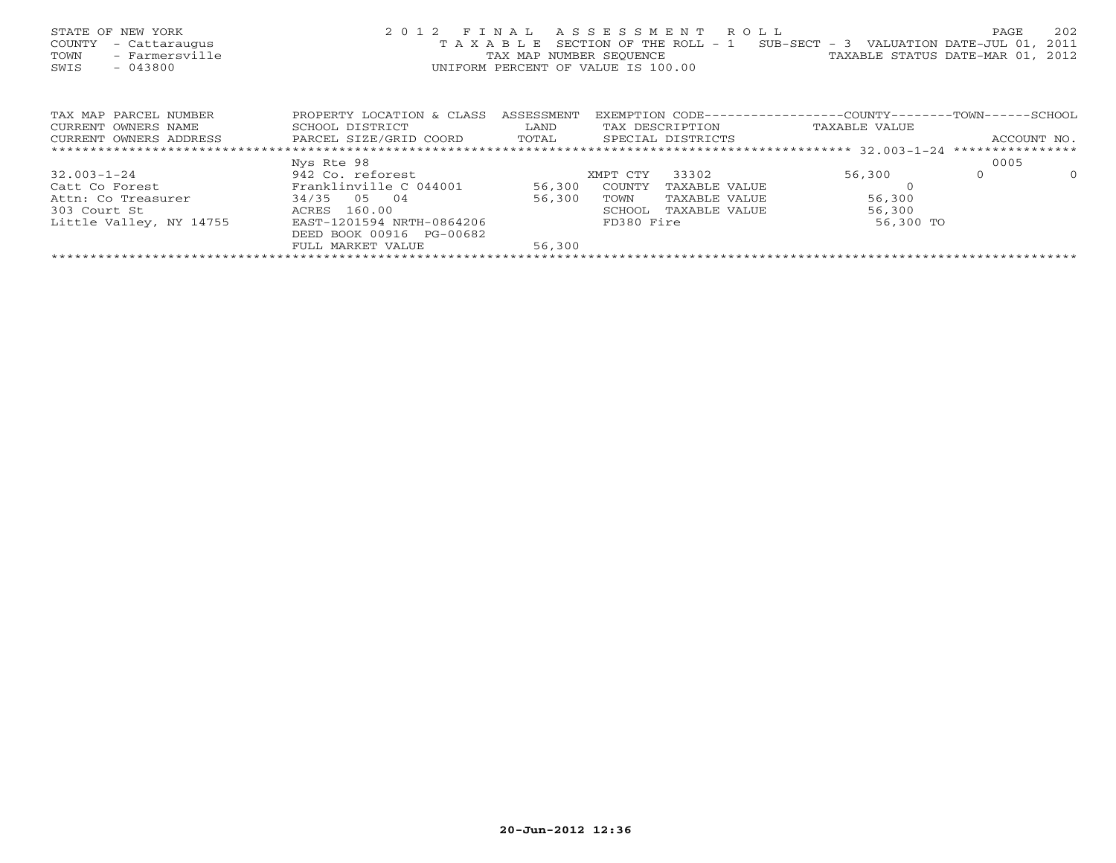| STATE OF NEW YORK<br>COUNTY<br>- Cattaraugus<br>- Farmersville<br>TOWN<br>SWIS<br>$-043800$ |                           |            | 2012 FINAL ASSESSMENT ROLL<br>T A X A B L E SECTION OF THE ROLL - 1 SUB-SECT - 3 VALUATION DATE-JUL 01, 2011<br>TAX MAP NUMBER SEQUENCE TAN TAXABLE STATUS DATE-MAR 01, 2012<br>UNIFORM PERCENT OF VALUE IS 100.00 |               | 202<br>PAGE         |
|---------------------------------------------------------------------------------------------|---------------------------|------------|--------------------------------------------------------------------------------------------------------------------------------------------------------------------------------------------------------------------|---------------|---------------------|
| TAX MAP PARCEL NUMBER                                                                       | PROPERTY LOCATION & CLASS | ASSESSMENT | EXEMPTION CODE-----------------COUNTY--------TOWN------SCHOOL                                                                                                                                                      |               |                     |
| CURRENT OWNERS NAME                                                                         | SCHOOL DISTRICT           | LAND       | TAX DESCRIPTION                                                                                                                                                                                                    | TAXABLE VALUE |                     |
| CURRENT OWNERS ADDRESS                                                                      | PARCEL SIZE/GRID COORD    |            | TOTAL SPECIAL DISTRICTS                                                                                                                                                                                            |               | ACCOUNT NO.         |
|                                                                                             |                           |            |                                                                                                                                                                                                                    |               |                     |
|                                                                                             | Nys Rte 98                |            |                                                                                                                                                                                                                    |               | 0005                |
| $32.003 - 1 - 24$                                                                           | 942 Co. reforest          |            | 33302<br>XMPT CTY                                                                                                                                                                                                  | 56,300        | $\Omega$<br>$\circ$ |
| Catt Co Forest                                                                              | Franklinville C 044001    | 56,300     | COUNTY<br>TAXABLE VALUE                                                                                                                                                                                            |               |                     |
| Attn: Co Treasurer                                                                          | 34/35 05 04               | 56,300     | TOWN<br>TAXABLE VALUE                                                                                                                                                                                              | 56,300        |                     |
| 303 Court St                                                                                | ACRES 160.00              |            | SCHOOL<br>TAXABLE VALUE                                                                                                                                                                                            | 56,300        |                     |
| Little Valley, NY 14755                                                                     | EAST-1201594 NRTH-0864206 |            | FD380 Fire                                                                                                                                                                                                         | 56,300 TO     |                     |
|                                                                                             | DEED BOOK 00916 PG-00682  |            |                                                                                                                                                                                                                    |               |                     |
|                                                                                             | FULL MARKET VALUE         | 56,300     |                                                                                                                                                                                                                    |               |                     |
|                                                                                             |                           |            |                                                                                                                                                                                                                    |               |                     |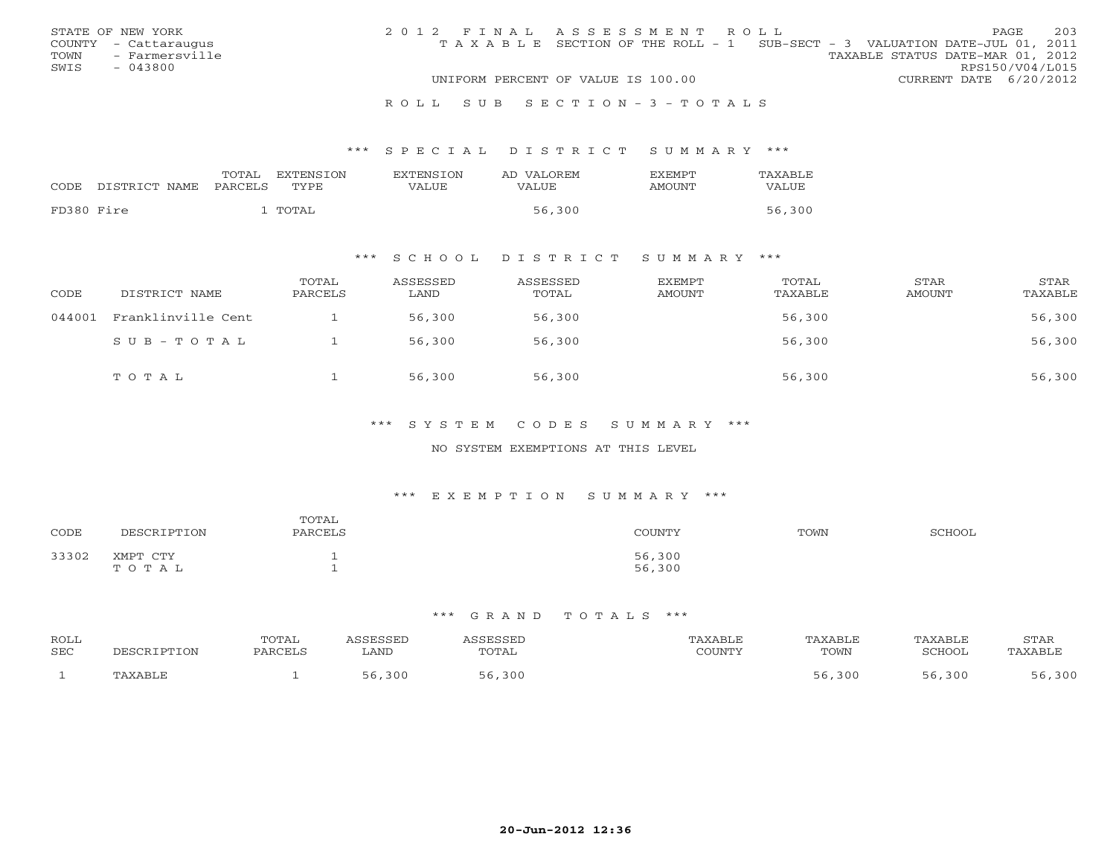|      | STATE OF NEW YORK    | 2012 FINAL ASSESSMENT ROLL |                                                                                |                                  |                        | PAGE. | 203 |
|------|----------------------|----------------------------|--------------------------------------------------------------------------------|----------------------------------|------------------------|-------|-----|
|      | COUNTY - Cattaraugus |                            | T A X A B L E SECTION OF THE ROLL - 1 SUB-SECT - 3 VALUATION DATE-JUL 01, 2011 |                                  |                        |       |     |
| TOWN | - Farmersville       |                            |                                                                                | TAXABLE STATUS DATE-MAR 01, 2012 |                        |       |     |
| SWIS | $-043800$            |                            |                                                                                |                                  | RPS150/V04/L015        |       |     |
|      |                      |                            | UNIFORM PERCENT OF VALUE IS 100.00                                             |                                  | CURRENT DATE 6/20/2012 |       |     |
|      |                      |                            |                                                                                |                                  |                        |       |     |

#### R O L L S U B S E C T I O N - 3 - T O T A L S

#### \*\*\* S P E C I A L D I S T R I C T S U M M A R Y \*\*\*

| CODE       | DISTRICT NAME | TOTAL<br>PARCELS | EXTENSTON<br>TYPE. | <b>EXTENSION</b><br>VALUE | AD VALOREM<br>VALUE | <b>FXEMPT</b><br>AMOUNT | TAXABLE<br>VALUE |
|------------|---------------|------------------|--------------------|---------------------------|---------------------|-------------------------|------------------|
| FD380 Fire |               |                  | TOTAL              |                           | 56,300              |                         | 56,300           |

## \*\*\* S C H O O L D I S T R I C T S U M M A R Y \*\*\*

| CODE   | DISTRICT NAME      | TOTAL<br>PARCELS | ASSESSED<br>LAND | ASSESSED<br>TOTAL | EXEMPT<br>AMOUNT | TOTAL<br>TAXABLE | STAR<br>AMOUNT | STAR<br>TAXABLE |
|--------|--------------------|------------------|------------------|-------------------|------------------|------------------|----------------|-----------------|
| 044001 | Franklinville Cent |                  | 56,300           | 56,300            |                  | 56,300           |                | 56,300          |
|        | SUB-TOTAL          |                  | 56,300           | 56,300            |                  | 56,300           |                | 56,300          |
|        | TOTAL              |                  | 56,300           | 56,300            |                  | 56,300           |                | 56,300          |

## \*\*\* S Y S T E M C O D E S S U M M A R Y \*\*\*

#### NO SYSTEM EXEMPTIONS AT THIS LEVEL

#### \*\*\* E X E M P T I O N S U M M A R Y \*\*\*

| CODE  | DESCRIPTION       | TOTAL<br>PARCELS | COUNTY           | TOWN | SCHOOL |
|-------|-------------------|------------------|------------------|------|--------|
| 33302 | XMPT CTY<br>TOTAL |                  | 56,300<br>56,300 |      |        |

| ROLL<br>SEC | CRIPTION | POTAL<br>PARCEL, | ASSESSED<br>LAND | SSESSED<br>TOTAL | 'AXABLE<br>$\gamma$ $\cap$ the true $\gamma$<br>JUUINI. | TAXABLE<br>TOWN | TAXABLE<br>SCHOOL | <b>STAR</b><br>. AXABLF |
|-------------|----------|------------------|------------------|------------------|---------------------------------------------------------|-----------------|-------------------|-------------------------|
|             | 'AXABLE  |                  | 300              | 300              |                                                         | 5,300           | 30C               | 300                     |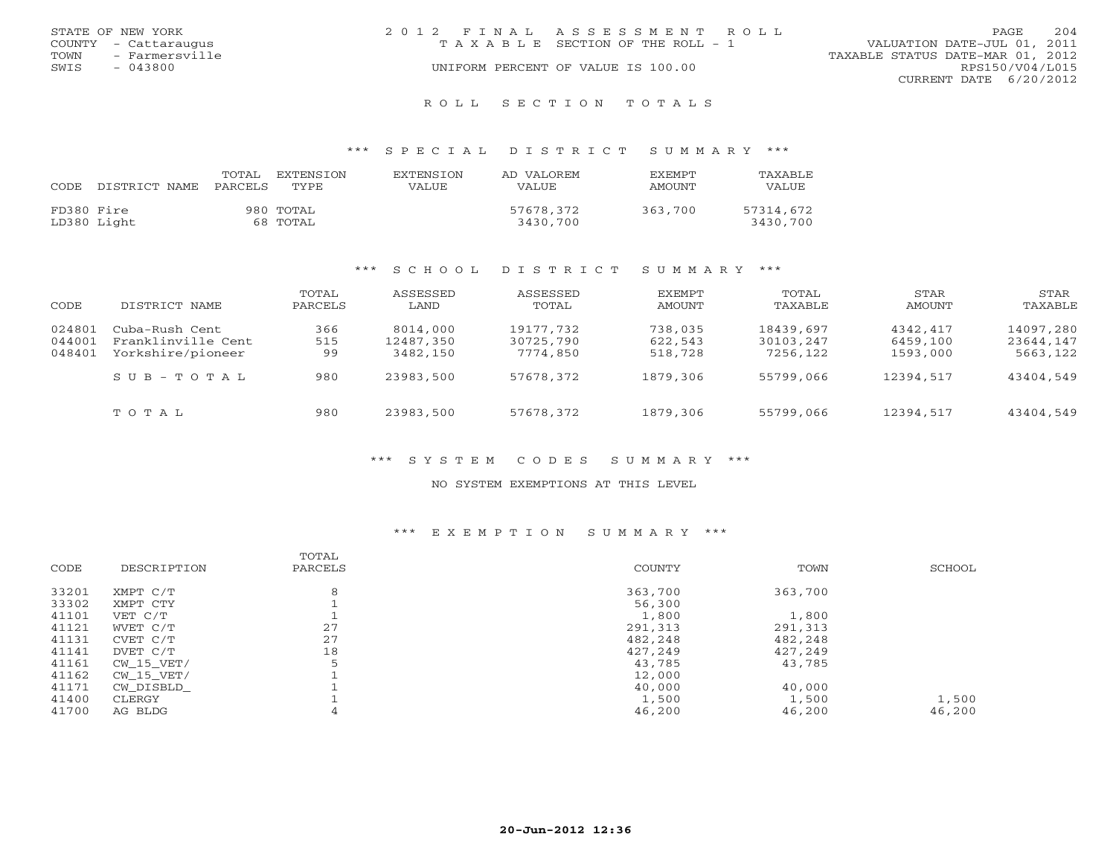|      | STATE OF NEW YORK    | 2012 FINAL ASSESSMENT ROLL            |                                  | <b>PAGE</b>            | 204 |
|------|----------------------|---------------------------------------|----------------------------------|------------------------|-----|
|      | COUNTY - Cattaraugus | T A X A B L E SECTION OF THE ROLL - 1 | VALUATION DATE-JUL 01, 2011      |                        |     |
| TOWN | - Farmersville       |                                       | TAXABLE STATUS DATE-MAR 01, 2012 |                        |     |
| SWIS | - 043800             | UNIFORM PERCENT OF VALUE IS 100.00    |                                  | RPS150/V04/L015        |     |
|      |                      |                                       |                                  | CURRENT DATE 6/20/2012 |     |
|      |                      |                                       |                                  |                        |     |

#### R O L L S E C T I O N T O T A L S

#### \*\*\* S P E C I A L D I S T R I C T S U M M A R Y \*\*\*

| CODE.      | DISTRICT NAME | TOTAL<br>PARCELS | EXTENSION<br>TYPE     | <b>EXTENSION</b><br><b>VALUE</b> | AD VALOREM<br>VALUE   | EXEMPT<br>AMOUNT | TAXABLE<br>VALUE      |
|------------|---------------|------------------|-----------------------|----------------------------------|-----------------------|------------------|-----------------------|
| FD380 Fire | LD380 Light   |                  | 980 TOTAL<br>68 TOTAL |                                  | 57678,372<br>3430,700 | 363,700          | 57314,672<br>3430,700 |

#### \*\*\* S C H O O L D I S T R I C T S U M M A R Y \*\*\*

| CODE   | DISTRICT NAME      | TOTAL<br>PARCELS | ASSESSED<br>LAND | ASSESSED<br>TOTAL | EXEMPT<br>AMOUNT | TOTAL<br>TAXABLE | STAR<br>AMOUNT | STAR<br>TAXABLE |
|--------|--------------------|------------------|------------------|-------------------|------------------|------------------|----------------|-----------------|
| 024801 | Cuba-Rush Cent     | 366              | 8014,000         | 19177,732         | 738,035          | 18439,697        | 4342,417       | 14097,280       |
| 044001 | Franklinville Cent | 515              | 12487.350        | 30725,790         | 622,543          | 30103,247        | 6459,100       | 23644,147       |
| 048401 | Yorkshire/pioneer  | 99               | 3482,150         | 7774,850          | 518,728          | 7256,122         | 1593,000       | 5663,122        |
|        | SUB-TOTAL          | 980              | 23983,500        | 57678,372         | 1879,306         | 55799,066        | 12394,517      | 43404,549       |
|        | TOTAL              | 980              | 23983,500        | 57678,372         | 1879,306         | 55799,066        | 12394,517      | 43404,549       |

## \*\*\* S Y S T E M C O D E S S U M M A R Y \*\*\*

#### NO SYSTEM EXEMPTIONS AT THIS LEVEL

#### \*\*\* E X E M P T I O N S U M M A R Y \*\*\*

| DESCRIPTION  | TOTAL<br>PARCELS | <b>COUNTY</b> | TOWN    | SCHOOL |
|--------------|------------------|---------------|---------|--------|
| XMPT C/T     | 8                | 363,700       | 363,700 |        |
| XMPT CTY     |                  | 56,300        |         |        |
| VET C/T      |                  | 1,800         | 1,800   |        |
| WVET C/T     | 27               | 291,313       | 291,313 |        |
| CVET C/T     | 27               | 482,248       | 482,248 |        |
| DVET C/T     | 18               | 427,249       | 427,249 |        |
| CW 15 VET/   | 5                | 43,785        | 43,785  |        |
| $CW_15_VET/$ |                  | 12,000        |         |        |
| CW DISBLD    |                  | 40,000        | 40,000  |        |
| CLERGY       |                  | 1,500         | 1,500   | 1,500  |
| AG BLDG      |                  | 46,200        | 46,200  | 46,200 |
|              |                  |               |         |        |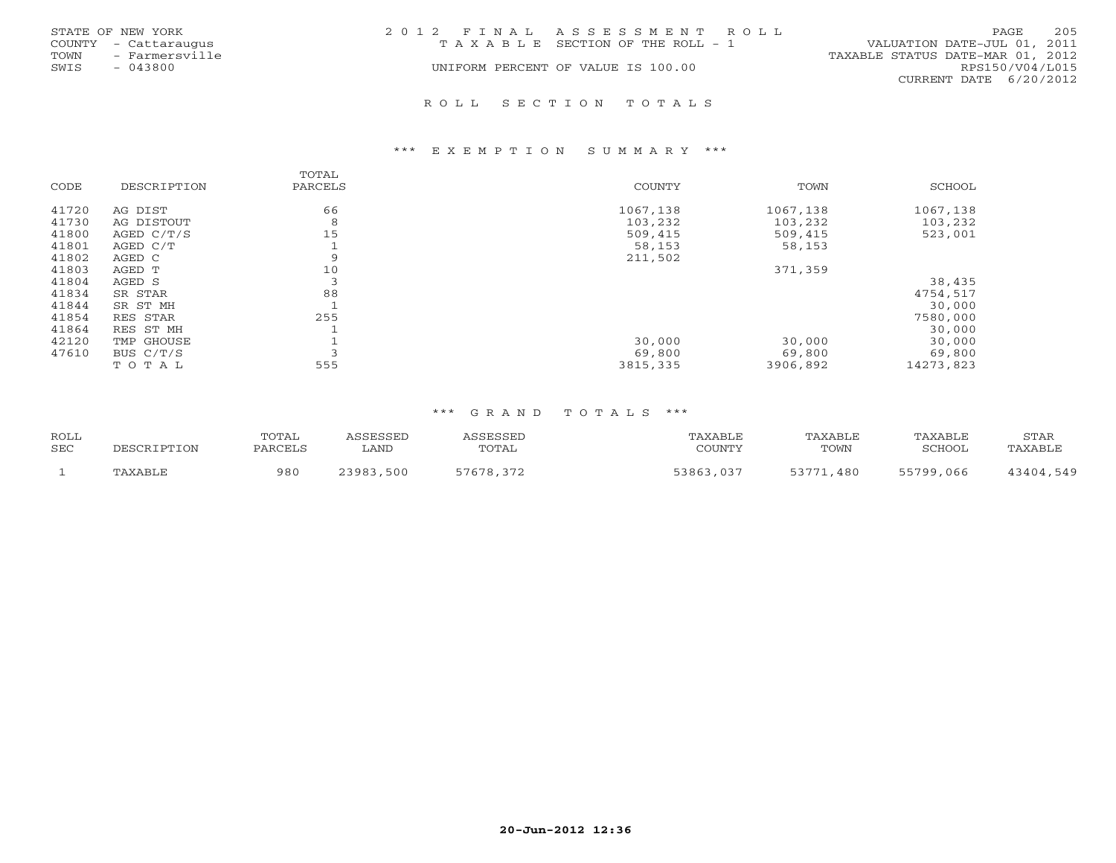|      | STATE OF NEW YORK    | 2012 FINAL ASSESSMENT ROLL |                                    |                                  | PAGE            | 205 |
|------|----------------------|----------------------------|------------------------------------|----------------------------------|-----------------|-----|
|      | COUNTY - Cattaraugus |                            | TAXABLE SECTION OF THE ROLL - 1    | VALUATION DATE-JUL 01, 2011      |                 |     |
| TOWN | - Farmersville       |                            |                                    | TAXABLE STATUS DATE-MAR 01, 2012 |                 |     |
| SWIS | $-043800$            |                            | UNIFORM PERCENT OF VALUE IS 100.00 |                                  | RPS150/V04/L015 |     |
|      |                      |                            |                                    | CURRENT DATE 6/20/2012           |                 |     |
|      |                      |                            |                                    |                                  |                 |     |

## R O L L S E C T I O N T O T A L S

#### \*\*\* E X E M P T I O N S U M M A R Y \*\*\*

| CODE  | DESCRIPTION | TOTAL<br>PARCELS | COUNTY   | TOWN     | SCHOOL    |
|-------|-------------|------------------|----------|----------|-----------|
|       |             |                  |          |          |           |
| 41720 | AG DIST     | 66               | 1067,138 | 1067,138 | 1067,138  |
| 41730 | AG DISTOUT  | 8                | 103,232  | 103,232  | 103,232   |
| 41800 | AGED C/T/S  | 15               | 509,415  | 509,415  | 523,001   |
| 41801 | AGED C/T    |                  | 58,153   | 58,153   |           |
| 41802 | AGED C      | 9                | 211,502  |          |           |
| 41803 | AGED T      | 10               |          | 371,359  |           |
| 41804 | AGED S      | 3                |          |          | 38,435    |
| 41834 | SR STAR     | 88               |          |          | 4754,517  |
| 41844 | SR ST MH    |                  |          |          | 30,000    |
| 41854 | RES STAR    | 255              |          |          | 7580,000  |
| 41864 | RES ST MH   |                  |          |          | 30,000    |
| 42120 | TMP GHOUSE  |                  | 30,000   | 30,000   | 30,000    |
| 47610 | BUS C/T/S   | $\overline{ }$   | 69,800   | 69,800   | 69,800    |
|       | TOTAL       | 555              | 3815,335 | 3906,892 | 14273,823 |

| <b>ROLL</b> |                | TOTAL   | CCFCCFD      |           | 'AXABLE              | TAXABLE       | TAXABLE   | STAR      |
|-------------|----------------|---------|--------------|-----------|----------------------|---------------|-----------|-----------|
| <b>SEC</b>  |                | PARCELS | ∟AND         | TOTAL     | $\gamma$ of tatifies | TOWN          | SCHOOL    | TAXABLE   |
|             | <b>TAXABLF</b> | 980     | 23983<br>500 | 57678.372 | 53863.037            | 53771<br>.480 | 55799,066 | 13404.549 |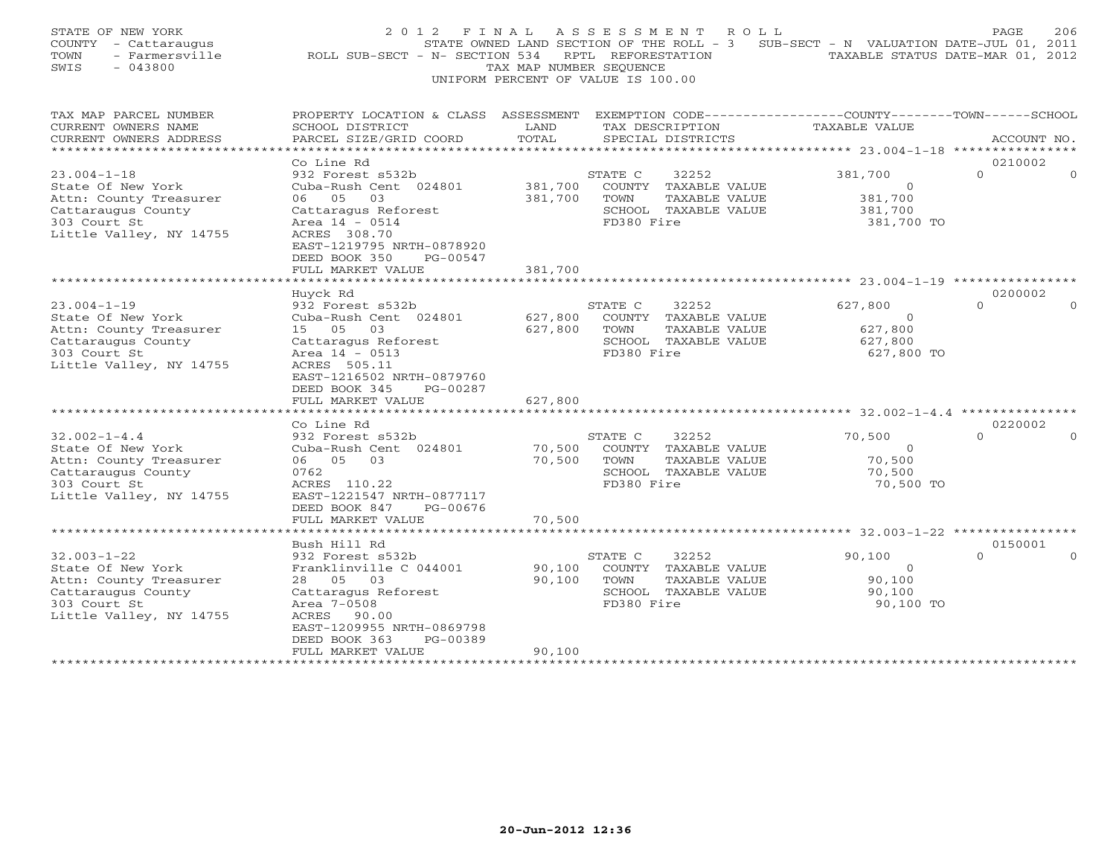| EXEMPTION CODE-----------------COUNTY-------TOWN------SCHOOL<br>TAX MAP PARCEL NUMBER<br>PROPERTY LOCATION & CLASS ASSESSMENT<br>CURRENT OWNERS NAME<br>SCHOOL DISTRICT<br>TAX DESCRIPTION<br>TAXABLE VALUE<br>LAND<br>PARCEL SIZE/GRID COORD<br>TOTAL<br>CURRENT OWNERS ADDRESS<br>SPECIAL DISTRICTS<br>ACCOUNT NO.<br>******<br>******** 23.004-1-18 *****************<br>0210002<br>Co Line Rd<br>$23.004 - 1 - 18$<br>932 Forest s532b<br>381,700<br>$\Omega$<br>STATE C<br>32252<br>381,700<br>State Of New York<br>Cuba-Rush Cent 024801<br>COUNTY TAXABLE VALUE<br>$\Omega$<br>Attn: County Treasurer<br>06 05<br>381,700<br>381,700<br>03<br>TOWN<br>TAXABLE VALUE<br>Cattaraugus County<br>Cattaragus Reforest<br>SCHOOL TAXABLE VALUE<br>381,700<br>303 Court St<br>Area 14 - 0514<br>FD380 Fire<br>381,700 TO<br>Little Valley, NY 14755<br>ACRES 308.70<br>EAST-1219795 NRTH-0878920<br>DEED BOOK 350<br>PG-00547<br>FULL MARKET VALUE<br>381,700<br>0200002<br>Huyck Rd<br>$23.004 - 1 - 19$<br>932 Forest s532b<br>627,800<br>$\Omega$<br>STATE C<br>32252<br>State Of New York<br>627,800<br>Cuba-Rush Cent 024801<br>COUNTY TAXABLE VALUE<br>$\circ$<br>Attn: County Treasurer<br>627,800<br>15 05 03<br>627,800<br>TOWN<br>TAXABLE VALUE<br>SCHOOL TAXABLE VALUE<br>Cattaraugus County<br>Cattaragus Reforest<br>627,800<br>303 Court St<br>Area 14 - 0513<br>FD380 Fire<br>627,800 TO<br>Little Valley, NY 14755<br>ACRES 505.11<br>EAST-1216502 NRTH-0879760<br>DEED BOOK 345<br>PG-00287<br>FULL MARKET VALUE<br>627,800<br>*************************<br>0220002<br>Co Line Rd<br>$32.002 - 1 - 4.4$<br>$\Omega$<br>STATE C<br>32252<br>70,500<br>$\Omega$<br>932 Forest s532b<br>State Of New York<br>70,500<br>Cuba-Rush Cent 024801<br>COUNTY TAXABLE VALUE<br>$\mathbf{0}$<br>Attn: County Treasurer<br>06 05 03<br>70,500<br>TOWN<br>TAXABLE VALUE<br>70,500<br>Cattaraugus County<br>0762<br>SCHOOL TAXABLE VALUE<br>70,500<br>303 Court St<br>FD380 Fire<br>ACRES 110.22<br>70,500 TO<br>Little Valley, NY 14755<br>EAST-1221547 NRTH-0877117<br>DEED BOOK 847<br>PG-00676<br>70,500<br>FULL MARKET VALUE<br>* * * * * * * * * * * * * * * * * *<br>********************* 32.003-1-22 ****************<br>Bush Hill Rd<br>0150001<br>$32.003 - 1 - 22$<br>932 Forest s532b<br>STATE C<br>32252<br>90,100<br>$\Omega$<br>90,100<br>State Of New York<br>Franklinville C 044001<br>COUNTY TAXABLE VALUE<br>$\circ$<br>Attn: County Treasurer<br>28<br>05 03<br>90,100<br>TAXABLE VALUE<br>90,100<br>TOWN<br>Cattaraugus County<br>SCHOOL TAXABLE VALUE<br>Cattaragus Reforest<br>90,100<br>303 Court St<br>Area 7-0508<br>FD380 Fire<br>90,100 TO<br>Little Valley, NY 14755<br>ACRES 90.00<br>EAST-1209955 NRTH-0869798<br>DEED BOOK 363<br>PG-00389<br>FULL MARKET VALUE<br>90,100 | STATE OF NEW YORK<br>COUNTY - Cattaraugus<br>- Farmersville<br>TOWN<br>SWIS<br>$-043800$ | 2 0 1 2<br>ROLL SUB-SECT - N- SECTION 534 | FINAL<br>TAX MAP NUMBER SEOUENCE | ASSESSMENT<br>R O L L<br>STATE OWNED LAND SECTION OF THE ROLL - 3<br>RPTL REFORESTATION<br>UNIFORM PERCENT OF VALUE IS 100.00 | SUB-SECT - N VALUATION DATE-JUL 01, 2011 | 206<br>PAGE<br>TAXABLE STATUS DATE-MAR 01, 2012 |
|---------------------------------------------------------------------------------------------------------------------------------------------------------------------------------------------------------------------------------------------------------------------------------------------------------------------------------------------------------------------------------------------------------------------------------------------------------------------------------------------------------------------------------------------------------------------------------------------------------------------------------------------------------------------------------------------------------------------------------------------------------------------------------------------------------------------------------------------------------------------------------------------------------------------------------------------------------------------------------------------------------------------------------------------------------------------------------------------------------------------------------------------------------------------------------------------------------------------------------------------------------------------------------------------------------------------------------------------------------------------------------------------------------------------------------------------------------------------------------------------------------------------------------------------------------------------------------------------------------------------------------------------------------------------------------------------------------------------------------------------------------------------------------------------------------------------------------------------------------------------------------------------------------------------------------------------------------------------------------------------------------------------------------------------------------------------------------------------------------------------------------------------------------------------------------------------------------------------------------------------------------------------------------------------------------------------------------------------------------------------------------------------------------------------------------------------------------------------------------------------------------------------------------------------------------------------------------------------------------------------------------------------------------------------------------------------------------------------------------------------------------------------------------------------------------------|------------------------------------------------------------------------------------------|-------------------------------------------|----------------------------------|-------------------------------------------------------------------------------------------------------------------------------|------------------------------------------|-------------------------------------------------|
|                                                                                                                                                                                                                                                                                                                                                                                                                                                                                                                                                                                                                                                                                                                                                                                                                                                                                                                                                                                                                                                                                                                                                                                                                                                                                                                                                                                                                                                                                                                                                                                                                                                                                                                                                                                                                                                                                                                                                                                                                                                                                                                                                                                                                                                                                                                                                                                                                                                                                                                                                                                                                                                                                                                                                                                                               |                                                                                          |                                           |                                  |                                                                                                                               |                                          |                                                 |
|                                                                                                                                                                                                                                                                                                                                                                                                                                                                                                                                                                                                                                                                                                                                                                                                                                                                                                                                                                                                                                                                                                                                                                                                                                                                                                                                                                                                                                                                                                                                                                                                                                                                                                                                                                                                                                                                                                                                                                                                                                                                                                                                                                                                                                                                                                                                                                                                                                                                                                                                                                                                                                                                                                                                                                                                               |                                                                                          |                                           |                                  |                                                                                                                               |                                          |                                                 |
|                                                                                                                                                                                                                                                                                                                                                                                                                                                                                                                                                                                                                                                                                                                                                                                                                                                                                                                                                                                                                                                                                                                                                                                                                                                                                                                                                                                                                                                                                                                                                                                                                                                                                                                                                                                                                                                                                                                                                                                                                                                                                                                                                                                                                                                                                                                                                                                                                                                                                                                                                                                                                                                                                                                                                                                                               |                                                                                          |                                           |                                  |                                                                                                                               |                                          |                                                 |
|                                                                                                                                                                                                                                                                                                                                                                                                                                                                                                                                                                                                                                                                                                                                                                                                                                                                                                                                                                                                                                                                                                                                                                                                                                                                                                                                                                                                                                                                                                                                                                                                                                                                                                                                                                                                                                                                                                                                                                                                                                                                                                                                                                                                                                                                                                                                                                                                                                                                                                                                                                                                                                                                                                                                                                                                               |                                                                                          |                                           |                                  |                                                                                                                               |                                          |                                                 |
|                                                                                                                                                                                                                                                                                                                                                                                                                                                                                                                                                                                                                                                                                                                                                                                                                                                                                                                                                                                                                                                                                                                                                                                                                                                                                                                                                                                                                                                                                                                                                                                                                                                                                                                                                                                                                                                                                                                                                                                                                                                                                                                                                                                                                                                                                                                                                                                                                                                                                                                                                                                                                                                                                                                                                                                                               |                                                                                          |                                           |                                  |                                                                                                                               |                                          |                                                 |
|                                                                                                                                                                                                                                                                                                                                                                                                                                                                                                                                                                                                                                                                                                                                                                                                                                                                                                                                                                                                                                                                                                                                                                                                                                                                                                                                                                                                                                                                                                                                                                                                                                                                                                                                                                                                                                                                                                                                                                                                                                                                                                                                                                                                                                                                                                                                                                                                                                                                                                                                                                                                                                                                                                                                                                                                               |                                                                                          |                                           |                                  |                                                                                                                               |                                          |                                                 |
|                                                                                                                                                                                                                                                                                                                                                                                                                                                                                                                                                                                                                                                                                                                                                                                                                                                                                                                                                                                                                                                                                                                                                                                                                                                                                                                                                                                                                                                                                                                                                                                                                                                                                                                                                                                                                                                                                                                                                                                                                                                                                                                                                                                                                                                                                                                                                                                                                                                                                                                                                                                                                                                                                                                                                                                                               |                                                                                          |                                           |                                  |                                                                                                                               |                                          |                                                 |
|                                                                                                                                                                                                                                                                                                                                                                                                                                                                                                                                                                                                                                                                                                                                                                                                                                                                                                                                                                                                                                                                                                                                                                                                                                                                                                                                                                                                                                                                                                                                                                                                                                                                                                                                                                                                                                                                                                                                                                                                                                                                                                                                                                                                                                                                                                                                                                                                                                                                                                                                                                                                                                                                                                                                                                                                               |                                                                                          |                                           |                                  |                                                                                                                               |                                          |                                                 |
|                                                                                                                                                                                                                                                                                                                                                                                                                                                                                                                                                                                                                                                                                                                                                                                                                                                                                                                                                                                                                                                                                                                                                                                                                                                                                                                                                                                                                                                                                                                                                                                                                                                                                                                                                                                                                                                                                                                                                                                                                                                                                                                                                                                                                                                                                                                                                                                                                                                                                                                                                                                                                                                                                                                                                                                                               |                                                                                          |                                           |                                  |                                                                                                                               |                                          |                                                 |
|                                                                                                                                                                                                                                                                                                                                                                                                                                                                                                                                                                                                                                                                                                                                                                                                                                                                                                                                                                                                                                                                                                                                                                                                                                                                                                                                                                                                                                                                                                                                                                                                                                                                                                                                                                                                                                                                                                                                                                                                                                                                                                                                                                                                                                                                                                                                                                                                                                                                                                                                                                                                                                                                                                                                                                                                               |                                                                                          |                                           |                                  |                                                                                                                               |                                          |                                                 |
|                                                                                                                                                                                                                                                                                                                                                                                                                                                                                                                                                                                                                                                                                                                                                                                                                                                                                                                                                                                                                                                                                                                                                                                                                                                                                                                                                                                                                                                                                                                                                                                                                                                                                                                                                                                                                                                                                                                                                                                                                                                                                                                                                                                                                                                                                                                                                                                                                                                                                                                                                                                                                                                                                                                                                                                                               |                                                                                          |                                           |                                  |                                                                                                                               |                                          |                                                 |
|                                                                                                                                                                                                                                                                                                                                                                                                                                                                                                                                                                                                                                                                                                                                                                                                                                                                                                                                                                                                                                                                                                                                                                                                                                                                                                                                                                                                                                                                                                                                                                                                                                                                                                                                                                                                                                                                                                                                                                                                                                                                                                                                                                                                                                                                                                                                                                                                                                                                                                                                                                                                                                                                                                                                                                                                               |                                                                                          |                                           |                                  |                                                                                                                               |                                          |                                                 |
|                                                                                                                                                                                                                                                                                                                                                                                                                                                                                                                                                                                                                                                                                                                                                                                                                                                                                                                                                                                                                                                                                                                                                                                                                                                                                                                                                                                                                                                                                                                                                                                                                                                                                                                                                                                                                                                                                                                                                                                                                                                                                                                                                                                                                                                                                                                                                                                                                                                                                                                                                                                                                                                                                                                                                                                                               |                                                                                          |                                           |                                  |                                                                                                                               |                                          |                                                 |
|                                                                                                                                                                                                                                                                                                                                                                                                                                                                                                                                                                                                                                                                                                                                                                                                                                                                                                                                                                                                                                                                                                                                                                                                                                                                                                                                                                                                                                                                                                                                                                                                                                                                                                                                                                                                                                                                                                                                                                                                                                                                                                                                                                                                                                                                                                                                                                                                                                                                                                                                                                                                                                                                                                                                                                                                               | *****************                                                                        | ********************                      |                                  |                                                                                                                               |                                          |                                                 |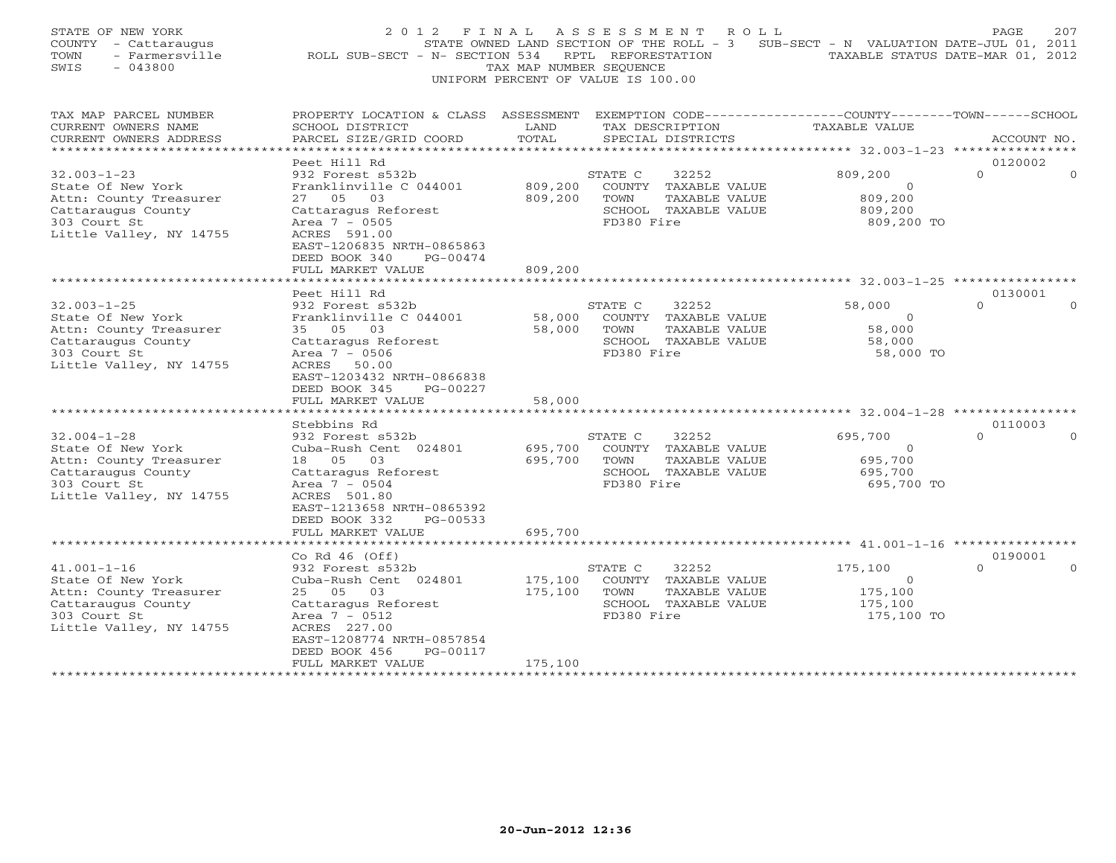| STATE OF NEW YORK<br>COUNTY - Cattaraugus<br>TOWN<br>- Farmersville<br>$-043800$<br>SWIS                                          | 2 0 1 2<br>ROLL SUB-SECT - N- SECTION 534                                                                                                                                   | FINAL<br>TAX MAP NUMBER SEOUENCE | A S S E S S M E N T<br>ROLL<br>STATE OWNED LAND SECTION OF THE ROLL - 3<br>RPTL REFORESTATION<br>UNIFORM PERCENT OF VALUE IS 100.00 | SUB-SECT - N VALUATION DATE-JUL 01, 2011                    | 207<br>PAGE<br>TAXABLE STATUS DATE-MAR 01, 2012 |
|-----------------------------------------------------------------------------------------------------------------------------------|-----------------------------------------------------------------------------------------------------------------------------------------------------------------------------|----------------------------------|-------------------------------------------------------------------------------------------------------------------------------------|-------------------------------------------------------------|-------------------------------------------------|
| TAX MAP PARCEL NUMBER<br>CURRENT OWNERS NAME<br>CURRENT OWNERS ADDRESS                                                            | PROPERTY LOCATION & CLASS ASSESSMENT EXEMPTION CODE---------------COUNTY-------TOWN-----SCHOOL<br>SCHOOL DISTRICT<br>PARCEL SIZE/GRID COORD                                 | LAND<br>TOTAL                    | TAX DESCRIPTION<br>SPECIAL DISTRICTS                                                                                                | <b>TAXABLE VALUE</b>                                        | ACCOUNT NO.                                     |
| ******************************                                                                                                    |                                                                                                                                                                             |                                  |                                                                                                                                     |                                                             |                                                 |
| $32.003 - 1 - 23$<br>State Of New York<br>Attn: County Treasurer<br>Cattaraugus County<br>303 Court St<br>Little Valley, NY 14755 | Peet Hill Rd<br>932 Forest s532b<br>Franklinville C 044001<br>27 05 03<br>Cattaragus Reforest<br>Area $7 - 0505$<br>ACRES 591.00                                            | 809,200<br>809,200               | STATE C<br>32252<br>COUNTY TAXABLE VALUE<br>TOWN<br>TAXABLE VALUE<br>SCHOOL TAXABLE VALUE<br>FD380 Fire                             | 809,200<br>$\circ$<br>809,200<br>809,200<br>809,200 TO      | 0120002<br>$\Omega$<br>$\Omega$                 |
|                                                                                                                                   | EAST-1206835 NRTH-0865863<br>DEED BOOK 340<br>PG-00474<br>FULL MARKET VALUE<br>********************                                                                         | 809,200                          |                                                                                                                                     |                                                             |                                                 |
|                                                                                                                                   | Peet Hill Rd                                                                                                                                                                |                                  |                                                                                                                                     |                                                             | 0130001                                         |
| $32.003 - 1 - 25$<br>State Of New York<br>Attn: County Treasurer<br>Cattaraugus County<br>303 Court St<br>Little Valley, NY 14755 | 932 Forest s532b<br>Franklinville C 044001<br>35 05<br>03<br>Cattaragus Reforest<br>Area 7 - 0506<br>ACRES 50.00<br>EAST-1203432 NRTH-0866838<br>DEED BOOK 345<br>PG-00227  | 58,000<br>58,000                 | STATE C<br>32252<br>COUNTY TAXABLE VALUE<br>TAXABLE VALUE<br>TOWN<br>SCHOOL TAXABLE VALUE<br>FD380 Fire                             | 58,000<br>$\circ$<br>58,000<br>58,000<br>58,000 TO          | $\Omega$<br>$\Omega$                            |
| ***********************                                                                                                           | FULL MARKET VALUE<br>* * * * * * * * * * * * * * * * * * *                                                                                                                  | 58,000                           |                                                                                                                                     |                                                             |                                                 |
|                                                                                                                                   | Stebbins Rd                                                                                                                                                                 |                                  |                                                                                                                                     |                                                             | 0110003                                         |
| $32.004 - 1 - 28$<br>State Of New York<br>Attn: County Treasurer<br>Cattaraugus County<br>303 Court St<br>Little Valley, NY 14755 | 932 Forest s532b<br>Cuba-Rush Cent 024801<br>18  05  03<br>Cattaragus Reforest<br>Area $7 - 0504$<br>ACRES 501.80<br>EAST-1213658 NRTH-0865392<br>DEED BOOK 332<br>PG-00533 | 695,700<br>695,700               | 32252<br>STATE C<br>COUNTY TAXABLE VALUE<br>TAXABLE VALUE<br>TOWN<br>SCHOOL TAXABLE VALUE<br>FD380 Fire                             | 695,700<br>$\mathbf{0}$<br>695,700<br>695,700<br>695,700 TO | $\Omega$<br>$\Omega$                            |
|                                                                                                                                   | FULL MARKET VALUE                                                                                                                                                           | 695,700                          |                                                                                                                                     |                                                             |                                                 |
|                                                                                                                                   | Co Rd $46$ (Off)                                                                                                                                                            |                                  |                                                                                                                                     |                                                             | 0190001                                         |
| $41.001 - 1 - 16$<br>State Of New York<br>Attn: County Treasurer<br>Cattaraugus County<br>303 Court St<br>Little Valley, NY 14755 | 932 Forest s532b<br>Cuba-Rush Cent 024801<br>25 05 03<br>Cattaragus Reforest<br>Area $7 - 0512$<br>ACRES 227.00<br>EAST-1208774 NRTH-0857854<br>DEED BOOK 456<br>PG-00117   | 175,100<br>175,100               | 32252<br>STATE C<br>COUNTY TAXABLE VALUE<br>TOWN<br>TAXABLE VALUE<br>SCHOOL TAXABLE VALUE<br>FD380 Fire                             | 175,100<br>$\circ$<br>175,100<br>175,100<br>175,100 TO      | $\Omega$<br>$\Omega$                            |
| ***********************                                                                                                           | FULL MARKET VALUE<br>* * * * * * * * * * * * * * * * * * *                                                                                                                  | 175,100<br>************          |                                                                                                                                     |                                                             |                                                 |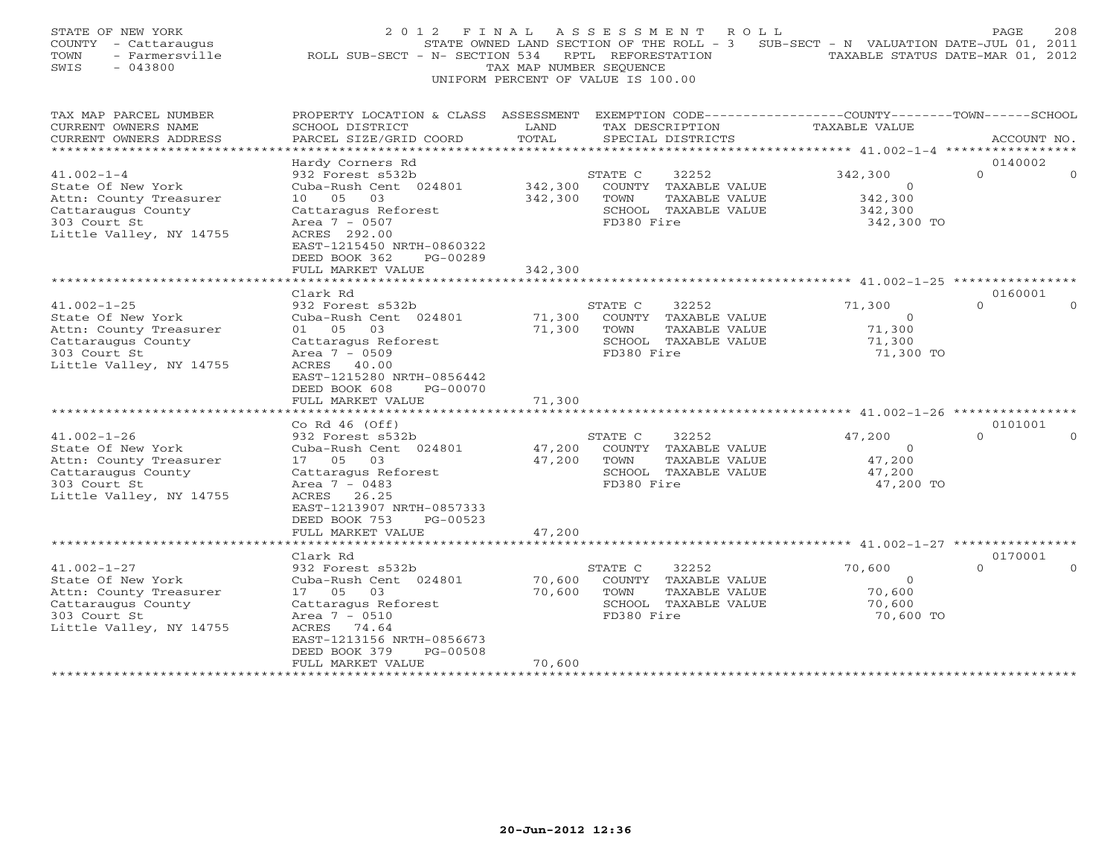| STATE OF NEW YORK<br>COUNTY - Cattaraugus<br>TOWN<br>- Farmersville<br>SWIS<br>$-043800$                                          | 2 0 1 2<br>F I N A L<br>ROLL SUB-SECT - N- SECTION 534                                                                                                                                        | TAX MAP NUMBER SEQUENCE    | A S S E S S M E N T<br>ROLL<br>STATE OWNED LAND SECTION OF THE ROLL - 3<br>RPTL REFORESTATION<br>UNIFORM PERCENT OF VALUE IS 100.00 | SUB-SECT - N VALUATION DATE-JUL 01, 2011                | PAGE<br>208<br>TAXABLE STATUS DATE-MAR 01, 2012 |
|-----------------------------------------------------------------------------------------------------------------------------------|-----------------------------------------------------------------------------------------------------------------------------------------------------------------------------------------------|----------------------------|-------------------------------------------------------------------------------------------------------------------------------------|---------------------------------------------------------|-------------------------------------------------|
| TAX MAP PARCEL NUMBER<br>CURRENT OWNERS NAME<br>CURRENT OWNERS ADDRESS<br>**********************                                  | PROPERTY LOCATION & CLASS ASSESSMENT EXEMPTION CODE---------------COUNTY-------TOWN-----SCHOOL<br>SCHOOL DISTRICT<br>PARCEL SIZE/GRID COORD                                                   | LAND<br>TOTAL              | TAX DESCRIPTION<br>SPECIAL DISTRICTS                                                                                                | TAXABLE VALUE                                           | ACCOUNT NO.                                     |
|                                                                                                                                   | Hardy Corners Rd                                                                                                                                                                              |                            |                                                                                                                                     |                                                         | 0140002                                         |
| $41.002 - 1 - 4$<br>State Of New York<br>Attn: County Treasurer<br>Cattaraugus County<br>303 Court St<br>Little Valley, NY 14755  | 932 Forest s532b<br>Cuba-Rush Cent 024801<br>10 05 03<br>Cattaragus Reforest<br>Area 7 - 0507<br>ACRES 292.00<br>EAST-1215450 NRTH-0860322<br>DEED BOOK 362<br>PG-00289                       | 342,300<br>342,300         | STATE C<br>32252<br>COUNTY TAXABLE VALUE<br>TAXABLE VALUE<br>TOWN<br>SCHOOL TAXABLE VALUE<br>FD380 Fire                             | 342,300<br>$\Omega$<br>342,300<br>342,300<br>342,300 TO | $\Omega$<br>$\Omega$                            |
|                                                                                                                                   | FULL MARKET VALUE                                                                                                                                                                             | 342,300                    |                                                                                                                                     |                                                         |                                                 |
|                                                                                                                                   | Clark Rd                                                                                                                                                                                      |                            |                                                                                                                                     |                                                         | 0160001                                         |
| $41.002 - 1 - 25$<br>State Of New York<br>Attn: County Treasurer<br>Cattaraugus County<br>303 Court St<br>Little Valley, NY 14755 | 932 Forest s532b<br>Cuba-Rush Cent 024801<br>01 05 03<br>Cattaragus Reforest<br>Area $7 - 0509$<br>ACRES 40.00<br>EAST-1215280 NRTH-0856442<br>DEED BOOK 608<br>PG-00070<br>FULL MARKET VALUE | 71,300<br>71,300<br>71,300 | 32252<br>STATE C<br>COUNTY TAXABLE VALUE<br>TAXABLE VALUE<br>TOWN<br>SCHOOL TAXABLE VALUE<br>FD380 Fire                             | 71,300<br>$\mathbf{0}$<br>71,300<br>71,300<br>71,300 TO | $\Omega$<br>$\Omega$                            |
| ******************************                                                                                                    |                                                                                                                                                                                               |                            |                                                                                                                                     |                                                         |                                                 |
| $41.002 - 1 - 26$<br>State Of New York<br>Attn: County Treasurer<br>Cattaraugus County<br>303 Court St<br>Little Valley, NY 14755 | Co Rd $46$ (Off)<br>932 Forest s532b<br>Cuba-Rush Cent 024801<br>17 05 03<br>Cattaragus Reforest<br>Area 7 - 0483<br>ACRES 26.25<br>EAST-1213907 NRTH-0857333<br>DEED BOOK 753<br>PG-00523    | 47,200<br>47,200           | STATE C<br>32252<br>COUNTY TAXABLE VALUE<br>TOWN<br>TAXABLE VALUE<br>SCHOOL TAXABLE VALUE<br>FD380 Fire                             | 47,200<br>$\circ$<br>47,200<br>47,200<br>47,200 TO      | 0101001<br>$\Omega$<br>$\Omega$                 |
|                                                                                                                                   | FULL MARKET VALUE<br>******************                                                                                                                                                       | 47,200                     |                                                                                                                                     |                                                         |                                                 |
|                                                                                                                                   | Clark Rd                                                                                                                                                                                      |                            |                                                                                                                                     |                                                         | 0170001                                         |
| $41.002 - 1 - 27$<br>State Of New York<br>Attn: County Treasurer<br>Cattaraugus County<br>303 Court St<br>Little Valley, NY 14755 | 932 Forest s532b<br>Cuba-Rush Cent 024801<br>17 05<br>03<br>Cattaragus Reforest<br>Area $7 - 0510$<br>ACRES 74.64<br>EAST-1213156 NRTH-0856673<br>PG-00508<br>DEED BOOK 379                   | 70,600<br>70,600           | 32252<br>STATE C<br>COUNTY TAXABLE VALUE<br>TOWN<br>TAXABLE VALUE<br>SCHOOL TAXABLE VALUE<br>FD380 Fire                             | 70,600<br>$\Omega$<br>70,600<br>70,600<br>70,600 TO     | $\Omega$<br>$\Omega$                            |
|                                                                                                                                   | FULL MARKET VALUE<br>* * * * * * * * * * * * * * * * * * *                                                                                                                                    | 70,600<br>***********      |                                                                                                                                     |                                                         |                                                 |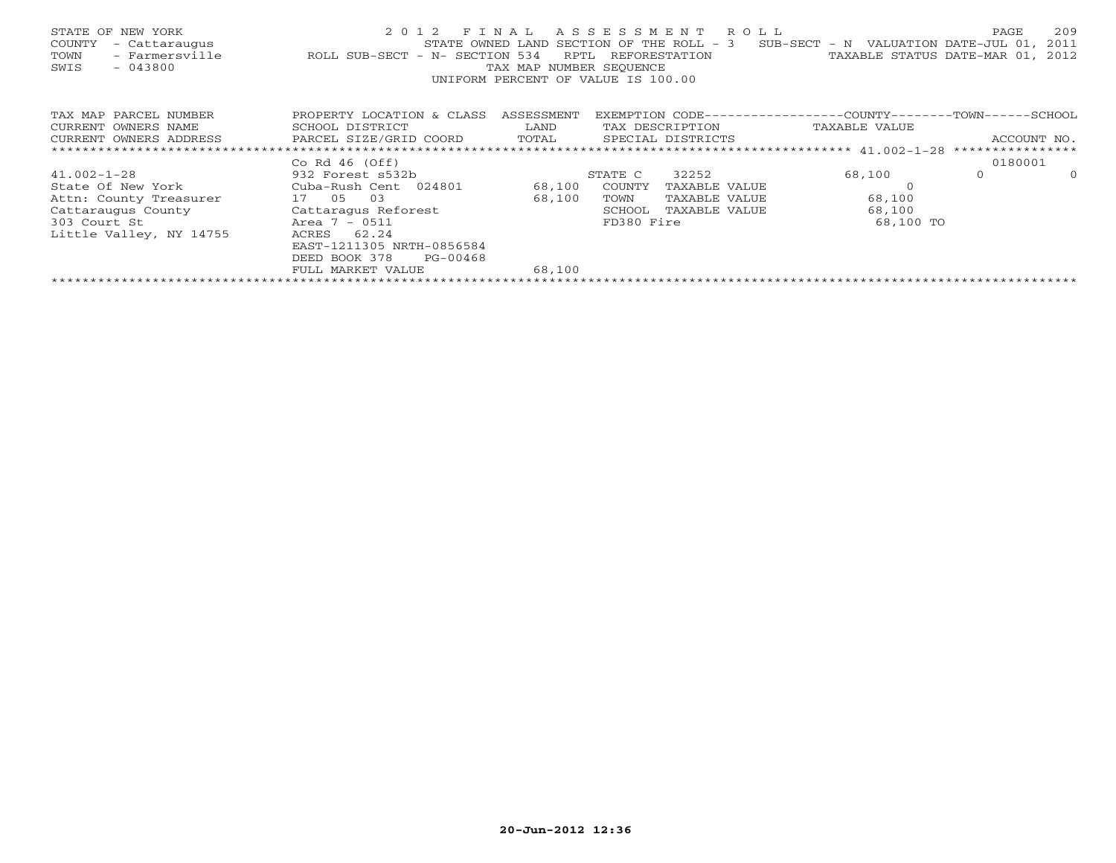| STATE OF NEW YORK<br>COUNTY<br>- Cattaraugus<br>- Farmersville<br>TOWN<br>$-043800$<br>SWIS | 2 0 1 2<br>STATE OWNED LAND<br>ROLL SUB-SECT - N- SECTION 534 | FINAL<br>RPTL<br>TAX MAP NUMBER SEOUENCE<br>UNIFORM PERCENT OF VALUE IS 100.00 | ASSESSMENT | R O L L<br>SECTION OF THE ROLL - 3<br>REFORESTATION | SUB-SECT - N VALUATION DATE-JUL 01,<br>TAXABLE STATUS DATE-MAR 01, | PAGE        | 209<br>2011<br>2012 |
|---------------------------------------------------------------------------------------------|---------------------------------------------------------------|--------------------------------------------------------------------------------|------------|-----------------------------------------------------|--------------------------------------------------------------------|-------------|---------------------|
| TAX MAP PARCEL NUMBER                                                                       | PROPERTY LOCATION & CLASS                                     | ASSESSMENT                                                                     |            |                                                     | EXEMPTION CODE-----------------COUNTY-------TOWN------SCHOOL       |             |                     |
| CURRENT OWNERS NAME                                                                         | SCHOOL DISTRICT                                               | LAND                                                                           |            | TAX DESCRIPTION                                     | TAXABLE VALUE                                                      |             |                     |
| CURRENT OWNERS ADDRESS                                                                      | PARCEL SIZE/GRID COORD                                        | TOTAL                                                                          |            | SPECIAL DISTRICTS                                   |                                                                    | ACCOUNT NO. |                     |
|                                                                                             |                                                               |                                                                                |            |                                                     |                                                                    |             |                     |
|                                                                                             | Co Rd $46$ (Off)                                              |                                                                                |            |                                                     |                                                                    | 0180001     |                     |
| $41.002 - 1 - 28$                                                                           | 932 Forest s532b                                              |                                                                                | STATE C    | 32252                                               | 68,100                                                             | $\Omega$    | $\Omega$            |
| State Of New York                                                                           | Cuba-Rush Cent 024801                                         | 68,100                                                                         | COUNTY     | TAXABLE VALUE                                       |                                                                    |             |                     |
| Attn: County Treasurer                                                                      | 17 05<br>03                                                   | 68,100                                                                         | TOWN       | TAXABLE VALUE                                       | 68,100                                                             |             |                     |
| Cattaraugus County                                                                          | Cattaragus Reforest                                           |                                                                                | SCHOOL     | TAXABLE VALUE                                       | 68,100                                                             |             |                     |
| 303 Court St                                                                                | Area 7 - 0511                                                 |                                                                                | FD380 Fire |                                                     | 68,100 TO                                                          |             |                     |
| Little Valley, NY 14755                                                                     | 62.24<br>ACRES                                                |                                                                                |            |                                                     |                                                                    |             |                     |
|                                                                                             | EAST-1211305 NRTH-0856584                                     |                                                                                |            |                                                     |                                                                    |             |                     |
|                                                                                             | DEED BOOK 378<br>PG-00468                                     |                                                                                |            |                                                     |                                                                    |             |                     |
|                                                                                             | FULL MARKET VALUE                                             | 68,100                                                                         |            |                                                     |                                                                    |             |                     |
|                                                                                             |                                                               |                                                                                |            |                                                     |                                                                    |             |                     |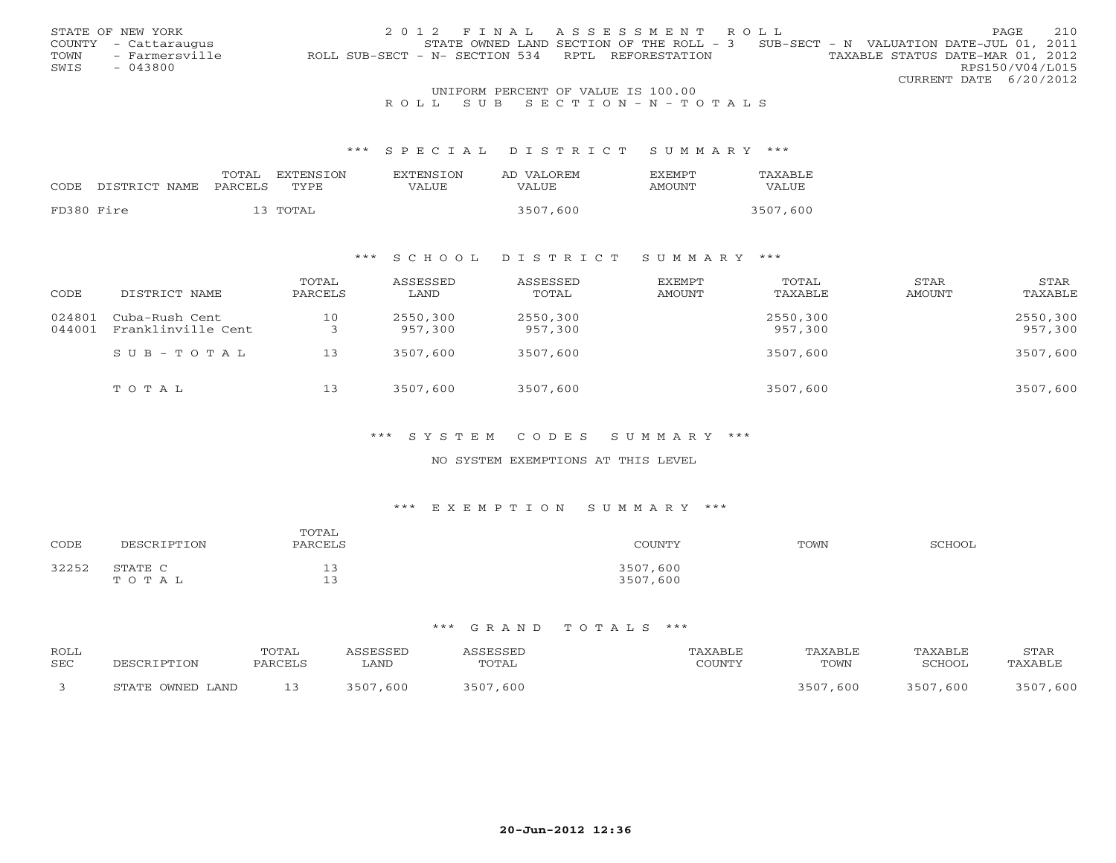|      | STATE OF NEW YORK    |  | 2012 FINAL ASSESSMENT ROLL                        |                                                                                     | <b>PAGE</b>            | 2.10 |
|------|----------------------|--|---------------------------------------------------|-------------------------------------------------------------------------------------|------------------------|------|
|      | COUNTY - Cattaraugus |  |                                                   | STATE OWNED LAND SECTION OF THE ROLL - $3$ SUB-SECT - N VALUATION DATE-JUL 01, 2011 |                        |      |
| TOWN | - Farmersville       |  | ROLL SUB-SECT - N- SECTION 534 RPTL REFORESTATION | TAXABLE STATUS DATE-MAR 01, 2012                                                    |                        |      |
| SWIS | - 043800             |  |                                                   |                                                                                     | RPS150/V04/L015        |      |
|      |                      |  |                                                   |                                                                                     | CURRENT DATE 6/20/2012 |      |
|      |                      |  | INITEOPM DEPOEME OF VALUE TO 100 00               |                                                                                     |                        |      |

# UNIFORM PERCENT OF VALUE IS 100.00<br>R O L L S U B S E C T I O N – N – T O T A L S

#### \*\*\* S P E C I A L D I S T R I C T S U M M A R Y \*\*\*

|            |                    | TOTAL   | EXTENSTON | <b>EXTENSION</b> | AD VALOREM | <b>FXEMPT</b> | TAXABLE  |
|------------|--------------------|---------|-----------|------------------|------------|---------------|----------|
|            | CODE DISTRICT NAME | PARCELS | TYPE.     | VALUE            | VALUE      | <b>AMOUNT</b> | VALUE    |
|            |                    |         |           |                  |            |               |          |
| FD380 Fire |                    |         | 13 TOTAL  |                  | 3507,600   |               | 3507,600 |

## \*\*\* S C H O O L D I S T R I C T S U M M A R Y \*\*\*

| CODE             | DISTRICT NAME                        | TOTAL<br>PARCELS | ASSESSED<br>LAND    | ASSESSED<br>TOTAL   | EXEMPT<br>AMOUNT | TOTAL<br>TAXABLE    | STAR<br>AMOUNT | STAR<br>TAXABLE     |
|------------------|--------------------------------------|------------------|---------------------|---------------------|------------------|---------------------|----------------|---------------------|
| 024801<br>044001 | Cuba-Rush Cent<br>Franklinville Cent | 10               | 2550,300<br>957,300 | 2550,300<br>957,300 |                  | 2550,300<br>957,300 |                | 2550,300<br>957,300 |
|                  | $SUB - TO T AL$                      | 13               | 3507,600            | 3507,600            |                  | 3507,600            |                | 3507,600            |
|                  | TOTAL                                | 13               | 3507,600            | 3507,600            |                  | 3507,600            |                | 3507,600            |

#### \*\*\* S Y S T E M C O D E S S U M M A R Y \*\*\*

### NO SYSTEM EXEMPTIONS AT THIS LEVEL

## \*\*\* E X E M P T I O N S U M M A R Y \*\*\*

| CODE  | DESCRIPTION                  | TOTAL<br>PARCELS                                | COUNTY               | TOWN | SCHOOL |
|-------|------------------------------|-------------------------------------------------|----------------------|------|--------|
| 32252 | STATE C<br>T O T A<br>سد د ۲ | $\overline{\phantom{a}}$<br>ر پ<br>$\sim$<br>-- | 3507,600<br>3507,600 |      |        |

| ROLL       |                  | TOTAL   | ASSESSED | ASSESSED | TAXABLE | TAXABLE  | TAXABLE  | STAR     |
|------------|------------------|---------|----------|----------|---------|----------|----------|----------|
| <b>SEC</b> | DESCRIPTION      | PARCELS | LAND     | TOTAL    | COUNTY  | TOWN     | SCHOOL   | TAXABLE  |
|            | STATE OWNED LAND | 13      | 3507,600 | 3507,600 |         | 3507,600 | 3507,600 | 3507,600 |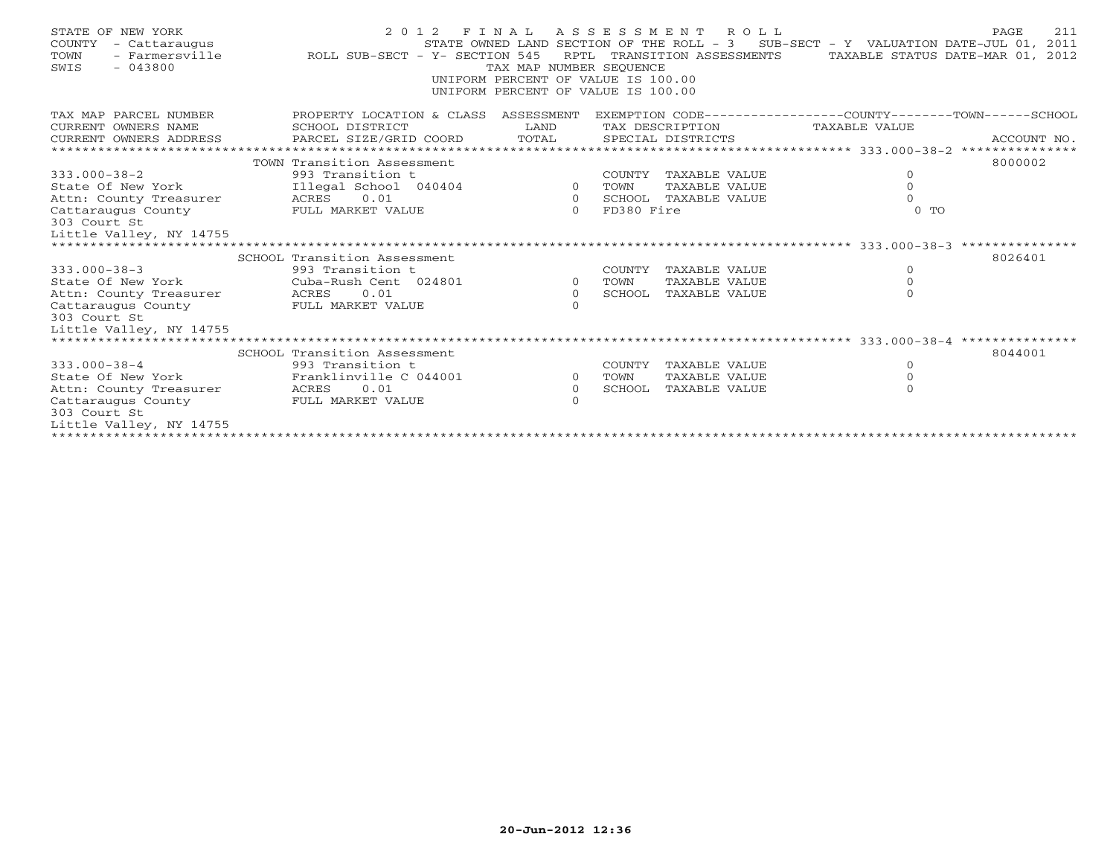| STATE OF NEW YORK<br>COUNTY<br>- Cattaraugus<br>- Farmersville<br>TOWN<br>$-043800$<br>SWIS | ROLL SUB-SECT - Y- SECTION 545       | TAX MAP NUMBER SEOUENCE<br>UNIFORM PERCENT OF VALUE IS 100.00<br>UNIFORM PERCENT OF VALUE IS 100.00 |            | 2012 FINAL ASSESSMENT ROLL<br>RPTL TRANSITION ASSESSMENTS | STATE OWNED LAND SECTION OF THE ROLL - 3 SUB-SECT - Y VALUATION DATE-JUL 01, 2011<br>TAXABLE STATUS DATE-MAR 01, 2012 | 211<br>PAGE |
|---------------------------------------------------------------------------------------------|--------------------------------------|-----------------------------------------------------------------------------------------------------|------------|-----------------------------------------------------------|-----------------------------------------------------------------------------------------------------------------------|-------------|
| TAX MAP PARCEL NUMBER                                                                       | PROPERTY LOCATION & CLASS ASSESSMENT |                                                                                                     |            |                                                           | EXEMPTION CODE-----------------COUNTY-------TOWN------SCHOOL                                                          |             |
| CURRENT OWNERS NAME                                                                         | SCHOOL DISTRICT                      | LAND                                                                                                |            | TAX DESCRIPTION                                           | TAXABLE VALUE                                                                                                         |             |
| CURRENT OWNERS ADDRESS                                                                      | PARCEL SIZE/GRID COORD               | TOTAL                                                                                               |            | SPECIAL DISTRICTS                                         |                                                                                                                       | ACCOUNT NO. |
|                                                                                             |                                      |                                                                                                     |            |                                                           |                                                                                                                       |             |
| $333.000 - 38 - 2$                                                                          | TOWN Transition Assessment           |                                                                                                     |            |                                                           | $\circ$                                                                                                               | 8000002     |
| State Of New York                                                                           |                                      |                                                                                                     | TOWN       | COUNTY TAXABLE VALUE<br>TAXABLE VALUE                     | $\mathbf{O}$                                                                                                          |             |
| Attn: County Treasurer ACRES 0.01                                                           |                                      | $\overline{O}$                                                                                      |            | SCHOOL TAXABLE VALUE                                      | $\Omega$                                                                                                              |             |
| Cattaraugus County                                                                          | FULL MARKET VALUE                    | $\Omega$                                                                                            | FD380 Fire |                                                           | 0 <sub>T</sub>                                                                                                        |             |
| 303 Court St                                                                                |                                      |                                                                                                     |            |                                                           |                                                                                                                       |             |
| Little Valley, NY 14755                                                                     |                                      |                                                                                                     |            |                                                           |                                                                                                                       |             |
|                                                                                             |                                      |                                                                                                     |            |                                                           |                                                                                                                       |             |
|                                                                                             | SCHOOL Transition Assessment         |                                                                                                     |            |                                                           |                                                                                                                       | 8026401     |
| $333.000 - 38 - 3$                                                                          | 993 Transition t                     |                                                                                                     | COUNTY     | TAXABLE VALUE                                             | $\circ$                                                                                                               |             |
| State Of New York                                                                           | Cuba-Rush Cent 024801                | $\Omega$                                                                                            | TOWN       | TAXABLE VALUE                                             | $\Omega$                                                                                                              |             |
| Attn: County Treasurer                                                                      | 0.01<br><b>ACRES</b>                 | $\circ$                                                                                             |            | SCHOOL TAXABLE VALUE                                      | $\Omega$                                                                                                              |             |
| Cattaraugus County                                                                          | FULL MARKET VALUE                    | $\Omega$                                                                                            |            |                                                           |                                                                                                                       |             |
| 303 Court St                                                                                |                                      |                                                                                                     |            |                                                           |                                                                                                                       |             |
| Little Valley, NY 14755                                                                     |                                      |                                                                                                     |            |                                                           |                                                                                                                       |             |
|                                                                                             | SCHOOL Transition Assessment         |                                                                                                     |            |                                                           |                                                                                                                       | 8044001     |
| $333.000 - 38 - 4$                                                                          | 993 Transition t                     |                                                                                                     | COUNTY     | TAXABLE VALUE                                             | $\circ$                                                                                                               |             |
| State Of New York                                                                           | Franklinville C 044001               | $\Omega$                                                                                            | TOWN       | <b>TAXABLE VALUE</b>                                      | $\circ$                                                                                                               |             |
| Attn: County Treasurer ACRES                                                                | 0.01                                 | $\circ$                                                                                             |            | SCHOOL TAXABLE VALUE                                      | $\Omega$                                                                                                              |             |
| Cattaraugus County                                                                          | FULL MARKET VALUE                    | $\circ$                                                                                             |            |                                                           |                                                                                                                       |             |
| 303 Court St                                                                                |                                      |                                                                                                     |            |                                                           |                                                                                                                       |             |
| Little Valley, NY 14755                                                                     |                                      |                                                                                                     |            |                                                           |                                                                                                                       |             |
|                                                                                             |                                      |                                                                                                     |            |                                                           |                                                                                                                       |             |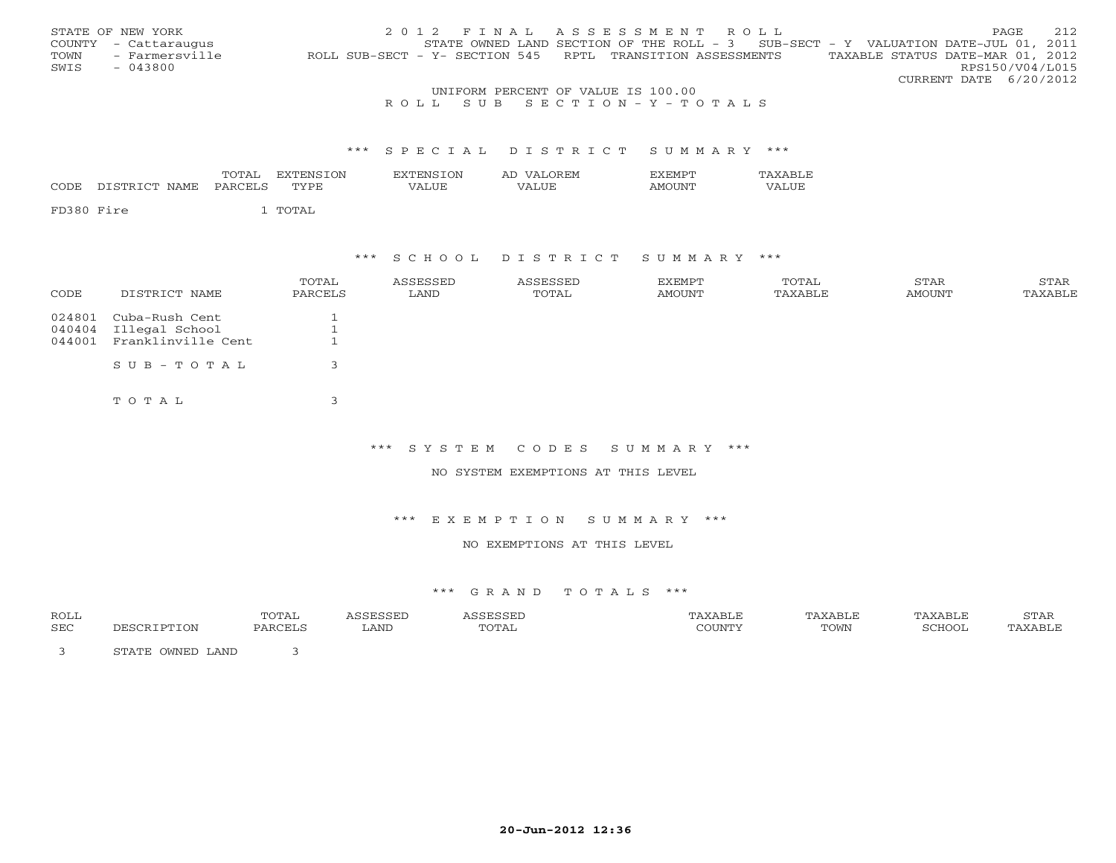|      | STATE OF NEW YORK    |                                                            | 2012 FINAL ASSESSMENT ROLL         |  |  |                                                                                     |                                  |                        | PAGE. | 2.12 |
|------|----------------------|------------------------------------------------------------|------------------------------------|--|--|-------------------------------------------------------------------------------------|----------------------------------|------------------------|-------|------|
|      | COUNTY - Cattaraugus |                                                            |                                    |  |  | STATE OWNED LAND SECTION OF THE ROLL - $3$ SUB-SECT - Y VALUATION DATE-JUL 01, 2011 |                                  |                        |       |      |
| TOWN | - Farmersville       | ROLL SUB-SECT - Y- SECTION 545 RPTL TRANSITION ASSESSMENTS |                                    |  |  |                                                                                     | TAXABLE STATUS DATE-MAR 01, 2012 |                        |       |      |
| SWIS | $-043800$            |                                                            |                                    |  |  |                                                                                     |                                  | RPS150/V04/L015        |       |      |
|      |                      |                                                            |                                    |  |  |                                                                                     |                                  | CURRENT DATE 6/20/2012 |       |      |
|      |                      |                                                            | UNIFORM PERCENT OF VALUE IS 100.00 |  |  |                                                                                     |                                  |                        |       |      |

## R O L L S U B S E C T I O N - Y - T O T A L S

#### \*\*\* S P E C I A L D I S T R I C T S U M M A R Y \*\*\*

| <b>CODE</b> | DISTRICT NAME | TOTAL<br>PARCELS | EXTENSTON<br>TYPE. | <b>EXTENSION</b><br>VALUE | AD VALOREM<br>VALUE. | EXEMPT<br>AMOUNT | TAXARLE<br><b>VALUE</b> |
|-------------|---------------|------------------|--------------------|---------------------------|----------------------|------------------|-------------------------|
| FD380 Fire  |               |                  | TOTAL              |                           |                      |                  |                         |

## \*\*\* S C H O O L D I S T R I C T S U M M A R Y \*\*\*

| CODE             | DISTRICT NAME                    | TOTAL<br>PARCELS | ASSESSED<br>LAND | ASSESSED<br>TOTAL | EXEMPT<br>AMOUNT | TOTAL<br>TAXABLE | STAR<br>AMOUNT | STAR<br>TAXABLE |
|------------------|----------------------------------|------------------|------------------|-------------------|------------------|------------------|----------------|-----------------|
| 024801<br>040404 | Cuba-Rush Cent<br>Illegal School |                  |                  |                   |                  |                  |                |                 |
| 044001           | Franklinville Cent               |                  |                  |                   |                  |                  |                |                 |
|                  | $SUB - TO T AL$                  |                  |                  |                   |                  |                  |                |                 |
|                  | TOTAL                            |                  |                  |                   |                  |                  |                |                 |

\*\*\* S Y S T E M C O D E S S U M M A R Y \*\*\*

NO SYSTEM EXEMPTIONS AT THIS LEVEL

#### \*\*\* E X E M P T I O N S U M M A R Y \*\*\*

### NO EXEMPTIONS AT THIS LEVEL

| ROLL |                                     | TOTAL    |      |       |        | 'AXABLE | <b>XART</b> | STAR |
|------|-------------------------------------|----------|------|-------|--------|---------|-------------|------|
| SEC  |                                     | יחי∩ת גם | LAND | TOTAL | COUNTY | TOWN    | SCHOOT      | 7 TR |
|      | OWNED LAND<br>$C$ m $\lambda$ m $D$ |          |      |       |        |         |             |      |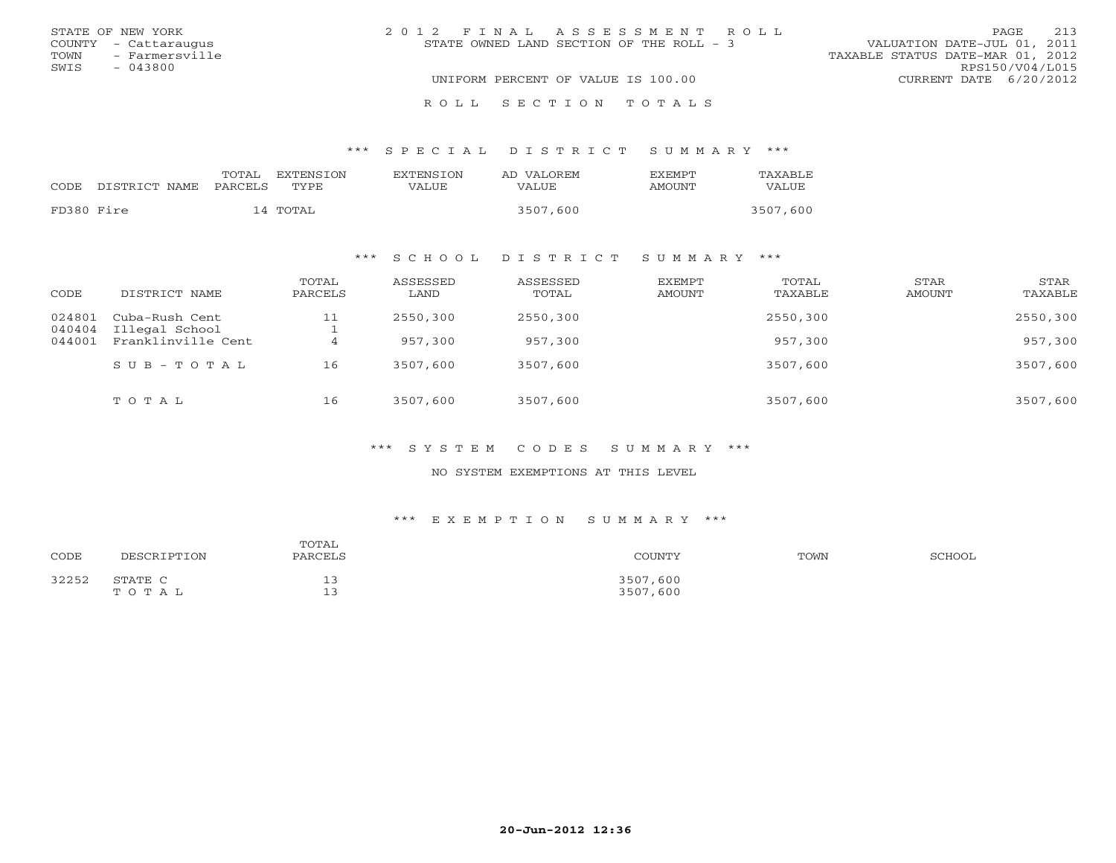| STATE OF NEW YORK      | 2012 FINAL ASSESSMENT ROLL                | 213<br>PAGE                      |
|------------------------|-------------------------------------------|----------------------------------|
| COUNTY - Cattaraugus   | STATE OWNED LAND SECTION OF THE ROLL $-3$ | VALUATION DATE-JUL 01, 2011      |
| - Farmersville<br>TOWN |                                           | TAXABLE STATUS DATE-MAR 01, 2012 |
| SWIS<br>$-043800$      |                                           | RPS150/V04/L015                  |
|                        | UNIFORM PERCENT OF VALUE IS 100.00        | CURRENT DATE 6/20/2012           |
|                        | ROLL SECTION TOTALS                       |                                  |

#### \*\*\* S P E C I A L D I S T R I C T S U M M A R Y \*\*\*

| CODE       | DISTRICT NAME | TOTAL<br>PARCELS | EXTENSTON<br>TYPE. | <b>EXTENSION</b><br>VALUE | AD VALOREM<br>VALUE | <b>FXFMPT</b><br>AMOUNT | TAXABLE<br>VALUE |
|------------|---------------|------------------|--------------------|---------------------------|---------------------|-------------------------|------------------|
| FD380 Fire |               |                  | 14 TOTAL           |                           | 3507,600            |                         | 3507,600         |

### \*\*\* S C H O O L D I S T R I C T S U M M A R Y \*\*\*

| CODE             | DISTRICT NAME                    | TOTAL<br>PARCELS | ASSESSED<br>LAND | ASSESSED<br>TOTAL | EXEMPT<br>AMOUNT | TOTAL<br>TAXABLE | STAR<br>AMOUNT | STAR<br>TAXABLE |
|------------------|----------------------------------|------------------|------------------|-------------------|------------------|------------------|----------------|-----------------|
| 024801<br>040404 | Cuba-Rush Cent<br>Illegal School | 11               | 2550,300         | 2550,300          |                  | 2550,300         |                | 2550,300        |
| 044001           | Franklinville Cent               |                  | 957,300          | 957,300           |                  | 957,300          |                | 957,300         |
|                  | $SUB - TO T AL$                  | 16               | 3507,600         | 3507,600          |                  | 3507,600         |                | 3507,600        |
|                  | TOTAL                            | 16               | 3507,600         | 3507,600          |                  | 3507,600         |                | 3507,600        |

#### \*\*\* S Y S T E M C O D E S S U M M A R Y \*\*\*

### NO SYSTEM EXEMPTIONS AT THIS LEVEL

#### \*\*\* E X E M P T I O N S U M M A R Y \*\*\*

| CODE  | DESCRIPTION      | TOTAL<br>PARCELS | COUNTY               | TOWN | SCHOOL |
|-------|------------------|------------------|----------------------|------|--------|
| 32252 | STATE C<br>TOTAL | --               | 3507,600<br>3507,600 |      |        |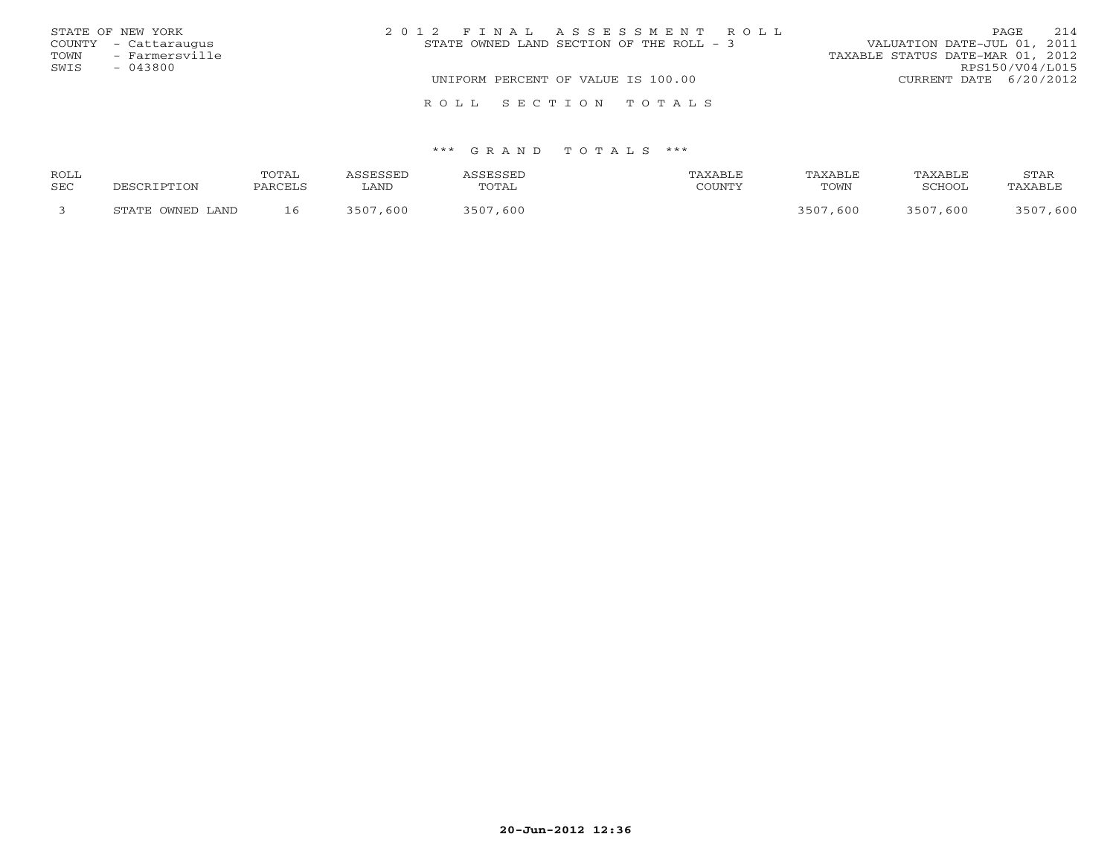|      | STATE OF NEW YORK    | 2012 FINAL ASSESSMENT ROLL               | 2.14<br>PAGE                     |
|------|----------------------|------------------------------------------|----------------------------------|
|      | COUNTY - Cattaraugus | STATE OWNED LAND SECTION OF THE ROLL - 3 | VALUATION DATE-JUL 01, 2011      |
| TOWN | - Farmersville       |                                          | TAXABLE STATUS DATE-MAR 01, 2012 |
| SWIS | $-043800$            |                                          | RPS150/V04/L015                  |
|      |                      | UNIFORM PERCENT OF VALUE IS 100.00       | CURRENT DATE 6/20/2012           |
|      |                      | ROLL SECTION TOTALS                      |                                  |

| <b>ROLL</b> |                  | 'OTAL |             |                            |                 | YART.L |                     | STAR           |
|-------------|------------------|-------|-------------|----------------------------|-----------------|--------|---------------------|----------------|
| SEC         |                  |       | ∟AND        | TOTAL                      | <b>COLIVIAL</b> | TOWN   | <b>3CHOOL</b>       | <b>TAVARTE</b> |
|             | STATE OWNED LAND | 16    | :507<br>600 | $\zeta$ 5 $\cap$ 7<br>-600 |                 | 600    | 600<br>$\sqrt{507}$ |                |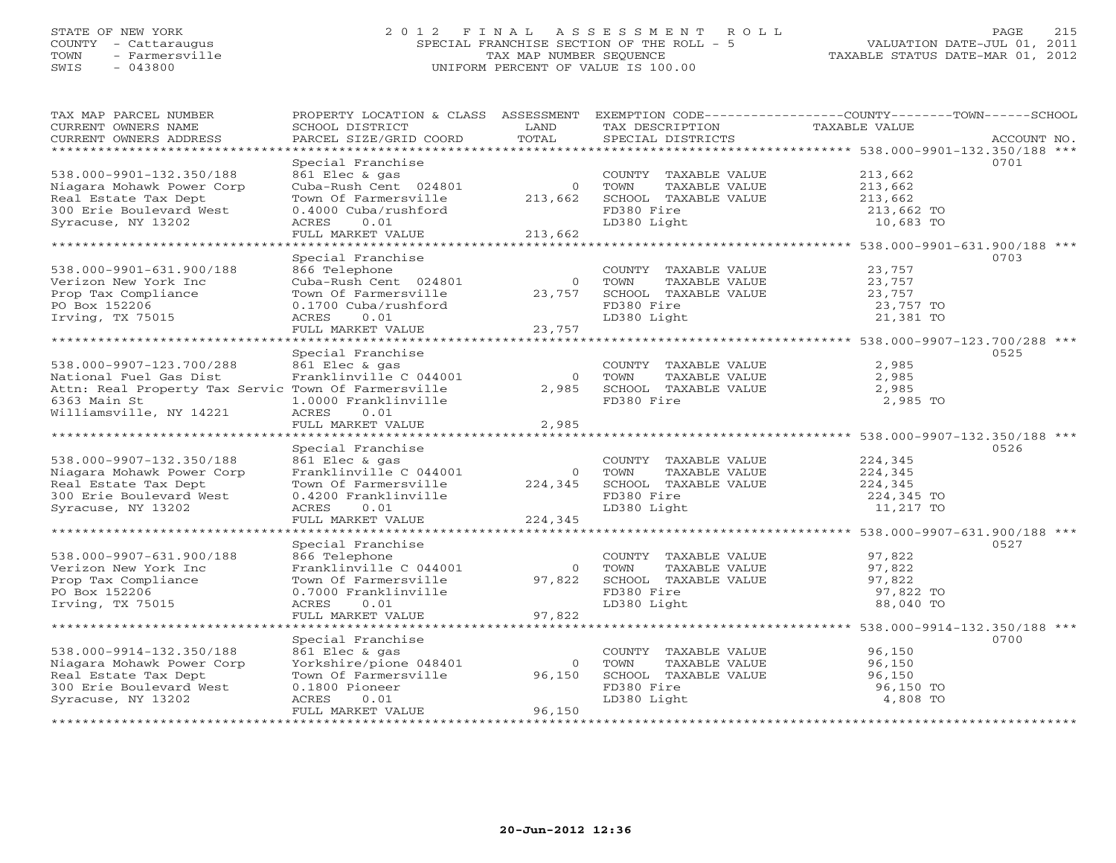## STATE OF NEW YORK 2 0 1 2 F I N A L A S S E S S M E N T R O L L PAGE 215 COUNTY - Cattaraugus SPECIAL FRANCHISE SECTION OF THE ROLL - 5 VALUATION DATE-JUL 01, 2011 TOWN - Farmersville TAX MAP NUMBER SEQUENCE TAXABLE STATUS DATE-MAR 01, 2012 SWIS - 043800 UNIFORM PERCENT OF VALUE IS 100.00UNIFORM PERCENT OF VALUE IS 100.00

| TAX MAP PARCEL NUMBER<br>CURRENT OWNERS NAME        | PROPERTY LOCATION & CLASS ASSESSMENT<br>SCHOOL DISTRICT  | LAND      | TAX DESCRIPTION                               | EXEMPTION CODE-----------------COUNTY-------TOWN------SCHOOL<br><b>TAXABLE VALUE</b> |
|-----------------------------------------------------|----------------------------------------------------------|-----------|-----------------------------------------------|--------------------------------------------------------------------------------------|
| CURRENT OWNERS ADDRESS                              | PARCEL SIZE/GRID COORD                                   | TOTAL     | SPECIAL DISTRICTS                             | ACCOUNT NO.                                                                          |
| **********************                              | Special Franchise                                        |           |                                               | 0701                                                                                 |
| 538.000-9901-132.350/188                            | 861 Elec & gas                                           |           | COUNTY TAXABLE VALUE                          | 213,662                                                                              |
| Niagara Mohawk Power Corp                           | Cuba-Rush Cent 024801                                    | $\circ$   | TOWN<br>TAXABLE VALUE                         | 213,662                                                                              |
| Real Estate Tax Dept                                | Town Of Farmersville                                     | 213,662   | SCHOOL TAXABLE VALUE                          | 213,662                                                                              |
| 300 Erie Boulevard West                             | 0.4000 Cuba/rushford                                     |           | FD380 Fire                                    | 213,662 TO                                                                           |
| Syracuse, NY 13202                                  | ACRES<br>0.01                                            |           | LD380 Light                                   | 10,683 TO                                                                            |
|                                                     | FULL MARKET VALUE<br>*******************                 | 213,662   | *******************                           |                                                                                      |
|                                                     |                                                          |           |                                               | ****************** 538.000-9901-631.900/188 ***<br>0703                              |
| 538.000-9901-631.900/188                            | Special Franchise<br>866 Telephone                       |           | COUNTY TAXABLE VALUE                          | 23,757                                                                               |
| Verizon New York Inc                                | Cuba-Rush Cent 024801                                    | $\circ$   | TOWN<br>TAXABLE VALUE                         | 23,757                                                                               |
| Prop Tax Compliance                                 | Town Of Farmersville                                     | 23,757    | SCHOOL TAXABLE VALUE                          | 23,757                                                                               |
| PO Box 152206                                       | 0.1700 Cuba/rushford                                     |           | FD380 Fire                                    | 23,757 TO                                                                            |
| Irving, TX 75015                                    | 0.01<br>ACRES                                            |           | LD380 Light                                   | 21,381 TO                                                                            |
|                                                     | FULL MARKET VALUE                                        | 23,757    |                                               |                                                                                      |
|                                                     |                                                          |           |                                               |                                                                                      |
|                                                     | Special Franchise                                        |           |                                               | 0525                                                                                 |
| 538.000-9907-123.700/288                            | 861 Elec & gas                                           |           | COUNTY TAXABLE VALUE                          | 2,985                                                                                |
| National Fuel Gas Dist                              | Franklinville C 044001                                   | $\Omega$  | TAXABLE VALUE<br>TOWN                         | 2,985                                                                                |
| Attn: Real Property Tax Servic Town Of Farmersville |                                                          | 2,985     | SCHOOL TAXABLE VALUE                          | 2,985                                                                                |
| 6363 Main St                                        | 1.0000 Franklinville                                     |           | FD380 Fire                                    | 2,985 TO                                                                             |
| Williamsville, NY 14221                             | ACRES<br>0.01                                            |           |                                               |                                                                                      |
| *************************                           | FULL MARKET VALUE                                        | 2,985     |                                               |                                                                                      |
|                                                     |                                                          |           |                                               |                                                                                      |
| 538.000-9907-132.350/188                            | Special Franchise<br>861 Elec & gas                      |           | COUNTY TAXABLE VALUE                          | 0526<br>224,345                                                                      |
| Niagara Mohawk Power Corp                           | Franklinville C 044001                                   | $\Omega$  | TOWN<br>TAXABLE VALUE                         | 224,345                                                                              |
| Real Estate Tax Dept                                | Town Of Farmersville                                     | 224,345   | SCHOOL TAXABLE VALUE                          | 224,345                                                                              |
| 300 Erie Boulevard West                             | 0.4200 Franklinville                                     |           | FD380 Fire                                    | 224,345 TO                                                                           |
| Syracuse, NY 13202                                  | ACRES<br>0.01                                            |           | LD380 Light                                   | 11,217 TO                                                                            |
|                                                     | FULL MARKET VALUE                                        | 224,345   |                                               |                                                                                      |
| *******************                                 |                                                          |           |                                               |                                                                                      |
|                                                     | Special Franchise                                        |           |                                               | 0527                                                                                 |
| 538.000-9907-631.900/188                            | 866 Telephone                                            |           | COUNTY TAXABLE VALUE                          | 97,822                                                                               |
| Verizon New York Inc                                | Franklinville C 044001                                   | $\Omega$  | TOWN<br>TAXABLE VALUE                         | 97,822                                                                               |
| Prop Tax Compliance                                 | Town Of Farmersville                                     | 97,822    | SCHOOL TAXABLE VALUE                          | 97,822                                                                               |
| PO Box 152206                                       | 0.7000 Franklinville                                     |           | FD380 Fire                                    | 97,822 TO                                                                            |
| Irving, TX 75015                                    | ACRES<br>0.01                                            |           | LD380 Light                                   | 88,040 TO                                                                            |
|                                                     | FULL MARKET VALUE<br>* * * * * * * * * * * * * * * * * * | 97,822    |                                               |                                                                                      |
|                                                     |                                                          | ********* |                                               | ******************** 538.000-9914-132.350/188 ***                                    |
| 538.000-9914-132.350/188                            | Special Franchise<br>861 Elec & gas                      |           |                                               | 0700                                                                                 |
| Niagara Mohawk Power Corp                           | Yorkshire/pione 048401                                   | $\circ$   | COUNTY TAXABLE VALUE<br>TAXABLE VALUE<br>TOWN | 96,150<br>96,150                                                                     |
| Real Estate Tax Dept                                | Town Of Farmersville                                     | 96,150    | SCHOOL TAXABLE VALUE                          | 96,150                                                                               |
| 300 Erie Boulevard West                             | 0.1800 Pioneer                                           |           | FD380 Fire                                    | 96,150 TO                                                                            |
| Syracuse, NY 13202                                  | ACRES<br>0.01                                            |           | LD380 Light                                   | 4,808 TO                                                                             |
|                                                     | FULL MARKET VALUE                                        | 96,150    |                                               |                                                                                      |
|                                                     |                                                          |           |                                               |                                                                                      |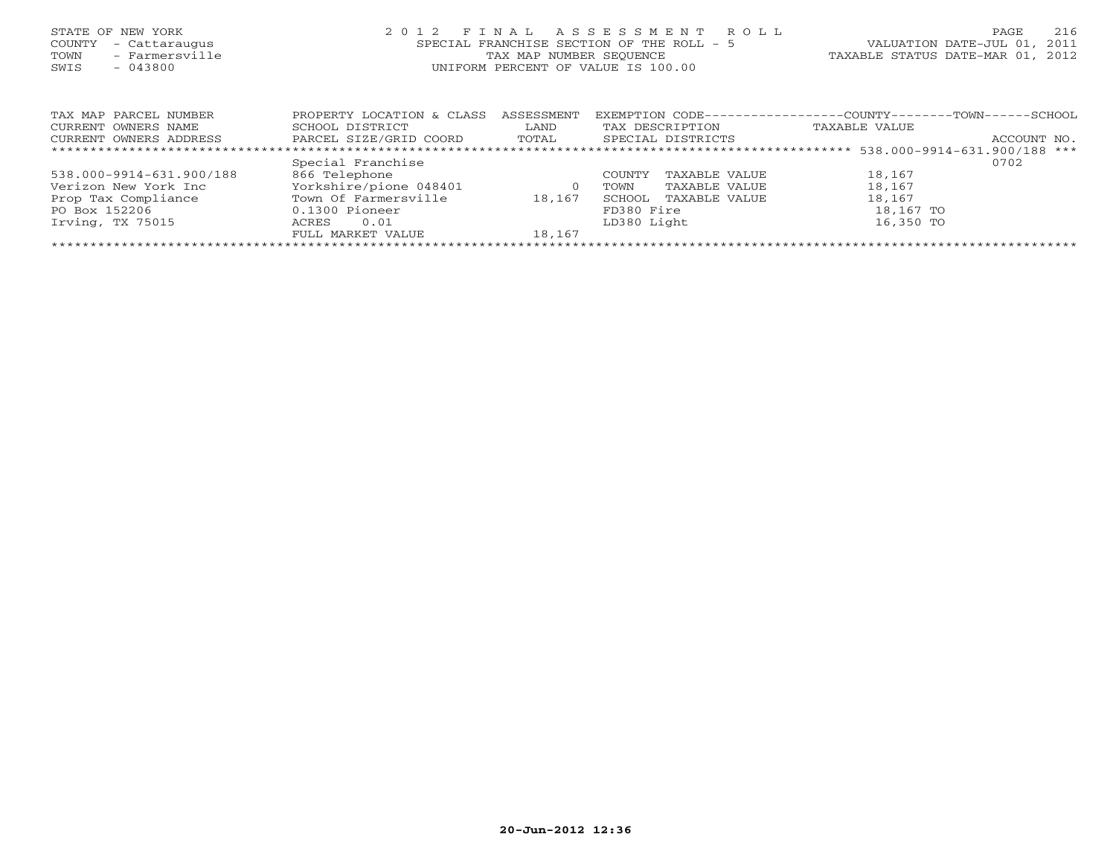| STATE OF NEW YORK<br>COUNTY<br>- Cattaraugus<br>- Farmersville<br>TOWN<br>$-043800$<br>SWIS | 2 0 1 2                   | FINAL<br>SPECIAL FRANCHISE SECTION OF THE ROLL - 5<br>TAX MAP NUMBER SEOUENCE<br>UNIFORM PERCENT OF VALUE IS 100.00 | A S S E S S M E N T | R O L L           |                                                              | 216<br>PAGE<br>VALUATION DATE-JUL 01,<br>2011<br>TAXABLE STATUS DATE-MAR 01, 2012 |
|---------------------------------------------------------------------------------------------|---------------------------|---------------------------------------------------------------------------------------------------------------------|---------------------|-------------------|--------------------------------------------------------------|-----------------------------------------------------------------------------------|
| TAX MAP PARCEL NUMBER                                                                       | PROPERTY LOCATION & CLASS | ASSESSMENT                                                                                                          |                     |                   | EXEMPTION CODE-----------------COUNTY-------TOWN------SCHOOL |                                                                                   |
| CURRENT OWNERS NAME                                                                         | SCHOOL DISTRICT           | LAND                                                                                                                |                     | TAX DESCRIPTION   | TAXABLE VALUE                                                |                                                                                   |
| CURRENT OWNERS ADDRESS                                                                      | PARCEL SIZE/GRID COORD    | TOTAL                                                                                                               |                     | SPECIAL DISTRICTS |                                                              | ACCOUNT NO.                                                                       |
|                                                                                             |                           |                                                                                                                     |                     |                   |                                                              |                                                                                   |
|                                                                                             | Special Franchise         |                                                                                                                     |                     |                   |                                                              | 0702                                                                              |
| 538.000-9914-631.900/188                                                                    | 866 Telephone             |                                                                                                                     | COUNTY              | TAXABLE VALUE     | 18,167                                                       |                                                                                   |
| Verizon New York Inc                                                                        | Yorkshire/pione 048401    | $\circ$                                                                                                             | TOWN                | TAXABLE VALUE     | 18,167                                                       |                                                                                   |
| Prop Tax Compliance                                                                         | Town Of Farmersville      | 18,167                                                                                                              | SCHOOL              | TAXABLE VALUE     | 18,167                                                       |                                                                                   |

FULL MARKET VALUE 18,167 \*\*\*\*\*\*\*\*\*\*\*\*\*\*\*\*\*\*\*\*\*\*\*\*\*\*\*\*\*\*\*\*\*\*\*\*\*\*\*\*\*\*\*\*\*\*\*\*\*\*\*\*\*\*\*\*\*\*\*\*\*\*\*\*\*\*\*\*\*\*\*\*\*\*\*\*\*\*\*\*\*\*\*\*\*\*\*\*\*\*\*\*\*\*\*\*\*\*\*\*\*\*\*\*\*\*\*\*\*\*\*\*\*\*\*\*\*\*\*\*\*\*\*\*\*\*\*\*\*\*\*\*

PO Box 152206 0.1300 Pioneer FD380 Fire 18,167 TO Irving, TX 75015 ACRES 0.01 LD380 Light 16,350 TO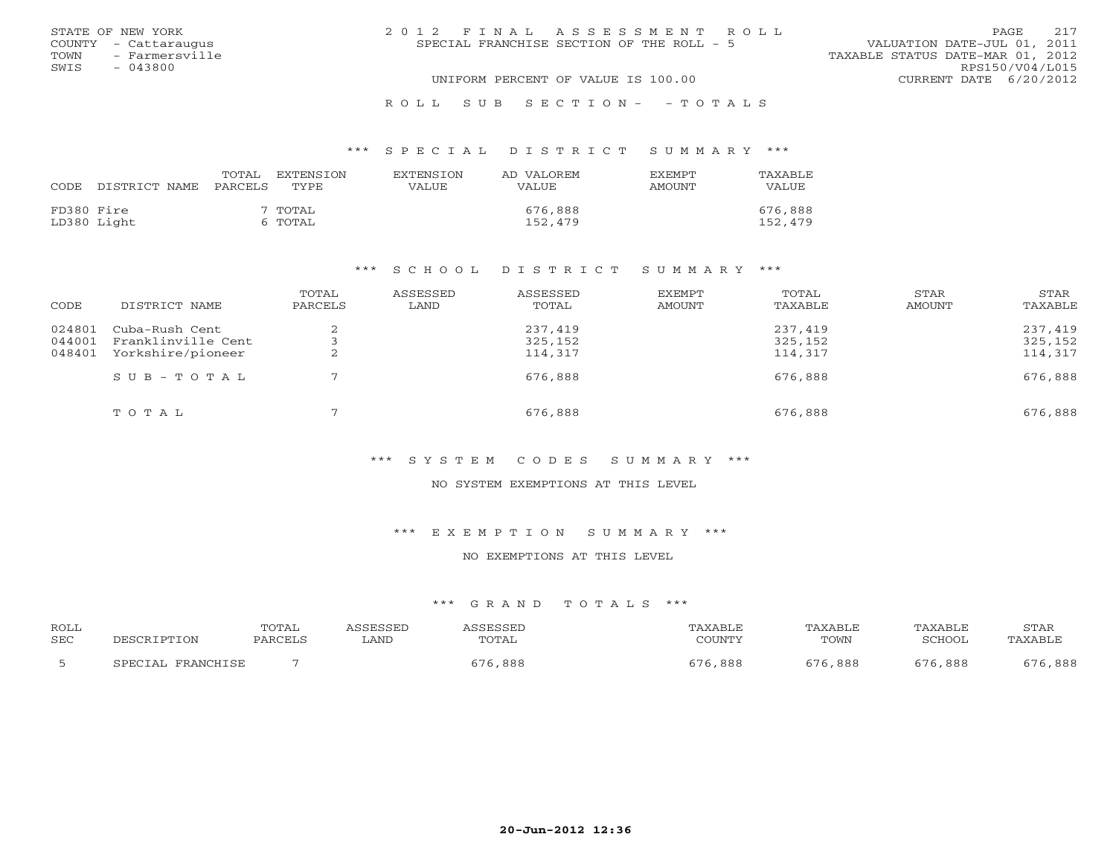|      | STATE OF NEW YORK    | 2012 FINAL ASSESSMENT ROLL                |                                  | <b>PAGE</b>     | 2.17 |
|------|----------------------|-------------------------------------------|----------------------------------|-----------------|------|
|      | COUNTY - Cattaraugus | SPECIAL FRANCHISE SECTION OF THE ROLL - 5 | VALUATION DATE-JUL 01, 2011      |                 |      |
| TOWN | - Farmersville       |                                           | TAXABLE STATUS DATE-MAR 01, 2012 |                 |      |
| SWIS | $-043800$            |                                           |                                  | RPS150/V04/L015 |      |
|      |                      | UNIFORM PERCENT OF VALUE IS 100.00        | CURRENT DATE 6/20/2012           |                 |      |
|      |                      |                                           |                                  |                 |      |

### R O L L S U B S E C T I O N - - T O T A L S

### \*\*\* S P E C I A L D I S T R I C T S U M M A R Y \*\*\*

| CODE       | DISTRICT NAME | TOTAL<br>PARCELS | <b>EXTENSION</b><br>TYPE. | <b>EXTENSION</b><br>VALUE | AD VALOREM<br>VALUE | <b>EXEMPT</b><br><b>AMOUNT</b> | TAXABLE<br><b>VALUE</b> |
|------------|---------------|------------------|---------------------------|---------------------------|---------------------|--------------------------------|-------------------------|
| FD380 Fire | LD380 Light   |                  | 7 TOTAL<br>6 TOTAL        |                           | 676,888<br>152,479  |                                | 676,888<br>152,479      |

### \*\*\* S C H O O L D I S T R I C T S U M M A R Y \*\*\*

| CODE                       | DISTRICT NAME                                             | TOTAL<br>PARCELS | ASSESSED<br>LAND | ASSESSED<br>TOTAL             | EXEMPT<br>AMOUNT | TOTAL<br>TAXABLE              | STAR<br>AMOUNT | STAR<br>TAXABLE               |
|----------------------------|-----------------------------------------------------------|------------------|------------------|-------------------------------|------------------|-------------------------------|----------------|-------------------------------|
| 024801<br>044001<br>048401 | Cuba-Rush Cent<br>Franklinville Cent<br>Yorkshire/pioneer | ▵                |                  | 237,419<br>325,152<br>114,317 |                  | 237,419<br>325,152<br>114,317 |                | 237,419<br>325,152<br>114,317 |
|                            | SUB-TOTAL                                                 |                  |                  | 676,888                       |                  | 676,888                       |                | 676,888                       |
|                            | TOTAL                                                     |                  |                  | 676,888                       |                  | 676,888                       |                | 676,888                       |

# \*\*\* S Y S T E M C O D E S S U M M A R Y \*\*\*

### NO SYSTEM EXEMPTIONS AT THIS LEVEL

### \*\*\* E X E M P T I O N S U M M A R Y \*\*\*

### NO EXEMPTIONS AT THIS LEVEL

| <b>ROLI</b><br><b>SEC</b> | $\tau_{\rm ON}$             | TOTAL<br>$PARCF+$ | . AND | <b>CECCET</b><br>TOTAL | AXABLF<br><b>COUNTY</b> | AXABLF<br>TOWN    | <b>PAYARIE</b><br>CORCI | STAF<br>.זם ∆ צ ∆י |
|---------------------------|-----------------------------|-------------------|-------|------------------------|-------------------------|-------------------|-------------------------|--------------------|
|                           | <b>FDANCHTCF</b><br>IPFCTA: |                   |       | 888.                   | 888                     | $\sqrt{2}$<br>888 | $  \cdot$<br>.888       | ,888               |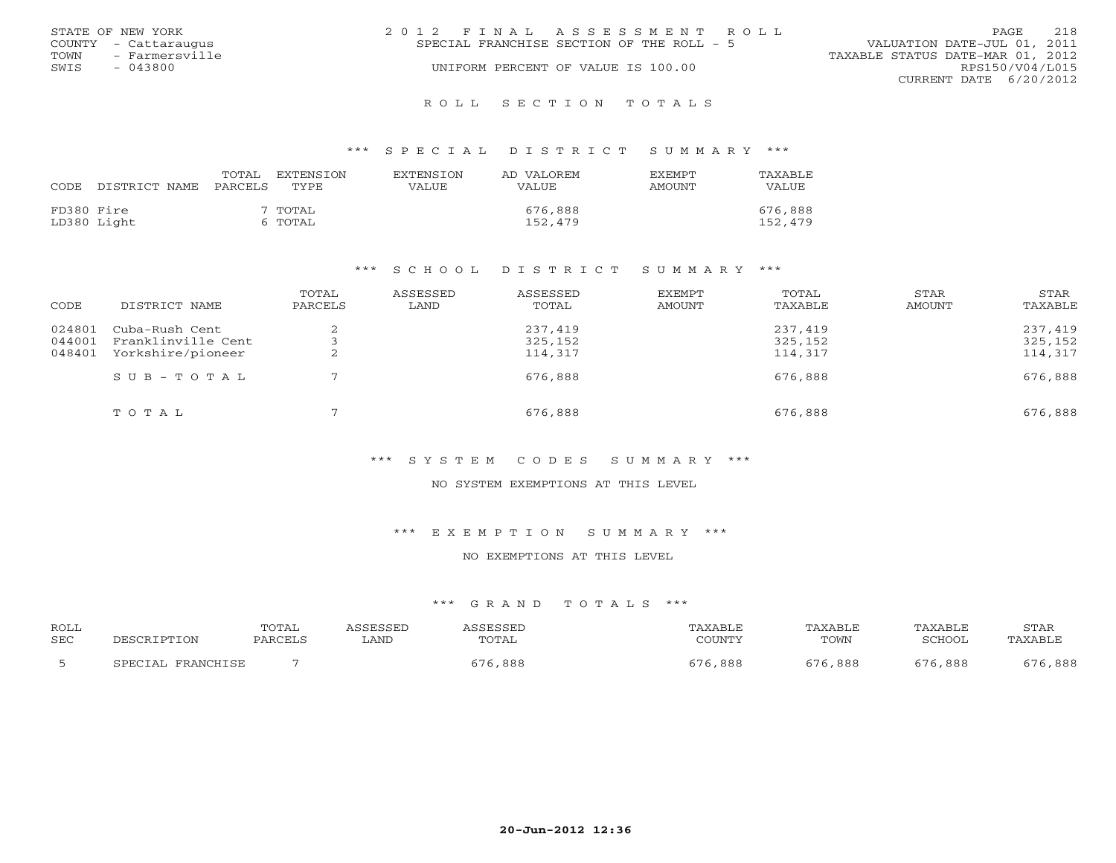|      | STATE OF NEW YORK    | 2012 FINAL ASSESSMENT ROLL |                                           |                                  | <b>PAGE</b>     | 2.18 |
|------|----------------------|----------------------------|-------------------------------------------|----------------------------------|-----------------|------|
|      | COUNTY - Cattaraugus |                            | SPECIAL FRANCHISE SECTION OF THE ROLL - 5 | VALUATION DATE-JUL 01, 2011      |                 |      |
| TOWN | - Farmersville       |                            |                                           | TAXABLE STATUS DATE-MAR 01, 2012 |                 |      |
| SWIS | $-043800$            |                            | UNIFORM PERCENT OF VALUE IS 100.00        |                                  | RPS150/V04/L015 |      |
|      |                      |                            |                                           | CURRENT DATE 6/20/2012           |                 |      |
|      |                      |                            |                                           |                                  |                 |      |

### R O L L S E C T I O N T O T A L S

### \*\*\* S P E C I A L D I S T R I C T S U M M A R Y \*\*\*

| CODE       | DISTRICT NAME | TOTAL<br>PARCELS | EXTENSTON<br>TYPE  | <b>EXTENSION</b><br>VALUE | AD VALOREM<br><b>VALUE</b> | <b>EXEMPT</b><br>AMOUNT | TAXABLE<br>VALUE   |
|------------|---------------|------------------|--------------------|---------------------------|----------------------------|-------------------------|--------------------|
| FD380 Fire | LD380 Light   |                  | ' TOTAL<br>6 TOTAL |                           | 676,888<br>152,479         |                         | 676,888<br>152,479 |

### \*\*\* S C H O O L D I S T R I C T S U M M A R Y \*\*\*

| CODE             | DISTRICT NAME                        | TOTAL<br>PARCELS | ASSESSED<br>LAND | ASSESSED<br>TOTAL  | EXEMPT<br>AMOUNT | TOTAL<br>TAXABLE   | STAR<br>AMOUNT | STAR<br>TAXABLE    |
|------------------|--------------------------------------|------------------|------------------|--------------------|------------------|--------------------|----------------|--------------------|
| 024801<br>044001 | Cuba-Rush Cent<br>Franklinville Cent |                  |                  | 237,419<br>325,152 |                  | 237,419<br>325,152 |                | 237,419<br>325,152 |
| 048401           | Yorkshire/pioneer                    | ▵                |                  | 114,317            |                  | 114,317            |                | 114,317            |
|                  | SUB-TOTAL                            |                  |                  | 676,888            |                  | 676,888            |                | 676,888            |
|                  | TOTAL                                |                  |                  | 676,888            |                  | 676,888            |                | 676,888            |

# \*\*\* S Y S T E M C O D E S S U M M A R Y \*\*\*

### NO SYSTEM EXEMPTIONS AT THIS LEVEL

### \*\*\* E X E M P T I O N S U M M A R Y \*\*\*

# NO EXEMPTIONS AT THIS LEVEL

| <b>ROLL</b> |                                  | TOTAL  |      |       | ⊀XABLF                  | <b><i>PAXABLF</i></b> | TAXABLE        | STAF       |
|-------------|----------------------------------|--------|------|-------|-------------------------|-----------------------|----------------|------------|
| <b>SEC</b>  |                                  | PARCFT | LAND | TOTAL | COUNTY                  | TOWN                  | ∩מח¤ר          | ∵A Y ∆ R T |
|             | <b>PDAMCUTCP</b><br>тΔ,<br>ש הדר |        |      | , 888 | 888<br>- <del>.</del> . | $\sqrt{2}$<br>888     | $ -$ .<br>,888 | ,888       |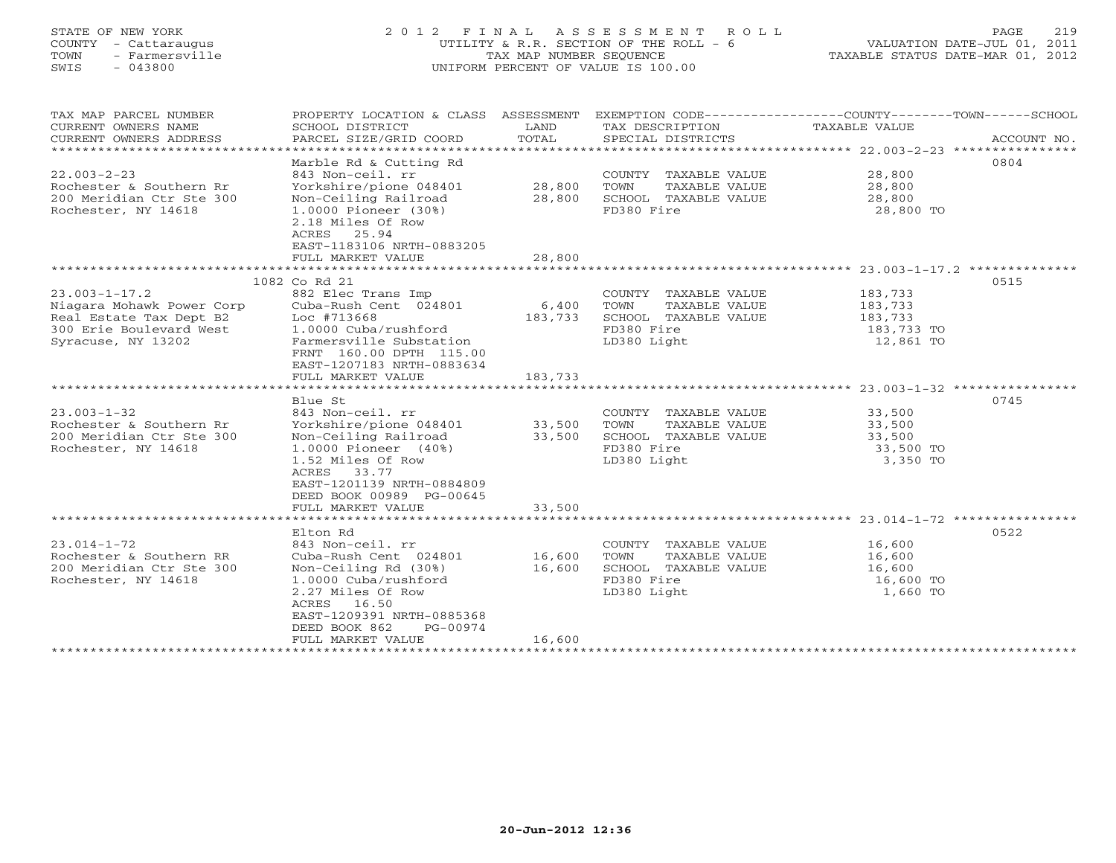# STATE OF NEW YORK 2 0 1 2 F I N A L A S S E S S M E N T R O L L PAGE 219 COUNTY - Cattaraugus UTILITY & R.R. SECTION OF THE ROLL - 6 VALUATION DATE-JUL 01, 2011 TOWN - Farmersville TAX MAP NUMBER SEQUENCE TAXABLE STATUS DATE-MAR 01, 2012 SWIS - 043800 UNIFORM PERCENT OF VALUE IS 100.00UNIFORM PERCENT OF VALUE IS 100.00

| TAX MAP PARCEL NUMBER     |                                                |         |                       | PROPERTY LOCATION & CLASS ASSESSMENT EXEMPTION CODE---------------COUNTY-------TOWN------SCHOOL |             |
|---------------------------|------------------------------------------------|---------|-----------------------|-------------------------------------------------------------------------------------------------|-------------|
| CURRENT OWNERS NAME       | SCHOOL DISTRICT                                | LAND    | TAX DESCRIPTION       | TAXABLE VALUE                                                                                   |             |
| CURRENT OWNERS ADDRESS    | PARCEL SIZE/GRID COORD                         | TOTAL   | SPECIAL DISTRICTS     |                                                                                                 | ACCOUNT NO. |
|                           |                                                |         |                       |                                                                                                 |             |
|                           | Marble Rd & Cutting Rd                         |         |                       |                                                                                                 | 0804        |
| $22.003 - 2 - 23$         | 843 Non-ceil. rr                               |         | COUNTY TAXABLE VALUE  | 28,800<br>28,800                                                                                |             |
| Rochester & Southern Rr   | Yorkshire/pione 048401                         | 28,800  | TOWN<br>TAXABLE VALUE |                                                                                                 |             |
| 200 Meridian Ctr Ste 300  | Non-Ceiling Railroad                           | 28,800  | SCHOOL TAXABLE VALUE  | 28,800                                                                                          |             |
| Rochester, NY 14618       | 1.0000 Pioneer (30%)                           |         | FD380 Fire            | 28,800 TO                                                                                       |             |
|                           | 2.18 Miles Of Row                              |         |                       |                                                                                                 |             |
|                           | ACRES 25.94                                    |         |                       |                                                                                                 |             |
|                           | EAST-1183106 NRTH-0883205                      |         |                       |                                                                                                 |             |
|                           | FULL MARKET VALUE                              | 28,800  |                       |                                                                                                 |             |
|                           |                                                |         |                       |                                                                                                 |             |
|                           | 1082 Co Rd 21                                  |         |                       |                                                                                                 | 0515        |
| $23.003 - 1 - 17.2$       | 882 Elec Trans Imp                             |         | COUNTY TAXABLE VALUE  | 183,733                                                                                         |             |
| Niagara Mohawk Power Corp | Cuba-Rush Cent 024801                          | 6,400   | TOWN<br>TAXABLE VALUE | 183,733                                                                                         |             |
| Real Estate Tax Dept B2   | Loc #713668                                    | 183,733 | SCHOOL TAXABLE VALUE  | 183,733                                                                                         |             |
| 300 Erie Boulevard West   | 1.0000 Cuba/rushford                           |         | FD380 Fire            | 183,733 TO                                                                                      |             |
| Syracuse, NY 13202        | Farmersville Substation                        |         | LD380 Light           | 12,861 TO                                                                                       |             |
|                           | FRNT 160.00 DPTH 115.00                        |         |                       |                                                                                                 |             |
|                           | EAST-1207183 NRTH-0883634                      |         |                       |                                                                                                 |             |
|                           | FULL MARKET VALUE                              | 183,733 |                       |                                                                                                 |             |
|                           |                                                |         |                       |                                                                                                 |             |
|                           |                                                |         |                       |                                                                                                 |             |
|                           | Blue St                                        |         |                       |                                                                                                 | 0745        |
| $23.003 - 1 - 32$         | 843 Non-ceil. rr                               |         | COUNTY TAXABLE VALUE  | 33,500                                                                                          |             |
| Rochester & Southern Rr   | Yorkshire/pione 048401                         | 33,500  | TOWN<br>TAXABLE VALUE | 33,500                                                                                          |             |
| 200 Meridian Ctr Ste 300  | Non-Ceiling Railroad                           | 33,500  | SCHOOL TAXABLE VALUE  | 33,500                                                                                          |             |
| Rochester, NY 14618       | 1.0000 Pioneer (40%)                           |         | FD380 Fire            | 33,500 TO                                                                                       |             |
|                           | 1.52 Miles Of Row                              |         | LD380 Light           | 3,350 TO                                                                                        |             |
|                           | ACRES 33.77                                    |         |                       |                                                                                                 |             |
|                           | EAST-1201139 NRTH-0884809                      |         |                       |                                                                                                 |             |
|                           | DEED BOOK 00989 PG-00645                       |         |                       |                                                                                                 |             |
|                           | FULL MARKET VALUE                              | 33,500  |                       |                                                                                                 |             |
|                           |                                                |         |                       |                                                                                                 |             |
|                           | Elton Rd                                       |         |                       |                                                                                                 | 0522        |
| $23.014 - 1 - 72$         | 843 Non-ceil. rr                               |         | COUNTY TAXABLE VALUE  | 16,600                                                                                          |             |
| Rochester & Southern RR   | Cuba-Rush Cent 024801                          | 16,600  | TOWN<br>TAXABLE VALUE | 16,600                                                                                          |             |
| 200 Meridian Ctr Ste 300  | Non-Ceiling Rd (30%)                           | 16,600  | SCHOOL TAXABLE VALUE  | 16,600                                                                                          |             |
| Rochester, NY 14618       | 1.0000 Cuba/rushford                           |         | FD380 Fire            | 16,600 TO                                                                                       |             |
|                           | 2.27 Miles Of Row                              |         | LD380 Light           | 1,660 TO                                                                                        |             |
|                           | ACRES 16.50                                    |         |                       |                                                                                                 |             |
|                           | EAST-1209391 NRTH-0885368                      |         |                       |                                                                                                 |             |
|                           | DEED BOOK 862<br>PG-00974<br>FULL MARKET VALUE | 16,600  |                       |                                                                                                 |             |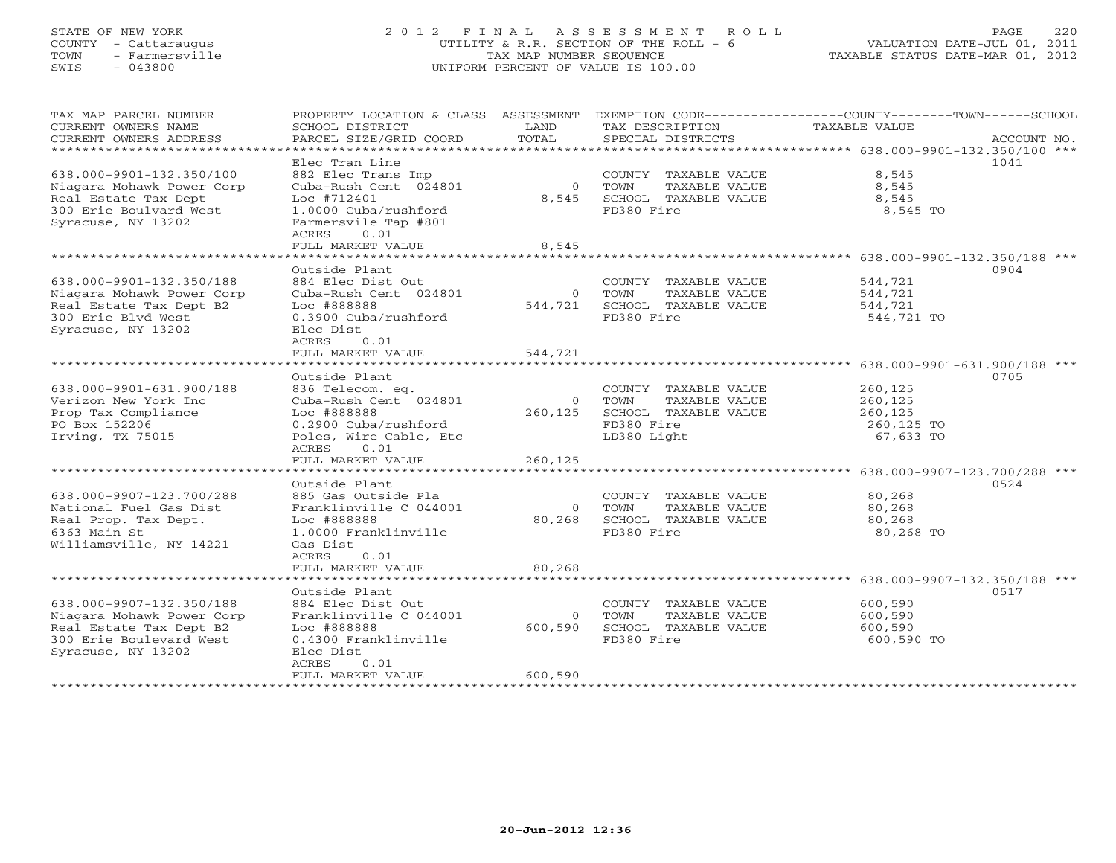# STATE OF NEW YORK 2 0 1 2 F I N A L A S S E S S M E N T R O L L PAGE 220 COUNTY - Cattaraugus UTILITY & R.R. SECTION OF THE ROLL - 6 VALUATION DATE-JUL 01, 2011 TOWN - Farmersville TAX MAP NUMBER SEQUENCE TAXABLE STATUS DATE-MAR 01, 2012 SWIS - 043800 UNIFORM PERCENT OF VALUE IS 100.00UNIFORM PERCENT OF VALUE IS 100.00

| TAX MAP PARCEL NUMBER<br>CURRENT OWNERS NAME<br>CURRENT OWNERS ADDRESS | PROPERTY LOCATION & CLASS ASSESSMENT<br>SCHOOL DISTRICT<br>PARCEL SIZE/GRID COORD | LAND<br>TOTAL             | TAX DESCRIPTION<br>SPECIAL DISTRICTS          | EXEMPTION CODE-----------------COUNTY-------TOWN------SCHOOL<br>TAXABLE VALUE<br>ACCOUNT NO. |
|------------------------------------------------------------------------|-----------------------------------------------------------------------------------|---------------------------|-----------------------------------------------|----------------------------------------------------------------------------------------------|
| *************************                                              |                                                                                   |                           |                                               |                                                                                              |
|                                                                        | Elec Tran Line                                                                    |                           |                                               | 1041                                                                                         |
| 638.000-9901-132.350/100                                               | 882 Elec Trans Imp                                                                |                           | COUNTY TAXABLE VALUE                          | 8,545                                                                                        |
| Niagara Mohawk Power Corp                                              | Cuba-Rush Cent 024801                                                             | $\overline{0}$            | TOWN<br>TAXABLE VALUE                         | 8,545                                                                                        |
| Real Estate Tax Dept<br>300 Erie Boulvard West                         | Loc #712401<br>1.0000 Cuba/rushford                                               | 8,545                     | SCHOOL TAXABLE VALUE<br>FD380 Fire            | 8,545<br>8,545 TO                                                                            |
| Syracuse, NY 13202                                                     | Farmersvile Tap #801                                                              |                           |                                               |                                                                                              |
|                                                                        | ACRES<br>0.01                                                                     |                           |                                               |                                                                                              |
|                                                                        | FULL MARKET VALUE                                                                 | 8,545                     |                                               |                                                                                              |
| *****************************                                          |                                                                                   |                           |                                               |                                                                                              |
|                                                                        | Outside Plant                                                                     |                           |                                               | 0904                                                                                         |
| 638.000-9901-132.350/188                                               | 884 Elec Dist Out                                                                 |                           | COUNTY TAXABLE VALUE                          | 544,721                                                                                      |
| Niagara Mohawk Power Corp<br>Real Estate Tax Dept B2                   | Cuba-Rush Cent 024801<br>Loc #888888                                              | $\overline{0}$<br>544,721 | TOWN<br>TAXABLE VALUE<br>SCHOOL TAXABLE VALUE | 544,721<br>544,721                                                                           |
| 300 Erie Blvd West                                                     | 0.3900 Cuba/rushford                                                              |                           | FD380 Fire                                    | 544,721 TO                                                                                   |
| Syracuse, NY 13202                                                     | Elec Dist                                                                         |                           |                                               |                                                                                              |
|                                                                        | ACRES<br>0.01                                                                     |                           |                                               |                                                                                              |
|                                                                        | FULL MARKET VALUE                                                                 | 544,721                   |                                               |                                                                                              |
|                                                                        |                                                                                   |                           |                                               |                                                                                              |
|                                                                        | Outside Plant                                                                     |                           |                                               | 0705                                                                                         |
| 638.000-9901-631.900/188                                               | 836 Telecom. eq.                                                                  |                           | COUNTY TAXABLE VALUE                          | 260,125                                                                                      |
| Verizon New York Inc<br>Prop Tax Compliance                            | Cuba-Rush Cent 024801<br>Loc #888888                                              | $\overline{0}$<br>260,125 | TOWN<br>TAXABLE VALUE<br>SCHOOL TAXABLE VALUE | 260,125<br>260,125                                                                           |
| PO Box 152206                                                          | 0.2900 Cuba/rushford                                                              |                           | FD380 Fire                                    | 260,125 TO                                                                                   |
| Irving, TX 75015                                                       | Poles, Wire Cable, Etc                                                            |                           | LD380 Light                                   | 67,633 TO                                                                                    |
|                                                                        | ACRES<br>0.01                                                                     |                           |                                               |                                                                                              |
|                                                                        | FULL MARKET VALUE                                                                 | 260,125                   |                                               |                                                                                              |
|                                                                        |                                                                                   |                           |                                               |                                                                                              |
|                                                                        | Outside Plant                                                                     |                           |                                               | 0524                                                                                         |
| 638.000-9907-123.700/288                                               | 885 Gas Outside Pla                                                               |                           | COUNTY TAXABLE VALUE                          | 80,268                                                                                       |
| National Fuel Gas Dist<br>Real Prop. Tax Dept.                         | Franklinville C 044001<br>Loc #888888                                             | $\overline{0}$<br>80,268  | TOWN<br>TAXABLE VALUE<br>SCHOOL TAXABLE VALUE | 80,268<br>80,268                                                                             |
| 6363 Main St                                                           | 1.0000 Franklinville                                                              |                           | FD380 Fire                                    | 80,268 TO                                                                                    |
| Williamsville, NY 14221                                                | Gas Dist                                                                          |                           |                                               |                                                                                              |
|                                                                        | ACRES<br>0.01                                                                     |                           |                                               |                                                                                              |
|                                                                        | FULL MARKET VALUE                                                                 | 80,268                    |                                               |                                                                                              |
| **************************                                             |                                                                                   |                           |                                               |                                                                                              |
|                                                                        | Outside Plant                                                                     |                           |                                               | 0517                                                                                         |
| 638.000-9907-132.350/188<br>Niagara Mohawk Power Corp                  | 884 Elec Dist Out<br>Franklinville C 044001                                       | $\overline{0}$            | COUNTY TAXABLE VALUE<br>TOWN<br>TAXABLE VALUE | 600,590<br>600,590                                                                           |
| Real Estate Tax Dept B2                                                | Loc #888888                                                                       | 600,590                   | SCHOOL TAXABLE VALUE                          | 600,590                                                                                      |
| 300 Erie Boulevard West                                                | 0.4300 Franklinville                                                              |                           | FD380 Fire                                    | 600,590 TO                                                                                   |
| Syracuse, NY 13202                                                     | Elec Dist                                                                         |                           |                                               |                                                                                              |
|                                                                        | <b>ACRES</b><br>0.01                                                              |                           |                                               |                                                                                              |
|                                                                        | FULL MARKET VALUE                                                                 | 600,590                   |                                               |                                                                                              |
|                                                                        |                                                                                   |                           |                                               |                                                                                              |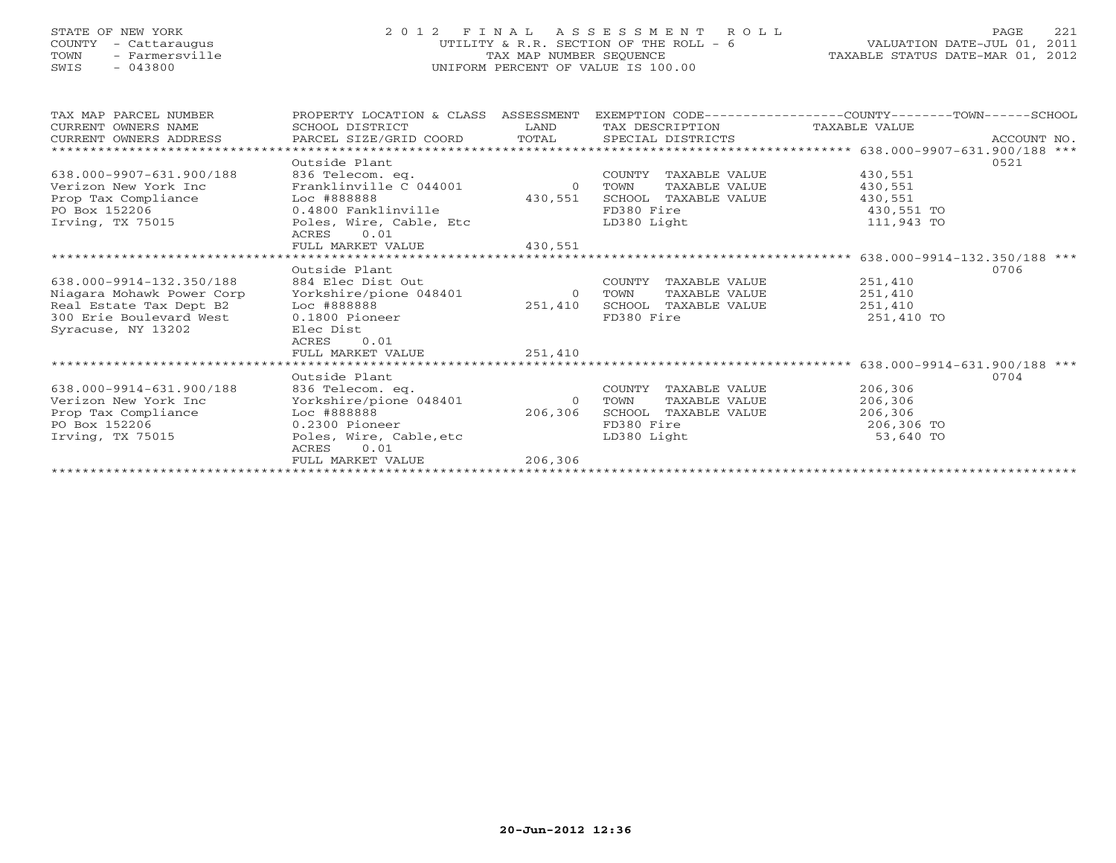# STATE OF NEW YORK 2 0 1 2 F I N A L A S S E S S M E N T R O L L PAGE 221 COUNTY - Cattaraugus UTILITY & R.R. SECTION OF THE ROLL - 6 VALUATION DATE-JUL 01, 2011 TOWN - Farmersville TAX MAP NUMBER SEQUENCE TAXABLE STATUS DATE-MAR 01, 2012 SWIS - 043800 UNIFORM PERCENT OF VALUE IS 100.00UNIFORM PERCENT OF VALUE IS 100.00

| TAX MAP PARCEL NUMBER                               | PROPERTY LOCATION & CLASS ASSESSMENT |          |             |                               |            | EXEMPTION CODE-----------------COUNTY-------TOWN------SCHOOL |
|-----------------------------------------------------|--------------------------------------|----------|-------------|-------------------------------|------------|--------------------------------------------------------------|
| CURRENT OWNERS NAME                                 | SCHOOL DISTRICT                      | LAND     |             | TAX DESCRIPTION TAXABLE VALUE |            |                                                              |
| CURRENT OWNERS ADDRESS PARCEL SIZE/GRID COORD TOTAL |                                      |          |             |                               |            |                                                              |
|                                                     |                                      |          |             |                               |            |                                                              |
|                                                     | Outside Plant                        |          |             |                               |            | 0521                                                         |
| 638.000-9907-631.900/188                            | 836 Telecom. eq.                     |          | COUNTY      | TAXABLE VALUE                 | 430,551    |                                                              |
| Verizon New York Inc                                | Franklinville C 044001               | $\Omega$ | TOWN        | TAXABLE VALUE                 | 430,551    |                                                              |
| Prop Tax Compliance                                 | Loc #888888                          | 430,551  |             | SCHOOL TAXABLE VALUE          | 430,551    |                                                              |
| PO Box 152206                                       | 0.4800 Fanklinville                  |          | FD380 Fire  |                               | 430,551 TO |                                                              |
| Irving, TX 75015                                    | Poles, Wire, Cable, Etc              |          | LD380 Light |                               | 111,943 TO |                                                              |
|                                                     | ACRES<br>0.01                        |          |             |                               |            |                                                              |
|                                                     | FULL MARKET VALUE                    | 430,551  |             |                               |            |                                                              |
|                                                     |                                      |          |             |                               |            |                                                              |
|                                                     | Outside Plant                        |          |             |                               |            | 0706                                                         |
| 638.000-9914-132.350/188                            | 884 Elec Dist Out                    |          | COUNTY      | TAXABLE VALUE                 | 251,410    |                                                              |
| Niagara Mohawk Power Corp                           | Yorkshire/pione 048401               | $\Omega$ | TOWN        | TAXABLE VALUE                 | 251,410    |                                                              |
| Real Estate Tax Dept B2                             | Loc #888888                          | 251,410  |             | SCHOOL TAXABLE VALUE          | 251,410    |                                                              |
| 300 Erie Boulevard West                             | $0.1800$ Pioneer                     |          | FD380 Fire  |                               | 251,410 TO |                                                              |
| Syracuse, NY 13202                                  | Elec Dist                            |          |             |                               |            |                                                              |
|                                                     | 0.01<br>ACRES                        |          |             |                               |            |                                                              |
|                                                     | FULL MARKET VALUE                    | 251,410  |             |                               |            |                                                              |
|                                                     |                                      |          |             |                               |            |                                                              |
|                                                     | Outside Plant                        |          |             |                               |            | 0704                                                         |
|                                                     |                                      |          |             |                               |            |                                                              |
| 638.000-9914-631.900/188                            | 836 Telecom. eq.                     |          | COUNTY      | TAXABLE VALUE                 | 206,306    |                                                              |
| Verizon New York Inc                                | Yorkshire/pione 048401               | $\Omega$ | TOWN        | TAXABLE VALUE                 | 206,306    |                                                              |
| Prop Tax Compliance                                 | Loc #888888                          | 206,306  | SCHOOL      | TAXABLE VALUE                 | 206,306    |                                                              |
| PO Box 152206                                       | $0.2300$ Pioneer                     |          | FD380 Fire  |                               | 206,306 TO |                                                              |
| Irving, TX 75015                                    | Poles, Wire, Cable, etc              |          | LD380 Light |                               | 53,640 TO  |                                                              |
|                                                     | 0.01<br>ACRES                        |          |             |                               |            |                                                              |
|                                                     | FULL MARKET VALUE                    | 206,306  |             |                               |            |                                                              |
|                                                     |                                      |          |             |                               |            |                                                              |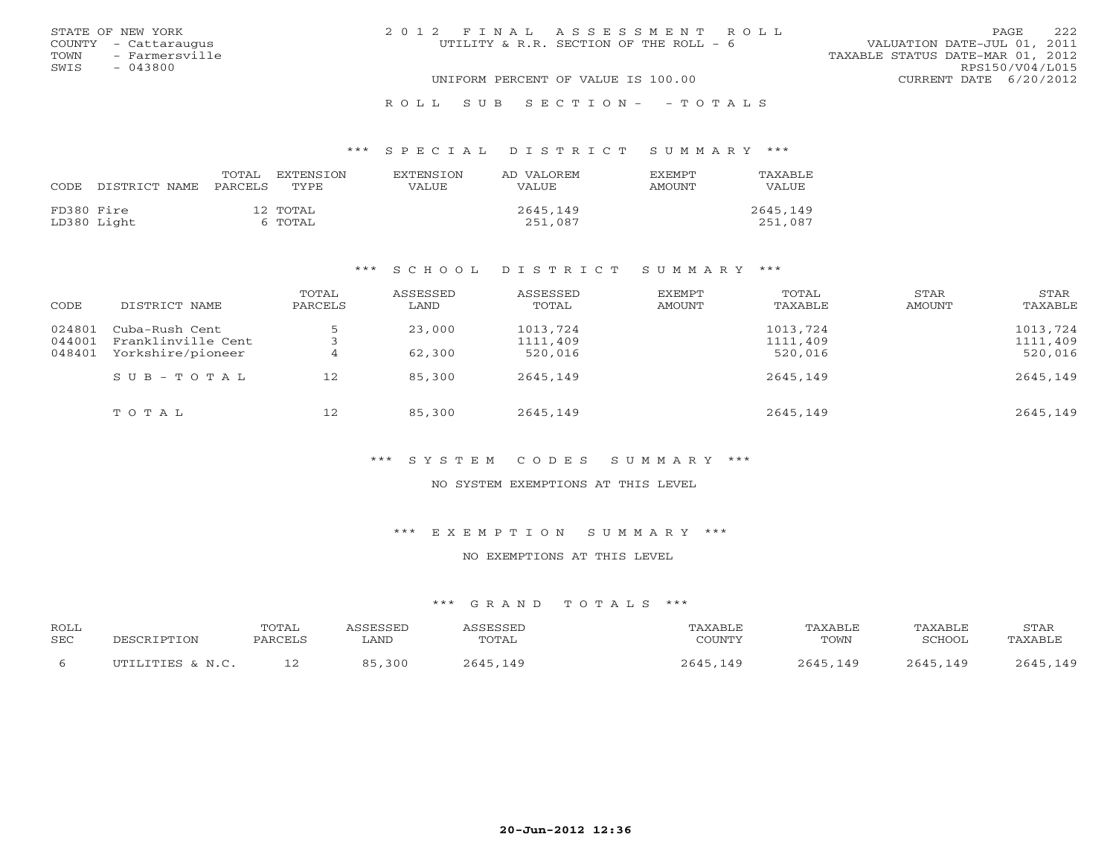| STATE OF NEW YORK      | 2012 FINAL ASSESSMENT ROLL             | 2.2.2<br><b>PAGE</b>             |
|------------------------|----------------------------------------|----------------------------------|
| COUNTY - Cattaraugus   | UTILITY & R.R. SECTION OF THE ROLL - 6 | VALUATION DATE-JUL 01, 2011      |
| TOWN<br>- Farmersville |                                        | TAXABLE STATUS DATE-MAR 01, 2012 |
| SWIS<br>$-043800$      |                                        | RPS150/V04/L015                  |
|                        | UNIFORM PERCENT OF VALUE IS 100.00     | CURRENT DATE 6/20/2012           |
|                        |                                        |                                  |

### R O L L S U B S E C T I O N - - T O T A L S

### \*\*\* S P E C I A L D I S T R I C T S U M M A R Y \*\*\*

| CODE       | DISTRICT NAME | TOTAL<br>PARCELS | EXTENSTON<br><b>TYPE</b> | <b>EXTENSION</b><br>VALUE | AD VALOREM<br><b>VALUE</b> | <b>EXEMPT</b><br>AMOUNT | TAXABLE<br><b>VALUE</b> |
|------------|---------------|------------------|--------------------------|---------------------------|----------------------------|-------------------------|-------------------------|
| FD380 Fire | LD380 Light   |                  | 12 TOTAL<br>6 TOTAL      |                           | 2645,149<br>251,087        |                         | 2645,149<br>251,087     |

### \*\*\* S C H O O L D I S T R I C T S U M M A R Y \*\*\*

| CODE             | DISTRICT NAME                        | TOTAL<br>PARCELS | ASSESSED<br>LAND | ASSESSED<br>TOTAL    | EXEMPT<br>AMOUNT | TOTAL<br>TAXABLE     | STAR<br>AMOUNT | STAR<br>TAXABLE      |
|------------------|--------------------------------------|------------------|------------------|----------------------|------------------|----------------------|----------------|----------------------|
| 024801<br>044001 | Cuba-Rush Cent<br>Franklinville Cent |                  | 23,000           | 1013,724<br>1111,409 |                  | 1013,724<br>1111,409 |                | 1013,724<br>1111,409 |
| 048401           | Yorkshire/pioneer                    | 4                | 62,300           | 520,016              |                  | 520,016              |                | 520,016              |
|                  | $S \cup B - T \cup T A$              | 12               | 85,300           | 2645,149             |                  | 2645,149             |                | 2645,149             |
|                  | TOTAL                                | 12               | 85,300           | 2645,149             |                  | 2645,149             |                | 2645,149             |

# \*\*\* S Y S T E M C O D E S S U M M A R Y \*\*\*

### NO SYSTEM EXEMPTIONS AT THIS LEVEL

### \*\*\* E X E M P T I O N S U M M A R Y \*\*\*

## NO EXEMPTIONS AT THIS LEVEL

| <b>ROLL</b> | DESCRIPTION      | TOTAL   | ASSESSED | ASSESSED | TAXABLE       | TAXABLE  | TAXABLE  | STAR     |
|-------------|------------------|---------|----------|----------|---------------|----------|----------|----------|
| <b>SEC</b>  |                  | PARCELS | LAND     | TOTAL    | <b>COUNTY</b> | TOWN     | SCHOOL   | TAXABLE  |
|             | UTILITIES & N.C. |         | 85,300   | 2645,149 | 2645,149      | 2645,149 | 2645,149 | 2645,149 |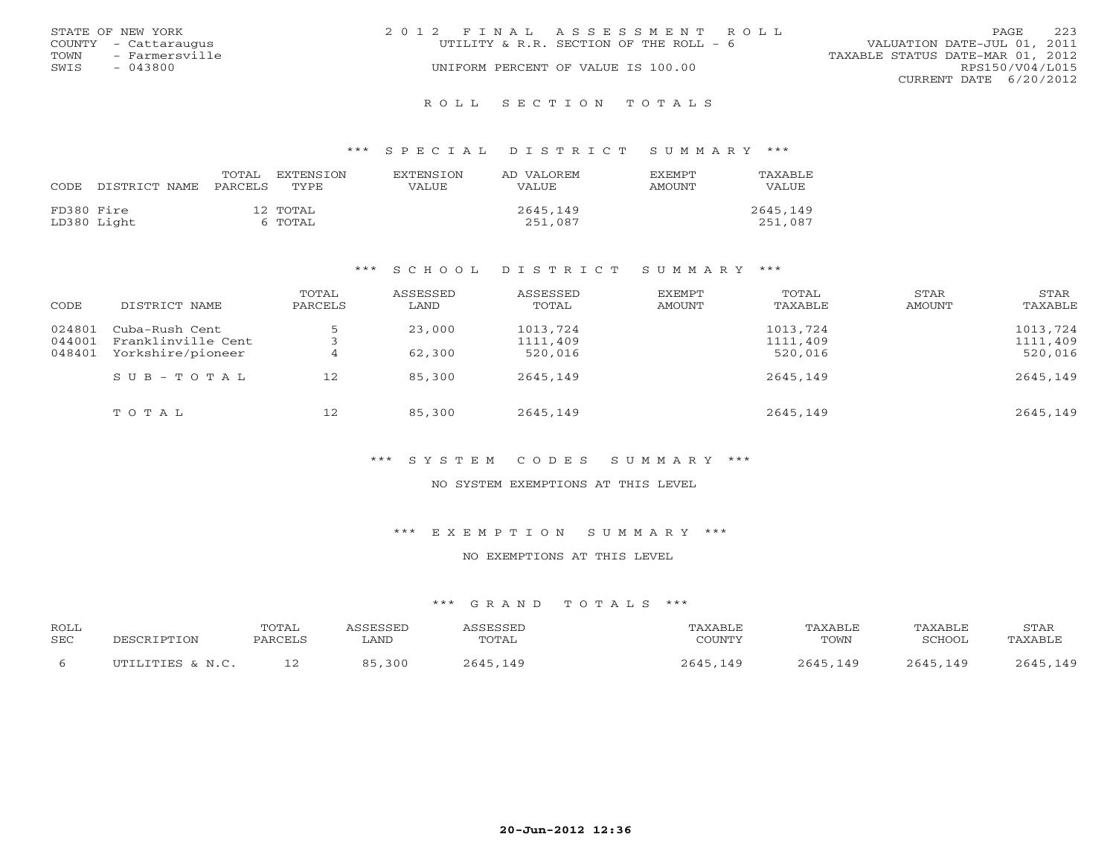|      | STATE OF NEW YORK    | 2012 FINAL ASSESSMENT ROLL |                                        |                                  | <b>PAGE</b>     | 223 |
|------|----------------------|----------------------------|----------------------------------------|----------------------------------|-----------------|-----|
|      | COUNTY - Cattaraugus |                            | UTILITY & R.R. SECTION OF THE ROLL - 6 | VALUATION DATE-JUL 01, 2011      |                 |     |
| TOWN | - Farmersville       |                            |                                        | TAXABLE STATUS DATE-MAR 01, 2012 |                 |     |
| SWIS | $-043800$            |                            | UNIFORM PERCENT OF VALUE IS 100.00     |                                  | RPS150/V04/L015 |     |
|      |                      |                            |                                        | CURRENT DATE 6/20/2012           |                 |     |
|      |                      |                            |                                        |                                  |                 |     |

### R O L L S E C T I O N T O T A L S

### \*\*\* S P E C I A L D I S T R I C T S U M M A R Y \*\*\*

| CODE       | DISTRICT NAME | TOTAL<br>PARCELS | EXTENSTON<br>TYPE.  | <b>EXTENSION</b><br>VALUE | AD VALOREM<br>VALUE. | EXEMPT<br>AMOUNT | TAXABLE<br>VALUE    |
|------------|---------------|------------------|---------------------|---------------------------|----------------------|------------------|---------------------|
| FD380 Fire | LD380 Light   |                  | 12 TOTAL<br>6 TOTAL |                           | 2645,149<br>251,087  |                  | 2645,149<br>251,087 |

### \*\*\* S C H O O L D I S T R I C T S U M M A R Y \*\*\*

| CODE             | DISTRICT NAME                        | TOTAL<br>PARCELS | ASSESSED<br>LAND | ASSESSED<br>TOTAL    | EXEMPT<br>AMOUNT | TOTAL<br>TAXABLE     | STAR<br>AMOUNT | <b>STAR</b><br>TAXABLE |
|------------------|--------------------------------------|------------------|------------------|----------------------|------------------|----------------------|----------------|------------------------|
| 024801           | Cuba-Rush Cent<br>Franklinville Cent |                  | 23,000           | 1013,724<br>1111,409 |                  | 1013,724<br>1111,409 |                | 1013,724<br>1111,409   |
| 044001<br>048401 | Yorkshire/pioneer                    | 4                | 62,300           | 520,016              |                  | 520,016              |                | 520,016                |
|                  | $S$ U B - T O T A L                  | 12               | 85,300           | 2645,149             |                  | 2645,149             |                | 2645,149               |
|                  | TOTAL                                | 12               | 85,300           | 2645,149             |                  | 2645,149             |                | 2645,149               |

# \*\*\* S Y S T E M C O D E S S U M M A R Y \*\*\*

### NO SYSTEM EXEMPTIONS AT THIS LEVEL

### \*\*\* E X E M P T I O N S U M M A R Y \*\*\*

# NO EXEMPTIONS AT THIS LEVEL

| ROLL       | DESCRIPTION      | <b>TOTAL</b> | ASSESSED | ASSESSED | TAXABLE  | TAXABLE  | TAXABLE  | STAR     |
|------------|------------------|--------------|----------|----------|----------|----------|----------|----------|
| <b>SEC</b> |                  | PARCELS      | ∟AND     | TOTAL    | COUNTY   | TOWN     | SCHOOL   | TAXABLE  |
|            | UTILITIES & N.C. |              | 85,300   | 2645,149 | 2645,149 | 2645,149 | 2645,149 | 2645,149 |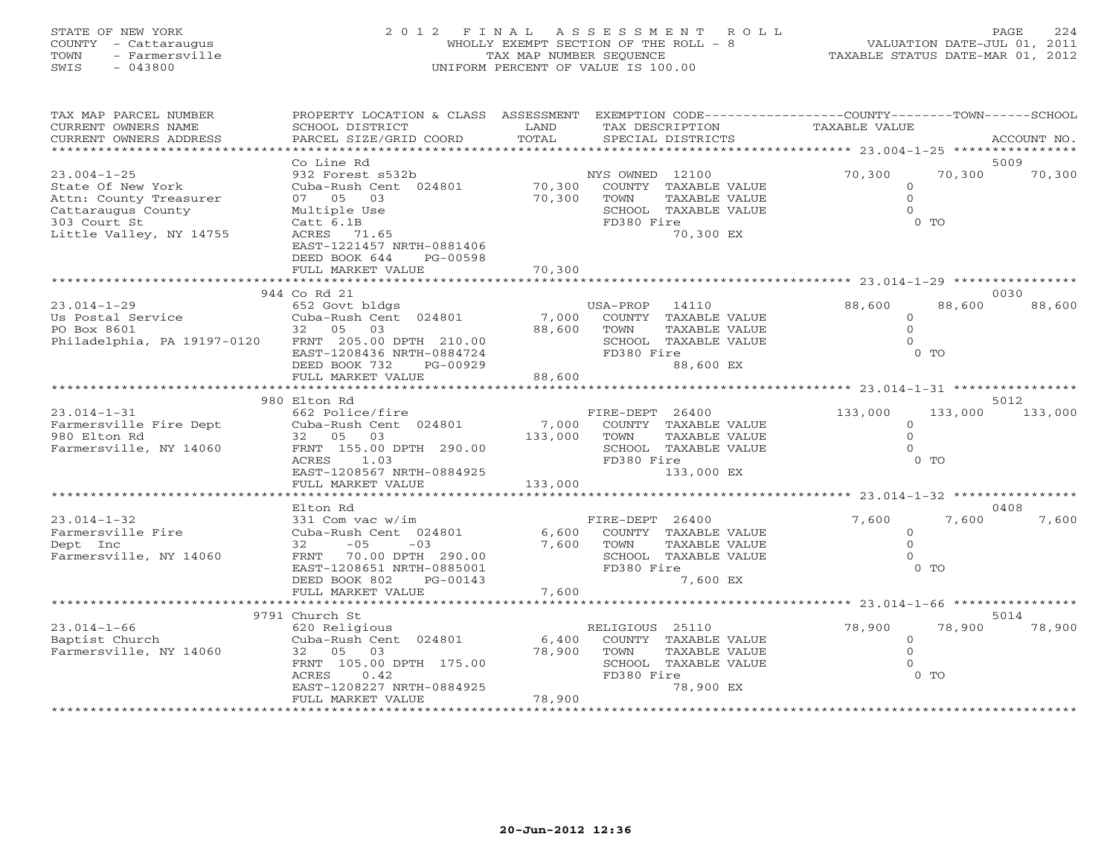# STATE OF NEW YORK 2 0 1 2 F I N A L A S S E S S M E N T R O L L PAGE 224 COUNTY - Cattaraugus WHOLLY EXEMPT SECTION OF THE ROLL - 8 VALUATION DATE-JUL 01, 2011 TOWN - Farmersville TAX MAP NUMBER SEQUENCE TAXABLE STATUS DATE-MAR 01, 2012 SWIS - 043800 UNIFORM PERCENT OF VALUE IS 100.00

| TAX MAP PARCEL NUMBER<br>CURRENT OWNERS NAME<br>CURRENT OWNERS ADDRESS                                 | PROPERTY LOCATION & CLASS ASSESSMENT<br>SCHOOL DISTRICT<br>PARCEL SIZE/GRID COORD                                                                                          | LAND<br>TOTAL               | TAX DESCRIPTION<br>SPECIAL DISTRICTS                                                                                 | EXEMPTION CODE----------------COUNTY-------TOWN------SCHOOL<br>TAXABLE VALUE | ACCOUNT NO.     |
|--------------------------------------------------------------------------------------------------------|----------------------------------------------------------------------------------------------------------------------------------------------------------------------------|-----------------------------|----------------------------------------------------------------------------------------------------------------------|------------------------------------------------------------------------------|-----------------|
|                                                                                                        | Co Line Rd                                                                                                                                                                 |                             |                                                                                                                      |                                                                              | 5009            |
| $23.004 - 1 - 25$<br>State Of New York<br>Attn: County Treasurer<br>Cattaraugus County<br>303 Court St | 932 Forest s532b<br>Cuba-Rush Cent 024801<br>07 05 03<br>Multiple Use<br>Catt 6.1B                                                                                         | 70,300<br>70,300            | NYS OWNED 12100<br>COUNTY TAXABLE VALUE<br>TAXABLE VALUE<br>TOWN<br>SCHOOL TAXABLE VALUE<br>FD380 Fire               | 70,300<br>70,300<br>$\circ$<br>$\Omega$<br>$\Omega$<br>$0$ TO                | 70,300          |
| Little Valley, NY 14755                                                                                | ACRES 71.65<br>EAST-1221457 NRTH-0881406<br>DEED BOOK 644<br>PG-00598<br>FULL MARKET VALUE                                                                                 | 70,300                      | 70,300 EX                                                                                                            |                                                                              |                 |
|                                                                                                        |                                                                                                                                                                            |                             |                                                                                                                      |                                                                              |                 |
| $23.014 - 1 - 29$<br>Us Postal Service<br>20 Der 9601<br>Philadelphia, PA 19197-0120                   | 944 Co Rd 21<br>652 Govt bldgs<br>Cuba-Rush Cent 024801<br>32 05 03<br>FRNT 205.00 DPTH 210.00<br>EAST-1208436 NRTH-0884724<br>DEED BOOK 732<br>PG-00929                   | 7,000<br>88,600             | USA-PROP 14110<br>COUNTY TAXABLE VALUE<br>TOWN<br>TAXABLE VALUE<br>SCHOOL TAXABLE VALUE<br>FD380 Fire<br>88,600 EX   | 88,600<br>88,600<br>$\circ$<br>$\Omega$<br>$\Omega$<br>$0$ TO                | 0030<br>88,600  |
|                                                                                                        | FULL MARKET VALUE                                                                                                                                                          | 88,600                      | ***************************                                                                                          |                                                                              |                 |
|                                                                                                        | 980 Elton Rd                                                                                                                                                               |                             |                                                                                                                      |                                                                              | 5012            |
| $23.014 - 1 - 31$<br>Farmersville Fire Dept<br>980 Elton Rd<br>Farmersville, NY 14060                  | 662 Police/fire<br>Cuba-Rush Cent 024801<br>32 05 03<br>FRNT 155.00 DPTH 290.00<br>ACRES<br>1.03<br>EAST-1208567 NRTH-0884925                                              | 7,000<br>133,000<br>133,000 | FIRE-DEPT 26400<br>COUNTY TAXABLE VALUE<br>TOWN<br>TAXABLE VALUE<br>SCHOOL TAXABLE VALUE<br>FD380 Fire<br>133,000 EX | 133,000<br>$\Omega$<br>$\Omega$<br>$\cap$<br>$0$ TO                          | 133,000 133,000 |
|                                                                                                        | FULL MARKET VALUE                                                                                                                                                          |                             |                                                                                                                      |                                                                              |                 |
|                                                                                                        | Elton Rd                                                                                                                                                                   |                             |                                                                                                                      |                                                                              | 0408            |
| $23.014 - 1 - 32$<br>Farmersville Fire<br>Dept Inc<br>Farmersville, NY 14060                           | 331 Com vac w/im<br>Cuba-Rush Cent 024801<br>$-05$<br>32<br>$-03$<br>FRNT 70.00 DPTH 290.00<br>EAST-1208651 NRTH-0885001<br>DEED BOOK 802<br>PG-00143<br>FULL MARKET VALUE | 6,600<br>7,600<br>7,600     | FIRE-DEPT 26400<br>COUNTY TAXABLE VALUE<br>TOWN<br>TAXABLE VALUE<br>SCHOOL TAXABLE VALUE<br>FD380 Fire<br>7,600 EX   | 7,600<br>7,600<br>$\Omega$<br>$\Omega$<br>$0$ TO                             | 7,600           |
|                                                                                                        |                                                                                                                                                                            | ***********                 |                                                                                                                      | ************** 23.014-1-66 *****************                                 |                 |
|                                                                                                        | 9791 Church St                                                                                                                                                             |                             |                                                                                                                      |                                                                              | 5014            |
| $23.014 - 1 - 66$<br>Baptist Church<br>Farmersville, NY 14060                                          | 620 Religious<br>Cuba-Rush Cent 024801<br>32 05<br>03<br>FRNT 105.00 DPTH 175.00<br>ACRES<br>0.42<br>EAST-1208227 NRTH-0884925<br>FULL MARKET VALUE                        | 6,400<br>78,900<br>78,900   | RELIGIOUS 25110<br>COUNTY TAXABLE VALUE<br>TAXABLE VALUE<br>TOWN<br>SCHOOL TAXABLE VALUE<br>FD380 Fire<br>78,900 EX  | 78,900<br>78,900<br>$\circ$<br>$\Omega$<br>$\Omega$<br>$0$ TO                | 78,900          |
|                                                                                                        |                                                                                                                                                                            |                             |                                                                                                                      |                                                                              |                 |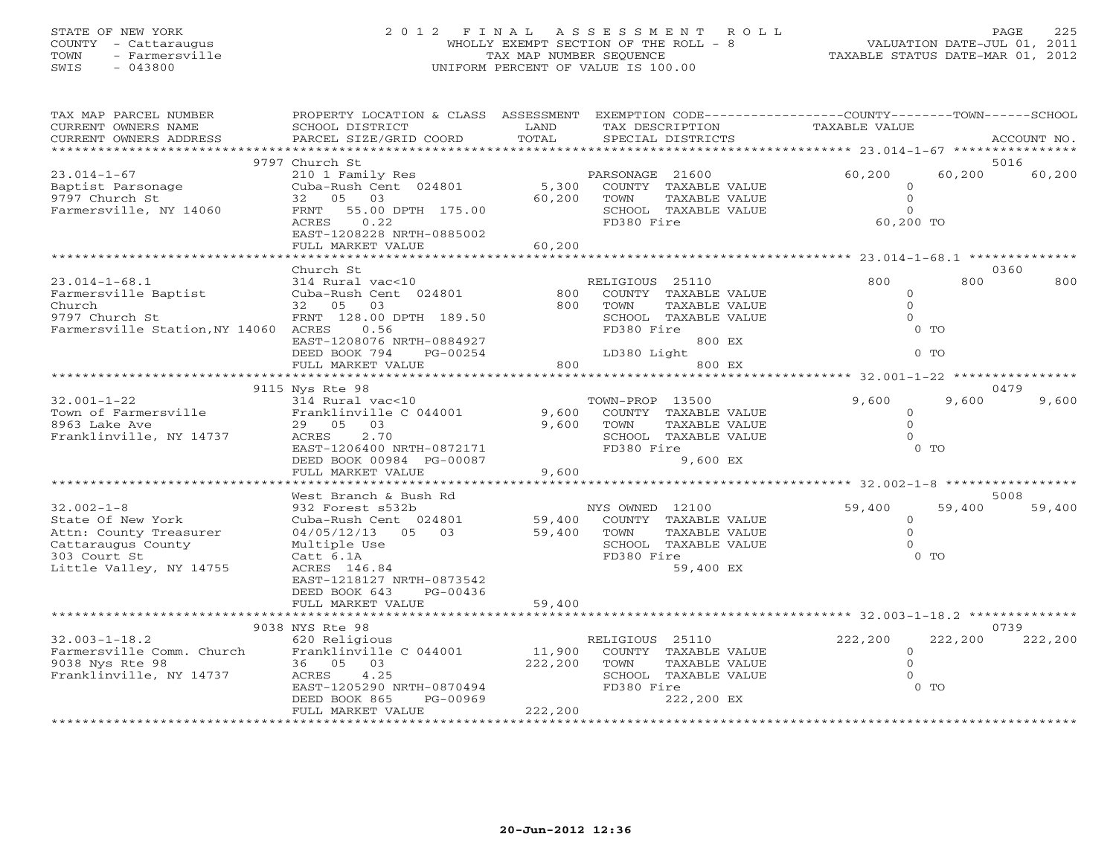# STATE OF NEW YORK 2 0 1 2 F I N A L A S S E S S M E N T R O L L PAGE 225 COUNTY - Cattaraugus WHOLLY EXEMPT SECTION OF THE ROLL - 8 VALUATION DATE-JUL 01, 2011 TOWN - Farmersville TAX MAP NUMBER SEQUENCE TAXABLE STATUS DATE-MAR 01, 2012 SWIS - 043800 UNIFORM PERCENT OF VALUE IS 100.00

| TAX MAP PARCEL NUMBER<br>CURRENT OWNERS NAME | PROPERTY LOCATION & CLASS ASSESSMENT<br>SCHOOL DISTRICT | LAND    | TAX DESCRIPTION                    | EXEMPTION CODE-----------------COUNTY-------TOWN------SCHOOL<br><b>TAXABLE VALUE</b> |                |             |
|----------------------------------------------|---------------------------------------------------------|---------|------------------------------------|--------------------------------------------------------------------------------------|----------------|-------------|
| CURRENT OWNERS ADDRESS                       | PARCEL SIZE/GRID COORD                                  | TOTAL   | SPECIAL DISTRICTS                  |                                                                                      |                | ACCOUNT NO. |
|                                              |                                                         |         | ***********************            | ************** 23.014-1-67 *****************                                         |                |             |
|                                              | 9797 Church St                                          |         |                                    |                                                                                      | 5016           |             |
| $23.014 - 1 - 67$                            | 210 1 Family Res                                        |         | PARSONAGE 21600                    | 60,200                                                                               | 60,200         | 60,200      |
| Baptist Parsonage                            | Cuba-Rush Cent 024801                                   | 5,300   | COUNTY TAXABLE VALUE               | $\circ$                                                                              |                |             |
| 9797 Church St                               | 32 05 03                                                | 60,200  | TAXABLE VALUE<br>TOWN              | $\overline{0}$                                                                       |                |             |
| Farmersville, NY 14060                       | FRNT<br>55.00 DPTH 175.00<br>0.22<br>ACRES              |         | SCHOOL TAXABLE VALUE<br>FD380 Fire | $\circ$<br>60,200 TO                                                                 |                |             |
|                                              | EAST-1208228 NRTH-0885002                               |         |                                    |                                                                                      |                |             |
|                                              | FULL MARKET VALUE                                       | 60,200  |                                    |                                                                                      |                |             |
|                                              |                                                         |         |                                    |                                                                                      |                |             |
|                                              | Church St                                               |         |                                    |                                                                                      | 0360           |             |
| $23.014 - 1 - 68.1$                          | 314 Rural vac<10                                        |         | RELIGIOUS 25110                    | 800                                                                                  | 800            | 800         |
| Farmersville Baptist                         | Cuba-Rush Cent 024801                                   | 800     | COUNTY TAXABLE VALUE               | $\circ$                                                                              |                |             |
| Church                                       | 32 05 03                                                | 800     | TOWN<br>TAXABLE VALUE              | $\Omega$                                                                             |                |             |
| 9797 Church St                               | FRNT 128.00 DPTH 189.50                                 |         | SCHOOL TAXABLE VALUE               | $\Omega$                                                                             |                |             |
| Farmersville Station, NY 14060 ACRES         | 0.56                                                    |         | FD380 Fire                         |                                                                                      | $0$ TO         |             |
|                                              | EAST-1208076 NRTH-0884927                               |         | 800 EX                             |                                                                                      |                |             |
|                                              | DEED BOOK 794<br>PG-00254                               |         | LD380 Light                        |                                                                                      | $0$ TO         |             |
|                                              | FULL MARKET VALUE                                       | 800     | 800 EX                             |                                                                                      |                |             |
|                                              |                                                         |         |                                    | ********** 32.001-1-22 **********                                                    |                |             |
|                                              | 9115 Nys Rte 98                                         |         |                                    |                                                                                      | 0479           |             |
| $32.001 - 1 - 22$                            | 314 Rural vac<10                                        |         | TOWN-PROP 13500                    | 9,600                                                                                | 9,600          | 9,600       |
| Town of Farmersville                         | Franklinville C 044001                                  | 9,600   | COUNTY TAXABLE VALUE               | $\Omega$                                                                             |                |             |
| 8963 Lake Ave                                | 29 05 03                                                | 9,600   | TOWN<br>TAXABLE VALUE              | $\Omega$                                                                             |                |             |
| Franklinville, NY 14737                      | 2.70<br>ACRES                                           |         | SCHOOL TAXABLE VALUE               | $\Omega$                                                                             |                |             |
|                                              | EAST-1206400 NRTH-0872171                               |         | FD380 Fire                         |                                                                                      | 0 <sub>0</sub> |             |
|                                              | DEED BOOK 00984 PG-00087                                |         | 9,600 EX                           |                                                                                      |                |             |
|                                              | FULL MARKET VALUE                                       | 9,600   |                                    |                                                                                      |                |             |
|                                              |                                                         |         |                                    |                                                                                      |                |             |
|                                              | West Branch & Bush Rd                                   |         |                                    |                                                                                      | 5008           |             |
| $32.002 - 1 - 8$                             | 932 Forest s532b                                        |         | NYS OWNED 12100                    | 59,400                                                                               | 59,400         | 59,400      |
| State Of New York                            | Cuba-Rush Cent 024801                                   | 59,400  | COUNTY TAXABLE VALUE               | $\circ$                                                                              |                |             |
| Attn: County Treasurer                       | 04/05/12/13 05 03                                       | 59,400  | TAXABLE VALUE<br>TOWN              | $\Omega$                                                                             |                |             |
| Cattaraugus County                           | Multiple Use                                            |         | SCHOOL TAXABLE VALUE               | $\Omega$                                                                             |                |             |
| 303 Court St                                 | Catt 6.1A                                               |         | FD380 Fire                         |                                                                                      | $0$ TO         |             |
| Little Valley, NY 14755                      | ACRES 146.84                                            |         | 59,400 EX                          |                                                                                      |                |             |
|                                              | EAST-1218127 NRTH-0873542                               |         |                                    |                                                                                      |                |             |
|                                              | DEED BOOK 643<br>PG-00436                               | 59,400  |                                    |                                                                                      |                |             |
|                                              | FULL MARKET VALUE                                       |         |                                    |                                                                                      |                |             |
|                                              | 9038 NYS Rte 98                                         |         |                                    |                                                                                      | 0739           |             |
| $32.003 - 1 - 18.2$                          | 620 Religious                                           |         | RELIGIOUS 25110                    | 222,200                                                                              | 222,200        | 222,200     |
| Farmersville Comm. Church                    | Franklinville C 044001                                  | 11,900  | COUNTY TAXABLE VALUE               | $\circ$                                                                              |                |             |
| 9038 Nys Rte 98                              | 36 05 03                                                | 222,200 | TOWN<br>TAXABLE VALUE              | $\Omega$                                                                             |                |             |
| Franklinville, NY 14737                      | 4.25<br>ACRES                                           |         | SCHOOL TAXABLE VALUE               | $\Omega$                                                                             |                |             |
|                                              | EAST-1205290 NRTH-0870494                               |         | FD380 Fire                         |                                                                                      | $0$ TO         |             |
|                                              | DEED BOOK 865<br>PG-00969                               |         | 222,200 EX                         |                                                                                      |                |             |
|                                              | FULL MARKET VALUE                                       | 222,200 |                                    |                                                                                      |                |             |
|                                              | ********************                                    |         |                                    |                                                                                      |                |             |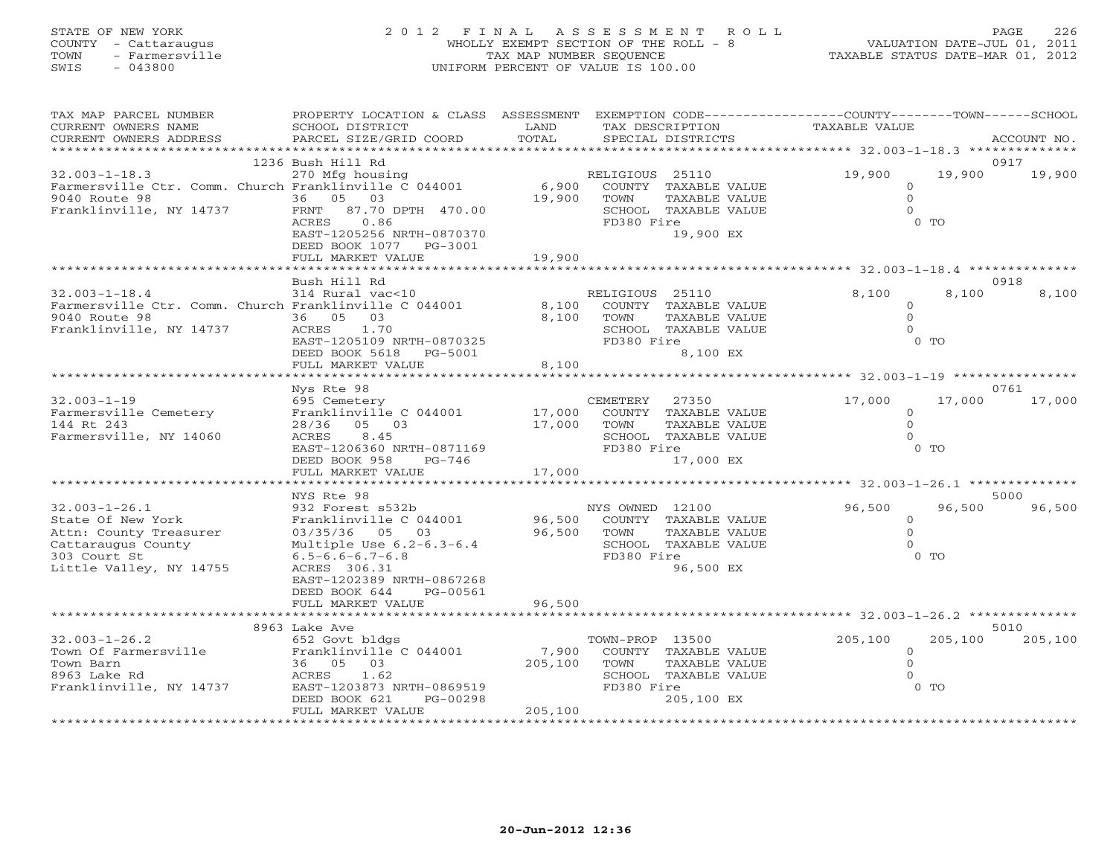# STATE OF NEW YORK 2 0 1 2 F I N A L A S S E S S M E N T R O L L PAGE 226 COUNTY - Cattaraugus WHOLLY EXEMPT SECTION OF THE ROLL - 8 VALUATION DATE-JUL 01, 2011 TOWN - Farmersville TAX MAP NUMBER SEQUENCE TAXABLE STATUS DATE-MAR 01, 2012 SWIS - 043800 UNIFORM PERCENT OF VALUE IS 100.00

| TAX MAP PARCEL NUMBER                                           | PROPERTY LOCATION & CLASS ASSESSMENT EXEMPTION CODE---------------COUNTY-------TOWN------SCHOOL |         |                                         |                      |                |             |
|-----------------------------------------------------------------|-------------------------------------------------------------------------------------------------|---------|-----------------------------------------|----------------------|----------------|-------------|
| CURRENT OWNERS NAME                                             | SCHOOL DISTRICT                                                                                 | LAND    | TAX DESCRIPTION                         | <b>TAXABLE VALUE</b> |                |             |
| CURRENT OWNERS ADDRESS<br>* * * * * * * * * * * * * * * * * * * | PARCEL SIZE/GRID COORD                                                                          | TOTAL   | SPECIAL DISTRICTS                       |                      |                | ACCOUNT NO. |
|                                                                 |                                                                                                 |         |                                         |                      |                |             |
|                                                                 | 1236 Bush Hill Rd                                                                               |         |                                         | 19,900               | 19,900         | 0917        |
| $32.003 - 1 - 18.3$                                             | 270 Mfg housing<br>Farmersville Ctr. Comm. Church Franklinville C 044001                        | 6,900   | RELIGIOUS 25110<br>COUNTY TAXABLE VALUE | $\Omega$             |                | 19,900      |
| 9040 Route 98                                                   | 36 05 03                                                                                        | 19,900  | TOWN<br>TAXABLE VALUE                   | $\circ$              |                |             |
| Franklinville, NY 14737                                         | FRNT 87.70 DPTH 470.00                                                                          |         | SCHOOL TAXABLE VALUE                    | $\Omega$             |                |             |
|                                                                 | ACRES<br>0.86                                                                                   |         | FD380 Fire                              |                      | $0$ TO         |             |
|                                                                 | EAST-1205256 NRTH-0870370                                                                       |         | 19,900 EX                               |                      |                |             |
|                                                                 | DEED BOOK 1077 PG-3001                                                                          |         |                                         |                      |                |             |
|                                                                 | FULL MARKET VALUE                                                                               | 19,900  |                                         |                      |                |             |
|                                                                 |                                                                                                 |         |                                         |                      |                |             |
|                                                                 | Bush Hill Rd                                                                                    |         |                                         |                      |                | 0918        |
| $32.003 - 1 - 18.4$                                             | 314 Rural vac<10                                                                                |         | RELIGIOUS 25110                         | 8,100                | 8,100          | 8,100       |
|                                                                 | Farmersville Ctr. Comm. Church Franklinville C 044001                                           | 8,100   | COUNTY TAXABLE VALUE                    | $\circ$              |                |             |
| 9040 Route 98                                                   | 36 05<br>03                                                                                     | 8,100   | TOWN<br>TAXABLE VALUE                   | $\Omega$             |                |             |
| Franklinville, NY 14737                                         | ACRES<br>1.70                                                                                   |         | SCHOOL TAXABLE VALUE                    | $\Omega$             |                |             |
|                                                                 | EAST-1205109 NRTH-0870325                                                                       |         | FD380 Fire                              |                      | 0 <sub>T</sub> |             |
|                                                                 | DEED BOOK 5618 PG-5001                                                                          |         | 8,100 EX                                |                      |                |             |
|                                                                 | FULL MARKET VALUE<br>*******************************                                            | 8,100   |                                         |                      |                |             |
|                                                                 |                                                                                                 |         |                                         |                      |                |             |
|                                                                 | Nys Rte 98                                                                                      |         |                                         |                      |                | 0761        |
| $32.003 - 1 - 19$                                               | 695 Cemetery<br>Franklinville C 044001                                                          | 17,000  | CEMETERY 27350<br>COUNTY TAXABLE VALUE  | 17,000<br>$\Omega$   | 17,000         | 17,000      |
| Farmersville Cemetery<br>144 Rt 243                             | 28/36 05 03                                                                                     | 17,000  | TAXABLE VALUE<br>TOWN                   | $\Omega$             |                |             |
| Farmersville, NY 14060                                          | ACRES<br>8.45                                                                                   |         | SCHOOL TAXABLE VALUE                    | $\Omega$             |                |             |
|                                                                 | EAST-1206360 NRTH-0871169                                                                       |         | FD380 Fire                              |                      | $0$ TO         |             |
|                                                                 | DEED BOOK 958<br>PG-746                                                                         |         | 17,000 EX                               |                      |                |             |
|                                                                 | FULL MARKET VALUE                                                                               | 17,000  |                                         |                      |                |             |
|                                                                 |                                                                                                 |         |                                         |                      |                |             |
|                                                                 | NYS Rte 98                                                                                      |         |                                         |                      |                | 5000        |
| $32.003 - 1 - 26.1$                                             | 932 Forest s532b                                                                                |         | NYS OWNED 12100                         | 96,500               | 96,500         | 96,500      |
| State Of New York                                               | Franklinville C 044001                                                                          | 96,500  | COUNTY TAXABLE VALUE                    | $\circ$              |                |             |
| Attn: County Treasurer                                          | 03/35/36 05 03                                                                                  | 96,500  | TOWN<br>TAXABLE VALUE                   | $\Omega$             |                |             |
| Cattaraugus County                                              | Multiple Use 6.2-6.3-6.4                                                                        |         | SCHOOL TAXABLE VALUE                    | $\Omega$             |                |             |
| 303 Court St                                                    | $6.5 - 6.6 - 6.7 - 6.8$                                                                         |         | FD380 Fire                              |                      | $0$ TO         |             |
| Little Valley, NY 14755                                         | ACRES 306.31                                                                                    |         | 96,500 EX                               |                      |                |             |
|                                                                 | EAST-1202389 NRTH-0867268                                                                       |         |                                         |                      |                |             |
|                                                                 | DEED BOOK 644<br>PG-00561                                                                       |         |                                         |                      |                |             |
|                                                                 | FULL MARKET VALUE                                                                               | 96,500  |                                         |                      |                |             |
|                                                                 | 8963 Lake Ave                                                                                   |         |                                         |                      |                | 5010        |
| $32.003 - 1 - 26.2$                                             | 652 Govt bldgs                                                                                  |         | TOWN-PROP 13500                         | 205,100              | 205,100        | 205,100     |
| Town Of Farmersville                                            | Franklinville C 044001                                                                          | 7,900   | COUNTY TAXABLE VALUE                    | $\Omega$             |                |             |
| Town Barn                                                       | 36 05 03                                                                                        | 205,100 | TOWN<br>TAXABLE VALUE                   | $\Omega$             |                |             |
| 8963 Lake Rd                                                    | ACRES<br>1.62                                                                                   |         | SCHOOL TAXABLE VALUE                    | $\Omega$             |                |             |
| Franklinville, NY 14737                                         | EAST-1203873 NRTH-0869519                                                                       |         | FD380 Fire                              |                      | $0$ TO         |             |
|                                                                 | DEED BOOK 621<br>PG-00298                                                                       |         | 205,100 EX                              |                      |                |             |
|                                                                 | FULL MARKET VALUE                                                                               | 205,100 |                                         |                      |                |             |
|                                                                 |                                                                                                 |         |                                         |                      |                |             |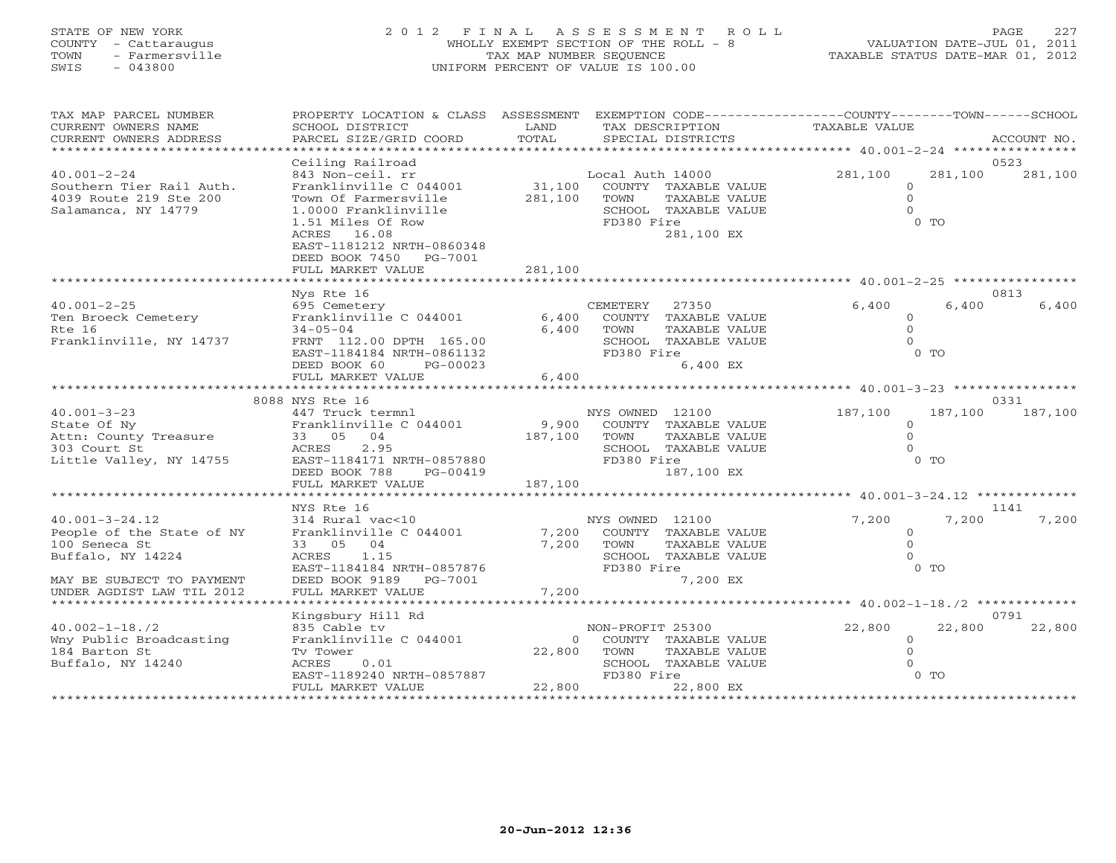# STATE OF NEW YORK 2 0 1 2 F I N A L A S S E S S M E N T R O L L PAGE 227 COUNTY - Cattaraugus WHOLLY EXEMPT SECTION OF THE ROLL - 8 VALUATION DATE-JUL 01, 2011 TOWN - Farmersville TAX MAP NUMBER SEQUENCE TAXABLE STATUS DATE-MAR 01, 2012 SWIS - 043800 UNIFORM PERCENT OF VALUE IS 100.00

| TAX MAP PARCEL NUMBER<br>CURRENT OWNERS NAME<br>CURRENT OWNERS ADDRESS | PROPERTY LOCATION & CLASS ASSESSMENT<br>SCHOOL DISTRICT<br>PARCEL SIZE/GRID COORD | LAND<br>TOTAL  | EXEMPTION CODE-----------------COUNTY-------TOWN-----SCHOOL<br>TAX DESCRIPTION<br>SPECIAL DISTRICTS | <b>TAXABLE VALUE</b>                   | ACCOUNT NO.                |
|------------------------------------------------------------------------|-----------------------------------------------------------------------------------|----------------|-----------------------------------------------------------------------------------------------------|----------------------------------------|----------------------------|
| *******************                                                    |                                                                                   |                |                                                                                                     |                                        |                            |
| $40.001 - 2 - 24$<br>Southern Tier Rail Auth.                          | Ceiling Railroad<br>843 Non-ceil. rr<br>Franklinville C 044001                    | 31,100         | Local Auth 14000<br>COUNTY TAXABLE VALUE                                                            | 281,100<br>$\circ$                     | 0523<br>281,100<br>281,100 |
| 4039 Route 219 Ste 200<br>Salamanca, NY 14779                          | Town Of Farmersville<br>1.0000 Franklinville<br>1.51 Miles Of Row                 | 281,100        | TOWN<br>TAXABLE VALUE<br>SCHOOL TAXABLE VALUE<br>FD380 Fire                                         | $\Omega$<br>$\Omega$<br>0 <sub>0</sub> |                            |
|                                                                        | ACRES 16.08<br>EAST-1181212 NRTH-0860348<br>DEED BOOK 7450 PG-7001                |                | 281,100 EX                                                                                          |                                        |                            |
|                                                                        | FULL MARKET VALUE                                                                 | 281,100        |                                                                                                     |                                        |                            |
|                                                                        | Nys Rte 16                                                                        |                |                                                                                                     |                                        | 0813                       |
| $40.001 - 2 - 25$                                                      | 695 Cemetery                                                                      |                | 27350<br>CEMETERY                                                                                   | 6,400                                  | 6,400<br>6,400             |
| Ten Broeck Cemetery<br>Rte 16                                          | Franklinville C 044001                                                            | 6,400<br>6,400 | COUNTY TAXABLE VALUE<br>TOWN                                                                        | $\Omega$<br>$\Omega$                   |                            |
| Franklinville, NY 14737                                                | $34 - 05 - 04$<br>FRNT 112.00 DPTH 165.00                                         |                | TAXABLE VALUE<br>SCHOOL TAXABLE VALUE                                                               | $\Omega$                               |                            |
|                                                                        | EAST-1184184 NRTH-0861132                                                         |                | FD380 Fire                                                                                          | $0$ TO                                 |                            |
|                                                                        | DEED BOOK 60<br>PG-00023                                                          |                | 6,400 EX                                                                                            |                                        |                            |
|                                                                        | FULL MARKET VALUE                                                                 | 6,400          |                                                                                                     |                                        |                            |
|                                                                        | 8088 NYS Rte 16                                                                   |                |                                                                                                     |                                        | 0331                       |
| $40.001 - 3 - 23$                                                      | 447 Truck termnl                                                                  |                | NYS OWNED 12100                                                                                     | 187,100                                | 187,100<br>187,100         |
| State Of Ny                                                            | Franklinville C 044001                                                            | 9,900          | COUNTY TAXABLE VALUE                                                                                | $\circ$                                |                            |
| Attn: County Treasure                                                  | 33 05 04                                                                          | 187,100        | TOWN<br>TAXABLE VALUE                                                                               | $\Omega$                               |                            |
| 303 Court St                                                           | ACRES<br>2.95                                                                     |                | SCHOOL TAXABLE VALUE                                                                                | $\Omega$<br>0 <sub>0</sub>             |                            |
| Little Valley, NY 14755                                                | EAST-1184171 NRTH-0857880<br>DEED BOOK 788<br>PG-00419                            |                | FD380 Fire<br>187,100 EX                                                                            |                                        |                            |
|                                                                        | FULL MARKET VALUE                                                                 | 187,100        |                                                                                                     |                                        |                            |
|                                                                        | * * * * * * * * * * * * * * * * * *                                               | *******        |                                                                                                     | ********** 40.001-3-24.12 ************ |                            |
|                                                                        | NYS Rte 16                                                                        |                |                                                                                                     |                                        | 1141                       |
| $40.001 - 3 - 24.12$                                                   | 314 Rural vac<10                                                                  |                | NYS OWNED 12100                                                                                     | 7,200                                  | 7,200<br>7,200             |
| People of the State of NY<br>100 Seneca St                             | Franklinville C 044001<br>33 05 04                                                | 7,200<br>7,200 | COUNTY TAXABLE VALUE<br>TOWN<br>TAXABLE VALUE                                                       | $\mathbf{0}$<br>$\mathbf{O}$           |                            |
| Buffalo, NY 14224                                                      | 1.15<br>ACRES                                                                     |                | SCHOOL TAXABLE VALUE                                                                                | $\Omega$                               |                            |
|                                                                        | EAST-1184184 NRTH-0857876                                                         |                | FD380 Fire                                                                                          | $0$ TO                                 |                            |
| MAY BE SUBJECT TO PAYMENT                                              | DEED BOOK 9189<br>PG-7001                                                         |                | 7,200 EX                                                                                            |                                        |                            |
| UNDER AGDIST LAW TIL 2012                                              | FULL MARKET VALUE                                                                 | 7,200          |                                                                                                     |                                        |                            |
|                                                                        |                                                                                   |                |                                                                                                     | *********** 40.002-1-18./2 ******      |                            |
| $40.002 - 1 - 18.72$                                                   | Kingsbury Hill Rd<br>835 Cable tv                                                 |                | NON-PROFIT 25300                                                                                    | 22,800                                 | 0791<br>22,800<br>22,800   |
| Wny Public Broadcasting                                                | Franklinville C 044001                                                            | $\Omega$       | COUNTY TAXABLE VALUE                                                                                | $\circ$                                |                            |
| 184 Barton St                                                          | Tv Tower                                                                          | 22,800         | TOWN<br>TAXABLE VALUE                                                                               | $\Omega$                               |                            |
| Buffalo, NY 14240                                                      | ACRES<br>0.01                                                                     |                | SCHOOL TAXABLE VALUE                                                                                | $\Omega$                               |                            |
|                                                                        | EAST-1189240 NRTH-0857887                                                         |                | FD380 Fire                                                                                          | $0$ TO                                 |                            |
|                                                                        | FULL MARKET VALUE                                                                 | 22,800         | 22,800 EX                                                                                           |                                        |                            |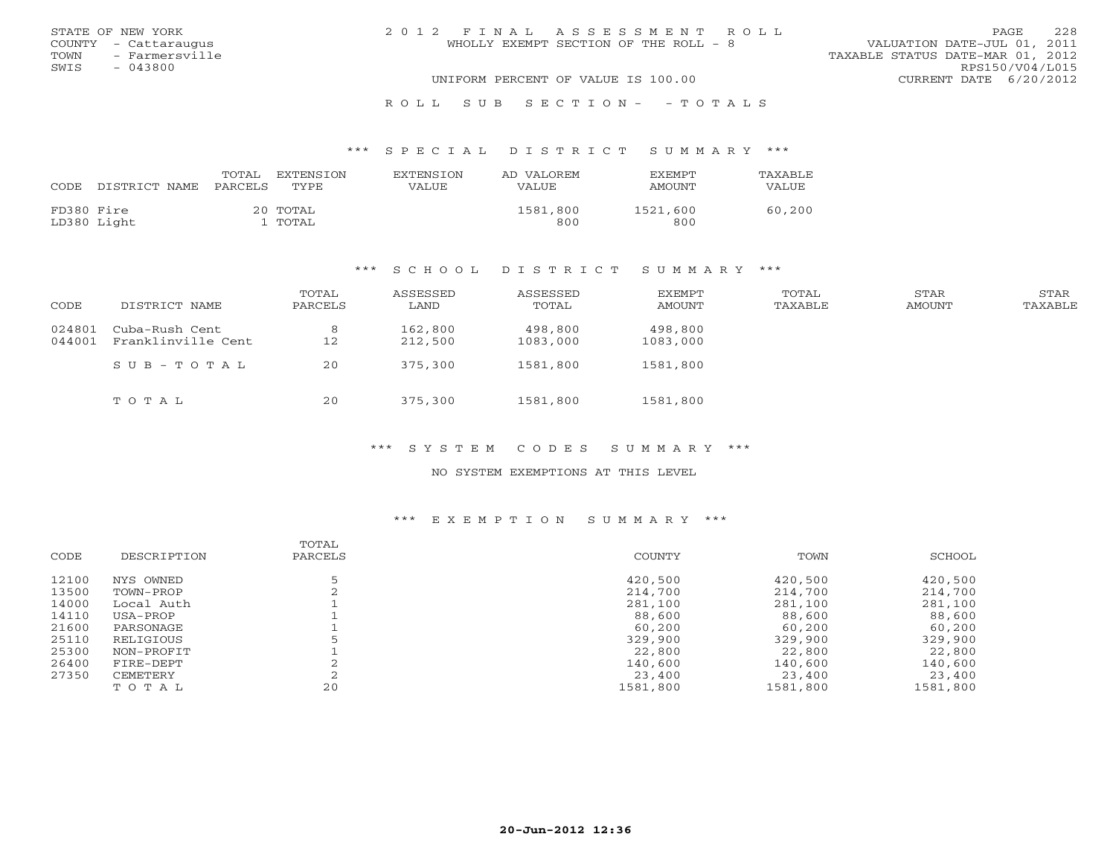|      | STATE OF NEW YORK    | 2012 FINAL ASSESSMENT ROLL                                           | PAGE.                  | 228 |
|------|----------------------|----------------------------------------------------------------------|------------------------|-----|
|      | COUNTY - Cattaraugus | VALUATION DATE-JUL 01, 2011<br>WHOLLY EXEMPT SECTION OF THE ROLL - 8 |                        |     |
| TOWN | - Farmersville       | TAXABLE STATUS DATE-MAR 01, 2012                                     |                        |     |
| SWIS | - 043800             |                                                                      | RPS150/V04/L015        |     |
|      |                      | UNIFORM PERCENT OF VALUE IS 100.00                                   | CURRENT DATE 6/20/2012 |     |
|      |                      |                                                                      |                        |     |

### R O L L S U B S E C T I O N - - T O T A L S

### \*\*\* S P E C I A L D I S T R I C T S U M M A R Y \*\*\*

| CODE       | DISTRICT NAME | TOTAL<br>PARCELS | EXTENSION<br>TYPE. | <b>EXTENSION</b><br>VALUE | AD VALOREM<br>VALUE | <b>EXEMPT</b><br>AMOUNT | <b>TAXABLE</b><br>VALUE |
|------------|---------------|------------------|--------------------|---------------------------|---------------------|-------------------------|-------------------------|
| FD380 Fire | LD380 Light   |                  | 20 TOTAL<br>TOTAL  |                           | 1581,800<br>800     | 1521,600<br>800         | 60,200                  |

### \*\*\* S C H O O L D I S T R I C T S U M M A R Y \*\*\*

| CODE             | DISTRICT NAME                        | TOTAL<br>PARCELS | ASSESSED<br>LAND   | ASSESSED<br>TOTAL   | EXEMPT<br>AMOUNT    | TOTAL<br>TAXABLE | STAR<br>AMOUNT | STAR<br>TAXABLE |
|------------------|--------------------------------------|------------------|--------------------|---------------------|---------------------|------------------|----------------|-----------------|
| 024801<br>044001 | Cuba-Rush Cent<br>Franklinville Cent | 8<br>12          | 162,800<br>212,500 | 498,800<br>1083,000 | 498,800<br>1083,000 |                  |                |                 |
|                  | $SUB - TO T AL$                      | 20               | 375,300            | 1581,800            | 1581,800            |                  |                |                 |
|                  | TOTAL                                | 20               | 375,300            | 1581,800            | 1581,800            |                  |                |                 |

### \*\*\* S Y S T E M C O D E S S U M M A R Y \*\*\*

## NO SYSTEM EXEMPTIONS AT THIS LEVEL

### \*\*\* E X E M P T I O N S U M M A R Y \*\*\*

|             | TOTAL   |          |          |          |
|-------------|---------|----------|----------|----------|
| DESCRIPTION | PARCELS | COUNTY   | TOWN     | SCHOOL   |
| NYS OWNED   |         | 420,500  | 420,500  | 420,500  |
| TOWN-PROP   |         | 214,700  | 214,700  | 214,700  |
| Local Auth  |         | 281,100  | 281,100  | 281,100  |
| USA-PROP    |         | 88,600   | 88,600   | 88,600   |
| PARSONAGE   |         | 60,200   | 60,200   | 60,200   |
| RELIGIOUS   |         | 329,900  | 329,900  | 329,900  |
| NON-PROFIT  |         | 22,800   | 22,800   | 22,800   |
| FIRE-DEPT   |         | 140,600  | 140,600  | 140,600  |
| CEMETERY    |         | 23,400   | 23,400   | 23,400   |
| TOTAL       | 20      | 1581,800 | 1581,800 | 1581,800 |
|             |         |          |          |          |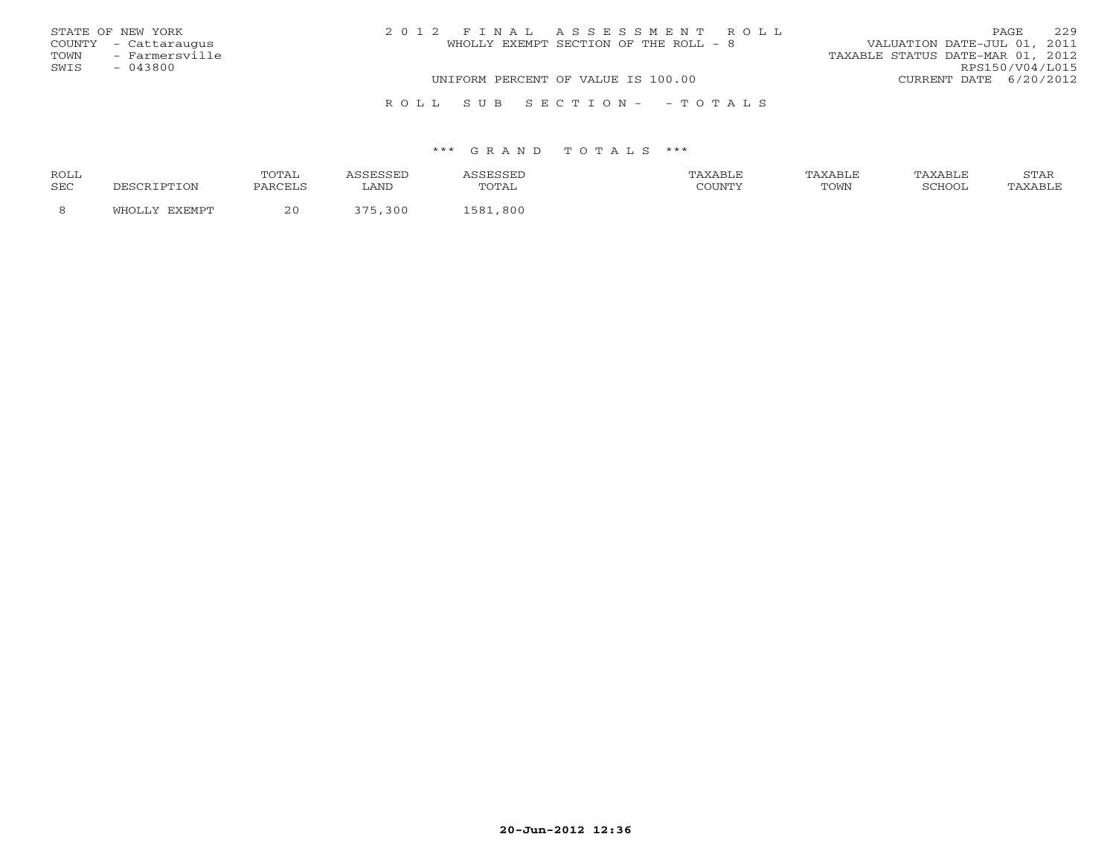|      | STATE OF NEW YORK    | 2012 FINAL ASSESSMENT ROLL            | 229<br><b>PAGE</b>               |
|------|----------------------|---------------------------------------|----------------------------------|
|      | COUNTY - Cattaraugus | WHOLLY EXEMPT SECTION OF THE ROLL - 8 | VALUATION DATE-JUL 01, 2011      |
|      | TOWN - Farmersville  |                                       | TAXABLE STATUS DATE-MAR 01, 2012 |
| SWIS | $-043800$            |                                       | RPS150/V04/L015                  |
|      |                      | UNIFORM PERCENT OF VALUE IS 100.00    | CURRENT DATE 6/20/2012           |
|      |                      |                                       |                                  |
|      |                      | ROLL SUB SECTION- - TOTALS            |                                  |

| ROLL       |     | $\Delta$<br>◡∸▴▴ |      |     |      | . <i>.</i> |
|------------|-----|------------------|------|-----|------|------------|
| <b>SEC</b> | ION | <b>PARCEI</b>    | LAND |     | POWN |            |
|            |     | າ ເ              | 300  | 800 |      |            |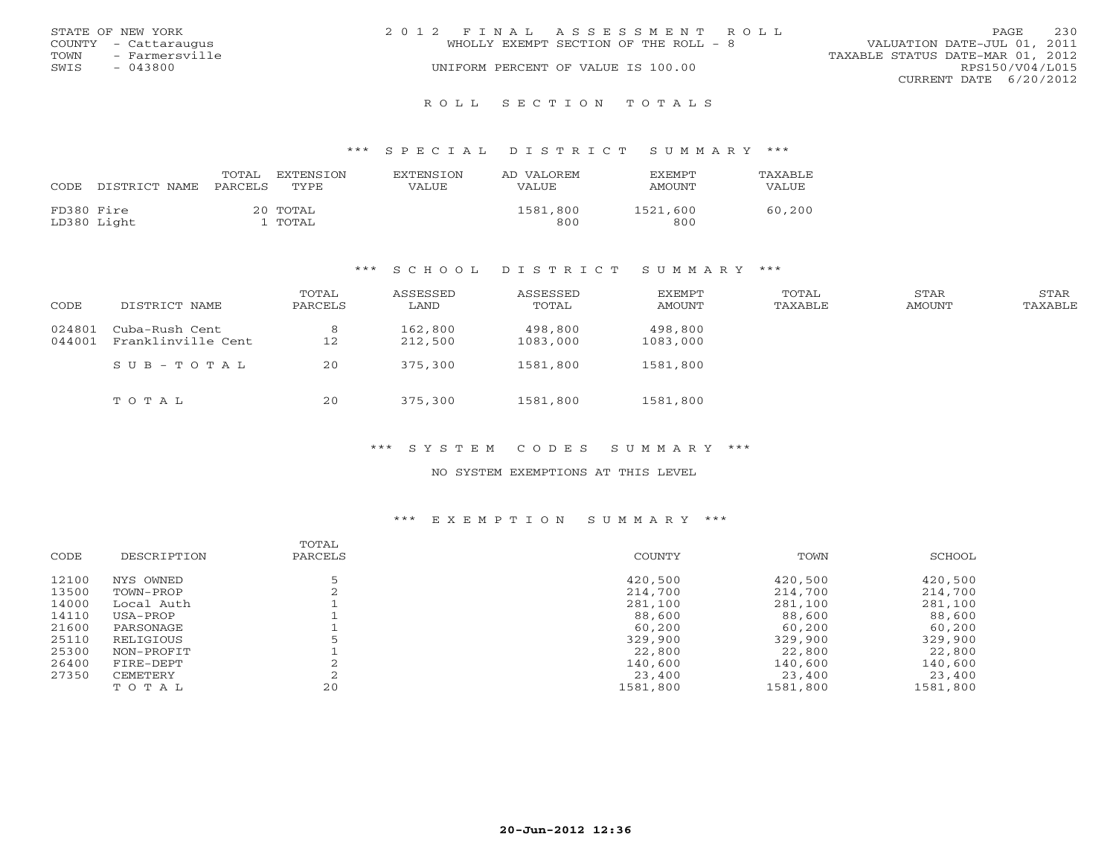|      | STATE OF NEW YORK    | 2012 FINAL ASSESSMENT ROLL            | 230<br><b>PAGE</b>               |
|------|----------------------|---------------------------------------|----------------------------------|
|      | COUNTY - Cattaraugus | WHOLLY EXEMPT SECTION OF THE ROLL - 8 | VALUATION DATE-JUL 01, 2011      |
| TOWN | - Farmersville       |                                       | TAXABLE STATUS DATE-MAR 01, 2012 |
| SWIS | $-043800$            | UNIFORM PERCENT OF VALUE IS 100.00    | RPS150/V04/L015                  |
|      |                      |                                       | CURRENT DATE 6/20/2012           |
|      |                      |                                       |                                  |

### R O L L S E C T I O N T O T A L S

### \*\*\* S P E C I A L D I S T R I C T S U M M A R Y \*\*\*

| CODE       | DISTRICT NAME | TOTAL<br>PARCELS | EXTENSION<br>TYPE.  | EXTENSION<br>VALUE | AD VALOREM<br>VALUE | <b>EXEMPT</b><br>AMOUNT | <b>TAXABLE</b><br>VALUE |
|------------|---------------|------------------|---------------------|--------------------|---------------------|-------------------------|-------------------------|
| FD380 Fire | LD380 Light   |                  | 20 TOTAL<br>l TOTAL |                    | 1581,800<br>800     | 1521,600<br>800         | 60,200                  |

### \*\*\* S C H O O L D I S T R I C T S U M M A R Y \*\*\*

| CODE             | DISTRICT NAME                        | TOTAL<br>PARCELS | ASSESSED<br>LAND   | ASSESSED<br>TOTAL   | EXEMPT<br>AMOUNT    | TOTAL<br>TAXABLE | STAR<br>AMOUNT | STAR<br>TAXABLE |
|------------------|--------------------------------------|------------------|--------------------|---------------------|---------------------|------------------|----------------|-----------------|
| 024801<br>044001 | Cuba-Rush Cent<br>Franklinville Cent | 8<br>12          | 162,800<br>212,500 | 498,800<br>1083,000 | 498,800<br>1083,000 |                  |                |                 |
|                  | $SUB - TO T AL$                      | 20               | 375,300            | 1581,800            | 1581,800            |                  |                |                 |
|                  | TOTAL                                | 20               | 375,300            | 1581,800            | 1581,800            |                  |                |                 |

\*\*\* S Y S T E M C O D E S S U M M A R Y \*\*\*

NO SYSTEM EXEMPTIONS AT THIS LEVEL

### \*\*\* E X E M P T I O N S U M M A R Y \*\*\*

|       |             | TOTAL   |          |          |          |
|-------|-------------|---------|----------|----------|----------|
| CODE  | DESCRIPTION | PARCELS | COUNTY   | TOWN     | SCHOOL   |
| 12100 | NYS OWNED   |         | 420,500  | 420,500  | 420,500  |
| 13500 | TOWN-PROP   |         | 214,700  | 214,700  | 214,700  |
| 14000 | Local Auth  |         | 281,100  | 281,100  | 281,100  |
| 14110 | USA-PROP    |         | 88,600   | 88,600   | 88,600   |
| 21600 | PARSONAGE   |         | 60,200   | 60,200   | 60,200   |
| 25110 | RELIGIOUS   |         | 329,900  | 329,900  | 329,900  |
| 25300 | NON-PROFIT  |         | 22,800   | 22,800   | 22,800   |
| 26400 | FIRE-DEPT   |         | 140,600  | 140,600  | 140,600  |
| 27350 | CEMETERY    |         | 23,400   | 23,400   | 23,400   |
|       | TOTAL       | 20      | 1581,800 | 1581,800 | 1581,800 |
|       |             |         |          |          |          |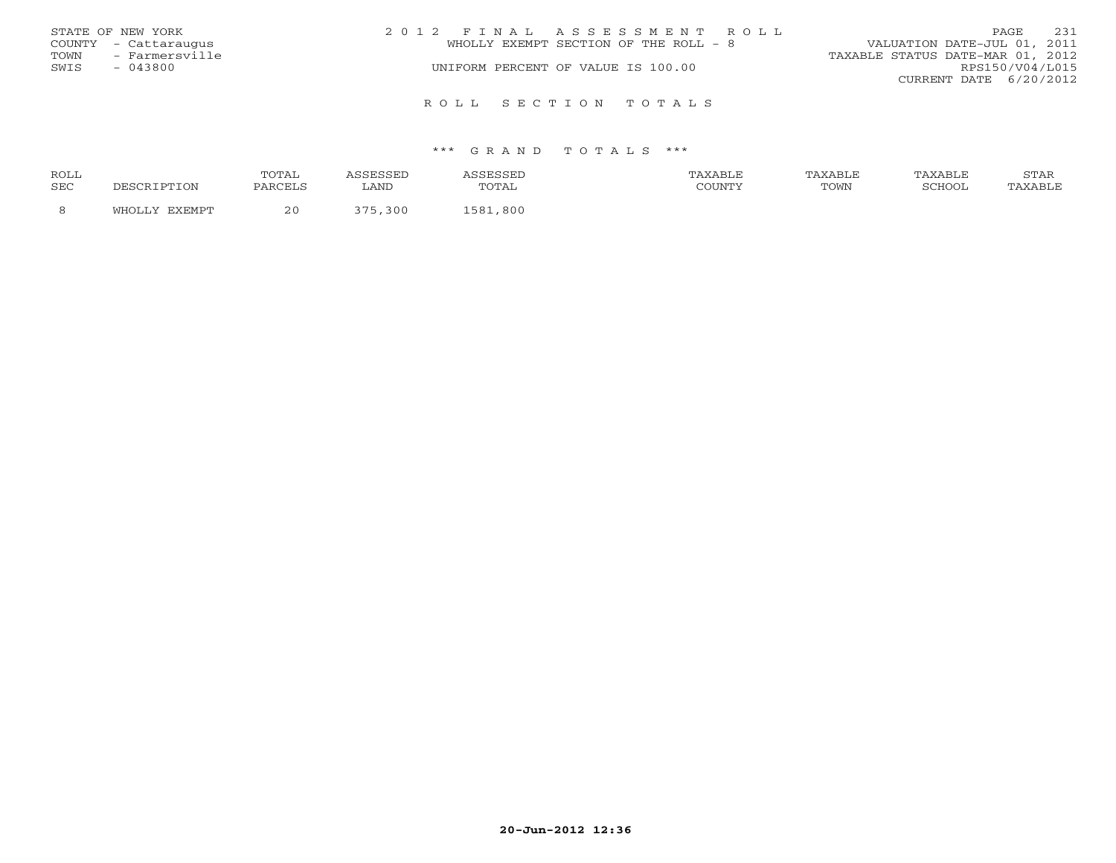|      | STATE OF NEW YORK    | 2012 FINAL ASSESSMENT ROLL            | 231<br>PAGE                      |
|------|----------------------|---------------------------------------|----------------------------------|
|      | COUNTY - Cattaraugus | WHOLLY EXEMPT SECTION OF THE ROLL - 8 | VALUATION DATE-JUL 01, 2011      |
| TOWN | - Farmersville       |                                       | TAXABLE STATUS DATE-MAR 01, 2012 |
| SWIS | $-043800$            | UNIFORM PERCENT OF VALUE IS 100.00    | RPS150/V04/L015                  |
|      |                      |                                       | CURRENT DATE 6/20/2012           |
|      |                      | ROLL SECTION TOTALS                   |                                  |

| ROLL       |        | 'OTAL   |                                 |                     | TAXABLF |      | TAXABLE | $cm\pi$<br>י בתיכו |
|------------|--------|---------|---------------------------------|---------------------|---------|------|---------|--------------------|
| <b>SEC</b> |        | PARCELS | LAND                            | . д.<br><u>UIII</u> | CCTINTM | TOWN | SURVUL  |                    |
|            | $\sim$ | 2 L     | $\overline{\phantom{m}}$<br>300 | 800<br>58           |         |      |         |                    |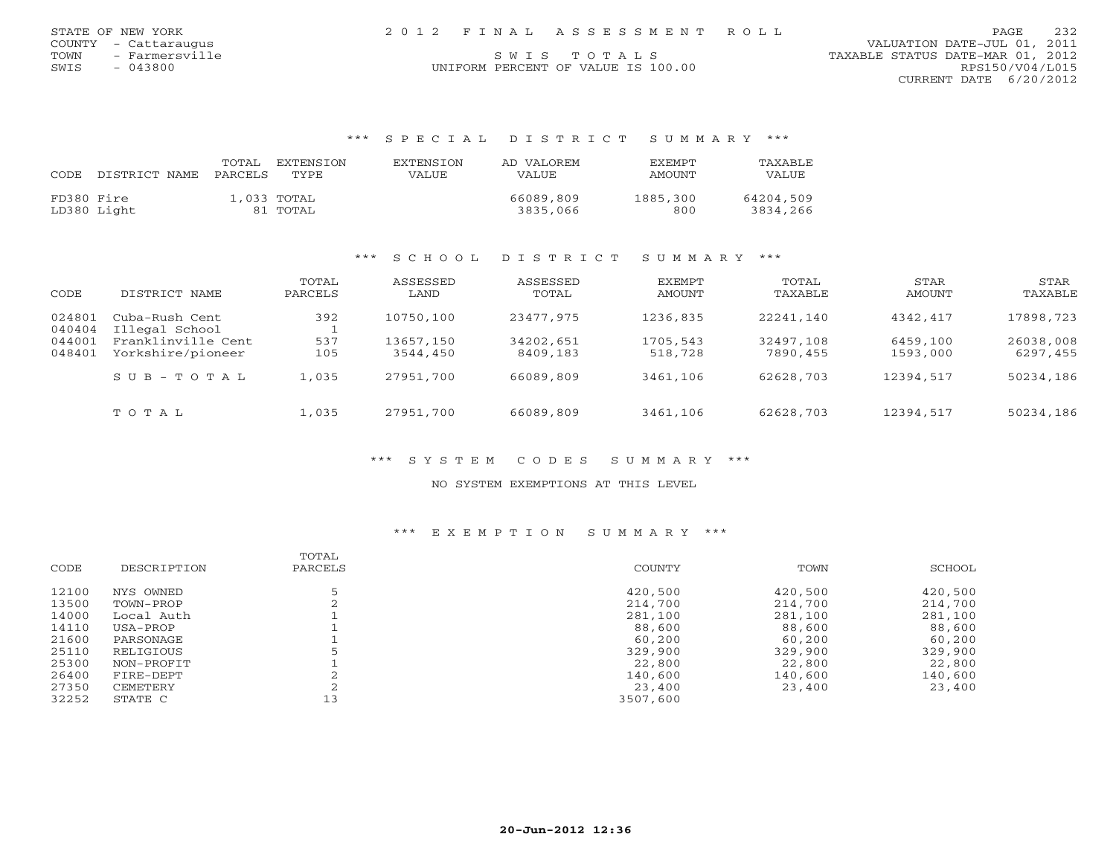| STATE OF NEW YORK      |  | 2012 FINAL ASSESSMENT ROLL         | PAGE                             | 232 |
|------------------------|--|------------------------------------|----------------------------------|-----|
| COUNTY - Cattaraugus   |  |                                    | VALUATION DATE-JUL 01, 2011      |     |
| - Farmersville<br>TOWN |  | SWIS TOTALS                        | TAXABLE STATUS DATE-MAR 01, 2012 |     |
| $-043800$<br>SWIS      |  | UNIFORM PERCENT OF VALUE IS 100.00 | RPS150/V04/L015                  |     |

CURRENT DATE 6/20/2012

### \*\*\* S P E C I A L D I S T R I C T S U M M A R Y \*\*\*

| CODE       | DISTRICT NAME | TOTAL<br>PARCELS | EXTENSTON<br>TYPE.      | <b>EXTENSION</b><br>VALUE | AD VALOREM<br>VALUE.  | <b>FXFMPT</b><br>AMOUNT | TAXABLE<br>VALUE      |
|------------|---------------|------------------|-------------------------|---------------------------|-----------------------|-------------------------|-----------------------|
| FD380 Fire | LD380 Light   |                  | 1,033 TOTAL<br>81 TOTAL |                           | 66089,809<br>3835,066 | 1885,300<br>800         | 64204,509<br>3834,266 |

# \*\*\* S C H O O L D I S T R I C T S U M M A R Y \*\*\*

| CODE             | DISTRICT NAME                           | TOTAL<br>PARCELS | ASSESSED<br>LAND      | ASSESSED<br>TOTAL     | EXEMPT<br>AMOUNT    | TOTAL<br>TAXABLE      | STAR<br>AMOUNT       | STAR<br>TAXABLE       |
|------------------|-----------------------------------------|------------------|-----------------------|-----------------------|---------------------|-----------------------|----------------------|-----------------------|
| 024801<br>040404 | Cuba-Rush Cent<br>Illegal School        | 392              | 10750,100             | 23477,975             | 1236,835            | 22241,140             | 4342,417             | 17898,723             |
| 044001<br>048401 | Franklinville Cent<br>Yorkshire/pioneer | 537<br>105       | 13657,150<br>3544,450 | 34202,651<br>8409,183 | 1705,543<br>518,728 | 32497,108<br>7890,455 | 6459,100<br>1593,000 | 26038,008<br>6297,455 |
|                  | $SUB - TO T AL$                         | 1,035            | 27951,700             | 66089,809             | 3461,106            | 62628,703             | 12394,517            | 50234,186             |
|                  | TOTAL                                   | 1,035            | 27951,700             | 66089,809             | 3461,106            | 62628,703             | 12394,517            | 50234,186             |

### \*\*\* S Y S T E M C O D E S S U M M A R Y \*\*\*

### NO SYSTEM EXEMPTIONS AT THIS LEVEL

### \*\*\* E X E M P T I O N S U M M A R Y \*\*\*

|       |             | TOTAL   |          |         |         |
|-------|-------------|---------|----------|---------|---------|
| CODE  | DESCRIPTION | PARCELS | COUNTY   | TOWN    | SCHOOL  |
| 12100 | NYS OWNED   |         | 420,500  | 420,500 | 420,500 |
| 13500 | TOWN-PROP   |         | 214,700  | 214,700 | 214,700 |
| 14000 | Local Auth  |         | 281,100  | 281,100 | 281,100 |
| 14110 | USA-PROP    |         | 88,600   | 88,600  | 88,600  |
| 21600 | PARSONAGE   |         | 60,200   | 60,200  | 60,200  |
| 25110 | RELIGIOUS   |         | 329,900  | 329,900 | 329,900 |
| 25300 | NON-PROFIT  |         | 22,800   | 22,800  | 22,800  |
| 26400 | FIRE-DEPT   |         | 140,600  | 140,600 | 140,600 |
| 27350 | CEMETERY    |         | 23,400   | 23,400  | 23,400  |
| 32252 | STATE C     | 13      | 3507,600 |         |         |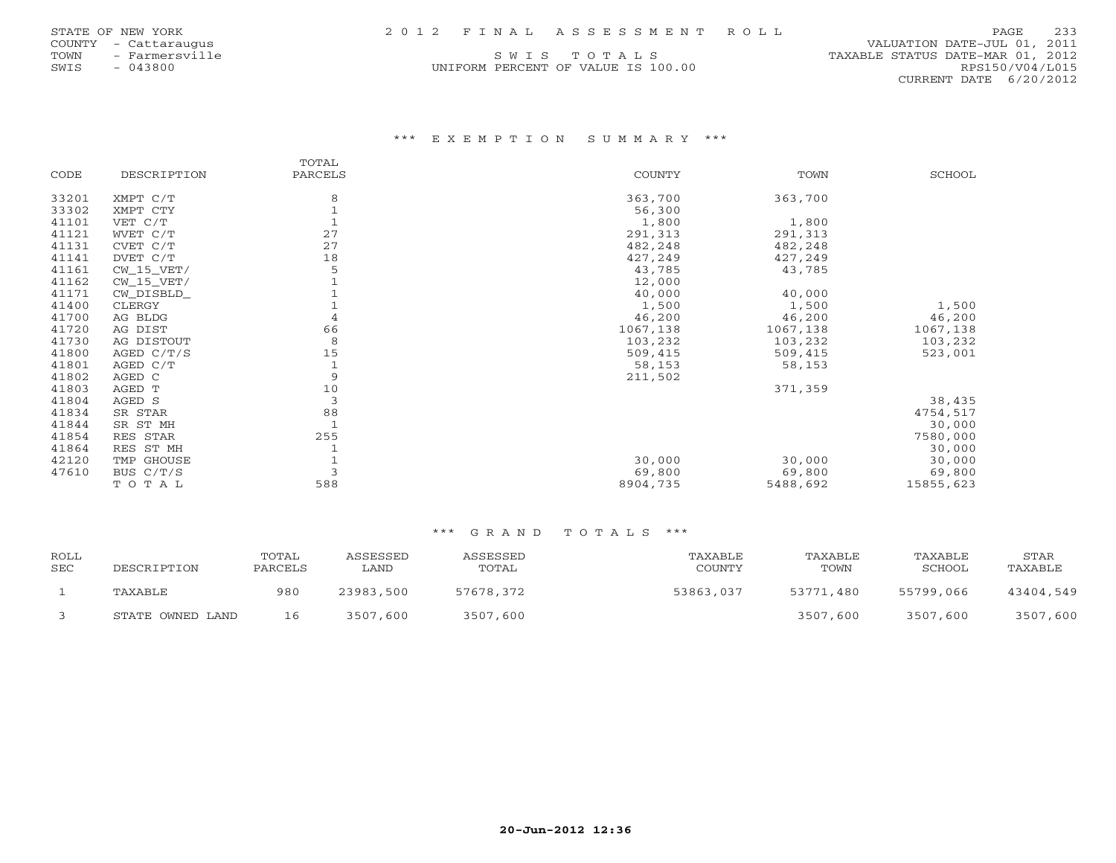| STATE OF NEW YORK |  |  |  | 2012 FINAL ASSESSMENT ROLL | 233<br>PAGE |
|-------------------|--|--|--|----------------------------|-------------|
|-------------------|--|--|--|----------------------------|-------------|

|       |                          | 'ATE OF NEW YORK |  |
|-------|--------------------------|------------------|--|
| UNTY. |                          | - Cattaraugus    |  |
| WМ    |                          | - Farmersville   |  |
| ΊS    | $\overline{\phantom{0}}$ | 043800           |  |

SWIS - 043800 UNIFORM PERCENT OF VALUE IS 100.00 RPS150/V04/L015

 COUNTY - Cattaraugus VALUATION DATE-JUL 01, 2011 TOWN - Farmersville SOLL SWIS TOTALS SOLL SARABLE STATUS DATE-MAR 01, 2012 CURRENT DATE 6/20/2012

### \*\*\* E X E M P T I O N S U M M A R Y \*\*\*

|       |              | TOTAL   |          |          |           |
|-------|--------------|---------|----------|----------|-----------|
| CODE  | DESCRIPTION  | PARCELS | COUNTY   | TOWN     | SCHOOL    |
| 33201 | XMPT C/T     | 8       | 363,700  | 363,700  |           |
| 33302 | XMPT CTY     |         | 56,300   |          |           |
| 41101 | VET C/T      |         | 1,800    | 1,800    |           |
| 41121 | WVET C/T     | 27      | 291,313  | 291,313  |           |
| 41131 | CVET C/T     | 27      | 482,248  | 482,248  |           |
| 41141 | DVET C/T     | 18      | 427,249  | 427,249  |           |
| 41161 | $CW_15_VET/$ | 5       | 43,785   | 43,785   |           |
| 41162 | $CW_15_VET/$ |         | 12,000   |          |           |
| 41171 | CW_DISBLD_   |         | 40,000   | 40,000   |           |
| 41400 | CLERGY       |         | 1,500    | 1,500    | 1,500     |
| 41700 | AG BLDG      | 4       | 46,200   | 46,200   | 46,200    |
| 41720 | AG DIST      | 66      | 1067,138 | 1067,138 | 1067,138  |
| 41730 | AG DISTOUT   | 8       | 103,232  | 103,232  | 103,232   |
| 41800 | AGED C/T/S   | 15      | 509,415  | 509,415  | 523,001   |
| 41801 | AGED C/T     |         | 58,153   | 58,153   |           |
| 41802 | AGED C       | 9       | 211,502  |          |           |
| 41803 | AGED T       | 10      |          | 371,359  |           |
| 41804 | AGED S       | 3       |          |          | 38,435    |
| 41834 | SR STAR      | 88      |          |          | 4754,517  |
| 41844 | SR ST MH     |         |          |          | 30,000    |
| 41854 | RES STAR     | 255     |          |          | 7580,000  |
| 41864 | RES ST MH    |         |          |          | 30,000    |
| 42120 | TMP GHOUSE   |         | 30,000   | 30,000   | 30,000    |
| 47610 | BUS C/T/S    |         | 69,800   | 69,800   | 69,800    |
|       | TOTAL        | 588     | 8904,735 | 5488,692 | 15855,623 |

| ROLL<br><b>SEC</b> | DESCRIPTION      | TOTAL<br>PARCELS | ASSESSED<br>LAND | ASSESSED<br>TOTAL | TAXABLE<br>COUNTY | TAXABLE<br>TOWN | TAXABLE<br>SCHOOL | STAR<br>TAXABLE |
|--------------------|------------------|------------------|------------------|-------------------|-------------------|-----------------|-------------------|-----------------|
|                    | TAXABLE          | 980              | 23983,500        | 57678,372         | 53863,037         | 53771,480       | 55799,066         | 43404,549       |
|                    | STATE OWNED LAND | 16               | 3507,600         | 3507,600          |                   | 3507,600        | 3507,600          | 3507,600        |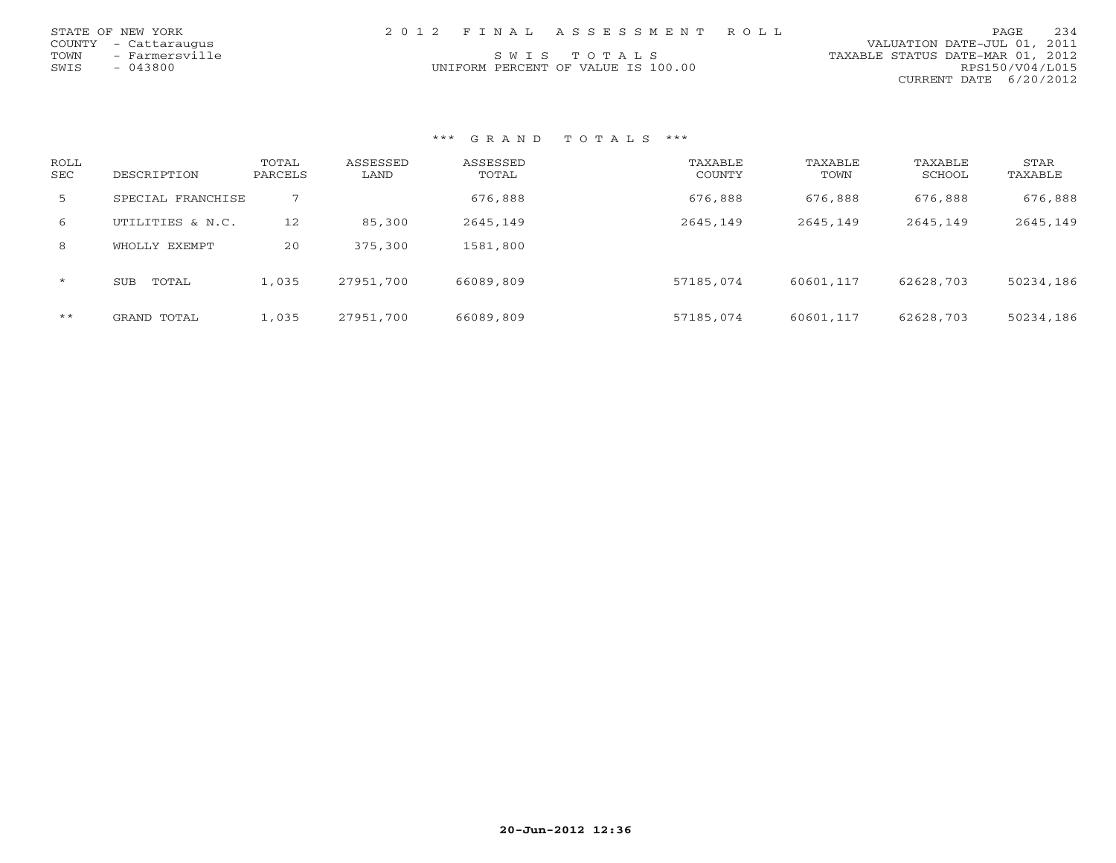| STATE OF NEW YORK    |                | 2012 FINAL ASSESSMENT ROLL         |                                  | PAGE | 234 |
|----------------------|----------------|------------------------------------|----------------------------------|------|-----|
| COUNTY - Cattaraugus |                |                                    | VALUATION DATE-JUL 01, 2011      |      |     |
| TOWN                 | - Farmersville | SWIS TOTALS                        | TAXABLE STATUS DATE-MAR 01, 2012 |      |     |
| SWIS<br>- 043800     |                | UNIFORM PERCENT OF VALUE IS 100.00 | RPS150/V04/L015                  |      |     |
|                      |                |                                    | CURRENT DATE 6/20/2012           |      |     |

| ROLL<br><b>SEC</b> | DESCRIPTION         | TOTAL<br>PARCELS | ASSESSED<br>LAND | ASSESSED<br>TOTAL | TAXABLE<br>COUNTY | TAXABLE<br>TOWN | TAXABLE<br>SCHOOL | STAR<br>TAXABLE |
|--------------------|---------------------|------------------|------------------|-------------------|-------------------|-----------------|-------------------|-----------------|
| $5 -$              | SPECIAL FRANCHISE   |                  |                  | 676,888           | 676,888           | 676,888         | 676,888           | 676,888         |
| 6                  | UTILITIES & N.C.    | 12               | 85,300           | 2645,149          | 2645,149          | 2645,149        | 2645,149          | 2645,149        |
| 8                  | WHOLLY EXEMPT       | 20               | 375,300          | 1581,800          |                   |                 |                   |                 |
| $\star$            | <b>SUB</b><br>TOTAL | 1,035            | 27951,700        | 66089,809         | 57185,074         | 60601,117       | 62628,703         | 50234,186       |
| $***$              | GRAND TOTAL         | 1,035            | 27951,700        | 66089,809         | 57185,074         | 60601,117       | 62628,703         | 50234,186       |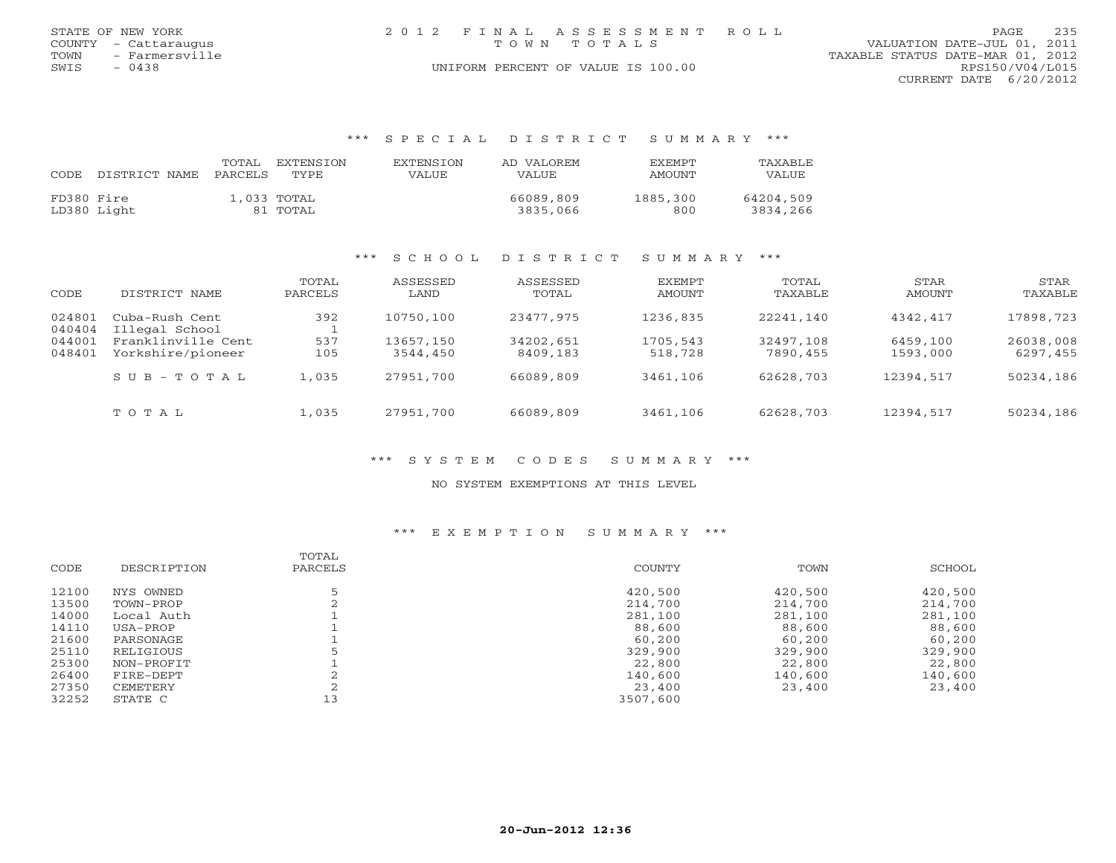| STATE OF NEW YORK    | 2012 FINAL ASSESSMENT ROLL         | 235<br>PAGE                      |
|----------------------|------------------------------------|----------------------------------|
| COUNTY - Cattaraugus | TOWN TOTALS                        | VALUATION DATE-JUL 01, 2011      |
| TOWN - Farmersville  |                                    | TAXABLE STATUS DATE-MAR 01, 2012 |
| SWIS<br>- 0438       | UNIFORM PERCENT OF VALUE IS 100.00 | RPS150/V04/L015                  |
|                      |                                    | CURRENT DATE 6/20/2012           |

### \*\*\* S P E C I A L D I S T R I C T S U M M A R Y \*\*\*

| CODE       | DISTRICT NAME | TOTAL.<br>PARCELS | EXTENSTON<br>TYPE.      | <b>EXTENSION</b><br>VALUE | AD VALOREM<br><b>VALUE</b> | EXEMPT<br><b>AMOUNT</b> | TAXABLE<br>VALUE      |
|------------|---------------|-------------------|-------------------------|---------------------------|----------------------------|-------------------------|-----------------------|
| FD380 Fire | LD380 Light   |                   | 1,033 TOTAL<br>81 TOTAL |                           | 66089,809<br>3835,066      | 1885,300<br>800         | 64204,509<br>3834,266 |

# \*\*\* S C H O O L D I S T R I C T S U M M A R Y \*\*\*

| CODE             | DISTRICT NAME                           | TOTAL<br>PARCELS | ASSESSED<br>LAND      | ASSESSED<br>TOTAL     | EXEMPT<br>AMOUNT    | TOTAL<br>TAXABLE      | STAR<br>AMOUNT       | STAR<br>TAXABLE       |
|------------------|-----------------------------------------|------------------|-----------------------|-----------------------|---------------------|-----------------------|----------------------|-----------------------|
| 024801<br>040404 | Cuba-Rush Cent<br>Illegal School        | 392              | 10750,100             | 23477,975             | 1236,835            | 22241,140             | 4342,417             | 17898,723             |
| 044001<br>048401 | Franklinville Cent<br>Yorkshire/pioneer | 537<br>105       | 13657,150<br>3544,450 | 34202,651<br>8409,183 | 1705,543<br>518,728 | 32497,108<br>7890,455 | 6459,100<br>1593,000 | 26038,008<br>6297,455 |
|                  | $S \cup B - T \cup T A L$               | 1,035            | 27951,700             | 66089,809             | 3461,106            | 62628,703             | 12394,517            | 50234,186             |
|                  | TOTAL                                   | 1,035            | 27951,700             | 66089,809             | 3461,106            | 62628,703             | 12394,517            | 50234,186             |

### \*\*\* S Y S T E M C O D E S S U M M A R Y \*\*\*

### NO SYSTEM EXEMPTIONS AT THIS LEVEL

### \*\*\* E X E M P T I O N S U M M A R Y \*\*\*

|       |             | TOTAL   |          |         |         |
|-------|-------------|---------|----------|---------|---------|
| CODE  | DESCRIPTION | PARCELS | COUNTY   | TOWN    | SCHOOL  |
| 12100 | NYS OWNED   |         | 420,500  | 420,500 | 420,500 |
| 13500 | TOWN-PROP   |         | 214,700  | 214,700 | 214,700 |
| 14000 | Local Auth  |         | 281,100  | 281,100 | 281,100 |
| 14110 | USA-PROP    |         | 88,600   | 88,600  | 88,600  |
| 21600 | PARSONAGE   |         | 60,200   | 60,200  | 60,200  |
| 25110 | RELIGIOUS   |         | 329,900  | 329,900 | 329,900 |
| 25300 | NON-PROFIT  |         | 22,800   | 22,800  | 22,800  |
| 26400 | FIRE-DEPT   |         | 140,600  | 140,600 | 140,600 |
| 27350 | CEMETERY    |         | 23,400   | 23,400  | 23,400  |
| 32252 | STATE C     | 13      | 3507,600 |         |         |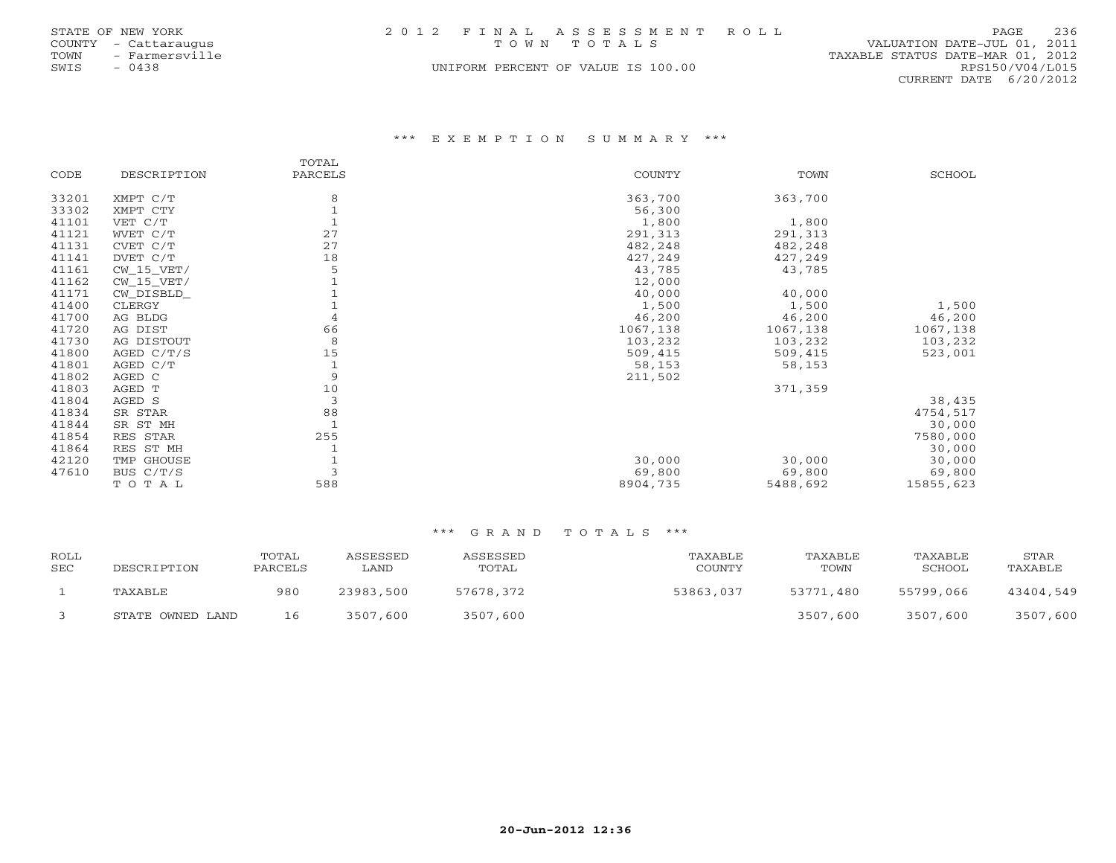| STATE OF NEW YORK      | 2012 FINAL ASSESSMENT ROLL         | 236<br>PAGE                      |
|------------------------|------------------------------------|----------------------------------|
| COUNTY - Cattaraugus   | TOWN TOTALS                        | VALUATION DATE-JUL 01, 2011      |
| - Farmersville<br>TOWN |                                    | TAXABLE STATUS DATE-MAR 01, 2012 |
| SWIS<br>- 0438         | UNIFORM PERCENT OF VALUE IS 100.00 | RPS150/V04/L015                  |
|                        |                                    | CURRENT DATE 6/20/2012           |

### \*\*\* E X E M P T I O N S U M M A R Y \*\*\*

|       |              | TOTAL          |          |          |           |
|-------|--------------|----------------|----------|----------|-----------|
| CODE  | DESCRIPTION  | PARCELS        | COUNTY   | TOWN     | SCHOOL    |
| 33201 | XMPT C/T     | 8              | 363,700  | 363,700  |           |
| 33302 | XMPT CTY     |                | 56,300   |          |           |
| 41101 | VET C/T      |                | 1,800    | 1,800    |           |
| 41121 | WVET C/T     | 27             | 291,313  | 291,313  |           |
| 41131 | CVET C/T     | 27             | 482,248  | 482,248  |           |
| 41141 | DVET C/T     | 18             | 427,249  | 427,249  |           |
| 41161 | $CW_15_VET/$ | 5              | 43,785   | 43,785   |           |
| 41162 | $CW_15_VET/$ |                | 12,000   |          |           |
| 41171 | CW_DISBLD_   |                | 40,000   | 40,000   |           |
| 41400 | CLERGY       |                | 1,500    | 1,500    | 1,500     |
| 41700 | AG BLDG      | 4              | 46,200   | 46,200   | 46,200    |
| 41720 | AG DIST      | 66             | 1067,138 | 1067,138 | 1067,138  |
| 41730 | AG DISTOUT   | 8              | 103,232  | 103,232  | 103,232   |
| 41800 | AGED C/T/S   | 15             | 509,415  | 509,415  | 523,001   |
| 41801 | AGED C/T     |                | 58,153   | 58,153   |           |
| 41802 | AGED C       | 9              | 211,502  |          |           |
| 41803 | AGED T       | 10             |          | 371,359  |           |
| 41804 | AGED S       | $\overline{3}$ |          |          | 38,435    |
| 41834 | SR STAR      | 88             |          |          | 4754,517  |
| 41844 | SR ST MH     |                |          |          | 30,000    |
| 41854 | RES STAR     | 255            |          |          | 7580,000  |
| 41864 | RES ST MH    |                |          |          | 30,000    |
| 42120 | TMP GHOUSE   |                | 30,000   | 30,000   | 30,000    |
| 47610 | BUS C/T/S    | 3              | 69,800   | 69,800   | 69,800    |
|       | TOTAL        | 588            | 8904,735 | 5488,692 | 15855,623 |

| <b>ROLL</b><br><b>SEC</b> | DESCRIPTION      | TOTAL<br>PARCELS | ASSESSED<br>LAND | ASSESSED<br>TOTAL | TAXABLE<br>COUNTY | TAXABLE<br>TOWN | TAXABLE<br>SCHOOL | STAR<br>TAXABLE |
|---------------------------|------------------|------------------|------------------|-------------------|-------------------|-----------------|-------------------|-----------------|
|                           | TAXABLE          | 980              | 23983,500        | 57678,372         | 53863,037         | 53771,480       | 55799,066         | 43404,549       |
|                           | STATE OWNED LAND | 16               | 3507,600         | 3507,600          |                   | 3507,600        | 3507,600          | 3507,600        |